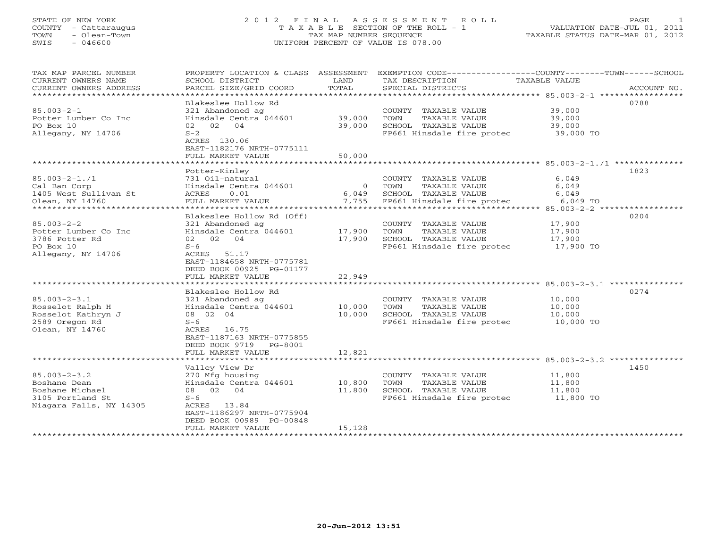# STATE OF NEW YORK 2 0 1 2 F I N A L A S S E S S M E N T R O L L PAGE 1 COUNTY - Cattaraugus T A X A B L E SECTION OF THE ROLL - 1 VALUATION DATE-JUL 01, 2011 TOWN - Olean-Town TAX MAP NUMBER SEQUENCE TAXABLE STATUS DATE-MAR 01, 2012 SWIS - 046600 UNIFORM PERCENT OF VALUE IS 078.00

| TAX MAP PARCEL NUMBER<br>CURRENT OWNERS NAME<br>CURRENT OWNERS ADDRESS<br>************************                                                                                                 | SCHOOL DISTRICT<br>PARCEL SIZE/GRID COORD                                                                                                                                                                                                                                                                                                                                               | LAND<br>TOTAL                                  | TAX DESCRIPTION<br>SPECIAL DISTRICTS                                                                                                                                                                       | PROPERTY LOCATION & CLASS ASSESSMENT EXEMPTION CODE---------------COUNTY-------TOWN-----SCHOOL<br>TAXABLE VALUE<br>ACCOUNT NO. |
|----------------------------------------------------------------------------------------------------------------------------------------------------------------------------------------------------|-----------------------------------------------------------------------------------------------------------------------------------------------------------------------------------------------------------------------------------------------------------------------------------------------------------------------------------------------------------------------------------------|------------------------------------------------|------------------------------------------------------------------------------------------------------------------------------------------------------------------------------------------------------------|--------------------------------------------------------------------------------------------------------------------------------|
| $85.003 - 2 - 1$<br>Potter Lumber Co Inc<br>PO Box 10<br>Allegany, NY 14706                                                                                                                        | Blakeslee Hollow Rd<br>321 Abandoned ag<br>Hinsdale Centra 044601<br>02 02 04<br>$S-2$<br>ACRES 130.06<br>EAST-1182176 NRTH-0775111<br>FULL MARKET VALUE                                                                                                                                                                                                                                | 39,000<br>39,000<br>50,000                     | COUNTY TAXABLE VALUE<br>TAXABLE VALUE<br>TOWN<br>SCHOOL TAXABLE VALUE<br>FP661 Hinsdale fire protec                                                                                                        | 0788<br>39,000<br>39,000<br>39,000<br>39,000 TO                                                                                |
|                                                                                                                                                                                                    |                                                                                                                                                                                                                                                                                                                                                                                         |                                                |                                                                                                                                                                                                            |                                                                                                                                |
| $85.003 - 2 - 1.71$<br>Cal Ban Corp<br>1405 West Sullivan St<br>Olean, NY 14760<br>***********                                                                                                     | Potter-Kinley<br>731 Oil-natural<br>Hinsdale Centra 044601<br>ACRES<br>0.01<br>FULL MARKET VALUE<br>*******************                                                                                                                                                                                                                                                                 | $\circ$<br>6,049<br>7,755                      | COUNTY TAXABLE VALUE<br>TOWN<br>TAXABLE VALUE<br>SCHOOL TAXABLE VALUE<br>FP661 Hinsdale fire protec                                                                                                        | 1823<br>6,049<br>6,049<br>6,049<br>6,049 TO<br>********* 85.003-2-2 *****                                                      |
|                                                                                                                                                                                                    |                                                                                                                                                                                                                                                                                                                                                                                         |                                                |                                                                                                                                                                                                            |                                                                                                                                |
| $85.003 - 2 - 2$<br>Potter Lumber Co Inc<br>3786 Potter Rd<br>PO Box 10<br>Allegany, NY 14706<br>$85.003 - 2 - 3.1$<br>Rosselot Ralph H<br>Rosselot Kathryn J<br>2589 Oregon Rd<br>Olean, NY 14760 | Blakeslee Hollow Rd (Off)<br>321 Abandoned ag<br>Hinsdale Centra 044601<br>02 02 04<br>$S-6$<br>ACRES 51.17<br>EAST-1184658 NRTH-0775781<br>DEED BOOK 00925 PG-01177<br>FULL MARKET VALUE<br>**************************<br>Blakeslee Hollow Rd<br>321 Abandoned ag<br>Hinsdale Centra 044601<br>08 02 04<br>$S-6$<br>ACRES 16.75<br>EAST-1187163 NRTH-0775855<br>DEED BOOK 9719 PG-8001 | 17,900<br>17,900<br>22,949<br>10,000<br>10,000 | COUNTY TAXABLE VALUE<br>TAXABLE VALUE<br>TOWN<br>SCHOOL TAXABLE VALUE<br>FP661 Hinsdale fire protec<br>COUNTY TAXABLE VALUE<br>TAXABLE VALUE<br>TOWN<br>SCHOOL TAXABLE VALUE<br>FP661 Hinsdale fire protec | 0204<br>17,900<br>17,900<br>17,900<br>17,900 TO<br>0274<br>10,000<br>10,000<br>10,000<br>10,000 TO                             |
|                                                                                                                                                                                                    | FULL MARKET VALUE                                                                                                                                                                                                                                                                                                                                                                       | 12,821                                         |                                                                                                                                                                                                            |                                                                                                                                |
| $85.003 - 2 - 3.2$<br>Boshane Dean<br>Boshane Michael<br>3105 Portland St<br>Niagara Falls, NY 14305                                                                                               | Valley View Dr<br>270 Mfg housing<br>Hinsdale Centra 044601<br>08 02 04<br>$S-6$<br>ACRES 13.84<br>EAST-1186297 NRTH-0775904<br>DEED BOOK 00989 PG-00848<br>FULL MARKET VALUE<br>************************                                                                                                                                                                               | 10,800<br>11,800<br>15,128                     | COUNTY TAXABLE VALUE<br>TOWN<br>TAXABLE VALUE<br>SCHOOL TAXABLE VALUE<br>FP661 Hinsdale fire protec                                                                                                        | 1450<br>11,800<br>11,800<br>11,800<br>11,800 TO                                                                                |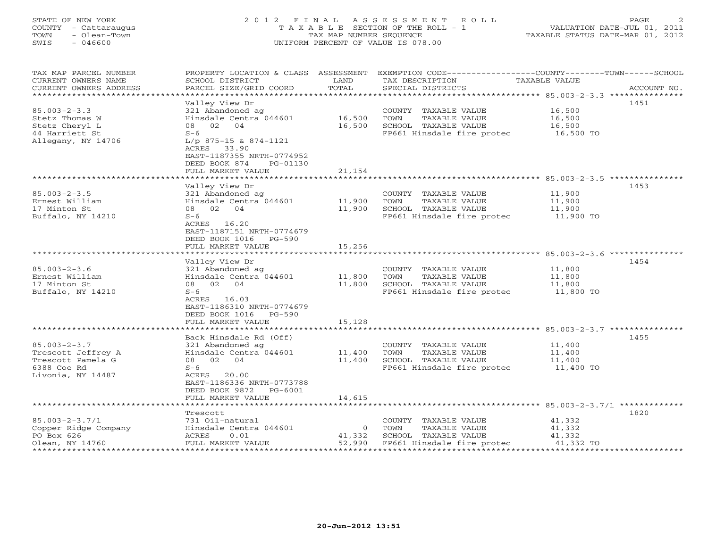#### STATE OF NEW YORK 2 0 1 2 F I N A L A S S E S S M E N T R O L L PAGE 2 COUNTY - Cattaraugus T A X A B L E SECTION OF THE ROLL - 1 VALUATION DATE-JUL 01, 2011 TOWN - Olean-Town - Olean-Town Tax MAP NUMBER SEQUENCE TAXABLE STATUS DATE-MAR 01, 2012<br>
TAX MAP NUMBER SEQUENCE TAXABLE STATUS DATE-MAR 01, 2012<br>
SWIS - 046600 SWIS - 046600 UNIFORM PERCENT OF VALUE IS 078.00

| TAX MAP PARCEL NUMBER<br>CURRENT OWNERS NAME<br>CURRENT OWNERS ADDRESS<br>************************* | PROPERTY LOCATION & CLASS ASSESSMENT<br>SCHOOL DISTRICT<br>PARCEL SIZE/GRID COORD                         | LAND<br>TOTAL  |      | EXEMPTION CODE-----------------COUNTY-------TOWN------SCHOOL<br>TAX DESCRIPTION<br>SPECIAL DISTRICTS | TAXABLE VALUE | ACCOUNT NO. |
|-----------------------------------------------------------------------------------------------------|-----------------------------------------------------------------------------------------------------------|----------------|------|------------------------------------------------------------------------------------------------------|---------------|-------------|
|                                                                                                     |                                                                                                           |                |      |                                                                                                      |               |             |
|                                                                                                     | Valley View Dr                                                                                            |                |      |                                                                                                      |               | 1451        |
| $85.003 - 2 - 3.3$                                                                                  | 321 Abandoned ag                                                                                          |                |      | COUNTY TAXABLE VALUE                                                                                 | 16,500        |             |
| Stetz Thomas W                                                                                      | Hinsdale Centra 044601                                                                                    | 16,500         | TOWN | TAXABLE VALUE                                                                                        | 16,500        |             |
| Stetz Cheryl L                                                                                      | 08<br>02 04                                                                                               | 16,500         |      | SCHOOL TAXABLE VALUE                                                                                 | 16,500        |             |
| 44 Harriett St<br>Allegany, NY 14706                                                                | $S-6$<br>$L/p$ 875-15 & 874-1121<br>ACRES 33.90<br>EAST-1187355 NRTH-0774952<br>DEED BOOK 874<br>PG-01130 |                |      | FP661 Hinsdale fire protec 16,500 TO                                                                 |               |             |
|                                                                                                     | FULL MARKET VALUE                                                                                         | 21,154         |      |                                                                                                      |               |             |
|                                                                                                     |                                                                                                           |                |      |                                                                                                      |               |             |
|                                                                                                     | Valley View Dr                                                                                            |                |      |                                                                                                      |               | 1453        |
| $85.003 - 2 - 3.5$                                                                                  | 321 Abandoned ag                                                                                          |                |      | COUNTY TAXABLE VALUE                                                                                 | 11,900        |             |
| Ernest William                                                                                      | Hinsdale Centra 044601                                                                                    | 11,900         | TOWN | TAXABLE VALUE                                                                                        | 11,900        |             |
| 17 Minton St                                                                                        | 08 02 04                                                                                                  | 11,900         |      | SCHOOL TAXABLE VALUE                                                                                 | 11,900        |             |
| Buffalo, NY 14210                                                                                   | $S-6$                                                                                                     |                |      | FP661 Hinsdale fire protec 11,900 TO                                                                 |               |             |
|                                                                                                     | ACRES 16.20<br>EAST-1187151 NRTH-0774679<br>DEED BOOK 1016 PG-590<br>FULL MARKET VALUE                    | 15,256         |      |                                                                                                      |               |             |
|                                                                                                     |                                                                                                           |                |      |                                                                                                      |               |             |
|                                                                                                     | Valley View Dr                                                                                            |                |      |                                                                                                      |               | 1454        |
| $85.003 - 2 - 3.6$                                                                                  | 321 Abandoned ag                                                                                          |                |      | COUNTY TAXABLE VALUE                                                                                 | 11,800        |             |
| Ernest William                                                                                      | Hinsdale Centra 044601                                                                                    | 11,800         | TOWN | TAXABLE VALUE                                                                                        | 11,800        |             |
| 17 Minton St                                                                                        | 08 02 04                                                                                                  | 11,800         |      | SCHOOL TAXABLE VALUE                                                                                 | 11,800        |             |
| Buffalo, NY 14210                                                                                   | $S-6$                                                                                                     |                |      | FP661 Hinsdale fire protec 11,800 TO                                                                 |               |             |
|                                                                                                     | ACRES 16.03<br>EAST-1186310 NRTH-0774679<br>DEED BOOK 1016 PG-590<br>FULL MARKET VALUE                    | 15,128         |      |                                                                                                      |               |             |
|                                                                                                     | *******************                                                                                       | ***********    |      |                                                                                                      |               |             |
|                                                                                                     | Back Hinsdale Rd (Off)                                                                                    |                |      |                                                                                                      |               | 1455        |
| $85.003 - 2 - 3.7$                                                                                  | 321 Abandoned ag                                                                                          |                |      | COUNTY TAXABLE VALUE                                                                                 | 11,400        |             |
| Trescott Jeffrey A                                                                                  | Hinsdale Centra 044601                                                                                    | 11,400         | TOWN | TAXABLE VALUE                                                                                        | 11,400        |             |
| Trescott Pamela G                                                                                   | 08 02 04                                                                                                  | 11,400         |      | SCHOOL TAXABLE VALUE                                                                                 | 11,400        |             |
| 6388 Coe Rd                                                                                         | $S-6$                                                                                                     |                |      | FP661 Hinsdale fire protec                                                                           | $11,400$ TO   |             |
| Livonia, NY 14487                                                                                   | ACRES 20.00<br>EAST-1186336 NRTH-0773788                                                                  |                |      |                                                                                                      |               |             |
|                                                                                                     | DEED BOOK 9872 PG-6001<br>FULL MARKET VALUE                                                               | 14,615         |      |                                                                                                      |               |             |
|                                                                                                     |                                                                                                           |                |      |                                                                                                      |               |             |
|                                                                                                     | Trescott                                                                                                  |                |      |                                                                                                      |               | 1820        |
| $85.003 - 2 - 3.7/1$                                                                                | 731 Oil-natural                                                                                           |                |      | COUNTY TAXABLE VALUE                                                                                 | 41,332        |             |
| Copper Ridge Company                                                                                | Hinsdale Centra 044601                                                                                    | $\overline{0}$ | TOWN | TAXABLE VALUE                                                                                        | 41,332        |             |
| PO Box 626                                                                                          | ACRES<br>0.01                                                                                             | 41,332         |      | SCHOOL TAXABLE VALUE                                                                                 | 41,332        |             |
| Olean, NY 14760                                                                                     | FULL MARKET VALUE                                                                                         | 52,990         |      | FP661 Hinsdale fire protec                                                                           | 41,332 TO     |             |
|                                                                                                     |                                                                                                           |                |      |                                                                                                      |               |             |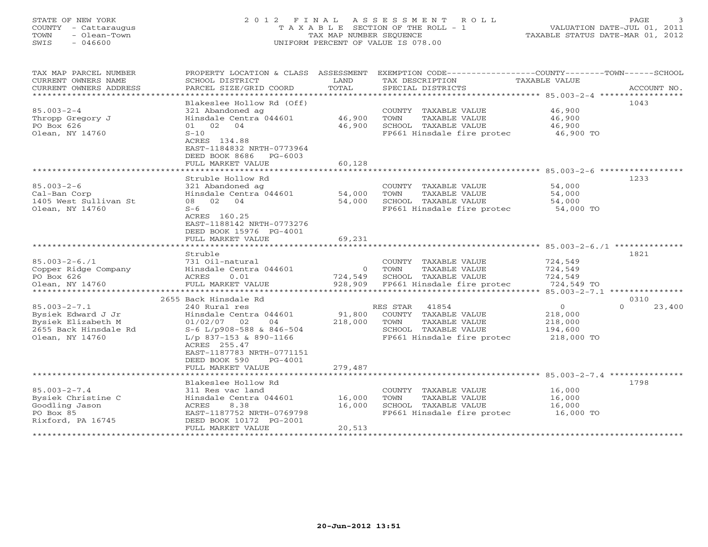### STATE OF NEW YORK 2 0 1 2 F I N A L A S S E S S M E N T R O L L PAGE 3COUNTY - Cattaraugus T A X A B L E SECTION OF THE ROLL - 1<br>
TOWN - Olean-Town<br>
SWIS - 046600 COUNTEDRENT OF VALUE IS 078.00 SWIS - 046600 UNIFORM PERCENT OF VALUE IS 078.00

| TAX MAP PARCEL NUMBER<br>CURRENT OWNERS NAME<br>CURRENT OWNERS ADDRESS<br>********************** | PROPERTY LOCATION & CLASS ASSESSMENT<br>SCHOOL DISTRICT<br>PARCEL SIZE/GRID COORD                             | LAND<br>TOTAL      | EXEMPTION CODE-----------------COUNTY-------TOWN------SCHOOL<br>TAX DESCRIPTION<br>SPECIAL DISTRICTS | TAXABLE VALUE                           | ACCOUNT NO.                   |
|--------------------------------------------------------------------------------------------------|---------------------------------------------------------------------------------------------------------------|--------------------|------------------------------------------------------------------------------------------------------|-----------------------------------------|-------------------------------|
|                                                                                                  | Blakeslee Hollow Rd (Off)                                                                                     |                    |                                                                                                      |                                         | 1043                          |
| $85.003 - 2 - 4$<br>Thropp Gregory J<br>PO Box 626<br>Olean, NY 14760                            | 321 Abandoned ag<br>Hinsdale Centra 044601<br>01 02 04<br>$S-10$<br>ACRES 134.88<br>EAST-1184832 NRTH-0773964 | 46,900<br>46,900   | COUNTY TAXABLE VALUE<br>TAXABLE VALUE<br>TOWN<br>SCHOOL TAXABLE VALUE<br>FP661 Hinsdale fire protec  | 46,900<br>46,900<br>46,900<br>46,900 TO |                               |
|                                                                                                  | DEED BOOK 8686<br>PG-6003                                                                                     |                    |                                                                                                      |                                         |                               |
|                                                                                                  | FULL MARKET VALUE<br>* * * * * * * * * * * * * * * * * *                                                      | 60,128<br>******** | ********************** 85.003-2-6 ************                                                       |                                         |                               |
|                                                                                                  | Struble Hollow Rd                                                                                             |                    |                                                                                                      |                                         | 1233                          |
| $85.003 - 2 - 6$                                                                                 | 321 Abandoned ag                                                                                              |                    | COUNTY TAXABLE VALUE                                                                                 | 54,000                                  |                               |
| Cal-Ban Corp                                                                                     | Hinsdale Centra 044601                                                                                        | 54,000             | TOWN<br>TAXABLE VALUE                                                                                | 54,000                                  |                               |
| 1405 West Sullivan St                                                                            | 08 02 04                                                                                                      | 54,000             | SCHOOL TAXABLE VALUE                                                                                 | 54,000                                  |                               |
| Olean, NY 14760                                                                                  | $S-6$                                                                                                         |                    | FP661 Hinsdale fire protec                                                                           | 54,000 TO                               |                               |
|                                                                                                  | ACRES 160.25<br>EAST-1188142 NRTH-0773276<br>DEED BOOK 15976 PG-4001<br>FULL MARKET VALUE                     | 69,231             |                                                                                                      |                                         |                               |
|                                                                                                  |                                                                                                               |                    |                                                                                                      |                                         |                               |
|                                                                                                  | Struble                                                                                                       |                    |                                                                                                      |                                         | 1821                          |
| $85.003 - 2 - 6.71$                                                                              | 731 Oil-natural                                                                                               |                    | COUNTY TAXABLE VALUE                                                                                 | 724,549                                 |                               |
| Copper Ridge Company                                                                             | Hinsdale Centra 044601                                                                                        | $\Omega$           | TOWN<br>TAXABLE VALUE                                                                                | 724,549                                 |                               |
| PO Box 626                                                                                       | 0.01<br>ACRES                                                                                                 | 724,549            | SCHOOL TAXABLE VALUE                                                                                 | 724,549                                 |                               |
| Olean, NY 14760                                                                                  | FULL MARKET VALUE<br>*****************                                                                        | 928,909            | FP661 Hinsdale fire protec                                                                           | 724,549 TO                              | 85.003-2-7.1 **************** |
|                                                                                                  | 2655 Back Hinsdale Rd                                                                                         |                    |                                                                                                      |                                         | 0310                          |
| $85.003 - 2 - 7.1$                                                                               | 240 Rural res                                                                                                 |                    | RES STAR<br>41854                                                                                    | $\circ$                                 | $\Omega$<br>23,400            |
| Bysiek Edward J Jr                                                                               | Hinsdale Centra 044601                                                                                        | 91,800             | COUNTY TAXABLE VALUE                                                                                 | 218,000                                 |                               |
| Bysiek Elizabeth M                                                                               | $01/02/07$ 02<br>04                                                                                           | 218,000            | TOWN<br>TAXABLE VALUE                                                                                | 218,000                                 |                               |
| 2655 Back Hinsdale Rd                                                                            | S-6 L/p908-588 & 846-504                                                                                      |                    | SCHOOL TAXABLE VALUE                                                                                 | 194,600                                 |                               |
| Olean, NY 14760                                                                                  | $L/p$ 837-153 & 890-1166<br>ACRES 255.47<br>EAST-1187783 NRTH-0771151<br>DEED BOOK 590<br>PG-4001             |                    | FP661 Hinsdale fire protec                                                                           | 218,000 TO                              |                               |
|                                                                                                  | FULL MARKET VALUE                                                                                             | 279,487            |                                                                                                      |                                         |                               |
|                                                                                                  | Blakeslee Hollow Rd                                                                                           |                    |                                                                                                      |                                         | 1798                          |
| $85.003 - 2 - 7.4$<br>Bysiek Christine C<br>Goodling Jason<br>PO Box 85                          | 311 Res vac land<br>Hinsdale Centra 044601<br>ACRES<br>8.38<br>EAST-1187752 NRTH-0769798                      | 16,000<br>16,000   | COUNTY TAXABLE VALUE<br>TOWN<br>TAXABLE VALUE<br>SCHOOL TAXABLE VALUE<br>FP661 Hinsdale fire protec  | 16,000<br>16,000<br>16,000<br>16,000 TO |                               |
| Rixford, PA 16745                                                                                | DEED BOOK 10172 PG-2001<br>FULL MARKET VALUE                                                                  | 20,513             |                                                                                                      |                                         |                               |
|                                                                                                  |                                                                                                               |                    |                                                                                                      |                                         |                               |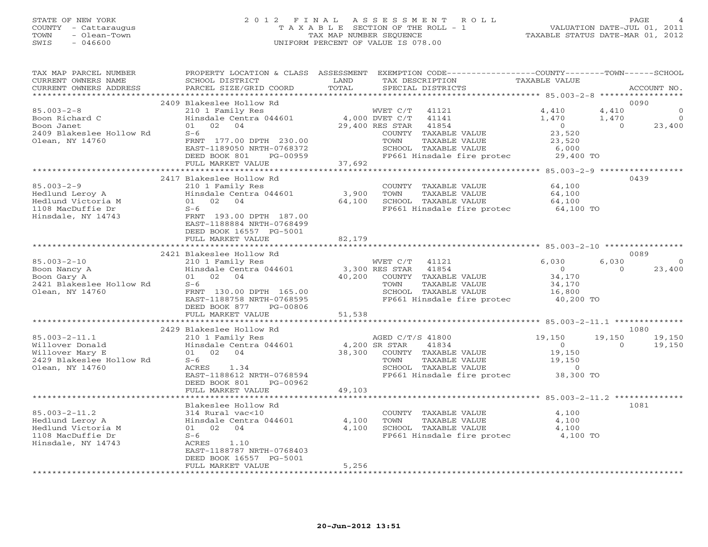# STATE OF NEW YORK 2 0 1 2 F I N A L A S S E S S M E N T R O L L PAGE 4 COUNTY - Cattaraugus T A X A B L E SECTION OF THE ROLL - 1 VALUATION DATE-JUL 01, 2011 TOWN - Olean-Town TAX MAP NUMBER SEQUENCE TAXABLE STATUS DATE-MAR 01, 2012 SWIS - 046600 UNIFORM PERCENT OF VALUE IS 078.00

| TAX MAP PARCEL NUMBER<br>CURRENT OWNERS NAME<br>CURRENT OWNERS ADDRESS | SCHOOL DISTRICT<br>PARCEL SIZE/GRID COORD                                                                                                                                                                                      | LAND<br>TOTAL | PROPERTY LOCATION & CLASS ASSESSMENT EXEMPTION CODE----------------COUNTY-------TOWN------SCHOOL<br>TAX DESCRIPTION<br>SPECIAL DISTRICTS | TAXABLE VALUE  |                | ACCOUNT NO.    |
|------------------------------------------------------------------------|--------------------------------------------------------------------------------------------------------------------------------------------------------------------------------------------------------------------------------|---------------|------------------------------------------------------------------------------------------------------------------------------------------|----------------|----------------|----------------|
|                                                                        |                                                                                                                                                                                                                                |               |                                                                                                                                          |                |                |                |
|                                                                        | 2409 Blakeslee Hollow Rd                                                                                                                                                                                                       |               |                                                                                                                                          |                |                | 0090           |
| $85.003 - 2 - 8$                                                       | 210 1 Family Res                                                                                                                                                                                                               |               | WVET C/T 41121                                                                                                                           | 4,410          | 4,410          | $\mathbf{0}$   |
| Boon Richard C                                                         | 4,000 DVET C/T<br>Hinsdale Centra 044601 4,000 DVET C/T<br>01 02 04 29,400 RES STAR                                                                                                                                            |               | 41141                                                                                                                                    | 1,470          | 1,470          | $\overline{0}$ |
| Boon Janet                                                             |                                                                                                                                                                                                                                |               | 41854                                                                                                                                    | $\overline{0}$ | $\overline{0}$ | 23,400         |
| 2409 Blakeslee Hollow Rd                                               | $S-6$                                                                                                                                                                                                                          |               | COUNTY TAXABLE VALUE                                                                                                                     | 23,520         |                |                |
| Olean, NY 14760                                                        | FRNT 177.00 DPTH 230.00                                                                                                                                                                                                        |               | TAXABLE VALUE<br>TOWN                                                                                                                    | 23,520         |                |                |
|                                                                        | EAST-1189050 NRTH-0768372<br>DEED BOOK 801<br>PG-00959                                                                                                                                                                         |               | SCHOOL TAXABLE VALUE<br>FP661 Hinsdale fire protec 29,400 TO                                                                             | 6,000          |                |                |
|                                                                        | FULL MARKET VALUE                                                                                                                                                                                                              | 37,692        |                                                                                                                                          |                |                |                |
|                                                                        |                                                                                                                                                                                                                                |               |                                                                                                                                          |                |                |                |
|                                                                        | 2417 Blakeslee Hollow Rd                                                                                                                                                                                                       |               |                                                                                                                                          |                |                | 0439           |
| $85.003 - 2 - 9$                                                       | 210 1 Family Res                                                                                                                                                                                                               |               | COUNTY TAXABLE VALUE                                                                                                                     | 64,100         |                |                |
| Hedlund Leroy A                                                        | Hinsdale Centra 044601                                                                                                                                                                                                         | 3,900         | TOWN<br>TAXABLE VALUE                                                                                                                    | 64,100         |                |                |
| Hedlund Victoria M                                                     | 01 02 04                                                                                                                                                                                                                       | 64,100        | SCHOOL TAXABLE VALUE                                                                                                                     | 64,100         |                |                |
| 1108 MacDuffie Dr                                                      | $S-6$                                                                                                                                                                                                                          |               | FP661 Hinsdale fire protec                                                                                                               | 64,100 TO      |                |                |
| Hinsdale, NY 14743                                                     | FRNT 193.00 DPTH 187.00                                                                                                                                                                                                        |               |                                                                                                                                          |                |                |                |
|                                                                        | EAST-1188884 NRTH-0768499                                                                                                                                                                                                      |               |                                                                                                                                          |                |                |                |
|                                                                        | DEED BOOK 16557 PG-5001                                                                                                                                                                                                        |               |                                                                                                                                          |                |                |                |
|                                                                        | FULL MARKET VALUE                                                                                                                                                                                                              | 82,179        |                                                                                                                                          |                |                |                |
|                                                                        |                                                                                                                                                                                                                                |               |                                                                                                                                          |                |                |                |
|                                                                        | 2421 Blakeslee Hollow Rd                                                                                                                                                                                                       |               |                                                                                                                                          |                |                | 0089           |
| $85.003 - 2 - 10$                                                      | 210 1 Family Res                                                                                                                                                                                                               |               | WVET C/T<br>41121                                                                                                                        | 6,030          | 6,030          | $\overline{0}$ |
| Boon Nancy A                                                           | External ranking nest and the world of the most contral data in the most contract to the most contract to the most contract to the most contract to the most contract of the most contract to the most contract to the most co |               |                                                                                                                                          | $\overline{0}$ | $\Omega$       | 23,400         |
| Boon Gary A                                                            | 01 02 04                                                                                                                                                                                                                       |               | 40,200 COUNTY TAXABLE VALUE                                                                                                              | 34,170         |                |                |
| 2421 Blakeslee Hollow Rd                                               | $S-6$                                                                                                                                                                                                                          |               | TAXABLE VALUE<br>TOWN                                                                                                                    | 34,170         |                |                |
| Olean, NY 14760                                                        | FRNT 130.00 DPTH 165.00                                                                                                                                                                                                        |               | SCHOOL TAXABLE VALUE                                                                                                                     | 16,800         |                |                |
|                                                                        | EAST-1188758 NRTH-0768595                                                                                                                                                                                                      |               | FP661 Hinsdale fire protec 40,200 TO                                                                                                     |                |                |                |
|                                                                        | DEED BOOK 877<br>PG-00806                                                                                                                                                                                                      | 51,538        |                                                                                                                                          |                |                |                |
|                                                                        | FULL MARKET VALUE                                                                                                                                                                                                              |               |                                                                                                                                          |                |                |                |
|                                                                        | 2429 Blakeslee Hollow Rd                                                                                                                                                                                                       |               |                                                                                                                                          |                |                | 1080           |
| $85.003 - 2 - 11.1$                                                    | 210 1 Family Res                                                                                                                                                                                                               |               | AGED C/T/S 41800                                                                                                                         | 19,150         | 19,150         | 19,150         |
| Willover Donald                                                        | Hinsdale Centra 044601 4,200 SR STAR                                                                                                                                                                                           |               | 41834                                                                                                                                    | $\overline{0}$ | $\Omega$       | 19,150         |
| Willover Mary E                                                        | 01 02 04                                                                                                                                                                                                                       |               | 38,300 COUNTY TAXABLE VALUE                                                                                                              | 19,150         |                |                |
| 2429 Blakeslee Hollow Rd                                               | $S-6$                                                                                                                                                                                                                          |               | TAXABLE VALUE<br>TOWN                                                                                                                    | 19,150         |                |                |
| Olean, NY 14760                                                        | ACRES 1.34                                                                                                                                                                                                                     |               | SCHOOL TAXABLE VALUE                                                                                                                     | $\circ$        |                |                |
|                                                                        | EAST-1188612 NRTH-0768594                                                                                                                                                                                                      |               | FP661 Hinsdale fire protec 38,300 TO                                                                                                     |                |                |                |
|                                                                        | DEED BOOK 801<br>PG-00962                                                                                                                                                                                                      |               |                                                                                                                                          |                |                |                |
|                                                                        | FULL MARKET VALUE                                                                                                                                                                                                              | 49,103        |                                                                                                                                          |                |                |                |
|                                                                        |                                                                                                                                                                                                                                |               |                                                                                                                                          |                |                |                |
|                                                                        | Blakeslee Hollow Rd                                                                                                                                                                                                            |               |                                                                                                                                          |                |                | 1081           |
| $85.003 - 2 - 11.2$                                                    | 314 Rural vac<10                                                                                                                                                                                                               |               | COUNTY TAXABLE VALUE                                                                                                                     | 4,100          |                |                |
| Hedlund Leroy A                                                        | Hinsdale Centra 044601                                                                                                                                                                                                         | 4,100         | TAXABLE VALUE<br>TOWN                                                                                                                    | 4,100          |                |                |
| Hedlund Victoria M                                                     | 01 02 04                                                                                                                                                                                                                       | 4,100         | SCHOOL TAXABLE VALUE                                                                                                                     | 4,100          |                |                |
| 1108 MacDuffie Dr                                                      | $S-6$                                                                                                                                                                                                                          |               | FP661 Hinsdale fire protec 4,100 TO                                                                                                      |                |                |                |
| Hinsdale, NY 14743                                                     | ACRES 1.10                                                                                                                                                                                                                     |               |                                                                                                                                          |                |                |                |
|                                                                        | EAST-1188787 NRTH-0768403                                                                                                                                                                                                      |               |                                                                                                                                          |                |                |                |
|                                                                        | DEED BOOK 16557 PG-5001<br>FULL MARKET VALUE                                                                                                                                                                                   | 5,256         |                                                                                                                                          |                |                |                |
|                                                                        |                                                                                                                                                                                                                                |               |                                                                                                                                          |                |                |                |
|                                                                        |                                                                                                                                                                                                                                |               |                                                                                                                                          |                |                |                |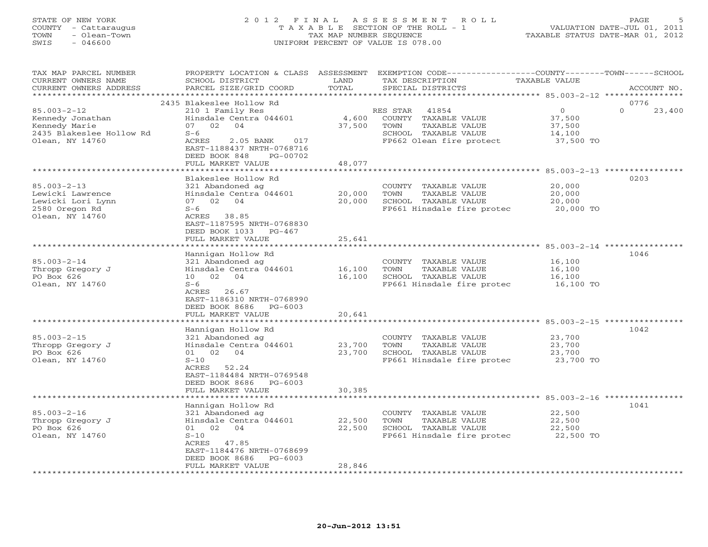# STATE OF NEW YORK 2 0 1 2 F I N A L A S S E S S M E N T R O L L PAGE 5 COUNTY - Cattaraugus T A X A B L E SECTION OF THE ROLL - 1 VALUATION DATE-JUL 01, 2011 TOWN - Olean-Town TAX MAP NUMBER SEQUENCE TAXABLE STATUS DATE-MAR 01, 2012 SWIS - 046600 UNIFORM PERCENT OF VALUE IS 078.00

| TAX MAP PARCEL NUMBER<br>CURRENT OWNERS NAME<br>CURRENT OWNERS ADDRESS                                | PROPERTY LOCATION & CLASS ASSESSMENT<br>SCHOOL DISTRICT<br>PARCEL SIZE/GRID COORD                                                                                                    | LAND<br>TOTAL              | EXEMPTION CODE-----------------COUNTY-------TOWN------SCHOOL<br>TAX DESCRIPTION<br>SPECIAL DISTRICTS                   | TAXABLE VALUE                                      | ACCOUNT NO.                |
|-------------------------------------------------------------------------------------------------------|--------------------------------------------------------------------------------------------------------------------------------------------------------------------------------------|----------------------------|------------------------------------------------------------------------------------------------------------------------|----------------------------------------------------|----------------------------|
| *******************                                                                                   |                                                                                                                                                                                      |                            |                                                                                                                        |                                                    |                            |
| $85.003 - 2 - 12$<br>Kennedy Jonathan<br>Kennedy Marie<br>2435 Blakeslee Hollow Rd<br>Olean, NY 14760 | 2435 Blakeslee Hollow Rd<br>210 1 Family Res<br>Hinsdale Centra 044601<br>07 02 04<br>$S-6$<br>ACRES<br>$2.05$ BANK<br>017<br>EAST-1188437 NRTH-0768716<br>DEED BOOK 848<br>PG-00702 | 4,600<br>37,500            | 41854<br>RES STAR<br>COUNTY TAXABLE VALUE<br>TOWN<br>TAXABLE VALUE<br>SCHOOL TAXABLE VALUE<br>FP662 Olean fire protect | $\circ$<br>37,500<br>37,500<br>14,100<br>37,500 TO | 0776<br>$\Omega$<br>23,400 |
|                                                                                                       | FULL MARKET VALUE                                                                                                                                                                    | 48,077                     |                                                                                                                        |                                                    |                            |
|                                                                                                       | ********************                                                                                                                                                                 |                            |                                                                                                                        |                                                    |                            |
| $85.003 - 2 - 13$<br>Lewicki Lawrence<br>Lewicki Lori Lynn<br>2580 Oregon Rd<br>Olean, NY 14760       | Blakeslee Hollow Rd<br>321 Abandoned ag<br>Hinsdale Centra 044601<br>07 02 04<br>$S-6$<br>ACRES 38.85<br>EAST-1187595 NRTH-0768830<br>DEED BOOK 1033 PG-467                          | 20,000<br>20,000           | COUNTY TAXABLE VALUE<br>TOWN<br>TAXABLE VALUE<br>SCHOOL TAXABLE VALUE<br>FP661 Hinsdale fire protec 20,000 TO          | 20,000<br>20,000<br>20,000                         | 0203                       |
|                                                                                                       | FULL MARKET VALUE                                                                                                                                                                    | 25,641                     |                                                                                                                        |                                                    |                            |
| $85.003 - 2 - 14$<br>Thropp Gregory J<br>PO Box 626                                                   | Hannigan Hollow Rd<br>321 Abandoned ag<br>Hinsdale Centra 044601<br>10 02 04                                                                                                         | 16,100<br>16,100           | COUNTY TAXABLE VALUE<br>TAXABLE VALUE<br>TOWN<br>SCHOOL TAXABLE VALUE                                                  | 16,100<br>16,100<br>16,100                         | 1046                       |
| Olean, NY 14760                                                                                       | $S-6$<br>ACRES 26.67<br>EAST-1186310 NRTH-0768990<br>DEED BOOK 8686<br>PG-6003<br>FULL MARKET VALUE                                                                                  | 20,641                     | FP661 Hinsdale fire protec                                                                                             | 16,100 TO                                          |                            |
|                                                                                                       | ********************                                                                                                                                                                 | * * * * * * * * * * * * *  |                                                                                                                        |                                                    |                            |
| $85.003 - 2 - 15$<br>Thropp Gregory J<br>PO Box 626<br>Olean, NY 14760                                | Hannigan Hollow Rd<br>321 Abandoned ag<br>Hinsdale Centra 044601<br>01 02 04<br>$S-10$<br>ACRES 52.24<br>EAST-1184484 NRTH-0769548<br>DEED BOOK 8686 PG-6003                         | 23,700<br>23,700           | COUNTY TAXABLE VALUE<br>TOWN<br>TAXABLE VALUE<br>SCHOOL TAXABLE VALUE<br>FP661 Hinsdale fire protec                    | 23,700<br>23,700<br>23,700<br>23,700 TO            | 1042                       |
|                                                                                                       | FULL MARKET VALUE                                                                                                                                                                    | 30,385                     |                                                                                                                        |                                                    |                            |
| $85.003 - 2 - 16$<br>Thropp Gregory J<br>PO Box 626<br>Olean, NY 14760                                | Hannigan Hollow Rd<br>321 Abandoned ag<br>Hinsdale Centra 044601<br>01 02 04<br>$S-10$<br>ACRES 47.85<br>EAST-1184476 NRTH-0768699<br>DEED BOOK 8686<br>PG-6003<br>FULL MARKET VALUE | 22,500<br>22,500<br>28,846 | COUNTY TAXABLE VALUE<br>TOWN<br>TAXABLE VALUE<br>SCHOOL TAXABLE VALUE<br>FP661 Hinsdale fire protec                    | 22,500<br>22,500<br>22,500<br>22,500 TO            | 1041                       |
|                                                                                                       |                                                                                                                                                                                      |                            |                                                                                                                        |                                                    |                            |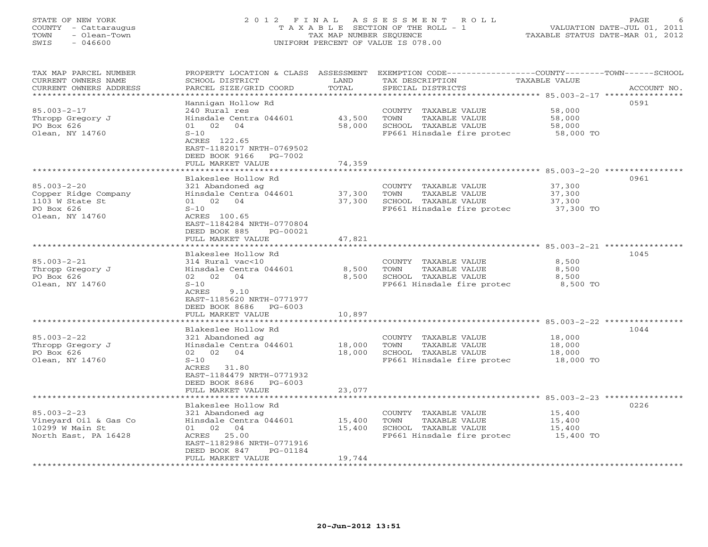# STATE OF NEW YORK 2 0 1 2 F I N A L A S S E S S M E N T R O L L PAGE 6 COUNTY - Cattaraugus T A X A B L E SECTION OF THE ROLL - 1 VALUATION DATE-JUL 01, 2011 TOWN - Olean-Town TAX MAP NUMBER SEQUENCE TAXABLE STATUS DATE-MAR 01, 2012 SWIS - 046600 UNIFORM PERCENT OF VALUE IS 078.00

| TAX MAP PARCEL NUMBER<br>CURRENT OWNERS NAME<br>CURRENT OWNERS ADDRESS<br>******************  | PROPERTY LOCATION & CLASS ASSESSMENT<br>SCHOOL DISTRICT<br>PARCEL SIZE/GRID COORD<br>****************                                                                                                                | LAND<br>TOTAL<br>*************           | EXEMPTION CODE-----------------COUNTY-------TOWN------SCHOOL<br>TAX DESCRIPTION<br>SPECIAL DISTRICTS                                                                  | TAXABLE VALUE                                                                                  | ACCOUNT NO. |
|-----------------------------------------------------------------------------------------------|----------------------------------------------------------------------------------------------------------------------------------------------------------------------------------------------------------------------|------------------------------------------|-----------------------------------------------------------------------------------------------------------------------------------------------------------------------|------------------------------------------------------------------------------------------------|-------------|
| $85.003 - 2 - 17$<br>Thropp Gregory J<br>PO Box 626<br>Olean, NY 14760                        | Hannigan Hollow Rd<br>240 Rural res<br>Hinsdale Centra 044601<br>01 02 04<br>$S-10$<br>ACRES 122.65<br>EAST-1182017 NRTH-0769502<br>DEED BOOK 9166 PG-7002<br>FULL MARKET VALUE<br>********************              | 43,500<br>58,000<br>74,359<br>********** | COUNTY TAXABLE VALUE<br>TOWN<br>TAXABLE VALUE<br>SCHOOL TAXABLE VALUE<br>FP661 Hinsdale fire protec<br>********************************* 85.003-2-20 **************** | 58,000<br>58,000<br>58,000<br>58,000 TO                                                        | 0591        |
| $85.003 - 2 - 20$<br>Copper Ridge Company<br>1103 W State St<br>PO Box 626<br>Olean, NY 14760 | Blakeslee Hollow Rd<br>321 Abandoned ag<br>Hinsdale Centra 044601<br>01 02 04<br>$S-10$<br>ACRES 100.65<br>EAST-1184284 NRTH-0770804<br>DEED BOOK 885<br>PG-00021<br>FULL MARKET VALUE                               | 37,300<br>37,300<br>47,821               | COUNTY TAXABLE VALUE<br>TAXABLE VALUE<br>TOWN<br>SCHOOL TAXABLE VALUE<br>FP661 Hinsdale fire protec                                                                   | 37,300<br>37,300<br>37,300<br>37,300 TO                                                        | 0961        |
| $85.003 - 2 - 21$<br>Thropp Gregory J<br>PO Box 626<br>Olean, NY 14760                        | Blakeslee Hollow Rd<br>314 Rural vac<10<br>Hinsdale Centra 044601<br>02 02<br>04<br>$S-10$<br>ACRES<br>9.10<br>EAST-1185620 NRTH-0771977<br>DEED BOOK 8686<br>PG-6003<br>FULL MARKET VALUE                           | 8,500<br>8,500<br>10,897                 | COUNTY TAXABLE VALUE<br>TOWN<br>TAXABLE VALUE<br>SCHOOL TAXABLE VALUE<br>FP661 Hinsdale fire protec                                                                   | 8,500<br>8,500<br>8,500<br>8,500 TO                                                            | 1045        |
| $85.003 - 2 - 22$<br>Thropp Gregory J<br>PO Box 626<br>Olean, NY 14760                        | *************************<br>Blakeslee Hollow Rd<br>321 Abandoned ag<br>Hinsdale Centra 044601<br>02 02 04<br>$S-10$<br>ACRES 31.80<br>EAST-1184479 NRTH-0771932<br>DEED BOOK 8686<br>$PG-6003$<br>FULL MARKET VALUE | 18,000<br>18,000<br>23,077               | COUNTY TAXABLE VALUE<br>TAXABLE VALUE<br>TOWN<br>SCHOOL TAXABLE VALUE<br>FP661 Hinsdale fire protec                                                                   | 18,000<br>18,000<br>18,000<br>18,000 TO                                                        | 1044        |
| $85.003 - 2 - 23$<br>Vineyard Oil & Gas Co<br>10299 W Main St<br>North East, PA 16428         | Blakeslee Hollow Rd<br>321 Abandoned ag<br>Hinsdale Centra 044601<br>01 02 04<br>ACRES 25.00<br>EAST-1182986 NRTH-0771916<br>DEED BOOK 847<br>PG-01184<br>FULL MARKET VALUE                                          | 15,400<br>15,400<br>19,744               | COUNTY TAXABLE VALUE<br>TOWN<br>TAXABLE VALUE<br>SCHOOL TAXABLE VALUE<br>FP661 Hinsdale fire protec                                                                   | ********************** 85.003-2-23 ****************<br>15,400<br>15,400<br>15,400<br>15,400 TO | 0226        |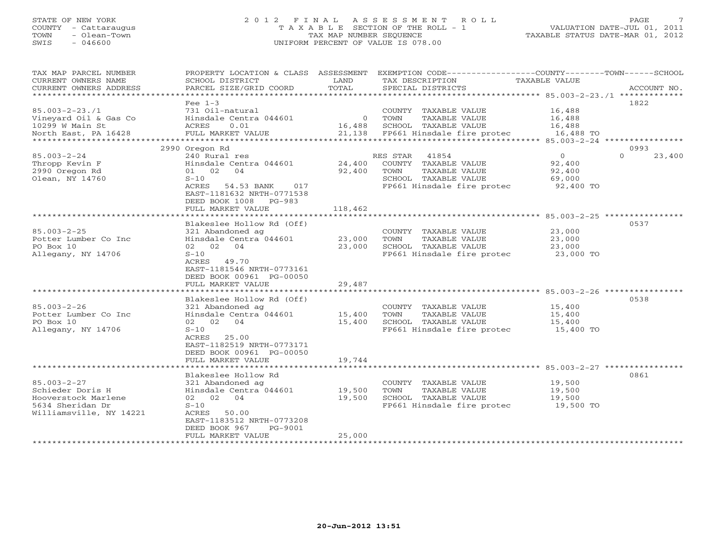### STATE OF NEW YORK 2 0 1 2 F I N A L A S S E S S M E N T R O L L PAGE 7 COUNTY - Cattaraugus T A X A B L E SECTION OF THE ROLL - 1 VALUATION DATE-JUL 01, 2011 TOWN - Olean-Town TAX MAP NUMBER SEQUENCE TAXABLE STATUS DATE-MAR 01, 2012 SWIS - 046600 UNIFORM PERCENT OF VALUE IS 078.00

| TAX MAP PARCEL NUMBER<br>CURRENT OWNERS NAME<br>CURRENT OWNERS ADDRESS | PROPERTY LOCATION & CLASS ASSESSMENT<br>SCHOOL DISTRICT<br>PARCEL SIZE/GRID COORD | LAND<br>TOTAL | EXEMPTION CODE-----------------COUNTY-------TOWN-----SCHOOL<br>TAX DESCRIPTION<br>SPECIAL DISTRICTS | TAXABLE VALUE                           | ACCOUNT NO.                |
|------------------------------------------------------------------------|-----------------------------------------------------------------------------------|---------------|-----------------------------------------------------------------------------------------------------|-----------------------------------------|----------------------------|
| **********************                                                 |                                                                                   |               |                                                                                                     |                                         |                            |
|                                                                        | Fee $1-3$                                                                         |               |                                                                                                     |                                         | 1822                       |
| $85.003 - 2 - 23.71$                                                   | 731 Oil-natural                                                                   |               | COUNTY TAXABLE VALUE                                                                                | 16,488                                  |                            |
| Vineyard Oil & Gas Co                                                  | Hinsdale Centra 044601                                                            | $\circ$       | TOWN<br>TAXABLE VALUE                                                                               | 16,488                                  |                            |
| 10299 W Main St                                                        | 0.01<br>ACRES                                                                     | 16,488        | SCHOOL TAXABLE VALUE                                                                                | 16,488                                  |                            |
| North East, PA 16428                                                   | FULL MARKET VALUE                                                                 | 21,138        | FP661 Hinsdale fire protec                                                                          | 16,488 TO                               |                            |
|                                                                        |                                                                                   |               |                                                                                                     | ********** 85.003-2-24 **************** |                            |
| $85.003 - 2 - 24$                                                      | 2990 Oregon Rd<br>240 Rural res                                                   |               | RES STAR<br>41854                                                                                   | $\Omega$                                | 0993<br>$\Omega$<br>23,400 |
| Thropp Kevin F                                                         | Hinsdale Centra 044601                                                            | 24,400        | COUNTY<br>TAXABLE VALUE                                                                             | 92,400                                  |                            |
| 2990 Oregon Rd                                                         | 01 02 04                                                                          | 92,400        | TOWN<br>TAXABLE VALUE                                                                               | 92,400                                  |                            |
| Olean, NY 14760                                                        | $S-10$                                                                            |               | SCHOOL TAXABLE VALUE                                                                                | 69,000                                  |                            |
|                                                                        | ACRES<br>54.53 BANK<br>017                                                        |               | FP661 Hinsdale fire protec                                                                          | 92,400 TO                               |                            |
|                                                                        | EAST-1181632 NRTH-0771538                                                         |               |                                                                                                     |                                         |                            |
|                                                                        | DEED BOOK 1008 PG-983                                                             |               |                                                                                                     |                                         |                            |
|                                                                        | FULL MARKET VALUE                                                                 | 118,462       |                                                                                                     |                                         |                            |
|                                                                        |                                                                                   |               |                                                                                                     | $85.003 - 2 - 25$ ***                   |                            |
|                                                                        | Blakeslee Hollow Rd (Off)                                                         |               |                                                                                                     |                                         | 0537                       |
| $85.003 - 2 - 25$                                                      | 321 Abandoned ag                                                                  |               | COUNTY TAXABLE VALUE                                                                                | 23,000                                  |                            |
| Potter Lumber Co Inc                                                   | Hinsdale Centra 044601                                                            | 23,000        | TOWN<br>TAXABLE VALUE                                                                               | 23,000                                  |                            |
| PO Box 10                                                              | 02 02 04                                                                          | 23,000        | SCHOOL TAXABLE VALUE                                                                                | 23,000                                  |                            |
| Allegany, NY 14706                                                     | $S-10$                                                                            |               | FP661 Hinsdale fire protec                                                                          | 23,000 TO                               |                            |
|                                                                        | ACRES 49.70                                                                       |               |                                                                                                     |                                         |                            |
|                                                                        | EAST-1181546 NRTH-0773161                                                         |               |                                                                                                     |                                         |                            |
|                                                                        | DEED BOOK 00961 PG-00050                                                          |               |                                                                                                     |                                         |                            |
|                                                                        | FULL MARKET VALUE                                                                 | 29,487        | ******************************** 85.003-2-26 ****************                                       |                                         |                            |
|                                                                        | Blakeslee Hollow Rd (Off)                                                         |               |                                                                                                     |                                         | 0538                       |
| $85.003 - 2 - 26$                                                      | 321 Abandoned ag                                                                  |               | COUNTY TAXABLE VALUE                                                                                | 15,400                                  |                            |
| Potter Lumber Co Inc                                                   | Hinsdale Centra 044601                                                            | 15,400        | TOWN<br>TAXABLE VALUE                                                                               | 15,400                                  |                            |
| PO Box 10                                                              | 02 02 04                                                                          | 15,400        | SCHOOL TAXABLE VALUE                                                                                | 15,400                                  |                            |
| Allegany, NY 14706                                                     | $S-10$                                                                            |               | FP661 Hinsdale fire protec                                                                          | 15,400 TO                               |                            |
|                                                                        | 25.00<br>ACRES                                                                    |               |                                                                                                     |                                         |                            |
|                                                                        | EAST-1182519 NRTH-0773171                                                         |               |                                                                                                     |                                         |                            |
|                                                                        | DEED BOOK 00961 PG-00050                                                          |               |                                                                                                     |                                         |                            |
|                                                                        | FULL MARKET VALUE                                                                 | 19,744        |                                                                                                     |                                         |                            |
|                                                                        | ***************************                                                       |               |                                                                                                     |                                         |                            |
|                                                                        | Blakeslee Hollow Rd                                                               |               |                                                                                                     |                                         | 0861                       |
| $85.003 - 2 - 27$                                                      | 321 Abandoned ag                                                                  |               | COUNTY TAXABLE VALUE                                                                                | 19,500                                  |                            |
| Schieder Doris H                                                       | Hinsdale Centra 044601                                                            | 19,500        | TAXABLE VALUE<br>TOWN                                                                               | 19,500                                  |                            |
| Hooverstock Marlene                                                    | 02<br>04<br>02                                                                    | 19,500        | SCHOOL TAXABLE VALUE                                                                                | 19,500                                  |                            |
| 5634 Sheridan Dr                                                       | $S-10$                                                                            |               | FP661 Hinsdale fire protec                                                                          | 19,500 TO                               |                            |
| Williamsville, NY 14221                                                | ACRES<br>50.00                                                                    |               |                                                                                                     |                                         |                            |
|                                                                        | EAST-1183512 NRTH-0773208                                                         |               |                                                                                                     |                                         |                            |
|                                                                        | DEED BOOK 967<br>PG-9001                                                          |               |                                                                                                     |                                         |                            |
|                                                                        | FULL MARKET VALUE                                                                 | 25,000        |                                                                                                     |                                         |                            |
|                                                                        |                                                                                   |               |                                                                                                     |                                         |                            |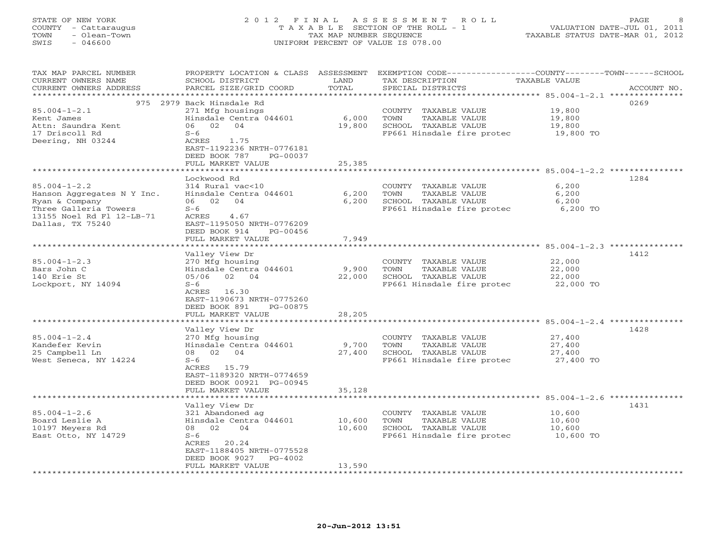# STATE OF NEW YORK 2 0 1 2 F I N A L A S S E S S M E N T R O L L PAGE 8 COUNTY - Cattaraugus T A X A B L E SECTION OF THE ROLL - 1 VALUATION DATE-JUL 01, 2011 TOWN - Olean-Town TAX MAP NUMBER SEQUENCE TAXABLE STATUS DATE-MAR 01, 2012 SWIS - 046600 UNIFORM PERCENT OF VALUE IS 078.00

| TAX MAP PARCEL NUMBER<br>CURRENT OWNERS NAME | PROPERTY LOCATION & CLASS ASSESSMENT<br>SCHOOL DISTRICT | LAND                    | TAX DESCRIPTION            | EXEMPTION CODE-----------------COUNTY-------TOWN------SCHOOL<br>TAXABLE VALUE |
|----------------------------------------------|---------------------------------------------------------|-------------------------|----------------------------|-------------------------------------------------------------------------------|
| CURRENT OWNERS ADDRESS<br>****************** | PARCEL SIZE/GRID COORD                                  | TOTAL                   | SPECIAL DISTRICTS          | ACCOUNT NO.                                                                   |
|                                              |                                                         | * * * * * * * * *       |                            |                                                                               |
|                                              | 975 2979 Back Hinsdale Rd                               |                         |                            | 0269                                                                          |
| $85.004 - 1 - 2.1$                           | 271 Mfg housings                                        |                         | COUNTY TAXABLE VALUE       | 19,800                                                                        |
| Kent James                                   | Hinsdale Centra 044601                                  | 6,000                   | TOWN<br>TAXABLE VALUE      | 19,800                                                                        |
| Attn: Saundra Kent                           | 06<br>02<br>04                                          | 19,800                  | SCHOOL TAXABLE VALUE       | 19,800                                                                        |
| 17 Driscoll Rd                               | $S-6$                                                   |                         | FP661 Hinsdale fire protec | 19,800 TO                                                                     |
| Deering, NH 03244                            | ACRES<br>1.75                                           |                         |                            |                                                                               |
|                                              | EAST-1192236 NRTH-0776181<br>DEED BOOK 787<br>PG-00037  |                         |                            |                                                                               |
|                                              | FULL MARKET VALUE                                       | 25,385                  |                            |                                                                               |
|                                              |                                                         | *******                 |                            | *************** 85.004-1-2.2 **********                                       |
|                                              | Lockwood Rd                                             |                         |                            | 1284                                                                          |
| $85.004 - 1 - 2.2$                           | $314$ Rural vac<10                                      |                         | COUNTY TAXABLE VALUE       | 6,200                                                                         |
| Hanson Aggregates N Y Inc.                   | Hinsdale Centra 044601                                  | 6,200                   | TOWN<br>TAXABLE VALUE      | 6,200                                                                         |
| Ryan & Company                               | 06 02 04                                                | 6,200                   | SCHOOL TAXABLE VALUE       | 6,200                                                                         |
| Three Galleria Towers                        | $S-6$                                                   |                         | FP661 Hinsdale fire protec | 6,200 TO                                                                      |
| 13155 Noel Rd Fl 12-LB-71                    | ACRES<br>4.67                                           |                         |                            |                                                                               |
| Dallas, TX 75240                             | EAST-1195050 NRTH-0776209                               |                         |                            |                                                                               |
|                                              | DEED BOOK 914<br>PG-00456                               |                         |                            |                                                                               |
|                                              | FULL MARKET VALUE                                       | 7,949                   |                            |                                                                               |
|                                              |                                                         |                         |                            |                                                                               |
|                                              | Valley View Dr                                          |                         |                            | 1412                                                                          |
| $85.004 - 1 - 2.3$                           | 270 Mfg housing                                         |                         | COUNTY TAXABLE VALUE       | 22,000                                                                        |
| Bars John C                                  | Hinsdale Centra 044601                                  | 9,900                   | TOWN<br>TAXABLE VALUE      | 22,000                                                                        |
| 140 Erie St                                  | 05/06 02 04                                             | 22,000                  | SCHOOL TAXABLE VALUE       | 22,000                                                                        |
| Lockport, NY 14094                           | $S-6$                                                   |                         | FP661 Hinsdale fire protec | 22,000 TO                                                                     |
|                                              | ACRES 16.30                                             |                         |                            |                                                                               |
|                                              | EAST-1190673 NRTH-0775260                               |                         |                            |                                                                               |
|                                              | DEED BOOK 891<br>PG-00875                               |                         |                            |                                                                               |
|                                              | FULL MARKET VALUE                                       | 28,205                  |                            |                                                                               |
|                                              |                                                         |                         |                            |                                                                               |
|                                              | Valley View Dr                                          |                         |                            | 1428                                                                          |
| $85.004 - 1 - 2.4$                           | 270 Mfg housing                                         |                         | COUNTY TAXABLE VALUE       | 27,400                                                                        |
| Kandefer Kevin                               | Hinsdale Centra 044601                                  | 9,700                   | TAXABLE VALUE<br>TOWN      | 27,400                                                                        |
| 25 Campbell Ln                               | 08 02 04                                                | 27,400                  | SCHOOL TAXABLE VALUE       | 27,400                                                                        |
| West Seneca, NY 14224                        | $S-6$                                                   |                         | FP661 Hinsdale fire protec | 27,400 TO                                                                     |
|                                              | ACRES 15.79<br>EAST-1189320 NRTH-0774659                |                         |                            |                                                                               |
|                                              | DEED BOOK 00921 PG-00945                                |                         |                            |                                                                               |
|                                              | FULL MARKET VALUE                                       | 35,128                  |                            |                                                                               |
|                                              | * * * * * * * * * * * * * * *                           | * * * * * * * * * * * * |                            | *************************** 85.004-1-2.6 **********                           |
|                                              | Valley View Dr                                          |                         |                            | 1431                                                                          |
| $85.004 - 1 - 2.6$                           | 321 Abandoned ag                                        |                         | COUNTY TAXABLE VALUE       | 10,600                                                                        |
| Board Leslie A                               | Hinsdale Centra 044601                                  | 10,600                  | TAXABLE VALUE<br>TOWN      | 10,600                                                                        |
| 10197 Meyers Rd                              | 08<br>02<br>04                                          | 10,600                  | SCHOOL TAXABLE VALUE       | 10,600                                                                        |
| East Otto, NY 14729                          | $S-6$                                                   |                         | FP661 Hinsdale fire protec | 10,600 TO                                                                     |
|                                              | ACRES 20.24                                             |                         |                            |                                                                               |
|                                              | EAST-1188405 NRTH-0775528                               |                         |                            |                                                                               |
|                                              | DEED BOOK 9027<br>PG-4002                               |                         |                            |                                                                               |
|                                              | FULL MARKET VALUE                                       | 13,590                  |                            |                                                                               |
|                                              |                                                         |                         |                            |                                                                               |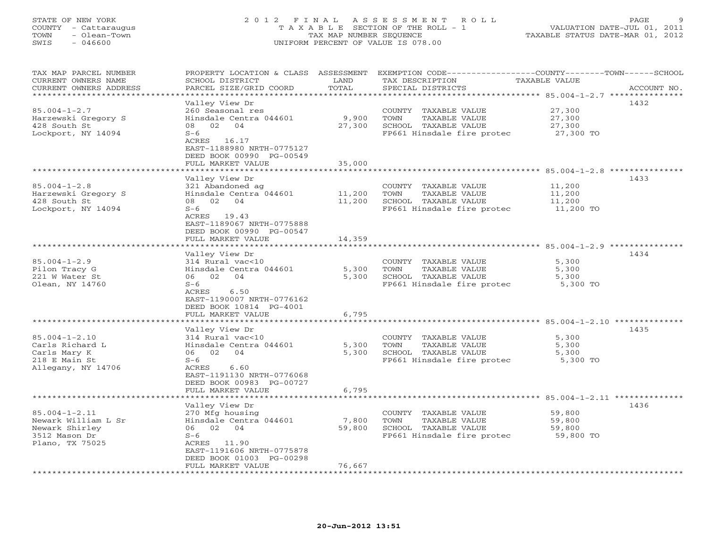### STATE OF NEW YORK 2 0 1 2 F I N A L A S S E S S M E N T R O L L PAGE 9 COUNTY - Cattaraugus T A X A B L E SECTION OF THE ROLL - 1 VALUATION DATE-JUL 01, 2011 TOWN - Olean-Town TAX MAP NUMBER SEQUENCE TAXABLE STATUS DATE-MAR 01, 2012 SWIS - 046600 UNIFORM PERCENT OF VALUE IS 078.00

| TAX MAP PARCEL NUMBER<br>CURRENT OWNERS NAME<br>CURRENT OWNERS ADDRESS | PROPERTY LOCATION & CLASS ASSESSMENT<br>SCHOOL DISTRICT<br>PARCEL SIZE/GRID COORD | LAND<br>TOTAL               | EXEMPTION CODE-----------------COUNTY-------TOWN------SCHOOL<br>TAX DESCRIPTION<br>SPECIAL DISTRICTS | <b>TAXABLE VALUE</b><br>ACCOUNT NO. |
|------------------------------------------------------------------------|-----------------------------------------------------------------------------------|-----------------------------|------------------------------------------------------------------------------------------------------|-------------------------------------|
| **********************                                                 |                                                                                   |                             |                                                                                                      |                                     |
|                                                                        | Valley View Dr                                                                    |                             |                                                                                                      | 1432                                |
| $85.004 - 1 - 2.7$                                                     | 260 Seasonal res                                                                  |                             | COUNTY TAXABLE VALUE                                                                                 | 27,300                              |
| Harzewski Gregory S                                                    | Hinsdale Centra 044601                                                            | 9,900                       | TOWN<br>TAXABLE VALUE                                                                                | 27,300                              |
| 428 South St                                                           | 08<br>02 04                                                                       | 27,300                      | SCHOOL TAXABLE VALUE                                                                                 | 27,300                              |
| Lockport, NY 14094                                                     | $S-6$                                                                             |                             | FP661 Hinsdale fire protec                                                                           | 27,300 TO                           |
|                                                                        | ACRES 16.17                                                                       |                             |                                                                                                      |                                     |
|                                                                        |                                                                                   |                             |                                                                                                      |                                     |
|                                                                        | EAST-1188980 NRTH-0775127                                                         |                             |                                                                                                      |                                     |
|                                                                        | DEED BOOK 00990 PG-00549                                                          |                             |                                                                                                      |                                     |
|                                                                        | FULL MARKET VALUE                                                                 | 35,000                      |                                                                                                      |                                     |
|                                                                        |                                                                                   |                             |                                                                                                      |                                     |
|                                                                        | Valley View Dr                                                                    |                             |                                                                                                      | 1433                                |
| $85.004 - 1 - 2.8$                                                     | 321 Abandoned ag                                                                  |                             | COUNTY TAXABLE VALUE                                                                                 | 11,200                              |
| Harzewski Gregory S                                                    | Hinsdale Centra 044601                                                            | 11,200                      | TAXABLE VALUE<br>TOWN                                                                                | 11,200                              |
| 428 South St                                                           | 08 02 04                                                                          | 11,200                      | SCHOOL TAXABLE VALUE                                                                                 | 11,200                              |
| Lockport, NY 14094                                                     | $S-6$                                                                             |                             | FP661 Hinsdale fire protec                                                                           | 11,200 TO                           |
|                                                                        | ACRES 19.43                                                                       |                             |                                                                                                      |                                     |
|                                                                        | EAST-1189067 NRTH-0775888                                                         |                             |                                                                                                      |                                     |
|                                                                        | DEED BOOK 00990 PG-00547                                                          |                             |                                                                                                      |                                     |
|                                                                        | FULL MARKET VALUE                                                                 | 14,359                      |                                                                                                      |                                     |
|                                                                        | *******************                                                               | * * * * * * * * * * * * * * | **********************************85.004-1-2.9 ***********                                           |                                     |
|                                                                        | Valley View Dr                                                                    |                             |                                                                                                      | 1434                                |
| $85.004 - 1 - 2.9$                                                     | 314 Rural vac<10                                                                  |                             | COUNTY TAXABLE VALUE                                                                                 | 5,300                               |
| Pilon Tracy G                                                          | Hinsdale Centra 044601                                                            | 5,300                       | TAXABLE VALUE<br>TOWN                                                                                | 5,300                               |
| 221 W Water St                                                         | 06 02 04                                                                          | 5,300                       | SCHOOL TAXABLE VALUE                                                                                 | 5,300                               |
| Olean, NY 14760                                                        | $S-6$                                                                             |                             | FP661 Hinsdale fire protec                                                                           | 5,300 TO                            |
|                                                                        | ACRES<br>6.50                                                                     |                             |                                                                                                      |                                     |
|                                                                        | EAST-1190007 NRTH-0776162                                                         |                             |                                                                                                      |                                     |
|                                                                        | DEED BOOK 10814 PG-4001                                                           |                             |                                                                                                      |                                     |
|                                                                        | FULL MARKET VALUE                                                                 | 6,795                       |                                                                                                      |                                     |
|                                                                        |                                                                                   |                             |                                                                                                      |                                     |
|                                                                        | Valley View Dr                                                                    |                             |                                                                                                      | 1435                                |
| $85.004 - 1 - 2.10$                                                    | 314 Rural vac<10                                                                  |                             | COUNTY TAXABLE VALUE                                                                                 | 5,300                               |
| Carls Richard L                                                        | Hinsdale Centra 044601                                                            | 5,300                       | TOWN<br>TAXABLE VALUE                                                                                | 5,300                               |
| Carls Mary K                                                           | 06 02 04                                                                          | 5,300                       | SCHOOL TAXABLE VALUE                                                                                 | 5,300                               |
| 218 E Main St                                                          | $S-6$                                                                             |                             | FP661 Hinsdale fire protec                                                                           | 5,300 TO                            |
| Allegany, NY 14706                                                     | ACRES<br>6.60                                                                     |                             |                                                                                                      |                                     |
|                                                                        | EAST-1191130 NRTH-0776068                                                         |                             |                                                                                                      |                                     |
|                                                                        | DEED BOOK 00983 PG-00727                                                          |                             |                                                                                                      |                                     |
|                                                                        | FULL MARKET VALUE                                                                 | 6,795                       |                                                                                                      |                                     |
|                                                                        |                                                                                   |                             |                                                                                                      |                                     |
|                                                                        | Valley View Dr                                                                    |                             |                                                                                                      | 1436                                |
| $85.004 - 1 - 2.11$                                                    | 270 Mfg housing                                                                   |                             | COUNTY TAXABLE VALUE                                                                                 | 59,800                              |
| Newark William L Sr                                                    | Hinsdale Centra 044601                                                            | 7,800                       | TOWN<br>TAXABLE VALUE                                                                                | 59,800                              |
| Newark Shirley                                                         | 06 02 04                                                                          | 59,800                      | SCHOOL TAXABLE VALUE                                                                                 | 59,800                              |
| 3512 Mason Dr                                                          | $S-6$                                                                             |                             | FP661 Hinsdale fire protec                                                                           | 59,800 TO                           |
| Plano, TX 75025                                                        | ACRES 11.90                                                                       |                             |                                                                                                      |                                     |
|                                                                        | EAST-1191606 NRTH-0775878                                                         |                             |                                                                                                      |                                     |
|                                                                        | DEED BOOK 01003 PG-00298                                                          |                             |                                                                                                      |                                     |
|                                                                        | FULL MARKET VALUE                                                                 | 76,667                      |                                                                                                      |                                     |
|                                                                        | ****************                                                                  |                             |                                                                                                      |                                     |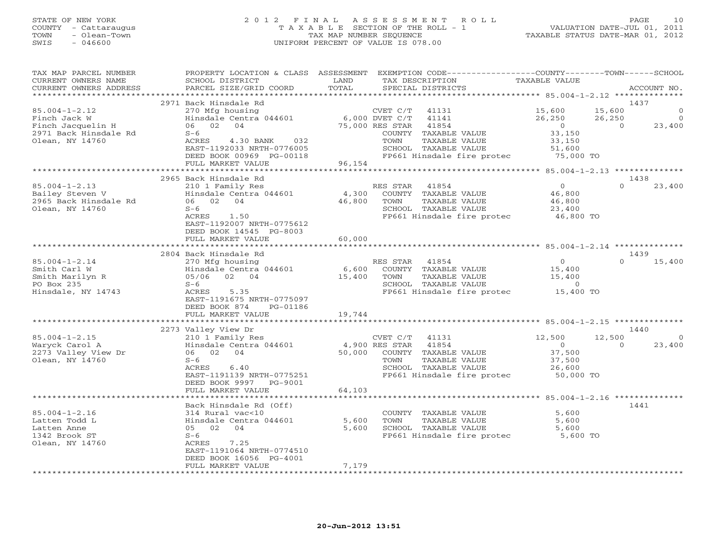# STATE OF NEW YORK 2 0 1 2 F I N A L A S S E S S M E N T R O L L PAGE 10 COUNTY - Cattaraugus T A X A B L E SECTION OF THE ROLL - 1 VALUATION DATE-JUL 01, 2011 TOWN - Olean-Town TAX MAP NUMBER SEQUENCE TAXABLE STATUS DATE-MAR 01, 2012 SWIS - 046600 UNIFORM PERCENT OF VALUE IS 078.00

| TAX MAP PARCEL NUMBER<br>CURRENT OWNERS NAME | PROPERTY LOCATION & CLASS ASSESSMENT<br>SCHOOL DISTRICT | LAND   | EXEMPTION CODE-----------------COUNTY-------TOWN------SCHOOL<br>TAX DESCRIPTION | TAXABLE VALUE  |                       |
|----------------------------------------------|---------------------------------------------------------|--------|---------------------------------------------------------------------------------|----------------|-----------------------|
| CURRENT OWNERS ADDRESS                       | PARCEL SIZE/GRID COORD                                  | TOTAL  | SPECIAL DISTRICTS                                                               |                | ACCOUNT NO.           |
| *********************                        |                                                         |        |                                                                                 |                |                       |
|                                              | 2971 Back Hinsdale Rd                                   |        |                                                                                 |                | 1437                  |
| $85.004 - 1 - 2.12$                          | 270 Mfg housing                                         |        | CVET C/T<br>41131                                                               | 15,600         | 15,600<br>$\mathbf 0$ |
| Finch Jack W                                 | Hinsdale Centra 044601                                  |        | 6,000 DVET C/T<br>41141                                                         | 26,250         | 26,250<br>$\circ$     |
| Finch Jacquelin H                            | 06 02<br>04                                             |        | 75,000 RES STAR<br>41854                                                        | $\overline{0}$ | 23,400<br>$\bigcirc$  |
| 2971 Back Hinsdale Rd                        | $S-6$                                                   |        | COUNTY TAXABLE VALUE                                                            | 33,150         |                       |
| Olean, NY 14760                              | 032<br>ACRES<br>4.30 BANK                               |        | TAXABLE VALUE<br>TOWN                                                           | 33,150         |                       |
|                                              | EAST-1192033 NRTH-0776005                               |        | SCHOOL TAXABLE VALUE                                                            | 51,600         |                       |
|                                              | DEED BOOK 00969 PG-00118                                |        | FP661 Hinsdale fire protec 75,000 TO                                            |                |                       |
|                                              | FULL MARKET VALUE                                       | 96,154 |                                                                                 |                |                       |
|                                              |                                                         |        |                                                                                 |                |                       |
|                                              | 2965 Back Hinsdale Rd                                   |        |                                                                                 |                | 1438                  |
| $85.004 - 1 - 2.13$                          | 210 1 Family Res                                        |        | RES STAR<br>41854                                                               | $\overline{0}$ | $\Omega$<br>23,400    |
| Bailey Steven V                              | Hinsdale Centra 044601                                  | 4,300  | COUNTY TAXABLE VALUE                                                            | 46,800         |                       |
| 2965 Back Hinsdale Rd                        | 06 02 04                                                | 46,800 | TAXABLE VALUE<br>TOWN                                                           | 46,800         |                       |
| Olean, NY 14760                              | $S-6$                                                   |        | SCHOOL TAXABLE VALUE                                                            | 23,400         |                       |
|                                              | 1.50<br>ACRES<br>EAST-1192007 NRTH-0775612              |        | FP661 Hinsdale fire protec                                                      | 46,800 TO      |                       |
|                                              | DEED BOOK 14545 PG-8003                                 |        |                                                                                 |                |                       |
|                                              | FULL MARKET VALUE                                       | 60,000 |                                                                                 |                |                       |
|                                              |                                                         |        |                                                                                 |                |                       |
|                                              | 2804 Back Hinsdale Rd                                   |        |                                                                                 |                | 1439                  |
| $85.004 - 1 - 2.14$                          | 270 Mfg housing                                         |        | RES STAR 41854                                                                  | $\circ$        | $\cap$<br>15,400      |
| Smith Carl W                                 | Hinsdale Centra 044601                                  | 6,600  | COUNTY TAXABLE VALUE                                                            | 15,400         |                       |
| Smith Marilyn R                              | 05/06 02 04                                             | 15,400 | TAXABLE VALUE<br>TOWN                                                           | 15,400         |                       |
| PO Box 235                                   | $S-6$                                                   |        | SCHOOL TAXABLE VALUE                                                            | $\circ$        |                       |
| Hinsdale, NY 14743                           | 5.35<br>ACRES                                           |        | FP661 Hinsdale fire protec                                                      | 15,400 TO      |                       |
|                                              | EAST-1191675 NRTH-0775097                               |        |                                                                                 |                |                       |
|                                              | DEED BOOK 874<br>PG-01186                               |        |                                                                                 |                |                       |
|                                              | FULL MARKET VALUE                                       | 19,744 |                                                                                 |                |                       |
|                                              |                                                         |        |                                                                                 |                |                       |
|                                              | 2273 Valley View Dr                                     |        |                                                                                 |                | 1440                  |
| $85.004 - 1 - 2.15$                          | 210 1 Family Res                                        |        | 41131<br>CVET C/T                                                               | 12,500         | 12,500<br>$\circ$     |
| Waryck Carol A                               | Hinsdale Centra 044601                                  |        | 4,900 RES STAR<br>41854                                                         | $\circ$        | $\Omega$<br>23,400    |
| 2273 Valley View Dr                          | 06 02 04                                                | 50,000 | COUNTY TAXABLE VALUE                                                            | 37,500         |                       |
| Olean, NY 14760                              | $S-6$                                                   |        | TOWN<br>TAXABLE VALUE                                                           | 37,500         |                       |
|                                              | 6.40<br>ACRES                                           |        | SCHOOL TAXABLE VALUE                                                            | 26,600         |                       |
|                                              | EAST-1191139 NRTH-0775251                               |        | FP661 Hinsdale fire protec 50,000 TO                                            |                |                       |
|                                              | DEED BOOK 9997<br>PG-9001                               |        |                                                                                 |                |                       |
|                                              | FULL MARKET VALUE                                       | 64,103 |                                                                                 |                |                       |
|                                              |                                                         |        |                                                                                 |                |                       |
| $85.004 - 1 - 2.16$                          | Back Hinsdale Rd (Off)<br>314 Rural vac<10              |        |                                                                                 | 5,600          | 1441                  |
| Latten Todd L                                | Hinsdale Centra 044601                                  | 5,600  | COUNTY TAXABLE VALUE<br>TOWN<br>TAXABLE VALUE                                   | 5,600          |                       |
| Latten Anne                                  | 05 02 04                                                | 5,600  | SCHOOL TAXABLE VALUE                                                            | 5,600          |                       |
| 1342 Brook ST                                | $S-6$                                                   |        | FP661 Hinsdale fire protec                                                      | 5,600 TO       |                       |
| Olean, NY 14760                              | 7.25<br>ACRES                                           |        |                                                                                 |                |                       |
|                                              | EAST-1191064 NRTH-0774510                               |        |                                                                                 |                |                       |
|                                              | DEED BOOK 16056 PG-4001                                 |        |                                                                                 |                |                       |
|                                              | FULL MARKET VALUE                                       | 7,179  |                                                                                 |                |                       |
|                                              |                                                         |        |                                                                                 |                |                       |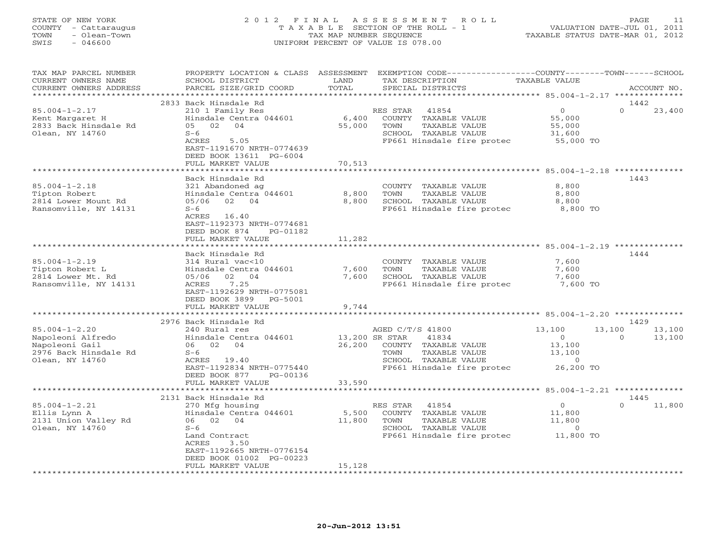# STATE OF NEW YORK 2 0 1 2 F I N A L A S S E S S M E N T R O L L PAGE 11 COUNTY - Cattaraugus T A X A B L E SECTION OF THE ROLL - 1 VALUATION DATE-JUL 01, 2011 TOWN - Olean-Town TAX MAP NUMBER SEQUENCE TAXABLE STATUS DATE-MAR 01, 2012 SWIS - 046600 UNIFORM PERCENT OF VALUE IS 078.00

| TAX MAP PARCEL NUMBER<br>CURRENT OWNERS NAME<br>CURRENT OWNERS ADDRESS                                 | SCHOOL DISTRICT<br>PARCEL SIZE/GRID COORD                                                                                                                                              | LAND<br>TOTAL             | PROPERTY LOCATION & CLASS ASSESSMENT EXEMPTION CODE---------------COUNTY-------TOWN------SCHOOL<br>TAX DESCRIPTION<br>SPECIAL DISTRICTS                             | <b>TAXABLE VALUE</b>                                        | ACCOUNT NO.                          |
|--------------------------------------------------------------------------------------------------------|----------------------------------------------------------------------------------------------------------------------------------------------------------------------------------------|---------------------------|---------------------------------------------------------------------------------------------------------------------------------------------------------------------|-------------------------------------------------------------|--------------------------------------|
|                                                                                                        |                                                                                                                                                                                        |                           |                                                                                                                                                                     |                                                             |                                      |
| $85.004 - 1 - 2.17$<br>Kent Margaret H<br>2833 Back Hinsdale Rd<br>Olean, NY 14760                     | 2833 Back Hinsdale Rd<br>210 1 Family Res<br>Hinsdale Centra 044601<br>05 02 04<br>$S-6$<br>ACRES<br>5.05<br>EAST-1191670 NRTH-0774639<br>DEED BOOK 13611 PG-6004<br>FULL MARKET VALUE | 6,400<br>55,000<br>70,513 | RES STAR<br>41854<br>COUNTY TAXABLE VALUE<br>TOWN<br>TAXABLE VALUE<br>SCHOOL TAXABLE VALUE<br>FP661 Hinsdale fire protec                                            | $\overline{0}$<br>55,000<br>55,000<br>31,600<br>$55,000$ TO | 1442<br>$\Omega$<br>23,400           |
|                                                                                                        | *******************                                                                                                                                                                    | * * * * * * * * * * * *   | ***********************************85.004-1-2.18 ***************                                                                                                    |                                                             |                                      |
| $85.004 - 1 - 2.18$<br>Tipton Robert<br>2814 Lower Mount Rd<br>Ransomville, NY 14131                   | Back Hinsdale Rd<br>321 Abandoned ag<br>Hinsdale Centra 044601<br>05/06 02 04<br>$S-6$<br>ACRES 16.40<br>EAST-1192373 NRTH-0774681<br>DEED BOOK 874<br>PG-01182                        | 8,800<br>8,800            | COUNTY TAXABLE VALUE<br>TOWN<br>TAXABLE VALUE<br>SCHOOL TAXABLE VALUE<br>FP661 Hinsdale fire protec 8,800 TO                                                        | 8,800<br>8,800<br>8,800                                     | 1443                                 |
|                                                                                                        | FULL MARKET VALUE                                                                                                                                                                      | 11,282                    |                                                                                                                                                                     |                                                             |                                      |
| $85.004 - 1 - 2.19$<br>Tipton Robert L<br>2814 Lower Mt. Rd<br>Ransomville, NY 14131                   | Back Hinsdale Rd<br>314 Rural vac<10<br>Hinsdale Centra 044601<br>02 04<br>05/06<br>ACRES<br>7.25<br>EAST-1192629 NRTH-0775081<br>DEED BOOK 3899<br>PG-5001                            | 7,600<br>7,600            | COUNTY TAXABLE VALUE<br>TAXABLE VALUE<br>TOWN<br>SCHOOL TAXABLE VALUE<br>FP661 Hinsdale fire protec                                                                 | 7,600<br>7,600<br>7,600<br>7,600 TO                         | 1444                                 |
|                                                                                                        | FULL MARKET VALUE                                                                                                                                                                      | 9,744                     |                                                                                                                                                                     |                                                             |                                      |
|                                                                                                        | 2976 Back Hinsdale Rd                                                                                                                                                                  | * * * * * * * * * *       | ****************************** 85.004-1-2.20 **************                                                                                                         |                                                             | 1429                                 |
| $85.004 - 1 - 2.20$<br>Napoleoni Alfredo<br>Napoleoni Gail<br>2976 Back Hinsdale Rd<br>Olean, NY 14760 | 240 Rural res<br>Hinsdale Centra 044601<br>06 02 04<br>$S-6$<br>ACRES 19.40<br>EAST-1192834 NRTH-0775440<br>DEED BOOK 877<br>PG-00136                                                  |                           | AGED C/T/S 41800<br>13,200 SR STAR<br>41834<br>26,200 COUNTY TAXABLE VALUE<br>TAXABLE VALUE<br>TOWN<br>SCHOOL TAXABLE VALUE<br>FP661 Hinsdale fire protec 26,200 TO | 13,100<br>$\overline{0}$<br>13,100<br>13,100<br>$\sim$ 0    | 13,100<br>13,100<br>13,100<br>$\cap$ |
|                                                                                                        | FULL MARKET VALUE                                                                                                                                                                      | 33,590                    |                                                                                                                                                                     |                                                             |                                      |
|                                                                                                        | 2131 Back Hinsdale Rd                                                                                                                                                                  |                           |                                                                                                                                                                     |                                                             | 1445                                 |
| $85.004 - 1 - 2.21$<br>Ellis Lynn A<br>2131 Union Valley Rd<br>Olean, NY 14760                         | 270 Mfg housing<br>Hinsdale Centra 044601<br>06 02 04<br>$S-6$<br>Land Contract<br>ACRES<br>3.50<br>EAST-1192665 NRTH-0776154<br>DEED BOOK 01002 PG-00223<br>FULL MARKET VALUE         | 5,500<br>11,800<br>15,128 | RES STAR<br>41854<br>COUNTY TAXABLE VALUE<br>TOWN<br>TAXABLE VALUE<br>SCHOOL TAXABLE VALUE<br>FP661 Hinsdale fire protec 11,800 TO                                  | $\overline{0}$<br>11,800<br>11,800<br>$\sim$ 0              | $\cap$<br>11,800                     |
|                                                                                                        | ********************                                                                                                                                                                   |                           |                                                                                                                                                                     |                                                             |                                      |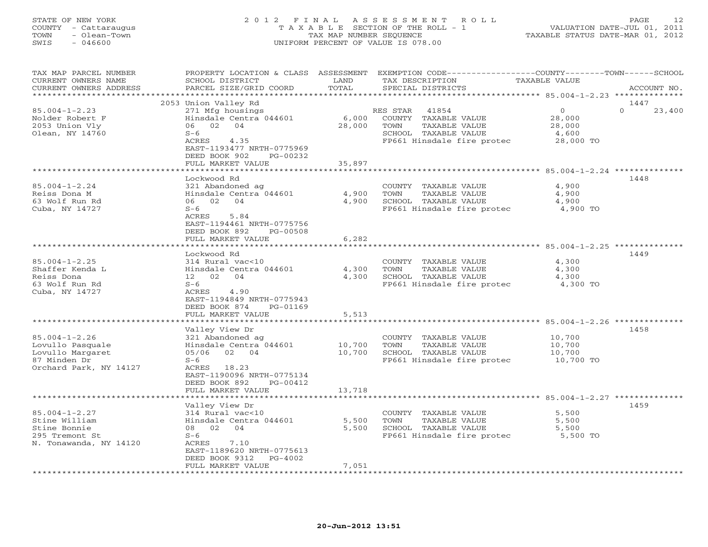### STATE OF NEW YORK 2 0 1 2 F I N A L A S S E S S M E N T R O L L PAGE 12 COUNTY - Cattaraugus T A X A B L E SECTION OF THE ROLL - 1 VALUATION DATE-JUL 01, 2011 TOWN - Olean-Town TAX MAP NUMBER SEQUENCE TAXABLE STATUS DATE-MAR 01, 2012 SWIS - 046600 UNIFORM PERCENT OF VALUE IS 078.00

| TAX MAP PARCEL NUMBER<br>CURRENT OWNERS NAME<br>CURRENT OWNERS ADDRESS                                | PROPERTY LOCATION & CLASS<br>SCHOOL DISTRICT<br>PARCEL SIZE/GRID COORD                                                                                                                  | ASSESSMENT<br>LAND<br>TOTAL | TAX DESCRIPTION<br>SPECIAL DISTRICTS                                                                                        | EXEMPTION CODE-----------------COUNTY-------TOWN-----SCHOOL<br>TAXABLE VALUE | ACCOUNT NO.                |
|-------------------------------------------------------------------------------------------------------|-----------------------------------------------------------------------------------------------------------------------------------------------------------------------------------------|-----------------------------|-----------------------------------------------------------------------------------------------------------------------------|------------------------------------------------------------------------------|----------------------------|
| * * * * * * * * * * * * * * * * * * *                                                                 |                                                                                                                                                                                         |                             |                                                                                                                             |                                                                              |                            |
| $85.004 - 1 - 2.23$<br>Nolder Robert F<br>2053 Union Vly<br>Olean, NY 14760                           | 2053 Union Valley Rd<br>271 Mfg housings<br>Hinsdale Centra 044601<br>06 02 04<br>$S-6$<br>ACRES<br>4.35<br>EAST-1193477 NRTH-0775969<br>DEED BOOK 902<br>PG-00232<br>FULL MARKET VALUE | 6,000<br>28,000<br>35,897   | RES STAR<br>41854<br>COUNTY<br>TAXABLE VALUE<br>TOWN<br>TAXABLE VALUE<br>SCHOOL TAXABLE VALUE<br>FP661 Hinsdale fire protec | $\Omega$<br>28,000<br>28,000<br>4,600<br>28,000 TO                           | 1447<br>$\Omega$<br>23,400 |
|                                                                                                       |                                                                                                                                                                                         | * * * * * * * * * *         |                                                                                                                             |                                                                              |                            |
| $85.004 - 1 - 2.24$<br>Reiss Dona M<br>63 Wolf Run Rd<br>Cuba, NY 14727                               | Lockwood Rd<br>321 Abandoned ag<br>Hinsdale Centra 044601<br>06 02<br>04<br>$S-6$<br>ACRES<br>5.84<br>EAST-1194461 NRTH-0775756<br>DEED BOOK 892<br>PG-00508<br>FULL MARKET VALUE       | 4,900<br>4,900<br>6,282     | COUNTY TAXABLE VALUE<br>TAXABLE VALUE<br>TOWN<br>SCHOOL TAXABLE VALUE<br>FP661 Hinsdale fire protec                         | 4,900<br>4,900<br>4,900<br>4,900 TO                                          | 1448                       |
|                                                                                                       | ***********************                                                                                                                                                                 |                             |                                                                                                                             |                                                                              |                            |
| $85.004 - 1 - 2.25$<br>Shaffer Kenda L<br>Reiss Dona<br>63 Wolf Run Rd<br>Cuba, NY 14727              | Lockwood Rd<br>314 Rural vac<10<br>Hinsdale Centra 044601<br>12 02<br>04<br>$S-6$<br>ACRES<br>4.90<br>EAST-1194849 NRTH-0775943<br>DEED BOOK 874<br>PG-01169                            | 4,300<br>4,300              | COUNTY TAXABLE VALUE<br>TAXABLE VALUE<br>TOWN<br>SCHOOL TAXABLE VALUE<br>FP661 Hinsdale fire protec                         | 4,300<br>4,300<br>4,300<br>4,300 TO                                          | 1449                       |
|                                                                                                       | FULL MARKET VALUE<br>* * * * * * * * * * * * * * * * * * * *                                                                                                                            | 5,513<br>**************     |                                                                                                                             | ************************************85.004-1-2.26 ****************           |                            |
| $85.004 - 1 - 2.26$<br>Lovullo Pasquale<br>Lovullo Margaret<br>87 Minden Dr<br>Orchard Park, NY 14127 | Valley View Dr<br>321 Abandoned ag<br>Hinsdale Centra 044601<br>05/06 02 04<br>$S-6$<br>ACRES 18.23<br>EAST-1190096 NRTH-0775134<br>DEED BOOK 892<br>PG-00412                           | 10,700<br>10,700            | COUNTY TAXABLE VALUE<br>TAXABLE VALUE<br>TOWN<br>SCHOOL TAXABLE VALUE<br>FP661 Hinsdale fire protec                         | 10,700<br>10,700<br>10,700<br>10,700 TO                                      | 1458                       |
|                                                                                                       | FULL MARKET VALUE                                                                                                                                                                       | 13,718                      |                                                                                                                             |                                                                              |                            |
| $85.004 - 1 - 2.27$<br>Stine William<br>Stine Bonnie<br>295 Tremont St<br>N. Tonawanda, NY 14120      | Valley View Dr<br>314 Rural vac<10<br>Hinsdale Centra 044601<br>08 02<br>04<br>$S-6$<br>7.10<br>ACRES<br>EAST-1189620 NRTH-0775613<br>DEED BOOK 9312<br>PG-4002<br>FULL MARKET VALUE    | 5,500<br>5,500<br>7,051     | COUNTY TAXABLE VALUE<br>TOWN<br>TAXABLE VALUE<br>SCHOOL TAXABLE VALUE<br>FP661 Hinsdale fire protec                         | 5,500<br>5,500<br>5,500<br>5,500 TO                                          | 1459                       |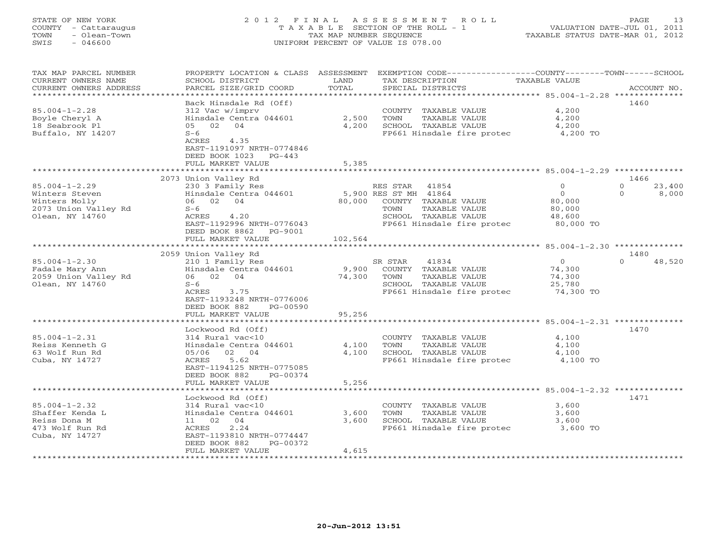# STATE OF NEW YORK 2 0 1 2 F I N A L A S S E S S M E N T R O L L PAGE 13 COUNTY - Cattaraugus T A X A B L E SECTION OF THE ROLL - 1 VALUATION DATE-JUL 01, 2011 TOWN - Olean-Town TAX MAP NUMBER SEQUENCE TAXABLE STATUS DATE-MAR 01, 2012 SWIS - 046600 UNIFORM PERCENT OF VALUE IS 078.00

| TAX MAP PARCEL NUMBER<br>CURRENT OWNERS NAME<br>CURRENT OWNERS ADDRESS                            | PROPERTY LOCATION & CLASS<br>SCHOOL DISTRICT<br>PARCEL SIZE/GRID COORD                                                                                                                       | ASSESSMENT<br>LAND<br>TOTAL | EXEMPTION CODE-----------------COUNTY-------TOWN------SCHOOL<br>TAX DESCRIPTION<br>SPECIAL DISTRICTS                                              | <b>TAXABLE VALUE</b>                                                                    | ACCOUNT NO.                                         |
|---------------------------------------------------------------------------------------------------|----------------------------------------------------------------------------------------------------------------------------------------------------------------------------------------------|-----------------------------|---------------------------------------------------------------------------------------------------------------------------------------------------|-----------------------------------------------------------------------------------------|-----------------------------------------------------|
|                                                                                                   |                                                                                                                                                                                              | **********                  |                                                                                                                                                   | *********** 85.004-1-2.28 **************                                                |                                                     |
| $85.004 - 1 - 2.28$<br>Boyle Cheryl A<br>18 Seabrook Pl<br>Buffalo, NY 14207                      | Back Hinsdale Rd (Off)<br>312 Vac w/imprv<br>Hinsdale Centra 044601<br>05 02<br>04<br>$S-6$<br>4.35<br>ACRES<br>EAST-1191097 NRTH-0774846<br>DEED BOOK 1023<br>$PG-443$<br>FULL MARKET VALUE | 2,500<br>4,200<br>5,385     | COUNTY TAXABLE VALUE<br>TAXABLE VALUE<br>TOWN<br>SCHOOL TAXABLE VALUE<br>FP661 Hinsdale fire protec                                               | 4,200<br>4,200<br>4,200<br>4,200 TO                                                     | 1460                                                |
|                                                                                                   |                                                                                                                                                                                              |                             |                                                                                                                                                   |                                                                                         |                                                     |
| $85.004 - 1 - 2.29$<br>Winters Steven<br>Winters Molly<br>2073 Union Valley Rd<br>Olean, NY 14760 | 2073 Union Valley Rd<br>230 3 Family Res<br>Hinsdale Centra 044601<br>06 02<br>04<br>$S-6$<br>ACRES<br>4.20<br>EAST-1192996 NRTH-0776043<br>DEED BOOK 8862<br>PG-9001<br>FULL MARKET VALUE   | 80,000<br>102,564           | RES STAR<br>41854<br>5,900 RES ST MH 41864<br>COUNTY TAXABLE VALUE<br>TOWN<br>TAXABLE VALUE<br>SCHOOL TAXABLE VALUE<br>FP661 Hinsdale fire protec | $\circ$<br>$\mathbf{0}$<br>80,000<br>80,000<br>48,600<br>80,000 TO                      | 1466<br>$\mathbf{O}$<br>23,400<br>$\Omega$<br>8,000 |
|                                                                                                   | *******************                                                                                                                                                                          |                             |                                                                                                                                                   |                                                                                         |                                                     |
| $85.004 - 1 - 2.30$<br>Fadale Mary Ann<br>2059 Union Valley Rd<br>Olean, NY 14760                 | 2059 Union Valley Rd<br>210 1 Family Res<br>Hinsdale Centra 044601<br>06 02<br>04<br>$S-6$<br>ACRES<br>3.75<br>EAST-1193248 NRTH-0776006<br>DEED BOOK 882<br>PG-00590                        | 9,900<br>74,300             | 41834<br>SR STAR<br>COUNTY TAXABLE VALUE<br>TOWN<br>TAXABLE VALUE<br>SCHOOL TAXABLE VALUE<br>FP661 Hinsdale fire protec                           | $\circ$<br>74,300<br>74,300<br>25,780<br>74,300 TO                                      | 1480<br>$\Omega$<br>48,520                          |
|                                                                                                   | FULL MARKET VALUE                                                                                                                                                                            | 95,256                      |                                                                                                                                                   |                                                                                         |                                                     |
| $85.004 - 1 - 2.31$<br>Reiss Kenneth G<br>63 Wolf Run Rd<br>Cuba, NY 14727                        | Lockwood Rd (Off)<br>314 Rural vac<10<br>Hinsdale Centra 044601<br>05/06<br>02 04<br>5.62<br>ACRES<br>EAST-1194125 NRTH-0775085<br>DEED BOOK 882<br>PG-00374<br>FULL MARKET VALUE            | 4,100<br>4,100<br>5,256     | COUNTY TAXABLE VALUE<br>TOWN<br>TAXABLE VALUE<br>SCHOOL TAXABLE VALUE<br>FP661 Hinsdale fire protec                                               | ************************* 85.004-1-2.31 ********<br>4,100<br>4,100<br>4,100<br>4,100 TO | 1470                                                |
|                                                                                                   |                                                                                                                                                                                              | ************                | ************************************ 85.004-1-2.32 **************                                                                                 |                                                                                         |                                                     |
| $85.004 - 1 - 2.32$<br>Shaffer Kenda L<br>Reiss Dona M<br>473 Wolf Run Rd<br>Cuba, NY 14727       | Lockwood Rd (Off)<br>314 Rural vac<10<br>Hinsdale Centra 044601<br>02<br>04<br>11<br>2.24<br>ACRES<br>EAST-1193810 NRTH-0774447<br>DEED BOOK 882<br>PG-00372<br>FULL MARKET VALUE            | 3,600<br>3,600<br>4,615     | COUNTY TAXABLE VALUE<br>TOWN<br>TAXABLE VALUE<br>SCHOOL TAXABLE VALUE<br>FP661 Hinsdale fire protec                                               | 3,600<br>3,600<br>3,600<br>3,600 TO                                                     | 1471                                                |
|                                                                                                   |                                                                                                                                                                                              |                             |                                                                                                                                                   |                                                                                         |                                                     |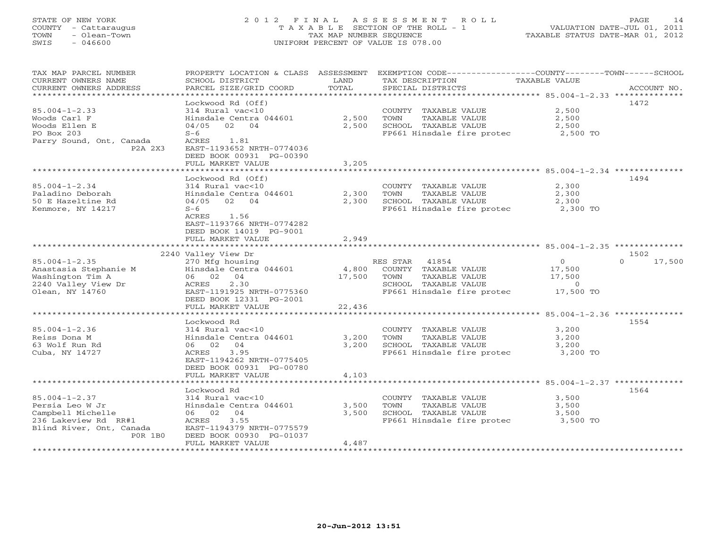#### STATE OF NEW YORK 2 0 1 2 F I N A L A S S E S S M E N T R O L L PAGE 14 COUNTY - Cattaraugus T A X A B L E SECTION OF THE ROLL - 1 VALUATION DATE-JUL 01, 2011 TOWN - Olean-Town TAX MAP NUMBER SEQUENCE TAXABLE STATUS DATE-MAR 01, 2012 SWIS - 046600 UNIFORM PERCENT OF VALUE IS 078.00UNIFORM PERCENT OF VALUE IS 078.00

| TAX MAP PARCEL NUMBER<br>CURRENT OWNERS NAME<br>CURRENT OWNERS ADDRESS | PROPERTY LOCATION & CLASS ASSESSMENT<br>SCHOOL DISTRICT<br>PARCEL SIZE/GRID COORD | LAND<br>TOTAL   | EXEMPTION CODE-----------------COUNTY-------TOWN------SCHOOL<br>TAX DESCRIPTION<br>SPECIAL DISTRICTS | TAXABLE VALUE                                               | ACCOUNT NO.        |
|------------------------------------------------------------------------|-----------------------------------------------------------------------------------|-----------------|------------------------------------------------------------------------------------------------------|-------------------------------------------------------------|--------------------|
|                                                                        |                                                                                   |                 |                                                                                                      |                                                             |                    |
|                                                                        | Lockwood Rd (Off)                                                                 |                 |                                                                                                      |                                                             | 1472               |
| $85.004 - 1 - 2.33$<br>Woods Carl F                                    | 314 Rural vac<10<br>Hinsdale Centra 044601                                        | 2,500           | COUNTY TAXABLE VALUE<br>TOWN<br>TAXABLE VALUE                                                        | 2,500<br>2,500                                              |                    |
| Woods Ellen E                                                          | 02 04<br>04/05                                                                    | 2,500           | SCHOOL TAXABLE VALUE                                                                                 | 2,500                                                       |                    |
| PO Box 203                                                             | $S-6$                                                                             |                 | FP661 Hinsdale fire protec                                                                           | 2,500 TO                                                    |                    |
| Parry Sound, Ont, Canada<br>P2A 2X3                                    | ACRES<br>1.81<br>EAST-1193652 NRTH-0774036<br>DEED BOOK 00931 PG-00390            |                 |                                                                                                      |                                                             |                    |
|                                                                        | FULL MARKET VALUE                                                                 | 3,205           |                                                                                                      |                                                             |                    |
|                                                                        | Lockwood Rd (Off)                                                                 |                 |                                                                                                      |                                                             | 1494               |
| $85.004 - 1 - 2.34$                                                    | 314 Rural vac<10                                                                  |                 | COUNTY TAXABLE VALUE                                                                                 | 2,300                                                       |                    |
| Paladino Deborah                                                       | Hinsdale Centra 044601                                                            | 2,300           | TOWN<br>TAXABLE VALUE                                                                                | 2,300                                                       |                    |
| 50 E Hazeltine Rd                                                      | 04/05<br>02<br>04                                                                 | 2,300           | SCHOOL TAXABLE VALUE                                                                                 | 2,300                                                       |                    |
| Kenmore, NY 14217                                                      | $S-6$                                                                             |                 | FP661 Hinsdale fire protec                                                                           | 2,300 TO                                                    |                    |
|                                                                        | ACRES<br>1.56<br>EAST-1193766 NRTH-0774282                                        |                 |                                                                                                      |                                                             |                    |
|                                                                        | DEED BOOK 14019 PG-9001<br>FULL MARKET VALUE                                      | 2,949           |                                                                                                      |                                                             |                    |
|                                                                        | **********************                                                            | **************  |                                                                                                      |                                                             |                    |
|                                                                        | 2240 Valley View Dr                                                               |                 |                                                                                                      |                                                             | 1502               |
| $85.004 - 1 - 2.35$                                                    | 270 Mfg housing                                                                   |                 | RES STAR<br>41854                                                                                    | $\circ$                                                     | $\Omega$<br>17,500 |
| Anastasia Stephanie M                                                  | Hinsdale Centra 044601<br>06 02<br>04                                             | 4,800<br>17,500 | COUNTY TAXABLE VALUE<br>TOWN                                                                         | 17,500                                                      |                    |
| Washington Tim A<br>2240 Valley View Dr                                | <b>ACRES</b><br>2.30                                                              |                 | TAXABLE VALUE<br>SCHOOL TAXABLE VALUE                                                                | 17,500<br>$\Omega$                                          |                    |
| Olean, NY 14760                                                        | EAST-1191925 NRTH-0775360                                                         |                 | FP661 Hinsdale fire protec                                                                           | 17,500 TO                                                   |                    |
|                                                                        | DEED BOOK 12331 PG-2001                                                           |                 |                                                                                                      |                                                             |                    |
|                                                                        | FULL MARKET VALUE                                                                 | 22,436          |                                                                                                      |                                                             |                    |
|                                                                        | Lockwood Rd                                                                       |                 |                                                                                                      | ****************************** 85.004-1-2.36 ************** | 1554               |
| $85.004 - 1 - 2.36$                                                    | 314 Rural vac<10                                                                  |                 | COUNTY TAXABLE VALUE                                                                                 | 3,200                                                       |                    |
| Reiss Dona M                                                           | Hinsdale Centra 044601                                                            | 3,200           | TOWN<br>TAXABLE VALUE                                                                                | 3,200                                                       |                    |
| 63 Wolf Run Rd                                                         | 06 02<br>04                                                                       | 3,200           | SCHOOL TAXABLE VALUE                                                                                 | 3,200                                                       |                    |
| Cuba, NY 14727                                                         | 3.95<br>ACRES<br>EAST-1194262 NRTH-0775405<br>DEED BOOK 00931 PG-00780            |                 | FP661 Hinsdale fire protec                                                                           | 3,200 TO                                                    |                    |
|                                                                        | FULL MARKET VALUE<br>* * * * * * * * * * * * * * * * * * *                        | 4,103           |                                                                                                      | ************************* 85.004-1-2.37 **************      |                    |
|                                                                        | Lockwood Rd                                                                       |                 |                                                                                                      |                                                             | 1564               |
| $85.004 - 1 - 2.37$                                                    | 314 Rural vac<10                                                                  |                 | COUNTY TAXABLE VALUE                                                                                 | 3,500                                                       |                    |
| Persia Leo W Jr                                                        | Hinsdale Centra 044601                                                            | 3,500           | TOWN<br>TAXABLE VALUE                                                                                | 3,500                                                       |                    |
| Campbell Michelle                                                      | 06 02<br>04                                                                       | 3,500           | SCHOOL TAXABLE VALUE                                                                                 | 3,500                                                       |                    |
| 236 Lakeview Rd RR#1                                                   | 3.55<br>ACRES                                                                     |                 | FP661 Hinsdale fire protec                                                                           | 3,500 TO                                                    |                    |
| Blind River, Ont, Canada<br><b>POR 1BO</b>                             | EAST-1194379 NRTH-0775579                                                         |                 |                                                                                                      |                                                             |                    |
|                                                                        | DEED BOOK 00930 PG-01037<br>FULL MARKET VALUE                                     | 4,487           |                                                                                                      |                                                             |                    |
|                                                                        |                                                                                   |                 |                                                                                                      |                                                             |                    |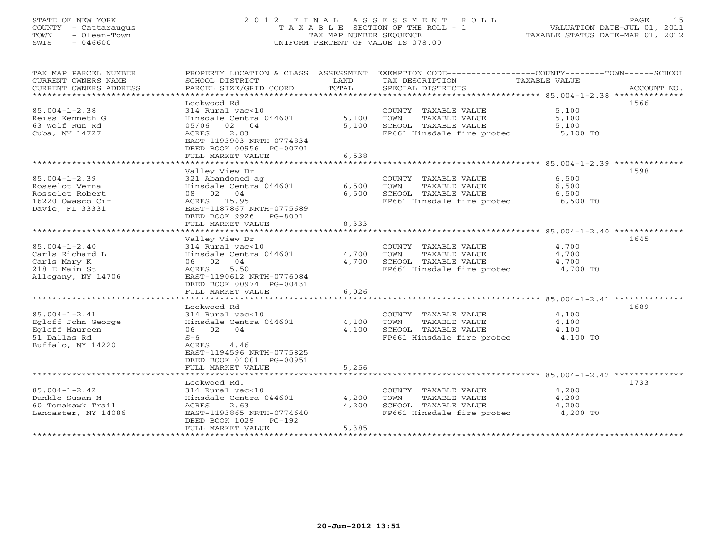### STATE OF NEW YORK 2 0 1 2 F I N A L A S S E S S M E N T R O L L PAGE 15COUNTY - Cattaraugus T A X A B L E SECTION OF THE ROLL - 1<br>
TOWN - Olean-Town<br>
SWIS - 046600 COUNTEDRENT OF VALUE IS 078.00 SWIS - 046600 UNIFORM PERCENT OF VALUE IS 078.00

| TAX MAP PARCEL NUMBER<br>CURRENT OWNERS NAME | PROPERTY LOCATION & CLASS ASSESSMENT<br>SCHOOL DISTRICT | LAND        | EXEMPTION CODE-----------------COUNTY-------TOWN------SCHOOL<br>TAX DESCRIPTION | TAXABLE VALUE |             |
|----------------------------------------------|---------------------------------------------------------|-------------|---------------------------------------------------------------------------------|---------------|-------------|
| CURRENT OWNERS ADDRESS                       | PARCEL SIZE/GRID COORD                                  | TOTAL       | SPECIAL DISTRICTS                                                               |               | ACCOUNT NO. |
|                                              |                                                         |             |                                                                                 |               |             |
|                                              | Lockwood Rd                                             |             |                                                                                 |               | 1566        |
| $85.004 - 1 - 2.38$                          | 314 Rural vac<10                                        |             | COUNTY TAXABLE VALUE                                                            | 5,100         |             |
| Reiss Kenneth G                              | Hinsdale Centra 044601                                  | 5,100       | TOWN<br>TAXABLE VALUE                                                           | 5,100         |             |
| 63 Wolf Run Rd                               | 05/06 02 04                                             | 5,100       | SCHOOL TAXABLE VALUE                                                            | 5,100         |             |
| Cuba, NY 14727                               | 2.83<br>ACRES                                           |             | FP661 Hinsdale fire protec 5,100 TO                                             |               |             |
|                                              | EAST-1193903 NRTH-0774834                               |             |                                                                                 |               |             |
|                                              | DEED BOOK 00956 PG-00701                                |             |                                                                                 |               |             |
|                                              | FULL MARKET VALUE                                       | 6,538       |                                                                                 |               |             |
|                                              |                                                         |             |                                                                                 |               |             |
|                                              | Valley View Dr                                          |             |                                                                                 |               | 1598        |
| $85.004 - 1 - 2.39$                          | 321 Abandoned ag                                        |             | COUNTY TAXABLE VALUE                                                            | 6,500         |             |
| Rosselot Verna                               | Hinsdale Centra 044601                                  | 6,500       | TAXABLE VALUE<br>TOWN                                                           | 6,500         |             |
| Rosselot Robert                              | 08 02 04                                                | 6,500       | SCHOOL TAXABLE VALUE                                                            | 6,500         |             |
| 16220 Owasco Cir                             | ACRES 15.95                                             |             | FP661 Hinsdale fire protec 6,500 TO                                             |               |             |
| Davie, FL 33331                              | EAST-1187867 NRTH-0775689                               |             |                                                                                 |               |             |
|                                              | DEED BOOK 9926 PG-8001<br>FULL MARKET VALUE             | 8,333       |                                                                                 |               |             |
|                                              | ***********************                                 | *********** |                                                                                 |               |             |
|                                              | Valley View Dr                                          |             |                                                                                 |               | 1645        |
| $85.004 - 1 - 2.40$                          | 314 Rural vac<10                                        |             | COUNTY TAXABLE VALUE                                                            | 4,700         |             |
| Carls Richard L                              | Hinsdale Centra 044601                                  | 4,700       | TOWN<br>TAXABLE VALUE                                                           | 4,700         |             |
| Carls Mary K                                 | 06 02 04                                                | 4,700       | SCHOOL TAXABLE VALUE                                                            | 4,700         |             |
| 218 E Main St                                | 5.50<br>ACRES                                           |             | FP661 Hinsdale fire protec                                                      | 4,700 TO      |             |
| Allegany, NY 14706                           | EAST-1190612 NRTH-0776084                               |             |                                                                                 |               |             |
|                                              | DEED BOOK 00974 PG-00431                                |             |                                                                                 |               |             |
|                                              | FULL MARKET VALUE                                       | 6,026       |                                                                                 |               |             |
|                                              | *******************************                         |             |                                                                                 |               |             |
|                                              | Lockwood Rd                                             |             |                                                                                 |               | 1689        |
| $85.004 - 1 - 2.41$                          | 314 Rural vac<10                                        |             | COUNTY TAXABLE VALUE                                                            | 4,100         |             |
| Egloff John George                           | Hinsdale Centra 044601                                  | 4,100       | TAXABLE VALUE<br>TOWN                                                           | 4,100         |             |
| Egloff Maureen                               | 06 02 04                                                | 4,100       | SCHOOL TAXABLE VALUE                                                            | 4,100         |             |
| 51 Dallas Rd                                 | $S-6$                                                   |             | FP661 Hinsdale fire protec                                                      | 4,100 TO      |             |
| Buffalo, NY 14220                            | ACRES<br>4.46                                           |             |                                                                                 |               |             |
|                                              | EAST-1194596 NRTH-0775825                               |             |                                                                                 |               |             |
|                                              | DEED BOOK 01001 PG-00951                                |             |                                                                                 |               |             |
|                                              | FULL MARKET VALUE                                       | 5,256       |                                                                                 |               |             |
|                                              |                                                         |             |                                                                                 |               |             |
| $85.004 - 1 - 2.42$                          | Lockwood Rd.<br>314 Rural vac<10                        |             | COUNTY TAXABLE VALUE                                                            | 4,200         | 1733        |
| Dunkle Susan M                               | Hinsdale Centra 044601                                  | 4,200       | TOWN<br>TAXABLE VALUE                                                           | 4,200         |             |
| 60 Tomakawk Trail                            | ACRES<br>2.63                                           | 4,200       | SCHOOL TAXABLE VALUE                                                            | 4,200         |             |
| Lancaster, NY 14086                          | EAST-1193865 NRTH-0774640                               |             | FP661 Hinsdale fire protec                                                      | 4,200 TO      |             |
|                                              | DEED BOOK 1029<br>$PG-192$                              |             |                                                                                 |               |             |
|                                              | FULL MARKET VALUE                                       | 5,385       |                                                                                 |               |             |
|                                              |                                                         |             |                                                                                 |               |             |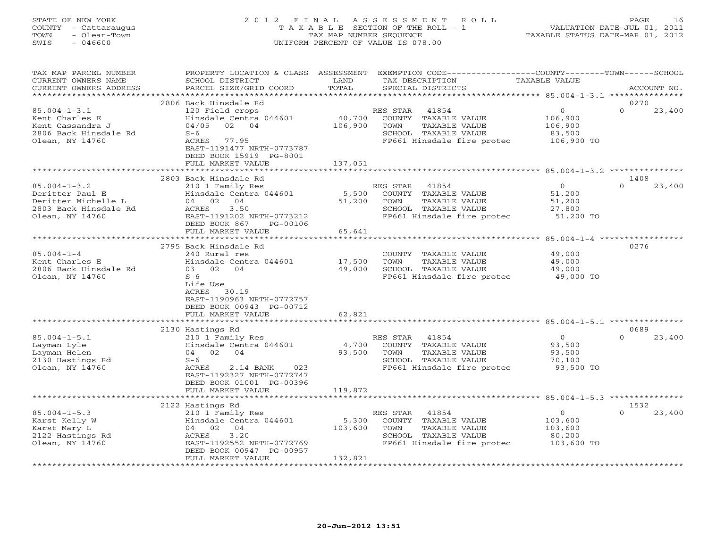### STATE OF NEW YORK 2 0 1 2 F I N A L A S S E S S M E N T R O L L PAGE 16 COUNTY - Cattaraugus T A X A B L E SECTION OF THE ROLL - 1 VALUATION DATE-JUL 01, 2011 TOWN - Olean-Town TAX MAP NUMBER SEQUENCE TAXABLE STATUS DATE-MAR 01, 2012 SWIS - 046600 UNIFORM PERCENT OF VALUE IS 078.00

| TAX MAP PARCEL NUMBER<br>CURRENT OWNERS NAME<br>CURRENT OWNERS ADDRESS                                   | PROPERTY LOCATION & CLASS ASSESSMENT<br>SCHOOL DISTRICT<br>PARCEL SIZE/GRID COORD                                                                                                                                             | LAND<br>TOTAL                | EXEMPTION CODE-----------------COUNTY-------TOWN------SCHOOL<br>TAX DESCRIPTION<br>SPECIAL DISTRICTS                        | <b>TAXABLE VALUE</b>                                                              | ACCOUNT NO.                |
|----------------------------------------------------------------------------------------------------------|-------------------------------------------------------------------------------------------------------------------------------------------------------------------------------------------------------------------------------|------------------------------|-----------------------------------------------------------------------------------------------------------------------------|-----------------------------------------------------------------------------------|----------------------------|
| *********************                                                                                    |                                                                                                                                                                                                                               |                              |                                                                                                                             |                                                                                   |                            |
| $85.004 - 1 - 3.1$<br>Kent Charles E<br>Kent Cassandra J<br>2806 Back Hinsdale Rd<br>Olean, NY 14760     | 2806 Back Hinsdale Rd<br>120 Field crops<br>Hinsdale Centra 044601<br>04/05<br>02<br>04<br>$S-6$<br>ACRES<br>77.95<br>EAST-1191477 NRTH-0773787<br>DEED BOOK 15919 PG-8001<br>FULL MARKET VALUE                               | 40,700<br>106,900<br>137,051 | RES STAR<br>41854<br>COUNTY<br>TAXABLE VALUE<br>TOWN<br>TAXABLE VALUE<br>SCHOOL TAXABLE VALUE<br>FP661 Hinsdale fire protec | $\circ$<br>106,900<br>106,900<br>83,500<br>106,900 TO                             | 0270<br>$\Omega$<br>23,400 |
|                                                                                                          |                                                                                                                                                                                                                               |                              |                                                                                                                             |                                                                                   |                            |
| $85.004 - 1 - 3.2$<br>Deritter Paul E<br>Deritter Michelle L<br>2803 Back Hinsdale Rd<br>Olean, NY 14760 | 2803 Back Hinsdale Rd<br>210 1 Family Res<br>Hinsdale Centra 044601<br>04 02<br>04<br>3.50<br>ACRES<br>EAST-1191202 NRTH-0773212<br>DEED BOOK 867<br>PG-00106                                                                 | 5,500<br>51,200              | RES STAR<br>41854<br>COUNTY TAXABLE VALUE<br>TAXABLE VALUE<br>TOWN<br>SCHOOL TAXABLE VALUE<br>FP661 Hinsdale fire protec    | $\overline{0}$<br>51,200<br>51,200<br>27,800<br>51,200 TO                         | 1408<br>$\Omega$<br>23,400 |
|                                                                                                          | FULL MARKET VALUE                                                                                                                                                                                                             | 65,641                       |                                                                                                                             |                                                                                   |                            |
| $85.004 - 1 - 4$<br>Kent Charles E<br>2806 Back Hinsdale Rd<br>Olean, NY 14760                           | *********************<br>2795 Back Hinsdale Rd<br>240 Rural res<br>Hinsdale Centra 044601<br>03 02<br>04<br>$S-6$<br>Life Use<br>30.19<br>ACRES<br>EAST-1190963 NRTH-0772757<br>DEED BOOK 00943 PG-00712<br>FULL MARKET VALUE | 17,500<br>49,000<br>62,821   | COUNTY<br>TAXABLE VALUE<br>TOWN<br>TAXABLE VALUE<br>SCHOOL TAXABLE VALUE<br>FP661 Hinsdale fire protec                      | **************** 85.004-1-4 **********<br>49,000<br>49,000<br>49,000<br>49,000 TO | 0276                       |
|                                                                                                          |                                                                                                                                                                                                                               |                              |                                                                                                                             | ***** 85.004-1-5.1 *****                                                          |                            |
| $85.004 - 1 - 5.1$<br>Layman Lyle<br>Layman Helen<br>2130 Hastings Rd<br>Olean, NY 14760                 | 2130 Hastings Rd<br>210 1 Family Res<br>Hinsdale Centra 044601<br>04 02<br>04<br>$S-6$<br>ACRES<br>2.14 BANK<br>023<br>EAST-1192327 NRTH-0772747<br>DEED BOOK 01001 PG-00396                                                  | 4,700<br>93,500              | RES STAR<br>41854<br>COUNTY TAXABLE VALUE<br>TAXABLE VALUE<br>TOWN<br>SCHOOL TAXABLE VALUE<br>FP661 Hinsdale fire protec    | $\overline{O}$<br>93,500<br>93,500<br>70,100<br>93,500 TO                         | 0689<br>$\Omega$<br>23,400 |
|                                                                                                          | FULL MARKET VALUE                                                                                                                                                                                                             | 119,872                      |                                                                                                                             |                                                                                   |                            |
|                                                                                                          | 2122 Hastings Rd                                                                                                                                                                                                              |                              |                                                                                                                             |                                                                                   | 1532                       |
| $85.004 - 1 - 5.3$<br>Karst Kelly W<br>Karst Mary L<br>2122 Hastings Rd<br>Olean, NY 14760               | 210 1 Family Res<br>Hinsdale Centra 044601<br>04 02<br>04<br>3.20<br>ACRES<br>EAST-1192552 NRTH-0772769<br>DEED BOOK 00947 PG-00957<br>FULL MARKET VALUE                                                                      | 5,300<br>103,600<br>132,821  | 41854<br>RES STAR<br>COUNTY TAXABLE VALUE<br>TOWN<br>TAXABLE VALUE<br>SCHOOL TAXABLE VALUE<br>FP661 Hinsdale fire protec    | $\circ$<br>103,600<br>103,600<br>80,200<br>103,600 TO                             | $\Omega$<br>23,400         |
|                                                                                                          |                                                                                                                                                                                                                               |                              |                                                                                                                             |                                                                                   |                            |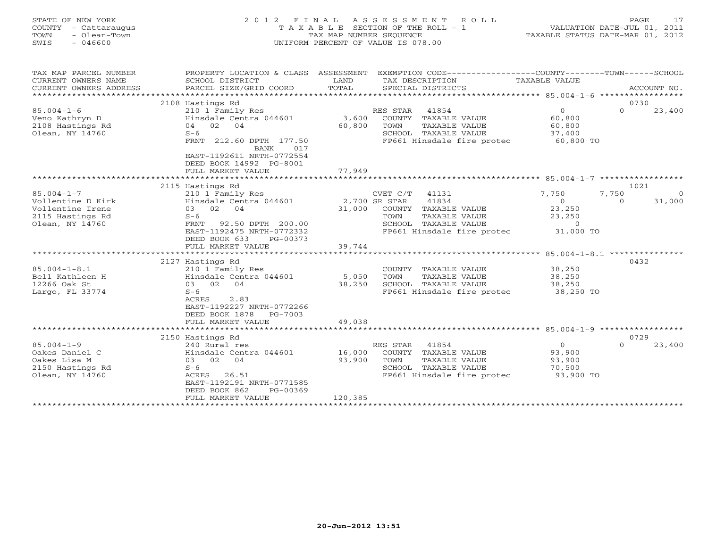| STATE OF NEW YORK<br>- Cattaraugus<br>COUNTY<br>- Olean-Town<br>TOWN<br>SWIS<br>- 046600 |                                                                        | TAX MAP NUMBER SEOUENCE     | 2012 FINAL ASSESSMENT ROLL<br>T A X A B L E SECTION OF THE ROLL - 1<br>UNIFORM PERCENT OF VALUE IS 078.00 | 17<br><b>PAGE</b><br>VALUATION DATE-JUL 01, 2011<br>TAXABLE STATUS DATE-MAR 01, 2012                        |
|------------------------------------------------------------------------------------------|------------------------------------------------------------------------|-----------------------------|-----------------------------------------------------------------------------------------------------------|-------------------------------------------------------------------------------------------------------------|
| TAX MAP PARCEL NUMBER<br>CURRENT OWNERS NAME<br>CURRENT OWNERS ADDRESS                   | PROPERTY LOCATION & CLASS<br>SCHOOL DISTRICT<br>PARCEL SIZE/GRID COORD | ASSESSMENT<br>LAND<br>TOTAL | TAX DESCRIPTION<br>SPECIAL DISTRICTS                                                                      | EXEMPTION $CODE--------------COUNTY------$<br>$- - + + + - - -$<br>--SCHOOL<br>TAXABLE VALUE<br>ACCOUNT NO. |

2108 Hastings Rd 0730

FULL MARKET VALUE 77,949 \*\*\*\*\*\*\*\*\*\*\*\*\*\*\*\*\*\*\*\*\*\*\*\*\*\*\*\*\*\*\*\*\*\*\*\*\*\*\*\*\*\*\*\*\*\*\*\*\*\*\*\*\*\*\*\*\*\*\*\*\*\*\*\*\*\*\*\*\*\*\*\*\*\*\*\*\*\*\*\*\*\*\*\*\*\*\*\*\*\*\*\*\*\*\*\*\*\*\*\*\*\*\* 85.004-1-7 \*\*\*\*\*\*\*\*\*\*\*\*\*\*\*\*\*

Veno Kathryn D Hinsdale Centra 044601 3,600 COUNTY TAXABLE VALUE 60,800

Olean, NY 14760 S-6 September 2008 SCHOOL TAXABLE VALUE 37,400

85.004-1-7 210 1 Family Res CVET C/T 41131 7,750 7,750 0 Vollentine D Kirk Hinsdale Centra 044601 2,700 SR STAR 41834 0 0 31,000 Vollentine Irene 03 02 04 31,000 COUNTY TAXABLE VALUE 23,250 2115 Hastings Rd S-6 TOWN TAXABLE VALUE 23,250

BANK 017

FRNT 92.50 DPTH 200.00

 EAST-1192611 NRTH-0772554DEED BOOK 14992 PG-8001

85.004-1-6 210 1 Family Res RES STAR 41854 0 0 23,400

2108 Hastings Rd 04 02 04 60,800 TOWN TAXABLE VALUE 60,800

FRNT 212.60 DPTH 177.50 FP661 Hinsdale fire protec 60,800 TO

EAST-1192475 NRTH-0772332 FP661 Hinsdale fire protec 31,000 TO

2115 Hastings Rd 1021

|                    | DEED BOOK 633<br>PG-00373 |         |                            |           |                    |
|--------------------|---------------------------|---------|----------------------------|-----------|--------------------|
|                    | FULL MARKET VALUE         | 39,744  |                            |           |                    |
|                    |                           |         |                            |           | ***************    |
|                    | 2127 Hastings Rd          |         |                            |           | 0432               |
| $85.004 - 1 - 8.1$ | 210 1 Family Res          |         | TAXABLE VALUE<br>COUNTY    | 38,250    |                    |
| Bell Kathleen H    | Hinsdale Centra 044601    | 5,050   | TAXABLE VALUE<br>TOWN      | 38,250    |                    |
| 12266 Oak St       | 03 02 04                  | 38,250  | SCHOOL TAXABLE VALUE       | 38,250    |                    |
| Largo, FL 33774    | $S-6$                     |         | FP661 Hinsdale fire protec | 38,250 TO |                    |
|                    | ACRES<br>2.83             |         |                            |           |                    |
|                    | EAST-1192227 NRTH-0772266 |         |                            |           |                    |
|                    | DEED BOOK 1878 PG-7003    |         |                            |           |                    |
|                    | FULL MARKET VALUE         | 49,038  |                            |           |                    |
|                    |                           |         |                            |           |                    |
|                    | 2150 Hastings Rd          |         |                            |           | 0729               |
| $85.004 - 1 - 9$   | 240 Rural res             |         | 41854<br>RES STAR          | $\Omega$  | 23,400<br>$\Omega$ |
| Oakes Daniel C     | Hinsdale Centra 044601    | 16,000  | COUNTY<br>TAXABLE VALUE    | 93,900    |                    |
| Oakes Lisa M       | 03 02 04                  | 93,900  | TOWN<br>TAXABLE VALUE      | 93,900    |                    |
| 2150 Hastings Rd   | $S-6$                     |         | TAXABLE VALUE<br>SCHOOL    | 70,500    |                    |
| Olean, NY 14760    | 26.51<br>ACRES            |         | FP661 Hinsdale fire protec | 93,900 TO |                    |
|                    | EAST-1192191 NRTH-0771585 |         |                            |           |                    |
|                    | DEED BOOK 862<br>PG-00369 |         |                            |           |                    |
|                    | FULL MARKET VALUE         | 120,385 |                            |           |                    |
|                    |                           |         |                            |           |                    |
|                    |                           |         |                            |           |                    |
|                    |                           |         |                            |           |                    |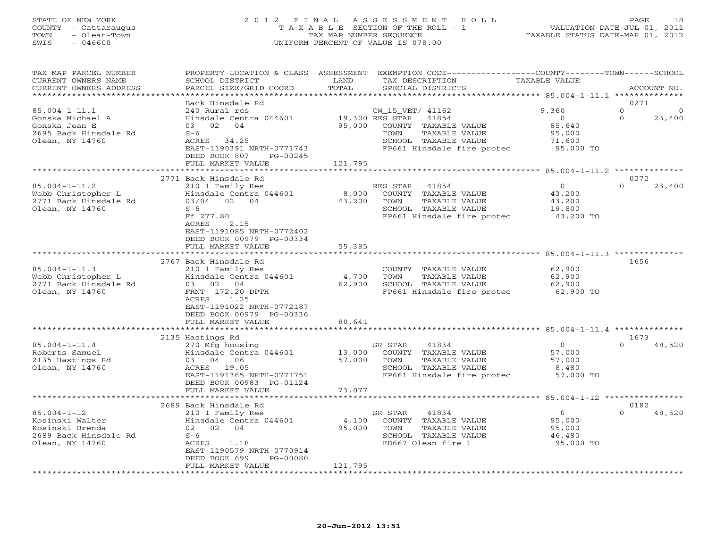### STATE OF NEW YORK 2 0 1 2 F I N A L A S S E S S M E N T R O L L PAGE 18 COUNTY - Cattaraugus T A X A B L E SECTION OF THE ROLL - 1 VALUATION DATE-JUL 01, 2011 TOWN - Olean-Town TAX MAP NUMBER SEQUENCE TAXABLE STATUS DATE-MAR 01, 2012 SWIS - 046600 UNIFORM PERCENT OF VALUE IS 078.00

| TAX MAP PARCEL NUMBER<br>CURRENT OWNERS NAME                                                         | PROPERTY LOCATION & CLASS ASSESSMENT<br>SCHOOL DISTRICT                                                                                                                                  | LAND                       | EXEMPTION CODE-----------------COUNTY-------TOWN------SCHOOL<br>TAX DESCRIPTION                                                                     | TAXABLE VALUE                                                      |                                |
|------------------------------------------------------------------------------------------------------|------------------------------------------------------------------------------------------------------------------------------------------------------------------------------------------|----------------------------|-----------------------------------------------------------------------------------------------------------------------------------------------------|--------------------------------------------------------------------|--------------------------------|
| CURRENT OWNERS ADDRESS<br>*********************                                                      | PARCEL SIZE/GRID COORD                                                                                                                                                                   | TOTAL                      | SPECIAL DISTRICTS                                                                                                                                   |                                                                    | ACCOUNT NO.                    |
|                                                                                                      | Back Hinsdale Rd                                                                                                                                                                         |                            |                                                                                                                                                     |                                                                    | 0271                           |
| $85.004 - 1 - 11.1$<br>Gonska Michael A<br>Gonska Jean E<br>2695 Back Hinsdale Rd<br>Olean, NY 14760 | 240 Rural res<br>Hinsdale Centra 044601<br>03 02 04<br>$S-6$<br>ACRES 34.25<br>EAST-1190391 NRTH-0771743<br>DEED BOOK 807<br>$PG-00245$<br>FULL MARKET VALUE                             | 95,000<br>121,795          | CW_15_VET/ 41162<br>19,300 RES STAR<br>41854<br>COUNTY TAXABLE VALUE<br>TOWN<br>TAXABLE VALUE<br>SCHOOL TAXABLE VALUE<br>FP661 Hinsdale fire protec | 9,360<br>$\overline{0}$<br>85,640<br>95,000<br>71,600<br>95,000 TO | $\Omega$<br>$\Omega$<br>23,400 |
|                                                                                                      | **************************                                                                                                                                                               |                            |                                                                                                                                                     |                                                                    |                                |
|                                                                                                      | 2771 Back Hinsdale Rd                                                                                                                                                                    |                            |                                                                                                                                                     |                                                                    | 0272                           |
| $85.004 - 1 - 11.2$<br>Webb Christopher L<br>2771 Back Hinsdale Rd<br>Olean, NY 14760                | 210 1 Family Res<br>Hinsdale Centra 044601<br>03/04 02 04<br>$S-6$<br>Ff 277.80<br>2.15<br>ACRES<br>EAST-1191085 NRTH-0772402<br>DEED BOOK 00979 PG-00334                                | 8,000<br>43,200            | RES STAR<br>41854<br>COUNTY TAXABLE VALUE<br>TOWN<br>TAXABLE VALUE<br>SCHOOL TAXABLE VALUE<br>FP661 Hinsdale fire protec                            | $\Omega$<br>43,200<br>43,200<br>19,800<br>43,200 TO                | $\Omega$<br>23,400             |
|                                                                                                      | FULL MARKET VALUE                                                                                                                                                                        | 55,385                     |                                                                                                                                                     |                                                                    |                                |
|                                                                                                      |                                                                                                                                                                                          |                            |                                                                                                                                                     |                                                                    |                                |
| $85.004 - 1 - 11.3$<br>Webb Christopher L<br>2771 Back Hinsdale Rd<br>Olean, NY 14760                | 2767 Back Hinsdale Rd<br>210 1 Family Res<br>Hinsdale Centra 044601<br>03 02 04<br>FRNT 172.20 DPTH<br>1.25<br>ACRES<br>EAST-1191022 NRTH-0772187<br>DEED BOOK 00979 PG-00336            | 4,700<br>62,900            | COUNTY TAXABLE VALUE<br>TAXABLE VALUE<br>TOWN<br>SCHOOL TAXABLE VALUE<br>FP661 Hinsdale fire protec                                                 | 62,900<br>62,900<br>62,900<br>62,900 TO                            | 1656                           |
|                                                                                                      | FULL MARKET VALUE                                                                                                                                                                        | 80,641                     |                                                                                                                                                     |                                                                    |                                |
|                                                                                                      |                                                                                                                                                                                          |                            |                                                                                                                                                     |                                                                    |                                |
| $85.004 - 1 - 11.4$<br>Roberts Samuel<br>2135 Hastings Rd<br>Olean, NY 14760                         | 2135 Hastings Rd<br>270 Mfg housing<br>Hinsdale Centra 044601<br>03 04 06<br>ACRES 19.05<br>EAST-1191365 NRTH-0771751<br>DEED BOOK 00983 PG-01124                                        | 13,000<br>57,000           | SR STAR<br>41834<br>COUNTY TAXABLE VALUE<br>TAXABLE VALUE<br>TOWN<br>SCHOOL TAXABLE VALUE<br>FP661 Hinsdale fire protec                             | $\Omega$<br>57,000<br>57,000<br>8,480<br>57,000 TO                 | 1673<br>$\Omega$<br>48,520     |
|                                                                                                      | FULL MARKET VALUE                                                                                                                                                                        | 73,077                     |                                                                                                                                                     |                                                                    |                                |
|                                                                                                      |                                                                                                                                                                                          |                            |                                                                                                                                                     |                                                                    |                                |
| $85.004 - 1 - 12$<br>Kosinski Walter<br>Kosinski Brenda<br>2689 Back Hinsdale Rd<br>Olean, NY 14760  | 2689 Back Hinsdale Rd<br>210 1 Family Res<br>Hinsdale Centra 044601<br>02 02 04<br>$S-6$<br>1.18<br>ACRES<br>EAST-1190579 NRTH-0770914<br>DEED BOOK 699<br>PG-00080<br>FULL MARKET VALUE | 4,100<br>95,000<br>121,795 | SR STAR<br>41834<br>COUNTY TAXABLE VALUE<br>TOWN<br>TAXABLE VALUE<br>SCHOOL TAXABLE VALUE<br>FD667 Olean fire 1                                     | $\circ$<br>95,000<br>95,000<br>46,480<br>95,000 TO                 | 0182<br>$\Omega$<br>48,520     |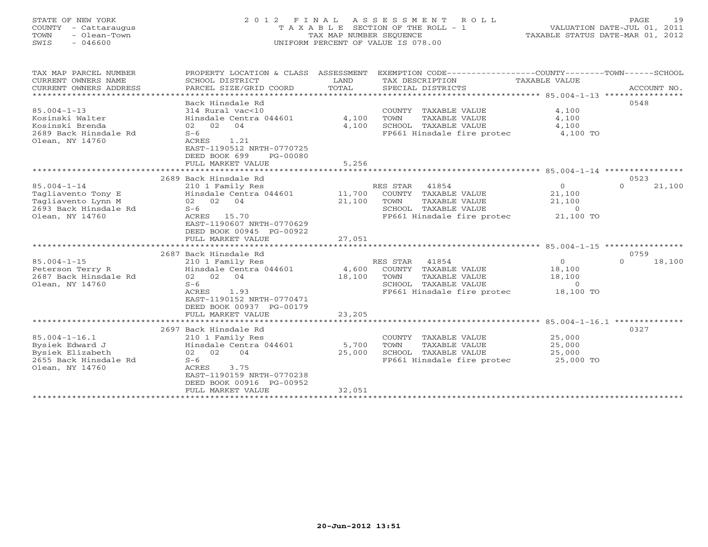#### STATE OF NEW YORK 2 0 1 2 F I N A L A S S E S S M E N T R O L L PAGE 19COUNTY - Cattaraugus T A X A B L E SECTION OF THE ROLL - 1 VALUATION DATE-JUL 01, 2011 TAX MAP NUMBER SEQUENCE SWIS - 046600 UNIFORM PERCENT OF VALUE IS 078.00

|  | TAAABLE STATUS DATE-MAR UI, ZUIZ |  |
|--|----------------------------------|--|
|  |                                  |  |
|  |                                  |  |
|  |                                  |  |

| SCHOOL DISTRICT<br>PARCEL SIZE/GRID COORD                                                                                                                                                  | LAND<br>TOTAL                                                   | TAX DESCRIPTION<br>SPECIAL DISTRICTS                                           | TAXABLE VALUE                                              | ACCOUNT NO.                                                                                                                                                                          |
|--------------------------------------------------------------------------------------------------------------------------------------------------------------------------------------------|-----------------------------------------------------------------|--------------------------------------------------------------------------------|------------------------------------------------------------|--------------------------------------------------------------------------------------------------------------------------------------------------------------------------------------|
| Back Hinsdale Rd<br>314 Rural vac<10<br>Hinsdale Centra 044601<br>02 02<br>04<br>$S-6$<br>ACRES<br>1.21<br>EAST-1190512 NRTH-0770725<br>DEED BOOK 699<br>PG-00080<br>FULL MARKET VALUE     | 4,100<br>4,100<br>5,256                                         | COUNTY TAXABLE VALUE<br>TOWN<br>TAXABLE VALUE<br>SCHOOL TAXABLE VALUE          | 4,100<br>4,100<br>4,100<br>4,100 TO                        | 0548                                                                                                                                                                                 |
|                                                                                                                                                                                            |                                                                 |                                                                                |                                                            |                                                                                                                                                                                      |
| 210 1 Family Res<br>Hinsdale Centra 044601<br>02 02 04<br>$S-6$<br>ACRES 15.70<br>EAST-1190607 NRTH-0770629<br>DEED BOOK 00945 PG-00922                                                    | 11,700<br>21,100                                                | 41854<br>COUNTY TAXABLE VALUE<br>TOWN<br>TAXABLE VALUE<br>SCHOOL TAXABLE VALUE | $\overline{0}$<br>21,100<br>21,100<br>$\circ$<br>21,100 TO | 0523<br>$\Omega$<br>21,100                                                                                                                                                           |
|                                                                                                                                                                                            |                                                                 |                                                                                |                                                            |                                                                                                                                                                                      |
| 2687 Back Hinsdale Rd<br>210 1 Family Res<br>Hinsdale Centra 044601<br>02 02 04<br>$S-6$<br>ACRES<br>1.93<br>EAST-1190152 NRTH-0770471<br>DEED BOOK 00937 PG-00179                         | 4,600<br>18,100                                                 | 41854<br>COUNTY TAXABLE VALUE<br>TOWN<br>TAXABLE VALUE<br>SCHOOL TAXABLE VALUE | $\circ$<br>18,100<br>18,100<br>$\circ$<br>18,100 TO        | 0759<br>18,100<br>$\Omega$                                                                                                                                                           |
|                                                                                                                                                                                            |                                                                 |                                                                                |                                                            |                                                                                                                                                                                      |
| 2697 Back Hinsdale Rd<br>210 1 Family Res<br>Hinsdale Centra 044601<br>02 02<br>04<br>$S-6$<br>ACRES<br>3.75<br>EAST-1190159 NRTH-0770238<br>DEED BOOK 00916 PG-00952<br>FULL MARKET VALUE | 5,700<br>25,000<br>32,051                                       | COUNTY TAXABLE VALUE<br>TOWN<br>TAXABLE VALUE<br>SCHOOL TAXABLE VALUE          | 25,000<br>25,000<br>25,000<br>25,000 TO                    | 0327                                                                                                                                                                                 |
|                                                                                                                                                                                            | 2689 Back Hinsdale Rd<br>FULL MARKET VALUE<br>FULL MARKET VALUE | PROPERTY LOCATION & CLASS ASSESSMENT<br>27,051<br>23,205                       | RES STAR<br>RES STAR                                       | EXEMPTION CODE-----------------COUNTY-------TOWN------SCHOOL<br>FP661 Hinsdale fire protec<br>FP661 Hinsdale fire protec<br>FP661 Hinsdale fire protec<br>FP661 Hinsdale fire protec |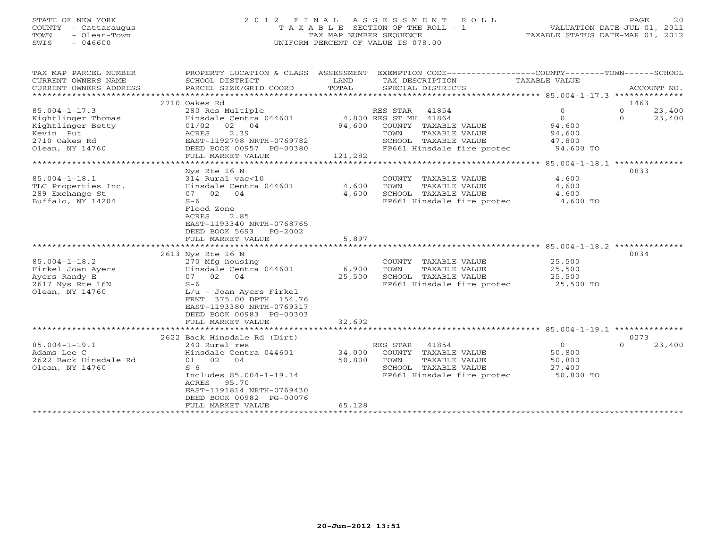# STATE OF NEW YORK 2 0 1 2 F I N A L A S S E S S M E N T R O L L PAGE 20 COUNTY - Cattaraugus T A X A B L E SECTION OF THE ROLL - 1 VALUATION DATE-JUL 01, 2011 TOWN - Olean-Town TAX MAP NUMBER SEQUENCE TAXABLE STATUS DATE-MAR 01, 2012 SWIS - 046600 UNIFORM PERCENT OF VALUE IS 078.00

| TAX MAP PARCEL NUMBER  | PROPERTY LOCATION & CLASS ASSESSMENT |         |                       |                      | EXEMPTION CODE-----------------COUNTY-------TOWN------SCHOOL |          |             |
|------------------------|--------------------------------------|---------|-----------------------|----------------------|--------------------------------------------------------------|----------|-------------|
| CURRENT OWNERS NAME    | SCHOOL DISTRICT                      | LAND    | TAX DESCRIPTION       |                      | TAXABLE VALUE                                                |          |             |
| CURRENT OWNERS ADDRESS | PARCEL SIZE/GRID COORD               | TOTAL   |                       | SPECIAL DISTRICTS    |                                                              |          | ACCOUNT NO. |
|                        |                                      |         |                       |                      |                                                              |          |             |
|                        | 2710 Oakes Rd                        |         |                       |                      |                                                              | 1463     |             |
| $85.004 - 1 - 17.3$    | 280 Res Multiple                     |         | RES STAR 41854        |                      | $\circ$                                                      | $\circ$  | 23,400      |
| Kightlinger Thomas     | Hinsdale Centra 044601               |         | 4,800 RES ST MH 41864 |                      | $\overline{0}$                                               | $\Omega$ | 23,400      |
| Kightlinger Betty      | 01/02<br>02 04                       | 94,600  |                       | COUNTY TAXABLE VALUE | 94,600                                                       |          |             |
| Kevin Put              | 2.39<br>ACRES                        |         | TOWN                  | TAXABLE VALUE        | 94,600                                                       |          |             |
| 2710 Oakes Rd          | EAST-1192798 NRTH-0769782            |         |                       | SCHOOL TAXABLE VALUE | 47,800                                                       |          |             |
| Olean, NY 14760        | DEED BOOK 00957 PG-00380             |         |                       |                      | FP661 Hinsdale fire protec 94,600 TO                         |          |             |
|                        | FULL MARKET VALUE                    | 121,282 |                       |                      |                                                              |          |             |
|                        |                                      |         |                       |                      |                                                              |          |             |
|                        | Nys Rte 16 N                         |         |                       |                      |                                                              | 0833     |             |
| $85.004 - 1 - 18.1$    | 314 Rural vac<10                     |         |                       | COUNTY TAXABLE VALUE | 4,600                                                        |          |             |
| TLC Properties Inc.    | Hinsdale Centra 044601               | 4,600   | TOWN                  | TAXABLE VALUE        | 4,600                                                        |          |             |
| 289 Exchange St        | 07 02 04                             | 4,600   |                       | SCHOOL TAXABLE VALUE | 4,600                                                        |          |             |
| Buffalo, NY 14204      | $S-6$                                |         |                       |                      | FP661 Hinsdale fire protec 4,600 TO                          |          |             |
|                        | Flood Zone                           |         |                       |                      |                                                              |          |             |
|                        | ACRES<br>2.85                        |         |                       |                      |                                                              |          |             |
|                        | EAST-1193340 NRTH-0768765            |         |                       |                      |                                                              |          |             |
|                        | DEED BOOK 5693<br>PG-2002            |         |                       |                      |                                                              |          |             |
|                        | FULL MARKET VALUE                    | 5,897   |                       |                      |                                                              |          |             |
|                        |                                      |         |                       |                      |                                                              |          |             |
|                        | 2613 Nys Rte 16 N                    |         |                       |                      |                                                              | 0834     |             |
| $85.004 - 1 - 18.2$    | 270 Mfg housing                      |         |                       | COUNTY TAXABLE VALUE | 25,500                                                       |          |             |
| Firkel Joan Ayers      | Hinsdale Centra 044601               | 6,900   | TOWN                  | TAXABLE VALUE        | 25,500                                                       |          |             |
| Ayers Randy E          | 07 02 04                             | 25,500  |                       | SCHOOL TAXABLE VALUE | 25,500                                                       |          |             |
| 2617 Nys Rte 16N       | $S-6$                                |         |                       |                      | FP661 Hinsdale fire protec 25,500 TO                         |          |             |
| Olean, NY 14760        | $L/u$ - Joan Ayers Firkel            |         |                       |                      |                                                              |          |             |
|                        | FRNT 375.00 DPTH 154.76              |         |                       |                      |                                                              |          |             |
|                        | EAST-1193380 NRTH-0769317            |         |                       |                      |                                                              |          |             |
|                        | DEED BOOK 00983 PG-00303             |         |                       |                      |                                                              |          |             |
|                        | FULL MARKET VALUE                    | 32,692  |                       |                      |                                                              |          |             |
|                        |                                      |         |                       |                      |                                                              |          |             |
|                        | 2622 Back Hinsdale Rd (Dirt)         |         |                       |                      |                                                              | 0273     |             |
| $85.004 - 1 - 19.1$    | 240 Rural res                        |         | RES STAR              | 41854                | $\overline{0}$                                               | $\Omega$ | 23,400      |
| Adams Lee C            | Hinsdale Centra 044601               | 34,000  |                       | COUNTY TAXABLE VALUE | 50,800                                                       |          |             |
| 2622 Back Hinsdale Rd  | 01 02<br>04                          | 50,800  | TOWN                  | TAXABLE VALUE        | 50,800                                                       |          |             |
| Olean, NY 14760        | $S-6$                                |         |                       | SCHOOL TAXABLE VALUE | 27,400                                                       |          |             |
|                        |                                      |         |                       |                      |                                                              |          |             |
|                        | Includes 85.004-1-19.14              |         |                       |                      | FP661 Hinsdale fire protec 50,800 TO                         |          |             |
|                        | 95.70<br>ACRES                       |         |                       |                      |                                                              |          |             |
|                        | EAST-1191814 NRTH-0769430            |         |                       |                      |                                                              |          |             |
|                        | DEED BOOK 00982 PG-00076             |         |                       |                      |                                                              |          |             |
|                        | FULL MARKET VALUE                    | 65,128  |                       |                      |                                                              |          |             |
|                        |                                      |         |                       |                      |                                                              |          |             |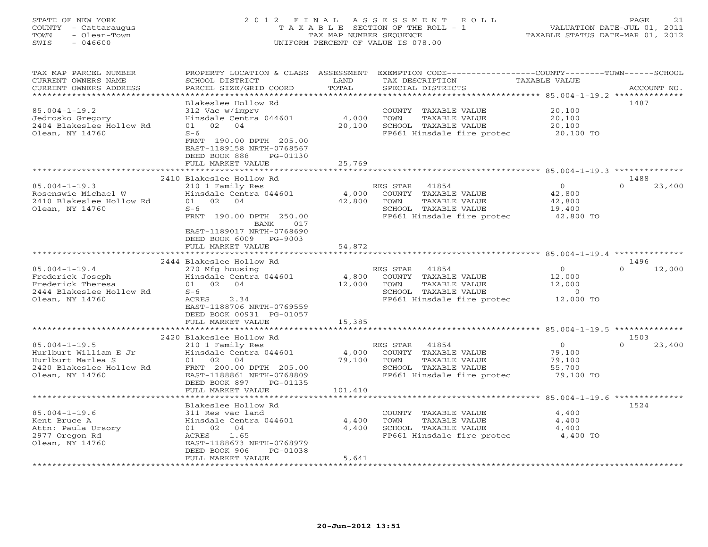#### STATE OF NEW YORK 2 0 1 2 F I N A L A S S E S S M E N T R O L L PAGE 21 COUNTY - Cattaraugus T A X A B L E SECTION OF THE ROLL - 1 VALUATION DATE-JUL 01, 2011 TOWN - Olean-Town TAX MAP NUMBER SEQUENCE TAXABLE STATUS DATE-MAR 01, 2012 SWIS - 046600 UNIFORM PERCENT OF VALUE IS 078.00

| <b>I OVVIV</b>      |                                          | OICON IOWN |                                    | TIMI TIIL INOTIDIII DHOOIINCH |                           |                                              | THRIBB DINIOD DILL TIME VI, 2012                 |
|---------------------|------------------------------------------|------------|------------------------------------|-------------------------------|---------------------------|----------------------------------------------|--------------------------------------------------|
| SWIS                | $-046600$                                |            | UNIFORM PERCENT OF VALUE IS 078.00 |                               |                           |                                              |                                                  |
|                     |                                          |            |                                    |                               |                           |                                              |                                                  |
|                     | TAX MAP PARCEL NUMBER                    |            | PROPERTY LOCATION & CLASS          | ASSESSMENT                    |                           | EXEMPTION CODE------------------COUNTY------ | --TOWN------SCHOOL                               |
| CURRENT OWNERS NAME |                                          |            | SCHOOL DISTRICT                    | LAND                          | TAX DESCRIPTION           | TAXABLE VALUE                                |                                                  |
|                     | $\alpha$ innetis $\alpha$ ining anno 200 |            | pipert stop lepth seeps            | $m \wedge m \wedge r$         | $\alpha$ ppatit ptamptama |                                              | $\sim$ $\sim$ $\sim$ $\sim$ $\sim$ $\sim$ $\sim$ |

| CURRENT OWNERS NAME<br>CURRENT OWNERS ADDRESS                                             | SCHOOL DISTRICT<br>PARCEL SIZE/GRID COORD                                                        | LAND<br>TOTAL                       | TAX DESCRIPTION<br>SPECIAL DISTRICTS                                                                                        | TAXABLE VALUE                                      | ACCOUNT NO.                |
|-------------------------------------------------------------------------------------------|--------------------------------------------------------------------------------------------------|-------------------------------------|-----------------------------------------------------------------------------------------------------------------------------|----------------------------------------------------|----------------------------|
|                                                                                           | Blakeslee Hollow Rd                                                                              | * * * * * * * * * * * * * * * * * * | ************************************* 85.004-1-19.2 **************                                                          |                                                    | 1487                       |
| $85.004 - 1 - 19.2$<br>Jedrosko Gregory<br>2404 Blakeslee Hollow Rd<br>Olean, NY 14760    | 312 Vac w/imprv<br>Hinsdale Centra 044601<br>02<br>04<br>01<br>$S-6$                             | 4,000<br>20,100                     | COUNTY TAXABLE VALUE<br>TOWN<br>TAXABLE VALUE<br>SCHOOL TAXABLE VALUE<br>FP661 Hinsdale fire protec                         | 20,100<br>20,100<br>20,100<br>20,100 TO            |                            |
|                                                                                           | FRNT 190.00 DPTH 205.00<br>EAST-1189158 NRTH-0768567<br>DEED BOOK 888<br>PG-01130                |                                     |                                                                                                                             |                                                    |                            |
|                                                                                           | FULL MARKET VALUE<br>*******************                                                         | 25,769                              |                                                                                                                             |                                                    |                            |
|                                                                                           | 2410 Blakeslee Hollow Rd                                                                         |                                     |                                                                                                                             |                                                    | 1488                       |
| $85.004 - 1 - 19.3$<br>Rosenswie Michael W<br>2410 Blakeslee Hollow Rd<br>Olean, NY 14760 | 210 1 Family Res<br>Hinsdale Centra 044601<br>02<br>04<br>01<br>$S-6$<br>FRNT 190.00 DPTH 250.00 | 4,000<br>42,800                     | RES STAR<br>41854<br>TAXABLE VALUE<br>COUNTY<br>TOWN<br>TAXABLE VALUE<br>SCHOOL TAXABLE VALUE<br>FP661 Hinsdale fire protec | $\circ$<br>42,800<br>42,800<br>19,400<br>42,800 TO | $\Omega$<br>23,400         |
|                                                                                           | 017<br>BANK<br>EAST-1189017 NRTH-0768690<br>DEED BOOK 6009<br>PG-9003<br>FULL MARKET VALUE       | 54,872                              |                                                                                                                             |                                                    |                            |
|                                                                                           | *******************                                                                              |                                     |                                                                                                                             |                                                    |                            |
| $85.004 - 1 - 19.4$                                                                       | 2444 Blakeslee Hollow Rd<br>270 Mfg housing                                                      |                                     | 41854<br>RES STAR                                                                                                           | $\Omega$                                           | 1496<br>$\Omega$<br>12,000 |
| Frederick Joseph                                                                          | Hinsdale Centra 044601                                                                           | 4,800                               | COUNTY TAXABLE VALUE                                                                                                        | 12,000                                             |                            |
| Frederick Theresa                                                                         | 02<br>04<br>01                                                                                   | 12,000                              | TOWN<br>TAXABLE VALUE                                                                                                       | 12,000                                             |                            |
| 2444 Blakeslee Hollow Rd                                                                  | $S-6$                                                                                            |                                     | SCHOOL TAXABLE VALUE                                                                                                        | $\Omega$                                           |                            |
| Olean, NY 14760                                                                           | 2.34<br>ACRES<br>EAST-1188706 NRTH-0769559<br>DEED BOOK 00931 PG-01057                           |                                     | FP661 Hinsdale fire protec                                                                                                  | 12,000 TO                                          |                            |
|                                                                                           | FULL MARKET VALUE                                                                                | 15,385                              |                                                                                                                             |                                                    |                            |
|                                                                                           | 2420 Blakeslee Hollow Rd                                                                         |                                     |                                                                                                                             |                                                    | 1503                       |
| $85.004 - 1 - 19.5$                                                                       | 210 1 Family Res                                                                                 |                                     | RES STAR<br>41854                                                                                                           | $\circ$                                            | 23,400<br>$\Omega$         |
| Hurlburt William E Jr                                                                     | Hinsdale Centra 044601                                                                           | 4,000                               | COUNTY TAXABLE VALUE                                                                                                        | 79,100                                             |                            |
| Hurlburt Marlea S                                                                         | 02<br>04<br>01                                                                                   | 79,100                              | TOWN<br>TAXABLE VALUE                                                                                                       | 79,100                                             |                            |
| 2420 Blakeslee Hollow Rd                                                                  | FRNT 200.00 DPTH 205.00                                                                          |                                     | SCHOOL TAXABLE VALUE                                                                                                        | 55,700                                             |                            |
| Olean, NY 14760                                                                           | EAST-1188861 NRTH-0768809<br>DEED BOOK 897<br>PG-01135<br>FULL MARKET VALUE                      | 101,410                             | FP661 Hinsdale fire protec                                                                                                  | 79,100 TO                                          |                            |
|                                                                                           |                                                                                                  |                                     |                                                                                                                             |                                                    |                            |
|                                                                                           | Blakeslee Hollow Rd                                                                              |                                     |                                                                                                                             |                                                    | 1524                       |
| $85.004 - 1 - 19.6$                                                                       | 311 Res vac land                                                                                 |                                     | COUNTY<br>TAXABLE VALUE                                                                                                     | 4,400                                              |                            |
| Kent Bruce A                                                                              | Hinsdale Centra 044601                                                                           | 4,400                               | TOWN<br>TAXABLE VALUE                                                                                                       | 4,400                                              |                            |
| Attn: Paula Ursory<br>2977 Oregon Rd                                                      | 01 02<br>04<br>1.65<br>ACRES                                                                     | 4,400                               | SCHOOL TAXABLE VALUE<br>FP661 Hinsdale fire protec                                                                          | 4,400<br>4,400 TO                                  |                            |
| Olean, NY 14760                                                                           | EAST-1188673 NRTH-0768979<br>DEED BOOK 906<br>PG-01038                                           |                                     |                                                                                                                             |                                                    |                            |
|                                                                                           | FULL MARKET VALUE                                                                                | 5,641                               |                                                                                                                             |                                                    |                            |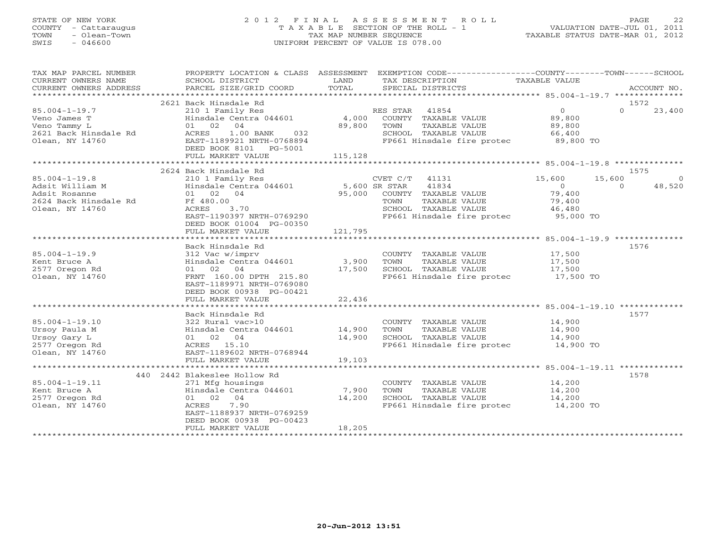#### STATE OF NEW YORK 2 0 1 2 F I N A L A S S E S S M E N T R O L L PAGE 22 COUNTY - Cattaraugus T A X A B L E SECTION OF THE ROLL - 1 VALUATION DATE-JUL 01, 2011 TOWN - Olean-Town TAX MAP NUMBER SEQUENCE TAXABLE STATUS DATE-MAR 01, 2012 SWIS - 046600 UNIFORM PERCENT OF VALUE IS 078.00UNIFORM PERCENT OF VALUE IS 078.00

| TAX MAP PARCEL NUMBER<br>CURRENT OWNERS NAME                                                        | SCHOOL DISTRICT                                                                                                                                                                                                        | LAND              | PROPERTY LOCATION & CLASS ASSESSMENT EXEMPTION CODE----------------COUNTY-------TOWN------SCHOOL<br>TAX DESCRIPTION                          | TAXABLE VALUE                                          |                                      |
|-----------------------------------------------------------------------------------------------------|------------------------------------------------------------------------------------------------------------------------------------------------------------------------------------------------------------------------|-------------------|----------------------------------------------------------------------------------------------------------------------------------------------|--------------------------------------------------------|--------------------------------------|
| CURRENT OWNERS ADDRESS                                                                              | PARCEL SIZE/GRID COORD                                                                                                                                                                                                 | TOTAL             | SPECIAL DISTRICTS                                                                                                                            |                                                        | ACCOUNT NO.                          |
|                                                                                                     |                                                                                                                                                                                                                        |                   |                                                                                                                                              |                                                        |                                      |
| $85.004 - 1 - 19.7$<br>Veno James T<br>Veno Tammy L<br>2621 Back Hinsdale Rd<br>Olean, NY 14760     | 2621 Back Hinsdale Rd<br>210 1 Family Res<br>Hinsdale Centra 044601<br>01 02 04<br>04<br>1.00 BANK 032<br>1.00 BANK 0768894<br>ACRES<br>EAST-1189921 NRTH-0768894<br>DEED BOOK 8101    PG-5001<br>FULL MARKET VALUE    | 89,800<br>115,128 | RES STAR 41854<br>4,000 COUNTY TAXABLE VALUE<br>TOWN<br>TAXABLE VALUE<br>SCHOOL TAXABLE VALUE 66,400<br>FP661 Hinsdale fire protec 89,800 TO | $\overline{0}$<br>89,800<br>89,800                     | 1572<br>$\Omega$<br>23,400           |
|                                                                                                     |                                                                                                                                                                                                                        |                   |                                                                                                                                              |                                                        | 1575                                 |
| $85.004 - 1 - 19.8$<br>Adsit William M<br>Adsit Rosanne<br>2624 Back Hinsdale Rd<br>Olean, NY 14760 | 2624 Back Hinsdale Rd<br>210 1 Family Res<br>Hinsdale Centra 044601 5,600 SR STAR 41834<br>01 02 04 95,000 COUNTY TAXABLE VALUE<br>Ff 480.00<br>3.70<br>ACRES<br>EAST-1190397 NRTH-0769290<br>DEED BOOK 01004 PG-00350 |                   | CVET C/T 41131 15,600<br>TAXABLE VALUE<br>TOWN<br>SCHOOL TAXABLE VALUE<br>FP661 Hinsdale fire protec 95,000 TO                               | 15,600<br>$\overline{0}$<br>79,400<br>79,400<br>46,480 | $\overline{0}$<br>48,520<br>$\Omega$ |
|                                                                                                     | FULL MARKET VALUE                                                                                                                                                                                                      | 121,795           |                                                                                                                                              |                                                        |                                      |
| $85.004 - 1 - 19.9$<br>Kent Bruce A<br>2577 Oregon Rd<br>Olean, NY 14760                            | Back Hinsdale Rd<br>312 Vac w/imprv<br>Hinsdale Centra 044601 3,900<br>01 02 04<br>FRNT 160.00 DPTH 215.80<br>EAST-1189971 NRTH-0769080<br>DEED BOOK 00938 PG-00421<br>FULL MARKET VALUE                               | 17,500<br>22,436  | COUNTY TAXABLE VALUE<br>TAXABLE VALUE<br>TOWN<br>SCHOOL TAXABLE VALUE<br>FP661 Hinsdale fire protec 17,500 TO                                | 17,500<br>17,500<br>17,500                             | 1576                                 |
|                                                                                                     |                                                                                                                                                                                                                        |                   |                                                                                                                                              |                                                        |                                      |
| $85.004 - 1 - 19.10$<br>Ursoy Paula M<br>Ursoy Gary L<br>2577 Oregon Rd<br>Olean, NY 14760          | Back Hinsdale Rd<br>322 Rural vac>10<br>Hinsdale Centra 044601 14,900<br>01 02 04<br>ACRES 15.10<br>EAST-1189602 NRTH-0768944<br>FULL MARKET VALUE                                                                     | 14,900<br>19,103  | COUNTY TAXABLE VALUE 14,900<br>TOWN<br>TAXABLE VALUE<br>SCHOOL TAXABLE VALUE<br>FP661 Hinsdale fire protec 14,900 TO                         | 14,900<br>14,900                                       | 1577                                 |
|                                                                                                     |                                                                                                                                                                                                                        |                   |                                                                                                                                              |                                                        |                                      |
| $85.004 - 1 - 19.11$<br>Kent Bruce A<br>2577 Oregon Rd<br>Olean, NY 14760                           | 440 2442 Blakeslee Hollow Rd<br>271 Mfg housings<br>Hinsdale Centra 044601 7,900<br>01 02 04<br>7.90<br>ACRES<br>EAST-1188937 NRTH-0769259<br>DEED BOOK 00938 PG-00423<br>FULL MARKET VALUE                            | 14,200<br>18,205  | COUNTY TAXABLE VALUE<br>TOWN<br>TAXABLE VALUE<br>SCHOOL TAXABLE VALUE<br>FP661 Hinsdale fire protec 14,200 TO                                | 14,200<br>14,200<br>14,200                             | 1578                                 |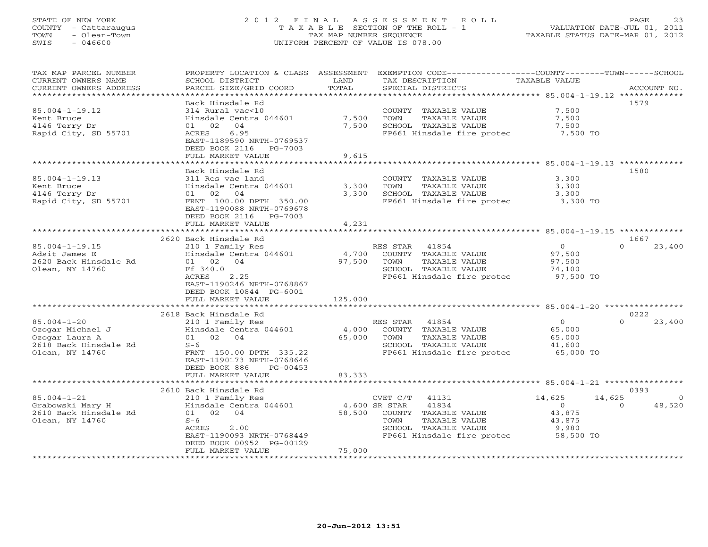# STATE OF NEW YORK 2 0 1 2 F I N A L A S S E S S M E N T R O L L PAGE 23 COUNTY - Cattaraugus T A X A B L E SECTION OF THE ROLL - 1 VALUATION DATE-JUL 01, 2011 TOWN - Olean-Town TAX MAP NUMBER SEQUENCE TAXABLE STATUS DATE-MAR 01, 2012 SWIS - 046600 UNIFORM PERCENT OF VALUE IS 078.00

| TAX MAP PARCEL NUMBER<br>CURRENT OWNERS NAME<br>CURRENT OWNERS ADDRESS<br>******************* | PROPERTY LOCATION & CLASS ASSESSMENT<br>SCHOOL DISTRICT<br>PARCEL SIZE/GRID COORD | LAND<br>TOTAL  | EXEMPTION CODE-----------------COUNTY-------TOWN------SCHOOL<br>TAX DESCRIPTION<br>SPECIAL DISTRICTS | TAXABLE VALUE    | ACCOUNT NO.        |
|-----------------------------------------------------------------------------------------------|-----------------------------------------------------------------------------------|----------------|------------------------------------------------------------------------------------------------------|------------------|--------------------|
|                                                                                               |                                                                                   |                |                                                                                                      |                  |                    |
| $85.004 - 1 - 19.12$                                                                          | Back Hinsdale Rd<br>314 Rural vac<10                                              |                | COUNTY TAXABLE VALUE                                                                                 | 7,500            | 1579               |
| Kent Bruce<br>4146 Terry Dr                                                                   | Hinsdale Centra 044601<br>01 02<br>04                                             | 7,500<br>7,500 | TOWN<br>TAXABLE VALUE<br>SCHOOL TAXABLE VALUE                                                        | 7,500<br>7,500   |                    |
| Rapid City, SD 55701                                                                          | 6.95<br>ACRES<br>EAST-1189590 NRTH-0769537                                        |                | FP661 Hinsdale fire protec                                                                           | 7,500 TO         |                    |
|                                                                                               | DEED BOOK 2116 PG-7003<br>FULL MARKET VALUE                                       | 9,615          |                                                                                                      |                  |                    |
|                                                                                               |                                                                                   |                |                                                                                                      |                  |                    |
|                                                                                               | Back Hinsdale Rd                                                                  |                |                                                                                                      |                  | 1580               |
| $85.004 - 1 - 19.13$                                                                          | 311 Res vac land                                                                  |                | COUNTY TAXABLE VALUE                                                                                 | 3,300            |                    |
| Kent Bruce                                                                                    | Hinsdale Centra 044601                                                            | 3,300          | TAXABLE VALUE<br>TOWN                                                                                | 3,300            |                    |
| 4146 Terry Dr                                                                                 | 01 02<br>04                                                                       | 3,300          | SCHOOL TAXABLE VALUE                                                                                 | 3,300            |                    |
| Rapid City, SD 55701                                                                          | FRNT 100.00 DPTH 350.00<br>EAST-1190088 NRTH-0769678                              |                | FP661 Hinsdale fire protec                                                                           | 3,300 TO         |                    |
|                                                                                               | DEED BOOK 2116 PG-7003<br>FULL MARKET VALUE                                       | 4,231          |                                                                                                      |                  |                    |
|                                                                                               | ***********************                                                           |                |                                                                                                      |                  |                    |
|                                                                                               | 2620 Back Hinsdale Rd                                                             |                |                                                                                                      |                  | 1667               |
| $85.004 - 1 - 19.15$                                                                          | 210 1 Family Res                                                                  |                | RES STAR<br>41854                                                                                    | 0                | 23,400<br>$\Omega$ |
| Adsit James E                                                                                 | Hinsdale Centra 044601                                                            | 4,700          | COUNTY TAXABLE VALUE                                                                                 | 97,500           |                    |
| 2620 Back Hinsdale Rd                                                                         | 01 02 04                                                                          | 97,500         | TOWN<br>TAXABLE VALUE                                                                                | 97,500           |                    |
| Olean, NY 14760                                                                               | Ff 340.0                                                                          |                | SCHOOL TAXABLE VALUE                                                                                 | 74,100           |                    |
|                                                                                               | ACRES<br>2.25                                                                     |                | FP661 Hinsdale fire protec 97,500 TO                                                                 |                  |                    |
|                                                                                               | EAST-1190246 NRTH-0768867<br>DEED BOOK 10844 PG-6001                              |                |                                                                                                      |                  |                    |
|                                                                                               | FULL MARKET VALUE                                                                 | 125,000        |                                                                                                      |                  |                    |
|                                                                                               |                                                                                   |                |                                                                                                      |                  |                    |
|                                                                                               | 2618 Back Hinsdale Rd                                                             |                |                                                                                                      |                  | 0222               |
| $85.004 - 1 - 20$                                                                             | 210 1 Family Res                                                                  |                | RES STAR 41854                                                                                       | $\overline{0}$   | 23,400<br>$\Omega$ |
| Ozogar Michael J                                                                              | Hinsdale Centra 044601<br>01 02 04                                                |                | 4,000 COUNTY TAXABLE VALUE<br>TOWN<br>TAXABLE VALUE                                                  | 65,000           |                    |
| Ozogar Laura A<br>2618 Back Hinsdale Rd                                                       | $S-6$                                                                             | 65,000         | SCHOOL TAXABLE VALUE                                                                                 | 65,000<br>41,600 |                    |
| Olean, NY 14760                                                                               | FRNT 150.00 DPTH 335.22                                                           |                | FP661 Hinsdale fire protec                                                                           | 65,000 TO        |                    |
|                                                                                               | EAST-1190173 NRTH-0768646                                                         |                |                                                                                                      |                  |                    |
|                                                                                               | DEED BOOK 886<br>PG-00453                                                         |                |                                                                                                      |                  |                    |
|                                                                                               | FULL MARKET VALUE                                                                 | 83,333         |                                                                                                      |                  |                    |
|                                                                                               |                                                                                   |                |                                                                                                      |                  |                    |
|                                                                                               | 2610 Back Hinsdale Rd                                                             |                |                                                                                                      |                  | 0393               |
| $85.004 - 1 - 21$                                                                             | 210 1 Family Res                                                                  |                | CVET C/T 41131                                                                                       | 14,625<br>14,625 | $\Omega$           |
| Grabowski Mary H                                                                              | Hinsdale Centra 044601                                                            | 4,600 SR STAR  | 41834                                                                                                | $\overline{0}$   | 48,520<br>$\Omega$ |
| 2610 Back Hinsdale Rd                                                                         | 01 02 04                                                                          | 58,500         | COUNTY TAXABLE VALUE                                                                                 | 43,875           |                    |
| Olean, NY 14760                                                                               | $S-6$                                                                             |                | TAXABLE VALUE<br>TOWN                                                                                | 43,875           |                    |
|                                                                                               | ACRES<br>2.00                                                                     |                | SCHOOL TAXABLE VALUE                                                                                 | 9,980            |                    |
|                                                                                               | EAST-1190093 NRTH-0768449                                                         |                | FP661 Hinsdale fire protec 58,500 TO                                                                 |                  |                    |
|                                                                                               | DEED BOOK 00952 PG-00129                                                          |                |                                                                                                      |                  |                    |
|                                                                                               | FULL MARKET VALUE                                                                 | 75,000         |                                                                                                      |                  |                    |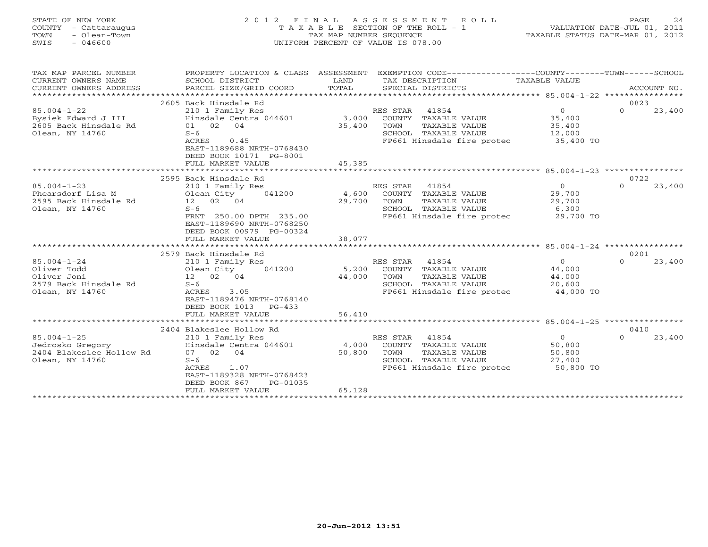#### STATE OF NEW YORK 2 0 1 2 F I N A L A S S E S S M E N T R O L L PAGE 24 COUNTY - Cattaraugus T A X A B L E SECTION OF THE ROLL - 1 VALUATION DATE-JUL 01, 2011 TOWN - Olean-Town TAX MAP NUMBER SEQUENCE TAXABLE STATUS DATE-MAR 01, 2012 SWIS - 046600 UNIFORM PERCENT OF VALUE IS 078.00UNIFORM PERCENT OF VALUE IS 078.00

| TAX MAP PARCEL NUMBER                      |                                                                                                                                                                                                                                                                                                                                                                                                                                                                                                                        |        | PROPERTY LOCATION & CLASS ASSESSMENT EXEMPTION CODE---------------COUNTY-------TOWN------SCHOOL |                      |                    |
|--------------------------------------------|------------------------------------------------------------------------------------------------------------------------------------------------------------------------------------------------------------------------------------------------------------------------------------------------------------------------------------------------------------------------------------------------------------------------------------------------------------------------------------------------------------------------|--------|-------------------------------------------------------------------------------------------------|----------------------|--------------------|
| CURRENT OWNERS NAME                        | SCHOOL DISTRICT                                                                                                                                                                                                                                                                                                                                                                                                                                                                                                        | LAND   | TAX DESCRIPTION                                                                                 | TAXABLE VALUE        |                    |
| CURRENT OWNERS ADDRESS                     | $\begin{minipage}{.45\textwidth} \begin{minipage}{.45\textwidth} \begin{minipage}{.45\textwidth} \begin{minipage}{.45\textwidth} \begin{minipage}{.45\textwidth} \begin{minipage}{.45\textwidth} \begin{minipage}{.45\textwidth} \begin{minipage}{.45\textwidth} \begin{minipage}{.45\textwidth} \begin{minipage}{.45\textwidth} \begin{minipage}{.45\textwidth} \begin{minipage}{.45\textwidth} \begin{minipage}{.45\textwidth} \begin{minipage}{.45\textwidth} \begin{minipage}{.45\textwidth} \begin{minipage}{.45$ |        |                                                                                                 |                      |                    |
|                                            |                                                                                                                                                                                                                                                                                                                                                                                                                                                                                                                        |        |                                                                                                 |                      |                    |
|                                            | 2605 Back Hinsdale Rd                                                                                                                                                                                                                                                                                                                                                                                                                                                                                                  |        |                                                                                                 |                      | 0823               |
| $85.004 - 1 - 22$                          | 210 1 Family Res                                                                                                                                                                                                                                                                                                                                                                                                                                                                                                       |        | RES STAR 41854                                                                                  | $\Omega$             | $\Omega$<br>23,400 |
| Bysiek Edward J III                        |                                                                                                                                                                                                                                                                                                                                                                                                                                                                                                                        |        | Hinsdale Centra 044601 3,000 COUNTY TAXABLE VALUE                                               |                      |                    |
| 2605 Back Hinsdale Rd                      | 01 02 04                                                                                                                                                                                                                                                                                                                                                                                                                                                                                                               | 35,400 | TOWN<br>TAXABLE VALUE                                                                           | $35,400$<br>$35,400$ |                    |
| Olean, NY 14760                            | $S-6$                                                                                                                                                                                                                                                                                                                                                                                                                                                                                                                  |        | SCHOOL TAXABLE VALUE                                                                            | 12,000               |                    |
|                                            | ACRES<br>0.45                                                                                                                                                                                                                                                                                                                                                                                                                                                                                                          |        | FP661 Hinsdale fire protec 35,400 TO                                                            |                      |                    |
|                                            | EAST-1189688 NRTH-0768430                                                                                                                                                                                                                                                                                                                                                                                                                                                                                              |        |                                                                                                 |                      |                    |
|                                            | DEED BOOK 10171 PG-8001                                                                                                                                                                                                                                                                                                                                                                                                                                                                                                |        |                                                                                                 |                      |                    |
|                                            | FULL MARKET VALUE                                                                                                                                                                                                                                                                                                                                                                                                                                                                                                      | 45,385 |                                                                                                 |                      |                    |
|                                            | 2595 Back Hinsdale Rd                                                                                                                                                                                                                                                                                                                                                                                                                                                                                                  |        |                                                                                                 |                      | 0722               |
| $85.004 - 1 - 23$                          | 210 1 Family Res                                                                                                                                                                                                                                                                                                                                                                                                                                                                                                       |        | RES STAR 41854                                                                                  | $\overline{0}$       | 23,400<br>$\Omega$ |
|                                            | Olean City 041200                                                                                                                                                                                                                                                                                                                                                                                                                                                                                                      |        | 4,600 COUNTY TAXABLE VALUE                                                                      | 29,700               |                    |
| Phearsdorf Lisa M<br>2595 Back Hinsdale Rd | 12 02 04                                                                                                                                                                                                                                                                                                                                                                                                                                                                                                               | 29,700 | TOWN<br>TAXABLE VALUE                                                                           | 29,700               |                    |
| Olean, NY 14760                            | $S-6$                                                                                                                                                                                                                                                                                                                                                                                                                                                                                                                  |        | SCHOOL TAXABLE VALUE                                                                            | 6,300                |                    |
|                                            | FRNT 250.00 DPTH 235.00                                                                                                                                                                                                                                                                                                                                                                                                                                                                                                |        | FP661 Hinsdale fire protec 29,700 TO                                                            |                      |                    |
|                                            | EAST-1189690 NRTH-0768250                                                                                                                                                                                                                                                                                                                                                                                                                                                                                              |        |                                                                                                 |                      |                    |
|                                            | DEED BOOK 00979 PG-00324                                                                                                                                                                                                                                                                                                                                                                                                                                                                                               |        |                                                                                                 |                      |                    |
|                                            | FULL MARKET VALUE                                                                                                                                                                                                                                                                                                                                                                                                                                                                                                      | 38,077 |                                                                                                 |                      |                    |
|                                            |                                                                                                                                                                                                                                                                                                                                                                                                                                                                                                                        |        |                                                                                                 |                      |                    |
|                                            | 2579 Back Hinsdale Rd                                                                                                                                                                                                                                                                                                                                                                                                                                                                                                  |        |                                                                                                 |                      | 0201               |
| $85.004 - 1 - 24$                          | 210 1 Family Res                                                                                                                                                                                                                                                                                                                                                                                                                                                                                                       |        | RES STAR 41854                                                                                  | $\Omega$             | 23,400<br>$\cap$   |
| Oliver Todd                                | Olean City 041200                                                                                                                                                                                                                                                                                                                                                                                                                                                                                                      |        | 5,200 COUNTY TAXABLE VALUE                                                                      | 44,000               |                    |
| Oliver Joni                                | 12  02  04                                                                                                                                                                                                                                                                                                                                                                                                                                                                                                             | 44,000 | TAXABLE VALUE<br>TOWN                                                                           | 44,000               |                    |
| 2579 Back Hinsdale Rd                      | $S-6$                                                                                                                                                                                                                                                                                                                                                                                                                                                                                                                  |        | SCHOOL TAXABLE VALUE                                                                            | 20,600               |                    |
| Olean, NY 14760                            | ACRES 3.05                                                                                                                                                                                                                                                                                                                                                                                                                                                                                                             |        | FP661 Hinsdale fire protec 44,000 TO                                                            |                      |                    |
|                                            | EAST-1189476 NRTH-0768140                                                                                                                                                                                                                                                                                                                                                                                                                                                                                              |        |                                                                                                 |                      |                    |
|                                            | DEED BOOK 1013 PG-433                                                                                                                                                                                                                                                                                                                                                                                                                                                                                                  |        |                                                                                                 |                      |                    |
|                                            | FULL MARKET VALUE                                                                                                                                                                                                                                                                                                                                                                                                                                                                                                      | 56,410 |                                                                                                 |                      |                    |
|                                            |                                                                                                                                                                                                                                                                                                                                                                                                                                                                                                                        |        |                                                                                                 |                      |                    |
|                                            | 2404 Blakeslee Hollow Rd                                                                                                                                                                                                                                                                                                                                                                                                                                                                                               |        |                                                                                                 |                      | 0410               |
| $85.004 - 1 - 25$                          | 210 1 Family Res                                                                                                                                                                                                                                                                                                                                                                                                                                                                                                       |        | RES STAR 41854                                                                                  | $\overline{0}$       | 23,400<br>$\Omega$ |
| Jedrosko Gregory                           | Hinsdale Centra 044601                                                                                                                                                                                                                                                                                                                                                                                                                                                                                                 |        | 4,000 COUNTY TAXABLE VALUE                                                                      | 50,800               |                    |
| 2404 Blakeslee Hollow Rd                   | 07 02 04                                                                                                                                                                                                                                                                                                                                                                                                                                                                                                               | 50,800 | TOWN<br>TAXABLE VALUE                                                                           | 50,800               |                    |
| Olean, NY 14760                            | $S-6$                                                                                                                                                                                                                                                                                                                                                                                                                                                                                                                  |        | SCHOOL TAXABLE VALUE                                                                            | 27,400               |                    |
|                                            | 1.07<br>ACRES                                                                                                                                                                                                                                                                                                                                                                                                                                                                                                          |        | FP661 Hinsdale fire protec 50,800 TO                                                            |                      |                    |
|                                            | EAST-1189328 NRTH-0768423                                                                                                                                                                                                                                                                                                                                                                                                                                                                                              |        |                                                                                                 |                      |                    |
|                                            | DEED BOOK 867<br>PG-01035                                                                                                                                                                                                                                                                                                                                                                                                                                                                                              |        |                                                                                                 |                      |                    |
|                                            | FULL MARKET VALUE                                                                                                                                                                                                                                                                                                                                                                                                                                                                                                      | 65,128 |                                                                                                 |                      |                    |
|                                            |                                                                                                                                                                                                                                                                                                                                                                                                                                                                                                                        |        |                                                                                                 |                      |                    |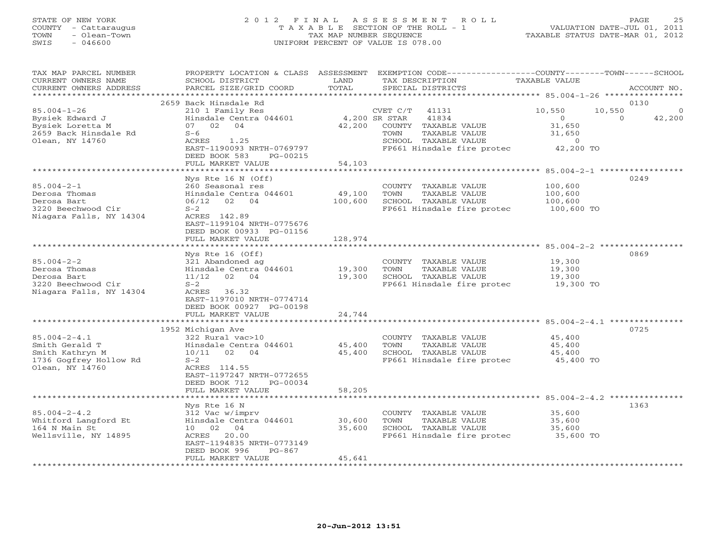# STATE OF NEW YORK 2 0 1 2 F I N A L A S S E S S M E N T R O L L PAGE 25 COUNTY - Cattaraugus T A X A B L E SECTION OF THE ROLL - 1 VALUATION DATE-JUL 01, 2011 TOWN - Olean-Town TAX MAP NUMBER SEQUENCE TAXABLE STATUS DATE-MAR 01, 2012 SWIS - 046600 UNIFORM PERCENT OF VALUE IS 078.00

| TAX MAP PARCEL NUMBER<br>CURRENT OWNERS NAME<br>CURRENT OWNERS ADDRESS                               | PROPERTY LOCATION & CLASS ASSESSMENT<br>SCHOOL DISTRICT<br>PARCEL SIZE/GRID COORD                                                                                                           | LAND<br>TOTAL                | EXEMPTION CODE-----------------COUNTY-------TOWN------SCHOOL<br>TAX DESCRIPTION<br>SPECIAL DISTRICTS                                               | TAXABLE VALUE                                                        | ACCOUNT NO.                               |
|------------------------------------------------------------------------------------------------------|---------------------------------------------------------------------------------------------------------------------------------------------------------------------------------------------|------------------------------|----------------------------------------------------------------------------------------------------------------------------------------------------|----------------------------------------------------------------------|-------------------------------------------|
| ******************                                                                                   |                                                                                                                                                                                             |                              |                                                                                                                                                    |                                                                      |                                           |
| $85.004 - 1 - 26$<br>Bysiek Edward J<br>Bysiek Loretta M<br>2659 Back Hinsdale Rd<br>Olean, NY 14760 | 2659 Back Hinsdale Rd<br>210 1 Family Res<br>Hinsdale Centra 044601<br>02 04<br>07<br>$S-6$<br>ACRES<br>1.25<br>EAST-1190093 NRTH-0769797                                                   | 42,200                       | CVET C/T<br>41131<br>41834<br>4,200 SR STAR<br>COUNTY TAXABLE VALUE<br>TAXABLE VALUE<br>TOWN<br>SCHOOL TAXABLE VALUE<br>FP661 Hinsdale fire protec | 10,550<br>$\overline{0}$<br>31,650<br>31,650<br>$\circ$<br>42,200 TO | 0130<br>10,550<br>0<br>$\Omega$<br>42,200 |
|                                                                                                      | DEED BOOK 583<br>PG-00215                                                                                                                                                                   |                              |                                                                                                                                                    |                                                                      |                                           |
|                                                                                                      | FULL MARKET VALUE                                                                                                                                                                           | 54,103                       |                                                                                                                                                    |                                                                      |                                           |
| $85.004 - 2 - 1$<br>Derosa Thomas<br>Derosa Bart<br>3220 Beechwood Cir<br>Niagara Falls, NY 14304    | Nys Rte $16$ N (Off)<br>260 Seasonal res<br>Hinsdale Centra 044601<br>02 04<br>06/12<br>$S-2$<br>ACRES 142.89<br>EAST-1199104 NRTH-0775676<br>DEED BOOK 00933 PG-01156<br>FULL MARKET VALUE | 49,100<br>100,600<br>128,974 | COUNTY TAXABLE VALUE<br>TOWN<br>TAXABLE VALUE<br>SCHOOL TAXABLE VALUE<br>FP661 Hinsdale fire protec                                                | 100,600<br>100,600<br>100,600<br>100,600 TO                          | 0249                                      |
|                                                                                                      |                                                                                                                                                                                             |                              |                                                                                                                                                    |                                                                      |                                           |
| $85.004 - 2 - 2$<br>Derosa Thomas<br>Derosa Bart<br>3220 Beechwood Cir<br>Niagara Falls, NY 14304    | $Nys$ Rte 16 (Off)<br>321 Abandoned ag<br>Hinsdale Centra 044601<br>02 04<br>11/12<br>$S-2$<br>ACRES<br>36.32<br>EAST-1197010 NRTH-0774714<br>DEED BOOK 00927 PG-00198<br>FULL MARKET VALUE | 19,300<br>19,300<br>24,744   | COUNTY TAXABLE VALUE<br>TOWN<br>TAXABLE VALUE<br>SCHOOL TAXABLE VALUE<br>FP661 Hinsdale fire protec                                                | 19,300<br>19,300<br>19,300<br>19,300 TO                              | 0869                                      |
|                                                                                                      |                                                                                                                                                                                             |                              |                                                                                                                                                    |                                                                      |                                           |
| $85.004 - 2 - 4.1$<br>Smith Gerald T<br>Smith Kathryn M<br>1736 Gogfrey Hollow Rd<br>Olean, NY 14760 | 1952 Michigan Ave<br>322 Rural vac>10<br>Hinsdale Centra 044601<br>02 04<br>10/11<br>$S-2$<br>ACRES 114.55<br>EAST-1197247 NRTH-0772655<br>DEED BOOK 712<br>PG-00034                        | 45,400<br>45,400             | COUNTY TAXABLE VALUE<br>TOWN<br>TAXABLE VALUE<br>SCHOOL TAXABLE VALUE<br>FP661 Hinsdale fire protec                                                | 45,400<br>45,400<br>45,400<br>45,400 TO                              | 0725                                      |
|                                                                                                      | FULL MARKET VALUE                                                                                                                                                                           | 58,205                       |                                                                                                                                                    |                                                                      |                                           |
| $85.004 - 2 - 4.2$<br>Whitford Langford Et<br>164 N Main St<br>Wellsville, NY 14895                  | Nys Rte 16 N<br>312 Vac w/imprv<br>Hinsdale Centra 044601<br>10 02 04<br>ACRES 20.00<br>EAST-1194835 NRTH-0773149<br>DEED BOOK 996<br>$PG-867$<br>FULL MARKET VALUE                         | 30,600<br>35,600<br>45,641   | COUNTY TAXABLE VALUE<br>TOWN<br>TAXABLE VALUE<br>SCHOOL TAXABLE VALUE<br>FP661 Hinsdale fire protec                                                | 35,600<br>35,600<br>35,600<br>35,600 TO                              | 1363                                      |
|                                                                                                      |                                                                                                                                                                                             |                              |                                                                                                                                                    |                                                                      |                                           |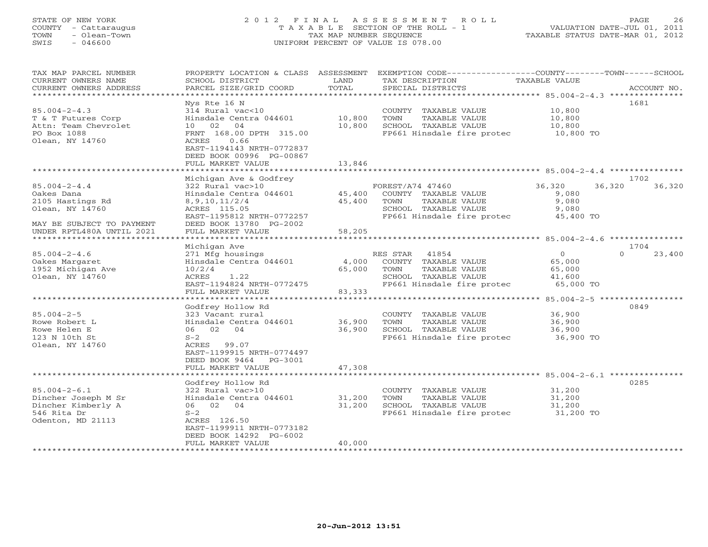#### STATE OF NEW YORK 2 0 1 2 F I N A L A S S E S S M E N T R O L L PAGE 26 COUNTY - Cattaraugus T A X A B L E SECTION OF THE ROLL - 1 VALUATION DATE-JUL 01, 2011 TOWN - Olean-Town TAX MAP NUMBER SEQUENCE TAXABLE STATUS DATE-MAR 01, 2012 SWIS - 046600 UNIFORM PERCENT OF VALUE IS 078.00UNIFORM PERCENT OF VALUE IS 078.00

| TAX MAP PARCEL NUMBER<br>CURRENT OWNERS NAME<br>CURRENT OWNERS ADDRESS | PROPERTY LOCATION & CLASS ASSESSMENT<br>SCHOOL DISTRICT<br>PARCEL SIZE/GRID COORD | LAND<br>TOTAL | EXEMPTION CODE-----------------COUNTY-------TOWN------SCHOOL<br>TAX DESCRIPTION<br>SPECIAL DISTRICTS | TAXABLE VALUE  | ACCOUNT NO.      |
|------------------------------------------------------------------------|-----------------------------------------------------------------------------------|---------------|------------------------------------------------------------------------------------------------------|----------------|------------------|
| ********************                                                   |                                                                                   |               |                                                                                                      |                |                  |
|                                                                        | Nys Rte 16 N                                                                      |               |                                                                                                      |                | 1681             |
| $85.004 - 2 - 4.3$                                                     | 314 Rural vac<10                                                                  |               | COUNTY TAXABLE VALUE                                                                                 | 10,800         |                  |
| T & T Futures Corp                                                     | Hinsdale Centra 044601                                                            | 10,800        | TOWN<br>TAXABLE VALUE                                                                                | 10,800         |                  |
| Attn: Team Chevrolet                                                   | 10 02<br>04                                                                       | 10,800        | SCHOOL TAXABLE VALUE                                                                                 | 10,800         |                  |
| PO Box 1088                                                            | FRNT 168.00 DPTH 315.00                                                           |               | FP661 Hinsdale fire protec 10,800 TO                                                                 |                |                  |
| Olean, NY 14760                                                        | ACRES<br>0.66                                                                     |               |                                                                                                      |                |                  |
|                                                                        | EAST-1194143 NRTH-0772837                                                         |               |                                                                                                      |                |                  |
|                                                                        | DEED BOOK 00996 PG-00867                                                          |               |                                                                                                      |                |                  |
|                                                                        | FULL MARKET VALUE                                                                 | 13,846        |                                                                                                      |                |                  |
|                                                                        |                                                                                   |               |                                                                                                      |                |                  |
|                                                                        | Michigan Ave & Godfrey                                                            |               |                                                                                                      |                | 1702             |
| $85.004 - 2 - 4.4$                                                     | 322 Rural vac>10                                                                  |               | FOREST/A74 47460                                                                                     | 36,320         | 36,320<br>36,320 |
| Oakes Dana                                                             | Hinsdale Centra 044601                                                            | 45,400        | COUNTY TAXABLE VALUE                                                                                 | 9,080          |                  |
| 2105 Hastings Rd                                                       | 8, 9, 10, 11/2/4                                                                  | 45,400        | TOWN<br>TAXABLE VALUE                                                                                | 9,080          |                  |
| Olean, NY 14760                                                        | ACRES 115.05                                                                      |               | SCHOOL TAXABLE VALUE                                                                                 | 9,080          |                  |
|                                                                        | EAST-1195812 NRTH-0772257                                                         |               | FP661 Hinsdale fire protec                                                                           | 45,400 TO      |                  |
| MAY BE SUBJECT TO PAYMENT                                              | DEED BOOK 13780 PG-2002                                                           |               |                                                                                                      |                |                  |
| UNDER RPTL480A UNTIL 2021<br>*********************                     | FULL MARKET VALUE<br>**********************                                       | 58,205        |                                                                                                      |                |                  |
|                                                                        |                                                                                   |               |                                                                                                      |                |                  |
|                                                                        | Michigan Ave                                                                      |               |                                                                                                      |                | 1704<br>$\Omega$ |
| $85.004 - 2 - 4.6$                                                     | 271 Mfg housings                                                                  |               | 41854<br>RES STAR                                                                                    | $\overline{0}$ | 23,400           |
| Oakes Margaret                                                         | Hinsdale Centra 044601                                                            | 4,000         | COUNTY TAXABLE VALUE                                                                                 | 65,000         |                  |
| 1952 Michigan Ave<br>Olean, NY 14760                                   | 10/2/4<br>ACRES<br>1.22                                                           | 65,000        | TAXABLE VALUE<br>TOWN<br>SCHOOL TAXABLE VALUE                                                        | 65,000         |                  |
|                                                                        | EAST-1194824 NRTH-0772475                                                         |               | FP661 Hinsdale fire protec 65,000 TO                                                                 | 41,600         |                  |
|                                                                        | FULL MARKET VALUE                                                                 | 83,333        |                                                                                                      |                |                  |
|                                                                        | *******************                                                               | ***********   |                                                                                                      |                |                  |
|                                                                        | Godfrey Hollow Rd                                                                 |               |                                                                                                      |                | 0849             |
| $85.004 - 2 - 5$                                                       | 323 Vacant rural                                                                  |               | COUNTY TAXABLE VALUE                                                                                 | 36,900         |                  |
| Rowe Robert L                                                          | Hinsdale Centra 044601                                                            | 36,900        | TOWN<br>TAXABLE VALUE                                                                                | 36,900         |                  |
| Rowe Helen E                                                           | 06 02 04                                                                          | 36,900        | SCHOOL TAXABLE VALUE                                                                                 | 36,900         |                  |
| 123 N 10th St                                                          | $S-2$                                                                             |               | FP661 Hinsdale fire protec                                                                           | $36,900$ TO    |                  |
| Olean, NY 14760                                                        | ACRES 99.07                                                                       |               |                                                                                                      |                |                  |
|                                                                        | EAST-1199915 NRTH-0774497                                                         |               |                                                                                                      |                |                  |
|                                                                        | DEED BOOK 9464<br>PG-3001                                                         |               |                                                                                                      |                |                  |
|                                                                        | FULL MARKET VALUE                                                                 | 47,308        |                                                                                                      |                |                  |
|                                                                        |                                                                                   |               |                                                                                                      |                |                  |
|                                                                        | Godfrey Hollow Rd                                                                 |               |                                                                                                      |                | 0285             |
| $85.004 - 2 - 6.1$                                                     | 322 Rural vac>10                                                                  |               | COUNTY TAXABLE VALUE                                                                                 | 31,200         |                  |
| Dincher Joseph M Sr                                                    | Hinsdale Centra 044601                                                            | 31,200        | TOWN<br>TAXABLE VALUE                                                                                | 31,200         |                  |
| Dincher Kimberly A                                                     | 06 02 04                                                                          | 31,200        | SCHOOL TAXABLE VALUE                                                                                 | 31,200         |                  |
| 546 Rita Dr                                                            | $S-2$                                                                             |               | FP661 Hinsdale fire protec 31,200 TO                                                                 |                |                  |
| Odenton, MD 21113                                                      | ACRES 126.50                                                                      |               |                                                                                                      |                |                  |
|                                                                        | EAST-1199911 NRTH-0773182                                                         |               |                                                                                                      |                |                  |
|                                                                        | DEED BOOK 14292 PG-6002                                                           |               |                                                                                                      |                |                  |
|                                                                        | FULL MARKET VALUE                                                                 | 40,000        |                                                                                                      |                |                  |
| **********************                                                 |                                                                                   |               |                                                                                                      |                |                  |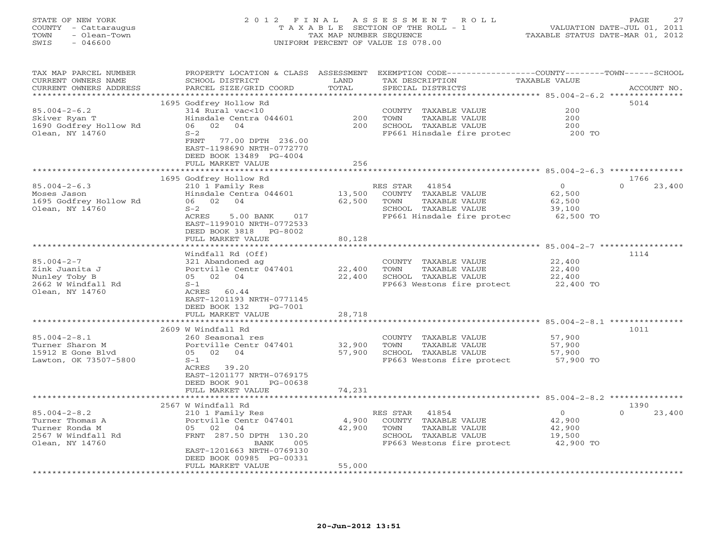# STATE OF NEW YORK 2 0 1 2 F I N A L A S S E S S M E N T R O L L PAGE 27 COUNTY - Cattaraugus T A X A B L E SECTION OF THE ROLL - 1 VALUATION DATE-JUL 01, 2011 TOWN - Olean-Town TAX MAP NUMBER SEQUENCE TAXABLE STATUS DATE-MAR 01, 2012 SWIS - 046600 UNIFORM PERCENT OF VALUE IS 078.00

| TAX MAP PARCEL NUMBER<br>CURRENT OWNERS NAME | PROPERTY LOCATION & CLASS ASSESSMENT<br>SCHOOL DISTRICT | LAND                | EXEMPTION CODE-----------------COUNTY-------TOWN-----SCHOOL<br>TAX DESCRIPTION | TAXABLE VALUE                                       |             |
|----------------------------------------------|---------------------------------------------------------|---------------------|--------------------------------------------------------------------------------|-----------------------------------------------------|-------------|
| CURRENT OWNERS ADDRESS                       | PARCEL SIZE/GRID COORD                                  | TOTAL               | SPECIAL DISTRICTS                                                              |                                                     | ACCOUNT NO. |
| *************************                    |                                                         |                     |                                                                                |                                                     |             |
|                                              | 1695 Godfrey Hollow Rd                                  |                     |                                                                                |                                                     | 5014        |
| $85.004 - 2 - 6.2$                           | 314 Rural vac<10                                        |                     | COUNTY TAXABLE VALUE                                                           | 200                                                 |             |
| Skiver Ryan T                                | Hinsdale Centra 044601                                  | 200                 | TAXABLE VALUE<br>TOWN                                                          | 200                                                 |             |
| 1690 Godfrey Hollow Rd                       | 06 02<br>04                                             | 200                 | SCHOOL TAXABLE VALUE                                                           | 200                                                 |             |
| Olean, NY 14760                              | $S-2$                                                   |                     | FP661 Hinsdale fire protec                                                     | 200 TO                                              |             |
|                                              | FRNT<br>77.00 DPTH 236.00                               |                     |                                                                                |                                                     |             |
|                                              | EAST-1198690 NRTH-0772770                               |                     |                                                                                |                                                     |             |
|                                              | DEED BOOK 13489 PG-4004                                 |                     |                                                                                |                                                     |             |
|                                              | FULL MARKET VALUE                                       | 256                 |                                                                                |                                                     |             |
|                                              |                                                         | *******             |                                                                                | ********************** 85.004-2-6.3 *************** |             |
|                                              | 1695 Godfrey Hollow Rd                                  |                     |                                                                                |                                                     | 1766        |
| $85.004 - 2 - 6.3$                           | 210 1 Family Res                                        |                     | RES STAR<br>41854                                                              | $\circ$<br>$\Omega$                                 | 23,400      |
| Moses Jason                                  | Hinsdale Centra 044601                                  | 13,500              | COUNTY TAXABLE VALUE                                                           | 62,500                                              |             |
|                                              | 06 02 04                                                | 62,500              |                                                                                |                                                     |             |
| 1695 Godfrey Hollow Rd                       |                                                         |                     | TOWN<br>TAXABLE VALUE                                                          | 62,500                                              |             |
| Olean, NY 14760                              | $S-2$                                                   |                     | SCHOOL TAXABLE VALUE                                                           | 39,100                                              |             |
|                                              | ACRES<br>5.00 BANK<br>017                               |                     | FP661 Hinsdale fire protec                                                     | 62,500 TO                                           |             |
|                                              | EAST-1199010 NRTH-0772533                               |                     |                                                                                |                                                     |             |
|                                              | DEED BOOK 3818<br>PG-8002                               |                     |                                                                                |                                                     |             |
|                                              | FULL MARKET VALUE                                       | 80,128              |                                                                                |                                                     |             |
|                                              | *****************************                           |                     |                                                                                |                                                     |             |
|                                              | Windfall Rd (Off)                                       |                     |                                                                                |                                                     | 1114        |
| $85.004 - 2 - 7$                             | 321 Abandoned ag                                        |                     | COUNTY TAXABLE VALUE                                                           | 22,400                                              |             |
| Zink Juanita J                               | Portville Centr 047401                                  | 22,400              | TAXABLE VALUE<br>TOWN                                                          | 22,400                                              |             |
| Nunley Toby B                                | 05 02 04                                                | 22,400              | SCHOOL TAXABLE VALUE                                                           | 22,400                                              |             |
| 2662 W Windfall Rd                           | $S-1$                                                   |                     | FP663 Westons fire protect 22,400 TO                                           |                                                     |             |
| Olean, NY 14760                              | ACRES<br>60.44                                          |                     |                                                                                |                                                     |             |
|                                              | EAST-1201193 NRTH-0771145                               |                     |                                                                                |                                                     |             |
|                                              | DEED BOOK 132<br>PG-7001                                |                     |                                                                                |                                                     |             |
|                                              | FULL MARKET VALUE                                       | 28,718              |                                                                                |                                                     |             |
|                                              | ***************************                             |                     |                                                                                |                                                     |             |
|                                              | 2609 W Windfall Rd                                      |                     |                                                                                |                                                     | 1011        |
|                                              |                                                         |                     |                                                                                |                                                     |             |
| $85.004 - 2 - 8.1$                           | 260 Seasonal res                                        |                     | COUNTY TAXABLE VALUE                                                           | 57,900                                              |             |
| Turner Sharon M                              | Portville Centr 047401                                  | 32,900              | TAXABLE VALUE<br>TOWN                                                          | 57,900                                              |             |
| 15912 E Gone Blvd                            | 05 02 04                                                | 57,900              | SCHOOL TAXABLE VALUE                                                           | 57,900                                              |             |
| Lawton, OK 73507-5800                        | $S-1$                                                   |                     | FP663 Westons fire protect                                                     | 57,900 TO                                           |             |
|                                              | ACRES 39.20                                             |                     |                                                                                |                                                     |             |
|                                              | EAST-1201177 NRTH-0769175                               |                     |                                                                                |                                                     |             |
|                                              | DEED BOOK 901<br>PG-00638                               |                     |                                                                                |                                                     |             |
|                                              | FULL MARKET VALUE                                       | 74,231              |                                                                                |                                                     |             |
|                                              |                                                         |                     |                                                                                |                                                     |             |
|                                              | 2567 W Windfall Rd                                      |                     |                                                                                |                                                     | 1390        |
| $85.004 - 2 - 8.2$                           | 210 1 Family Res                                        |                     | 41854<br>RES STAR                                                              | $\circ$                                             | 23,400      |
| Turner Thomas A                              | Portville Centr 047401                                  | 4,900               | COUNTY TAXABLE VALUE                                                           | 42,900                                              |             |
| Turner Ronda M                               | 05 02 04                                                | 42,900              | TOWN<br>TAXABLE VALUE                                                          | 42,900                                              |             |
| 2567 W Windfall Rd                           | FRNT 287.50 DPTH 130.20                                 |                     | SCHOOL TAXABLE VALUE                                                           | 19,500                                              |             |
| Olean, NY 14760                              | BANK<br>005                                             |                     | FP663 Westons fire protect                                                     | 42,900 TO                                           |             |
|                                              | EAST-1201663 NRTH-0769130                               |                     |                                                                                |                                                     |             |
|                                              | DEED BOOK 00985 PG-00331                                |                     |                                                                                |                                                     |             |
|                                              | FULL MARKET VALUE                                       | 55,000              |                                                                                |                                                     |             |
|                                              | ************************                                | ******************* |                                                                                |                                                     |             |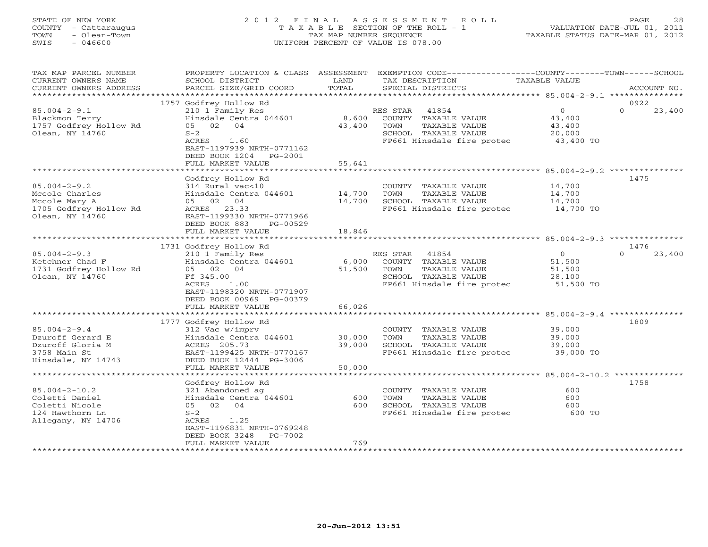#### STATE OF NEW YORK 2 0 1 2 F I N A L A S S E S S M E N T R O L L PAGE 28 COUNTY - Cattaraugus T A X A B L E SECTION OF THE ROLL - 1 VALUATION DATE-JUL 01, 2011 TOWN - Olean-Town TAX MAP NUMBER SEQUENCE TAXABLE STATUS DATE-MAR 01, 2012 SWIS - 046600 UNIFORM PERCENT OF VALUE IS 078.00UNIFORM PERCENT OF VALUE IS 078.00

| TAX MAP PARCEL NUMBER<br>CURRENT OWNERS NAME<br>CURRENT OWNERS ADDRESS                             | PROPERTY LOCATION & CLASS ASSESSMENT<br>SCHOOL DISTRICT<br>PARCEL SIZE/GRID COORD                                                                                  | LAND<br>TOTAL      | EXEMPTION CODE----------------COUNTY-------TOWN-----SCHOOL<br>TAX DESCRIPTION<br>SPECIAL DISTRICTS                                 | TAXABLE VALUE                                       | ACCOUNT NO.        |
|----------------------------------------------------------------------------------------------------|--------------------------------------------------------------------------------------------------------------------------------------------------------------------|--------------------|------------------------------------------------------------------------------------------------------------------------------------|-----------------------------------------------------|--------------------|
| ******************                                                                                 |                                                                                                                                                                    |                    |                                                                                                                                    |                                                     |                    |
|                                                                                                    | 1757 Godfrey Hollow Rd                                                                                                                                             |                    |                                                                                                                                    |                                                     | 0922               |
| $85.004 - 2 - 9.1$<br>Blackmon Terry<br>1757 Godfrey Hollow Rd<br>Olean, NY 14760                  | 210 1 Family Res<br>Hinsdale Centra 044601<br>05 02 04<br>$S-2$<br>ACRES<br>1.60<br>EAST-1197939 NRTH-0771162<br>DEED BOOK 1204<br>PG-2001                         | 8,600<br>43,400    | 41854<br>RES STAR<br>COUNTY TAXABLE VALUE<br>TAXABLE VALUE<br>TOWN<br>SCHOOL TAXABLE VALUE<br>FP661 Hinsdale fire protec 43,400 TO | $\overline{O}$<br>43,400<br>43,400<br>20,000        | $\Omega$<br>23,400 |
|                                                                                                    | FULL MARKET VALUE                                                                                                                                                  | 55,641             |                                                                                                                                    |                                                     |                    |
|                                                                                                    |                                                                                                                                                                    |                    |                                                                                                                                    |                                                     |                    |
| $85.004 - 2 - 9.2$<br>Mccole Charles<br>Mccole Mary A<br>1705 Godfrey Hollow Rd<br>Olean, NY 14760 | Godfrey Hollow Rd<br>314 Rural vac<10<br>Hinsdale Centra 044601<br>05 02 04<br>ACRES 23.33<br>EAST-1199330 NRTH-0771966<br>DEED BOOK 883<br>PG-00529               | 14,700<br>14,700   | COUNTY TAXABLE VALUE<br>TOWN<br>TAXABLE VALUE<br>SCHOOL TAXABLE VALUE<br>FP661 Hinsdale fire protec                                | 14,700<br>14,700<br>14,700<br>14,700 TO             | 1475               |
|                                                                                                    | FULL MARKET VALUE<br>************************                                                                                                                      | 18,846<br>******** |                                                                                                                                    | ********************** 85.004-2-9.3 **********      |                    |
|                                                                                                    | 1731 Godfrey Hollow Rd                                                                                                                                             |                    |                                                                                                                                    |                                                     | 1476               |
| $85.004 - 2 - 9.3$                                                                                 | 210 1 Family Res                                                                                                                                                   |                    | RES STAR<br>41854                                                                                                                  | $\overline{0}$                                      | 23,400<br>$\Omega$ |
| Ketchner Chad F<br>1731 Godfrey Hollow Rd<br>Olean, NY 14760                                       | Hinsdale Centra 044601<br>05 02 04<br>Ff 345.00<br>ACRES<br>1.00<br>EAST-1198320 NRTH-0771907<br>DEED BOOK 00969 PG-00379                                          | 6,000<br>51,500    | COUNTY TAXABLE VALUE<br>TOWN<br>TAXABLE VALUE<br>SCHOOL TAXABLE VALUE<br>FP661 Hinsdale fire protec 51,500 TO                      | 51,500<br>51,500<br>28,100                          |                    |
|                                                                                                    | FULL MARKET VALUE                                                                                                                                                  | 66,026             |                                                                                                                                    |                                                     |                    |
|                                                                                                    | * * * * * * * * * * * * * * * * * * *                                                                                                                              |                    |                                                                                                                                    | ************************ 85.004-2-9.4 ************* |                    |
| $85.004 - 2 - 9.4$<br>Dzuroff Gerard E<br>Dzuroff Gloria M<br>3758 Main St<br>Hinsdale, NY 14743   | 1777 Godfrey Hollow Rd<br>312 Vac w/imprv<br>Hinsdale Centra 044601<br>ACRES 205.73<br>EAST-1199425 NRTH-0770167<br>DEED BOOK 12444 PG-3006                        | 30,000<br>39,000   | COUNTY TAXABLE VALUE<br>TOWN<br>TAXABLE VALUE<br>SCHOOL TAXABLE VALUE<br>FP661 Hinsdale fire protec                                | 39,000<br>39,000<br>39,000<br>39,000 TO             | 1809               |
|                                                                                                    | FULL MARKET VALUE                                                                                                                                                  | 50,000             |                                                                                                                                    |                                                     |                    |
|                                                                                                    |                                                                                                                                                                    |                    |                                                                                                                                    | ********************** 85.004-2-10.2 ************** |                    |
| $85.004 - 2 - 10.2$<br>Coletti Daniel<br>Coletti Nicole<br>124 Hawthorn Ln<br>Allegany, NY 14706   | Godfrey Hollow Rd<br>321 Abandoned ag<br>Hinsdale Centra 044601<br>05 02<br>04<br>$S-2$<br>ACRES<br>1.25<br>EAST-1196831 NRTH-0769248<br>DEED BOOK 3248<br>PG-7002 | 600<br>600         | COUNTY TAXABLE VALUE<br>TOWN<br>TAXABLE VALUE<br>SCHOOL TAXABLE VALUE<br>FP661 Hinsdale fire protec                                | 600<br>600<br>600<br>600 TO                         | 1758               |
|                                                                                                    | FULL MARKET VALUE<br>*********************                                                                                                                         | 769                |                                                                                                                                    |                                                     |                    |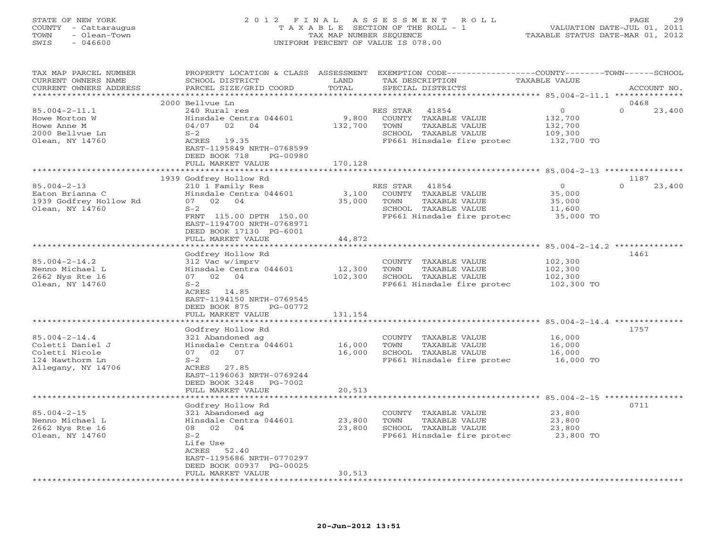#### STATE OF NEW YORK 2 0 1 2 F I N A L A S S E S S M E N T R O L L PAGE 29 COUNTY - Cattaraugus T A X A B L E SECTION OF THE ROLL - 1 VALUATION DATE-JUL 01, 2011 TOWN - Olean-Town TAX MAP NUMBER SEQUENCE TAXABLE STATUS DATE-MAR 01, 2012 SWIS - 046600 UNIFORM PERCENT OF VALUE IS 078.00UNIFORM PERCENT OF VALUE IS 078.00

| ***********************<br>****************************<br>0468<br>2000 Bellvue Ln<br>$\circ$<br>$\Omega$<br>23,400<br>$85.004 - 2 - 11.1$<br>240 Rural res<br>41854<br>RES STAR<br>9,800<br>Howe Morton W<br>Hinsdale Centra 044601<br>COUNTY TAXABLE VALUE<br>132,700<br>02<br>132,700<br>TAXABLE VALUE<br>04/07<br>04<br>TOWN<br>132,700<br>$S-2$<br>SCHOOL TAXABLE VALUE<br>2000 Bellvue Ln<br>109,300<br>Olean, NY 14760<br>ACRES 19.35<br>FP661 Hinsdale fire protec<br>132,700 TO<br>EAST-1195849 NRTH-0768599<br>DEED BOOK 718<br>PG-00980<br>FULL MARKET VALUE<br>170,128<br>1939 Godfrey Hollow Rd<br>1187<br>$\Omega$<br>23,400<br>$85.004 - 2 - 13$<br>210 1 Family Res<br>RES STAR<br>41854<br>$\Omega$<br>Eaton Brianna C<br>Hinsdale Centra 044601<br>3,100<br>COUNTY TAXABLE VALUE<br>35,000<br>1939 Godfrey Hollow Rd<br>02<br>04<br>35,000<br>07<br>TOWN<br>TAXABLE VALUE<br>35,000<br>Olean, NY 14760<br>$S-2$<br>SCHOOL TAXABLE VALUE<br>11,600<br>FRNT 115.00 DPTH 150.00<br>FP661 Hinsdale fire protec<br>35,000 TO<br>EAST-1194700 NRTH-0768971<br>DEED BOOK 17130 PG-6001<br>FULL MARKET VALUE<br>44,872<br>********** 85.004-2-14.2 **<br>Godfrey Hollow Rd<br>1461<br>$85.004 - 2 - 14.2$<br>102,300<br>312 Vac w/imprv<br>COUNTY TAXABLE VALUE<br>Nenno Michael L<br>Hinsdale Centra 044601<br>12,300<br>102,300<br>TOWN<br>TAXABLE VALUE<br>2662 Nys Rte 16<br>07 02 04<br>102,300<br>SCHOOL TAXABLE VALUE<br>102,300<br>Olean, NY 14760<br>$S-2$<br>FP661 Hinsdale fire protec<br>102,300 TO<br>ACRES 14.85<br>EAST-1194150 NRTH-0769545<br>DEED BOOK 875<br>PG-00772<br>131,154<br>FULL MARKET VALUE<br>1757<br>Godfrey Hollow Rd<br>$85.004 - 2 - 14.4$<br>321 Abandoned ag<br>COUNTY TAXABLE VALUE<br>16,000<br>16,000<br>TAXABLE VALUE<br>Coletti Daniel J<br>Hinsdale Centra 044601<br>TOWN<br>16,000<br>Coletti Nicole<br>16,000<br>SCHOOL TAXABLE VALUE<br>07 02 07<br>16,000<br>FP661 Hinsdale fire protec<br>124 Hawthorm Ln<br>$S-2$<br>16,000 TO<br>Allegany, NY 14706<br>ACRES 27.85<br>EAST-1196063 NRTH-0769244<br>DEED BOOK 3248<br>PG-7002<br>FULL MARKET VALUE<br>20,513<br>*********<br>************************ 85.004-2-15 ****************<br>0711<br>Godfrey Hollow Rd<br>$85.004 - 2 - 15$<br>321 Abandoned ag<br>COUNTY TAXABLE VALUE<br>23,800<br>23,800<br>Hinsdale Centra 044601<br>TOWN<br>TAXABLE VALUE<br>23,800<br>2662 Nys Rte 16<br>08 02 04<br>23,800<br>SCHOOL TAXABLE VALUE<br>23,800<br>Olean, NY 14760<br>$S-2$<br>FP661 Hinsdale fire protec 23,800 TO<br>Life Use<br>52.40<br>ACRES<br>EAST-1195686 NRTH-0770297<br>DEED BOOK 00937 PG-00025<br>FULL MARKET VALUE<br>30,513 | TAX MAP PARCEL NUMBER<br>CURRENT OWNERS NAME | PROPERTY LOCATION & CLASS ASSESSMENT<br>SCHOOL DISTRICT | LAND<br>TOTAL | EXEMPTION CODE-----------------COUNTY-------TOWN-----SCHOOL<br>TAX DESCRIPTION | <b>TAXABLE VALUE</b> |             |
|--------------------------------------------------------------------------------------------------------------------------------------------------------------------------------------------------------------------------------------------------------------------------------------------------------------------------------------------------------------------------------------------------------------------------------------------------------------------------------------------------------------------------------------------------------------------------------------------------------------------------------------------------------------------------------------------------------------------------------------------------------------------------------------------------------------------------------------------------------------------------------------------------------------------------------------------------------------------------------------------------------------------------------------------------------------------------------------------------------------------------------------------------------------------------------------------------------------------------------------------------------------------------------------------------------------------------------------------------------------------------------------------------------------------------------------------------------------------------------------------------------------------------------------------------------------------------------------------------------------------------------------------------------------------------------------------------------------------------------------------------------------------------------------------------------------------------------------------------------------------------------------------------------------------------------------------------------------------------------------------------------------------------------------------------------------------------------------------------------------------------------------------------------------------------------------------------------------------------------------------------------------------------------------------------------------------------------------------------------------------------------------------------------------------------------------------------------------------------------------------------------------------------------------------------------------------------------------------------------------------------------------------------|----------------------------------------------|---------------------------------------------------------|---------------|--------------------------------------------------------------------------------|----------------------|-------------|
|                                                                                                                                                                                                                                                                                                                                                                                                                                                                                                                                                                                                                                                                                                                                                                                                                                                                                                                                                                                                                                                                                                                                                                                                                                                                                                                                                                                                                                                                                                                                                                                                                                                                                                                                                                                                                                                                                                                                                                                                                                                                                                                                                                                                                                                                                                                                                                                                                                                                                                                                                                                                                                                  | CURRENT OWNERS ADDRESS                       | PARCEL SIZE/GRID COORD                                  |               | SPECIAL DISTRICTS                                                              |                      | ACCOUNT NO. |
|                                                                                                                                                                                                                                                                                                                                                                                                                                                                                                                                                                                                                                                                                                                                                                                                                                                                                                                                                                                                                                                                                                                                                                                                                                                                                                                                                                                                                                                                                                                                                                                                                                                                                                                                                                                                                                                                                                                                                                                                                                                                                                                                                                                                                                                                                                                                                                                                                                                                                                                                                                                                                                                  |                                              |                                                         |               |                                                                                |                      |             |
|                                                                                                                                                                                                                                                                                                                                                                                                                                                                                                                                                                                                                                                                                                                                                                                                                                                                                                                                                                                                                                                                                                                                                                                                                                                                                                                                                                                                                                                                                                                                                                                                                                                                                                                                                                                                                                                                                                                                                                                                                                                                                                                                                                                                                                                                                                                                                                                                                                                                                                                                                                                                                                                  |                                              |                                                         |               |                                                                                |                      |             |
|                                                                                                                                                                                                                                                                                                                                                                                                                                                                                                                                                                                                                                                                                                                                                                                                                                                                                                                                                                                                                                                                                                                                                                                                                                                                                                                                                                                                                                                                                                                                                                                                                                                                                                                                                                                                                                                                                                                                                                                                                                                                                                                                                                                                                                                                                                                                                                                                                                                                                                                                                                                                                                                  |                                              |                                                         |               |                                                                                |                      |             |
|                                                                                                                                                                                                                                                                                                                                                                                                                                                                                                                                                                                                                                                                                                                                                                                                                                                                                                                                                                                                                                                                                                                                                                                                                                                                                                                                                                                                                                                                                                                                                                                                                                                                                                                                                                                                                                                                                                                                                                                                                                                                                                                                                                                                                                                                                                                                                                                                                                                                                                                                                                                                                                                  |                                              |                                                         |               |                                                                                |                      |             |
|                                                                                                                                                                                                                                                                                                                                                                                                                                                                                                                                                                                                                                                                                                                                                                                                                                                                                                                                                                                                                                                                                                                                                                                                                                                                                                                                                                                                                                                                                                                                                                                                                                                                                                                                                                                                                                                                                                                                                                                                                                                                                                                                                                                                                                                                                                                                                                                                                                                                                                                                                                                                                                                  | Howe Anne M                                  |                                                         |               |                                                                                |                      |             |
|                                                                                                                                                                                                                                                                                                                                                                                                                                                                                                                                                                                                                                                                                                                                                                                                                                                                                                                                                                                                                                                                                                                                                                                                                                                                                                                                                                                                                                                                                                                                                                                                                                                                                                                                                                                                                                                                                                                                                                                                                                                                                                                                                                                                                                                                                                                                                                                                                                                                                                                                                                                                                                                  |                                              |                                                         |               |                                                                                |                      |             |
|                                                                                                                                                                                                                                                                                                                                                                                                                                                                                                                                                                                                                                                                                                                                                                                                                                                                                                                                                                                                                                                                                                                                                                                                                                                                                                                                                                                                                                                                                                                                                                                                                                                                                                                                                                                                                                                                                                                                                                                                                                                                                                                                                                                                                                                                                                                                                                                                                                                                                                                                                                                                                                                  |                                              |                                                         |               |                                                                                |                      |             |
|                                                                                                                                                                                                                                                                                                                                                                                                                                                                                                                                                                                                                                                                                                                                                                                                                                                                                                                                                                                                                                                                                                                                                                                                                                                                                                                                                                                                                                                                                                                                                                                                                                                                                                                                                                                                                                                                                                                                                                                                                                                                                                                                                                                                                                                                                                                                                                                                                                                                                                                                                                                                                                                  |                                              |                                                         |               |                                                                                |                      |             |
|                                                                                                                                                                                                                                                                                                                                                                                                                                                                                                                                                                                                                                                                                                                                                                                                                                                                                                                                                                                                                                                                                                                                                                                                                                                                                                                                                                                                                                                                                                                                                                                                                                                                                                                                                                                                                                                                                                                                                                                                                                                                                                                                                                                                                                                                                                                                                                                                                                                                                                                                                                                                                                                  |                                              |                                                         |               |                                                                                |                      |             |
|                                                                                                                                                                                                                                                                                                                                                                                                                                                                                                                                                                                                                                                                                                                                                                                                                                                                                                                                                                                                                                                                                                                                                                                                                                                                                                                                                                                                                                                                                                                                                                                                                                                                                                                                                                                                                                                                                                                                                                                                                                                                                                                                                                                                                                                                                                                                                                                                                                                                                                                                                                                                                                                  |                                              |                                                         |               |                                                                                |                      |             |
|                                                                                                                                                                                                                                                                                                                                                                                                                                                                                                                                                                                                                                                                                                                                                                                                                                                                                                                                                                                                                                                                                                                                                                                                                                                                                                                                                                                                                                                                                                                                                                                                                                                                                                                                                                                                                                                                                                                                                                                                                                                                                                                                                                                                                                                                                                                                                                                                                                                                                                                                                                                                                                                  |                                              |                                                         |               |                                                                                |                      |             |
|                                                                                                                                                                                                                                                                                                                                                                                                                                                                                                                                                                                                                                                                                                                                                                                                                                                                                                                                                                                                                                                                                                                                                                                                                                                                                                                                                                                                                                                                                                                                                                                                                                                                                                                                                                                                                                                                                                                                                                                                                                                                                                                                                                                                                                                                                                                                                                                                                                                                                                                                                                                                                                                  |                                              |                                                         |               |                                                                                |                      |             |
|                                                                                                                                                                                                                                                                                                                                                                                                                                                                                                                                                                                                                                                                                                                                                                                                                                                                                                                                                                                                                                                                                                                                                                                                                                                                                                                                                                                                                                                                                                                                                                                                                                                                                                                                                                                                                                                                                                                                                                                                                                                                                                                                                                                                                                                                                                                                                                                                                                                                                                                                                                                                                                                  |                                              |                                                         |               |                                                                                |                      |             |
|                                                                                                                                                                                                                                                                                                                                                                                                                                                                                                                                                                                                                                                                                                                                                                                                                                                                                                                                                                                                                                                                                                                                                                                                                                                                                                                                                                                                                                                                                                                                                                                                                                                                                                                                                                                                                                                                                                                                                                                                                                                                                                                                                                                                                                                                                                                                                                                                                                                                                                                                                                                                                                                  |                                              |                                                         |               |                                                                                |                      |             |
|                                                                                                                                                                                                                                                                                                                                                                                                                                                                                                                                                                                                                                                                                                                                                                                                                                                                                                                                                                                                                                                                                                                                                                                                                                                                                                                                                                                                                                                                                                                                                                                                                                                                                                                                                                                                                                                                                                                                                                                                                                                                                                                                                                                                                                                                                                                                                                                                                                                                                                                                                                                                                                                  |                                              |                                                         |               |                                                                                |                      |             |
|                                                                                                                                                                                                                                                                                                                                                                                                                                                                                                                                                                                                                                                                                                                                                                                                                                                                                                                                                                                                                                                                                                                                                                                                                                                                                                                                                                                                                                                                                                                                                                                                                                                                                                                                                                                                                                                                                                                                                                                                                                                                                                                                                                                                                                                                                                                                                                                                                                                                                                                                                                                                                                                  |                                              |                                                         |               |                                                                                |                      |             |
|                                                                                                                                                                                                                                                                                                                                                                                                                                                                                                                                                                                                                                                                                                                                                                                                                                                                                                                                                                                                                                                                                                                                                                                                                                                                                                                                                                                                                                                                                                                                                                                                                                                                                                                                                                                                                                                                                                                                                                                                                                                                                                                                                                                                                                                                                                                                                                                                                                                                                                                                                                                                                                                  |                                              |                                                         |               |                                                                                |                      |             |
|                                                                                                                                                                                                                                                                                                                                                                                                                                                                                                                                                                                                                                                                                                                                                                                                                                                                                                                                                                                                                                                                                                                                                                                                                                                                                                                                                                                                                                                                                                                                                                                                                                                                                                                                                                                                                                                                                                                                                                                                                                                                                                                                                                                                                                                                                                                                                                                                                                                                                                                                                                                                                                                  |                                              |                                                         |               |                                                                                |                      |             |
|                                                                                                                                                                                                                                                                                                                                                                                                                                                                                                                                                                                                                                                                                                                                                                                                                                                                                                                                                                                                                                                                                                                                                                                                                                                                                                                                                                                                                                                                                                                                                                                                                                                                                                                                                                                                                                                                                                                                                                                                                                                                                                                                                                                                                                                                                                                                                                                                                                                                                                                                                                                                                                                  |                                              |                                                         |               |                                                                                |                      |             |
|                                                                                                                                                                                                                                                                                                                                                                                                                                                                                                                                                                                                                                                                                                                                                                                                                                                                                                                                                                                                                                                                                                                                                                                                                                                                                                                                                                                                                                                                                                                                                                                                                                                                                                                                                                                                                                                                                                                                                                                                                                                                                                                                                                                                                                                                                                                                                                                                                                                                                                                                                                                                                                                  |                                              |                                                         |               |                                                                                |                      |             |
|                                                                                                                                                                                                                                                                                                                                                                                                                                                                                                                                                                                                                                                                                                                                                                                                                                                                                                                                                                                                                                                                                                                                                                                                                                                                                                                                                                                                                                                                                                                                                                                                                                                                                                                                                                                                                                                                                                                                                                                                                                                                                                                                                                                                                                                                                                                                                                                                                                                                                                                                                                                                                                                  |                                              |                                                         |               |                                                                                |                      |             |
|                                                                                                                                                                                                                                                                                                                                                                                                                                                                                                                                                                                                                                                                                                                                                                                                                                                                                                                                                                                                                                                                                                                                                                                                                                                                                                                                                                                                                                                                                                                                                                                                                                                                                                                                                                                                                                                                                                                                                                                                                                                                                                                                                                                                                                                                                                                                                                                                                                                                                                                                                                                                                                                  |                                              |                                                         |               |                                                                                |                      |             |
|                                                                                                                                                                                                                                                                                                                                                                                                                                                                                                                                                                                                                                                                                                                                                                                                                                                                                                                                                                                                                                                                                                                                                                                                                                                                                                                                                                                                                                                                                                                                                                                                                                                                                                                                                                                                                                                                                                                                                                                                                                                                                                                                                                                                                                                                                                                                                                                                                                                                                                                                                                                                                                                  |                                              |                                                         |               |                                                                                |                      |             |
|                                                                                                                                                                                                                                                                                                                                                                                                                                                                                                                                                                                                                                                                                                                                                                                                                                                                                                                                                                                                                                                                                                                                                                                                                                                                                                                                                                                                                                                                                                                                                                                                                                                                                                                                                                                                                                                                                                                                                                                                                                                                                                                                                                                                                                                                                                                                                                                                                                                                                                                                                                                                                                                  |                                              |                                                         |               |                                                                                |                      |             |
|                                                                                                                                                                                                                                                                                                                                                                                                                                                                                                                                                                                                                                                                                                                                                                                                                                                                                                                                                                                                                                                                                                                                                                                                                                                                                                                                                                                                                                                                                                                                                                                                                                                                                                                                                                                                                                                                                                                                                                                                                                                                                                                                                                                                                                                                                                                                                                                                                                                                                                                                                                                                                                                  |                                              |                                                         |               |                                                                                |                      |             |
|                                                                                                                                                                                                                                                                                                                                                                                                                                                                                                                                                                                                                                                                                                                                                                                                                                                                                                                                                                                                                                                                                                                                                                                                                                                                                                                                                                                                                                                                                                                                                                                                                                                                                                                                                                                                                                                                                                                                                                                                                                                                                                                                                                                                                                                                                                                                                                                                                                                                                                                                                                                                                                                  |                                              |                                                         |               |                                                                                |                      |             |
|                                                                                                                                                                                                                                                                                                                                                                                                                                                                                                                                                                                                                                                                                                                                                                                                                                                                                                                                                                                                                                                                                                                                                                                                                                                                                                                                                                                                                                                                                                                                                                                                                                                                                                                                                                                                                                                                                                                                                                                                                                                                                                                                                                                                                                                                                                                                                                                                                                                                                                                                                                                                                                                  |                                              |                                                         |               |                                                                                |                      |             |
|                                                                                                                                                                                                                                                                                                                                                                                                                                                                                                                                                                                                                                                                                                                                                                                                                                                                                                                                                                                                                                                                                                                                                                                                                                                                                                                                                                                                                                                                                                                                                                                                                                                                                                                                                                                                                                                                                                                                                                                                                                                                                                                                                                                                                                                                                                                                                                                                                                                                                                                                                                                                                                                  |                                              |                                                         |               |                                                                                |                      |             |
|                                                                                                                                                                                                                                                                                                                                                                                                                                                                                                                                                                                                                                                                                                                                                                                                                                                                                                                                                                                                                                                                                                                                                                                                                                                                                                                                                                                                                                                                                                                                                                                                                                                                                                                                                                                                                                                                                                                                                                                                                                                                                                                                                                                                                                                                                                                                                                                                                                                                                                                                                                                                                                                  |                                              |                                                         |               |                                                                                |                      |             |
|                                                                                                                                                                                                                                                                                                                                                                                                                                                                                                                                                                                                                                                                                                                                                                                                                                                                                                                                                                                                                                                                                                                                                                                                                                                                                                                                                                                                                                                                                                                                                                                                                                                                                                                                                                                                                                                                                                                                                                                                                                                                                                                                                                                                                                                                                                                                                                                                                                                                                                                                                                                                                                                  |                                              |                                                         |               |                                                                                |                      |             |
|                                                                                                                                                                                                                                                                                                                                                                                                                                                                                                                                                                                                                                                                                                                                                                                                                                                                                                                                                                                                                                                                                                                                                                                                                                                                                                                                                                                                                                                                                                                                                                                                                                                                                                                                                                                                                                                                                                                                                                                                                                                                                                                                                                                                                                                                                                                                                                                                                                                                                                                                                                                                                                                  |                                              |                                                         |               |                                                                                |                      |             |
|                                                                                                                                                                                                                                                                                                                                                                                                                                                                                                                                                                                                                                                                                                                                                                                                                                                                                                                                                                                                                                                                                                                                                                                                                                                                                                                                                                                                                                                                                                                                                                                                                                                                                                                                                                                                                                                                                                                                                                                                                                                                                                                                                                                                                                                                                                                                                                                                                                                                                                                                                                                                                                                  |                                              |                                                         |               |                                                                                |                      |             |
|                                                                                                                                                                                                                                                                                                                                                                                                                                                                                                                                                                                                                                                                                                                                                                                                                                                                                                                                                                                                                                                                                                                                                                                                                                                                                                                                                                                                                                                                                                                                                                                                                                                                                                                                                                                                                                                                                                                                                                                                                                                                                                                                                                                                                                                                                                                                                                                                                                                                                                                                                                                                                                                  |                                              |                                                         |               |                                                                                |                      |             |
|                                                                                                                                                                                                                                                                                                                                                                                                                                                                                                                                                                                                                                                                                                                                                                                                                                                                                                                                                                                                                                                                                                                                                                                                                                                                                                                                                                                                                                                                                                                                                                                                                                                                                                                                                                                                                                                                                                                                                                                                                                                                                                                                                                                                                                                                                                                                                                                                                                                                                                                                                                                                                                                  |                                              |                                                         |               |                                                                                |                      |             |
|                                                                                                                                                                                                                                                                                                                                                                                                                                                                                                                                                                                                                                                                                                                                                                                                                                                                                                                                                                                                                                                                                                                                                                                                                                                                                                                                                                                                                                                                                                                                                                                                                                                                                                                                                                                                                                                                                                                                                                                                                                                                                                                                                                                                                                                                                                                                                                                                                                                                                                                                                                                                                                                  |                                              |                                                         |               |                                                                                |                      |             |
|                                                                                                                                                                                                                                                                                                                                                                                                                                                                                                                                                                                                                                                                                                                                                                                                                                                                                                                                                                                                                                                                                                                                                                                                                                                                                                                                                                                                                                                                                                                                                                                                                                                                                                                                                                                                                                                                                                                                                                                                                                                                                                                                                                                                                                                                                                                                                                                                                                                                                                                                                                                                                                                  |                                              |                                                         |               |                                                                                |                      |             |
|                                                                                                                                                                                                                                                                                                                                                                                                                                                                                                                                                                                                                                                                                                                                                                                                                                                                                                                                                                                                                                                                                                                                                                                                                                                                                                                                                                                                                                                                                                                                                                                                                                                                                                                                                                                                                                                                                                                                                                                                                                                                                                                                                                                                                                                                                                                                                                                                                                                                                                                                                                                                                                                  |                                              |                                                         |               |                                                                                |                      |             |
|                                                                                                                                                                                                                                                                                                                                                                                                                                                                                                                                                                                                                                                                                                                                                                                                                                                                                                                                                                                                                                                                                                                                                                                                                                                                                                                                                                                                                                                                                                                                                                                                                                                                                                                                                                                                                                                                                                                                                                                                                                                                                                                                                                                                                                                                                                                                                                                                                                                                                                                                                                                                                                                  |                                              |                                                         |               |                                                                                |                      |             |
|                                                                                                                                                                                                                                                                                                                                                                                                                                                                                                                                                                                                                                                                                                                                                                                                                                                                                                                                                                                                                                                                                                                                                                                                                                                                                                                                                                                                                                                                                                                                                                                                                                                                                                                                                                                                                                                                                                                                                                                                                                                                                                                                                                                                                                                                                                                                                                                                                                                                                                                                                                                                                                                  |                                              |                                                         |               |                                                                                |                      |             |
|                                                                                                                                                                                                                                                                                                                                                                                                                                                                                                                                                                                                                                                                                                                                                                                                                                                                                                                                                                                                                                                                                                                                                                                                                                                                                                                                                                                                                                                                                                                                                                                                                                                                                                                                                                                                                                                                                                                                                                                                                                                                                                                                                                                                                                                                                                                                                                                                                                                                                                                                                                                                                                                  |                                              |                                                         |               |                                                                                |                      |             |
|                                                                                                                                                                                                                                                                                                                                                                                                                                                                                                                                                                                                                                                                                                                                                                                                                                                                                                                                                                                                                                                                                                                                                                                                                                                                                                                                                                                                                                                                                                                                                                                                                                                                                                                                                                                                                                                                                                                                                                                                                                                                                                                                                                                                                                                                                                                                                                                                                                                                                                                                                                                                                                                  |                                              |                                                         |               |                                                                                |                      |             |
|                                                                                                                                                                                                                                                                                                                                                                                                                                                                                                                                                                                                                                                                                                                                                                                                                                                                                                                                                                                                                                                                                                                                                                                                                                                                                                                                                                                                                                                                                                                                                                                                                                                                                                                                                                                                                                                                                                                                                                                                                                                                                                                                                                                                                                                                                                                                                                                                                                                                                                                                                                                                                                                  |                                              |                                                         |               |                                                                                |                      |             |
|                                                                                                                                                                                                                                                                                                                                                                                                                                                                                                                                                                                                                                                                                                                                                                                                                                                                                                                                                                                                                                                                                                                                                                                                                                                                                                                                                                                                                                                                                                                                                                                                                                                                                                                                                                                                                                                                                                                                                                                                                                                                                                                                                                                                                                                                                                                                                                                                                                                                                                                                                                                                                                                  |                                              |                                                         |               |                                                                                |                      |             |
|                                                                                                                                                                                                                                                                                                                                                                                                                                                                                                                                                                                                                                                                                                                                                                                                                                                                                                                                                                                                                                                                                                                                                                                                                                                                                                                                                                                                                                                                                                                                                                                                                                                                                                                                                                                                                                                                                                                                                                                                                                                                                                                                                                                                                                                                                                                                                                                                                                                                                                                                                                                                                                                  |                                              |                                                         |               |                                                                                |                      |             |
|                                                                                                                                                                                                                                                                                                                                                                                                                                                                                                                                                                                                                                                                                                                                                                                                                                                                                                                                                                                                                                                                                                                                                                                                                                                                                                                                                                                                                                                                                                                                                                                                                                                                                                                                                                                                                                                                                                                                                                                                                                                                                                                                                                                                                                                                                                                                                                                                                                                                                                                                                                                                                                                  |                                              |                                                         |               |                                                                                |                      |             |
|                                                                                                                                                                                                                                                                                                                                                                                                                                                                                                                                                                                                                                                                                                                                                                                                                                                                                                                                                                                                                                                                                                                                                                                                                                                                                                                                                                                                                                                                                                                                                                                                                                                                                                                                                                                                                                                                                                                                                                                                                                                                                                                                                                                                                                                                                                                                                                                                                                                                                                                                                                                                                                                  |                                              |                                                         |               |                                                                                |                      |             |
|                                                                                                                                                                                                                                                                                                                                                                                                                                                                                                                                                                                                                                                                                                                                                                                                                                                                                                                                                                                                                                                                                                                                                                                                                                                                                                                                                                                                                                                                                                                                                                                                                                                                                                                                                                                                                                                                                                                                                                                                                                                                                                                                                                                                                                                                                                                                                                                                                                                                                                                                                                                                                                                  | Nenno Michael L                              |                                                         |               |                                                                                |                      |             |
|                                                                                                                                                                                                                                                                                                                                                                                                                                                                                                                                                                                                                                                                                                                                                                                                                                                                                                                                                                                                                                                                                                                                                                                                                                                                                                                                                                                                                                                                                                                                                                                                                                                                                                                                                                                                                                                                                                                                                                                                                                                                                                                                                                                                                                                                                                                                                                                                                                                                                                                                                                                                                                                  |                                              |                                                         |               |                                                                                |                      |             |
|                                                                                                                                                                                                                                                                                                                                                                                                                                                                                                                                                                                                                                                                                                                                                                                                                                                                                                                                                                                                                                                                                                                                                                                                                                                                                                                                                                                                                                                                                                                                                                                                                                                                                                                                                                                                                                                                                                                                                                                                                                                                                                                                                                                                                                                                                                                                                                                                                                                                                                                                                                                                                                                  |                                              |                                                         |               |                                                                                |                      |             |
|                                                                                                                                                                                                                                                                                                                                                                                                                                                                                                                                                                                                                                                                                                                                                                                                                                                                                                                                                                                                                                                                                                                                                                                                                                                                                                                                                                                                                                                                                                                                                                                                                                                                                                                                                                                                                                                                                                                                                                                                                                                                                                                                                                                                                                                                                                                                                                                                                                                                                                                                                                                                                                                  |                                              |                                                         |               |                                                                                |                      |             |
|                                                                                                                                                                                                                                                                                                                                                                                                                                                                                                                                                                                                                                                                                                                                                                                                                                                                                                                                                                                                                                                                                                                                                                                                                                                                                                                                                                                                                                                                                                                                                                                                                                                                                                                                                                                                                                                                                                                                                                                                                                                                                                                                                                                                                                                                                                                                                                                                                                                                                                                                                                                                                                                  |                                              |                                                         |               |                                                                                |                      |             |
|                                                                                                                                                                                                                                                                                                                                                                                                                                                                                                                                                                                                                                                                                                                                                                                                                                                                                                                                                                                                                                                                                                                                                                                                                                                                                                                                                                                                                                                                                                                                                                                                                                                                                                                                                                                                                                                                                                                                                                                                                                                                                                                                                                                                                                                                                                                                                                                                                                                                                                                                                                                                                                                  |                                              |                                                         |               |                                                                                |                      |             |
|                                                                                                                                                                                                                                                                                                                                                                                                                                                                                                                                                                                                                                                                                                                                                                                                                                                                                                                                                                                                                                                                                                                                                                                                                                                                                                                                                                                                                                                                                                                                                                                                                                                                                                                                                                                                                                                                                                                                                                                                                                                                                                                                                                                                                                                                                                                                                                                                                                                                                                                                                                                                                                                  |                                              |                                                         |               |                                                                                |                      |             |
|                                                                                                                                                                                                                                                                                                                                                                                                                                                                                                                                                                                                                                                                                                                                                                                                                                                                                                                                                                                                                                                                                                                                                                                                                                                                                                                                                                                                                                                                                                                                                                                                                                                                                                                                                                                                                                                                                                                                                                                                                                                                                                                                                                                                                                                                                                                                                                                                                                                                                                                                                                                                                                                  |                                              |                                                         |               |                                                                                |                      |             |
|                                                                                                                                                                                                                                                                                                                                                                                                                                                                                                                                                                                                                                                                                                                                                                                                                                                                                                                                                                                                                                                                                                                                                                                                                                                                                                                                                                                                                                                                                                                                                                                                                                                                                                                                                                                                                                                                                                                                                                                                                                                                                                                                                                                                                                                                                                                                                                                                                                                                                                                                                                                                                                                  |                                              |                                                         |               |                                                                                |                      |             |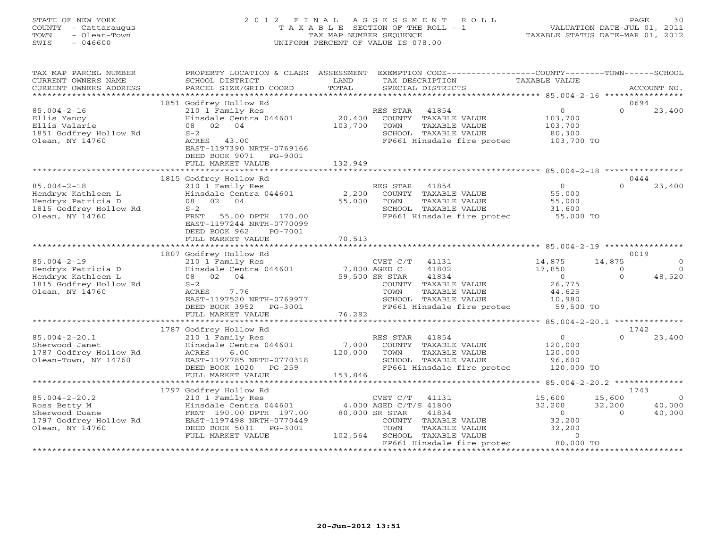# STATE OF NEW YORK 2 0 1 2 F I N A L A S S E S S M E N T R O L L PAGE 30 COUNTY - Cattaraugus T A X A B L E SECTION OF THE ROLL - 1 VALUATION DATE-JUL 01, 2011 TOWN - Olean-Town TAX MAP NUMBER SEQUENCE TAXABLE STATUS DATE-MAR 01, 2012 SWIS - 046600 UNIFORM PERCENT OF VALUE IS 078.00

| TAX MAP PARCEL NUMBER<br>CURRENT OWNERS NAME<br>CURRENT OWNERS ADDRESS                                     | PROPERTY LOCATION & CLASS ASSESSMENT<br>SCHOOL DISTRICT<br>PARCEL SIZE/GRID COORD                                                                                                                    | LAND<br>TOTAL                | TAX DESCRIPTION<br>SPECIAL DISTRICTS                                                                                                                                          | EXEMPTION CODE----------------COUNTY-------TOWN------SCHOOL<br>TAXABLE VALUE    | ACCOUNT NO.                                                            |
|------------------------------------------------------------------------------------------------------------|------------------------------------------------------------------------------------------------------------------------------------------------------------------------------------------------------|------------------------------|-------------------------------------------------------------------------------------------------------------------------------------------------------------------------------|---------------------------------------------------------------------------------|------------------------------------------------------------------------|
| *************************                                                                                  |                                                                                                                                                                                                      |                              |                                                                                                                                                                               |                                                                                 |                                                                        |
| $85.004 - 2 - 16$<br>Ellis Yancy<br>Ellis Valarie<br>1851 Godfrey Hollow Rd<br>Olean, NY 14760             | 1851 Godfrey Hollow Rd<br>210 1 Family Res<br>Hinsdale Centra 044601<br>08 02<br>04<br>$S-2$<br>ACRES 43.00<br>EAST-1197390 NRTH-0769166<br>DEED BOOK 9071<br>PG-9001<br>FULL MARKET VALUE           | 20,400<br>103,700<br>132,949 | RES STAR<br>41854<br>COUNTY TAXABLE VALUE<br>TOWN<br>TAXABLE VALUE<br>SCHOOL TAXABLE VALUE<br>FP661 Hinsdale fire protec                                                      | $\overline{O}$<br>103,700<br>103,700<br>80,300<br>103,700 TO                    | 0694<br>$\Omega$<br>23,400                                             |
|                                                                                                            |                                                                                                                                                                                                      |                              |                                                                                                                                                                               |                                                                                 | 0444                                                                   |
| $85.004 - 2 - 18$<br>Hendryx Kathleen L<br>Hendryx Patricia D<br>1815 Godfrey Hollow Rd<br>Olean, NY 14760 | 1815 Godfrey Hollow Rd<br>210 1 Family Res<br>Hinsdale Centra 044601<br>08 02 04<br>$S-2$<br>55.00 DPTH 170.00<br>FRNT<br>EAST-1197244 NRTH-0770099<br>DEED BOOK 962<br>PG-7001<br>FULL MARKET VALUE | 2,200<br>55,000<br>70,513    | 41854<br>RES STAR<br>COUNTY TAXABLE VALUE<br>TOWN<br>TAXABLE VALUE<br>SCHOOL TAXABLE VALUE<br>FP661 Hinsdale fire protec                                                      | $\Omega$<br>55,000<br>55,000<br>31,600<br>55,000 TO                             | $\Omega$<br>23,400                                                     |
|                                                                                                            |                                                                                                                                                                                                      |                              |                                                                                                                                                                               |                                                                                 |                                                                        |
| $85.004 - 2 - 19$<br>Hendryx Patricia D<br>Hendryx Kathleen L<br>1815 Godfrey Hollow Rd<br>Olean, NY 14760 | 1807 Godfrey Hollow Rd<br>210 1 Family Res<br>Hinsdale Centra 044601<br>08 02 04<br>$S-2$<br>7.76<br>ACRES<br>EAST-1197520 NRTH-0769977<br>DEED BOOK 3952<br>$PG-3001$<br>FULL MARKET VALUE          | 7,800 AGED C<br>76,282       | CVET C/T 41131<br>41802<br>41834<br>59,500 SR STAR<br>COUNTY TAXABLE VALUE<br>TAXABLE VALUE<br>TOWN<br>SCHOOL TAXABLE VALUE<br>FP661 Hinsdale fire protec                     | 14,875<br>17,850<br>$\overline{0}$<br>26,775<br>44,625<br>10,980<br>$59,500$ TO | 0019<br>14,875<br>$\circ$<br>$\Omega$<br>$\circ$<br>$\Omega$<br>48,520 |
|                                                                                                            |                                                                                                                                                                                                      |                              |                                                                                                                                                                               |                                                                                 | 1742                                                                   |
| $85.004 - 2 - 20.1$<br>Sherwood Janet<br>1787 Godfrey Hollow Rd<br>Olean-Town, NY 14760                    | 1787 Godfrey Hollow Rd<br>210 1 Family Res<br>Hinsdale Centra 044601<br>ACRES<br>6.00<br>EAST-1197785 NRTH-0770318<br>DEED BOOK 1020<br>PG-259<br>FULL MARKET VALUE                                  | 7,000<br>120,000<br>153,846  | RES STAR<br>41854<br>COUNTY TAXABLE VALUE<br>TOWN<br>TAXABLE VALUE<br>SCHOOL TAXABLE VALUE<br>FP661 Hinsdale fire protec                                                      | $\overline{O}$<br>120,000<br>120,000<br>96,600<br>120,000 TO                    | 23,400<br>$\Omega$                                                     |
|                                                                                                            | 1797 Godfrey Hollow Rd                                                                                                                                                                               |                              |                                                                                                                                                                               |                                                                                 | 1743                                                                   |
| $85.004 - 2 - 20.2$<br>Ross Betty M<br>Sherwood Duane<br>1797 Godfrey Hollow Rd<br>Olean, NY 14760         | 210 1 Family Res<br>Hinsdale Centra 044601<br>FRNT 190.00 DPTH 197.00<br>EAST-1197498 NRTH-0770449<br>DEED BOOK 5031<br>PG-3001<br>FULL MARKET VALUE                                                 | 102,564                      | CVET C/T<br>41131<br>4,000 AGED C/T/S 41800<br>80,000 SR STAR<br>41834<br>COUNTY TAXABLE VALUE<br>TOWN<br>TAXABLE VALUE<br>SCHOOL TAXABLE VALUE<br>FP661 Hinsdale fire protec | 15,600<br>32,200<br>$\circ$<br>32,200<br>32,200<br>$\Omega$<br>80,000 TO        | 15,600<br>$\overline{0}$<br>32,200<br>40,000<br>40,000<br>$\Omega$     |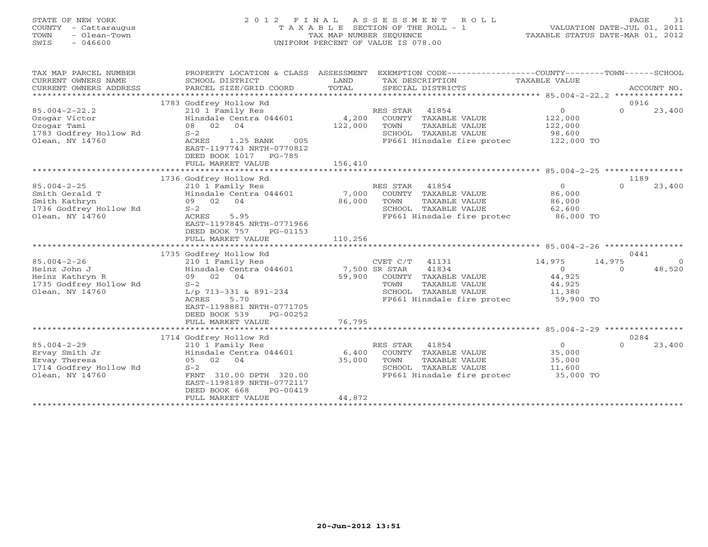# STATE OF NEW YORK 2 0 1 2 F I N A L A S S E S S M E N T R O L L PAGE 31 COUNTY - Cattaraugus T A X A B L E SECTION OF THE ROLL - 1 VALUATION DATE-JUL 01, 2011 TOWN - Olean-Town TAX MAP NUMBER SEQUENCE TAXABLE STATUS DATE-MAR 01, 2012 SWIS - 046600 UNIFORM PERCENT OF VALUE IS 078.00

| TAX MAP PARCEL NUMBER<br>CURRENT OWNERS NAME<br>CURRENT OWNERS ADDRESS<br>*********************** | PROPERTY LOCATION & CLASS ASSESSMENT<br>SCHOOL DISTRICT<br>PARCEL SIZE/GRID COORD                                                                                                 | LAND<br>TOTAL      | EXEMPTION CODE-----------------COUNTY-------TOWN------SCHOOL<br>TAX DESCRIPTION TAXABLE VALUE<br>SPECIAL DISTRICTS                              |                                                           | ACCOUNT NO.                              |
|---------------------------------------------------------------------------------------------------|-----------------------------------------------------------------------------------------------------------------------------------------------------------------------------------|--------------------|-------------------------------------------------------------------------------------------------------------------------------------------------|-----------------------------------------------------------|------------------------------------------|
|                                                                                                   | 1783 Godfrey Hollow Rd                                                                                                                                                            |                    |                                                                                                                                                 |                                                           | 0916                                     |
| $85.004 - 2 - 22.2$<br>Ozogar Victor<br>Ozogar Tami<br>1783 Godfrey Hollow Rd<br>Olean, NY 14760  | 210 1 Family Res<br>Hinsdale Centra 044601 4,200<br>08 02 04<br>$S-2$<br>1.25 BANK<br>ACRES<br>005<br>EAST-1197743 NRTH-0770812<br>DEED BOOK 1017 PG-785<br>FULL MARKET VALUE     | 122,000<br>156,410 | RES STAR 41854<br>COUNTY TAXABLE VALUE<br>TOWN<br>TAXABLE VALUE<br>SCHOOL TAXABLE VALUE<br>FP661 Hinsdale fire protec 122,000 TO                | $\Omega$<br>122,000<br>122,000<br>98,600                  | $\Omega$<br>23,400                       |
|                                                                                                   |                                                                                                                                                                                   |                    |                                                                                                                                                 |                                                           |                                          |
| $85.004 - 2 - 25$<br>Smith Gerald T<br>Smith Kathryn<br>1736 Godfrey Hollow Rd<br>Olean, NY 14760 | 1736 Godfrey Hollow Rd<br>210 1 Family Res<br>Hinsdale Centra 044601<br>09 02 04<br>$S-2$<br>ACRES<br>5.95<br>EAST-1197845 NRTH-0771966<br>DEED BOOK 757<br>PG-01153              | 86,000             | RES STAR<br>41854<br>7,000 COUNTY TAXABLE VALUE<br>TOWN<br>TAXABLE VALUE<br>SCHOOL TAXABLE VALUE                                                | $\overline{0}$<br>86,000<br>86,000<br>62,600              | 1189<br>$\Omega$<br>23,400               |
|                                                                                                   | FULL MARKET VALUE                                                                                                                                                                 | 110,256            |                                                                                                                                                 |                                                           |                                          |
|                                                                                                   | 1735 Godfrey Hollow Rd                                                                                                                                                            |                    |                                                                                                                                                 |                                                           | 0441                                     |
| $85.004 - 2 - 26$<br>Heinz John J<br>Heinz Kathryn R<br>1735 Godfrey Hollow Rd<br>Olean, NY 14760 | 210 1 Family Res<br>Hinsdale Centra 044601 7,500 SR STAR<br>09 02 04<br>$S-2$<br>L/p 713-331 & 891-234<br>ACRES<br>5.70<br>EAST-1198881 NRTH-0771705<br>DEED BOOK 539<br>PG-00252 |                    | CVET C/T 41131<br>41834<br>59,900 COUNTY TAXABLE VALUE<br>TOWN<br>TAXABLE VALUE<br>SCHOOL TAXABLE VALUE<br>FP661 Hinsdale fire protec 59,900 TO | 14,975<br>$\Omega$<br>44,925<br>44,925<br>11,380          | 14,975<br>$\Omega$<br>48,520<br>$\Omega$ |
|                                                                                                   | FULL MARKET VALUE                                                                                                                                                                 | 76,795             |                                                                                                                                                 |                                                           |                                          |
|                                                                                                   | 1714 Godfrey Hollow Rd                                                                                                                                                            |                    |                                                                                                                                                 |                                                           | 0284                                     |
| $85.004 - 2 - 29$<br>Ervay Smith Jr<br>Ervay Theresa<br>1714 Godfrey Hollow Rd<br>Olean, NY 14760 | 210 1 Family Res<br>Hinsdale Centra 044601<br>05 02 04<br>$S-2$<br>FRNT 310.00 DPTH 320.00<br>EAST-1198189 NRTH-0772117<br>DEED BOOK 668<br>PG-00419<br>FULL MARKET VALUE         | 35,000<br>44,872   | RES STAR 41854<br>6,400 COUNTY TAXABLE VALUE<br>TAXABLE VALUE<br>TOWN<br>SCHOOL TAXABLE VALUE<br>FP661 Hinsdale fire protec                     | $\overline{0}$<br>35,000<br>35,000<br>11,600<br>35,000 TO | $\Omega$<br>23,400                       |
|                                                                                                   |                                                                                                                                                                                   |                    |                                                                                                                                                 |                                                           |                                          |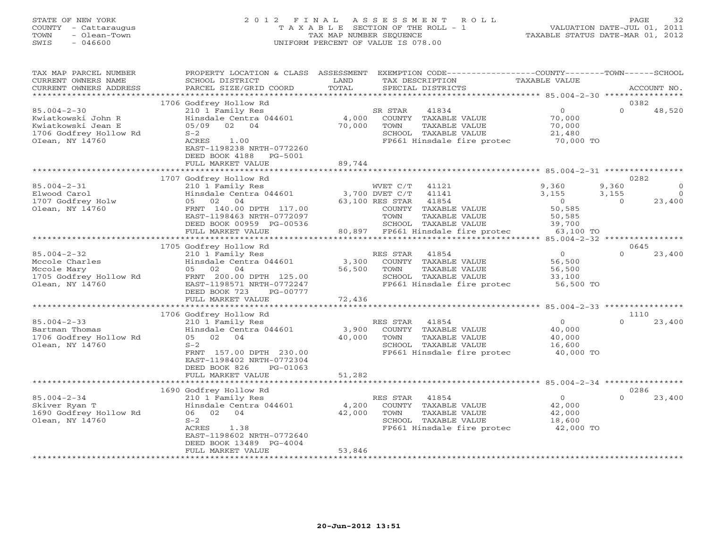# STATE OF NEW YORK 2 0 1 2 F I N A L A S S E S S M E N T R O L L PAGE 32 COUNTY - Cattaraugus T A X A B L E SECTION OF THE ROLL - 1 VALUATION DATE-JUL 01, 2011 TOWN - Olean-Town TAX MAP NUMBER SEQUENCE TAXABLE STATUS DATE-MAR 01, 2012 SWIS - 046600 UNIFORM PERCENT OF VALUE IS 078.00

| TAX MAP PARCEL NUMBER<br>CURRENT OWNERS NAME<br>CURRENT OWNERS ADDRESS                                     | PROPERTY LOCATION & CLASS ASSESSMENT<br>SCHOOL DISTRICT<br>PARCEL SIZE/GRID COORD                                                                                                                                                 | LAND<br>TOTAL             | EXEMPTION CODE-----------------COUNTY-------TOWN------SCHOOL<br>TAX DESCRIPTION<br>SPECIAL DISTRICTS                                                                               | TAXABLE VALUE                                                        | ACCOUNT NO.                                  |                      |
|------------------------------------------------------------------------------------------------------------|-----------------------------------------------------------------------------------------------------------------------------------------------------------------------------------------------------------------------------------|---------------------------|------------------------------------------------------------------------------------------------------------------------------------------------------------------------------------|----------------------------------------------------------------------|----------------------------------------------|----------------------|
| *******************                                                                                        |                                                                                                                                                                                                                                   |                           |                                                                                                                                                                                    |                                                                      |                                              |                      |
| $85.004 - 2 - 30$<br>Kwiatkowski John R<br>Kwiatkowski Jean E<br>1706 Godfrey Hollow Rd<br>OIean, NY 14760 | 1706 Godfrey Hollow Rd<br>210 1 Family Res<br>Hinsdale Centra 044601<br>02<br>04<br>05/09<br>$S-2$<br>ACRES<br>1.00<br>EAST-1198238 NRTH-0772260<br>DEED BOOK 4188<br>PG-5001<br>FULL MARKET VALUE<br>*************************** | 4,000<br>70,000<br>89,744 | SR STAR<br>41834<br>COUNTY<br>TAXABLE VALUE<br>TAXABLE VALUE<br>TOWN<br>SCHOOL TAXABLE VALUE<br>FP661 Hinsdale fire protec                                                         | $\circ$<br>70,000<br>70,000<br>21,480<br>70,000 TO                   | 0382<br>$\Omega$<br>48,520                   |                      |
|                                                                                                            |                                                                                                                                                                                                                                   |                           |                                                                                                                                                                                    |                                                                      |                                              |                      |
| $85.004 - 2 - 31$<br>Elwood Carol<br>1707 Godfrey Holw<br>Olean, NY 14760                                  | 1707 Godfrey Hollow Rd<br>210 1 Family Res<br>Hinsdale Centra 044601<br>02<br>04<br>05<br>FRNT 140.00 DPTH 117.00<br>EAST-1198463 NRTH-0772097<br>DEED BOOK 00959 PG-00536<br>FULL MARKET VALUE                                   | 80,897                    | 41121<br>WVET C/T<br>41141<br>3,700 DVET C/T<br>63,100 RES STAR<br>41854<br>TAXABLE VALUE<br>COUNTY<br>TOWN<br>TAXABLE VALUE<br>SCHOOL TAXABLE VALUE<br>FP661 Hinsdale fire protec | 9,360<br>3,155<br>$\circ$<br>50,585<br>50,585<br>39,700<br>63,100 TO | 0282<br>9,360<br>3,155<br>$\Omega$<br>23,400 | $\Omega$<br>$\Omega$ |
|                                                                                                            | *******************************                                                                                                                                                                                                   |                           |                                                                                                                                                                                    |                                                                      |                                              |                      |
|                                                                                                            | 1705 Godfrey Hollow Rd                                                                                                                                                                                                            |                           |                                                                                                                                                                                    |                                                                      | 0645                                         |                      |
| $85.004 - 2 - 32$<br>Mccole Charles<br>Mccole Mary<br>1705 Godfrey Hollow Rd<br>Olean, NY 14760            | 210 1 Family Res<br>Hinsdale Centra 044601<br>02<br>04<br>05<br>FRNT 200.00 DPTH 125.00<br>EAST-1198571 NRTH-0772247<br>DEED BOOK 723<br>PG-00777<br>FULL MARKET VALUE                                                            | 3,300<br>56,500<br>72,436 | 41854<br>RES STAR<br>COUNTY<br>TAXABLE VALUE<br><b>TAXABLE VALUE</b><br>TOWN<br>SCHOOL TAXABLE VALUE<br>FP661 Hinsdale fire protec                                                 | $\mathbf{0}$<br>56,500<br>56,500<br>33,100<br>56,500 TO              | $\Omega$<br>23,400                           |                      |
|                                                                                                            |                                                                                                                                                                                                                                   |                           |                                                                                                                                                                                    |                                                                      |                                              |                      |
| $85.004 - 2 - 33$<br>Bartman Thomas<br>1706 Godfrey Hollow Rd<br>Olean, NY 14760                           | 1706 Godfrey Hollow Rd<br>210 1 Family Res<br>Hinsdale Centra 044601<br>02<br>04<br>05<br>$S-2$<br>FRNT 157.00 DPTH 230.00<br>EAST-1198402 NRTH-0772304<br>DEED BOOK 826<br>PG-01063                                              | 3,900<br>40,000           | 41854<br>RES STAR<br>COUNTY TAXABLE VALUE<br>TOWN<br>TAXABLE VALUE<br>SCHOOL TAXABLE VALUE<br>FP661 Hinsdale fire protec                                                           | $\circ$<br>40,000<br>40,000<br>16,600<br>40,000 TO                   | 1110<br>$\Omega$<br>23,400                   |                      |
|                                                                                                            | FULL MARKET VALUE                                                                                                                                                                                                                 | 51,282                    |                                                                                                                                                                                    |                                                                      |                                              |                      |
|                                                                                                            | 1690 Godfrey Hollow Rd                                                                                                                                                                                                            |                           |                                                                                                                                                                                    | $85.004 - 2 - 34$ *******<br>* * * * * * * * * *                     | 0286                                         |                      |
| $85.004 - 2 - 34$<br>Skiver Ryan T<br>1690 Godfrey Hollow Rd<br>Olean, NY 14760                            | 210 1 Family Res<br>Hinsdale Centra 044601<br>02<br>04<br>06<br>$S-2$<br>ACRES<br>1.38<br>EAST-1198602 NRTH-0772640<br>DEED BOOK 13489 PG-4004<br>FULL MARKET VALUE                                                               | 4,200<br>42,000<br>53,846 | RES STAR<br>41854<br>COUNTY TAXABLE VALUE<br><b>TAXABLE VALUE</b><br>TOWN<br>SCHOOL TAXABLE VALUE<br>FP661 Hinsdale fire protec                                                    | $\Omega$<br>42,000<br>42,000<br>18,600<br>42,000 TO                  | $\Omega$<br>23,400                           |                      |
|                                                                                                            | **********************                                                                                                                                                                                                            | * * * * * * * * * * * * * |                                                                                                                                                                                    |                                                                      |                                              |                      |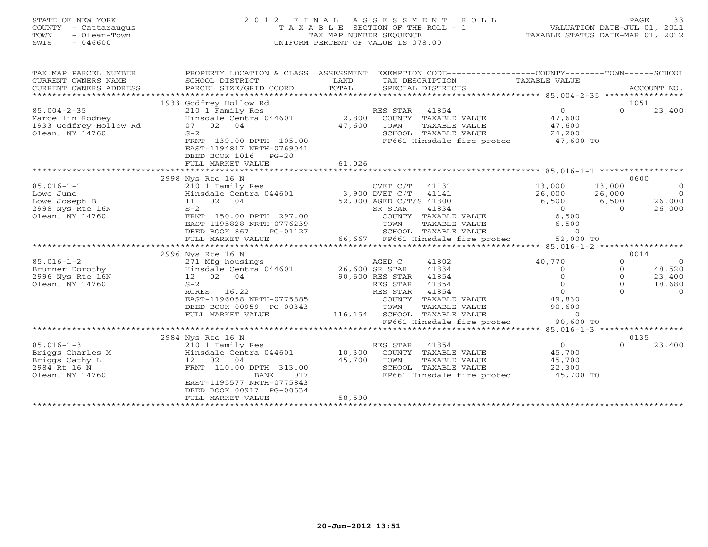# STATE OF NEW YORK 2 0 1 2 F I N A L A S S E S S M E N T R O L L PAGE 33 COUNTY - Cattaraugus T A X A B L E SECTION OF THE ROLL - 1 VALUATION DATE-JUL 01, 2011 TOWN - Olean-Town TAX MAP NUMBER SEQUENCE TAXABLE STATUS DATE-MAR 01, 2012 SWIS - 046600 UNIFORM PERCENT OF VALUE IS 078.00

| TAX MAP PARCEL NUMBER<br>CURRENT OWNERS NAME<br>CURRENT OWNERS ADDRESS | PROPERTY LOCATION & CLASS ASSESSMENT<br>SCHOOL DISTRICT<br>PARCEL SIZE/GRID COORD | LAND<br>TOTAL   |                                    | EXEMPTION CODE----------------COUNTY-------TOWN------SCHOOL<br>TAX DESCRIPTION<br>SPECIAL DISTRICTS | TAXABLE VALUE       |                   | ACCOUNT NO.    |
|------------------------------------------------------------------------|-----------------------------------------------------------------------------------|-----------------|------------------------------------|-----------------------------------------------------------------------------------------------------|---------------------|-------------------|----------------|
| *******************                                                    |                                                                                   |                 |                                    |                                                                                                     |                     |                   |                |
|                                                                        | 1933 Godfrey Hollow Rd                                                            |                 |                                    |                                                                                                     |                     |                   | 1051           |
| $85.004 - 2 - 35$                                                      | 210 1 Family Res                                                                  |                 | RES STAR                           | 41854                                                                                               | $\Omega$            | $\Omega$          | 23,400         |
| Marcellin Rodney                                                       | Hinsdale Centra 044601                                                            | 2,800           |                                    | COUNTY TAXABLE VALUE                                                                                | 47,600              |                   |                |
| 1933 Godfrey Hollow Rd                                                 | 07 02 04                                                                          | 47,600          | TOWN                               | TAXABLE VALUE                                                                                       | 47,600              |                   |                |
| Olean, NY 14760                                                        | $S-2$                                                                             |                 |                                    | SCHOOL TAXABLE VALUE                                                                                | 24,200              |                   |                |
|                                                                        | FRNT 139.00 DPTH 105.00<br>EAST-1194817 NRTH-0769041<br>DEED BOOK 1016<br>$PG-20$ |                 |                                    | FP661 Hinsdale fire protec 47,600 TO                                                                |                     |                   |                |
|                                                                        | FULL MARKET VALUE                                                                 | 61,026          |                                    |                                                                                                     |                     |                   |                |
|                                                                        | ***************************                                                       |                 |                                    |                                                                                                     |                     |                   |                |
|                                                                        | 2998 Nys Rte 16 N                                                                 |                 |                                    |                                                                                                     |                     |                   | 0600           |
| $85.016 - 1 - 1$                                                       | 210 1 Family Res                                                                  |                 | CVET C/T                           | 41131                                                                                               | 13,000              | 13,000            | $\overline{0}$ |
| Lowe June                                                              | Hinsdale Centra 044601                                                            |                 | 3,900 DVET C/T                     | 41141                                                                                               | 26,000              | 26,000            | $\overline{0}$ |
| Lowe Joseph B                                                          | 11 02 04<br>$S-2$                                                                 |                 | 52,000 AGED C/T/S 41800<br>SR STAR | 41834                                                                                               | 6,500<br>$\Omega$   | 6,500<br>$\Omega$ | 26,000         |
| 2998 Nys Rte 16N<br>Olean, NY 14760                                    | FRNT 150.00 DPTH 297.00                                                           |                 |                                    | COUNTY TAXABLE VALUE                                                                                | 6,500               |                   | 26,000         |
|                                                                        | EAST-1195828 NRTH-0776239                                                         |                 | TOWN                               | TAXABLE VALUE                                                                                       | 6,500               |                   |                |
|                                                                        | DEED BOOK 867<br>PG-01127                                                         |                 |                                    | SCHOOL TAXABLE VALUE                                                                                | $\overline{O}$      |                   |                |
|                                                                        | FULL MARKET VALUE                                                                 |                 |                                    | 66,667 FP661 Hinsdale fire protec                                                                   | 52,000 TO           |                   |                |
|                                                                        |                                                                                   |                 |                                    |                                                                                                     |                     |                   |                |
|                                                                        | 2996 Nys Rte 16 N                                                                 |                 |                                    |                                                                                                     |                     |                   | 0014           |
| $85.016 - 1 - 2$                                                       | 271 Mfg housings                                                                  |                 | AGED C                             | 41802                                                                                               | 40,770              | $\circ$           | $\bigcirc$     |
| Brunner Dorothy                                                        | Hinsdale Centra 044601                                                            | 26,600 SR STAR  |                                    | 41834                                                                                               | $\Omega$            | $\mathbf{0}$      | 48,520         |
| 2996 Nys Rte 16N                                                       | 12 02<br>04                                                                       | 90,600 RES STAR |                                    | 41854                                                                                               | $\Omega$            | $\Omega$          | 23,400         |
| Olean, NY 14760                                                        | $S-2$                                                                             |                 | RES STAR                           | 41854                                                                                               | $\Omega$            | $\mathbf{0}$      | 18,680         |
|                                                                        | ACRES 16.22                                                                       |                 | RES STAR                           | 41854                                                                                               | $\Omega$            |                   | $\Omega$       |
|                                                                        | EAST-1196058 NRTH-0775885                                                         |                 | COUNTY                             | TAXABLE VALUE                                                                                       | 49,830              |                   |                |
|                                                                        | DEED BOOK 00959 PG-00343                                                          |                 | TOWN                               | TAXABLE VALUE                                                                                       | 90,600              |                   |                |
|                                                                        | FULL MARKET VALUE                                                                 | 116,154         |                                    | SCHOOL TAXABLE VALUE                                                                                | $\overline{0}$      |                   |                |
|                                                                        |                                                                                   |                 |                                    | FP661 Hinsdale fire protec                                                                          | 90,600 TO           |                   |                |
|                                                                        |                                                                                   |                 |                                    |                                                                                                     |                     |                   |                |
|                                                                        | 2984 Nys Rte 16 N                                                                 |                 |                                    |                                                                                                     |                     |                   | 0135           |
| $85.016 - 1 - 3$                                                       | 210 1 Family Res                                                                  |                 | RES STAR                           | 41854                                                                                               | $\overline{0}$      | $\Omega$          | 23,400         |
| Briggs Charles M                                                       | Hinsdale Centra 044601                                                            | 10,300          |                                    | COUNTY TAXABLE VALUE                                                                                | 45,700              |                   |                |
| Briggs Cathy L                                                         | 12 02<br>04                                                                       | 45,700          | TOWN                               | TAXABLE VALUE                                                                                       | 45,700              |                   |                |
| 2984 Rt 16 N                                                           | FRNT 110.00 DPTH 313.00<br>BANK<br>017                                            |                 |                                    | SCHOOL TAXABLE VALUE<br>FP661 Hinsdale fire protec                                                  | 22,300<br>45,700 TO |                   |                |
| Olean, NY 14760                                                        | EAST-1195577 NRTH-0775843                                                         |                 |                                    |                                                                                                     |                     |                   |                |
|                                                                        | DEED BOOK 00917 PG-00634                                                          |                 |                                    |                                                                                                     |                     |                   |                |
|                                                                        | FULL MARKET VALUE                                                                 | 58,590          |                                    |                                                                                                     |                     |                   |                |
|                                                                        |                                                                                   |                 |                                    |                                                                                                     |                     |                   |                |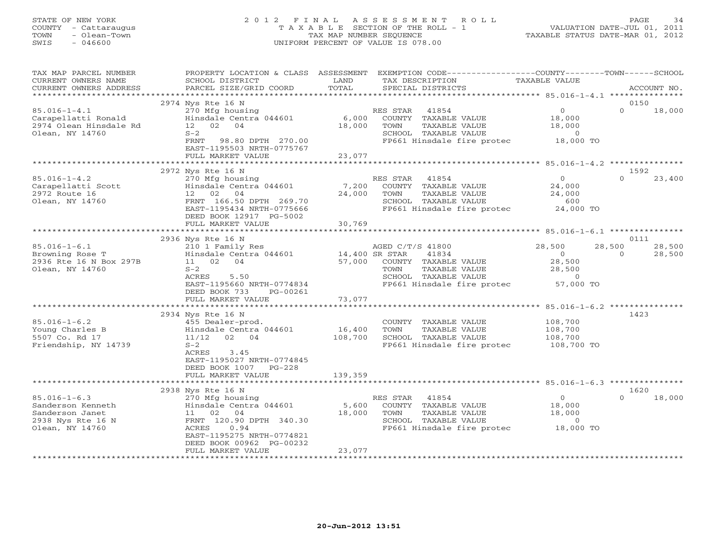#### STATE OF NEW YORK 2 0 1 2 F I N A L A S S E S S M E N T R O L L PAGE 34 COUNTY - Cattaraugus T A X A B L E SECTION OF THE ROLL - 1 VALUATION DATE-JUL 01, 2011 TOWN - Olean-Town TAX MAP NUMBER SEQUENCE TAXABLE STATUS DATE-MAR 01, 2012 SWIS - 046600 UNIFORM PERCENT OF VALUE IS 078.00UNIFORM PERCENT OF VALUE IS 078.00

| TAX MAP PARCEL NUMBER<br>CURRENT OWNERS NAME<br>CURRENT OWNERS ADDRESS                                                                                                | PROPERTY LOCATION & CLASS ASSESSMENT<br>SCHOOL DISTRICT<br>PARCEL SIZE/GRID COORD                                                                                                                                                                                                                                                | LAND<br>TOTAL                                           | EXEMPTION CODE-----------------COUNTY-------TOWN------SCHOOL<br>TAX DESCRIPTION<br>SPECIAL DISTRICTS                                                                                                                                               | TAXABLE VALUE                                                                                                | ACCOUNT NO.                                            |
|-----------------------------------------------------------------------------------------------------------------------------------------------------------------------|----------------------------------------------------------------------------------------------------------------------------------------------------------------------------------------------------------------------------------------------------------------------------------------------------------------------------------|---------------------------------------------------------|----------------------------------------------------------------------------------------------------------------------------------------------------------------------------------------------------------------------------------------------------|--------------------------------------------------------------------------------------------------------------|--------------------------------------------------------|
| *************************                                                                                                                                             |                                                                                                                                                                                                                                                                                                                                  |                                                         |                                                                                                                                                                                                                                                    |                                                                                                              |                                                        |
| $85.016 - 1 - 4.1$<br>Carapellatti Ronald<br>2974 Olean Hinsdale Rd<br>Olean, NY 14760                                                                                | 2974 Nys Rte 16 N<br>270 Mfg housing<br>Hinsdale Centra 044601<br>12 02 04<br>$S-2$<br>FRNT 98.80 DPTH 270.00                                                                                                                                                                                                                    | 6,000<br>18,000                                         | RES STAR<br>41854<br>COUNTY TAXABLE VALUE<br>TOWN<br>TAXABLE VALUE<br>SCHOOL TAXABLE VALUE<br>FP661 Hinsdale fire protec 18,000 TO                                                                                                                 | $\Omega$<br>18,000<br>18,000<br>$\sim$ 0                                                                     | 0150<br>$\Omega$<br>18,000                             |
|                                                                                                                                                                       | EAST-1195503 NRTH-0775767<br>FULL MARKET VALUE                                                                                                                                                                                                                                                                                   | 23,077                                                  |                                                                                                                                                                                                                                                    |                                                                                                              |                                                        |
|                                                                                                                                                                       |                                                                                                                                                                                                                                                                                                                                  |                                                         |                                                                                                                                                                                                                                                    |                                                                                                              |                                                        |
|                                                                                                                                                                       | 2972 Nys Rte 16 N                                                                                                                                                                                                                                                                                                                |                                                         |                                                                                                                                                                                                                                                    |                                                                                                              | 1592                                                   |
| $85.016 - 1 - 4.2$<br>Carapellatti Scott<br>2972 Route 16<br>Olean, NY 14760                                                                                          | 270 Mfg housing<br>Hinsdale Centra 044601<br>12 02 04<br>FRNT 166.50 DPTH 269.70<br>EAST-1195434 NRTH-0775666<br>DEED BOOK 12917 PG-5002                                                                                                                                                                                         | 7,200<br>24,000                                         | RES STAR<br>41854<br>COUNTY TAXABLE VALUE<br>TOWN<br>TAXABLE VALUE<br>SCHOOL TAXABLE VALUE<br>FP661 Hinsdale fire protec 24,000 TO                                                                                                                 | 0<br>24,000<br>24,000<br>600                                                                                 | $\Omega$<br>23,400                                     |
|                                                                                                                                                                       | FULL MARKET VALUE                                                                                                                                                                                                                                                                                                                | 30,769                                                  |                                                                                                                                                                                                                                                    |                                                                                                              |                                                        |
|                                                                                                                                                                       |                                                                                                                                                                                                                                                                                                                                  |                                                         |                                                                                                                                                                                                                                                    |                                                                                                              |                                                        |
| $85.016 - 1 - 6.1$<br>Browning Rose T<br>2936 Rte 16 N Box 297B<br>Olean, NY 14760<br>$85.016 - 1 - 6.2$<br>Young Charles B<br>5507 Co. Rd 17<br>Friendship, NY 14739 | 2936 Nys Rte 16 N<br>210 1 Family Res<br>Hinsdale Centra 044601<br>11 02 04<br>$S-2$<br>ACRES<br>5.50<br>EAST-1195660 NRTH-0774834<br>DEED BOOK 733<br>PG-00261<br>FULL MARKET VALUE<br>2934 Nys Rte 16 N<br>455 Dealer-prod.<br>Hinsdale Centra 044601<br>02 04<br>11/12<br>$S-2$<br>ACRES<br>3.45<br>EAST-1195027 NRTH-0774845 | 14,400 SR STAR<br>57,000<br>73,077<br>16,400<br>108,700 | AGED C/T/S 41800<br>41834<br>COUNTY TAXABLE VALUE<br>TOWN<br>TAXABLE VALUE<br>SCHOOL TAXABLE VALUE<br>FP661 Hinsdale fire protec<br>COUNTY TAXABLE VALUE<br>TOWN<br>TAXABLE VALUE<br>SCHOOL TAXABLE VALUE<br>FP661 Hinsdale fire protec 108,700 TO | 28,500<br>$\overline{0}$<br>28,500<br>28,500<br>$\overline{0}$<br>57,000 TO<br>108,700<br>108,700<br>108,700 | 0111<br>28,500<br>28,500<br>28,500<br>$\Omega$<br>1423 |
|                                                                                                                                                                       | DEED BOOK 1007 PG-228<br>FULL MARKET VALUE                                                                                                                                                                                                                                                                                       | 139,359                                                 |                                                                                                                                                                                                                                                    |                                                                                                              |                                                        |
|                                                                                                                                                                       | ***********************                                                                                                                                                                                                                                                                                                          |                                                         |                                                                                                                                                                                                                                                    |                                                                                                              |                                                        |
| $85.016 - 1 - 6.3$<br>Sanderson Kenneth<br>Sanderson Janet<br>2938 Nys Rte 16 N<br>Olean, NY 14760                                                                    | 2938 Nys Rte 16 N<br>270 Mfg housing<br>Hinsdale Centra 044601<br>11 02 04<br>FRNT 120.90 DPTH 340.30<br>ACRES<br>0.94<br>EAST-1195275 NRTH-0774821<br>DEED BOOK 00962 PG-00232                                                                                                                                                  | 5,600<br>18,000                                         | RES STAR<br>41854<br>COUNTY TAXABLE VALUE<br>TAXABLE VALUE<br>TOWN<br>SCHOOL TAXABLE VALUE<br>FP661 Hinsdale fire protec 18,000 TO                                                                                                                 | 0<br>18,000<br>18,000<br>$\sim$ 0                                                                            | 1620<br>$\Omega$<br>18,000                             |
|                                                                                                                                                                       | FULL MARKET VALUE                                                                                                                                                                                                                                                                                                                | 23,077                                                  |                                                                                                                                                                                                                                                    |                                                                                                              |                                                        |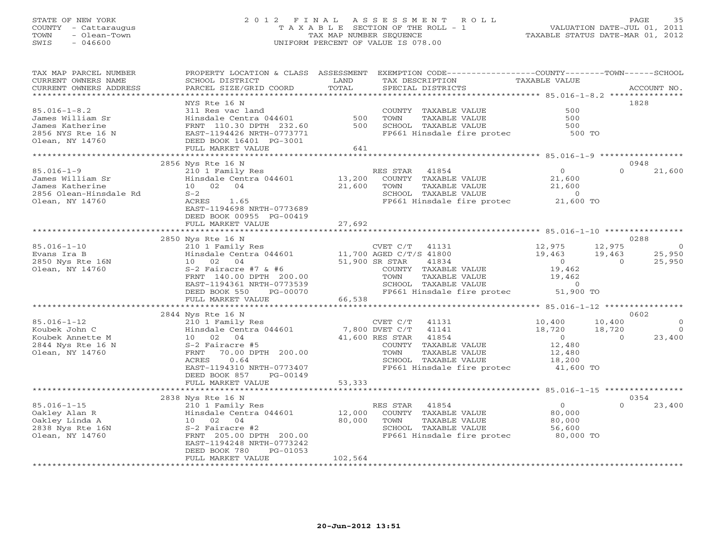#### STATE OF NEW YORK 2 0 1 2 F I N A L A S S E S S M E N T R O L L PAGE 35 COUNTY - Cattaraugus T A X A B L E SECTION OF THE ROLL - 1 VALUATION DATE-JUL 01, 2011 TOWN - Olean-Town TAX MAP NUMBER SEQUENCE TAXABLE STATUS DATE-MAR 01, 2012 SWIS - 046600 UNIFORM PERCENT OF VALUE IS 078.00

| TAX MAP PARCEL NUMBER<br>CURRENT OWNERS NAME<br>CURRENT OWNERS ADDRESS                            | PROPERTY LOCATION & CLASS ASSESSMENT<br>SCHOOL DISTRICT<br>PARCEL SIZE/GRID COORD                                                                                                 | LAND<br>TOTAL                  | EXEMPTION CODE-----------------COUNTY-------TOWN------SCHOOL<br>TAX DESCRIPTION<br>SPECIAL DISTRICTS                                                                            | TAXABLE VALUE                                                                   | ACCOUNT NO.                                                        |
|---------------------------------------------------------------------------------------------------|-----------------------------------------------------------------------------------------------------------------------------------------------------------------------------------|--------------------------------|---------------------------------------------------------------------------------------------------------------------------------------------------------------------------------|---------------------------------------------------------------------------------|--------------------------------------------------------------------|
| **************************                                                                        | NYS Rte 16 N                                                                                                                                                                      |                                |                                                                                                                                                                                 |                                                                                 | 1828                                                               |
| $85.016 - 1 - 8.2$<br>James William Sr<br>James Katherine<br>2856 NYS Rte 16 N<br>Olean, NY 14760 | 311 Res vac land<br>Hinsdale Centra 044601<br>FRNT 110.30 DPTH 232.60<br>EAST-1194426 NRTH-0773771<br>DEED BOOK 16401 PG-3001<br>FULL MARKET VALUE                                | 500<br>500<br>641              | COUNTY TAXABLE VALUE<br>TOWN<br><b>TAXABLE VALUE</b><br>SCHOOL TAXABLE VALUE<br>FP661 Hinsdale fire protec                                                                      | 500<br>500<br>500<br>500 TO                                                     |                                                                    |
|                                                                                                   |                                                                                                                                                                                   |                                |                                                                                                                                                                                 |                                                                                 |                                                                    |
| $85.016 - 1 - 9$                                                                                  | 2856 Nys Rte 16 N<br>210 1 Family Res                                                                                                                                             |                                | RES STAR<br>41854                                                                                                                                                               | $\circ$                                                                         | 0948<br>$\Omega$<br>21,600                                         |
| James William Sr<br>James Katherine<br>2856 Olean-Hinsdale Rd<br>Olean, NY 14760                  | Hinsdale Centra 044601<br>10 02<br>04<br>$S-2$<br>ACRES<br>1.65<br>EAST-1194698 NRTH-0773689<br>DEED BOOK 00955 PG-00419<br>FULL MARKET VALUE                                     | 13,200<br>21,600               | COUNTY TAXABLE VALUE<br>TOWN<br>TAXABLE VALUE<br>SCHOOL TAXABLE VALUE<br>FP661 Hinsdale fire protec                                                                             | 21,600<br>21,600<br>$\circ$<br>21,600 TO                                        |                                                                    |
|                                                                                                   | **************************************                                                                                                                                            | 27,692                         |                                                                                                                                                                                 |                                                                                 |                                                                    |
|                                                                                                   | 2850 Nys Rte 16 N                                                                                                                                                                 |                                |                                                                                                                                                                                 |                                                                                 | 0288                                                               |
| $85.016 - 1 - 10$<br>Evans Ira B<br>2850 Nys Rte 16N<br>Olean, NY 14760                           | 210 1 Family Res<br>Hinsdale Centra 044601<br>10<br>02 04<br>$S-2$ Fairacre #7 & #6<br>FRNT 140.00 DPTH 200.00<br>EAST-1194361 NRTH-0773539<br>DEED BOOK 550<br>PG-00070          |                                | CVET C/T 41131<br>11,700 AGED C/T/S 41800<br>51,900 SR STAR<br>41834<br>COUNTY TAXABLE VALUE<br>TAXABLE VALUE<br>TOWN<br>SCHOOL TAXABLE VALUE<br>FP661 Hinsdale fire protec     | 12,975<br>19,463<br>$\overline{O}$<br>19,462<br>19,462<br>$\Omega$<br>51,900 TO | 12,975<br>$\overline{0}$<br>19,463<br>25,950<br>25,950<br>$\Omega$ |
|                                                                                                   | FULL MARKET VALUE                                                                                                                                                                 | 66,538                         |                                                                                                                                                                                 |                                                                                 |                                                                    |
|                                                                                                   | 2844 Nys Rte 16 N                                                                                                                                                                 |                                |                                                                                                                                                                                 |                                                                                 | 0602                                                               |
| $85.016 - 1 - 12$<br>Koubek John C<br>Koubek Annette M<br>2844 Nys Rte 16 N<br>Olean, NY 14760    | 210 1 Family Res<br>Hinsdale Centra 044601<br>10 02 04<br>S-2 Fairacre #5<br>70.00 DPTH 200.00<br>FRNT<br>ACRES<br>0.64<br>EAST-1194310 NRTH-0773407<br>DEED BOOK 857<br>PG-00149 |                                | CVET C/T<br>41131<br>7,800 DVET C/T<br>41141<br>41,600 RES STAR<br>41854<br>COUNTY TAXABLE VALUE<br>TAXABLE VALUE<br>TOWN<br>SCHOOL TAXABLE VALUE<br>FP661 Hinsdale fire protec | 10,400<br>18,720<br>$\overline{0}$<br>12,480<br>12,480<br>18,200<br>41,600 TO   | 10,400<br>$\mathbf{0}$<br>18,720<br>$\circ$<br>23,400<br>$\Omega$  |
|                                                                                                   | FULL MARKET VALUE                                                                                                                                                                 | 53,333                         |                                                                                                                                                                                 |                                                                                 |                                                                    |
|                                                                                                   | 2838 Nys Rte 16 N                                                                                                                                                                 |                                |                                                                                                                                                                                 |                                                                                 | 0354                                                               |
| $85.016 - 1 - 15$<br>Oakley Alan R<br>Oakley Linda A<br>2838 Nys Rte 16N<br>Olean, NY 14760       | 210 1 Family Res<br>Hinsdale Centra 044601<br>10 02 04<br>S-2 Fairacre #2<br>FRNT 205.00 DPTH 200.00<br>EAST-1194248 NRTH-0773242<br>DEED BOOK 780<br>PG-01053                    | 12,000<br>80,000               | RES STAR<br>41854<br>COUNTY TAXABLE VALUE<br>TOWN<br><b>TAXABLE VALUE</b><br>SCHOOL TAXABLE VALUE<br>FP661 Hinsdale fire protec                                                 | $\circ$<br>80,000<br>80,000<br>56,600<br>80,000 TO                              | $\Omega$<br>23,400                                                 |
|                                                                                                   | FULL MARKET VALUE<br>************************                                                                                                                                     | 102,564<br>******************* |                                                                                                                                                                                 |                                                                                 |                                                                    |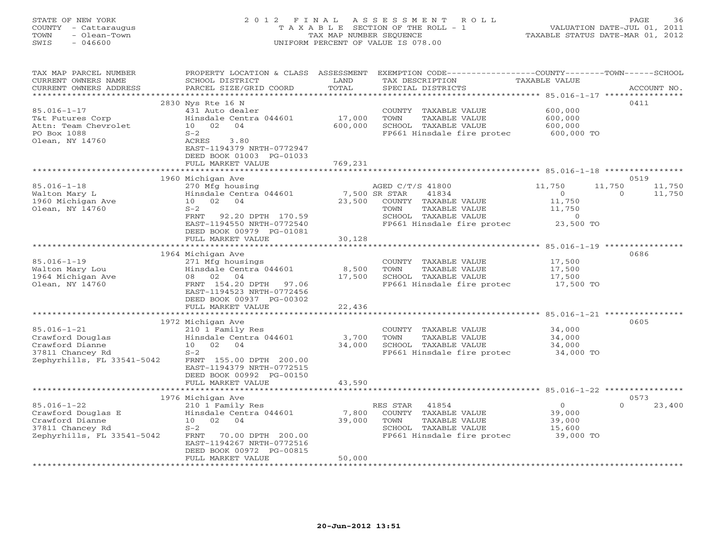# STATE OF NEW YORK 2 0 1 2 F I N A L A S S E S S M E N T R O L L PAGE 36 COUNTY - Cattaraugus T A X A B L E SECTION OF THE ROLL - 1 VALUATION DATE-JUL 01, 2011 TOWN - Olean-Town TAX MAP NUMBER SEQUENCE TAXABLE STATUS DATE-MAR 01, 2012 SWIS - 046600 UNIFORM PERCENT OF VALUE IS 078.00

| TAX MAP PARCEL NUMBER<br>CURRENT OWNERS NAME<br>CURRENT OWNERS ADDRESS | PROPERTY LOCATION & CLASS<br>SCHOOL DISTRICT<br>PARCEL SIZE/GRID COORD | ASSESSMENT<br>LAND<br>TOTAL | EXEMPTION CODE-----------------COUNTY-------TOWN------SCHOOL<br>TAX DESCRIPTION<br>SPECIAL DISTRICTS | <b>TAXABLE VALUE</b> | ACCOUNT NO.        |
|------------------------------------------------------------------------|------------------------------------------------------------------------|-----------------------------|------------------------------------------------------------------------------------------------------|----------------------|--------------------|
| ******************                                                     |                                                                        |                             |                                                                                                      |                      |                    |
|                                                                        | 2830 Nys Rte 16 N                                                      |                             |                                                                                                      |                      | 0411               |
| $85.016 - 1 - 17$                                                      | 431 Auto dealer                                                        |                             | COUNTY TAXABLE VALUE                                                                                 | 600,000              |                    |
| T&t Futures Corp                                                       | Hinsdale Centra 044601                                                 | 17,000                      | TAXABLE VALUE<br>TOWN                                                                                | 600,000              |                    |
| Attn: Team Chevrolet                                                   | 10 02<br>04                                                            | 600,000                     | SCHOOL TAXABLE VALUE                                                                                 | 600,000              |                    |
| PO Box 1088                                                            | $S-2$                                                                  |                             | FP661 Hinsdale fire protec                                                                           | 600,000 TO           |                    |
| Olean, NY 14760                                                        | ACRES<br>3.80                                                          |                             |                                                                                                      |                      |                    |
|                                                                        | EAST-1194379 NRTH-0772947                                              |                             |                                                                                                      |                      |                    |
|                                                                        | DEED BOOK 01003 PG-01033<br>FULL MARKET VALUE                          | 769,231                     |                                                                                                      |                      |                    |
|                                                                        |                                                                        | *************               |                                                                                                      |                      |                    |
|                                                                        | 1960 Michigan Ave                                                      |                             |                                                                                                      |                      | 0519               |
| $85.016 - 1 - 18$                                                      | 270 Mfg housing                                                        |                             | AGED C/T/S 41800                                                                                     | 11,750<br>11,750     | 11,750             |
| Walton Mary L                                                          | Hinsdale Centra 044601                                                 |                             | 7,500 SR STAR<br>41834                                                                               | $\circ$              | 11,750<br>$\Omega$ |
| 1960 Michigan Ave                                                      | 02 04<br>10                                                            | 23,500                      | COUNTY TAXABLE VALUE                                                                                 | 11,750               |                    |
| Olean, NY 14760                                                        | $S-2$                                                                  |                             | TOWN<br>TAXABLE VALUE                                                                                | 11,750               |                    |
|                                                                        | FRNT<br>92.20 DPTH 170.59                                              |                             | SCHOOL TAXABLE VALUE                                                                                 | $\circ$              |                    |
|                                                                        | EAST-1194550 NRTH-0772540                                              |                             | FP661 Hinsdale fire protec                                                                           | 23,500 TO            |                    |
|                                                                        | DEED BOOK 00979 PG-01081                                               |                             |                                                                                                      |                      |                    |
|                                                                        | FULL MARKET VALUE                                                      | 30,128                      |                                                                                                      |                      |                    |
|                                                                        | 1964 Michigan Ave                                                      |                             |                                                                                                      |                      | 0686               |
| $85.016 - 1 - 19$                                                      | 271 Mfg housings                                                       |                             | COUNTY TAXABLE VALUE                                                                                 | 17,500               |                    |
| Walton Mary Lou                                                        | Hinsdale Centra 044601                                                 | 8,500                       | TOWN<br>TAXABLE VALUE                                                                                | 17,500               |                    |
| 1964 Michigan Ave                                                      | 02<br>04<br>08                                                         | 17,500                      | SCHOOL TAXABLE VALUE                                                                                 | 17,500               |                    |
| Olean, NY 14760                                                        | FRNT 154.20 DPTH<br>97.06                                              |                             | FP661 Hinsdale fire protec                                                                           | 17,500 TO            |                    |
|                                                                        | EAST-1194523 NRTH-0772456                                              |                             |                                                                                                      |                      |                    |
|                                                                        | DEED BOOK 00937 PG-00302                                               |                             |                                                                                                      |                      |                    |
|                                                                        | FULL MARKET VALUE                                                      | 22,436                      |                                                                                                      |                      |                    |
|                                                                        | **********************                                                 | *************               | ***********************************85.016-1-21 ***********                                           |                      |                    |
| $85.016 - 1 - 21$                                                      | 1972 Michigan Ave<br>210 1 Family Res                                  |                             | COUNTY TAXABLE VALUE                                                                                 | 34,000               | 0605               |
| Crawford Douglas                                                       | Hinsdale Centra 044601                                                 | 3,700                       | TOWN<br>TAXABLE VALUE                                                                                | 34,000               |                    |
| Crawford Dianne                                                        | 10<br>02<br>04                                                         | 34,000                      | SCHOOL TAXABLE VALUE                                                                                 | 34,000               |                    |
| 37811 Chancey Rd                                                       | $S-2$                                                                  |                             | FP661 Hinsdale fire protec                                                                           | 34,000 TO            |                    |
| Zephyrhills, FL 33541-5042                                             | FRNT 155.00 DPTH 200.00                                                |                             |                                                                                                      |                      |                    |
|                                                                        | EAST-1194379 NRTH-0772515                                              |                             |                                                                                                      |                      |                    |
|                                                                        | DEED BOOK 00992 PG-00150                                               |                             |                                                                                                      |                      |                    |
|                                                                        | FULL MARKET VALUE                                                      | 43,590                      |                                                                                                      |                      |                    |
|                                                                        | **********************                                                 |                             |                                                                                                      |                      |                    |
|                                                                        | 1976 Michigan Ave                                                      |                             |                                                                                                      |                      | 0573<br>$\Omega$   |
| $85.016 - 1 - 22$<br>Crawford Douglas E                                | 210 1 Family Res<br>Hinsdale Centra 044601                             | 7,800                       | 41854<br>RES STAR<br>COUNTY TAXABLE VALUE                                                            | $\circ$<br>39,000    | 23,400             |
| Crawford Dianne                                                        | 10<br>02 04                                                            | 39,000                      | TOWN<br>TAXABLE VALUE                                                                                | 39,000               |                    |
| 37811 Chancey Rd                                                       | $S-2$                                                                  |                             | SCHOOL TAXABLE VALUE                                                                                 | 15,600               |                    |
| Zephyrhills, FL 33541-5042                                             | FRNT<br>70.00 DPTH 200.00                                              |                             | FP661 Hinsdale fire protec                                                                           | 39,000 TO            |                    |
|                                                                        | EAST-1194267 NRTH-0772516                                              |                             |                                                                                                      |                      |                    |
|                                                                        | DEED BOOK 00972 PG-00815                                               |                             |                                                                                                      |                      |                    |
|                                                                        | FULL MARKET VALUE                                                      | 50,000                      |                                                                                                      |                      |                    |
|                                                                        |                                                                        |                             |                                                                                                      |                      |                    |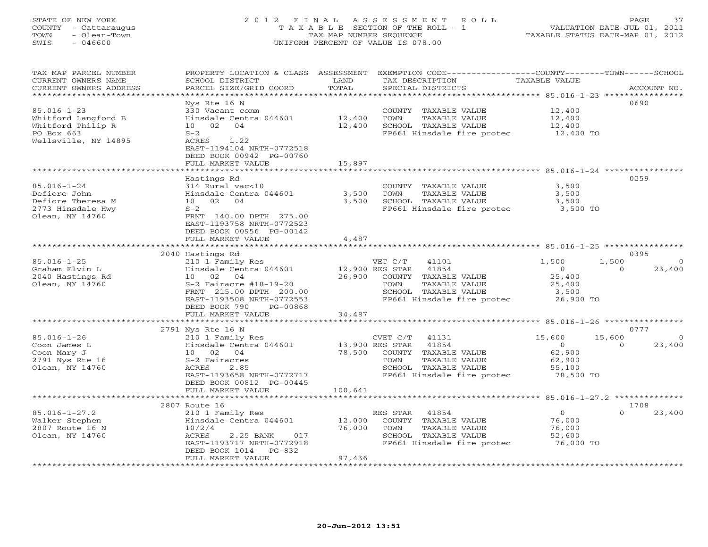#### STATE OF NEW YORK 2 0 1 2 F I N A L A S S E S S M E N T R O L L PAGE 37 COUNTY - Cattaraugus T A X A B L E SECTION OF THE ROLL - 1 VALUATION DATE-JUL 01, 2011 TOWN - Olean-Town TAX MAP NUMBER SEQUENCE TAXABLE STATUS DATE-MAR 01, 2012 SWIS - 046600 UNIFORM PERCENT OF VALUE IS 078.00

| TAX MAP PARCEL NUMBER<br>CURRENT OWNERS NAME<br>CURRENT OWNERS ADDRESS<br>**********************    | SCHOOL DISTRICT<br>PARCEL SIZE/GRID COORD                                                                                                                                                  | LAND<br>TOTAL                        | PROPERTY LOCATION & CLASS ASSESSMENT EXEMPTION CODE---------------COUNTY-------TOWN------SCHOOL<br>TAX DESCRIPTION<br>SPECIAL DISTRICTS | TAXABLE VALUE                                                |                    | ACCOUNT NO.              |
|-----------------------------------------------------------------------------------------------------|--------------------------------------------------------------------------------------------------------------------------------------------------------------------------------------------|--------------------------------------|-----------------------------------------------------------------------------------------------------------------------------------------|--------------------------------------------------------------|--------------------|--------------------------|
| $85.016 - 1 - 23$<br>Whitford Langford B<br>Whitford Philip R<br>PO Box 663<br>Wellsville, NY 14895 | Nys Rte 16 N<br>330 Vacant comm<br>Hinsdale Centra 044601<br>10 02<br>04<br>$S-2$<br>ACRES<br>1.22<br>EAST-1194104 NRTH-0772518<br>DEED BOOK 00942 PG-00760<br>FULL MARKET VALUE           | 12,400<br>12,400<br>15,897           | COUNTY TAXABLE VALUE<br>TOWN<br>TAXABLE VALUE<br>SCHOOL TAXABLE VALUE<br>FP661 Hinsdale fire protec                                     | 12,400<br>12,400<br>12,400<br>12,400 TO                      |                    | 0690                     |
|                                                                                                     |                                                                                                                                                                                            |                                      |                                                                                                                                         |                                                              |                    |                          |
| $85.016 - 1 - 24$<br>Defiore John<br>Defiore Theresa M<br>2773 Hinsdale Hwy<br>Olean, NY 14760      | Hastings Rd<br>314 Rural vac<10<br>Hinsdale Centra 044601<br>10 02<br>04<br>$S-2$<br>FRNT 140.00 DPTH 275.00<br>EAST-1193758 NRTH-0772523<br>DEED BOOK 00956 PG-00142<br>FULL MARKET VALUE | 3,500<br>3,500<br>4,487              | COUNTY TAXABLE VALUE<br>TOWN<br>TAXABLE VALUE<br>SCHOOL TAXABLE VALUE<br>FP661 Hinsdale fire protec                                     | 3,500<br>3,500<br>3,500<br>3,500 TO                          |                    | 0259                     |
|                                                                                                     |                                                                                                                                                                                            |                                      |                                                                                                                                         |                                                              |                    |                          |
|                                                                                                     | 2040 Hastings Rd                                                                                                                                                                           |                                      |                                                                                                                                         |                                                              |                    | 0395                     |
| $85.016 - 1 - 25$<br>Graham Elvin L<br>2040 Hastings Rd<br>Olean, NY 14760                          | 210 1 Family Res<br>Hinsdale Centra 044601<br>10 02 04<br>$S-2$ Fairacre #18-19-20<br>FRNT 215.00 DPTH 200.00<br>EAST-1193508 NRTH-0772553<br>DEED BOOK 790<br>PG-00868                    | 12,900 RES STAR<br>26,900            | VET C/T<br>41101<br>41854<br>COUNTY TAXABLE VALUE<br>TAXABLE VALUE<br>TOWN<br>SCHOOL TAXABLE VALUE<br>FP661 Hinsdale fire protec        | 1,500<br>$\Omega$<br>25,400<br>25,400<br>3,500<br>26,900 TO  | 1,500<br>$\Omega$  | $\Omega$<br>23,400       |
|                                                                                                     | FULL MARKET VALUE                                                                                                                                                                          | 34,487                               |                                                                                                                                         |                                                              |                    |                          |
|                                                                                                     | 2791 Nys Rte 16 N                                                                                                                                                                          |                                      |                                                                                                                                         |                                                              |                    | 0777                     |
| $85.016 - 1 - 26$<br>Coon James L<br>Coon Mary J<br>2791 Nys Rte 16<br>Olean, NY 14760              | 210 1 Family Res<br>Hinsdale Centra 044601<br>10 02<br>04<br>S-2 Fairacres<br>ACRES<br>2.85<br>EAST-1193658 NRTH-0772717<br>DEED BOOK 00812 PG-00445                                       | 13,900 RES STAR<br>78,500<br>100,641 | 41131<br>CVET C/T<br>41854<br>COUNTY TAXABLE VALUE<br>TAXABLE VALUE<br>TOWN<br>SCHOOL TAXABLE VALUE<br>FP661 Hinsdale fire protec       | 15,600<br>$\circ$<br>62,900<br>62,900<br>55,100<br>78,500 TO | 15,600<br>$\Omega$ | $\overline{0}$<br>23,400 |
|                                                                                                     | FULL MARKET VALUE<br>* * * * * * * * * * * * * * * * * * *                                                                                                                                 |                                      |                                                                                                                                         |                                                              |                    |                          |
|                                                                                                     | 2807 Route 16                                                                                                                                                                              |                                      |                                                                                                                                         |                                                              |                    | 1708                     |
| $85.016 - 1 - 27.2$<br>Walker Stephen<br>2807 Route 16 N<br>Olean, NY 14760                         | 210 1 Family Res<br>Hinsdale Centra 044601<br>10/2/4<br>2.25 BANK<br>ACRES<br>017<br>EAST-1193717 NRTH-0772918<br>DEED BOOK 1014<br>$PG-832$<br>FULL MARKET VALUE                          | 12,000<br>76,000<br>97,436           | RES STAR<br>41854<br>COUNTY TAXABLE VALUE<br><b>TAXABLE VALUE</b><br>TOWN<br>SCHOOL TAXABLE VALUE<br>FP661 Hinsdale fire protec         | $\overline{0}$<br>76,000<br>76,000<br>52,600<br>76,000 TO    | $\Omega$           | 23,400                   |
|                                                                                                     |                                                                                                                                                                                            |                                      |                                                                                                                                         |                                                              |                    |                          |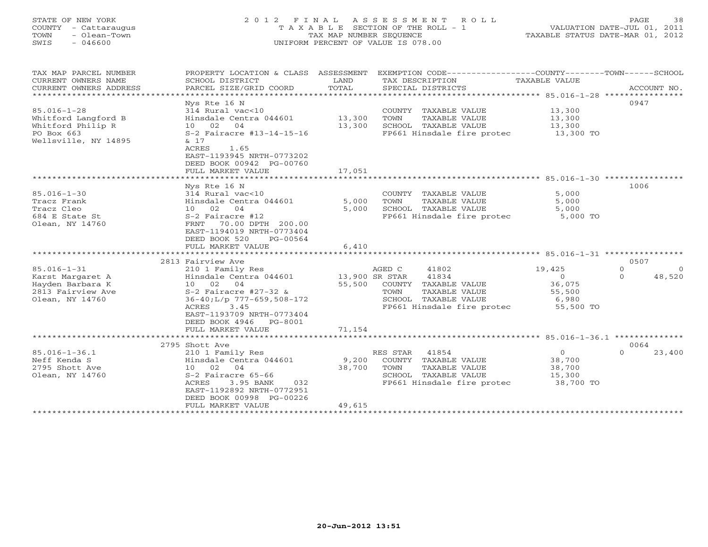# STATE OF NEW YORK 2 0 1 2 F I N A L A S S E S S M E N T R O L L PAGE 38 COUNTY - Cattaraugus T A X A B L E SECTION OF THE ROLL - 1 VALUATION DATE-JUL 01, 2011 TOWN - Olean-Town TAX MAP NUMBER SEQUENCE TAXABLE STATUS DATE-MAR 01, 2012 SWIS - 046600 UNIFORM PERCENT OF VALUE IS 078.00

| TAX MAP PARCEL NUMBER<br>CURRENT OWNERS NAME<br>CURRENT OWNERS ADDRESS                              | PROPERTY LOCATION & CLASS ASSESSMENT<br>SCHOOL DISTRICT<br>PARCEL SIZE/GRID COORD                                                                                                                             | LAND<br>TOTAL            | EXEMPTION CODE-----------------COUNTY-------TOWN------SCHOOL<br>TAX DESCRIPTION<br>SPECIAL DISTRICTS                               | TAXABLE VALUE                                                      | ACCOUNT NO.                                        |
|-----------------------------------------------------------------------------------------------------|---------------------------------------------------------------------------------------------------------------------------------------------------------------------------------------------------------------|--------------------------|------------------------------------------------------------------------------------------------------------------------------------|--------------------------------------------------------------------|----------------------------------------------------|
| $85.016 - 1 - 28$<br>Whitford Langford B<br>Whitford Philip R<br>PO Box 663<br>Wellsville, NY 14895 | Nys Rte 16 N<br>314 Rural vac<10<br>Hinsdale Centra 044601<br>10 02 04<br>S-2 Fairacre #13-14-15-16<br>& 17                                                                                                   | 13,300<br>13,300         | COUNTY TAXABLE VALUE<br>TOWN<br>TAXABLE VALUE<br>SCHOOL TAXABLE VALUE<br>FP661 Hinsdale fire protec 13,300 TO                      | 13,300<br>13,300<br>$\frac{1}{13}$ , 300                           | 0947                                               |
|                                                                                                     | ACRES<br>1.65<br>EAST-1193945 NRTH-0773202<br>DEED BOOK 00942 PG-00760<br>FULL MARKET VALUE                                                                                                                   | 17,051                   |                                                                                                                                    |                                                                    |                                                    |
|                                                                                                     |                                                                                                                                                                                                               |                          |                                                                                                                                    |                                                                    |                                                    |
| $85.016 - 1 - 30$<br>Tracz Frank<br>Tracz Cleo<br>684 E State St<br>Olean, NY 14760                 | Nys Rte 16 N<br>314 Rural vac<10<br>Hinsdale Centra 044601<br>10 02 04<br>S-2 Fairacre #12<br>FRNT 70.00 DPTH 200.00<br>EAST-1194019 NRTH-0773404<br>DEED BOOK 520<br>PG-00564<br>FULL MARKET VALUE           | 5,000<br>5,000<br>6,410  | COUNTY TAXABLE VALUE<br>TAXABLE VALUE<br>TOWN<br>SCHOOL TAXABLE VALUE<br>FP661 Hinsdale fire protec 5,000 TO                       | 5,000<br>5,000<br>5,000                                            | 1006                                               |
|                                                                                                     |                                                                                                                                                                                                               |                          |                                                                                                                                    |                                                                    |                                                    |
| $85.016 - 1 - 31$<br>Karst Margaret A<br>Hayden Barbara K<br>2813 Fairview Ave<br>Olean, NY 14760   | 2813 Fairview Ave<br>210 1 Family Res<br>Hinsdale Centra 044601<br>10 02 04<br>$S-2$ Fairacre #27-32 &<br>$36-40;L/p$ 777-659,508-172<br>ACRES<br>3.45<br>EAST-1193709 NRTH-0773404<br>DEED BOOK 4946 PG-8001 | 13,900 SR STAR<br>55,500 | AGED C<br>41802<br>41834<br>COUNTY TAXABLE VALUE<br>TOWN<br>TAXABLE VALUE<br>SCHOOL TAXABLE VALUE<br>FP661 Hinsdale fire protec    | 19,425<br>$\overline{0}$<br>36,075<br>55,500<br>6,980<br>55,500 TO | 0507<br>$\Omega$<br>$\Omega$<br>48,520<br>$\Omega$ |
|                                                                                                     | FULL MARKET VALUE                                                                                                                                                                                             | 71,154                   |                                                                                                                                    |                                                                    |                                                    |
|                                                                                                     |                                                                                                                                                                                                               |                          |                                                                                                                                    |                                                                    |                                                    |
|                                                                                                     | 2795 Shott Ave                                                                                                                                                                                                |                          |                                                                                                                                    |                                                                    | 0064                                               |
| $85.016 - 1 - 36.1$<br>Neff Kenda S<br>2795 Shott Ave<br>Olean, NY 14760                            | 210 1 Family Res<br>Hinsdale Centra 044601<br>10 02 04<br>S-2 Fairacre 65-66<br>ACRES<br>3.95 BANK<br>032<br>EAST-1192892 NRTH-0772951<br>DEED BOOK 00998 PG-00226                                            | 9,200<br>38,700          | 41854<br>RES STAR<br>COUNTY TAXABLE VALUE<br>TAXABLE VALUE<br>TOWN<br>SCHOOL TAXABLE VALUE<br>FP661 Hinsdale fire protec 38,700 TO | $\overline{0}$<br>38,700<br>38,700<br>15,300                       | 23,400<br>$\Omega$                                 |
|                                                                                                     | FULL MARKET VALUE<br>***************************                                                                                                                                                              | 49,615                   |                                                                                                                                    |                                                                    |                                                    |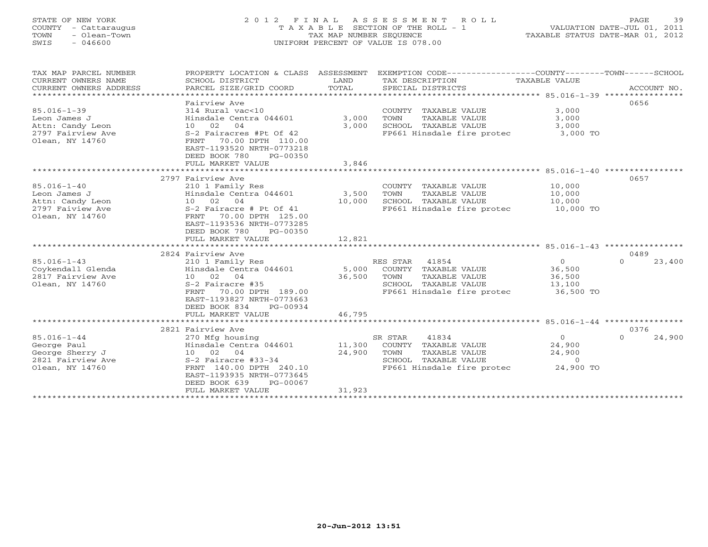# STATE OF NEW YORK 2 0 1 2 F I N A L A S S E S S M E N T R O L L PAGE 39 COUNTY - Cattaraugus T A X A B L E SECTION OF THE ROLL - 1 VALUATION DATE-JUL 01, 2011 TOWN - Olean-Town TAX MAP NUMBER SEQUENCE TAXABLE STATUS DATE-MAR 01, 2012 SWIS - 046600 UNIFORM PERCENT OF VALUE IS 078.00

| TAX MAP PARCEL NUMBER<br>CURRENT OWNERS NAME<br>CURRENT OWNERS ADDRESS<br>****************************** | PROPERTY LOCATION & CLASS ASSESSMENT<br>SCHOOL DISTRICT<br>PARCEL SIZE/GRID COORD                                                                                                                                | LAND<br>TOTAL              | EXEMPTION CODE-----------------COUNTY-------TOWN------SCHOOL<br>TAX DESCRIPTION<br>SPECIAL DISTRICTS                    | TAXABLE VALUE                                               | ACCOUNT NO.                |
|----------------------------------------------------------------------------------------------------------|------------------------------------------------------------------------------------------------------------------------------------------------------------------------------------------------------------------|----------------------------|-------------------------------------------------------------------------------------------------------------------------|-------------------------------------------------------------|----------------------------|
| $85.016 - 1 - 39$<br>Leon James J<br>Attn: Candy Leon<br>2797 Fairview Ave<br>Olean, NY 14760            | Fairview Ave<br>314 Rural vac<10<br>Hinsdale Centra 044601<br>10 02<br>04<br>S-2 Fairacres #Pt Of 42<br>70.00 DPTH 110.00<br>FRNT<br>EAST-1193520 NRTH-0773218<br>DEED BOOK 780<br>PG-00350<br>FULL MARKET VALUE | 3,000<br>3.000<br>3,846    | COUNTY TAXABLE VALUE<br>TOWN<br>TAXABLE VALUE<br>SCHOOL TAXABLE VALUE<br>FP661 Hinsdale fire protec                     | 3,000<br>3,000<br>3,000<br>3,000 TO                         | 0656                       |
| $85.016 - 1 - 40$<br>Leon James J                                                                        | 2797 Fairview Ave<br>210 1 Family Res<br>Hinsdale Centra 044601                                                                                                                                                  | 3,500                      | COUNTY TAXABLE VALUE<br>TOWN<br>TAXABLE VALUE                                                                           | 10,000<br>10,000                                            | 0657                       |
| Attn: Candy Leon<br>2797 Faiview Ave<br>Olean, NY 14760                                                  | 10 02<br>04<br>S-2 Fairacre # Pt Of 41<br>70.00 DPTH 125.00<br>FRNT<br>EAST-1193536 NRTH-0773285<br>DEED BOOK 780<br>PG-00350<br>FULL MARKET VALUE                                                               | 10,000<br>12,821           | SCHOOL TAXABLE VALUE<br>FP661 Hinsdale fire protec                                                                      | 10,000<br>10,000 TO                                         |                            |
|                                                                                                          |                                                                                                                                                                                                                  |                            |                                                                                                                         |                                                             |                            |
| $85.016 - 1 - 43$<br>Coykendall Glenda<br>2817 Fairview Ave<br>Olean, NY 14760                           | 2824 Fairview Ave<br>210 1 Family Res<br>Hinsdale Centra 044601<br>10 02 04<br>S-2 Fairacre #35<br>70.00 DPTH 189.00<br>FRNT<br>EAST-1193827 NRTH-0773663<br>DEED BOOK 834<br>PG-00934<br>FULL MARKET VALUE      | 5,000<br>36,500<br>46,795  | RES STAR 41854<br>COUNTY TAXABLE VALUE<br>TOWN<br>TAXABLE VALUE<br>SCHOOL TAXABLE VALUE<br>FP661 Hinsdale fire protec   | $\Omega$<br>36,500<br>36,500<br>13,100<br>36,500 TO         | 0489<br>$\Omega$<br>23,400 |
|                                                                                                          | ***************************                                                                                                                                                                                      |                            |                                                                                                                         |                                                             |                            |
| $85.016 - 1 - 44$<br>George Paul<br>George Sherry J<br>2821 Fairview Ave<br>Olean, NY 14760              | 2821 Fairview Ave<br>270 Mfg housing<br>Hinsdale Centra 044601<br>10 02<br>04<br>S-2 Fairacre #33-34<br>FRNT 140.00 DPTH 240.10<br>EAST-1193935 NRTH-0773645<br>DEED BOOK 639<br>PG-00067<br>FULL MARKET VALUE   | 11,300<br>24,900<br>31,923 | 41834<br>SR STAR<br>COUNTY TAXABLE VALUE<br>TOWN<br>TAXABLE VALUE<br>SCHOOL TAXABLE VALUE<br>FP661 Hinsdale fire protec | $\overline{0}$<br>24,900<br>24,900<br>$\Omega$<br>24,900 TO | 0376<br>24,900<br>$\Omega$ |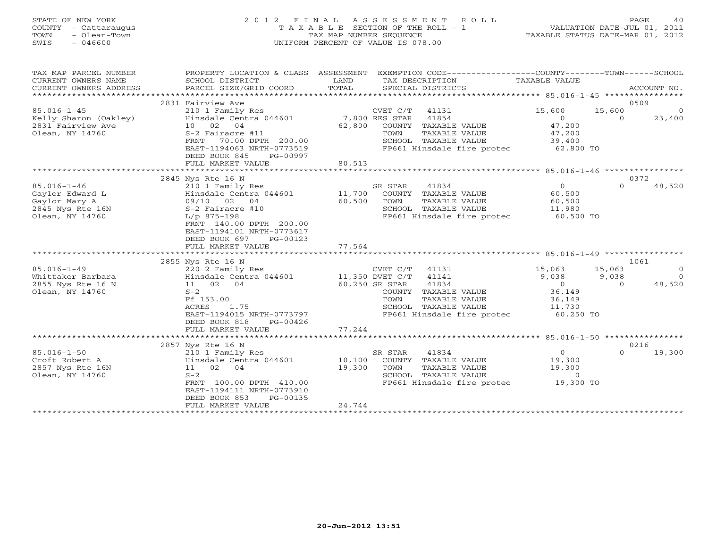#### STATE OF NEW YORK 2 0 1 2 F I N A L A S S E S S M E N T R O L L PAGE 40 COUNTY - Cattaraugus T A X A B L E SECTION OF THE ROLL - 1 VALUATION DATE-JUL 01, 2011 TOWN - Olean-Town TAX MAP NUMBER SEQUENCE TAXABLE STATUS DATE-MAR 01, 2012 SWIS - 046600 UNIFORM PERCENT OF VALUE IS 078.00UNIFORM PERCENT OF VALUE IS 078.00

| TAX MAP PARCEL NUMBER   | PROPERTY LOCATION & CLASS ASSESSMENT |        | EXEMPTION CODE-----------------COUNTY-------TOWN-----SCHOOL |               |          |                |
|-------------------------|--------------------------------------|--------|-------------------------------------------------------------|---------------|----------|----------------|
| CURRENT OWNERS NAME     | SCHOOL DISTRICT                      | LAND   | TAX DESCRIPTION                                             | TAXABLE VALUE |          |                |
| CURRENT OWNERS ADDRESS  | PARCEL SIZE/GRID COORD               | TOTAL  | SPECIAL DISTRICTS                                           |               |          | ACCOUNT NO.    |
| *********************** |                                      |        |                                                             |               |          |                |
|                         | 2831 Fairview Ave                    |        |                                                             |               | 0509     |                |
| $85.016 - 1 - 45$       | 210 1 Family Res                     |        | CVET C/T<br>41131                                           | 15,600        | 15,600   | $\overline{0}$ |
| Kelly Sharon (Oakley)   | Hinsdale Centra 044601               |        | 7,800 RES STAR<br>41854                                     | $\Omega$      | $\Omega$ | 23,400         |
| 2831 Fairview Ave       | 10 02 04                             | 62,800 | COUNTY TAXABLE VALUE                                        | 47,200        |          |                |
| Olean, NY 14760         | S-2 Fairacre #11                     |        | TOWN<br>TAXABLE VALUE                                       | 47,200        |          |                |
|                         | FRNT<br>70.00 DPTH 200.00            |        | SCHOOL TAXABLE VALUE                                        | 39,400        |          |                |
|                         | EAST-1194063 NRTH-0773519            |        | FP661 Hinsdale fire protec                                  | 62,800 TO     |          |                |
|                         | DEED BOOK 845<br>PG-00997            |        |                                                             |               |          |                |
|                         | FULL MARKET VALUE                    | 80,513 |                                                             |               |          |                |
|                         |                                      |        |                                                             |               |          |                |
|                         | 2845 Nys Rte 16 N                    |        |                                                             |               | 0372     |                |
| $85.016 - 1 - 46$       | 210 1 Family Res                     |        | SR STAR<br>41834                                            | $\circ$       | $\Omega$ | 48,520         |
| Gaylor Edward L         | Hinsdale Centra 044601               | 11,700 | COUNTY TAXABLE VALUE                                        | 60,500        |          |                |
| Gaylor Mary A           | 09/10 02<br>04                       | 60,500 | TOWN<br>TAXABLE VALUE                                       | 60,500        |          |                |
| 2845 Nys Rte 16N        | S-2 Fairacre #10                     |        | SCHOOL TAXABLE VALUE                                        | 11,980        |          |                |
| Olean, NY 14760         | $L/p$ 875-198                        |        | FP661 Hinsdale fire protec                                  | 60,500 TO     |          |                |
|                         | FRNT 140.00 DPTH 200.00              |        |                                                             |               |          |                |
|                         | EAST-1194101 NRTH-0773617            |        |                                                             |               |          |                |
|                         | DEED BOOK 697<br>PG-00123            |        |                                                             |               |          |                |
|                         | FULL MARKET VALUE                    | 77,564 |                                                             |               |          |                |
|                         |                                      |        |                                                             |               |          |                |
|                         | 2855 Nys Rte 16 N                    |        |                                                             |               | 1061     |                |
| $85.016 - 1 - 49$       | 220 2 Family Res                     |        | CVET C/T<br>41131                                           | 15,063        | 15,063   | $\Omega$       |
| Whittaker Barbara       | Hinsdale Centra 044601               |        | 11,350 DVET C/T<br>41141                                    | 9,038         | 9,038    | $\Omega$       |
| 2855 Nys Rte 16 N       | 11 02 04                             |        | 60,250 SR STAR<br>41834                                     | $\Omega$      | $\Omega$ | 48,520         |
| Olean, NY 14760         | $S-2$                                |        | COUNTY TAXABLE VALUE                                        | 36,149        |          |                |
|                         | Ff 153.00                            |        | TAXABLE VALUE<br>TOWN                                       | 36,149        |          |                |
|                         | 1.75<br>ACRES                        |        | SCHOOL TAXABLE VALUE                                        | 11,730        |          |                |
|                         | EAST-1194015 NRTH-0773797            |        | FP661 Hinsdale fire protec                                  | 60,250 TO     |          |                |
|                         | DEED BOOK 818<br>PG-00426            |        |                                                             |               |          |                |
|                         | FULL MARKET VALUE                    | 77,244 |                                                             |               |          |                |
|                         |                                      |        |                                                             |               |          |                |
|                         | 2857 Nys Rte 16 N                    |        |                                                             |               | 0216     |                |
| $85.016 - 1 - 50$       | 210 1 Family Res                     |        | SR STAR<br>41834                                            | $\circ$       | $\Omega$ | 19,300         |
| Croft Robert A          | Hinsdale Centra 044601               | 10,100 | COUNTY TAXABLE VALUE                                        | 19,300        |          |                |
| 2857 Nys Rte 16N        | 02<br>04<br>11                       | 19,300 | TOWN<br>TAXABLE VALUE                                       | 19,300        |          |                |
| Olean, NY 14760         | $S-2$                                |        | SCHOOL TAXABLE VALUE                                        | $\Omega$      |          |                |
|                         | FRNT 100.00 DPTH 410.00              |        | FP661 Hinsdale fire protec                                  | 19,300 TO     |          |                |
|                         | EAST-1194111 NRTH-0773910            |        |                                                             |               |          |                |
|                         | DEED BOOK 853<br>PG-00135            |        |                                                             |               |          |                |
|                         | FULL MARKET VALUE                    | 24,744 |                                                             |               |          |                |
|                         |                                      |        |                                                             |               |          |                |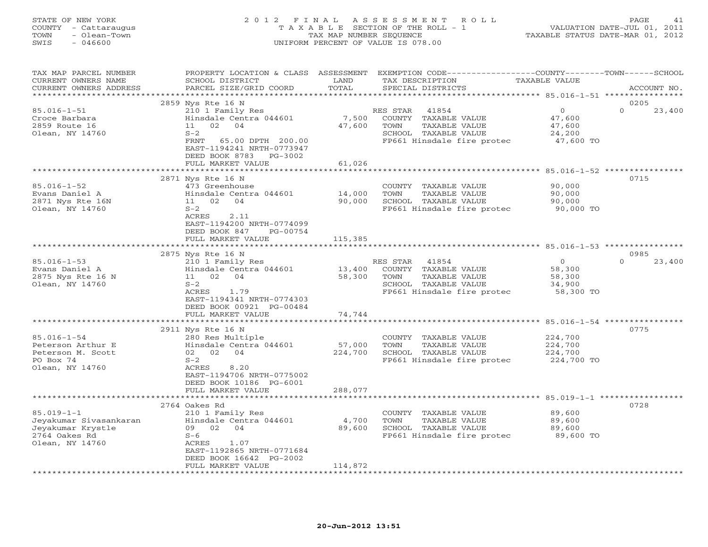#### STATE OF NEW YORK 2 0 1 2 F I N A L A S S E S S M E N T R O L L PAGE 41 COUNTY - Cattaraugus T A X A B L E SECTION OF THE ROLL - 1 VALUATION DATE-JUL 01, 2011 TOWN - Olean-Town TAX MAP NUMBER SEQUENCE TAXABLE STATUS DATE-MAR 01, 2012 SWIS - 046600 UNIFORM PERCENT OF VALUE IS 078.00UNIFORM PERCENT OF VALUE IS 078.00

| TAX MAP PARCEL NUMBER<br>CURRENT OWNERS NAME<br>CURRENT OWNERS ADDRESS                                                                                                     | PROPERTY LOCATION & CLASS ASSESSMENT<br>SCHOOL DISTRICT<br>PARCEL SIZE/GRID COORD                                                                                                                                                                                                                                               | LAND<br>TOTAL                                   | EXEMPTION CODE----------------COUNTY-------TOWN-----SCHOOL<br>TAX DESCRIPTION<br>SPECIAL DISTRICTS                                                                                                                              | TAXABLE VALUE                                                                                      | ACCOUNT NO.                        |
|----------------------------------------------------------------------------------------------------------------------------------------------------------------------------|---------------------------------------------------------------------------------------------------------------------------------------------------------------------------------------------------------------------------------------------------------------------------------------------------------------------------------|-------------------------------------------------|---------------------------------------------------------------------------------------------------------------------------------------------------------------------------------------------------------------------------------|----------------------------------------------------------------------------------------------------|------------------------------------|
| ******************                                                                                                                                                         |                                                                                                                                                                                                                                                                                                                                 |                                                 |                                                                                                                                                                                                                                 |                                                                                                    |                                    |
| $85.016 - 1 - 51$<br>Croce Barbara<br>2859 Route 16<br>Olean, NY 14760                                                                                                     | 2859 Nys Rte 16 N<br>210 1 Family Res<br>Hinsdale Centra 044601<br>02<br>11<br>04<br>$S-2$<br>FRNT<br>65.00 DPTH 200.00<br>EAST-1194241 NRTH-0773947<br>DEED BOOK 8783 PG-3002                                                                                                                                                  | 7,500<br>47,600                                 | RES STAR<br>41854<br>COUNTY TAXABLE VALUE<br>TOWN<br>TAXABLE VALUE<br>SCHOOL TAXABLE VALUE<br>FP661 Hinsdale fire protec                                                                                                        | $\mathbf{0}$<br>47,600<br>47,600<br>24,200<br>47,600 TO                                            | 0205<br>$\Omega$<br>23,400         |
|                                                                                                                                                                            | FULL MARKET VALUE                                                                                                                                                                                                                                                                                                               | 61,026<br>*************                         |                                                                                                                                                                                                                                 |                                                                                                    |                                    |
| $85.016 - 1 - 52$<br>Evans Daniel A<br>2871 Nys Rte 16N<br>Olean, NY 14760                                                                                                 | 2871 Nys Rte 16 N<br>473 Greenhouse<br>Hinsdale Centra 044601<br>11 02<br>04<br>$S-2$<br>ACRES<br>2.11<br>EAST-1194200 NRTH-0774099<br>DEED BOOK 847<br>PG-00754                                                                                                                                                                | 14,000<br>90,000                                | COUNTY TAXABLE VALUE<br>TAXABLE VALUE<br>TOWN<br>SCHOOL TAXABLE VALUE<br>FP661 Hinsdale fire protec                                                                                                                             | ********************* 85.016-1-52 ****************<br>90,000<br>90,000<br>90,000<br>90,000 TO      | 0715                               |
|                                                                                                                                                                            | FULL MARKET VALUE<br>************************                                                                                                                                                                                                                                                                                   | 115,385<br>*****************                    |                                                                                                                                                                                                                                 | ******************************* 85.016-1-53 ***********                                            |                                    |
| $85.016 - 1 - 53$<br>Evans Daniel A<br>2875 Nys Rte 16 N<br>Olean, NY 14760<br>$85.016 - 1 - 54$<br>Peterson Arthur E<br>Peterson M. Scott<br>PO Box 74<br>Olean, NY 14760 | 2875 Nys Rte 16 N<br>210 1 Family Res<br>Hinsdale Centra 044601<br>11 02<br>04<br>$S-2$<br>ACRES<br>1.79<br>EAST-1194341 NRTH-0774303<br>DEED BOOK 00921 PG-00484<br>FULL MARKET VALUE<br>2911 Nys Rte 16 N<br>280 Res Multiple<br>Hinsdale Centra 044601<br>02 02<br>04<br>$S-2$<br>ACRES<br>8.20<br>EAST-1194706 NRTH-0775002 | 13,400<br>58,300<br>74,744<br>57,000<br>224,700 | RES STAR<br>41854<br>COUNTY TAXABLE VALUE<br>TAXABLE VALUE<br>TOWN<br>SCHOOL TAXABLE VALUE<br>FP661 Hinsdale fire protec<br>COUNTY TAXABLE VALUE<br>TOWN<br>TAXABLE VALUE<br>SCHOOL TAXABLE VALUE<br>FP661 Hinsdale fire protec | $\Omega$<br>58,300<br>58,300<br>34,900<br>58,300 TO<br>224,700<br>224,700<br>224,700<br>224,700 TO | 0985<br>$\Omega$<br>23,400<br>0775 |
|                                                                                                                                                                            | DEED BOOK 10186 PG-6001<br>FULL MARKET VALUE<br>********************                                                                                                                                                                                                                                                            | 288,077<br>********                             |                                                                                                                                                                                                                                 | ************************* 85.019-1-1 **********                                                    |                                    |
| $85.019 - 1 - 1$<br>Jeyakumar Sivasankaran<br>Jeyakumar Krystle<br>2764 Oakes Rd<br>Olean, NY 14760                                                                        | 2764 Oakes Rd<br>210 1 Family Res<br>Hinsdale Centra 044601<br>09 02<br>04<br>$S-6$<br>1.07<br>ACRES<br>EAST-1192865 NRTH-0771684<br>DEED BOOK 16642 PG-2002<br>FULL MARKET VALUE                                                                                                                                               | 4,700<br>89,600<br>114,872                      | COUNTY TAXABLE VALUE<br>TAXABLE VALUE<br>TOWN<br>SCHOOL TAXABLE VALUE<br>FP661 Hinsdale fire protec                                                                                                                             | 89,600<br>89,600<br>89,600<br>89,600 TO                                                            | 0728                               |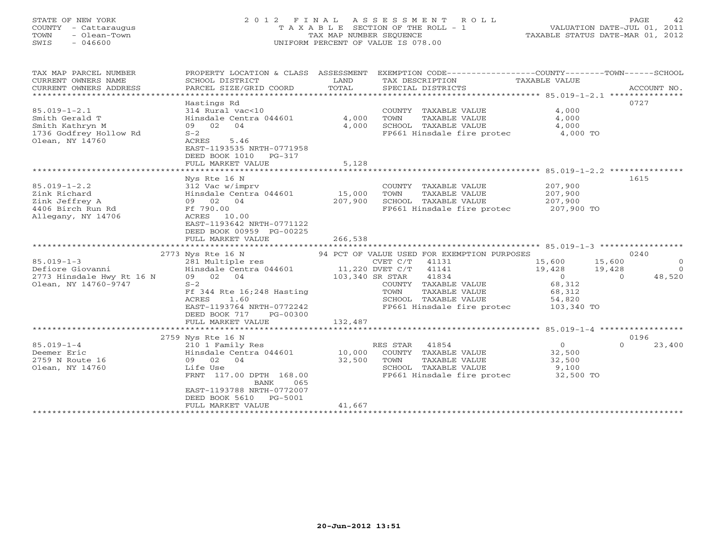#### STATE OF NEW YORK 2 0 1 2 F I N A L A S S E S S M E N T R O L L PAGE 42COUNTY - Cattaraugus T A X A B L E SECTION OF THE ROLL - 1 VALUATION DATE-JUL 01, 2011 TOWN - Olean-Town TAX MAP NUMBER SEQUENCE TAXABLE STATUS DATE-MAR 01, 2012<br>TAXABLE STATUS DATE-MAR 01, 2012 SWIS - 046600 UNIFORM PERCENT OF VALUE IS 078.00

| TAX MAP PARCEL NUMBER          | PROPERTY LOCATION & CLASS ASSESSMENT                  |         | EXEMPTION CODE-----------------COUNTY-------TOWN------SCHOOL |                |                    |
|--------------------------------|-------------------------------------------------------|---------|--------------------------------------------------------------|----------------|--------------------|
| CURRENT OWNERS NAME            | SCHOOL DISTRICT                                       | LAND    | TAX DESCRIPTION                                              | TAXABLE VALUE  |                    |
| CURRENT OWNERS ADDRESS         | PARCEL SIZE/GRID COORD                                | TOTAL   | SPECIAL DISTRICTS                                            |                | ACCOUNT NO.        |
| ****************************** |                                                       |         |                                                              |                |                    |
|                                | Hastings Rd                                           |         |                                                              |                | 0727               |
| $85.019 - 1 - 2.1$             | 314 Rural vac<10                                      |         | COUNTY TAXABLE VALUE                                         | 4,000          |                    |
| Smith Gerald T                 | Hinsdale Centra 044601                                | 4,000   | TOWN<br>TAXABLE VALUE                                        | 4,000          |                    |
| Smith Kathryn M                | 09 02<br>04                                           | 4,000   | SCHOOL TAXABLE VALUE                                         | 4,000          |                    |
| 1736 Godfrey Hollow Rd         | $S-2$                                                 |         | FP661 Hinsdale fire protec                                   | 4,000 TO       |                    |
| Olean, NY 14760                | ACRES<br>5.46                                         |         |                                                              |                |                    |
|                                | EAST-1193535 NRTH-0771958                             |         |                                                              |                |                    |
|                                | DEED BOOK 1010<br>PG-317                              |         |                                                              |                |                    |
|                                | FULL MARKET VALUE                                     | 5,128   |                                                              |                |                    |
|                                |                                                       |         |                                                              |                |                    |
|                                | Nys Rte 16 N                                          |         |                                                              |                | 1615               |
| $85.019 - 1 - 2.2$             | 312 Vac w/imprv                                       |         | COUNTY TAXABLE VALUE                                         | 207,900        |                    |
| Zink Richard                   | Hinsdale Centra 044601                                | 15,000  | TAXABLE VALUE<br>TOWN                                        | 207,900        |                    |
| Zink Jeffrey A                 | 09 02 04                                              | 207,900 | SCHOOL TAXABLE VALUE                                         | 207,900        |                    |
| 4406 Birch Run Rd              | Ff 790.00                                             |         | FP661 Hinsdale fire protec 207,900 TO                        |                |                    |
| Allegany, NY 14706             | ACRES 10.00                                           |         |                                                              |                |                    |
|                                | EAST-1193642 NRTH-0771122<br>DEED BOOK 00959 PG-00225 |         |                                                              |                |                    |
|                                | FULL MARKET VALUE                                     | 266,538 |                                                              |                |                    |
|                                |                                                       |         |                                                              |                |                    |
|                                | 2773 Nys Rte 16 N                                     |         | 94 PCT OF VALUE USED FOR EXEMPTION PURPOSES                  |                | 0240               |
| $85.019 - 1 - 3$               | 281 Multiple res                                      |         | CVET C/T<br>41131                                            | 15,600         | 15,600<br>$\Omega$ |
| Defiore Giovanni               | Hinsdale Centra 044601                                |         | 11,220 DVET C/T 41141                                        | 19,428         | 19,428<br>$\Omega$ |
| 2773 Hinsdale Hwy Rt 16 N      | 09 02 04                                              |         | 103,340 SR STAR<br>41834                                     | $\overline{0}$ | 48,520<br>$\Omega$ |
| Olean, NY 14760-9747           | $S-2$                                                 |         | COUNTY TAXABLE VALUE                                         | 68,312         |                    |
|                                | Ff 344 Rte 16;248 Hasting                             |         | TOWN<br>TAXABLE VALUE                                        | 68,312         |                    |
|                                | ACRES<br>1.60                                         |         | SCHOOL TAXABLE VALUE                                         | 54,820         |                    |
|                                | EAST-1193764 NRTH-0772242                             |         | FP661 Hinsdale fire protec                                   | 103,340 TO     |                    |
|                                | DEED BOOK 717<br>PG-00300                             |         |                                                              |                |                    |
|                                | FULL MARKET VALUE                                     | 132,487 |                                                              |                |                    |
|                                |                                                       |         |                                                              |                |                    |
|                                | 2759 Nys Rte 16 N                                     |         |                                                              |                | 0196               |
| $85.019 - 1 - 4$               | 210 1 Family Res                                      |         | RES STAR 41854                                               | $\overline{0}$ | $\Omega$<br>23,400 |
| Deemer Eric                    | Hinsdale Centra 044601                                | 10,000  | COUNTY TAXABLE VALUE                                         | 32,500         |                    |
| 2759 N Route 16                | 09 02 04                                              | 32,500  | TOWN<br>TAXABLE VALUE                                        | 32,500         |                    |
| Olean, NY 14760                | Life Use                                              |         | SCHOOL TAXABLE VALUE                                         | 9,100          |                    |
|                                | FRNT 117.00 DPTH 168.00<br><b>BANK</b><br>065         |         | FP661 Hinsdale fire protec 32,500 TO                         |                |                    |
|                                | EAST-1193788 NRTH-0772007                             |         |                                                              |                |                    |
|                                | DEED BOOK 5610<br>PG-5001                             |         |                                                              |                |                    |
|                                | FULL MARKET VALUE                                     | 41,667  |                                                              |                |                    |
|                                |                                                       |         |                                                              |                |                    |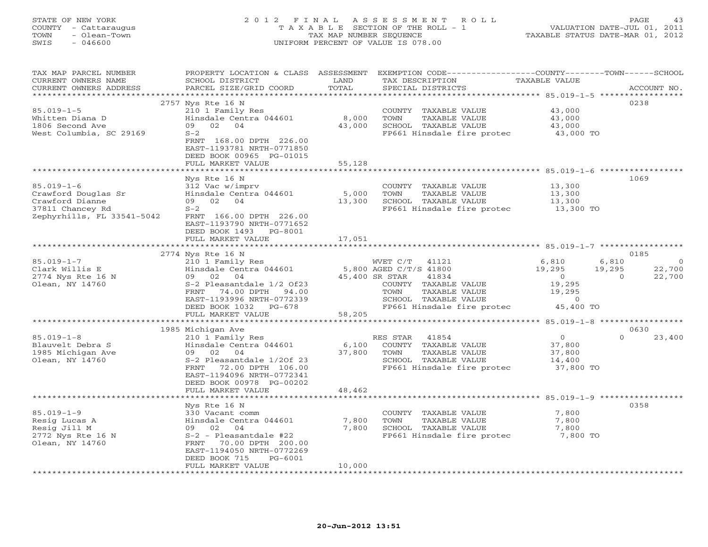#### STATE OF NEW YORK 2 0 1 2 F I N A L A S S E S S M E N T R O L L PAGE 43 COUNTY - Cattaraugus T A X A B L E SECTION OF THE ROLL - 1 VALUATION DATE-JUL 01, 2011 TOWN - Olean-Town TAX MAP NUMBER SEQUENCE TAXABLE STATUS DATE-MAR 01, 2012 SWIS - 046600 UNIFORM PERCENT OF VALUE IS 078.00UNIFORM PERCENT OF VALUE IS 078.00

| TAX MAP PARCEL NUMBER<br>CURRENT OWNERS NAME | PROPERTY LOCATION & CLASS ASSESSMENT<br>SCHOOL DISTRICT | LAND   | EXEMPTION CODE----------------COUNTY-------TOWN------SCHOOL<br>TAX DESCRIPTION | TAXABLE VALUE            |                              |
|----------------------------------------------|---------------------------------------------------------|--------|--------------------------------------------------------------------------------|--------------------------|------------------------------|
| CURRENT OWNERS ADDRESS                       | PARCEL SIZE/GRID COORD                                  | TOTAL  | SPECIAL DISTRICTS                                                              |                          | ACCOUNT NO.                  |
| **********************                       |                                                         |        |                                                                                |                          |                              |
|                                              | 2757 Nys Rte 16 N                                       |        |                                                                                |                          | 0238                         |
| $85.019 - 1 - 5$                             | 210 1 Family Res                                        |        | COUNTY TAXABLE VALUE                                                           | 43,000                   |                              |
| Whitten Diana D                              | Hinsdale Centra 044601                                  | 8,000  | TOWN<br>TAXABLE VALUE                                                          | 43,000                   |                              |
| 1806 Second Ave                              | 02 04<br>09                                             | 43,000 | SCHOOL TAXABLE VALUE                                                           | 43,000                   |                              |
| West Columbia, SC 29169                      | $S-2$<br>FRNT 168.00 DPTH 226.00                        |        | FP661 Hinsdale fire protec                                                     | 43,000 TO                |                              |
|                                              | EAST-1193781 NRTH-0771850                               |        |                                                                                |                          |                              |
|                                              | DEED BOOK 00965 PG-01015                                |        |                                                                                |                          |                              |
|                                              | FULL MARKET VALUE                                       | 55,128 |                                                                                |                          |                              |
| ******************************               | *********************                                   |        |                                                                                |                          |                              |
|                                              | Nys Rte 16 N                                            |        |                                                                                |                          | 1069                         |
| $85.019 - 1 - 6$                             | 312 Vac w/imprv                                         |        | COUNTY TAXABLE VALUE                                                           | 13,300                   |                              |
| Crawford Douglas Sr                          | Hinsdale Centra 044601                                  | 5,000  | TOWN<br>TAXABLE VALUE                                                          | 13,300                   |                              |
| Crawford Dianne                              | 09 02 04                                                | 13,300 | SCHOOL TAXABLE VALUE                                                           | 13,300                   |                              |
| 37811 Chancey Rd                             | $S-2$                                                   |        | FP661 Hinsdale fire protec 13,300 TO                                           |                          |                              |
| Zephyrhills, FL 33541-5042                   | FRNT 166.00 DPTH 226.00                                 |        |                                                                                |                          |                              |
|                                              | EAST-1193790 NRTH-0771652                               |        |                                                                                |                          |                              |
|                                              | DEED BOOK 1493<br>PG-8001                               |        |                                                                                |                          |                              |
|                                              | FULL MARKET VALUE                                       | 17,051 |                                                                                |                          |                              |
|                                              |                                                         |        |                                                                                |                          |                              |
|                                              | 2774 Nys Rte 16 N                                       |        |                                                                                |                          | 0185                         |
| $85.019 - 1 - 7$                             | 210 1 Family Res                                        |        | WVET C/T 41121                                                                 | 6,810                    | 6,810<br>$\Omega$            |
| Clark Willis E                               | Hinsdale Centra 044601<br>09 02<br>04                   |        | 5,800 AGED C/T/S 41800                                                         | 19,295<br>$\overline{0}$ | 19,295<br>22,700<br>$\Omega$ |
| 2774 Nys Rte 16 N                            |                                                         |        | 45,400 SR STAR<br>41834                                                        | 19,295                   | 22,700                       |
| Olean, NY 14760                              | S-2 Pleasantdale 1/2 Of23<br>FRNT 74.00 DPTH 94.00      |        | COUNTY TAXABLE VALUE<br>TOWN<br>TAXABLE VALUE                                  | 19,295                   |                              |
|                                              | EAST-1193996 NRTH-0772339                               |        | SCHOOL TAXABLE VALUE                                                           | $\sim$ 0                 |                              |
|                                              | DEED BOOK 1032 PG-678                                   |        | FP661 Hinsdale fire protec                                                     | 45,400 TO                |                              |
|                                              | FULL MARKET VALUE                                       | 58,205 |                                                                                |                          |                              |
|                                              |                                                         |        |                                                                                |                          |                              |
|                                              | 1985 Michigan Ave                                       |        |                                                                                |                          | 0630                         |
| $85.019 - 1 - 8$                             | 210 1 Family Res                                        |        | 41854<br>RES STAR                                                              | $\Omega$                 | 23,400<br>$\Omega$           |
| Blauvelt Debra S                             | Hinsdale Centra 044601                                  | 6,100  | COUNTY TAXABLE VALUE                                                           | 37,800                   |                              |
| 1985 Michigan Ave                            | 09 02 04                                                | 37,800 | TOWN<br>TAXABLE VALUE                                                          | 37,800                   |                              |
| Olean, NY 14760                              | S-2 Pleasantdale 1/20f 23                               |        | SCHOOL TAXABLE VALUE                                                           | 14,400                   |                              |
|                                              | FRNT 72.00 DPTH 106.00                                  |        | FP661 Hinsdale fire protec                                                     | 37,800 TO                |                              |
|                                              | EAST-1194096 NRTH-0772341                               |        |                                                                                |                          |                              |
|                                              | DEED BOOK 00978 PG-00202                                |        |                                                                                |                          |                              |
|                                              | FULL MARKET VALUE                                       | 48,462 |                                                                                |                          |                              |
|                                              |                                                         |        |                                                                                |                          |                              |
| $85.019 - 1 - 9$                             | Nys Rte 16 N                                            |        |                                                                                |                          | 0358                         |
| Resig Lucas A                                | 330 Vacant comm<br>Hinsdale Centra 044601               | 7,800  | COUNTY TAXABLE VALUE<br>TOWN<br>TAXABLE VALUE                                  | 7,800<br>7,800           |                              |
| Resig Jill M                                 | 09 02 04                                                | 7,800  | SCHOOL TAXABLE VALUE                                                           | 7,800                    |                              |
| 2772 Nys Rte 16 N                            | S-2 - Pleasantdale #22                                  |        | FP661 Hinsdale fire protec 7,800 TO                                            |                          |                              |
| Olean, NY 14760                              | FRNT 70.00 DPTH 200.00                                  |        |                                                                                |                          |                              |
|                                              | EAST-1194050 NRTH-0772269                               |        |                                                                                |                          |                              |
|                                              | $PG-6001$<br>DEED BOOK 715                              |        |                                                                                |                          |                              |
|                                              | FULL MARKET VALUE                                       | 10,000 |                                                                                |                          |                              |
|                                              |                                                         |        |                                                                                |                          |                              |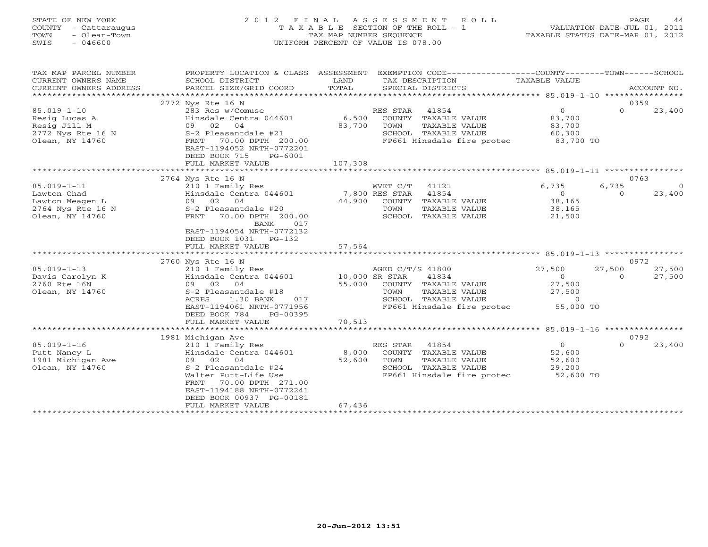| STATE OF NEW YORK    | 2012 FINAL ASSESSMENT ROLL            | 44<br><b>PAGE</b>                |
|----------------------|---------------------------------------|----------------------------------|
| COUNTY - Cattaraugus | T A X A B L E SECTION OF THE ROLL - 1 | VALUATION DATE-JUL 01, 2011      |
| - Olean-Town<br>TOWN | TAX MAP NUMBER SEOUENCE               | TAXABLE STATUS DATE-MAR 01, 2012 |
| $-046600$<br>SWIS    | UNIFORM PERCENT OF VALUE IS 078.00    |                                  |
|                      |                                       |                                  |
|                      |                                       |                                  |

| TAX MAP PARCEL NUMBER<br>CURRENT OWNERS NAME<br>CURRENT OWNERS ADDRESS | PROPERTY LOCATION & CLASS ASSESSMENT<br>SCHOOL DISTRICT<br>PARCEL SIZE/GRID COORD  | LAND<br>TOTAL | EXEMPTION CODE-----------------COUNTY-------TOWN------SCHOOL<br>TAX DESCRIPTION<br>SPECIAL DISTRICTS | TAXABLE VALUE  | ACCOUNT NO.        |
|------------------------------------------------------------------------|------------------------------------------------------------------------------------|---------------|------------------------------------------------------------------------------------------------------|----------------|--------------------|
|                                                                        |                                                                                    |               |                                                                                                      |                |                    |
|                                                                        | 2772 Nys Rte 16 N                                                                  |               |                                                                                                      |                | 0359               |
| $85.019 - 1 - 10$                                                      | 283 Res w/Comuse                                                                   |               | RES STAR<br>41854                                                                                    | $\Omega$       | $\Omega$<br>23,400 |
| Resig Lucas A                                                          | Hinsdale Centra 044601                                                             | 6,500         | COUNTY TAXABLE VALUE                                                                                 | 83,700         |                    |
| Resig Jill M                                                           | 09 02<br>04                                                                        | 83,700        | TOWN<br>TAXABLE VALUE                                                                                | 83,700         |                    |
| 2772 Nys Rte 16 N                                                      | S-2 Pleasantdale #21                                                               |               | SCHOOL TAXABLE VALUE                                                                                 | 60,300         |                    |
| Olean, NY 14760                                                        | FRNT<br>70.00 DPTH 200.00<br>EAST-1194052 NRTH-0772201<br>DEED BOOK 715<br>PG-6001 |               | FP661 Hinsdale fire protec                                                                           | 83,700 TO      |                    |
|                                                                        | FULL MARKET VALUE                                                                  | 107,308       |                                                                                                      |                |                    |
|                                                                        |                                                                                    |               |                                                                                                      |                |                    |
|                                                                        | 2764 Nys Rte 16 N                                                                  |               |                                                                                                      |                | 0763               |
| $85.019 - 1 - 11$                                                      | 210 1 Family Res                                                                   |               | WVET C/T<br>41121                                                                                    | 6,735          | 6,735<br>$\Omega$  |
| Lawton Chad                                                            | Hinsdale Centra 044601                                                             |               | 7,800 RES STAR<br>41854                                                                              | $\circ$        | 23,400<br>$\circ$  |
| Lawton Meagen L                                                        | 09 02 04                                                                           | 44,900        | COUNTY TAXABLE VALUE                                                                                 | 38,165         |                    |
| 2764 Nys Rte 16 N                                                      | S-2 Pleasantdale #20                                                               |               | TOWN<br>TAXABLE VALUE                                                                                | 38,165         |                    |
| Olean, NY 14760                                                        | FRNT<br>70.00 DPTH 200.00<br><b>BANK</b><br>017                                    |               | SCHOOL TAXABLE VALUE                                                                                 | 21,500         |                    |
|                                                                        | EAST-1194054 NRTH-0772132                                                          |               |                                                                                                      |                |                    |
|                                                                        | DEED BOOK 1031 PG-132                                                              |               |                                                                                                      |                |                    |
|                                                                        | FULL MARKET VALUE                                                                  | 57,564        |                                                                                                      |                |                    |
|                                                                        |                                                                                    |               |                                                                                                      |                |                    |
|                                                                        | 2760 Nys Rte 16 N                                                                  |               |                                                                                                      |                | 0972               |
| $85.019 - 1 - 13$                                                      | 210 1 Family Res                                                                   |               | AGED C/T/S 41800                                                                                     | 27,500         | 27,500<br>27,500   |
| Davis Carolyn K                                                        | Hinsdale Centra 044601                                                             |               | 10,000 SR STAR<br>41834                                                                              | $\overline{0}$ | 27,500<br>$\Omega$ |
| 2760 Rte 16N                                                           | 09 02 04                                                                           | 55,000        | COUNTY TAXABLE VALUE                                                                                 | 27,500         |                    |
| Olean, NY 14760                                                        | S-2 Pleasantdale #18                                                               |               | TAXABLE VALUE<br>TOWN                                                                                | 27,500         |                    |
|                                                                        | ACRES<br>1.30 BANK<br>017                                                          |               | SCHOOL TAXABLE VALUE                                                                                 | $\Omega$       |                    |
|                                                                        | EAST-1194061 NRTH-0771956                                                          |               | FP661 Hinsdale fire protec                                                                           | 55,000 TO      |                    |
|                                                                        | DEED BOOK 784<br>PG-00395                                                          |               |                                                                                                      |                |                    |
|                                                                        | FULL MARKET VALUE                                                                  | 70,513        |                                                                                                      |                |                    |
|                                                                        | ***************************                                                        |               |                                                                                                      |                |                    |
|                                                                        | 1981 Michigan Ave                                                                  |               |                                                                                                      |                | 0792               |
| $85.019 - 1 - 16$                                                      | 210 1 Family Res                                                                   |               | RES STAR<br>41854                                                                                    | $\Omega$       | $\Omega$<br>23,400 |
| Putt Nancy L                                                           | Hinsdale Centra 044601                                                             | 8,000         | COUNTY TAXABLE VALUE                                                                                 | 52,600         |                    |
| 1981 Michigan Ave                                                      | 09 02 04                                                                           | 52,600        | TOWN<br>TAXABLE VALUE                                                                                | 52,600         |                    |
| Olean, NY 14760                                                        | S-2 Pleasantdale #24                                                               |               | SCHOOL TAXABLE VALUE                                                                                 | 29,200         |                    |
|                                                                        | Walter Putt-Life Use                                                               |               | FP661 Hinsdale fire protec                                                                           | 52,600 TO      |                    |
|                                                                        | 70.00 DPTH 271.00<br>FRNT                                                          |               |                                                                                                      |                |                    |
|                                                                        | EAST-1194188 NRTH-0772241                                                          |               |                                                                                                      |                |                    |
|                                                                        | DEED BOOK 00937 PG-00181                                                           |               |                                                                                                      |                |                    |
|                                                                        | FULL MARKET VALUE                                                                  | 67,436        |                                                                                                      |                |                    |
|                                                                        |                                                                                    |               |                                                                                                      |                |                    |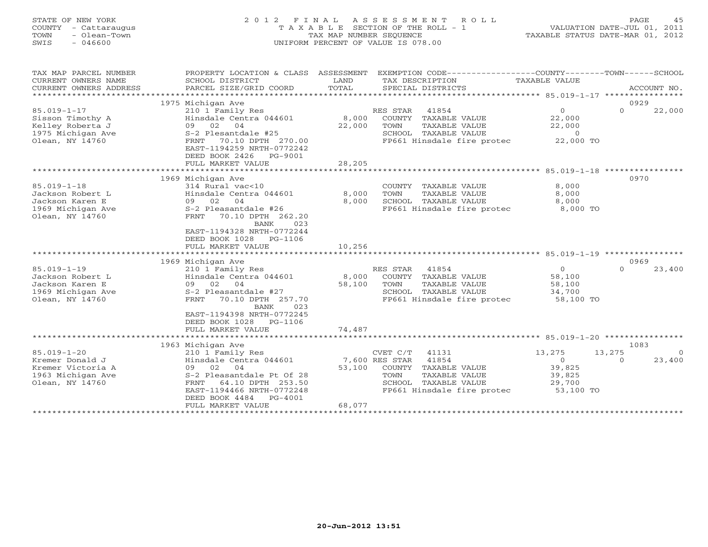| STATE OF NEW YORK<br>COUNTY<br>- Cattaraugus<br>- Olean-Town<br>TOWN<br>$-046600$<br>SWIS |                                                                                             | TAX MAP NUMBER SEOUENCE     | T A X A B L E SECTION OF THE ROLL - 1<br>UNIFORM PERCENT OF VALUE IS 078.00 | VALUATION DATE-JUL 01, 2011<br>TAXABLE STATUS DATE-MAR 01, 2012          |         |
|-------------------------------------------------------------------------------------------|---------------------------------------------------------------------------------------------|-----------------------------|-----------------------------------------------------------------------------|--------------------------------------------------------------------------|---------|
| TAX MAP PARCEL NUMBER<br>CURRENT OWNERS NAME<br>CURRENT OWNERS ADDRESS                    | PROPERTY LOCATION & CLASS<br>SCHOOL DISTRICT<br>PARCEL SIZE/GRID COORD<br>1975 Michigan Ave | ASSESSMENT<br>LAND<br>TOTAL | EXEMPTION CODE-------<br>TAX DESCRIPTION<br>SPECIAL DISTRICTS               | -----------COUNTY-------TOWN----<br>TAXABLE VALUE<br>ACCOUNT NO.<br>0929 | -SCHOOL |

| Sisson Timothy A  |                                                  |                            | RES STAR<br>41854          | $\overline{0}$ | 22,000<br>$\Omega$ |                |
|-------------------|--------------------------------------------------|----------------------------|----------------------------|----------------|--------------------|----------------|
|                   | Hinsdale Centra 044601                           | 8,000                      | COUNTY TAXABLE VALUE       | 22,000         |                    |                |
| Kelley Roberta J  | 09 02 04                                         | 22,000                     | TOWN<br>TAXABLE VALUE      | 22,000         |                    |                |
| 1975 Michigan Ave | S-2 Plesantdale #25                              |                            | SCHOOL TAXABLE VALUE       | $\overline{0}$ |                    |                |
| Olean, NY 14760   | 70.10 DPTH 270.00<br>FRNT                        |                            | FP661 Hinsdale fire protec | 22,000 TO      |                    |                |
|                   | EAST-1194259 NRTH-0772242                        |                            |                            |                |                    |                |
|                   | DEED BOOK 2426    PG-9001                        |                            |                            |                |                    |                |
|                   | FULL MARKET VALUE                                | 28,205                     |                            |                |                    |                |
|                   |                                                  |                            |                            |                |                    |                |
|                   | 1969 Michigan Ave                                |                            |                            |                | 0970               |                |
| $85.019 - 1 - 18$ | 314 Rural vac<10                                 |                            | COUNTY TAXABLE VALUE       | 8,000          |                    |                |
| Jackson Robert L  | Hinsdale Centra 044601                           | 8,000                      | TAXABLE VALUE<br>TOWN      | 8,000          |                    |                |
| Jackson Karen E   | 09 02 04                                         | 8,000                      | SCHOOL TAXABLE VALUE       | 8,000          |                    |                |
| 1969 Michigan Ave | S-2 Pleasantdale #26                             |                            | FP661 Hinsdale fire protec | 8,000 TO       |                    |                |
| Olean, NY 14760   | 70.10 DPTH 262.20<br>FRNT                        |                            |                            |                |                    |                |
|                   | <b>BANK</b><br>023                               |                            |                            |                |                    |                |
|                   | EAST-1194328 NRTH-0772244                        |                            |                            |                |                    |                |
|                   | DEED BOOK 1028 PG-1106                           |                            |                            |                |                    |                |
|                   | FULL MARKET VALUE                                | 10,256                     |                            |                |                    |                |
|                   |                                                  |                            |                            |                |                    |                |
|                   | 1969 Michigan Ave                                |                            |                            |                | 0969               |                |
| $85.019 - 1 - 19$ | 210 1 Family Res                                 |                            | RES STAR<br>41854          | $\Omega$       | 23,400<br>$\Omega$ |                |
| Jackson Robert L  | Hinsdale Centra 044601                           | 8,000                      | COUNTY TAXABLE VALUE       | 58,100         |                    |                |
|                   |                                                  |                            |                            |                |                    |                |
| Jackson Karen E   | 09 02 04                                         | 58,100                     | TOWN<br>TAXABLE VALUE      | 58,100         |                    |                |
| 1969 Michigan Ave | S-2 Pleasantdale #27                             |                            | SCHOOL TAXABLE VALUE       | 34,700         |                    |                |
| Olean, NY 14760   | 70.10 DPTH 257.70<br>FRNT                        |                            | FP661 Hinsdale fire protec | 58,100 TO      |                    |                |
|                   | 023<br><b>BANK</b>                               |                            |                            |                |                    |                |
|                   | EAST-1194398 NRTH-0772245                        |                            |                            |                |                    |                |
|                   | DEED BOOK 1028 PG-1106                           |                            |                            |                |                    |                |
|                   | FULL MARKET VALUE                                | 74,487                     |                            |                |                    |                |
|                   |                                                  |                            |                            |                |                    |                |
|                   | 1963 Michigan Ave                                |                            |                            |                | 1083               |                |
| $85.019 - 1 - 20$ | 210 1 Family Res                                 |                            | CVET C/T 41131             | 13,275         | 13,275             | $\overline{0}$ |
| Kremer Donald J   | Hinsdale Centra 044601                           | 7,600 RES STAR             | 41854                      | $\Omega$       | 23,400<br>$\Omega$ |                |
| Kremer Victoria A | 09 02 04                                         | 53,100                     | COUNTY TAXABLE VALUE       | 39,825         |                    |                |
| 1963 Michigan Ave | S-2 Pleasantdale Pt Of 28                        |                            | TOWN<br>TAXABLE VALUE      | 39,825         |                    |                |
| Olean, NY 14760   | 64.10 DPTH 253.50<br>FRNT                        |                            | SCHOOL TAXABLE VALUE       | 29,700         |                    |                |
|                   | EAST-1194466 NRTH-0772248                        |                            | FP661 Hinsdale fire protec | 53,100 TO      |                    |                |
|                   | DEED BOOK 4484 PG-4001                           |                            |                            |                |                    |                |
|                   | FULL MARKET VALUE<br>*************************** | 68,077<br>**************** |                            |                |                    |                |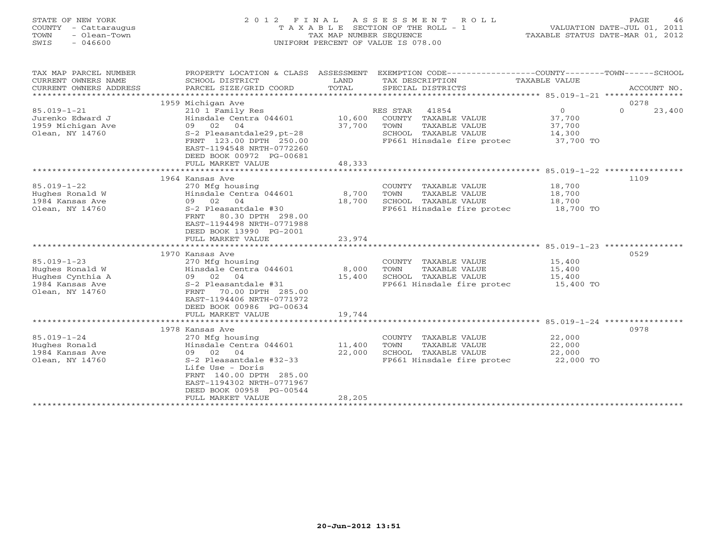| STATE OF NEW YORK<br>COUNTY - Cattaraugus<br>- Olean-Town<br>TOWN<br>$-046600$<br>SWIS         |                                                                                                                                                                                                | TAX MAP NUMBER SEOUENCE   | 2012 FINAL ASSESSMENT ROLL<br>T A X A B L E SECTION OF THE ROLL - 1<br>UNIFORM PERCENT OF VALUE IS 078.00                |                                                    | PAGE<br>46<br>VALUATION DATE-JUL 01, 2011<br>TAXABLE STATUS DATE-MAR 01, 2012 |
|------------------------------------------------------------------------------------------------|------------------------------------------------------------------------------------------------------------------------------------------------------------------------------------------------|---------------------------|--------------------------------------------------------------------------------------------------------------------------|----------------------------------------------------|-------------------------------------------------------------------------------|
| TAX MAP PARCEL NUMBER<br>CURRENT OWNERS NAME<br>CURRENT OWNERS ADDRESS<br>*******************  | PROPERTY LOCATION & CLASS ASSESSMENT<br>SCHOOL DISTRICT<br>PARCEL SIZE/GRID COORD                                                                                                              | LAND<br>TOTAL             | EXEMPTION CODE-----------------COUNTY-------TOWN------SCHOOL<br>TAX DESCRIPTION<br>SPECIAL DISTRICTS                     | <b>TAXABLE VALUE</b>                               | ACCOUNT NO.                                                                   |
|                                                                                                | 1959 Michigan Ave                                                                                                                                                                              |                           |                                                                                                                          |                                                    | 0278                                                                          |
| $85.019 - 1 - 21$<br>Jurenko Edward J<br>1959 Michigan Ave<br>Olean, NY 14760                  | 210 1 Family Res<br>Hinsdale Centra 044601 10,600<br>09 02<br>04<br>S-2 Pleasantdale29, pt-28<br>FRNT 123.00 DPTH 250.00<br>EAST-1194548 NRTH-0772260<br>DEED BOOK 00972 PG-00681              | 37,700                    | RES STAR<br>41854<br>COUNTY TAXABLE VALUE<br>TOWN<br>TAXABLE VALUE<br>SCHOOL TAXABLE VALUE<br>FP661 Hinsdale fire protec | $\circ$<br>37,700<br>37,700<br>14,300<br>37,700 TO | $\Omega$<br>23,400                                                            |
|                                                                                                | FULL MARKET VALUE                                                                                                                                                                              | 48,333                    |                                                                                                                          |                                                    |                                                                               |
|                                                                                                | ***************************                                                                                                                                                                    |                           |                                                                                                                          |                                                    |                                                                               |
| $85.019 - 1 - 22$<br>Hughes Ronald W<br>1984 Kansas Ave<br>Olean, NY 14760                     | 1964 Kansas Ave<br>270 Mfg housing<br>Hinsdale Centra 044601<br>09 02<br>04<br>S-2 Pleasantdale #30<br>80.30 DPTH 298.00<br>FRNT<br>EAST-1194498 NRTH-0771988<br>DEED BOOK 13990 PG-2001       | 8,700<br>18,700           | COUNTY TAXABLE VALUE<br>TOWN<br>TAXABLE VALUE<br>SCHOOL TAXABLE VALUE<br>FP661 Hinsdale fire protec                      | 18,700<br>18,700<br>18,700<br>18,700 TO            | 1109                                                                          |
|                                                                                                | FULL MARKET VALUE                                                                                                                                                                              | 23,974                    |                                                                                                                          |                                                    |                                                                               |
|                                                                                                | ************************<br>1970 Kansas Ave                                                                                                                                                    |                           |                                                                                                                          | **** 85.019-1-23 ************                      | 0529                                                                          |
| $85.019 - 1 - 23$<br>Hughes Ronald W<br>Hughes Cynthia A<br>1984 Kansas Ave<br>Olean, NY 14760 | 270 Mfg housing<br>Hinsdale Centra 044601<br>02<br>04<br>09<br>S-2 Pleasantdale #31<br>70.00 DPTH 285.00<br>FRNT<br>EAST-1194406 NRTH-0771972<br>DEED BOOK 00986 PG-00634<br>FULL MARKET VALUE | 8,000<br>15,400<br>19,744 | COUNTY TAXABLE VALUE<br>TOWN<br>TAXABLE VALUE<br>SCHOOL TAXABLE VALUE<br>FP661 Hinsdale fire protec                      | 15,400<br>15,400<br>15,400<br>15,400 TO            |                                                                               |
|                                                                                                |                                                                                                                                                                                                |                           |                                                                                                                          | ******************** 85.019-1-24 ***************** |                                                                               |

|                   | 1978 Kansas Ave            |        |                            |           | 0978 |
|-------------------|----------------------------|--------|----------------------------|-----------|------|
| $85.019 - 1 - 24$ | 270 Mfg housing            |        | TAXABLE VALUE<br>COUNTY    | 22,000    |      |
| Hughes Ronald     | Hinsdale Centra 044601     | 11,400 | TAXABLE VALUE<br>TOWN      | 22,000    |      |
| 1984 Kansas Ave   | 02.<br>04<br>09            | 22,000 | TAXABLE VALUE<br>SCHOOL    | 22,000    |      |
| Olean, NY 14760   | S-2 Pleasantdale #32-33    |        | FP661 Hinsdale fire protec | 22,000 TO |      |
|                   | Life Use - Doris           |        |                            |           |      |
|                   | 140.00 DPTH 285.00<br>FRNT |        |                            |           |      |
|                   | EAST-1194302 NRTH-0771967  |        |                            |           |      |
|                   | DEED BOOK 00958 PG-00544   |        |                            |           |      |
|                   | FULL MARKET VALUE          | 28,205 |                            |           |      |
|                   |                            |        |                            |           |      |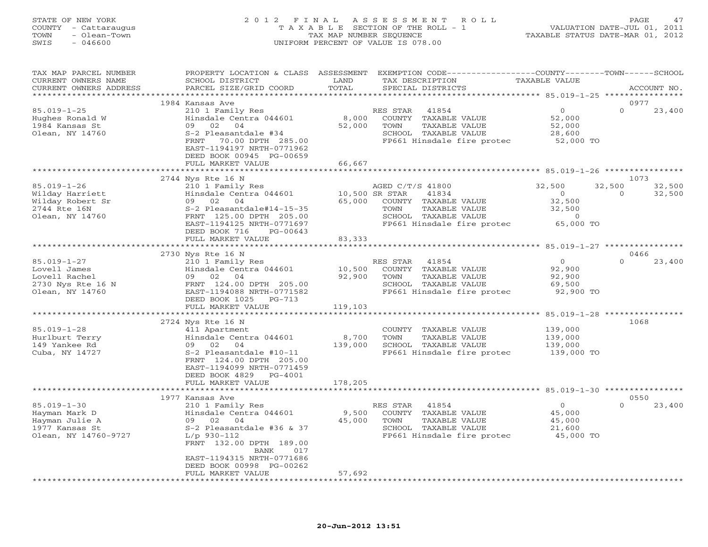# STATE OF NEW YORK 2 0 1 2 F I N A L A S S E S S M E N T R O L L PAGE 47 COUNTY - Cattaraugus T A X A B L E SECTION OF THE ROLL - 1 VALUATION DATE-JUL 01, 2011 TOWN - Olean-Town TAX MAP NUMBER SEQUENCE TAXABLE STATUS DATE-MAR 01, 2012 SWIS - 046600 UNIFORM PERCENT OF VALUE IS 078.00

| TAX MAP PARCEL NUMBER<br>CURRENT OWNERS NAME<br>CURRENT OWNERS ADDRESS                         | PROPERTY LOCATION & CLASS ASSESSMENT<br>SCHOOL DISTRICT<br>PARCEL SIZE/GRID COORD                                                                                                                         | LAND<br>TOTAL    | EXEMPTION CODE-----------------COUNTY-------TOWN------SCHOOL<br>TAX DESCRIPTION<br>SPECIAL DISTRICTS                                                         | TAXABLE VALUE                                                  | ACCOUNT NO.                            |
|------------------------------------------------------------------------------------------------|-----------------------------------------------------------------------------------------------------------------------------------------------------------------------------------------------------------|------------------|--------------------------------------------------------------------------------------------------------------------------------------------------------------|----------------------------------------------------------------|----------------------------------------|
|                                                                                                |                                                                                                                                                                                                           |                  |                                                                                                                                                              |                                                                |                                        |
|                                                                                                | 1984 Kansas Ave                                                                                                                                                                                           |                  |                                                                                                                                                              |                                                                | 0977                                   |
| $85.019 - 1 - 25$<br>Hughes Ronald W<br>1984 Kansas St<br>Olean, NY 14760                      | 210 1 Family Res<br>Hinsdale Centra 044601<br>09 02 04<br>S-2 Pleasantdale #34<br>FRNT<br>70.00 DPTH 285.00<br>EAST-1194197 NRTH-0771962                                                                  | 8,000<br>52,000  | RES STAR<br>41854<br>COUNTY TAXABLE VALUE<br>TOWN<br>TAXABLE VALUE<br>SCHOOL TAXABLE VALUE<br>FP661 Hinsdale fire protec                                     | $\Omega$<br>52,000<br>52,000<br>28,600<br>$52,000$ TO          | $\Omega$<br>23,400                     |
|                                                                                                | DEED BOOK 00945 PG-00659                                                                                                                                                                                  | 66,667           |                                                                                                                                                              |                                                                |                                        |
|                                                                                                | FULL MARKET VALUE                                                                                                                                                                                         | *************    |                                                                                                                                                              |                                                                |                                        |
|                                                                                                | 2744 Nys Rte 16 N                                                                                                                                                                                         |                  |                                                                                                                                                              |                                                                | 1073                                   |
| $85.019 - 1 - 26$<br>Wilday Harriett<br>Wilday Robert Sr<br>2744 Rte 16N<br>Olean, NY 14760    | 210 1 Family Res<br>Hinsdale Centra 044601<br>09 02 04<br>S-2 Pleasantdale#14-15-35<br>FRNT 125.00 DPTH 205.00<br>EAST-1194125 NRTH-0771697<br>PG-00643<br>DEED BOOK 716                                  | 65,000           | AGED C/T/S 41800<br>10,500 SR STAR<br>41834<br>COUNTY TAXABLE VALUE<br>TAXABLE VALUE<br>TOWN<br>SCHOOL TAXABLE VALUE<br>FP661 Hinsdale fire protec 65,000 TO | 32,500<br>$\overline{0}$<br>32,500<br>32,500<br>$\overline{0}$ | 32,500<br>32,500<br>32,500<br>$\Omega$ |
|                                                                                                | FULL MARKET VALUE                                                                                                                                                                                         | 83,333           |                                                                                                                                                              |                                                                |                                        |
|                                                                                                | **********************                                                                                                                                                                                    |                  |                                                                                                                                                              |                                                                |                                        |
|                                                                                                | 2730 Nys Rte 16 N                                                                                                                                                                                         |                  |                                                                                                                                                              |                                                                | 0466                                   |
| $85.019 - 1 - 27$<br>Lovell James<br>Lovell Rachel<br>2730 Nys Rte 16 N<br>Olean, NY 14760     | 210 1 Family Res<br>Hinsdale Centra 044601<br>09 02 04<br>FRNT 124.00 DPTH 205.00<br>EAST-1194088 NRTH-0771582<br>DEED BOOK 1025<br>PG-713                                                                | 10,500<br>92,900 | RES STAR<br>41854<br>COUNTY TAXABLE VALUE<br>TOWN<br>TAXABLE VALUE<br>SCHOOL TAXABLE VALUE<br>FP661 Hinsdale fire protec                                     | $\overline{0}$<br>92,900<br>92,900<br>69,500<br>92,900 TO      | 23,400<br>$\Omega$                     |
|                                                                                                | FULL MARKET VALUE                                                                                                                                                                                         | 119,103          |                                                                                                                                                              |                                                                |                                        |
| $85.019 - 1 - 28$<br>Hurlburt Terry<br>149 Yankee Rd<br>Cuba, NY 14727                         | 2724 Nys Rte 16 N<br>411 Apartment<br>Hinsdale Centra 044601<br>09 02 04<br>S-2 Pleasantdale #10-11<br>FRNT 124.00 DPTH 205.00<br>EAST-1194099 NRTH-0771459                                               | 8,700<br>139,000 | COUNTY TAXABLE VALUE<br>TAXABLE VALUE<br>TOWN<br>SCHOOL TAXABLE VALUE<br>FP661 Hinsdale fire protec                                                          | 139,000<br>139,000<br>139,000<br>139,000 TO                    | 1068                                   |
|                                                                                                | DEED BOOK 4829 PG-4001<br>FULL MARKET VALUE                                                                                                                                                               | 178,205          |                                                                                                                                                              |                                                                |                                        |
|                                                                                                | 1977 Kansas Ave                                                                                                                                                                                           |                  |                                                                                                                                                              |                                                                | 0550                                   |
| $85.019 - 1 - 30$<br>Hayman Mark D<br>Hayman Julie A<br>1977 Kansas St<br>Olean, NY 14760-9727 | 210 1 Family Res<br>Hinsdale Centra 044601<br>09 02 04<br>$S-2$ Pleasantdale #36 & 37<br>$L/p$ 930-112<br>FRNT 132.00 DPTH 189.00<br>BANK<br>017<br>EAST-1194315 NRTH-0771686<br>DEED BOOK 00998 PG-00262 | 9,500<br>45,000  | RES STAR<br>41854<br>COUNTY TAXABLE VALUE<br>TOWN<br>TAXABLE VALUE<br>SCHOOL TAXABLE VALUE<br>FP661 Hinsdale fire protec 45,000 TO                           | $\overline{O}$<br>45,000<br>45,000<br>21,600                   | $\Omega$<br>23,400                     |
|                                                                                                | FULL MARKET VALUE                                                                                                                                                                                         | 57,692           |                                                                                                                                                              |                                                                |                                        |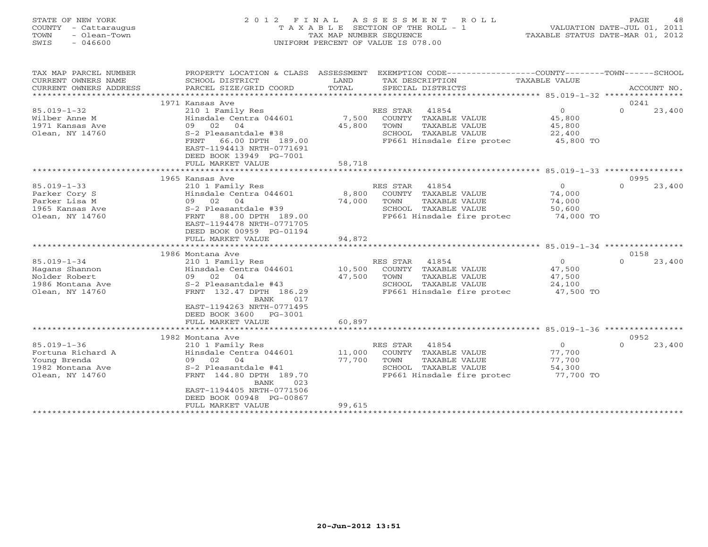#### STATE OF NEW YORK 2 0 1 2 F I N A L A S S E S S M E N T R O L L PAGE 48COUNTY - Cattaraugus T A X A B L E SECTION OF THE ROLL - 1 VALUATION DATE-JUL 01, 2011 TOWN - Olean-Town TAX MAP NUMBER SEQUENCE TAXABLE STATUS DATE-MAR 01, 2012<br>TAXABLE STATUS DATE-MAR 01, 2012 SWIS - 046600 UNIFORM PERCENT OF VALUE IS 078.00

| TAX MAP PARCEL NUMBER  | PROPERTY LOCATION & CLASS ASSESSMENT                  |        | EXEMPTION CODE----------------COUNTY-------TOWN------SCHOOL |                |                    |  |
|------------------------|-------------------------------------------------------|--------|-------------------------------------------------------------|----------------|--------------------|--|
| CURRENT OWNERS NAME    | SCHOOL DISTRICT                                       | LAND   | TAX DESCRIPTION                                             | TAXABLE VALUE  |                    |  |
| CURRENT OWNERS ADDRESS | PARCEL SIZE/GRID COORD                                | TOTAL  | SPECIAL DISTRICTS                                           |                | ACCOUNT NO.        |  |
| *********************  |                                                       |        |                                                             |                |                    |  |
|                        | 1971 Kansas Ave                                       |        |                                                             |                | 0241               |  |
| $85.019 - 1 - 32$      | 210 1 Family Res                                      |        | 41854<br>RES STAR                                           | $\overline{0}$ | $\Omega$<br>23,400 |  |
| Wilber Anne M          | Hinsdale Centra 044601                                | 7,500  | COUNTY TAXABLE VALUE                                        | 45,800         |                    |  |
| 1971 Kansas Ave        | 09 02 04                                              | 45,800 | TOWN<br>TAXABLE VALUE                                       | 45,800         |                    |  |
| Olean, NY 14760        | S-2 Pleasantdale #38                                  |        | SCHOOL TAXABLE VALUE                                        | 22,400         |                    |  |
|                        | 66.00 DPTH 189.00<br>FRNT                             |        | FP661 Hinsdale fire protec                                  | 45,800 TO      |                    |  |
|                        | EAST-1194413 NRTH-0771691                             |        |                                                             |                |                    |  |
|                        | DEED BOOK 13949 PG-7001                               |        |                                                             |                |                    |  |
|                        | FULL MARKET VALUE                                     | 58,718 |                                                             |                |                    |  |
|                        |                                                       |        |                                                             |                |                    |  |
|                        | 1965 Kansas Ave                                       |        |                                                             |                | 0995               |  |
| $85.019 - 1 - 33$      | 210 1 Family Res                                      |        | RES STAR<br>41854                                           | $\circ$        | $\Omega$<br>23,400 |  |
| Parker Cory S          | Hinsdale Centra 044601                                | 8,800  | COUNTY TAXABLE VALUE                                        | 74,000         |                    |  |
| Parker Lisa M          | 09 02 04                                              | 74,000 | TAXABLE VALUE<br>TOWN                                       | 74,000         |                    |  |
| 1965 Kansas Ave        | S-2 Pleasantdale #39                                  |        | SCHOOL TAXABLE VALUE                                        | 50,600         |                    |  |
| Olean, NY 14760        | 88.00 DPTH 189.00<br>FRNT                             |        | FP661 Hinsdale fire protec                                  | 74,000 TO      |                    |  |
|                        | EAST-1194478 NRTH-0771705<br>DEED BOOK 00959 PG-01194 |        |                                                             |                |                    |  |
|                        | FULL MARKET VALUE                                     | 94,872 |                                                             |                |                    |  |
|                        |                                                       |        |                                                             |                |                    |  |
|                        | 1986 Montana Ave                                      |        |                                                             |                | 0158               |  |
| $85.019 - 1 - 34$      | 210 1 Family Res                                      |        | RES STAR<br>41854                                           | $\Omega$       | 23,400<br>$\Omega$ |  |
| Hagans Shannon         | Hinsdale Centra 044601                                | 10,500 | COUNTY<br>TAXABLE VALUE                                     | 47,500         |                    |  |
| Nolder Robert          | 09 02 04                                              | 47,500 | TOWN<br>TAXABLE VALUE                                       | 47,500         |                    |  |
| 1986 Montana Ave       | S-2 Pleasantdale #43                                  |        | SCHOOL TAXABLE VALUE                                        | 24,100         |                    |  |
| Olean, NY 14760        | FRNT 132.47 DPTH 186.29                               |        | FP661 Hinsdale fire protec                                  | 47,500 TO      |                    |  |
|                        | BANK<br>017                                           |        |                                                             |                |                    |  |
|                        | EAST-1194263 NRTH-0771495                             |        |                                                             |                |                    |  |
|                        | DEED BOOK 3600<br>PG-3001                             |        |                                                             |                |                    |  |
|                        | FULL MARKET VALUE                                     | 60,897 |                                                             |                |                    |  |
|                        |                                                       |        |                                                             |                |                    |  |
|                        | 1982 Montana Ave                                      |        |                                                             |                | 0952               |  |
| $85.019 - 1 - 36$      | 210 1 Family Res                                      |        | RES STAR<br>41854                                           | $\overline{0}$ | $\Omega$<br>23,400 |  |
| Fortuna Richard A      | Hinsdale Centra 044601                                | 11,000 | TAXABLE VALUE<br>COUNTY                                     | 77,700         |                    |  |
| Young Brenda           | 02<br>04<br>09                                        | 77,700 | TOWN<br>TAXABLE VALUE                                       | 77,700         |                    |  |
| 1982 Montana Ave       | S-2 Pleasantdale #41                                  |        | SCHOOL TAXABLE VALUE                                        | 54,300         |                    |  |
| Olean, NY 14760        | FRNT 144.80 DPTH 189.70<br>023<br>BANK                |        | FP661 Hinsdale fire protec                                  | 77,700 TO      |                    |  |
|                        | EAST-1194405 NRTH-0771506                             |        |                                                             |                |                    |  |
|                        | DEED BOOK 00948 PG-00867                              |        |                                                             |                |                    |  |
|                        | FULL MARKET VALUE                                     | 99,615 |                                                             |                |                    |  |
|                        | . * * * * * * * * * * * * * * * * *                   |        |                                                             |                |                    |  |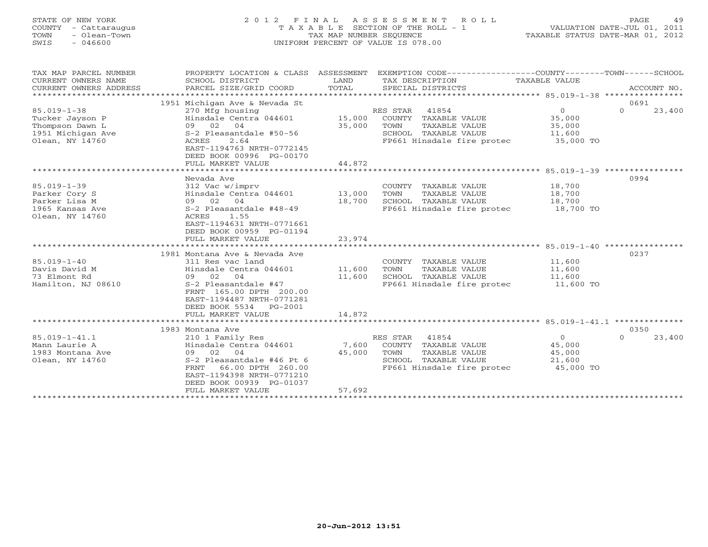#### STATE OF NEW YORK 2 0 1 2 F I N A L A S S E S S M E N T R O L L PAGE 49 COUNTY - Cattaraugus T A X A B L E SECTION OF THE ROLL - 1 VALUATION DATE-JUL 01, 2011 TOWN - Olean-Town TAX MAP NUMBER SEQUENCE TAXABLE STATUS DATE-MAR 01, 2012 SWIS - 046600 UNIFORM PERCENT OF VALUE IS 078.00UNIFORM PERCENT OF VALUE IS 078.00

| TAX MAP PARCEL NUMBER<br>CURRENT OWNERS NAME<br>CURRENT OWNERS ADDRESS<br>****************      | PROPERTY LOCATION & CLASS ASSESSMENT<br>SCHOOL DISTRICT<br>PARCEL SIZE/GRID COORD                                                                                                                                         | LAND<br>TOTAL              | EXEMPTION CODE-----------------COUNTY-------TOWN------SCHOOL<br>TAX DESCRIPTION<br>SPECIAL DISTRICTS                     | TAXABLE VALUE                                             | ACCOUNT NO.                |
|-------------------------------------------------------------------------------------------------|---------------------------------------------------------------------------------------------------------------------------------------------------------------------------------------------------------------------------|----------------------------|--------------------------------------------------------------------------------------------------------------------------|-----------------------------------------------------------|----------------------------|
| $85.019 - 1 - 38$<br>Tucker Jayson P<br>Thompson Dawn L<br>1951 Michigan Ave<br>Olean, NY 14760 | 1951 Michigan Ave & Nevada St<br>270 Mfg housing<br>Hinsdale Centra 044601<br>09 02 04<br>S-2 Pleasantdale #50-56<br><b>ACRES</b><br>2.64<br>EAST-1194763 NRTH-0772145<br>DEED BOOK 00996 PG-00170                        | 15,000<br>35,000<br>44,872 | RES STAR<br>41854<br>COUNTY TAXABLE VALUE<br>TAXABLE VALUE<br>TOWN<br>SCHOOL TAXABLE VALUE<br>FP661 Hinsdale fire protec | $\circ$<br>35,000<br>35,000<br>11,600<br>35,000 TO        | 0691<br>$\Omega$<br>23,400 |
|                                                                                                 | FULL MARKET VALUE<br>**********************                                                                                                                                                                               |                            |                                                                                                                          |                                                           |                            |
|                                                                                                 |                                                                                                                                                                                                                           |                            |                                                                                                                          |                                                           |                            |
| $85.019 - 1 - 39$<br>Parker Cory S<br>Parker Lisa M<br>1965 Kansas Ave<br>Olean, NY 14760       | Nevada Ave<br>312 Vac w/imprv<br>Hinsdale Centra 044601<br>09 02 04<br>S-2 Pleasantdale #48-49<br>1.55<br>ACRES<br>EAST-1194631 NRTH-0771661<br>DEED BOOK 00959 PG-01194<br>FULL MARKET VALUE                             | 13,000<br>18,700<br>23,974 | COUNTY TAXABLE VALUE<br>TAXABLE VALUE<br>TOWN<br>SCHOOL TAXABLE VALUE<br>FP661 Hinsdale fire protec 18,700 TO            | 18,700<br>18,700<br>18,700                                | 0994                       |
|                                                                                                 |                                                                                                                                                                                                                           |                            |                                                                                                                          |                                                           |                            |
| $85.019 - 1 - 40$<br>Davis David M<br>73 Elmont Rd<br>Hamilton, NJ 08610                        | 1981 Montana Ave & Nevada Ave<br>311 Res vac land<br>Hinsdale Centra 044601<br>09 02<br>04<br>S-2 Pleasantdale #47<br>FRNT 165.00 DPTH 200.00<br>EAST-1194487 NRTH-0771281<br>DEED BOOK 5534<br>PG-2001                   | 11,600<br>11,600           | COUNTY TAXABLE VALUE<br>TOWN<br>TAXABLE VALUE<br>SCHOOL TAXABLE VALUE<br>FP661 Hinsdale fire protec                      | 11,600<br>11,600<br>11,600<br>11,600 TO                   | 0237                       |
|                                                                                                 | FULL MARKET VALUE                                                                                                                                                                                                         | 14,872                     |                                                                                                                          |                                                           |                            |
|                                                                                                 |                                                                                                                                                                                                                           | ************               |                                                                                                                          |                                                           |                            |
| $85.019 - 1 - 41.1$<br>Mann Laurie A<br>1983 Montana Ave<br>Olean, NY 14760                     | 1983 Montana Ave<br>210 1 Family Res<br>Hinsdale Centra 044601<br>09 02 04<br>S-2 Pleasantdale #46 Pt 6<br>66.00 DPTH 260.00<br><b>FRNT</b><br>EAST-1194398 NRTH-0771210<br>DEED BOOK 00939 PG-01037<br>FULL MARKET VALUE | 7,600<br>45,000<br>57,692  | RES STAR 41854<br>COUNTY TAXABLE VALUE<br>TAXABLE VALUE<br>TOWN<br>SCHOOL TAXABLE VALUE<br>FP661 Hinsdale fire protec    | $\overline{0}$<br>45,000<br>45,000<br>21,600<br>45,000 TO | 0350<br>$\Omega$<br>23,400 |
|                                                                                                 |                                                                                                                                                                                                                           |                            |                                                                                                                          |                                                           |                            |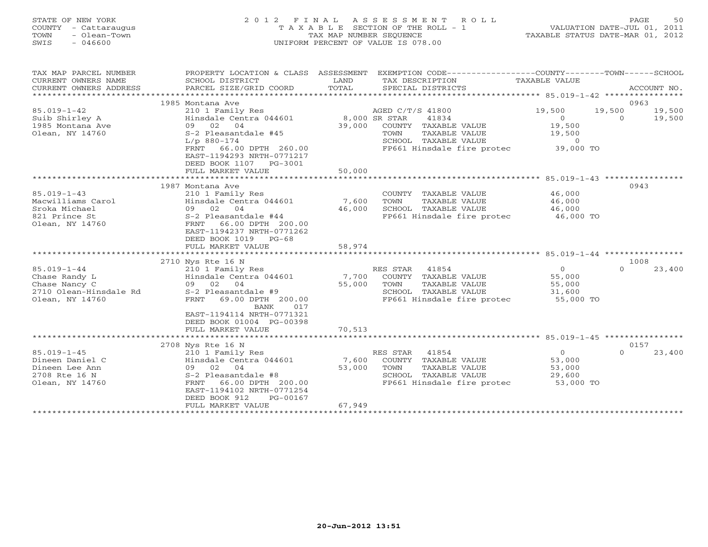| STATE OF NEW YORK<br>COUNTY - Cattaraugus<br>- Olean-Town<br>TOWN<br>SWIS<br>$-046600$ |                                              | 2012 FINAL ASSESSMENT ROLL<br>T A X A B L E SECTION OF THE ROLL - 1<br>TAX MAP NUMBER SEOUENCE<br>UNIFORM PERCENT OF VALUE IS 078.00 |                                | 50<br>PAGE<br>VALUATION DATE-JUL 01, 2011<br>TAXABLE STATUS DATE-MAR 01, 2012 |
|----------------------------------------------------------------------------------------|----------------------------------------------|--------------------------------------------------------------------------------------------------------------------------------------|--------------------------------|-------------------------------------------------------------------------------|
| TAX MAP PARCEL NUMBER<br>CURRENT OWNERS NAME                                           | PROPERTY LOCATION & CLASS<br>SCHOOL DISTRICT | ASSESSMENT<br>EXEMPTION CODE-<br>TAX DESCRIPTION<br>LAND                                                                             | -COUNTY------<br>TAXABLE VALUE | $-$ TOWN $-$<br>- SCHOOL                                                      |

| CURRENT OWNERS ADDRESS | PARCEL SIZE/GRID COORD           | TOTAL         | SPECIAL DISTRICTS          |                                               | ACCOUNT NO.        |
|------------------------|----------------------------------|---------------|----------------------------|-----------------------------------------------|--------------------|
|                        |                                  |               |                            | ************** 85.019-1-42 *****************  |                    |
|                        | 1985 Montana Ave                 |               |                            |                                               | 0963               |
| $85.019 - 1 - 42$      | 210 1 Family Res                 |               | AGED C/T/S 41800           | 19,500                                        | 19,500<br>19,500   |
| Suib Shirley A         | Hinsdale Centra 044601           | 8,000 SR STAR | 41834                      | $\Omega$                                      | $\Omega$<br>19,500 |
| 1985 Montana Ave       | 02 04<br>09                      | 39,000        | COUNTY TAXABLE VALUE       | 19,500                                        |                    |
| Olean, NY 14760        | S-2 Pleasantdale #45             |               | TOWN<br>TAXABLE VALUE      | 19,500                                        |                    |
|                        | $L/p$ 880-174                    |               | SCHOOL TAXABLE VALUE       | $\circ$                                       |                    |
|                        | 66.00 DPTH 260.00<br>FRNT        |               | FP661 Hinsdale fire protec | 39,000 TO                                     |                    |
|                        | EAST-1194293 NRTH-0771217        |               |                            |                                               |                    |
|                        | DEED BOOK 1107 PG-3001           |               |                            |                                               |                    |
|                        | FULL MARKET VALUE                | 50,000        |                            |                                               |                    |
|                        |                                  |               |                            | *************** 85.019-1-43 ***************** |                    |
|                        | 1987 Montana Ave                 |               |                            |                                               | 0943               |
| $85.019 - 1 - 43$      | 210 1 Family Res                 |               | COUNTY TAXABLE VALUE       | 46,000                                        |                    |
| Macwilliams Carol      | Hinsdale Centra 044601           | 7,600         | TOWN<br>TAXABLE VALUE      | 46,000                                        |                    |
| Sroka Michael          | 02 04<br>09                      | 46,000        | SCHOOL TAXABLE VALUE       | 46,000                                        |                    |
| 821 Prince St          | S-2 Pleasantdale #44             |               | FP661 Hinsdale fire protec | 46,000 TO                                     |                    |
| Olean, NY 14760        | 66.00 DPTH 200.00<br>FRNT        |               |                            |                                               |                    |
|                        | EAST-1194237 NRTH-0771262        |               |                            |                                               |                    |
|                        | DEED BOOK 1019<br>$PG-68$        |               |                            |                                               |                    |
|                        | FULL MARKET VALUE                | 58,974        |                            |                                               |                    |
|                        | ***************************      |               |                            |                                               |                    |
|                        | 2710 Nys Rte 16 N                |               |                            |                                               | 1008               |
| $85.019 - 1 - 44$      | 210 1 Family Res                 |               | 41854<br>RES STAR          | $\Omega$                                      | 23,400<br>$\Omega$ |
| Chase Randy L          | Hinsdale Centra 044601           | 7,700         | TAXABLE VALUE<br>COUNTY    | 55,000                                        |                    |
| Chase Nancy C          | 09 02 04                         | 55,000        | TOWN<br>TAXABLE VALUE      | 55,000                                        |                    |
| 2710 Olean-Hinsdale Rd | S-2 Pleasantdale #9              |               | SCHOOL TAXABLE VALUE       | 31,600                                        |                    |
| Olean, NY 14760        | <b>FRNT</b><br>69.00 DPTH 200.00 |               | FP661 Hinsdale fire protec | 55,000 TO                                     |                    |
|                        | <b>BANK</b><br>017               |               |                            |                                               |                    |
|                        | EAST-1194114 NRTH-0771321        |               |                            |                                               |                    |
|                        | DEED BOOK 01004 PG-00398         |               |                            |                                               |                    |
|                        | FULL MARKET VALUE                | 70,513        |                            |                                               |                    |
|                        | ***********************          |               |                            |                                               |                    |
|                        | 2708 Nys Rte 16 N                |               |                            |                                               | 0157               |
| $85.019 - 1 - 45$      | 210 1 Family Res                 |               | 41854<br>RES STAR          | $\Omega$                                      | $\Omega$<br>23,400 |
| Dineen Daniel C        | Hinsdale Centra 044601           | 7,600         | COUNTY TAXABLE VALUE       | 53,000                                        |                    |
| Dineen Lee Ann         | 09 02 04                         | 53,000        | TOWN<br>TAXABLE VALUE      | 53,000                                        |                    |
| 2708 Rte 16 N          | S-2 Pleasantdale #8              |               | SCHOOL TAXABLE VALUE       | 29,600                                        |                    |
| Olean, NY 14760        | 66.00 DPTH 200.00<br>FRNT        |               | FP661 Hinsdale fire protec | 53,000 TO                                     |                    |
|                        | EAST-1194102 NRTH-0771254        |               |                            |                                               |                    |
|                        | DEED BOOK 912<br>PG-00167        |               |                            |                                               |                    |
|                        | FULL MARKET VALUE                | 67,949        |                            |                                               |                    |
|                        |                                  |               |                            |                                               |                    |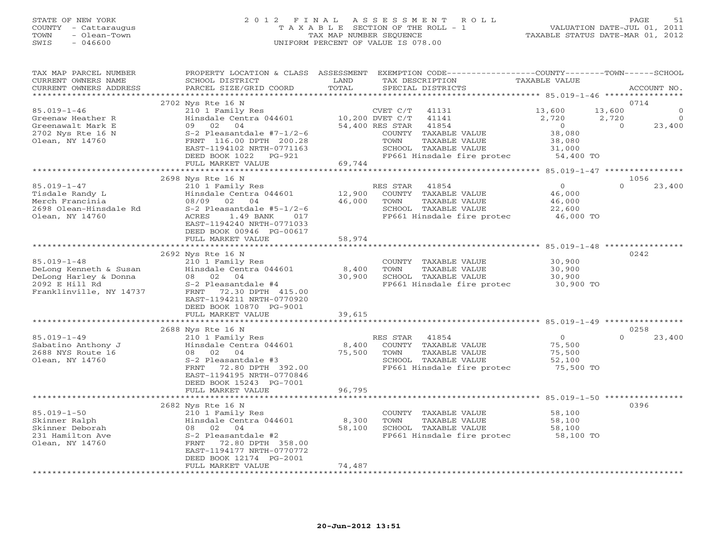# STATE OF NEW YORK 2 0 1 2 F I N A L A S S E S S M E N T R O L L PAGE 51 COUNTY - Cattaraugus T A X A B L E SECTION OF THE ROLL - 1 VALUATION DATE-JUL 01, 2011 TOWN - Olean-Town TAX MAP NUMBER SEQUENCE TAXABLE STATUS DATE-MAR 01, 2012 SWIS - 046600 UNIFORM PERCENT OF VALUE IS 078.00

| TAX MAP PARCEL NUMBER<br>CURRENT OWNERS NAME<br>CURRENT OWNERS ADDRESS                                            | PROPERTY LOCATION & CLASS<br>SCHOOL DISTRICT<br>PARCEL SIZE/GRID COORD                                                                                                                                 | ASSESSMENT<br>LAND<br>TOTAL | EXEMPTION CODE-----------------COUNTY-------TOWN------SCHOOL<br>TAX DESCRIPTION<br>SPECIAL DISTRICTS                                      | TAXABLE VALUE                                             | ACCOUNT NO.                                         |
|-------------------------------------------------------------------------------------------------------------------|--------------------------------------------------------------------------------------------------------------------------------------------------------------------------------------------------------|-----------------------------|-------------------------------------------------------------------------------------------------------------------------------------------|-----------------------------------------------------------|-----------------------------------------------------|
| *********************                                                                                             |                                                                                                                                                                                                        |                             |                                                                                                                                           |                                                           |                                                     |
| $85.019 - 1 - 46$<br>Greenaw Heather R                                                                            | 2702 Nys Rte 16 N<br>210 1 Family Res<br>Hinsdale Centra 044601                                                                                                                                        |                             | CVET C/T<br>41131<br>10,200 DVET C/T<br>41141                                                                                             | 13,600<br>2,720                                           | 0714<br>13,600<br>$\mathbf{0}$<br>2,720<br>$\Omega$ |
| Greenawalt Mark E<br>2702 Nys Rte 16 N<br>Olean, NY 14760                                                         | 09 02 04<br>$S-2$ Pleasantdale #7-1/2-6<br>FRNT 116.00 DPTH 200.28<br>EAST-1194102 NRTH-0771163<br>DEED BOOK 1022<br>PG-921                                                                            |                             | 54,400 RES STAR<br>41854<br>COUNTY TAXABLE VALUE<br>TOWN<br>TAXABLE VALUE<br>SCHOOL TAXABLE VALUE<br>FP661 Hinsdale fire protec 54,400 TO | $\overline{0}$<br>38,080<br>38,080<br>31,000              | 23,400<br>$\Omega$                                  |
|                                                                                                                   | FULL MARKET VALUE                                                                                                                                                                                      | 69,744                      |                                                                                                                                           |                                                           |                                                     |
|                                                                                                                   | 2698 Nys Rte 16 N                                                                                                                                                                                      |                             |                                                                                                                                           |                                                           | 1056                                                |
| $85.019 - 1 - 47$<br>Tisdale Randy L<br>Merch Francinia<br>2698 Olean-Hinsdale Rd<br>Olean, NY 14760              | 210 1 Family Res<br>Hinsdale Centra 044601<br>08/09 02<br>04<br>$S-2$ Pleasantdale #5-1/2-6<br>1.49 BANK<br>ACRES<br>017<br>EAST-1194240 NRTH-0771033<br>DEED BOOK 00946 PG-00617<br>FULL MARKET VALUE | 12,900<br>46,000<br>58,974  | 41854<br>RES STAR<br>TAXABLE VALUE<br>COUNTY<br>TOWN<br>TAXABLE VALUE<br>SCHOOL TAXABLE VALUE<br>FP661 Hinsdale fire protec               | $\Omega$<br>46,000<br>46,000<br>22,600<br>46,000 TO       | $\Omega$<br>23,400                                  |
|                                                                                                                   |                                                                                                                                                                                                        |                             |                                                                                                                                           |                                                           |                                                     |
| $85.019 - 1 - 48$<br>DeLong Kenneth & Susan<br>DeLong Harley & Donna<br>2092 E Hill Rd<br>Franklinville, NY 14737 | 2692 Nys Rte 16 N<br>210 1 Family Res<br>Hinsdale Centra 044601<br>08 02 04<br>S-2 Pleasantdale #4<br>FRNT<br>72.30 DPTH 415.00<br>EAST-1194211 NRTH-0770920                                           | 8,400<br>30,900             | COUNTY TAXABLE VALUE<br>TOWN<br>TAXABLE VALUE<br>SCHOOL TAXABLE VALUE<br>FP661 Hinsdale fire protec                                       | 30,900<br>30,900<br>30,900<br>30,900 TO                   | 0242                                                |
|                                                                                                                   | DEED BOOK 10870 PG-9001<br>FULL MARKET VALUE                                                                                                                                                           | 39,615                      |                                                                                                                                           |                                                           |                                                     |
|                                                                                                                   |                                                                                                                                                                                                        |                             |                                                                                                                                           |                                                           |                                                     |
|                                                                                                                   | 2688 Nys Rte 16 N                                                                                                                                                                                      |                             |                                                                                                                                           |                                                           | 0258                                                |
| $85.019 - 1 - 49$<br>Sabatino Anthony J<br>2688 NYS Route 16<br>Olean, NY 14760                                   | 210 1 Family Res<br>Hinsdale Centra 044601<br>08 02 04<br>S-2 Pleasantdale #3<br>FRNT<br>72.80 DPTH 392.00<br>EAST-1194195 NRTH-0770846<br>DEED BOOK 15243 PG-7001                                     | 8,400<br>75,500             | RES STAR<br>41854<br>COUNTY TAXABLE VALUE<br>TAXABLE VALUE<br>TOWN<br>SCHOOL TAXABLE VALUE<br>FP661 Hinsdale fire protec                  | $\overline{0}$<br>75,500<br>75,500<br>52,100<br>75,500 TO | $\Omega$<br>23,400                                  |
|                                                                                                                   | FULL MARKET VALUE<br>****************************                                                                                                                                                      | 96,795<br>*************     |                                                                                                                                           |                                                           |                                                     |
|                                                                                                                   | 2682 Nys Rte 16 N                                                                                                                                                                                      |                             |                                                                                                                                           |                                                           | 0396                                                |
| $85.019 - 1 - 50$<br>Skinner Ralph<br>Skinner Deborah<br>231 Hamilton Ave<br>Olean, NY 14760                      | 210 1 Family Res<br>Hinsdale Centra 044601<br>08 02<br>04<br>S-2 Pleasantdale #2<br>FRNT<br>72.80 DPTH 358.00<br>EAST-1194177 NRTH-0770772<br>DEED BOOK 12174 PG-2001                                  | 8,300<br>58,100             | COUNTY TAXABLE VALUE<br>TOWN<br>TAXABLE VALUE<br>SCHOOL TAXABLE VALUE<br>FP661 Hinsdale fire protec                                       | 58,100<br>58,100<br>58,100<br>58,100 TO                   |                                                     |
|                                                                                                                   | FULL MARKET VALUE                                                                                                                                                                                      | 74,487                      |                                                                                                                                           |                                                           |                                                     |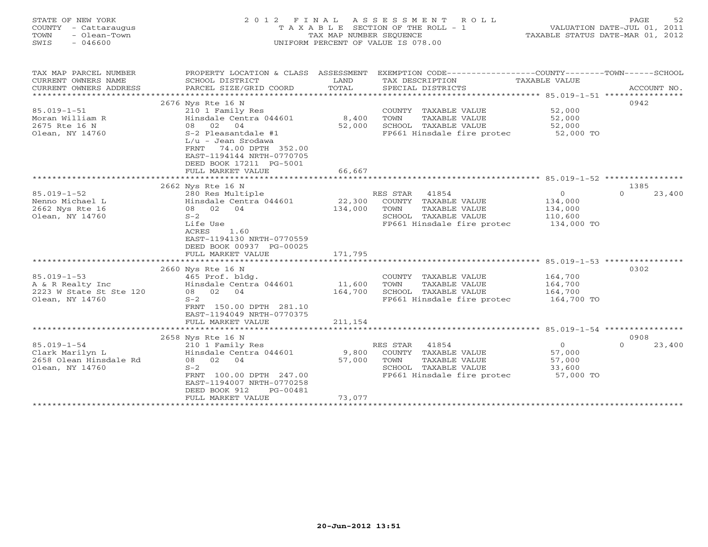| STATE OF NEW YORK<br>COUNTY - Cattaraugus<br>- Olean-Town<br>TOWN<br>SWIS<br>$-046600$          | 2 0 1 2<br>F I N A L                                                                                                                                                                                                                              | TAX MAP NUMBER SEQUENCE                  | ASSESSMENT<br>ROLL<br>TAXABLE SECTION OF THE ROLL - 1<br>UNIFORM PERCENT OF VALUE IS 078.00                                                      |                                                                                                      | PAGE<br>52<br>VALUATION DATE-JUL 01, 2011<br>TAXABLE STATUS DATE-MAR 01, 2012 |
|-------------------------------------------------------------------------------------------------|---------------------------------------------------------------------------------------------------------------------------------------------------------------------------------------------------------------------------------------------------|------------------------------------------|--------------------------------------------------------------------------------------------------------------------------------------------------|------------------------------------------------------------------------------------------------------|-------------------------------------------------------------------------------|
| TAX MAP PARCEL NUMBER<br>CURRENT OWNERS NAME<br>CURRENT OWNERS ADDRESS<br>*******************   | PROPERTY LOCATION & CLASS ASSESSMENT<br>SCHOOL DISTRICT<br>PARCEL SIZE/GRID COORD                                                                                                                                                                 | LAND<br>TOTAL                            | EXEMPTION CODE-----------------COUNTY-------TOWN------SCHOOL<br>TAX DESCRIPTION<br>SPECIAL DISTRICTS                                             | TAXABLE VALUE                                                                                        | ACCOUNT NO.                                                                   |
| $85.019 - 1 - 51$<br>Moran William R<br>2675 Rte 16 N<br>Olean, NY 14760                        | 2676 Nys Rte 16 N<br>210 1 Family Res<br>Hinsdale Centra 044601<br>08<br>02<br>04<br>S-2 Pleasantdale #1<br>L/u - Jean Srodawa<br>74.00 DPTH 352.00<br>FRNT<br>EAST-1194144 NRTH-0770705<br>DEED BOOK 17211 PG-5001<br>FULL MARKET VALUE          | 8,400<br>52,000<br>66,667                | COUNTY TAXABLE VALUE<br>TOWN<br>TAXABLE VALUE<br>SCHOOL TAXABLE VALUE<br>FP661 Hinsdale fire protec                                              | 52,000<br>52,000<br>52,000<br>52,000 TO                                                              | 0942                                                                          |
|                                                                                                 |                                                                                                                                                                                                                                                   | ***********                              |                                                                                                                                                  | ********************* 85.019-1-52 ***********                                                        |                                                                               |
| $85.019 - 1 - 52$<br>Nenno Michael L<br>2662 Nys Rte 16<br>Olean, NY 14760<br>$85.019 - 1 - 53$ | 2662 Nys Rte 16 N<br>280 Res Multiple<br>Hinsdale Centra 044601<br>02 04<br>08<br>$S-2$<br>Life Use<br><b>ACRES</b><br>1.60<br>EAST-1194130 NRTH-0770559<br>DEED BOOK 00937 PG-00025<br>FULL MARKET VALUE<br>2660 Nys Rte 16 N<br>465 Prof. bldg. | 22,300<br>134,000<br>171,795             | RES STAR<br>41854<br>COUNTY TAXABLE VALUE<br>TOWN<br>TAXABLE VALUE<br>SCHOOL TAXABLE VALUE<br>FP661 Hinsdale fire protec<br>COUNTY TAXABLE VALUE | $\circ$<br>134,000<br>134,000<br>110,600<br>134,000 TO<br>******** 85.019-1-53 **********<br>164,700 | 1385<br>$\Omega$<br>23,400<br>0302                                            |
| A & R Realty Inc<br>2223 W State St Ste 120<br>Olean, NY 14760                                  | Hinsdale Centra 044601<br>08<br>02 04<br>$S-2$<br>FRNT 150.00 DPTH 281.10<br>EAST-1194049 NRTH-0770375<br>FULL MARKET VALUE                                                                                                                       | 11,600<br>164,700<br>211,154             | TOWN<br>TAXABLE VALUE<br>SCHOOL TAXABLE VALUE<br>FP661 Hinsdale fire protec<br>******************************** 85.019-1-54 *********            | 164,700<br>164,700<br>164,700 TO                                                                     |                                                                               |
|                                                                                                 | 2658 Nys Rte 16 N                                                                                                                                                                                                                                 |                                          |                                                                                                                                                  |                                                                                                      | 0908                                                                          |
| $85.019 - 1 - 54$<br>Clark Marilyn L<br>2658 Olean Hinsdale Rd<br>Olean, NY 14760               | 210 1 Family Res<br>Hinsdale Centra 044601<br>08 02<br>04<br>$S-2$<br>FRNT 100.00 DPTH 247.00<br>EAST-1194007 NRTH-0770258<br>DEED BOOK 912<br>PG-00481<br>FULL MARKET VALUE<br>*******************                                               | 9,800<br>57,000<br>73,077<br>*********** | RES STAR<br>41854<br>COUNTY TAXABLE VALUE<br>TOWN<br>TAXABLE VALUE<br>SCHOOL TAXABLE VALUE<br>FP661 Hinsdale fire protec                         | $\Omega$<br>57,000<br>57,000<br>33,600<br>57,000 TO                                                  | $\Omega$<br>23,400                                                            |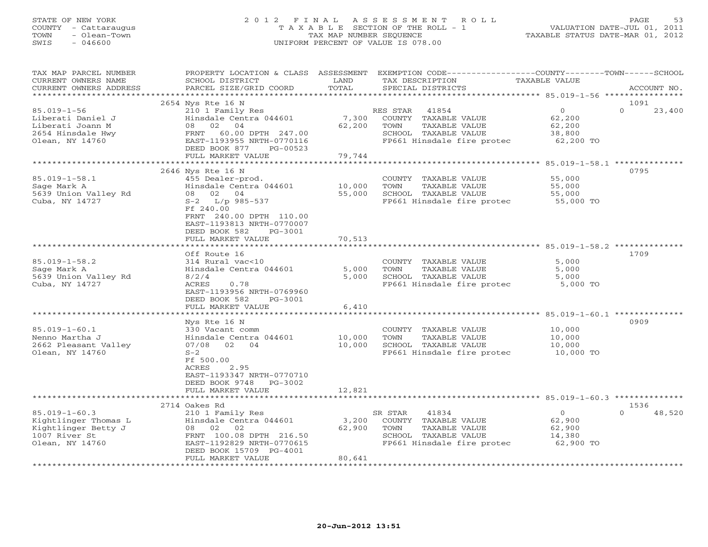# STATE OF NEW YORK 2 0 1 2 F I N A L A S S E S S M E N T R O L L PAGE 53 COUNTY - Cattaraugus T A X A B L E SECTION OF THE ROLL - 1 VALUATION DATE-JUL 01, 2011 TOWN - Olean-Town TAX MAP NUMBER SEQUENCE TAXABLE STATUS DATE-MAR 01, 2012 SWIS - 046600 UNIFORM PERCENT OF VALUE IS 078.00

| TAX MAP PARCEL NUMBER<br>CURRENT OWNERS NAME | PROPERTY LOCATION & CLASS ASSESSMENT<br>SCHOOL DISTRICT | LAND            | EXEMPTION CODE-----------------COUNTY-------TOWN------SCHOOL<br>TAX DESCRIPTION | TAXABLE VALUE                                                     |                            |
|----------------------------------------------|---------------------------------------------------------|-----------------|---------------------------------------------------------------------------------|-------------------------------------------------------------------|----------------------------|
| CURRENT OWNERS ADDRESS                       | PARCEL SIZE/GRID COORD                                  | TOTAL           | SPECIAL DISTRICTS                                                               |                                                                   | ACCOUNT NO.                |
|                                              |                                                         |                 |                                                                                 |                                                                   |                            |
| $85.019 - 1 - 56$                            | 2654 Nys Rte 16 N<br>210 1 Family Res                   |                 | RES STAR<br>41854                                                               | $\Omega$                                                          | 1091<br>$\Omega$<br>23,400 |
| Liberati Daniel J                            | Hinsdale Centra 044601                                  | 7,300           | COUNTY TAXABLE VALUE                                                            | 62,200                                                            |                            |
| Liberati Joann M                             | 08 02 04                                                | 62,200          | TOWN<br>TAXABLE VALUE                                                           | 62,200                                                            |                            |
| 2654 Hinsdale Hwy                            | FRNT 60.00 DPTH 247.00                                  |                 | SCHOOL TAXABLE VALUE                                                            | 38,800                                                            |                            |
| Olean, NY 14760                              | EAST-1193955 NRTH-0770116                               |                 | FP661 Hinsdale fire protec                                                      | $62,200$ TO                                                       |                            |
|                                              | DEED BOOK 877<br>PG-00523                               |                 |                                                                                 |                                                                   |                            |
|                                              | FULL MARKET VALUE                                       | 79,744          |                                                                                 |                                                                   |                            |
|                                              |                                                         |                 |                                                                                 | ******************* 85.019-1-58.1 **************                  | 0795                       |
| $85.019 - 1 - 58.1$                          | 2646 Nys Rte 16 N<br>455 Dealer-prod.                   |                 | COUNTY TAXABLE VALUE                                                            | 55,000                                                            |                            |
| Sage Mark A                                  | Hinsdale Centra 044601                                  | 10,000          | TOWN<br>TAXABLE VALUE                                                           | 55,000                                                            |                            |
| 5639 Union Valley Rd                         | 08 02 04                                                | 55,000          |                                                                                 |                                                                   |                            |
| Cuba, NY 14727                               | $S-2$ L/p 985-537                                       |                 | SCHOOL TAXABLE VALUE 55,000<br>FP661 Hinsdale fire protec 55,000 TO             |                                                                   |                            |
|                                              | Ff 240.00                                               |                 |                                                                                 |                                                                   |                            |
|                                              | FRNT 240.00 DPTH 110.00                                 |                 |                                                                                 |                                                                   |                            |
|                                              | EAST-1193813 NRTH-0770007                               |                 |                                                                                 |                                                                   |                            |
|                                              | DEED BOOK 582<br>PG-3001<br>FULL MARKET VALUE           | 70,513          |                                                                                 |                                                                   |                            |
|                                              | *********************                                   | ************    |                                                                                 | ************************************ 85.019-1-58.2 ************** |                            |
|                                              | Off Route 16                                            |                 |                                                                                 |                                                                   | 1709                       |
| $85.019 - 1 - 58.2$                          | 314 Rural vac<10                                        |                 | COUNTY TAXABLE VALUE                                                            | 5,000                                                             |                            |
| Sage Mark A                                  | Hinsdale Centra 044601                                  | 5,000           | TAXABLE VALUE<br>TOWN                                                           | 5,000                                                             |                            |
| 5639 Union Valley Rd                         | 8/2/4                                                   | 5,000           | SCHOOL TAXABLE VALUE                                                            | 5,000                                                             |                            |
| Cuba, NY 14727                               | ACRES<br>0.78                                           |                 | FP661 Hinsdale fire protec 5,000 TO                                             |                                                                   |                            |
|                                              | EAST-1193956 NRTH-0769960                               |                 |                                                                                 |                                                                   |                            |
|                                              | DEED BOOK 582<br>PG-3001<br>FULL MARKET VALUE           | 6,410           |                                                                                 |                                                                   |                            |
|                                              |                                                         |                 |                                                                                 |                                                                   |                            |
|                                              | Nys Rte 16 N                                            |                 |                                                                                 |                                                                   | 0909                       |
| $85.019 - 1 - 60.1$                          | 330 Vacant comm                                         |                 | COUNTY TAXABLE VALUE                                                            | 10,000                                                            |                            |
| Nenno Martha J                               | Hinsdale Centra 044601                                  | 10,000          | TOWN<br>TAXABLE VALUE                                                           | 10,000                                                            |                            |
| 2662 Pleasant Valley                         | 07/08 02 04                                             | 10,000          | SCHOOL TAXABLE VALUE                                                            | 10,000                                                            |                            |
| Olean, NY 14760                              | $S-2$                                                   |                 | FP661 Hinsdale fire protec 10,000 TO                                            |                                                                   |                            |
|                                              | Ff 500.00<br>ACRES<br>2.95                              |                 |                                                                                 |                                                                   |                            |
|                                              | EAST-1193347 NRTH-0770710                               |                 |                                                                                 |                                                                   |                            |
|                                              | DEED BOOK 9748 PG-3002                                  |                 |                                                                                 |                                                                   |                            |
|                                              | FULL MARKET VALUE                                       | 12,821          |                                                                                 |                                                                   |                            |
|                                              |                                                         |                 |                                                                                 |                                                                   |                            |
|                                              | 2714 Oakes Rd                                           |                 |                                                                                 |                                                                   | 1536                       |
| $85.019 - 1 - 60.3$                          | 210 1 Family Res                                        |                 | 41834<br>SR STAR                                                                | $\overline{0}$                                                    | 48,520<br>$\Omega$         |
| Kightlinger Thomas L<br>Kightlinger Betty J  | Hinsdale Centra 044601<br>08 02<br>02                   | 3,200<br>62,900 | COUNTY TAXABLE VALUE<br>TOWN<br>TAXABLE VALUE                                   | 62,900<br>62,900                                                  |                            |
| 1007 River St                                | FRNT 100.08 DPTH 216.50                                 |                 | SCHOOL TAXABLE VALUE                                                            | 14,380                                                            |                            |
| Olean, NY 14760                              | EAST-1192829 NRTH-0770615                               |                 | FP661 Hinsdale fire protec                                                      | 62,900 TO                                                         |                            |
|                                              | DEED BOOK 15709 PG-4001                                 |                 |                                                                                 |                                                                   |                            |
|                                              | FULL MARKET VALUE                                       | 80,641          |                                                                                 |                                                                   |                            |
|                                              |                                                         |                 |                                                                                 |                                                                   |                            |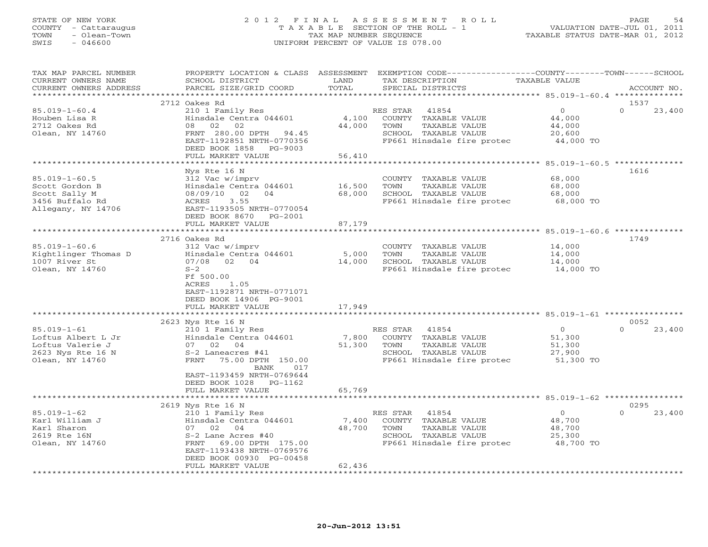#### STATE OF NEW YORK 2 0 1 2 F I N A L A S S E S S M E N T R O L L PAGE 54 COUNTY - Cattaraugus T A X A B L E SECTION OF THE ROLL - 1 VALUATION DATE-JUL 01, 2011 TOWN - Olean-Town TAX MAP NUMBER SEQUENCE TAXABLE STATUS DATE-MAR 01, 2012 SWIS - 046600 UNIFORM PERCENT OF VALUE IS 078.00UNIFORM PERCENT OF VALUE IS 078.00

| TAX MAP PARCEL NUMBER<br>CURRENT OWNERS NAME     | PROPERTY LOCATION & CLASS ASSESSMENT<br>SCHOOL DISTRICT | LAND   | EXEMPTION CODE-----------------COUNTY-------TOWN------SCHOOL<br>TAX DESCRIPTION | TAXABLE VALUE  |                    |
|--------------------------------------------------|---------------------------------------------------------|--------|---------------------------------------------------------------------------------|----------------|--------------------|
| CURRENT OWNERS ADDRESS<br>********************** | PARCEL SIZE/GRID COORD                                  | TOTAL  | SPECIAL DISTRICTS                                                               |                | ACCOUNT NO.        |
|                                                  | 2712 Oakes Rd                                           |        |                                                                                 |                | 1537               |
| $85.019 - 1 - 60.4$                              | 210 1 Family Res                                        |        | RES STAR<br>41854                                                               | $\Omega$       | $\cap$<br>23,400   |
| Houben Lisa R                                    | Hinsdale Centra 044601                                  | 4,100  | COUNTY TAXABLE VALUE                                                            | 44,000         |                    |
| 2712 Oakes Rd                                    | 08<br>02<br>02                                          | 44,000 | TOWN<br>TAXABLE VALUE                                                           | 44,000         |                    |
| Olean, NY 14760                                  | FRNT 280.00 DPTH<br>94.45                               |        | SCHOOL TAXABLE VALUE                                                            | 20,600         |                    |
|                                                  | EAST-1192851 NRTH-0770356                               |        | FP661 Hinsdale fire protec                                                      | 44,000 TO      |                    |
|                                                  | DEED BOOK 1858 PG-9003                                  |        |                                                                                 |                |                    |
|                                                  | FULL MARKET VALUE                                       | 56,410 |                                                                                 |                |                    |
|                                                  |                                                         |        |                                                                                 |                |                    |
|                                                  | Nys Rte 16 N                                            |        |                                                                                 |                | 1616               |
| $85.019 - 1 - 60.5$                              | 312 Vac w/imprv                                         |        | COUNTY TAXABLE VALUE                                                            | 68,000         |                    |
| Scott Gordon B                                   | Hinsdale Centra 044601                                  | 16,500 | TOWN<br>TAXABLE VALUE                                                           | 68,000         |                    |
| Scott Sally M                                    | 08/09/10<br>02<br>04                                    | 68,000 | SCHOOL TAXABLE VALUE                                                            | 68,000         |                    |
| 3456 Buffalo Rd                                  | 3.55<br>ACRES                                           |        | FP661 Hinsdale fire protec                                                      | 68,000 TO      |                    |
| Allegany, NY 14706                               | EAST-1193505 NRTH-0770054                               |        |                                                                                 |                |                    |
|                                                  | DEED BOOK 8670 PG-2001                                  |        |                                                                                 |                |                    |
|                                                  | FULL MARKET VALUE                                       | 87,179 |                                                                                 |                |                    |
|                                                  | 2716 Oakes Rd                                           |        |                                                                                 |                | 1749               |
| $85.019 - 1 - 60.6$                              | 312 Vac w/imprv                                         |        | COUNTY TAXABLE VALUE                                                            | 14,000         |                    |
| Kightlinger Thomas D                             | Hinsdale Centra 044601                                  | 5,000  | TOWN<br>TAXABLE VALUE                                                           | 14,000         |                    |
| 1007 River St                                    | 07/08 02 04                                             | 14,000 | SCHOOL TAXABLE VALUE                                                            | 14,000         |                    |
| Olean, NY 14760                                  | $S-2$                                                   |        | FP661 Hinsdale fire protec                                                      | 14,000 TO      |                    |
|                                                  | Ff 500.00                                               |        |                                                                                 |                |                    |
|                                                  | <b>ACRES</b><br>1.05                                    |        |                                                                                 |                |                    |
|                                                  | EAST-1192871 NRTH-0771071                               |        |                                                                                 |                |                    |
|                                                  | DEED BOOK 14906 PG-9001                                 |        |                                                                                 |                |                    |
|                                                  | FULL MARKET VALUE                                       | 17,949 |                                                                                 |                |                    |
|                                                  |                                                         |        |                                                                                 |                |                    |
|                                                  | 2623 Nys Rte 16 N                                       |        |                                                                                 |                | 0052               |
| $85.019 - 1 - 61$                                | 210 1 Family Res                                        |        | RES STAR<br>41854                                                               | $\overline{0}$ | $\Omega$<br>23,400 |
| Loftus Albert L Jr                               | Hinsdale Centra 044601                                  | 7,800  | COUNTY TAXABLE VALUE                                                            | 51,300         |                    |
| Loftus Valerie J                                 | 07 02 04                                                | 51,300 | TOWN<br>TAXABLE VALUE                                                           | 51,300         |                    |
| 2623 Nys Rte 16 N                                | S-2 Laneacres #41                                       |        | SCHOOL TAXABLE VALUE                                                            | 27,900         |                    |
| Olean, NY 14760                                  | FRNT 75.00 DPTH 150.00                                  |        | FP661 Hinsdale fire protec                                                      | 51,300 TO      |                    |
|                                                  | BANK<br>017                                             |        |                                                                                 |                |                    |
|                                                  | EAST-1193459 NRTH-0769644                               |        |                                                                                 |                |                    |
|                                                  | DEED BOOK 1028 PG-1162<br>FULL MARKET VALUE             | 65,769 |                                                                                 |                |                    |
|                                                  |                                                         |        |                                                                                 |                |                    |
|                                                  | 2619 Nys Rte 16 N                                       |        |                                                                                 |                | 0295               |
| $85.019 - 1 - 62$                                | 210 1 Family Res                                        |        | RES STAR<br>41854                                                               | $\circ$        | $\Omega$<br>23,400 |
| Karl William J                                   | Hinsdale Centra 044601                                  | 7,400  | COUNTY TAXABLE VALUE                                                            | 48,700         |                    |
| Karl Sharon                                      | 07 02<br>04                                             | 48,700 | TOWN<br>TAXABLE VALUE                                                           | 48,700         |                    |
| 2619 Rte 16N                                     | S-2 Lane Acres #40                                      |        | SCHOOL TAXABLE VALUE                                                            | 25,300         |                    |
| Olean, NY 14760                                  | FRNT<br>69.00 DPTH 175.00                               |        | FP661 Hinsdale fire protec                                                      | 48,700 TO      |                    |
|                                                  | EAST-1193438 NRTH-0769576                               |        |                                                                                 |                |                    |
|                                                  | DEED BOOK 00930 PG-00458                                |        |                                                                                 |                |                    |
|                                                  | FULL MARKET VALUE                                       | 62,436 |                                                                                 |                |                    |
|                                                  |                                                         |        |                                                                                 |                |                    |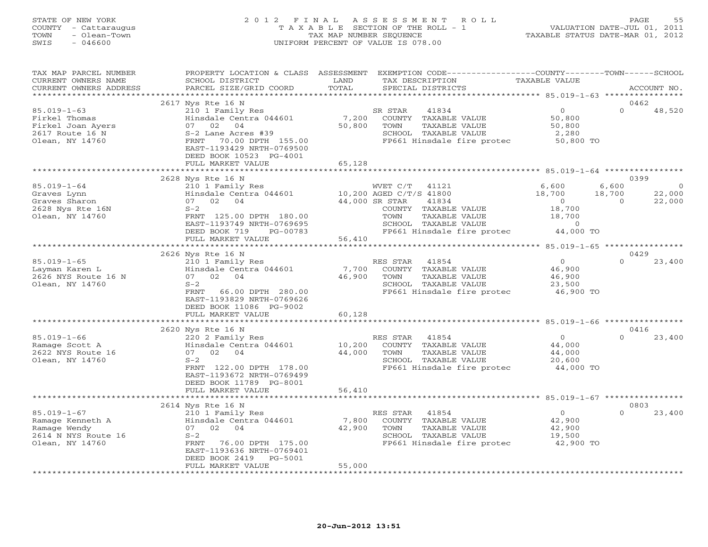# STATE OF NEW YORK 2 0 1 2 F I N A L A S S E S S M E N T R O L L PAGE 55 COUNTY - Cattaraugus T A X A B L E SECTION OF THE ROLL - 1 VALUATION DATE-JUL 01, 2011 TOWN - Olean-Town TAX MAP NUMBER SEQUENCE TAXABLE STATUS DATE-MAR 01, 2012 SWIS - 046600 UNIFORM PERCENT OF VALUE IS 078.00

| TAX MAP PARCEL NUMBER<br>CURRENT OWNERS NAME<br>CURRENT OWNERS ADDRESS                          | PROPERTY LOCATION & CLASS ASSESSMENT<br>SCHOOL DISTRICT<br>PARCEL SIZE/GRID COORD                                                                                                                           | LAND<br>TOTAL             | EXEMPTION CODE----------------COUNTY-------TOWN------SCHOOL<br>TAX DESCRIPTION<br>SPECIAL DISTRICTS                                                                 | TAXABLE VALUE                                                     | ACCOUNT NO.                                                               |
|-------------------------------------------------------------------------------------------------|-------------------------------------------------------------------------------------------------------------------------------------------------------------------------------------------------------------|---------------------------|---------------------------------------------------------------------------------------------------------------------------------------------------------------------|-------------------------------------------------------------------|---------------------------------------------------------------------------|
| ******************                                                                              | ***********************                                                                                                                                                                                     |                           |                                                                                                                                                                     |                                                                   |                                                                           |
| $85.019 - 1 - 63$<br>Firkel Thomas<br>Firkel Joan Ayers<br>2617 Route 16 N<br>Olean, NY 14760   | 2617 Nys Rte 16 N<br>210 1 Family Res<br>Hinsdale Centra 044601<br>07 02 04<br>S-2 Lane Acres #39<br>FRNT<br>70.00 DPTH 155.00<br>EAST-1193429 NRTH-0769500<br>DEED BOOK 10523 PG-4001<br>FULL MARKET VALUE | 7,200<br>50,800<br>65,128 | SR STAR<br>41834<br>COUNTY TAXABLE VALUE<br>TOWN<br>TAXABLE VALUE<br>SCHOOL TAXABLE VALUE<br>FP661 Hinsdale fire protec                                             | $\overline{0}$<br>50,800<br>50,800<br>2,280<br>50,800 TO          | 0462<br>$\Omega$<br>48,520                                                |
|                                                                                                 |                                                                                                                                                                                                             | *********************     |                                                                                                                                                                     |                                                                   |                                                                           |
| $85.019 - 1 - 64$<br>Graves Lynn<br>Graves Sharon<br>2628 Nys Rte 16N<br>Olean, NY 14760        | 2628 Nys Rte 16 N<br>210 1 Family Res<br>Hinsdale Centra 044601<br>07 02 04<br>$S-2$<br>FRNT 125.00 DPTH 180.00<br>EAST-1193749 NRTH-0769695<br>DEED BOOK 719<br>PG-00783                                   | 44,000 SR STAR            | WVET C/T 41121<br>10,200 AGED C/T/S 41800<br>41834<br>COUNTY TAXABLE VALUE<br>TAXABLE VALUE<br>TOWN<br>SCHOOL TAXABLE VALUE<br>FP661 Hinsdale fire protec 44,000 TO | 6,600<br>18,700<br>$\overline{0}$<br>18,700<br>18,700<br>$\sim$ 0 | 0399<br>6,600<br>$\overline{0}$<br>22,000<br>18,700<br>22,000<br>$\Omega$ |
|                                                                                                 | FULL MARKET VALUE                                                                                                                                                                                           | 56,410                    |                                                                                                                                                                     |                                                                   |                                                                           |
|                                                                                                 | 2626 Nys Rte 16 N                                                                                                                                                                                           |                           |                                                                                                                                                                     |                                                                   | 0429                                                                      |
| $85.019 - 1 - 65$<br>Layman Karen L<br>2626 NYS Route 16 N<br>Olean, NY 14760                   | 210 1 Family Res<br>Hinsdale Centra 044601<br>07 02 04<br>$S-2$<br>FRNT<br>66.00 DPTH 280.00<br>EAST-1193829 NRTH-0769626<br>DEED BOOK 11086 PG-9002                                                        | 7,700<br>46,900           | RES STAR 41854<br>COUNTY TAXABLE VALUE<br>TOWN<br>TAXABLE VALUE<br>SCHOOL TAXABLE VALUE<br>FP661 Hinsdale fire protec                                               | $\overline{0}$<br>46,900<br>46,900<br>23,500<br>46,900 TO         | 23,400<br>$\Omega$                                                        |
|                                                                                                 | FULL MARKET VALUE                                                                                                                                                                                           | 60,128                    |                                                                                                                                                                     |                                                                   |                                                                           |
|                                                                                                 | 2620 Nys Rte 16 N                                                                                                                                                                                           |                           |                                                                                                                                                                     |                                                                   | 0416                                                                      |
| $85.019 - 1 - 66$<br>Ramage Scott A<br>2622 NYS Route 16<br>Olean, NY 14760                     | 220 2 Family Res<br>Hinsdale Centra 044601<br>07 02<br>04<br>$S-2$<br>FRNT 122.00 DPTH 178.00<br>EAST-1193672 NRTH-0769499<br>DEED BOOK 11789 PG-8001                                                       | 10,200<br>44,000          | RES STAR 41854<br>COUNTY TAXABLE VALUE<br>TAXABLE VALUE<br>TOWN<br>SCHOOL TAXABLE VALUE<br>FP661 Hinsdale fire protec                                               | $\overline{0}$<br>44,000<br>44,000<br>20,600<br>44,000 TO         | $\Omega$<br>23,400                                                        |
|                                                                                                 | FULL MARKET VALUE                                                                                                                                                                                           | 56,410                    |                                                                                                                                                                     |                                                                   |                                                                           |
|                                                                                                 | 2614 Nys Rte 16 N                                                                                                                                                                                           |                           |                                                                                                                                                                     |                                                                   | 0803                                                                      |
| $85.019 - 1 - 67$<br>Ramage Kenneth A<br>Ramage Wendy<br>2614 N NYS Route 16<br>Olean, NY 14760 | 210 1 Family Res<br>Hinsdale Centra 044601<br>07 02 04<br>$S-2$<br>76.00 DPTH 175.00<br>FRNT<br>EAST-1193636 NRTH-0769401<br>DEED BOOK 2419<br>PG-5001<br>FULL MARKET VALUE                                 | 7,800<br>42,900<br>55,000 | RES STAR<br>41854<br>COUNTY TAXABLE VALUE<br>TOWN<br>TAXABLE VALUE<br>SCHOOL TAXABLE VALUE<br>FP661 Hinsdale fire protec                                            | $\overline{O}$<br>42,900<br>42,900<br>19,500<br>42,900 TO         | $\Omega$<br>23,400                                                        |
|                                                                                                 |                                                                                                                                                                                                             |                           |                                                                                                                                                                     |                                                                   |                                                                           |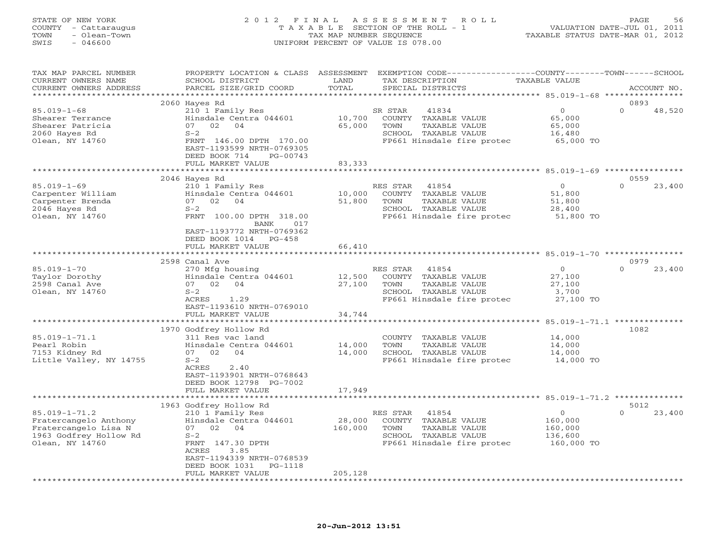#### STATE OF NEW YORK 2 0 1 2 F I N A L A S S E S S M E N T R O L L PAGE 56 COUNTY - Cattaraugus T A X A B L E SECTION OF THE ROLL - 1 VALUATION DATE-JUL 01, 2011 TOWN - Olean-Town TAX MAP NUMBER SEQUENCE TAXABLE STATUS DATE-MAR 01, 2012 SWIS - 046600 UNIFORM PERCENT OF VALUE IS 078.00

| TAX MAP PARCEL NUMBER<br>CURRENT OWNERS NAME                                                                      | PROPERTY LOCATION & CLASS ASSESSMENT<br>SCHOOL DISTRICT                                                                                                                  | LAND                                 | TAX DESCRIPTION                                                                                                          | EXEMPTION CODE-----------------COUNTY-------TOWN------SCHOOL<br>TAXABLE VALUE |                            |
|-------------------------------------------------------------------------------------------------------------------|--------------------------------------------------------------------------------------------------------------------------------------------------------------------------|--------------------------------------|--------------------------------------------------------------------------------------------------------------------------|-------------------------------------------------------------------------------|----------------------------|
| CURRENT OWNERS ADDRESS                                                                                            | PARCEL SIZE/GRID COORD                                                                                                                                                   | TOTAL                                | SPECIAL DISTRICTS                                                                                                        |                                                                               | ACCOUNT NO.                |
| * * * * * * * * * * * * * * * * * * *                                                                             |                                                                                                                                                                          |                                      |                                                                                                                          |                                                                               |                            |
| $85.019 - 1 - 68$<br>Shearer Terrance<br>Shearer Patricia<br>2060 Hayes Rd<br>Olean, NY 14760                     | 2060 Hayes Rd<br>210 1 Family Res<br>Hinsdale Centra 044601<br>02 04<br>07<br>$S-2$<br>FRNT 146.00 DPTH 170.00<br>EAST-1193599 NRTH-0769305<br>DEED BOOK 714<br>PG-00743 | 10,700<br>65,000                     | SR STAR<br>41834<br>COUNTY TAXABLE VALUE<br>TOWN<br>TAXABLE VALUE<br>SCHOOL TAXABLE VALUE<br>FP661 Hinsdale fire protec  | $\circ$<br>65,000<br>65,000<br>16,480<br>65,000 TO                            | 0893<br>$\Omega$<br>48,520 |
|                                                                                                                   | FULL MARKET VALUE                                                                                                                                                        | 83,333                               |                                                                                                                          |                                                                               |                            |
|                                                                                                                   | ***********************                                                                                                                                                  | ************                         |                                                                                                                          | ************************ 85.019-1-69 *****************                        |                            |
|                                                                                                                   | 2046 Hayes Rd                                                                                                                                                            |                                      |                                                                                                                          |                                                                               | 0559                       |
| $85.019 - 1 - 69$<br>Carpenter William<br>Carpenter Brenda<br>2046 Hayes Rd<br>Olean, NY 14760                    | 210 1 Family Res<br>Hinsdale Centra 044601<br>07<br>02<br>04<br>$S-2$<br>FRNT 100.00 DPTH 318.00<br>017<br>BANK<br>EAST-1193772 NRTH-0769362<br>DEED BOOK 1014 PG-458    | 10,000<br>51,800                     | RES STAR<br>41854<br>COUNTY TAXABLE VALUE<br>TOWN<br>TAXABLE VALUE<br>SCHOOL TAXABLE VALUE<br>FP661 Hinsdale fire protec | $\circ$<br>51,800<br>51,800<br>28,400<br>51,800 TO                            | $\Omega$<br>23,400         |
|                                                                                                                   | FULL MARKET VALUE                                                                                                                                                        | 66,410                               |                                                                                                                          |                                                                               |                            |
|                                                                                                                   |                                                                                                                                                                          |                                      |                                                                                                                          |                                                                               |                            |
|                                                                                                                   | 2598 Canal Ave                                                                                                                                                           |                                      |                                                                                                                          |                                                                               | 0979                       |
| $85.019 - 1 - 70$<br>Taylor Dorothy<br>2598 Canal Ave<br>Olean, NY 14760                                          | 270 Mfg housing<br>Hinsdale Centra 044601<br>07 02<br>04<br>$S-2$<br>ACRES<br>1.29<br>EAST-1193610 NRTH-0769010<br>FULL MARKET VALUE                                     | 12,500<br>27,100<br>34,744           | RES STAR<br>41854<br>COUNTY TAXABLE VALUE<br>TOWN<br>TAXABLE VALUE<br>SCHOOL TAXABLE VALUE<br>FP661 Hinsdale fire protec | $\circ$<br>27,100<br>27,100<br>3,700<br>27,100 TO                             | $\Omega$<br>23,400         |
|                                                                                                                   | *****************                                                                                                                                                        |                                      |                                                                                                                          | 85.019-1-71.1 *******                                                         |                            |
| $85.019 - 1 - 71.1$<br>Pearl Robin<br>7153 Kidney Rd<br>Little Valley, NY 14755                                   | 1970 Godfrey Hollow Rd<br>311 Res vac land<br>Hinsdale Centra 044601<br>07<br>02<br>04<br>$S-2$<br>ACRES<br>2.40<br>EAST-1193901 NRTH-0768643<br>DEED BOOK 12798 PG-7002 | 14,000<br>14,000                     | COUNTY TAXABLE VALUE<br>TOWN<br>TAXABLE VALUE<br>SCHOOL TAXABLE VALUE<br>FP661 Hinsdale fire protec                      | 14,000<br>14,000<br>14,000<br>14,000 TO                                       | 1082                       |
|                                                                                                                   | FULL MARKET VALUE                                                                                                                                                        | 17,949                               |                                                                                                                          |                                                                               |                            |
|                                                                                                                   |                                                                                                                                                                          |                                      |                                                                                                                          |                                                                               |                            |
|                                                                                                                   | 1963 Godfrey Hollow Rd                                                                                                                                                   |                                      |                                                                                                                          |                                                                               | 5012                       |
| $85.019 - 1 - 71.2$<br>Fratercangelo Anthony<br>Fratercangelo Lisa N<br>1963 Godfrey Hollow Rd<br>Olean, NY 14760 | 210 1 Family Res<br>Hinsdale Centra 044601<br>07 02 04<br>$S-2$<br>FRNT 147.30 DPTH<br>ACRES<br>3.85<br>EAST-1194339 NRTH-0768539<br>DEED BOOK 1031<br>PG-1118           | 28,000<br>160,000                    | 41854<br>RES STAR<br>COUNTY TAXABLE VALUE<br>TOWN<br>TAXABLE VALUE<br>SCHOOL TAXABLE VALUE<br>FP661 Hinsdale fire protec | $\overline{O}$<br>160,000<br>160,000<br>136,600<br>160,000 TO                 | $\Omega$<br>23,400         |
|                                                                                                                   | FULL MARKET VALUE<br>* * * * * * * * * * * * * * * * * * *                                                                                                               | 205,128<br>* * * * * * * * * * * * * |                                                                                                                          |                                                                               |                            |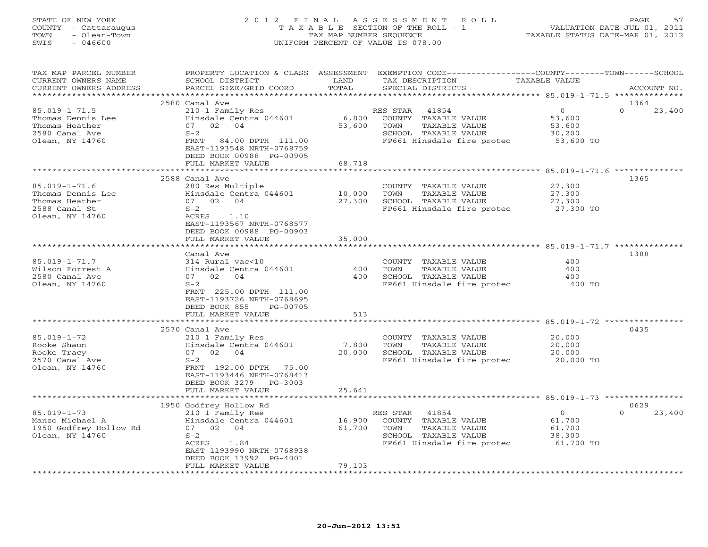# STATE OF NEW YORK 2 0 1 2 F I N A L A S S E S S M E N T R O L L PAGE 57 COUNTY - Cattaraugus T A X A B L E SECTION OF THE ROLL - 1 VALUATION DATE-JUL 01, 2011 TOWN - Olean-Town TAX MAP NUMBER SEQUENCE TAXABLE STATUS DATE-MAR 01, 2012 SWIS - 046600 UNIFORM PERCENT OF VALUE IS 078.00

| TAX MAP PARCEL NUMBER<br>CURRENT OWNERS NAME<br>CURRENT OWNERS ADDRESS                          | PROPERTY LOCATION & CLASS ASSESSMENT<br>SCHOOL DISTRICT<br>PARCEL SIZE/GRID COORD                                                                                             | LAND<br>TOTAL              | EXEMPTION CODE----------------COUNTY-------TOWN-----SCHOOL<br>TAX DESCRIPTION<br>SPECIAL DISTRICTS                       | TAXABLE VALUE                                      | ACCOUNT NO.                |
|-------------------------------------------------------------------------------------------------|-------------------------------------------------------------------------------------------------------------------------------------------------------------------------------|----------------------------|--------------------------------------------------------------------------------------------------------------------------|----------------------------------------------------|----------------------------|
| **********************                                                                          |                                                                                                                                                                               |                            |                                                                                                                          |                                                    |                            |
| $85.019 - 1 - 71.5$<br>Thomas Dennis Lee<br>Thomas Heather<br>2580 Canal Ave<br>Olean, NY 14760 | 2580 Canal Ave<br>210 1 Family Res<br>Hinsdale Centra 044601<br>02<br>04<br>07<br>$S-2$<br>FRNT<br>84.00 DPTH 111.00<br>EAST-1193548 NRTH-0768759<br>DEED BOOK 00988 PG-00905 | 6,800<br>53,600            | RES STAR<br>41854<br>COUNTY TAXABLE VALUE<br>TOWN<br>TAXABLE VALUE<br>SCHOOL TAXABLE VALUE<br>FP661 Hinsdale fire protec | $\circ$<br>53,600<br>53,600<br>30,200<br>53,600 TO | 1364<br>$\Omega$<br>23,400 |
|                                                                                                 | FULL MARKET VALUE                                                                                                                                                             | 68,718                     |                                                                                                                          |                                                    |                            |
|                                                                                                 |                                                                                                                                                                               | * * * * * * * * * * * * *  |                                                                                                                          |                                                    |                            |
| $85.019 - 1 - 71.6$<br>Thomas Dennis Lee<br>Thomas Heather<br>2588 Canal St<br>Olean, NY 14760  | 2588 Canal Ave<br>280 Res Multiple<br>Hinsdale Centra 044601<br>07 02 04<br>$S-2$<br>ACRES<br>1.10<br>EAST-1193567 NRTH-0768577<br>DEED BOOK 00988 PG-00903                   | 10,000<br>27,300           | COUNTY TAXABLE VALUE<br>TOWN<br>TAXABLE VALUE<br>SCHOOL TAXABLE VALUE<br>FP661 Hinsdale fire protec 27,300 TO            | 27,300<br>27,300<br>27,300                         | 1365                       |
|                                                                                                 | FULL MARKET VALUE<br>************************                                                                                                                                 | 35,000                     |                                                                                                                          |                                                    |                            |
| $85.019 - 1 - 71.7$<br>Wilson Forrest A<br>2580 Canal Ave<br>Olean, NY 14760                    | Canal Ave<br>314 Rural vac<10<br>Hinsdale Centra 044601<br>04<br>07 02<br>$S-2$<br>FRNT 225.00 DPTH 111.00<br>EAST-1193726 NRTH-0768695<br>DEED BOOK 855<br>PG-00705          | 400<br>400                 | COUNTY TAXABLE VALUE<br>TAXABLE VALUE<br>TOWN<br>SCHOOL TAXABLE VALUE<br>FP661 Hinsdale fire protec                      | 400<br>400<br>400<br>400 TO                        | 1388                       |
|                                                                                                 | FULL MARKET VALUE                                                                                                                                                             | 513                        |                                                                                                                          |                                                    |                            |
|                                                                                                 |                                                                                                                                                                               |                            |                                                                                                                          |                                                    |                            |
|                                                                                                 | 2570 Canal Ave                                                                                                                                                                |                            |                                                                                                                          |                                                    | 0435                       |
| $85.019 - 1 - 72$<br>Rooke Shaun<br>Rooke Tracy<br>2570 Canal Ave<br>Olean, NY 14760            | 210 1 Family Res<br>Hinsdale Centra 044601<br>07 02<br>04<br>$S-2$<br>FRNT 192.00 DPTH 75.00<br>EAST-1193446 NRTH-0768413<br>DEED BOOK 3279 PG-3003                           | 7,800<br>20,000            | COUNTY TAXABLE VALUE<br>TAXABLE VALUE<br>TOWN<br>SCHOOL TAXABLE VALUE<br>FP661 Hinsdale fire protec                      | 20,000<br>20,000<br>20,000<br>20,000 TO            |                            |
|                                                                                                 | FULL MARKET VALUE                                                                                                                                                             | 25,641                     |                                                                                                                          |                                                    |                            |
|                                                                                                 | 1950 Godfrey Hollow Rd                                                                                                                                                        |                            |                                                                                                                          |                                                    | 0629                       |
| $85.019 - 1 - 73$<br>Manzo Michael A<br>1950 Godfrey Hollow Rd<br>Olean, NY 14760               | 210 1 Family Res<br>Hinsdale Centra 044601<br>07 02<br>04<br>$S-2$<br>ACRES<br>1.84<br>EAST-1193990 NRTH-0768938<br>DEED BOOK 13992 PG-4001<br>FULL MARKET VALUE              | 16,900<br>61,700<br>79,103 | RES STAR<br>41854<br>COUNTY TAXABLE VALUE<br>TOWN<br>TAXABLE VALUE<br>SCHOOL TAXABLE VALUE<br>FP661 Hinsdale fire protec | $\circ$<br>61,700<br>61,700<br>38,300<br>61,700 TO | $\Omega$<br>23,400         |
|                                                                                                 |                                                                                                                                                                               | ***********                |                                                                                                                          |                                                    |                            |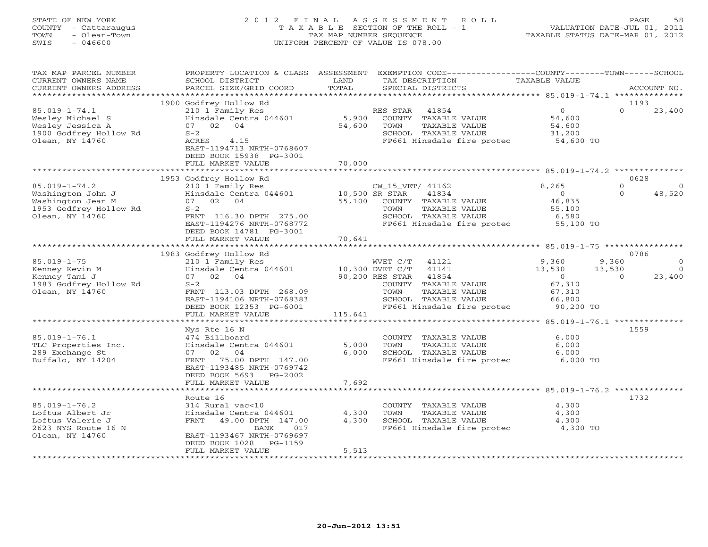#### STATE OF NEW YORK 2 0 1 2 F I N A L A S S E S S M E N T R O L L PAGE 58 COUNTY - Cattaraugus T A X A B L E SECTION OF THE ROLL - 1 VALUATION DATE-JUL 01, 2011 TOWN - Olean-Town TAX MAP NUMBER SEQUENCE TAXABLE STATUS DATE-MAR 01, 2012 SWIS - 046600 UNIFORM PERCENT OF VALUE IS 078.00UNIFORM PERCENT OF VALUE IS 078.00

| TAX MAP PARCEL NUMBER<br>CURRENT OWNERS NAME<br>CURRENT OWNERS ADDRESS<br>**********************           | PROPERTY LOCATION & CLASS ASSESSMENT<br>SCHOOL DISTRICT<br>PARCEL SIZE/GRID COORD                                                                                                          | LAND<br>TOTAL             | EXEMPTION CODE-----------------COUNTY-------TOWN------SCHOOL<br>TAX DESCRIPTION<br>SPECIAL DISTRICTS                                               | TAXABLE VALUE                                              | ACCOUNT NO.                                        |
|------------------------------------------------------------------------------------------------------------|--------------------------------------------------------------------------------------------------------------------------------------------------------------------------------------------|---------------------------|----------------------------------------------------------------------------------------------------------------------------------------------------|------------------------------------------------------------|----------------------------------------------------|
|                                                                                                            |                                                                                                                                                                                            |                           |                                                                                                                                                    |                                                            |                                                    |
| $85.019 - 1 - 74.1$<br>Wesley Michael S<br>Wesley Jessica A<br>1900 Godfrey Hollow Rd<br>Olean, NY 14760   | 1900 Godfrey Hollow Rd<br>210 1 Family Res<br>Hinsdale Centra 044601<br>07 02<br>04<br>$S-2$<br>ACRES<br>4.15<br>EAST-1194713 NRTH-0768607<br>DEED BOOK 15938 PG-3001<br>FULL MARKET VALUE | 5,900<br>54,600<br>70,000 | 41854<br>RES STAR<br>COUNTY TAXABLE VALUE<br>TOWN<br>TAXABLE VALUE<br>SCHOOL TAXABLE VALUE<br>FP661 Hinsdale fire protec                           | $\overline{0}$<br>54,600<br>54,600<br>31,200<br>54,600 TO  | 1193<br>$\Omega$<br>23,400                         |
|                                                                                                            |                                                                                                                                                                                            |                           |                                                                                                                                                    |                                                            |                                                    |
| $85.019 - 1 - 74.2$<br>Washington John J<br>Washington Jean M<br>1953 Godfrey Hollow Rd<br>Olean, NY 14760 | 1953 Godfrey Hollow Rd<br>210 1 Family Res<br>Hinsdale Centra 044601<br>02<br>04<br>07<br>$S-2$<br>FRNT 116.30 DPTH 275.00<br>EAST-1194276 NRTH-0768772<br>DEED BOOK 14781 PG-3001         | 55,100                    | CW_15_VET/ 41162<br>10,500 SR STAR<br>41834<br>COUNTY TAXABLE VALUE<br>TOWN<br>TAXABLE VALUE<br>SCHOOL TAXABLE VALUE<br>FP661 Hinsdale fire protec | 8,265<br>$\circ$<br>46,835<br>55,100<br>6,580<br>55,100 TO | 0628<br>$\Omega$<br>$\Omega$<br>$\Omega$<br>48,520 |
|                                                                                                            | FULL MARKET VALUE                                                                                                                                                                          | 70,641                    |                                                                                                                                                    |                                                            |                                                    |
|                                                                                                            |                                                                                                                                                                                            |                           |                                                                                                                                                    |                                                            |                                                    |
|                                                                                                            | 1983 Godfrey Hollow Rd                                                                                                                                                                     |                           |                                                                                                                                                    |                                                            | 0786                                               |
| $85.019 - 1 - 75$                                                                                          | 210 1 Family Res                                                                                                                                                                           |                           | WVET C/T<br>41121                                                                                                                                  | 9,360                                                      | 9,360<br>$\Omega$                                  |
| Kenney Kevin M                                                                                             | Hinsdale Centra 044601                                                                                                                                                                     |                           | 10,300 DVET C/T<br>41141                                                                                                                           | 13,530                                                     | 13,530<br>$\overline{0}$                           |
| Kenney Tami J                                                                                              | 07 02<br>04                                                                                                                                                                                |                           | 90,200 RES STAR<br>41854                                                                                                                           | $\circ$                                                    | 23,400<br>$\Omega$                                 |
| 1983 Godfrey Hollow Rd                                                                                     | $S-2$                                                                                                                                                                                      |                           | COUNTY TAXABLE VALUE                                                                                                                               | 67,310                                                     |                                                    |
| Olean, NY 14760                                                                                            | FRNT 113.03 DPTH 268.09                                                                                                                                                                    |                           | TOWN<br>TAXABLE VALUE                                                                                                                              | 67,310                                                     |                                                    |
|                                                                                                            | EAST-1194106 NRTH-0768383                                                                                                                                                                  |                           | SCHOOL TAXABLE VALUE                                                                                                                               | 66,800                                                     |                                                    |
|                                                                                                            | DEED BOOK 12353 PG-6001                                                                                                                                                                    |                           | FP661 Hinsdale fire protec                                                                                                                         | 90,200 TO                                                  |                                                    |
|                                                                                                            | FULL MARKET VALUE                                                                                                                                                                          | 115,641                   |                                                                                                                                                    |                                                            |                                                    |
|                                                                                                            |                                                                                                                                                                                            |                           |                                                                                                                                                    |                                                            |                                                    |
|                                                                                                            | Nys Rte 16 N                                                                                                                                                                               |                           |                                                                                                                                                    |                                                            | 1559                                               |
| $85.019 - 1 - 76.1$                                                                                        | 474 Billboard                                                                                                                                                                              |                           | COUNTY TAXABLE VALUE                                                                                                                               | 6,000                                                      |                                                    |
| TLC Properties Inc.                                                                                        | Hinsdale Centra 044601                                                                                                                                                                     | 5,000                     | TOWN<br>TAXABLE VALUE                                                                                                                              | 6,000                                                      |                                                    |
| 289 Exchange St                                                                                            | 07 02<br>04<br>FRNT<br>75.00 DPTH 147.00                                                                                                                                                   | 6,000                     | SCHOOL TAXABLE VALUE                                                                                                                               | 6,000<br>6,000 TO                                          |                                                    |
| Buffalo, NY 14204                                                                                          | EAST-1193485 NRTH-0769742<br>DEED BOOK 5693<br>$PG-2002$<br>FULL MARKET VALUE                                                                                                              | 7,692                     | FP661 Hinsdale fire protec                                                                                                                         |                                                            |                                                    |
|                                                                                                            |                                                                                                                                                                                            |                           |                                                                                                                                                    |                                                            |                                                    |
|                                                                                                            | Route 16                                                                                                                                                                                   |                           |                                                                                                                                                    |                                                            | 1732                                               |
| $85.019 - 1 - 76.2$                                                                                        | 314 Rural vac<10                                                                                                                                                                           |                           | COUNTY TAXABLE VALUE                                                                                                                               | 4,300                                                      |                                                    |
| Loftus Albert Jr                                                                                           | Hinsdale Centra 044601                                                                                                                                                                     | 4,300                     | TOWN<br>TAXABLE VALUE                                                                                                                              | 4,300                                                      |                                                    |
| Loftus Valerie J                                                                                           | FRNT<br>49.00 DPTH 147.00                                                                                                                                                                  | 4,300                     | SCHOOL TAXABLE VALUE                                                                                                                               | 4,300                                                      |                                                    |
| 2623 NYS Route 16 N                                                                                        | 017<br>BANK                                                                                                                                                                                |                           | FP661 Hinsdale fire protec                                                                                                                         | 4,300 TO                                                   |                                                    |
| Olean, NY 14760                                                                                            | EAST-1193467 NRTH-0769697                                                                                                                                                                  |                           |                                                                                                                                                    |                                                            |                                                    |
|                                                                                                            | DEED BOOK 1028<br>$PG-1159$                                                                                                                                                                |                           |                                                                                                                                                    |                                                            |                                                    |
|                                                                                                            | FULL MARKET VALUE                                                                                                                                                                          | 5,513                     |                                                                                                                                                    |                                                            |                                                    |
|                                                                                                            | ***********************                                                                                                                                                                    | **********                |                                                                                                                                                    |                                                            |                                                    |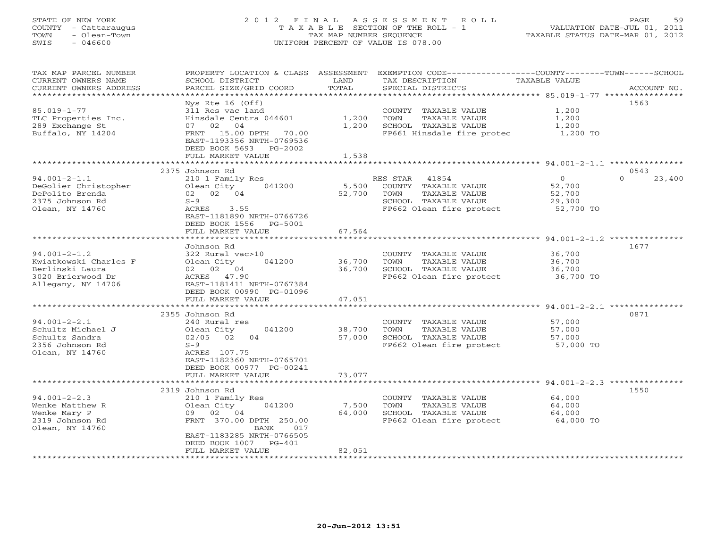# STATE OF NEW YORK 2 0 1 2 F I N A L A S S E S S M E N T R O L L PAGE 59 COUNTY - Cattaraugus T A X A B L E SECTION OF THE ROLL - 1 VALUATION DATE-JUL 01, 2011 TOWN - Olean-Town TAX MAP NUMBER SEQUENCE TAXABLE STATUS DATE-MAR 01, 2012 SWIS - 046600 UNIFORM PERCENT OF VALUE IS 078.00

| TAX MAP PARCEL NUMBER<br>CURRENT OWNERS NAME<br>CURRENT OWNERS ADDRESS<br>**********************          | PROPERTY LOCATION & CLASS ASSESSMENT<br>SCHOOL DISTRICT<br>PARCEL SIZE/GRID COORD                                                                                                    | LAND<br>TOTAL              | EXEMPTION CODE-----------------COUNTY-------TOWN-----SCHOOL<br>TAX DESCRIPTION<br>SPECIAL DISTRICTS                    | TAXABLE VALUE                                      | ACCOUNT NO.        |
|-----------------------------------------------------------------------------------------------------------|--------------------------------------------------------------------------------------------------------------------------------------------------------------------------------------|----------------------------|------------------------------------------------------------------------------------------------------------------------|----------------------------------------------------|--------------------|
| $85.019 - 1 - 77$<br>TLC Properties Inc.<br>289 Exchange St<br>Buffalo, NY 14204                          | $Nys$ Rte 16 (Off)<br>311 Res vac land<br>Hinsdale Centra 044601<br>04<br>07 02<br>FRNT 15.00 DPTH 70.00<br>EAST-1193356 NRTH-0769536<br>DEED BOOK 5693 PG-2002<br>FULL MARKET VALUE | 1,200<br>1,200<br>1,538    | COUNTY TAXABLE VALUE<br>TOWN<br>TAXABLE VALUE<br>SCHOOL TAXABLE VALUE<br>FP661 Hinsdale fire protec                    | 1,200<br>1,200<br>1,200<br>1,200 TO                | 1563               |
|                                                                                                           |                                                                                                                                                                                      |                            |                                                                                                                        |                                                    |                    |
|                                                                                                           | 2375 Johnson Rd                                                                                                                                                                      |                            |                                                                                                                        |                                                    | 0543               |
| $94.001 - 2 - 1.1$<br>DeGolier Christopher<br>DePolito Brenda<br>2375 Johnson Rd<br>Olean, NY 14760       | 210 1 Family Res<br>Olean City<br>041200<br>02 02 04<br>$S-9$<br>ACRES<br>3.55<br>EAST-1181890 NRTH-0766726<br>DEED BOOK 1556<br>PG-5001<br>FULL MARKET VALUE                        | 5,500<br>52,700<br>67,564  | 41854<br>RES STAR<br>COUNTY TAXABLE VALUE<br>TOWN<br>TAXABLE VALUE<br>SCHOOL TAXABLE VALUE<br>FP662 Olean fire protect | $\circ$<br>52,700<br>52,700<br>29,300<br>52,700 TO | $\Omega$<br>23,400 |
|                                                                                                           | ********************                                                                                                                                                                 |                            |                                                                                                                        |                                                    |                    |
| $94.001 - 2 - 1.2$<br>Kwiatkowski Charles F<br>Berlinski Laura<br>3020 Brierwood Dr<br>Allegany, NY 14706 | Johnson Rd<br>322 Rural vac>10<br>Olean City<br>041200<br>02 02 04<br>ACRES 47.90<br>EAST-1181411 NRTH-0767384<br>DEED BOOK 00990 PG-01096<br>FULL MARKET VALUE                      | 36,700<br>36,700<br>47,051 | COUNTY TAXABLE VALUE<br>TAXABLE VALUE<br>TOWN<br>SCHOOL TAXABLE VALUE<br>FP662 Olean fire protect                      | 36,700<br>36,700<br>36,700<br>36,700 TO            | 1677               |
|                                                                                                           |                                                                                                                                                                                      |                            |                                                                                                                        |                                                    |                    |
| $94.001 - 2 - 2.1$<br>Schultz Michael J<br>Schultz Sandra<br>2356 Johnson Rd<br>Olean, NY 14760           | 2355 Johnson Rd<br>240 Rural res<br>Olean City<br>041200<br>$02/05$ 02<br>04<br>$S-9$<br>ACRES 107.75<br>EAST-1182360 NRTH-0765701<br>DEED BOOK 00977 PG-00241                       | 38,700<br>57,000           | COUNTY TAXABLE VALUE<br>TOWN<br>TAXABLE VALUE<br>SCHOOL TAXABLE VALUE<br>FP662 Olean fire protect                      | 57,000<br>57,000<br>57,000<br>57,000 TO            | 0871               |
|                                                                                                           | FULL MARKET VALUE                                                                                                                                                                    | 73,077                     |                                                                                                                        |                                                    |                    |
|                                                                                                           | ******************                                                                                                                                                                   |                            |                                                                                                                        | *********************** 94.001-2-2.3 *********     |                    |
| $94.001 - 2 - 2.3$<br>Wenke Matthew R<br>Wenke Mary P<br>2319 Johnson Rd<br>Olean, NY 14760               | 2319 Johnson Rd<br>210 1 Family Res<br>Olean City<br>041200<br>09 02<br>04<br>FRNT 370.00 DPTH 250.00<br>BANK<br>017<br>EAST-1183285 NRTH-0766505<br>DEED BOOK 1007 PG-401           | 7,500<br>64,000            | COUNTY TAXABLE VALUE<br><b>TAXABLE VALUE</b><br>TOWN<br>SCHOOL TAXABLE VALUE<br>FP662 Olean fire protect               | 64,000<br>64,000<br>64,000<br>64,000 TO            | 1550               |
| ********************                                                                                      | FULL MARKET VALUE                                                                                                                                                                    | 82,051                     |                                                                                                                        |                                                    |                    |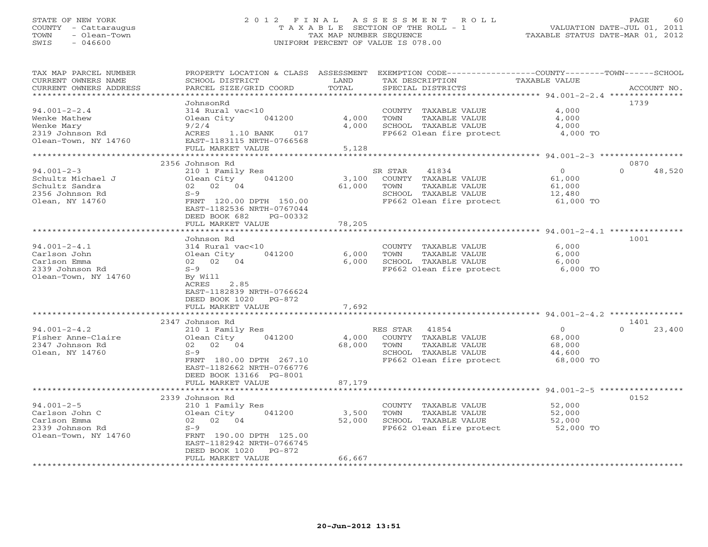# STATE OF NEW YORK 2 0 1 2 F I N A L A S S E S S M E N T R O L L PAGE 60 COUNTY - Cattaraugus T A X A B L E SECTION OF THE ROLL - 1 VALUATION DATE-JUL 01, 2011 TOWN - Olean-Town TAX MAP NUMBER SEQUENCE TAXABLE STATUS DATE-MAR 01, 2012 SWIS - 046600 UNIFORM PERCENT OF VALUE IS 078.00

| TAX MAP PARCEL NUMBER<br>CURRENT OWNERS NAME<br>CURRENT OWNERS ADDRESS                                               | SCHOOL DISTRICT<br>PARCEL SIZE/GRID COORD                                                                                                                                                                        | LAND<br>TOTAL                                        | PROPERTY LOCATION & CLASS ASSESSMENT EXEMPTION CODE---------------COUNTY-------TOWN-----SCHOOL<br>TAX DESCRIPTION<br>SPECIAL DISTRICTS                                      | <b>TAXABLE VALUE</b>                                                                         | ACCOUNT NO.                |
|----------------------------------------------------------------------------------------------------------------------|------------------------------------------------------------------------------------------------------------------------------------------------------------------------------------------------------------------|------------------------------------------------------|-----------------------------------------------------------------------------------------------------------------------------------------------------------------------------|----------------------------------------------------------------------------------------------|----------------------------|
| *********************<br>$94.001 - 2 - 2.4$<br>Wenke Mathew<br>Wenke Mary<br>2319 Johnson Rd<br>Olean-Town, NY 14760 | **********************<br>JohnsonRd<br>314 Rural vac<10<br>Olean City<br>041200<br>9/2/4<br>ACRES<br>1.10 BANK<br>017<br>EAST-1183115 NRTH-0766568<br>FULL MARKET VALUE<br>************                          | 4,000<br>4,000<br>5,128                              | COUNTY TAXABLE VALUE<br>TOWN<br>TAXABLE VALUE<br>SCHOOL TAXABLE VALUE<br>FP662 Olean fire protect                                                                           | 4,000<br>4,000<br>4,000<br>4,000 TO                                                          | 1739                       |
| $94.001 - 2 - 3$<br>Schultz Michael J<br>Schultz Sandra<br>2356 Johnson Rd<br>Olean, NY 14760                        | 2356 Johnson Rd<br>210 1 Family Res<br>041200<br>Olean City<br>02 02 04<br>$S-9$<br>FRNT 120.00 DPTH 150.00<br>EAST-1182536 NRTH-0767044<br>DEED BOOK 682<br>PG-00332<br>FULL MARKET VALUE<br>****************** | 3,100<br>61,000<br>78,205<br>* * * * * * * * * * * * | 41834<br>SR STAR<br>COUNTY TAXABLE VALUE<br>TOWN<br>TAXABLE VALUE<br>SCHOOL TAXABLE VALUE<br>FP662 Olean fire protect<br>********************************* 94.001-2-4.1 *** | $\circ$<br>61,000<br>61,000<br>12,480<br>61,000 TO                                           | 0870<br>$\Omega$<br>48,520 |
| $94.001 - 2 - 4.1$<br>Carlson John<br>Carlson Emma<br>2339 Johnson Rd<br>Olean-Town, NY 14760                        | Johnson Rd<br>314 Rural vac<10<br>Olean City<br>041200<br>02 02 04<br>$S-9$<br>By Will<br>2.85<br>ACRES<br>EAST-1182839 NRTH-0766624<br>DEED BOOK 1020<br>PG-872<br>FULL MARKET VALUE                            | 6,000<br>6,000<br>7,692                              | COUNTY TAXABLE VALUE<br>TAXABLE VALUE<br>TOWN<br>SCHOOL TAXABLE VALUE<br>FP662 Olean fire protect                                                                           | 6,000<br>6,000<br>6,000<br>6,000 TO                                                          | 1001                       |
| $94.001 - 2 - 4.2$<br>Fisher Anne-Claire<br>2347 Johnson Rd<br>Olean, NY 14760                                       | 2347 Johnson Rd<br>210 1 Family Res<br>Olean City<br>041200<br>02 02 04<br>$S-9$<br>FRNT 180.00 DPTH 267.10<br>EAST-1182662 NRTH-0766776<br>DEED BOOK 13166 PG-8001<br>FULL MARKET VALUE                         | 4,000<br>68,000<br>87,179                            | RES STAR<br>41854<br>COUNTY TAXABLE VALUE<br>TOWN<br>TAXABLE VALUE<br>SCHOOL TAXABLE VALUE<br>FP662 Olean fire protect                                                      | *********** 94.001-2-4.2 ******<br>$\overline{0}$<br>68,000<br>68,000<br>44,600<br>68,000 TO | 1401<br>$\Omega$<br>23,400 |
| $94.001 - 2 - 5$<br>Carlson John C<br>Carlson Emma<br>2339 Johnson Rd<br>Olean-Town, NY 14760                        | 2339 Johnson Rd<br>210 1 Family Res<br>Olean City<br>041200<br>02 02 04<br>$S-9$<br>FRNT 190.00 DPTH 125.00<br>EAST-1182942 NRTH-0766745<br>PG-872<br>DEED BOOK 1020<br>FULL MARKET VALUE                        | 3,500<br>52,000<br>66,667                            | COUNTY TAXABLE VALUE<br>TAXABLE VALUE<br>TOWN<br>SCHOOL TAXABLE VALUE<br>FP662 Olean fire protect                                                                           | 52,000<br>52,000<br>52,000<br>52,000 TO                                                      | 0152                       |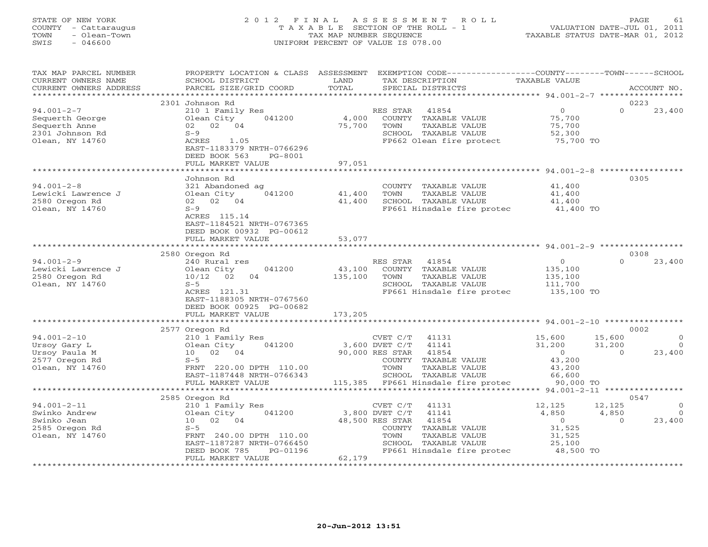# STATE OF NEW YORK 2 0 1 2 F I N A L A S S E S S M E N T R O L L PAGE 61 COUNTY - Cattaraugus T A X A B L E SECTION OF THE ROLL - 1 VALUATION DATE-JUL 01, 2011 TOWN - Olean-Town TAX MAP NUMBER SEQUENCE TAXABLE STATUS DATE-MAR 01, 2012 SWIS - 046600 UNIFORM PERCENT OF VALUE IS 078.00

| TAX MAP PARCEL NUMBER<br>CURRENT OWNERS NAME<br>CURRENT OWNERS ADDRESS                     | PROPERTY LOCATION & CLASS ASSESSMENT<br>SCHOOL DISTRICT<br>PARCEL SIZE/GRID COORD                                                                                         | LAND<br>TOTAL                | EXEMPTION CODE-----------------COUNTY-------TOWN------SCHOOL<br>TAX DESCRIPTION<br>SPECIAL DISTRICTS                                                                                    | <b>TAXABLE VALUE</b>                                                          | ACCOUNT NO.                                                                |
|--------------------------------------------------------------------------------------------|---------------------------------------------------------------------------------------------------------------------------------------------------------------------------|------------------------------|-----------------------------------------------------------------------------------------------------------------------------------------------------------------------------------------|-------------------------------------------------------------------------------|----------------------------------------------------------------------------|
|                                                                                            | 2301 Johnson Rd                                                                                                                                                           |                              |                                                                                                                                                                                         |                                                                               | 0223                                                                       |
| $94.001 - 2 - 7$<br>Sequerth George<br>Sequerth Anne<br>2301 Johnson Rd<br>Olean, NY 14760 | 210 1 Family Res<br>041200<br>Olean City<br>02 02 04<br>$S-9$<br>ACRES<br>1.05<br>EAST-1183379 NRTH-0766296<br>DEED BOOK 563<br>$PG-8001$<br>FULL MARKET VALUE            | 4,000<br>75,700<br>97,051    | RES STAR<br>41854<br>COUNTY TAXABLE VALUE<br>TOWN<br>TAXABLE VALUE<br>SCHOOL TAXABLE VALUE<br>FP662 Olean fire protect                                                                  | $\circ$<br>75,700<br>75,700<br>52,300<br>75,700 TO                            | $\Omega$<br>23,400                                                         |
|                                                                                            |                                                                                                                                                                           | ********************         |                                                                                                                                                                                         | ********************* 94.001-2-8 ****                                         |                                                                            |
| $94.001 - 2 - 8$<br>Lewicki Lawrence J<br>2580 Oregon Rd<br>Olean, NY 14760                | Johnson Rd<br>321 Abandoned ag<br>041200<br>Olean City<br>02 02 04<br>$S-9$<br>ACRES 115.14<br>EAST-1184521 NRTH-0767365<br>DEED BOOK 00932 PG-00612<br>FULL MARKET VALUE | 41,400<br>41,400<br>53,077   | COUNTY TAXABLE VALUE<br>TOWN<br>TAXABLE VALUE<br>SCHOOL TAXABLE VALUE<br>FP661 Hinsdale fire protec                                                                                     | 41,400<br>41,400<br>41,400<br>41,400 TO                                       | 0305                                                                       |
|                                                                                            |                                                                                                                                                                           |                              |                                                                                                                                                                                         |                                                                               |                                                                            |
|                                                                                            | 2580 Oregon Rd                                                                                                                                                            |                              |                                                                                                                                                                                         |                                                                               | 0308                                                                       |
| $94.001 - 2 - 9$<br>Lewicki Lawrence J<br>2580 Oregon Rd<br>Olean, NY 14760                | 240 Rural res<br>041200<br>Olean City<br>02<br>10/12<br>04<br>$S-5$<br>ACRES 121.31<br>EAST-1188305 NRTH-0767560<br>DEED BOOK 00925 PG-00682<br>FULL MARKET VALUE         | 43,100<br>135,100<br>173,205 | RES STAR<br>41854<br>COUNTY TAXABLE VALUE<br>TOWN<br>TAXABLE VALUE<br>SCHOOL TAXABLE VALUE<br>FP661 Hinsdale fire protec                                                                | $\overline{0}$<br>135,100<br>135,100<br>111,700<br>135,100 TO                 | $\Omega$<br>23,400                                                         |
|                                                                                            |                                                                                                                                                                           |                              |                                                                                                                                                                                         |                                                                               |                                                                            |
|                                                                                            | 2577 Oregon Rd                                                                                                                                                            |                              |                                                                                                                                                                                         |                                                                               | 0002                                                                       |
| $94.001 - 2 - 10$<br>Ursoy Gary L<br>Ursoy Paula M<br>2577 Oregon Rd<br>Olean, NY 14760    | 210 1 Family Res<br>041200<br>Olean City<br>02 04<br>10<br>$S-5$<br>FRNT 220.00 DPTH 110.00<br>EAST-1187448 NRTH-0766343<br>FULL MARKET VALUE                             |                              | CVET C/T<br>41131<br>41141<br>3,600 DVET C/T<br>90,000 RES STAR<br>41854<br>COUNTY TAXABLE VALUE<br>TOWN<br>TAXABLE VALUE<br>SCHOOL TAXABLE VALUE<br>115,385 FP661 Hinsdale fire protec | 15,600<br>31,200<br>$\overline{0}$<br>43,200<br>43,200<br>66,600<br>90,000 TO | 15,600<br>$\circ$<br>31,200<br>$\bigcirc$<br>23,400<br>$\Omega$            |
|                                                                                            |                                                                                                                                                                           |                              |                                                                                                                                                                                         |                                                                               |                                                                            |
| $94.001 - 2 - 11$<br>Swinko Andrew<br>Swinko Jean<br>2585 Oregon Rd<br>Olean, NY 14760     | 2585 Oregon Rd<br>210 1 Family Res<br>041200<br>Olean City<br>02 04<br>10<br>$S-5$<br>FRNT 240.00 DPTH 110.00<br>EAST-1187287 NRTH-0766450<br>PG-01196<br>DEED BOOK 785   |                              | CVET C/T<br>41131<br>3,800 DVET C/T<br>41141<br>48,500 RES STAR<br>41854<br>COUNTY TAXABLE VALUE<br>TOWN<br>TAXABLE VALUE<br>SCHOOL TAXABLE VALUE<br>FP661 Hinsdale fire protec         | 12,125<br>4,850<br>$\overline{0}$<br>31,525<br>31,525<br>25,100<br>48,500 TO  | 0547<br>12,125<br>$\circ$<br>4,850<br>$\overline{0}$<br>23,400<br>$\Omega$ |
|                                                                                            | FULL MARKET VALUE                                                                                                                                                         | 62,179                       |                                                                                                                                                                                         |                                                                               |                                                                            |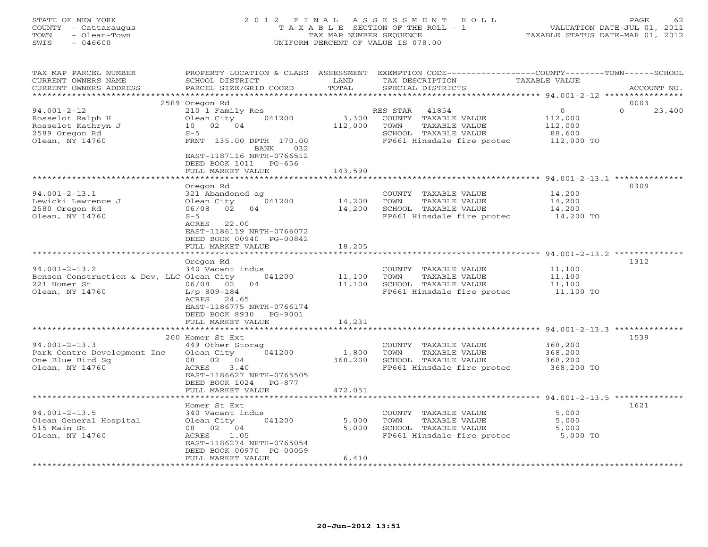# STATE OF NEW YORK 2 0 1 2 F I N A L A S S E S S M E N T R O L L PAGE 62 COUNTY - Cattaraugus T A X A B L E SECTION OF THE ROLL - 1 VALUATION DATE-JUL 01, 2011 TOWN - Olean-Town TAX MAP NUMBER SEQUENCE TAXABLE STATUS DATE-MAR 01, 2012 SWIS - 046600 UNIFORM PERCENT OF VALUE IS 078.00

| TAX MAP PARCEL NUMBER                     | PROPERTY LOCATION & CLASS ASSESSMENT            |                  |                 | EXEMPTION CODE-----------------COUNTY-------TOWN------SCHOOL |                      |                  |                  |             |
|-------------------------------------------|-------------------------------------------------|------------------|-----------------|--------------------------------------------------------------|----------------------|------------------|------------------|-------------|
| CURRENT OWNERS NAME                       | SCHOOL DISTRICT                                 | LAND             | TAX DESCRIPTION |                                                              | <b>TAXABLE VALUE</b> |                  |                  |             |
| CURRENT OWNERS ADDRESS                    | PARCEL SIZE/GRID COORD                          | TOTAL            |                 | SPECIAL DISTRICTS                                            |                      |                  |                  | ACCOUNT NO. |
| ***********************                   |                                                 |                  |                 |                                                              |                      |                  |                  |             |
|                                           | 2589 Oregon Rd                                  |                  |                 |                                                              |                      | $\Omega$         | 0003<br>$\Omega$ |             |
| $94.001 - 2 - 12$<br>Rosselot Ralph H     | 210 1 Family Res<br>Olean City<br>041200        | 3,300            | RES STAR        | 41854<br>COUNTY TAXABLE VALUE                                |                      | 112,000          |                  | 23,400      |
| Rosselot Kathryn J                        | 10<br>02 04                                     | 112,000          | TOWN            | TAXABLE VALUE                                                |                      | 112,000          |                  |             |
| 2589 Oregon Rd                            | $S-5$                                           |                  |                 | SCHOOL TAXABLE VALUE                                         |                      | 88,600           |                  |             |
| Olean, NY 14760                           | FRNT 135.00 DPTH 170.00                         |                  |                 | FP661 Hinsdale fire protec                                   |                      | 112,000 TO       |                  |             |
|                                           | BANK<br>032                                     |                  |                 |                                                              |                      |                  |                  |             |
|                                           | EAST-1187116 NRTH-0766512                       |                  |                 |                                                              |                      |                  |                  |             |
|                                           | DEED BOOK 1011 PG-656                           |                  |                 |                                                              |                      |                  |                  |             |
|                                           | FULL MARKET VALUE                               | 143,590          |                 |                                                              |                      |                  |                  |             |
|                                           |                                                 |                  |                 |                                                              |                      |                  |                  |             |
|                                           | Oregon Rd                                       |                  |                 |                                                              |                      |                  | 0309             |             |
| $94.001 - 2 - 13.1$                       | 321 Abandoned ag                                |                  |                 | COUNTY TAXABLE VALUE                                         |                      | 14,200           |                  |             |
| Lewicki Lawrence J<br>2580 Oregon Rd      | Olean City<br>041200<br>06/08<br>02<br>04       | 14,200<br>14,200 | TOWN            | TAXABLE VALUE<br>SCHOOL TAXABLE VALUE                        |                      | 14,200<br>14,200 |                  |             |
| Olean, NY 14760                           | $S-5$                                           |                  |                 | FP661 Hinsdale fire protec                                   |                      | 14,200 TO        |                  |             |
|                                           | ACRES 22.00                                     |                  |                 |                                                              |                      |                  |                  |             |
|                                           | EAST-1186119 NRTH-0766072                       |                  |                 |                                                              |                      |                  |                  |             |
|                                           | DEED BOOK 00940 PG-00842                        |                  |                 |                                                              |                      |                  |                  |             |
|                                           | FULL MARKET VALUE                               | 18,205           |                 |                                                              |                      |                  |                  |             |
|                                           | ***********************                         |                  |                 |                                                              |                      |                  |                  |             |
|                                           | Oregon Rd                                       |                  |                 |                                                              |                      |                  | 1312             |             |
| $94.001 - 2 - 13.2$                       | 340 Vacant indus                                |                  |                 | COUNTY TAXABLE VALUE                                         |                      | 11,100           |                  |             |
| Benson Construction & Dev, LLC Olean City | 041200                                          | 11,100           | TOWN            | TAXABLE VALUE                                                |                      | 11,100           |                  |             |
| 221 Homer St                              | 06/08 02<br>04                                  | 11,100           |                 | SCHOOL TAXABLE VALUE                                         |                      | 11,100           |                  |             |
| Olean, NY 14760                           | $L/p$ 809-184<br>ACRES 24.65                    |                  |                 | FP661 Hinsdale fire protec                                   |                      | 11,100 TO        |                  |             |
|                                           | EAST-1186775 NRTH-0766174                       |                  |                 |                                                              |                      |                  |                  |             |
|                                           | DEED BOOK 8930 PG-9001                          |                  |                 |                                                              |                      |                  |                  |             |
|                                           | FULL MARKET VALUE                               | 14,231           |                 |                                                              |                      |                  |                  |             |
|                                           |                                                 |                  |                 |                                                              |                      |                  |                  |             |
|                                           | 200 Homer St Ext                                |                  |                 |                                                              |                      |                  | 1539             |             |
| $94.001 - 2 - 13.3$                       | 449 Other Storag                                |                  |                 | COUNTY TAXABLE VALUE                                         |                      | 368,200          |                  |             |
| Park Centre Development Inc               | Olean City<br>041200                            | 1,800            | TOWN            | TAXABLE VALUE                                                |                      | 368,200          |                  |             |
| One Blue Bird Sq                          | 08 02 04                                        | 368,200          |                 | SCHOOL TAXABLE VALUE                                         |                      | 368,200          |                  |             |
| Olean, NY 14760                           | 3.40<br>ACRES                                   |                  |                 | FP661 Hinsdale fire protec                                   |                      | 368,200 TO       |                  |             |
|                                           | EAST-1186627 NRTH-0765505                       |                  |                 |                                                              |                      |                  |                  |             |
|                                           | DEED BOOK 1024<br>$PG-877$<br>FULL MARKET VALUE | 472,051          |                 |                                                              |                      |                  |                  |             |
|                                           | ***********************                         | ***********      |                 | ******************************* 94.001-2-13.5 ************** |                      |                  |                  |             |
|                                           | Homer St Ext                                    |                  |                 |                                                              |                      |                  | 1621             |             |
| $94.001 - 2 - 13.5$                       | 340 Vacant indus                                |                  |                 | COUNTY TAXABLE VALUE                                         |                      | 5,000            |                  |             |
| Olean General Hospital                    | 041200<br>Olean City                            | 5,000            | TOWN            | TAXABLE VALUE                                                |                      | 5,000            |                  |             |
| 515 Main St                               | 08 02 04                                        | 5,000            |                 | SCHOOL TAXABLE VALUE                                         |                      | 5,000            |                  |             |
| Olean, NY 14760                           | 1.05<br>ACRES                                   |                  |                 | FP661 Hinsdale fire protec                                   |                      | 5,000 TO         |                  |             |
|                                           | EAST-1186274 NRTH-0765054                       |                  |                 |                                                              |                      |                  |                  |             |
|                                           | DEED BOOK 00970 PG-00059                        |                  |                 |                                                              |                      |                  |                  |             |
|                                           | FULL MARKET VALUE                               | 6,410            |                 |                                                              |                      |                  |                  |             |
|                                           |                                                 |                  |                 |                                                              |                      |                  |                  |             |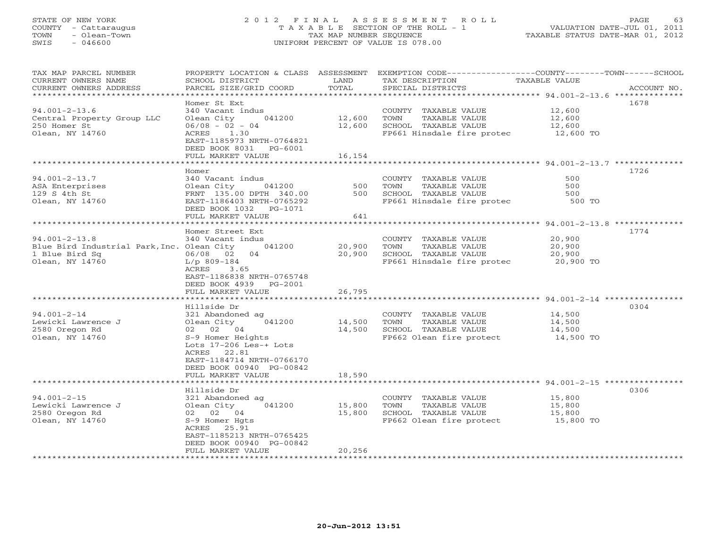# STATE OF NEW YORK 2 0 1 2 F I N A L A S S E S S M E N T R O L L PAGE 63 COUNTY - Cattaraugus T A X A B L E SECTION OF THE ROLL - 1 VALUATION DATE-JUL 01, 2011 TOWN - Olean-Town TAX MAP NUMBER SEQUENCE TAXABLE STATUS DATE-MAR 01, 2012 SWIS - 046600 UNIFORM PERCENT OF VALUE IS 078.00

| TAX MAP PARCEL NUMBER                             |                                               |            |                                                                                             | PROPERTY LOCATION & CLASS ASSESSMENT EXEMPTION CODE----------------COUNTY-------TOWN------SCHOOL |
|---------------------------------------------------|-----------------------------------------------|------------|---------------------------------------------------------------------------------------------|--------------------------------------------------------------------------------------------------|
| CURRENT OWNERS NAME                               | SCHOOL DISTRICT                               | LAND       | TAX DESCRIPTION                                                                             | TAXABLE VALUE                                                                                    |
| CURRENT OWNERS ADDRESS                            | PARCEL SIZE/GRID COORD                        | TOTAL      | SPECIAL DISTRICTS                                                                           | ACCOUNT NO.                                                                                      |
|                                                   |                                               |            |                                                                                             |                                                                                                  |
|                                                   | Homer St Ext                                  |            |                                                                                             | 1678                                                                                             |
| $94.001 - 2 - 13.6$                               | 340 Vacant indus                              |            | COUNTY TAXABLE VALUE                                                                        | 12,600                                                                                           |
| Central Property Group LLC                        | Olean City<br>041200                          | 12,600     | TAXABLE VALUE<br>TOWN                                                                       | 12,600                                                                                           |
| 250 Homer St                                      | $06/08 - 02 - 04$                             | 12,600     | SCHOOL TAXABLE VALUE                                                                        | 12,600                                                                                           |
| Olean, NY 14760                                   | ACRES 1.30                                    |            | FP661 Hinsdale fire protec 12,600 TO                                                        |                                                                                                  |
|                                                   | EAST-1185973 NRTH-0764821                     |            |                                                                                             |                                                                                                  |
|                                                   | DEED BOOK 8031 PG-6001                        |            |                                                                                             |                                                                                                  |
|                                                   | FULL MARKET VALUE                             | 16,154     |                                                                                             |                                                                                                  |
|                                                   |                                               |            |                                                                                             |                                                                                                  |
|                                                   | Homer                                         |            |                                                                                             | 1726                                                                                             |
| $94.001 - 2 - 13.7$                               | 340 Vacant indus                              |            | COUNTY TAXABLE VALUE                                                                        | 500                                                                                              |
| ASA Enterprises                                   | Olean City 041200                             | 500<br>500 | TAXABLE VALUE<br>TOWN                                                                       | 500                                                                                              |
| 129 S 4th St                                      | FRNT 135.00 DPTH 340.00                       |            | SCHOOL TAXABLE VALUE                                                                        | 500                                                                                              |
| Olean, NY 14760                                   | EAST-1186403 NRTH-0765292                     |            | FP661 Hinsdale fire protec 500 TO                                                           |                                                                                                  |
|                                                   | DEED BOOK 1032    PG-1071                     |            |                                                                                             |                                                                                                  |
|                                                   | FULL MARKET VALUE                             | 641        |                                                                                             |                                                                                                  |
|                                                   |                                               |            |                                                                                             |                                                                                                  |
|                                                   | Homer Street Ext                              |            |                                                                                             | 1774                                                                                             |
| $94.001 - 2 - 13.8$                               | 340 Vacant indus                              |            | COUNTY TAXABLE VALUE                                                                        | 20,900                                                                                           |
| Blue Bird Industrial Park, Inc. Olean City 041200 |                                               | 20,900     | TOWN<br>TAXABLE VALUE                                                                       | 20,900                                                                                           |
| 1 Blue Bird Sq                                    | 06/08 02 04                                   | 20,900     | SCHOOL TAXABLE VALUE<br>SCHOOL TAXABLE VALUE 20,900<br>FP661 Hinsdale fire protec 20,900 TO |                                                                                                  |
| Olean, NY 14760                                   | L/p 809-184                                   |            |                                                                                             |                                                                                                  |
|                                                   | ACRES 3.65                                    |            |                                                                                             |                                                                                                  |
|                                                   | EAST-1186838 NRTH-0765748                     |            |                                                                                             |                                                                                                  |
|                                                   | DEED BOOK 4939 PG-2001                        |            |                                                                                             |                                                                                                  |
|                                                   | FULL MARKET VALUE                             | 26,795     |                                                                                             |                                                                                                  |
|                                                   |                                               |            |                                                                                             |                                                                                                  |
|                                                   | Hillside Dr                                   |            |                                                                                             | 0304                                                                                             |
| $94.001 - 2 - 14$                                 | 321 Abandoned ag                              |            | COUNTY TAXABLE VALUE                                                                        | 14,500                                                                                           |
| Lewicki Lawrence J                                | Olean City 041200                             | 14,500     | TAXABLE VALUE<br>TOWN                                                                       | 14,500                                                                                           |
| 2580 Oregon Rd                                    | 02 02 04                                      | 14,500     | SCHOOL TAXABLE VALUE                                                                        | 14,500                                                                                           |
| Olean, NY 14760                                   | S-9 Homer Heights                             |            | FP662 Olean fire protect 14,500 TO                                                          |                                                                                                  |
|                                                   | Lots $17-206$ Les-+ Lots                      |            |                                                                                             |                                                                                                  |
|                                                   | ACRES 22.81                                   |            |                                                                                             |                                                                                                  |
|                                                   | EAST-1184714 NRTH-0766170                     |            |                                                                                             |                                                                                                  |
|                                                   | DEED BOOK 00940 PG-00842                      |            |                                                                                             |                                                                                                  |
|                                                   | FULL MARKET VALUE                             | 18,590     |                                                                                             |                                                                                                  |
|                                                   |                                               |            |                                                                                             |                                                                                                  |
|                                                   | Hillside Dr                                   |            |                                                                                             | 0306                                                                                             |
| $94.001 - 2 - 15$                                 | 321 Abandoned ag                              |            | COUNTY TAXABLE VALUE                                                                        | 15,800                                                                                           |
| Lewicki Lawrence J                                | 041200<br>Olean City                          | 15,800     | TOWN<br>TAXABLE VALUE                                                                       | 15,800                                                                                           |
| 2580 Oregon Rd                                    | 02 02 04                                      | 15,800     | SCHOOL TAXABLE VALUE                                                                        | 15,800                                                                                           |
| Olean, NY 14760                                   | S-9 Homer Hqts                                |            | FP662 Olean fire protect 15,800 TO                                                          |                                                                                                  |
|                                                   | ACRES 25.91                                   |            |                                                                                             |                                                                                                  |
|                                                   | EAST-1185213 NRTH-0765425                     |            |                                                                                             |                                                                                                  |
|                                                   | DEED BOOK 00940 PG-00842<br>FULL MARKET VALUE | 20,256     |                                                                                             |                                                                                                  |
|                                                   | **********************                        |            |                                                                                             |                                                                                                  |
|                                                   |                                               |            |                                                                                             |                                                                                                  |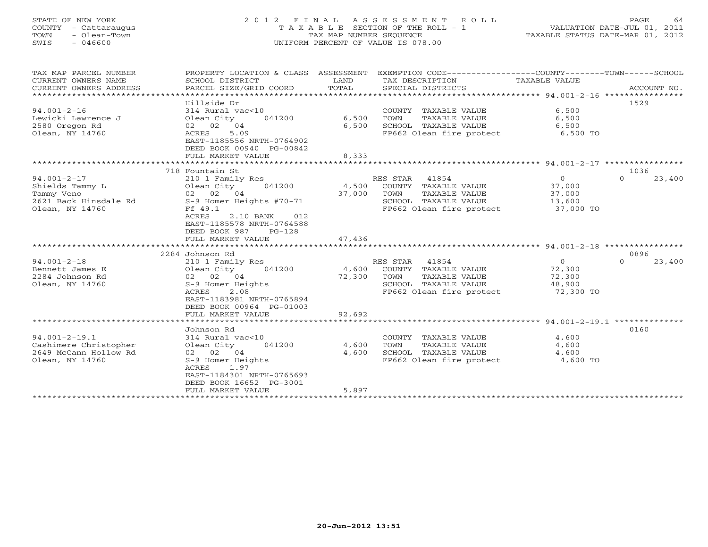#### STATE OF NEW YORK 2 0 1 2 F I N A L A S S E S S M E N T R O L L PAGE 64 COUNTY - Cattaraugus T A X A B L E SECTION OF THE ROLL - 1 VALUATION DATE-JUL 01, 2011 TOWN - Olean-Town TAX MAP NUMBER SEQUENCE TAXABLE STATUS DATE-MAR 01, 2012 SWIS - 046600 UNIFORM PERCENT OF VALUE IS 078.00UNIFORM PERCENT OF VALUE IS 078.00

| TAX MAP PARCEL NUMBER<br>CURRENT OWNERS NAME<br>CURRENT OWNERS ADDRESS | PROPERTY LOCATION & CLASS ASSESSMENT<br>SCHOOL DISTRICT<br>PARCEL SIZE/GRID COORD           | LAND<br>TOTAL | EXEMPTION CODE-----------------COUNTY-------TOWN------SCHOOL<br>TAX DESCRIPTION<br>SPECIAL DISTRICTS | TAXABLE VALUE  | ACCOUNT NO.        |
|------------------------------------------------------------------------|---------------------------------------------------------------------------------------------|---------------|------------------------------------------------------------------------------------------------------|----------------|--------------------|
|                                                                        |                                                                                             |               |                                                                                                      |                |                    |
| $94.001 - 2 - 16$                                                      | Hillside Dr<br>314 Rural vac<10                                                             |               | COUNTY TAXABLE VALUE                                                                                 | 6,500          | 1529               |
| Lewicki Lawrence J                                                     | Olean City<br>041200                                                                        | 6,500         | TOWN<br>TAXABLE VALUE                                                                                | 6,500          |                    |
| 2580 Oregon Rd                                                         | 02 02 04                                                                                    | 6,500         | SCHOOL TAXABLE VALUE                                                                                 | 6,500          |                    |
| Olean, NY 14760                                                        | 5.09<br>ACRES<br>EAST-1185556 NRTH-0764902<br>DEED BOOK 00940 PG-00842<br>FULL MARKET VALUE | 8,333         | FP662 Olean fire protect 6,500 TO                                                                    |                |                    |
|                                                                        |                                                                                             |               |                                                                                                      |                |                    |
|                                                                        | 718 Fountain St                                                                             |               |                                                                                                      |                | 1036               |
| $94.001 - 2 - 17$                                                      | 210 1 Family Res                                                                            |               | RES STAR 41854                                                                                       | $\Omega$       | $\Omega$<br>23,400 |
| Shields Tammy L                                                        | 041200<br>Olean City                                                                        | 4,500         | COUNTY TAXABLE VALUE                                                                                 | 37,000         |                    |
| Tammy Veno                                                             | 02 02 04                                                                                    | 37,000        | TOWN<br>TAXABLE VALUE                                                                                | 37,000         |                    |
| 2621 Back Hinsdale Rd                                                  | S-9 Homer Heights #70-71                                                                    |               | SCHOOL TAXABLE VALUE                                                                                 | 13,600         |                    |
| Olean, NY 14760                                                        | Ff 49.1                                                                                     |               | FP662 Olean fire protect 37,000 TO                                                                   |                |                    |
|                                                                        | ACRES<br>2.10 BANK<br>012                                                                   |               |                                                                                                      |                |                    |
|                                                                        | EAST-1185578 NRTH-0764588<br>$PG-128$                                                       |               |                                                                                                      |                |                    |
|                                                                        | DEED BOOK 987<br>FULL MARKET VALUE                                                          | 47,436        |                                                                                                      |                |                    |
|                                                                        |                                                                                             |               |                                                                                                      |                |                    |
|                                                                        | 2284 Johnson Rd                                                                             |               |                                                                                                      |                | 0896               |
| $94.001 - 2 - 18$                                                      | 210 1 Family Res                                                                            |               | RES STAR 41854                                                                                       | $\overline{0}$ | $\Omega$<br>23,400 |
| Bennett James E                                                        | 041200<br>Olean City                                                                        | 4,600         | COUNTY TAXABLE VALUE                                                                                 | 72,300         |                    |
| 2284 Johnson Rd                                                        | 02 02 04                                                                                    | 72,300        | TAXABLE VALUE<br>TOWN                                                                                | 72,300         |                    |
| Olean, NY 14760                                                        | S-9 Homer Heights                                                                           |               | SCHOOL TAXABLE VALUE                                                                                 | 48,900         |                    |
|                                                                        | ACRES<br>2.08                                                                               |               | FP662 Olean fire protect                                                                             | 72,300 TO      |                    |
|                                                                        | EAST-1183981 NRTH-0765894                                                                   |               |                                                                                                      |                |                    |
|                                                                        | DEED BOOK 00964 PG-01003                                                                    |               |                                                                                                      |                |                    |
|                                                                        | FULL MARKET VALUE                                                                           | 92,692        |                                                                                                      |                |                    |
|                                                                        | Johnson Rd                                                                                  |               |                                                                                                      |                | 0160               |
| $94.001 - 2 - 19.1$                                                    | 314 Rural vac<10                                                                            |               | COUNTY TAXABLE VALUE                                                                                 | 4,600          |                    |
| Cashimere Christopher                                                  | Olean City<br>041200                                                                        | 4,600         | TAXABLE VALUE<br>TOWN                                                                                | 4,600          |                    |
| 2649 McCann Hollow Rd                                                  | 02 02 04                                                                                    | 4,600         | SCHOOL TAXABLE VALUE                                                                                 | 4,600          |                    |
| Olean, NY 14760                                                        | S-9 Homer Heights                                                                           |               | FP662 Olean fire protect                                                                             | 4,600 TO       |                    |
|                                                                        | ACRES<br>1.97                                                                               |               |                                                                                                      |                |                    |
|                                                                        | EAST-1184301 NRTH-0765693                                                                   |               |                                                                                                      |                |                    |
|                                                                        | DEED BOOK 16652 PG-3001                                                                     |               |                                                                                                      |                |                    |
|                                                                        | FULL MARKET VALUE                                                                           | 5,897         |                                                                                                      |                |                    |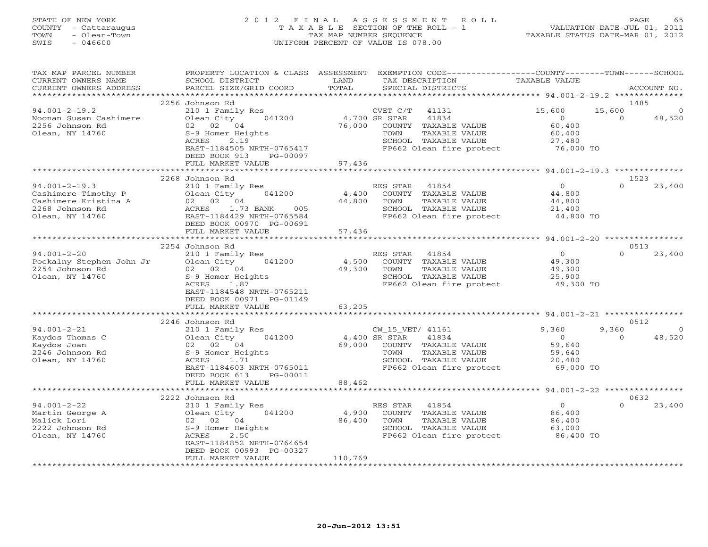# STATE OF NEW YORK 2 0 1 2 F I N A L A S S E S S M E N T R O L L PAGE 65 COUNTY - Cattaraugus T A X A B L E SECTION OF THE ROLL - 1 VALUATION DATE-JUL 01, 2011 TOWN - Olean-Town TAX MAP NUMBER SEQUENCE TAXABLE STATUS DATE-MAR 01, 2012 SWIS - 046600 UNIFORM PERCENT OF VALUE IS 078.00

| TAX MAP PARCEL NUMBER<br>CURRENT OWNERS NAME<br>CURRENT OWNERS ADDRESS<br>**********************         | PROPERTY LOCATION & CLASS ASSESSMENT<br>SCHOOL DISTRICT<br>PARCEL SIZE/GRID COORD                                                                             | LAND<br>TAX DESCRIPTION<br>TOTAL<br>SPECIAL DISTRICTS                                                                                                     | EXEMPTION CODE-----------------COUNTY-------TOWN------SCHOOL<br>TAXABLE VALUE<br>ACCOUNT NO. |
|----------------------------------------------------------------------------------------------------------|---------------------------------------------------------------------------------------------------------------------------------------------------------------|-----------------------------------------------------------------------------------------------------------------------------------------------------------|----------------------------------------------------------------------------------------------|
|                                                                                                          |                                                                                                                                                               |                                                                                                                                                           |                                                                                              |
| $94.001 - 2 - 19.2$<br>Noonan Susan Cashimere<br>2256 Johnson Rd<br>Olean, NY 14760                      | 2256 Johnson Rd<br>210 1 Family Res<br>Olean City<br>041200<br>02 02 04<br>S-9 Homer Heights                                                                  | CVET C/T<br>41131<br>4,700 SR STAR<br>41834<br>76,000<br>TAXABLE VALUE<br>COUNTY<br>TAXABLE VALUE<br>TOWN                                                 | 1485<br>15,600<br>15,600<br>$\Omega$<br>48,520<br>$\Omega$<br>60,400<br>60,400               |
|                                                                                                          | ACRES<br>2.19<br>EAST-1184505 NRTH-0765417<br>DEED BOOK 913<br>PG-00097<br>FULL MARKET VALUE                                                                  | SCHOOL TAXABLE VALUE<br>FP662 Olean fire protect<br>97,436                                                                                                | 27,480<br>76,000 TO                                                                          |
|                                                                                                          |                                                                                                                                                               |                                                                                                                                                           |                                                                                              |
| $94.001 - 2 - 19.3$<br>Cashimere Timothy P<br>Cashimere Kristina A<br>2268 Johnson Rd<br>Olean, NY 14760 | 2268 Johnson Rd<br>210 1 Family Res<br>Olean City<br>041200<br>02 02 04<br>1.73 BANK<br>ACRES<br>005<br>EAST-1184429 NRTH-0765584<br>DEED BOOK 00970 PG-00691 | RES STAR<br>41854<br>4,400<br>COUNTY TAXABLE VALUE<br>44,800<br>TAXABLE VALUE<br>TOWN<br>SCHOOL TAXABLE VALUE<br>FP662 Olean fire protect                 | 1523<br>$\overline{O}$<br>$\Omega$<br>23,400<br>44,800<br>44,800<br>21,400<br>44,800 TO      |
|                                                                                                          | FULL MARKET VALUE                                                                                                                                             | 57,436                                                                                                                                                    |                                                                                              |
|                                                                                                          | **********************<br>2254 Johnson Rd                                                                                                                     |                                                                                                                                                           | 0513                                                                                         |
| $94.001 - 2 - 20$<br>Pockalny Stephen John Jr<br>2254 Johnson Rd<br>Olean, NY 14760                      | 210 1 Family Res<br>Olean City<br>041200<br>02 02 04<br>S-9 Homer Heights<br>ACRES<br>1.87<br>EAST-1184548 NRTH-0765211                                       | RES STAR<br>41854<br>4,500<br>COUNTY TAXABLE VALUE<br>49,300<br>TAXABLE VALUE<br>TOWN<br>SCHOOL TAXABLE VALUE<br>FP662 Olean fire protect                 | $\circ$<br>$\Omega$<br>23,400<br>49,300<br>49,300<br>25,900<br>49,300 TO                     |
|                                                                                                          | DEED BOOK 00971 PG-01149<br>FULL MARKET VALUE                                                                                                                 | 63,205                                                                                                                                                    |                                                                                              |
|                                                                                                          |                                                                                                                                                               |                                                                                                                                                           |                                                                                              |
| $94.001 - 2 - 21$                                                                                        | 2246 Johnson Rd                                                                                                                                               |                                                                                                                                                           | 0512<br>9,360<br>9,360                                                                       |
| Kaydos Thomas C<br>Kaydos Joan<br>2246 Johnson Rd<br>Olean, NY 14760                                     | 210 1 Family Res<br>Olean City<br>041200<br>02 02 04<br>S-9 Homer Heights<br>1.71<br>ACRES<br>EAST-1184603 NRTH-0765011<br>DEED BOOK 613<br>PG-00011          | CW_15_VET/ 41161<br>4,400 SR STAR<br>41834<br>69,000<br>COUNTY TAXABLE VALUE<br>TOWN<br>TAXABLE VALUE<br>SCHOOL TAXABLE VALUE<br>FP662 Olean fire protect | $\circ$<br>48,520<br>$\Omega$<br>59,640<br>59,640<br>20,480<br>69,000 TO                     |
|                                                                                                          | FULL MARKET VALUE                                                                                                                                             | 88,462                                                                                                                                                    |                                                                                              |
|                                                                                                          | 2222 Johnson Rd                                                                                                                                               |                                                                                                                                                           | 0632                                                                                         |
| $94.001 - 2 - 22$<br>Martin George A<br>Malick Lori<br>2222 Johnson Rd<br>Olean, NY 14760                | 210 1 Family Res<br>041200<br>Olean City<br>02 02 04<br>S-9 Homer Heights<br>2.50<br>ACRES<br>EAST-1184852 NRTH-0764654<br>DEED BOOK 00993 PG-00327           | 41854<br>RES STAR<br>4,900<br>COUNTY<br>TAXABLE VALUE<br>86,400<br>TOWN<br>TAXABLE VALUE<br>SCHOOL TAXABLE VALUE<br>FP662 Olean fire protect              | $\circ$<br>$\Omega$<br>23,400<br>86,400<br>86,400<br>63,000<br>86,400 TO                     |
|                                                                                                          | FULL MARKET VALUE<br>**********************                                                                                                                   | 110,769<br>* * * * * * * * * * * * * * * *                                                                                                                |                                                                                              |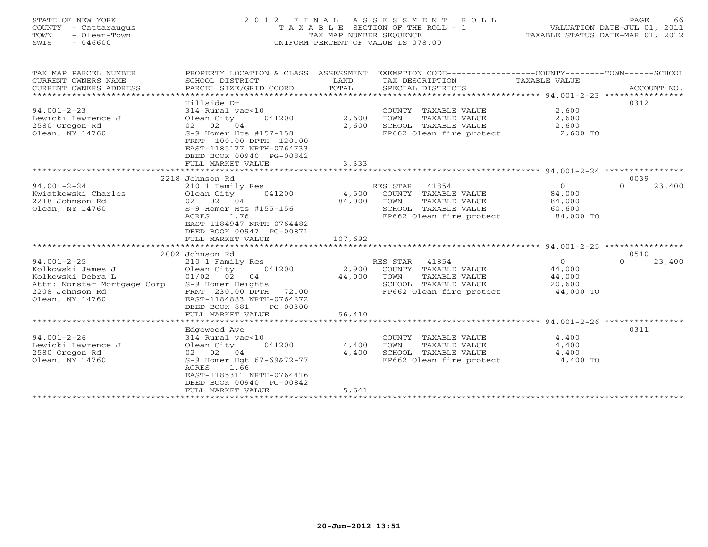# STATE OF NEW YORK 2 0 1 2 F I N A L A S S E S S M E N T R O L L PAGE 66 COUNTY - Cattaraugus T A X A B L E SECTION OF THE ROLL - 1 VALUATION DATE-JUL 01, 2011 TOWN - Olean-Town TAX MAP NUMBER SEQUENCE TAXABLE STATUS DATE-MAR 01, 2012 SWIS - 046600 UNIFORM PERCENT OF VALUE IS 078.00

|                                                                                                                                                                                                     |                                                                                                                          | SPECIAL DISTRICTS                                                              | ***************** 94.001-2-23 *****************           | ACCOUNT NO.                                                                                                                                                                                                                      |
|-----------------------------------------------------------------------------------------------------------------------------------------------------------------------------------------------------|--------------------------------------------------------------------------------------------------------------------------|--------------------------------------------------------------------------------|-----------------------------------------------------------|----------------------------------------------------------------------------------------------------------------------------------------------------------------------------------------------------------------------------------|
| 314 Rural vac<10<br>Olean City<br>041200<br>02 02 04<br>S-9 Homer Hts #157-158<br>FRNT 100.00 DPTH 120.00<br>EAST-1185177 NRTH-0764733<br>DEED BOOK 00940 PG-00842                                  | 2,600<br>2,600                                                                                                           | COUNTY TAXABLE VALUE<br>TAXABLE VALUE<br>TOWN<br>SCHOOL TAXABLE VALUE          | 2,600<br>2,600<br>2,600<br>2,600 TO                       | 0312                                                                                                                                                                                                                             |
|                                                                                                                                                                                                     |                                                                                                                          |                                                                                |                                                           |                                                                                                                                                                                                                                  |
|                                                                                                                                                                                                     |                                                                                                                          |                                                                                |                                                           | 0039                                                                                                                                                                                                                             |
| 210 1 Family Res<br>Olean City<br>041200<br>02 02 04<br>S-9 Homer Hts #155-156<br>1.76<br><b>ACRES</b><br>EAST-1184947 NRTH-0764482<br>DEED BOOK 00947 PG-00871                                     | 4,500<br>84,000                                                                                                          | COUNTY TAXABLE VALUE<br>TOWN<br>TAXABLE VALUE<br>SCHOOL TAXABLE VALUE          | $\overline{0}$<br>84,000<br>84,000<br>60,600<br>84,000 TO | $\Omega$<br>23,400                                                                                                                                                                                                               |
|                                                                                                                                                                                                     |                                                                                                                          |                                                                                |                                                           |                                                                                                                                                                                                                                  |
| 2002 Johnson Rd<br>210 1 Family Res<br>041200<br>Olean City<br>$01/02$ 02<br>04<br>S-9 Homer Heights<br>FRNT 230.00 DPTH 72.00<br>EAST-1184883 NRTH-0764272<br>DEED BOOK 881<br>PG-00300            | 2,900<br>44,000                                                                                                          | 41854<br>COUNTY TAXABLE VALUE<br>TAXABLE VALUE<br>TOWN<br>SCHOOL TAXABLE VALUE | $\Omega$<br>44,000<br>44,000<br>20,600<br>44,000 TO       | 0510<br>23,400<br>$\Omega$                                                                                                                                                                                                       |
|                                                                                                                                                                                                     |                                                                                                                          |                                                                                |                                                           |                                                                                                                                                                                                                                  |
| Edgewood Ave<br>314 Rural vac<10<br>Olean City<br>041200<br>02 04<br>02<br>S-9 Homer Hgt 67-69&72-77<br>1.66<br>ACRES<br>EAST-1185311 NRTH-0764416<br>DEED BOOK 00940 PG-00842<br>FULL MARKET VALUE | 4,400<br>4,400<br>5,641                                                                                                  | COUNTY TAXABLE VALUE<br>TOWN<br>TAXABLE VALUE<br>SCHOOL TAXABLE VALUE          | 4,400<br>4,400<br>4,400<br>4,400 TO                       | 0311                                                                                                                                                                                                                             |
|                                                                                                                                                                                                     | Hillside Dr<br>FULL MARKET VALUE<br>2218 Johnson Rd<br>FULL MARKET VALUE<br>FULL MARKET VALUE<br>*********************** | 3,333<br>107,692<br>56,410<br>**********                                       | ***********<br>RES STAR 41854<br>RES STAR                 | FP662 Olean fire protect<br>********************** 94.001-2-24 *****************<br>FP662 Olean fire protect<br>FP662 Olean fire protect<br>************************** 94.001-2-26 *****************<br>FP662 Olean fire protect |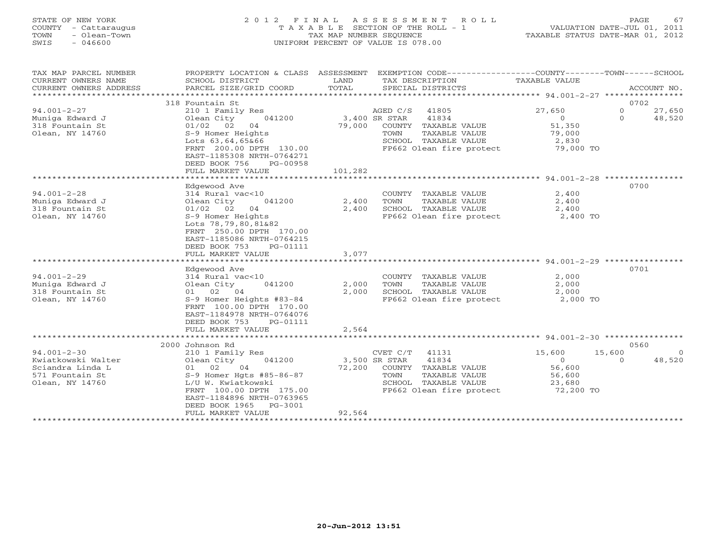# STATE OF NEW YORK 2 0 1 2 F I N A L A S S E S S M E N T R O L L PAGE 67 COUNTY - Cattaraugus T A X A B L E SECTION OF THE ROLL - 1 VALUATION DATE-JUL 01, 2011 TOWN - Olean-Town TAX MAP NUMBER SEQUENCE TAXABLE STATUS DATE-MAR 01, 2012 SWIS - 046600 UNIFORM PERCENT OF VALUE IS 078.00

| TAX MAP PARCEL NUMBER<br>CURRENT OWNERS NAME<br>CURRENT OWNERS ADDRESS | SCHOOL DISTRICT<br>PARCEL SIZE/GRID COORD | LAND<br>TOTAL | PROPERTY LOCATION & CLASS ASSESSMENT EXEMPTION CODE----------------COUNTY-------TOWN------SCHOOL<br>TAX DESCRIPTION<br>SPECIAL DISTRICTS | TAXABLE VALUE | ACCOUNT NO.              |
|------------------------------------------------------------------------|-------------------------------------------|---------------|------------------------------------------------------------------------------------------------------------------------------------------|---------------|--------------------------|
|                                                                        |                                           |               |                                                                                                                                          |               |                          |
|                                                                        | 318 Fountain St                           |               |                                                                                                                                          |               | 0702                     |
| $94.001 - 2 - 27$                                                      | 210 1 Family Res                          |               | AGED C/S 41805                                                                                                                           | 27,650        | $\overline{0}$<br>27,650 |
| Muniga Edward J                                                        | Olean City<br>041200                      | 3,400 SR STAR | 41834                                                                                                                                    | 0             | $\Omega$<br>48,520       |
| 318 Fountain St                                                        | 01/02 02 04                               | 79,000        | COUNTY TAXABLE VALUE                                                                                                                     | 51,350        |                          |
| Olean, NY 14760                                                        | S-9 Homer Heights                         |               | TOWN<br>TAXABLE VALUE                                                                                                                    | 79,000        |                          |
|                                                                        | Lots 63,64,65&66                          |               | SCHOOL TAXABLE VALUE                                                                                                                     | 2,830         |                          |
|                                                                        | FRNT 200.00 DPTH 130.00                   |               | FP662 Olean fire protect 79,000 TO                                                                                                       |               |                          |
|                                                                        | EAST-1185308 NRTH-0764271                 |               |                                                                                                                                          |               |                          |
|                                                                        | DEED BOOK 756<br>PG-00958                 |               |                                                                                                                                          |               |                          |
|                                                                        | FULL MARKET VALUE                         | 101,282       |                                                                                                                                          |               |                          |
|                                                                        |                                           |               |                                                                                                                                          |               |                          |
|                                                                        | Edgewood Ave                              |               |                                                                                                                                          |               | 0700                     |
| $94.001 - 2 - 28$                                                      | 314 Rural vac<10                          |               | COUNTY TAXABLE VALUE                                                                                                                     | 2,400         |                          |
| Muniqa Edward J                                                        | 041200<br>Olean City                      | 2,400         | TOWN<br>TAXABLE VALUE                                                                                                                    | 2,400         |                          |
| 318 Fountain St                                                        | $01/02$ 02 04                             | 2,400         | SCHOOL TAXABLE VALUE                                                                                                                     | 2,400         |                          |
| Olean, NY 14760                                                        | S-9 Homer Heights                         |               | FP662 Olean fire protect 2,400 TO                                                                                                        |               |                          |
|                                                                        | Lots 78,79,80,81&82                       |               |                                                                                                                                          |               |                          |
|                                                                        | FRNT 250.00 DPTH 170.00                   |               |                                                                                                                                          |               |                          |
|                                                                        | EAST-1185086 NRTH-0764215                 |               |                                                                                                                                          |               |                          |
|                                                                        | DEED BOOK 753<br>PG-01111                 |               |                                                                                                                                          |               |                          |
|                                                                        | FULL MARKET VALUE                         | 3,077         |                                                                                                                                          |               |                          |
|                                                                        |                                           |               |                                                                                                                                          |               |                          |
|                                                                        | Edgewood Ave                              |               |                                                                                                                                          |               | 0701                     |
| $94.001 - 2 - 29$                                                      | 314 Rural vac<10                          |               | COUNTY TAXABLE VALUE                                                                                                                     | 2,000         |                          |
| Muniga Edward J                                                        | Olean City<br>041200                      | 2,000         | TAXABLE VALUE<br>TOWN                                                                                                                    | 2,000         |                          |
| 318 Fountain St                                                        | 01 02 04                                  | 2,000         | SCHOOL TAXABLE VALUE                                                                                                                     | 2,000         |                          |
| Olean, NY 14760                                                        | S-9 Homer Heights #83-84                  |               | FP662 Olean fire protect                                                                                                                 | 2,000 TO      |                          |
|                                                                        | FRNT 100.00 DPTH 170.00                   |               |                                                                                                                                          |               |                          |
|                                                                        | EAST-1184978 NRTH-0764076                 |               |                                                                                                                                          |               |                          |
|                                                                        | DEED BOOK 753<br>PG-01111                 |               |                                                                                                                                          |               |                          |
|                                                                        | FULL MARKET VALUE                         | 2,564         |                                                                                                                                          |               |                          |
|                                                                        |                                           |               |                                                                                                                                          |               |                          |
|                                                                        | 2000 Johnson Rd                           |               |                                                                                                                                          |               | 0560                     |
| $94.001 - 2 - 30$                                                      | 210 1 Family Res                          |               | CVET C/T<br>41131                                                                                                                        | 15,600        | 15,600<br>$\bigcirc$     |
| Kwiatkowski Walter                                                     | Olean City<br>041200                      |               | 3,500 SR STAR<br>41834                                                                                                                   | $\Omega$      | 48,520<br>$\Omega$       |
| Sciandra Linda L                                                       | 01 02<br>04                               | 72,200        | COUNTY TAXABLE VALUE                                                                                                                     | 56,600        |                          |
| 571 Fountain St                                                        | $S-9$ Homer Hgts #85-86-87                |               | TAXABLE VALUE<br>TOWN                                                                                                                    | 56,600        |                          |
| Olean, NY 14760                                                        | L/U W. Kwiatkowski                        |               | SCHOOL TAXABLE VALUE                                                                                                                     | 23,680        |                          |
|                                                                        | FRNT 100.00 DPTH 175.00                   |               | FP662 Olean fire protect 72,200 TO                                                                                                       |               |                          |
|                                                                        | EAST-1184896 NRTH-0763965                 |               |                                                                                                                                          |               |                          |
|                                                                        | DEED BOOK 1965<br>PG-3001                 |               |                                                                                                                                          |               |                          |
|                                                                        | FULL MARKET VALUE                         | 92,564        |                                                                                                                                          |               |                          |
|                                                                        |                                           |               |                                                                                                                                          |               |                          |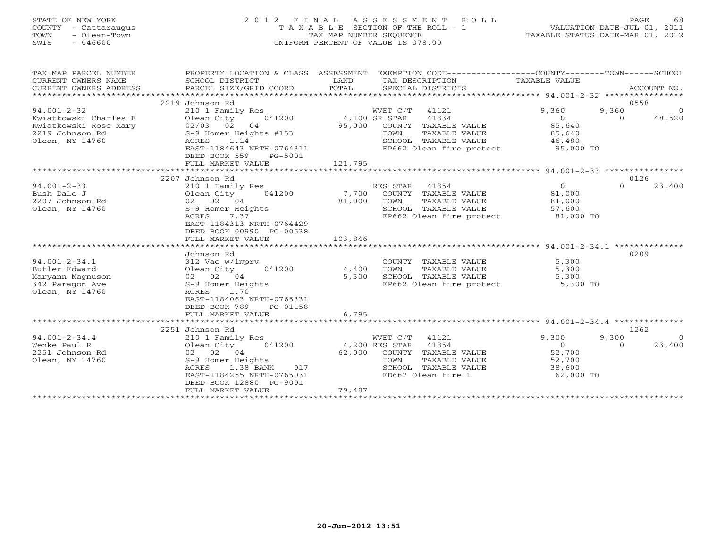#### STATE OF NEW YORK 2 0 1 2 F I N A L A S S E S S M E N T R O L L PAGE 68 COUNTY - Cattaraugus T A X A B L E SECTION OF THE ROLL - 1 VALUATION DATE-JUL 01, 2011 TOWN - Olean-Town TAX MAP NUMBER SEQUENCE TAXABLE STATUS DATE-MAR 01, 2012 SWIS - 046600 UNIFORM PERCENT OF VALUE IS 078.00

| TAX MAP PARCEL NUMBER<br>CURRENT OWNERS NAME<br>CURRENT OWNERS ADDRESS | PROPERTY LOCATION & CLASS ASSESSMENT<br>SCHOOL DISTRICT<br>PARCEL SIZE/GRID COORD | LAND<br>TOTAL        |                | EXEMPTION CODE-----------------COUNTY-------TOWN------SCHOOL<br>TAX DESCRIPTION<br>SPECIAL DISTRICTS | TAXABLE VALUE     |          | ACCOUNT NO.    |
|------------------------------------------------------------------------|-----------------------------------------------------------------------------------|----------------------|----------------|------------------------------------------------------------------------------------------------------|-------------------|----------|----------------|
|                                                                        | 2219 Johnson Rd                                                                   |                      |                |                                                                                                      |                   | 0558     |                |
| $94.001 - 2 - 32$                                                      | 210 1 Family Res                                                                  |                      | WVET C/T 41121 |                                                                                                      | 9,360             | 9,360    | $\overline{0}$ |
| Kwiatkowski Charles F                                                  | 041200 4,100 SR STAR<br>Olean City                                                |                      |                | 41834                                                                                                | $\overline{0}$    | $\Omega$ | 48,520         |
| Kwiatkowski Rose Mary                                                  | $02/03$ 02<br>S-9 Homor 1                                                         | 95,000               |                | COUNTY TAXABLE VALUE                                                                                 | 85,640            |          |                |
| 2219 Johnson Rd                                                        | S-9 Homer Heights #153                                                            |                      | TOWN           | TAXABLE VALUE                                                                                        | 85,640            |          |                |
| Olean, NY 14760                                                        | 1.14<br>ACRES                                                                     |                      |                | SCHOOL TAXABLE VALUE                                                                                 | 46,480            |          |                |
|                                                                        | EAST-1184643 NRTH-0764311<br>DEED BOOK 559<br>PG-5001                             |                      |                | FP662 Olean fire protect 55,000 TO                                                                   |                   |          |                |
|                                                                        | FULL MARKET VALUE                                                                 | 121,795              |                |                                                                                                      |                   |          |                |
|                                                                        |                                                                                   |                      |                |                                                                                                      |                   |          |                |
|                                                                        | 2207 Johnson Rd                                                                   |                      |                |                                                                                                      |                   | 0126     |                |
| $94.001 - 2 - 33$                                                      | 210 1 Family Res                                                                  |                      | RES STAR 41854 |                                                                                                      | $\overline{0}$    | $\Omega$ | 23,400         |
| Bush Dale J                                                            | 041200<br>Olean City                                                              | 7,700                |                | COUNTY TAXABLE VALUE                                                                                 | 81,000            |          |                |
| 2207 Johnson Rd                                                        | 02 02 04                                                                          | 81,000               | TOWN           | TAXABLE VALUE                                                                                        | 81,000            |          |                |
| Olean, NY 14760                                                        | S-9 Homer Heights                                                                 |                      |                | SCHOOL TAXABLE VALUE                                                                                 | $6 + 7 = 57,600$  |          |                |
|                                                                        | 7.37<br>ACRES                                                                     |                      |                | FP662 Olean fire protect 81,000 TO                                                                   |                   |          |                |
|                                                                        | EAST-1184313 NRTH-0764429                                                         |                      |                |                                                                                                      |                   |          |                |
|                                                                        | DEED BOOK 00990 PG-00538<br>FULL MARKET VALUE                                     | 103,846              |                |                                                                                                      |                   |          |                |
|                                                                        |                                                                                   |                      |                |                                                                                                      |                   |          |                |
|                                                                        | Johnson Rd                                                                        |                      |                |                                                                                                      |                   | 0209     |                |
| $94.001 - 2 - 34.1$                                                    | 312 Vac w/imprv                                                                   |                      |                | COUNTY TAXABLE VALUE                                                                                 | 5,300             |          |                |
| Butler Edward                                                          | 041200 4,400<br>Olean City                                                        |                      | TOWN           | TAXABLE VALUE                                                                                        | 5,300             |          |                |
| Maryann Magnuson                                                       | 02 02 04                                                                          | 5,300                |                | SCHOOL TAXABLE VALUE                                                                                 | 5,300             |          |                |
| 342 Paragon Ave                                                        | S-9 Homer Heights                                                                 |                      |                | FP662 Olean fire protect                                                                             | 5,300<br>5,300 TO |          |                |
| Olean, NY 14760                                                        | 1.70<br>ACRES                                                                     |                      |                |                                                                                                      |                   |          |                |
|                                                                        | EAST-1184063 NRTH-0765331                                                         |                      |                |                                                                                                      |                   |          |                |
|                                                                        | DEED BOOK 789<br>PG-01158                                                         |                      |                |                                                                                                      |                   |          |                |
|                                                                        | FULL MARKET VALUE                                                                 | 6,795                |                |                                                                                                      |                   |          |                |
|                                                                        |                                                                                   |                      |                |                                                                                                      |                   |          |                |
|                                                                        | 2251 Johnson Rd                                                                   |                      |                |                                                                                                      |                   | 1262     |                |
| $94.001 - 2 - 34.4$                                                    | 210 1 Family Res                                                                  |                      | WVET C/T 41121 |                                                                                                      | 9,300             | 9,300    | $\bigcirc$     |
| Wenke Paul R                                                           | 041200<br>Olean City                                                              | 4,200 RES STAR 41854 |                |                                                                                                      | $\overline{0}$    | $\Omega$ | 23,400         |
| 2251 Johnson Rd                                                        | 02 02 04                                                                          |                      |                | 62,000 COUNTY TAXABLE VALUE                                                                          | 52,700            |          |                |
| Olean, NY 14760                                                        | S-9 Homer Heights                                                                 |                      | TOWN           |                                                                                                      | 52,700            |          |                |
|                                                                        | ACRES<br>1.38 BANK<br>017                                                         |                      |                | TOWN      TAXABLE VALUE<br>SCHOOL   TAXABLE VALUE                                                    | 38,600            |          |                |
|                                                                        | EAST-1184255 NRTH-0765031                                                         |                      |                | FD667 Olean fire 1                                                                                   | 62,000 TO         |          |                |
|                                                                        | DEED BOOK 12880 PG-9001                                                           |                      |                |                                                                                                      |                   |          |                |
|                                                                        | FULL MARKET VALUE                                                                 | 79,487               |                |                                                                                                      |                   |          |                |
|                                                                        |                                                                                   |                      |                |                                                                                                      |                   |          |                |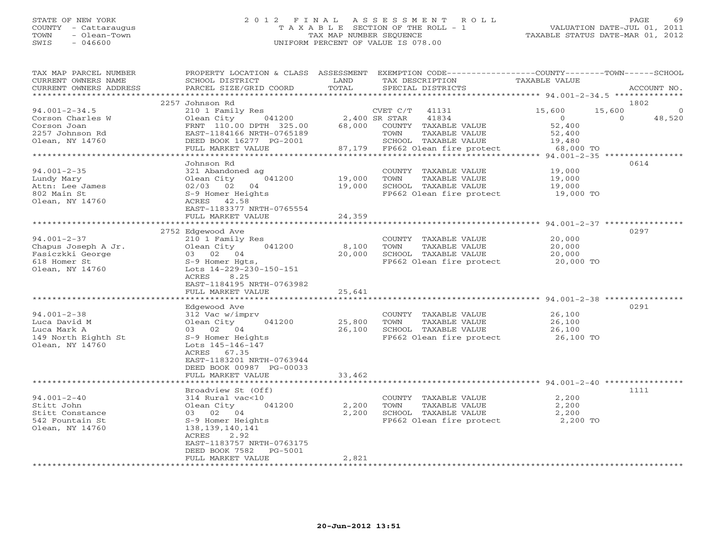# STATE OF NEW YORK 2 0 1 2 F I N A L A S S E S S M E N T R O L L PAGE 69 COUNTY - Cattaraugus T A X A B L E SECTION OF THE ROLL - 1 VALUATION DATE-JUL 01, 2011 TOWN - Olean-Town TAX MAP NUMBER SEQUENCE TAXABLE STATUS DATE-MAR 01, 2012 SWIS - 046600 UNIFORM PERCENT OF VALUE IS 078.00

| TAX MAP PARCEL NUMBER<br>CURRENT OWNERS NAME<br>CURRENT OWNERS ADDRESS | PROPERTY LOCATION & CLASS ASSESSMENT<br>SCHOOL DISTRICT<br>PARCEL SIZE/GRID COORD | LAND<br>TOTAL        | EXEMPTION CODE-----------------COUNTY-------TOWN------SCHOOL<br>TAX DESCRIPTION<br>SPECIAL DISTRICTS | <b>TAXABLE VALUE</b> | ACCOUNT NO.                                            |
|------------------------------------------------------------------------|-----------------------------------------------------------------------------------|----------------------|------------------------------------------------------------------------------------------------------|----------------------|--------------------------------------------------------|
| *********************                                                  |                                                                                   |                      |                                                                                                      |                      |                                                        |
|                                                                        | 2257 Johnson Rd                                                                   |                      |                                                                                                      |                      | 1802                                                   |
| $94.001 - 2 - 34.5$                                                    | 210 1 Family Res                                                                  |                      | $CVET C/T$ 41131<br>41834                                                                            | 15,600<br>$\Omega$   | 15,600<br>$\Omega$<br>$\Omega$                         |
| Corson Charles W<br>Corson Joan                                        | 041200<br>Olean City<br>FRNT 110.00 DPTH 325.00                                   | 68,000               | 2,400 SR STAR<br>COUNTY TAXABLE VALUE                                                                | 52,400               | 48,520                                                 |
| 2257 Johnson Rd                                                        | EAST-1184166 NRTH-0765189                                                         |                      | TAXABLE VALUE<br>TOWN                                                                                | 52,400               |                                                        |
| Olean, NY 14760                                                        | DEED BOOK 16277 PG-2001                                                           |                      | SCHOOL TAXABLE VALUE                                                                                 | 19,480               |                                                        |
|                                                                        | FULL MARKET VALUE                                                                 | 87,179               | FP662 Olean fire protect                                                                             | 68,000 TO            |                                                        |
|                                                                        | ****************                                                                  | ******************** | ************************************* 94.001-2-35 *****************                                  |                      |                                                        |
|                                                                        | Johnson Rd                                                                        |                      |                                                                                                      |                      | 0614                                                   |
| $94.001 - 2 - 35$                                                      | 321 Abandoned ag                                                                  |                      | COUNTY TAXABLE VALUE                                                                                 | 19,000               |                                                        |
| Lundy Mary                                                             | 041200<br>Olean City                                                              | 19,000               | TAXABLE VALUE<br>TOWN                                                                                | 19,000               |                                                        |
| Attn: Lee James<br>802 Main St                                         | 02/03 02 04<br>S-9 Homer Heights                                                  | 19,000               | SCHOOL TAXABLE VALUE<br>FP662 Olean fire protect                                                     | 19,000<br>19,000 TO  |                                                        |
| Olean, NY 14760                                                        | ACRES 42.58                                                                       |                      |                                                                                                      |                      |                                                        |
|                                                                        | EAST-1183377 NRTH-0765554                                                         |                      |                                                                                                      |                      |                                                        |
|                                                                        | FULL MARKET VALUE                                                                 | 24,359               |                                                                                                      |                      |                                                        |
|                                                                        |                                                                                   | *********            |                                                                                                      |                      | ************************ 94.001-2-37 ***************** |
|                                                                        | 2752 Edgewood Ave                                                                 |                      |                                                                                                      |                      | 0297                                                   |
| $94.001 - 2 - 37$                                                      | 210 1 Family Res                                                                  |                      | COUNTY TAXABLE VALUE                                                                                 | 20,000               |                                                        |
| Chapus Joseph A Jr.                                                    | Olean City<br>041200                                                              | 8,100                | TOWN<br>TAXABLE VALUE                                                                                | 20,000               |                                                        |
| Fasiczkki George                                                       | 03 02 04                                                                          | 20,000               | SCHOOL TAXABLE VALUE                                                                                 | 20,000               |                                                        |
| 618 Homer St                                                           | S-9 Homer Hgts,                                                                   |                      | FP662 Olean fire protect                                                                             | 20,000 TO            |                                                        |
| Olean, NY 14760                                                        | Lots 14-229-230-150-151<br>ACRES<br>8.25                                          |                      |                                                                                                      |                      |                                                        |
|                                                                        | EAST-1184195 NRTH-0763982                                                         |                      |                                                                                                      |                      |                                                        |
|                                                                        | FULL MARKET VALUE                                                                 | 25,641               |                                                                                                      |                      |                                                        |
|                                                                        | **********************                                                            | *************        |                                                                                                      |                      |                                                        |
|                                                                        | Edgewood Ave                                                                      |                      |                                                                                                      |                      | 0291                                                   |
| $94.001 - 2 - 38$                                                      | 312 Vac w/imprv                                                                   |                      | COUNTY TAXABLE VALUE                                                                                 | 26,100               |                                                        |
| Luca David M                                                           | Olean City<br>041200                                                              | 25,800               | TOWN<br>TAXABLE VALUE                                                                                | 26,100               |                                                        |
| Luca Mark A                                                            | 03 02 04                                                                          | 26,100               | SCHOOL TAXABLE VALUE                                                                                 | 26,100               |                                                        |
| 149 North Eighth St                                                    | S-9 Homer Heights                                                                 |                      | FP662 Olean fire protect                                                                             | 26,100 TO            |                                                        |
| Olean, NY 14760                                                        | Lots 145-146-147<br>ACRES 67.35                                                   |                      |                                                                                                      |                      |                                                        |
|                                                                        | EAST-1183201 NRTH-0763944                                                         |                      |                                                                                                      |                      |                                                        |
|                                                                        | DEED BOOK 00987 PG-00033                                                          |                      |                                                                                                      |                      |                                                        |
|                                                                        | FULL MARKET VALUE                                                                 | 33,462               |                                                                                                      |                      |                                                        |
| ***********************                                                | ********************                                                              |                      |                                                                                                      |                      |                                                        |
|                                                                        | Broadview St (Off)                                                                |                      |                                                                                                      |                      | 1111                                                   |
| $94.001 - 2 - 40$                                                      | 314 Rural vac<10                                                                  |                      | COUNTY TAXABLE VALUE                                                                                 | 2,200                |                                                        |
| Stitt John                                                             | Olean City<br>041200                                                              | 2,200                | TOWN<br>TAXABLE VALUE                                                                                | 2,200                |                                                        |
| Stitt Constance                                                        | 03 02 04                                                                          | 2,200                | SCHOOL TAXABLE VALUE                                                                                 | 2,200                |                                                        |
| 542 Fountain St                                                        | S-9 Homer Heights                                                                 |                      | FP662 Olean fire protect                                                                             | 2,200 TO             |                                                        |
| Olean, NY 14760                                                        | 138,139,140,141<br>ACRES<br>2.92                                                  |                      |                                                                                                      |                      |                                                        |
|                                                                        | EAST-1183757 NRTH-0763175                                                         |                      |                                                                                                      |                      |                                                        |
|                                                                        | DEED BOOK 7582<br>PG-5001                                                         |                      |                                                                                                      |                      |                                                        |
|                                                                        | FULL MARKET VALUE                                                                 | 2,821                |                                                                                                      |                      |                                                        |
|                                                                        |                                                                                   |                      |                                                                                                      |                      |                                                        |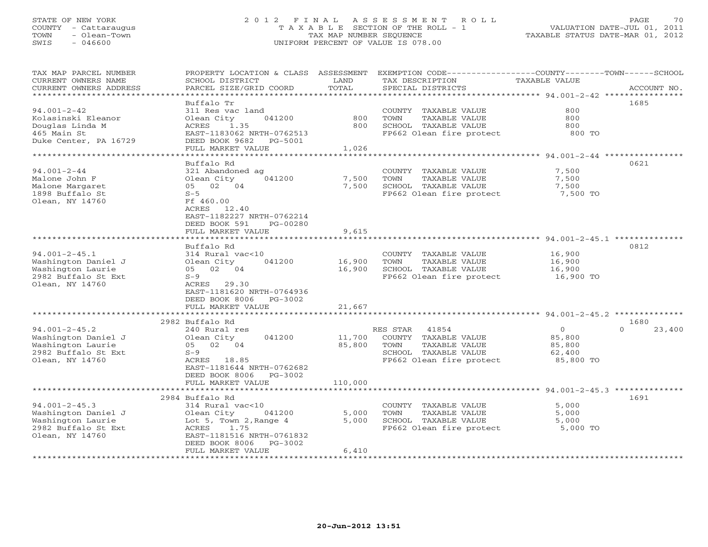#### STATE OF NEW YORK 2 0 1 2 F I N A L A S S E S S M E N T R O L L PAGE 70 COUNTY - Cattaraugus T A X A B L E SECTION OF THE ROLL - 1 VALUATION DATE-JUL 01, 2011 TOWN - Olean-Town TAX MAP NUMBER SEQUENCE TAXABLE STATUS DATE-MAR 01, 2012 SWIS - 046600 UNIFORM PERCENT OF VALUE IS 078.00

| TAX MAP PARCEL NUMBER<br>CURRENT OWNERS NAME<br>CURRENT OWNERS ADDRESS                                    | PROPERTY LOCATION & CLASS ASSESSMENT<br>SCHOOL DISTRICT<br>PARCEL SIZE/GRID COORD                                                                                                     | LAND<br>TOTAL               | EXEMPTION CODE-----------------COUNTY-------TOWN-----SCHOOL<br>TAX DESCRIPTION<br>SPECIAL DISTRICTS                    | <b>TAXABLE VALUE</b>                                      | ACCOUNT NO.                |
|-----------------------------------------------------------------------------------------------------------|---------------------------------------------------------------------------------------------------------------------------------------------------------------------------------------|-----------------------------|------------------------------------------------------------------------------------------------------------------------|-----------------------------------------------------------|----------------------------|
| *********************                                                                                     |                                                                                                                                                                                       |                             |                                                                                                                        |                                                           |                            |
| $94.001 - 2 - 42$<br>Kolasinski Eleanor<br>Douglas Linda M<br>465 Main St<br>Duke Center, PA 16729        | Buffalo Tr<br>311 Res vac land<br>Olean City<br>041200<br>ACRES<br>1.35<br>EAST-1183062 NRTH-0762513<br>DEED BOOK 9682<br>PG-5001<br>FULL MARKET VALUE                                | 800<br>800<br>1,026         | COUNTY TAXABLE VALUE<br>TOWN<br>TAXABLE VALUE<br>SCHOOL TAXABLE VALUE<br>FP662 Olean fire protect                      | 800<br>800<br>800<br>800 TO                               | 1685                       |
|                                                                                                           | ******************                                                                                                                                                                    | **********                  |                                                                                                                        | $*********$ 94.001-2-44 ***********                       |                            |
| $94.001 - 2 - 44$<br>Malone John F<br>Malone Margaret<br>1898 Buffalo St<br>Olean, NY 14760               | Buffalo Rd<br>321 Abandoned ag<br>041200<br>Olean City<br>05 02 04<br>$S-5$<br>Ff 460.00<br>ACRES<br>12.40<br>EAST-1182227 NRTH-0762214<br>DEED BOOK 591<br>PG-00280                  | 7,500<br>7,500              | COUNTY TAXABLE VALUE<br>TOWN<br>TAXABLE VALUE<br>SCHOOL TAXABLE VALUE<br>FP662 Olean fire protect                      | 7,500<br>7,500<br>7,500<br>7,500 TO                       | 0621                       |
|                                                                                                           | FULL MARKET VALUE<br>***********************                                                                                                                                          | 9,615                       |                                                                                                                        |                                                           |                            |
| $94.001 - 2 - 45.1$<br>Washington Daniel J<br>Washington Laurie<br>2982 Buffalo St Ext<br>Olean, NY 14760 | Buffalo Rd<br>314 Rural vac<10<br>041200<br>Olean City<br>05 02 04<br>$S-9$<br>29.30<br>ACRES<br>EAST-1181620 NRTH-0764936<br>DEED BOOK 8006<br>PG-3002<br>FULL MARKET VALUE          | 16,900<br>16,900<br>21,667  | COUNTY TAXABLE VALUE<br>TAXABLE VALUE<br>TOWN<br>SCHOOL TAXABLE VALUE<br>FP662 Olean fire protect                      | 16,900<br>16,900<br>16,900<br>16,900 TO                   | 0812                       |
|                                                                                                           |                                                                                                                                                                                       |                             |                                                                                                                        |                                                           |                            |
| $94.001 - 2 - 45.2$<br>Washington Daniel J<br>Washington Laurie<br>2982 Buffalo St Ext<br>Olean, NY 14760 | 2982 Buffalo Rd<br>240 Rural res<br>Olean City<br>041200<br>05 02 04<br>$S-9$<br>ACRES 18.85<br>EAST-1181644 NRTH-0762682<br>DEED BOOK 8006<br>$PG-3002$<br>FULL MARKET VALUE         | 11,700<br>85,800<br>110,000 | RES STAR<br>41854<br>COUNTY TAXABLE VALUE<br>TOWN<br>TAXABLE VALUE<br>SCHOOL TAXABLE VALUE<br>FP662 Olean fire protect | $\overline{0}$<br>85,800<br>85,800<br>62,400<br>85,800 TO | 1680<br>$\Omega$<br>23,400 |
|                                                                                                           | *************************                                                                                                                                                             |                             |                                                                                                                        |                                                           |                            |
| $94.001 - 2 - 45.3$<br>Washington Daniel J<br>Washington Laurie<br>2982 Buffalo St Ext<br>Olean, NY 14760 | 2984 Buffalo Rd<br>314 Rural vac<10<br>041200<br>Olean City<br>Lot 5, Town 2, Range 4<br>1.75<br>ACRES<br>EAST-1181516 NRTH-0761832<br>DEED BOOK 8006<br>PG-3002<br>FULL MARKET VALUE | 5,000<br>5,000<br>6,410     | COUNTY TAXABLE VALUE<br>TOWN<br>TAXABLE VALUE<br>SCHOOL TAXABLE VALUE<br>FP662 Olean fire protect                      | 5,000<br>5,000<br>5,000<br>5,000 TO                       | 1691                       |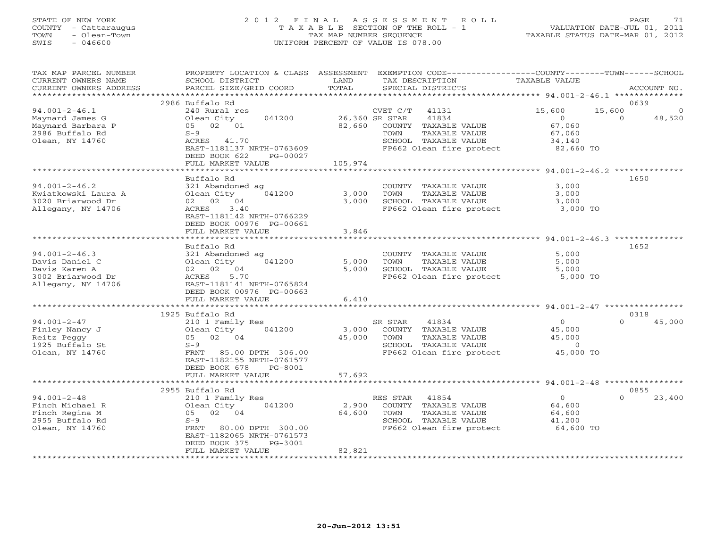#### STATE OF NEW YORK 2 0 1 2 F I N A L A S S E S S M E N T R O L L PAGE 71 COUNTY - Cattaraugus T A X A B L E SECTION OF THE ROLL - 1 VALUATION DATE-JUL 01, 2011 TOWN - Olean-Town TAX MAP NUMBER SEQUENCE TAXABLE STATUS DATE-MAR 01, 2012 SWIS - 046600 UNIFORM PERCENT OF VALUE IS 078.00

| TAX MAP PARCEL NUMBER<br>CURRENT OWNERS NAME<br>CURRENT OWNERS ADDRESS | PROPERTY LOCATION & CLASS ASSESSMENT<br>SCHOOL DISTRICT<br>PARCEL SIZE/GRID COORD | LAND<br>TOTAL | EXEMPTION CODE-----------------COUNTY-------TOWN------SCHOOL<br>TAX DESCRIPTION<br>SPECIAL DISTRICTS<br>*************************** | TAXABLE VALUE<br>******************* 94.001-2-46.1 ******** | ACCOUNT NO.        |
|------------------------------------------------------------------------|-----------------------------------------------------------------------------------|---------------|-------------------------------------------------------------------------------------------------------------------------------------|-------------------------------------------------------------|--------------------|
|                                                                        | 2986 Buffalo Rd                                                                   |               |                                                                                                                                     |                                                             | 0639               |
| $94.001 - 2 - 46.1$                                                    | 240 Rural res                                                                     |               | 41131<br>CVET C/T                                                                                                                   | 15,600<br>15,600                                            | $\Omega$           |
|                                                                        |                                                                                   |               |                                                                                                                                     |                                                             |                    |
| Maynard James G                                                        | 041200<br>Olean City                                                              |               | 26,360 SR STAR<br>41834                                                                                                             | $\circ$                                                     | $\Omega$<br>48,520 |
| Maynard Barbara P                                                      | 05 02 01                                                                          | 82,660        | COUNTY TAXABLE VALUE                                                                                                                | 67,060                                                      |                    |
| 2986 Buffalo Rd                                                        | $S-9$                                                                             |               | TOWN<br>TAXABLE VALUE                                                                                                               | 67,060                                                      |                    |
| Olean, NY 14760                                                        | ACRES 41.70                                                                       |               | SCHOOL TAXABLE VALUE                                                                                                                | 34,140                                                      |                    |
|                                                                        | EAST-1181137 NRTH-0763609                                                         |               | FP662 Olean fire protect                                                                                                            | 82,660 TO                                                   |                    |
|                                                                        | DEED BOOK 622<br>PG-00027                                                         |               |                                                                                                                                     |                                                             |                    |
|                                                                        | FULL MARKET VALUE                                                                 | 105,974       |                                                                                                                                     |                                                             |                    |
|                                                                        | *******************                                                               |               |                                                                                                                                     |                                                             |                    |
|                                                                        | Buffalo Rd                                                                        |               |                                                                                                                                     |                                                             | 1650               |
| $94.001 - 2 - 46.2$                                                    | 321 Abandoned ag                                                                  |               | COUNTY TAXABLE VALUE                                                                                                                | 3,000                                                       |                    |
| Kwiatkowski Laura A                                                    | Olean City<br>041200                                                              | 3,000         | TOWN<br>TAXABLE VALUE                                                                                                               | 3,000                                                       |                    |
| 3020 Briarwood Dr                                                      | 02 02 04                                                                          | 3,000         | SCHOOL TAXABLE VALUE                                                                                                                | 3.000                                                       |                    |
| Allegany, NY 14706                                                     | 3.40<br>ACRES                                                                     |               | FP662 Olean fire protect                                                                                                            | 3,000 TO                                                    |                    |
|                                                                        | EAST-1181142 NRTH-0766229                                                         |               |                                                                                                                                     |                                                             |                    |
|                                                                        | DEED BOOK 00976 PG-00661                                                          |               |                                                                                                                                     |                                                             |                    |
|                                                                        | FULL MARKET VALUE                                                                 | 3,846         |                                                                                                                                     |                                                             |                    |
|                                                                        | ***********************                                                           |               |                                                                                                                                     |                                                             |                    |
|                                                                        | Buffalo Rd                                                                        |               |                                                                                                                                     |                                                             | 1652               |
| $94.001 - 2 - 46.3$                                                    | 321 Abandoned ag                                                                  |               | COUNTY TAXABLE VALUE                                                                                                                | 5,000                                                       |                    |
| Davis Daniel C                                                         | Olean City<br>041200                                                              | 5,000         | TOWN<br>TAXABLE VALUE                                                                                                               | 5,000                                                       |                    |
| Davis Karen A                                                          | 02 02 04                                                                          | 5,000         | SCHOOL TAXABLE VALUE                                                                                                                | 5,000                                                       |                    |
| 3002 Briarwood Dr                                                      | 5.70<br>ACRES                                                                     |               | FP662 Olean fire protect                                                                                                            | 5,000 TO                                                    |                    |
| Allegany, NY 14706                                                     | EAST-1181141 NRTH-0765824                                                         |               |                                                                                                                                     |                                                             |                    |
|                                                                        | DEED BOOK 00976 PG-00663                                                          |               |                                                                                                                                     |                                                             |                    |
|                                                                        | FULL MARKET VALUE                                                                 | 6,410         |                                                                                                                                     |                                                             |                    |
|                                                                        |                                                                                   |               |                                                                                                                                     |                                                             |                    |
|                                                                        | 1925 Buffalo Rd                                                                   |               |                                                                                                                                     |                                                             | 0318               |
| $94.001 - 2 - 47$                                                      | 210 1 Family Res                                                                  |               | SR STAR<br>41834                                                                                                                    | $\Omega$                                                    | $\Omega$<br>45,000 |
| Finley Nancy J                                                         | 041200<br>Olean City                                                              | 3,000         | COUNTY TAXABLE VALUE                                                                                                                | 45,000                                                      |                    |
| Reitz Peggy                                                            | 02 04<br>05                                                                       | 45,000        | <b>TAXABLE VALUE</b><br>TOWN                                                                                                        | 45,000                                                      |                    |
| 1925 Buffalo St                                                        | $S-9$                                                                             |               | SCHOOL TAXABLE VALUE                                                                                                                | $\Omega$                                                    |                    |
| Olean, NY 14760                                                        | FRNT<br>85.00 DPTH 306.00                                                         |               | FP662 Olean fire protect                                                                                                            | 45,000 TO                                                   |                    |
|                                                                        | EAST-1182155 NRTH-0761577                                                         |               |                                                                                                                                     |                                                             |                    |
|                                                                        | DEED BOOK 678<br>PG-8001                                                          |               |                                                                                                                                     |                                                             |                    |
|                                                                        | FULL MARKET VALUE                                                                 | 57,692        |                                                                                                                                     |                                                             |                    |
|                                                                        | *********************                                                             |               |                                                                                                                                     |                                                             |                    |
|                                                                        | 2955 Buffalo Rd                                                                   |               |                                                                                                                                     |                                                             | 0855               |
| $94.001 - 2 - 48$                                                      | 210 1 Family Res                                                                  |               | RES STAR<br>41854                                                                                                                   | $\circ$                                                     | $\Omega$<br>23,400 |
| Finch Michael R                                                        | Olean City<br>041200                                                              | 2,900         | COUNTY TAXABLE VALUE                                                                                                                | 64,600                                                      |                    |
| Finch Regina M                                                         | 02 04<br>05                                                                       | 64,600        | TOWN<br>TAXABLE VALUE                                                                                                               | 64,600                                                      |                    |
| 2955 Buffalo Rd                                                        | $S-9$                                                                             |               | SCHOOL TAXABLE VALUE                                                                                                                | 41,200                                                      |                    |
| Olean, NY 14760                                                        | FRNT<br>80.00 DPTH 300.00                                                         |               | FP662 Olean fire protect                                                                                                            | 64,600 TO                                                   |                    |
|                                                                        | EAST-1182065 NRTH-0761573                                                         |               |                                                                                                                                     |                                                             |                    |
|                                                                        | $PG-3001$<br>DEED BOOK 375                                                        |               |                                                                                                                                     |                                                             |                    |
|                                                                        | FULL MARKET VALUE                                                                 | 82,821        |                                                                                                                                     |                                                             |                    |
|                                                                        |                                                                                   |               |                                                                                                                                     |                                                             |                    |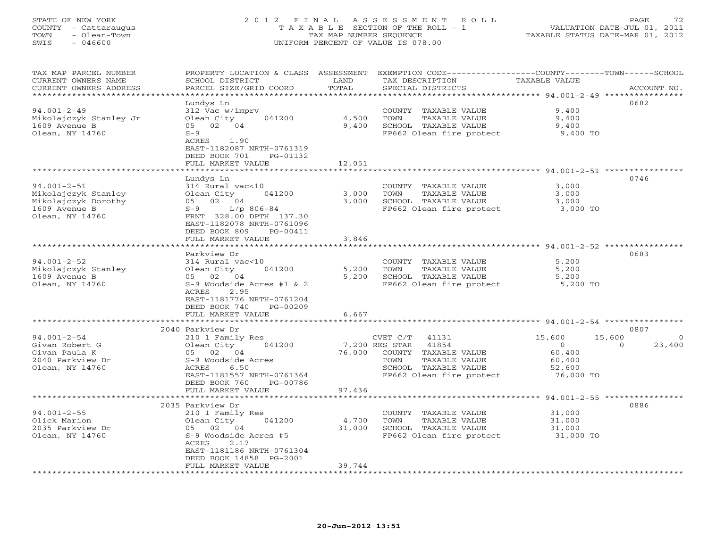#### STATE OF NEW YORK 2 0 1 2 F I N A L A S S E S S M E N T R O L L PAGE 72 COUNTY - Cattaraugus T A X A B L E SECTION OF THE ROLL - 1 VALUATION DATE-JUL 01, 2011 TOWN - Olean-Town TAX MAP NUMBER SEQUENCE TAXABLE STATUS DATE-MAR 01, 2012 SWIS - 046600 UNIFORM PERCENT OF VALUE IS 078.00

| TAX MAP PARCEL NUMBER  |                           |        | PROPERTY LOCATION & CLASS ASSESSMENT EXEMPTION CODE---------------COUNTY-------TOWN------SCHOOL |                                                        |                    |
|------------------------|---------------------------|--------|-------------------------------------------------------------------------------------------------|--------------------------------------------------------|--------------------|
| CURRENT OWNERS NAME    | SCHOOL DISTRICT           | LAND   | TAX DESCRIPTION                                                                                 | TAXABLE VALUE                                          |                    |
| CURRENT OWNERS ADDRESS | PARCEL SIZE/GRID COORD    | TOTAL  | SPECIAL DISTRICTS                                                                               |                                                        | ACCOUNT NO.        |
| *******************    |                           |        |                                                                                                 |                                                        |                    |
|                        | Lundys Ln                 |        |                                                                                                 |                                                        | 0682               |
| $94.001 - 2 - 49$      | 312 Vac w/imprv           |        | COUNTY TAXABLE VALUE                                                                            | 9,400                                                  |                    |
| Mikolajczyk Stanley Jr | Olean City<br>041200      | 4,500  | TOWN<br>TAXABLE VALUE                                                                           | 9,400                                                  |                    |
|                        |                           |        |                                                                                                 |                                                        |                    |
| 1609 Avenue B          | 05 02 04                  | 9,400  | SCHOOL TAXABLE VALUE                                                                            | 9,400                                                  |                    |
| Olean, NY 14760        | $S-9$                     |        | FP662 Olean fire protect                                                                        | 9,400 TO                                               |                    |
|                        | ACRES 1.90                |        |                                                                                                 |                                                        |                    |
|                        | EAST-1182087 NRTH-0761319 |        |                                                                                                 |                                                        |                    |
|                        | DEED BOOK 701<br>PG-01132 |        |                                                                                                 |                                                        |                    |
|                        | FULL MARKET VALUE         | 12,051 |                                                                                                 |                                                        |                    |
|                        |                           |        |                                                                                                 |                                                        |                    |
|                        | Lundys Ln                 |        |                                                                                                 |                                                        | 0746               |
| $94.001 - 2 - 51$      | 314 Rural vac<10          |        | COUNTY TAXABLE VALUE                                                                            | 3,000                                                  |                    |
| Mikolajczyk Stanley    | Olean City<br>041200      | 3,000  | TOWN<br>TAXABLE VALUE                                                                           | 3,000                                                  |                    |
| Mikolajczyk Dorothy    | 05 02 04                  | 3,000  | SCHOOL TAXABLE VALUE                                                                            | 3,000                                                  |                    |
| 1609 Avenue B          | $S-9$ $L/p$ 806-84        |        | FP662 Olean fire protect                                                                        | $3,000$ TO                                             |                    |
| Olean, NY 14760        | FRNT 328.00 DPTH 137.30   |        |                                                                                                 |                                                        |                    |
|                        | EAST-1182078 NRTH-0761096 |        |                                                                                                 |                                                        |                    |
|                        |                           |        |                                                                                                 |                                                        |                    |
|                        | DEED BOOK 809<br>PG-00411 |        |                                                                                                 |                                                        |                    |
|                        | FULL MARKET VALUE         | 3,846  |                                                                                                 |                                                        |                    |
|                        |                           |        |                                                                                                 |                                                        |                    |
|                        | Parkview Dr               |        |                                                                                                 |                                                        | 0683               |
| $94.001 - 2 - 52$      | 314 Rural vac<10          |        | COUNTY TAXABLE VALUE                                                                            | 5,200                                                  |                    |
| Mikolajczyk Stanley    | Olean City<br>041200      | 5,200  | TAXABLE VALUE<br>TOWN                                                                           | 5,200                                                  |                    |
| 1609 Avenue B          | 05 02 04                  | 5,200  | SCHOOL TAXABLE VALUE                                                                            | 5,200                                                  |                    |
| Olean, NY 14760        | S-9 Woodside Acres #1 & 2 |        | FP662 Olean fire protect 5,200 TO                                                               |                                                        |                    |
|                        | ACRES<br>2.95             |        |                                                                                                 |                                                        |                    |
|                        | EAST-1181776 NRTH-0761204 |        |                                                                                                 |                                                        |                    |
|                        | DEED BOOK 740<br>PG-00209 |        |                                                                                                 |                                                        |                    |
|                        | FULL MARKET VALUE         | 6,667  |                                                                                                 |                                                        |                    |
|                        |                           |        |                                                                                                 |                                                        |                    |
|                        | 2040 Parkview Dr          |        |                                                                                                 |                                                        | 0807               |
|                        |                           |        |                                                                                                 |                                                        |                    |
| $94.001 - 2 - 54$      | 210 1 Family Res          |        | CVET C/T 41131                                                                                  | 15,600<br>15,600                                       | $\overline{0}$     |
| Givan Robert G         | Olean City 041200         |        | 41854<br>7,200 RES STAR                                                                         | $\overline{0}$                                         | 23,400<br>$\Omega$ |
| Givan Paula K          | 05 02 04                  | 76,000 | COUNTY TAXABLE VALUE                                                                            | 60,400                                                 |                    |
| 2040 Parkview Dr       | S-9 Woodside Acres        |        | TOWN<br>TAXABLE VALUE                                                                           | 60,400                                                 |                    |
| Olean, NY 14760        | 6.50<br>ACRES             |        | SCHOOL TAXABLE VALUE                                                                            | 52,600                                                 |                    |
|                        | EAST-1181557 NRTH-0761364 |        | FP662 Olean fire protect                                                                        | 76,000 TO                                              |                    |
|                        | DEED BOOK 760<br>PG-00786 |        |                                                                                                 |                                                        |                    |
|                        | FULL MARKET VALUE         | 97,436 |                                                                                                 |                                                        |                    |
|                        | *****************         |        |                                                                                                 | ************************ 94.001-2-55 ***************** |                    |
|                        | 2035 Parkview Dr          |        |                                                                                                 |                                                        | 0886               |
| $94.001 - 2 - 55$      | 210 1 Family Res          |        | COUNTY TAXABLE VALUE                                                                            | 31,000                                                 |                    |
| Olick Marion           | Olean City<br>041200      | 4,700  | TOWN<br>TAXABLE VALUE                                                                           | 31,000                                                 |                    |
| 2035 Parkview Dr       | 05 02 04                  | 31,000 | SCHOOL TAXABLE VALUE                                                                            | 31,000                                                 |                    |
|                        |                           |        |                                                                                                 |                                                        |                    |
| Olean, NY 14760        | S-9 Woodside Acres #5     |        | FP662 Olean fire protect 31,000 TO                                                              |                                                        |                    |
|                        | 2.17<br>ACRES             |        |                                                                                                 |                                                        |                    |
|                        | EAST-1181186 NRTH-0761304 |        |                                                                                                 |                                                        |                    |
|                        | DEED BOOK 14858 PG-2001   |        |                                                                                                 |                                                        |                    |
|                        | FULL MARKET VALUE         | 39,744 |                                                                                                 |                                                        |                    |
|                        |                           |        |                                                                                                 |                                                        |                    |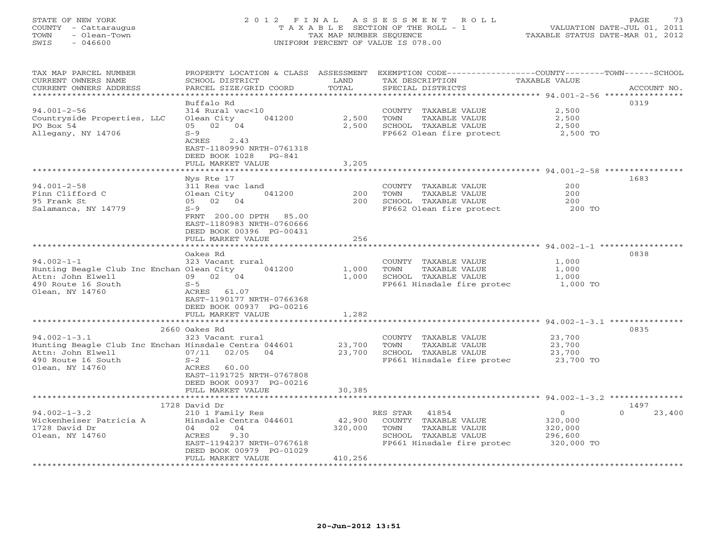#### STATE OF NEW YORK 2 0 1 2 F I N A L A S S E S S M E N T R O L L PAGE 73 COUNTY - Cattaraugus T A X A B L E SECTION OF THE ROLL - 1 VALUATION DATE-JUL 01, 2011 TOWN - Olean-Town TAX MAP NUMBER SEQUENCE TAXABLE STATUS DATE-MAR 01, 2012 SWIS - 046600 UNIFORM PERCENT OF VALUE IS 078.00

| TAX MAP PARCEL NUMBER<br>CURRENT OWNERS NAME<br>CURRENT OWNERS ADDRESS                                                      | PROPERTY LOCATION & CLASS ASSESSMENT<br>SCHOOL DISTRICT<br>PARCEL SIZE/GRID COORD                                                                              | LAND<br>TOTAL                | EXEMPTION CODE-----------------COUNTY-------TOWN------SCHOOL<br>TAX DESCRIPTION<br>SPECIAL DISTRICTS                     | <b>TAXABLE VALUE</b>                                   | ACCOUNT NO.        |
|-----------------------------------------------------------------------------------------------------------------------------|----------------------------------------------------------------------------------------------------------------------------------------------------------------|------------------------------|--------------------------------------------------------------------------------------------------------------------------|--------------------------------------------------------|--------------------|
|                                                                                                                             |                                                                                                                                                                | **********                   |                                                                                                                          |                                                        |                    |
| $94.001 - 2 - 56$<br>Countryside Properties, LLC<br>PO Box 54<br>Allegany, NY 14706                                         | Buffalo Rd<br>314 Rural vac<10<br>041200<br>Olean City<br>02 04<br>05<br>$S-9$<br>ACRES<br>2.43<br>EAST-1180990 NRTH-0761318                                   | 2,500<br>2,500               | COUNTY<br>TAXABLE VALUE<br>TOWN<br>TAXABLE VALUE<br>SCHOOL TAXABLE VALUE<br>FP662 Olean fire protect                     | 2,500<br>2,500<br>2,500<br>2,500 TO                    | 0319               |
|                                                                                                                             | DEED BOOK 1028<br>$PG-841$                                                                                                                                     |                              |                                                                                                                          |                                                        |                    |
|                                                                                                                             | FULL MARKET VALUE                                                                                                                                              | 3,205                        |                                                                                                                          |                                                        |                    |
|                                                                                                                             | Nys Rte 17                                                                                                                                                     |                              |                                                                                                                          |                                                        | 1683               |
| $94.001 - 2 - 58$                                                                                                           | 311 Res vac land                                                                                                                                               |                              | COUNTY TAXABLE VALUE                                                                                                     | 200                                                    |                    |
| Finn Clifford C<br>95 Frank St                                                                                              | Olean City<br>041200<br>05 02 04                                                                                                                               | 200<br>200                   | TOWN<br>TAXABLE VALUE<br>SCHOOL TAXABLE VALUE                                                                            | 200<br>200                                             |                    |
| Salamanca, NY 14779                                                                                                         | $S-9$                                                                                                                                                          |                              | FP662 Olean fire protect                                                                                                 | 200 TO                                                 |                    |
|                                                                                                                             | FRNT 200.00 DPTH<br>85.00<br>EAST-1180983 NRTH-0760666<br>DEED BOOK 00396 PG-00431<br>FULL MARKET VALUE                                                        | 256                          |                                                                                                                          |                                                        |                    |
|                                                                                                                             |                                                                                                                                                                |                              |                                                                                                                          |                                                        |                    |
| $94.002 - 1 - 1$<br>Hunting Beagle Club Inc Enchan Olean City<br>Attn: John Elwell<br>490 Route 16 South<br>Olean, NY 14760 | Oakes Rd<br>323 Vacant rural<br>041200<br>02 04<br>09<br>$S-5$<br>ACRES<br>61.07<br>EAST-1190177 NRTH-0766368<br>DEED BOOK 00937 PG-00216<br>FULL MARKET VALUE | 1,000<br>1,000<br>1,282      | COUNTY TAXABLE VALUE<br>TOWN<br>TAXABLE VALUE<br>SCHOOL TAXABLE VALUE<br>FP661 Hinsdale fire protec                      | 1,000<br>1,000<br>1,000<br>1,000 TO                    | 0838               |
|                                                                                                                             |                                                                                                                                                                |                              |                                                                                                                          | $94.002 - 1 - 3.1$ **                                  |                    |
| $94.002 - 1 - 3.1$                                                                                                          | 2660 Oakes Rd<br>323 Vacant rural                                                                                                                              |                              | COUNTY TAXABLE VALUE                                                                                                     | 23,700                                                 | 0835               |
| Hunting Beagle Club Inc Enchan Hinsdale Centra 044601<br>Attn: John Elwell                                                  | 07/11<br>02/05<br>04                                                                                                                                           | 23,700<br>23,700             | TOWN<br>TAXABLE VALUE<br>SCHOOL TAXABLE VALUE                                                                            | 23,700<br>23,700                                       |                    |
| 490 Route 16 South<br>Olean, NY 14760                                                                                       | $S-2$<br>ACRES<br>60.00<br>EAST-1191725 NRTH-0767808<br>DEED BOOK 00937 PG-00216<br>FULL MARKET VALUE                                                          | 30,385                       | FP661 Hinsdale fire protec                                                                                               | 23,700 TO                                              |                    |
|                                                                                                                             |                                                                                                                                                                |                              |                                                                                                                          |                                                        |                    |
|                                                                                                                             | 1728 David Dr                                                                                                                                                  |                              |                                                                                                                          |                                                        | 1497               |
| $94.002 - 1 - 3.2$<br>Wickenheiser Patricia A<br>1728 David Dr<br>Olean, NY 14760                                           | 210 1 Family Res<br>Hinsdale Centra 044601<br>04 02<br>04<br>9.30<br>ACRES<br>EAST-1194237 NRTH-0767618<br>DEED BOOK 00979 PG-01029<br>FULL MARKET VALUE       | 42,900<br>320,000<br>410,256 | RES STAR<br>41854<br>COUNTY TAXABLE VALUE<br>TOWN<br>TAXABLE VALUE<br>SCHOOL TAXABLE VALUE<br>FP661 Hinsdale fire protec | $\circ$<br>320,000<br>320,000<br>296,600<br>320,000 TO | $\Omega$<br>23,400 |
|                                                                                                                             |                                                                                                                                                                |                              |                                                                                                                          |                                                        |                    |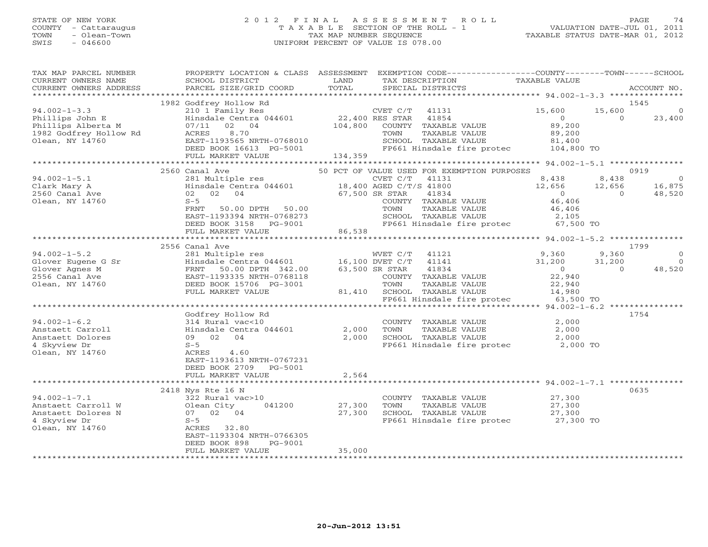# STATE OF NEW YORK 2 0 1 2 F I N A L A S S E S S M E N T R O L L PAGE 74 COUNTY - Cattaraugus T A X A B L E SECTION OF THE ROLL - 1 VALUATION DATE-JUL 01, 2011 TOWN - Olean-Town TAX MAP NUMBER SEQUENCE TAXABLE STATUS DATE-MAR 01, 2012 SWIS - 046600 UNIFORM PERCENT OF VALUE IS 078.00

| TAX MAP PARCEL NUMBER<br>CURRENT OWNERS NAME<br>CURRENT OWNERS ADDRESS                                   | PROPERTY LOCATION & CLASS ASSESSMENT<br>SCHOOL DISTRICT<br>PARCEL SIZE/GRID COORD                          | LAND<br>TOTAL              | EXEMPTION CODE----------------COUNTY-------TOWN------SCHOOL<br>TAX DESCRIPTION<br>SPECIAL DISTRICTS           | TAXABLE VALUE                                          | ACCOUNT NO.                               |
|----------------------------------------------------------------------------------------------------------|------------------------------------------------------------------------------------------------------------|----------------------------|---------------------------------------------------------------------------------------------------------------|--------------------------------------------------------|-------------------------------------------|
|                                                                                                          |                                                                                                            |                            |                                                                                                               |                                                        |                                           |
|                                                                                                          | 1982 Godfrey Hollow Rd                                                                                     |                            |                                                                                                               |                                                        | 1545                                      |
| $94.002 - 1 - 3.3$<br>Phillips John E<br>Phillips Alberta M<br>1982 Godfrey Hollow Rd<br>Olean, NY 14760 | 210 1 Family Res<br>Hinsdale Centra 044601<br>02 04<br>07/11<br>ACRES<br>8.70<br>EAST-1193565 NRTH-0768010 | 22,400 RES STAR<br>104,800 | CVET C/T<br>41131<br>41854<br>COUNTY TAXABLE VALUE<br>TAXABLE VALUE<br>TOWN<br>SCHOOL TAXABLE VALUE           | 15,600<br>$\overline{0}$<br>89,200<br>89,200<br>81,400 | 15,600<br>$\circ$<br>$\Omega$<br>23,400   |
|                                                                                                          | DEED BOOK 16613 PG-5001                                                                                    |                            | FP661 Hinsdale fire protec                                                                                    | 104,800 TO                                             |                                           |
|                                                                                                          | FULL MARKET VALUE                                                                                          | 134,359                    |                                                                                                               |                                                        |                                           |
|                                                                                                          |                                                                                                            |                            |                                                                                                               |                                                        |                                           |
| $94.002 - 1 - 5.1$                                                                                       | 2560 Canal Ave<br>281 Multiple res                                                                         |                            | 50 PCT OF VALUE USED FOR EXEMPTION PURPOSES<br>CVET C/T<br>41131                                              | 8,438                                                  | 0919<br>8,438<br>$\Omega$                 |
| Clark Mary A<br>2560 Canal Ave                                                                           | Hinsdale Centra 044601<br>02 02 04                                                                         |                            | 18,400 AGED C/T/S 41800<br>67,500 SR STAR<br>41834                                                            | 12,656<br>$\overline{0}$                               | 12,656<br>16,875<br>$\Omega$<br>48,520    |
| Olean, NY 14760                                                                                          | $S-5$<br>FRNT<br>50.00 DPTH 50.00<br>EAST-1193394 NRTH-0768273<br>DEED BOOK 3158 PG-9001                   |                            | COUNTY TAXABLE VALUE<br>TOWN<br>TAXABLE VALUE<br>SCHOOL TAXABLE VALUE<br>FP661 Hinsdale fire protec 67,500 TO | 46,406<br>46,406<br>2,105                              |                                           |
|                                                                                                          | FULL MARKET VALUE<br>***************************                                                           | 86,538                     |                                                                                                               |                                                        |                                           |
|                                                                                                          | 2556 Canal Ave                                                                                             |                            |                                                                                                               |                                                        | 1799                                      |
| $94.002 - 1 - 5.2$<br>Glover Eugene G Sr                                                                 | 281 Multiple res<br>Hinsdale Centra 044601                                                                 |                            | WVET C/T<br>41121<br>16,100 DVET C/T<br>41141                                                                 | 9,360<br>31,200                                        | $\Omega$<br>9,360<br>31,200<br>$\bigcirc$ |
| Glover Agnes M<br>2556 Canal Ave                                                                         | FRNT 50.00 DPTH 342.00<br>EAST-1193335 NRTH-0768118                                                        |                            | 63,500 SR STAR<br>41834<br>COUNTY TAXABLE VALUE                                                               | $\overline{0}$<br>22,940                               | $\Omega$<br>48,520                        |
| Olean, NY 14760                                                                                          | DEED BOOK 15706 PG-3001<br>FULL MARKET VALUE                                                               |                            | TOWN<br>TAXABLE VALUE<br>81,410 SCHOOL TAXABLE VALUE<br>FP661 Hinsdale fire protec 63,500 TO                  | 22,940<br>14,980                                       |                                           |
|                                                                                                          |                                                                                                            |                            |                                                                                                               |                                                        |                                           |
|                                                                                                          | Godfrey Hollow Rd                                                                                          |                            |                                                                                                               |                                                        | 1754                                      |
| $94.002 - 1 - 6.2$<br>Anstaett Carroll<br>Anstaett Dolores<br>4 Skyview Dr                               | 314 Rural vac<10<br>Hinsdale Centra 044601<br>09 02 04<br>$S-5$                                            | 2,000<br>2,000             | COUNTY TAXABLE VALUE<br>TOWN<br>TAXABLE VALUE<br>SCHOOL TAXABLE VALUE<br>FP661 Hinsdale fire protec 2,000 TO  | 2,000<br>2,000<br>2,000                                |                                           |
| Olean, NY 14760                                                                                          | ACRES<br>4.60<br>EAST-1193613 NRTH-0767231<br>DEED BOOK 2709 PG-5001<br>FULL MARKET VALUE                  | 2,564                      |                                                                                                               |                                                        |                                           |
|                                                                                                          | ***********************                                                                                    |                            | ************************************ 94.002-1-7.1 ***********                                                 |                                                        |                                           |
|                                                                                                          | 2418 Nys Rte 16 N                                                                                          |                            |                                                                                                               |                                                        | 0635                                      |
| $94.002 - 1 - 7.1$                                                                                       | 322 Rural vac>10                                                                                           |                            | COUNTY TAXABLE VALUE                                                                                          | 27,300                                                 |                                           |
| Anstaett Carroll W                                                                                       | 041200<br>Olean City                                                                                       | 27,300                     | TAXABLE VALUE<br>TOWN                                                                                         | 27,300                                                 |                                           |
| Anstaett Dolores N                                                                                       | 07 02 04                                                                                                   | 27,300                     | SCHOOL TAXABLE VALUE                                                                                          | 27,300                                                 |                                           |
| 4 Skyview Dr<br>Olean, NY 14760                                                                          | $S-5$<br>ACRES 32.80<br>EAST-1193304 NRTH-0766305<br>DEED BOOK 898<br>PG-9001                              |                            | FP661 Hinsdale fire protec                                                                                    | 27,300 TO                                              |                                           |
|                                                                                                          | FULL MARKET VALUE                                                                                          | 35,000                     |                                                                                                               |                                                        |                                           |
|                                                                                                          |                                                                                                            |                            |                                                                                                               |                                                        |                                           |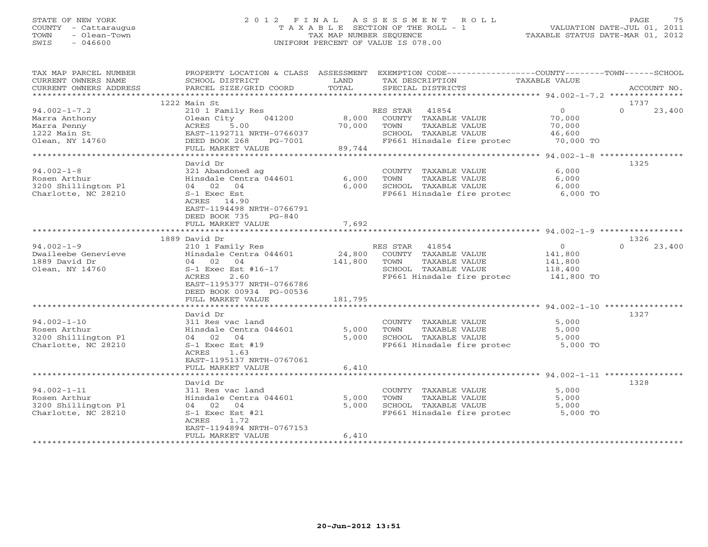### STATE OF NEW YORK 2 0 1 2 F I N A L A S S E S S M E N T R O L L PAGE 75 COUNTY - Cattaraugus T A X A B L E SECTION OF THE ROLL - 1 VALUATION DATE-JUL 01, 2011 TOWN - Olean-Town TAX MAP NUMBER SEQUENCE TAXABLE STATUS DATE-MAR 01, 2012 SWIS - 046600 UNIFORM PERCENT OF VALUE IS 078.00

| TAX MAP PARCEL NUMBER<br>CURRENT OWNERS NAME<br>CURRENT OWNERS ADDRESS | PROPERTY LOCATION & CLASS ASSESSMENT<br>SCHOOL DISTRICT<br>PARCEL SIZE/GRID COORD | LAND<br>TOTAL | EXEMPTION CODE-----------------COUNTY-------TOWN------SCHOOL<br>TAX DESCRIPTION<br>SPECIAL DISTRICTS | TAXABLE VALUE       | ACCOUNT NO.        |
|------------------------------------------------------------------------|-----------------------------------------------------------------------------------|---------------|------------------------------------------------------------------------------------------------------|---------------------|--------------------|
|                                                                        |                                                                                   |               |                                                                                                      |                     |                    |
|                                                                        | 1222 Main St                                                                      |               |                                                                                                      |                     | 1737               |
| $94.002 - 1 - 7.2$                                                     | 210 1 Family Res                                                                  |               | RES STAR 41854                                                                                       | $\overline{0}$      | $\Omega$<br>23,400 |
| Marra Anthony                                                          | Olean City<br>041200                                                              | 8,000         | COUNTY TAXABLE VALUE                                                                                 | 70,000              |                    |
| Marra Penny                                                            | 5.00<br>ACRES                                                                     | 70,000        | TOWN<br>TAXABLE VALUE                                                                                | 70,000              |                    |
| 1222 Main St                                                           | EAST-1192711 NRTH-0766037<br>DEED BOOK 268<br>PG-7001                             |               | SCHOOL TAXABLE VALUE<br>FP661 Hinsdale fire protec                                                   | 46,600<br>70,000 TO |                    |
| Olean, NY 14760                                                        | FULL MARKET VALUE                                                                 | 89,744        |                                                                                                      |                     |                    |
|                                                                        |                                                                                   |               |                                                                                                      |                     |                    |
|                                                                        | David Dr                                                                          |               |                                                                                                      |                     | 1325               |
| $94.002 - 1 - 8$                                                       | 321 Abandoned ag                                                                  |               | COUNTY TAXABLE VALUE                                                                                 | 6,000               |                    |
| Rosen Arthur                                                           | Hinsdale Centra 044601                                                            | 6,000         | TOWN<br>TAXABLE VALUE                                                                                | 6,000               |                    |
| 3200 Shillington Pl                                                    | 04 02 04                                                                          | 6,000         | SCHOOL TAXABLE VALUE                                                                                 | 6,000               |                    |
| Charlotte, NC 28210                                                    | S-1 Exec Est                                                                      |               | FP661 Hinsdale fire protec                                                                           | $6,000$ TO          |                    |
|                                                                        | ACRES 14.90                                                                       |               |                                                                                                      |                     |                    |
|                                                                        | EAST-1194498 NRTH-0766791                                                         |               |                                                                                                      |                     |                    |
|                                                                        | DEED BOOK 735<br>$PG-840$                                                         |               |                                                                                                      |                     |                    |
|                                                                        | FULL MARKET VALUE                                                                 | 7,692         |                                                                                                      |                     |                    |
|                                                                        | 1889 David Dr                                                                     |               |                                                                                                      |                     | 1326               |
| $94.002 - 1 - 9$                                                       | 210 1 Family Res                                                                  |               | RES STAR 41854                                                                                       | $\circ$             | $\Omega$<br>23,400 |
| Dwaileebe Genevieve                                                    | Hinsdale Centra 044601                                                            | 24,800        | COUNTY TAXABLE VALUE                                                                                 | 141,800             |                    |
| 1889 David Dr                                                          | 04 02<br>04                                                                       | 141,800       | TAXABLE VALUE<br>TOWN                                                                                | 141,800             |                    |
| Olean, NY 14760                                                        | $S-1$ Exec Est #16-17                                                             |               | SCHOOL TAXABLE VALUE                                                                                 | 118,400             |                    |
|                                                                        | 2.60<br>ACRES                                                                     |               | FP661 Hinsdale fire protec                                                                           | 141,800 TO          |                    |
|                                                                        | EAST-1195377 NRTH-0766786                                                         |               |                                                                                                      |                     |                    |
|                                                                        | DEED BOOK 00934 PG-00536                                                          |               |                                                                                                      |                     |                    |
|                                                                        | FULL MARKET VALUE                                                                 | 181,795       |                                                                                                      |                     |                    |
|                                                                        |                                                                                   |               |                                                                                                      |                     |                    |
| $94.002 - 1 - 10$                                                      | David Dr                                                                          |               |                                                                                                      | 5,000               | 1327               |
| Rosen Arthur                                                           | 311 Res vac land<br>Hinsdale Centra 044601                                        | 5,000         | COUNTY TAXABLE VALUE<br>TOWN<br>TAXABLE VALUE                                                        | 5,000               |                    |
| 3200 Shillington Pl                                                    | 04 02 04                                                                          | 5,000         | SCHOOL TAXABLE VALUE                                                                                 | 5,000               |                    |
| Charlotte, NC 28210                                                    | $S-1$ Exec Est #19                                                                |               | FP661 Hinsdale fire protec                                                                           | 5,000 TO            |                    |
|                                                                        | 1.63<br>ACRES                                                                     |               |                                                                                                      |                     |                    |
|                                                                        | EAST-1195137 NRTH-0767061                                                         |               |                                                                                                      |                     |                    |
|                                                                        | FULL MARKET VALUE                                                                 | 6,410         |                                                                                                      |                     |                    |
|                                                                        |                                                                                   | ************* |                                                                                                      |                     |                    |
|                                                                        | David Dr                                                                          |               |                                                                                                      |                     | 1328               |
| $94.002 - 1 - 11$                                                      | 311 Res vac land                                                                  |               | COUNTY TAXABLE VALUE                                                                                 | 5,000               |                    |
| Rosen Arthur                                                           | Hinsdale Centra 044601                                                            | 5,000         | TOWN<br>TAXABLE VALUE                                                                                | 5,000               |                    |
| 3200 Shillington Pl                                                    | 04 02 04                                                                          | 5,000         | SCHOOL TAXABLE VALUE                                                                                 | 5,000               |                    |
| Charlotte, NC 28210                                                    | $S-1$ Exec Est #21                                                                |               | FP661 Hinsdale fire protec                                                                           | 5,000 TO            |                    |
|                                                                        | ACRES<br>1.72<br>EAST-1194894 NRTH-0767153                                        |               |                                                                                                      |                     |                    |
|                                                                        | FULL MARKET VALUE                                                                 | 6,410         |                                                                                                      |                     |                    |
|                                                                        |                                                                                   |               |                                                                                                      |                     |                    |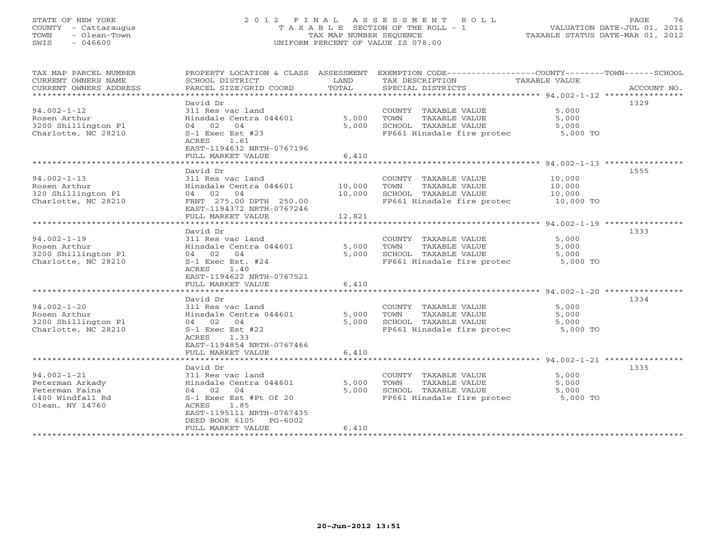# STATE OF NEW YORK 2 0 1 2 F I N A L A S S E S S M E N T R O L L PAGE 76 COUNTY - Cattaraugus T A X A B L E SECTION OF THE ROLL - 1 VALUATION DATE-JUL 01, 2011 TOWN - Olean-Town TAX MAP NUMBER SEQUENCE TAXABLE STATUS DATE-MAR 01, 2012 SWIS - 046600 UNIFORM PERCENT OF VALUE IS 078.00

| TAX MAP PARCEL NUMBER<br>CURRENT OWNERS NAME<br>CURRENT OWNERS ADDRESS                        | PROPERTY LOCATION & CLASS ASSESSMENT<br>SCHOOL DISTRICT<br>PARCEL SIZE/GRID COORD                                                                              | LAND<br>TOTAL    | EXEMPTION CODE-----------------COUNTY-------TOWN------SCHOOL<br>TAX DESCRIPTION<br>SPECIAL DISTRICTS         | TAXABLE VALUE                           | ACCOUNT NO. |
|-----------------------------------------------------------------------------------------------|----------------------------------------------------------------------------------------------------------------------------------------------------------------|------------------|--------------------------------------------------------------------------------------------------------------|-----------------------------------------|-------------|
| *************************                                                                     |                                                                                                                                                                |                  |                                                                                                              |                                         |             |
| $94.002 - 1 - 12$<br>Rosen Arthur<br>3200 Shillington Pl<br>Charlotte, NC 28210               | David Dr<br>311 Res vac land<br>Hinsdale Centra 044601<br>04 02 04<br>$S-1$ Exec Est #23                                                                       | 5,000<br>5,000   | COUNTY TAXABLE VALUE<br>TAXABLE VALUE<br>TOWN<br>SCHOOL TAXABLE VALUE<br>FP661 Hinsdale fire protec          | 5,000<br>5,000<br>5,000<br>5,000 TO     | 1329        |
|                                                                                               | ACRES<br>1.61<br>EAST-1194632 NRTH-0767196<br>FULL MARKET VALUE                                                                                                | 6,410            |                                                                                                              |                                         |             |
|                                                                                               |                                                                                                                                                                |                  |                                                                                                              |                                         |             |
| $94.002 - 1 - 13$<br>Rosen Arthur<br>320 Shillington Pl<br>Charlotte, NC 28210                | David Dr<br>311 Res vac land<br>Hinsdale Centra 044601<br>04 02 04<br>FRNT 275.00 DPTH 250.00<br>EAST-1194372 NRTH-0767246                                     | 10,000<br>10,000 | COUNTY TAXABLE VALUE<br>TOWN<br>TAXABLE VALUE<br>SCHOOL TAXABLE VALUE<br>FP661 Hinsdale fire protec          | 10,000<br>10,000<br>10,000<br>10,000 TO | 1555        |
|                                                                                               | FULL MARKET VALUE                                                                                                                                              | 12,821           |                                                                                                              |                                         |             |
|                                                                                               |                                                                                                                                                                |                  |                                                                                                              |                                         |             |
|                                                                                               | David Dr                                                                                                                                                       |                  |                                                                                                              |                                         | 1333        |
| $94.002 - 1 - 19$<br>Rosen Arthur<br>3200 Shillington Pl<br>Charlotte, NC 28210               | 311 Res vac land<br>Hinsdale Centra 044601<br>04 02 04<br>S-1 Exec Est. #24<br><b>ACRES</b><br>1.40                                                            | 5,000<br>5,000   | COUNTY TAXABLE VALUE<br>TOWN<br>TAXABLE VALUE<br>SCHOOL TAXABLE VALUE<br>FP661 Hinsdale fire protec          | 5,000<br>5,000<br>5,000<br>5,000 TO     |             |
| ******************************                                                                | EAST-1194622 NRTH-0767521<br>FULL MARKET VALUE                                                                                                                 | 6,410            |                                                                                                              |                                         |             |
|                                                                                               | David Dr                                                                                                                                                       |                  |                                                                                                              |                                         | 1334        |
| $94.002 - 1 - 20$<br>Rosen Arthur<br>3200 Shillington Pl<br>Charlotte, NC 28210               | 311 Res vac land<br>Hinsdale Centra 044601<br>04 02 04<br>$S-1$ Exec Est #22<br>ACRES<br>1.33<br>EAST-1194854 NRTH-0767466                                     | 5,000<br>5,000   | COUNTY TAXABLE VALUE<br>TOWN<br>TAXABLE VALUE<br>SCHOOL TAXABLE VALUE<br>FP661 Hinsdale fire protec 5,000 TO | 5,000<br>5,000<br>5,000                 |             |
|                                                                                               | FULL MARKET VALUE                                                                                                                                              | 6.410            |                                                                                                              |                                         |             |
|                                                                                               | David Dr                                                                                                                                                       |                  |                                                                                                              |                                         | 1335        |
| $94.002 - 1 - 21$<br>Peterman Arkady<br>Peterman Faina<br>1400 Windfall Rd<br>Olean, NY 14760 | 311 Res vac land<br>Hinsdale Centra 044601<br>04 02<br>04<br>S-1 Exec Est #Pt Of 20<br>1.85<br>ACRES<br>EAST-1195111 NRTH-0767435<br>DEED BOOK 6105<br>PG-6002 | 5,000<br>5,000   | COUNTY TAXABLE VALUE<br>TOWN<br>TAXABLE VALUE<br>SCHOOL TAXABLE VALUE<br>FP661 Hinsdale fire protec          | 5,000<br>5,000<br>5,000<br>5,000 TO     |             |
|                                                                                               | FULL MARKET VALUE                                                                                                                                              | 6,410            |                                                                                                              |                                         |             |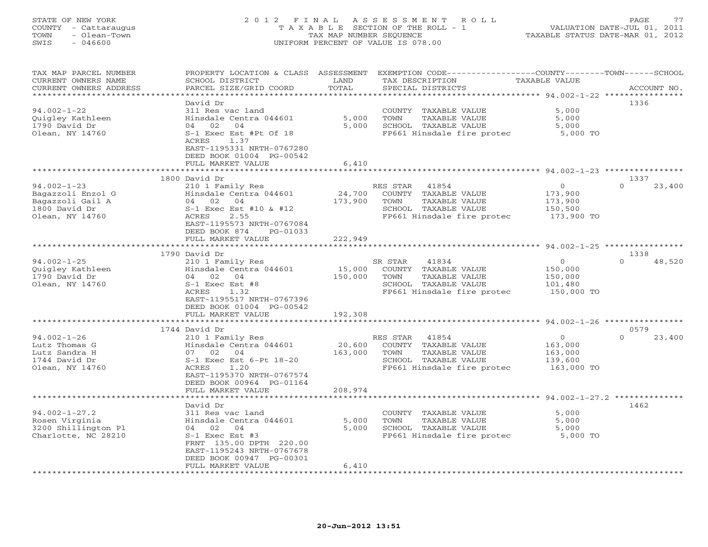#### STATE OF NEW YORK 2 0 1 2 F I N A L A S S E S S M E N T R O L L PAGE 77COUNTY - Cattaraugus T A X A B L E SECTION OF THE ROLL - 1 VALUATION DATE-JUL 01, 2011 TOWN - Olean-Town TAX MAP NUMBER SEQUENCE TAXABLE STATUS DATE-MAR 01, 2012<br>TAXABLE STATUS DATE-MAR 01, 2012 SWIS - 046600 UNIFORM PERCENT OF VALUE IS 078.00

| TAX MAP PARCEL NUMBER<br>CURRENT OWNERS NAME<br>CURRENT OWNERS ADDRESS | PROPERTY LOCATION & CLASS ASSESSMENT<br>SCHOOL DISTRICT<br>PARCEL SIZE/GRID COORD | LAND<br>TOTAL           | EXEMPTION CODE----------------COUNTY-------TOWN-----SCHOOL<br>TAX DESCRIPTION<br>SPECIAL DISTRICTS | <b>TAXABLE VALUE</b> | ACCOUNT NO.        |
|------------------------------------------------------------------------|-----------------------------------------------------------------------------------|-------------------------|----------------------------------------------------------------------------------------------------|----------------------|--------------------|
|                                                                        |                                                                                   | ******                  |                                                                                                    |                      |                    |
|                                                                        | David Dr                                                                          |                         |                                                                                                    |                      | 1336               |
| $94.002 - 1 - 22$                                                      | 311 Res vac land                                                                  |                         | COUNTY TAXABLE VALUE                                                                               | 5,000                |                    |
| Quigley Kathleen                                                       | Hinsdale Centra 044601                                                            | 5,000                   | TOWN<br>TAXABLE VALUE                                                                              | 5,000                |                    |
| 1790 David Dr                                                          | 04 02<br>04                                                                       | 5,000                   | SCHOOL TAXABLE VALUE                                                                               | 5,000                |                    |
| Olean, NY 14760                                                        | S-1 Exec Est #Pt Of 18                                                            |                         | FP661 Hinsdale fire protec                                                                         | 5,000 TO             |                    |
|                                                                        | 1.37<br>ACRES                                                                     |                         |                                                                                                    |                      |                    |
|                                                                        | EAST-1195331 NRTH-0767280<br>DEED BOOK 01004 PG-00542                             |                         |                                                                                                    |                      |                    |
|                                                                        | FULL MARKET VALUE                                                                 | 6,410                   |                                                                                                    |                      |                    |
|                                                                        | ***********************                                                           | * * * * * * * * * * * * |                                                                                                    |                      |                    |
|                                                                        | 1800 David Dr                                                                     |                         |                                                                                                    |                      | 1337               |
| $94.002 - 1 - 23$                                                      | 210 1 Family Res                                                                  |                         | RES STAR<br>41854                                                                                  | $\circ$              | $\Omega$<br>23,400 |
| Bagazzoli Enzol G                                                      | Hinsdale Centra 044601                                                            | 24,700                  | COUNTY TAXABLE VALUE                                                                               | 173,900              |                    |
| Bagazzoli Gail A                                                       | 04 02<br>04                                                                       | 173,900                 | TAXABLE VALUE<br>TOWN                                                                              | 173,900              |                    |
| 1800 David Dr                                                          | S-1 Exec Est #10 & #12                                                            |                         | SCHOOL TAXABLE VALUE                                                                               | 150,500              |                    |
| Olean, NY 14760                                                        | ACRES<br>2.55                                                                     |                         | FP661 Hinsdale fire protec                                                                         | 173,900 TO           |                    |
|                                                                        | EAST-1195573 NRTH-0767084<br>DEED BOOK 874                                        |                         |                                                                                                    |                      |                    |
|                                                                        | PG-01033<br>FULL MARKET VALUE                                                     | 222,949                 |                                                                                                    |                      |                    |
|                                                                        |                                                                                   |                         |                                                                                                    |                      |                    |
|                                                                        | 1790 David Dr                                                                     |                         |                                                                                                    |                      | 1338               |
| $94.002 - 1 - 25$                                                      | 210 1 Family Res                                                                  |                         | 41834<br>SR STAR                                                                                   | $\circ$              | 48,520<br>$\Omega$ |
| Ouigley Kathleen                                                       | Hinsdale Centra 044601                                                            | 15,000                  | COUNTY TAXABLE VALUE                                                                               | 150,000              |                    |
| 1790 David Dr                                                          | 02 04<br>04                                                                       | 150,000                 | TOWN<br>TAXABLE VALUE                                                                              | 150,000              |                    |
| Olean, NY 14760                                                        | $S-1$ Exec Est #8                                                                 |                         | SCHOOL TAXABLE VALUE                                                                               | 101,480              |                    |
|                                                                        | ACRES<br>1.32                                                                     |                         | FP661 Hinsdale fire protec                                                                         | 150,000 TO           |                    |
|                                                                        | EAST-1195517 NRTH-0767396<br>DEED BOOK 01004 PG-00542                             |                         |                                                                                                    |                      |                    |
|                                                                        | FULL MARKET VALUE                                                                 | 192,308                 |                                                                                                    |                      |                    |
|                                                                        |                                                                                   |                         |                                                                                                    |                      |                    |
|                                                                        | 1744 David Dr                                                                     |                         |                                                                                                    |                      | 0579               |
| $94.002 - 1 - 26$                                                      | 210 1 Family Res                                                                  |                         | RES STAR<br>41854                                                                                  | $\circ$              | $\Omega$<br>23,400 |
| Lutz Thomas G                                                          | Hinsdale Centra 044601                                                            | 20,600                  | COUNTY TAXABLE VALUE                                                                               | 163,000              |                    |
| Lutz Sandra H                                                          | 07 02<br>04                                                                       | 163,000                 | TOWN<br>TAXABLE VALUE                                                                              | 163,000              |                    |
| 1744 David Dr                                                          | S-1 Exec Est 6-Pt 18-20                                                           |                         | SCHOOL TAXABLE VALUE                                                                               | 139,600              |                    |
| Olean, NY 14760                                                        | ACRES<br>1.20<br>EAST-1195370 NRTH-0767574                                        |                         | FP661 Hinsdale fire protec                                                                         | 163,000 TO           |                    |
|                                                                        | DEED BOOK 00964 PG-01164                                                          |                         |                                                                                                    |                      |                    |
|                                                                        | FULL MARKET VALUE                                                                 | 208,974                 |                                                                                                    |                      |                    |
|                                                                        |                                                                                   |                         | *********************** 94.002-1-27.2 **************                                               |                      |                    |
|                                                                        | David Dr                                                                          |                         |                                                                                                    |                      | 1462               |
| $94.002 - 1 - 27.2$                                                    | 311 Res vac land                                                                  |                         | COUNTY TAXABLE VALUE                                                                               | 5,000                |                    |
| Rosen Virginia                                                         | Hinsdale Centra 044601                                                            | 5,000                   | TOWN<br>TAXABLE VALUE                                                                              | 5,000                |                    |
| 3200 Shillington Pl                                                    | 04 02 04                                                                          | 5,000                   | SCHOOL TAXABLE VALUE                                                                               | 5,000                |                    |
| Charlotte, NC 28210                                                    | $S-1$ Exec Est #3<br>FRNT 135.00 DPTH 220.00                                      |                         | FP661 Hinsdale fire protec                                                                         | 5,000 TO             |                    |
|                                                                        | EAST-1195243 NRTH-0767678                                                         |                         |                                                                                                    |                      |                    |
|                                                                        | DEED BOOK 00947 PG-00301                                                          |                         |                                                                                                    |                      |                    |
|                                                                        | FULL MARKET VALUE                                                                 | 6,410                   |                                                                                                    |                      |                    |
|                                                                        |                                                                                   |                         |                                                                                                    |                      |                    |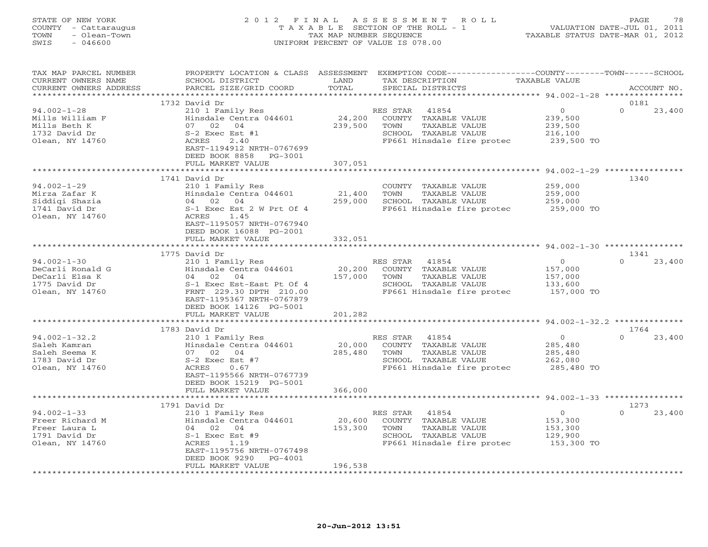#### STATE OF NEW YORK 2 0 1 2 F I N A L A S S E S S M E N T R O L L PAGE 78 COUNTY - Cattaraugus T A X A B L E SECTION OF THE ROLL - 1 VALUATION DATE-JUL 01, 2011 TOWN - Olean-Town TAX MAP NUMBER SEQUENCE TAXABLE STATUS DATE-MAR 01, 2012 SWIS - 046600 UNIFORM PERCENT OF VALUE IS 078.00

| TAX MAP PARCEL NUMBER<br>CURRENT OWNERS NAME<br>CURRENT OWNERS ADDRESS | PROPERTY LOCATION & CLASS ASSESSMENT<br>SCHOOL DISTRICT<br>PARCEL SIZE/GRID COORD          | LAND<br>TOTAL     | EXEMPTION CODE-----------------COUNTY-------TOWN------SCHOOL<br>TAX DESCRIPTION<br>SPECIAL DISTRICTS | TAXABLE VALUE                               | ACCOUNT NO.                |
|------------------------------------------------------------------------|--------------------------------------------------------------------------------------------|-------------------|------------------------------------------------------------------------------------------------------|---------------------------------------------|----------------------------|
| ***********************                                                |                                                                                            |                   |                                                                                                      |                                             |                            |
| $94.002 - 1 - 28$                                                      | 1732 David Dr<br>210 1 Family Res                                                          |                   | RES STAR<br>41854                                                                                    | $\overline{0}$                              | 0181<br>$\Omega$<br>23,400 |
| Mills William F<br>Mills Beth K<br>1732 David Dr<br>Olean, NY 14760    | Hinsdale Centra 044601<br>07 02 04<br>S-2 Exec Est #1<br>2.40<br>ACRES                     | 24,200<br>239,500 | COUNTY TAXABLE VALUE<br>TAXABLE VALUE<br>TOWN<br>SCHOOL TAXABLE VALUE<br>FP661 Hinsdale fire protec  | 239,500<br>239,500<br>216,100<br>239,500 TO |                            |
|                                                                        | EAST-1194912 NRTH-0767699<br>DEED BOOK 8858<br>PG-3001<br>FULL MARKET VALUE                | 307,051           |                                                                                                      |                                             |                            |
|                                                                        |                                                                                            |                   | ******************* 94.002-1-29 **********                                                           |                                             |                            |
| $94.002 - 1 - 29$                                                      | 1741 David Dr<br>210 1 Family Res                                                          |                   | COUNTY TAXABLE VALUE                                                                                 | 259,000                                     | 1340                       |
| Mirza Zafar K                                                          | Hinsdale Centra 044601                                                                     | 21,400            | TAXABLE VALUE<br>TOWN                                                                                | 259,000                                     |                            |
| Siddigi Shazia                                                         | 04 02 04                                                                                   | 259,000           | SCHOOL TAXABLE VALUE                                                                                 | 259,000                                     |                            |
| 1741 David Dr                                                          | S-1 Exec Est 2 W Prt Of 4                                                                  |                   | FP661 Hinsdale fire protec                                                                           | 259,000 TO                                  |                            |
| Olean, NY 14760                                                        | 1.45<br>ACRES<br>EAST-1195057 NRTH-0767940<br>DEED BOOK 16088 PG-2001<br>FULL MARKET VALUE | 332,051           |                                                                                                      |                                             |                            |
|                                                                        |                                                                                            |                   |                                                                                                      |                                             |                            |
|                                                                        | 1775 David Dr                                                                              |                   |                                                                                                      |                                             | 1341                       |
| $94.002 - 1 - 30$                                                      | 210 1 Family Res                                                                           |                   | RES STAR<br>41854                                                                                    | $\circ$                                     | $\Omega$<br>23,400         |
| DeCarli Ronald G                                                       | Hinsdale Centra 044601                                                                     | 20,200            | COUNTY TAXABLE VALUE                                                                                 | 157,000                                     |                            |
| DeCarli Elsa K                                                         | 04 02<br>04                                                                                | 157,000           | TOWN<br>TAXABLE VALUE                                                                                | 157,000                                     |                            |
| 1775 David Dr                                                          | S-1 Exec Est-East Pt Of 4                                                                  |                   | SCHOOL TAXABLE VALUE                                                                                 | 133,600                                     |                            |
| Olean, NY 14760                                                        | FRNT 229.30 DPTH 210.00<br>EAST-1195367 NRTH-0767879                                       |                   | FP661 Hinsdale fire protec                                                                           | 157,000 TO                                  |                            |
|                                                                        | DEED BOOK 14126 PG-5001                                                                    |                   |                                                                                                      |                                             |                            |
|                                                                        | FULL MARKET VALUE<br>***************************                                           | 201,282           |                                                                                                      |                                             |                            |
|                                                                        | 1783 David Dr                                                                              |                   |                                                                                                      |                                             | 1764                       |
| $94.002 - 1 - 32.2$                                                    | 210 1 Family Res                                                                           |                   | RES STAR<br>41854                                                                                    | $\overline{0}$                              | 23,400<br>$\cap$           |
| Saleh Kamran                                                           | Hinsdale Centra 044601                                                                     | 20,000            | COUNTY TAXABLE VALUE                                                                                 | 285,480                                     |                            |
| Saleh Seema K                                                          | 07 02<br>04                                                                                | 285,480           | TAXABLE VALUE<br>TOWN                                                                                | 285,480                                     |                            |
| 1783 David Dr                                                          | $S-2$ Exec Est #7                                                                          |                   | SCHOOL TAXABLE VALUE                                                                                 | 262,080                                     |                            |
| Olean, NY 14760                                                        | ACRES<br>0.67<br>EAST-1195566 NRTH-0767739                                                 |                   | FP661 Hinsdale fire protec                                                                           | 285,480 TO                                  |                            |
|                                                                        | DEED BOOK 15219 PG-5001                                                                    |                   |                                                                                                      |                                             |                            |
|                                                                        | FULL MARKET VALUE                                                                          | 366,000           |                                                                                                      |                                             |                            |
|                                                                        | 1791 David Dr                                                                              |                   |                                                                                                      |                                             | 1273                       |
| $94.002 - 1 - 33$                                                      | 210 1 Family Res                                                                           |                   | RES STAR<br>41854                                                                                    | $\overline{O}$                              | $\Omega$<br>23,400         |
| Freer Richard M                                                        | Hinsdale Centra 044601                                                                     | 20,600            | COUNTY TAXABLE VALUE                                                                                 | 153,300                                     |                            |
| Freer Laura L                                                          | 04 02<br>04                                                                                | 153,300           | TOWN<br>TAXABLE VALUE                                                                                | 153,300                                     |                            |
| 1791 David Dr                                                          | $S-1$ Exec Est #9                                                                          |                   | SCHOOL TAXABLE VALUE                                                                                 | 129,900                                     |                            |
| Olean, NY 14760                                                        | ACRES<br>1.19                                                                              |                   | FP661 Hinsdale fire protec                                                                           | 153,300 TO                                  |                            |
|                                                                        | EAST-1195756 NRTH-0767498                                                                  |                   |                                                                                                      |                                             |                            |
|                                                                        | DEED BOOK 9290<br>PG-4001<br>FULL MARKET VALUE                                             | 196,538           |                                                                                                      |                                             |                            |
|                                                                        |                                                                                            |                   |                                                                                                      |                                             |                            |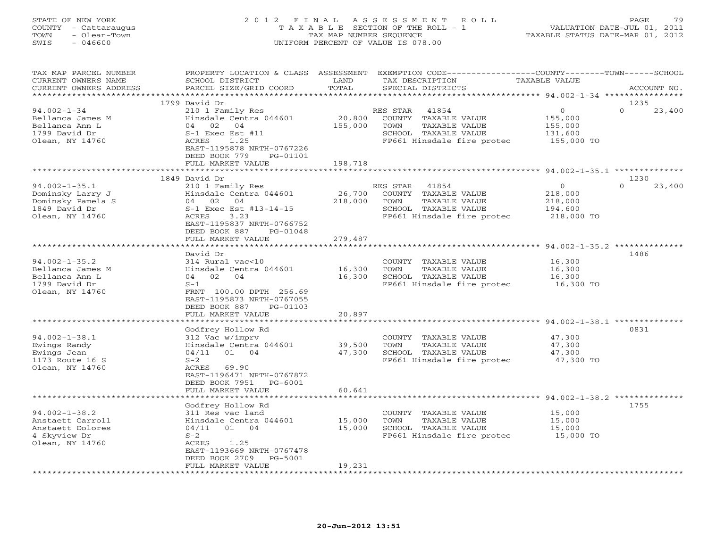STATE OF NEW YORK 2 0 1 2 F I N A L A S S E S S M E N T R O L L PAGE 79 COUNTY - Cattaraugus T A X A B L E SECTION OF THE ROLL - 1 VALUATION DATE-JUL 01, 2011 TOWN - Olean-Town TAX MAP NUMBER SEQUENCE TAXABLE STATUS DATE-MAR 01, 2012 SWIS - 046600 UNIFORM PERCENT OF VALUE IS 078.00 TAX MAP PARCEL NUMBER PROPERTY LOCATION & CLASS ASSESSMENT EXEMPTION CODE------------------COUNTY--------TOWN------SCHOOL

| CURRENT OWNERS NAME    | SCHOOL DISTRICT             | LAND    | TAX DESCRIPTION              | TAXABLE VALUE                                    |                                   |
|------------------------|-----------------------------|---------|------------------------------|--------------------------------------------------|-----------------------------------|
| CURRENT OWNERS ADDRESS | PARCEL SIZE/GRID COORD      | TOTAL   | SPECIAL DISTRICTS            |                                                  | ACCOUNT NO.                       |
| *********************  |                             |         |                              |                                                  |                                   |
|                        | 1799 David Dr               |         |                              |                                                  | 1235                              |
|                        |                             |         |                              | $\Omega$                                         | $\Omega$                          |
| $94.002 - 1 - 34$      | 210 1 Family Res            |         | RES STAR<br>41854            |                                                  | 23,400                            |
| Bellanca James M       | Hinsdale Centra 044601      | 20,800  | COUNTY<br>TAXABLE VALUE      | 155,000                                          |                                   |
| Bellanca Ann L         | 04<br>02<br>04              | 155,000 | TOWN<br>TAXABLE VALUE        | 155,000                                          |                                   |
| 1799 David Dr          | S-1 Exec Est #11            |         | SCHOOL TAXABLE VALUE         | 131,600                                          |                                   |
| Olean, NY 14760        | <b>ACRES</b><br>1.25        |         | FP661 Hinsdale fire protec   | 155,000 TO                                       |                                   |
|                        | EAST-1195878 NRTH-0767226   |         |                              |                                                  |                                   |
|                        |                             |         |                              |                                                  |                                   |
|                        | DEED BOOK 779<br>PG-01101   |         |                              |                                                  |                                   |
|                        | FULL MARKET VALUE           | 198,718 |                              |                                                  |                                   |
|                        |                             | .       |                              | ********* 94.002-1-35.1 *********                |                                   |
|                        | 1849 David Dr               |         |                              |                                                  | 1230                              |
| $94.002 - 1 - 35.1$    | 210 1 Family Res            |         | RES STAR<br>41854            | $\Omega$                                         | $\Omega$<br>23,400                |
| Dominsky Larry J       | Hinsdale Centra 044601      | 26,700  | COUNTY TAXABLE VALUE         | 218,000                                          |                                   |
|                        |                             |         |                              |                                                  |                                   |
| Dominsky Pamela S      | 02<br>04<br>04              | 218,000 | <b>TAXABLE VALUE</b><br>TOWN | 218,000                                          |                                   |
| 1849 David Dr          | S-1 Exec Est #13-14-15      |         | SCHOOL TAXABLE VALUE         | 194,600                                          |                                   |
| Olean, NY 14760        | <b>ACRES</b><br>3.23        |         | FP661 Hinsdale fire protec   | 218,000 TO                                       |                                   |
|                        | EAST-1195837 NRTH-0766752   |         |                              |                                                  |                                   |
|                        | DEED BOOK 887<br>$PG-01048$ |         |                              |                                                  |                                   |
|                        | FULL MARKET VALUE           | 279,487 |                              |                                                  |                                   |
|                        | *****************           |         |                              | ******************* 94.002-1-35.2 ************** |                                   |
|                        |                             |         |                              |                                                  |                                   |
|                        | David Dr                    |         |                              |                                                  | 1486                              |
| $94.002 - 1 - 35.2$    | 314 Rural vac<10            |         | COUNTY<br>TAXABLE VALUE      | 16,300                                           |                                   |
| Bellanca James M       | Hinsdale Centra 044601      | 16,300  | <b>TAXABLE VALUE</b><br>TOWN | 16,300                                           |                                   |
| Bellanca Ann L         | 04<br>02<br>04              | 16,300  | SCHOOL TAXABLE VALUE         | 16,300                                           |                                   |
| 1799 David Dr          | $S-1$                       |         | FP661 Hinsdale fire protec   | 16,300 TO                                        |                                   |
|                        |                             |         |                              |                                                  |                                   |
| Olean, NY 14760        | FRNT 100.00 DPTH 256.69     |         |                              |                                                  |                                   |
|                        | EAST-1195873 NRTH-0767055   |         |                              |                                                  |                                   |
|                        | DEED BOOK 887<br>PG-01103   |         |                              |                                                  |                                   |
|                        | FULL MARKET VALUE           | 20,897  |                              |                                                  |                                   |
|                        |                             |         |                              |                                                  | $94.002 - 1 - 38.1$ ***********   |
|                        | Godfrey Hollow Rd           |         |                              |                                                  | 0831                              |
| $94.002 - 1 - 38.1$    |                             |         |                              |                                                  |                                   |
|                        | 312 Vac w/imprv             |         | COUNTY TAXABLE VALUE         | 47,300                                           |                                   |
| Ewings Randy           | Hinsdale Centra 044601      | 39,500  | TOWN<br>TAXABLE VALUE        | 47,300                                           |                                   |
| Ewings Jean            | 04/11<br>01 04              | 47,300  | SCHOOL TAXABLE VALUE         | 47,300                                           |                                   |
| 1173 Route 16 S        | $S-2$                       |         | FP661 Hinsdale fire protec   | 47,300 TO                                        |                                   |
| Olean, NY 14760        | <b>ACRES</b><br>69.90       |         |                              |                                                  |                                   |
|                        | EAST-1196471 NRTH-0767872   |         |                              |                                                  |                                   |
|                        | DEED BOOK 7951<br>$PG-6001$ |         |                              |                                                  |                                   |
|                        |                             |         |                              |                                                  |                                   |
|                        | FULL MARKET VALUE           | 60,641  |                              |                                                  |                                   |
|                        |                             |         |                              |                                                  | $94.002 - 1 - 38.2$ ************* |
|                        | Godfrey Hollow Rd           |         |                              |                                                  | 1755                              |
| $94.002 - 1 - 38.2$    | 311 Res vac land            |         | COUNTY<br>TAXABLE VALUE      | 15,000                                           |                                   |
| Anstaett Carroll       | Hinsdale Centra 044601      | 15,000  | <b>TAXABLE VALUE</b><br>TOWN | 15,000                                           |                                   |
| Anstaett Dolores       | 04/11<br>01 04              | 15,000  | SCHOOL TAXABLE VALUE         | 15,000                                           |                                   |
|                        |                             |         |                              |                                                  |                                   |
| 4 Skyview Dr           | $S-2$                       |         | FP661 Hinsdale fire protec   | 15,000 TO                                        |                                   |
| Olean, NY 14760        | ACRES<br>1.25               |         |                              |                                                  |                                   |
|                        | EAST-1193669 NRTH-0767478   |         |                              |                                                  |                                   |
|                        | DEED BOOK 2709<br>PG-5001   |         |                              |                                                  |                                   |
|                        | FULL MARKET VALUE           | 19,231  |                              |                                                  |                                   |
|                        |                             |         |                              |                                                  |                                   |
|                        |                             |         |                              |                                                  |                                   |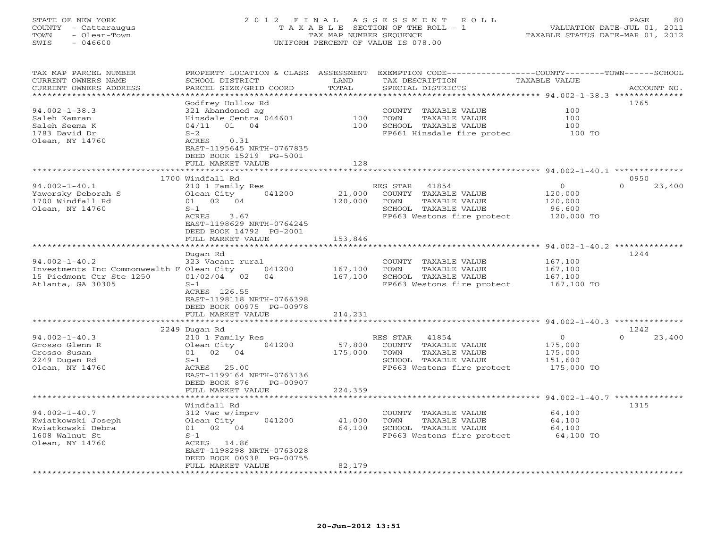# STATE OF NEW YORK 2 0 1 2 F I N A L A S S E S S M E N T R O L L PAGE 80 COUNTY - Cattaraugus T A X A B L E SECTION OF THE ROLL - 1 VALUATION DATE-JUL 01, 2011 TOWN - Olean-Town TAX MAP NUMBER SEQUENCE TAXABLE STATUS DATE-MAR 01, 2012 SWIS - 046600 UNIFORM PERCENT OF VALUE IS 078.00

| TAX MAP PARCEL NUMBER<br>CURRENT OWNERS NAME | PROPERTY LOCATION & CLASS ASSESSMENT<br>SCHOOL DISTRICT | LAND              | TAX DESCRIPTION                       | EXEMPTION CODE----------------COUNTY-------TOWN-----SCHOOL<br><b>TAXABLE VALUE</b> |
|----------------------------------------------|---------------------------------------------------------|-------------------|---------------------------------------|------------------------------------------------------------------------------------|
| CURRENT OWNERS ADDRESS                       | PARCEL SIZE/GRID COORD                                  | TOTAL             | SPECIAL DISTRICTS                     | ACCOUNT NO.                                                                        |
|                                              |                                                         | *******           |                                       | *********** 94.002-1-38.3 **************                                           |
|                                              | Godfrey Hollow Rd                                       |                   |                                       | 1765                                                                               |
| $94.002 - 1 - 38.3$                          | 321 Abandoned ag                                        |                   | COUNTY TAXABLE VALUE                  | 100                                                                                |
| Saleh Kamran                                 | Hinsdale Centra 044601                                  | 100               | TOWN<br>TAXABLE VALUE                 | 100                                                                                |
| Saleh Seema K<br>1783 David Dr               | 04/11<br>01<br>04                                       | 100               | SCHOOL TAXABLE VALUE                  | 100                                                                                |
|                                              | $S-2$<br>ACRES<br>0.31                                  |                   | FP661 Hinsdale fire protec            | 100 TO                                                                             |
| Olean, NY 14760                              | EAST-1195645 NRTH-0767835<br>DEED BOOK 15219 PG-5001    |                   |                                       |                                                                                    |
|                                              | FULL MARKET VALUE                                       | 128               |                                       |                                                                                    |
|                                              | **********************                                  |                   |                                       |                                                                                    |
|                                              | 1700 Windfall Rd                                        |                   |                                       | 0950                                                                               |
| $94.002 - 1 - 40.1$                          | 210 1 Family Res                                        |                   | RES STAR<br>41854                     | $\circ$<br>$\Omega$<br>23,400                                                      |
| Yaworsky Deborah S                           | Olean City<br>041200                                    | 21,000            | COUNTY TAXABLE VALUE                  | 120,000                                                                            |
| 1700 Windfall Rd                             | 02 04<br>01                                             | 120,000           | TOWN<br>TAXABLE VALUE                 | 120,000                                                                            |
| Olean, NY 14760                              | $S-1$                                                   |                   | SCHOOL TAXABLE VALUE                  | 96,600                                                                             |
|                                              | ACRES<br>3.67                                           |                   | FP663 Westons fire protect            | 120,000 TO                                                                         |
|                                              | EAST-1198629 NRTH-0764245<br>DEED BOOK 14792 PG-2001    |                   |                                       |                                                                                    |
|                                              | FULL MARKET VALUE                                       | 153,846           |                                       |                                                                                    |
|                                              | ***********************                                 |                   |                                       |                                                                                    |
|                                              | Dugan Rd                                                |                   |                                       | 1244                                                                               |
| $94.002 - 1 - 40.2$                          | 323 Vacant rural                                        |                   | COUNTY TAXABLE VALUE                  | 167,100                                                                            |
| Investments Inc Commonwealth F Olean City    | 041200                                                  | 167,100           | TAXABLE VALUE<br>TOWN                 | 167,100                                                                            |
| 15 Piedmont Ctr Ste 1250                     | $01/02/04$ 02<br>04                                     | 167,100           | SCHOOL TAXABLE VALUE                  | 167,100                                                                            |
| Atlanta, GA 30305                            | $S-1$                                                   |                   | FP663 Westons fire protect            | 167,100 TO                                                                         |
|                                              | ACRES 126.55                                            |                   |                                       |                                                                                    |
|                                              | EAST-1198118 NRTH-0766398                               |                   |                                       |                                                                                    |
|                                              | DEED BOOK 00975 PG-00978                                |                   |                                       |                                                                                    |
|                                              | FULL MARKET VALUE<br>*******************                | 214,231           |                                       |                                                                                    |
|                                              |                                                         | ***********       |                                       | **************************** 94.002-1-40.3 **************                          |
|                                              | 2249 Dugan Rd                                           |                   |                                       | 1242<br>$\Omega$                                                                   |
| $94.002 - 1 - 40.3$                          | 210 1 Family Res                                        |                   | RES STAR<br>41854                     | $\overline{0}$<br>23,400                                                           |
| Grosso Glenn R<br>Grosso Susan               | 041200<br>Olean City                                    | 57,800<br>175,000 | COUNTY TAXABLE VALUE<br>TOWN          | 175,000<br>175,000                                                                 |
| 2249 Dugan Rd                                | 01 02 04<br>$S-1$                                       |                   | TAXABLE VALUE<br>SCHOOL TAXABLE VALUE | 151,600                                                                            |
| Olean, NY 14760                              | ACRES 25.00                                             |                   | FP663 Westons fire protect            | 175,000 TO                                                                         |
|                                              | EAST-1199164 NRTH-0763136                               |                   |                                       |                                                                                    |
|                                              | DEED BOOK 876<br>PG-00907                               |                   |                                       |                                                                                    |
|                                              | FULL MARKET VALUE                                       | 224,359           |                                       |                                                                                    |
|                                              |                                                         |                   |                                       |                                                                                    |
|                                              | Windfall Rd                                             |                   |                                       | 1315                                                                               |
| $94.002 - 1 - 40.7$                          | 312 Vac w/imprv                                         |                   | COUNTY TAXABLE VALUE                  | 64,100                                                                             |
| Kwiatkowski Joseph                           | Olean City<br>041200                                    | 41,000            | TOWN<br>TAXABLE VALUE                 | 64,100                                                                             |
| Kwiatkowski Debra                            | 01 02 04                                                | 64,100            | SCHOOL TAXABLE VALUE                  | 64,100                                                                             |
| 1608 Walnut St                               | $S-1$                                                   |                   | FP663 Westons fire protect            | 64,100 TO                                                                          |
| Olean, NY 14760                              | ACRES 14.86                                             |                   |                                       |                                                                                    |
|                                              | EAST-1198298 NRTH-0763028                               |                   |                                       |                                                                                    |
|                                              | DEED BOOK 00938 PG-00755                                |                   |                                       |                                                                                    |
|                                              | FULL MARKET VALUE                                       | 82,179            |                                       |                                                                                    |
|                                              |                                                         |                   |                                       |                                                                                    |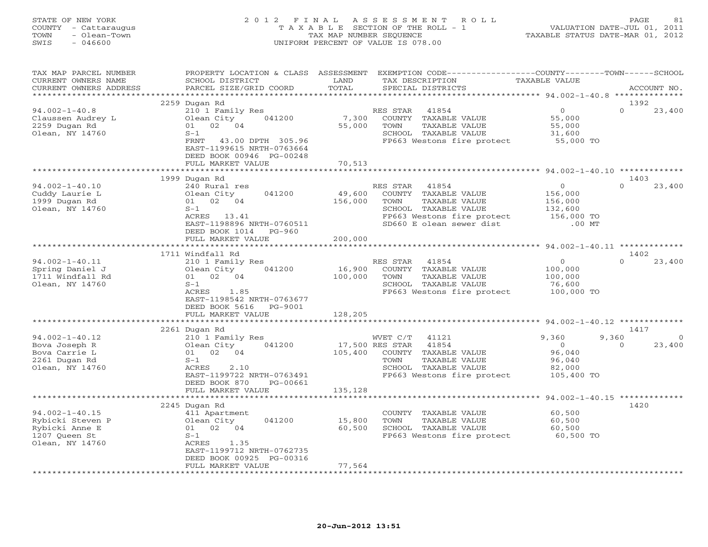| STATE OF NEW YORK<br>- Cattaraugus<br>COUNTY<br>- Olean-Town<br>TOWN<br>SWIS<br>$-046600$ | 2 0 1 2<br>TAXABLE                                                                                           | FINAL<br>TAX MAP NUMBER SEOUENCE | ASSESSMENT<br>R O L L<br>SECTION OF THE ROLL - 1<br>UNIFORM PERCENT OF VALUE IS 078.00                    | TAXABLE STATUS DATE-MAR 01, 2012                          | 81<br>PAGE<br>VALUATION DATE-JUL 01, 2011 |
|-------------------------------------------------------------------------------------------|--------------------------------------------------------------------------------------------------------------|----------------------------------|-----------------------------------------------------------------------------------------------------------|-----------------------------------------------------------|-------------------------------------------|
| TAX MAP PARCEL NUMBER<br>CURRENT OWNERS NAME<br>CURRENT OWNERS ADDRESS                    | PROPERTY LOCATION & CLASS<br>SCHOOL DISTRICT<br>PARCEL SIZE/GRID COORD                                       | ASSESSMENT<br>LAND<br>TOTAL      | EXEMPTION CODE-<br>TAX DESCRIPTION<br>SPECIAL DISTRICTS                                                   | ----------COUNTY--------TOWN------SCHOOL<br>TAXABLE VALUE | ACCOUNT NO.<br>1392                       |
| $94.002 - 1 - 40.8$                                                                       | 2259 Dugan Rd<br>210 1 Family Res                                                                            |                                  | 41854<br>RES STAR                                                                                         |                                                           | 23,400                                    |
| Claussen Audrey L<br>2259 Dugan Rd<br>Olean, NY 14760                                     | Olean City<br>041200<br>02<br>01<br>04<br>$S-1$<br>305.96<br>FRNT<br>43.00 DPTH<br>EAST-1199615 NRTH-0763664 | 7,300<br>55,000                  | COUNTY<br>TAXABLE VALUE<br>TOWN<br>TAXABLE VALUE<br>SCHOOL<br>TAXABLE VALUE<br>FP663 Westons fire protect | 55,000<br>55,000<br>31,600<br>55,000 TO                   |                                           |

|                                                                                                | EAST-TTAA0TD MKLH-0103004<br>DEED BOOK 00946 PG-00248<br>FULL MARKET VALUE                                                                                    | 70,513                                                                                                                                                                               |                                                                                                         |
|------------------------------------------------------------------------------------------------|---------------------------------------------------------------------------------------------------------------------------------------------------------------|--------------------------------------------------------------------------------------------------------------------------------------------------------------------------------------|---------------------------------------------------------------------------------------------------------|
|                                                                                                | 1999 Dugan Rd                                                                                                                                                 |                                                                                                                                                                                      | 1403                                                                                                    |
| $94.002 - 1 - 40.10$<br>Cuddy Laurie L<br>1999 Dugan Rd<br>Olean, NY 14760                     | 240 Rural res<br>041200<br>Olean City<br>02 04<br>01<br>$S-1$<br>ACRES<br>13.41<br>EAST-1198896 NRTH-0760511<br>DEED BOOK 1014<br>PG-960<br>FULL MARKET VALUE | RES STAR<br>41854<br>49,600<br>COUNTY TAXABLE VALUE<br>156,000<br>TOWN<br>TAXABLE VALUE<br>SCHOOL TAXABLE VALUE<br>FP663 Westons fire protect<br>SD660 E olean sewer dist<br>200,000 | $\Omega$<br>$\circ$<br>23,400<br>156,000<br>156,000<br>132,600<br>156,000 TO<br>$.00$ MT                |
|                                                                                                | ***************************<br>1711 Windfall Rd                                                                                                               |                                                                                                                                                                                      | 1402                                                                                                    |
| $94.002 - 1 - 40.11$<br>Spring Daniel J<br>1711 Windfall Rd<br>Olean, NY 14760                 | 210 1 Family Res<br>Olean City<br>041200<br>02 04<br>01<br>$S-1$<br>ACRES<br>1.85<br>EAST-1198542 NRTH-0763677<br>DEED BOOK 5616<br>PG-9001                   | RES STAR<br>41854<br>16,900<br>COUNTY TAXABLE VALUE<br>100,000<br>TOWN<br>TAXABLE VALUE<br>SCHOOL TAXABLE VALUE<br>FP663 Westons fire protect                                        | $\circ$<br>$\Omega$<br>23,400<br>100,000<br>100,000<br>76,600<br>100,000 TO                             |
|                                                                                                | FULL MARKET VALUE                                                                                                                                             | 128,205                                                                                                                                                                              | $94.002 - 1 - 40.12$ ********                                                                           |
|                                                                                                | 2261 Dugan Rd                                                                                                                                                 |                                                                                                                                                                                      | 1417                                                                                                    |
| $94.002 - 1 - 40.12$<br>Bova Joseph R<br>Bova Carrie L<br>2261 Dugan Rd<br>Olean, NY 14760     | 210 1 Family Res<br>Olean City<br>041200<br>01 02 04<br>$S-1$<br><b>ACRES</b><br>2.10<br>EAST-1199722 NRTH-0763491<br>DEED BOOK 870<br>PG-00661               | 41121<br>WVET C/T<br>17,500 RES STAR<br>41854<br>105,400<br>COUNTY TAXABLE VALUE<br>TOWN<br>TAXABLE VALUE<br>SCHOOL TAXABLE VALUE<br>FP663 Westons fire protect                      | 9,360<br>9,360<br>$\Omega$<br>$\circ$<br>23,400<br>$\Omega$<br>96,040<br>96,040<br>82,000<br>105,400 TO |
|                                                                                                | FULL MARKET VALUE                                                                                                                                             | 135,128                                                                                                                                                                              | $94.002 - 1 - 40.15$ ********                                                                           |
| $94.002 - 1 - 40.15$<br>Rybicki Steven P<br>Rybicki Anne E<br>1207 Queen St<br>Olean, NY 14760 | 2245 Dugan Rd<br>411 Apartment<br>041200<br>Olean City<br>02 04<br>01<br>$S-1$<br>ACRES<br>1.35<br>EAST-1199712 NRTH-0762735<br>DEED BOOK 00925 PG-00316      | COUNTY TAXABLE VALUE<br>15,800<br>TOWN<br>TAXABLE VALUE<br>60,500<br>SCHOOL TAXABLE VALUE<br>FP663 Westons fire protect                                                              | 1420<br>60,500<br>60,500<br>60,500<br>60,500 TO                                                         |
|                                                                                                | FULL MARKET VALUE                                                                                                                                             | 77,564                                                                                                                                                                               |                                                                                                         |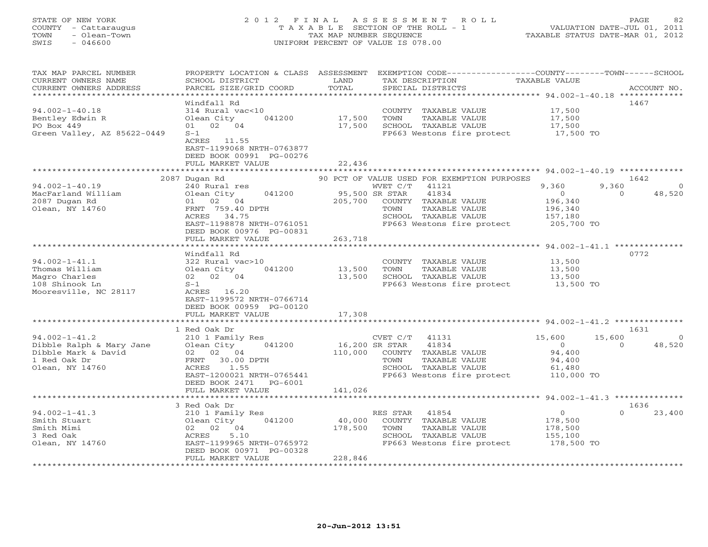STATE OF NEW YORK 2 0 1 2 F I N A L A S S E S S M E N T R O L L PAGE 82 COUNTY - Cattaraugus T A X A B L E SECTION OF THE ROLL - 1 VALUATION DATE-JUL 01, 2011 TOWN - Olean-Town TAX MAP NUMBER SEQUENCE TAXABLE STATUS DATE-MAR 01, 2012 SWIS - 046600 UNIFORM PERCENT OF VALUE IS 078.00 TAX MAP PARCEL NUMBER PROPERTY LOCATION & CLASS ASSESSMENT EXEMPTION CODE------------------COUNTY--------TOWN------SCHOOL CURRENT OWNERS NAME SCHOOL DISTRICT LAND TAX DESCRIPTION TAXABLE VALUE CURRENT OWNERS NAME SCHOOL DISTRICT TRAND TAX DESCRIPTION TAXABLE VALUE TOWN ACCOUNT NO.<br>CURRENT OWNERS ADDRESS BARCEL SIZE/GRID COORD TOTAL SPECIAL DISTRICTS TAXABLE VALUE ACCOUNT NO. \*\*\*\*\*\*\*\*\*\*\*\*\*\*\*\*\*\*\*\*\*\*\*\*\*\*\*\*\*\*\*\*\*\*\*\*\*\*\*\*\*\*\*\*\*\*\*\*\*\*\*\*\*\*\*\*\*\*\*\*\*\*\*\*\*\*\*\*\*\*\*\*\*\*\*\*\*\*\*\*\*\*\*\*\*\*\*\*\*\*\*\*\*\*\*\*\*\*\*\*\*\*\* 94.002-1-40.18 \*\*\*\*\*\*\*\*\*\*\*\*\* Windfall Rd 146794.002-1-40.18 314 Rural vac<10 COUNTY TAXABLE VALUE 17,500 Bentley Edwin R Olean City 041200 17,500 TOWN TAXABLE VALUE 17,500 PO Box 449 01 02 04 17,500 SCHOOL TAXABLE VALUE 17,500 Green Valley, AZ 85622-0449 S-1 FP663 Westons fire protect 17,500 TO ACRES 11.55 EAST-1199068 NRTH-0763877 DEED BOOK 00991 PG-00276 FULL MARKET VALUE 22,436 \*\*\*\*\*\*\*\*\*\*\*\*\*\*\*\*\*\*\*\*\*\*\*\*\*\*\*\*\*\*\*\*\*\*\*\*\*\*\*\*\*\*\*\*\*\*\*\*\*\*\*\*\*\*\*\*\*\*\*\*\*\*\*\*\*\*\*\*\*\*\*\*\*\*\*\*\*\*\*\*\*\*\*\*\*\*\*\*\*\*\*\*\*\*\*\*\*\*\*\*\*\*\* 94.002-1-40.19 \*\*\*\*\*\*\*\*\*\*\*\*\* 2087 Dugan Rd 90 PCT OF VALUE USED FOR EXEMPTION PURPOSES 1642 94.002-1-40.19 240 Rural res WVET C/T 41121 9,360 9,360 0 MacFarland William Olean City 041200 95,500 SR STAR 41834 0 0 48,520 2087 Dugan Rd 01 02 04 205,700 COUNTY TAXABLE VALUE 196,340 Olean, NY 14760 FRNT 759.40 DPTH TOWN TAXABLE VALUE 196,340 ACRES 34.75 SCHOOL TAXABLE VALUE 157,180 EAST-1198878 NRTH-0761051 FP663 Westons fire protect 205,700 TO DEED BOOK 00976 PG-00831 FULL MARKET VALUE 263,718 \*\*\*\*\*\*\*\*\*\*\*\*\*\*\*\*\*\*\*\*\*\*\*\*\*\*\*\*\*\*\*\*\*\*\*\*\*\*\*\*\*\*\*\*\*\*\*\*\*\*\*\*\*\*\*\*\*\*\*\*\*\*\*\*\*\*\*\*\*\*\*\*\*\*\*\*\*\*\*\*\*\*\*\*\*\*\*\*\*\*\*\*\*\*\*\*\*\*\*\*\*\*\* 94.002-1-41.1 \*\*\*\*\*\*\*\*\*\*\*\*\*\* Windfall Rd 077294.002-1-41.1 322 Rural vac>10 COUNTY TAXABLE VALUE 13,500 Thomas William Olean City 041200 13,500 TOWN TAXABLE VALUE 13,500 Magro Charles 02 02 04 13,500 SCHOOL TAXABLE VALUE 13,500 108 Shinook Ln S-1 FP663 Westons fire protect 13,500 TO Mooresville, NC 28117 ACRES 16.20 EAST-1199572 NRTH-0766714 DEED BOOK 00959 PG-00120 FULL MARKET VALUE 17,308 \*\*\*\*\*\*\*\*\*\*\*\*\*\*\*\*\*\*\*\*\*\*\*\*\*\*\*\*\*\*\*\*\*\*\*\*\*\*\*\*\*\*\*\*\*\*\*\*\*\*\*\*\*\*\*\*\*\*\*\*\*\*\*\*\*\*\*\*\*\*\*\*\*\*\*\*\*\*\*\*\*\*\*\*\*\*\*\*\*\*\*\*\*\*\*\*\*\*\*\*\*\*\* 94.002-1-41.2 \*\*\*\*\*\*\*\*\*\*\*\*\*\*1631 1 Red Oak Dr 1631 94.002-1-41.2 210 1 Family Res CVET C/T 41131 15,600 15,600 0 Dibble Ralph & Mary Jane Olean City 041200 16,200 SR STAR 41834 0 0 48,520 Dibble Mark & David 02 02 04 110,000 COUNTY TAXABLE VALUE 94,400 1 Red Oak Dr FRNT 30.00 DPTH TOWN TAXABLE VALUE 94,400 Olean, NY 14760 ACRES 1.55 SCHOOL TAXABLE VALUE 61,480 EAST-1200021 NRTH-0765441 FP663 Westons fire protect 110,000 TO DEED BOOK 2471 PG-6001FULL MARKET VALUE 141,026

\*\*\*\*\*\*\*\*\*\*\*\*\*\*\*\*\*\*\*\*\*\*\*\*\*\*\*\*\*\*\*\*\*\*\*\*\*\*\*\*\*\*\*\*\*\*\*\*\*\*\*\*\*\*\*\*\*\*\*\*\*\*\*\*\*\*\*\*\*\*\*\*\*\*\*\*\*\*\*\*\*\*\*\*\*\*\*\*\*\*\*\*\*\*\*\*\*\*\*\*\*\*\* 94.002-1-41.3 \*\*\*\*\*\*\*\*\*\*\*\*\*\* 3 Red Oak Dr 1636 $0 \t 23,400$ 94.002-1-41.3 210 1 Family Res RES STAR 41854 0 0 23,400 Smith Stuart Olean City 041200 40,000 COUNTY TAXABLE VALUE 178,500 Smith Mimi 02 02 04 178,500 TOWN TAXABLE VALUE 178,500 3 Red Oak ACRES 5.10 SCHOOL TAXABLE VALUE 155,100 Olean, NY 14760 EAST-1199965 NRTH-0765972 FP663 Westons fire protect 178,500 TO DEED BOOK 00971 PG-00328 FULL MARKET VALUE 228,846 \*\*\*\*\*\*\*\*\*\*\*\*\*\*\*\*\*\*\*\*\*\*\*\*\*\*\*\*\*\*\*\*\*\*\*\*\*\*\*\*\*\*\*\*\*\*\*\*\*\*\*\*\*\*\*\*\*\*\*\*\*\*\*\*\*\*\*\*\*\*\*\*\*\*\*\*\*\*\*\*\*\*\*\*\*\*\*\*\*\*\*\*\*\*\*\*\*\*\*\*\*\*\*\*\*\*\*\*\*\*\*\*\*\*\*\*\*\*\*\*\*\*\*\*\*\*\*\*\*\*\*\*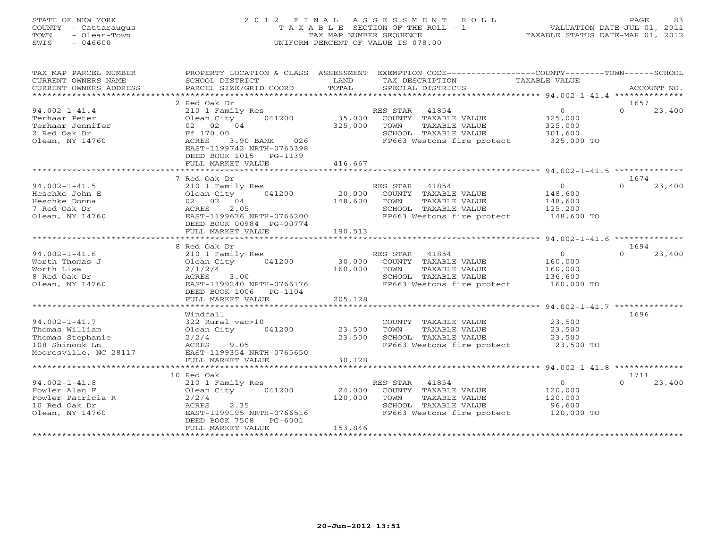# STATE OF NEW YORK 2 0 1 2 F I N A L A S S E S S M E N T R O L L PAGE 83 COUNTY - Cattaraugus T A X A B L E SECTION OF THE ROLL - 1 VALUATION DATE-JUL 01, 2011 TOWN - Olean-Town TAX MAP NUMBER SEQUENCE TAXABLE STATUS DATE-MAR 01, 2012 SWIS - 046600 UNIFORM PERCENT OF VALUE IS 078.00

| TAX MAP PARCEL NUMBER<br>CURRENT OWNERS NAME<br>CURRENT OWNERS ADDRESS                               | PROPERTY LOCATION & CLASS ASSESSMENT<br>SCHOOL DISTRICT<br>PARCEL SIZE/GRID COORD                                                                                  | LAND<br>TOTAL                | EXEMPTION CODE-----------------COUNTY-------TOWN------SCHOOL<br>TAX DESCRIPTION<br>SPECIAL DISTRICTS                             | TAXABLE VALUE                                                 | ACCOUNT NO.                |
|------------------------------------------------------------------------------------------------------|--------------------------------------------------------------------------------------------------------------------------------------------------------------------|------------------------------|----------------------------------------------------------------------------------------------------------------------------------|---------------------------------------------------------------|----------------------------|
| *************************                                                                            |                                                                                                                                                                    |                              |                                                                                                                                  |                                                               |                            |
| $94.002 - 1 - 41.4$<br>Terhaar Peter<br>Terhaar Jennifer<br>2 Red Oak Dr<br>Olean, NY 14760          | 2 Red Oak Dr<br>210 1 Family Res<br>041200<br>Olean City<br>02 02 04<br>Ff 170.00<br>ACRES<br>3.90 BANK 026<br>EAST-1199742 NRTH-0765398<br>DEED BOOK 1015 PG-1139 | 35,000<br>325,000            | RES STAR 41854<br>COUNTY TAXABLE VALUE<br>TOWN<br>TAXABLE VALUE<br>SCHOOL TAXABLE VALUE<br>FP663 Westons fire protect            | $\overline{0}$<br>325,000<br>325,000<br>301,600<br>325,000 TO | 1657<br>$\Omega$<br>23,400 |
|                                                                                                      | FULL MARKET VALUE                                                                                                                                                  | 416,667                      |                                                                                                                                  |                                                               |                            |
|                                                                                                      |                                                                                                                                                                    |                              |                                                                                                                                  |                                                               |                            |
| $94.002 - 1 - 41.5$<br>Heschke John E<br>Heschke Donna<br>7 Red Oak Dr<br>Olean, NY 14760            | 7 Red Oak Dr<br>210 1 Family Res<br>041200<br>Olean City<br>02 02 04<br>2.05<br>ACRES<br>EAST-1199676 NRTH-0766200<br>DEED BOOK 00984 PG-00774                     | 20,000<br>148,600            | RES STAR 41854<br>COUNTY TAXABLE VALUE<br>TOWN<br>TAXABLE VALUE<br>SCHOOL TAXABLE VALUE<br>FP663 Westons fire protect 148,600 TO | $\overline{0}$<br>148,600<br>148,600<br>125,200               | 1674<br>$\Omega$<br>23,400 |
|                                                                                                      | FULL MARKET VALUE                                                                                                                                                  | 190,513                      |                                                                                                                                  |                                                               |                            |
|                                                                                                      |                                                                                                                                                                    |                              |                                                                                                                                  |                                                               |                            |
| $94.002 - 1 - 41.6$<br>Worth Thomas J<br>Worth Lisa<br>8 Red Oak Dr<br>Olean, NY 14760               | 8 Red Oak Dr<br>210 1 Family Res<br>041200<br>Olean City<br>2/1/2/4<br>ACRES<br>3.00<br>EAST-1199240 NRTH-0766176<br>DEED BOOK 1006 PG-1104                        | 30,000<br>160,000            | RES STAR 41854<br>COUNTY TAXABLE VALUE<br>TAXABLE VALUE<br>TOWN<br>SCHOOL TAXABLE VALUE<br>FP663 Westons fire protect            | $\overline{0}$<br>160,000<br>160,000<br>136,600<br>160,000 TO | 1694<br>$\cap$<br>23,400   |
|                                                                                                      | FULL MARKET VALUE                                                                                                                                                  | 205,128                      |                                                                                                                                  |                                                               |                            |
| $94.002 - 1 - 41.7$<br>Thomas William<br>Thomas Stephanie<br>108 Shinook Ln<br>Mooresville, NC 28117 | Windfall<br>322 Rural vac>10<br>Olean City<br>041200<br>2/2/4<br>ACRES<br>9.05<br>EAST-1199354 NRTH-0765650<br>FULL MARKET VALUE                                   | 23,500<br>23,500<br>30,128   | COUNTY TAXABLE VALUE<br>TOWN<br>TAXABLE VALUE<br>SCHOOL TAXABLE VALUE<br>FP663 Westons fire protect                              | 23,500<br>23,500<br>23,500<br>23,500 TO                       | 1696                       |
|                                                                                                      | 10 Red Oak                                                                                                                                                         |                              |                                                                                                                                  |                                                               | 1711                       |
| $94.002 - 1 - 41.8$<br>Fowler Alan F<br>Fowler Patricia R<br>10 Red Oak Dr<br>Olean, NY 14760        | 210 1 Family Res<br>Olean City<br>041200<br>2/2/4<br>ACRES<br>2.35<br>EAST-1199195 NRTH-0766516<br>DEED BOOK 7508<br>PG-6001<br>FULL MARKET VALUE                  | 24,000<br>120,000<br>153,846 | RES STAR 41854<br>COUNTY TAXABLE VALUE<br>TOWN<br>TAXABLE VALUE<br>SCHOOL TAXABLE VALUE<br>FP663 Westons fire protect            | $\overline{O}$<br>120,000<br>120,000<br>96,600<br>120,000 TO  | $\cap$<br>23,400           |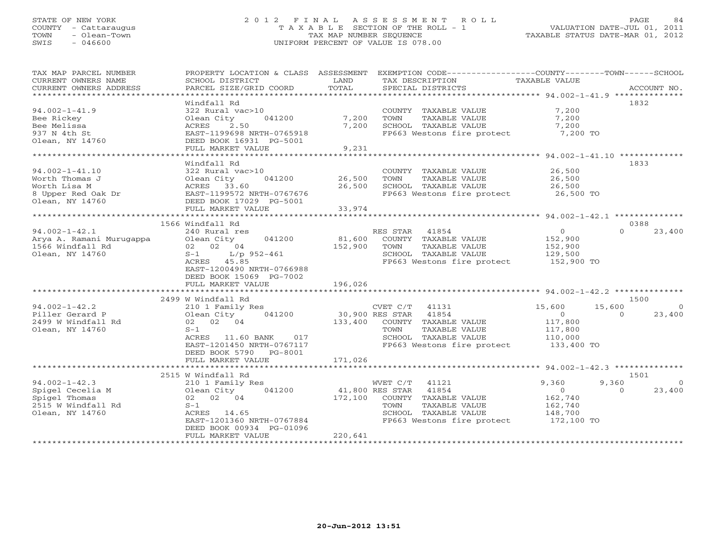### STATE OF NEW YORK 2 0 1 2 F I N A L A S S E S S M E N T R O L L PAGE 84 COUNTY - Cattaraugus T A X A B L E SECTION OF THE ROLL - 1 VALUATION DATE-JUL 01, 2011 TOWN - Olean-Town TAX MAP NUMBER SEQUENCE TAXABLE STATUS DATE-MAR 01, 2012 SWIS - 046600 UNIFORM PERCENT OF VALUE IS 078.00UNIFORM PERCENT OF VALUE IS 078.00

| TAX MAP PARCEL NUMBER<br>CURRENT OWNERS NAME<br>CURRENT OWNERS ADDRESS                            | PROPERTY LOCATION & CLASS ASSESSMENT<br>SCHOOL DISTRICT<br>PARCEL SIZE/GRID COORD                                                                                                                                 | LAND<br>TOTAL                         | EXEMPTION CODE-----------------COUNTY-------TOWN------SCHOOL<br>TAX DESCRIPTION<br>SPECIAL DISTRICTS                                                 | <b>TAXABLE VALUE</b>                                                        | ACCOUNT NO.                            |
|---------------------------------------------------------------------------------------------------|-------------------------------------------------------------------------------------------------------------------------------------------------------------------------------------------------------------------|---------------------------------------|------------------------------------------------------------------------------------------------------------------------------------------------------|-----------------------------------------------------------------------------|----------------------------------------|
|                                                                                                   |                                                                                                                                                                                                                   |                                       |                                                                                                                                                      |                                                                             |                                        |
| $94.002 - 1 - 41.9$<br>Bee Rickey<br>Bee Melissa                                                  | Windfall Rd<br>322 Rural vac>10<br>Olean City<br>041200<br>2.50<br>ACRES                                                                                                                                          | 7,200<br>7,200                        | COUNTY TAXABLE VALUE<br>TOWN<br>TAXABLE VALUE<br>SCHOOL TAXABLE VALUE                                                                                | 7,200<br>7,200<br>7,200                                                     | 1832                                   |
| 937 N 4th St<br>Olean, NY 14760                                                                   | EAST-1199698 NRTH-0765918<br>DEED BOOK 16931 PG-5001<br>FULL MARKET VALUE                                                                                                                                         | 9,231                                 | FP663 Westons fire protect                                                                                                                           | 7,200 TO                                                                    |                                        |
|                                                                                                   |                                                                                                                                                                                                                   | *******************                   |                                                                                                                                                      | *********************** 94.002-1-41.10 *************                        |                                        |
|                                                                                                   | Windfall Rd                                                                                                                                                                                                       |                                       |                                                                                                                                                      |                                                                             | 1833                                   |
| $94.002 - 1 - 41.10$<br>Worth Thomas J<br>Worth Lisa M<br>8 Upper Red Oak Dr<br>Olean, NY 14760   | 322 Rural vac>10<br>041200<br>Olean City<br>ACRES 33.60<br>EAST-1199572 NRTH-0767676<br>DEED BOOK 17029 PG-5001                                                                                                   | 26,500<br>26,500                      | COUNTY TAXABLE VALUE<br>TOWN<br>TAXABLE VALUE<br>SCHOOL TAXABLE VALUE<br>FP663 Westons fire protect                                                  | 26,500<br>26,500<br>26,500<br>26,500 TO                                     |                                        |
|                                                                                                   | FULL MARKET VALUE                                                                                                                                                                                                 | 33,974                                |                                                                                                                                                      |                                                                             |                                        |
|                                                                                                   | ****************************                                                                                                                                                                                      |                                       |                                                                                                                                                      |                                                                             |                                        |
| $94.002 - 1 - 42.1$<br>Arya A. Ramani Murugappa<br>1566 Windfall Rd<br>Olean, NY 14760            | 1566 Windfall Rd<br>240 Rural res<br>041200<br>Olean City<br>02 02 04<br>$S-1$<br>$L/p$ 952-461<br>ACRES 45.85<br>EAST-1200490 NRTH-0766988<br>DEED BOOK 15069 PG-7002<br>FULL MARKET VALUE<br>2499 W Windfall Rd | 81,600<br>152,900<br>196,026          | 41854<br>RES STAR<br>COUNTY TAXABLE VALUE<br>TAXABLE VALUE<br>TOWN<br>SCHOOL TAXABLE VALUE<br>FP663 Westons fire protect                             | $\overline{0}$<br>152,900<br>152,900<br>129,500<br>152,900 TO               | 0388<br>$\Omega$<br>23,400<br>1500     |
| $94.002 - 1 - 42.2$<br>Piller Gerard P<br>2499 W Windfall Rd<br>Olean, NY 14760                   | 210 1 Family Res<br>041200<br>Olean City<br>02<br>04<br>02<br>$S-1$<br>ACRES<br>11.60 BANK<br>017<br>EAST-1201450 NRTH-0767117<br>DEED BOOK 5790<br>PG-8001<br>FULL MARKET VALUE                                  | 30,900 RES STAR<br>133,400<br>171,026 | CVET C/T<br>41131<br>41854<br>COUNTY TAXABLE VALUE<br>TOWN<br>TAXABLE VALUE<br>SCHOOL TAXABLE VALUE<br>FP663 Westons fire protect                    | 15,600<br>15,600<br>$\Omega$<br>117,800<br>117,800<br>110,000<br>133,400 TO | $\overline{0}$<br>23,400<br>$\Omega$   |
|                                                                                                   |                                                                                                                                                                                                                   |                                       |                                                                                                                                                      | ************* 94.002-1-42.3 ***************                                 |                                        |
|                                                                                                   | 2515 W Windfall Rd                                                                                                                                                                                                |                                       |                                                                                                                                                      |                                                                             | 1501                                   |
| $94.002 - 1 - 42.3$<br>Spigel Cecelia M<br>Spigel Thomas<br>2515 W Windfall Rd<br>Olean, NY 14760 | 210 1 Family Res<br>Olean City<br>041200<br>02 04<br>02<br>$S-1$<br>ACRES 14.65<br>EAST-1201360 NRTH-0767884<br>DEED BOOK 00934 PG-01096<br>FULL MARKET VALUE                                                     | 172,100<br>220,641                    | WVET C/T<br>41121<br>41854<br>41,800 RES STAR<br>COUNTY TAXABLE VALUE<br>TAXABLE VALUE<br>TOWN<br>SCHOOL TAXABLE VALUE<br>FP663 Westons fire protect | 9,360<br>9,360<br>$\circ$<br>162,740<br>162,740<br>148,700<br>172,100 TO    | $\left( \right)$<br>23,400<br>$\Omega$ |
|                                                                                                   |                                                                                                                                                                                                                   |                                       |                                                                                                                                                      |                                                                             |                                        |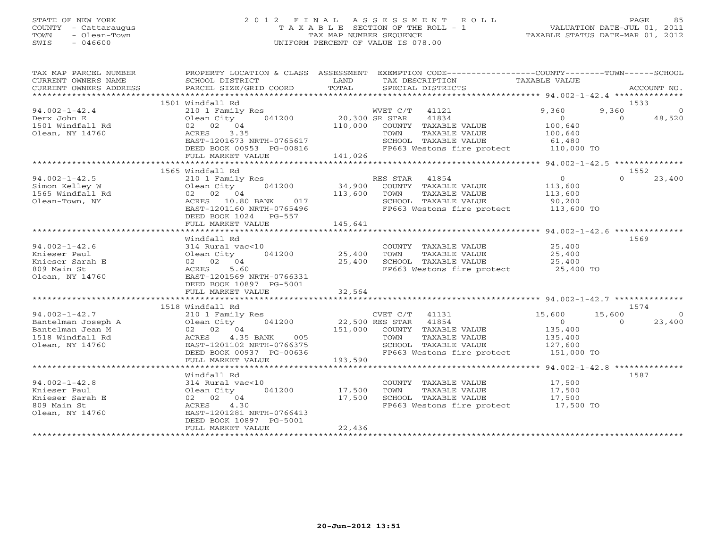### STATE OF NEW YORK 2 0 1 2 F I N A L A S S E S S M E N T R O L L PAGE 85 COUNTY - Cattaraugus T A X A B L E SECTION OF THE ROLL - 1 VALUATION DATE-JUL 01, 2011 TOWN - Olean-Town - Olean-Town TAX MAP NUMBER SEQUENCE TAXABLE STATUS DATE-MAR 01, 2012<br>
SWIS - 046600 - UNIFORM PERCENT OF VALUE IS 078.00 SWIS - 046600 UNIFORM PERCENT OF VALUE IS 078.00

| TAX MAP PARCEL NUMBER<br>CURRENT OWNERS NAME<br>CURRENT OWNERS ADDRESS | PROPERTY LOCATION & CLASS ASSESSMENT<br>SCHOOL DISTRICT<br>PARCEL SIZE/GRID COORD | LAND<br>TOTAL  | EXEMPTION CODE-----------------COUNTY-------TOWN------SCHOOL<br>TAX DESCRIPTION<br>SPECIAL DISTRICTS | TAXABLE VALUE  |          | ACCOUNT NO. |
|------------------------------------------------------------------------|-----------------------------------------------------------------------------------|----------------|------------------------------------------------------------------------------------------------------|----------------|----------|-------------|
|                                                                        |                                                                                   |                |                                                                                                      |                |          |             |
|                                                                        | 1501 Windfall Rd                                                                  |                |                                                                                                      |                |          | 1533        |
| $94.002 - 1 - 42.4$                                                    | 210 1 Family Res                                                                  |                | WVET C/T<br>41121                                                                                    | 9,360          | 9,360    | $\Omega$    |
| Derx John E                                                            | 041200<br>Olean City                                                              | 20,300 SR STAR | 41834                                                                                                | $\Omega$       | $\Omega$ | 48,520      |
| 1501 Windfall Rd                                                       | 02 02 04                                                                          |                | 110,000 COUNTY TAXABLE VALUE                                                                         | 100,640        |          |             |
| Olean, NY 14760                                                        | 3.35<br>ACRES                                                                     |                | TAXABLE VALUE<br>TOWN                                                                                | 100,640        |          |             |
|                                                                        | EAST-1201673 NRTH-0765617                                                         |                | SCHOOL TAXABLE VALUE                                                                                 | 61,480         |          |             |
|                                                                        | DEED BOOK 00953 PG-00816                                                          |                | FP663 Westons fire protect 110,000 TO                                                                |                |          |             |
|                                                                        | FULL MARKET VALUE                                                                 | 141,026        |                                                                                                      |                |          |             |
|                                                                        |                                                                                   |                |                                                                                                      |                |          |             |
|                                                                        | 1565 Windfall Rd                                                                  |                |                                                                                                      |                |          | 1552        |
| $94.002 - 1 - 42.5$                                                    | 210 1 Family Res                                                                  |                | RES STAR 41854                                                                                       | $\overline{0}$ | $\Omega$ | 23,400      |
| Simon Kelley W                                                         | Olean City<br>041200                                                              | 34,900         | COUNTY TAXABLE VALUE                                                                                 | 113,600        |          |             |
| 1565 Windfall Rd                                                       | 02 02 04                                                                          | 113,600        | TOWN<br>TAXABLE VALUE                                                                                | 113,600        |          |             |
| Olean-Town, NY                                                         | 017<br>ACRES 10.80 BANK                                                           |                | SCHOOL TAXABLE VALUE                                                                                 | 90,200         |          |             |
|                                                                        | EAST-1201160 NRTH-0765496                                                         |                | FP663 Westons fire protect                                                                           | 113,600 TO     |          |             |
|                                                                        | DEED BOOK 1024 PG-557                                                             |                |                                                                                                      |                |          |             |
|                                                                        | FULL MARKET VALUE                                                                 | 145,641        |                                                                                                      |                |          |             |
|                                                                        |                                                                                   |                |                                                                                                      |                |          |             |
|                                                                        | Windfall Rd                                                                       |                |                                                                                                      |                |          | 1569        |
| $94.002 - 1 - 42.6$                                                    | 314 Rural vac<10                                                                  |                | COUNTY TAXABLE VALUE                                                                                 | 25,400         |          |             |
| Knieser Paul                                                           | Olean City<br>041200                                                              | 25,400         | TAXABLE VALUE<br>TOWN                                                                                | 25,400         |          |             |
| Knieser Sarah E                                                        | 02 02 04                                                                          | 25,400         | SCHOOL TAXABLE VALUE                                                                                 | 25,400         |          |             |
| 809 Main St                                                            | 5.60<br>ACRES                                                                     |                | FP663 Westons fire protect 25,400 TO                                                                 |                |          |             |
| Olean, NY 14760                                                        | EAST-1201569 NRTH-0766331                                                         |                |                                                                                                      |                |          |             |
|                                                                        | DEED BOOK 10897 PG-5001                                                           |                |                                                                                                      |                |          |             |
|                                                                        | FULL MARKET VALUE                                                                 | 32,564         |                                                                                                      |                |          |             |
|                                                                        |                                                                                   |                |                                                                                                      |                |          |             |
|                                                                        | 1518 Windfall Rd                                                                  |                |                                                                                                      |                |          | 1574        |
| $94.002 - 1 - 42.7$                                                    | 210 1 Family Res                                                                  |                | CVET C/T<br>41131                                                                                    | 15,600         | 15,600   | $\Omega$    |
| Bantelman Joseph A                                                     | Olean City<br>041200                                                              |                | 22,500 RES STAR 41854                                                                                | $\Omega$       | $\Omega$ | 23,400      |
| Bantelman Jean M                                                       | 02 02 04                                                                          |                | 151,000 COUNTY TAXABLE VALUE                                                                         | 135,400        |          |             |
| 1518 Windfall Rd                                                       | 4.35 BANK<br>ACRES<br>005                                                         |                | TAXABLE VALUE<br>TOWN                                                                                | 135,400        |          |             |
| Olean, NY 14760                                                        | EAST-1201102 NRTH-0766375                                                         |                | SCHOOL TAXABLE VALUE                                                                                 | 127,600        |          |             |
|                                                                        | DEED BOOK 00937 PG-00636                                                          |                | FP663 Westons fire protect                                                                           | 151,000 TO     |          |             |
|                                                                        | FULL MARKET VALUE                                                                 | 193,590        |                                                                                                      |                |          |             |
|                                                                        |                                                                                   |                |                                                                                                      |                |          |             |
|                                                                        | Windfall Rd                                                                       |                |                                                                                                      |                |          | 1587        |
| $94.002 - 1 - 42.8$                                                    | 314 Rural vac<10                                                                  |                | COUNTY TAXABLE VALUE                                                                                 | 17,500         |          |             |
| Knieser Paul                                                           | 041200<br>Olean City                                                              | 17,500         | TAXABLE VALUE<br>TOWN                                                                                | 17,500         |          |             |
| Knieser Sarah E                                                        | 02 02 04                                                                          | 17,500         | SCHOOL TAXABLE VALUE                                                                                 | 17,500         |          |             |
| 809 Main St                                                            | 4.30<br>ACRES                                                                     |                | FP663 Westons fire protect                                                                           | $17,500$ TO    |          |             |
| Olean, NY 14760                                                        | EAST-1201281 NRTH-0766413                                                         |                |                                                                                                      |                |          |             |
|                                                                        | DEED BOOK 10897 PG-5001                                                           |                |                                                                                                      |                |          |             |
|                                                                        | FULL MARKET VALUE                                                                 | 22,436         |                                                                                                      |                |          |             |
|                                                                        |                                                                                   |                |                                                                                                      |                |          |             |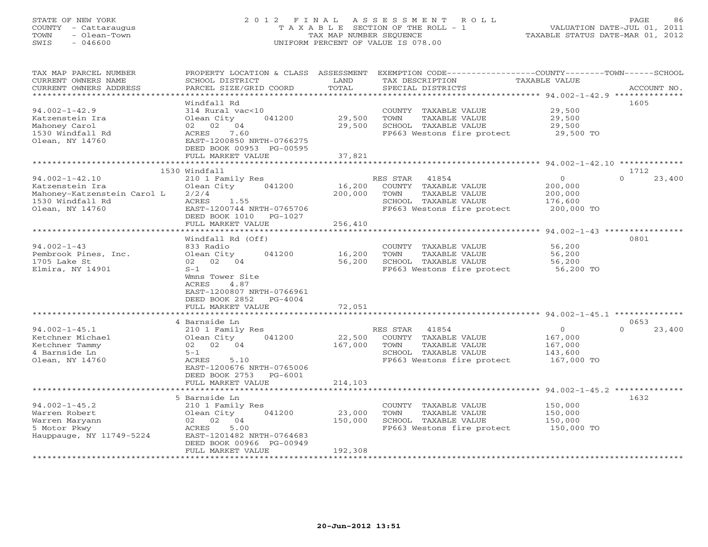# STATE OF NEW YORK 2 0 1 2 F I N A L A S S E S S M E N T R O L L PAGE 86 COUNTY - Cattaraugus T A X A B L E SECTION OF THE ROLL - 1 VALUATION DATE-JUL 01, 2011 TOWN - Olean-Town TAX MAP NUMBER SEQUENCE TAXABLE STATUS DATE-MAR 01, 2012 SWIS - 046600 UNIFORM PERCENT OF VALUE IS 078.00

| TAX MAP PARCEL NUMBER<br>CURRENT OWNERS NAME<br>CURRENT OWNERS ADDRESS                                        | PROPERTY LOCATION & CLASS<br>SCHOOL DISTRICT<br>PARCEL SIZE/GRID COORD<br>* * * * * * * * * * * * * * * * * *                                                                                                        | ASSESSMENT<br>LAND<br>TOTAL<br>************ | TAX DESCRIPTION<br>SPECIAL DISTRICTS                                                                                            | EXEMPTION CODE----------------COUNTY-------TOWN------SCHOOL<br><b>TAXABLE VALUE</b><br>ACCOUNT NO.<br>************************************** 94.002-1-42.9 ************** |
|---------------------------------------------------------------------------------------------------------------|----------------------------------------------------------------------------------------------------------------------------------------------------------------------------------------------------------------------|---------------------------------------------|---------------------------------------------------------------------------------------------------------------------------------|---------------------------------------------------------------------------------------------------------------------------------------------------------------------------|
|                                                                                                               | Windfall Rd                                                                                                                                                                                                          |                                             |                                                                                                                                 | 1605                                                                                                                                                                      |
| $94.002 - 1 - 42.9$<br>Katzenstein Ira<br>Mahoney Carol<br>1530 Windfall Rd                                   | 314 Rural vac<10<br>Olean City<br>041200<br>04<br>02 02<br>7.60<br>ACRES                                                                                                                                             | 29,500<br>29,500                            | COUNTY TAXABLE VALUE<br>TOWN<br>TAXABLE VALUE<br>SCHOOL TAXABLE VALUE<br>FP663 Westons fire protect                             | 29,500<br>29,500<br>29,500<br>29,500 TO                                                                                                                                   |
| Olean, NY 14760                                                                                               | EAST-1200850 NRTH-0766275<br>DEED BOOK 00953 PG-00595                                                                                                                                                                |                                             |                                                                                                                                 |                                                                                                                                                                           |
|                                                                                                               | FULL MARKET VALUE<br>* * * * * * * * * * * * * * * * * * *                                                                                                                                                           | 37,821                                      |                                                                                                                                 |                                                                                                                                                                           |
|                                                                                                               | 1530 Windfall                                                                                                                                                                                                        |                                             |                                                                                                                                 | 1712                                                                                                                                                                      |
| $94.002 - 1 - 42.10$<br>Katzenstein Ira<br>Mahoney-Katzenstein Carol L<br>1530 Windfall Rd<br>Olean, NY 14760 | 210 1 Family Res<br>Olean City<br>041200<br>2/2/4<br>ACRES<br>1.55<br>EAST-1200744 NRTH-0765706<br>DEED BOOK 1010<br>PG-1027                                                                                         | 16,200<br>200,000                           | RES STAR<br>41854<br>COUNTY TAXABLE VALUE<br>TOWN<br><b>TAXABLE VALUE</b><br>SCHOOL TAXABLE VALUE<br>FP663 Westons fire protect | $\mathbf{0}$<br>23,400<br>$\Omega$<br>200,000<br>200,000<br>176,600<br>200,000 TO                                                                                         |
|                                                                                                               | FULL MARKET VALUE                                                                                                                                                                                                    | 256,410                                     |                                                                                                                                 |                                                                                                                                                                           |
|                                                                                                               | * * * * * * * * * * * * *                                                                                                                                                                                            |                                             |                                                                                                                                 | $94.002 - 1 - 43$ ****************                                                                                                                                        |
| $94.002 - 1 - 43$<br>Pembrook Pines, Inc.<br>1705 Lake St<br>Elmira, NY 14901                                 | Windfall Rd (Off)<br>833 Radio<br>Olean City<br>041200<br>02 04<br>02<br>$S-1$<br>Wmns Tower Site<br>ACRES<br>4.87<br>EAST-1200807 NRTH-0766961<br>DEED BOOK 2852<br>$PG-4004$<br>FULL MARKET VALUE<br>4 Barnside Ln | 16,200<br>56,200<br>72,051<br>* * * * * * * | COUNTY<br>TAXABLE VALUE<br>TOWN<br>TAXABLE VALUE<br>SCHOOL TAXABLE VALUE<br>FP663 Westons fire protect                          | 0801<br>56,200<br>56,200<br>56,200<br>56,200 TO<br>************************ 94.002-1-45.1 **************<br>0653                                                          |
| $94.002 - 1 - 45.1$<br>Ketchner Michael<br>Ketchner Tammy<br>4 Barnside Ln<br>Olean, NY 14760                 | 210 1 Family Res<br>Olean City<br>041200<br>02 02 04<br>$5 - 1$<br>ACRES<br>5.10<br>EAST-1200676 NRTH-0765006<br>DEED BOOK 2753<br>$PG-6001$<br>FULL MARKET VALUE                                                    | 22,500<br>167,000<br>214,103                | RES STAR<br>41854<br>COUNTY TAXABLE VALUE<br>TOWN<br>TAXABLE VALUE<br>SCHOOL TAXABLE VALUE<br>FP663 Westons fire protect        | $\circ$<br>$\Omega$<br>23,400<br>167,000<br>167,000<br>143,600<br>167,000 TO                                                                                              |
|                                                                                                               | ******************                                                                                                                                                                                                   | *******************                         |                                                                                                                                 | ********************* 94.002-1-45.2 **************                                                                                                                        |
| $94.002 - 1 - 45.2$<br>Warren Robert<br>Warren Maryann<br>5 Motor Pkwy<br>Hauppauge, NY 11749-5224            | 5 Barnside Ln<br>210 1 Family Res<br>041200<br>Olean City<br>02 02 04<br>5.00<br>ACRES<br>EAST-1201482 NRTH-0764683<br>DEED BOOK 00966 PG-00949                                                                      | 23,000<br>150,000                           | COUNTY TAXABLE VALUE<br>TOWN<br>TAXABLE VALUE<br>SCHOOL TAXABLE VALUE<br>FP663 Westons fire protect                             | 1632<br>150,000<br>150,000<br>150,000<br>150,000 TO                                                                                                                       |
|                                                                                                               | FULL MARKET VALUE                                                                                                                                                                                                    | 192,308                                     |                                                                                                                                 |                                                                                                                                                                           |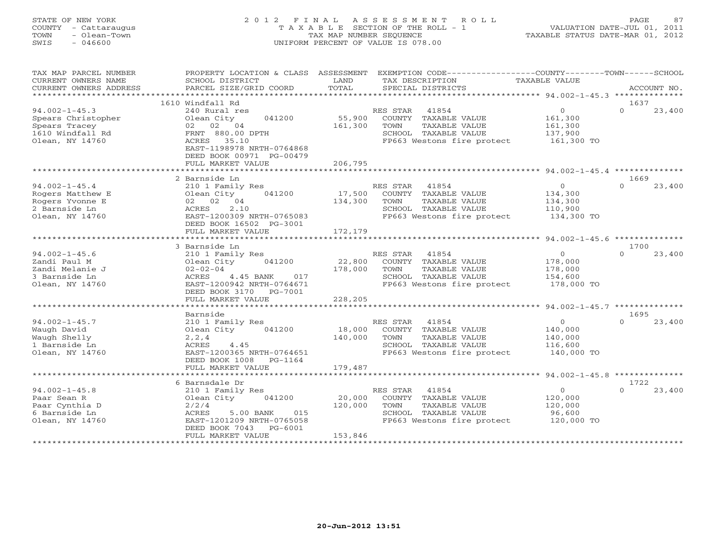# STATE OF NEW YORK 2 0 1 2 F I N A L A S S E S S M E N T R O L L PAGE 87 COUNTY - Cattaraugus T A X A B L E SECTION OF THE ROLL - 1 VALUATION DATE-JUL 01, 2011 TOWN - Olean-Town TAX MAP NUMBER SEQUENCE TAXABLE STATUS DATE-MAR 01, 2012 SWIS - 046600 UNIFORM PERCENT OF VALUE IS 078.00

| CURRENT OWNERS NAME<br>SCHOOL DISTRICT<br>LAND<br>TAX DESCRIPTION<br>TAXABLE VALUE<br>TOTAL<br>PARCEL SIZE/GRID COORD<br>CURRENT OWNERS ADDRESS<br>SPECIAL DISTRICTS<br>ACCOUNT NO.<br>***********<br>**********************<br>********************* 94.002-1-45.3 ***************<br>1610 Windfall Rd<br>1637<br>$\circ$<br>$94.002 - 1 - 45.3$<br>$\Omega$<br>240 Rural res<br>RES STAR<br>41854<br>23,400<br>55,900<br>Spears Christopher<br>Olean City<br>041200<br>COUNTY TAXABLE VALUE<br>161,300<br>161,300<br>Spears Tracey<br>02 02 04<br>TOWN<br>TAXABLE VALUE<br>161,300<br>1610 Windfall Rd<br>FRNT 880.00 DPTH<br>SCHOOL TAXABLE VALUE<br>137,900<br>FP663 Westons fire protect<br>Olean, NY 14760<br>ACRES<br>35.10<br>161,300 TO<br>EAST-1198978 NRTH-0764868<br>DEED BOOK 00971 PG-00479<br>206,795<br>FULL MARKET VALUE<br>2 Barnside Ln<br>1669<br>$94.002 - 1 - 45.4$<br>210 1 Family Res<br>RES STAR<br>41854<br>$\overline{0}$<br>$\Omega$<br>23,400<br>Rogers Matthew E<br>17,500<br>Olean City<br>041200<br>COUNTY TAXABLE VALUE<br>134,300<br>134,300<br>Rogers Yvonne E<br>02 02 04<br>TOWN<br>TAXABLE VALUE<br>134,300<br>2 Barnside Ln<br>ACRES<br>2.10<br>SCHOOL TAXABLE VALUE<br>110,900<br>Olean, NY 14760<br>EAST-1200309 NRTH-0765083<br>FP663 Westons fire protect<br>134,300 TO<br>DEED BOOK 16502 PG-3001<br>172,179<br>FULL MARKET VALUE<br>1700<br>3 Barnside Ln<br>$\Omega$<br>23,400<br>$94.002 - 1 - 45.6$<br>RES STAR 41854<br>$\overline{O}$<br>210 1 Family Res<br>22,800<br>Zandi Paul M<br>Olean City<br>041200<br>COUNTY TAXABLE VALUE<br>178,000<br>Zandi Melanie J<br>$02 - 02 - 04$<br>178,000<br>TOWN<br>TAXABLE VALUE<br>178,000<br>3 Barnside Ln<br>ACRES<br>4.45 BANK<br>017<br>SCHOOL TAXABLE VALUE<br>154,600<br>Olean, NY 14760<br>EAST-1200942 NRTH-0764671<br>FP663 Westons fire protect<br>178,000 TO<br>DEED BOOK 3170 PG-7001<br>228,205<br>FULL MARKET VALUE<br>* * * * * * * * * * * * * * * * * *<br>********<br>********** 94.002-1-45.7 **************<br>1695<br>Barnside<br>$94.002 - 1 - 45.7$<br>RES STAR<br>41854<br>$\overline{0}$<br>23,400<br>210 1 Family Res<br>$\Omega$<br>18,000<br>Waugh David<br>Olean City 041200<br>COUNTY TAXABLE VALUE<br>140,000<br>Waugh Shelly<br>140,000<br>TOWN<br>TAXABLE VALUE<br>140,000<br>2, 2, 4<br>1 Barnside Ln<br>ACRES<br>4.45<br>SCHOOL TAXABLE VALUE<br>116,600<br>Olean, NY 14760<br>EAST-1200365 NRTH-0764651<br>FP663 Westons fire protect<br>140,000 TO<br>DEED BOOK 1008<br>PG-1164<br>FULL MARKET VALUE<br>179,487<br>*******************<br>6 Barnsdale Dr<br>1722<br>$94.002 - 1 - 45.8$<br>$\overline{O}$<br>$\cap$<br>23,400<br>210 1 Family Res<br>RES STAR 41854<br>20,000<br>Paar Sean R<br>Olean City<br>041200<br>COUNTY TAXABLE VALUE<br>120,000<br>Paar Cynthia D<br>120,000<br>TOWN<br>TAXABLE VALUE<br>120,000<br>2/2/4<br>6 Barnside Ln<br>5.00 BANK<br>015<br>SCHOOL TAXABLE VALUE<br>96,600<br>ACRES<br>FP663 Westons fire protect<br>120,000 TO<br>Olean, NY 14760<br>EAST-1201209 NRTH-0765058<br>DEED BOOK 7043<br>PG-6001<br>153,846<br>FULL MARKET VALUE | TAX MAP PARCEL NUMBER | PROPERTY LOCATION & CLASS ASSESSMENT |  | EXEMPTION CODE-----------------COUNTY-------TOWN------SCHOOL |  |
|-----------------------------------------------------------------------------------------------------------------------------------------------------------------------------------------------------------------------------------------------------------------------------------------------------------------------------------------------------------------------------------------------------------------------------------------------------------------------------------------------------------------------------------------------------------------------------------------------------------------------------------------------------------------------------------------------------------------------------------------------------------------------------------------------------------------------------------------------------------------------------------------------------------------------------------------------------------------------------------------------------------------------------------------------------------------------------------------------------------------------------------------------------------------------------------------------------------------------------------------------------------------------------------------------------------------------------------------------------------------------------------------------------------------------------------------------------------------------------------------------------------------------------------------------------------------------------------------------------------------------------------------------------------------------------------------------------------------------------------------------------------------------------------------------------------------------------------------------------------------------------------------------------------------------------------------------------------------------------------------------------------------------------------------------------------------------------------------------------------------------------------------------------------------------------------------------------------------------------------------------------------------------------------------------------------------------------------------------------------------------------------------------------------------------------------------------------------------------------------------------------------------------------------------------------------------------------------------------------------------------------------------------------------------------------------------------------------------------------------------------------------------------------------------------------------------------------------------------------------------------------------------------------------------------------------------------------------------------------------------------------------------------------------------------------------------------------------------------------------|-----------------------|--------------------------------------|--|--------------------------------------------------------------|--|
|                                                                                                                                                                                                                                                                                                                                                                                                                                                                                                                                                                                                                                                                                                                                                                                                                                                                                                                                                                                                                                                                                                                                                                                                                                                                                                                                                                                                                                                                                                                                                                                                                                                                                                                                                                                                                                                                                                                                                                                                                                                                                                                                                                                                                                                                                                                                                                                                                                                                                                                                                                                                                                                                                                                                                                                                                                                                                                                                                                                                                                                                                                           |                       |                                      |  |                                                              |  |
|                                                                                                                                                                                                                                                                                                                                                                                                                                                                                                                                                                                                                                                                                                                                                                                                                                                                                                                                                                                                                                                                                                                                                                                                                                                                                                                                                                                                                                                                                                                                                                                                                                                                                                                                                                                                                                                                                                                                                                                                                                                                                                                                                                                                                                                                                                                                                                                                                                                                                                                                                                                                                                                                                                                                                                                                                                                                                                                                                                                                                                                                                                           |                       |                                      |  |                                                              |  |
|                                                                                                                                                                                                                                                                                                                                                                                                                                                                                                                                                                                                                                                                                                                                                                                                                                                                                                                                                                                                                                                                                                                                                                                                                                                                                                                                                                                                                                                                                                                                                                                                                                                                                                                                                                                                                                                                                                                                                                                                                                                                                                                                                                                                                                                                                                                                                                                                                                                                                                                                                                                                                                                                                                                                                                                                                                                                                                                                                                                                                                                                                                           |                       |                                      |  |                                                              |  |
|                                                                                                                                                                                                                                                                                                                                                                                                                                                                                                                                                                                                                                                                                                                                                                                                                                                                                                                                                                                                                                                                                                                                                                                                                                                                                                                                                                                                                                                                                                                                                                                                                                                                                                                                                                                                                                                                                                                                                                                                                                                                                                                                                                                                                                                                                                                                                                                                                                                                                                                                                                                                                                                                                                                                                                                                                                                                                                                                                                                                                                                                                                           |                       |                                      |  |                                                              |  |
|                                                                                                                                                                                                                                                                                                                                                                                                                                                                                                                                                                                                                                                                                                                                                                                                                                                                                                                                                                                                                                                                                                                                                                                                                                                                                                                                                                                                                                                                                                                                                                                                                                                                                                                                                                                                                                                                                                                                                                                                                                                                                                                                                                                                                                                                                                                                                                                                                                                                                                                                                                                                                                                                                                                                                                                                                                                                                                                                                                                                                                                                                                           |                       |                                      |  |                                                              |  |
|                                                                                                                                                                                                                                                                                                                                                                                                                                                                                                                                                                                                                                                                                                                                                                                                                                                                                                                                                                                                                                                                                                                                                                                                                                                                                                                                                                                                                                                                                                                                                                                                                                                                                                                                                                                                                                                                                                                                                                                                                                                                                                                                                                                                                                                                                                                                                                                                                                                                                                                                                                                                                                                                                                                                                                                                                                                                                                                                                                                                                                                                                                           |                       |                                      |  |                                                              |  |
|                                                                                                                                                                                                                                                                                                                                                                                                                                                                                                                                                                                                                                                                                                                                                                                                                                                                                                                                                                                                                                                                                                                                                                                                                                                                                                                                                                                                                                                                                                                                                                                                                                                                                                                                                                                                                                                                                                                                                                                                                                                                                                                                                                                                                                                                                                                                                                                                                                                                                                                                                                                                                                                                                                                                                                                                                                                                                                                                                                                                                                                                                                           |                       |                                      |  |                                                              |  |
|                                                                                                                                                                                                                                                                                                                                                                                                                                                                                                                                                                                                                                                                                                                                                                                                                                                                                                                                                                                                                                                                                                                                                                                                                                                                                                                                                                                                                                                                                                                                                                                                                                                                                                                                                                                                                                                                                                                                                                                                                                                                                                                                                                                                                                                                                                                                                                                                                                                                                                                                                                                                                                                                                                                                                                                                                                                                                                                                                                                                                                                                                                           |                       |                                      |  |                                                              |  |
|                                                                                                                                                                                                                                                                                                                                                                                                                                                                                                                                                                                                                                                                                                                                                                                                                                                                                                                                                                                                                                                                                                                                                                                                                                                                                                                                                                                                                                                                                                                                                                                                                                                                                                                                                                                                                                                                                                                                                                                                                                                                                                                                                                                                                                                                                                                                                                                                                                                                                                                                                                                                                                                                                                                                                                                                                                                                                                                                                                                                                                                                                                           |                       |                                      |  |                                                              |  |
|                                                                                                                                                                                                                                                                                                                                                                                                                                                                                                                                                                                                                                                                                                                                                                                                                                                                                                                                                                                                                                                                                                                                                                                                                                                                                                                                                                                                                                                                                                                                                                                                                                                                                                                                                                                                                                                                                                                                                                                                                                                                                                                                                                                                                                                                                                                                                                                                                                                                                                                                                                                                                                                                                                                                                                                                                                                                                                                                                                                                                                                                                                           |                       |                                      |  |                                                              |  |
|                                                                                                                                                                                                                                                                                                                                                                                                                                                                                                                                                                                                                                                                                                                                                                                                                                                                                                                                                                                                                                                                                                                                                                                                                                                                                                                                                                                                                                                                                                                                                                                                                                                                                                                                                                                                                                                                                                                                                                                                                                                                                                                                                                                                                                                                                                                                                                                                                                                                                                                                                                                                                                                                                                                                                                                                                                                                                                                                                                                                                                                                                                           |                       |                                      |  |                                                              |  |
|                                                                                                                                                                                                                                                                                                                                                                                                                                                                                                                                                                                                                                                                                                                                                                                                                                                                                                                                                                                                                                                                                                                                                                                                                                                                                                                                                                                                                                                                                                                                                                                                                                                                                                                                                                                                                                                                                                                                                                                                                                                                                                                                                                                                                                                                                                                                                                                                                                                                                                                                                                                                                                                                                                                                                                                                                                                                                                                                                                                                                                                                                                           |                       |                                      |  |                                                              |  |
|                                                                                                                                                                                                                                                                                                                                                                                                                                                                                                                                                                                                                                                                                                                                                                                                                                                                                                                                                                                                                                                                                                                                                                                                                                                                                                                                                                                                                                                                                                                                                                                                                                                                                                                                                                                                                                                                                                                                                                                                                                                                                                                                                                                                                                                                                                                                                                                                                                                                                                                                                                                                                                                                                                                                                                                                                                                                                                                                                                                                                                                                                                           |                       |                                      |  |                                                              |  |
|                                                                                                                                                                                                                                                                                                                                                                                                                                                                                                                                                                                                                                                                                                                                                                                                                                                                                                                                                                                                                                                                                                                                                                                                                                                                                                                                                                                                                                                                                                                                                                                                                                                                                                                                                                                                                                                                                                                                                                                                                                                                                                                                                                                                                                                                                                                                                                                                                                                                                                                                                                                                                                                                                                                                                                                                                                                                                                                                                                                                                                                                                                           |                       |                                      |  |                                                              |  |
|                                                                                                                                                                                                                                                                                                                                                                                                                                                                                                                                                                                                                                                                                                                                                                                                                                                                                                                                                                                                                                                                                                                                                                                                                                                                                                                                                                                                                                                                                                                                                                                                                                                                                                                                                                                                                                                                                                                                                                                                                                                                                                                                                                                                                                                                                                                                                                                                                                                                                                                                                                                                                                                                                                                                                                                                                                                                                                                                                                                                                                                                                                           |                       |                                      |  |                                                              |  |
|                                                                                                                                                                                                                                                                                                                                                                                                                                                                                                                                                                                                                                                                                                                                                                                                                                                                                                                                                                                                                                                                                                                                                                                                                                                                                                                                                                                                                                                                                                                                                                                                                                                                                                                                                                                                                                                                                                                                                                                                                                                                                                                                                                                                                                                                                                                                                                                                                                                                                                                                                                                                                                                                                                                                                                                                                                                                                                                                                                                                                                                                                                           |                       |                                      |  |                                                              |  |
|                                                                                                                                                                                                                                                                                                                                                                                                                                                                                                                                                                                                                                                                                                                                                                                                                                                                                                                                                                                                                                                                                                                                                                                                                                                                                                                                                                                                                                                                                                                                                                                                                                                                                                                                                                                                                                                                                                                                                                                                                                                                                                                                                                                                                                                                                                                                                                                                                                                                                                                                                                                                                                                                                                                                                                                                                                                                                                                                                                                                                                                                                                           |                       |                                      |  |                                                              |  |
|                                                                                                                                                                                                                                                                                                                                                                                                                                                                                                                                                                                                                                                                                                                                                                                                                                                                                                                                                                                                                                                                                                                                                                                                                                                                                                                                                                                                                                                                                                                                                                                                                                                                                                                                                                                                                                                                                                                                                                                                                                                                                                                                                                                                                                                                                                                                                                                                                                                                                                                                                                                                                                                                                                                                                                                                                                                                                                                                                                                                                                                                                                           |                       |                                      |  |                                                              |  |
|                                                                                                                                                                                                                                                                                                                                                                                                                                                                                                                                                                                                                                                                                                                                                                                                                                                                                                                                                                                                                                                                                                                                                                                                                                                                                                                                                                                                                                                                                                                                                                                                                                                                                                                                                                                                                                                                                                                                                                                                                                                                                                                                                                                                                                                                                                                                                                                                                                                                                                                                                                                                                                                                                                                                                                                                                                                                                                                                                                                                                                                                                                           |                       |                                      |  |                                                              |  |
|                                                                                                                                                                                                                                                                                                                                                                                                                                                                                                                                                                                                                                                                                                                                                                                                                                                                                                                                                                                                                                                                                                                                                                                                                                                                                                                                                                                                                                                                                                                                                                                                                                                                                                                                                                                                                                                                                                                                                                                                                                                                                                                                                                                                                                                                                                                                                                                                                                                                                                                                                                                                                                                                                                                                                                                                                                                                                                                                                                                                                                                                                                           |                       |                                      |  |                                                              |  |
|                                                                                                                                                                                                                                                                                                                                                                                                                                                                                                                                                                                                                                                                                                                                                                                                                                                                                                                                                                                                                                                                                                                                                                                                                                                                                                                                                                                                                                                                                                                                                                                                                                                                                                                                                                                                                                                                                                                                                                                                                                                                                                                                                                                                                                                                                                                                                                                                                                                                                                                                                                                                                                                                                                                                                                                                                                                                                                                                                                                                                                                                                                           |                       |                                      |  |                                                              |  |
|                                                                                                                                                                                                                                                                                                                                                                                                                                                                                                                                                                                                                                                                                                                                                                                                                                                                                                                                                                                                                                                                                                                                                                                                                                                                                                                                                                                                                                                                                                                                                                                                                                                                                                                                                                                                                                                                                                                                                                                                                                                                                                                                                                                                                                                                                                                                                                                                                                                                                                                                                                                                                                                                                                                                                                                                                                                                                                                                                                                                                                                                                                           |                       |                                      |  |                                                              |  |
|                                                                                                                                                                                                                                                                                                                                                                                                                                                                                                                                                                                                                                                                                                                                                                                                                                                                                                                                                                                                                                                                                                                                                                                                                                                                                                                                                                                                                                                                                                                                                                                                                                                                                                                                                                                                                                                                                                                                                                                                                                                                                                                                                                                                                                                                                                                                                                                                                                                                                                                                                                                                                                                                                                                                                                                                                                                                                                                                                                                                                                                                                                           |                       |                                      |  |                                                              |  |
|                                                                                                                                                                                                                                                                                                                                                                                                                                                                                                                                                                                                                                                                                                                                                                                                                                                                                                                                                                                                                                                                                                                                                                                                                                                                                                                                                                                                                                                                                                                                                                                                                                                                                                                                                                                                                                                                                                                                                                                                                                                                                                                                                                                                                                                                                                                                                                                                                                                                                                                                                                                                                                                                                                                                                                                                                                                                                                                                                                                                                                                                                                           |                       |                                      |  |                                                              |  |
|                                                                                                                                                                                                                                                                                                                                                                                                                                                                                                                                                                                                                                                                                                                                                                                                                                                                                                                                                                                                                                                                                                                                                                                                                                                                                                                                                                                                                                                                                                                                                                                                                                                                                                                                                                                                                                                                                                                                                                                                                                                                                                                                                                                                                                                                                                                                                                                                                                                                                                                                                                                                                                                                                                                                                                                                                                                                                                                                                                                                                                                                                                           |                       |                                      |  |                                                              |  |
|                                                                                                                                                                                                                                                                                                                                                                                                                                                                                                                                                                                                                                                                                                                                                                                                                                                                                                                                                                                                                                                                                                                                                                                                                                                                                                                                                                                                                                                                                                                                                                                                                                                                                                                                                                                                                                                                                                                                                                                                                                                                                                                                                                                                                                                                                                                                                                                                                                                                                                                                                                                                                                                                                                                                                                                                                                                                                                                                                                                                                                                                                                           |                       |                                      |  |                                                              |  |
|                                                                                                                                                                                                                                                                                                                                                                                                                                                                                                                                                                                                                                                                                                                                                                                                                                                                                                                                                                                                                                                                                                                                                                                                                                                                                                                                                                                                                                                                                                                                                                                                                                                                                                                                                                                                                                                                                                                                                                                                                                                                                                                                                                                                                                                                                                                                                                                                                                                                                                                                                                                                                                                                                                                                                                                                                                                                                                                                                                                                                                                                                                           |                       |                                      |  |                                                              |  |
|                                                                                                                                                                                                                                                                                                                                                                                                                                                                                                                                                                                                                                                                                                                                                                                                                                                                                                                                                                                                                                                                                                                                                                                                                                                                                                                                                                                                                                                                                                                                                                                                                                                                                                                                                                                                                                                                                                                                                                                                                                                                                                                                                                                                                                                                                                                                                                                                                                                                                                                                                                                                                                                                                                                                                                                                                                                                                                                                                                                                                                                                                                           |                       |                                      |  |                                                              |  |
|                                                                                                                                                                                                                                                                                                                                                                                                                                                                                                                                                                                                                                                                                                                                                                                                                                                                                                                                                                                                                                                                                                                                                                                                                                                                                                                                                                                                                                                                                                                                                                                                                                                                                                                                                                                                                                                                                                                                                                                                                                                                                                                                                                                                                                                                                                                                                                                                                                                                                                                                                                                                                                                                                                                                                                                                                                                                                                                                                                                                                                                                                                           |                       |                                      |  |                                                              |  |
|                                                                                                                                                                                                                                                                                                                                                                                                                                                                                                                                                                                                                                                                                                                                                                                                                                                                                                                                                                                                                                                                                                                                                                                                                                                                                                                                                                                                                                                                                                                                                                                                                                                                                                                                                                                                                                                                                                                                                                                                                                                                                                                                                                                                                                                                                                                                                                                                                                                                                                                                                                                                                                                                                                                                                                                                                                                                                                                                                                                                                                                                                                           |                       |                                      |  |                                                              |  |
|                                                                                                                                                                                                                                                                                                                                                                                                                                                                                                                                                                                                                                                                                                                                                                                                                                                                                                                                                                                                                                                                                                                                                                                                                                                                                                                                                                                                                                                                                                                                                                                                                                                                                                                                                                                                                                                                                                                                                                                                                                                                                                                                                                                                                                                                                                                                                                                                                                                                                                                                                                                                                                                                                                                                                                                                                                                                                                                                                                                                                                                                                                           |                       |                                      |  |                                                              |  |
|                                                                                                                                                                                                                                                                                                                                                                                                                                                                                                                                                                                                                                                                                                                                                                                                                                                                                                                                                                                                                                                                                                                                                                                                                                                                                                                                                                                                                                                                                                                                                                                                                                                                                                                                                                                                                                                                                                                                                                                                                                                                                                                                                                                                                                                                                                                                                                                                                                                                                                                                                                                                                                                                                                                                                                                                                                                                                                                                                                                                                                                                                                           |                       |                                      |  |                                                              |  |
|                                                                                                                                                                                                                                                                                                                                                                                                                                                                                                                                                                                                                                                                                                                                                                                                                                                                                                                                                                                                                                                                                                                                                                                                                                                                                                                                                                                                                                                                                                                                                                                                                                                                                                                                                                                                                                                                                                                                                                                                                                                                                                                                                                                                                                                                                                                                                                                                                                                                                                                                                                                                                                                                                                                                                                                                                                                                                                                                                                                                                                                                                                           |                       |                                      |  |                                                              |  |
|                                                                                                                                                                                                                                                                                                                                                                                                                                                                                                                                                                                                                                                                                                                                                                                                                                                                                                                                                                                                                                                                                                                                                                                                                                                                                                                                                                                                                                                                                                                                                                                                                                                                                                                                                                                                                                                                                                                                                                                                                                                                                                                                                                                                                                                                                                                                                                                                                                                                                                                                                                                                                                                                                                                                                                                                                                                                                                                                                                                                                                                                                                           |                       |                                      |  |                                                              |  |
|                                                                                                                                                                                                                                                                                                                                                                                                                                                                                                                                                                                                                                                                                                                                                                                                                                                                                                                                                                                                                                                                                                                                                                                                                                                                                                                                                                                                                                                                                                                                                                                                                                                                                                                                                                                                                                                                                                                                                                                                                                                                                                                                                                                                                                                                                                                                                                                                                                                                                                                                                                                                                                                                                                                                                                                                                                                                                                                                                                                                                                                                                                           |                       |                                      |  |                                                              |  |
|                                                                                                                                                                                                                                                                                                                                                                                                                                                                                                                                                                                                                                                                                                                                                                                                                                                                                                                                                                                                                                                                                                                                                                                                                                                                                                                                                                                                                                                                                                                                                                                                                                                                                                                                                                                                                                                                                                                                                                                                                                                                                                                                                                                                                                                                                                                                                                                                                                                                                                                                                                                                                                                                                                                                                                                                                                                                                                                                                                                                                                                                                                           |                       |                                      |  |                                                              |  |
|                                                                                                                                                                                                                                                                                                                                                                                                                                                                                                                                                                                                                                                                                                                                                                                                                                                                                                                                                                                                                                                                                                                                                                                                                                                                                                                                                                                                                                                                                                                                                                                                                                                                                                                                                                                                                                                                                                                                                                                                                                                                                                                                                                                                                                                                                                                                                                                                                                                                                                                                                                                                                                                                                                                                                                                                                                                                                                                                                                                                                                                                                                           |                       |                                      |  |                                                              |  |
|                                                                                                                                                                                                                                                                                                                                                                                                                                                                                                                                                                                                                                                                                                                                                                                                                                                                                                                                                                                                                                                                                                                                                                                                                                                                                                                                                                                                                                                                                                                                                                                                                                                                                                                                                                                                                                                                                                                                                                                                                                                                                                                                                                                                                                                                                                                                                                                                                                                                                                                                                                                                                                                                                                                                                                                                                                                                                                                                                                                                                                                                                                           |                       |                                      |  |                                                              |  |
|                                                                                                                                                                                                                                                                                                                                                                                                                                                                                                                                                                                                                                                                                                                                                                                                                                                                                                                                                                                                                                                                                                                                                                                                                                                                                                                                                                                                                                                                                                                                                                                                                                                                                                                                                                                                                                                                                                                                                                                                                                                                                                                                                                                                                                                                                                                                                                                                                                                                                                                                                                                                                                                                                                                                                                                                                                                                                                                                                                                                                                                                                                           |                       |                                      |  |                                                              |  |
|                                                                                                                                                                                                                                                                                                                                                                                                                                                                                                                                                                                                                                                                                                                                                                                                                                                                                                                                                                                                                                                                                                                                                                                                                                                                                                                                                                                                                                                                                                                                                                                                                                                                                                                                                                                                                                                                                                                                                                                                                                                                                                                                                                                                                                                                                                                                                                                                                                                                                                                                                                                                                                                                                                                                                                                                                                                                                                                                                                                                                                                                                                           |                       |                                      |  |                                                              |  |
|                                                                                                                                                                                                                                                                                                                                                                                                                                                                                                                                                                                                                                                                                                                                                                                                                                                                                                                                                                                                                                                                                                                                                                                                                                                                                                                                                                                                                                                                                                                                                                                                                                                                                                                                                                                                                                                                                                                                                                                                                                                                                                                                                                                                                                                                                                                                                                                                                                                                                                                                                                                                                                                                                                                                                                                                                                                                                                                                                                                                                                                                                                           |                       |                                      |  |                                                              |  |
|                                                                                                                                                                                                                                                                                                                                                                                                                                                                                                                                                                                                                                                                                                                                                                                                                                                                                                                                                                                                                                                                                                                                                                                                                                                                                                                                                                                                                                                                                                                                                                                                                                                                                                                                                                                                                                                                                                                                                                                                                                                                                                                                                                                                                                                                                                                                                                                                                                                                                                                                                                                                                                                                                                                                                                                                                                                                                                                                                                                                                                                                                                           |                       |                                      |  |                                                              |  |
|                                                                                                                                                                                                                                                                                                                                                                                                                                                                                                                                                                                                                                                                                                                                                                                                                                                                                                                                                                                                                                                                                                                                                                                                                                                                                                                                                                                                                                                                                                                                                                                                                                                                                                                                                                                                                                                                                                                                                                                                                                                                                                                                                                                                                                                                                                                                                                                                                                                                                                                                                                                                                                                                                                                                                                                                                                                                                                                                                                                                                                                                                                           |                       |                                      |  |                                                              |  |
|                                                                                                                                                                                                                                                                                                                                                                                                                                                                                                                                                                                                                                                                                                                                                                                                                                                                                                                                                                                                                                                                                                                                                                                                                                                                                                                                                                                                                                                                                                                                                                                                                                                                                                                                                                                                                                                                                                                                                                                                                                                                                                                                                                                                                                                                                                                                                                                                                                                                                                                                                                                                                                                                                                                                                                                                                                                                                                                                                                                                                                                                                                           |                       |                                      |  |                                                              |  |
|                                                                                                                                                                                                                                                                                                                                                                                                                                                                                                                                                                                                                                                                                                                                                                                                                                                                                                                                                                                                                                                                                                                                                                                                                                                                                                                                                                                                                                                                                                                                                                                                                                                                                                                                                                                                                                                                                                                                                                                                                                                                                                                                                                                                                                                                                                                                                                                                                                                                                                                                                                                                                                                                                                                                                                                                                                                                                                                                                                                                                                                                                                           |                       |                                      |  |                                                              |  |
|                                                                                                                                                                                                                                                                                                                                                                                                                                                                                                                                                                                                                                                                                                                                                                                                                                                                                                                                                                                                                                                                                                                                                                                                                                                                                                                                                                                                                                                                                                                                                                                                                                                                                                                                                                                                                                                                                                                                                                                                                                                                                                                                                                                                                                                                                                                                                                                                                                                                                                                                                                                                                                                                                                                                                                                                                                                                                                                                                                                                                                                                                                           |                       |                                      |  |                                                              |  |
|                                                                                                                                                                                                                                                                                                                                                                                                                                                                                                                                                                                                                                                                                                                                                                                                                                                                                                                                                                                                                                                                                                                                                                                                                                                                                                                                                                                                                                                                                                                                                                                                                                                                                                                                                                                                                                                                                                                                                                                                                                                                                                                                                                                                                                                                                                                                                                                                                                                                                                                                                                                                                                                                                                                                                                                                                                                                                                                                                                                                                                                                                                           |                       |                                      |  |                                                              |  |
|                                                                                                                                                                                                                                                                                                                                                                                                                                                                                                                                                                                                                                                                                                                                                                                                                                                                                                                                                                                                                                                                                                                                                                                                                                                                                                                                                                                                                                                                                                                                                                                                                                                                                                                                                                                                                                                                                                                                                                                                                                                                                                                                                                                                                                                                                                                                                                                                                                                                                                                                                                                                                                                                                                                                                                                                                                                                                                                                                                                                                                                                                                           |                       |                                      |  |                                                              |  |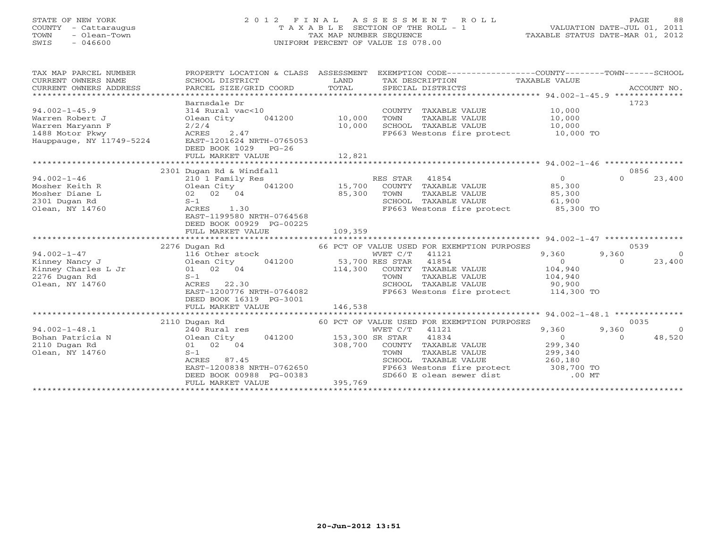# STATE OF NEW YORK 2 0 1 2 F I N A L A S S E S S M E N T R O L L PAGE 88 COUNTY - Cattaraugus T A X A B L E SECTION OF THE ROLL - 1 VALUATION DATE-JUL 01, 2011 TOWN - Olean-Town TAX MAP NUMBER SEQUENCE TAXABLE STATUS DATE-MAR 01, 2012 SWIS - 046600 UNIFORM PERCENT OF VALUE IS 078.00

| TAX MAP PARCEL NUMBER               | PROPERTY LOCATION & CLASS ASSESSMENT |                        | EXEMPTION CODE-----------------COUNTY-------TOWN------SCHOOL  |                   |                                           |
|-------------------------------------|--------------------------------------|------------------------|---------------------------------------------------------------|-------------------|-------------------------------------------|
| CURRENT OWNERS NAME                 | SCHOOL DISTRICT                      | LAND                   | TAX DESCRIPTION TAXABLE VALUE                                 |                   |                                           |
| CURRENT OWNERS ADDRESS              | PARCEL SIZE/GRID COORD               | TOTAL                  | SPECIAL DISTRICTS                                             |                   | ACCOUNT NO.                               |
|                                     |                                      |                        |                                                               |                   |                                           |
|                                     | Barnsdale Dr                         |                        |                                                               |                   | 1723                                      |
| $94.002 - 1 - 45.9$                 | 314 Rural vac<10                     |                        | COUNTY TAXABLE VALUE                                          | 10,000            |                                           |
| Warren Robert J                     |                                      |                        | TAXABLE VALUE<br>TOWN                                         | 10,000            |                                           |
| Warren Maryann F                    | 2/2/4                                | 10,000                 | SCHOOL TAXABLE VALUE                                          | 10,000            |                                           |
| 1488 Motor Pkwy                     | ACRES<br>2.47                        |                        | FP663 Westons fire protect 10,000 TO                          |                   |                                           |
| Hauppauge, NY 11749-5224            | EAST-1201624 NRTH-0765053            |                        |                                                               |                   |                                           |
|                                     | DEED BOOK 1029 PG-26                 |                        |                                                               |                   |                                           |
|                                     | FULL MARKET VALUE                    | 12,821                 |                                                               |                   |                                           |
|                                     |                                      |                        |                                                               |                   |                                           |
|                                     | 2301 Dugan Rd & Windfall             |                        |                                                               |                   | 0856                                      |
| $94.002 - 1 - 46$                   | 210 1 Family Res                     |                        | RES STAR 41854                                                | $\overline{0}$    | $\Omega$<br>23,400                        |
| Mosher Keith R                      | 041200 15,700<br>Olean City          |                        | COUNTY TAXABLE VALUE                                          | 85,300            |                                           |
| Mosher Diane L                      | 02 02 04                             | 85,300                 | TOWN<br>TAXABLE VALUE                                         | 85,300            |                                           |
| 2301 Dugan Rd                       | $S-1$                                |                        | SCHOOL TAXABLE VALUE                                          | 61,900            |                                           |
| Olean, NY 14760                     | ACRES 1.30                           |                        | FP663 Westons fire protect 85,300 TO                          |                   |                                           |
|                                     | EAST-1199580 NRTH-0764568            |                        |                                                               |                   |                                           |
|                                     | DEED BOOK 00929 PG-00225             |                        |                                                               |                   |                                           |
|                                     | FULL MARKET VALUE                    | 109,359                |                                                               |                   |                                           |
|                                     |                                      |                        |                                                               |                   | 0539                                      |
|                                     | 2276 Dugan Rd                        |                        | 66 PCT OF VALUE USED FOR EXEMPTION PURPOSES<br>WVET C/T 41121 |                   |                                           |
| $94.002 - 1 - 47$<br>Kinney Nancy J | 116 Other stock<br>Olean City        | 041200 53,700 RES STAR | 41854                                                         | 9,360<br>$\Omega$ | 9,360<br>$\bigcirc$<br>23,400<br>$\Omega$ |
| Kinney Charles L Jr                 |                                      |                        | 114,300 COUNTY TAXABLE VALUE                                  | 104,940           |                                           |
| 2276 Dugan Rd                       | 01 02 04<br>$S-1$                    |                        | TOWN<br>TAXABLE VALUE                                         | 104,940           |                                           |
| Olean, NY 14760                     | ACRES 22.30                          |                        | SCHOOL TAXABLE VALUE                                          | 90,900            |                                           |
|                                     | EAST-1200776 NRTH-0764082            |                        | FP663 Westons fire protect 114,300 TO                         |                   |                                           |
|                                     | DEED BOOK 16319 PG-3001              |                        |                                                               |                   |                                           |
|                                     | FULL MARKET VALUE                    | 146,538                |                                                               |                   |                                           |
|                                     |                                      |                        |                                                               |                   |                                           |
|                                     | 2110 Dugan Rd                        |                        | 60 PCT OF VALUE USED FOR EXEMPTION PURPOSES                   |                   | 0035                                      |
| $94.002 - 1 - 48.1$                 | 240 Rural res                        |                        | WVET C/T 41121                                                | 9,360             | 9,360<br>$\overline{0}$                   |
| Bohan Patricia N                    | Olean City 041200                    | 153,300 SR STAR        | 41834                                                         | $\overline{0}$    | 48,520<br>$\Omega$                        |
| 2110 Dugan Rd                       | 01 02 04                             | 308,700                | COUNTY TAXABLE VALUE                                          | 299,340           |                                           |
| Olean, NY 14760                     | $S-1$                                |                        | TAXABLE VALUE<br>TOWN                                         | 299,340           |                                           |
|                                     | ACRES 87.45                          |                        | SCHOOL TAXABLE VALUE                                          | 260,180           |                                           |
|                                     | EAST-1200838 NRTH-0762650            |                        | FP663 Westons fire protect 308,700 TO                         |                   |                                           |
|                                     | DEED BOOK 00988 PG-00383             |                        | SD660 E olean sewer dist                                      | $.00$ MT          |                                           |
|                                     | FULL MARKET VALUE                    | 395,769                |                                                               |                   |                                           |
|                                     |                                      |                        |                                                               |                   |                                           |
|                                     |                                      |                        |                                                               |                   |                                           |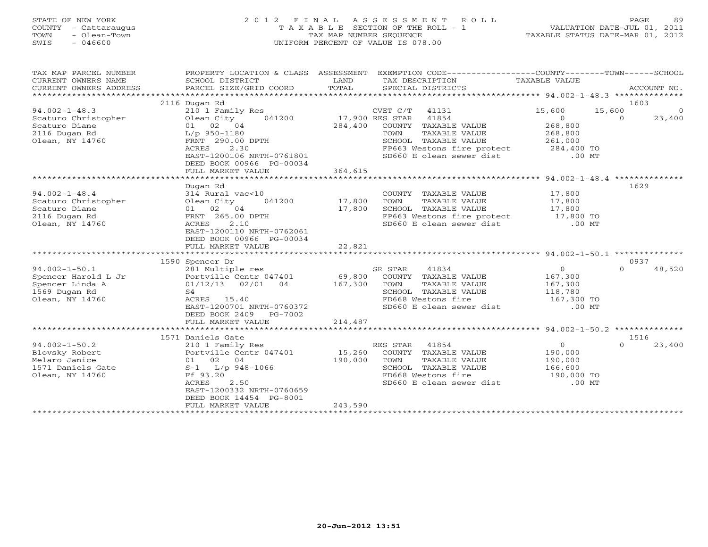#### STATE OF NEW YORK 2 0 1 2 F I N A L A S S E S S M E N T R O L L PAGE 89 COUNTY - Cattaraugus T A X A B L E SECTION OF THE ROLL - 1 VALUATION DATE-JUL 01, 2011 TOWN - Olean-Town TAX MAP NUMBER SEQUENCE TAXABLE STATUS DATE-MAR 01, 2012 SWIS - 046600 UNIFORM PERCENT OF VALUE IS 078.00

| TAX MAP PARCEL NUMBER<br>CURRENT OWNERS NAME<br>CURRENT OWNERS ADDRESS | PROPERTY LOCATION & CLASS ASSESSMENT<br>SCHOOL DISTRICT<br>PARCEL SIZE/GRID COORD | LAND<br>TOTAL   | EXEMPTION CODE-----------------COUNTY-------TOWN------SCHOOL<br>TAX DESCRIPTION TAXABLE VALUE<br>SPECIAL DISTRICTS |                | ACCOUNT NO.        |
|------------------------------------------------------------------------|-----------------------------------------------------------------------------------|-----------------|--------------------------------------------------------------------------------------------------------------------|----------------|--------------------|
| *************************                                              |                                                                                   |                 |                                                                                                                    |                |                    |
|                                                                        | 2116 Dugan Rd                                                                     |                 |                                                                                                                    |                | 1603               |
| $94.002 - 1 - 48.3$                                                    | 210 1 Family Res                                                                  |                 | CVET C/T 41131                                                                                                     | 15,600         | 15,600<br>$\Omega$ |
| Scaturo Christopher                                                    | 041200<br>Olean City                                                              | 17,900 RES STAR | 41854                                                                                                              | $\overline{O}$ | 23,400<br>$\Omega$ |
| Scaturo Diane                                                          | 01 02 04                                                                          | 284,400         | COUNTY TAXABLE VALUE                                                                                               | 268,800        |                    |
| 2116 Dugan Rd                                                          | $L/p$ 950-1180                                                                    |                 | TOWN<br>TAXABLE VALUE                                                                                              | 268,800        |                    |
| Olean, NY 14760                                                        | FRNT 290.00 DPTH                                                                  |                 | SCHOOL TAXABLE VALUE                                                                                               | 261,000        |                    |
|                                                                        | 2.30<br>ACRES                                                                     |                 | FP663 Westons fire protect                                                                                         | 284,400 TO     |                    |
|                                                                        | EAST-1200106 NRTH-0761801                                                         |                 | SD660 E olean sewer dist                                                                                           | $.00$ MT       |                    |
|                                                                        | DEED BOOK 00966 PG-00034                                                          |                 |                                                                                                                    |                |                    |
|                                                                        | FULL MARKET VALUE                                                                 | 364,615         |                                                                                                                    |                |                    |
|                                                                        |                                                                                   |                 |                                                                                                                    |                |                    |
|                                                                        | Dugan Rd                                                                          |                 |                                                                                                                    |                | 1629               |
| $94.002 - 1 - 48.4$                                                    | 314 Rural vac<10                                                                  |                 | COUNTY TAXABLE VALUE                                                                                               | 17,800         |                    |
| Scaturo Christopher                                                    | Olean City<br>041200                                                              | 17,800          | TOWN<br>TAXABLE VALUE                                                                                              | 17,800         |                    |
| Scaturo Diane                                                          | 01 02 04                                                                          | 17,800          | SCHOOL TAXABLE VALUE                                                                                               | 17,800         |                    |
| 2116 Dugan Rd                                                          | FRNT 265.00 DPTH                                                                  |                 | FP663 Westons fire protect 17,800 TO                                                                               |                |                    |
| Olean, NY 14760                                                        | 2.10<br>ACRES                                                                     |                 | SD660 E olean sewer dist                                                                                           | $.00$ MT       |                    |
|                                                                        | EAST-1200110 NRTH-0762061                                                         |                 |                                                                                                                    |                |                    |
|                                                                        | DEED BOOK 00966 PG-00034                                                          |                 |                                                                                                                    |                |                    |
|                                                                        | FULL MARKET VALUE                                                                 | 22,821          |                                                                                                                    |                |                    |
|                                                                        |                                                                                   |                 |                                                                                                                    |                |                    |
|                                                                        | 1590 Spencer Dr                                                                   |                 |                                                                                                                    |                | 0937               |
| $94.002 - 1 - 50.1$                                                    | 281 Multiple res                                                                  |                 | SR STAR<br>41834                                                                                                   | $\circ$        | $\Omega$<br>48,520 |
| Spencer Harold L Jr                                                    | Portville Centr 047401                                                            | 69,800          | COUNTY TAXABLE VALUE                                                                                               | 167,300        |                    |
| Spencer Linda A                                                        | 04<br>$01/12/13$ 02/01                                                            | 167,300         | TAXABLE VALUE<br>TOWN                                                                                              | 167,300        |                    |
| 1569 Dugan Rd                                                          | S4                                                                                |                 | SCHOOL TAXABLE VALUE                                                                                               | 118,780        |                    |
| Olean, NY 14760                                                        | ACRES 15.40                                                                       |                 | FD668 Westons fire                                                                                                 | 167,300 TO     |                    |
|                                                                        | EAST-1200701 NRTH-0760372                                                         |                 | SD660 E olean sewer dist                                                                                           | $.00$ MT       |                    |
|                                                                        | DEED BOOK 2409 PG-7002                                                            |                 |                                                                                                                    |                |                    |
|                                                                        | FULL MARKET VALUE                                                                 | 214,487         |                                                                                                                    |                |                    |
|                                                                        |                                                                                   |                 |                                                                                                                    |                |                    |
|                                                                        | 1571 Daniels Gate                                                                 |                 |                                                                                                                    |                | 1516               |
| $94.002 - 1 - 50.2$                                                    | 210 1 Family Res                                                                  |                 | RES STAR<br>41854                                                                                                  | $\overline{0}$ | $\Omega$<br>23,400 |
| Blovsky Robert                                                         | Portville Centr 047401                                                            | 15,260          | COUNTY TAXABLE VALUE                                                                                               | 190,000        |                    |
| Melaro Janice                                                          | 01 02 04                                                                          | 190,000         | TOWN<br>TAXABLE VALUE                                                                                              | 190,000        |                    |
| 1571 Daniels Gate                                                      | $S-1$ L/p 948-1066                                                                |                 | SCHOOL TAXABLE VALUE                                                                                               | 166,600        |                    |
| Olean, NY 14760                                                        | Ff 93.20                                                                          |                 | FD668 Westons fire                                                                                                 | 190,000 TO     |                    |
|                                                                        | ACRES<br>2.50                                                                     |                 | SD660 E olean sewer dist                                                                                           | $.00$ MT       |                    |
|                                                                        | EAST-1200332 NRTH-0760659                                                         |                 |                                                                                                                    |                |                    |
|                                                                        | DEED BOOK 14454 PG-8001                                                           |                 |                                                                                                                    |                |                    |
|                                                                        |                                                                                   | 243,590         |                                                                                                                    |                |                    |
|                                                                        | FULL MARKET VALUE                                                                 |                 |                                                                                                                    |                |                    |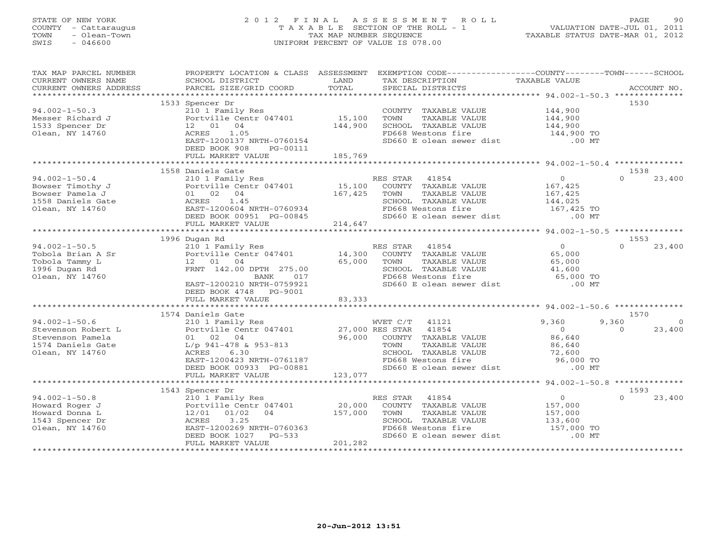# STATE OF NEW YORK 2 0 1 2 F I N A L A S S E S S M E N T R O L L PAGE 90 COUNTY - Cattaraugus T A X A B L E SECTION OF THE ROLL - 1 VALUATION DATE-JUL 01, 2011 TOWN - Olean-Town TAX MAP NUMBER SEQUENCE TAXABLE STATUS DATE-MAR 01, 2012 SWIS - 046600 UNIFORM PERCENT OF VALUE IS 078.00

| TAX MAP PARCEL NUMBER                                                                                                                                                                                                                  |                                                                                                                                                                                                             |             | PROPERTY LOCATION & CLASS ASSESSMENT EXEMPTION CODE---------------COUNTY-------TOWN------SCHOOL                                                                                                                                |                                             |                         |
|----------------------------------------------------------------------------------------------------------------------------------------------------------------------------------------------------------------------------------------|-------------------------------------------------------------------------------------------------------------------------------------------------------------------------------------------------------------|-------------|--------------------------------------------------------------------------------------------------------------------------------------------------------------------------------------------------------------------------------|---------------------------------------------|-------------------------|
|                                                                                                                                                                                                                                        |                                                                                                                                                                                                             |             |                                                                                                                                                                                                                                |                                             |                         |
|                                                                                                                                                                                                                                        | 1533 Spencer Dr                                                                                                                                                                                             |             |                                                                                                                                                                                                                                |                                             | 1530                    |
| $94.002 - 1 - 50.3$                                                                                                                                                                                                                    | 210 1 Family Res                                                                                                                                                                                            |             | COUNTY TAXABLE VALUE 144,900                                                                                                                                                                                                   |                                             |                         |
| Messer Richard J                                                                                                                                                                                                                       | Portville Centr 047401 15,100                                                                                                                                                                               |             | TOWN<br>TAXABLE VALUE                                                                                                                                                                                                          | 144,900<br>144,900                          |                         |
| 1533 Spencer Dr                                                                                                                                                                                                                        | 12  01  04                                                                                                                                                                                                  | 144,900     | SCHOOL TAXABLE VALUE                                                                                                                                                                                                           |                                             |                         |
| Olean, NY 14760                                                                                                                                                                                                                        | ACRES<br>1.05                                                                                                                                                                                               |             | FD668 Westons fire<br>SD660 E olean sewer dist                                                                                                                                                                                 | 144,900 TO<br>00 MT.                        |                         |
|                                                                                                                                                                                                                                        | EAST-1200137 NRTH-0760154                                                                                                                                                                                   |             |                                                                                                                                                                                                                                |                                             |                         |
|                                                                                                                                                                                                                                        | DEED BOOK 908<br>PG-00111                                                                                                                                                                                   |             |                                                                                                                                                                                                                                |                                             |                         |
|                                                                                                                                                                                                                                        | FULL MARKET VALUE                                                                                                                                                                                           | 185,769     |                                                                                                                                                                                                                                |                                             |                         |
|                                                                                                                                                                                                                                        | 1558 Daniels Gate                                                                                                                                                                                           |             |                                                                                                                                                                                                                                |                                             | 1538                    |
| $94.002 - 1 - 50.4$                                                                                                                                                                                                                    |                                                                                                                                                                                                             |             | 210 1 Family Res<br>Portville Centr 047401<br>21 15,100 COUNTY TAXABLE VALUE<br>21 02 24                                                                                                                                       | $\overline{0}$                              | $\cap$<br>23,400        |
|                                                                                                                                                                                                                                        |                                                                                                                                                                                                             |             |                                                                                                                                                                                                                                |                                             |                         |
|                                                                                                                                                                                                                                        |                                                                                                                                                                                                             |             | TOWN<br>TAXABLE VALUE                                                                                                                                                                                                          | 167,425<br>167,425                          |                         |
|                                                                                                                                                                                                                                        |                                                                                                                                                                                                             |             |                                                                                                                                                                                                                                |                                             |                         |
|                                                                                                                                                                                                                                        | 01 02 04 167,425<br>ACRES 1.45<br>EAST-1200604 NRTH-0760934<br>DEED BOOK 00951 PG-00845<br>FULL MARKET VALUE 214,647                                                                                        |             | SCHOOL TAXABLE VALUE 144,025<br>FD668 Westons fire 167,425 TO<br>SD660 E olean sewer dist .00 MT                                                                                                                               |                                             |                         |
|                                                                                                                                                                                                                                        |                                                                                                                                                                                                             |             |                                                                                                                                                                                                                                |                                             |                         |
|                                                                                                                                                                                                                                        |                                                                                                                                                                                                             |             |                                                                                                                                                                                                                                |                                             |                         |
| Example 13<br>1558 Daniels Gate<br>1558 Daniels Gate<br>16. Alexander 14760<br>16. Alexander 15. Alexander 15. Alexander 15. Alexander 15. Alexander 15. Alexander 15. Alexander 15. Alexander 15. Alexander 15. Alexander 15. Alexand |                                                                                                                                                                                                             |             |                                                                                                                                                                                                                                |                                             |                         |
|                                                                                                                                                                                                                                        | 1996 Dugan Rd                                                                                                                                                                                               |             |                                                                                                                                                                                                                                |                                             | 1553                    |
| $94.002 - 1 - 50.5$                                                                                                                                                                                                                    |                                                                                                                                                                                                             |             | RES STAR 41854                                                                                                                                                                                                                 | $\overline{0}$                              | $\Omega$<br>23,400      |
| Tobola Brian A Sr                                                                                                                                                                                                                      |                                                                                                                                                                                                             |             | COUNTY TAXABLE VALUE                                                                                                                                                                                                           | 65,000                                      |                         |
| Tobola Tammy L                                                                                                                                                                                                                         | 12  01  04                                                                                                                                                                                                  | 65,000 TOWN |                                                                                                                                                                                                                                |                                             |                         |
| 1996 Dugan Rd                                                                                                                                                                                                                          | FRNT 142.00 DPTH 275.00                                                                                                                                                                                     |             |                                                                                                                                                                                                                                |                                             |                         |
| Olean, NY 14760                                                                                                                                                                                                                        | BANK<br>017                                                                                                                                                                                                 |             | TOWN TAXABLE VALUE<br>SCHOOL TAXABLE VALUE 41,600<br>55,000 TO 65,000 TO                                                                                                                                                       |                                             |                         |
|                                                                                                                                                                                                                                        | EAST-1200210 NRTH-0759921                                                                                                                                                                                   |             | SD660 E olean sewer dist .00 MT                                                                                                                                                                                                |                                             |                         |
|                                                                                                                                                                                                                                        | DEED BOOK 4748 PG-9001                                                                                                                                                                                      |             |                                                                                                                                                                                                                                |                                             |                         |
|                                                                                                                                                                                                                                        | FULL MARKET VALUE                                                                                                                                                                                           | 83,333      |                                                                                                                                                                                                                                |                                             |                         |
|                                                                                                                                                                                                                                        |                                                                                                                                                                                                             |             |                                                                                                                                                                                                                                |                                             |                         |
|                                                                                                                                                                                                                                        | 1574 Daniels Gate                                                                                                                                                                                           |             |                                                                                                                                                                                                                                |                                             | 1570                    |
| $94.002 - 1 - 50.6$                                                                                                                                                                                                                    |                                                                                                                                                                                                             |             |                                                                                                                                                                                                                                | 9,360                                       | 9,360<br>$\overline{0}$ |
| Stevenson Robert L                                                                                                                                                                                                                     |                                                                                                                                                                                                             |             |                                                                                                                                                                                                                                | $\bigcirc$                                  | $\bigcirc$<br>23,400    |
| Stevenson Pamela                                                                                                                                                                                                                       |                                                                                                                                                                                                             |             |                                                                                                                                                                                                                                | 86,640                                      |                         |
| 1574 Daniels Gate                                                                                                                                                                                                                      | 210 1 Family Res<br>210 1 Family Res<br>Portville Centr 047401 27,000 RES STAR 41854<br>01 02 04 96,000 COUNTY TAXABLE VALUE<br>1/p 941-478 & 953-813 70WN TAXABLE VALUE<br>ACRES 6.30 SCHOOL TAXABLE VALUE |             | TOWN TAXABLE VALUE $86,640$<br>SCHOOL TAXABLE VALUE 72,600<br>FD668 Westons fire 96,000 TO                                                                                                                                     |                                             |                         |
| Olean, NY 14760                                                                                                                                                                                                                        | 6.30<br>ACRES                                                                                                                                                                                               |             |                                                                                                                                                                                                                                |                                             |                         |
|                                                                                                                                                                                                                                        | EAST-1200423 NRTH-0761187                                                                                                                                                                                   |             |                                                                                                                                                                                                                                |                                             |                         |
|                                                                                                                                                                                                                                        | DEED BOOK 00933 PG-00881                                                                                                                                                                                    |             | FD668 Westons fire the second point of the second point of the second point of the second point of the second o<br>SD660 E olean sewer dist .00 MT                                                                             |                                             |                         |
|                                                                                                                                                                                                                                        | FULL MARKET VALUE                                                                                                                                                                                           | 123,077     |                                                                                                                                                                                                                                |                                             |                         |
|                                                                                                                                                                                                                                        |                                                                                                                                                                                                             |             |                                                                                                                                                                                                                                |                                             |                         |
|                                                                                                                                                                                                                                        | 1543 Spencer Dr                                                                                                                                                                                             |             |                                                                                                                                                                                                                                |                                             | 1593                    |
| $94.002 - 1 - 50.8$                                                                                                                                                                                                                    |                                                                                                                                                                                                             |             | RES STAR<br>41854                                                                                                                                                                                                              | $\begin{array}{c} 0 \\ 157,000 \end{array}$ | 23,400<br>$\Omega$      |
| Howard Roger J                                                                                                                                                                                                                         | Spencer Dr<br>210 1 Family Res<br>Portville Centr 047401 20,000<br>12/01 01/02 04 157,000                                                                                                                   |             | COUNTY TAXABLE VALUE                                                                                                                                                                                                           |                                             |                         |
| Howard Donna L                                                                                                                                                                                                                         |                                                                                                                                                                                                             |             | TOWN<br>TAXABLE VALUE                                                                                                                                                                                                          | 157,000<br>133,600                          |                         |
| 1543 Spencer Dr                                                                                                                                                                                                                        | 3.25<br>ACRES                                                                                                                                                                                               |             | SCHOOL TAXABLE VALUE                                                                                                                                                                                                           |                                             |                         |
| Olean, NY 14760                                                                                                                                                                                                                        | ACRES 3.25<br>EAST-1200269 NRTH-0760363<br>DEED BOOK 1027 PG-533                                                                                                                                            |             | FD668 Westons fire containing the contract of the substitution of the substitution of the substitution of the substitution of the substitution of the substitution of the substitution of the substitution of the substitution |                                             |                         |
|                                                                                                                                                                                                                                        | PG-533<br>DEED BOOK 1027                                                                                                                                                                                    |             |                                                                                                                                                                                                                                |                                             |                         |
|                                                                                                                                                                                                                                        | FULL MARKET VALUE                                                                                                                                                                                           | 201,282     |                                                                                                                                                                                                                                |                                             |                         |
|                                                                                                                                                                                                                                        |                                                                                                                                                                                                             |             |                                                                                                                                                                                                                                |                                             |                         |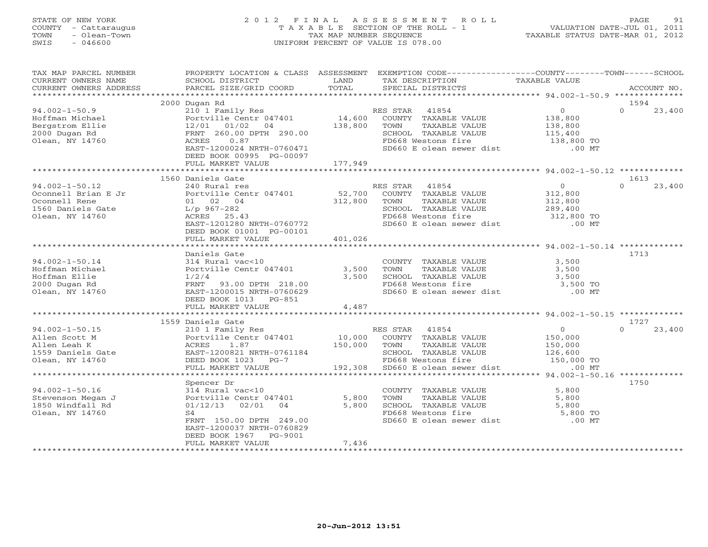# STATE OF NEW YORK 2 0 1 2 F I N A L A S S E S S M E N T R O L L PAGE 91 COUNTY - Cattaraugus T A X A B L E SECTION OF THE ROLL - 1 VALUATION DATE-JUL 01, 2011 TOWN - Olean-Town TAX MAP NUMBER SEQUENCE TAXABLE STATUS DATE-MAR 01, 2012 SWIS - 046600 UNIFORM PERCENT OF VALUE IS 078.00

| TAX MAP PARCEL NUMBER<br>CURRENT OWNERS NAME<br>CURRENT OWNERS ADDRESS                               | PROPERTY LOCATION & CLASS ASSESSMENT<br>SCHOOL DISTRICT<br>PARCEL SIZE/GRID COORD                                                                                | LAND<br>TOTAL                | EXEMPTION CODE-----------------COUNTY-------TOWN------SCHOOL<br>TAX DESCRIPTION<br>SPECIAL DISTRICTS                                         | TAXABLE VALUE                                                             | ACCOUNT NO.                |
|------------------------------------------------------------------------------------------------------|------------------------------------------------------------------------------------------------------------------------------------------------------------------|------------------------------|----------------------------------------------------------------------------------------------------------------------------------------------|---------------------------------------------------------------------------|----------------------------|
| ***********************                                                                              |                                                                                                                                                                  |                              |                                                                                                                                              |                                                                           |                            |
|                                                                                                      | 2000 Dugan Rd                                                                                                                                                    |                              |                                                                                                                                              |                                                                           | 1594                       |
| $94.002 - 1 - 50.9$<br>Hoffman Michael<br>Bergstrom Ellie<br>2000 Dugan Rd<br>Olean, NY 14760        | 210 1 Family Res<br>Portville Centr 047401<br>12/01<br>01/02<br>04<br>FRNT 260.00 DPTH 290.00<br>ACRES<br>0.87<br>EAST-1200024 NRTH-0760471                      | 14,600<br>138,800            | 41854<br>RES STAR<br>COUNTY TAXABLE VALUE<br>TOWN<br>TAXABLE VALUE<br>SCHOOL TAXABLE VALUE<br>FD668 Westons fire<br>SD660 E olean sewer dist | $\overline{0}$<br>138,800<br>138,800<br>115,400<br>138,800 TO<br>$.00$ MT | $\Omega$<br>23,400         |
|                                                                                                      | DEED BOOK 00995 PG-00097<br>FULL MARKET VALUE                                                                                                                    | 177,949                      |                                                                                                                                              |                                                                           |                            |
|                                                                                                      |                                                                                                                                                                  |                              |                                                                                                                                              |                                                                           |                            |
|                                                                                                      | 1560 Daniels Gate                                                                                                                                                |                              |                                                                                                                                              |                                                                           | 1613                       |
| $94.002 - 1 - 50.12$<br>Oconnell Brian E Jr<br>Oconnell Rene<br>1560 Daniels Gate<br>Olean, NY 14760 | 240 Rural res<br>Portville Centr 047401<br>01 02 04<br>L/p 967-282<br>ACRES 25.43<br>EAST-1201280 NRTH-0760772<br>DEED BOOK 01001 PG-00101                       | 52,700<br>312,800            | RES STAR 41854<br>COUNTY TAXABLE VALUE<br>TOWN<br>TAXABLE VALUE<br>SCHOOL TAXABLE VALUE<br>FD668 Westons fire<br>SD660 E olean sewer dist    | $\overline{0}$<br>312,800<br>312,800<br>289,400<br>312,800 TO<br>$.00$ MT | $\Omega$<br>23,400         |
|                                                                                                      | FULL MARKET VALUE                                                                                                                                                | 401,026                      |                                                                                                                                              |                                                                           |                            |
|                                                                                                      |                                                                                                                                                                  |                              |                                                                                                                                              |                                                                           |                            |
|                                                                                                      | Daniels Gate                                                                                                                                                     |                              |                                                                                                                                              |                                                                           | 1713                       |
| $94.002 - 1 - 50.14$<br>Hoffman Michael<br>Hoffman Ellie<br>2000 Dugan Rd<br>Olean, NY 14760         | 314 Rural vac<10<br>Portville Centr 047401<br>1/2/4<br>FRNT<br>93.00 DPTH 218.00<br>EAST-1200015 NRTH-0760629<br>DEED BOOK 1013<br>PG-851                        | 3,500<br>3,500               | COUNTY TAXABLE VALUE<br>TOWN<br>TAXABLE VALUE<br>SCHOOL TAXABLE VALUE<br>FD668 Westons fire<br>SD660 E olean sewer dist                      | 3,500<br>3,500<br>3,500<br>$3,500$ TO<br>$.00$ MT                         |                            |
|                                                                                                      | FULL MARKET VALUE                                                                                                                                                | 4,487                        |                                                                                                                                              |                                                                           |                            |
|                                                                                                      |                                                                                                                                                                  |                              |                                                                                                                                              |                                                                           |                            |
| $94.002 - 1 - 50.15$                                                                                 | 1559 Daniels Gate                                                                                                                                                |                              | RES STAR 41854                                                                                                                               | $\overline{O}$                                                            | 1727<br>$\Omega$<br>23,400 |
| Allen Scott M<br>Allen Leah K<br>1559 Daniels Gate<br>Olean, NY 14760                                | 210 1 Family Res<br>Portville Centr 047401<br>ACRES<br>1.87<br>EAST-1200821 NRTH-0761184<br>DEED BOOK 1023 PG-7<br>FULL MARKET VALUE                             | 10,000<br>150,000<br>192,308 | COUNTY TAXABLE VALUE<br>TOWN<br>TAXABLE VALUE<br>SCHOOL TAXABLE VALUE<br>FD668 Westons fire<br>SD660 E olean sewer dist                      | 150,000<br>150,000<br>126,600<br>150,000 TO<br>$.00$ MT                   |                            |
|                                                                                                      | Spencer Dr                                                                                                                                                       |                              |                                                                                                                                              |                                                                           | 1750                       |
| $94.002 - 1 - 50.16$<br>Stevenson Megan J<br>1850 Windfall Rd<br>Olean, NY 14760                     | 314 Rural vac<10<br>Portville Centr 047401<br>01/12/13<br>02/01<br>04<br>S4<br>FRNT 150.00 DPTH 249.00<br>EAST-1200037 NRTH-0760829<br>DEED BOOK 1967<br>PG-9001 | 5,800<br>5,800               | COUNTY TAXABLE VALUE<br>TOWN<br>TAXABLE VALUE<br>SCHOOL TAXABLE VALUE<br>FD668 Westons fire<br>SD660 E olean sewer dist                      | 5,800<br>5,800<br>5,800<br>5,800 TO<br>$.00$ MT                           |                            |
|                                                                                                      | FULL MARKET VALUE                                                                                                                                                | 7,436                        |                                                                                                                                              |                                                                           |                            |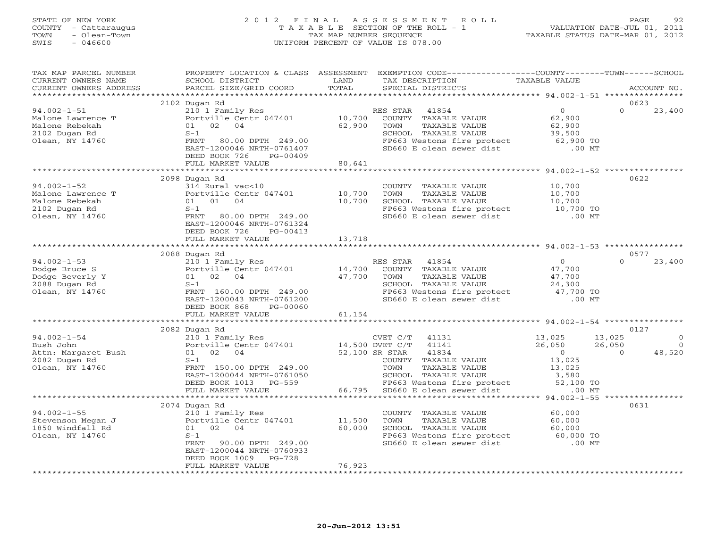#### STATE OF NEW YORK 2 0 1 2 F I N A L A S S E S S M E N T R O L L PAGE 92 COUNTY - Cattaraugus T A X A B L E SECTION OF THE ROLL - 1 VALUATION DATE-JUL 01, 2011 TOWN - Olean-Town TAX MAP NUMBER SEQUENCE TAXABLE STATUS DATE-MAR 01, 2012<br>TAXABLE STATUS DATE-MAR 01, 2012 SWIS - 046600 UNIFORM PERCENT OF VALUE IS 078.00

TAX MAP PARCEL NUMBER PROPERTY LOCATION & CLASS ASSESSMENT EXEMPTION CODE----------------COUNTY-------TOWN------SCHOOL

CURRENT OWNERS NAME SCHOOL DISTRICT LAND TAX DESCRIPTION TAXABLE VALUE

| CURRENT OWNERS ADDRESS              | PARCEL SIZE/GRID COORD                                                                                                                                                                                                         | TOTAL<br>SPECIAL DISTRICTS                                                                                                   | ACCOUNT NO.                          |
|-------------------------------------|--------------------------------------------------------------------------------------------------------------------------------------------------------------------------------------------------------------------------------|------------------------------------------------------------------------------------------------------------------------------|--------------------------------------|
|                                     |                                                                                                                                                                                                                                |                                                                                                                              |                                      |
|                                     | 2102 Dugan Rd                                                                                                                                                                                                                  |                                                                                                                              | 0623                                 |
| 94.002-1-51                         | 210 1 Family Res                                                                                                                                                                                                               | RES STAR 41854                                                                                                               | 23,400<br>$\overline{0}$<br>$\Omega$ |
| Malone Lawrence T<br>Malone Rebekah | Portville Centr 047401                                                                                                                                                                                                         | 10,700<br>COUNTY TAXABLE VALUE                                                                                               | 62,900                               |
|                                     | 01 02 04                                                                                                                                                                                                                       | 62,900<br>TAXABLE VALUE<br>TOWN                                                                                              | 62,900                               |
| 2102 Dugan Rd                       | $S-1$                                                                                                                                                                                                                          | SCHOOL TAXABLE VALUE                                                                                                         | 39,500                               |
| Olean, NY 14760                     | FRNT 80.00 DPTH 249.00                                                                                                                                                                                                         | FP663 Westons fire protect 62,900 TO                                                                                         |                                      |
|                                     | EAST-1200046 NRTH-0761407                                                                                                                                                                                                      | SD660 E olean sewer dist                                                                                                     | $.00$ MT                             |
|                                     | DEED BOOK 726<br>PG-00409                                                                                                                                                                                                      |                                                                                                                              |                                      |
|                                     | FULL MARKET VALUE                                                                                                                                                                                                              | 80,641                                                                                                                       |                                      |
|                                     |                                                                                                                                                                                                                                |                                                                                                                              |                                      |
|                                     | 2098 Dugan Rd                                                                                                                                                                                                                  |                                                                                                                              | 0622                                 |
| 94.002-1-52                         | 314 Rural vac<10                                                                                                                                                                                                               | COUNTY TAXABLE VALUE                                                                                                         | 10,700                               |
|                                     | Portville Centr 047401 10,700                                                                                                                                                                                                  |                                                                                                                              |                                      |
| Malone Lawrence T<br>Malone Rebekah | 01 01 04                                                                                                                                                                                                                       | TOWN      TAXABLE VALUE<br>SCHOOL   TAXABLE VALUE<br>10,700                                                                  | 10,700<br>10,700                     |
| 2102 Dugan Rd                       | $S-1$                                                                                                                                                                                                                          |                                                                                                                              | 10,700 TO                            |
| Olean, NY 14760                     | FRNT 80.00 DPTH 249.00                                                                                                                                                                                                         | FP663 Westons fire protect<br>SD660 E olean sewer dist                                                                       | $.00$ MT                             |
|                                     | EAST-1200046 NRTH-0761324                                                                                                                                                                                                      |                                                                                                                              |                                      |
|                                     | DEED BOOK 726<br>PG-00413                                                                                                                                                                                                      |                                                                                                                              |                                      |
|                                     | 13,718<br>FULL MARKET VALUE                                                                                                                                                                                                    |                                                                                                                              |                                      |
|                                     |                                                                                                                                                                                                                                |                                                                                                                              |                                      |
|                                     | 2088 Dugan Rd                                                                                                                                                                                                                  |                                                                                                                              | 0577                                 |
| 94.002-1-53                         | 210 1 Family Res<br>Portville Centr 047401 14,700<br>14,700<br>160.00 DPTH 249 00                                                                                                                                              | RES STAR 41854                                                                                                               | 23,400<br>$\overline{0}$<br>$\Omega$ |
| Dodge Bruce S                       |                                                                                                                                                                                                                                | COUNTY TAXABLE VALUE                                                                                                         | 47,700                               |
| Dodge Beverly Y                     |                                                                                                                                                                                                                                | TOWN<br>TAXABLE VALUE                                                                                                        | 47,700                               |
| 2088 Dugan Rd                       |                                                                                                                                                                                                                                |                                                                                                                              |                                      |
| Olean, NY 14760                     |                                                                                                                                                                                                                                | CONN TAXABLE VALUE<br>SCHOOL TAXABLE VALUE 24,300<br>FP663 Westons fire protect 47,700 TO<br>SD660 E olean sewer dist .00 MT |                                      |
|                                     | EAST-1200043 NRTH-0761200                                                                                                                                                                                                      |                                                                                                                              |                                      |
|                                     |                                                                                                                                                                                                                                |                                                                                                                              |                                      |
|                                     | DEED BOOK 868<br>PG-00060                                                                                                                                                                                                      |                                                                                                                              |                                      |
|                                     | FULL MARKET VALUE                                                                                                                                                                                                              | 61,154                                                                                                                       |                                      |
|                                     |                                                                                                                                                                                                                                |                                                                                                                              |                                      |
|                                     | 2082 Dugan Rd                                                                                                                                                                                                                  |                                                                                                                              | 0127                                 |
| $94.002 - 1 - 54$                   | 210 1 Family Res                                                                                                                                                                                                               | CVET C/T 41131                                                                                                               | 13,025                               |
| Bush John                           | Portville Centr 047401 14,500 DVET C/T 41141                                                                                                                                                                                   |                                                                                                                              | $26,050$<br>$26,050$<br>$26,050$     |
| Attn: Margaret Bush                 | 01 02 04                                                                                                                                                                                                                       | 52,100 SR STAR<br>41834                                                                                                      | 48,520<br>$\overline{0}$<br>$\Omega$ |
| 2082 Dugan Rd                       | $S-1$                                                                                                                                                                                                                          | COUNTY TAXABLE VALUE                                                                                                         | 13,025                               |
| Olean, NY 14760                     | FRNT 150.00 DPTH 249.00                                                                                                                                                                                                        | TOWN<br>TAXABLE VALUE                                                                                                        | 13,025                               |
|                                     | EAST-1200044 NRTH-0761050                                                                                                                                                                                                      |                                                                                                                              | 3,580<br>52,100 TO                   |
|                                     | DEED BOOK 1013 PG-559                                                                                                                                                                                                          | TOWN TAXABLE VALUE<br>SCHOOL TAXABLE VALUE<br>FP663 Westons fire protect                                                     |                                      |
|                                     | FULL MARKET VALUE                                                                                                                                                                                                              | 66,795<br>SD660 E olean sewer dist                                                                                           | $.00$ MT                             |
|                                     |                                                                                                                                                                                                                                |                                                                                                                              |                                      |
|                                     | 2074 Dugan Rd<br>---vari-r-bo<br>Stevenson Megan J<br>1850 Windfall Rd<br>1850 Windfall Rd<br>1850 Windfall Rd<br>1850 Windfall Rd<br>1850 Windfall Rd<br>1850 Windfall Rd<br>1850 Windfall Rd<br>1850 Nindfall Rd<br>1850 S-1 |                                                                                                                              | 0631                                 |
|                                     |                                                                                                                                                                                                                                | COUNTY TAXABLE VALUE                                                                                                         | 60,000                               |
|                                     |                                                                                                                                                                                                                                | 11,500<br>TAXABLE VALUE<br>TOWN                                                                                              | 60,000                               |
|                                     |                                                                                                                                                                                                                                | 60,000<br>SCHOOL TAXABLE VALUE                                                                                               | 60,000                               |
|                                     |                                                                                                                                                                                                                                |                                                                                                                              |                                      |
|                                     | FRNT 90.00 DPTH 249.00                                                                                                                                                                                                         | SCHOOL TAXABLE VALUE<br>FP663 Westons fire protect 60,000 TO<br>SD660 E olean sewer dist .00 MT                              |                                      |
|                                     | EAST-1200044 NRTH-0760933                                                                                                                                                                                                      |                                                                                                                              |                                      |
|                                     | DEED BOOK 1009 PG-728                                                                                                                                                                                                          |                                                                                                                              |                                      |
|                                     | FULL MARKET VALUE                                                                                                                                                                                                              | 76,923                                                                                                                       |                                      |
|                                     |                                                                                                                                                                                                                                |                                                                                                                              |                                      |
|                                     |                                                                                                                                                                                                                                |                                                                                                                              |                                      |
|                                     |                                                                                                                                                                                                                                |                                                                                                                              |                                      |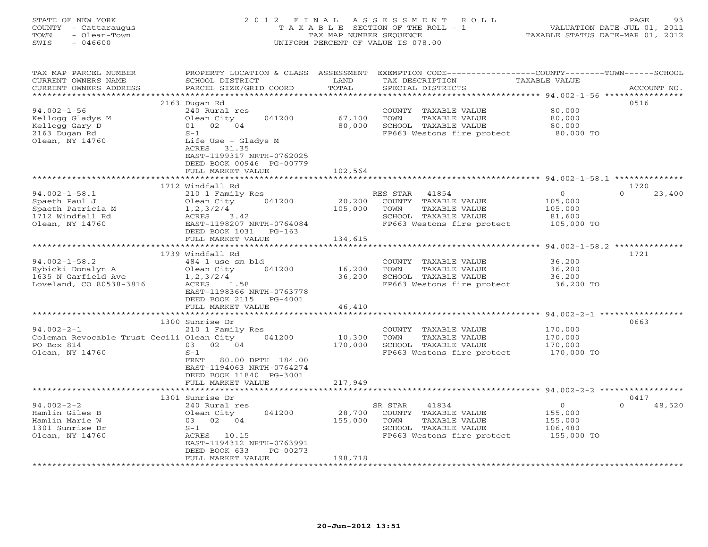# STATE OF NEW YORK 2 0 1 2 F I N A L A S S E S S M E N T R O L L PAGE 93 COUNTY - Cattaraugus T A X A B L E SECTION OF THE ROLL - 1 VALUATION DATE-JUL 01, 2011 TOWN - Olean-Town TAX MAP NUMBER SEQUENCE TAXABLE STATUS DATE-MAR 01, 2012 SWIS - 046600 UNIFORM PERCENT OF VALUE IS 078.00

| *********************<br>2163 Dugan Rd<br>0516<br>$94.002 - 1 - 56$<br>80,000<br>240 Rural res<br>COUNTY TAXABLE VALUE<br>041200<br>67,100<br>TAXABLE VALUE<br>80,000<br>Kellogg Gladys M<br>Olean City<br>TOWN<br>01 02 04<br>80,000<br>SCHOOL TAXABLE VALUE<br>Kellogg Gary D<br>80,000<br>2163 Dugan Rd<br>FP663 Westons fire protect<br>80,000 TO<br>$S-1$<br>Olean, NY 14760<br>Life Use - Gladys M<br>ACRES 31.35<br>EAST-1199317 NRTH-0762025<br>DEED BOOK 00946 PG-00779<br>FULL MARKET VALUE<br>102,564<br>1712 Windfall Rd<br>1720<br>$\overline{0}$<br>23,400<br>$94.002 - 1 - 58.1$<br>RES STAR 41854<br>$\cap$<br>210 1 Family Res<br>041200<br>20,200<br>Spaeth Paul J<br>Olean City<br>COUNTY TAXABLE VALUE<br>105,000<br>105,000<br>TOWN<br>TAXABLE VALUE<br>Spaeth Patricia M<br>1, 2, 3/2/4<br>105,000<br>3.42<br>SCHOOL TAXABLE VALUE<br>1712 Windfall Rd<br>ACRES<br>81,600<br>Olean, NY 14760<br>EAST-1198207 NRTH-0764084<br>FP663 Westons fire protect<br>105,000 TO<br>DEED BOOK 1031<br>$PG-163$<br>FULL MARKET VALUE<br>134,615<br>1721<br>1739 Windfall Rd<br>$94.002 - 1 - 58.2$<br>36,200<br>484 1 use sm bld<br>COUNTY TAXABLE VALUE<br>041200<br>16,200<br>Rybicki Donalyn A<br>Olean City<br>TOWN<br>TAXABLE VALUE<br>36,200<br>1635 N Garfield Ave<br>36,200<br>SCHOOL TAXABLE VALUE<br>36,200<br>1, 2, 3/2/4<br>Loveland, CO 80538-3816<br>FP663 Westons fire protect<br>36,200 TO<br>ACRES<br>1.58<br>EAST-1198366 NRTH-0763778<br>DEED BOOK 2115 PG-4001<br>FULL MARKET VALUE<br>46,410<br>0663<br>1300 Sunrise Dr<br>$94.002 - 2 - 1$<br>170,000<br>210 1 Family Res<br>COUNTY TAXABLE VALUE<br>Coleman Revocable Trust Cecili Olean City<br>041200<br>10,300<br>TOWN<br>TAXABLE VALUE<br>170,000<br>PO Box 814<br>03 02 04<br>170,000<br>SCHOOL TAXABLE VALUE<br>170,000<br>Olean, NY 14760<br>FP663 Westons fire protect<br>$S-1$<br>170,000 TO<br>FRNT<br>80.00 DPTH 184.00<br>EAST-1194063 NRTH-0764274<br>DEED BOOK 11840 PG-3001<br>217,949<br>FULL MARKET VALUE<br>*********************<br>0417<br>1301 Sunrise Dr<br>$94.002 - 2 - 2$<br>41834<br>$\overline{0}$<br>$\Omega$<br>48,520<br>240 Rural res<br>SR STAR<br>Hamlin Giles B<br>041200<br>28,700<br>COUNTY TAXABLE VALUE<br>Olean City<br>155,000<br>03 02 04<br>155,000<br>TOWN<br>TAXABLE VALUE<br>Hamlin Marie W<br>155,000<br>SCHOOL TAXABLE VALUE<br>1301 Sunrise Dr<br>$S-1$<br>106,480<br>FP663 Westons fire protect<br>155,000 TO<br>Olean, NY 14760<br>ACRES 10.15<br>EAST-1194312 NRTH-0763991<br>DEED BOOK 633<br>PG-00273<br>198,718<br>FULL MARKET VALUE | TAX MAP PARCEL NUMBER<br>CURRENT OWNERS NAME | PROPERTY LOCATION & CLASS ASSESSMENT<br>SCHOOL DISTRICT | LAND  | EXEMPTION CODE-----------------COUNTY-------TOWN------SCHOOL<br>TAX DESCRIPTION | TAXABLE VALUE |             |
|-----------------------------------------------------------------------------------------------------------------------------------------------------------------------------------------------------------------------------------------------------------------------------------------------------------------------------------------------------------------------------------------------------------------------------------------------------------------------------------------------------------------------------------------------------------------------------------------------------------------------------------------------------------------------------------------------------------------------------------------------------------------------------------------------------------------------------------------------------------------------------------------------------------------------------------------------------------------------------------------------------------------------------------------------------------------------------------------------------------------------------------------------------------------------------------------------------------------------------------------------------------------------------------------------------------------------------------------------------------------------------------------------------------------------------------------------------------------------------------------------------------------------------------------------------------------------------------------------------------------------------------------------------------------------------------------------------------------------------------------------------------------------------------------------------------------------------------------------------------------------------------------------------------------------------------------------------------------------------------------------------------------------------------------------------------------------------------------------------------------------------------------------------------------------------------------------------------------------------------------------------------------------------------------------------------------------------------------------------------------------------------------------------------------------------------------------------------------------------------------------------------------------------------------------------------------------------|----------------------------------------------|---------------------------------------------------------|-------|---------------------------------------------------------------------------------|---------------|-------------|
|                                                                                                                                                                                                                                                                                                                                                                                                                                                                                                                                                                                                                                                                                                                                                                                                                                                                                                                                                                                                                                                                                                                                                                                                                                                                                                                                                                                                                                                                                                                                                                                                                                                                                                                                                                                                                                                                                                                                                                                                                                                                                                                                                                                                                                                                                                                                                                                                                                                                                                                                                                             | CURRENT OWNERS ADDRESS                       | PARCEL SIZE/GRID COORD                                  | TOTAL | SPECIAL DISTRICTS                                                               |               | ACCOUNT NO. |
|                                                                                                                                                                                                                                                                                                                                                                                                                                                                                                                                                                                                                                                                                                                                                                                                                                                                                                                                                                                                                                                                                                                                                                                                                                                                                                                                                                                                                                                                                                                                                                                                                                                                                                                                                                                                                                                                                                                                                                                                                                                                                                                                                                                                                                                                                                                                                                                                                                                                                                                                                                             |                                              |                                                         |       |                                                                                 |               |             |
|                                                                                                                                                                                                                                                                                                                                                                                                                                                                                                                                                                                                                                                                                                                                                                                                                                                                                                                                                                                                                                                                                                                                                                                                                                                                                                                                                                                                                                                                                                                                                                                                                                                                                                                                                                                                                                                                                                                                                                                                                                                                                                                                                                                                                                                                                                                                                                                                                                                                                                                                                                             |                                              |                                                         |       |                                                                                 |               |             |
|                                                                                                                                                                                                                                                                                                                                                                                                                                                                                                                                                                                                                                                                                                                                                                                                                                                                                                                                                                                                                                                                                                                                                                                                                                                                                                                                                                                                                                                                                                                                                                                                                                                                                                                                                                                                                                                                                                                                                                                                                                                                                                                                                                                                                                                                                                                                                                                                                                                                                                                                                                             |                                              |                                                         |       |                                                                                 |               |             |
|                                                                                                                                                                                                                                                                                                                                                                                                                                                                                                                                                                                                                                                                                                                                                                                                                                                                                                                                                                                                                                                                                                                                                                                                                                                                                                                                                                                                                                                                                                                                                                                                                                                                                                                                                                                                                                                                                                                                                                                                                                                                                                                                                                                                                                                                                                                                                                                                                                                                                                                                                                             |                                              |                                                         |       |                                                                                 |               |             |
|                                                                                                                                                                                                                                                                                                                                                                                                                                                                                                                                                                                                                                                                                                                                                                                                                                                                                                                                                                                                                                                                                                                                                                                                                                                                                                                                                                                                                                                                                                                                                                                                                                                                                                                                                                                                                                                                                                                                                                                                                                                                                                                                                                                                                                                                                                                                                                                                                                                                                                                                                                             |                                              |                                                         |       |                                                                                 |               |             |
|                                                                                                                                                                                                                                                                                                                                                                                                                                                                                                                                                                                                                                                                                                                                                                                                                                                                                                                                                                                                                                                                                                                                                                                                                                                                                                                                                                                                                                                                                                                                                                                                                                                                                                                                                                                                                                                                                                                                                                                                                                                                                                                                                                                                                                                                                                                                                                                                                                                                                                                                                                             |                                              |                                                         |       |                                                                                 |               |             |
|                                                                                                                                                                                                                                                                                                                                                                                                                                                                                                                                                                                                                                                                                                                                                                                                                                                                                                                                                                                                                                                                                                                                                                                                                                                                                                                                                                                                                                                                                                                                                                                                                                                                                                                                                                                                                                                                                                                                                                                                                                                                                                                                                                                                                                                                                                                                                                                                                                                                                                                                                                             |                                              |                                                         |       |                                                                                 |               |             |
|                                                                                                                                                                                                                                                                                                                                                                                                                                                                                                                                                                                                                                                                                                                                                                                                                                                                                                                                                                                                                                                                                                                                                                                                                                                                                                                                                                                                                                                                                                                                                                                                                                                                                                                                                                                                                                                                                                                                                                                                                                                                                                                                                                                                                                                                                                                                                                                                                                                                                                                                                                             |                                              |                                                         |       |                                                                                 |               |             |
|                                                                                                                                                                                                                                                                                                                                                                                                                                                                                                                                                                                                                                                                                                                                                                                                                                                                                                                                                                                                                                                                                                                                                                                                                                                                                                                                                                                                                                                                                                                                                                                                                                                                                                                                                                                                                                                                                                                                                                                                                                                                                                                                                                                                                                                                                                                                                                                                                                                                                                                                                                             |                                              |                                                         |       |                                                                                 |               |             |
|                                                                                                                                                                                                                                                                                                                                                                                                                                                                                                                                                                                                                                                                                                                                                                                                                                                                                                                                                                                                                                                                                                                                                                                                                                                                                                                                                                                                                                                                                                                                                                                                                                                                                                                                                                                                                                                                                                                                                                                                                                                                                                                                                                                                                                                                                                                                                                                                                                                                                                                                                                             |                                              |                                                         |       |                                                                                 |               |             |
|                                                                                                                                                                                                                                                                                                                                                                                                                                                                                                                                                                                                                                                                                                                                                                                                                                                                                                                                                                                                                                                                                                                                                                                                                                                                                                                                                                                                                                                                                                                                                                                                                                                                                                                                                                                                                                                                                                                                                                                                                                                                                                                                                                                                                                                                                                                                                                                                                                                                                                                                                                             |                                              |                                                         |       |                                                                                 |               |             |
|                                                                                                                                                                                                                                                                                                                                                                                                                                                                                                                                                                                                                                                                                                                                                                                                                                                                                                                                                                                                                                                                                                                                                                                                                                                                                                                                                                                                                                                                                                                                                                                                                                                                                                                                                                                                                                                                                                                                                                                                                                                                                                                                                                                                                                                                                                                                                                                                                                                                                                                                                                             |                                              |                                                         |       |                                                                                 |               |             |
|                                                                                                                                                                                                                                                                                                                                                                                                                                                                                                                                                                                                                                                                                                                                                                                                                                                                                                                                                                                                                                                                                                                                                                                                                                                                                                                                                                                                                                                                                                                                                                                                                                                                                                                                                                                                                                                                                                                                                                                                                                                                                                                                                                                                                                                                                                                                                                                                                                                                                                                                                                             |                                              |                                                         |       |                                                                                 |               |             |
|                                                                                                                                                                                                                                                                                                                                                                                                                                                                                                                                                                                                                                                                                                                                                                                                                                                                                                                                                                                                                                                                                                                                                                                                                                                                                                                                                                                                                                                                                                                                                                                                                                                                                                                                                                                                                                                                                                                                                                                                                                                                                                                                                                                                                                                                                                                                                                                                                                                                                                                                                                             |                                              |                                                         |       |                                                                                 |               |             |
|                                                                                                                                                                                                                                                                                                                                                                                                                                                                                                                                                                                                                                                                                                                                                                                                                                                                                                                                                                                                                                                                                                                                                                                                                                                                                                                                                                                                                                                                                                                                                                                                                                                                                                                                                                                                                                                                                                                                                                                                                                                                                                                                                                                                                                                                                                                                                                                                                                                                                                                                                                             |                                              |                                                         |       |                                                                                 |               |             |
|                                                                                                                                                                                                                                                                                                                                                                                                                                                                                                                                                                                                                                                                                                                                                                                                                                                                                                                                                                                                                                                                                                                                                                                                                                                                                                                                                                                                                                                                                                                                                                                                                                                                                                                                                                                                                                                                                                                                                                                                                                                                                                                                                                                                                                                                                                                                                                                                                                                                                                                                                                             |                                              |                                                         |       |                                                                                 |               |             |
|                                                                                                                                                                                                                                                                                                                                                                                                                                                                                                                                                                                                                                                                                                                                                                                                                                                                                                                                                                                                                                                                                                                                                                                                                                                                                                                                                                                                                                                                                                                                                                                                                                                                                                                                                                                                                                                                                                                                                                                                                                                                                                                                                                                                                                                                                                                                                                                                                                                                                                                                                                             |                                              |                                                         |       |                                                                                 |               |             |
|                                                                                                                                                                                                                                                                                                                                                                                                                                                                                                                                                                                                                                                                                                                                                                                                                                                                                                                                                                                                                                                                                                                                                                                                                                                                                                                                                                                                                                                                                                                                                                                                                                                                                                                                                                                                                                                                                                                                                                                                                                                                                                                                                                                                                                                                                                                                                                                                                                                                                                                                                                             |                                              |                                                         |       |                                                                                 |               |             |
|                                                                                                                                                                                                                                                                                                                                                                                                                                                                                                                                                                                                                                                                                                                                                                                                                                                                                                                                                                                                                                                                                                                                                                                                                                                                                                                                                                                                                                                                                                                                                                                                                                                                                                                                                                                                                                                                                                                                                                                                                                                                                                                                                                                                                                                                                                                                                                                                                                                                                                                                                                             |                                              |                                                         |       |                                                                                 |               |             |
|                                                                                                                                                                                                                                                                                                                                                                                                                                                                                                                                                                                                                                                                                                                                                                                                                                                                                                                                                                                                                                                                                                                                                                                                                                                                                                                                                                                                                                                                                                                                                                                                                                                                                                                                                                                                                                                                                                                                                                                                                                                                                                                                                                                                                                                                                                                                                                                                                                                                                                                                                                             |                                              |                                                         |       |                                                                                 |               |             |
|                                                                                                                                                                                                                                                                                                                                                                                                                                                                                                                                                                                                                                                                                                                                                                                                                                                                                                                                                                                                                                                                                                                                                                                                                                                                                                                                                                                                                                                                                                                                                                                                                                                                                                                                                                                                                                                                                                                                                                                                                                                                                                                                                                                                                                                                                                                                                                                                                                                                                                                                                                             |                                              |                                                         |       |                                                                                 |               |             |
|                                                                                                                                                                                                                                                                                                                                                                                                                                                                                                                                                                                                                                                                                                                                                                                                                                                                                                                                                                                                                                                                                                                                                                                                                                                                                                                                                                                                                                                                                                                                                                                                                                                                                                                                                                                                                                                                                                                                                                                                                                                                                                                                                                                                                                                                                                                                                                                                                                                                                                                                                                             |                                              |                                                         |       |                                                                                 |               |             |
|                                                                                                                                                                                                                                                                                                                                                                                                                                                                                                                                                                                                                                                                                                                                                                                                                                                                                                                                                                                                                                                                                                                                                                                                                                                                                                                                                                                                                                                                                                                                                                                                                                                                                                                                                                                                                                                                                                                                                                                                                                                                                                                                                                                                                                                                                                                                                                                                                                                                                                                                                                             |                                              |                                                         |       |                                                                                 |               |             |
|                                                                                                                                                                                                                                                                                                                                                                                                                                                                                                                                                                                                                                                                                                                                                                                                                                                                                                                                                                                                                                                                                                                                                                                                                                                                                                                                                                                                                                                                                                                                                                                                                                                                                                                                                                                                                                                                                                                                                                                                                                                                                                                                                                                                                                                                                                                                                                                                                                                                                                                                                                             |                                              |                                                         |       |                                                                                 |               |             |
|                                                                                                                                                                                                                                                                                                                                                                                                                                                                                                                                                                                                                                                                                                                                                                                                                                                                                                                                                                                                                                                                                                                                                                                                                                                                                                                                                                                                                                                                                                                                                                                                                                                                                                                                                                                                                                                                                                                                                                                                                                                                                                                                                                                                                                                                                                                                                                                                                                                                                                                                                                             |                                              |                                                         |       |                                                                                 |               |             |
|                                                                                                                                                                                                                                                                                                                                                                                                                                                                                                                                                                                                                                                                                                                                                                                                                                                                                                                                                                                                                                                                                                                                                                                                                                                                                                                                                                                                                                                                                                                                                                                                                                                                                                                                                                                                                                                                                                                                                                                                                                                                                                                                                                                                                                                                                                                                                                                                                                                                                                                                                                             |                                              |                                                         |       |                                                                                 |               |             |
|                                                                                                                                                                                                                                                                                                                                                                                                                                                                                                                                                                                                                                                                                                                                                                                                                                                                                                                                                                                                                                                                                                                                                                                                                                                                                                                                                                                                                                                                                                                                                                                                                                                                                                                                                                                                                                                                                                                                                                                                                                                                                                                                                                                                                                                                                                                                                                                                                                                                                                                                                                             |                                              |                                                         |       |                                                                                 |               |             |
|                                                                                                                                                                                                                                                                                                                                                                                                                                                                                                                                                                                                                                                                                                                                                                                                                                                                                                                                                                                                                                                                                                                                                                                                                                                                                                                                                                                                                                                                                                                                                                                                                                                                                                                                                                                                                                                                                                                                                                                                                                                                                                                                                                                                                                                                                                                                                                                                                                                                                                                                                                             |                                              |                                                         |       |                                                                                 |               |             |
|                                                                                                                                                                                                                                                                                                                                                                                                                                                                                                                                                                                                                                                                                                                                                                                                                                                                                                                                                                                                                                                                                                                                                                                                                                                                                                                                                                                                                                                                                                                                                                                                                                                                                                                                                                                                                                                                                                                                                                                                                                                                                                                                                                                                                                                                                                                                                                                                                                                                                                                                                                             |                                              |                                                         |       |                                                                                 |               |             |
|                                                                                                                                                                                                                                                                                                                                                                                                                                                                                                                                                                                                                                                                                                                                                                                                                                                                                                                                                                                                                                                                                                                                                                                                                                                                                                                                                                                                                                                                                                                                                                                                                                                                                                                                                                                                                                                                                                                                                                                                                                                                                                                                                                                                                                                                                                                                                                                                                                                                                                                                                                             |                                              |                                                         |       |                                                                                 |               |             |
|                                                                                                                                                                                                                                                                                                                                                                                                                                                                                                                                                                                                                                                                                                                                                                                                                                                                                                                                                                                                                                                                                                                                                                                                                                                                                                                                                                                                                                                                                                                                                                                                                                                                                                                                                                                                                                                                                                                                                                                                                                                                                                                                                                                                                                                                                                                                                                                                                                                                                                                                                                             |                                              |                                                         |       |                                                                                 |               |             |
|                                                                                                                                                                                                                                                                                                                                                                                                                                                                                                                                                                                                                                                                                                                                                                                                                                                                                                                                                                                                                                                                                                                                                                                                                                                                                                                                                                                                                                                                                                                                                                                                                                                                                                                                                                                                                                                                                                                                                                                                                                                                                                                                                                                                                                                                                                                                                                                                                                                                                                                                                                             |                                              |                                                         |       |                                                                                 |               |             |
|                                                                                                                                                                                                                                                                                                                                                                                                                                                                                                                                                                                                                                                                                                                                                                                                                                                                                                                                                                                                                                                                                                                                                                                                                                                                                                                                                                                                                                                                                                                                                                                                                                                                                                                                                                                                                                                                                                                                                                                                                                                                                                                                                                                                                                                                                                                                                                                                                                                                                                                                                                             |                                              |                                                         |       |                                                                                 |               |             |
|                                                                                                                                                                                                                                                                                                                                                                                                                                                                                                                                                                                                                                                                                                                                                                                                                                                                                                                                                                                                                                                                                                                                                                                                                                                                                                                                                                                                                                                                                                                                                                                                                                                                                                                                                                                                                                                                                                                                                                                                                                                                                                                                                                                                                                                                                                                                                                                                                                                                                                                                                                             |                                              |                                                         |       |                                                                                 |               |             |
|                                                                                                                                                                                                                                                                                                                                                                                                                                                                                                                                                                                                                                                                                                                                                                                                                                                                                                                                                                                                                                                                                                                                                                                                                                                                                                                                                                                                                                                                                                                                                                                                                                                                                                                                                                                                                                                                                                                                                                                                                                                                                                                                                                                                                                                                                                                                                                                                                                                                                                                                                                             |                                              |                                                         |       |                                                                                 |               |             |
|                                                                                                                                                                                                                                                                                                                                                                                                                                                                                                                                                                                                                                                                                                                                                                                                                                                                                                                                                                                                                                                                                                                                                                                                                                                                                                                                                                                                                                                                                                                                                                                                                                                                                                                                                                                                                                                                                                                                                                                                                                                                                                                                                                                                                                                                                                                                                                                                                                                                                                                                                                             |                                              |                                                         |       |                                                                                 |               |             |
|                                                                                                                                                                                                                                                                                                                                                                                                                                                                                                                                                                                                                                                                                                                                                                                                                                                                                                                                                                                                                                                                                                                                                                                                                                                                                                                                                                                                                                                                                                                                                                                                                                                                                                                                                                                                                                                                                                                                                                                                                                                                                                                                                                                                                                                                                                                                                                                                                                                                                                                                                                             |                                              |                                                         |       |                                                                                 |               |             |
|                                                                                                                                                                                                                                                                                                                                                                                                                                                                                                                                                                                                                                                                                                                                                                                                                                                                                                                                                                                                                                                                                                                                                                                                                                                                                                                                                                                                                                                                                                                                                                                                                                                                                                                                                                                                                                                                                                                                                                                                                                                                                                                                                                                                                                                                                                                                                                                                                                                                                                                                                                             |                                              |                                                         |       |                                                                                 |               |             |
|                                                                                                                                                                                                                                                                                                                                                                                                                                                                                                                                                                                                                                                                                                                                                                                                                                                                                                                                                                                                                                                                                                                                                                                                                                                                                                                                                                                                                                                                                                                                                                                                                                                                                                                                                                                                                                                                                                                                                                                                                                                                                                                                                                                                                                                                                                                                                                                                                                                                                                                                                                             |                                              |                                                         |       |                                                                                 |               |             |
|                                                                                                                                                                                                                                                                                                                                                                                                                                                                                                                                                                                                                                                                                                                                                                                                                                                                                                                                                                                                                                                                                                                                                                                                                                                                                                                                                                                                                                                                                                                                                                                                                                                                                                                                                                                                                                                                                                                                                                                                                                                                                                                                                                                                                                                                                                                                                                                                                                                                                                                                                                             |                                              |                                                         |       |                                                                                 |               |             |
|                                                                                                                                                                                                                                                                                                                                                                                                                                                                                                                                                                                                                                                                                                                                                                                                                                                                                                                                                                                                                                                                                                                                                                                                                                                                                                                                                                                                                                                                                                                                                                                                                                                                                                                                                                                                                                                                                                                                                                                                                                                                                                                                                                                                                                                                                                                                                                                                                                                                                                                                                                             |                                              |                                                         |       |                                                                                 |               |             |
|                                                                                                                                                                                                                                                                                                                                                                                                                                                                                                                                                                                                                                                                                                                                                                                                                                                                                                                                                                                                                                                                                                                                                                                                                                                                                                                                                                                                                                                                                                                                                                                                                                                                                                                                                                                                                                                                                                                                                                                                                                                                                                                                                                                                                                                                                                                                                                                                                                                                                                                                                                             |                                              |                                                         |       |                                                                                 |               |             |
|                                                                                                                                                                                                                                                                                                                                                                                                                                                                                                                                                                                                                                                                                                                                                                                                                                                                                                                                                                                                                                                                                                                                                                                                                                                                                                                                                                                                                                                                                                                                                                                                                                                                                                                                                                                                                                                                                                                                                                                                                                                                                                                                                                                                                                                                                                                                                                                                                                                                                                                                                                             |                                              |                                                         |       |                                                                                 |               |             |
|                                                                                                                                                                                                                                                                                                                                                                                                                                                                                                                                                                                                                                                                                                                                                                                                                                                                                                                                                                                                                                                                                                                                                                                                                                                                                                                                                                                                                                                                                                                                                                                                                                                                                                                                                                                                                                                                                                                                                                                                                                                                                                                                                                                                                                                                                                                                                                                                                                                                                                                                                                             |                                              |                                                         |       |                                                                                 |               |             |
|                                                                                                                                                                                                                                                                                                                                                                                                                                                                                                                                                                                                                                                                                                                                                                                                                                                                                                                                                                                                                                                                                                                                                                                                                                                                                                                                                                                                                                                                                                                                                                                                                                                                                                                                                                                                                                                                                                                                                                                                                                                                                                                                                                                                                                                                                                                                                                                                                                                                                                                                                                             |                                              |                                                         |       |                                                                                 |               |             |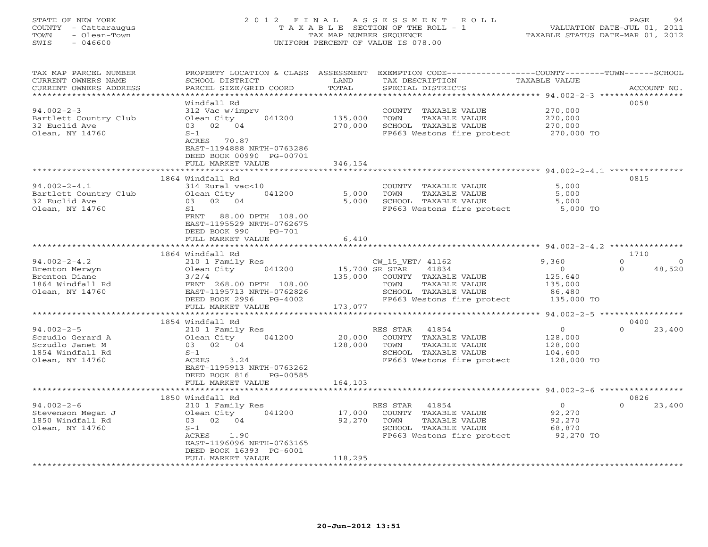### STATE OF NEW YORK 2 0 1 2 F I N A L A S S E S S M E N T R O L L PAGE 94 COUNTY - Cattaraugus T A X A B L E SECTION OF THE ROLL - 1 VALUATION DATE-JUL 01, 2011 TOWN - Olean-Town TAX MAP NUMBER SEQUENCE TAXABLE STATUS DATE-MAR 01, 2012 SWIS - 046600 UNIFORM PERCENT OF VALUE IS 078.00UNIFORM PERCENT OF VALUE IS 078.00

| TAX MAP PARCEL NUMBER<br>CURRENT OWNERS NAME<br>CURRENT OWNERS ADDRESS                         | PROPERTY LOCATION & CLASS ASSESSMENT<br>SCHOOL DISTRICT<br>PARCEL SIZE/GRID COORD                                                                   | LAND<br>TOTAL<br>********** | EXEMPTION CODE-----------------COUNTY-------TOWN------SCHOOL<br>TAX DESCRIPTION<br>SPECIAL DISTRICTS<br>************************************* 94.002-2-3 ****************** | TAXABLE VALUE                                                  | ACCOUNT NO.                               |
|------------------------------------------------------------------------------------------------|-----------------------------------------------------------------------------------------------------------------------------------------------------|-----------------------------|-----------------------------------------------------------------------------------------------------------------------------------------------------------------------------|----------------------------------------------------------------|-------------------------------------------|
| $94.002 - 2 - 3$<br>Bartlett Country Club<br>32 Euclid Ave<br>Olean, NY 14760                  | Windfall Rd<br>312 Vac w/imprv<br>Olean City<br>041200<br>03 02 04<br>$S-1$<br>ACRES 70.87<br>EAST-1194888 NRTH-0763286<br>DEED BOOK 00990 PG-00701 | 135,000<br>270,000          | COUNTY TAXABLE VALUE<br>TOWN<br>TAXABLE VALUE<br>SCHOOL TAXABLE VALUE<br>FP663 Westons fire protect                                                                         | 270,000<br>270,000<br>270,000<br>270,000 TO                    | 0058                                      |
|                                                                                                | FULL MARKET VALUE                                                                                                                                   | 346,154                     |                                                                                                                                                                             |                                                                |                                           |
| $94.002 - 2 - 4.1$<br>Bartlett Country Club<br>32 Euclid Ave<br>Olean, NY 14760                | 1864 Windfall Rd<br>314 Rural vac<10<br>Olean City<br>041200<br>02 04<br>03<br>S1<br>FRNT<br>88.00 DPTH 108.00<br>EAST-1195529 NRTH-0762675         | 5,000<br>5,000              | COUNTY TAXABLE VALUE<br>TOWN<br>TAXABLE VALUE<br>SCHOOL TAXABLE VALUE<br>FP663 Westons fire protect                                                                         | 5,000<br>5,000<br>5,000<br>5,000 TO                            | 0815                                      |
|                                                                                                | DEED BOOK 990<br>$PG-701$<br>FULL MARKET VALUE                                                                                                      | 6,410                       |                                                                                                                                                                             |                                                                |                                           |
|                                                                                                | 1864 Windfall Rd                                                                                                                                    |                             |                                                                                                                                                                             | ************ 94.002-2-4.2 **************                       | 1710                                      |
| $94.002 - 2 - 4.2$<br>Brenton Merwyn<br>Brenton Diane<br>1864 Windfall Rd<br>Olean, NY 14760   | 210 1 Family Res<br>Olean City<br>041200<br>3/2/4<br>FRNT 268.00 DPTH 108.00<br>EAST-1195713 NRTH-0762826<br>DEED BOOK 2996<br>PG-4002              | 15,700 SR STAR<br>135,000   | CW_15_VET/ 41162<br>41834<br>COUNTY TAXABLE VALUE<br>TOWN<br>TAXABLE VALUE<br>SCHOOL TAXABLE VALUE<br>FP663 Westons fire protect                                            | 9,360<br>$\circ$<br>125,640<br>135,000<br>86,480<br>135,000 TO | $\Omega$<br>$\Omega$<br>48,520<br>$\circ$ |
|                                                                                                | FULL MARKET VALUE                                                                                                                                   | 173,077                     |                                                                                                                                                                             | ***************** 94.002-2-5 ******************                |                                           |
|                                                                                                | 1854 Windfall Rd                                                                                                                                    |                             |                                                                                                                                                                             |                                                                | 0400                                      |
| $94.002 - 2 - 5$<br>Sczudlo Gerard A<br>Sczudlo Janet M<br>1854 Windfall Rd<br>Olean, NY 14760 | 210 1 Family Res<br>041200<br>Olean City<br>03 02 04<br>$S-1$<br>ACRES<br>3.24<br>EAST-1195913 NRTH-0763262<br>DEED BOOK 816<br>PG-00585            | 20,000<br>128,000           | RES STAR<br>41854<br>COUNTY TAXABLE VALUE<br>TAXABLE VALUE<br>TOWN<br>SCHOOL TAXABLE VALUE<br>FP663 Westons fire protect                                                    | $\circ$<br>128,000<br>128,000<br>104,600<br>128,000 TO         | 23,400<br>$\Omega$                        |
|                                                                                                | FULL MARKET VALUE                                                                                                                                   | 164,103                     |                                                                                                                                                                             |                                                                |                                           |
|                                                                                                | 1850 Windfall Rd                                                                                                                                    |                             |                                                                                                                                                                             |                                                                | 0826                                      |
| $94.002 - 2 - 6$<br>Stevenson Megan J<br>1850 Windfall Rd<br>Olean, NY 14760                   | 210 1 Family Res<br>Olean City<br>041200<br>03 02 04<br>$S-1$<br>ACRES<br>1.90<br>EAST-1196096 NRTH-0763165                                         | 17,000<br>92,270            | RES STAR<br>41854<br>COUNTY TAXABLE VALUE<br>TOWN<br>TAXABLE VALUE<br>SCHOOL TAXABLE VALUE<br>FP663 Westons fire protect                                                    | $\circ$<br>92,270<br>92,270<br>68,870<br>92,270 TO             | $\Omega$<br>23,400                        |
|                                                                                                | DEED BOOK 16393 PG-6001<br>FULL MARKET VALUE                                                                                                        | 118,295                     |                                                                                                                                                                             |                                                                |                                           |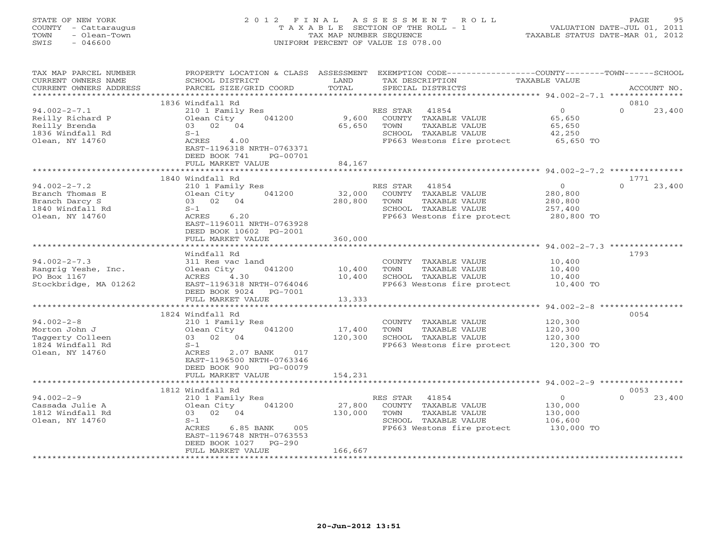# STATE OF NEW YORK 2 0 1 2 F I N A L A S S E S S M E N T R O L L PAGE 95 COUNTY - Cattaraugus T A X A B L E SECTION OF THE ROLL - 1 VALUATION DATE-JUL 01, 2011 TOWN - Olean-Town TAX MAP NUMBER SEQUENCE TAXABLE STATUS DATE-MAR 01, 2012 SWIS - 046600 UNIFORM PERCENT OF VALUE IS 078.00

| TAX MAP PARCEL NUMBER<br>CURRENT OWNERS NAME<br>CURRENT OWNERS ADDRESS                         | PROPERTY LOCATION & CLASS ASSESSMENT<br>SCHOOL DISTRICT<br>PARCEL SIZE/GRID COORD                                                                             | LAND<br>TOTAL              | TAX DESCRIPTION<br>SPECIAL DISTRICTS                                                                                     | EXEMPTION CODE-----------------COUNTY-------TOWN------SCHOOL<br><b>TAXABLE VALUE</b> | ACCOUNT NO.                |
|------------------------------------------------------------------------------------------------|---------------------------------------------------------------------------------------------------------------------------------------------------------------|----------------------------|--------------------------------------------------------------------------------------------------------------------------|--------------------------------------------------------------------------------------|----------------------------|
| *********************                                                                          | 1836 Windfall Rd                                                                                                                                              |                            |                                                                                                                          |                                                                                      | 0810                       |
| $94.002 - 2 - 7.1$<br>Reilly Richard P<br>Reilly Brenda<br>1836 Windfall Rd<br>Olean, NY 14760 | 210 1 Family Res<br>041200<br>Olean City<br>03 02 04<br>$S-1$<br>ACRES<br>4.00<br>EAST-1196318 NRTH-0763371<br>DEED BOOK 741<br>PG-00701<br>FULL MARKET VALUE | 9,600<br>65,650<br>84,167  | RES STAR<br>41854<br>COUNTY TAXABLE VALUE<br>TOWN<br>TAXABLE VALUE<br>SCHOOL TAXABLE VALUE<br>FP663 Westons fire protect | $\overline{O}$<br>65,650<br>65,650<br>42,250<br>65,650 TO                            | $\Omega$<br>23,400         |
|                                                                                                |                                                                                                                                                               |                            |                                                                                                                          |                                                                                      |                            |
| $94.002 - 2 - 7.2$<br>Branch Thomas E<br>Branch Darcy S<br>1840 Windfall Rd<br>Olean, NY 14760 | 1840 Windfall Rd<br>210 1 Family Res<br>Olean City<br>041200<br>03 02<br>04<br>$S-1$<br>6.20<br>ACRES<br>EAST-1196011 NRTH-0763928<br>DEED BOOK 10602 PG-2001 | 32,000<br>280,800          | 41854<br>RES STAR<br>COUNTY TAXABLE VALUE<br>TAXABLE VALUE<br>TOWN<br>SCHOOL TAXABLE VALUE<br>FP663 Westons fire protect | $\overline{0}$<br>280,800<br>280,800<br>257,400<br>280,800 TO                        | 1771<br>$\Omega$<br>23,400 |
|                                                                                                | FULL MARKET VALUE<br>*******************                                                                                                                      | 360,000<br>*************   |                                                                                                                          | *********************** 94.002-2-7.3 ***************                                 |                            |
| $94.002 - 2 - 7.3$<br>Rangrig Yeshe, Inc.<br>PO Box 1167<br>Stockbridge, MA 01262              | Windfall Rd<br>311 Res vac land<br>Olean City<br>041200<br>ACRES<br>4.30<br>EAST-1196318 NRTH-0764046<br>DEED BOOK 9024<br>PG-7001<br>FULL MARKET VALUE       | 10,400<br>10,400<br>13,333 | COUNTY TAXABLE VALUE<br>TOWN<br>TAXABLE VALUE<br>SCHOOL TAXABLE VALUE<br>FP663 Westons fire protect                      | 10,400<br>10,400<br>10,400<br>10,400 TO<br>$94.002 - 2 - 8$                          | 1793                       |
|                                                                                                | 1824 Windfall Rd                                                                                                                                              |                            |                                                                                                                          |                                                                                      | 0054                       |
| $94.002 - 2 - 8$<br>Morton John J<br>Taggerty Colleen<br>1824 Windfall Rd<br>Olean, NY 14760   | 210 1 Family Res<br>041200<br>Olean City<br>03 02<br>04<br>$S-1$<br>ACRES<br>2.07 BANK<br>017                                                                 | 17,400<br>120,300          | COUNTY TAXABLE VALUE<br>TOWN<br>TAXABLE VALUE<br>SCHOOL TAXABLE VALUE<br>FP663 Westons fire protect                      | 120,300<br>120,300<br>120,300<br>120,300 TO                                          |                            |
|                                                                                                | EAST-1196500 NRTH-0763346<br>DEED BOOK 900<br>PG-00079<br>FULL MARKET VALUE                                                                                   | 154,231                    |                                                                                                                          |                                                                                      |                            |
|                                                                                                | ************************<br>1812 Windfall Rd                                                                                                                  |                            |                                                                                                                          |                                                                                      | 0053                       |
| $94.002 - 2 - 9$<br>Cassada Julie A<br>1812 Windfall Rd<br>Olean, NY 14760                     | 210 1 Family Res<br>Olean City<br>041200<br>03 02 04<br>$S-1$<br>ACRES<br>6.85 BANK<br>005<br>EAST-1196748 NRTH-0763553<br>DEED BOOK 1027<br>$PG-290$         | 27,800<br>130,000          | RES STAR<br>41854<br>COUNTY TAXABLE VALUE<br>TOWN<br>TAXABLE VALUE<br>SCHOOL TAXABLE VALUE<br>FP663 Westons fire protect | $\Omega$<br>130,000<br>130,000<br>106,600<br>130,000 TO                              | $\Omega$<br>23,400         |
|                                                                                                | FULL MARKET VALUE                                                                                                                                             | 166,667                    |                                                                                                                          |                                                                                      |                            |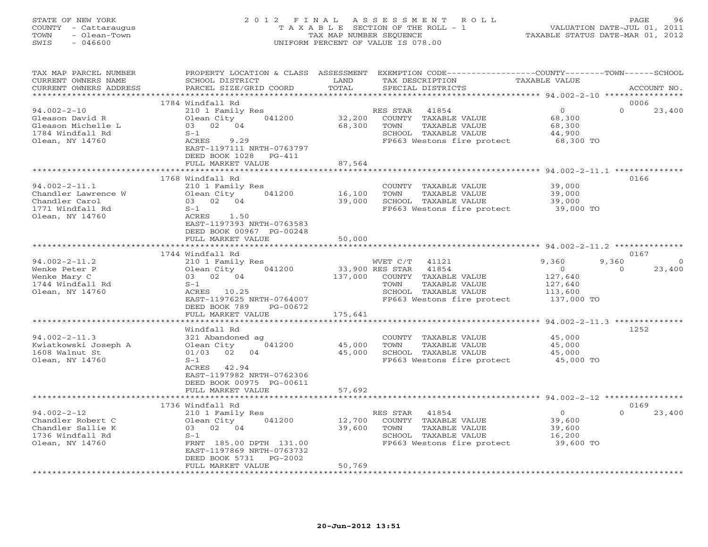# STATE OF NEW YORK 2 0 1 2 F I N A L A S S E S S M E N T R O L L PAGE 96 COUNTY - Cattaraugus T A X A B L E SECTION OF THE ROLL - 1 VALUATION DATE-JUL 01, 2011 TOWN - Olean-Town TAX MAP NUMBER SEQUENCE TAXABLE STATUS DATE-MAR 01, 2012 SWIS - 046600 UNIFORM PERCENT OF VALUE IS 078.00

| TAX MAP PARCEL NUMBER<br>CURRENT OWNERS NAME<br>CURRENT OWNERS ADDRESS                            | PROPERTY LOCATION & CLASS ASSESSMENT<br>SCHOOL DISTRICT<br>PARCEL SIZE/GRID COORD                                          | LAND<br>TOTAL    | EXEMPTION CODE-----------------COUNTY-------TOWN------SCHOOL<br>TAX DESCRIPTION<br>SPECIAL DISTRICTS                     | <b>TAXABLE VALUE</b>                               | ACCOUNT NO.                     |
|---------------------------------------------------------------------------------------------------|----------------------------------------------------------------------------------------------------------------------------|------------------|--------------------------------------------------------------------------------------------------------------------------|----------------------------------------------------|---------------------------------|
| ************************                                                                          |                                                                                                                            |                  |                                                                                                                          |                                                    |                                 |
|                                                                                                   | 1784 Windfall Rd                                                                                                           |                  |                                                                                                                          |                                                    | 0006                            |
| $94.002 - 2 - 10$<br>Gleason David R<br>Gleason Michelle L<br>1784 Windfall Rd<br>Olean, NY 14760 | 210 1 Family Res<br>Olean City<br>041200<br>03 02 04<br>$S-1$<br>9.29<br>ACRES<br>EAST-1197111 NRTH-0763797                | 32,200<br>68,300 | RES STAR<br>41854<br>COUNTY TAXABLE VALUE<br>TOWN<br>TAXABLE VALUE<br>SCHOOL TAXABLE VALUE<br>FP663 Westons fire protect | $\circ$<br>68,300<br>68,300<br>44,900<br>68,300 TO | $\Omega$<br>23,400              |
|                                                                                                   | DEED BOOK 1028<br>$PG-411$                                                                                                 |                  |                                                                                                                          |                                                    |                                 |
|                                                                                                   | FULL MARKET VALUE                                                                                                          | 87,564           |                                                                                                                          |                                                    |                                 |
|                                                                                                   |                                                                                                                            | ********         | ************************* 94.002-2-11.1 **************                                                                   |                                                    |                                 |
| $94.002 - 2 - 11.1$<br>Chandler Lawrence W<br>Chandler Carol<br>1771 Windfall Rd                  | 1768 Windfall Rd<br>210 1 Family Res<br>041200<br>Olean City<br>03 02 04<br>$S-1$                                          | 16,100<br>39,000 | COUNTY TAXABLE VALUE<br>TOWN<br>TAXABLE VALUE<br>SCHOOL TAXABLE VALUE<br>FP663 Westons fire protect 39,000 TO            | 39,000<br>39,000<br>39,000                         | 0166                            |
| Olean, NY 14760                                                                                   | ACRES<br>1.50<br>EAST-1197393 NRTH-0763583<br>DEED BOOK 00967 PG-00248<br>FULL MARKET VALUE<br>*************************** | 50,000           |                                                                                                                          |                                                    |                                 |
|                                                                                                   |                                                                                                                            |                  |                                                                                                                          |                                                    |                                 |
| $94.002 - 2 - 11.2$                                                                               | 1744 Windfall Rd<br>210 1 Family Res                                                                                       |                  | WVET C/T 41121                                                                                                           | 9,360                                              | 0167<br>9,360<br>$\overline{0}$ |
| Wenke Peter P                                                                                     | Olean City<br>041200                                                                                                       |                  | 33,900 RES STAR<br>41854                                                                                                 | $\overline{0}$                                     | $\mathbf{0}$<br>23,400          |
| Wenke Mary C                                                                                      | 03 02 04                                                                                                                   | 137,000          | COUNTY TAXABLE VALUE                                                                                                     | 127,640                                            |                                 |
| 1744 Windfall Rd                                                                                  | $S-1$                                                                                                                      |                  | TAXABLE VALUE<br>TOWN                                                                                                    | 127,640                                            |                                 |
| Olean, NY 14760                                                                                   | ACRES 10.25                                                                                                                |                  | SCHOOL TAXABLE VALUE                                                                                                     | 113,600                                            |                                 |
|                                                                                                   | EAST-1197625 NRTH-0764007                                                                                                  |                  | FP663 Westons fire protect                                                                                               | 137,000 TO                                         |                                 |
|                                                                                                   | DEED BOOK 789<br>PG-00672                                                                                                  |                  |                                                                                                                          |                                                    |                                 |
|                                                                                                   | FULL MARKET VALUE                                                                                                          | 175,641          |                                                                                                                          |                                                    |                                 |
|                                                                                                   | Windfall Rd                                                                                                                |                  |                                                                                                                          |                                                    | 1252                            |
| $94.002 - 2 - 11.3$                                                                               | 321 Abandoned ag                                                                                                           |                  | COUNTY TAXABLE VALUE                                                                                                     | 45,000                                             |                                 |
| Kwiatkowski Joseph A                                                                              | Olean City<br>041200                                                                                                       | 45,000           | TAXABLE VALUE<br>TOWN                                                                                                    | 45,000                                             |                                 |
| 1608 Walnut St                                                                                    | 01/03 02<br>04                                                                                                             | 45,000           | SCHOOL TAXABLE VALUE                                                                                                     | 45,000                                             |                                 |
| Olean, NY 14760                                                                                   | $S-1$<br>ACRES 42.94<br>EAST-1197982 NRTH-0762306<br>DEED BOOK 00975 PG-00611                                              |                  | FP663 Westons fire protect                                                                                               | 45,000 TO                                          |                                 |
|                                                                                                   | FULL MARKET VALUE                                                                                                          | 57,692           |                                                                                                                          |                                                    |                                 |
|                                                                                                   | ***********************                                                                                                    | **************   | ************************************ 94.002-2-12 ****************                                                        |                                                    |                                 |
|                                                                                                   | 1736 Windfall Rd                                                                                                           |                  |                                                                                                                          |                                                    | 0169<br>$\Omega$                |
| $94.002 - 2 - 12$<br>Chandler Robert C                                                            | 210 1 Family Res<br>Olean City<br>041200                                                                                   | 12,700           | 41854<br>RES STAR<br>COUNTY TAXABLE VALUE                                                                                | $\circ$<br>39,600                                  | 23,400                          |
| Chandler Sallie K                                                                                 | 03 02 04                                                                                                                   | 39,600           | TOWN<br>TAXABLE VALUE                                                                                                    | 39,600                                             |                                 |
| 1736 Windfall Rd                                                                                  | $S-1$                                                                                                                      |                  | SCHOOL TAXABLE VALUE                                                                                                     | 16,200                                             |                                 |
| Olean, NY 14760                                                                                   | FRNT 185.00 DPTH 131.00                                                                                                    |                  | FP663 Westons fire protect                                                                                               | 39,600 TO                                          |                                 |
|                                                                                                   | EAST-1197869 NRTH-0763732                                                                                                  |                  |                                                                                                                          |                                                    |                                 |
|                                                                                                   | DEED BOOK 5731<br>PG-2002                                                                                                  |                  |                                                                                                                          |                                                    |                                 |
|                                                                                                   | FULL MARKET VALUE                                                                                                          | 50,769           |                                                                                                                          |                                                    |                                 |
|                                                                                                   |                                                                                                                            |                  |                                                                                                                          |                                                    |                                 |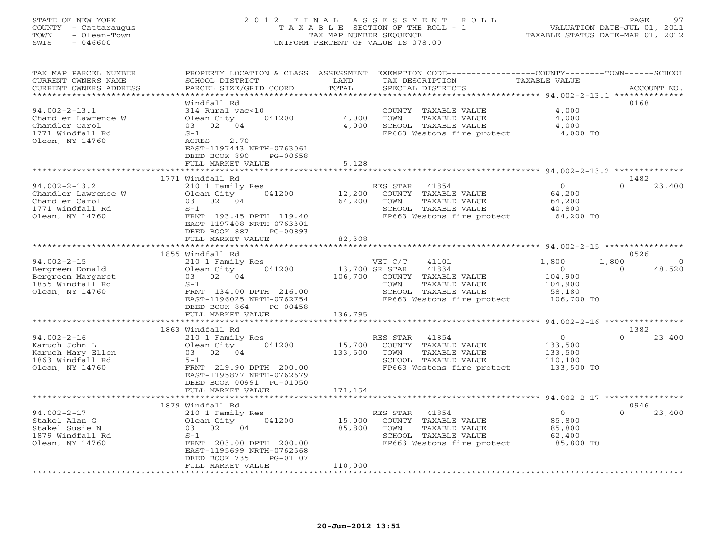# STATE OF NEW YORK 2 0 1 2 F I N A L A S S E S S M E N T R O L L PAGE 97 COUNTY - Cattaraugus T A X A B L E SECTION OF THE ROLL - 1 VALUATION DATE-JUL 01, 2011 TOWN - Olean-Town TAX MAP NUMBER SEQUENCE TAXABLE STATUS DATE-MAR 01, 2012 SWIS - 046600 UNIFORM PERCENT OF VALUE IS 078.00

| TAX MAP PARCEL NUMBER<br>CURRENT OWNERS NAME | PROPERTY LOCATION & CLASS ASSESSMENT<br>SCHOOL DISTRICT | LAND           | EXEMPTION CODE-----------------COUNTY-------TOWN-----SCHOOL<br>TAX DESCRIPTION | TAXABLE VALUE                                              |                         |
|----------------------------------------------|---------------------------------------------------------|----------------|--------------------------------------------------------------------------------|------------------------------------------------------------|-------------------------|
| CURRENT OWNERS ADDRESS                       | PARCEL SIZE/GRID COORD                                  | TOTAL          | SPECIAL DISTRICTS                                                              |                                                            | ACCOUNT NO.             |
| *********************                        |                                                         |                |                                                                                |                                                            |                         |
|                                              | Windfall Rd                                             |                |                                                                                |                                                            | 0168                    |
| $94.002 - 2 - 13.1$                          | 314 Rural vac<10                                        |                | COUNTY TAXABLE VALUE                                                           | 4,000                                                      |                         |
|                                              |                                                         |                |                                                                                |                                                            |                         |
| Chandler Lawrence W                          | Olean City<br>041200                                    | 4,000          | TOWN<br>TAXABLE VALUE                                                          | 4,000                                                      |                         |
| Chandler Carol                               | 03 02 04                                                | 4,000          | SCHOOL TAXABLE VALUE                                                           | 4,000                                                      |                         |
| 1771 Windfall Rd                             | $S-1$                                                   |                | FP663 Westons fire protect                                                     | 4,000 TO                                                   |                         |
| Olean, NY 14760                              | 2.70<br>ACRES                                           |                |                                                                                |                                                            |                         |
|                                              | EAST-1197443 NRTH-0763061                               |                |                                                                                |                                                            |                         |
|                                              | DEED BOOK 890<br>PG-00658                               |                |                                                                                |                                                            |                         |
|                                              | FULL MARKET VALUE                                       | 5,128          |                                                                                |                                                            |                         |
|                                              |                                                         | **********     |                                                                                | ************************ 94.002-2-13.2 ***************     |                         |
|                                              | 1771 Windfall Rd                                        |                |                                                                                |                                                            | 1482                    |
| $94.002 - 2 - 13.2$                          | 210 1 Family Res                                        |                | RES STAR<br>41854                                                              | $\circ$                                                    | $\Omega$<br>23,400      |
| Chandler Lawrence W                          | 041200<br>Olean City                                    | 12,200         | COUNTY<br>TAXABLE VALUE                                                        | 64,200                                                     |                         |
| Chandler Carol                               | 03 02 04                                                | 64,200         | TOWN<br>TAXABLE VALUE                                                          | 64,200                                                     |                         |
| 1771 Windfall Rd                             | $S-1$                                                   |                | SCHOOL TAXABLE VALUE                                                           | 40,800                                                     |                         |
| Olean, NY 14760                              | FRNT 193.45 DPTH 119.40                                 |                | FP663 Westons fire protect                                                     | 64,200 TO                                                  |                         |
|                                              | EAST-1197408 NRTH-0763301                               |                |                                                                                |                                                            |                         |
|                                              |                                                         |                |                                                                                |                                                            |                         |
|                                              | DEED BOOK 887<br>PG-00893                               |                |                                                                                |                                                            |                         |
|                                              | FULL MARKET VALUE<br>**********************             | 82,308         |                                                                                |                                                            |                         |
|                                              |                                                         | ************   |                                                                                | ***************************** 94.002-2-15 **************** |                         |
|                                              | 1855 Windfall Rd                                        |                |                                                                                |                                                            | 0526                    |
| $94.002 - 2 - 15$                            | 210 1 Family Res                                        |                | VET C/T<br>41101                                                               | 1,800                                                      | 1,800<br>$\overline{0}$ |
| Bergreen Donald                              | 041200<br>Olean City                                    | 13,700 SR STAR | 41834                                                                          | $\overline{0}$                                             | 48,520<br>$\circ$       |
| Bergreen Margaret                            | 03 02 04                                                | 106,700        | COUNTY TAXABLE VALUE                                                           | 104,900                                                    |                         |
| 1855 Windfall Rd                             | $S-1$                                                   |                | TAXABLE VALUE<br>TOWN                                                          | 104,900                                                    |                         |
| Olean, NY 14760                              | FRNT 134.00 DPTH 216.00                                 |                | SCHOOL TAXABLE VALUE                                                           | 58,180                                                     |                         |
|                                              | EAST-1196025 NRTH-0762754                               |                | FP663 Westons fire protect                                                     | 106,700 TO                                                 |                         |
|                                              | DEED BOOK 864<br>PG-00458                               |                |                                                                                |                                                            |                         |
|                                              | FULL MARKET VALUE                                       | 136,795        |                                                                                |                                                            |                         |
|                                              |                                                         |                |                                                                                |                                                            |                         |
|                                              | 1863 Windfall Rd                                        |                |                                                                                |                                                            | 1382                    |
| $94.002 - 2 - 16$                            | 210 1 Family Res                                        |                | 41854<br>RES STAR                                                              | $\circ$                                                    | $\Omega$<br>23,400      |
| Karuch John L                                | Olean City<br>041200                                    | 15,700         | COUNTY TAXABLE VALUE                                                           | 133,500                                                    |                         |
| Karuch Mary Ellen                            | 03 02 04                                                | 133,500        | TOWN<br>TAXABLE VALUE                                                          | 133,500                                                    |                         |
|                                              |                                                         |                |                                                                                |                                                            |                         |
| 1863 Windfall Rd                             | $5 - 1$                                                 |                | SCHOOL TAXABLE VALUE                                                           | 110,100                                                    |                         |
| Olean, NY 14760                              | FRNT 219.90 DPTH 200.00                                 |                | FP663 Westons fire protect                                                     | 133,500 TO                                                 |                         |
|                                              | EAST-1195877 NRTH-0762679                               |                |                                                                                |                                                            |                         |
|                                              | DEED BOOK 00991 PG-01050                                |                |                                                                                |                                                            |                         |
|                                              | FULL MARKET VALUE                                       | 171,154        |                                                                                |                                                            |                         |
|                                              |                                                         |                |                                                                                |                                                            |                         |
|                                              | 1879 Windfall Rd                                        |                |                                                                                |                                                            | 0946                    |
| $94.002 - 2 - 17$                            | 210 1 Family Res                                        |                | 41854<br>RES STAR                                                              | $\circ$                                                    | $\Omega$<br>23,400      |
| Stakel Alan G                                | Olean City<br>041200                                    | 15,000         | COUNTY TAXABLE VALUE                                                           | 85,800                                                     |                         |
| Stakel Susie N                               | 02<br>04<br>03                                          | 85,800         | TAXABLE VALUE<br>TOWN                                                          | 85,800                                                     |                         |
| 1879 Windfall Rd                             | $S-1$                                                   |                | SCHOOL TAXABLE VALUE                                                           | 62,400                                                     |                         |
| Olean, NY 14760                              | FRNT 203.00 DPTH 200.00                                 |                | FP663 Westons fire protect                                                     | 85,800 TO                                                  |                         |
|                                              | EAST-1195699 NRTH-0762568                               |                |                                                                                |                                                            |                         |
|                                              | DEED BOOK 735<br>PG-01107                               |                |                                                                                |                                                            |                         |
|                                              | FULL MARKET VALUE                                       | 110,000        |                                                                                |                                                            |                         |
|                                              |                                                         |                |                                                                                |                                                            |                         |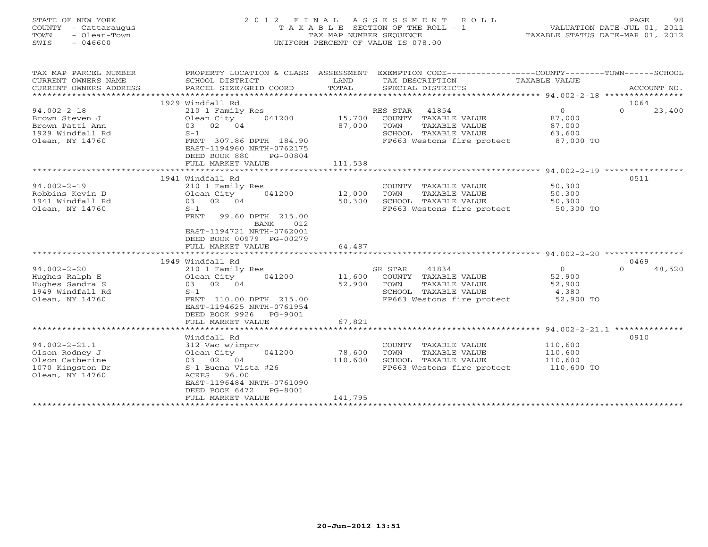| STATE OF NEW YORK<br>COUNTY<br>- Cattaraugus<br>- Olean-Town<br>TOWN<br>$-046600$<br>SWIS | 2 0 1 2                   | TAX MAP NUMBER SEOUENCE | FINAL ASSESSMENT ROLL<br>T A X A B L E SECTION OF THE ROLL - 1<br>UNIFORM PERCENT OF VALUE IS 078.00 |               | 98<br>PAGE<br>VALUATION DATE-JUL 01, 2011<br>TAXABLE STATUS DATE-MAR 01, 2012 |
|-------------------------------------------------------------------------------------------|---------------------------|-------------------------|------------------------------------------------------------------------------------------------------|---------------|-------------------------------------------------------------------------------|
|                                                                                           |                           |                         |                                                                                                      |               |                                                                               |
| TAX MAP PARCEL NUMBER                                                                     | PROPERTY LOCATION & CLASS | ASSESSMENT              | EXEMPTION CODE-----------------COUNTY-------TOWN-----                                                |               | -SCHOOL                                                                       |
| CURRENT OWNERS NAME                                                                       | SCHOOL DISTRICT           | LAND                    | TAX DESCRIPTION                                                                                      | TAXABLE VALUE |                                                                               |
| CURRENT OWNERS ADDRESS                                                                    | PARCEL SIZE/GRID COORD    | TOTAL                   | SPECIAL DISTRICTS                                                                                    |               | ACCOUNT NO.                                                                   |
|                                                                                           |                           |                         |                                                                                                      |               |                                                                               |
|                                                                                           | 1929 Windfall Rd          |                         |                                                                                                      |               | 1064                                                                          |
| 94.002-2-18                                                                               | 210 1 Family Res          |                         | 41854<br>RES STAR                                                                                    |               | 23,400<br>0                                                                   |
| Brown Steven J                                                                            | Olean City<br>041200      | 15,700                  | COUNTY<br>TAXABLE VALUE                                                                              | 87,000        |                                                                               |
| Brown Patti Ann                                                                           | 04<br>03<br>02            | 87,000                  | TAXABLE VALUE<br>TOWN                                                                                | 87,000        |                                                                               |

FULL MARKET VALUE 111,538 \*\*\*\*\*\*\*\*\*\*\*\*\*\*\*\*\*\*\*\*\*\*\*\*\*\*\*\*\*\*\*\*\*\*\*\*\*\*\*\*\*\*\*\*\*\*\*\*\*\*\*\*\*\*\*\*\*\*\*\*\*\*\*\*\*\*\*\*\*\*\*\*\*\*\*\*\*\*\*\*\*\*\*\*\*\*\*\*\*\*\*\*\*\*\*\*\*\*\*\*\*\*\* 94.002-2-19 \*\*\*\*\*\*\*\*\*\*\*\*\*\*\*\*

\*\*\*\*\*\*\*\*\*\*\*\*\*\*\*\*\*\*\*\*\*\*\*\*\*\*\*\*\*\*\*\*\*\*\*\*\*\*\*\*\*\*\*\*\*\*\*\*\*\*\*\*\*\*\*\*\*\*\*\*\*\*\*\*\*\*\*\*\*\*\*\*\*\*\*\*\*\*\*\*\*\*\*\*\*\*\*\*\*\*\*\*\*\*\*\*\*\*\*\*\*\*\* 94.002-2-20 \*\*\*\*\*\*\*\*\*\*\*\*\*\*\*\*

94.002-2-20 210 1 Family Res SR STAR 41834 0 0 48,520

\*\*\*\*\*\*\*\*\*\*\*\*\*\*\*\*\*\*\*\*\*\*\*\*\*\*\*\*\*\*\*\*\*\*\*\*\*\*\*\*\*\*\*\*\*\*\*\*\*\*\*\*\*\*\*\*\*\*\*\*\*\*\*\*\*\*\*\*\*\*\*\*\*\*\*\*\*\*\*\*\*\*\*\*\*\*\*\*\*\*\*\*\*\*\*\*\*\*\*\*\*\*\* 94.002-2-21.1 \*\*\*\*\*\*\*\*\*\*\*\*\*\*

\*\*\*\*\*\*\*\*\*\*\*\*\*\*\*\*\*\*\*\*\*\*\*\*\*\*\*\*\*\*\*\*\*\*\*\*\*\*\*\*\*\*\*\*\*\*\*\*\*\*\*\*\*\*\*\*\*\*\*\*\*\*\*\*\*\*\*\*\*\*\*\*\*\*\*\*\*\*\*\*\*\*\*\*\*\*\*\*\*\*\*\*\*\*\*\*\*\*\*\*\*\*\*\*\*\*\*\*\*\*\*\*\*\*\*\*\*\*\*\*\*\*\*\*\*\*\*\*\*\*\*\*

Windfall Rd 0910

1941 Windfall Rd 0511

1949 Windfall Rd 0469

 $0 \t 48,520$ 

1929 Windfall Rd S-1 SCHOOL TAXABLE VALUE 63,600 Olean, NY 14760 FRNT 307.86 DPTH 184.90 FP663 Westons fire protect 87,000 TO

94.002-2-19 210 1 Family Res COUNTY TAXABLE VALUE 50,300 Robbins Kevin D Olean City 041200 12,000 TOWN TAXABLE VALUE 50,300 1941 Windfall Rd 03 02 04 50,300 SCHOOL TAXABLE VALUE 50,300 Olean, NY 14760 S-1 FP663 Westons fire protect 50,300 TO

Hughes Ralph E Olean City 041200 11,600 COUNTY TAXABLE VALUE 52,900 Hughes Sandra S 03 02 04 52,900 TOWN TAXABLE VALUE 52,900 1949 Windfall Rd S-1 SCHOOL TAXABLE VALUE 4,380 Olean, NY 14760 FRNT 110.00 DPTH 215.00 FP663 Westons fire protect 52,900 TO

94.002-2-21.1 312 Vac w/imprv COUNTY TAXABLE VALUE 110,600 Olson Rodney J Olean City 041200 78,600 TOWN TAXABLE VALUE 110,600 Olson Catherine 03 02 04 110,600 SCHOOL TAXABLE VALUE 110,600 1070 Kingston Dr S-1 Buena Vista #26 FP663 Westons fire protect 110,600 TO

EAST-1194960 NRTH-0762175

FRNT 99.60 DPTH 215.00

 EAST-1194721 NRTH-0762001DEED BOOK 00979 PG-00279

EAST-1194625 NRTH-0761954

 EAST-1196484 NRTH-0761090DEED BOOK 6472 PG-8001

FULL MARKET VALUE 111,538

DEED BOOK 880 PG-00804

BANK 012

Olean, NY 14760 ACRES 96.00

FULL MARKET VALUE 64,487

DEED BOOK 9926 PG-9001 FULL MARKET VALUE 67,821

FULL MARKET VALUE 141,795

| <b>20-Jun-2012 13:51</b> |  |  |  |  |  |  |  |
|--------------------------|--|--|--|--|--|--|--|
|--------------------------|--|--|--|--|--|--|--|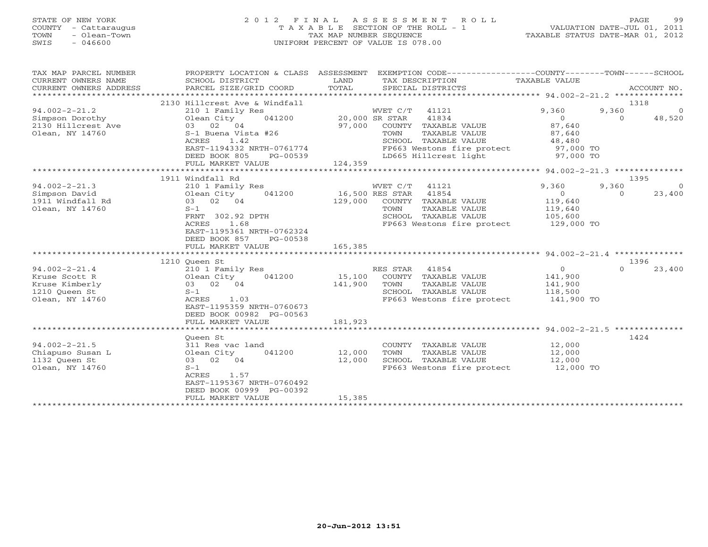# STATE OF NEW YORK 2 0 1 2 F I N A L A S S E S S M E N T R O L L PAGE 99 COUNTY - Cattaraugus T A X A B L E SECTION OF THE ROLL - 1 VALUATION DATE-JUL 01, 2011 TOWN - Olean-Town TAX MAP NUMBER SEQUENCE TAXABLE STATUS DATE-MAR 01, 2012 SWIS - 046600 UNIFORM PERCENT OF VALUE IS 078.00

| TAX MAP PARCEL NUMBER<br>CURRENT OWNERS NAME<br>CURRENT OWNERS ADDRESS<br>************************* | PROPERTY LOCATION & CLASS ASSESSMENT<br>SCHOOL DISTRICT<br>PARCEL SIZE/GRID COORD | LAND<br>TOTAL  | EXEMPTION CODE-----------------COUNTY-------TOWN------SCHOOL<br>TAX DESCRIPTION<br>SPECIAL DISTRICTS | TAXABLE VALUE  | ACCOUNT NO.        |
|-----------------------------------------------------------------------------------------------------|-----------------------------------------------------------------------------------|----------------|------------------------------------------------------------------------------------------------------|----------------|--------------------|
|                                                                                                     | 2130 Hillcrest Ave & Windfall                                                     |                |                                                                                                      |                | 1318               |
| $94.002 - 2 - 21.2$                                                                                 | 210 1 Family Res                                                                  |                | WVET C/T 41121                                                                                       | 9,360<br>9,360 | $\Omega$           |
| Simpson Dorothy                                                                                     | 041200<br>Olean City                                                              | 20,000 SR STAR | 41834                                                                                                | $\Omega$       | 48,520<br>$\Omega$ |
| 2130 Hillcrest Ave                                                                                  | 03 02 04                                                                          | 97,000         | COUNTY TAXABLE VALUE                                                                                 | 87,640         |                    |
| Olean, NY 14760                                                                                     | S-1 Buena Vista #26                                                               |                | TOWN<br>TAXABLE VALUE                                                                                | 87,640         |                    |
|                                                                                                     | ACRES<br>1.42                                                                     |                | SCHOOL TAXABLE VALUE                                                                                 | 48,480         |                    |
|                                                                                                     | EAST-1194332 NRTH-0761774                                                         |                | FP663 Westons fire protect                                                                           | 97,000 TO      |                    |
|                                                                                                     | DEED BOOK 805<br>PG-00539                                                         |                | LD665 Hillcrest light                                                                                | 97,000 TO      |                    |
|                                                                                                     | FULL MARKET VALUE                                                                 | 124,359        |                                                                                                      |                |                    |
|                                                                                                     |                                                                                   |                |                                                                                                      |                |                    |
|                                                                                                     | 1911 Windfall Rd                                                                  |                |                                                                                                      |                | 1395               |
| $94.002 - 2 - 21.3$                                                                                 | 210 1 Family Res                                                                  |                | WVET C/T 41121                                                                                       | 9,360<br>9,360 |                    |
| Simpson David                                                                                       | Olean City<br>041200                                                              |                | 16,500 RES STAR 41854                                                                                | $\overline{0}$ | 23,400<br>$\Omega$ |
| 1911 Windfall Rd                                                                                    | 03 02 04                                                                          | 129,000        | COUNTY TAXABLE VALUE                                                                                 | 119,640        |                    |
| Olean, NY 14760                                                                                     | $S-1$                                                                             |                | TAXABLE VALUE<br>TOWN                                                                                | 119,640        |                    |
|                                                                                                     | FRNT 302.92 DPTH                                                                  |                | SCHOOL TAXABLE VALUE                                                                                 | 105,600        |                    |
|                                                                                                     | ACRES<br>1.68                                                                     |                | FP663 Westons fire protect                                                                           | 129,000 TO     |                    |
|                                                                                                     | EAST-1195361 NRTH-0762324                                                         |                |                                                                                                      |                |                    |
|                                                                                                     | DEED BOOK 857<br>PG-00538                                                         |                |                                                                                                      |                |                    |
|                                                                                                     | FULL MARKET VALUE                                                                 | 165,385        |                                                                                                      |                |                    |
|                                                                                                     | ***************************                                                       | *************  |                                                                                                      |                |                    |
|                                                                                                     | 1210 Queen St                                                                     |                |                                                                                                      |                | 1396               |
| $94.002 - 2 - 21.4$                                                                                 | 210 1 Family Res                                                                  |                | RES STAR 41854                                                                                       | $\overline{0}$ | $\Omega$<br>23,400 |
| Kruse Scott R                                                                                       | 041200<br>Olean City                                                              | 15,100         | COUNTY TAXABLE VALUE                                                                                 | 141,900        |                    |
| Kruse Kimberly                                                                                      | 03 02 04                                                                          | 141,900        | TOWN<br>TAXABLE VALUE                                                                                | 141,900        |                    |
| 1210 Queen St                                                                                       | $S-1$                                                                             |                | SCHOOL TAXABLE VALUE                                                                                 | 118,500        |                    |
| Olean, NY 14760                                                                                     | ACRES<br>1.03                                                                     |                | FP663 Westons fire protect                                                                           | 141,900 TO     |                    |
|                                                                                                     | EAST-1195359 NRTH-0760673                                                         |                |                                                                                                      |                |                    |
|                                                                                                     | DEED BOOK 00982 PG-00563                                                          |                |                                                                                                      |                |                    |
|                                                                                                     | FULL MARKET VALUE                                                                 | 181,923        |                                                                                                      |                |                    |
|                                                                                                     |                                                                                   |                |                                                                                                      |                |                    |
|                                                                                                     | Oueen St                                                                          |                |                                                                                                      |                | 1424               |
| $94.002 - 2 - 21.5$                                                                                 | 311 Res vac land                                                                  |                | COUNTY TAXABLE VALUE                                                                                 | 12,000         |                    |
| Chiapuso Susan L                                                                                    | 041200<br>Olean City                                                              | 12,000         | TOWN<br>TAXABLE VALUE                                                                                | 12,000         |                    |
| 1132 Oueen St                                                                                       | 03 02 04                                                                          | 12,000         | SCHOOL TAXABLE VALUE                                                                                 | 12,000         |                    |
| Olean, NY 14760                                                                                     | $S-1$                                                                             |                | FP663 Westons fire protect 12,000 TO                                                                 |                |                    |
|                                                                                                     | ACRES<br>1.57                                                                     |                |                                                                                                      |                |                    |
|                                                                                                     | EAST-1195367 NRTH-0760492<br>DEED BOOK 00999 PG-00392                             |                |                                                                                                      |                |                    |
|                                                                                                     | FULL MARKET VALUE                                                                 | 15,385         |                                                                                                      |                |                    |
|                                                                                                     |                                                                                   |                |                                                                                                      |                |                    |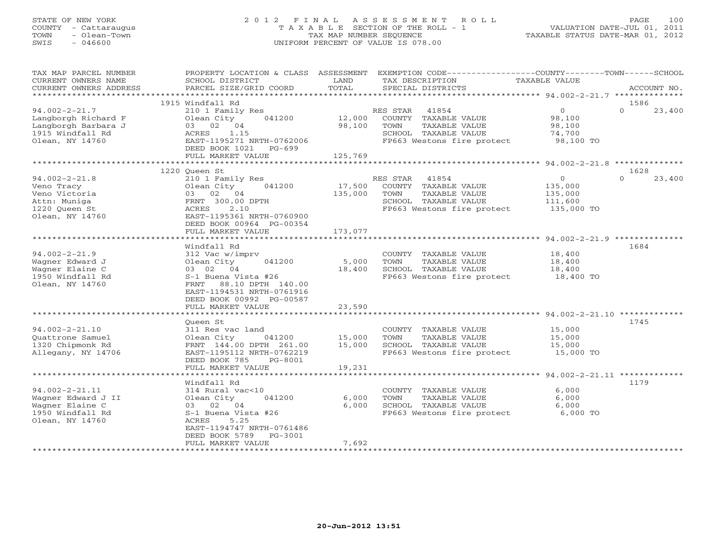#### STATE OF NEW YORK 2 0 1 2 F I N A L A S S E S S M E N T R O L L PAGE 100COUNTY - Cattaraugus T A X A B L E SECTION OF THE ROLL - 1 VALUATION DATE-JUL 01, 2011 TOWN - Olean-Town TAX MAP NUMBER SEQUENCE TAXABLE STATUS DATE-MAR 01, 2012<br>TAXABLE STATUS DATE-MAR 01, 2012 SWIS - 046600 UNIFORM PERCENT OF VALUE IS 078.00

| TAX MAP PARCEL NUMBER<br>CURRENT OWNERS NAME<br>CURRENT OWNERS ADDRESS                                   | PROPERTY LOCATION & CLASS ASSESSMENT<br>SCHOOL DISTRICT<br>PARCEL SIZE/GRID COORD                                                                                                                    | LAND<br>TOTAL             | EXEMPTION CODE-----------------COUNTY-------TOWN------SCHOOL<br>TAX DESCRIPTION<br>SPECIAL DISTRICTS                     | TAXABLE VALUE                                             | ACCOUNT NO.        |
|----------------------------------------------------------------------------------------------------------|------------------------------------------------------------------------------------------------------------------------------------------------------------------------------------------------------|---------------------------|--------------------------------------------------------------------------------------------------------------------------|-----------------------------------------------------------|--------------------|
| *********************                                                                                    |                                                                                                                                                                                                      |                           |                                                                                                                          |                                                           |                    |
|                                                                                                          | 1915 Windfall Rd                                                                                                                                                                                     |                           |                                                                                                                          |                                                           | 1586               |
| $94.002 - 2 - 21.7$<br>Langborgh Richard F<br>Langborgh Barbara J<br>1915 Windfall Rd<br>Olean, NY 14760 | 210 1 Family Res<br>Olean City<br>041200<br>03 02 04<br>1.15<br>ACRES<br>EAST-1195271 NRTH-0762006<br>DEED BOOK 1021<br>PG-699                                                                       | 12,000<br>98,100          | RES STAR<br>41854<br>COUNTY TAXABLE VALUE<br>TOWN<br>TAXABLE VALUE<br>SCHOOL TAXABLE VALUE<br>FP663 Westons fire protect | $\overline{O}$<br>98,100<br>98,100<br>74,700<br>98,100 TO | $\Omega$<br>23,400 |
|                                                                                                          | FULL MARKET VALUE<br>**********************                                                                                                                                                          | 125,769<br>*************  |                                                                                                                          | ********* 94.002-2-21.8 **************                    |                    |
|                                                                                                          | 1220 Queen St                                                                                                                                                                                        |                           |                                                                                                                          |                                                           | 1628               |
| $94.002 - 2 - 21.8$<br>Veno Tracy<br>Veno Victoria<br>Attn: Muniga<br>1220 Oueen St<br>Olean, NY 14760   | 210 1 Family Res<br>041200<br>Olean City<br>03 02 04<br>FRNT 300.00 DPTH<br>ACRES<br>2.10<br>EAST-1195361 NRTH-0760900<br>DEED BOOK 00964 PG-00354                                                   | 17,500<br>135,000         | RES STAR<br>41854<br>COUNTY TAXABLE VALUE<br>TOWN<br>TAXABLE VALUE<br>SCHOOL TAXABLE VALUE<br>FP663 Westons fire protect | $\circ$<br>135,000<br>135,000<br>111,600<br>135,000 TO    | $\Omega$<br>23,400 |
|                                                                                                          | FULL MARKET VALUE                                                                                                                                                                                    | 173,077                   |                                                                                                                          |                                                           |                    |
|                                                                                                          |                                                                                                                                                                                                      | * * * * * * * *           |                                                                                                                          | $94.002 - 2 - 21.9$ ********                              |                    |
| $94.002 - 2 - 21.9$<br>Wagner Edward J<br>Wagner Elaine C<br>1950 Windfall Rd<br>Olean, NY 14760         | Windfall Rd<br>312 Vac w/imprv<br>041200<br>Olean City<br>03 02 04<br>S-1 Buena Vista #26<br>88.10 DPTH 140.00<br>FRNT<br>EAST-1194531 NRTH-0761916<br>DEED BOOK 00992 PG-00587<br>FULL MARKET VALUE | 5,000<br>18,400<br>23,590 | COUNTY TAXABLE VALUE<br>TOWN<br>TAXABLE VALUE<br>SCHOOL TAXABLE VALUE<br>FP663 Westons fire protect                      | 18,400<br>18,400<br>18,400<br>18,400 TO                   | 1684               |
|                                                                                                          |                                                                                                                                                                                                      |                           |                                                                                                                          |                                                           |                    |
| $94.002 - 2 - 21.10$<br>Ouattrone Samuel<br>1320 Chipmonk Rd<br>Allegany, NY 14706                       | Oueen St<br>311 Res vac land<br>041200<br>Olean City<br>FRNT 144.00 DPTH 261.00<br>EAST-1195112 NRTH-0762219<br>DEED BOOK 785<br>PG-8001                                                             | 15,000<br>15,000          | COUNTY TAXABLE VALUE<br>TOWN<br>TAXABLE VALUE<br>SCHOOL TAXABLE VALUE<br>FP663 Westons fire protect                      | 15,000<br>15,000<br>15,000<br>15,000 TO                   | 1745               |
|                                                                                                          | FULL MARKET VALUE                                                                                                                                                                                    | 19,231                    |                                                                                                                          |                                                           |                    |
|                                                                                                          | *******************                                                                                                                                                                                  |                           |                                                                                                                          | **************** 94.002-2-21.11 *************             |                    |
| $94.002 - 2 - 21.11$<br>Wagner Edward J II<br>Wagner Elaine C<br>1950 Windfall Rd<br>Olean, NY 14760     | Windfall Rd<br>314 Rural vac<10<br>041200<br>Olean City<br>03 02 04<br>S-1 Buena Vista #26<br>5.25<br>ACRES<br>EAST-1194747 NRTH-0761486<br>DEED BOOK 5789<br>PG-3001                                | 6,000<br>6,000            | COUNTY TAXABLE VALUE<br>TOWN<br>TAXABLE VALUE<br>SCHOOL TAXABLE VALUE<br>FP663 Westons fire protect                      | 6,000<br>6,000<br>6,000<br>6,000 TO                       | 1179               |
|                                                                                                          | FULL MARKET VALUE<br>*********************                                                                                                                                                           | 7,692                     |                                                                                                                          |                                                           |                    |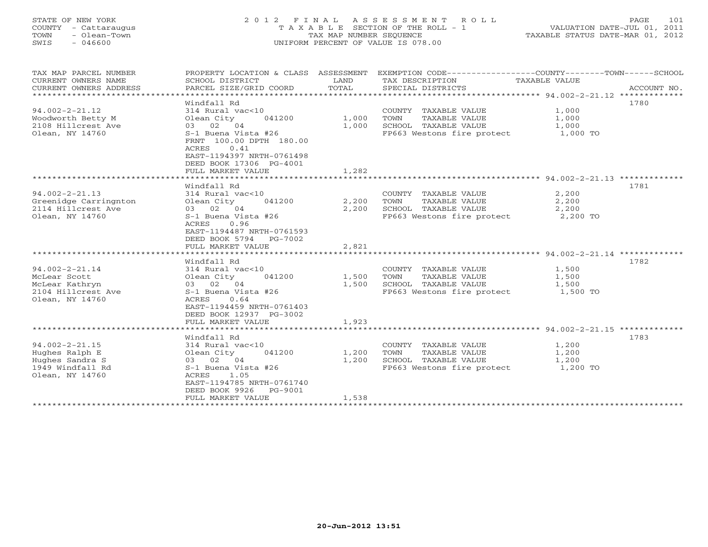#### STATE OF NEW YORK 2 0 1 2 F I N A L A S S E S S M E N T R O L L PAGE 101 COUNTY - Cattaraugus T A X A B L E SECTION OF THE ROLL - 1 VALUATION DATE-JUL 01, 2011 TOWN - Olean-Town TAX MAP NUMBER SEQUENCE TAXABLE STATUS DATE-MAR 01, 2012 SWIS - 046600 UNIFORM PERCENT OF VALUE IS 078.00UNIFORM PERCENT OF VALUE IS 078.00

| TAX MAP PARCEL NUMBER<br>CURRENT OWNERS NAME<br>CURRENT OWNERS ADDRESS | PROPERTY LOCATION & CLASS ASSESSMENT<br>SCHOOL DISTRICT<br>PARCEL SIZE/GRID COORD                                                            | LAND<br>TOTAL | TAX DESCRIPTION<br>SPECIAL DISTRICTS | EXEMPTION CODE-----------------COUNTY-------TOWN------SCHOOL<br>TAXABLE VALUE<br>ACCOUNT NO. |  |
|------------------------------------------------------------------------|----------------------------------------------------------------------------------------------------------------------------------------------|---------------|--------------------------------------|----------------------------------------------------------------------------------------------|--|
|                                                                        |                                                                                                                                              |               |                                      |                                                                                              |  |
|                                                                        | Windfall Rd                                                                                                                                  |               |                                      | 1780                                                                                         |  |
| $94.002 - 2 - 21.12$                                                   | 314 Rural vac<10                                                                                                                             |               | COUNTY TAXABLE VALUE                 | 1,000                                                                                        |  |
| Woodworth Betty M                                                      | Olean City<br>041200                                                                                                                         | 1,000         | TOWN<br>TAXABLE VALUE                | 1,000                                                                                        |  |
| 2108 Hillcrest Ave                                                     | 03 02 04                                                                                                                                     | 1,000         | SCHOOL TAXABLE VALUE                 | 1,000                                                                                        |  |
| Olean, NY 14760                                                        | S-1 Buena Vista #26<br>FRNT 100.00 DPTH 180.00<br>0.41<br>ACRES<br>EAST-1194397 NRTH-0761498<br>DEED BOOK 17306 PG-4001<br>FULL MARKET VALUE | 1,282         | FP663 Westons fire protect           | 1,000 TO                                                                                     |  |
|                                                                        |                                                                                                                                              |               |                                      |                                                                                              |  |
|                                                                        | Windfall Rd                                                                                                                                  |               |                                      | 1781                                                                                         |  |
| $94.002 - 2 - 21.13$                                                   | 314 Rural vac<10                                                                                                                             |               | COUNTY TAXABLE VALUE                 | 2,200                                                                                        |  |
| Greenidge Carringnton                                                  | Olean City<br>041200                                                                                                                         | 2,200         | TOWN<br>TAXABLE VALUE                | 2,200                                                                                        |  |
| 2114 Hillcrest Ave                                                     | 03 02 04                                                                                                                                     | 2,200         | SCHOOL TAXABLE VALUE                 | 2,200                                                                                        |  |
| Olean, NY 14760                                                        | S-1 Buena Vista #26                                                                                                                          |               | FP663 Westons fire protect           | 2,200 TO                                                                                     |  |
|                                                                        | ACRES<br>0.96<br>EAST-1194487 NRTH-0761593<br>DEED BOOK 5794<br>PG-7002                                                                      |               |                                      |                                                                                              |  |
|                                                                        | FULL MARKET VALUE                                                                                                                            | 2,821         |                                      |                                                                                              |  |
|                                                                        | ***********************                                                                                                                      | ***********   |                                      | ********************************* 94.002-2-21.14 **************                              |  |
|                                                                        | Windfall Rd                                                                                                                                  |               |                                      | 1782                                                                                         |  |
| $94.002 - 2 - 21.14$                                                   | 314 Rural vac<10                                                                                                                             |               | COUNTY TAXABLE VALUE                 | 1,500                                                                                        |  |
| McLear Scott                                                           | 041200<br>Olean City                                                                                                                         | 1,500         | TOWN<br>TAXABLE VALUE                | 1,500                                                                                        |  |
| McLear Kathryn                                                         | 03 02 04                                                                                                                                     | 1,500         | SCHOOL TAXABLE VALUE                 | 1,500                                                                                        |  |
| 2104 Hillcrest Ave<br>Olean, NY 14760                                  | S-1 Buena Vista #26<br>0.64<br>ACRES<br>EAST-1194459 NRTH-0761403<br>DEED BOOK 12937 PG-3002<br>FULL MARKET VALUE                            | 1,923         | FP663 Westons fire protect           | 1,500 TO                                                                                     |  |
|                                                                        |                                                                                                                                              |               |                                      |                                                                                              |  |
|                                                                        | Windfall Rd                                                                                                                                  |               |                                      | 1783                                                                                         |  |
| $94.002 - 2 - 21.15$                                                   | 314 Rural vac<10                                                                                                                             |               | COUNTY TAXABLE VALUE                 | 1,200                                                                                        |  |
| Hughes Ralph E                                                         | Olean City<br>041200                                                                                                                         | 1,200         | TAXABLE VALUE<br>TOWN                | 1,200                                                                                        |  |
| Hughes Sandra S                                                        | 03 02 04                                                                                                                                     | 1,200         | SCHOOL TAXABLE VALUE                 | 1,200                                                                                        |  |
| 1949 Windfall Rd                                                       | S-1 Buena Vista #26                                                                                                                          |               | FP663 Westons fire protect           | 1,200 TO                                                                                     |  |
| Olean, NY 14760                                                        | ACRES<br>1.05<br>EAST-1194785 NRTH-0761740<br>DEED BOOK 9926<br>PG-9001                                                                      |               |                                      |                                                                                              |  |
|                                                                        | FULL MARKET VALUE                                                                                                                            | 1,538         |                                      |                                                                                              |  |
| *************************                                              |                                                                                                                                              |               |                                      |                                                                                              |  |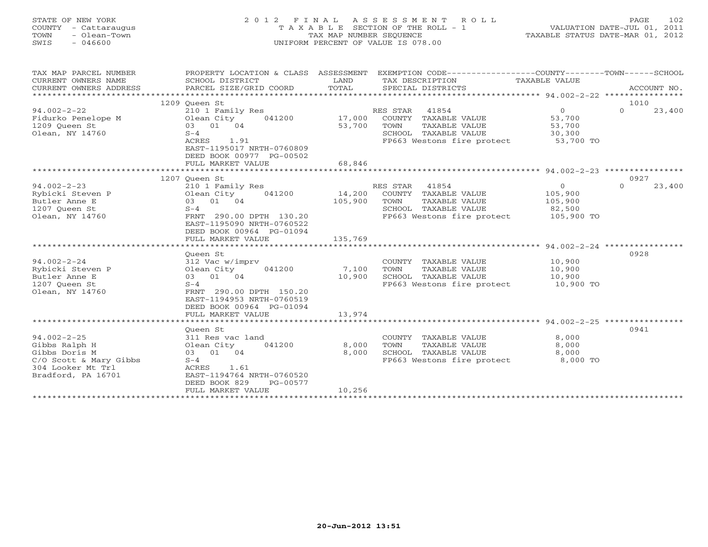### STATE OF NEW YORK 2 0 1 2 F I N A L A S S E S S M E N T R O L L PAGE 102 COUNTY - Cattaraugus T A X A B L E SECTION OF THE ROLL - 1 VALUATION DATE-JUL 01, 2011 TOWN - Olean-Town TAX MAP NUMBER SEQUENCE TAXABLE STATUS DATE-MAR 01, 2012<br>TAXABLE STATUS DATE-MAR 01, 2012 SWIS - 046600 UNIFORM PERCENT OF VALUE IS 078.00

TAX MAP PARCEL NUMBER PROPERTY LOCATION & CLASS ASSESSMENT EXEMPTION CODE----------------COUNTY-------TOWN------SCHOOL

| CURRENT OWNERS NAME    | SCHOOL DISTRICT                      | LAND    | TAX DESCRIPTION            | TAXABLE VALUE  |                    |
|------------------------|--------------------------------------|---------|----------------------------|----------------|--------------------|
| CURRENT OWNERS ADDRESS | PARCEL SIZE/GRID COORD               | TOTAL   | SPECIAL DISTRICTS          |                | ACCOUNT NO.        |
|                        |                                      |         |                            |                |                    |
|                        | 1209 Queen St                        |         |                            |                | 1010               |
| $94.002 - 2 - 22$      | 210 1 Family Res                     |         | RES STAR 41854             | $\overline{0}$ | 23,400<br>$\Omega$ |
|                        | 041200                               | 17,000  | COUNTY TAXABLE VALUE       | 53,700         |                    |
| 1209 Queen St          | 03 01 04                             | 53,700  | TOWN<br>TAXABLE VALUE      | 53,700         |                    |
| Olean, NY 14760        | $S-4$                                |         | SCHOOL TAXABLE VALUE       | 30,300         |                    |
|                        | ACRES<br>1.91                        |         | FP663 Westons fire protect | 53,700 TO      |                    |
|                        | EAST-1195017 NRTH-0760809            |         |                            |                |                    |
|                        | DEED BOOK 00977 PG-00502             |         |                            |                |                    |
|                        | FULL MARKET VALUE                    | 68,846  |                            |                |                    |
|                        | ******************<br>************** |         |                            |                |                    |
|                        | 1207 Oueen St                        |         |                            |                | 0927               |
| $94.002 - 2 - 23$      | 210 1 Family Res                     |         | RES STAR<br>41854          | $\overline{0}$ | 23,400<br>$\Omega$ |
| Rybicki Steven P       | 041200<br>Olean City                 | 14,200  | COUNTY TAXABLE VALUE       | 105,900        |                    |
| Butler Anne E          | 03 01 04                             | 105,900 | TOWN<br>TAXABLE VALUE      | 105,900        |                    |
| 1207 Queen St          | $S-4$                                |         | SCHOOL TAXABLE VALUE       | 82,500         |                    |
| Olean, NY 14760        | FRNT 290.00 DPTH 130.20              |         | FP663 Westons fire protect | 105,900 TO     |                    |
|                        | EAST-1195090 NRTH-0760522            |         |                            |                |                    |
|                        | DEED BOOK 00964 PG-01094             |         |                            |                |                    |
|                        | FULL MARKET VALUE                    | 135,769 |                            |                |                    |
|                        |                                      |         |                            |                |                    |
|                        | Oueen St                             |         |                            |                | 0928               |
| $94.002 - 2 - 24$      | 312 Vac w/imprv                      |         | COUNTY TAXABLE VALUE       | 10,900         |                    |
| Rybicki Steven P       |                                      | 7,100   | TOWN<br>TAXABLE VALUE      | 10,900         |                    |
|                        | Olean City 041200<br>03 01 04        | 10,900  | SCHOOL TAXABLE VALUE       |                |                    |
| Butler Anne E          |                                      |         |                            | 10,900         |                    |
| 1207 Oueen St          | $S-4$                                |         | FP663 Westons fire protect | 10,900 TO      |                    |
| Olean, NY 14760        | FRNT 290.00 DPTH 150.20              |         |                            |                |                    |
|                        | EAST-1194953 NRTH-0760519            |         |                            |                |                    |
|                        | DEED BOOK 00964 PG-01094             |         |                            |                |                    |
|                        | FULL MARKET VALUE                    | 13,974  |                            |                |                    |
|                        |                                      |         |                            |                |                    |
|                        | Oueen St                             |         |                            |                | 0941               |
| $94.002 - 2 - 25$      | 311 Res vac land                     |         | COUNTY TAXABLE VALUE       | 8,000          |                    |
| Gibbs Ralph H          | 041200<br>Olean City                 | 8,000   | TOWN<br>TAXABLE VALUE      | 8,000          |                    |
| Gibbs Doris M          | 03 01 04                             | 8,000   | SCHOOL TAXABLE VALUE       | 8,000          |                    |
| C/O Scott & Mary Gibbs | $S-4$                                |         | FP663 Westons fire protect | 8,000 TO       |                    |
| 304 Looker Mt Trl      | ACRES<br>1.61                        |         |                            |                |                    |
| Bradford, PA 16701     | EAST-1194764 NRTH-0760520            |         |                            |                |                    |
|                        | DEED BOOK 829<br>PG-00577            |         |                            |                |                    |
|                        | FULL MARKET VALUE                    | 10,256  |                            |                |                    |
|                        |                                      |         |                            |                |                    |
|                        |                                      |         |                            |                |                    |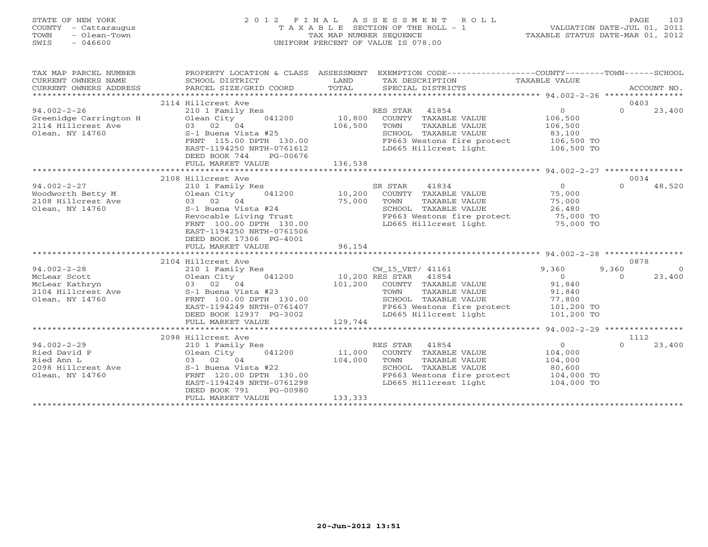### STATE OF NEW YORK 2 0 1 2 F I N A L A S S E S S M E N T R O L L PAGE 103 COUNTY - Cattaraugus T A X A B L E SECTION OF THE ROLL - 1 VALUATION DATE-JUL 01, 2011 TOWN - Olean-Town TAX MAP NUMBER SEQUENCE TAXABLE STATUS DATE-MAR 01, 2012 SWIS - 046600 UNIFORM PERCENT OF VALUE IS 078.00UNIFORM PERCENT OF VALUE IS 078.00

| TAX MAP PARCEL NUMBER<br>CURRENT OWNERS NAME<br>CURRENT OWNERS ADDRESS               | SCHOOL DISTRICT<br>PARCEL SIZE/GRID COORD                                                                                                                                                          | LAND<br>TOTAL      | PROPERTY LOCATION & CLASS ASSESSMENT EXEMPTION CODE---------------COUNTY-------TOWN------SCHOOL<br>TAX DESCRIPTION TAXABLE VALUE<br>SPECIAL DISTRICTS     |                                                                             | ACCOUNT NO.                                           |
|--------------------------------------------------------------------------------------|----------------------------------------------------------------------------------------------------------------------------------------------------------------------------------------------------|--------------------|-----------------------------------------------------------------------------------------------------------------------------------------------------------|-----------------------------------------------------------------------------|-------------------------------------------------------|
|                                                                                      | 2114 Hillcrest Ave                                                                                                                                                                                 |                    |                                                                                                                                                           |                                                                             | 0403                                                  |
| $94.002 - 2 - 26$<br>Greenidge Carrington H<br>2114 Hillcrest Ave<br>Olean, NY 14760 | 210 1 Family Res<br>041200 10,800<br>Olean City<br>03 02 04<br>S-1 Buena Vista #25<br>FRNT 115.00 DPTH 130.00<br>EAST-1194250 NRTH-0761612<br>DEED BOOK 744<br>PG-00676<br>FULL MARKET VALUE       | 106,500<br>136,538 | RES STAR 41854<br>COUNTY TAXABLE VALUE<br>TOWN<br>TAXABLE VALUE<br>SCHOOL TAXABLE VALUE<br>FP663 Westons fire protect 106,500 TO<br>LD665 Hillcrest light | $\Omega$<br>106,500<br>106,500<br>83,100<br>106,500 TO                      | $\Omega$<br>23,400                                    |
|                                                                                      |                                                                                                                                                                                                    |                    |                                                                                                                                                           |                                                                             |                                                       |
| $94.002 - 2 - 27$<br>Olean, NY 14760                                                 | 2108 Hillcrest Ave<br>210 1 Family Res<br>041200<br>Olean City<br>S-1 Buena Vista #24<br>Revocable Living Trust<br>FRNT 100.00 DPTH 130.00<br>EAST-1194250 NRTH-0761506<br>DEED BOOK 17306 PG-4001 | 10,200<br>75,000   | SR STAR<br>41834<br>COUNTY TAXABLE VALUE<br>TOWN<br>TAXABLE VALUE<br>SCHOOL TAXABLE VALUE<br>FP663 Westons fire protect<br>LD665 Hillcrest light          | $\overline{0}$<br>75,000<br>75,000<br>26,480<br>cect 75,000 TO<br>75,000 TO | 0034<br>48,520<br>$\Omega$                            |
|                                                                                      | FULL MARKET VALUE                                                                                                                                                                                  | 96,154             |                                                                                                                                                           |                                                                             |                                                       |
|                                                                                      |                                                                                                                                                                                                    |                    |                                                                                                                                                           |                                                                             |                                                       |
| $94.002 - 2 - 28$<br>Olean, NY 14760                                                 | 2104 Hillcrest Ave<br>210 1 Family Res<br>041200<br>FRNT 100.00 DPTH 130.00                                                                                                                        |                    | CW_15_VET/ 41161<br>10,200 RES STAR 41854<br>101,200 COUNTY TAXABLE VALUE<br>TOWN<br>TAXABLE VALUE<br>SCHOOL TAXABLE VALUE                                | 9,360<br>$\overline{0}$<br>91,840<br>91,840<br>77,800                       | 0878<br>9,360<br>$\overline{0}$<br>23,400<br>$\Omega$ |
|                                                                                      | EAST-1194249 NRTH-0761407<br>DEED BOOK 12937 PG-3002<br>FULL MARKET VALUE                                                                                                                          | 129,744            | FP663 Westons fire protect<br>LD665 Hillcrest light                                                                                                       | 101,200 TO<br>101,200 TO                                                    |                                                       |
|                                                                                      |                                                                                                                                                                                                    |                    |                                                                                                                                                           |                                                                             |                                                       |
|                                                                                      | 2098 Hillcrest Ave                                                                                                                                                                                 |                    |                                                                                                                                                           |                                                                             | 1112                                                  |
| $94.002 - 2 - 29$                                                                    | 210 1 Family Res<br>Olean City 041200<br>FRNT 120.00 DPTH 130.00<br>EAST-1194249 NRTH-0761298<br>DEED BOOK 791<br>PG-00980                                                                         | 11,000<br>104,000  | RES STAR 41854<br>COUNTY TAXABLE VALUE<br>TOWN<br>TAXABLE VALUE<br>SCHOOL TAXABLE VALUE<br>FP663 Westons fire protect 104,000 TO<br>LD665 Hillcrest light | $0 \qquad \qquad$<br>104,000<br>104,000<br>80,600<br>$104,000$ TO           | $\Omega$<br>23,400                                    |
|                                                                                      | FULL MARKET VALUE                                                                                                                                                                                  | 133,333            |                                                                                                                                                           |                                                                             |                                                       |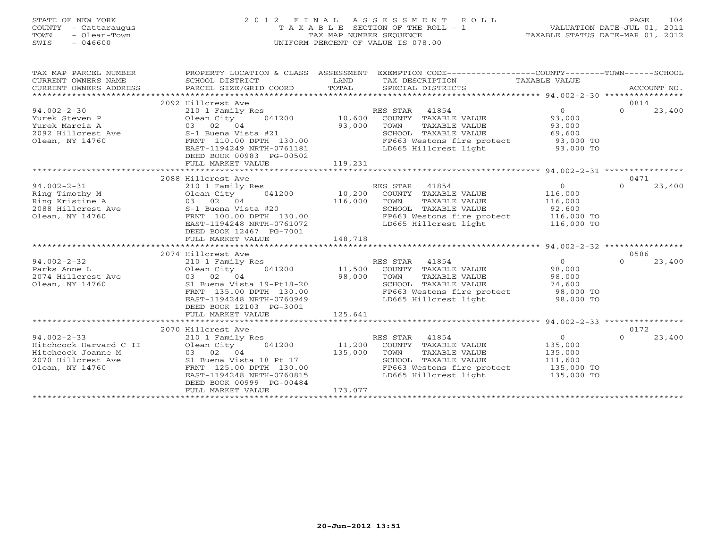### STATE OF NEW YORK 2 0 1 2 F I N A L A S S E S S M E N T R O L L PAGE 104 COUNTY - Cattaraugus T A X A B L E SECTION OF THE ROLL - 1 VALUATION DATE-JUL 01, 2011 TOWN - Olean-Town TAX MAP NUMBER SEQUENCE TAXABLE STATUS DATE-MAR 01, 2012 SWIS - 046600 UNIFORM PERCENT OF VALUE IS 078.00UNIFORM PERCENT OF VALUE IS 078.00

| TAX MAP PARCEL NUMBER<br>CURRENT OWNERS NAME<br>CURRENT OWNERS ADDRESS<br>***********************          | PROPERTY LOCATION & CLASS ASSESSMENT<br>SCHOOL DISTRICT<br>PARCEL SIZE/GRID COORD                                                                                                                                                     | LAND<br>TOTAL                | EXEMPTION CODE-----------------COUNTY-------TOWN-----SCHOOL<br>TAX DESCRIPTION<br>SPECIAL DISTRICTS                                            | TAXABLE VALUE                                                         | ACCOUNT NO.                |
|------------------------------------------------------------------------------------------------------------|---------------------------------------------------------------------------------------------------------------------------------------------------------------------------------------------------------------------------------------|------------------------------|------------------------------------------------------------------------------------------------------------------------------------------------|-----------------------------------------------------------------------|----------------------------|
| $94.002 - 2 - 30$<br>Yurek Steven P<br>Yurek Marcia A<br>2092 Hillcrest Ave<br>Olean, NY 14760             | 2092 Hillcrest Ave<br>210 1 Family Res<br>Olean City<br>041200<br>03 02 04<br>S-1 Buena Vista #21<br>FRNT 110.00 DPTH 130.00<br>EAST-1194249 NRTH-0761181<br>DEED BOOK 00983 PG-00502<br>FULL MARKET VALUE                            | 10,600<br>93,000<br>119,231  | RES STAR 41854<br>COUNTY TAXABLE VALUE<br>TOWN<br>TAXABLE VALUE<br>SCHOOL TAXABLE VALUE<br>FP663 Westons fire protect<br>LD665 Hillcrest light | $\Omega$<br>93,000<br>93,000<br>69,600<br>93,000 TO<br>93,000 TO      | 0814<br>$\Omega$<br>23,400 |
|                                                                                                            |                                                                                                                                                                                                                                       |                              |                                                                                                                                                |                                                                       |                            |
| $94.002 - 2 - 31$<br>Ring Timothy M                                                                        | 2088 Hillcrest Ave<br>210 1 Family Res<br>Olean City<br>041200                                                                                                                                                                        | 10,200                       | RES STAR 41854<br>COUNTY TAXABLE VALUE                                                                                                         | $\overline{0}$<br>116,000                                             | 0471<br>$\Omega$<br>23,400 |
| Ring Kristine A<br>2088 Hillcrest Ave<br>Olean, NY 14760                                                   | 03 02 04<br>S-1 Buena Vista #20<br>FRNT 100.00 DPTH 130.00<br>EAST-1194248 NRTH-0761072<br>DEED BOOK 12467 PG-7001<br>FULL MARKET VALUE                                                                                               | 116,000<br>148,718           | TOWN<br>TAXABLE VALUE<br>SCHOOL TAXABLE VALUE<br>FP663 Westons fire protect<br>LD665 Hillcrest light                                           | 116,000<br>92,600<br>116,000 TO<br>116,000 TO                         |                            |
|                                                                                                            |                                                                                                                                                                                                                                       |                              |                                                                                                                                                |                                                                       |                            |
| $94.002 - 2 - 32$<br>Parks Anne L<br>2074 Hillcrest Ave<br>Olean, NY 14760                                 | 2074 Hillcrest Ave<br>210 1 Family Res<br>Olean City<br>041200<br>03 02 04<br>S1 Buena Vista 19-Pt18-20<br>FRNT 135.00 DPTH 130.00<br>EAST-1194248 NRTH-0760949<br>DEED BOOK 12103 PG-3001<br>FULL MARKET VALUE                       | 11,500<br>98,000<br>125,641  | RES STAR 41854<br>COUNTY TAXABLE VALUE<br>TOWN<br>TAXABLE VALUE<br>SCHOOL TAXABLE VALUE<br>FP663 Westons fire protect<br>LD665 Hillcrest light | $\Omega$<br>98,000<br>98,000<br>74,600<br>98,000 TO<br>98,000 TO      | 0586<br>$\Omega$<br>23,400 |
|                                                                                                            |                                                                                                                                                                                                                                       |                              |                                                                                                                                                |                                                                       |                            |
| $94.002 - 2 - 33$<br>Hitchcock Harvard C II<br>Hitchcock Joanne M<br>2070 Hillcrest Ave<br>Olean, NY 14760 | 2070 Hillcrest Ave<br>210 1 Family Res<br>Olean City<br>041200<br>03 02 04<br>S1 Buena Vista 18 Pt 17<br>FRNT 125.00 DPTH 130.00<br>EAST-1194248 NRTH-0760815<br>DEED BOOK 00999 PG-00484<br>FULL MARKET VALUE<br>******************* | 11,200<br>135,000<br>173,077 | RES STAR 41854<br>COUNTY TAXABLE VALUE<br>TOWN<br>TAXABLE VALUE<br>SCHOOL TAXABLE VALUE<br>FP663 Westons fire protect<br>LD665 Hillcrest light | $\Omega$<br>135,000<br>135,000<br>111,600<br>135,000 TO<br>135,000 TO | 0172<br>$\Omega$<br>23,400 |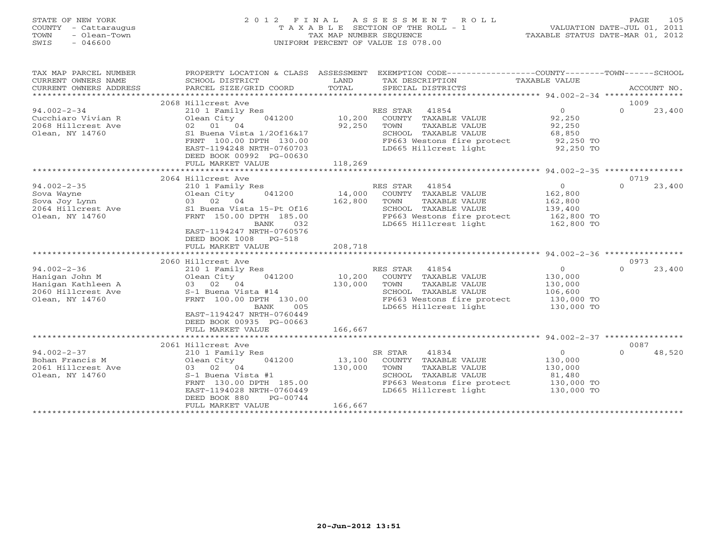### STATE OF NEW YORK 2 0 1 2 F I N A L A S S E S S M E N T R O L L PAGE 105 COUNTY - Cattaraugus T A X A B L E SECTION OF THE ROLL - 1 VALUATION DATE-JUL 01, 2011 TOWN - Olean-Town TAX MAP NUMBER SEQUENCE TAXABLE STATUS DATE-MAR 01, 2012 SWIS - 046600 UNIFORM PERCENT OF VALUE IS 078.00UNIFORM PERCENT OF VALUE IS 078.00

| TAX MAP PARCEL NUMBER<br>EXEMPTION CODE-----------------COUNTY-------TOWN------SCHOOL<br>PROPERTY LOCATION & CLASS ASSESSMENT<br>TAX DESCRIPTION TAXABLE VALUE<br>CURRENT OWNERS NAME<br>SCHOOL DISTRICT<br>LAND<br>TOTAL<br>CURRENT OWNERS ADDRESS<br>PARCEL SIZE/GRID COORD<br>SPECIAL DISTRICTS                                                                                                                                                                                                                                                                                                                                                                                                                                                                                                                                                                                                                                                                                                                                                                                                         | ACCOUNT NO.              |
|------------------------------------------------------------------------------------------------------------------------------------------------------------------------------------------------------------------------------------------------------------------------------------------------------------------------------------------------------------------------------------------------------------------------------------------------------------------------------------------------------------------------------------------------------------------------------------------------------------------------------------------------------------------------------------------------------------------------------------------------------------------------------------------------------------------------------------------------------------------------------------------------------------------------------------------------------------------------------------------------------------------------------------------------------------------------------------------------------------|--------------------------|
|                                                                                                                                                                                                                                                                                                                                                                                                                                                                                                                                                                                                                                                                                                                                                                                                                                                                                                                                                                                                                                                                                                            |                          |
| 2068 Hillcrest Ave<br>$\overline{O}$<br>$\Omega$<br>$94.002 - 2 - 34$<br>RES STAR<br>41854<br>210 1 Family Res<br>Cucchiaro Vivian R<br>Olean City<br>041200<br>10,200<br>COUNTY TAXABLE VALUE<br>92,250<br>92,250<br>2068 Hillcrest Ave<br>02 01 04<br>TAXABLE VALUE<br>92,250<br>TOWN<br>Olean, NY 14760<br>S1 Buena Vista 1/20f16&17<br>SCHOOL TAXABLE VALUE<br>68,850<br>FP663 Westons fire protect<br>FRNT 100.00 DPTH 130.00<br>92,250 TO<br>LD665 Hillcrest light<br>92,250 TO<br>EAST-1194248 NRTH-0760703<br>DEED BOOK 00992 PG-00630                                                                                                                                                                                                                                                                                                                                                                                                                                                                                                                                                             | 1009<br>23,400           |
| 118,269<br>FULL MARKET VALUE                                                                                                                                                                                                                                                                                                                                                                                                                                                                                                                                                                                                                                                                                                                                                                                                                                                                                                                                                                                                                                                                               |                          |
|                                                                                                                                                                                                                                                                                                                                                                                                                                                                                                                                                                                                                                                                                                                                                                                                                                                                                                                                                                                                                                                                                                            |                          |
| 2064 Hillcrest Ave                                                                                                                                                                                                                                                                                                                                                                                                                                                                                                                                                                                                                                                                                                                                                                                                                                                                                                                                                                                                                                                                                         | 0719                     |
| $94.002 - 2 - 35$<br>$\overline{0}$<br>$\Omega$<br>210 1 Family Res<br>RES STAR 41854<br>041200<br>14,000<br>Sova Wayne<br>Olean City<br>COUNTY TAXABLE VALUE<br>162,800<br>03 02 04<br>162,800<br>162,800<br>Sova Joy Lynn<br>TOWN<br>TAXABLE VALUE<br>2064 Hillcrest Ave 31 Buena Vista 15-Pt 0f16<br>SCHOOL TAXABLE VALUE<br>139,400<br>FRNT 150.00 DPTH 185.00<br>FP663 Westons fire protect<br>Olean, NY 14760<br>162,800 TO<br>032<br>LD665 Hillcrest light<br>BANK<br>162,800 TO<br>EAST-1194247 NRTH-0760576<br>DEED BOOK 1008<br>PG-518<br>208,718<br>FULL MARKET VALUE<br>2060 Hillcrest Ave<br>$94.002 - 2 - 36$<br>41854<br>$\overline{0}$<br>210 1 Family Res<br>RES STAR<br>$\Omega$<br>10,200<br>130,000<br>Hanigan John M<br>Olean City<br>041200<br>COUNTY TAXABLE VALUE<br>Hanigan Kathleen A<br>03 02 04<br>130,000<br>TAXABLE VALUE<br>130,000<br>TOWN<br>S-1 Buena Vista #14<br>SCHOOL TAXABLE VALUE<br>2060 Hillcrest Ave<br>106,600<br>Olean, NY 14760<br>FRNT 100.00 DPTH 130.00<br>FP663 Westons fire protect<br>130,000 TO<br>LD665 Hillcrest light<br>005<br>130,000 TO<br>BANK | 23,400<br>0973<br>23,400 |
| EAST-1194247 NRTH-0760449<br>DEED BOOK 00935 PG-00663<br>166,667<br>FULL MARKET VALUE                                                                                                                                                                                                                                                                                                                                                                                                                                                                                                                                                                                                                                                                                                                                                                                                                                                                                                                                                                                                                      |                          |
| 2061 Hillcrest Ave                                                                                                                                                                                                                                                                                                                                                                                                                                                                                                                                                                                                                                                                                                                                                                                                                                                                                                                                                                                                                                                                                         | 0087                     |
| $94.002 - 2 - 37$<br>41834<br>$\circ$<br>210 1 Family Res<br>SR STAR<br>$\Omega$<br>13,100<br>Bohan Francis M<br>041200<br>COUNTY TAXABLE VALUE<br>130,000<br>Olean City<br>2061 Hillcrest Ave<br>130,000<br>03 02 04<br>TOWN<br>TAXABLE VALUE<br>130,000<br>Olean, NY 14760<br>S-1 Buena Vista #1<br>SCHOOL TAXABLE VALUE<br>81,480<br>FP663 Westons fire protect<br>FRNT 130.00 DPTH 185.00<br>130,000 TO<br>LD665 Hillcrest light<br>EAST-1194028 NRTH-0760449<br>130,000 TO<br>DEED BOOK 880<br>PG-00744                                                                                                                                                                                                                                                                                                                                                                                                                                                                                                                                                                                               | 48,520                   |
| 166,667<br>FULL MARKET VALUE                                                                                                                                                                                                                                                                                                                                                                                                                                                                                                                                                                                                                                                                                                                                                                                                                                                                                                                                                                                                                                                                               |                          |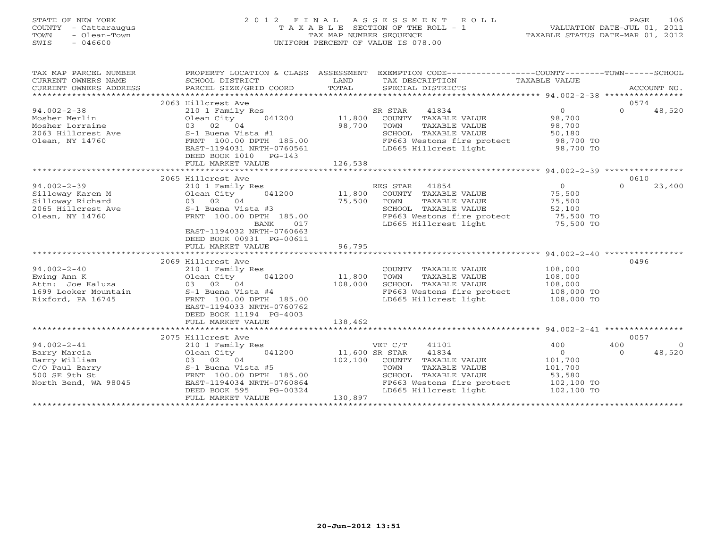### STATE OF NEW YORK 2 0 1 2 F I N A L A S S E S S M E N T R O L L PAGE 106 COUNTY - Cattaraugus T A X A B L E SECTION OF THE ROLL - 1 VALUATION DATE-JUL 01, 2011 TOWN - Olean-Town TAX MAP NUMBER SEQUENCE TAXABLE STATUS DATE-MAR 01, 2012 SWIS - 046600 UNIFORM PERCENT OF VALUE IS 078.00UNIFORM PERCENT OF VALUE IS 078.00

| TAX MAP PARCEL NUMBER<br>CURRENT OWNERS NAME<br>CURRENT OWNERS ADDRESS | PROPERTY LOCATION & CLASS ASSESSMENT                 |                | EXEMPTION CODE----------------COUNTY-------TOWN-----SCHOOL |                     |                    |
|------------------------------------------------------------------------|------------------------------------------------------|----------------|------------------------------------------------------------|---------------------|--------------------|
|                                                                        | 2063 Hillcrest Ave                                   |                |                                                            |                     | 0574               |
| $94.002 - 2 - 38$                                                      | 210 1 Family Res                                     |                | SR STAR<br>41834                                           | $\overline{0}$      | $\Omega$<br>48,520 |
| Mosher Merlin                                                          | 041200 11,800<br>Olean City                          |                | COUNTY TAXABLE VALUE                                       | 98,700              |                    |
| Mosher Lorraine                                                        | 03 02 04                                             | 98,700         | TOWN<br>TAXABLE VALUE                                      | 98,700              |                    |
| 2063 Hillcrest Ave 5-1 Buena Vista #1                                  |                                                      |                | SCHOOL TAXABLE VALUE                                       | 50,180              |                    |
| Olean, NY 14760                                                        | FRNT 100.00 DPTH 185.00                              |                | FP663 Westons fire protect 98,700 TO                       |                     |                    |
|                                                                        | EAST-1194031 NRTH-0760561                            |                | LD665 Hillcrest light                                      | 98,700 TO           |                    |
|                                                                        | DEED BOOK 1010 PG-143                                |                |                                                            |                     |                    |
|                                                                        | FULL MARKET VALUE                                    | 126,538        |                                                            |                     |                    |
|                                                                        |                                                      |                |                                                            |                     |                    |
|                                                                        | 2065 Hillcrest Ave                                   |                |                                                            |                     | 0610               |
| $94.002 - 2 - 39$                                                      | 210 1 Family Res                                     |                | RES STAR 41854                                             | $\overline{0}$      | $\Omega$<br>23,400 |
| Silloway Karen M                                                       | 210 1 Family<br>Olean City<br>03 02 04<br>Olean City |                |                                                            | 75,500              |                    |
| Silloway Richard                                                       |                                                      | 75,500         | TAXABLE VALUE<br>TOWN                                      | 75,500              |                    |
| 2065 Hillcrest Ave S-1 Buena Vista #3                                  |                                                      |                | SCHOOL TAXABLE VALUE                                       | 52,100<br>75,500 TO |                    |
| Olean, NY 14760                                                        | FRNT 100.00 DPTH 185.00                              |                | FP663 Westons fire protect                                 |                     |                    |
|                                                                        | BANK                                                 | 017 017        | LD665 Hillcrest light                                      | ----<br>75,500 TO   |                    |
|                                                                        | EAST-1194032 NRTH-0760663                            |                |                                                            |                     |                    |
|                                                                        | DEED BOOK 00931 PG-00611                             |                |                                                            |                     |                    |
|                                                                        | FULL MARKET VALUE                                    | 96,795         |                                                            |                     |                    |
|                                                                        |                                                      |                |                                                            |                     | 0496               |
| $94.002 - 2 - 40$                                                      | 2069 Hillcrest Ave                                   |                |                                                            | 108,000             |                    |
| Ewing Ann K                                                            | 210 1 Family Res<br>Olean City 041200                | 11,800         | COUNTY TAXABLE VALUE<br>TOWN<br>TAXABLE VALUE              | 108,000             |                    |
| Attn: Joe Kaluza                                                       | 03 02 04                                             | 108,000        | SCHOOL TAXABLE VALUE                                       | 108,000             |                    |
| 1699 Looker Mountain S-1 Buena Vista #4                                |                                                      |                | FP663 Westons fire protect 108,000 TO                      |                     |                    |
| Rixford, PA 16745                                                      | FRNT 100.00 DPTH 185.00                              |                | LD665 Hillcrest light                                      | 108,000 TO          |                    |
|                                                                        | EAST-1194033 NRTH-0760762                            |                |                                                            |                     |                    |
|                                                                        | DEED BOOK 11194 PG-4003                              |                |                                                            |                     |                    |
|                                                                        | FULL MARKET VALUE                                    | 138,462        |                                                            |                     |                    |
|                                                                        |                                                      |                |                                                            |                     |                    |
|                                                                        | 2075 Hillcrest Ave                                   |                |                                                            |                     | 0057               |
| $94.002 - 2 - 41$                                                      | 210 1 Family Res                                     |                | VET C/T<br>41101                                           | 400                 | 400<br>$\bigcirc$  |
| Barry Marcia                                                           | Olean City 041200                                    | 11,600 SR STAR | 41834                                                      | $\overline{0}$      | $\Omega$<br>48,520 |
| Barry William                                                          | 03 02 04                                             |                | 102,100 COUNTY TAXABLE VALUE                               | 101,700             |                    |
| C/O Paul Barry                                                         |                                                      |                | TOWN<br>TAXABLE VALUE                                      | 101,700             |                    |
| 500 SE 9th St                                                          | S-1 Buena Vista #5<br>FRNT 100.00 DPTH 185.00        |                | SCHOOL TAXABLE VALUE                                       | 53,580              |                    |
| North Bend, WA 98045                                                   | EAST-1194034 NRTH-0760864                            |                | FP663 Westons fire protect                                 | 102,100 TO          |                    |
|                                                                        | DEED BOOK 595<br>$PG-00324$                          |                | LD665 Hillcrest light                                      | 102,100 TO          |                    |
|                                                                        | FULL MARKET VALUE                                    | 130,897        |                                                            |                     |                    |
|                                                                        |                                                      |                |                                                            |                     |                    |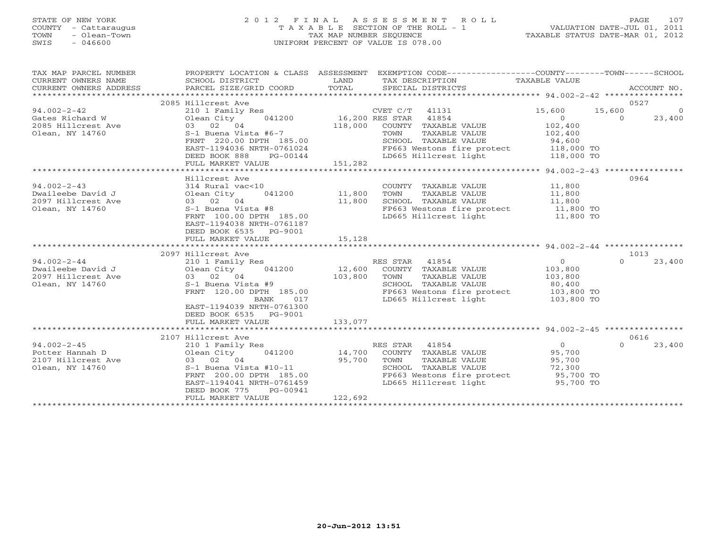### STATE OF NEW YORK 2 0 1 2 F I N A L A S S E S S M E N T R O L L PAGE 107 COUNTY - Cattaraugus T A X A B L E SECTION OF THE ROLL - 1 VALUATION DATE-JUL 01, 2011 TOWN - Olean-Town TAX MAP NUMBER SEQUENCE TAXABLE STATUS DATE-MAR 01, 2012 SWIS - 046600 UNIFORM PERCENT OF VALUE IS 078.00UNIFORM PERCENT OF VALUE IS 078.00

| TAX MAP PARCEL NUMBER<br>CURRENT OWNERS NAME<br>CURRENT OWNERS ADDRESS | SCHOOL DISTRICT<br>PARCEL SIZE/GRID COORD            | LAND<br>TOTAL | PROPERTY LOCATION & CLASS ASSESSMENT EXEMPTION CODE----------------COUNTY-------TOWN------SCHOOL<br>TAX DESCRIPTION TAXABLE VALUE<br>SPECIAL DISTRICTS |                        | ACCOUNT NO.              |
|------------------------------------------------------------------------|------------------------------------------------------|---------------|--------------------------------------------------------------------------------------------------------------------------------------------------------|------------------------|--------------------------|
|                                                                        | 2085 Hillcrest Ave                                   |               |                                                                                                                                                        |                        | 0527                     |
| $94.002 - 2 - 42$                                                      | 210 1 Family Res                                     |               | CVET C/T 41131                                                                                                                                         | 15,600                 | 15,600<br>$\overline{0}$ |
| Gates Richard W                                                        | 041200<br>Olean City                                 |               | 16,200 RES STAR 41854                                                                                                                                  | $\circ$                | 23,400<br>$\Omega$       |
| 2085 Hillcrest Ave                                                     | 03 02 04                                             | 118,000       | COUNTY TAXABLE VALUE                                                                                                                                   | 102,400                |                          |
| Olean, NY 14760                                                        | S-1 Buena Vista #6-7                                 |               | TOWN<br>TAXABLE VALUE                                                                                                                                  | 102,400                |                          |
|                                                                        | FRNT 220.00 DPTH 185.00                              |               | SCHOOL TAXABLE VALUE                                                                                                                                   | 94,600                 |                          |
|                                                                        | EAST-1194036 NRTH-0761024                            |               | FP663 Westons fire protect 118,000 TO                                                                                                                  |                        |                          |
|                                                                        | DEED BOOK 888<br>PG-00144                            |               | LD665 Hillcrest light                                                                                                                                  | 118,000 TO             |                          |
|                                                                        | FULL MARKET VALUE                                    | 151,282       |                                                                                                                                                        |                        |                          |
|                                                                        |                                                      |               |                                                                                                                                                        |                        |                          |
|                                                                        | Hillcrest Ave                                        |               |                                                                                                                                                        |                        | 0964                     |
| $94.002 - 2 - 43$                                                      | 314 Rural vac<10                                     |               | COUNTY TAXABLE VALUE                                                                                                                                   | 11,800                 |                          |
| Dwaileebe David J                                                      | 041200<br>Olean City                                 | 11,800        | TOWN<br>TAXABLE VALUE                                                                                                                                  | 11,800                 |                          |
| 2097 Hillcrest Ave                                                     | 03 02 04                                             | 11,800        | SCHOOL TAXABLE VALUE                                                                                                                                   | 11,800                 |                          |
| Olean, NY 14760                                                        | S-1 Buena Vista #8                                   |               | FP663 Westons fire protect 11,800 TO                                                                                                                   |                        |                          |
|                                                                        | FRNT 100.00 DPTH 185.00                              |               | LD665 Hillcrest light                                                                                                                                  | 11,800 TO              |                          |
|                                                                        | EAST-1194038 NRTH-0761187                            |               |                                                                                                                                                        |                        |                          |
|                                                                        | DEED BOOK 6535<br>PG-9001<br>FULL MARKET VALUE       | 15,128        |                                                                                                                                                        |                        |                          |
|                                                                        |                                                      |               |                                                                                                                                                        |                        |                          |
|                                                                        | 2097 Hillcrest Ave                                   |               |                                                                                                                                                        |                        | 1013                     |
| $94.002 - 2 - 44$                                                      | 210 1 Family Res                                     |               | RES STAR 41854                                                                                                                                         | $\Omega$               | $\Omega$<br>23,400       |
| Dwaileebe David J                                                      | 041200<br>Olean City                                 | 12,600        | COUNTY TAXABLE VALUE                                                                                                                                   | 103,800                |                          |
| 2097 Hillcrest Ave                                                     | $03$ $02$ $04$                                       | 103,800       | TOWN<br>TAXABLE VALUE                                                                                                                                  | 103,800                |                          |
| Olean, NY 14760                                                        | S-1 Buena Vista #9                                   |               | SCHOOL TAXABLE VALUE                                                                                                                                   | 80,400                 |                          |
|                                                                        | FRNT 120.00 DPTH 185.00                              |               | FP663 Westons fire protect                                                                                                                             | 103,800 TO             |                          |
|                                                                        | <b>BANK</b><br>017                                   |               | LD665 Hillcrest light                                                                                                                                  | 103,800 TO             |                          |
|                                                                        | EAST-1194039 NRTH-0761300                            |               |                                                                                                                                                        |                        |                          |
|                                                                        | DEED BOOK 6535 PG-9001                               |               |                                                                                                                                                        |                        |                          |
|                                                                        | FULL MARKET VALUE                                    | 133,077       |                                                                                                                                                        |                        |                          |
|                                                                        |                                                      |               |                                                                                                                                                        |                        |                          |
|                                                                        | 2107 Hillcrest Ave                                   |               |                                                                                                                                                        |                        | 0616                     |
| $94.002 - 2 - 45$                                                      | 210 1 Family Res                                     |               | RES STAR 41854                                                                                                                                         | $\Omega$               | $\Omega$<br>23,400       |
| Potter Hannah D                                                        | Olean City<br>041200                                 | 14,700        | COUNTY TAXABLE VALUE                                                                                                                                   | 95,700                 |                          |
| 2107 Hillcrest Ave                                                     | 03 02 04                                             | 95,700        | TOWN<br>TAXABLE VALUE                                                                                                                                  | 95,700                 |                          |
| Olean, NY 14760                                                        | S-1 Buena Vista #10-11                               |               | SCHOOL TAXABLE VALUE                                                                                                                                   | 72,300                 |                          |
|                                                                        | FRNT 200.00 DPTH 185.00<br>EAST-1194041 NRTH-0761459 |               | FP663 Westons fire protect<br>LD665 Hillcrest light                                                                                                    | 95,700 TO<br>95,700 TO |                          |
|                                                                        | DEED BOOK 775<br>PG-00941                            |               |                                                                                                                                                        |                        |                          |
|                                                                        | FULL MARKET VALUE                                    | 122,692       |                                                                                                                                                        |                        |                          |
|                                                                        |                                                      |               |                                                                                                                                                        |                        |                          |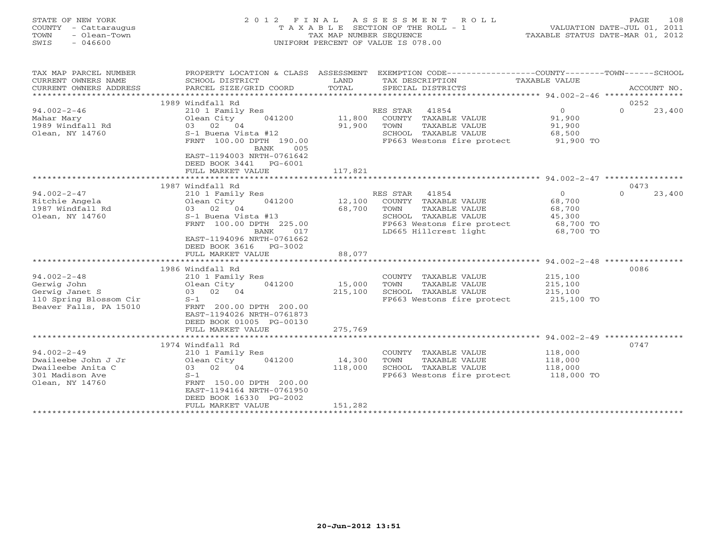| <b>COUNTY</b><br>- Cattaraugus<br>TOWN<br>- Olean-Town<br>SWIS<br>$-046600$                                                                                                          | T A X A B L E SECTION OF THE ROLL - 1<br>TAX MAP NUMBER SEQUENCE<br>UNIFORM PERCENT OF VALUE IS 078.00                                                                                                                                                                                                                                                                                            |                                                 |                                                                                                                                                                                                                                                          | VALUATION DATE-JUL 01, 2011<br>TAXABLE STATUS DATE-MAR 01, 2012                                                                                            |                                    |
|--------------------------------------------------------------------------------------------------------------------------------------------------------------------------------------|---------------------------------------------------------------------------------------------------------------------------------------------------------------------------------------------------------------------------------------------------------------------------------------------------------------------------------------------------------------------------------------------------|-------------------------------------------------|----------------------------------------------------------------------------------------------------------------------------------------------------------------------------------------------------------------------------------------------------------|------------------------------------------------------------------------------------------------------------------------------------------------------------|------------------------------------|
| TAX MAP PARCEL NUMBER<br>CURRENT OWNERS NAME<br>CURRENT OWNERS ADDRESS                                                                                                               | PROPERTY LOCATION & CLASS ASSESSMENT<br>SCHOOL DISTRICT<br>PARCEL SIZE/GRID COORD                                                                                                                                                                                                                                                                                                                 | LAND<br>TOTAL                                   | EXEMPTION CODE-----------------COUNTY-------TOWN------SCHOOL<br>TAX DESCRIPTION<br>SPECIAL DISTRICTS                                                                                                                                                     | <b>TAXABLE VALUE</b>                                                                                                                                       | ACCOUNT NO.                        |
|                                                                                                                                                                                      | 1989 Windfall Rd                                                                                                                                                                                                                                                                                                                                                                                  |                                                 |                                                                                                                                                                                                                                                          |                                                                                                                                                            | 0252                               |
| $94.002 - 2 - 46$<br>Mahar Mary<br>1989 Windfall Rd<br>Olean, NY 14760                                                                                                               | 210 1 Family Res<br>041200<br>Olean City<br>02 04<br>03<br>S-1 Buena Vista #12                                                                                                                                                                                                                                                                                                                    | 11,800<br>91,900                                | RES STAR<br>41854<br>COUNTY TAXABLE VALUE<br>TOWN<br>TAXABLE VALUE<br>SCHOOL TAXABLE VALUE                                                                                                                                                               | $\overline{0}$<br>91,900<br>91,900<br>68,500                                                                                                               | 23,400<br>$\Omega$                 |
|                                                                                                                                                                                      | FRNT 100.00 DPTH 190.00<br>BANK<br>005<br>EAST-1194003 NRTH-0761642<br>DEED BOOK 3441<br>$PG-6001$<br>FULL MARKET VALUE                                                                                                                                                                                                                                                                           | 117,821                                         | FP663 Westons fire protect                                                                                                                                                                                                                               | 91,900 TO                                                                                                                                                  |                                    |
|                                                                                                                                                                                      |                                                                                                                                                                                                                                                                                                                                                                                                   |                                                 |                                                                                                                                                                                                                                                          |                                                                                                                                                            |                                    |
| $94.002 - 2 - 47$<br>Ritchie Angela<br>1987 Windfall Rd<br>Olean, NY 14760<br>$94.002 - 2 - 48$<br>Gerwig John<br>Gerwig Janet S<br>110 Spring Blossom Cir<br>Beaver Falls, PA 15010 | 1987 Windfall Rd<br>210 1 Family Res<br>041200<br>Olean City<br>03 02 04<br>S-1 Buena Vista #13<br>FRNT 100.00 DPTH 225.00<br>BANK<br>017<br>EAST-1194096 NRTH-0761662<br>DEED BOOK 3616<br>PG-3002<br>FULL MARKET VALUE<br>1986 Windfall Rd<br>210 1 Family Res<br>041200<br>Olean City<br>03 02 04<br>$S-1$<br>FRNT 200.00 DPTH 200.00<br>EAST-1194026 NRTH-0761873<br>DEED BOOK 01005 PG-00130 | 12,100<br>68,700<br>88,077<br>15,000<br>215,100 | RES STAR<br>41854<br>COUNTY TAXABLE VALUE<br>TOWN<br>TAXABLE VALUE<br>SCHOOL TAXABLE VALUE<br>FP663 Westons fire protect<br>LD665 Hillcrest light<br>COUNTY TAXABLE VALUE<br>TOWN<br>TAXABLE VALUE<br>SCHOOL TAXABLE VALUE<br>FP663 Westons fire protect | $\overline{0}$<br>68,700<br>68,700<br>45,300<br>68,700 TO<br>68,700 TO<br>********************* 94.002-2-48<br>215,100<br>215,100<br>215,100<br>215,100 TO | 0473<br>23,400<br>$\Omega$<br>0086 |
|                                                                                                                                                                                      | FULL MARKET VALUE                                                                                                                                                                                                                                                                                                                                                                                 | 275,769                                         |                                                                                                                                                                                                                                                          | *********************** 94.002-2-49                                                                                                                        |                                    |
| $94.002 - 2 - 49$<br>Dwaileebe John J Jr<br>Dwaileebe Anita C<br>301 Madison Ave<br>Olean, NY 14760                                                                                  | 1974 Windfall Rd<br>210 1 Family Res<br>Olean City<br>041200<br>03 02 04<br>$S-1$<br>FRNT 150.00 DPTH 200.00<br>EAST-1194164 NRTH-0761950<br>DEED BOOK 16330 PG-2002<br>FULL MARKET VALUE                                                                                                                                                                                                         | 14,300<br>118,000<br>151,282                    | COUNTY<br>TAXABLE VALUE<br>TOWN<br>TAXABLE VALUE<br>SCHOOL TAXABLE VALUE<br>FP663 Westons fire protect                                                                                                                                                   | 118,000<br>118,000<br>118,000<br>118,000 TO                                                                                                                | 0747                               |
|                                                                                                                                                                                      | *********************                                                                                                                                                                                                                                                                                                                                                                             | ***************                                 |                                                                                                                                                                                                                                                          |                                                                                                                                                            |                                    |

STATE OF NEW YORK 2012 FINAL ASSESSMENT ROLL PAGE 108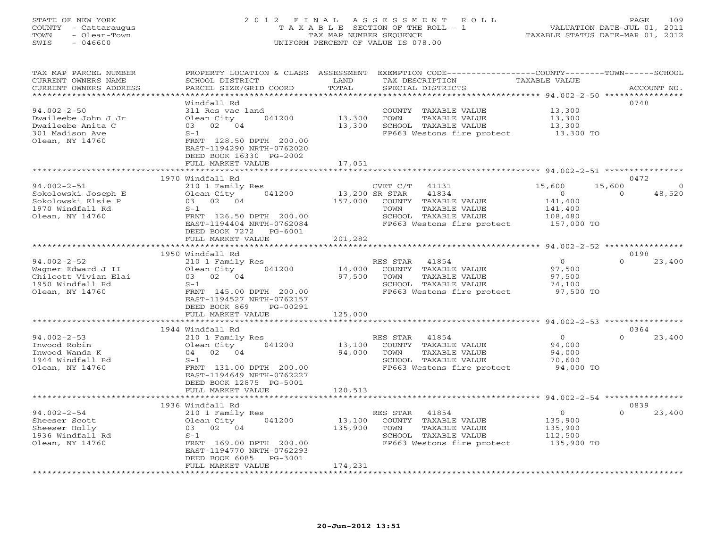## STATE OF NEW YORK 2 0 1 2 F I N A L A S S E S S M E N T R O L L PAGE 109 COUNTY - Cattaraugus T A X A B L E SECTION OF THE ROLL - 1 VALUATION DATE-JUL 01, 2011 TOWN - Olean-Town TAX MAP NUMBER SEQUENCE TAXABLE STATUS DATE-MAR 01, 2012 SWIS - 046600 UNIFORM PERCENT OF VALUE IS 078.00UNIFORM PERCENT OF VALUE IS 078.00

| TAX MAP PARCEL NUMBER<br>CURRENT OWNERS NAME    | PROPERTY LOCATION & CLASS ASSESSMENT<br>SCHOOL DISTRICT | LAND           | EXEMPTION CODE-----------------COUNTY-------TOWN------SCHOOL<br>TAX DESCRIPTION | TAXABLE VALUE  |                    |
|-------------------------------------------------|---------------------------------------------------------|----------------|---------------------------------------------------------------------------------|----------------|--------------------|
| CURRENT OWNERS ADDRESS<br>********************* | PARCEL SIZE/GRID COORD<br>*************************     | TOTAL          | SPECIAL DISTRICTS                                                               |                | ACCOUNT NO.        |
|                                                 |                                                         |                |                                                                                 |                |                    |
|                                                 | Windfall Rd                                             |                |                                                                                 |                | 0748               |
| $94.002 - 2 - 50$                               | 311 Res vac land                                        |                | COUNTY TAXABLE VALUE                                                            | 13,300         |                    |
| Dwaileebe John J Jr                             | Olean City<br>041200                                    | 13,300         | TOWN<br>TAXABLE VALUE                                                           | 13,300         |                    |
| Dwaileebe Anita C                               | 03 02 04                                                | 13,300         | SCHOOL TAXABLE VALUE                                                            | 13,300         |                    |
| 301 Madison Ave                                 | $S-1$                                                   |                | FP663 Westons fire protect 13,300 TO                                            |                |                    |
| Olean, NY 14760                                 | FRNT 128.50 DPTH 200.00                                 |                |                                                                                 |                |                    |
|                                                 | EAST-1194290 NRTH-0762020                               |                |                                                                                 |                |                    |
|                                                 | DEED BOOK 16330 PG-2002                                 |                |                                                                                 |                |                    |
|                                                 | FULL MARKET VALUE                                       | 17,051         |                                                                                 |                |                    |
|                                                 |                                                         |                | ********************** 94.002-2-51 **************                               |                |                    |
|                                                 | 1970 Windfall Rd                                        |                |                                                                                 |                | 0472               |
| $94.002 - 2 - 51$                               | 210 1 Family Res                                        |                | CVET C/T<br>41131                                                               | 15,600         | 15,600<br>$\Omega$ |
| Sokolowski Joseph E                             | Olean City<br>041200                                    | 13,200 SR STAR | 41834                                                                           | $\overline{O}$ | $\Omega$<br>48,520 |
| Sokolowski Elsie P                              | 03 02 04                                                | 157,000        | COUNTY TAXABLE VALUE                                                            | 141,400        |                    |
| 1970 Windfall Rd                                | $S-1$                                                   |                | TOWN<br>TAXABLE VALUE                                                           | 141,400        |                    |
| Olean, NY 14760                                 | FRNT 126.50 DPTH 200.00                                 |                | SCHOOL TAXABLE VALUE                                                            | 108,480        |                    |
|                                                 | EAST-1194404 NRTH-0762084                               |                | FP663 Westons fire protect                                                      | 157,000 TO     |                    |
|                                                 | DEED BOOK 7272<br>PG-6001                               |                |                                                                                 |                |                    |
|                                                 | FULL MARKET VALUE                                       | 201,282        |                                                                                 |                |                    |
|                                                 |                                                         |                |                                                                                 |                |                    |
|                                                 | 1950 Windfall Rd                                        |                |                                                                                 |                | 0198               |
| $94.002 - 2 - 52$                               | 210 1 Family Res                                        |                | RES STAR<br>41854                                                               | $\overline{0}$ | $\Omega$<br>23,400 |
| Wagner Edward J II                              | Olean City<br>041200                                    | 14,000         | COUNTY TAXABLE VALUE                                                            | 97,500         |                    |
| Chilcott Vivian Elai                            | 03 02 04                                                | 97,500         | TOWN<br>TAXABLE VALUE                                                           | 97,500         |                    |
| 1950 Windfall Rd                                | $S-1$                                                   |                | SCHOOL TAXABLE VALUE                                                            | 74,100         |                    |
| Olean, NY 14760                                 | FRNT 145.00 DPTH 200.00                                 |                | FP663 Westons fire protect                                                      | 97,500 TO      |                    |
|                                                 | EAST-1194527 NRTH-0762157                               |                |                                                                                 |                |                    |
|                                                 | DEED BOOK 869<br>PG-00291                               |                |                                                                                 |                |                    |
|                                                 | FULL MARKET VALUE                                       | 125,000        |                                                                                 |                |                    |
|                                                 |                                                         |                |                                                                                 |                |                    |
|                                                 | 1944 Windfall Rd                                        |                |                                                                                 |                | 0364               |
| $94.002 - 2 - 53$                               | 210 1 Family Res                                        |                | RES STAR 41854                                                                  | $\overline{0}$ | $\Omega$<br>23,400 |
| Inwood Robin                                    | 041200<br>Olean City                                    | 13,100         | COUNTY TAXABLE VALUE                                                            | 94,000         |                    |
| Inwood Wanda K                                  | 04 02 04                                                | 94,000         | TOWN<br>TAXABLE VALUE                                                           | 94,000         |                    |
| 1944 Windfall Rd                                | $S-1$                                                   |                | SCHOOL TAXABLE VALUE                                                            | 70,600         |                    |
| Olean, NY 14760                                 | FRNT 131.00 DPTH 200.00                                 |                | FP663 Westons fire protect                                                      | 94,000 TO      |                    |
|                                                 | EAST-1194649 NRTH-0762227                               |                |                                                                                 |                |                    |
|                                                 | DEED BOOK 12875 PG-5001                                 |                |                                                                                 |                |                    |
|                                                 | FULL MARKET VALUE                                       | 120,513        |                                                                                 |                |                    |
|                                                 | ***********************                                 |                | ******************************* 94.002-2-54 ****************                    |                |                    |
|                                                 | 1936 Windfall Rd                                        |                |                                                                                 |                | 0839               |
| $94.002 - 2 - 54$                               | 210 1 Family Res                                        |                | RES STAR<br>41854                                                               | $\overline{0}$ | $\Omega$<br>23,400 |
| Sheeser Scott                                   | 041200<br>Olean City                                    | 13,100         | COUNTY TAXABLE VALUE                                                            | 135,900        |                    |
| Sheeser Holly                                   | 03 02 04                                                | 135,900        | TOWN<br>TAXABLE VALUE                                                           | 135,900        |                    |
| 1936 Windfall Rd                                | $S-1$                                                   |                | SCHOOL TAXABLE VALUE                                                            | 112,500        |                    |
| Olean, NY 14760                                 | FRNT 169.00 DPTH 200.00                                 |                | FP663 Westons fire protect                                                      | 135,900 TO     |                    |
|                                                 | EAST-1194770 NRTH-0762293                               |                |                                                                                 |                |                    |
|                                                 | DEED BOOK 6085<br>PG-3001                               |                |                                                                                 |                |                    |
|                                                 | FULL MARKET VALUE                                       | 174,231        |                                                                                 |                |                    |
|                                                 |                                                         |                |                                                                                 |                |                    |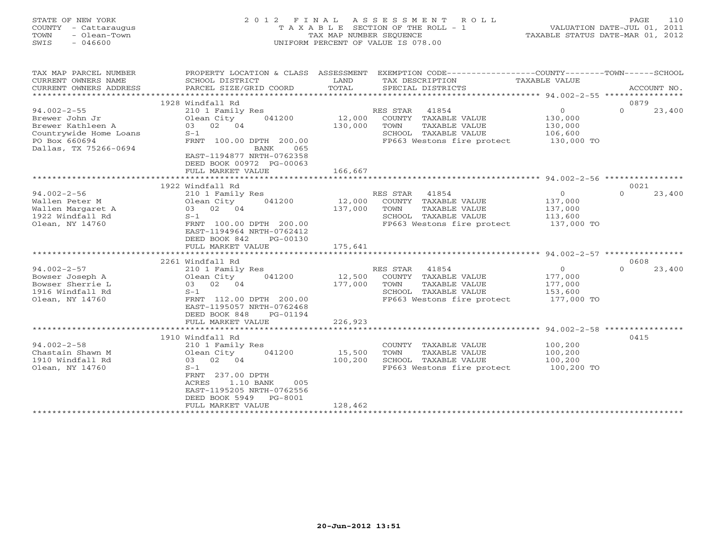| STATE OF NEW YORK<br>COUNTY<br>- Cattaraugus<br>- Olean-Town<br>TOWN<br>SWIS<br>$-046600$ | TAXABLE                              | TAX MAP NUMBER SEOUENCE | 2012 FINAL ASSESSMENT ROLL<br>SECTION OF THE ROLL - 1<br>UNIFORM PERCENT OF VALUE IS 078.00 | VALUATION DATE-JUL 01, 2011<br>TAXABLE STATUS DATE-MAR 01, 2012 | 110<br>PAGE       |
|-------------------------------------------------------------------------------------------|--------------------------------------|-------------------------|---------------------------------------------------------------------------------------------|-----------------------------------------------------------------|-------------------|
| TAX MAP PARCEL NUMBER                                                                     | PROPERTY LOCATION & CLASS ASSESSMENT |                         | EXEMPTION CODE-----------------COUNTY-------TOWN------SCHOOL                                |                                                                 |                   |
| CURRENT OWNERS NAME                                                                       | SCHOOL DISTRICT                      | LAND                    | TAX DESCRIPTION TAXABLE VALUE                                                               |                                                                 |                   |
| CURRENT OWNERS ADDRESS                                                                    | PARCEL SIZE/GRID COORD               | TOTAL                   | SPECIAL DISTRICTS                                                                           |                                                                 | ACCOUNT NO.       |
|                                                                                           |                                      |                         |                                                                                             |                                                                 |                   |
|                                                                                           | 1928 Windfall Rd                     |                         |                                                                                             |                                                                 | 0879              |
| $94.002 - 2 - 55$                                                                         | 210 1 Family Res                     |                         | 41854<br>RES STAR                                                                           | $\circ$                                                         | 23,400<br>$\circ$ |
| Brewer John Jr                                                                            | Olean City 041200 12,000             |                         | COUNTY<br>TAXABLE VALUE                                                                     | 130,000                                                         |                   |
| Brewer Kathleen A                                                                         | 03 02 04                             | 130,000                 | TOWN<br>TAXABLE VALUE                                                                       | 130,000                                                         |                   |
| Countrywide Home Loans                                                                    | $S-1$                                |                         | SCHOOL<br>TAXABLE VALUE                                                                     | 106,600                                                         |                   |
| PO Box 660694                                                                             | FRNT 100.00 DPTH 200.00              |                         | FP663 Westons fire protect 130,000 TO                                                       |                                                                 |                   |
| Dallas, TX 75266-0694                                                                     | BANK<br>065                          |                         |                                                                                             |                                                                 |                   |
|                                                                                           | EAST-1194877 NRTH-0762358            |                         |                                                                                             |                                                                 |                   |
|                                                                                           | DEED BOOK 00972 PG-00063             |                         |                                                                                             |                                                                 |                   |
|                                                                                           | FULL MARKET VALUE                    | 166,667                 |                                                                                             |                                                                 |                   |
|                                                                                           |                                      |                         |                                                                                             |                                                                 |                   |
|                                                                                           | 1922 Windfall Rd                     |                         |                                                                                             |                                                                 | 0021              |

|                   |                             |                                   | 27. UUL 4 JU |                    |
|-------------------|-----------------------------|-----------------------------------|--------------|--------------------|
|                   | 1922 Windfall Rd            |                                   |              | 0021               |
| $94.002 - 2 - 56$ | 210 1 Family Res            | 41854<br>RES STAR                 | $\Omega$     | 23,400<br>$\Omega$ |
| Wallen Peter M    | 041200<br>Olean City        | COUNTY<br>TAXABLE VALUE<br>12,000 | 137,000      |                    |
| Wallen Margaret A | 02 04<br>03                 | 137,000<br>TAXABLE VALUE<br>TOWN  | 137,000      |                    |
| 1922 Windfall Rd  | $S-1$                       | SCHOOL TAXABLE VALUE              | 113,600      |                    |
| Olean, NY 14760   | FRNT 100.00 DPTH 200.00     | FP663 Westons fire protect        | 137,000 TO   |                    |
|                   | EAST-1194964 NRTH-0762412   |                                   |              |                    |
|                   | DEED BOOK 842<br>PG-00130   |                                   |              |                    |
|                   | FULL MARKET VALUE           | 175,641                           |              |                    |
|                   |                             |                                   |              |                    |
|                   | 2261 Windfall Rd            |                                   |              | 0608               |
| $94.002 - 2 - 57$ | 210 1 Family Res            | 41854<br>RES STAR                 | $\Omega$     | 23,400<br>$\Omega$ |
| Bowser Joseph A   | 041200<br>Olean City        | 12,500<br>COUNTY TAXABLE VALUE    | 177,000      |                    |
| Bowser Sherrie L  | 03 02 04                    | 177,000<br>TOWN<br>TAXABLE VALUE  | 177,000      |                    |
| 1916 Windfall Rd  | $S-1$                       | SCHOOL TAXABLE VALUE              | 153,600      |                    |
| Olean, NY 14760   | FRNT 112.00 DPTH 200.00     | FP663 Westons fire protect        | 177,000 TO   |                    |
|                   | EAST-1195057 NRTH-0762468   |                                   |              |                    |
|                   | DEED BOOK 848<br>PG-01194   |                                   |              |                    |
|                   | FULL MARKET VALUE           | 226,923                           |              |                    |
|                   |                             |                                   |              |                    |
|                   | 1910 Windfall Rd            |                                   |              | 0415               |
| $94.002 - 2 - 58$ | 210 1 Family Res            | COUNTY TAXABLE VALUE              | 100,200      |                    |
| Chastain Shawn M  | Olean City<br>041200        | 15,500<br>TAXABLE VALUE<br>TOWN   | 100,200      |                    |
| 1910 Windfall Rd  | 03 02 04                    | 100,200<br>SCHOOL TAXABLE VALUE   | 100,200      |                    |
| Olean, NY 14760   | $S-1$                       | FP663 Westons fire protect        | 100,200 TO   |                    |
|                   | 237.00 DPTH<br>FRNT         |                                   |              |                    |
|                   | 1.10 BANK<br>ACRES<br>005   |                                   |              |                    |
|                   | EAST-1195205 NRTH-0762556   |                                   |              |                    |
|                   | DEED BOOK 5949<br>$PG-8001$ |                                   |              |                    |
|                   | FULL MARKET VALUE           | 128,462                           |              |                    |
|                   |                             |                                   |              |                    |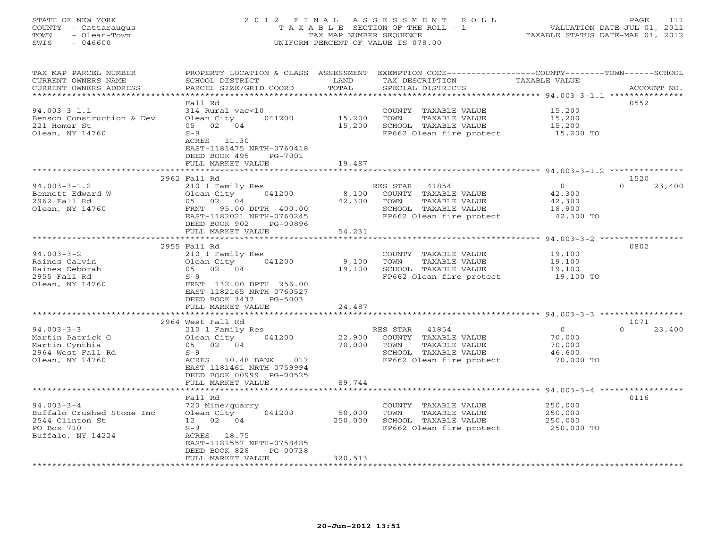# STATE OF NEW YORK 2 0 1 2 F I N A L A S S E S S M E N T R O L L PAGE 111 COUNTY - Cattaraugus T A X A B L E SECTION OF THE ROLL - 1 VALUATION DATE-JUL 01, 2011 TOWN - Olean-Town TAX MAP NUMBER SEQUENCE TAXABLE STATUS DATE-MAR 01, 2012 SWIS - 046600 UNIFORM PERCENT OF VALUE IS 078.00UNIFORM PERCENT OF VALUE IS 078.00

| *************************<br>0552<br>Fall Rd<br>$94.003 - 3 - 1.1$<br>314 Rural vac<10<br>15,200<br>COUNTY TAXABLE VALUE<br>15,200<br>Benson Construction & Dev<br>Olean City<br>041200<br>TOWN<br>TAXABLE VALUE<br>15,200<br>221 Homer St<br>05 02 04<br>15,200<br>SCHOOL TAXABLE VALUE<br>15,200<br>15,200 TO<br>$S-9$<br>Olean, NY 14760<br>FP662 Olean fire protect<br>ACRES 11.30<br>EAST-1181475 NRTH-0760418<br>DEED BOOK 495<br>PG-7001<br>FULL MARKET VALUE<br>19,487<br>2962 Fall Rd<br>1520<br>23,400<br>$94.003 - 3 - 1.2$<br>210 1 Family Res<br>$\overline{0}$<br>$\Omega$<br>RES STAR 41854<br>Olean City 041200<br>8,100 COUNTY TAXABLE VALUE<br>Bennett Edward W<br>42,300<br>05 02 04<br>2962 Fall Rd<br>42,300<br>TOWN<br>TAXABLE VALUE<br>42,300<br>FRNT 95.00 DPTH 400.00<br>SCHOOL TAXABLE VALUE<br>Olean, NY 14760<br>18,900<br>FP662 Olean fire protect<br>EAST-1182021 NRTH-0760245<br>42,300 TO<br>DEED BOOK 902<br>PG-00896<br>54,231<br>FULL MARKET VALUE<br>********************** 94.003-3-2 *************<br>0802<br>2955 Fall Rd<br>$94.003 - 3 - 2$<br>210 1 Family Res<br>COUNTY TAXABLE VALUE<br>19,100<br>Raines Calvin<br>041200<br>Olean City<br>9,100<br>TOWN<br>TAXABLE VALUE<br>19,100<br>05 02 04<br>Raines Deborah<br>19,100<br>SCHOOL TAXABLE VALUE<br>19,100<br>2955 Fall Rd<br>$S-9$<br>FP662 Olean fire protect<br>19,100 TO<br>Olean, NY 14760<br>FRNT 132.00 DPTH 256.00<br>EAST-1182165 NRTH-0760527<br>DEED BOOK 3437 PG-5003<br>FULL MARKET VALUE<br>24,487<br>2964 West Fall Rd<br>1071<br>$94.003 - 3 - 3$<br>RES STAR 41854<br>$\overline{0}$<br>$\Omega$<br>23,400<br>210 1 Family Res<br>Martin Patrick G<br>Olean City<br>041200<br>22,900<br>COUNTY TAXABLE VALUE<br>70,000<br>05 02 04<br>70,000<br>TAXABLE VALUE<br>Martin Cynthia<br>TOWN<br>70,000<br>SCHOOL TAXABLE VALUE<br>2964 West Fall Rd<br>$S-9$<br>46,600<br>Olean, NY 14760<br>ACRES 10.48 BANK 017<br>FP662 Olean fire protect<br>70,000 TO<br>EAST-1181461 NRTH-0759994<br>DEED BOOK 00999 PG-00525<br>FULL MARKET VALUE<br>89,744<br>0116<br>Fall Rd<br>$94.003 - 3 - 4$<br>720 Mine/quarry<br>250,000<br>COUNTY TAXABLE VALUE<br>Olean City<br>50,000<br>Buffalo Crushed Stone Inc<br>041200<br>TOWN<br>TAXABLE VALUE<br>250,000<br>250,000<br>2544 Clinton St<br>12 02 04<br>SCHOOL TAXABLE VALUE<br>250,000<br>PO Box 710<br>$S-9$<br>FP662 Olean fire protect 250,000 TO<br>Buffalo, NY 14224<br>ACRES 18.75<br>EAST-1181557 NRTH-0758485<br>DEED BOOK 828<br>PG-00738<br>320,513<br>FULL MARKET VALUE | TAX MAP PARCEL NUMBER<br>CURRENT OWNERS NAME<br>CURRENT OWNERS ADDRESS | PROPERTY LOCATION & CLASS ASSESSMENT<br>SCHOOL DISTRICT<br>PARCEL SIZE/GRID COORD | LAND<br>TOTAL | TAX DESCRIPTION<br>SPECIAL DISTRICTS | EXEMPTION CODE-----------------COUNTY-------TOWN------SCHOOL<br>TAXABLE VALUE<br>ACCOUNT NO. |
|----------------------------------------------------------------------------------------------------------------------------------------------------------------------------------------------------------------------------------------------------------------------------------------------------------------------------------------------------------------------------------------------------------------------------------------------------------------------------------------------------------------------------------------------------------------------------------------------------------------------------------------------------------------------------------------------------------------------------------------------------------------------------------------------------------------------------------------------------------------------------------------------------------------------------------------------------------------------------------------------------------------------------------------------------------------------------------------------------------------------------------------------------------------------------------------------------------------------------------------------------------------------------------------------------------------------------------------------------------------------------------------------------------------------------------------------------------------------------------------------------------------------------------------------------------------------------------------------------------------------------------------------------------------------------------------------------------------------------------------------------------------------------------------------------------------------------------------------------------------------------------------------------------------------------------------------------------------------------------------------------------------------------------------------------------------------------------------------------------------------------------------------------------------------------------------------------------------------------------------------------------------------------------------------------------------------------------------------------------------------------------------------------------------------------------------------------------------------------------------------------------------------------------------|------------------------------------------------------------------------|-----------------------------------------------------------------------------------|---------------|--------------------------------------|----------------------------------------------------------------------------------------------|
|                                                                                                                                                                                                                                                                                                                                                                                                                                                                                                                                                                                                                                                                                                                                                                                                                                                                                                                                                                                                                                                                                                                                                                                                                                                                                                                                                                                                                                                                                                                                                                                                                                                                                                                                                                                                                                                                                                                                                                                                                                                                                                                                                                                                                                                                                                                                                                                                                                                                                                                                        |                                                                        |                                                                                   |               |                                      |                                                                                              |
|                                                                                                                                                                                                                                                                                                                                                                                                                                                                                                                                                                                                                                                                                                                                                                                                                                                                                                                                                                                                                                                                                                                                                                                                                                                                                                                                                                                                                                                                                                                                                                                                                                                                                                                                                                                                                                                                                                                                                                                                                                                                                                                                                                                                                                                                                                                                                                                                                                                                                                                                        |                                                                        |                                                                                   |               |                                      |                                                                                              |
|                                                                                                                                                                                                                                                                                                                                                                                                                                                                                                                                                                                                                                                                                                                                                                                                                                                                                                                                                                                                                                                                                                                                                                                                                                                                                                                                                                                                                                                                                                                                                                                                                                                                                                                                                                                                                                                                                                                                                                                                                                                                                                                                                                                                                                                                                                                                                                                                                                                                                                                                        |                                                                        |                                                                                   |               |                                      |                                                                                              |
|                                                                                                                                                                                                                                                                                                                                                                                                                                                                                                                                                                                                                                                                                                                                                                                                                                                                                                                                                                                                                                                                                                                                                                                                                                                                                                                                                                                                                                                                                                                                                                                                                                                                                                                                                                                                                                                                                                                                                                                                                                                                                                                                                                                                                                                                                                                                                                                                                                                                                                                                        |                                                                        |                                                                                   |               |                                      |                                                                                              |
|                                                                                                                                                                                                                                                                                                                                                                                                                                                                                                                                                                                                                                                                                                                                                                                                                                                                                                                                                                                                                                                                                                                                                                                                                                                                                                                                                                                                                                                                                                                                                                                                                                                                                                                                                                                                                                                                                                                                                                                                                                                                                                                                                                                                                                                                                                                                                                                                                                                                                                                                        |                                                                        |                                                                                   |               |                                      |                                                                                              |
|                                                                                                                                                                                                                                                                                                                                                                                                                                                                                                                                                                                                                                                                                                                                                                                                                                                                                                                                                                                                                                                                                                                                                                                                                                                                                                                                                                                                                                                                                                                                                                                                                                                                                                                                                                                                                                                                                                                                                                                                                                                                                                                                                                                                                                                                                                                                                                                                                                                                                                                                        |                                                                        |                                                                                   |               |                                      |                                                                                              |
|                                                                                                                                                                                                                                                                                                                                                                                                                                                                                                                                                                                                                                                                                                                                                                                                                                                                                                                                                                                                                                                                                                                                                                                                                                                                                                                                                                                                                                                                                                                                                                                                                                                                                                                                                                                                                                                                                                                                                                                                                                                                                                                                                                                                                                                                                                                                                                                                                                                                                                                                        |                                                                        |                                                                                   |               |                                      |                                                                                              |
|                                                                                                                                                                                                                                                                                                                                                                                                                                                                                                                                                                                                                                                                                                                                                                                                                                                                                                                                                                                                                                                                                                                                                                                                                                                                                                                                                                                                                                                                                                                                                                                                                                                                                                                                                                                                                                                                                                                                                                                                                                                                                                                                                                                                                                                                                                                                                                                                                                                                                                                                        |                                                                        |                                                                                   |               |                                      |                                                                                              |
|                                                                                                                                                                                                                                                                                                                                                                                                                                                                                                                                                                                                                                                                                                                                                                                                                                                                                                                                                                                                                                                                                                                                                                                                                                                                                                                                                                                                                                                                                                                                                                                                                                                                                                                                                                                                                                                                                                                                                                                                                                                                                                                                                                                                                                                                                                                                                                                                                                                                                                                                        |                                                                        |                                                                                   |               |                                      |                                                                                              |
|                                                                                                                                                                                                                                                                                                                                                                                                                                                                                                                                                                                                                                                                                                                                                                                                                                                                                                                                                                                                                                                                                                                                                                                                                                                                                                                                                                                                                                                                                                                                                                                                                                                                                                                                                                                                                                                                                                                                                                                                                                                                                                                                                                                                                                                                                                                                                                                                                                                                                                                                        |                                                                        |                                                                                   |               |                                      |                                                                                              |
|                                                                                                                                                                                                                                                                                                                                                                                                                                                                                                                                                                                                                                                                                                                                                                                                                                                                                                                                                                                                                                                                                                                                                                                                                                                                                                                                                                                                                                                                                                                                                                                                                                                                                                                                                                                                                                                                                                                                                                                                                                                                                                                                                                                                                                                                                                                                                                                                                                                                                                                                        |                                                                        |                                                                                   |               |                                      |                                                                                              |
|                                                                                                                                                                                                                                                                                                                                                                                                                                                                                                                                                                                                                                                                                                                                                                                                                                                                                                                                                                                                                                                                                                                                                                                                                                                                                                                                                                                                                                                                                                                                                                                                                                                                                                                                                                                                                                                                                                                                                                                                                                                                                                                                                                                                                                                                                                                                                                                                                                                                                                                                        |                                                                        |                                                                                   |               |                                      |                                                                                              |
|                                                                                                                                                                                                                                                                                                                                                                                                                                                                                                                                                                                                                                                                                                                                                                                                                                                                                                                                                                                                                                                                                                                                                                                                                                                                                                                                                                                                                                                                                                                                                                                                                                                                                                                                                                                                                                                                                                                                                                                                                                                                                                                                                                                                                                                                                                                                                                                                                                                                                                                                        |                                                                        |                                                                                   |               |                                      |                                                                                              |
|                                                                                                                                                                                                                                                                                                                                                                                                                                                                                                                                                                                                                                                                                                                                                                                                                                                                                                                                                                                                                                                                                                                                                                                                                                                                                                                                                                                                                                                                                                                                                                                                                                                                                                                                                                                                                                                                                                                                                                                                                                                                                                                                                                                                                                                                                                                                                                                                                                                                                                                                        |                                                                        |                                                                                   |               |                                      |                                                                                              |
|                                                                                                                                                                                                                                                                                                                                                                                                                                                                                                                                                                                                                                                                                                                                                                                                                                                                                                                                                                                                                                                                                                                                                                                                                                                                                                                                                                                                                                                                                                                                                                                                                                                                                                                                                                                                                                                                                                                                                                                                                                                                                                                                                                                                                                                                                                                                                                                                                                                                                                                                        |                                                                        |                                                                                   |               |                                      |                                                                                              |
|                                                                                                                                                                                                                                                                                                                                                                                                                                                                                                                                                                                                                                                                                                                                                                                                                                                                                                                                                                                                                                                                                                                                                                                                                                                                                                                                                                                                                                                                                                                                                                                                                                                                                                                                                                                                                                                                                                                                                                                                                                                                                                                                                                                                                                                                                                                                                                                                                                                                                                                                        |                                                                        |                                                                                   |               |                                      |                                                                                              |
|                                                                                                                                                                                                                                                                                                                                                                                                                                                                                                                                                                                                                                                                                                                                                                                                                                                                                                                                                                                                                                                                                                                                                                                                                                                                                                                                                                                                                                                                                                                                                                                                                                                                                                                                                                                                                                                                                                                                                                                                                                                                                                                                                                                                                                                                                                                                                                                                                                                                                                                                        |                                                                        |                                                                                   |               |                                      |                                                                                              |
|                                                                                                                                                                                                                                                                                                                                                                                                                                                                                                                                                                                                                                                                                                                                                                                                                                                                                                                                                                                                                                                                                                                                                                                                                                                                                                                                                                                                                                                                                                                                                                                                                                                                                                                                                                                                                                                                                                                                                                                                                                                                                                                                                                                                                                                                                                                                                                                                                                                                                                                                        |                                                                        |                                                                                   |               |                                      |                                                                                              |
|                                                                                                                                                                                                                                                                                                                                                                                                                                                                                                                                                                                                                                                                                                                                                                                                                                                                                                                                                                                                                                                                                                                                                                                                                                                                                                                                                                                                                                                                                                                                                                                                                                                                                                                                                                                                                                                                                                                                                                                                                                                                                                                                                                                                                                                                                                                                                                                                                                                                                                                                        |                                                                        |                                                                                   |               |                                      |                                                                                              |
|                                                                                                                                                                                                                                                                                                                                                                                                                                                                                                                                                                                                                                                                                                                                                                                                                                                                                                                                                                                                                                                                                                                                                                                                                                                                                                                                                                                                                                                                                                                                                                                                                                                                                                                                                                                                                                                                                                                                                                                                                                                                                                                                                                                                                                                                                                                                                                                                                                                                                                                                        |                                                                        |                                                                                   |               |                                      |                                                                                              |
|                                                                                                                                                                                                                                                                                                                                                                                                                                                                                                                                                                                                                                                                                                                                                                                                                                                                                                                                                                                                                                                                                                                                                                                                                                                                                                                                                                                                                                                                                                                                                                                                                                                                                                                                                                                                                                                                                                                                                                                                                                                                                                                                                                                                                                                                                                                                                                                                                                                                                                                                        |                                                                        |                                                                                   |               |                                      |                                                                                              |
|                                                                                                                                                                                                                                                                                                                                                                                                                                                                                                                                                                                                                                                                                                                                                                                                                                                                                                                                                                                                                                                                                                                                                                                                                                                                                                                                                                                                                                                                                                                                                                                                                                                                                                                                                                                                                                                                                                                                                                                                                                                                                                                                                                                                                                                                                                                                                                                                                                                                                                                                        |                                                                        |                                                                                   |               |                                      |                                                                                              |
|                                                                                                                                                                                                                                                                                                                                                                                                                                                                                                                                                                                                                                                                                                                                                                                                                                                                                                                                                                                                                                                                                                                                                                                                                                                                                                                                                                                                                                                                                                                                                                                                                                                                                                                                                                                                                                                                                                                                                                                                                                                                                                                                                                                                                                                                                                                                                                                                                                                                                                                                        |                                                                        |                                                                                   |               |                                      |                                                                                              |
|                                                                                                                                                                                                                                                                                                                                                                                                                                                                                                                                                                                                                                                                                                                                                                                                                                                                                                                                                                                                                                                                                                                                                                                                                                                                                                                                                                                                                                                                                                                                                                                                                                                                                                                                                                                                                                                                                                                                                                                                                                                                                                                                                                                                                                                                                                                                                                                                                                                                                                                                        |                                                                        |                                                                                   |               |                                      |                                                                                              |
|                                                                                                                                                                                                                                                                                                                                                                                                                                                                                                                                                                                                                                                                                                                                                                                                                                                                                                                                                                                                                                                                                                                                                                                                                                                                                                                                                                                                                                                                                                                                                                                                                                                                                                                                                                                                                                                                                                                                                                                                                                                                                                                                                                                                                                                                                                                                                                                                                                                                                                                                        |                                                                        |                                                                                   |               |                                      |                                                                                              |
|                                                                                                                                                                                                                                                                                                                                                                                                                                                                                                                                                                                                                                                                                                                                                                                                                                                                                                                                                                                                                                                                                                                                                                                                                                                                                                                                                                                                                                                                                                                                                                                                                                                                                                                                                                                                                                                                                                                                                                                                                                                                                                                                                                                                                                                                                                                                                                                                                                                                                                                                        |                                                                        |                                                                                   |               |                                      |                                                                                              |
|                                                                                                                                                                                                                                                                                                                                                                                                                                                                                                                                                                                                                                                                                                                                                                                                                                                                                                                                                                                                                                                                                                                                                                                                                                                                                                                                                                                                                                                                                                                                                                                                                                                                                                                                                                                                                                                                                                                                                                                                                                                                                                                                                                                                                                                                                                                                                                                                                                                                                                                                        |                                                                        |                                                                                   |               |                                      |                                                                                              |
|                                                                                                                                                                                                                                                                                                                                                                                                                                                                                                                                                                                                                                                                                                                                                                                                                                                                                                                                                                                                                                                                                                                                                                                                                                                                                                                                                                                                                                                                                                                                                                                                                                                                                                                                                                                                                                                                                                                                                                                                                                                                                                                                                                                                                                                                                                                                                                                                                                                                                                                                        |                                                                        |                                                                                   |               |                                      |                                                                                              |
|                                                                                                                                                                                                                                                                                                                                                                                                                                                                                                                                                                                                                                                                                                                                                                                                                                                                                                                                                                                                                                                                                                                                                                                                                                                                                                                                                                                                                                                                                                                                                                                                                                                                                                                                                                                                                                                                                                                                                                                                                                                                                                                                                                                                                                                                                                                                                                                                                                                                                                                                        |                                                                        |                                                                                   |               |                                      |                                                                                              |
|                                                                                                                                                                                                                                                                                                                                                                                                                                                                                                                                                                                                                                                                                                                                                                                                                                                                                                                                                                                                                                                                                                                                                                                                                                                                                                                                                                                                                                                                                                                                                                                                                                                                                                                                                                                                                                                                                                                                                                                                                                                                                                                                                                                                                                                                                                                                                                                                                                                                                                                                        |                                                                        |                                                                                   |               |                                      |                                                                                              |
|                                                                                                                                                                                                                                                                                                                                                                                                                                                                                                                                                                                                                                                                                                                                                                                                                                                                                                                                                                                                                                                                                                                                                                                                                                                                                                                                                                                                                                                                                                                                                                                                                                                                                                                                                                                                                                                                                                                                                                                                                                                                                                                                                                                                                                                                                                                                                                                                                                                                                                                                        |                                                                        |                                                                                   |               |                                      |                                                                                              |
|                                                                                                                                                                                                                                                                                                                                                                                                                                                                                                                                                                                                                                                                                                                                                                                                                                                                                                                                                                                                                                                                                                                                                                                                                                                                                                                                                                                                                                                                                                                                                                                                                                                                                                                                                                                                                                                                                                                                                                                                                                                                                                                                                                                                                                                                                                                                                                                                                                                                                                                                        |                                                                        |                                                                                   |               |                                      |                                                                                              |
|                                                                                                                                                                                                                                                                                                                                                                                                                                                                                                                                                                                                                                                                                                                                                                                                                                                                                                                                                                                                                                                                                                                                                                                                                                                                                                                                                                                                                                                                                                                                                                                                                                                                                                                                                                                                                                                                                                                                                                                                                                                                                                                                                                                                                                                                                                                                                                                                                                                                                                                                        |                                                                        |                                                                                   |               |                                      |                                                                                              |
|                                                                                                                                                                                                                                                                                                                                                                                                                                                                                                                                                                                                                                                                                                                                                                                                                                                                                                                                                                                                                                                                                                                                                                                                                                                                                                                                                                                                                                                                                                                                                                                                                                                                                                                                                                                                                                                                                                                                                                                                                                                                                                                                                                                                                                                                                                                                                                                                                                                                                                                                        |                                                                        |                                                                                   |               |                                      |                                                                                              |
|                                                                                                                                                                                                                                                                                                                                                                                                                                                                                                                                                                                                                                                                                                                                                                                                                                                                                                                                                                                                                                                                                                                                                                                                                                                                                                                                                                                                                                                                                                                                                                                                                                                                                                                                                                                                                                                                                                                                                                                                                                                                                                                                                                                                                                                                                                                                                                                                                                                                                                                                        |                                                                        |                                                                                   |               |                                      |                                                                                              |
|                                                                                                                                                                                                                                                                                                                                                                                                                                                                                                                                                                                                                                                                                                                                                                                                                                                                                                                                                                                                                                                                                                                                                                                                                                                                                                                                                                                                                                                                                                                                                                                                                                                                                                                                                                                                                                                                                                                                                                                                                                                                                                                                                                                                                                                                                                                                                                                                                                                                                                                                        |                                                                        |                                                                                   |               |                                      |                                                                                              |
|                                                                                                                                                                                                                                                                                                                                                                                                                                                                                                                                                                                                                                                                                                                                                                                                                                                                                                                                                                                                                                                                                                                                                                                                                                                                                                                                                                                                                                                                                                                                                                                                                                                                                                                                                                                                                                                                                                                                                                                                                                                                                                                                                                                                                                                                                                                                                                                                                                                                                                                                        |                                                                        |                                                                                   |               |                                      |                                                                                              |
|                                                                                                                                                                                                                                                                                                                                                                                                                                                                                                                                                                                                                                                                                                                                                                                                                                                                                                                                                                                                                                                                                                                                                                                                                                                                                                                                                                                                                                                                                                                                                                                                                                                                                                                                                                                                                                                                                                                                                                                                                                                                                                                                                                                                                                                                                                                                                                                                                                                                                                                                        |                                                                        |                                                                                   |               |                                      |                                                                                              |
|                                                                                                                                                                                                                                                                                                                                                                                                                                                                                                                                                                                                                                                                                                                                                                                                                                                                                                                                                                                                                                                                                                                                                                                                                                                                                                                                                                                                                                                                                                                                                                                                                                                                                                                                                                                                                                                                                                                                                                                                                                                                                                                                                                                                                                                                                                                                                                                                                                                                                                                                        |                                                                        |                                                                                   |               |                                      |                                                                                              |
|                                                                                                                                                                                                                                                                                                                                                                                                                                                                                                                                                                                                                                                                                                                                                                                                                                                                                                                                                                                                                                                                                                                                                                                                                                                                                                                                                                                                                                                                                                                                                                                                                                                                                                                                                                                                                                                                                                                                                                                                                                                                                                                                                                                                                                                                                                                                                                                                                                                                                                                                        |                                                                        |                                                                                   |               |                                      |                                                                                              |
|                                                                                                                                                                                                                                                                                                                                                                                                                                                                                                                                                                                                                                                                                                                                                                                                                                                                                                                                                                                                                                                                                                                                                                                                                                                                                                                                                                                                                                                                                                                                                                                                                                                                                                                                                                                                                                                                                                                                                                                                                                                                                                                                                                                                                                                                                                                                                                                                                                                                                                                                        |                                                                        |                                                                                   |               |                                      |                                                                                              |
|                                                                                                                                                                                                                                                                                                                                                                                                                                                                                                                                                                                                                                                                                                                                                                                                                                                                                                                                                                                                                                                                                                                                                                                                                                                                                                                                                                                                                                                                                                                                                                                                                                                                                                                                                                                                                                                                                                                                                                                                                                                                                                                                                                                                                                                                                                                                                                                                                                                                                                                                        |                                                                        |                                                                                   |               |                                      |                                                                                              |
|                                                                                                                                                                                                                                                                                                                                                                                                                                                                                                                                                                                                                                                                                                                                                                                                                                                                                                                                                                                                                                                                                                                                                                                                                                                                                                                                                                                                                                                                                                                                                                                                                                                                                                                                                                                                                                                                                                                                                                                                                                                                                                                                                                                                                                                                                                                                                                                                                                                                                                                                        |                                                                        |                                                                                   |               |                                      |                                                                                              |
|                                                                                                                                                                                                                                                                                                                                                                                                                                                                                                                                                                                                                                                                                                                                                                                                                                                                                                                                                                                                                                                                                                                                                                                                                                                                                                                                                                                                                                                                                                                                                                                                                                                                                                                                                                                                                                                                                                                                                                                                                                                                                                                                                                                                                                                                                                                                                                                                                                                                                                                                        |                                                                        |                                                                                   |               |                                      |                                                                                              |
|                                                                                                                                                                                                                                                                                                                                                                                                                                                                                                                                                                                                                                                                                                                                                                                                                                                                                                                                                                                                                                                                                                                                                                                                                                                                                                                                                                                                                                                                                                                                                                                                                                                                                                                                                                                                                                                                                                                                                                                                                                                                                                                                                                                                                                                                                                                                                                                                                                                                                                                                        |                                                                        |                                                                                   |               |                                      |                                                                                              |
|                                                                                                                                                                                                                                                                                                                                                                                                                                                                                                                                                                                                                                                                                                                                                                                                                                                                                                                                                                                                                                                                                                                                                                                                                                                                                                                                                                                                                                                                                                                                                                                                                                                                                                                                                                                                                                                                                                                                                                                                                                                                                                                                                                                                                                                                                                                                                                                                                                                                                                                                        |                                                                        |                                                                                   |               |                                      |                                                                                              |
|                                                                                                                                                                                                                                                                                                                                                                                                                                                                                                                                                                                                                                                                                                                                                                                                                                                                                                                                                                                                                                                                                                                                                                                                                                                                                                                                                                                                                                                                                                                                                                                                                                                                                                                                                                                                                                                                                                                                                                                                                                                                                                                                                                                                                                                                                                                                                                                                                                                                                                                                        |                                                                        |                                                                                   |               |                                      |                                                                                              |
|                                                                                                                                                                                                                                                                                                                                                                                                                                                                                                                                                                                                                                                                                                                                                                                                                                                                                                                                                                                                                                                                                                                                                                                                                                                                                                                                                                                                                                                                                                                                                                                                                                                                                                                                                                                                                                                                                                                                                                                                                                                                                                                                                                                                                                                                                                                                                                                                                                                                                                                                        |                                                                        |                                                                                   |               |                                      |                                                                                              |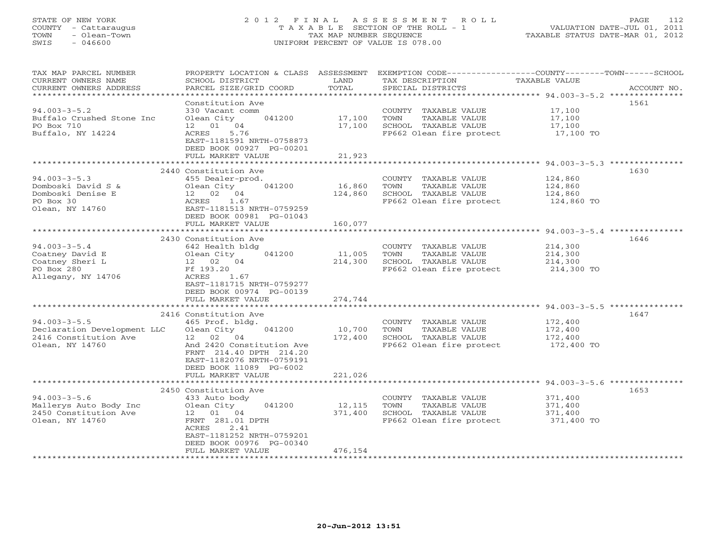# STATE OF NEW YORK 2 0 1 2 F I N A L A S S E S S M E N T R O L L PAGE 112 COUNTY - Cattaraugus T A X A B L E SECTION OF THE ROLL - 1 VALUATION DATE-JUL 01, 2011 TOWN - Olean-Town TAX MAP NUMBER SEQUENCE TAXABLE STATUS DATE-MAR 01, 2012 SWIS - 046600 UNIFORM PERCENT OF VALUE IS 078.00UNIFORM PERCENT OF VALUE IS 078.00

| TAX MAP PARCEL NUMBER<br>CURRENT OWNERS NAME<br>CURRENT OWNERS ADDRESS | PROPERTY LOCATION & CLASS ASSESSMENT<br>SCHOOL DISTRICT<br>PARCEL SIZE/GRID COORD           | LAND<br>TOTAL | TAX DESCRIPTION<br>SPECIAL DISTRICTS          | EXEMPTION CODE-----------------COUNTY-------TOWN------SCHOOL<br>TAXABLE VALUE<br>ACCOUNT NO. |
|------------------------------------------------------------------------|---------------------------------------------------------------------------------------------|---------------|-----------------------------------------------|----------------------------------------------------------------------------------------------|
| **********************                                                 |                                                                                             |               |                                               |                                                                                              |
| $94.003 - 3 - 5.2$<br>Buffalo Crushed Stone Inc                        | Constitution Ave<br>330 Vacant comm<br>Olean City<br>041200                                 | 17,100        | COUNTY TAXABLE VALUE<br>TOWN<br>TAXABLE VALUE | 1561<br>17,100<br>17,100                                                                     |
| PO Box 710                                                             | 12 01<br>04                                                                                 | 17,100        | SCHOOL TAXABLE VALUE                          | 17,100                                                                                       |
| Buffalo, NY 14224                                                      | 5.76<br>ACRES<br>EAST-1181591 NRTH-0758873<br>DEED BOOK 00927 PG-00201<br>FULL MARKET VALUE | 21,923        | FP662 Olean fire protect                      | 17,100 TO                                                                                    |
|                                                                        |                                                                                             |               |                                               |                                                                                              |
|                                                                        | 2440 Constitution Ave                                                                       |               |                                               | 1630                                                                                         |
| $94.003 - 3 - 5.3$                                                     | 455 Dealer-prod.                                                                            |               | COUNTY TAXABLE VALUE                          | 124,860                                                                                      |
| Domboski David S &                                                     | Olean City<br>041200                                                                        | 16,860        | TOWN<br>TAXABLE VALUE                         | 124,860                                                                                      |
| Domboski Denise E                                                      | 12 02 04                                                                                    | 124,860       | SCHOOL TAXABLE VALUE                          | 124,860                                                                                      |
| PO Box 30                                                              | 1.67<br>ACRES                                                                               |               | FP662 Olean fire protect                      | 124,860 TO                                                                                   |
| Olean, NY 14760                                                        | EAST-1181513 NRTH-0759259                                                                   |               |                                               |                                                                                              |
|                                                                        | DEED BOOK 00981 PG-01043<br>FULL MARKET VALUE                                               | 160,077       |                                               |                                                                                              |
|                                                                        |                                                                                             | *********     |                                               | ****************** 94.003-3-5.4 ****************                                             |
|                                                                        | 2430 Constitution Ave                                                                       |               |                                               | 1646                                                                                         |
| $94.003 - 3 - 5.4$                                                     | 642 Health bldg                                                                             |               | COUNTY TAXABLE VALUE                          | 214,300                                                                                      |
| Coatney David E                                                        | Olean City<br>041200                                                                        | 11,005        | TOWN<br>TAXABLE VALUE                         | 214,300                                                                                      |
| Coatney Sheri L                                                        | 12 02 04                                                                                    | 214,300       | SCHOOL TAXABLE VALUE                          | 214,300                                                                                      |
| PO Box 280                                                             | Ff 193.20                                                                                   |               | FP662 Olean fire protect                      | 214,300 TO                                                                                   |
| Allegany, NY 14706                                                     | ACRES<br>1.67                                                                               |               |                                               |                                                                                              |
|                                                                        | EAST-1181715 NRTH-0759277                                                                   |               |                                               |                                                                                              |
|                                                                        | DEED BOOK 00974 PG-00139                                                                    |               |                                               |                                                                                              |
|                                                                        | FULL MARKET VALUE                                                                           | 274,744       |                                               |                                                                                              |
|                                                                        |                                                                                             |               |                                               |                                                                                              |
|                                                                        | 2416 Constitution Ave                                                                       |               |                                               | 1647                                                                                         |
| $94.003 - 3 - 5.5$                                                     | 465 Prof. bldg.                                                                             |               | COUNTY TAXABLE VALUE                          | 172,400                                                                                      |
| Declaration Development LLC                                            | 041200<br>Olean City                                                                        | 10,700        | TOWN<br>TAXABLE VALUE                         | 172,400                                                                                      |
| 2416 Constitution Ave                                                  | 12 <sup>7</sup><br>02 04                                                                    | 172,400       | SCHOOL TAXABLE VALUE                          | 172,400                                                                                      |
| Olean, NY 14760                                                        | And 2420 Constitution Ave                                                                   |               | FP662 Olean fire protect                      | 172,400 TO                                                                                   |
|                                                                        | FRNT 214.40 DPTH 214.20                                                                     |               |                                               |                                                                                              |
|                                                                        | EAST-1182076 NRTH-0759191                                                                   |               |                                               |                                                                                              |
|                                                                        | DEED BOOK 11089 PG-6002<br>FULL MARKET VALUE                                                | 221,026       |                                               |                                                                                              |
|                                                                        |                                                                                             |               |                                               | ************************ 94.003-3-5.6                                                        |
|                                                                        | 2450 Constitution Ave                                                                       |               |                                               | 1653                                                                                         |
| $94.003 - 3 - 5.6$                                                     | 433 Auto body                                                                               |               | COUNTY TAXABLE VALUE                          | 371,400                                                                                      |
| Mallerys Auto Body Inc                                                 | Olean City<br>041200                                                                        | 12,115        | TOWN<br>TAXABLE VALUE                         | 371,400                                                                                      |
| 2450 Constitution Ave                                                  | 12  01  04                                                                                  | 371,400       | SCHOOL TAXABLE VALUE                          | 371,400                                                                                      |
| Olean, NY 14760                                                        | FRNT 281.01 DPTH                                                                            |               | FP662 Olean fire protect                      | 371,400 TO                                                                                   |
|                                                                        | 2.41<br>ACRES                                                                               |               |                                               |                                                                                              |
|                                                                        | EAST-1181252 NRTH-0759201                                                                   |               |                                               |                                                                                              |
|                                                                        | DEED BOOK 00976 PG-00340                                                                    |               |                                               |                                                                                              |
|                                                                        | FULL MARKET VALUE                                                                           | 476,154       |                                               |                                                                                              |
|                                                                        |                                                                                             |               |                                               |                                                                                              |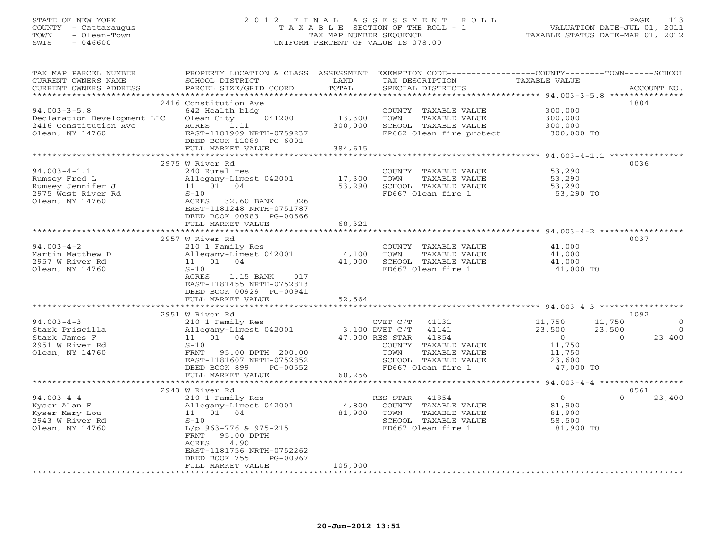#### STATE OF NEW YORK 2 0 1 2 F I N A L A S S E S S M E N T R O L L PAGE 113 COUNTY - Cattaraugus T A X A B L E SECTION OF THE ROLL - 1 VALUATION DATE-JUL 01, 2011 TOWN - Olean-Town TAX MAP NUMBER SEQUENCE TAXABLE STATUS DATE-MAR 01, 2012 SWIS - 046600 UNIFORM PERCENT OF VALUE IS 078.00UNIFORM PERCENT OF VALUE IS 078.00

| TAX MAP PARCEL NUMBER<br>CURRENT OWNERS NAME | PROPERTY LOCATION & CLASS ASSESSMENT<br>SCHOOL DISTRICT | LAND          | TAX DESCRIPTION                           | EXEMPTION CODE----------------COUNTY-------TOWN------SCHOOL<br>TAXABLE VALUE |             |
|----------------------------------------------|---------------------------------------------------------|---------------|-------------------------------------------|------------------------------------------------------------------------------|-------------|
| CURRENT OWNERS ADDRESS                       | PARCEL SIZE/GRID COORD                                  | TOTAL         | SPECIAL DISTRICTS                         |                                                                              | ACCOUNT NO. |
| **********************                       |                                                         |               |                                           |                                                                              |             |
|                                              | 2416 Constitution Ave                                   |               |                                           |                                                                              | 1804        |
| $94.003 - 3 - 5.8$                           | 642 Health bldg                                         |               | COUNTY TAXABLE VALUE                      | 300,000                                                                      |             |
| Declaration Development LLC                  | Olean City<br>041200                                    | 13,300        | TOWN<br>TAXABLE VALUE                     | 300,000                                                                      |             |
| 2416 Constitution Ave                        | 1.11<br>ACRES                                           | 300,000       | SCHOOL TAXABLE VALUE                      | 300,000                                                                      |             |
| Olean, NY 14760                              | EAST-1181909 NRTH-0759237                               |               | FP662 Olean fire protect                  | 300,000 TO                                                                   |             |
|                                              | DEED BOOK 11089 PG-6001                                 |               |                                           |                                                                              |             |
|                                              | FULL MARKET VALUE                                       | 384,615       |                                           |                                                                              |             |
|                                              |                                                         |               |                                           |                                                                              |             |
|                                              | 2975 W River Rd                                         |               |                                           |                                                                              | 0036        |
| $94.003 - 4 - 1.1$                           | 240 Rural res                                           |               | COUNTY TAXABLE VALUE                      | 53,290                                                                       |             |
| Rumsey Fred L                                | Allegany-Limest 042001                                  | 17,300        | TOWN<br>TAXABLE VALUE                     | 53,290                                                                       |             |
| Rumsey Jennifer J                            | 11  01  04                                              | 53,290        | SCHOOL TAXABLE VALUE                      | 53,290                                                                       |             |
| 2975 West River Rd                           | $S-10$                                                  |               | FD667 Olean fire 1                        | 53,290 TO                                                                    |             |
| Olean, NY 14760                              | ACRES 32.60 BANK<br>026                                 |               |                                           |                                                                              |             |
|                                              | EAST-1181248 NRTH-0751787                               |               |                                           |                                                                              |             |
|                                              | DEED BOOK 00983 PG-00666                                |               |                                           |                                                                              |             |
|                                              | FULL MARKET VALUE                                       | 68,321        |                                           |                                                                              |             |
|                                              | ********************************                        | ************* |                                           |                                                                              |             |
|                                              | 2957 W River Rd                                         |               |                                           |                                                                              | 0037        |
| $94.003 - 4 - 2$                             | 210 1 Family Res                                        |               | COUNTY TAXABLE VALUE                      | 41,000                                                                       |             |
| Martin Matthew D                             | Allegany-Limest 042001                                  | 4,100         | TAXABLE VALUE<br>TOWN                     | 41,000                                                                       |             |
| 2957 W River Rd                              | 11 01 04                                                | 41,000        | SCHOOL TAXABLE VALUE                      | 41,000                                                                       |             |
| Olean, NY 14760                              | $S-10$                                                  |               | FD667 Olean fire 1                        | 41,000 TO                                                                    |             |
|                                              | 1.15 BANK<br>ACRES<br>017                               |               |                                           |                                                                              |             |
|                                              | EAST-1181455 NRTH-0752813                               |               |                                           |                                                                              |             |
|                                              | DEED BOOK 00929 PG-00941                                |               |                                           |                                                                              |             |
|                                              | FULL MARKET VALUE<br>***********************            | 52,564        |                                           |                                                                              |             |
|                                              |                                                         |               |                                           |                                                                              | 1092        |
| $94.003 - 4 - 3$                             | 2951 W River Rd                                         |               |                                           | 11,750                                                                       | $\circ$     |
| Stark Priscilla                              | 210 1 Family Res<br>Allegany-Limest 042001              |               | CVET C/T 41131<br>3,100 DVET C/T<br>41141 | 11,750<br>23,500<br>23,500                                                   | $\bigcirc$  |
| Stark James F                                | 11 01 04                                                |               | 41854<br>47,000 RES STAR                  | $\overline{0}$<br>$\Omega$                                                   | 23,400      |
| 2951 W River Rd                              | $S-10$                                                  |               | COUNTY TAXABLE VALUE                      | 11,750                                                                       |             |
| Olean, NY 14760                              | FRNT<br>95.00 DPTH 200.00                               |               | TOWN<br>TAXABLE VALUE                     | 11,750                                                                       |             |
|                                              | EAST-1181607 NRTH-0752852                               |               | SCHOOL TAXABLE VALUE                      | 23,600                                                                       |             |
|                                              | DEED BOOK 899<br>PG-00552                               |               | FD667 Olean fire 1                        | 47,000 TO                                                                    |             |
|                                              | FULL MARKET VALUE                                       | 60,256        |                                           |                                                                              |             |
|                                              |                                                         |               |                                           | ********** 94.003-4-4 *****************                                      |             |
|                                              | 2943 W River Rd                                         |               |                                           |                                                                              | 0561        |
| $94.003 - 4 - 4$                             | 210 1 Family Res                                        |               | RES STAR<br>41854                         | $\Omega$<br>$\overline{0}$                                                   | 23,400      |
| Kyser Alan F                                 | Allegany-Limest 042001                                  | 4,800         | COUNTY TAXABLE VALUE                      | 81,900                                                                       |             |
| Kyser Mary Lou                               | 11 01 04                                                | 81,900        | TOWN<br>TAXABLE VALUE                     | 81,900                                                                       |             |
| 2943 W River Rd                              | $S-10$                                                  |               | SCHOOL TAXABLE VALUE                      | 58,500                                                                       |             |
| Olean, NY 14760                              | L/p 963-776 & 975-215                                   |               | FD667 Olean fire 1                        | 81,900 TO                                                                    |             |
|                                              | 95.00 DPTH<br>FRNT                                      |               |                                           |                                                                              |             |
|                                              | 4.90<br>ACRES                                           |               |                                           |                                                                              |             |
|                                              | EAST-1181756 NRTH-0752262                               |               |                                           |                                                                              |             |
|                                              | DEED BOOK 755<br>PG-00967                               |               |                                           |                                                                              |             |
|                                              | FULL MARKET VALUE                                       | 105,000       |                                           |                                                                              |             |
|                                              |                                                         |               |                                           |                                                                              |             |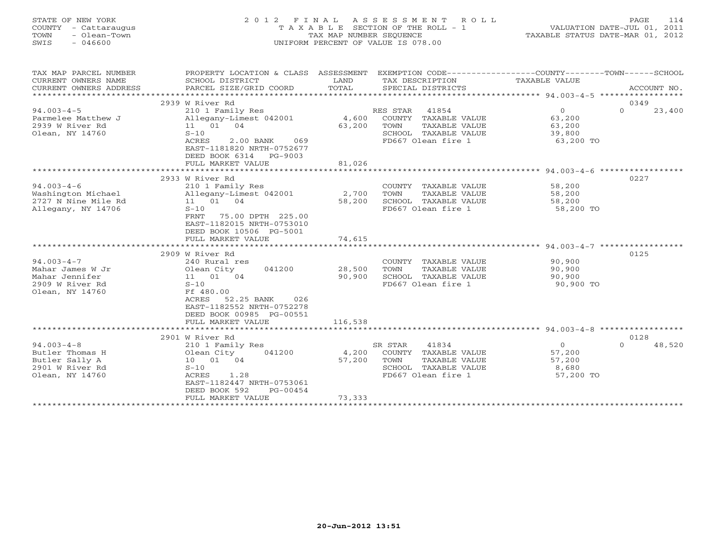|      | STATE OF NEW YORK    | 2012 FINAL ASSESSMENT ROLL |                                       |                                  | PAGE | 114 |
|------|----------------------|----------------------------|---------------------------------------|----------------------------------|------|-----|
|      | COUNTY - Cattaraugus |                            | T A X A B L E SECTION OF THE ROLL - 1 | VALUATION DATE-JUL 01, 2011      |      |     |
| TOWN | - Olean-Town         |                            | TAX MAP NUMBER SEOUENCE               | TAXABLE STATUS DATE-MAR 01, 2012 |      |     |
| SWIS | - 046600             |                            | UNIFORM PERCENT OF VALUE IS 078.00    |                                  |      |     |
|      |                      |                            |                                       |                                  |      |     |
|      |                      |                            |                                       |                                  |      |     |
|      |                      |                            |                                       |                                  |      |     |

| TAX MAP PARCEL NUMBER  | PROPERTY LOCATION & CLASS  | ASSESSMENT |                            |                |                    |
|------------------------|----------------------------|------------|----------------------------|----------------|--------------------|
| CURRENT OWNERS NAME    | SCHOOL DISTRICT            | LAND       | TAX DESCRIPTION            | TAXABLE VALUE  |                    |
| CURRENT OWNERS ADDRESS | PARCEL SIZE/GRID COORD     | TOTAL      | SPECIAL DISTRICTS          |                | ACCOUNT NO.        |
| *******************    |                            |            |                            |                |                    |
|                        | 2939 W River Rd            |            |                            |                | 0349               |
| $94.003 - 4 - 5$       | 210 1 Family Res           |            | RES STAR<br>41854          | $\overline{0}$ | $\Omega$<br>23,400 |
|                        |                            |            | COUNTY TAXABLE VALUE       |                |                    |
| Parmelee Matthew J     | Allegany-Limest 042001     | 4,600      |                            | 63,200         |                    |
| 2939 W River Rd        | 11  01  04                 | 63,200     | TOWN<br>TAXABLE VALUE      | 63,200         |                    |
| Olean, NY 14760        | $S-10$                     |            | SCHOOL TAXABLE VALUE       | 39,800         |                    |
|                        | ACRES<br>2.00 BANK<br>069  |            | FD667 Olean fire 1         | 63,200 TO      |                    |
|                        | EAST-1181820 NRTH-0752677  |            |                            |                |                    |
|                        | DEED BOOK 6314 PG-9003     |            |                            |                |                    |
|                        | FULL MARKET VALUE          | 81,026     |                            |                |                    |
|                        |                            |            |                            |                |                    |
|                        | 2933 W River Rd            |            |                            |                | 0227               |
| $94.003 - 4 - 6$       | 210 1 Family Res           |            | COUNTY TAXABLE VALUE       | 58,200         |                    |
| Washington Michael     | Allegany-Limest 042001     | 2,700      | TOWN<br>TAXABLE VALUE      | 58,200         |                    |
| 2727 N Nine Mile Rd    | 11  01  04                 | 58,200     | SCHOOL TAXABLE VALUE       | 58,200         |                    |
| Allegany, NY 14706     | $S-10$                     |            | FD667 Olean fire 1         | 58,200 TO      |                    |
|                        | 75.00 DPTH 225.00<br>FRNT  |            |                            |                |                    |
|                        | EAST-1182015 NRTH-0753010  |            |                            |                |                    |
|                        | DEED BOOK 10506 PG-5001    |            |                            |                |                    |
|                        |                            |            |                            |                |                    |
|                        | FULL MARKET VALUE          | 74,615     |                            |                |                    |
|                        |                            |            |                            |                |                    |
|                        | 2909 W River Rd            |            |                            |                | 0125               |
| $94.003 - 4 - 7$       | 240 Rural res              |            | COUNTY TAXABLE VALUE       | 90,900         |                    |
| Mahar James W Jr       | Olean City<br>041200       | 28,500     | TOWN<br>TAXABLE VALUE      | 90,900         |                    |
| Mahar Jennifer         | 11 01 04                   | 90,900     | SCHOOL TAXABLE VALUE       | 90,900         |                    |
| 2909 W River Rd        | $S-10$                     |            | FD667 Olean fire 1         | 90,900 TO      |                    |
| Olean, NY 14760        | Ff 480.00                  |            |                            |                |                    |
|                        | ACRES<br>52.25 BANK<br>026 |            |                            |                |                    |
|                        | EAST-1182552 NRTH-0752278  |            |                            |                |                    |
|                        | DEED BOOK 00985 PG-00551   |            |                            |                |                    |
|                        | FULL MARKET VALUE          | 116,538    |                            |                |                    |
|                        |                            |            |                            |                |                    |
|                        | 2901 W River Rd            |            |                            |                | 0128               |
| $94.003 - 4 - 8$       |                            |            | 41834<br>SR STAR           | $\circ$        | 48,520<br>$\Omega$ |
|                        | 210 1 Family Res           |            |                            |                |                    |
| Butler Thomas H        | Olean City<br>041200       | 4,200      | COUNTY TAXABLE VALUE       | 57,200         |                    |
| Butler Sally A         | 10 01 04                   | 57,200     | TOWN<br>TAXABLE VALUE      | 57,200         |                    |
| 2901 W River Rd        | $S-10$                     |            | SCHOOL TAXABLE VALUE       | 8,680          |                    |
| Olean, NY 14760        | ACRES<br>1.28              |            | FD667 Olean fire 1         | 57,200 TO      |                    |
|                        | EAST-1182447 NRTH-0753061  |            |                            |                |                    |
|                        | DEED BOOK 592<br>PG-00454  |            |                            |                |                    |
|                        | FULL MARKET VALUE          | 73,333     |                            |                |                    |
|                        | *************************  |            | ************************** |                |                    |
|                        |                            |            |                            |                |                    |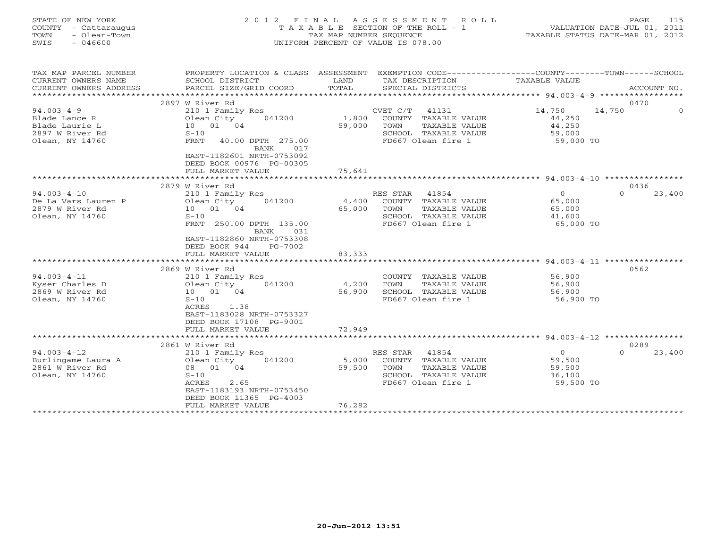| STATE OF NEW YORK<br>COUNTY - Cattaraugus<br>- Olean-Town<br>TOWN<br>$-046600$<br>SWIS |                                                 | TAX MAP NUMBER SEQUENCE | 2012 FINAL ASSESSMENT<br>ROLL<br>TAXABLE SECTION OF THE ROLL - 1<br>UNIFORM PERCENT OF VALUE IS 078.00 |                             | 115<br>PAGE<br>VALUATION DATE-JUL 01, 2011<br>TAXABLE STATUS DATE-MAR 01, 2012 |
|----------------------------------------------------------------------------------------|-------------------------------------------------|-------------------------|--------------------------------------------------------------------------------------------------------|-----------------------------|--------------------------------------------------------------------------------|
| TAX MAP PARCEL NUMBER                                                                  |                                                 |                         | PROPERTY LOCATION & CLASS ASSESSMENT EXEMPTION CODE----------------COUNTY-------TOWN------SCHOOL       |                             |                                                                                |
| CURRENT OWNERS NAME<br>CURRENT OWNERS ADDRESS                                          | SCHOOL DISTRICT<br>PARCEL SIZE/GRID COORD       | LAND<br>TOTAL           | TAX DESCRIPTION<br>SPECIAL DISTRICTS                                                                   | <b>TAXABLE VALUE</b>        | ACCOUNT NO.                                                                    |
| ***********************                                                                |                                                 |                         |                                                                                                        |                             |                                                                                |
|                                                                                        | 2897 W River Rd                                 |                         |                                                                                                        |                             | 0470                                                                           |
| $94.003 - 4 - 9$                                                                       | 210 1 Family Res                                |                         | CVET C/T 41131                                                                                         | 14,750                      | 14,750<br>$\Omega$                                                             |
| Blade Lance R                                                                          | 041200<br>Olean City                            | 1,800                   | COUNTY TAXABLE VALUE                                                                                   | 44,250                      |                                                                                |
| Blade Laurie L                                                                         | 10 01 04                                        | 59,000                  | TOWN<br>TAXABLE VALUE                                                                                  | 44,250                      |                                                                                |
| 2897 W River Rd                                                                        | $S-10$                                          |                         | SCHOOL TAXABLE VALUE                                                                                   | 59,000                      |                                                                                |
| Olean, NY 14760                                                                        | <b>FRNT</b><br>40.00 DPTH 275.00<br>BANK<br>017 |                         | FD667 Olean fire 1                                                                                     | 59,000 TO                   |                                                                                |
|                                                                                        | EAST-1182601 NRTH-0753092                       |                         |                                                                                                        |                             |                                                                                |
|                                                                                        | DEED BOOK 00976 PG-00305                        |                         |                                                                                                        |                             |                                                                                |
|                                                                                        | FULL MARKET VALUE                               | 75,641                  |                                                                                                        |                             |                                                                                |
|                                                                                        | ************************                        |                         |                                                                                                        |                             |                                                                                |
|                                                                                        | 2879 W River Rd                                 |                         |                                                                                                        |                             | 0436                                                                           |
| $94.003 - 4 - 10$                                                                      | 210 1 Family Res                                |                         | RES STAR 41854                                                                                         | $\overline{0}$              | $\Omega$<br>23,400                                                             |
| De La Vars Lauren P                                                                    | Olean City<br>041200                            | 4,400                   | COUNTY TAXABLE VALUE                                                                                   | 65,000                      |                                                                                |
| 2879 W River Rd<br>Olean, NY 14760                                                     | 10  01  04<br>$S-10$                            | 65,000                  | TAXABLE VALUE<br>TOWN<br>SCHOOL TAXABLE VALUE                                                          | 65,000<br>41,600            |                                                                                |
|                                                                                        | FRNT 250.00 DPTH 135.00                         |                         | FD667 Olean fire 1                                                                                     | 65,000 TO                   |                                                                                |
|                                                                                        | BANK<br>031                                     |                         |                                                                                                        |                             |                                                                                |
|                                                                                        | EAST-1182860 NRTH-0753308                       |                         |                                                                                                        |                             |                                                                                |
|                                                                                        | DEED BOOK 944<br>PG-7002                        |                         |                                                                                                        |                             |                                                                                |
|                                                                                        | FULL MARKET VALUE                               | 83,333                  |                                                                                                        |                             |                                                                                |
|                                                                                        |                                                 |                         |                                                                                                        | ********* 94.003-4-11 ***** |                                                                                |
| $94.003 - 4 - 11$                                                                      | 2869 W River Rd<br>210 1 Family Res             |                         | COUNTY TAXABLE VALUE                                                                                   | 56,900                      | 0562                                                                           |
| Kyser Charles D                                                                        | Olean City<br>041200                            | 4,200                   | TAXABLE VALUE<br>TOWN                                                                                  | 56,900                      |                                                                                |
| 2869 W River Rd                                                                        | 10 01 04                                        | 56,900                  | SCHOOL TAXABLE VALUE                                                                                   | 56,900                      |                                                                                |
| Olean, NY 14760                                                                        | $S-10$                                          |                         | FD667 Olean fire 1                                                                                     | 56,900 TO                   |                                                                                |
|                                                                                        | ACRES<br>1.38                                   |                         |                                                                                                        |                             |                                                                                |
|                                                                                        | EAST-1183028 NRTH-0753327                       |                         |                                                                                                        |                             |                                                                                |
|                                                                                        | DEED BOOK 17108 PG-9001                         |                         |                                                                                                        |                             |                                                                                |
|                                                                                        | FULL MARKET VALUE                               | 72,949                  |                                                                                                        |                             |                                                                                |
|                                                                                        | 2861 W River Rd                                 |                         | ************************************* 94.003-4-12 ****************                                     |                             | 0289                                                                           |
| $94.003 - 4 - 12$                                                                      | 210 1 Family Res                                |                         | RES STAR<br>41854                                                                                      | $\overline{0}$              | 23,400<br>$\Omega$                                                             |
| Burlingame Laura A                                                                     | 041200<br>Olean City                            | 5,000                   | COUNTY TAXABLE VALUE                                                                                   | 59,500                      |                                                                                |
| 2861 W River Rd                                                                        | 08 01 04                                        | 59,500                  | TOWN<br>TAXABLE VALUE                                                                                  | 59,500                      |                                                                                |
| Olean, NY 14760                                                                        | $S-10$                                          |                         | SCHOOL TAXABLE VALUE                                                                                   | 36,100                      |                                                                                |
|                                                                                        | ACRES<br>2.65                                   |                         | FD667 Olean fire 1                                                                                     | 59,500 TO                   |                                                                                |
|                                                                                        | EAST-1183193 NRTH-0753450                       |                         |                                                                                                        |                             |                                                                                |
|                                                                                        | DEED BOOK 11365 PG-4003                         |                         |                                                                                                        |                             |                                                                                |
|                                                                                        | FULL MARKET VALUE                               | 76,282                  |                                                                                                        |                             |                                                                                |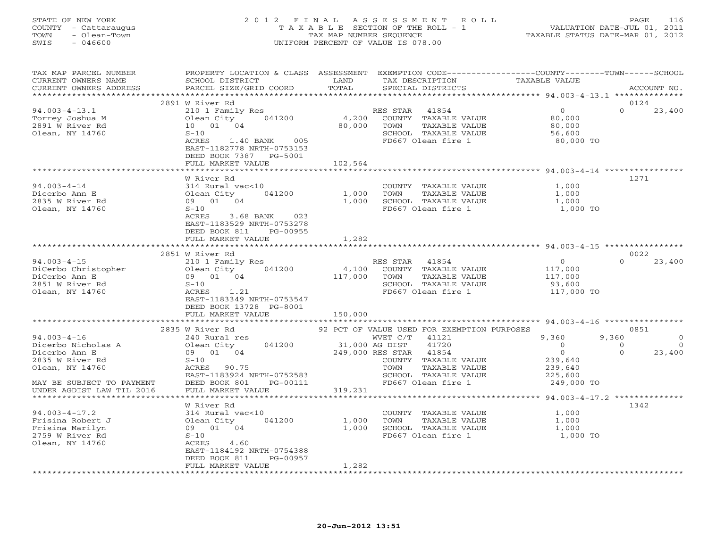|      | STATE OF NEW YORK                    | 2012 FINAL ASSESSMENT ROLL                                       | PAGE.                                                           | - 116 |
|------|--------------------------------------|------------------------------------------------------------------|-----------------------------------------------------------------|-------|
| TOWN | COUNTY - Cattaraugus<br>- Olean-Town | T A X A B L E SECTION OF THE ROLL - 1<br>TAX MAP NUMBER SEOUENCE | VALUATION DATE-JUL 01, 2011<br>TAXABLE STATUS DATE-MAR 01, 2012 |       |
| SWIS | - 046600                             | UNIFORM PERCENT OF VALUE IS 078.00                               |                                                                 |       |
|      |                                      |                                                                  |                                                                 |       |
|      |                                      |                                                                  |                                                                 |       |

| TAX MAP PARCEL NUMBER<br>CURRENT OWNERS NAME<br>CURRENT OWNERS ADDRESS                                                      | PROPERTY LOCATION & CLASS ASSESSMENT EXEMPTION CODE----------------COUNTY-------TOWN------SCHOOL<br>SCHOOL DISTRICT<br>PARCEL SIZE/GRID COORD                                      | LAND<br>TOTAL               | TAX DESCRIPTION<br>SPECIAL DISTRICTS                                                                                                                                                            | TAXABLE VALUE                                                                            | ACCOUNT NO.                             |
|-----------------------------------------------------------------------------------------------------------------------------|------------------------------------------------------------------------------------------------------------------------------------------------------------------------------------|-----------------------------|-------------------------------------------------------------------------------------------------------------------------------------------------------------------------------------------------|------------------------------------------------------------------------------------------|-----------------------------------------|
|                                                                                                                             |                                                                                                                                                                                    |                             |                                                                                                                                                                                                 |                                                                                          |                                         |
|                                                                                                                             | 2891 W River Rd                                                                                                                                                                    |                             |                                                                                                                                                                                                 |                                                                                          | 0124                                    |
| $94.003 - 4 - 13.1$<br>Torrey Joshua M<br>2891 W River Rd<br>Olean, NY 14760                                                | 210 1 Family Res<br>Olean City 041200<br>10  01  04<br>$S-10$<br>1.40 BANK 005<br>ACRES<br>EAST-1182778 NRTH-0753153<br>DEED BOOK 7387 PG-5001                                     | 4,200<br>80,000             | RES STAR 41854<br>COUNTY TAXABLE VALUE<br>TOWN<br>TAXABLE VALUE<br>SCHOOL TAXABLE VALUE<br>FD667 Olean fire 1                                                                                   | $\Omega$<br>80,000<br>80,000<br>56,600<br>80,000 TO                                      | $\Omega$<br>23,400                      |
|                                                                                                                             | FULL MARKET VALUE                                                                                                                                                                  | 102,564                     |                                                                                                                                                                                                 |                                                                                          |                                         |
|                                                                                                                             |                                                                                                                                                                                    |                             |                                                                                                                                                                                                 |                                                                                          |                                         |
| $94.003 - 4 - 14$<br>Dicerbo Ann E<br>2835 W River Rd<br>Olean, NY 14760                                                    | W River Rd<br>314 Rural vac<10<br>041200<br>Olean City<br>09 01 04<br>$S-10$<br>ACRES 3.68 BANK 023<br>EAST-1183529 NRTH-0753278<br>DEED BOOK 811<br>PG-00955<br>FULL MARKET VALUE | 1,000<br>1,282              | COUNTY TAXABLE VALUE<br>TAXABLE VALUE<br>TOWN<br>1,000 SCHOOL TAXABLE VALUE<br>FD667 Olean fire 1                                                                                               | 1,000<br>1,000<br>1,000<br>1,000 TO                                                      | 1271                                    |
|                                                                                                                             | ***************************                                                                                                                                                        |                             |                                                                                                                                                                                                 |                                                                                          |                                         |
|                                                                                                                             | 2851 W River Rd                                                                                                                                                                    |                             |                                                                                                                                                                                                 |                                                                                          | 0022                                    |
| $94.003 - 4 - 15$<br>DiCerbo Christopher<br>DiCerbo Ann E<br>2851 W River Rd<br>Olean, NY 14760                             | 210 1 Family Res<br>Olean City 041200<br>09 01 04<br>$S-10$<br>ACRES 1.21<br>EAST-1183349 NRTH-0753547<br>DEED BOOK 13728 PG-8001<br>FULL MARKET VALUE                             | 4,100<br>117,000<br>150,000 | RES STAR<br>41854<br>COUNTY TAXABLE VALUE<br>TOWN<br>TAXABLE VALUE<br>SCHOOL TAXABLE VALUE<br>FD667 Olean fire 1                                                                                | $\overline{0}$<br>117,000<br>117,000<br>93,600<br>117,000 TO                             | $\Omega$<br>23,400                      |
|                                                                                                                             | *********************                                                                                                                                                              |                             |                                                                                                                                                                                                 |                                                                                          | 0851                                    |
| $94.003 - 4 - 16$<br>Dicerbo Nicholas A<br>Dicerbo Ann E<br>2835 W River Rd<br>Olean, NY 14760<br>MAY BE SUBJECT TO PAYMENT | 2835 W River Rd<br>240 Rural res<br>Olean City 041200<br>09 01 04<br>$S-10$<br>ACRES 90.75<br>EAST-1183924 NRTH-0752583<br>DEED BOOK 801<br>PG-00111                               | 31,000 AG DIST              | 92 PCT OF VALUE USED FOR EXEMPTION PURPOSES<br>WVET C/T 41121<br>41720<br>249,000 RES STAR 41854<br>COUNTY TAXABLE VALUE<br>TAXABLE VALUE<br>TOWN<br>SCHOOL TAXABLE VALUE<br>FD667 Olean fire 1 | 9,360<br>$\overline{0}$<br>$\overline{0}$<br>239,640<br>239,640<br>225,600<br>249,000 TO | 9,360<br>$\Omega$<br>$\Omega$<br>23,400 |
| UNDER AGDIST LAW TIL 2016                                                                                                   | FULL MARKET VALUE                                                                                                                                                                  | 319,231                     |                                                                                                                                                                                                 |                                                                                          |                                         |
| $94.003 - 4 - 17.2$<br>Frisina Robert J<br>Frisina Marilyn<br>2759 W River Rd<br>Olean, NY 14760                            | * * * * * * * * * * * * * * * * * * *<br>W River Rd<br>314 Rural vac<10<br>041200<br>Olean City<br>09 01 04<br>$S-10$<br>ACRES 4.60                                                | 1,000<br>1,000              | COUNTY TAXABLE VALUE<br>TOWN<br>TAXABLE VALUE<br>SCHOOL TAXABLE VALUE<br>FD667 Olean fire 1                                                                                                     | 1,000<br>1,000<br>1,000<br>1,000 TO                                                      | 1342                                    |
|                                                                                                                             | EAST-1184192 NRTH-0754388<br>PG-00957<br>DEED BOOK 811<br>FULL MARKET VALUE                                                                                                        | 1,282                       |                                                                                                                                                                                                 |                                                                                          |                                         |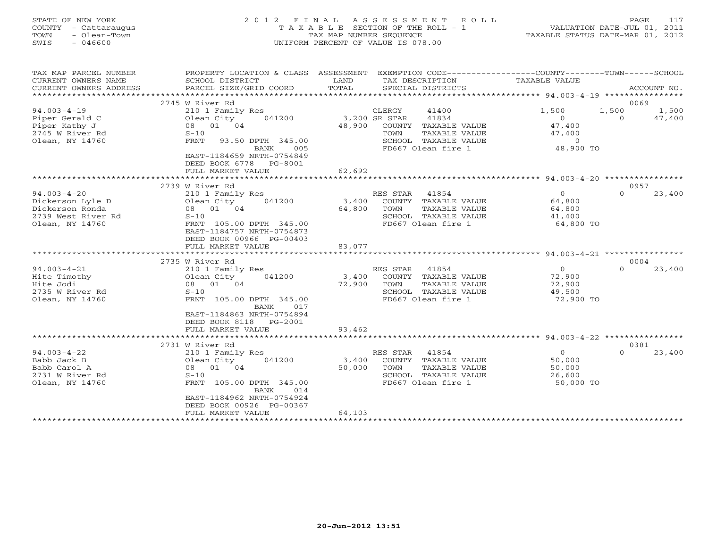| STATE OF NEW YORK<br>COUNTY - Cattaraugus<br>- Olean-Town<br>TOWN<br>$-046600$<br>SWIS            | 2012 FINAL                                                                                                                                                                                                       | ASSESSMENT ROLL<br>TAXABLE SECTION OF THE ROLL - 1<br>TAX MAP NUMBER SEOUENCE<br>UNIFORM PERCENT OF VALUE IS 078.00                                       | PAGE<br>117<br>$\begin{array}{cccc}\n \texttt{L} & \texttt{L} & \texttt{L} & \texttt{L} & \texttt{L} & \texttt{L} \\  \texttt{VALUATION DATA} & \texttt{DATE-JUL} & \texttt{01, 2011}\n \end{array}$<br>TAXABLE STATUS DATE-MAR 01, 2012 |
|---------------------------------------------------------------------------------------------------|------------------------------------------------------------------------------------------------------------------------------------------------------------------------------------------------------------------|-----------------------------------------------------------------------------------------------------------------------------------------------------------|------------------------------------------------------------------------------------------------------------------------------------------------------------------------------------------------------------------------------------------|
| TAX MAP PARCEL NUMBER<br>CURRENT OWNERS NAME<br>CURRENT OWNERS ADDRESS                            | SCHOOL DISTRICT<br>PARCEL SIZE/GRID COORD                                                                                                                                                                        | PROPERTY LOCATION & CLASS ASSESSMENT EXEMPTION CODE---------------COUNTY-------TOWN-----SCHOOL<br>LAND<br>TAX DESCRIPTION<br>TOTAL<br>SPECIAL DISTRICTS   | TAXABLE VALUE<br>ACCOUNT NO.                                                                                                                                                                                                             |
| $94.003 - 4 - 19$<br>Piper Gerald C<br>Piper Kathy J<br>2745 W River Rd<br>Olean, NY 14760        | 2745 W River Rd<br>210 1 Family Res<br>Olean City<br>041200<br>08 01 04<br>$S-10$<br>FRNT<br>93.50 DPTH 345.00<br><b>BANK</b><br>005<br>EAST-1184659 NRTH-0754849<br>DEED BOOK 6778 PG-8001<br>FULL MARKET VALUE | CLERGY<br>41400<br>3,200 SR STAR<br>41834<br>48,900 COUNTY TAXABLE VALUE<br>TOWN<br>TAXABLE VALUE<br>SCHOOL TAXABLE VALUE<br>FD667 Olean fire 1<br>62,692 | 0069<br>1,500<br>1,500<br>1,500<br>47,400<br>$\overline{0}$<br>$\Omega$<br>47,400<br>47,400<br>$\overline{0}$<br>48,900 TO                                                                                                               |
|                                                                                                   |                                                                                                                                                                                                                  |                                                                                                                                                           |                                                                                                                                                                                                                                          |
| $94.003 - 4 - 20$<br>Dickerson Lyle D<br>Dickerson Ronda<br>2739 West River Rd<br>Olean, NY 14760 | 2739 W River Rd<br>210 1 Family Res<br>Olean City<br>041200<br>08 01 04<br>$S-10$<br>FRNT 105.00 DPTH 345.00<br>EAST-1184757 NRTH-0754873<br>DEED BOOK 00966 PG-00403                                            | RES STAR<br>41854<br>3,400<br>COUNTY TAXABLE VALUE<br>64,800<br>TOWN<br>TAXABLE VALUE<br>SCHOOL TAXABLE VALUE<br>FD667 Olean fire 1                       | 0957<br>$\Omega$<br>23,400<br>$\Omega$<br>64,800<br>64,800<br>41,400<br>64,800 TO                                                                                                                                                        |
|                                                                                                   | FULL MARKET VALUE                                                                                                                                                                                                | 83,077                                                                                                                                                    |                                                                                                                                                                                                                                          |
|                                                                                                   | 2735 W River Rd                                                                                                                                                                                                  |                                                                                                                                                           | 0004                                                                                                                                                                                                                                     |
| $94.003 - 4 - 21$<br>Hite Timothy<br>Hite Jodi<br>2735 W River Rd<br>Olean, NY 14760              | 210 1 Family Res<br>Olean City<br>041200<br>08 01 04<br>$S-10$<br>FRNT 105.00 DPTH 345.00<br>BANK<br>017                                                                                                         | RES STAR<br>41854<br>3,400<br>COUNTY TAXABLE VALUE<br>72,900<br>TOWN<br>TAXABLE VALUE<br>SCHOOL TAXABLE VALUE<br>FD667 Olean fire 1                       | 23,400<br>$\overline{0}$<br>$\Omega$<br>72,900<br>72,900<br>49,500<br>72,900 TO                                                                                                                                                          |
|                                                                                                   | EAST-1184863 NRTH-0754894<br>DEED BOOK 8118 PG-2001<br>FULL MARKET VALUE                                                                                                                                         | 93,462                                                                                                                                                    |                                                                                                                                                                                                                                          |

|                   | 2731 W River Rd            |        |          |                    | フユ・ソリコーユームム | 0381    |        |
|-------------------|----------------------------|--------|----------|--------------------|-------------|---------|--------|
| $94.003 - 4 - 22$ | 210 1 Family Res           |        | RES STAR | 41854              |             | $\circ$ | 23,400 |
| Babb Jack B       | 041200<br>Olean City       | 3,400  | COUNTY   | TAXABLE VALUE      | 50,000      |         |        |
| Babb Carol A      | 08 01<br>04                | 50,000 | TOWN     | TAXABLE VALUE      | 50,000      |         |        |
| 2731 W River Rd   | $S-10$                     |        | SCHOOL   | TAXABLE VALUE      | 26,600      |         |        |
| Olean, NY 14760   | 105.00 DPTH 345.00<br>FRNT |        |          | FD667 Olean fire 1 | 50,000 TO   |         |        |
|                   | 014<br>BANK                |        |          |                    |             |         |        |
|                   | EAST-1184962 NRTH-0754924  |        |          |                    |             |         |        |
|                   | DEED BOOK 00926 PG-00367   |        |          |                    |             |         |        |
|                   | FULL MARKET VALUE          | 64,103 |          |                    |             |         |        |
|                   |                            |        |          |                    |             |         |        |
|                   |                            |        |          |                    |             |         |        |
|                   |                            |        |          |                    |             |         |        |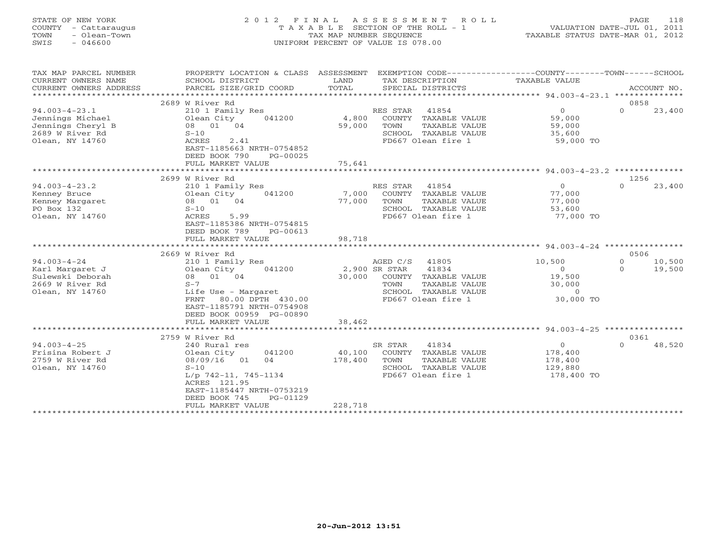| STATE OF NEW YORK<br>- Cattaraugus<br>COUNTY<br>- Olean-Town<br>TOWN<br>SWIS<br>- 046600 |                                                                        | TAX MAP NUMBER SEOUENCE     | 2012 FINAL ASSESSMENT ROLL<br>T A X A B L E SECTION OF THE ROLL - 1<br>UNIFORM PERCENT OF VALUE IS 078.00 | 118<br><b>PAGE</b><br>VALUATION DATE-JUL 01, 2011<br>TAXABLE STATUS DATE-MAR 01, 2012           |
|------------------------------------------------------------------------------------------|------------------------------------------------------------------------|-----------------------------|-----------------------------------------------------------------------------------------------------------|-------------------------------------------------------------------------------------------------|
| TAX MAP PARCEL NUMBER<br>CURRENT OWNERS NAME<br>CURRENT OWNERS ADDRESS                   | PROPERTY LOCATION & CLASS<br>SCHOOL DISTRICT<br>PARCEL SIZE/GRID COORD | ASSESSMENT<br>LAND<br>TOTAL | TAX DESCRIPTION<br>SPECIAL DISTRICTS                                                                      | EXEMPTION CODE-----------------COUNTY------TOWN----<br>--SCHOOL<br>TAXABLE VALUE<br>ACCOUNT NO. |

|                     |                           |                                  | 94.003-4-23.1 ***************                           |
|---------------------|---------------------------|----------------------------------|---------------------------------------------------------|
|                     | 2689 W River Rd           |                                  | 0858<br>$\Omega$                                        |
| $94.003 - 4 - 23.1$ | 210 1 Family Res          | RES STAR<br>41854                | 23,400<br>$\Omega$                                      |
| Jennings Michael    | Olean City<br>041200      | COUNTY TAXABLE VALUE<br>4,800    | 59,000                                                  |
| Jennings Cheryl B   | 08 01<br>04               | 59,000<br>TOWN<br>TAXABLE VALUE  | 59,000                                                  |
| 2689 W River Rd     | $S-10$                    | SCHOOL TAXABLE VALUE             | 35,600                                                  |
| Olean, NY 14760     | 2.41<br>ACRES             | FD667 Olean fire 1               | 59,000 TO                                               |
|                     | EAST-1185663 NRTH-0754852 |                                  |                                                         |
|                     | DEED BOOK 790<br>PG-00025 |                                  |                                                         |
|                     | FULL MARKET VALUE         | 75,641                           |                                                         |
|                     | 2699 W River Rd           |                                  | $94.003 - 4 - 23.2$ ***************<br>1256             |
| $94.003 - 4 - 23.2$ | 210 1 Family Res          | RES STAR<br>41854                | $\Omega$<br>$\Omega$<br>23,400                          |
| Kenney Bruce        | Olean City<br>041200      | 7,000<br>COUNTY TAXABLE VALUE    | 77,000                                                  |
| Kenney Margaret     | 08 01 04                  | 77,000<br>TOWN<br>TAXABLE VALUE  | 77,000                                                  |
| PO Box 132          | $S-10$                    | SCHOOL TAXABLE VALUE             | 53,600                                                  |
| Olean, NY 14760     | ACRES<br>5.99             | FD667 Olean fire 1               | 77,000 TO                                               |
|                     | EAST-1185386 NRTH-0754815 |                                  |                                                         |
|                     | DEED BOOK 789<br>PG-00613 |                                  |                                                         |
|                     | FULL MARKET VALUE         | 98,718                           |                                                         |
|                     |                           |                                  | ******* 94.003-4-24 ****************                    |
|                     | 2669 W River Rd           |                                  | 0506                                                    |
| $94.003 - 4 - 24$   | 210 1 Family Res          | AGED C/S<br>41805                | 10,500<br>10,500<br>$\Omega$                            |
| Karl Margaret J     | Olean City<br>041200      | 2,900 SR STAR<br>41834           | 19,500<br>$\circ$<br>$\Omega$                           |
| Sulewski Deborah    | 08 01 04                  | 30,000<br>COUNTY TAXABLE VALUE   | 19,500                                                  |
| 2669 W River Rd     | $S-7$                     | TOWN<br>TAXABLE VALUE            | 30,000                                                  |
| Olean, NY 14760     | Life Use - Margaret       | SCHOOL TAXABLE VALUE             | $\Omega$                                                |
|                     | FRNT<br>80.00 DPTH 430.00 | FD667 Olean fire 1               | 30,000 TO                                               |
|                     | EAST-1185791 NRTH-0754908 |                                  |                                                         |
|                     | DEED BOOK 00959 PG-00890  |                                  |                                                         |
|                     | FULL MARKET VALUE         | 38,462                           |                                                         |
|                     |                           |                                  | ******************************* 94.003-4-25 *********** |
|                     | 2759 W River Rd           |                                  | 0361                                                    |
| $94.003 - 4 - 25$   | 240 Rural res             | SR STAR<br>41834                 | $\circ$<br>$\Omega$<br>48,520                           |
| Frisina Robert J    | 041200<br>Olean City      | 40,100<br>COUNTY TAXABLE VALUE   | 178,400                                                 |
| 2759 W River Rd     | 08/09/16<br>01<br>04      | 178,400<br>TOWN<br>TAXABLE VALUE | 178,400                                                 |
| Olean, NY 14760     | $S-10$                    | SCHOOL TAXABLE VALUE             | 129,880                                                 |
|                     | $L/p$ 742-11, 745-1134    | FD667 Olean fire 1               | 178,400 TO                                              |
|                     | ACRES 121.95              |                                  |                                                         |
|                     | EAST-1185447 NRTH-0753219 |                                  |                                                         |
|                     | DEED BOOK 745<br>PG-01129 |                                  |                                                         |
|                     | FULL MARKET VALUE         | 228,718                          |                                                         |
|                     |                           |                                  |                                                         |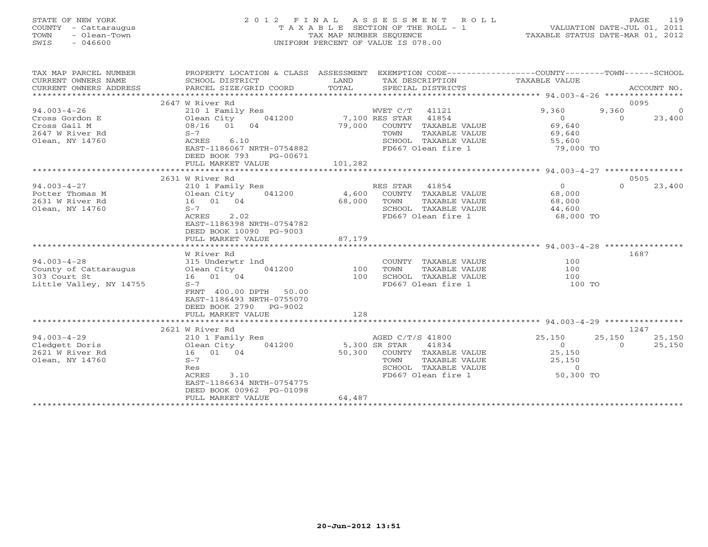# STATE OF NEW YORK 2 0 1 2 F I N A L A S S E S S M E N T R O L L PAGE 119 COUNTY - Cattaraugus T A X A B L E SECTION OF THE ROLL - 1 VALUATION DATE-JUL 01, 2011 TOWN - Olean-Town TAX MAP NUMBER SEQUENCE TAXABLE STATUS DATE-MAR 01, 2012 SWIS - 046600 UNIFORM PERCENT OF VALUE IS 078.00UNIFORM PERCENT OF VALUE IS 078.00

| TAX MAP PARCEL NUMBER<br>CURRENT OWNERS NAME<br>CURRENT OWNERS ADDRESS  | PROPERTY LOCATION & CLASS ASSESSMENT EXEMPTION CODE---------------COUNTY-------TOWN------SCHOOL<br>SCHOOL DISTRICT<br>PARCEL SIZE/GRID COORD | LAND<br>TOTAL | TAX DESCRIPTION TAXABLE VALUE<br>SPECIAL DISTRICTS |                                                    | ACCOUNT NO.              |
|-------------------------------------------------------------------------|----------------------------------------------------------------------------------------------------------------------------------------------|---------------|----------------------------------------------------|----------------------------------------------------|--------------------------|
|                                                                         |                                                                                                                                              |               |                                                    |                                                    |                          |
|                                                                         | 2647 W River Rd                                                                                                                              |               |                                                    |                                                    | 0095                     |
| $94.003 - 4 - 26$                                                       | 210 1 Family Res                                                                                                                             |               | WVET C/T 41121                                     | 9,360                                              | 9,360<br>$\overline{0}$  |
| Cross Gordon E                                                          | Olean City 041200 7,100 RES STAR 41854                                                                                                       |               |                                                    | $\overline{0}$                                     | 23,400<br>$\Omega$       |
| Cross Gail M                                                            |                                                                                                                                              | 79,000        | COUNTY TAXABLE VALUE                               | 69,640<br>69,640                                   |                          |
| 2647 W River Rd                                                         | $S-7$                                                                                                                                        |               | TAXABLE VALUE<br>TOWN                              |                                                    |                          |
| Olean, NY 14760                                                         | ACRES 6.10                                                                                                                                   |               | SCHOOL TAXABLE VALUE 55,600                        |                                                    |                          |
|                                                                         | EAST-1186067 NRTH-0754882                                                                                                                    |               | FD667 Olean fire 1                                 | 79,000 TO                                          |                          |
|                                                                         | DEED BOOK 793<br>PG-00671                                                                                                                    |               |                                                    |                                                    |                          |
|                                                                         | FULL MARKET VALUE                                                                                                                            | 101,282       |                                                    |                                                    |                          |
|                                                                         |                                                                                                                                              |               |                                                    |                                                    |                          |
|                                                                         | 2631 W River Rd                                                                                                                              |               |                                                    |                                                    | 0505                     |
| $94.003 - 4 - 27$                                                       | 210 1 Family Res                                                                                                                             |               | RES STAR 41854                                     | $\begin{array}{c} 0 \ 68,000 \ 68,000 \end{array}$ | $\Omega$<br>23,400       |
| Potter Thomas M                                                         | Olean City 041200                                                                                                                            |               | 4,600 COUNTY TAXABLE VALUE                         |                                                    |                          |
| Olean City<br>16 01 04<br>2631 W River Rd                               |                                                                                                                                              | 68,000        | TAXABLE VALUE<br>TOWN                              |                                                    |                          |
| Olean, NY 14760                                                         | $S-7$                                                                                                                                        |               | SCHOOL TAXABLE VALUE 44,600                        |                                                    |                          |
|                                                                         | ACRES 2.02                                                                                                                                   |               | FD667 Olean fire 1                                 | 68,000 TO                                          |                          |
|                                                                         | EAST-1186398 NRTH-0754782                                                                                                                    |               |                                                    |                                                    |                          |
|                                                                         | DEED BOOK 10090 PG-9003                                                                                                                      |               |                                                    |                                                    |                          |
|                                                                         | FULL MARKET VALUE                                                                                                                            | 87,179        |                                                    |                                                    |                          |
|                                                                         |                                                                                                                                              |               |                                                    |                                                    |                          |
|                                                                         | W River Rd                                                                                                                                   |               |                                                    |                                                    | 1687                     |
| $94.003 - 4 - 28$                                                       | 315 Underwtr 1nd                                                                                                                             |               | COUNTY TAXABLE VALUE                               | $100$                                              |                          |
|                                                                         |                                                                                                                                              |               | TAXABLE VALUE<br>TOWN                              | 100                                                |                          |
| County of Cattaraugus been City 041200 100<br>303 Court St 16 01 04 100 |                                                                                                                                              |               | SCHOOL TAXABLE VALUE                               | 100                                                |                          |
| Little Valley, NY 14755                                                 | $S-7$                                                                                                                                        |               | FD667 Olean fire 1                                 | 100 TO                                             |                          |
|                                                                         | FRNT 400.00 DPTH 50.00                                                                                                                       |               |                                                    |                                                    |                          |
|                                                                         | EAST-1186493 NRTH-0755070                                                                                                                    |               |                                                    |                                                    |                          |
|                                                                         | DEED BOOK 2790 PG-9002                                                                                                                       |               |                                                    |                                                    |                          |
|                                                                         | FULL MARKET VALUE                                                                                                                            | 128           |                                                    |                                                    |                          |
|                                                                         |                                                                                                                                              |               |                                                    |                                                    |                          |
|                                                                         | 2621 W River Rd                                                                                                                              |               |                                                    |                                                    | 1247                     |
| $94.003 - 4 - 29$                                                       | 210 1 Family Res                                                                                                                             |               | AGED C/T/S 41800                                   | 25,150                                             | 25,150<br>25,150         |
| Cledgett Doris<br>Olean City<br>16 01 04                                | 041200                                                                                                                                       | 5,300 SR STAR | 41834                                              | $\overline{O}$                                     | 25,150<br>$\overline{0}$ |
| 2621 W River Rd                                                         |                                                                                                                                              |               | 50,300 COUNTY TAXABLE VALUE                        | 25,150                                             |                          |
| Olean, NY 14760                                                         | $S-7$                                                                                                                                        |               | TAXABLE VALUE<br>TOWN                              | 25,150                                             |                          |
|                                                                         | Res                                                                                                                                          |               |                                                    | $\circ$                                            |                          |
|                                                                         | 3.10<br>ACRES                                                                                                                                |               | Convou TAAABLE VALUE<br>FD667 Olean fire 1         | 50,300 TO                                          |                          |
|                                                                         | EAST-1186634 NRTH-0754775                                                                                                                    |               |                                                    |                                                    |                          |
|                                                                         | DEED BOOK 00962 PG-01098                                                                                                                     |               |                                                    |                                                    |                          |
|                                                                         | FULL MARKET VALUE                                                                                                                            | 64,487        |                                                    |                                                    |                          |
|                                                                         |                                                                                                                                              |               |                                                    |                                                    |                          |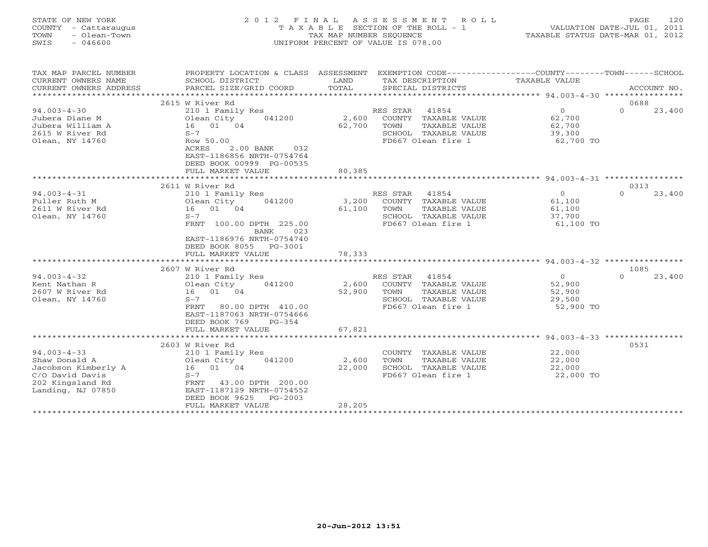| <b>COUNTY</b><br>- Cattaraugus<br>TOWN<br>- Olean-Town<br>$-046600$<br>SWIS | T A X A B L E SECTION OF THE ROLL - 1<br>TAX MAP NUMBER SEQUENCE<br>UNIFORM PERCENT OF VALUE IS 078.00                      |               | TAXABLE STATUS DATE-MAR 01, 2012                                                                    | VALUATION DATE-JUL 01, 2011       |                    |
|-----------------------------------------------------------------------------|-----------------------------------------------------------------------------------------------------------------------------|---------------|-----------------------------------------------------------------------------------------------------|-----------------------------------|--------------------|
| TAX MAP PARCEL NUMBER<br>CURRENT OWNERS NAME<br>CURRENT OWNERS ADDRESS      | PROPERTY LOCATION & CLASS ASSESSMENT<br>SCHOOL DISTRICT<br>PARCEL SIZE/GRID COORD                                           | LAND<br>TOTAL | EXEMPTION CODE----------------COUNTY-------TOWN------SCHOOL<br>TAX DESCRIPTION<br>SPECIAL DISTRICTS | TAXABLE VALUE                     | ACCOUNT NO.        |
|                                                                             | 2615 W River Rd                                                                                                             |               |                                                                                                     |                                   | 0688               |
| $94.003 - 4 - 30$                                                           | 210 1 Family Res                                                                                                            |               | 41854<br>RES STAR                                                                                   | $\overline{0}$                    | 23,400<br>$\Omega$ |
| Jubera Diane M                                                              | 041200<br>Olean City                                                                                                        | 2,600         | COUNTY TAXABLE VALUE                                                                                | 62,700                            |                    |
| Jubera William A                                                            | 16 01 04                                                                                                                    | 62,700        | TAXABLE VALUE<br>TOWN                                                                               | 62,700                            |                    |
| 2615 W River Rd                                                             | $S-7$                                                                                                                       |               | SCHOOL TAXABLE VALUE                                                                                | 39,300                            |                    |
| Olean, NY 14760                                                             | Row 50.00<br>ACRES<br>$2.00$ BANK<br>032<br>EAST-1186856 NRTH-0754764<br>DEED BOOK 00999 PG-00535                           |               | FD667 Olean fire 1                                                                                  | 62,700 TO                         |                    |
|                                                                             | FULL MARKET VALUE                                                                                                           | 80,385        |                                                                                                     |                                   |                    |
|                                                                             | 2611 W River Rd                                                                                                             |               |                                                                                                     |                                   | 0313               |
| $94.003 - 4 - 31$                                                           | 210 1 Family Res                                                                                                            |               | RES STAR<br>41854                                                                                   | $\overline{0}$                    | 23,400<br>$\Omega$ |
| Fuller Ruth M                                                               | 041200<br>Olean City                                                                                                        | 3,200         | COUNTY TAXABLE VALUE                                                                                | 61,100                            |                    |
| 2611 W River Rd                                                             | 16 01 04                                                                                                                    | 61,100        | TAXABLE VALUE<br>TOWN                                                                               | 61,100                            |                    |
| Olean, NY 14760                                                             | $S-7$<br>FRNT 100.00 DPTH 225.00<br>023<br>BANK<br>EAST-1186976 NRTH-0754740<br>DEED BOOK 8055 PG-3001<br>FULL MARKET VALUE | 78,333        | SCHOOL TAXABLE VALUE<br>FD667 Olean fire 1                                                          | 37,700<br>61,100 TO               |                    |
|                                                                             |                                                                                                                             |               |                                                                                                     |                                   |                    |
|                                                                             | 2607 W River Rd                                                                                                             |               |                                                                                                     |                                   | 1085               |
| $94.003 - 4 - 32$                                                           | 210 1 Family Res                                                                                                            |               | 41854<br>RES STAR                                                                                   | $\circ$                           | 23,400<br>$\Omega$ |
| Kent Nathan R                                                               | 041200<br>Olean City                                                                                                        | 2,600         | COUNTY TAXABLE VALUE                                                                                | 52,900                            |                    |
| 2607 W River Rd                                                             | 16 01 04                                                                                                                    | 52,900        | TAXABLE VALUE<br>TOWN                                                                               | 52,900                            |                    |
| Olean, NY 14760                                                             | $S-7$<br>FRNT<br>80.00 DPTH 410.00<br>EAST-1187063 NRTH-0754666<br>DEED BOOK 769<br>$PG-354$                                |               | SCHOOL TAXABLE VALUE<br>FD667 Olean fire 1                                                          | 29,500<br>52,900 TO               |                    |
|                                                                             | FULL MARKET VALUE                                                                                                           | 67,821        |                                                                                                     |                                   |                    |
|                                                                             |                                                                                                                             |               |                                                                                                     | **************** 94.003-4-33 **** |                    |
| $94.003 - 4 - 33$                                                           | 2603 W River Rd<br>210 1 Family Res                                                                                         |               | COUNTY TAXABLE VALUE                                                                                | 22,000                            | 0531               |
| Shaw Donald A                                                               | Olean City<br>041200                                                                                                        | 2,600         | TAXABLE VALUE<br>TOWN                                                                               | 22,000                            |                    |
| Jacobson Kimberly A                                                         | 16 01 04                                                                                                                    | 22,000        | SCHOOL TAXABLE VALUE                                                                                | 22,000                            |                    |
| C/O David Davis<br>202 Kingsland Rd<br>Landing, NJ 07850                    | $S-7$<br>43.00 DPTH 200.00<br>FRNT<br>EAST-1187129 NRTH-0754552<br>DEED BOOK 9625<br>$PG-2003$                              |               | FD667 Olean fire 1                                                                                  | 22,000 TO                         |                    |
|                                                                             | FULL MARKET VALUE                                                                                                           | 28,205        |                                                                                                     |                                   |                    |
|                                                                             | *********************                                                                                                       | ************  |                                                                                                     |                                   |                    |

STATE OF NEW YORK 2012 FINAL ASSESSMENT ROLL PAGE 120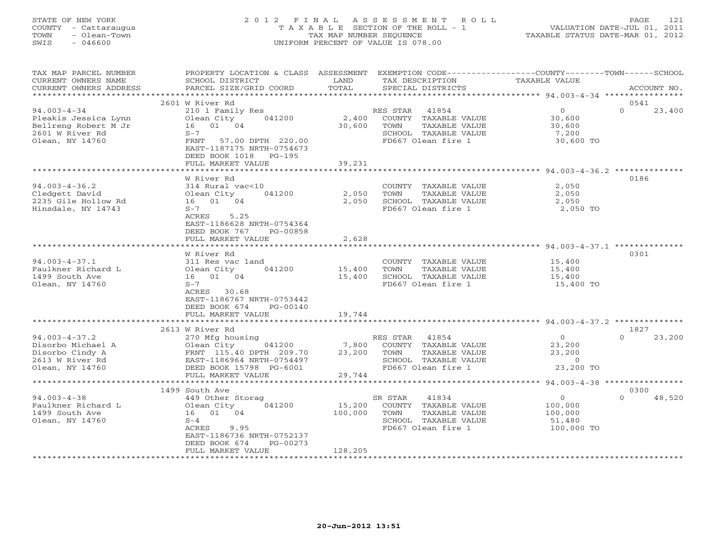# STATE OF NEW YORK 2 0 1 2 F I N A L A S S E S S M E N T R O L L PAGE 121 COUNTY - Cattaraugus T A X A B L E SECTION OF THE ROLL - 1 VALUATION DATE-JUL 01, 2011 TOWN - Olean-Town TAX MAP NUMBER SEQUENCE TAXABLE STATUS DATE-MAR 01, 2012 SWIS - 046600 UNIFORM PERCENT OF VALUE IS 078.00UNIFORM PERCENT OF VALUE IS 078.00

| TAX MAP PARCEL NUMBER<br>CURRENT OWNERS NAME<br>CURRENT OWNERS ADDRESS                                  | PROPERTY LOCATION & CLASS ASSESSMENT<br>SCHOOL DISTRICT<br>PARCEL SIZE/GRID COORD                                                                                                              | LAND<br>TOTAL                | EXEMPTION CODE-----------------COUNTY-------TOWN-----SCHOOL<br>TAX DESCRIPTION<br>SPECIAL DISTRICTS              | TAXABLE VALUE                                          | ACCOUNT NO.                |
|---------------------------------------------------------------------------------------------------------|------------------------------------------------------------------------------------------------------------------------------------------------------------------------------------------------|------------------------------|------------------------------------------------------------------------------------------------------------------|--------------------------------------------------------|----------------------------|
| *******************                                                                                     |                                                                                                                                                                                                |                              |                                                                                                                  |                                                        |                            |
| $94.003 - 4 - 34$<br>Pleakis Jessica Lynn<br>Bellreng Robert M Jr<br>2601 W River Rd<br>Olean, NY 14760 | 2601 W River Rd<br>210 1 Family Res<br>041200<br>Olean City<br>16 01 04<br>$S-7$<br>FRNT<br>57.00 DPTH 220.00<br>EAST-1187175 NRTH-0754673<br>DEED BOOK 1018<br>PG-195<br>FULL MARKET VALUE    | 2,400<br>30,600<br>39,231    | RES STAR<br>41854<br>COUNTY TAXABLE VALUE<br>TAXABLE VALUE<br>TOWN<br>SCHOOL TAXABLE VALUE<br>FD667 Olean fire 1 | $\circ$<br>30,600<br>30,600<br>7,200<br>30,600 TO      | 0541<br>$\Omega$<br>23,400 |
|                                                                                                         | W River Rd                                                                                                                                                                                     |                              |                                                                                                                  |                                                        | 0186                       |
| $94.003 - 4 - 36.2$<br>Cledgett David<br>2235 Gile Hollow Rd<br>Hinsdale, NY 14743                      | 314 Rural vac<10<br>041200<br>Olean City<br>16 01 04<br>$S-7$<br>ACRES 5.25<br>EAST-1186628 NRTH-0754364<br>DEED BOOK 767<br>PG-00858                                                          | 2,050<br>2,050               | COUNTY TAXABLE VALUE<br>TOWN<br>TAXABLE VALUE<br>SCHOOL TAXABLE VALUE<br>FD667 Olean fire 1                      | 2,050<br>2,050<br>2,050<br>2,050 TO                    |                            |
|                                                                                                         | FULL MARKET VALUE                                                                                                                                                                              | 2,628                        |                                                                                                                  |                                                        |                            |
| $94.003 - 4 - 37.1$<br>Faulkner Richard L<br>1499 South Ave<br>Olean, NY 14760                          | *****************<br>W River Rd<br>311 Res vac land<br>Olean City<br>041200<br>16 01 04<br>$S-7$<br>ACRES 30.68<br>EAST-1186767 NRTH-0753442<br>DEED BOOK 674<br>PG-00140<br>FULL MARKET VALUE | 15,400<br>15,400<br>19,744   | COUNTY TAXABLE VALUE<br>TOWN<br>TAXABLE VALUE<br>SCHOOL TAXABLE VALUE<br>FD667 Olean fire 1                      | 15,400<br>15,400<br>15,400<br>15,400 TO                | 0301                       |
|                                                                                                         | **********************                                                                                                                                                                         |                              |                                                                                                                  |                                                        |                            |
| $94.003 - 4 - 37.2$<br>Disorbo Michael A<br>Disorbo Cindy A<br>2613 W River Rd<br>Olean, NY 14760       | 2613 W River Rd<br>270 Mfg housing<br>Olean City<br>041200<br>FRNT 115.40 DPTH 209.70<br>EAST-1186964 NRTH-0754497<br>DEED BOOK 15798 PG-6001                                                  | 7,800<br>23,200              | RES STAR<br>41854<br>COUNTY TAXABLE VALUE<br>TOWN<br>TAXABLE VALUE<br>SCHOOL TAXABLE VALUE<br>FD667 Olean fire 1 | $\circ$<br>23,200<br>23,200<br>$\circ$<br>23,200 TO    | 1827<br>$\Omega$<br>23,200 |
|                                                                                                         | FULL MARKET VALUE<br>**********************                                                                                                                                                    | 29,744                       |                                                                                                                  |                                                        |                            |
| $94.003 - 4 - 38$<br>Faulkner Richard L<br>1499 South Ave<br>Olean, NY 14760                            | 1499 South Ave<br>449 Other Storag<br>Olean City<br>041200<br>16 01 04<br>$S-4$<br>ACRES<br>9.95<br>EAST-1186736 NRTH-0752137<br>DEED BOOK 674<br>$PG-00273$<br>FULL MARKET VALUE              | 15,200<br>100,000<br>128,205 | 41834<br>SR STAR<br>COUNTY TAXABLE VALUE<br>TOWN<br>TAXABLE VALUE<br>SCHOOL TAXABLE VALUE<br>FD667 Olean fire 1  | $\Omega$<br>100,000<br>100,000<br>51,480<br>100,000 TO | 0300<br>$\Omega$<br>48,520 |
|                                                                                                         |                                                                                                                                                                                                |                              |                                                                                                                  |                                                        |                            |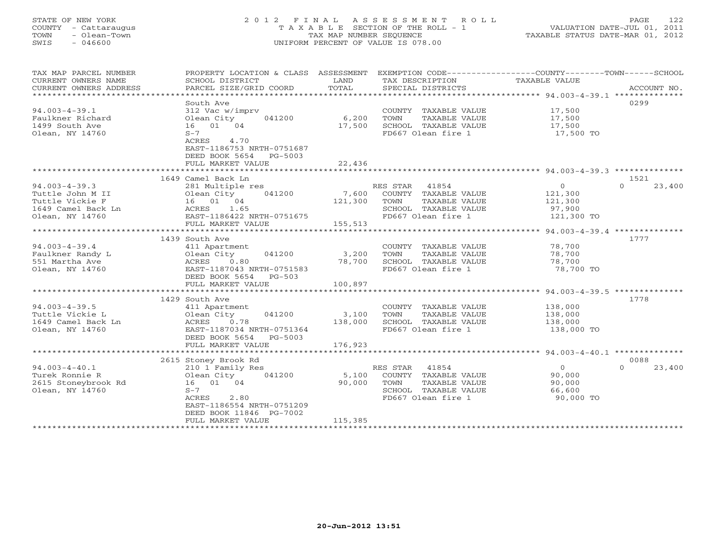# STATE OF NEW YORK 2 0 1 2 F I N A L A S S E S S M E N T R O L L PAGE 122 COUNTY - Cattaraugus T A X A B L E SECTION OF THE ROLL - 1 VALUATION DATE-JUL 01, 2011 TOWN - Olean-Town TAX MAP NUMBER SEQUENCE TAXABLE STATUS DATE-MAR 01, 2012 SWIS - 046600 UNIFORM PERCENT OF VALUE IS 078.00UNIFORM PERCENT OF VALUE IS 078.00

| TAX MAP PARCEL NUMBER<br>CURRENT OWNERS NAME<br>CURRENT OWNERS ADDRESS | PROPERTY LOCATION & CLASS ASSESSMENT EXEMPTION CODE---------------COUNTY-------TOWN------SCHOOL<br>SCHOOL DISTRICT<br>PARCEL SIZE/GRID COORD | LAND<br>TOTAL | TAX DESCRIPTION TAXABLE VALUE<br>SPECIAL DISTRICTS |                | ACCOUNT NO.        |
|------------------------------------------------------------------------|----------------------------------------------------------------------------------------------------------------------------------------------|---------------|----------------------------------------------------|----------------|--------------------|
| ******************************                                         |                                                                                                                                              |               |                                                    |                |                    |
|                                                                        | South Ave                                                                                                                                    |               |                                                    |                | 0299               |
| $94.003 - 4 - 39.1$                                                    | 312 Vac w/imprv                                                                                                                              |               | COUNTY TAXABLE VALUE                               | 17,500         |                    |
| Faulkner Richard                                                       | Olean City<br>041200                                                                                                                         | 6,200         | TOWN<br>TAXABLE VALUE                              | 17,500         |                    |
| 1499 South Ave                                                         | 16 01 04                                                                                                                                     | 17,500        | SCHOOL TAXABLE VALUE                               | 17,500         |                    |
| Olean, NY 14760                                                        | $S-7$                                                                                                                                        |               | FD667 Olean fire 1                                 | 17,500 TO      |                    |
|                                                                        | ACRES<br>4.70                                                                                                                                |               |                                                    |                |                    |
|                                                                        | EAST-1186753 NRTH-0751687                                                                                                                    |               |                                                    |                |                    |
|                                                                        | DEED BOOK 5654<br>PG-5003                                                                                                                    |               |                                                    |                |                    |
|                                                                        |                                                                                                                                              |               |                                                    |                |                    |
|                                                                        | FULL MARKET VALUE<br>***************************                                                                                             | 22,436        |                                                    |                |                    |
|                                                                        | 1649 Camel Back Ln                                                                                                                           |               |                                                    |                | 1521               |
| $94.003 - 4 - 39.3$                                                    |                                                                                                                                              |               | RES STAR 41854                                     | $\overline{0}$ | 23,400<br>$\Omega$ |
|                                                                        | 281 Multiple res                                                                                                                             |               |                                                    |                |                    |
| Tuttle John M II                                                       | 041200<br>Olean City                                                                                                                         | 7,600         | COUNTY TAXABLE VALUE                               | 121,300        |                    |
| Tuttle Vickie F                                                        | 16 01 04                                                                                                                                     | 121,300       | TOWN<br>TAXABLE VALUE                              | 121,300        |                    |
| 1649 Camel Back Ln                                                     | ACRES 1.65                                                                                                                                   |               | SCHOOL TAXABLE VALUE                               | 97,900         |                    |
| Olean, NY 14760                                                        | EAST-1186422 NRTH-0751675                                                                                                                    |               | FD667 Olean fire 1                                 | 121,300 TO     |                    |
|                                                                        | FULL MARKET VALUE                                                                                                                            | 155,513       |                                                    |                |                    |
| ***********************                                                |                                                                                                                                              |               |                                                    |                |                    |
|                                                                        | 1439 South Ave                                                                                                                               |               |                                                    |                | 1777               |
| $94.003 - 4 - 39.4$                                                    | 411 Apartment                                                                                                                                |               | COUNTY TAXABLE VALUE                               | 78,700         |                    |
| Faulkner Randy L                                                       | Olean City<br>041200                                                                                                                         | 3,200         | TOWN<br>TAXABLE VALUE                              | 78,700         |                    |
| 551 Martha Ave                                                         | 0.80<br>ACRES                                                                                                                                | 78,700        | SCHOOL TAXABLE VALUE                               | 78,700         |                    |
| Olean, NY 14760                                                        | EAST-1187043 NRTH-0751583                                                                                                                    |               | FD667 Olean fire 1                                 | 78,700 TO      |                    |
|                                                                        | DEED BOOK 5654 PG-503                                                                                                                        |               |                                                    |                |                    |
|                                                                        | FULL MARKET VALUE                                                                                                                            | 100,897       |                                                    |                |                    |
|                                                                        | ***********************                                                                                                                      |               |                                                    |                |                    |
|                                                                        | 1429 South Ave                                                                                                                               |               |                                                    |                | 1778               |
| $94.003 - 4 - 39.5$                                                    | 411 Apartment                                                                                                                                |               | COUNTY TAXABLE VALUE                               | 138,000        |                    |
| Tuttle Vickie L                                                        | Olean City<br>041200                                                                                                                         | 3,100         | TOWN<br>TAXABLE VALUE                              | 138,000        |                    |
| 1649 Camel Back Ln                                                     | 0.78<br>ACRES                                                                                                                                | 138,000       | SCHOOL TAXABLE VALUE                               | 138,000        |                    |
| Olean, NY 14760                                                        | EAST-1187034 NRTH-0751364                                                                                                                    |               | FD667 Olean fire 1                                 | 138,000 TO     |                    |
|                                                                        | DEED BOOK 5654 PG-5003                                                                                                                       |               |                                                    |                |                    |
|                                                                        | FULL MARKET VALUE                                                                                                                            | 176,923       |                                                    |                |                    |
|                                                                        |                                                                                                                                              |               |                                                    |                |                    |
|                                                                        | 2615 Stoney Brook Rd                                                                                                                         |               |                                                    |                | 0088               |
| $94.003 - 4 - 40.1$                                                    | 210 1 Family Res                                                                                                                             |               | RES STAR 41854                                     | $\overline{O}$ | $\Omega$<br>23,400 |
| Turek Ronnie R                                                         | 041200<br>Olean City                                                                                                                         | 5,100         | COUNTY TAXABLE VALUE                               | 90,000         |                    |
| 2615 Stoneybrook Rd                                                    | 16 01 04                                                                                                                                     | 90,000        | TOWN<br>TAXABLE VALUE                              | 90,000         |                    |
| Olean, NY 14760                                                        | $S-7$                                                                                                                                        |               | SCHOOL TAXABLE VALUE                               | 66,600         |                    |
|                                                                        | ACRES<br>2.80                                                                                                                                |               | FD667 Olean fire 1                                 | 90,000 TO      |                    |
|                                                                        | EAST-1186554 NRTH-0751209                                                                                                                    |               |                                                    |                |                    |
|                                                                        | DEED BOOK 11846 PG-7002                                                                                                                      |               |                                                    |                |                    |
|                                                                        | FULL MARKET VALUE                                                                                                                            | 115,385       |                                                    |                |                    |
|                                                                        |                                                                                                                                              |               |                                                    |                |                    |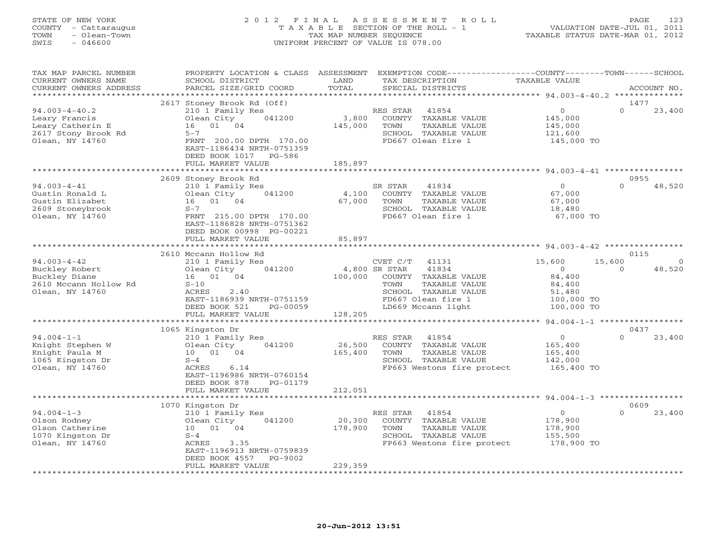#### STATE OF NEW YORK 2 0 1 2 F I N A L A S S E S S M E N T R O L L PAGE 123 COUNTY - Cattaraugus T A X A B L E SECTION OF THE ROLL - 1 VALUATION DATE-JUL 01, 2011 TOWN - Olean-Town TAX MAP NUMBER SEQUENCE TAXABLE STATUS DATE-MAR 01, 2012 SWIS - 046600 UNIFORM PERCENT OF VALUE IS 078.00UNIFORM PERCENT OF VALUE IS 078.00

| TAX MAP PARCEL NUMBER<br>CURRENT OWNERS NAME<br>CURRENT OWNERS ADDRESS                             | PROPERTY LOCATION & CLASS ASSESSMENT<br>SCHOOL DISTRICT<br>PARCEL SIZE/GRID COORD                                                                                                                         | LAND<br>TOTAL               | EXEMPTION CODE----------------COUNTY-------TOWN-----SCHOOL<br>TAX DESCRIPTION<br>SPECIAL DISTRICTS                                                               | TAXABLE VALUE                                                               | ACCOUNT NO.                                     |
|----------------------------------------------------------------------------------------------------|-----------------------------------------------------------------------------------------------------------------------------------------------------------------------------------------------------------|-----------------------------|------------------------------------------------------------------------------------------------------------------------------------------------------------------|-----------------------------------------------------------------------------|-------------------------------------------------|
| **********************                                                                             |                                                                                                                                                                                                           |                             |                                                                                                                                                                  |                                                                             |                                                 |
| $94.003 - 4 - 40.2$<br>Leary Francis<br>Leary Catherin E<br>2617 Stony Brook Rd<br>Olean, NY 14760 | 2617 Stoney Brook Rd (Off)<br>210 1 Family Res<br>041200<br>Olean City<br>01 04<br>16<br>$5 - 7$<br>FRNT 200.00 DPTH 170.00<br>EAST-1186434 NRTH-0751359<br>DEED BOOK 1017<br>PG-586<br>FULL MARKET VALUE | 3,800<br>145,000<br>185,897 | RES STAR<br>41854<br>COUNTY TAXABLE VALUE<br>TOWN<br>TAXABLE VALUE<br>SCHOOL TAXABLE VALUE<br>FD667 Olean fire 1                                                 | $\circ$<br>145,000<br>145,000<br>121,600<br>145,000 TO                      | 1477<br>$\Omega$<br>23,400                      |
|                                                                                                    |                                                                                                                                                                                                           | *********                   | ************************ 94.003-4-41 ************                                                                                                                |                                                                             |                                                 |
| $94.003 - 4 - 41$<br>Gustin Ronald L<br>Gustin Elizabet<br>2609 Stoneybrook<br>Olean, NY 14760     | 2609 Stoney Brook Rd<br>210 1 Family Res<br>Olean City<br>041200<br>01 04<br>16<br>$S-7$<br>FRNT 215.00 DPTH 170.00<br>EAST-1186828 NRTH-0751362<br>DEED BOOK 00998 PG-00221<br>FULL MARKET VALUE         | 4,100<br>67,000<br>85,897   | SR STAR<br>41834<br>COUNTY TAXABLE VALUE<br>TOWN<br>TAXABLE VALUE<br>SCHOOL TAXABLE VALUE<br>FD667 Olean fire 1                                                  | $\Omega$<br>67,000<br>67,000<br>18,480<br>67,000 TO                         | 0955<br>$\Omega$<br>48,520                      |
|                                                                                                    | **********************                                                                                                                                                                                    | ************                | ****************************** 94.003-4-42 ****************                                                                                                      |                                                                             |                                                 |
| $94.003 - 4 - 42$<br>Buckley Robert<br>Buckley Diane<br>2610 Mccann Hollow Rd<br>Olean, NY 14760   | 2610 Mccann Hollow Rd<br>210 1 Family Res<br>041200<br>Olean City<br>16 01 04<br>$S-10$<br>ACRES<br>2.40<br>EAST-1186939 NRTH-0751159<br>DEED BOOK 521<br>PG-00059                                        | 100,000                     | CVET C/T<br>41131<br>4,800 SR STAR<br>41834<br>COUNTY TAXABLE VALUE<br>TOWN<br>TAXABLE VALUE<br>SCHOOL TAXABLE VALUE<br>FD667 Olean fire 1<br>LD669 Mccann light | 15,600<br>$\circ$<br>84,400<br>84,400<br>51,480<br>100,000 TO<br>100,000 TO | 0115<br>15,600<br>$\circ$<br>48,520<br>$\Omega$ |
|                                                                                                    | FULL MARKET VALUE                                                                                                                                                                                         | 128,205                     |                                                                                                                                                                  |                                                                             |                                                 |
|                                                                                                    | *************************                                                                                                                                                                                 | *********************       |                                                                                                                                                                  |                                                                             | ************ 94.004-1-1 ******************      |
| $94.004 - 1 - 1$<br>Knight Stephen W<br>Knight Paula M<br>1065 Kingston Dr<br>Olean, NY 14760      | 1065 Kingston Dr<br>210 1 Family Res<br>041200<br>Olean City<br>10 01 04<br>$S-4$<br>ACRES<br>6.14<br>EAST-1196986 NRTH-0760154<br>DEED BOOK 878<br>PG-01179                                              | 26,500<br>165,400           | RES STAR<br>41854<br>COUNTY TAXABLE VALUE<br>TOWN<br>TAXABLE VALUE<br>SCHOOL TAXABLE VALUE<br>FP663 Westons fire protect                                         | $\circ$<br>165,400<br>165,400<br>142,000<br>165,400 TO                      | 0437<br>$\Omega$<br>23,400                      |
|                                                                                                    | FULL MARKET VALUE                                                                                                                                                                                         | 212,051                     |                                                                                                                                                                  |                                                                             |                                                 |
|                                                                                                    | *************************<br>1070 Kingston Dr                                                                                                                                                             | ****************            |                                                                                                                                                                  |                                                                             | 0609                                            |
| $94.004 - 1 - 3$<br>Olson Rodney<br>Olson Catherine<br>1070 Kingston Dr<br>Olean, NY 14760         | 210 1 Family Res<br>041200<br>Olean City<br>10 01 04<br>$S-4$<br>ACRES<br>3.35<br>EAST-1196913 NRTH-0759839<br>DEED BOOK 4557<br>PG-9002                                                                  | 20,300<br>178,900           | RES STAR<br>41854<br>COUNTY TAXABLE VALUE<br>TOWN<br>TAXABLE VALUE<br>SCHOOL TAXABLE VALUE<br>FP663 Westons fire protect                                         | $\circ$<br>178,900<br>178,900<br>155,500<br>178,900 TO                      | $\Omega$<br>23,400                              |
|                                                                                                    | FULL MARKET VALUE                                                                                                                                                                                         | 229,359                     |                                                                                                                                                                  |                                                                             |                                                 |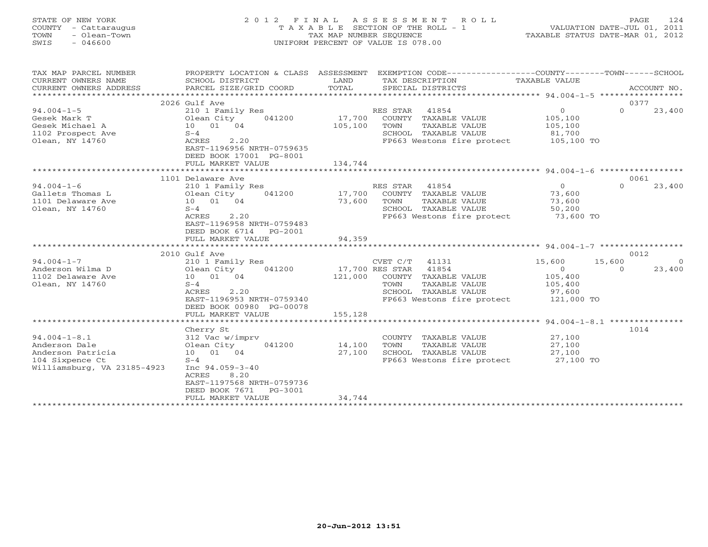# STATE OF NEW YORK 2 0 1 2 F I N A L A S S E S S M E N T R O L L PAGE 124 COUNTY - Cattaraugus T A X A B L E SECTION OF THE ROLL - 1 VALUATION DATE-JUL 01, 2011 TOWN - Olean-Town TAX MAP NUMBER SEQUENCE TAXABLE STATUS DATE-MAR 01, 2012 SWIS - 046600 UNIFORM PERCENT OF VALUE IS 078.00UNIFORM PERCENT OF VALUE IS 078.00

| TAX MAP PARCEL NUMBER       |                            |         | PROPERTY LOCATION & CLASS ASSESSMENT EXEMPTION CODE----------------COUNTY-------TOWN------SCHOOL |                           |                |               |
|-----------------------------|----------------------------|---------|--------------------------------------------------------------------------------------------------|---------------------------|----------------|---------------|
| CURRENT OWNERS NAME         | SCHOOL DISTRICT            | LAND    | TAX DESCRIPTION                                                                                  | TAXABLE VALUE             |                |               |
| CURRENT OWNERS ADDRESS      | PARCEL SIZE/GRID COORD     | TOTAL   | SPECIAL DISTRICTS                                                                                |                           |                | ACCOUNT NO.   |
|                             |                            |         |                                                                                                  |                           |                |               |
|                             | 2026 Gulf Ave              |         |                                                                                                  |                           | 0377           |               |
| $94.004 - 1 - 5$            | 210 1 Family Res           |         | RES STAR<br>41854                                                                                | $\overline{0}$            | $\Omega$       | 23,400        |
| Gesek Mark T                | Olean City<br>041200       | 17,700  | COUNTY TAXABLE VALUE                                                                             | 105,100                   |                |               |
| Gesek Michael A             | 10 01 04                   | 105,100 | TOWN<br>TAXABLE VALUE                                                                            | 105,100                   |                |               |
| 1102 Prospect Ave           | $S-4$                      |         | SCHOOL TAXABLE VALUE                                                                             | 81,700                    |                |               |
| Olean, NY 14760             | ACRES<br>2.20              |         | FP663 Westons fire protect                                                                       | 105,100 TO                |                |               |
|                             | EAST-1196956 NRTH-0759635  |         |                                                                                                  |                           |                |               |
|                             | DEED BOOK 17001 PG-8001    |         |                                                                                                  |                           |                |               |
|                             | FULL MARKET VALUE          | 134,744 |                                                                                                  |                           |                |               |
|                             |                            |         |                                                                                                  |                           |                |               |
|                             | 1101 Delaware Ave          |         |                                                                                                  |                           | 0061           |               |
| $94.004 - 1 - 6$            | 210 1 Family Res           |         | RES STAR 41854                                                                                   | $\overline{O}$            | $\Omega$       | 23,400        |
| Gallets Thomas L            | Olean City<br>041200       | 17,700  | COUNTY TAXABLE VALUE                                                                             | 73,600                    |                |               |
| 1101 Delaware Ave           | 10 01 04                   | 73,600  | TOWN<br>TAXABLE VALUE                                                                            | 73,600                    |                |               |
| Olean, NY 14760             | $S-4$                      |         | SCHOOL TAXABLE VALUE                                                                             | 50,200                    |                |               |
|                             | ACRES<br>2.20              |         | FP663 Westons fire protect 73,600 TO                                                             |                           |                |               |
|                             | EAST-1196958 NRTH-0759483  |         |                                                                                                  |                           |                |               |
|                             | DEED BOOK 6714<br>PG-2001  |         |                                                                                                  |                           |                |               |
|                             | FULL MARKET VALUE          | 94,359  |                                                                                                  |                           |                |               |
|                             |                            |         |                                                                                                  |                           |                |               |
| $94.004 - 1 - 7$            | 2010 Gulf Ave              |         |                                                                                                  |                           | 0012<br>15,600 |               |
| Anderson Wilma D            | 210 1 Family Res<br>041200 |         | CVET C/T<br>41131<br>17,700 RES STAR 41854                                                       | 15,600                    | $\Omega$       | - 0<br>23,400 |
| 1102 Delaware Ave           | Olean City<br>10 01 04     |         | 121,000 COUNTY TAXABLE VALUE                                                                     | $\overline{0}$<br>105,400 |                |               |
|                             |                            |         |                                                                                                  |                           |                |               |
| Olean, NY 14760             | $S-4$<br>2.20<br>ACRES     |         | TOWN<br>TAXABLE VALUE<br>SCHOOL TAXABLE VALUE                                                    | 105,400                   |                |               |
|                             | EAST-1196953 NRTH-0759340  |         | FP663 Westons fire protect                                                                       | 97,600<br>121,000 TO      |                |               |
|                             | DEED BOOK 00980 PG-00078   |         |                                                                                                  |                           |                |               |
|                             | FULL MARKET VALUE          | 155,128 |                                                                                                  |                           |                |               |
|                             |                            |         |                                                                                                  |                           |                |               |
|                             | Cherry St                  |         |                                                                                                  |                           | 1014           |               |
| $94.004 - 1 - 8.1$          | 312 Vac w/imprv            |         | COUNTY TAXABLE VALUE                                                                             | 27,100                    |                |               |
| Anderson Dale               | Olean City<br>041200       | 14,100  | TOWN<br>TAXABLE VALUE                                                                            | 27,100                    |                |               |
| Anderson Patricia           | 10 01 04                   | 27,100  | SCHOOL TAXABLE VALUE                                                                             | 27,100                    |                |               |
| 104 Sixpence Ct             | $S-4$                      |         | FP663 Westons fire protect 27,100 TO                                                             |                           |                |               |
| Williamsburg, VA 23185-4923 | Inc $94.059 - 3 - 40$      |         |                                                                                                  |                           |                |               |
|                             | 8.20<br>ACRES              |         |                                                                                                  |                           |                |               |
|                             | EAST-1197568 NRTH-0759736  |         |                                                                                                  |                           |                |               |
|                             | DEED BOOK 7671<br>PG-3001  |         |                                                                                                  |                           |                |               |
|                             | FULL MARKET VALUE          | 34,744  |                                                                                                  |                           |                |               |
|                             |                            |         |                                                                                                  |                           |                |               |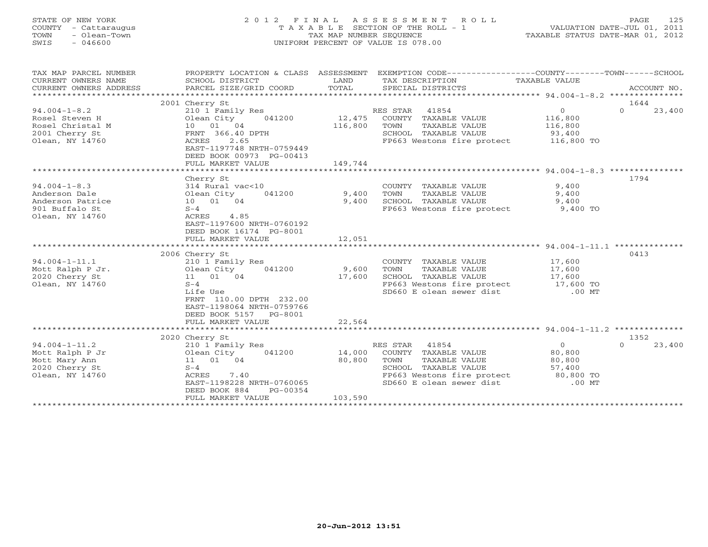## STATE OF NEW YORK 2 0 1 2 F I N A L A S S E S S M E N T R O L L PAGE 125 COUNTY - Cattaraugus T A X A B L E SECTION OF THE ROLL - 1 VALUATION DATE-JUL 01, 2011 TOWN - Olean-Town TAX MAP NUMBER SEQUENCE TAXABLE STATUS DATE-MAR 01, 2012 SWIS - 046600 UNIFORM PERCENT OF VALUE IS 078.00UNIFORM PERCENT OF VALUE IS 078.00

| TAX MAP PARCEL NUMBER<br>CURRENT OWNERS NAME<br>CURRENT OWNERS ADDRESS                        | SCHOOL DISTRICT<br>PARCEL SIZE/GRID COORD                                                                                                                                             | LAND<br>TOTAL                | PROPERTY LOCATION & CLASS ASSESSMENT EXEMPTION CODE---------------COUNTY-------TOWN------SCHOOL<br>TAX DESCRIPTION<br>SPECIAL DISTRICTS                            | TAXABLE VALUE                                  | ACCOUNT NO.                |
|-----------------------------------------------------------------------------------------------|---------------------------------------------------------------------------------------------------------------------------------------------------------------------------------------|------------------------------|--------------------------------------------------------------------------------------------------------------------------------------------------------------------|------------------------------------------------|----------------------------|
|                                                                                               | 2001 Cherry St                                                                                                                                                                        |                              |                                                                                                                                                                    |                                                | 1644                       |
| $94.004 - 1 - 8.2$<br>Rosel Steven H<br>Rosel Christal M<br>2001 Cherry St<br>Olean, NY 14760 | 210 1 Family Res<br>Olean City<br>041200<br>Olean City<br>10 01 04<br>FRNT 366.40 DPTH<br>ACRES<br>2.65<br>EAST-1197748 NRTH-0759449<br>DEED BOOK 00973 PG-00413<br>FULL MARKET VALUE | 12,475<br>116,800<br>149,744 | RES STAR<br>41854<br>COUNTY TAXABLE VALUE<br>TAXABLE VALUE<br>TOWN<br>SCHOOL TAXABLE VALUE<br>FP663 Westons fire protect 116,800 TO                                | $\overline{0}$<br>116,800<br>116,800<br>93,400 | $\Omega$<br>23,400         |
|                                                                                               |                                                                                                                                                                                       |                              |                                                                                                                                                                    |                                                |                            |
| $94.004 - 1 - 8.3$<br>Anderson Dale<br>Anderson Patrice<br>901 Buffalo St<br>Olean, NY 14760  | Cherry St<br>314 Rural vac<10<br>Olean City<br>041200<br>10 01 04<br>$S-4$<br>ACRES 4.85<br>EAST-1197600 NRTH-0760192<br>DEED BOOK 16174 PG-8001                                      | 9,400<br>9,400               | COUNTY TAXABLE VALUE<br>TOWN<br>TAXABLE VALUE<br>SCHOOL TAXABLE VALUE<br>FP663 Westons fire protect 9,400 TO                                                       | 9,400<br>9,400<br>9,400                        | 1794                       |
|                                                                                               | FULL MARKET VALUE                                                                                                                                                                     | 12,051                       |                                                                                                                                                                    |                                                |                            |
|                                                                                               |                                                                                                                                                                                       |                              |                                                                                                                                                                    |                                                |                            |
| $94.004 - 1 - 11.1$<br>Mott Ralph P Jr.<br>2020 Cherry St<br>Olean, NY 14760                  | 2006 Cherry St<br>210 1 Family Res<br>Olean City<br>041200<br>11  01  04<br>$S-4$<br>Life Use<br>FRNT 110.00 DPTH 232.00<br>EAST-1198064 NRTH-0759766<br>DEED BOOK 5157 PG-8001       | 9,600<br>17,600              | COUNTY TAXABLE VALUE<br>TOWN<br>TAXABLE VALUE<br>SCHOOL TAXABLE VALUE<br>FP663 Westons fire protect 17,600 TO<br>SD660 E olean sewer dist                          | 17,600<br>17,600<br>17,600<br>$.00$ MT         | 0413                       |
|                                                                                               | FULL MARKET VALUE                                                                                                                                                                     | 22,564                       |                                                                                                                                                                    |                                                |                            |
|                                                                                               |                                                                                                                                                                                       |                              |                                                                                                                                                                    |                                                |                            |
| $94.004 - 1 - 11.2$<br>Mott Ralph P Jr<br>Mott Mary Ann<br>2020 Cherry St<br>Olean, NY 14760  | 2020 Cherry St<br>210 1 Family Res<br>Olean City<br>041200<br>11 01 04<br>$S-4$<br>7.40<br>ACRES<br>EAST-1198228 NRTH-0760065<br>DEED BOOK 884<br>PG-00354<br>FULL MARKET VALUE       | 14,000<br>80,800<br>103,590  | RES STAR 41854<br>COUNTY TAXABLE VALUE<br>TOWN<br>TAXABLE VALUE<br>SCHOOL TAXABLE VALUE<br>FP663 Westons fire protect 80,800 TO<br>SD660 E olean sewer dist .00 MT | $\overline{0}$<br>80,800<br>80,800<br>57,400   | 1352<br>$\Omega$<br>23,400 |
|                                                                                               |                                                                                                                                                                                       |                              |                                                                                                                                                                    |                                                |                            |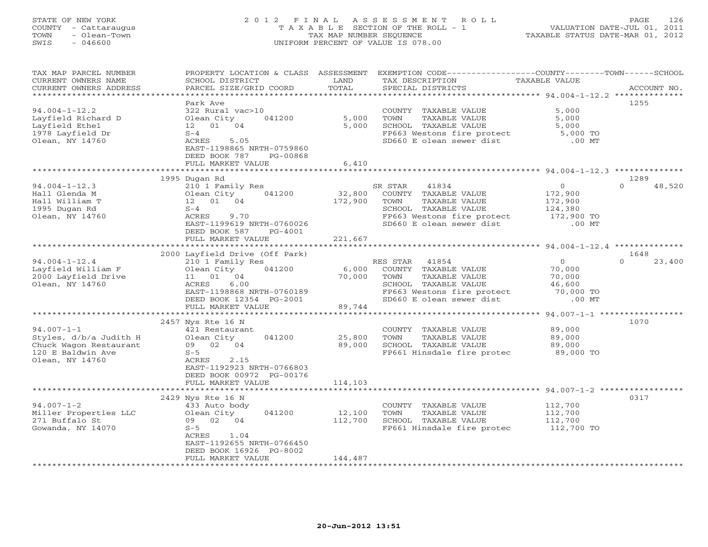## STATE OF NEW YORK 2 0 1 2 F I N A L A S S E S S M E N T R O L L PAGE 126 COUNTY - Cattaraugus T A X A B L E SECTION OF THE ROLL - 1 VALUATION DATE-JUL 01, 2011 TOWN - Olean-Town TAX MAP NUMBER SEQUENCE TAXABLE STATUS DATE-MAR 01, 2012 SWIS - 046600 UNIFORM PERCENT OF VALUE IS 078.00UNIFORM PERCENT OF VALUE IS 078.00

| ********************<br>**********************<br>***************<br>********************************** 94.004-1-12.2 **************<br>1255<br>Park Ave<br>$94.004 - 1 - 12.2$<br>5,000<br>322 Rural vac>10<br>COUNTY TAXABLE VALUE<br>5,000<br>Layfield Richard D<br>Olean City<br>041200<br>TAXABLE VALUE<br>5,000<br>TOWN<br>Layfield Ethel<br>12  01  04<br>5,000<br>SCHOOL TAXABLE VALUE<br>5,000<br>1978 Layfield Dr<br>$S-4$<br>FP663 Westons fire protect<br>5,000 TO<br>Olean, NY 14760<br>SD660 E olean sewer dist<br>$.00$ MT<br>ACRES<br>5.05<br>EAST-1198865 NRTH-0759860<br>DEED BOOK 787<br>PG-00868<br>FULL MARKET VALUE<br>6,410<br>*******************************<br>1289<br>1995 Dugan Rd<br>$94.004 - 1 - 12.3$<br>210 1 Family Res<br>SR STAR<br>41834<br>$\circ$<br>$\Omega$<br>48,520<br>041200<br>32,800<br>172,900<br>Hall Glenda M<br>COUNTY TAXABLE VALUE<br>Olean City<br>Hall William T<br>12  01  04<br>172,900<br>TAXABLE VALUE<br>TOWN<br>172,900<br>SCHOOL TAXABLE VALUE<br>124,380<br>1995 Dugan Rd<br>$S-4$<br>Olean, NY 14760<br>ACRES<br>FP663 Westons fire protect<br>172,900 TO<br>9.70<br>SD660 E olean sewer dist<br>EAST-1199619 NRTH-0760026<br>$.00$ MT<br>DEED BOOK 587<br>$PG-4001$<br>FULL MARKET VALUE<br>221,667<br>******************<br>*********<br>********************* 94.004-1-12.4 ***************<br>2000 Layfield Drive (Off Park)<br>1648<br>$94.004 - 1 - 12.4$<br>210 1 Family Res<br>RES STAR<br>41854<br>$\circ$<br>23,400<br>$\Omega$<br>041200<br>Layfield William F<br>Olean City<br>6,000<br>COUNTY TAXABLE VALUE<br>70,000<br>2000 Layfield Drive<br>11 01<br>04<br>70,000<br>TOWN<br>TAXABLE VALUE<br>70,000<br>Olean, NY 14760<br>6.00<br>SCHOOL TAXABLE VALUE<br>ACRES<br>46,600<br>FP663 Westons fire protect<br>EAST-1198868 NRTH-0760189<br>70,000 TO<br>SD660 E olean sewer dist<br>$.00$ MT<br>DEED BOOK 12354 PG-2001<br>89,744<br>FULL MARKET VALUE<br>1070<br>2457 Nys Rte 16 N<br>$94.007 - 1 - 1$<br>89,000<br>421 Restaurant<br>COUNTY TAXABLE VALUE<br>25,800<br>Styles, d/b/a Judith H<br>Olean City<br>041200<br>TOWN<br>TAXABLE VALUE<br>89,000<br>89,000<br>Chuck Wagon Restaurant<br>09 02 04<br>SCHOOL TAXABLE VALUE<br>89,000<br>120 E Baldwin Ave<br>$S-5$<br>FP661 Hinsdale fire protec<br>89,000 TO<br>Olean, NY 14760<br>ACRES<br>2.15<br>EAST-1192923 NRTH-0766803<br>DEED BOOK 00972 PG-00176<br>114,103<br>FULL MARKET VALUE<br>******************<br>****************<br>******************************* 94.007-1-2 ************<br>0317<br>2429 Nys Rte 16 N<br>$94.007 - 1 - 2$<br>112,700<br>433 Auto body<br>COUNTY TAXABLE VALUE<br>Miller Properties LLC<br>Olean City<br>041200<br>12,100<br>112,700<br>TOWN<br>TAXABLE VALUE<br>271 Buffalo St<br>02 04<br>112,700<br>SCHOOL TAXABLE VALUE<br>112,700<br>09<br>Gowanda, NY 14070<br>$S-5$<br>FP661 Hinsdale fire protec<br>112,700 TO<br>ACRES<br>1.04<br>EAST-1192655 NRTH-0766450 | TAX MAP PARCEL NUMBER<br>CURRENT OWNERS NAME<br>CURRENT OWNERS ADDRESS | PROPERTY LOCATION & CLASS ASSESSMENT<br>SCHOOL DISTRICT<br>PARCEL SIZE/GRID COORD | LAND<br>TOTAL | EXEMPTION CODE----------------COUNTY-------TOWN------SCHOOL<br>TAX DESCRIPTION<br>SPECIAL DISTRICTS | TAXABLE VALUE | ACCOUNT NO. |
|--------------------------------------------------------------------------------------------------------------------------------------------------------------------------------------------------------------------------------------------------------------------------------------------------------------------------------------------------------------------------------------------------------------------------------------------------------------------------------------------------------------------------------------------------------------------------------------------------------------------------------------------------------------------------------------------------------------------------------------------------------------------------------------------------------------------------------------------------------------------------------------------------------------------------------------------------------------------------------------------------------------------------------------------------------------------------------------------------------------------------------------------------------------------------------------------------------------------------------------------------------------------------------------------------------------------------------------------------------------------------------------------------------------------------------------------------------------------------------------------------------------------------------------------------------------------------------------------------------------------------------------------------------------------------------------------------------------------------------------------------------------------------------------------------------------------------------------------------------------------------------------------------------------------------------------------------------------------------------------------------------------------------------------------------------------------------------------------------------------------------------------------------------------------------------------------------------------------------------------------------------------------------------------------------------------------------------------------------------------------------------------------------------------------------------------------------------------------------------------------------------------------------------------------------------------------------------------------------------------------------------------------------------------------------------------------------------------------------------------------------------------------------------------------------------------------------------------------------------------------------------------------------------------------------------------------------|------------------------------------------------------------------------|-----------------------------------------------------------------------------------|---------------|-----------------------------------------------------------------------------------------------------|---------------|-------------|
|                                                                                                                                                                                                                                                                                                                                                                                                                                                                                                                                                                                                                                                                                                                                                                                                                                                                                                                                                                                                                                                                                                                                                                                                                                                                                                                                                                                                                                                                                                                                                                                                                                                                                                                                                                                                                                                                                                                                                                                                                                                                                                                                                                                                                                                                                                                                                                                                                                                                                                                                                                                                                                                                                                                                                                                                                                                                                                                                                  |                                                                        |                                                                                   |               |                                                                                                     |               |             |
|                                                                                                                                                                                                                                                                                                                                                                                                                                                                                                                                                                                                                                                                                                                                                                                                                                                                                                                                                                                                                                                                                                                                                                                                                                                                                                                                                                                                                                                                                                                                                                                                                                                                                                                                                                                                                                                                                                                                                                                                                                                                                                                                                                                                                                                                                                                                                                                                                                                                                                                                                                                                                                                                                                                                                                                                                                                                                                                                                  |                                                                        |                                                                                   |               |                                                                                                     |               |             |
|                                                                                                                                                                                                                                                                                                                                                                                                                                                                                                                                                                                                                                                                                                                                                                                                                                                                                                                                                                                                                                                                                                                                                                                                                                                                                                                                                                                                                                                                                                                                                                                                                                                                                                                                                                                                                                                                                                                                                                                                                                                                                                                                                                                                                                                                                                                                                                                                                                                                                                                                                                                                                                                                                                                                                                                                                                                                                                                                                  |                                                                        |                                                                                   |               |                                                                                                     |               |             |
|                                                                                                                                                                                                                                                                                                                                                                                                                                                                                                                                                                                                                                                                                                                                                                                                                                                                                                                                                                                                                                                                                                                                                                                                                                                                                                                                                                                                                                                                                                                                                                                                                                                                                                                                                                                                                                                                                                                                                                                                                                                                                                                                                                                                                                                                                                                                                                                                                                                                                                                                                                                                                                                                                                                                                                                                                                                                                                                                                  |                                                                        |                                                                                   |               |                                                                                                     |               |             |
|                                                                                                                                                                                                                                                                                                                                                                                                                                                                                                                                                                                                                                                                                                                                                                                                                                                                                                                                                                                                                                                                                                                                                                                                                                                                                                                                                                                                                                                                                                                                                                                                                                                                                                                                                                                                                                                                                                                                                                                                                                                                                                                                                                                                                                                                                                                                                                                                                                                                                                                                                                                                                                                                                                                                                                                                                                                                                                                                                  |                                                                        |                                                                                   |               |                                                                                                     |               |             |
|                                                                                                                                                                                                                                                                                                                                                                                                                                                                                                                                                                                                                                                                                                                                                                                                                                                                                                                                                                                                                                                                                                                                                                                                                                                                                                                                                                                                                                                                                                                                                                                                                                                                                                                                                                                                                                                                                                                                                                                                                                                                                                                                                                                                                                                                                                                                                                                                                                                                                                                                                                                                                                                                                                                                                                                                                                                                                                                                                  |                                                                        |                                                                                   |               |                                                                                                     |               |             |
|                                                                                                                                                                                                                                                                                                                                                                                                                                                                                                                                                                                                                                                                                                                                                                                                                                                                                                                                                                                                                                                                                                                                                                                                                                                                                                                                                                                                                                                                                                                                                                                                                                                                                                                                                                                                                                                                                                                                                                                                                                                                                                                                                                                                                                                                                                                                                                                                                                                                                                                                                                                                                                                                                                                                                                                                                                                                                                                                                  |                                                                        |                                                                                   |               |                                                                                                     |               |             |
|                                                                                                                                                                                                                                                                                                                                                                                                                                                                                                                                                                                                                                                                                                                                                                                                                                                                                                                                                                                                                                                                                                                                                                                                                                                                                                                                                                                                                                                                                                                                                                                                                                                                                                                                                                                                                                                                                                                                                                                                                                                                                                                                                                                                                                                                                                                                                                                                                                                                                                                                                                                                                                                                                                                                                                                                                                                                                                                                                  |                                                                        |                                                                                   |               |                                                                                                     |               |             |
|                                                                                                                                                                                                                                                                                                                                                                                                                                                                                                                                                                                                                                                                                                                                                                                                                                                                                                                                                                                                                                                                                                                                                                                                                                                                                                                                                                                                                                                                                                                                                                                                                                                                                                                                                                                                                                                                                                                                                                                                                                                                                                                                                                                                                                                                                                                                                                                                                                                                                                                                                                                                                                                                                                                                                                                                                                                                                                                                                  |                                                                        |                                                                                   |               |                                                                                                     |               |             |
|                                                                                                                                                                                                                                                                                                                                                                                                                                                                                                                                                                                                                                                                                                                                                                                                                                                                                                                                                                                                                                                                                                                                                                                                                                                                                                                                                                                                                                                                                                                                                                                                                                                                                                                                                                                                                                                                                                                                                                                                                                                                                                                                                                                                                                                                                                                                                                                                                                                                                                                                                                                                                                                                                                                                                                                                                                                                                                                                                  |                                                                        |                                                                                   |               |                                                                                                     |               |             |
| DEED BOOK 16926 PG-8002                                                                                                                                                                                                                                                                                                                                                                                                                                                                                                                                                                                                                                                                                                                                                                                                                                                                                                                                                                                                                                                                                                                                                                                                                                                                                                                                                                                                                                                                                                                                                                                                                                                                                                                                                                                                                                                                                                                                                                                                                                                                                                                                                                                                                                                                                                                                                                                                                                                                                                                                                                                                                                                                                                                                                                                                                                                                                                                          |                                                                        |                                                                                   |               |                                                                                                     |               |             |
| 144,487<br>FULL MARKET VALUE                                                                                                                                                                                                                                                                                                                                                                                                                                                                                                                                                                                                                                                                                                                                                                                                                                                                                                                                                                                                                                                                                                                                                                                                                                                                                                                                                                                                                                                                                                                                                                                                                                                                                                                                                                                                                                                                                                                                                                                                                                                                                                                                                                                                                                                                                                                                                                                                                                                                                                                                                                                                                                                                                                                                                                                                                                                                                                                     |                                                                        |                                                                                   |               |                                                                                                     |               |             |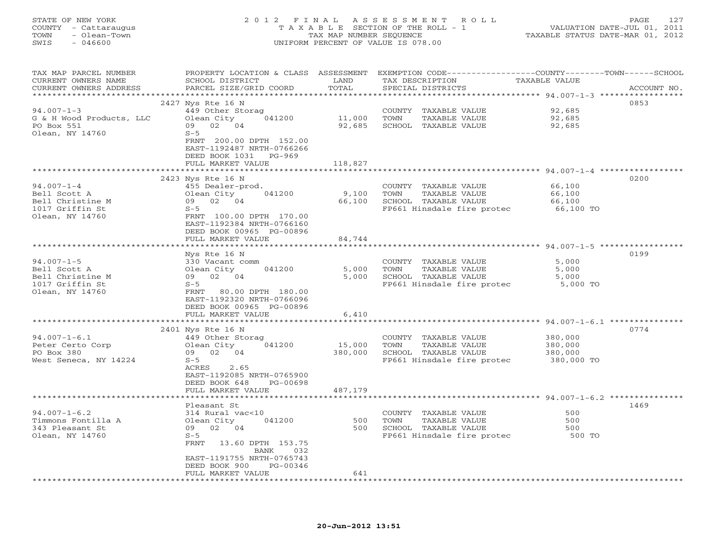| STATE OF NEW YORK<br>COUNTY - Cattaraugus<br>- Olean-Town<br>TOWN<br>$-046600$<br>SWIS     |                                                                                                                                                                                             | TAX MAP NUMBER SEOUENCE      | 2012 FINAL ASSESSMENT ROLL<br>TAXABLE SECTION OF THE ROLL - 1<br>UNIFORM PERCENT OF VALUE IS 078.00                                     | TAXABLE STATUS DATE-MAR 01, 2012            | 127<br>PAGE<br>VALUATION DATE-JUL 01, 2011 |
|--------------------------------------------------------------------------------------------|---------------------------------------------------------------------------------------------------------------------------------------------------------------------------------------------|------------------------------|-----------------------------------------------------------------------------------------------------------------------------------------|---------------------------------------------|--------------------------------------------|
| TAX MAP PARCEL NUMBER<br>CURRENT OWNERS NAME<br>CURRENT OWNERS ADDRESS                     | SCHOOL DISTRICT<br>PARCEL SIZE/GRID COORD                                                                                                                                                   | LAND<br>TOTAL                | PROPERTY LOCATION & CLASS ASSESSMENT EXEMPTION CODE---------------COUNTY-------TOWN------SCHOOL<br>TAX DESCRIPTION<br>SPECIAL DISTRICTS | TAXABLE VALUE                               | ACCOUNT NO.                                |
|                                                                                            |                                                                                                                                                                                             |                              |                                                                                                                                         |                                             |                                            |
| $94.007 - 1 - 3$                                                                           | 2427 Nys Rte 16 N<br>449 Other Storag                                                                                                                                                       |                              | COUNTY TAXABLE VALUE                                                                                                                    | 92,685                                      | 0853                                       |
| G & H Wood Products, LLC<br>PO Box 551<br>Olean, NY 14760                                  | 041200<br>Olean City<br>09 02 04<br>$S-5$<br>FRNT 200.00 DPTH 152.00<br>EAST-1192487 NRTH-0766266                                                                                           | 11,000<br>92,685             | TOWN<br>TAXABLE VALUE<br>SCHOOL TAXABLE VALUE                                                                                           | 92,685<br>92,685                            |                                            |
|                                                                                            | DEED BOOK 1031 PG-969                                                                                                                                                                       |                              |                                                                                                                                         |                                             |                                            |
|                                                                                            | FULL MARKET VALUE                                                                                                                                                                           | 118,827                      |                                                                                                                                         |                                             |                                            |
| $94.007 - 1 - 4$<br>Bell Scott A<br>Bell Christine M<br>1017 Griffin St<br>Olean, NY 14760 | 2423 Nys Rte 16 N<br>455 Dealer-prod.<br>Olean City<br>041200<br>09 02 04<br>$S-5$<br>FRNT 100.00 DPTH 170.00<br>EAST-1192384 NRTH-0766160<br>DEED BOOK 00965 PG-00896<br>FULL MARKET VALUE | 9,100<br>66,100<br>84,744    | COUNTY TAXABLE VALUE<br>TOWN<br>TAXABLE VALUE<br>SCHOOL TAXABLE VALUE<br>FP661 Hinsdale fire protec                                     | 66,100<br>66,100<br>66,100<br>66,100 TO     | 0200                                       |
|                                                                                            | Nys Rte 16 N                                                                                                                                                                                |                              |                                                                                                                                         |                                             | 0199                                       |
| $94.007 - 1 - 5$<br>Bell Scott A<br>Bell Christine M<br>1017 Griffin St<br>Olean, NY 14760 | 330 Vacant comm<br>Olean City<br>041200<br>09 02 04<br>$S-5$<br>FRNT<br>80.00 DPTH 180.00<br>EAST-1192320 NRTH-0766096<br>DEED BOOK 00965 PG-00896<br>FULL MARKET VALUE                     | 5,000<br>5,000<br>6,410      | COUNTY TAXABLE VALUE<br>TAXABLE VALUE<br>TOWN<br>SCHOOL TAXABLE VALUE<br>FP661 Hinsdale fire protec                                     | 5,000<br>5,000<br>5,000<br>5,000 TO         |                                            |
|                                                                                            | *******************                                                                                                                                                                         |                              | ******************************* 94.007-1-6.1 ***************                                                                            |                                             |                                            |
| $94.007 - 1 - 6.1$<br>Peter Certo Corp<br>PO Box 380<br>West Seneca, NY 14224              | 2401 Nys Rte 16 N<br>449 Other Storag<br>Olean City<br>041200<br>09 02 04<br>$S-5$<br>ACRES<br>2.65<br>EAST-1192085 NRTH-0765900<br>DEED BOOK 648<br>PG-00698<br>FULL MARKET VALUE          | 15,000<br>380,000<br>487,179 | COUNTY TAXABLE VALUE<br>TOWN<br>TAXABLE VALUE<br>SCHOOL TAXABLE VALUE<br>FP661 Hinsdale fire protec                                     | 380,000<br>380,000<br>380,000<br>380,000 TO | 0774                                       |
|                                                                                            | Pleasant St                                                                                                                                                                                 |                              |                                                                                                                                         |                                             | 1469                                       |
| $94.007 - 1 - 6.2$                                                                         | 314 Rural vac<10                                                                                                                                                                            |                              | COUNTY TAXABLE VALUE                                                                                                                    | 500                                         |                                            |

\*\*\*\*\*\*\*\*\*\*\*\*\* \*\*\*\*\*\*\*\*\*\*\*\*\*\*\*\*\*\*\*\*\*\*\*\*\*\*\*\*\*\*\*\*\*\*\*\*\*\*\*\*\*\*\*\*\*\*\*\*\*\*\*\*\*\*\*\*\*\*\*\*\*\*\*\*\*\*\*\*\*\*\*\*\*\*\*\*\*\*\*\*\*\*\*\*\*\*\*\*\*\*\*\*\*\*\*\*\*\*\*\*\*\*\*\*\*\*\*\*\*\*\*\*\*\*\*\*\*\*\*\*\*\*\*\*\*\*\*\*\*\*\*\*

Timmons Fontilla A Control of the Control of Control of the Control of the Superintensity of the Superintensit<br>Timmons Fontilla A Olean City 041200 500 TOWN TAXABLE VALUE 500<br>343 Pleasant St 09 02 04 500 SCHOOL TAXABLE VAL

FRNT 13.60 DPTH 153.75

FULL MARKET VALUE 641

BANK 032 EAST-1191755 NRTH-0765743DEED BOOK 900 PG-00346

Olean, NY 14760 S-5 Second Second Second Second Second Second Second Second Second Second Second Second Second Second Second Second Second Second Second Second Second Second Second Second Second Second Second Second Second

500 SCHOOL TAXABLE VALUE

500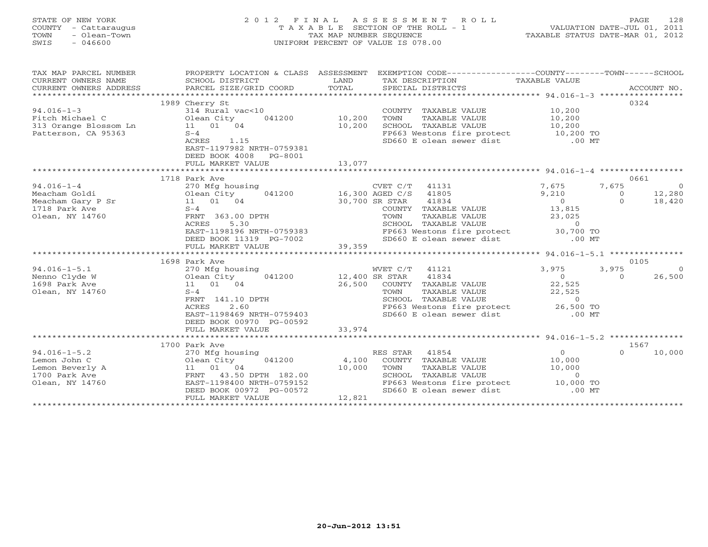# STATE OF NEW YORK 2 0 1 2 F I N A L A S S E S S M E N T R O L L PAGE 128 COUNTY - Cattaraugus T A X A B L E SECTION OF THE ROLL - 1 VALUATION DATE-JUL 01, 2011 TOWN - Olean-Town TAX MAP NUMBER SEQUENCE TAXABLE STATUS DATE-MAR 01, 2012 SWIS - 046600 UNIFORM PERCENT OF VALUE IS 078.00UNIFORM PERCENT OF VALUE IS 078.00

| TAX MAP PARCEL NUMBER<br>CURRENT OWNERS NAME<br>CURRENT OWNERS ADDRESS                                      | SCHOOL DISTRICT<br>PARCEL SIZE/GRID COORD                                                                                                                                                    | LAND<br>TOTAL             | PROPERTY LOCATION & CLASS ASSESSMENT EXEMPTION CODE---------------COUNTY-------TOWN------SCHOOL<br>TAX DESCRIPTION TAXABLE VALUE<br>SPECIAL DISTRICTS                                         |                                                                              | ACCOUNT NO.                                                                       |
|-------------------------------------------------------------------------------------------------------------|----------------------------------------------------------------------------------------------------------------------------------------------------------------------------------------------|---------------------------|-----------------------------------------------------------------------------------------------------------------------------------------------------------------------------------------------|------------------------------------------------------------------------------|-----------------------------------------------------------------------------------|
| $94.016 - 1 - 3$<br>Fitch Michael C<br>313 Orange Blossom Ln<br>Patterson, CA 95363                         | 1989 Cherry St<br>314 Rural vac<10<br>041200 10,200<br>Olean City<br>$11$ $01$ $04$<br>$S-4$<br>1.15<br>ACRES<br>EAST-1197982 NRTH-0759381<br>DEED BOOK 4008<br>PG-8001<br>FULL MARKET VALUE | 10,200<br>13,077          | COUNTY TAXABLE VALUE<br>TOWN<br>TAXABLE VALUE<br>SCHOOL TAXABLE VALUE<br>FP663 Westons fire protect<br>SD660 E olean sewer dist                                                               | 10,200<br>10,200<br>10,200<br>10,200 TO<br>$.00$ MT                          | 0324                                                                              |
|                                                                                                             | *************************************                                                                                                                                                        |                           |                                                                                                                                                                                               |                                                                              |                                                                                   |
| $94.016 - 1 - 4$<br>Meacham Goldi<br>Heatham Goldi<br>Meacham Gary P Sr<br>1718 Park Ave<br>Olean, NY 14760 | 1718 Park Ave<br>270 Mfg housing<br>041200<br>$01$ ean $01$ $04$<br>$S-4$<br>FRNT 363.00 DPTH<br>5.30<br>ACRES<br>EAST-1198196 NRTH-0759383<br>DEED BOOK 11319 PG-7002                       | 30,700 SR STAR            | CVET C/T 41131<br>16,300 AGED C/S 41805<br>41834<br>COUNTY TAXABLE VALUE<br>TAXABLE VALUE<br>TOWN<br>SCHOOL TAXABLE VALUE<br>FP663 Westons fire protect 30,700 TO<br>SD660 E olean sewer dist | 7,675<br>9,210<br>$\overline{0}$<br>13,815<br>23,025<br>$\Omega$<br>$.00$ MT | 0661<br>7,675<br>$\overline{0}$<br>12,280<br>$\overline{0}$<br>$\Omega$<br>18,420 |
|                                                                                                             | FULL MARKET VALUE                                                                                                                                                                            | 39,359                    |                                                                                                                                                                                               |                                                                              |                                                                                   |
|                                                                                                             |                                                                                                                                                                                              |                           |                                                                                                                                                                                               |                                                                              |                                                                                   |
| $94.016 - 1 - 5.1$<br>Nenno Clyde W<br>1698 Park Ave<br>Olean, NY 14760                                     | 1698 Park Ave<br>270 Mfg housing<br>Olean City<br>041200<br>11 01 04<br>$S-4$<br>FRNT 141.10 DPTH<br>2.60<br><b>ACRES</b><br>EAST-1198469 NRTH-0759403<br>DEED BOOK 00970 PG-00592           | 12,400 SR STAR            | WVET C/T<br>41121<br>41834<br>26,500 COUNTY TAXABLE VALUE<br>TAXABLE VALUE<br>TOWN<br>SCHOOL TAXABLE VALUE<br>FP663 Westons fire protect 26,500 TO<br>SD660 E olean sewer dist .00 MT         | 3,975<br>$\overline{0}$<br>22,525<br>22,525<br>$\overline{0}$                | 0105<br>3,975<br>$\Omega$<br>26,500<br>$\Omega$                                   |
|                                                                                                             | FULL MARKET VALUE                                                                                                                                                                            | 33,974                    |                                                                                                                                                                                               |                                                                              |                                                                                   |
|                                                                                                             |                                                                                                                                                                                              |                           |                                                                                                                                                                                               |                                                                              |                                                                                   |
| $94.016 - 1 - 5.2$<br>Lemon John C<br>Lemon Beverly A<br>1700 Park Ave<br>Olean, NY 14760                   | 1700 Park Ave<br>270 Mfg housing<br>Olean City<br>041200<br>11 01 04<br>FRNT 43.50 DPTH 182.00<br>EAST-1198400 NRTH-0759152<br>DEED BOOK 00972 PG-00572<br>FULL MARKET VALUE                 | 4,100<br>10,000<br>12,821 | RES STAR 41854<br>COUNTY TAXABLE VALUE<br>TOWN<br>TAXABLE VALUE<br>SCHOOL TAXABLE VALUE<br>FP663 Westons fire protect 10,000 TO<br>SD660 E olean sewer dist                                   | $\overline{0}$<br>10,000<br>10,000<br>$\Omega$<br>$.00$ MT                   | 1567<br>10,000<br>$\Omega$                                                        |
|                                                                                                             |                                                                                                                                                                                              |                           |                                                                                                                                                                                               |                                                                              |                                                                                   |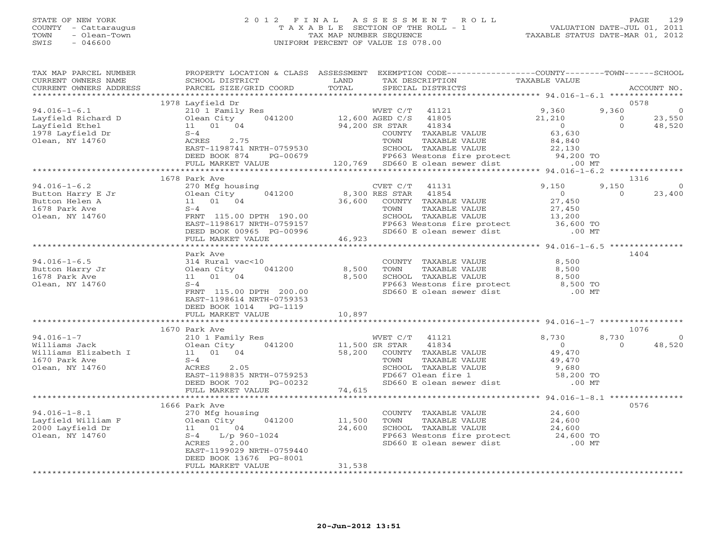#### STATE OF NEW YORK 2 0 1 2 F I N A L A S S E S S M E N T R O L L PAGE 129 COUNTY - Cattaraugus T A X A B L E SECTION OF THE ROLL - 1 VALUATION DATE-JUL 01, 2011 TOWN - Olean-Town TAX MAP NUMBER SEQUENCE TAXABLE STATUS DATE-MAR 01, 2012 SWIS - 046600 UNIFORM PERCENT OF VALUE IS 078.00UNIFORM PERCENT OF VALUE IS 078.00

| TAX MAP PARCEL NUMBER<br>CURRENT OWNERS NAME<br>CURRENT OWNERS ADDRESS | PROPERTY LOCATION & CLASS ASSESSMENT<br>SCHOOL DISTRICT<br>PARCEL SIZE/GRID COORD | LAND<br>TOTAL  | EXEMPTION CODE-----------------COUNTY-------TOWN------SCHOOL<br>TAX DESCRIPTION<br>SPECIAL DISTRICTS | TAXABLE VALUE                                 |          | ACCOUNT NO. |
|------------------------------------------------------------------------|-----------------------------------------------------------------------------------|----------------|------------------------------------------------------------------------------------------------------|-----------------------------------------------|----------|-------------|
| ***********************                                                |                                                                                   |                |                                                                                                      |                                               |          |             |
|                                                                        | 1978 Layfield Dr                                                                  |                |                                                                                                      |                                               |          | 0578        |
| $94.016 - 1 - 6.1$                                                     | 210 1 Family Res                                                                  |                | WVET C/T<br>41121                                                                                    | 9,360                                         | 9,360    | $\circ$     |
| Layfield Richard D                                                     | 041200<br>Olean City                                                              |                | 12,600 AGED C/S 41805                                                                                | 21,210                                        | $\Omega$ | 23,550      |
| Layfield Ethel                                                         | 11  01  04                                                                        |                | 94,200 SR STAR<br>41834                                                                              | $\overline{0}$                                | $\Omega$ | 48,520      |
| 1978 Layfield Dr                                                       | $S-4$                                                                             |                | COUNTY TAXABLE VALUE                                                                                 | 63,630                                        |          |             |
| Olean, NY 14760                                                        | 2.75<br>ACRES                                                                     |                | TOWN<br>TAXABLE VALUE                                                                                | 84,840                                        |          |             |
|                                                                        | EAST-1198741 NRTH-0759530                                                         |                | SCHOOL TAXABLE VALUE                                                                                 | 22,130                                        |          |             |
|                                                                        | DEED BOOK 874<br>PG-00679                                                         |                | FP663 Westons fire protect 94,200 TO                                                                 |                                               |          |             |
|                                                                        | FULL MARKET VALUE                                                                 |                | 120,769 SD660 E olean sewer dist                                                                     | $.00$ MT                                      |          |             |
|                                                                        | ****************************                                                      |                |                                                                                                      |                                               |          |             |
|                                                                        | 1678 Park Ave                                                                     |                |                                                                                                      |                                               |          | 1316        |
| $94.016 - 1 - 6.2$                                                     | 270 Mfg housing                                                                   |                | CVET C/T<br>41131                                                                                    | 9,150                                         | 9,150    | $\circ$     |
| Button Harry E Jr                                                      | 041200<br>Olean City                                                              |                | 8,300 RES STAR<br>41854                                                                              | $\overline{0}$                                | $\Omega$ | 23,400      |
| Button Helen A                                                         | 11 01 04                                                                          | 36,600         | COUNTY TAXABLE VALUE                                                                                 | 27,450                                        |          |             |
| 1678 Park Ave                                                          | $S-4$                                                                             |                | TOWN<br>TAXABLE VALUE                                                                                | 27,450                                        |          |             |
| Olean, NY 14760                                                        | FRNT 115.00 DPTH 190.00                                                           |                | SCHOOL TAXABLE VALUE                                                                                 | 13,200<br>36,600 TO                           |          |             |
|                                                                        | EAST-1198617 NRTH-0759157                                                         |                | FP663 Westons fire protect                                                                           |                                               |          |             |
|                                                                        | DEED BOOK 00965 PG-00996                                                          |                | SD660 E olean sewer dist                                                                             | $.00$ MT                                      |          |             |
|                                                                        | FULL MARKET VALUE<br>*****************************                                | 46,923         | ***********************                                                                              | *************** 94.016-1-6.5 **************** |          |             |
|                                                                        | Park Ave                                                                          |                |                                                                                                      |                                               |          | 1404        |
| $94.016 - 1 - 6.5$                                                     | 314 Rural vac<10                                                                  |                | COUNTY TAXABLE VALUE                                                                                 | 8,500                                         |          |             |
| Button Harry Jr                                                        | Olean City<br>041200                                                              | 8,500          | TOWN<br>TAXABLE VALUE                                                                                | 8,500                                         |          |             |
| 1678 Park Ave                                                          | 11  01  04                                                                        | 8,500          | SCHOOL TAXABLE VALUE                                                                                 | 8,500                                         |          |             |
| Olean, NY 14760                                                        | $S-4$                                                                             |                |                                                                                                      | 8,500 TO                                      |          |             |
|                                                                        | FRNT 115.00 DPTH 200.00                                                           |                | FP663 Westons fire protect<br>SD660 E olean sewer dist                                               | $.00$ MT                                      |          |             |
|                                                                        | EAST-1198614 NRTH-0759353                                                         |                |                                                                                                      |                                               |          |             |
|                                                                        | DEED BOOK 1014<br>PG-1119                                                         |                |                                                                                                      |                                               |          |             |
|                                                                        | FULL MARKET VALUE                                                                 | 10,897         |                                                                                                      |                                               |          |             |
|                                                                        |                                                                                   |                |                                                                                                      |                                               |          |             |
|                                                                        | 1670 Park Ave                                                                     |                |                                                                                                      |                                               |          | 1076        |
| $94.016 - 1 - 7$                                                       | 210 1 Family Res                                                                  |                | WVET C/T 41121                                                                                       | 8,730                                         | 8,730    | $\circ$     |
| Williams Jack                                                          | 041200<br>Olean City                                                              | 11,500 SR STAR | 41834                                                                                                | $\Omega$                                      | $\Omega$ | 48,520      |
| Williams Elizabeth I                                                   | 11 01 04                                                                          | 58,200         | COUNTY TAXABLE VALUE                                                                                 | 49,470                                        |          |             |
| 1670 Park Ave                                                          | $S-4$                                                                             |                | TOWN<br>TAXABLE VALUE                                                                                | 49,470                                        |          |             |
| Olean, NY 14760                                                        | ACRES<br>2.05                                                                     |                | SCHOOL TAXABLE VALUE                                                                                 | 9,680<br>58,200 TO                            |          |             |
|                                                                        | EAST-1198835 NRTH-0759253                                                         |                | $FDS67$ Olean fire 1                                                                                 |                                               |          |             |
|                                                                        | DEED BOOK 702<br>PG-00232                                                         |                | SD660 E olean sewer dist                                                                             | $.00$ MT                                      |          |             |
|                                                                        | FULL MARKET VALUE                                                                 | 74,615         |                                                                                                      |                                               |          |             |
|                                                                        |                                                                                   |                |                                                                                                      |                                               |          |             |
| $94.016 - 1 - 8.1$                                                     | 1666 Park Ave                                                                     |                |                                                                                                      | 24,600                                        |          | 0576        |
| Layfield William F                                                     | 270 Mfg housing<br>041200                                                         | 11,500         | COUNTY TAXABLE VALUE<br>TAXABLE VALUE<br>TOWN                                                        | 24,600                                        |          |             |
| 2000 Layfield Dr                                                       |                                                                                   | 24,600         | SCHOOL TAXABLE VALUE                                                                                 | 24,600                                        |          |             |
| Olean, NY 14760                                                        | 270 Mfg hous<br>Olean City<br>11 01 04<br>5-4<br>$S-4$ L/p 960-1024               |                | FP663 Westons fire protect                                                                           | 24,600 TO                                     |          |             |
|                                                                        | ACRES 2.00                                                                        |                | SD660 E olean sewer dist                                                                             | $.00$ MT                                      |          |             |
|                                                                        | EAST-1199029 NRTH-0759440                                                         |                |                                                                                                      |                                               |          |             |
|                                                                        | DEED BOOK 13676 PG-8001                                                           |                |                                                                                                      |                                               |          |             |
|                                                                        | FULL MARKET VALUE                                                                 | 31,538         |                                                                                                      |                                               |          |             |
|                                                                        |                                                                                   |                |                                                                                                      |                                               |          |             |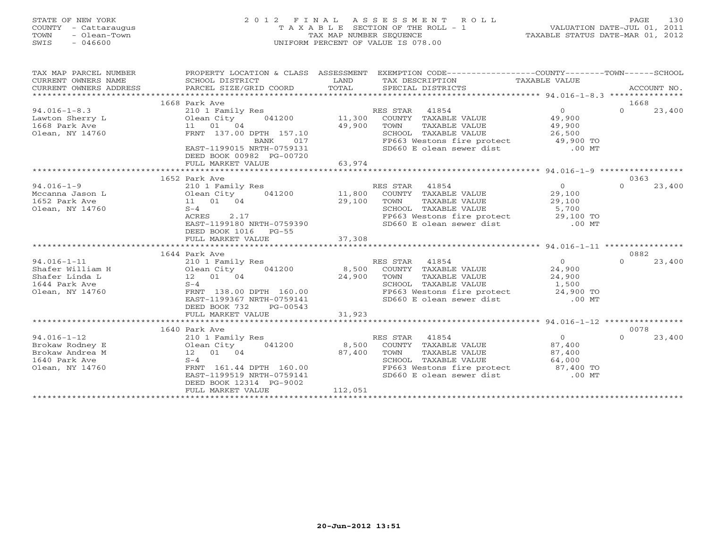## STATE OF NEW YORK 2 0 1 2 F I N A L A S S E S S M E N T R O L L PAGE 130 COUNTY - Cattaraugus T A X A B L E SECTION OF THE ROLL - 1 VALUATION DATE-JUL 01, 2011 TOWN - Olean-Town TAX MAP NUMBER SEQUENCE TAXABLE STATUS DATE-MAR 01, 2012 SWIS - 046600 UNIFORM PERCENT OF VALUE IS 078.00UNIFORM PERCENT OF VALUE IS 078.00

| TAX MAP PARCEL NUMBER<br>CURRENT OWNERS NAME<br>CURRENT OWNERS ADDRESS | PROPERTY LOCATION & CLASS ASSESSMENT<br>SCHOOL DISTRICT<br>PARCEL SIZE/GRID COORD | LAND<br>TOTAL | EXEMPTION CODE-----------------COUNTY-------TOWN------SCHOOL<br>TAX DESCRIPTION TAXABLE VALUE<br>SPECIAL DISTRICTS |                | ACCOUNT NO.        |
|------------------------------------------------------------------------|-----------------------------------------------------------------------------------|---------------|--------------------------------------------------------------------------------------------------------------------|----------------|--------------------|
|                                                                        | 1668 Park Ave                                                                     |               |                                                                                                                    |                | 1668               |
| $94.016 - 1 - 8.3$                                                     | 210 1 Family Res                                                                  |               | RES STAR 41854                                                                                                     | $\Omega$       | $\Omega$<br>23,400 |
| Lawton Sherry L                                                        | 041200 11,300<br>Olean City                                                       |               | COUNTY TAXABLE VALUE                                                                                               | 49,900         |                    |
| 1668 Park Ave                                                          | 11 01 04                                                                          | 49,900        | TOWN<br>TAXABLE VALUE                                                                                              | 49,900         |                    |
| Olean, NY 14760                                                        | FRNT 137.00 DPTH 157.10                                                           |               | SCHOOL TAXABLE VALUE                                                                                               | 26,500         |                    |
|                                                                        | BANK<br>017                                                                       |               | FP663 Westons fire protect 49,900 TO                                                                               |                |                    |
|                                                                        | EAST-1199015 NRTH-0759131                                                         |               | SD660 E olean sewer dist .00 MT                                                                                    |                |                    |
|                                                                        | DEED BOOK 00982 PG-00720                                                          |               |                                                                                                                    |                |                    |
|                                                                        | FULL MARKET VALUE                                                                 | 63,974        |                                                                                                                    |                |                    |
|                                                                        |                                                                                   |               |                                                                                                                    |                |                    |
|                                                                        | 1652 Park Ave                                                                     |               |                                                                                                                    |                | 0363               |
| $94.016 - 1 - 9$                                                       | 210 1 Family Res                                                                  |               | RES STAR 41854                                                                                                     | $\overline{0}$ | $\Omega$<br>23,400 |
| Mccanna Jason L                                                        | Olean City<br>041200                                                              | 11,800        | COUNTY TAXABLE VALUE                                                                                               | 29,100         |                    |
| 1652 Park Ave                                                          | 11 01 04                                                                          | 29,100        | TOWN<br>TAXABLE VALUE                                                                                              | 29,100         |                    |
| Olean, NY 14760                                                        | $S-4$                                                                             |               | SCHOOL TAXABLE VALUE                                                                                               | 5,700          |                    |
|                                                                        | 2.17<br>ACRES                                                                     |               | FP663 Westons fire protect 29,100 TO                                                                               |                |                    |
|                                                                        | EAST-1199180 NRTH-0759390                                                         |               | SD660 E olean sewer dist                                                                                           | $.00$ MT       |                    |
|                                                                        | DEED BOOK 1016 PG-55                                                              |               |                                                                                                                    |                |                    |
|                                                                        | FULL MARKET VALUE                                                                 | 37,308        |                                                                                                                    |                |                    |
|                                                                        |                                                                                   |               |                                                                                                                    |                |                    |
|                                                                        | 1644 Park Ave                                                                     |               |                                                                                                                    |                | 0882               |
| $94.016 - 1 - 11$                                                      | 210 1 Family Res                                                                  |               | RES STAR 41854                                                                                                     | $\overline{0}$ | $\Omega$<br>23,400 |
| Shafer William H                                                       | Olean City<br>041200                                                              |               | 8,500 COUNTY TAXABLE VALUE                                                                                         | 24,900         |                    |
| Shafer Linda L                                                         | 12  01  04                                                                        | 24,900        | TOWN<br>TAXABLE VALUE                                                                                              | 24,900         |                    |
| 1644 Park Ave                                                          | $S-4$                                                                             |               | SCHOOL TAXABLE VALUE                                                                                               | 1,500          |                    |
| Olean, NY 14760                                                        | FRNT 138.00 DPTH 160.00                                                           |               | FP663 Westons fire protect 24,900 TO                                                                               |                |                    |
|                                                                        | EAST-1199367 NRTH-0759141                                                         |               | SD660 E olean sewer dist                                                                                           | $.00$ MT       |                    |
|                                                                        | DEED BOOK 732<br>$PG-00543$                                                       |               |                                                                                                                    |                |                    |
|                                                                        | FULL MARKET VALUE                                                                 | 31,923        |                                                                                                                    |                |                    |
|                                                                        | 1640 Park Ave                                                                     |               |                                                                                                                    |                | 0078               |
| $94.016 - 1 - 12$                                                      | 210 1 Family Res                                                                  |               | RES STAR 41854                                                                                                     | $\overline{0}$ | $\Omega$<br>23,400 |
| Brokaw Rodney E                                                        | Olean City<br>041200                                                              | 8,500         | COUNTY TAXABLE VALUE                                                                                               | 87,400         |                    |
| Brokaw Andrea M                                                        | 12  01  04                                                                        | 87,400        | TAXABLE VALUE<br>TOWN                                                                                              | 87,400         |                    |
| 1640 Park Ave                                                          | $S-4$                                                                             |               | SCHOOL TAXABLE VALUE                                                                                               | 64,000         |                    |
| Olean, NY 14760                                                        | FRNT 161.44 DPTH 160.00                                                           |               | FP663 Westons fire protect 87,400 TO                                                                               |                |                    |
|                                                                        | EAST-1199519 NRTH-0759141                                                         |               | SD660 E olean sewer dist                                                                                           | $.00$ MT       |                    |
|                                                                        | DEED BOOK 12314 PG-9002                                                           |               |                                                                                                                    |                |                    |
|                                                                        | FULL MARKET VALUE                                                                 | 112,051       |                                                                                                                    |                |                    |
|                                                                        |                                                                                   |               |                                                                                                                    |                |                    |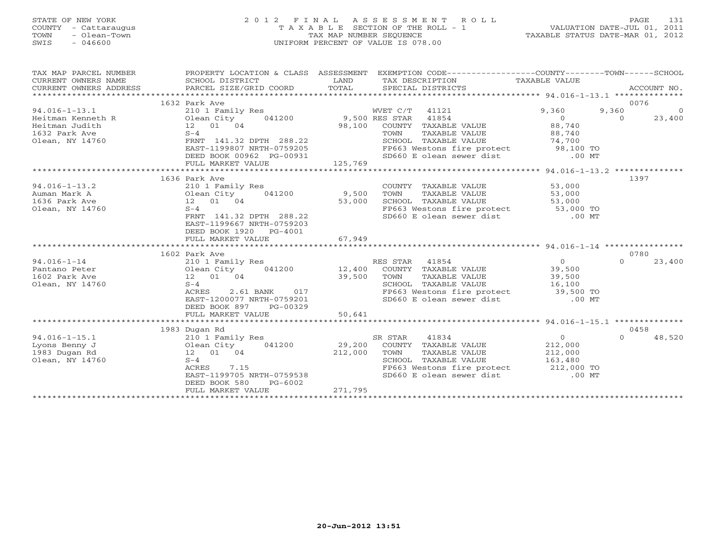# STATE OF NEW YORK 2 0 1 2 F I N A L A S S E S S M E N T R O L L PAGE 131 COUNTY - Cattaraugus T A X A B L E SECTION OF THE ROLL - 1 VALUATION DATE-JUL 01, 2011 TOWN - Olean-Town TAX MAP NUMBER SEQUENCE TAXABLE STATUS DATE-MAR 01, 2012 SWIS - 046600 UNIFORM PERCENT OF VALUE IS 078.00UNIFORM PERCENT OF VALUE IS 078.00

| TAX MAP PARCEL NUMBER<br>CURRENT OWNERS NAME<br>CURRENT OWNERS ADDRESS<br>************************ | PROPERTY LOCATION & CLASS ASSESSMENT<br>SCHOOL DISTRICT<br>PARCEL SIZE/GRID COORD | LAND<br>TOTAL | EXEMPTION CODE-----------------COUNTY-------TOWN------SCHOOL<br>TAX DESCRIPTION<br>SPECIAL DISTRICTS | TAXABLE VALUE         | ACCOUNT NO.             |
|----------------------------------------------------------------------------------------------------|-----------------------------------------------------------------------------------|---------------|------------------------------------------------------------------------------------------------------|-----------------------|-------------------------|
|                                                                                                    | 1632 Park Ave                                                                     |               |                                                                                                      |                       | 0076                    |
| $94.016 - 1 - 13.1$                                                                                | 210 1 Family Res                                                                  |               | WVET C/T 41121                                                                                       | 9,360                 | 9,360<br>$\overline{0}$ |
| Heitman Kenneth R                                                                                  | 041200<br>Olean City                                                              |               | 9,500 RES STAR<br>41854                                                                              | $\bigcirc$            | 23,400<br>$\Omega$      |
| Heitman Judith                                                                                     | 12 01 04                                                                          | 98,100        | COUNTY TAXABLE VALUE                                                                                 | 88,740                |                         |
| 1632 Park Ave                                                                                      | $S-4$                                                                             |               | TOWN<br>TAXABLE VALUE                                                                                | 88,740                |                         |
| Olean, NY 14760                                                                                    | FRNT 141.32 DPTH 288.22                                                           |               | SCHOOL TAXABLE VALUE                                                                                 | 74,700                |                         |
|                                                                                                    | EAST-1199807 NRTH-0759205                                                         |               | FP663 Westons fire protect 98,100 TO                                                                 |                       |                         |
|                                                                                                    | DEED BOOK 00962 PG-00931                                                          |               | SD660 E olean sewer dist                                                                             | $.00$ MT              |                         |
|                                                                                                    | FULL MARKET VALUE                                                                 | 125,769       |                                                                                                      |                       |                         |
|                                                                                                    |                                                                                   |               |                                                                                                      |                       |                         |
|                                                                                                    | 1636 Park Ave                                                                     |               |                                                                                                      |                       | 1397                    |
| $94.016 - 1 - 13.2$                                                                                | 210 1 Family Res                                                                  |               | COUNTY TAXABLE VALUE                                                                                 | 53,000                |                         |
| Auman Mark A                                                                                       | Olean City<br>041200                                                              | 9,500         | TOWN<br>TAXABLE VALUE                                                                                | 53,000                |                         |
| 1636 Park Ave                                                                                      | 12 01 04                                                                          | 53,000        | SCHOOL TAXABLE VALUE                                                                                 | 53,000                |                         |
| Olean, NY 14760                                                                                    | $S-4$                                                                             |               | FP663 Westons fire protect 53,000 TO                                                                 |                       |                         |
|                                                                                                    | FRNT 141.32 DPTH 288.22                                                           |               | SD660 E olean sewer dist                                                                             | $.00$ MT              |                         |
|                                                                                                    | EAST-1199667 NRTH-0759203                                                         |               |                                                                                                      |                       |                         |
|                                                                                                    | DEED BOOK 1920 PG-4001                                                            |               |                                                                                                      |                       |                         |
|                                                                                                    | FULL MARKET VALUE                                                                 | 67,949        |                                                                                                      |                       |                         |
|                                                                                                    |                                                                                   |               |                                                                                                      |                       |                         |
|                                                                                                    | 1602 Park Ave                                                                     |               |                                                                                                      |                       | 0780                    |
| $94.016 - 1 - 14$                                                                                  | 210 1 Family Res                                                                  |               | RES STAR 41854                                                                                       | $\overline{0}$        | $\Omega$<br>23,400      |
| Pantano Peter                                                                                      | 041200<br>Olean City                                                              | 12,400        | COUNTY TAXABLE VALUE                                                                                 | 39,500                |                         |
| 1602 Park Ave                                                                                      | 12 01 04                                                                          | 39,500        | TOWN<br>TAXABLE VALUE                                                                                | 39,500                |                         |
| Olean, NY 14760                                                                                    | $S-4$                                                                             |               | SCHOOL TAXABLE VALUE                                                                                 | 16,100                |                         |
|                                                                                                    | 2.61 BANK<br>ACRES<br>017                                                         |               | FP663 Westons fire protect                                                                           | $10, 10$<br>39,500 TO |                         |
|                                                                                                    | EAST-1200077 NRTH-0759201                                                         |               | SD660 E olean sewer dist                                                                             | $.00$ MT              |                         |
|                                                                                                    | DEED BOOK 897<br>PG-00329                                                         |               |                                                                                                      |                       |                         |
|                                                                                                    | FULL MARKET VALUE                                                                 | 50,641        |                                                                                                      |                       |                         |
|                                                                                                    |                                                                                   |               |                                                                                                      |                       |                         |
|                                                                                                    | 1983 Dugan Rd                                                                     |               |                                                                                                      |                       | 0458                    |
| $94.016 - 1 - 15.1$                                                                                | 210 1 Family Res                                                                  |               | SR STAR<br>41834                                                                                     | $\Omega$              | $\Omega$<br>48,520      |
| Lyons Benny J                                                                                      | Olean City<br>041200                                                              | 29,200        | COUNTY TAXABLE VALUE                                                                                 | 212,000               |                         |
| 1983 Dugan Rd                                                                                      | 12  01  04                                                                        | 212,000       | TOWN<br>TAXABLE VALUE                                                                                | 212,000               |                         |
| Olean, NY 14760                                                                                    | $S-4$                                                                             |               | SCHOOL TAXABLE VALUE                                                                                 | 163,480               |                         |
|                                                                                                    | ACRES<br>7.15                                                                     |               | FP663 Westons fire protect                                                                           | 212,000 TO            |                         |
|                                                                                                    | EAST-1199705 NRTH-0759538                                                         |               | SD660 E olean sewer dist                                                                             | $.00$ MT              |                         |
|                                                                                                    | DEED BOOK 580<br>PG-6002                                                          |               |                                                                                                      |                       |                         |
|                                                                                                    | FULL MARKET VALUE                                                                 | 271,795       |                                                                                                      |                       |                         |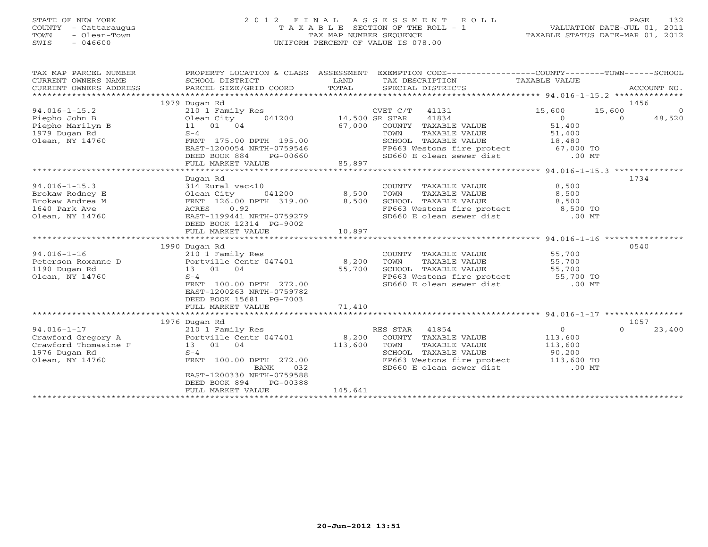# STATE OF NEW YORK 2 0 1 2 F I N A L A S S E S S M E N T R O L L PAGE 132 COUNTY - Cattaraugus T A X A B L E SECTION OF THE ROLL - 1 VALUATION DATE-JUL 01, 2011 TOWN - Olean-Town TAX MAP NUMBER SEQUENCE TAXABLE STATUS DATE-MAR 01, 2012 SWIS - 046600 UNIFORM PERCENT OF VALUE IS 078.00UNIFORM PERCENT OF VALUE IS 078.00

| TAX MAP PARCEL NUMBER<br>CURRENT OWNERS NAME<br>CURRENT OWNERS ADDRESS                              | SCHOOL DISTRICT<br>PARCEL SIZE/GRID COORD                                                                                                                                                                                      | LAND<br>TOTAL                      | PROPERTY LOCATION & CLASS ASSESSMENT EXEMPTION CODE---------------COUNTY-------TOWN------SCHOOL<br>TAX DESCRIPTION TAXABLE VALUE<br>SPECIAL DISTRICTS                                                                                                                                                      |                                              | ACCOUNT NO.                                      |
|-----------------------------------------------------------------------------------------------------|--------------------------------------------------------------------------------------------------------------------------------------------------------------------------------------------------------------------------------|------------------------------------|------------------------------------------------------------------------------------------------------------------------------------------------------------------------------------------------------------------------------------------------------------------------------------------------------------|----------------------------------------------|--------------------------------------------------|
| $94.016 - 1 - 15.2$<br>Piepho John B<br>Piepho Marilyn B<br>1979 Dugan Rd<br>Olean, NY 14760        | 1979 Dugan Rd<br>210 1 Family Res<br>041200<br>Olean City<br>11 01 04<br>$S-4$<br>FRNT 175.00 DPTH 195.00<br>EAST-1200054 NRTH-0759546<br>DEED BOOK 884<br>PG-00660<br>FULL MARKET VALUE                                       | 14,500 SR STAR<br>67,000<br>85,897 | CVET C/T<br>41131<br>41834<br>COUNTY TAXABLE VALUE<br>TAXABLE VALUE<br>TOWN<br>SCHOOL TAXABLE VALUE 18,480<br>FP663 Westons fire protect 67,000 TO<br>SD660 E olean sewer dist .00 MT                                                                                                                      | 15,600<br>$\overline{0}$<br>51,400<br>51,400 | 1456<br>15,600<br>$\Omega$<br>$\Omega$<br>48,520 |
| $94.016 - 1 - 15.3$<br>Brokaw Rodney E<br>Brokaw Andrea M<br>1640 Park Ave<br>Olean, NY 14760       | Dugan Rd<br>314 Rural vac<10<br>Olean City<br>041200<br>FRNT 126.00 DPTH 319.00<br>0.92<br>ACRES<br>EAST-1199441 NRTH-0759279<br>DEED BOOK 12314 PG-9002<br>FULL MARKET VALUE                                                  | 8,500<br>8,500<br>10,897           | COUNTY TAXABLE VALUE<br>TAXABLE VALUE<br>TOWN<br>SCHOOL TAXABLE VALUE<br>FP663 Westons fire protect 8,500 TO<br>SD660 E olean sewer dist                                                                                                                                                                   | 8,500<br>8,500<br>8,500<br>$.00$ MT          | 1734                                             |
| $94.016 - 1 - 16$<br>Peterson Roxanne D<br>1190 Dugan Rd<br>Olean, NY 14760                         | 1990 Dugan Rd<br>210 1 Family Res<br>Portville Centr 047401 8,200<br>13 01 04<br>$S-4$<br>FRNT 100.00 DPTH 272.00<br>EAST-1200263 NRTH-0759782<br>DEED BOOK 15681 PG-7003                                                      | 55,700<br>71,410                   | COUNTY TAXABLE VALUE<br>TAXABLE VALUE<br>TOWN<br>SCHOOL TAXABLE VALUE<br>FP663 Westons fire protect 55,700 TO<br>SD660 E olean sewer dist .00 MT                                                                                                                                                           | 55,700<br>55,700<br>55,700                   | 0540                                             |
| $94.016 - 1 - 17$<br>Crawford Gregory A<br>Crawford Thomasine F<br>1976 Dugan Rd<br>Olean, NY 14760 | FULL MARKET VALUE<br>1976 Dugan Rd<br>210 1 Family Res<br>Portville Centr 047401<br>13 01 04<br>$S-4$<br>FRNT 100.00 DPTH 272.00<br>032<br>BANK<br>EAST-1200330 NRTH-0759588<br>DEED BOOK 894<br>PG-00388<br>FULL MARKET VALUE | 8,200<br>113,600<br>145,641        | RES STAR<br>41854<br>COUNTY TAXABLE VALUE<br>TOWN<br>TAXABLE VALUE<br>COLLEMAN CONTROLLE SUBSERVED AND THE SUBSOLUTE SUBSERVED SUBSERVED SUBSERVED SUBSERVED ON THE SUBSERVED ON THE<br>SUBSERVED SUBSERVED SUBSERVED SUBSERVED ON THE SUBSERVED ON THE SUBSERVED ON THE SUBSERVED ON THE SUBSERVED ON<br> | $\overline{O}$<br>113,600<br>113,600         | 1057<br>$\Omega$<br>23,400                       |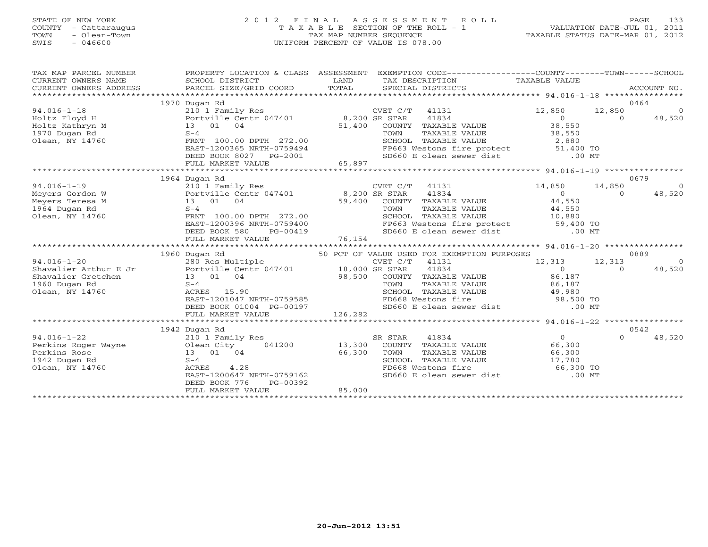# STATE OF NEW YORK 2 0 1 2 F I N A L A S S E S S M E N T R O L L PAGE 133 COUNTY - Cattaraugus T A X A B L E SECTION OF THE ROLL - 1 VALUATION DATE-JUL 01, 2011 TOWN - Olean-Town TAX MAP NUMBER SEQUENCE TAXABLE STATUS DATE-MAR 01, 2012 SWIS - 046600 UNIFORM PERCENT OF VALUE IS 078.00UNIFORM PERCENT OF VALUE IS 078.00

| SCHOOL DISTRICT<br>PARCEL SIZE/GRID COORD                                                                                                                        | LAND<br>TOTAL                                                                                                                                | TAX DESCRIPTION<br>SPECIAL DISTRICTS                                                                            | TAXABLE VALUE                                                                                                                                                                                                                            |                                                                                                                                                                         | ACCOUNT NO.                                                                                                                                                                                                                                |
|------------------------------------------------------------------------------------------------------------------------------------------------------------------|----------------------------------------------------------------------------------------------------------------------------------------------|-----------------------------------------------------------------------------------------------------------------|------------------------------------------------------------------------------------------------------------------------------------------------------------------------------------------------------------------------------------------|-------------------------------------------------------------------------------------------------------------------------------------------------------------------------|--------------------------------------------------------------------------------------------------------------------------------------------------------------------------------------------------------------------------------------------|
| 210 1 Family Res<br>Portville Centr 047401<br>04<br>13 01<br>$S-4$<br>FRNT 100.00 DPTH 272.00<br>EAST-1200365 NRTH-0759494<br>DEED BOOK 8027<br>PG-2001          | 51,400                                                                                                                                       | 41834<br>COUNTY TAXABLE VALUE<br>TOWN<br>TAXABLE VALUE<br>SCHOOL TAXABLE VALUE                                  | 12,850<br>$\circ$<br>38,550<br>38,550<br>2,880                                                                                                                                                                                           | 12,850<br>$\Omega$                                                                                                                                                      | 0464<br>$\Omega$<br>48,520                                                                                                                                                                                                                 |
|                                                                                                                                                                  |                                                                                                                                              |                                                                                                                 |                                                                                                                                                                                                                                          |                                                                                                                                                                         |                                                                                                                                                                                                                                            |
|                                                                                                                                                                  |                                                                                                                                              |                                                                                                                 |                                                                                                                                                                                                                                          |                                                                                                                                                                         | 0679                                                                                                                                                                                                                                       |
| 210 1 Family Res<br>13 01<br>04<br>$S-4$<br>FRNT 100.00 DPTH 272.00<br>EAST-1200396 NRTH-0759400<br>DEED BOOK 580<br>PG-00419                                    | 59,400                                                                                                                                       | 41834<br>COUNTY TAXABLE VALUE<br>TOWN<br>TAXABLE VALUE<br>SCHOOL TAXABLE VALUE                                  | 14,850<br>$\Omega$<br>44,550<br>$44, -$<br>10,880                                                                                                                                                                                        | 14,850<br>$\Omega$                                                                                                                                                      | $\Omega$<br>48,520                                                                                                                                                                                                                         |
|                                                                                                                                                                  |                                                                                                                                              |                                                                                                                 |                                                                                                                                                                                                                                          |                                                                                                                                                                         |                                                                                                                                                                                                                                            |
|                                                                                                                                                                  |                                                                                                                                              | 41131                                                                                                           | 12,313                                                                                                                                                                                                                                   | 12,313                                                                                                                                                                  | 0889<br>$\Omega$                                                                                                                                                                                                                           |
| 13 01<br>04<br>$S-4$<br>ACRES 15.90<br>EAST-1201047 NRTH-0759585<br>DEED BOOK 01004 PG-00197<br>FULL MARKET VALUE                                                | 98,500<br>126,282                                                                                                                            | COUNTY TAXABLE VALUE<br>TAXABLE VALUE<br>TOWN<br>SCHOOL TAXABLE VALUE<br>FD668 Westons fire                     | 86,187<br>86,187<br>49,980                                                                                                                                                                                                               |                                                                                                                                                                         | 48,520                                                                                                                                                                                                                                     |
|                                                                                                                                                                  |                                                                                                                                              |                                                                                                                 |                                                                                                                                                                                                                                          |                                                                                                                                                                         |                                                                                                                                                                                                                                            |
| 210 1 Family Res<br>041200<br>Olean City<br>13 01<br>04<br>$S-4$<br>4.28<br>ACRES<br>EAST-1200647 NRTH-0759162<br>DEED BOOK 776<br>PG-00392<br>FULL MARKET VALUE | 13,300<br>66,300<br>85,000                                                                                                                   | 41834<br>SR STAR<br>COUNTY TAXABLE VALUE<br>TOWN<br>TAXABLE VALUE<br>SCHOOL TAXABLE VALUE<br>FD668 Westons fire | $\Omega$<br>66,300<br>66,300<br>17,780                                                                                                                                                                                                   | $\cap$                                                                                                                                                                  | 48,520                                                                                                                                                                                                                                     |
|                                                                                                                                                                  | 1970 Dugan Rd<br>FULL MARKET VALUE<br>1964 Dugan Rd<br>FULL MARKET VALUE<br>1960 Dugan Rd<br>******************************<br>1942 Dugan Rd | 65,897                                                                                                          | PROPERTY LOCATION & CLASS ASSESSMENT<br>$CVET C/T$ 41131<br>8,200 SR STAR<br>CVET C/T 41131<br>Portville Centr 047401 8,200 SR STAR<br>76,154<br>280 Res Multiple CVET C/T<br>Portville Centr 047401 18,000 SR STAR<br>CVET C/T<br>41834 | SD660 E olean sewer dist<br>SD660 E olean sewer dist<br>50 PCT OF VALUE USED FOR EXEMPTION PURPOSES<br>$\Omega$<br>SD660 E olean sewer dist<br>SD660 E olean sewer dist | EXEMPTION CODE-----------------COUNTY-------TOWN------SCHOOL<br>FP663 Westons fire protect 51,400 TO<br>$.00$ MT<br>FP663 Westons fire protect 59,400 TO<br>$.00$ MT<br>$\Omega$<br>98,500 TO<br>$.00$ MT<br>0542<br>66,300 TO<br>$.00$ MT |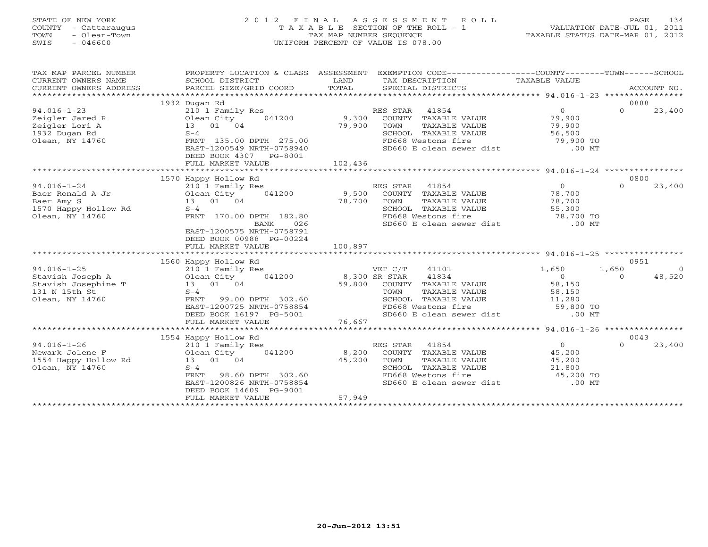# STATE OF NEW YORK 2 0 1 2 F I N A L A S S E S S M E N T R O L L PAGE 134 COUNTY - Cattaraugus T A X A B L E SECTION OF THE ROLL - 1 VALUATION DATE-JUL 01, 2011 TOWN - Olean-Town TAX MAP NUMBER SEQUENCE TAXABLE STATUS DATE-MAR 01, 2012 SWIS - 046600 UNIFORM PERCENT OF VALUE IS 078.00UNIFORM PERCENT OF VALUE IS 078.00

| TAX MAP PARCEL NUMBER<br>$\begin{tabular}{lllllll} \multicolumn{2}{c}{\textbf{CURRENT}} & \multicolumn{2}{c}{\textbf{WMERS}} & \multicolumn{2}{c}{\textbf{NAME}} & \multicolumn{2}{c}{\textbf{SCHOOL}} & \multicolumn{2}{c}{\textbf{ISTRICT}} & \multicolumn{2}{c}{\textbf{LAND}} & \multicolumn{2}{c}{\textbf{TAX} BESCRIPITION} & \multicolumn{2}{c}{\textbf{TAX} ABLE} & \multicolumn{2}{c}{\textbf{NALUE}} & \multicolumn{2}{c}{\textbf{CURRENT}} & \multicolumn{2}{c}{\textbf{NCLS}} & \mult$<br>CURRENT OWNERS NAME<br>CURRENT OWNERS ADDRESS | PROPERTY LOCATION & CLASS ASSESSMENT              |         | EXEMPTION CODE-----------------COUNTY-------TOWN------SCHOOL                                                           |                                           |                         |
|-----------------------------------------------------------------------------------------------------------------------------------------------------------------------------------------------------------------------------------------------------------------------------------------------------------------------------------------------------------------------------------------------------------------------------------------------------------------------------------------------------------------------------------------------------|---------------------------------------------------|---------|------------------------------------------------------------------------------------------------------------------------|-------------------------------------------|-------------------------|
|                                                                                                                                                                                                                                                                                                                                                                                                                                                                                                                                                     | 1932 Dugan Rd                                     |         |                                                                                                                        |                                           | 0888                    |
| $94.016 - 1 - 23$                                                                                                                                                                                                                                                                                                                                                                                                                                                                                                                                   | 210 1 Family Res                                  |         | RES STAR 41854                                                                                                         | $\overline{0}$                            | $\Omega$<br>23,400      |
| Zeigler Jared R                                                                                                                                                                                                                                                                                                                                                                                                                                                                                                                                     |                                                   |         |                                                                                                                        |                                           |                         |
| Olean City<br>13 01 04<br>5-4<br>Zeigler Lori A                                                                                                                                                                                                                                                                                                                                                                                                                                                                                                     | 041200 9,300                                      | 79,900  | COUNTY TAXABLE VALUE 79,900<br>TOWN TAXABLE VALUE 79,900                                                               |                                           |                         |
| 1932 Dugan Rd                                                                                                                                                                                                                                                                                                                                                                                                                                                                                                                                       |                                                   |         |                                                                                                                        |                                           |                         |
| Olean, NY 14760                                                                                                                                                                                                                                                                                                                                                                                                                                                                                                                                     | FRNT 135.00 DPTH 275.00                           |         |                                                                                                                        |                                           |                         |
|                                                                                                                                                                                                                                                                                                                                                                                                                                                                                                                                                     | EAST-1200549 NRTH-0758940                         |         | SCHOOL TAXABLE VALUE<br>SCHOOL TAXABLE VALUE 56,500<br>FD668 Westons fire 79,900 TO<br>SD660 E olean sewer dist .00 MT |                                           |                         |
|                                                                                                                                                                                                                                                                                                                                                                                                                                                                                                                                                     | DEED BOOK 4307 PG-8001                            |         |                                                                                                                        |                                           |                         |
|                                                                                                                                                                                                                                                                                                                                                                                                                                                                                                                                                     |                                                   |         |                                                                                                                        |                                           |                         |
|                                                                                                                                                                                                                                                                                                                                                                                                                                                                                                                                                     |                                                   |         |                                                                                                                        |                                           |                         |
|                                                                                                                                                                                                                                                                                                                                                                                                                                                                                                                                                     | 1570 Happy Hollow Rd                              |         |                                                                                                                        |                                           | 0800                    |
| $94.016 - 1 - 24$                                                                                                                                                                                                                                                                                                                                                                                                                                                                                                                                   |                                                   |         |                                                                                                                        |                                           | $\Omega$<br>23,400      |
| Baer Ronald A Jr                                                                                                                                                                                                                                                                                                                                                                                                                                                                                                                                    | 210 1 Family Res<br>Olean City 041200<br>13 01 04 |         |                                                                                                                        |                                           |                         |
| Baer Amy S                                                                                                                                                                                                                                                                                                                                                                                                                                                                                                                                          |                                                   |         | TAXABLE VALUE 78,700<br>TOWN                                                                                           |                                           |                         |
|                                                                                                                                                                                                                                                                                                                                                                                                                                                                                                                                                     | $S-4$                                             | 78,700  |                                                                                                                        |                                           |                         |
| 1570 Happy Hollow Rd<br>Olean, NY 14760                                                                                                                                                                                                                                                                                                                                                                                                                                                                                                             | FRNT 170.00 DPTH 182.80                           |         |                                                                                                                        |                                           |                         |
|                                                                                                                                                                                                                                                                                                                                                                                                                                                                                                                                                     | BANK<br>026                                       |         | SCHOOL TAXABLE VALUE 55,300<br>FD668 Westons fire 78,700 TO<br>SD660 E olean sewer dist .00 MT                         |                                           |                         |
|                                                                                                                                                                                                                                                                                                                                                                                                                                                                                                                                                     | EAST-1200575 NRTH-0758791                         |         |                                                                                                                        |                                           |                         |
|                                                                                                                                                                                                                                                                                                                                                                                                                                                                                                                                                     | DEED BOOK 00988 PG-00224                          |         |                                                                                                                        |                                           |                         |
|                                                                                                                                                                                                                                                                                                                                                                                                                                                                                                                                                     | FULL MARKET VALUE                                 | 100,897 |                                                                                                                        |                                           |                         |
|                                                                                                                                                                                                                                                                                                                                                                                                                                                                                                                                                     |                                                   |         |                                                                                                                        |                                           |                         |
|                                                                                                                                                                                                                                                                                                                                                                                                                                                                                                                                                     | 1560 Happy Hollow Rd                              |         |                                                                                                                        |                                           | 0951                    |
|                                                                                                                                                                                                                                                                                                                                                                                                                                                                                                                                                     |                                                   |         | VET C/T<br>41101                                                                                                       | 1,650                                     | 1,650<br>$\overline{0}$ |
|                                                                                                                                                                                                                                                                                                                                                                                                                                                                                                                                                     |                                                   |         |                                                                                                                        |                                           | 48,520<br>$\Omega$      |
| 94.016-1-25<br>Stavish Joseph A 210 1 Family Res<br>Stavish Josephine T 13 01 04<br>131 N 15th St<br>S-4<br>5-4                                                                                                                                                                                                                                                                                                                                                                                                                                     |                                                   |         | 8,300 SR STAR 41834<br>59,800 COUNTY TAXABLE VALUE                                                                     | $\begin{array}{c} 0 \ 58,150 \end{array}$ |                         |
|                                                                                                                                                                                                                                                                                                                                                                                                                                                                                                                                                     |                                                   |         | TAXABLE VALUE 58,150<br>TOWN                                                                                           |                                           |                         |
| Olean, NY 14760                                                                                                                                                                                                                                                                                                                                                                                                                                                                                                                                     | 99.00 DPTH 302.60<br>FRNT                         |         |                                                                                                                        |                                           |                         |
|                                                                                                                                                                                                                                                                                                                                                                                                                                                                                                                                                     | EAST-1200725 NRTH-0758854                         |         |                                                                                                                        |                                           |                         |
|                                                                                                                                                                                                                                                                                                                                                                                                                                                                                                                                                     | DEED BOOK 16197 PG-5001                           |         | SCHOOL TAXABLE VALUE 11,280<br>FD668 Westons fire 59,800 TO<br>SD660 E olean sewer dist .00 MT                         |                                           |                         |
|                                                                                                                                                                                                                                                                                                                                                                                                                                                                                                                                                     | FULL MARKET VALUE                                 | 76,667  |                                                                                                                        |                                           |                         |
|                                                                                                                                                                                                                                                                                                                                                                                                                                                                                                                                                     |                                                   |         |                                                                                                                        |                                           |                         |
|                                                                                                                                                                                                                                                                                                                                                                                                                                                                                                                                                     | 1554 Happy Hollow Rd                              |         |                                                                                                                        |                                           | 0043                    |
| $94.016 - 1 - 26$                                                                                                                                                                                                                                                                                                                                                                                                                                                                                                                                   | 210 1 Family Res                                  |         | RES STAR 41854                                                                                                         | $\overline{0}$                            | $\Omega$<br>23,400      |
|                                                                                                                                                                                                                                                                                                                                                                                                                                                                                                                                                     |                                                   |         | 8,200 COUNTY TAXABLE VALUE                                                                                             | 45,200                                    |                         |
|                                                                                                                                                                                                                                                                                                                                                                                                                                                                                                                                                     |                                                   | 45,200  | TOWN<br>TAXABLE VALUE                                                                                                  | 45,200                                    |                         |
| Olean, NY 14760                                                                                                                                                                                                                                                                                                                                                                                                                                                                                                                                     | $S-4$                                             |         |                                                                                                                        |                                           |                         |
|                                                                                                                                                                                                                                                                                                                                                                                                                                                                                                                                                     | 98.60 DPTH 302.60<br>FRNT                         |         | SCHOOL TAXABLE VALUE $21,800$<br>FD668 Westons fire $45,200$ TO                                                        |                                           |                         |
|                                                                                                                                                                                                                                                                                                                                                                                                                                                                                                                                                     | EAST-1200826 NRTH-0758854                         |         | SD660 E olean sewer dist .00 MT                                                                                        |                                           |                         |
|                                                                                                                                                                                                                                                                                                                                                                                                                                                                                                                                                     | DEED BOOK 14609 PG-9001                           |         |                                                                                                                        |                                           |                         |
|                                                                                                                                                                                                                                                                                                                                                                                                                                                                                                                                                     | FULL MARKET VALUE                                 | 57,949  |                                                                                                                        |                                           |                         |
|                                                                                                                                                                                                                                                                                                                                                                                                                                                                                                                                                     |                                                   |         |                                                                                                                        |                                           |                         |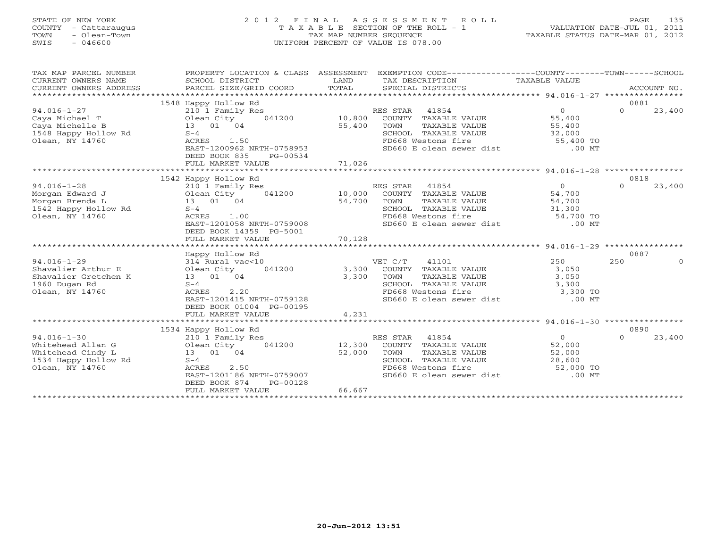# STATE OF NEW YORK 2 0 1 2 F I N A L A S S E S S M E N T R O L L PAGE 135 COUNTY - Cattaraugus T A X A B L E SECTION OF THE ROLL - 1 VALUATION DATE-JUL 01, 2011 TOWN - Olean-Town TAX MAP NUMBER SEQUENCE TAXABLE STATUS DATE-MAR 01, 2012 SWIS - 046600 UNIFORM PERCENT OF VALUE IS 078.00UNIFORM PERCENT OF VALUE IS 078.00

| TAX MAP PARCEL NUMBER<br>CURRENT OWNERS NAME<br>CURRENT OWNERS ADDRESS | PROPERTY LOCATION & CLASS ASSESSMENT<br>SCHOOL DISTRICT<br>PARCEL SIZE/GRID COORD | EXEMPTION CODE-----------------COUNTY-------TOWN------SCHOOL<br>LAND<br>TAX DESCRIPTION<br>TOTAL<br>SPECIAL DISTRICTS | TAXABLE VALUE  | ACCOUNT NO.             |
|------------------------------------------------------------------------|-----------------------------------------------------------------------------------|-----------------------------------------------------------------------------------------------------------------------|----------------|-------------------------|
|                                                                        | 1548 Happy Hollow Rd                                                              |                                                                                                                       |                | 0881                    |
| $94.016 - 1 - 27$                                                      | 210 1 Family Res                                                                  | RES STAR 41854                                                                                                        | $\Omega$       | $\Omega$<br>23,400      |
| Caya Michael T                                                         | Olean City<br>041200                                                              | 10,800<br>COUNTY TAXABLE VALUE                                                                                        | 55,400         |                         |
| Caya Michelle B                                                        | 13 01 04                                                                          | 55,400<br>TOWN<br>TAXABLE VALUE                                                                                       | 55,400         |                         |
| 1548 Happy Hollow Rd                                                   | $S-4$                                                                             | SCHOOL TAXABLE VALUE                                                                                                  | 32,000         |                         |
| Olean, NY 14760                                                        | ACRES<br>1.50                                                                     | FD668 Westons fire                                                                                                    | 55,400 TO      |                         |
|                                                                        | EAST-1200962 NRTH-0758953                                                         | SD660 E olean sewer dist                                                                                              | $.00$ MT       |                         |
|                                                                        | DEED BOOK 835<br>PG-00534                                                         |                                                                                                                       |                |                         |
|                                                                        | FULL MARKET VALUE                                                                 | 71,026                                                                                                                |                |                         |
|                                                                        | ********************************                                                  |                                                                                                                       |                |                         |
|                                                                        | 1542 Happy Hollow Rd                                                              |                                                                                                                       |                | 0818                    |
| $94.016 - 1 - 28$                                                      | 210 1 Family Res                                                                  | RES STAR 41854                                                                                                        | $\overline{0}$ | $\Omega$<br>23,400      |
| Morgan Edward J                                                        | Olean City<br>041200                                                              | 10,000<br>COUNTY TAXABLE VALUE                                                                                        | 54,700         |                         |
| Morgan Brenda L                                                        | 13 01 04                                                                          | 54,700<br>TAXABLE VALUE<br>TOWN                                                                                       | 54,700         |                         |
| 1542 Happy Hollow Rd                                                   | $S-4$                                                                             | SCHOOL TAXABLE VALUE                                                                                                  | 31,300         |                         |
| Olean, NY 14760                                                        | ACRES<br>1.00                                                                     | FD668 Westons fire                                                                                                    | 54,700 TO      |                         |
|                                                                        | EAST-1201058 NRTH-0759008                                                         | SD660 E olean sewer dist                                                                                              | $.00$ MT       |                         |
|                                                                        | DEED BOOK 14359 PG-5001                                                           |                                                                                                                       |                |                         |
|                                                                        | FULL MARKET VALUE                                                                 | 70,128                                                                                                                |                |                         |
|                                                                        |                                                                                   |                                                                                                                       |                |                         |
| $94.016 - 1 - 29$                                                      | Happy Hollow Rd<br>314 Rural vac<10                                               | VET C/T<br>41101                                                                                                      | 250            | 0887<br>250<br>$\Omega$ |
| Shavalier Arthur E                                                     | Olean City<br>041200                                                              | 3,300<br>COUNTY TAXABLE VALUE                                                                                         | 3,050          |                         |
| Shavalier Gretchen K                                                   | 13 01 04                                                                          | 3,300<br>TOWN<br>TAXABLE VALUE                                                                                        | 3,050          |                         |
| 1960 Dugan Rd                                                          | $S-4$                                                                             | SCHOOL TAXABLE VALUE                                                                                                  | 3,300          |                         |
| Olean, NY 14760                                                        | 2.20<br>ACRES                                                                     | FD668 Westons fire                                                                                                    | 3,300 TO       |                         |
|                                                                        | EAST-1201415 NRTH-0759128                                                         | SD660 E olean sewer dist                                                                                              | $.00$ MT       |                         |
|                                                                        | DEED BOOK 01004 PG-00195                                                          |                                                                                                                       |                |                         |
|                                                                        | FULL MARKET VALUE                                                                 | 4,231                                                                                                                 |                |                         |
|                                                                        |                                                                                   |                                                                                                                       |                |                         |
|                                                                        | 1534 Happy Hollow Rd                                                              |                                                                                                                       |                | 0890                    |
| $94.016 - 1 - 30$                                                      | 210 1 Family Res                                                                  | RES STAR 41854                                                                                                        | $\overline{0}$ | $\Omega$<br>23,400      |
| Whitehead Allan G                                                      | Olean City<br>041200                                                              | 12,300<br>COUNTY TAXABLE VALUE                                                                                        | 52,000         |                         |
| Whitehead Cindy L                                                      | 13 01 04                                                                          | 52,000<br>TAXABLE VALUE<br>TOWN                                                                                       | 52,000         |                         |
| 1534 Happy Hollow Rd                                                   | $S-4$                                                                             | SCHOOL TAXABLE VALUE                                                                                                  | 28,600         |                         |
| Olean, NY 14760                                                        | 2.50<br>ACRES                                                                     | FD668 Westons fire                                                                                                    | 52,000 TO      |                         |
|                                                                        | EAST-1201186 NRTH-0759007                                                         | SD660 E olean sewer dist                                                                                              | $.00$ MT       |                         |
|                                                                        | DEED BOOK 874<br>PG-00128                                                         |                                                                                                                       |                |                         |
|                                                                        | FULL MARKET VALUE                                                                 | 66,667                                                                                                                |                |                         |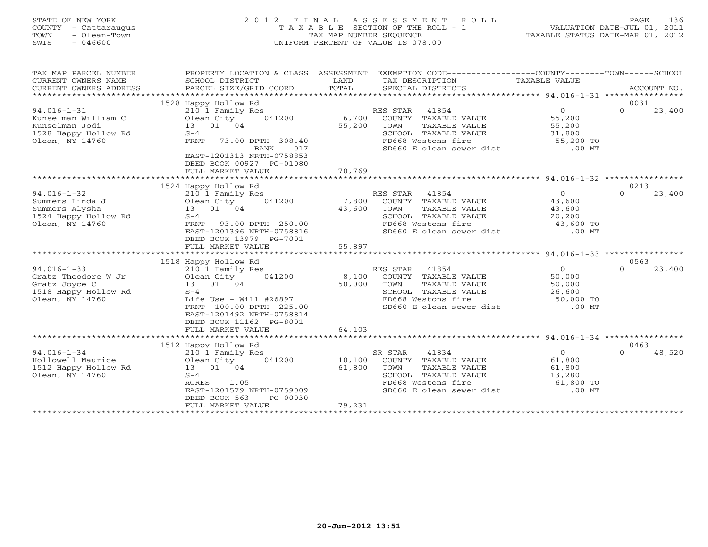# STATE OF NEW YORK 2 0 1 2 F I N A L A S S E S S M E N T R O L L PAGE 136 COUNTY - Cattaraugus T A X A B L E SECTION OF THE ROLL - 1 VALUATION DATE-JUL 01, 2011 TOWN - Olean-Town TAX MAP NUMBER SEQUENCE TAXABLE STATUS DATE-MAR 01, 2012 SWIS - 046600 UNIFORM PERCENT OF VALUE IS 078.00UNIFORM PERCENT OF VALUE IS 078.00

| TAX MAP PARCEL NUMBER<br>CURRENT OWNERS NAME<br>CURRENT OWNERS ADDRESS<br>********************** | PROPERTY LOCATION & CLASS ASSESSMENT<br>SCHOOL DISTRICT<br>PARCEL SIZE/GRID COORD | LAND<br>TOTAL | EXEMPTION CODE-----------------COUNTY-------TOWN-----SCHOOL<br>TAX DESCRIPTION<br>SPECIAL DISTRICTS | TAXABLE VALUE  | ACCOUNT NO.        |
|--------------------------------------------------------------------------------------------------|-----------------------------------------------------------------------------------|---------------|-----------------------------------------------------------------------------------------------------|----------------|--------------------|
|                                                                                                  | 1528 Happy Hollow Rd                                                              |               |                                                                                                     |                | 0031               |
|                                                                                                  |                                                                                   |               |                                                                                                     | $\overline{O}$ | $\Omega$<br>23,400 |
| $94.016 - 1 - 31$                                                                                | 210 1 Family Res                                                                  |               | RES STAR<br>41854                                                                                   |                |                    |
| Kunselman William C                                                                              | Olean City<br>041200                                                              | 6,700         | COUNTY TAXABLE VALUE                                                                                | 55,200         |                    |
| Kunselman Jodi                                                                                   | 13 01 04                                                                          | 55,200        | TOWN<br>TAXABLE VALUE                                                                               | 55,200         |                    |
| 1528 Happy Hollow Rd                                                                             | $S-4$                                                                             |               | SCHOOL TAXABLE VALUE                                                                                | 31,800         |                    |
| Olean, NY 14760                                                                                  | FRNT<br>73.00 DPTH 308.40                                                         |               | FD668 Westons fire                                                                                  | 55,200 TO      |                    |
|                                                                                                  | BANK<br>017                                                                       |               | SD660 E olean sewer dist                                                                            | $.00$ MT       |                    |
|                                                                                                  | EAST-1201313 NRTH-0758853                                                         |               |                                                                                                     |                |                    |
|                                                                                                  | DEED BOOK 00927 PG-01080                                                          |               |                                                                                                     |                |                    |
|                                                                                                  | FULL MARKET VALUE                                                                 | 70,769        |                                                                                                     |                |                    |
|                                                                                                  |                                                                                   |               |                                                                                                     |                |                    |
|                                                                                                  | 1524 Happy Hollow Rd                                                              |               |                                                                                                     |                | 0213               |
| $94.016 - 1 - 32$                                                                                | 210 1 Family Res                                                                  |               | RES STAR<br>41854                                                                                   | $\circ$        | $\Omega$<br>23,400 |
| Summers Linda J                                                                                  | Olean City<br>041200                                                              | 7,800         | COUNTY TAXABLE VALUE                                                                                | 43,600         |                    |
| Summers Alysha                                                                                   | 13 01 04                                                                          | 43,600        | TAXABLE VALUE<br>TOWN                                                                               | 43,600         |                    |
| 1524 Happy Hollow Rd                                                                             | $S-4$                                                                             |               | SCHOOL TAXABLE VALUE                                                                                | 20,200         |                    |
| Olean, NY 14760                                                                                  | FRNT<br>93.00 DPTH 250.00                                                         |               | FD668 Westons fire                                                                                  | 43,600 TO      |                    |
|                                                                                                  | EAST-1201396 NRTH-0758816                                                         |               | SD660 E olean sewer dist .00 MT                                                                     |                |                    |
|                                                                                                  | DEED BOOK 13979 PG-7001                                                           |               |                                                                                                     |                |                    |
|                                                                                                  | FULL MARKET VALUE                                                                 | 55,897        |                                                                                                     |                |                    |
|                                                                                                  |                                                                                   |               |                                                                                                     |                |                    |
|                                                                                                  | 1518 Happy Hollow Rd                                                              |               |                                                                                                     |                | 0563               |
| $94.016 - 1 - 33$                                                                                | 210 1 Family Res                                                                  |               | RES STAR<br>41854                                                                                   | $\circ$        | $\Omega$<br>23,400 |
| Gratz Theodore W Jr                                                                              | Olean City<br>041200                                                              | 8,100         | COUNTY TAXABLE VALUE                                                                                | 50,000         |                    |
| Gratz Joyce C                                                                                    | 13 01 04                                                                          | 50,000        | TOWN<br>TAXABLE VALUE                                                                               | 50,000         |                    |
| 1518 Happy Hollow Rd                                                                             | $S-4$                                                                             |               | SCHOOL TAXABLE VALUE                                                                                | 26,600         |                    |
| Olean, NY 14760                                                                                  | Life Use - Will #26897                                                            |               | FD668 Westons fire                                                                                  | 50,000 TO      |                    |
|                                                                                                  | FRNT 100.00 DPTH 225.00                                                           |               | SD660 E olean sewer dist                                                                            | $.00$ MT       |                    |
|                                                                                                  | EAST-1201492 NRTH-0758814                                                         |               |                                                                                                     |                |                    |
|                                                                                                  | DEED BOOK 11162 PG-8001                                                           |               |                                                                                                     |                |                    |
|                                                                                                  | FULL MARKET VALUE                                                                 | 64,103        |                                                                                                     |                |                    |
|                                                                                                  |                                                                                   |               |                                                                                                     |                |                    |
|                                                                                                  | 1512 Happy Hollow Rd                                                              |               |                                                                                                     |                | 0463               |
| $94.016 - 1 - 34$                                                                                | 210 1 Family Res                                                                  |               | 41834<br>SR STAR                                                                                    | $\circ$        | 0<br>48,520        |
| Hollowell Maurice                                                                                | Olean City<br>041200                                                              | 10,100        | COUNTY TAXABLE VALUE                                                                                | 61,800         |                    |
| 1512 Happy Hollow Rd                                                                             | 13 01 04                                                                          | 61,800        | TOWN<br>TAXABLE VALUE                                                                               | 61,800         |                    |
| Olean, NY 14760                                                                                  | $S-4$                                                                             |               | SCHOOL TAXABLE VALUE                                                                                | 13,280         |                    |
|                                                                                                  | 1.05<br>ACRES                                                                     |               | FD668 Westons fire                                                                                  | 61,800 TO      |                    |
|                                                                                                  | EAST-1201579 NRTH-0759009                                                         |               | SD660 E olean sewer dist                                                                            | $.00$ MT       |                    |
|                                                                                                  | DEED BOOK 563<br>PG-00030                                                         |               |                                                                                                     |                |                    |
|                                                                                                  | FULL MARKET VALUE                                                                 | 79,231        |                                                                                                     |                |                    |
|                                                                                                  |                                                                                   |               |                                                                                                     |                |                    |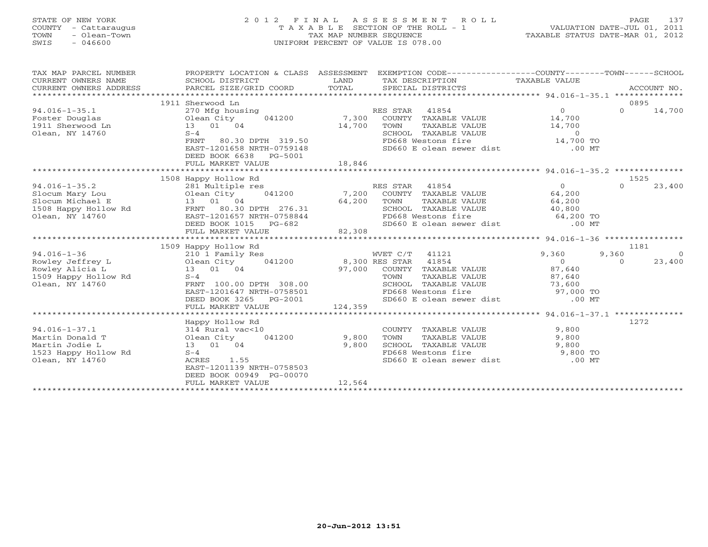# STATE OF NEW YORK 2 0 1 2 F I N A L A S S E S S M E N T R O L L PAGE 137 COUNTY - Cattaraugus T A X A B L E SECTION OF THE ROLL - 1 VALUATION DATE-JUL 01, 2011 TOWN - Olean-Town TAX MAP NUMBER SEQUENCE TAXABLE STATUS DATE-MAR 01, 2012 SWIS - 046600 UNIFORM PERCENT OF VALUE IS 078.00UNIFORM PERCENT OF VALUE IS 078.00

| TAX MAP PARCEL NUMBER<br>CURRENT OWNERS NAME<br>CURRENT OWNERS ADDRESS | PROPERTY LOCATION & CLASS ASSESSMENT |         | EXEMPTION CODE----------------COUNTY-------TOWN------SCHOOL                         |                                                      |               |            |
|------------------------------------------------------------------------|--------------------------------------|---------|-------------------------------------------------------------------------------------|------------------------------------------------------|---------------|------------|
|                                                                        | 1911 Sherwood Ln                     |         |                                                                                     |                                                      | 0895          |            |
| $94.016 - 1 - 35.1$                                                    | 270 Mfg housing                      |         | RES STAR 41854                                                                      | $\Omega$                                             | $0 \t 14,700$ |            |
| Foster Douglas                                                         | Olean City 041200 7,300              |         | COUNTY TAXABLE VALUE 14,700                                                         |                                                      |               |            |
| 1911 Sherwood Ln                                                       | 13  01  04                           | 14,700  |                                                                                     |                                                      |               |            |
| Olean, NY 14760                                                        | $S-4$                                |         |                                                                                     |                                                      |               |            |
|                                                                        | 80.30 DPTH 319.50<br>FRNT            |         | TOWN TAXABLE VALUE 14,700<br>SCHOOL TAXABLE VALUE 0<br>FD668 Westons fire 14,700 TO |                                                      |               |            |
|                                                                        | EAST-1201658 NRTH-0759148            |         | $SD660$ E olean sewer dist .00 MT                                                   |                                                      |               |            |
|                                                                        | DEED BOOK 6638<br>PG-5001            |         |                                                                                     |                                                      |               |            |
|                                                                        | FULL MARKET VALUE                    | 18,846  |                                                                                     |                                                      |               |            |
|                                                                        |                                      |         |                                                                                     |                                                      |               |            |
|                                                                        | 1508 Happy Hollow Rd                 |         |                                                                                     |                                                      | 1525          |            |
| $94.016 - 1 - 35.2$                                                    | 281 Multiple res                     |         | RES STAR 41854                                                                      | $\begin{array}{c} 0 \\ 64,200 \\ 64,200 \end{array}$ | $\Omega$      | 23,400     |
| Slocum Mary Lou                                                        | Olean City<br>13 01 04               |         | Olean City 041200 7,200 COUNTY TAXABLE VALUE                                        |                                                      |               |            |
| Slocum Michael E                                                       |                                      | 64,200  | TAXABLE VALUE<br>TOWN                                                               |                                                      |               |            |
| 1508 Happy Hollow Rd FRNT 80.30 DPTH 276.31                            |                                      |         | SCHOOL TAXABLE VALUE 40,800                                                         |                                                      |               |            |
| Olean, NY 14760                                                        | EAST-1201657 NRTH-0758844            |         | FD668 Westons fire 64,200 TO                                                        |                                                      |               |            |
|                                                                        | DEED BOOK 1015 PG-682                | 82,308  | SD660 E olean sewer dist .00 MT                                                     |                                                      |               |            |
|                                                                        | FULL MARKET VALUE                    |         |                                                                                     |                                                      |               |            |
|                                                                        |                                      |         |                                                                                     |                                                      |               |            |
|                                                                        | 1509 Happy Hollow Rd                 |         |                                                                                     |                                                      | 1181          |            |
| $94.016 - 1 - 36$                                                      | 210 1 Family Res                     |         | WVET C/T 41121                                                                      | 9,360                                                | 9,360         | $\bigcirc$ |
| Rowley Jeffrey L                                                       |                                      |         |                                                                                     | $\overline{0}$                                       | $\Omega$      | 23,400     |
| Rowley Alicia L                                                        | 13 01 04                             |         | 97,000 COUNTY TAXABLE VALUE 87,640                                                  |                                                      |               |            |
| 1509 Happy Hollow Rd                                                   | $S-4$                                |         | TOWN<br>TAXABLE VALUE                                                               | 87,640                                               |               |            |
| Olean, NY 14760                                                        | FRNT 100.00 DPTH 308.00              |         | SCHOOL TAXABLE VALUE 73,600<br>FD668 Westons fire 97,000 TO                         |                                                      |               |            |
|                                                                        | EAST-1201647 NRTH-0758501            |         |                                                                                     |                                                      |               |            |
|                                                                        | DEED BOOK 3265 PG-2001               |         | SD660 E olean sewer dist .00 MT                                                     |                                                      |               |            |
|                                                                        | FULL MARKET VALUE                    | 124,359 |                                                                                     |                                                      |               |            |
|                                                                        | Happy Hollow Rd                      |         |                                                                                     |                                                      | 1272          |            |
| $94.016 - 1 - 37.1$                                                    | 314 Rural vac<10                     |         | COUNTY TAXABLE VALUE 9,800                                                          |                                                      |               |            |
| Martin Donald T                                                        | 041200<br>Olean City                 | 9,800   | TOWN<br>TAXABLE VALUE                                                               |                                                      |               |            |
| Martin Jodie L                                                         | 13 01 04                             | 9,800   |                                                                                     | 9,800                                                |               |            |
| 1523 Happy Hollow Rd                                                   | $S-4$                                |         | SCHOOL TAXABLE VALUE 9,800<br>FD668 Westons fire 9,800 TO                           |                                                      |               |            |
| Olean, NY 14760                                                        | 1.55<br>ACRES                        |         | SD660 E olean sewer dist .00 MT                                                     |                                                      |               |            |
|                                                                        | EAST-1201139 NRTH-0758503            |         |                                                                                     |                                                      |               |            |
|                                                                        | DEED BOOK 00949 PG-00070             |         |                                                                                     |                                                      |               |            |
|                                                                        | FULL MARKET VALUE                    | 12,564  |                                                                                     |                                                      |               |            |
|                                                                        |                                      |         |                                                                                     |                                                      |               |            |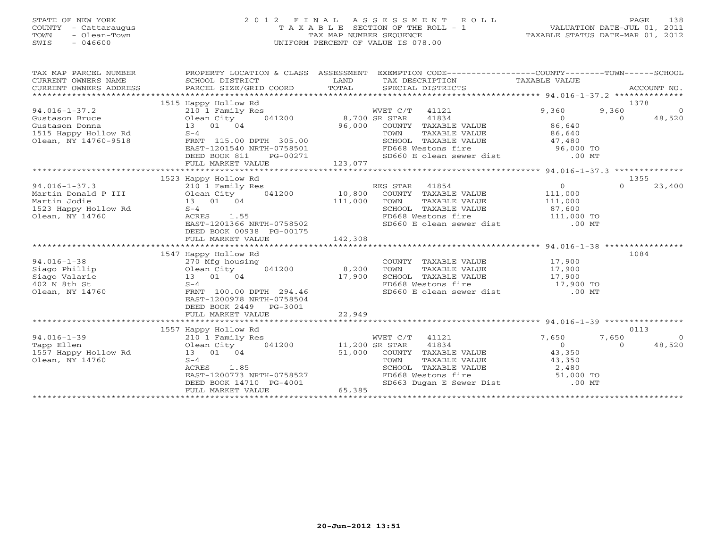# STATE OF NEW YORK 2 0 1 2 F I N A L A S S E S S M E N T R O L L PAGE 138 COUNTY - Cattaraugus T A X A B L E SECTION OF THE ROLL - 1 VALUATION DATE-JUL 01, 2011 TOWN - Olean-Town TAX MAP NUMBER SEQUENCE TAXABLE STATUS DATE-MAR 01, 2012 SWIS - 046600 UNIFORM PERCENT OF VALUE IS 078.00UNIFORM PERCENT OF VALUE IS 078.00

| TAX MAP PARCEL NUMBER<br>CURRENT OWNERS NAME<br>CURRENT OWNERS ADDRESS                                  | SCHOOL DISTRICT<br>PARCEL SIZE/GRID COORD                                                                                                                                                       | LAND<br>TOTAL                      | PROPERTY LOCATION & CLASS ASSESSMENT EXEMPTION CODE----------------COUNTY-------TOWN------SCHOOL<br>TAX DESCRIPTION<br>SPECIAL DISTRICTS                                          | TAXABLE VALUE                                                             |                           | ACCOUNT NO.              |
|---------------------------------------------------------------------------------------------------------|-------------------------------------------------------------------------------------------------------------------------------------------------------------------------------------------------|------------------------------------|-----------------------------------------------------------------------------------------------------------------------------------------------------------------------------------|---------------------------------------------------------------------------|---------------------------|--------------------------|
| $94.016 - 1 - 37.2$<br>Gustason Bruce<br>Gustason Donna<br>1515 Happy Hollow Rd<br>Olean, NY 14760-9518 | 1515 Happy Hollow Rd<br>210 1 Family Res<br>041200<br>Olean City<br>13 01 04<br>$S-4$<br>FRNT 115.00 DPTH 305.00<br>EAST-1201540 NRTH-0758501<br>DEED BOOK 811<br>PG-00271<br>FULL MARKET VALUE | 8,700 SR STAR<br>96,000<br>123,077 | WVET C/T 41121<br>41834<br>COUNTY TAXABLE VALUE<br>TAXABLE VALUE<br>TOWN<br>SCHOOL TAXABLE VALUE<br>FD668 Westons fire<br>SD660 E olean sewer dist .00 MT                         | 9,360<br>$\Omega$<br>86,640<br>86,640<br>47,480<br>$96,000$ TO            | 1378<br>9,360<br>$\Omega$ | $\overline{0}$<br>48,520 |
|                                                                                                         |                                                                                                                                                                                                 |                                    |                                                                                                                                                                                   |                                                                           |                           |                          |
|                                                                                                         | 1523 Happy Hollow Rd                                                                                                                                                                            |                                    |                                                                                                                                                                                   |                                                                           | 1355                      |                          |
| $94.016 - 1 - 37.3$<br>Martin Donald P III<br>Martin Jodie<br>1523 Happy Hollow Rd<br>Olean, NY 14760   | 210 1 Family Res<br>041200<br>Olean City<br>13 01 04<br>$S-4$<br>ACRES<br>1.55<br>EAST-1201366 NRTH-0758502<br>DEED BOOK 00938 PG-00175<br>FULL MARKET VALUE                                    | 10,800<br>111,000<br>142,308       | RES STAR 41854<br>COUNTY TAXABLE VALUE<br>TOWN<br>TAXABLE VALUE<br>SCHOOL TAXABLE VALUE<br>FD668 Westons fire 111,000 TO<br>SD660 E olean sewer dist .00 MT<br>FD668 Westons fire | $\overline{0}$<br>111,000<br>111,000<br>87,600                            | $\Omega$                  | 23,400                   |
|                                                                                                         |                                                                                                                                                                                                 |                                    |                                                                                                                                                                                   |                                                                           |                           |                          |
| $94.016 - 1 - 38$<br>Siago Phillip<br>Siago Valarie<br>402 N 8th St<br>Olean, NY 14760                  | 1547 Happy Hollow Rd<br>270 Mfg housing<br>041200<br>Olean City<br>13 01 04<br>$S-4$<br>FRNT 100.00 DPTH 294.46<br>EAST-1200978 NRTH-0758504<br>DEED BOOK 2449<br>PG-3001<br>FULL MARKET VALUE  | 8,200<br>17,900<br>22,949          | COUNTY TAXABLE VALUE<br>TOWN<br>TAXABLE VALUE<br>SCHOOL TAXABLE VALUE<br>FD668 Westons fire<br>SD660 E olean sewer dist                                                           | 17,900<br>17,900<br>17,900<br>17,900<br>17,900 TO<br>$.00$ MT             | 1084                      |                          |
|                                                                                                         |                                                                                                                                                                                                 |                                    |                                                                                                                                                                                   |                                                                           |                           |                          |
| $94.016 - 1 - 39$<br>Tapp Ellen<br>1557 Happy Hollow Rd<br>Olean, NY 14760                              | 1557 Happy Hollow Rd<br>210 1 Family Res<br>041200<br>Olean City<br>13 01 04<br>$S-4$<br>1.85<br>ACRES<br>EAST-1200773 NRTH-0758527<br>DEED BOOK 14710 PG-4001<br>FULL MARKET VALUE             | 11,200 SR STAR<br>51,000<br>65,385 | WVET C/T 41121<br>41834<br>COUNTY TAXABLE VALUE<br>TOWN<br>TAXABLE VALUE<br>SCHOOL TAXABLE VALUE<br>FD668 Westons fire<br>SD663 Dugan E Sewer Dist                                | 7,650<br>$\Omega$<br>43,350<br>43,350<br>2,480<br>$51,000$ TO<br>$.00$ MT | 0113<br>7,650<br>$\Omega$ | $\overline{0}$<br>48,520 |
|                                                                                                         |                                                                                                                                                                                                 |                                    |                                                                                                                                                                                   |                                                                           |                           |                          |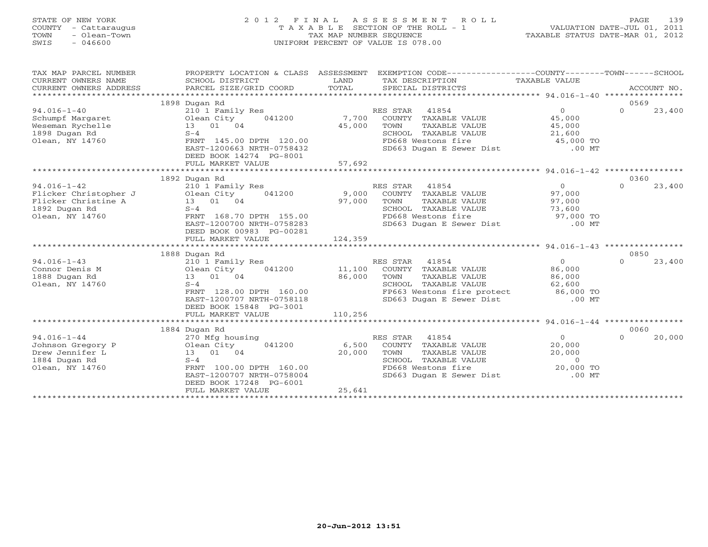# STATE OF NEW YORK 2 0 1 2 F I N A L A S S E S S M E N T R O L L PAGE 139 COUNTY - Cattaraugus T A X A B L E SECTION OF THE ROLL - 1 VALUATION DATE-JUL 01, 2011 TOWN - Olean-Town TAX MAP NUMBER SEQUENCE TAXABLE STATUS DATE-MAR 01, 2012 SWIS - 046600 UNIFORM PERCENT OF VALUE IS 078.00UNIFORM PERCENT OF VALUE IS 078.00

| TAX MAP PARCEL NUMBER<br>CURRENT OWNERS NAME<br>CUNNERS ADDRESS DESCRIPTION COORD TOTAL SECIAL DISTRICTS CONNERS ADDRESS DESCRIPTION PORT DESCRIPTION SECIAL DISTRICTS ACCOUNT NO.<br>CURRENT OWNERS ADDRESS PARCEL SIZE/GRID COORD TOTAL SECIAL DISTRICTS (2000) TOTAL SECIAL DI<br>CURRENT OWNERS ADDRESS | PROPERTY LOCATION & CLASS ASSESSMENT<br>SCHOOL DISTRICT | LAND    | EXEMPTION CODE-----------------COUNTY-------TOWN------SCHOOL<br>TAX DESCRIPTION | TAXABLE VALUE  |          |        |
|-------------------------------------------------------------------------------------------------------------------------------------------------------------------------------------------------------------------------------------------------------------------------------------------------------------|---------------------------------------------------------|---------|---------------------------------------------------------------------------------|----------------|----------|--------|
|                                                                                                                                                                                                                                                                                                             |                                                         |         |                                                                                 |                |          |        |
|                                                                                                                                                                                                                                                                                                             | 1898 Dugan Rd                                           |         |                                                                                 |                | 0569     |        |
| $94.016 - 1 - 40$                                                                                                                                                                                                                                                                                           | 210 1 Family Res                                        |         | RES STAR 41854                                                                  | $\Omega$       | $\Omega$ | 23,400 |
| Schumpf Margaret                                                                                                                                                                                                                                                                                            | Olean City<br>041200                                    | 7,700   | COUNTY TAXABLE VALUE                                                            | 45,000         |          |        |
| Weseman Rychelle                                                                                                                                                                                                                                                                                            | 13 01 04                                                | 45,000  | TOWN<br>TAXABLE VALUE                                                           | 45,000         |          |        |
| 1898 Dugan Rd                                                                                                                                                                                                                                                                                               | $S-4$                                                   |         | SCHOOL TAXABLE VALUE                                                            | 21,600         |          |        |
| Olean, NY 14760                                                                                                                                                                                                                                                                                             | FRNT 145.00 DPTH 120.00                                 |         | FD668 Westons fire                                                              | 45,000 TO      |          |        |
|                                                                                                                                                                                                                                                                                                             | EAST-1200663 NRTH-0758432                               |         | SD663 Dugan E Sewer Dist .00 MT                                                 |                |          |        |
|                                                                                                                                                                                                                                                                                                             | DEED BOOK 14274 PG-8001                                 |         |                                                                                 |                |          |        |
|                                                                                                                                                                                                                                                                                                             | FULL MARKET VALUE                                       | 57,692  |                                                                                 |                |          |        |
|                                                                                                                                                                                                                                                                                                             |                                                         |         |                                                                                 |                | 0360     |        |
| $94.016 - 1 - 42$                                                                                                                                                                                                                                                                                           | 1892 Dugan Rd                                           |         | RES STAR 41854                                                                  | $\overline{0}$ | $\Omega$ |        |
| Flicker Christopher J Olean City                                                                                                                                                                                                                                                                            | 210 1 Family Res<br>041200                              | 9,000   | COUNTY TAXABLE VALUE                                                            | 97,000         |          | 23,400 |
| Flicker Christine A                                                                                                                                                                                                                                                                                         | 13 01 04                                                | 97,000  | TOWN<br>TAXABLE VALUE                                                           | 97,000         |          |        |
| 1892 Dugan Rd                                                                                                                                                                                                                                                                                               | $S-4$                                                   |         | SCHOOL TAXABLE VALUE                                                            | 73,600         |          |        |
| Olean, NY 14760                                                                                                                                                                                                                                                                                             | FRNT 168.70 DPTH 155.00                                 |         | FD668 Westons fire                                                              | 97,000 TO      |          |        |
|                                                                                                                                                                                                                                                                                                             | EAST-1200700 NRTH-0758283                               |         | SD663 Dugan E Sewer Dist .00 MT                                                 |                |          |        |
|                                                                                                                                                                                                                                                                                                             | DEED BOOK 00983 PG-00281                                |         |                                                                                 |                |          |        |
|                                                                                                                                                                                                                                                                                                             | FULL MARKET VALUE                                       | 124,359 |                                                                                 |                |          |        |
|                                                                                                                                                                                                                                                                                                             |                                                         |         |                                                                                 |                |          |        |
|                                                                                                                                                                                                                                                                                                             | 1888 Dugan Rd                                           |         |                                                                                 |                | 0850     |        |
| $94.016 - 1 - 43$                                                                                                                                                                                                                                                                                           | 210 1 Family Res                                        |         | RES STAR 41854                                                                  | $\overline{0}$ | $\Omega$ | 23,400 |
| Connor Denis M                                                                                                                                                                                                                                                                                              | 041200<br>Olean City                                    | 11,100  | COUNTY TAXABLE VALUE                                                            | 86,000         |          |        |
| 1888 Dugan Rd                                                                                                                                                                                                                                                                                               | 13 01 04                                                | 86,000  | TOWN<br>TAXABLE VALUE                                                           | 86,000         |          |        |
| Olean, NY 14760                                                                                                                                                                                                                                                                                             | $S-4$                                                   |         | SCHOOL TAXABLE VALUE                                                            | 62,600         |          |        |
|                                                                                                                                                                                                                                                                                                             | FRNT 128.00 DPTH 160.00                                 |         | FP663 Westons fire protect 86,000 TO                                            |                |          |        |
|                                                                                                                                                                                                                                                                                                             | EAST-1200707 NRTH-0758118                               |         | SD663 Dugan E Sewer Dist .00 MT                                                 |                |          |        |
|                                                                                                                                                                                                                                                                                                             | DEED BOOK 15848 PG-3001                                 |         |                                                                                 |                |          |        |
|                                                                                                                                                                                                                                                                                                             | FULL MARKET VALUE                                       | 110,256 |                                                                                 |                |          |        |
|                                                                                                                                                                                                                                                                                                             |                                                         |         |                                                                                 |                |          |        |
|                                                                                                                                                                                                                                                                                                             | 1884 Dugan Rd                                           |         |                                                                                 |                | 0060     |        |
| $94.016 - 1 - 44$                                                                                                                                                                                                                                                                                           | 270 Mfg housing                                         |         | RES STAR 41854                                                                  | $\Omega$       | $\Omega$ | 20,000 |
| Johnson Gregory P                                                                                                                                                                                                                                                                                           | Olean City<br>041200                                    | 6,500   | COUNTY TAXABLE VALUE                                                            | 20,000         |          |        |
| Drew Jennifer L                                                                                                                                                                                                                                                                                             | 13 01 04                                                | 20,000  | TOWN<br>TAXABLE VALUE                                                           | 20,000         |          |        |
| 1884 Dugan Rd                                                                                                                                                                                                                                                                                               | $S-4$                                                   |         | SCHOOL TAXABLE VALUE                                                            | $\overline{0}$ |          |        |
| Olean, NY 14760                                                                                                                                                                                                                                                                                             | FRNT 100.00 DPTH 160.00                                 |         | FD668 Westons fire                                                              | 20,000 TO      |          |        |
|                                                                                                                                                                                                                                                                                                             | EAST-1200707 NRTH-0758004                               |         | SD663 Dugan E Sewer Dist                                                        | $.00$ MT       |          |        |
|                                                                                                                                                                                                                                                                                                             | DEED BOOK 17248 PG-6001                                 |         |                                                                                 |                |          |        |
|                                                                                                                                                                                                                                                                                                             | FULL MARKET VALUE                                       | 25,641  |                                                                                 |                |          |        |
|                                                                                                                                                                                                                                                                                                             |                                                         |         |                                                                                 |                |          |        |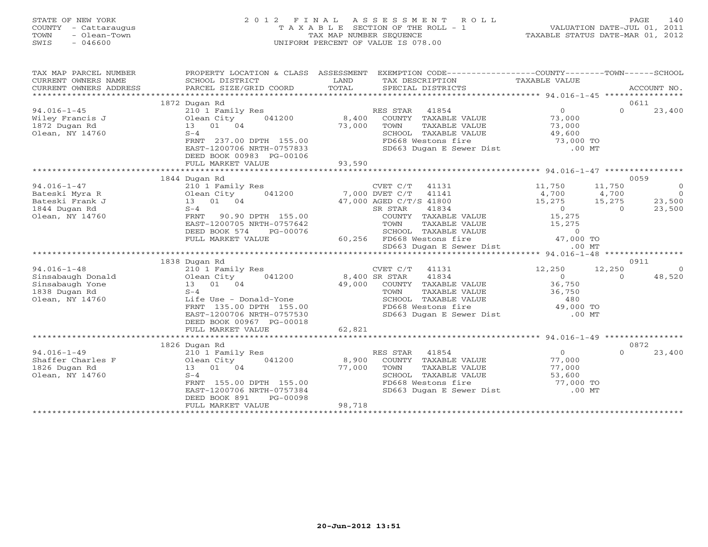### STATE OF NEW YORK 2 0 1 2 F I N A L A S S E S S M E N T R O L L PAGE 140 COUNTY - Cattaraugus T A X A B L E SECTION OF THE ROLL - 1 VALUATION DATE-JUL 01, 2011 TOWN - Olean-Town TAX MAP NUMBER SEQUENCE TAXABLE STATUS DATE-MAR 01, 2012 SWIS - 046600 UNIFORM PERCENT OF VALUE IS 078.00UNIFORM PERCENT OF VALUE IS 078.00

| TAX MAP PARCEL NUMBER<br>CURRENT OWNERS NAME<br>CURRENT OWNERS ADDRESS | PROPERTY LOCATION & CLASS ASSESSMENT<br>SCHOOL DISTRICT<br>PARCEL SIZE/GRID COORD | LAND<br>TOTAL  | EXEMPTION CODE-----------------COUNTY-------TOWN-----SCHOOL<br>TAX DESCRIPTION TAXABLE VALUE<br>SPECIAL DISTRICTS |                                                                 |          | ACCOUNT NO.    |
|------------------------------------------------------------------------|-----------------------------------------------------------------------------------|----------------|-------------------------------------------------------------------------------------------------------------------|-----------------------------------------------------------------|----------|----------------|
|                                                                        | 1872 Dugan Rd                                                                     |                |                                                                                                                   |                                                                 |          | 0611           |
| $94.016 - 1 - 45$                                                      | 210 1 Family Res                                                                  |                | RES STAR<br>41854                                                                                                 | $\overline{0}$                                                  | $\Omega$ | 23,400         |
| Wiley Francis J                                                        | Olean City<br>041200                                                              | 8,400          | COUNTY TAXABLE VALUE                                                                                              | 73,000                                                          |          |                |
| 1872 Dugan Rd                                                          | 13 01 04                                                                          | 73,000         | TOWN<br>TAXABLE VALUE                                                                                             | 73,000                                                          |          |                |
| Olean, NY 14760                                                        | $S-4$                                                                             |                | SCHOOL TAXABLE VALUE                                                                                              | 49,600                                                          |          |                |
|                                                                        | FRNT 237.00 DPTH 155.00                                                           |                | FD668 Westons fire                                                                                                | 73,000 TO                                                       |          |                |
|                                                                        |                                                                                   |                | SD663 Dugan E Sewer Dist .00 MT                                                                                   |                                                                 |          |                |
|                                                                        | EAST-1200706 NRTH-0757833                                                         |                |                                                                                                                   |                                                                 |          |                |
|                                                                        | DEED BOOK 00983 PG-00106                                                          |                |                                                                                                                   |                                                                 |          |                |
|                                                                        | FULL MARKET VALUE                                                                 | 93,590         |                                                                                                                   |                                                                 |          |                |
|                                                                        |                                                                                   |                |                                                                                                                   |                                                                 |          |                |
|                                                                        | 1844 Dugan Rd                                                                     |                |                                                                                                                   |                                                                 | 0059     |                |
| $94.016 - 1 - 47$                                                      | 210 1 Family Res                                                                  |                | 41131<br>CVET C/T                                                                                                 | 11,750                                                          | 11,750   | $\overline{0}$ |
| Bateski Myra R                                                         | Olean City<br>041200                                                              | 7,000 DVET C/T | 41141                                                                                                             | 4,700                                                           | 4,700    | $\overline{0}$ |
| Bateski Frank J                                                        | 13 01 04                                                                          |                | 47,000 AGED C/T/S 41800                                                                                           | 15,275                                                          | 15,275   | 23,500         |
| 1844 Dugan Rd                                                          | $S-4$                                                                             |                | 41834<br>SR STAR                                                                                                  | $\overline{0}$                                                  | $\Omega$ | 23,500         |
| Olean, NY 14760                                                        | FRNT<br>90.90 DPTH 155.00                                                         |                | COUNTY TAXABLE VALUE                                                                                              | 15,275                                                          |          |                |
|                                                                        | EAST-1200705 NRTH-0757642                                                         |                | TOWN<br>TAXABLE VALUE                                                                                             | 15,275                                                          |          |                |
|                                                                        | DEED BOOK 574<br>PG-00076                                                         |                | SCHOOL TAXABLE VALUE                                                                                              | $\begin{smallmatrix}&&0\0&47\, ,\,000&\rm{TO}\end{smallmatrix}$ |          |                |
|                                                                        | FULL MARKET VALUE                                                                 |                | 60,256 FD668 Westons fire                                                                                         |                                                                 |          |                |
|                                                                        |                                                                                   |                | SD663 Dugan E Sewer Dist                                                                                          | $.00$ MT                                                        |          |                |
|                                                                        |                                                                                   |                |                                                                                                                   |                                                                 |          |                |
|                                                                        | 1838 Dugan Rd                                                                     |                |                                                                                                                   |                                                                 | 0911     |                |
| $94.016 - 1 - 48$                                                      | 210 1 Family Res                                                                  |                | CVET C/T<br>41131                                                                                                 | 12,250                                                          | 12,250   | $\Omega$       |
| Sinsabaugh Donald                                                      | Olean City<br>041200                                                              |                | 41834<br>8,400 SR STAR                                                                                            | $\overline{0}$                                                  | $\Omega$ | 48,520         |
| Sinsabaugh Yone                                                        | 13 01 04                                                                          | 49,000         | COUNTY TAXABLE VALUE                                                                                              | 36,750                                                          |          |                |
| 1838 Dugan Rd                                                          | $S-4$                                                                             |                | TOWN<br>TAXABLE VALUE                                                                                             | 36,750                                                          |          |                |
| Olean, NY 14760                                                        | Life Use - Donald-Yone                                                            |                | SCHOOL TAXABLE VALUE                                                                                              | 480                                                             |          |                |
|                                                                        | FRNT 135.00 DPTH 155.00                                                           |                | FD668 Westons fire                                                                                                | 49,000 TO                                                       |          |                |
|                                                                        | EAST-1200706 NRTH-0757530                                                         |                | SD663 Dugan E Sewer Dist                                                                                          | $.00$ MT                                                        |          |                |
|                                                                        | DEED BOOK 00967 PG-00018                                                          |                |                                                                                                                   |                                                                 |          |                |
|                                                                        | FULL MARKET VALUE                                                                 | 62,821         |                                                                                                                   |                                                                 |          |                |
|                                                                        |                                                                                   |                |                                                                                                                   |                                                                 |          |                |
|                                                                        | 1826 Dugan Rd                                                                     |                |                                                                                                                   |                                                                 | 0872     |                |
| $94.016 - 1 - 49$                                                      | 210 1 Family Res                                                                  |                | 41854<br>RES STAR                                                                                                 | $\overline{O}$                                                  | $\Omega$ | 23,400         |
| Shaffer Charles F                                                      | Olean City<br>041200                                                              | 8,900          | COUNTY TAXABLE VALUE                                                                                              | 77,000                                                          |          |                |
| 1826 Dugan Rd                                                          | 13 01 04                                                                          | 77,000         | TAXABLE VALUE<br>TOWN                                                                                             | 77,000                                                          |          |                |
| Olean, NY 14760                                                        | $S-4$                                                                             |                | SCHOOL TAXABLE VALUE                                                                                              |                                                                 |          |                |
|                                                                        | FRNT 155.00 DPTH 155.00                                                           |                | FD668 Westons fire                                                                                                |                                                                 |          |                |
|                                                                        | EAST-1200706 NRTH-0757384                                                         |                | SD663 Dugan E Sewer Dist                                                                                          | 53,600<br>77,000 TO<br>00 MT<br>$.00$ MT                        |          |                |
|                                                                        | DEED BOOK 891<br>PG-00098                                                         |                |                                                                                                                   |                                                                 |          |                |
|                                                                        | FULL MARKET VALUE                                                                 | 98,718         |                                                                                                                   |                                                                 |          |                |
|                                                                        |                                                                                   |                |                                                                                                                   |                                                                 |          |                |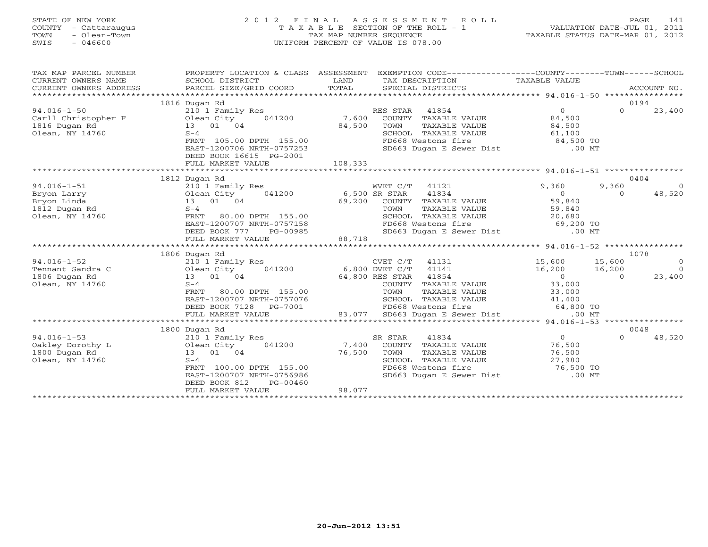# STATE OF NEW YORK 2 0 1 2 F I N A L A S S E S S M E N T R O L L PAGE 141 COUNTY - Cattaraugus T A X A B L E SECTION OF THE ROLL - 1 VALUATION DATE-JUL 01, 2011 TOWN - Olean-Town TAX MAP NUMBER SEQUENCE TAXABLE STATUS DATE-MAR 01, 2012 SWIS - 046600 UNIFORM PERCENT OF VALUE IS 078.00UNIFORM PERCENT OF VALUE IS 078.00

| TAX MAP PARCEL NUMBER<br>CURRENT OWNERS NAME<br>CURRENT OWNERS ADDRESS | PROPERTY LOCATION & CLASS ASSESSMENT EXEMPTION CODE---------------COUNTY-------TOWN------SCHOOL<br>SCHOOL DISTRICT<br>PARCEL SIZE/GRID COORD | LAND<br>TOTAL | TAX DESCRIPTION TAXABLE VALUE<br>SPECIAL DISTRICTS                                    |                     | ACCOUNT NO.              |
|------------------------------------------------------------------------|----------------------------------------------------------------------------------------------------------------------------------------------|---------------|---------------------------------------------------------------------------------------|---------------------|--------------------------|
|                                                                        | 1816 Dugan Rd                                                                                                                                |               |                                                                                       |                     | 0194                     |
| $94.016 - 1 - 50$                                                      | 210 1 Family Res                                                                                                                             |               | RES STAR 41854                                                                        | $\Omega$            | $\Omega$<br>23,400       |
| Carll Christopher F                                                    | 041200                                                                                                                                       | 7,600         | COUNTY TAXABLE VALUE                                                                  | 84,500              |                          |
| 1816 Dugan Rd                                                          | Olean City<br>01 01 01 0<br>13 01 04                                                                                                         | 84,500        | TOWN<br>TAXABLE VALUE                                                                 | 84,500              |                          |
| Olean, NY 14760                                                        | $S-4$                                                                                                                                        |               | SCHOOL TAXABLE VALUE                                                                  |                     |                          |
|                                                                        | FRNT 105.00 DPTH 155.00                                                                                                                      |               | <b>DE</b><br>FD668 Westons fire                                                       | 61,100<br>84,500 TO |                          |
|                                                                        | EAST-1200706 NRTH-0757253                                                                                                                    |               | SD663 Dugan E Sewer Dist .00 MT                                                       |                     |                          |
|                                                                        | DEED BOOK 16615 PG-2001                                                                                                                      |               |                                                                                       |                     |                          |
|                                                                        | FULL MARKET VALUE                                                                                                                            | 108,333       |                                                                                       |                     |                          |
|                                                                        |                                                                                                                                              |               |                                                                                       |                     |                          |
|                                                                        | 1812 Dugan Rd                                                                                                                                |               |                                                                                       |                     | 0404                     |
| $94.016 - 1 - 51$                                                      | 210 1 Family Res                                                                                                                             |               | WVET C/T 41121                                                                        | 9,360               | 9,360<br>$\bigcirc$      |
| Bryon Larry                                                            | 041200<br>Olean City                                                                                                                         | 6,500 SR STAR | 41834                                                                                 | $\Omega$            | 48,520<br>$\Omega$       |
| Bryon Linda                                                            | 13 01 04                                                                                                                                     | 69,200        | COUNTY TAXABLE VALUE                                                                  | 59,840              |                          |
| 1812 Dugan Rd                                                          | $S-4$                                                                                                                                        |               | TOWN<br>TAXABLE VALUE                                                                 |                     |                          |
| Olean, NY 14760                                                        | 80.00 DPTH 155.00<br>FRNT                                                                                                                    |               | TOWN INANUE<br>SCHOOL TAXABLE VALUE 20,680<br>EDGER WASTONS fire 69,200 TO            | 59,840<br>20,680    |                          |
|                                                                        | EAST-1200707 NRTH-0757158                                                                                                                    |               |                                                                                       |                     |                          |
|                                                                        | DEED BOOK 777<br>PG-00985                                                                                                                    | 88,718        | SD663 Dugan E Sewer Dist .00 MT                                                       |                     |                          |
|                                                                        | FULL MARKET VALUE                                                                                                                            |               |                                                                                       |                     |                          |
|                                                                        |                                                                                                                                              |               |                                                                                       |                     |                          |
|                                                                        | 1806 Dugan Rd                                                                                                                                |               |                                                                                       |                     | 1078                     |
| $94.016 - 1 - 52$                                                      | 210 1 Family Res                                                                                                                             |               | CVET C/T 41131                                                                        | 15,600              | $\overline{0}$<br>15,600 |
| Tennant Sandra C                                                       | 041200<br>Olean City                                                                                                                         |               | 6,800 DVET C/T 41141                                                                  | 16,200              | 16,200<br>$\overline{0}$ |
| 1806 Dugan Rd                                                          | 13 01 04                                                                                                                                     |               | 64,800 RES STAR 41854                                                                 | $\overline{0}$      | 23,400<br>$\Omega$       |
| Olean, NY 14760                                                        | $S-4$                                                                                                                                        |               | COUNTY TAXABLE VALUE                                                                  | 33,000<br>33,000    |                          |
|                                                                        | 80.00 DPTH 155.00<br>FRNT                                                                                                                    |               | TAXABLE VALUE<br>TOWN                                                                 |                     |                          |
|                                                                        | EAST-1200707 NRTH-0757076                                                                                                                    |               | SCHOOL TAXABLE VALUE                                                                  | 41,400              |                          |
|                                                                        | DEED BOOK 7128<br>PG-7001                                                                                                                    |               | FD668 Westons fire                                                                    | 64,800 TO           |                          |
|                                                                        | FULL MARKET VALUE                                                                                                                            |               | 83,077 SD663 Dugan E Sewer Dist                                                       | $.00$ MT            |                          |
|                                                                        |                                                                                                                                              |               |                                                                                       |                     |                          |
|                                                                        | 1800 Dugan Rd                                                                                                                                |               |                                                                                       |                     | 0048                     |
| $94.016 - 1 - 53$                                                      | 210 1 Family Res                                                                                                                             |               | SR STAR<br>41834                                                                      | $\Omega$            | $\Omega$<br>48,520       |
| Oakley Dorothy L                                                       | Olean City<br>041200                                                                                                                         | 7,400         | COUNTY TAXABLE VALUE                                                                  | 76,500              |                          |
| 1800 Dugan Rd                                                          | 13 01 04                                                                                                                                     | 76,500        | TOWN<br>TAXABLE VALUE                                                                 | 76,500              |                          |
| Olean, NY 14760                                                        | $S-4$                                                                                                                                        |               | SCHOOL TAXABLE VALUE                                                                  | 27,980              |                          |
|                                                                        | FRNT 100.00 DPTH 155.00                                                                                                                      |               | FD668 Westons fire 76,500 TO<br>SD663 Dugan E Sewer Dist .00 MT<br>FD668 Westons fire |                     |                          |
|                                                                        | EAST-1200707 NRTH-0756986                                                                                                                    |               |                                                                                       |                     |                          |
|                                                                        | DEED BOOK 812<br>PG-00460<br>FULL MARKET VALUE                                                                                               | 98,077        |                                                                                       |                     |                          |
|                                                                        |                                                                                                                                              |               |                                                                                       |                     |                          |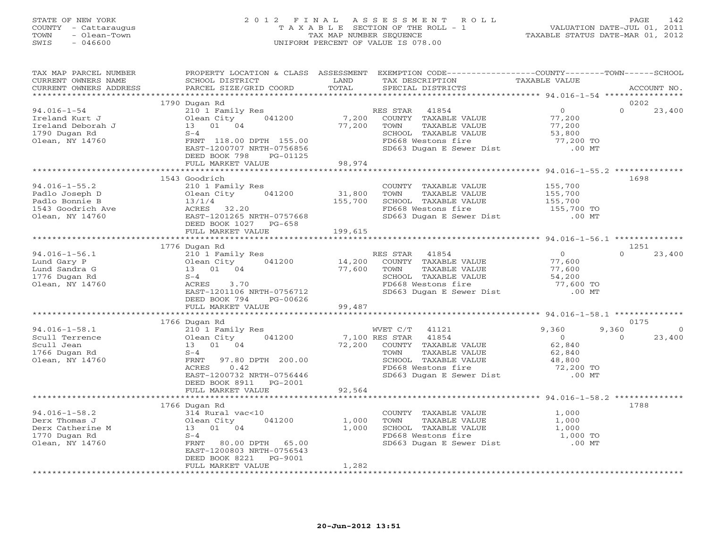#### STATE OF NEW YORK 2 0 1 2 F I N A L A S S E S S M E N T R O L L PAGE 142 COUNTY - Cattaraugus T A X A B L E SECTION OF THE ROLL - 1 VALUATION DATE-JUL 01, 2011 TOWN - Olean-Town TAX MAP NUMBER SEQUENCE TAXABLE STATUS DATE-MAR 01, 2012 SWIS - 046600 UNIFORM PERCENT OF VALUE IS 078.00UNIFORM PERCENT OF VALUE IS 078.00

| TAX MAP PARCEL NUMBER                  |                                                    |         | PROPERTY LOCATION & CLASS ASSESSMENT EXEMPTION CODE----------------COUNTY-------TOWN------SCHOOL |                      |                                     |
|----------------------------------------|----------------------------------------------------|---------|--------------------------------------------------------------------------------------------------|----------------------|-------------------------------------|
| CURRENT OWNERS NAME                    | SCHOOL DISTRICT                                    | LAND    | TAX DESCRIPTION TAXABLE VALUE                                                                    |                      |                                     |
| CURRENT OWNERS ADDRESS                 | PARCEL SIZE/GRID COORD                             | TOTAL   | SPECIAL DISTRICTS                                                                                |                      | ACCOUNT NO.                         |
|                                        |                                                    |         |                                                                                                  |                      |                                     |
|                                        | 1790 Dugan Rd                                      |         |                                                                                                  | $\overline{0}$       | 0202<br>$\Omega$                    |
| $94.016 - 1 - 54$                      | 210 1 Family Res<br>041200                         |         | RES STAR 41854                                                                                   |                      | 23,400                              |
| Ireland Kurt J                         | Olean City                                         | 7,200   | COUNTY TAXABLE VALUE                                                                             | 77,200               |                                     |
| Ireland Deborah J                      | 13  01  04                                         | 77,200  | TOWN<br>TAXABLE VALUE                                                                            | 77,200               |                                     |
| 1790 Dugan Rd                          | $S-4$                                              |         | SCHOOL TAXABLE VALUE                                                                             | 53,800               |                                     |
| Olean, NY 14760                        | FRNT 118.00 DPTH 155.00                            |         | FD668 Westons fire<br>SD663 Dugan E Sewer Dist                                                   | 77,200 TO            |                                     |
|                                        | EAST-1200707 NRTH-0756856                          |         |                                                                                                  | $.00$ MT             |                                     |
|                                        | DEED BOOK 798<br>PG-01125                          |         |                                                                                                  |                      |                                     |
|                                        | FULL MARKET VALUE                                  | 98,974  |                                                                                                  |                      |                                     |
|                                        |                                                    |         |                                                                                                  |                      | 1698                                |
|                                        | 1543 Goodrich                                      |         |                                                                                                  |                      |                                     |
| $94.016 - 1 - 55.2$                    | 210 1 Family Res                                   |         | COUNTY TAXABLE VALUE                                                                             | 155,700<br>155,700   |                                     |
| Padlo Joseph D                         | Olean City 041200                                  | 31,800  |                                                                                                  |                      |                                     |
| Padlo Bonnie B                         | 13/1/4                                             | 155,700 |                                                                                                  |                      |                                     |
| 1543 Goodrich Ave<br>Olean, NY 14760   | 13/1/4<br>ACRES 32.20<br>EAST-1201265 N            |         | COOL TAXABLE VALUE<br>SCHOOL TAXABLE VALUE 155,700<br>The Mastons fire 155,700 TO                |                      |                                     |
|                                        | EAST-1201265 NRTH-0757668                          |         | SD663 Dugan E Sewer Dist .00 MT                                                                  |                      |                                     |
|                                        | DEED BOOK 1027 PG-658                              |         |                                                                                                  |                      |                                     |
|                                        | FULL MARKET VALUE                                  | 199,615 |                                                                                                  |                      |                                     |
|                                        |                                                    |         |                                                                                                  |                      |                                     |
|                                        | 1776 Dugan Rd                                      |         |                                                                                                  |                      | 1251<br>$\Omega$                    |
| $94.016 - 1 - 56.1$                    | 210 1 Family Res                                   |         | RES STAR 41854                                                                                   | $\overline{0}$       | 23,400                              |
| Lund Gary P                            | Olean City 041200<br>Olean City<br>13 01 04        | 14,200  | COUNTY TAXABLE VALUE                                                                             | 77,600<br>77,600     |                                     |
| Lund Sandra G                          |                                                    | 77,600  | TOWN<br>TAXABLE VALUE                                                                            |                      |                                     |
| 1776 Dugan Rd                          | $S-4$                                              |         | SCHOOL TAXABLE VALUE<br>FD668 Westons fire                                                       | 54,200               |                                     |
| Olean, NY 14760                        | ACRES<br>3.70                                      |         |                                                                                                  | 77,600 TO<br>.00 MT  |                                     |
|                                        | EAST-1201106 NRTH-0756712                          |         | SD663 Dugan E Sewer Dist                                                                         |                      |                                     |
|                                        | DEED BOOK 794<br>PG-00626                          |         |                                                                                                  |                      |                                     |
|                                        | FULL MARKET VALUE                                  | 99,487  |                                                                                                  |                      |                                     |
|                                        |                                                    |         |                                                                                                  |                      |                                     |
|                                        | 1766 Dugan Rd                                      |         |                                                                                                  |                      | 0175                                |
| $94.016 - 1 - 58.1$                    | 210 1 Family Res                                   |         | WVET C/T 41121<br>7,100 RES STAR 41854                                                           | 9,360                | 9,360<br>$\overline{0}$<br>$\Omega$ |
| Scull Terrence                         | Olean City 041200                                  |         |                                                                                                  | $0$<br>62,840        | 23,400                              |
| Scull Jean                             |                                                    | 72,200  | COUNTY TAXABLE VALUE                                                                             |                      |                                     |
| 1766 Dugan Rd                          | Olean $U_{1}$<br>13 01 04<br>S-4<br>------- 97.80  |         |                                                                                                  |                      |                                     |
| Olean, NY 14760                        | FRNT 97.80 DPTH 200.00                             |         | TOWN TAXABLE VALUE<br>SCHOOL TAXABLE VALUE 48,800 TO 72,200 TO                                   |                      |                                     |
|                                        | 0.42<br>ACRES                                      |         |                                                                                                  |                      |                                     |
|                                        | EAST-1200732 NRTH-0756446                          |         | SD663 Dugan E Sewer Dist .00 MT                                                                  |                      |                                     |
|                                        | DEED BOOK 8911 PG-2001                             |         |                                                                                                  |                      |                                     |
|                                        | FULL MARKET VALUE<br>***********************       | 92,564  |                                                                                                  |                      |                                     |
|                                        |                                                    |         |                                                                                                  |                      | 1788                                |
| $94.016 - 1 - 58.2$                    | 1766 Dugan Rd<br>314 Rural vac<10                  |         | COUNTY TAXABLE VALUE                                                                             | 1,000                |                                     |
| Derx Thomas J                          | Olean City<br>041200                               | 1,000   | TOWN<br>TAXABLE VALUE                                                                            |                      |                                     |
|                                        | 13  01  04                                         | 1,000   | SCHOOL TAXABLE VALUE                                                                             | 1,000<br>1,000       |                                     |
| -<br>Derx Catherine M<br>1770 Dugan Rd |                                                    |         |                                                                                                  |                      |                                     |
| Olean, NY 14760                        | $S-4$                                              |         | FD668 Westons fire<br>SD663 Dugan E Sewer Dist                                                   | 1,000 TO<br>$.00$ MT |                                     |
|                                        | FRNT 80.00 DPTH 65.00<br>EAST-1200803 NRTH-0756543 |         |                                                                                                  |                      |                                     |
|                                        | DEED BOOK 8221<br>PG-9001                          |         |                                                                                                  |                      |                                     |
|                                        | FULL MARKET VALUE                                  | 1,282   |                                                                                                  |                      |                                     |
|                                        |                                                    |         |                                                                                                  |                      |                                     |
|                                        |                                                    |         |                                                                                                  |                      |                                     |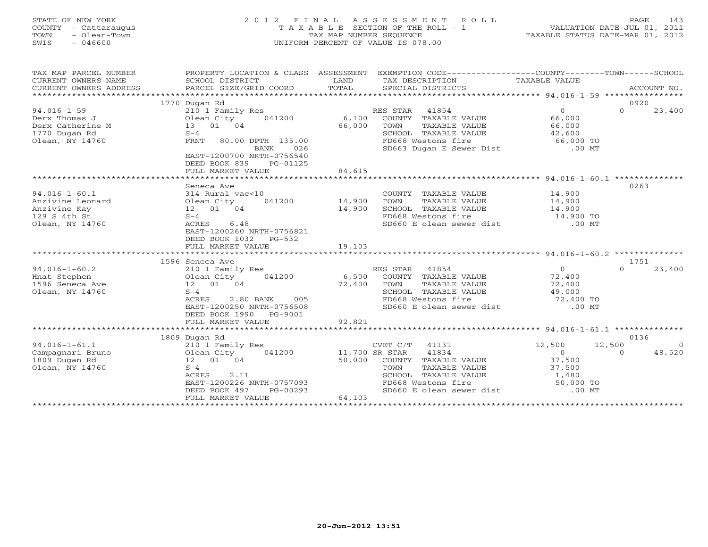# STATE OF NEW YORK 2 0 1 2 F I N A L A S S E S S M E N T R O L L PAGE 143 COUNTY - Cattaraugus T A X A B L E SECTION OF THE ROLL - 1 VALUATION DATE-JUL 01, 2011 TOWN - Olean-Town TAX MAP NUMBER SEQUENCE TAXABLE STATUS DATE-MAR 01, 2012 SWIS - 046600 UNIFORM PERCENT OF VALUE IS 078.00UNIFORM PERCENT OF VALUE IS 078.00

| TAX MAP PARCEL NUMBER                            | PROPERTY LOCATION & CLASS ASSESSMENT                                                       |                |                |                                            | EXEMPTION CODE-----------------COUNTY-------TOWN------SCHOOL                                   |          |                |
|--------------------------------------------------|--------------------------------------------------------------------------------------------|----------------|----------------|--------------------------------------------|------------------------------------------------------------------------------------------------|----------|----------------|
|                                                  |                                                                                            |                |                |                                            |                                                                                                |          |                |
|                                                  | 1770 Dugan Rd                                                                              |                |                |                                            |                                                                                                | 0920     |                |
| $94.016 - 1 - 59$                                | 210 1 Family Res                                                                           |                | RES STAR 41854 |                                            | $\Omega$                                                                                       | $\Omega$ | 23,400         |
| Derx Thomas J<br>M 01ean City<br>13 01 04<br>5-4 | 041200 6,100                                                                               |                |                | COUNTY TAXABLE VALUE                       | 66,000<br>66,000<br>42,600                                                                     |          |                |
| Derx Catherine M                                 |                                                                                            | 66,000         | TOWN           | TAXABLE VALUE                              |                                                                                                |          |                |
| 1770 Dugan Rd                                    |                                                                                            |                |                | SCHOOL TAXABLE VALUE                       |                                                                                                |          |                |
| Olean, NY 14760                                  | FRNT 80.00 DPTH 135.00                                                                     |                |                | FD668 Westons fire                         | $66,000$ TO                                                                                    |          |                |
|                                                  | BANK<br>026<br>EAST-1200700 NRTH-0756540<br>DEED BOOK 839<br>PG-01125<br>FULL MARKET VALUE | 84,615         |                | SD663 Dugan E Sewer Dist                   | $.00$ MT                                                                                       |          |                |
|                                                  |                                                                                            |                |                |                                            |                                                                                                |          |                |
|                                                  | Seneca Ave                                                                                 |                |                |                                            |                                                                                                | 0263     |                |
| $94.016 - 1 - 60.1$                              | 314 Rural vac<10                                                                           |                |                | COUNTY TAXABLE VALUE 14,900                |                                                                                                |          |                |
| Anzivine Leonard                                 | $041200$ 14,900                                                                            |                | TOWN           | TAXABLE VALUE 14,900                       |                                                                                                |          |                |
| Anzivine Kay                                     | 12  01  04                                                                                 | 14,900         |                |                                            |                                                                                                |          |                |
| 129 S 4th St                                     | $S-4$                                                                                      |                |                |                                            | SCHOOL TAXABLE VALUE 14,900<br>FD668 Westons fire 14,900 TO<br>SD660 E olean sewer dist .00 MT |          |                |
| Olean, NY 14760                                  | 6.48<br>ACRES                                                                              |                |                |                                            |                                                                                                |          |                |
|                                                  | EAST-1200260 NRTH-0756821<br>DEED BOOK 1032 PG-532                                         |                |                |                                            |                                                                                                |          |                |
|                                                  | FULL MARKET VALUE                                                                          | 19,103         |                |                                            |                                                                                                |          |                |
|                                                  |                                                                                            |                |                |                                            |                                                                                                |          |                |
|                                                  | 1596 Seneca Ave                                                                            |                |                |                                            |                                                                                                | 1751     |                |
| $94.016 - 1 - 60.2$                              | 210 1 Family Res                                                                           |                | RES STAR 41854 |                                            | $\overline{0}$                                                                                 | $\Omega$ | 23,400         |
| Hnat Stephen                                     | 041200<br>Olean City                                                                       |                |                | 6,500 COUNTY TAXABLE VALUE                 | 72,400<br>72,400<br>49,000                                                                     |          |                |
| 1596 Seneca Ave                                  | 12  01  04                                                                                 | 72,400 TOWN    |                | TAXABLE VALUE                              |                                                                                                |          |                |
| Olean, NY 14760                                  | $S-4$                                                                                      |                |                | SCHOOL TAXABLE VALUE<br>FD668 Westons fire |                                                                                                |          |                |
|                                                  | 2.80 BANK 005<br>ACRES<br>EAST-1200250 NRTH-0756508                                        |                |                |                                            | $72,400$ TO<br>00 MT                                                                           |          |                |
|                                                  | DEED BOOK 1990 PG-9001                                                                     |                |                | SD660 E olean sewer dist                   |                                                                                                |          |                |
|                                                  | FULL MARKET VALUE                                                                          |                |                |                                            |                                                                                                |          |                |
|                                                  |                                                                                            | 92,821         |                |                                            |                                                                                                |          |                |
|                                                  | 1809 Dugan Rd                                                                              |                |                |                                            |                                                                                                | 0136     |                |
| $94.016 - 1 - 61.1$                              | 210 1 Family Res                                                                           |                | CVET C/T 41131 |                                            | 12,500                                                                                         | 12,500   | $\overline{O}$ |
| Campagnari Bruno                                 | Olean City<br>041200                                                                       | 11,700 SR STAR |                | 41834                                      | $\Omega$                                                                                       | $\Omega$ | 48,520         |
| 1809 Dugan Rd                                    | 12  01  04                                                                                 | 50,000         |                | COUNTY TAXABLE VALUE 37,500                |                                                                                                |          |                |
| Olean, NY 14760                                  | $S-4$                                                                                      |                | TOWN           | TAXABLE VALUE                              |                                                                                                |          |                |
|                                                  | <b>ACRES</b><br>2.11                                                                       |                |                | SCHOOL TAXABLE VALUE                       | 37,500<br>1,480                                                                                |          |                |
|                                                  | EAST-1200226 NRTH-0757093                                                                  |                |                | FD668 Westons fire                         | $50,000$ TO                                                                                    |          |                |
|                                                  | DEED BOOK 497<br>PG-00293                                                                  |                |                |                                            | SD660 E olean sewer dist .00 MT                                                                |          |                |
|                                                  | FULL MARKET VALUE                                                                          | 64,103         |                |                                            |                                                                                                |          |                |
|                                                  |                                                                                            |                |                |                                            |                                                                                                |          |                |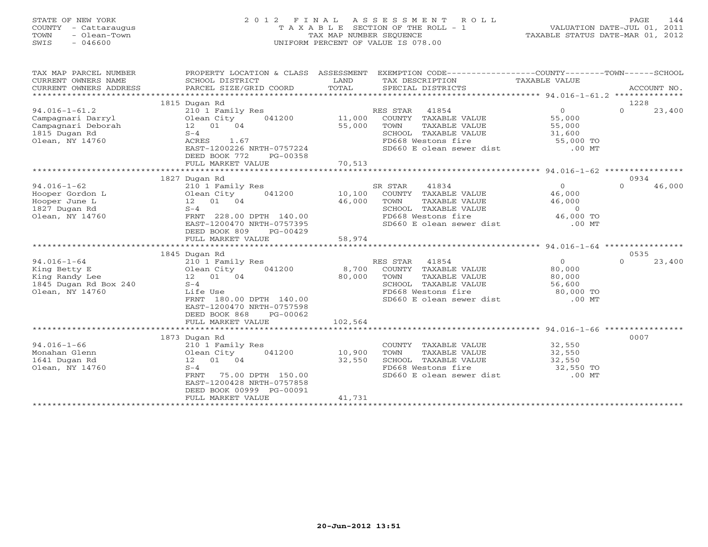# STATE OF NEW YORK 2 0 1 2 F I N A L A S S E S S M E N T R O L L PAGE 144 COUNTY - Cattaraugus T A X A B L E SECTION OF THE ROLL - 1 VALUATION DATE-JUL 01, 2011 TOWN - Olean-Town TAX MAP NUMBER SEQUENCE TAXABLE STATUS DATE-MAR 01, 2012 SWIS - 046600 UNIFORM PERCENT OF VALUE IS 078.00UNIFORM PERCENT OF VALUE IS 078.00

| TAX MAP PARCEL NUMBER<br>CURRENT OWNERS NAME<br>CURRENT OWNERS ADDRESS | PROPERTY LOCATION & CLASS ASSESSMENT<br>SCHOOL DISTRICT<br>PARCEL SIZE/GRID COORD | LAND<br>TOTAL | EXEMPTION CODE-----------------COUNTY-------TOWN------SCHOOL<br>TAX DESCRIPTION<br>SPECIAL DISTRICTS | TAXABLE VALUE  | ACCOUNT NO.        |
|------------------------------------------------------------------------|-----------------------------------------------------------------------------------|---------------|------------------------------------------------------------------------------------------------------|----------------|--------------------|
|                                                                        | 1815 Dugan Rd                                                                     |               |                                                                                                      |                | 1228               |
| $94.016 - 1 - 61.2$                                                    | 210 1 Family Res                                                                  |               | RES STAR<br>41854                                                                                    | $\Omega$       | $\Omega$<br>23,400 |
|                                                                        | 041200<br>Olean City                                                              | 11,000        | COUNTY TAXABLE VALUE                                                                                 | 55,000         |                    |
| Campagnari Darryl<br>Campagnari Deborah                                | 12 01 04                                                                          | 55,000        | TOWN<br>TAXABLE VALUE                                                                                | 55,000         |                    |
| 1815 Dugan Rd                                                          | $S-4$                                                                             |               | SCHOOL TAXABLE VALUE                                                                                 | 31,600         |                    |
| Olean, NY 14760                                                        | ACRES<br>1.67                                                                     |               | FD668 Westons fire                                                                                   |                |                    |
|                                                                        | EAST-1200226 NRTH-0757224                                                         |               | SD660 E olean sewer dist                                                                             | 55,000 TO      |                    |
|                                                                        |                                                                                   |               |                                                                                                      | $.00$ MT       |                    |
|                                                                        | DEED BOOK 772<br>PG-00358                                                         |               |                                                                                                      |                |                    |
|                                                                        | FULL MARKET VALUE<br>*************************                                    | 70,513        |                                                                                                      |                |                    |
|                                                                        |                                                                                   |               |                                                                                                      |                | 0934               |
|                                                                        | 1827 Dugan Rd                                                                     |               |                                                                                                      |                |                    |
| $94.016 - 1 - 62$                                                      | 210 1 Family Res                                                                  |               | SR STAR<br>41834                                                                                     | $\Omega$       | 46,000<br>$\Omega$ |
| Hooper Gordon L                                                        | 041200<br>Olean City                                                              | 10,100        | COUNTY TAXABLE VALUE                                                                                 | 46,000         |                    |
| Hooper June L                                                          | 12  01  04                                                                        | 46,000        | TOWN<br>TAXABLE VALUE                                                                                | 46,000         |                    |
| 1827 Dugan Rd                                                          | $S-4$                                                                             |               | SCHOOL TAXABLE VALUE                                                                                 | $\Omega$       |                    |
| Olean, NY 14760                                                        | FRNT 228.00 DPTH 140.00                                                           |               | FD668 Westons fire                                                                                   | 46,000 TO      |                    |
|                                                                        | EAST-1200470 NRTH-0757395                                                         |               | SD660 E olean sewer dist                                                                             | $.00$ MT       |                    |
|                                                                        | DEED BOOK 809<br>PG-00429                                                         |               |                                                                                                      |                |                    |
|                                                                        | FULL MARKET VALUE<br>********************************                             | 58,974        |                                                                                                      |                |                    |
|                                                                        |                                                                                   |               |                                                                                                      |                |                    |
|                                                                        | 1845 Dugan Rd                                                                     |               |                                                                                                      |                | 0535<br>$\Omega$   |
| $94.016 - 1 - 64$                                                      | 210 1 Family Res                                                                  |               | 41854<br>RES STAR                                                                                    | $\overline{0}$ | 23,400             |
| King Betty E                                                           | Olean City<br>041200                                                              | 8,700         | COUNTY TAXABLE VALUE                                                                                 | 80,000         |                    |
| King Randy Lee                                                         | 12  01  04                                                                        | 80,000        | TOWN<br>TAXABLE VALUE                                                                                | 80,000         |                    |
| 1845 Dugan Rd Box 240                                                  | $S-4$                                                                             |               | SCHOOL TAXABLE VALUE                                                                                 | 56,600         |                    |
| Olean, NY 14760                                                        | Life Use                                                                          |               | FD668 Westons fire                                                                                   | 80,000 TO      |                    |
|                                                                        | FRNT 180.00 DPTH 140.00                                                           |               | SD660 E olean sewer dist                                                                             | $.00$ MT       |                    |
|                                                                        | EAST-1200470 NRTH-0757598                                                         |               |                                                                                                      |                |                    |
|                                                                        | DEED BOOK 868<br>PG-00062                                                         |               |                                                                                                      |                |                    |
|                                                                        | FULL MARKET VALUE                                                                 | 102,564       |                                                                                                      |                |                    |
|                                                                        |                                                                                   |               |                                                                                                      |                |                    |
|                                                                        | 1873 Dugan Rd                                                                     |               |                                                                                                      |                | 0007               |
| $94.016 - 1 - 66$                                                      | 210 1 Family Res                                                                  |               | COUNTY TAXABLE VALUE                                                                                 | 32,550         |                    |
| Monahan Glenn                                                          | Olean City<br>041200                                                              | 10,900        | TAXABLE VALUE<br>TOWN                                                                                | 32,550         |                    |
| 1641 Dugan Rd                                                          | 12  01  04                                                                        | 32,550        | SCHOOL TAXABLE VALUE                                                                                 | 32,550         |                    |
| Olean, NY 14760                                                        | $S-4$                                                                             |               | FD668 Westons fire                                                                                   | 32,550 TO      |                    |
|                                                                        | 75.00 DPTH 150.00<br>FRNT                                                         |               | SD660 E olean sewer dist                                                                             | $.00$ MT       |                    |
|                                                                        | EAST-1200428 NRTH-0757858                                                         |               |                                                                                                      |                |                    |
|                                                                        | DEED BOOK 00999 PG-00091                                                          |               |                                                                                                      |                |                    |
|                                                                        | FULL MARKET VALUE                                                                 | 41,731        |                                                                                                      |                |                    |
|                                                                        |                                                                                   |               |                                                                                                      |                |                    |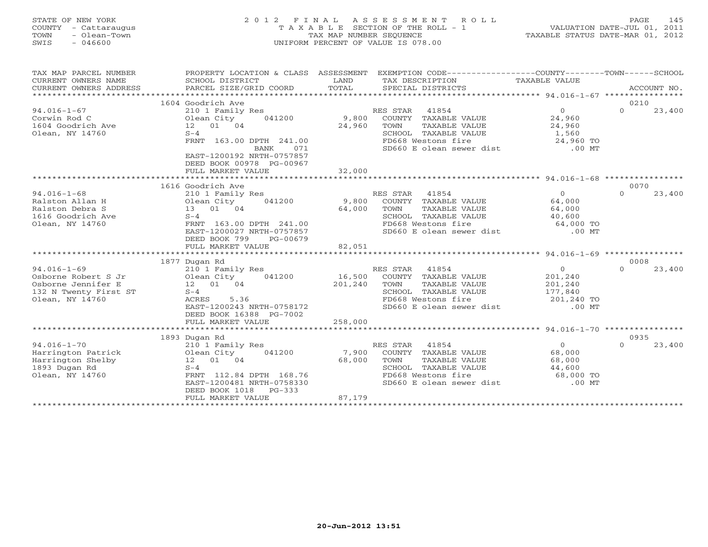### STATE OF NEW YORK 2 0 1 2 F I N A L A S S E S S M E N T R O L L PAGE 145 COUNTY - Cattaraugus T A X A B L E SECTION OF THE ROLL - 1 VALUATION DATE-JUL 01, 2011 TOWN - Olean-Town TAX MAP NUMBER SEQUENCE TAXABLE STATUS DATE-MAR 01, 2012 SWIS - 046600 UNIFORM PERCENT OF VALUE IS 078.00UNIFORM PERCENT OF VALUE IS 078.00

| TAX MAP PARCEL NUMBER<br>CURRENT OWNERS NAME<br>CURRENT OWNERS ADDRESS<br>************************* | PROPERTY LOCATION & CLASS ASSESSMENT<br>SCHOOL DISTRICT<br>PARCEL SIZE/GRID COORD | LAND<br>TOTAL   | EXEMPTION CODE-----------------COUNTY-------TOWN-----SCHOOL<br>TAX DESCRIPTION TAXABLE VALUE<br>SPECIAL DISTRICTS |                     | ACCOUNT NO.        |
|-----------------------------------------------------------------------------------------------------|-----------------------------------------------------------------------------------|-----------------|-------------------------------------------------------------------------------------------------------------------|---------------------|--------------------|
|                                                                                                     | 1604 Goodrich Ave                                                                 |                 |                                                                                                                   |                     | 0210               |
| $94.016 - 1 - 67$                                                                                   | 210 1 Family Res                                                                  |                 | RES STAR 41854                                                                                                    | $\Omega$            | 23,400<br>$\Omega$ |
| Corwin Rod C                                                                                        | 041200<br>Olean City                                                              | 9,800           | COUNTY TAXABLE VALUE                                                                                              | 24,960              |                    |
| 1604 Goodrich Ave                                                                                   | 12  01  04                                                                        | 24,960          | TOWN<br>TAXABLE VALUE                                                                                             | 24,960              |                    |
| Olean, NY 14760                                                                                     | $S-4$                                                                             |                 | SCHOOL TAXABLE VALUE                                                                                              | 1,560               |                    |
|                                                                                                     | FRNT 163.00 DPTH 241.00                                                           |                 | FD668 Westons fire                                                                                                | 24,960 TO           |                    |
|                                                                                                     | <b>BANK</b><br>071                                                                |                 | SD660 E olean sewer dist                                                                                          | $.00$ MT            |                    |
|                                                                                                     | EAST-1200192 NRTH-0757857                                                         |                 |                                                                                                                   |                     |                    |
|                                                                                                     | DEED BOOK 00978 PG-00967                                                          |                 |                                                                                                                   |                     |                    |
|                                                                                                     | FULL MARKET VALUE                                                                 | 32,000          |                                                                                                                   |                     |                    |
|                                                                                                     |                                                                                   |                 |                                                                                                                   |                     |                    |
|                                                                                                     | 1616 Goodrich Ave                                                                 |                 |                                                                                                                   |                     | 0070               |
| $94.016 - 1 - 68$                                                                                   | 210 1 Family Res                                                                  |                 | RES STAR 41854                                                                                                    | $\Omega$            | $\Omega$<br>23,400 |
| Ralston Allan H                                                                                     | 041200<br>Olean City                                                              | 9,800           | COUNTY TAXABLE VALUE                                                                                              | 64,000              |                    |
| Ralston Debra S                                                                                     | 13 01 04                                                                          | 64,000          | TOWN<br>TAXABLE VALUE                                                                                             | 64,000              |                    |
| 1616 Goodrich Ave                                                                                   | $S-4$                                                                             |                 | SCHOOL TAXABLE VALUE                                                                                              | 40,600              |                    |
| Olean, NY 14760                                                                                     | FRNT 163.00 DPTH 241.00                                                           |                 | FD668 Westons fire                                                                                                | 64,000 TO           |                    |
|                                                                                                     | EAST-1200027 NRTH-0757857                                                         |                 | SD660 E olean sewer dist .00 MT                                                                                   |                     |                    |
|                                                                                                     | DEED BOOK 799<br>PG-00679                                                         |                 |                                                                                                                   |                     |                    |
|                                                                                                     | FULL MARKET VALUE                                                                 | 82,051          |                                                                                                                   |                     |                    |
|                                                                                                     |                                                                                   |                 |                                                                                                                   |                     |                    |
|                                                                                                     | 1877 Dugan Rd                                                                     |                 |                                                                                                                   |                     | 0008               |
| $94.016 - 1 - 69$                                                                                   | 210 1 Family Res                                                                  |                 | RES STAR 41854                                                                                                    | $\overline{0}$      | 23,400<br>$\Omega$ |
| Osborne Robert S Jr                                                                                 | 041200<br>Olean City                                                              |                 | 16,500 COUNTY TAXABLE VALUE                                                                                       | 201,240             |                    |
| Osborne Jennifer E                                                                                  | 12 01 04                                                                          | 201,240         | TOWN<br>TAXABLE VALUE                                                                                             | 201,240             |                    |
| 132 N Twenty First ST                                                                               | $S-4$                                                                             |                 | SCHOOL TAXABLE VALUE                                                                                              | 177,840             |                    |
| Olean, NY 14760                                                                                     | ACRES<br>5.36                                                                     |                 | FD668 Westons fire                                                                                                | 201,240 TO          |                    |
|                                                                                                     | EAST-1200243 NRTH-0758172                                                         |                 | SD660 E olean sewer dist                                                                                          | $.00$ MT            |                    |
|                                                                                                     | DEED BOOK 16388 PG-7002                                                           |                 |                                                                                                                   |                     |                    |
|                                                                                                     | FULL MARKET VALUE                                                                 | 258,000         |                                                                                                                   |                     |                    |
|                                                                                                     |                                                                                   |                 |                                                                                                                   |                     |                    |
|                                                                                                     | 1893 Dugan Rd                                                                     |                 |                                                                                                                   | $\overline{0}$      | 0935<br>$\Omega$   |
| $94.016 - 1 - 70$                                                                                   | 210 1 Family Res                                                                  |                 | RES STAR 41854                                                                                                    |                     | 23,400             |
| Harrington Patrick                                                                                  | Olean City<br>041200                                                              | 7,900<br>68,000 | COUNTY TAXABLE VALUE                                                                                              | 68,000              |                    |
| Harrington Shelby<br>1893 Dugan Rd                                                                  | 12  01  04<br>$S-4$                                                               |                 | TOWN<br>TAXABLE VALUE<br>SCHOOL TAXABLE VALUE                                                                     | 68,000              |                    |
| Olean, NY 14760                                                                                     | FRNT 112.84 DPTH 168.76                                                           |                 | FD668 Westons fire                                                                                                | 44,600<br>68,000 TO |                    |
|                                                                                                     | EAST-1200481 NRTH-0758330                                                         |                 | SD660 E olean sewer dist .00 MT                                                                                   |                     |                    |
|                                                                                                     | DEED BOOK 1018<br>$PG-333$                                                        |                 |                                                                                                                   |                     |                    |
|                                                                                                     | FULL MARKET VALUE                                                                 | 87,179          |                                                                                                                   |                     |                    |
|                                                                                                     |                                                                                   |                 |                                                                                                                   |                     |                    |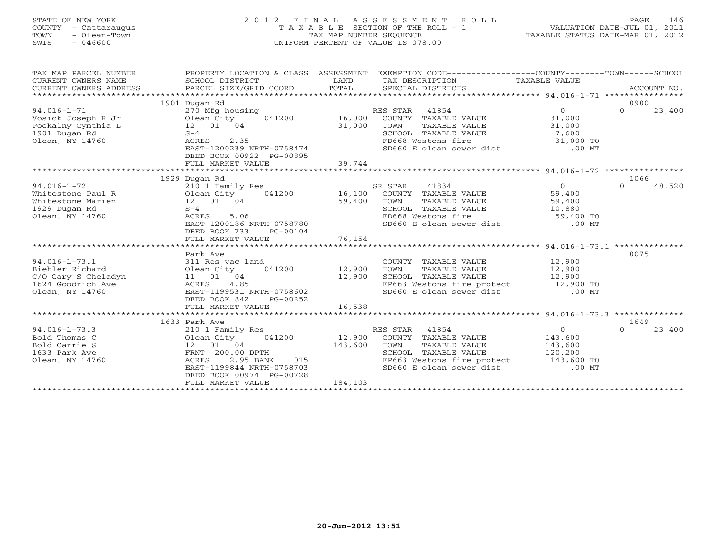### STATE OF NEW YORK 2 0 1 2 F I N A L A S S E S S M E N T R O L L PAGE 146 COUNTY - Cattaraugus T A X A B L E SECTION OF THE ROLL - 1 VALUATION DATE-JUL 01, 2011 TOWN - Olean-Town TAX MAP NUMBER SEQUENCE TAXABLE STATUS DATE-MAR 01, 2012 SWIS - 046600 UNIFORM PERCENT OF VALUE IS 078.00UNIFORM PERCENT OF VALUE IS 078.00

| TAX MAP PARCEL NUMBER<br>CURRENT OWNERS NAME<br>CURRENT OWNERS ADDRESS | SCHOOL DISTRICT<br>PARCEL SIZE/GRID COORD              | LAND<br>TOTAL | PROPERTY LOCATION & CLASS ASSESSMENT EXEMPTION CODE----------------COUNTY-------TOWN------SCHOOL<br>TAX DESCRIPTION<br>SPECIAL DISTRICTS | TAXABLE VALUE  |          | ACCOUNT NO. |
|------------------------------------------------------------------------|--------------------------------------------------------|---------------|------------------------------------------------------------------------------------------------------------------------------------------|----------------|----------|-------------|
|                                                                        |                                                        |               |                                                                                                                                          |                |          |             |
|                                                                        | 1901 Dugan Rd                                          |               |                                                                                                                                          |                | 0900     |             |
| $94.016 - 1 - 71$                                                      | 270 Mfg housing                                        |               | RES STAR 41854                                                                                                                           | $\Omega$       | $\Omega$ | 23,400      |
| Vosick Joseph R Jr                                                     | Olean City<br>$041200$ 16,000                          |               | COUNTY TAXABLE VALUE                                                                                                                     | 31,000         |          |             |
| Pockalny Cynthia L                                                     | 12 01 04                                               | 31,000        | TOWN<br>TAXABLE VALUE                                                                                                                    | 31,000         |          |             |
| 1901 Dugan Rd                                                          | $S-4$                                                  |               | SCHOOL TAXABLE VALUE                                                                                                                     | 7,600          |          |             |
| Olean, NY 14760                                                        | ACRES<br>2.35                                          |               | FD668 Westons fire                                                                                                                       | 31,000 TO      |          |             |
|                                                                        | EAST-1200239 NRTH-0758474                              |               | SD660 E olean sewer dist .00 MT                                                                                                          |                |          |             |
|                                                                        | DEED BOOK 00922 PG-00895                               |               |                                                                                                                                          |                |          |             |
|                                                                        | FULL MARKET VALUE                                      | 39,744        |                                                                                                                                          |                |          |             |
|                                                                        | 1929 Dugan Rd                                          |               |                                                                                                                                          |                | 1066     |             |
| $94.016 - 1 - 72$                                                      | 210 1 Family Res                                       |               | 41834<br>SR STAR                                                                                                                         | $\overline{0}$ | $\Omega$ | 48,520      |
| Whitestone Paul R                                                      | 041200                                                 | 16,100        | COUNTY TAXABLE VALUE                                                                                                                     | 59,400         |          |             |
| Whitestone Marien                                                      | Olean City<br>12 01 04                                 | 59,400        | TAXABLE VALUE<br>TOWN                                                                                                                    | 59,400         |          |             |
| 1929 Dugan Rd                                                          | $S-4$                                                  |               | SCHOOL TAXABLE VALUE                                                                                                                     | 10,880         |          |             |
| Olean, NY 14760                                                        | ACRES<br>5.06                                          |               | FD668 Westons fire                                                                                                                       | 59,400 TO      |          |             |
|                                                                        | EAST-1200186 NRTH-0758780                              |               | SD660 E olean sewer dist                                                                                                                 | $.00$ MT       |          |             |
|                                                                        | DEED BOOK 733<br>PG-00104                              |               |                                                                                                                                          |                |          |             |
|                                                                        | FULL MARKET VALUE                                      | 76,154        |                                                                                                                                          |                |          |             |
|                                                                        |                                                        |               |                                                                                                                                          |                |          |             |
|                                                                        | Park Ave                                               |               |                                                                                                                                          |                | 0075     |             |
| $94.016 - 1 - 73.1$                                                    | 311 Res vac land                                       |               | COUNTY TAXABLE VALUE 12,900                                                                                                              |                |          |             |
| Biehler Richard                                                        | 041200 12,900<br>Olean City                            |               | TOWN<br>TAXABLE VALUE                                                                                                                    | 12,900         |          |             |
| C/O Gary S Cheladyn                                                    | 11 01 04<br>ACRES 4.85                                 | 12,900        | SCHOOL TAXABLE VALUE<br>FP663 Westons fire protect 12,900 TO                                                                             | 12,900         |          |             |
| 1624 Goodrich Ave                                                      | 4.85                                                   |               | SD660 E olean sewer dist                                                                                                                 |                |          |             |
| Olean, NY 14760                                                        | EAST-1199531 NRTH-0758602<br>DEED BOOK 842<br>PG-00252 |               |                                                                                                                                          | $.00$ MT       |          |             |
|                                                                        | FULL MARKET VALUE                                      | 16,538        |                                                                                                                                          |                |          |             |
|                                                                        |                                                        |               |                                                                                                                                          |                |          |             |
|                                                                        | 1633 Park Ave                                          |               |                                                                                                                                          |                | 1649     |             |
| $94.016 - 1 - 73.3$                                                    | 210 1 Family Res                                       |               | RES STAR<br>41854                                                                                                                        | $\overline{0}$ | $\Omega$ | 23,400      |
| Bold Thomas C                                                          | Olean City<br>041200                                   | 12,900        | COUNTY TAXABLE VALUE                                                                                                                     | 143,600        |          |             |
| $12 \t 01 \t 04$<br>Bold Carrie S                                      |                                                        | 143,600       | TOWN<br>TAXABLE VALUE                                                                                                                    | 143,600        |          |             |
| 1633 Park Ave                                                          | FRNT 200.00 DPTH                                       |               | SCHOOL TAXABLE VALUE                                                                                                                     | 120,200        |          |             |
| Olean, NY 14760                                                        | 2.95 BANK<br>ACRES<br>015                              |               | FP663 Westons fire protect 143,600 TO                                                                                                    |                |          |             |
|                                                                        | EAST-1199844 NRTH-0758703                              |               | SD660 E olean sewer dist                                                                                                                 | $.00$ MT       |          |             |
|                                                                        | DEED BOOK 00974 PG-00728                               |               |                                                                                                                                          |                |          |             |
|                                                                        | FULL MARKET VALUE                                      | 184,103       |                                                                                                                                          |                |          |             |
|                                                                        |                                                        |               |                                                                                                                                          |                |          |             |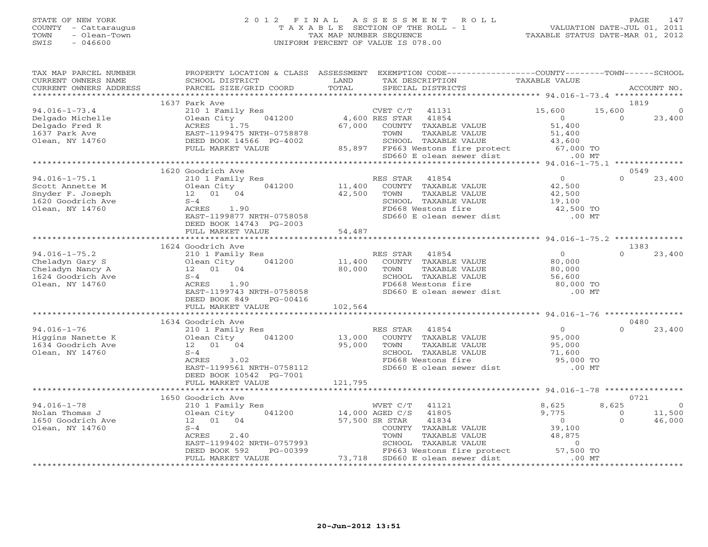#### STATE OF NEW YORK 2 0 1 2 F I N A L A S S E S S M E N T R O L L PAGE 147 COUNTY - Cattaraugus T A X A B L E SECTION OF THE ROLL - 1 VALUATION DATE-JUL 01, 2011 TOWN - Olean-Town TAX MAP NUMBER SEQUENCE TAXABLE STATUS DATE-MAR 01, 2012 SWIS - 046600 UNIFORM PERCENT OF VALUE IS 078.00UNIFORM PERCENT OF VALUE IS 078.00

| TAX MAP PARCEL NUMBER<br>CURRENT OWNERS NAME | SCHOOL DISTRICT                    | LAND            | PROPERTY LOCATION & CLASS ASSESSMENT EXEMPTION CODE---------------COUNTY-------TOWN------SCHOOL<br>TAX DESCRIPTION | TAXABLE VALUE                              |                  |                          |
|----------------------------------------------|------------------------------------|-----------------|--------------------------------------------------------------------------------------------------------------------|--------------------------------------------|------------------|--------------------------|
| CURRENT OWNERS ADDRESS                       | PARCEL SIZE/GRID COORD             | TOTAL           | SPECIAL DISTRICTS                                                                                                  |                                            |                  | ACCOUNT NO.              |
|                                              |                                    |                 |                                                                                                                    |                                            |                  |                          |
|                                              | 1637 Park Ave                      |                 |                                                                                                                    |                                            | 1819             |                          |
| $94.016 - 1 - 73.4$                          | 210 1 Family Res                   |                 | CVET C/T<br>41131                                                                                                  | 15,600                                     | 15,600           | $\Omega$                 |
| Delgado Michelle                             | Olean City 041200                  | 4,600 RES STAR  | 41854                                                                                                              | $\overline{0}$                             | $\Omega$         | 23,400                   |
| Delgado Fred R                               | ACRES<br>1.75                      | 67,000          | COUNTY TAXABLE VALUE                                                                                               | 51,400                                     |                  |                          |
| 1637 Park Ave                                | EAST-1199475 NRTH-0758878          |                 | TOWN<br>TAXABLE VALUE                                                                                              | 51,400                                     |                  |                          |
| Olean, NY 14760                              | DEED BOOK 14566 PG-4002            |                 | SCHOOL TAXABLE VALUE                                                                                               | 43,600                                     |                  |                          |
|                                              | FULL MARKET VALUE                  |                 | 85,897 FP663 Westons fire protect 67,000 TO<br>SD660 E olean sewer dist .00 MT                                     |                                            |                  |                          |
|                                              |                                    |                 |                                                                                                                    |                                            |                  |                          |
|                                              |                                    |                 |                                                                                                                    |                                            |                  |                          |
|                                              | 1620 Goodrich Ave                  |                 |                                                                                                                    | $\overline{O}$                             | 0549<br>$\Omega$ |                          |
| $94.016 - 1 - 75.1$                          | 210 1 Family Res                   |                 | RES STAR<br>41854                                                                                                  |                                            |                  | 23,400                   |
| Scott Annette M                              | Olean City<br>041200               | 11,400          | COUNTY TAXABLE VALUE                                                                                               | 42,500                                     |                  |                          |
| Snyder F. Joseph                             | 12  01  04                         | 42,500          | TOWN<br>TAXABLE VALUE                                                                                              | 42,500                                     |                  |                          |
| 1620 Goodrich Ave                            | $S-4$                              |                 | SCHOOL TAXABLE VALUE                                                                                               | 19,100<br>42,500 TO                        |                  |                          |
| Olean, NY 14760                              | ACRES 1.90                         |                 | FD668 Westons fire                                                                                                 |                                            |                  |                          |
|                                              | EAST-1199877 NRTH-0758058          |                 | SD660 E olean sewer dist                                                                                           | $.00$ MT                                   |                  |                          |
|                                              | DEED BOOK 14743 PG-2003            |                 |                                                                                                                    |                                            |                  |                          |
|                                              | FULL MARKET VALUE                  | 54,487          |                                                                                                                    |                                            |                  |                          |
|                                              |                                    |                 |                                                                                                                    |                                            |                  |                          |
|                                              | 1624 Goodrich Ave                  |                 |                                                                                                                    |                                            | 1383             |                          |
| $94.016 - 1 - 75.2$                          | 210 1 Family Res                   |                 | RES STAR<br>41854                                                                                                  | $\overline{0}$                             | $\Omega$         | 23,400                   |
| Cheladyn Gary S                              | 041200<br>Olean City               | 11,400          | COUNTY TAXABLE VALUE                                                                                               | 80,000                                     |                  |                          |
| Cheladyn Nancy A                             | 12  01  04                         | 80,000          | TAXABLE VALUE<br>TOWN                                                                                              | 80,000                                     |                  |                          |
| 1624 Goodrich Ave                            | $S-4$                              |                 | SCHOOL TAXABLE VALUE                                                                                               | 56,600<br>80,000 TO                        |                  |                          |
| Olean, NY 14760                              | ACRES 1.90                         |                 | FD668 Westons fire                                                                                                 |                                            |                  |                          |
|                                              | EAST-1199743 NRTH-0758058          |                 | SD660 E olean sewer dist                                                                                           | $.00$ MT                                   |                  |                          |
|                                              | DEED BOOK 849<br>PG-00416          |                 |                                                                                                                    |                                            |                  |                          |
|                                              | FULL MARKET VALUE                  | 102,564         |                                                                                                                    |                                            |                  |                          |
|                                              |                                    |                 |                                                                                                                    |                                            |                  |                          |
|                                              | 1634 Goodrich Ave                  |                 |                                                                                                                    |                                            | 0480             |                          |
| $94.016 - 1 - 76$                            | 210 1 Family Res                   |                 | RES STAR<br>41854                                                                                                  | $\overline{0}$                             | $\Omega$         | 23,400                   |
| Higgins Nanette K                            | Olean City<br>041200               | 13,000          | COUNTY TAXABLE VALUE                                                                                               | 95,000                                     |                  |                          |
| 1634 Goodrich Ave                            | 12  01  04                         | 95,000          | TAXABLE VALUE<br>TOWN                                                                                              |                                            |                  |                          |
| Olean, NY 14760                              | $S-4$                              |                 | SCHOOL TAXABLE VALUE                                                                                               |                                            |                  |                          |
|                                              | 3.02<br>ACRES                      |                 | FD668 Westons fire                                                                                                 | 95,000<br>71,600<br>95,000 TO<br>00 MT     |                  |                          |
|                                              | EAST-1199561 NRTH-0758112          |                 | SD660 E olean sewer dist                                                                                           |                                            |                  |                          |
|                                              | DEED BOOK 10542 PG-7001            |                 |                                                                                                                    |                                            |                  |                          |
|                                              | FULL MARKET VALUE                  | 121,795         |                                                                                                                    |                                            |                  |                          |
|                                              |                                    |                 |                                                                                                                    |                                            |                  |                          |
|                                              | 1650 Goodrich Ave                  |                 |                                                                                                                    |                                            | 0721             |                          |
| $94.016 - 1 - 78$<br>Nolan Thomas J          | 210 1 Family Res<br>041200         |                 | WVET C/T<br>41121<br>41805                                                                                         | 8,625<br>9,775                             | 8,625<br>$\circ$ | $\overline{0}$<br>11,500 |
|                                              | Olean City                         | 14,000 AGED C/S |                                                                                                                    |                                            |                  |                          |
| 1650 Goodrich Ave                            | 12  01  04                         |                 | 57,500 SR STAR<br>41834                                                                                            | $\begin{array}{c} 0 \\ 39,100 \end{array}$ | $\Omega$         | 46,000                   |
| Olean, NY 14760                              | $S-4$<br>ACRES                     |                 | COUNTY TAXABLE VALUE<br>TAXABLE VALUE                                                                              | 48,875                                     |                  |                          |
|                                              | 2.40<br>EAST-1199402 NRTH-0757993  |                 |                                                                                                                    |                                            |                  |                          |
|                                              | PG-00399                           |                 |                                                                                                                    |                                            |                  |                          |
|                                              | DEED BOOK 592<br>FULL MARKET VALUE | 399<br>73,718   | 73,718 SD660 E olean sewer dist                                                                                    | $.00$ MT                                   |                  |                          |
|                                              |                                    |                 |                                                                                                                    |                                            |                  |                          |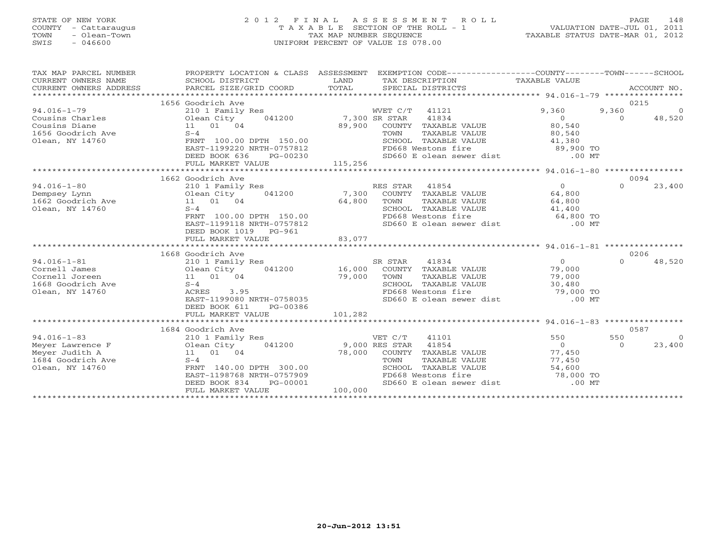### STATE OF NEW YORK 2 0 1 2 F I N A L A S S E S S M E N T R O L L PAGE 148 COUNTY - Cattaraugus T A X A B L E SECTION OF THE ROLL - 1 VALUATION DATE-JUL 01, 2011 TOWN - Olean-Town TAX MAP NUMBER SEQUENCE TAXABLE STATUS DATE-MAR 01, 2012 SWIS - 046600 UNIFORM PERCENT OF VALUE IS 078.00UNIFORM PERCENT OF VALUE IS 078.00

| TAX MAP PARCEL NUMBER<br>CURRENT OWNERS NAME<br>CURRENT OWNERS ADDRESS<br>*******************   | PROPERTY LOCATION & CLASS ASSESSMENT<br>SCHOOL DISTRICT<br>PARCEL SIZE/GRID COORD                                                                                                            | LAND<br>TAX DESCRIPTION TAXABLE VALUE<br>TOTAL<br>SPECIAL DISTRICTS                                                                                                                            | EXEMPTION CODE----------------COUNTY-------TOWN------SCHOOL<br>ACCOUNT NO.                                                    |
|-------------------------------------------------------------------------------------------------|----------------------------------------------------------------------------------------------------------------------------------------------------------------------------------------------|------------------------------------------------------------------------------------------------------------------------------------------------------------------------------------------------|-------------------------------------------------------------------------------------------------------------------------------|
| $94.016 - 1 - 79$<br>Cousins Charles<br>Cousins Diane<br>1656 Goodrich Ave<br>Olean, NY 14760   | 1656 Goodrich Ave<br>210 1 Family Res<br>041200<br>Olean City<br>11 01 04<br>$S-4$<br>FRNT 100.00 DPTH 150.00                                                                                | WVET C/T 41121<br>7,300 SR STAR<br>41834<br>89,900<br>COUNTY TAXABLE VALUE<br>TAXABLE VALUE<br>TOWN<br>SCHOOL TAXABLE VALUE                                                                    | 0215<br>9,360<br>$\overline{0}$<br>9,360<br>48,520<br>$\overline{0}$<br>$\Omega$<br>80,540<br>80,540<br>41,380                |
|                                                                                                 | EAST-1199220 NRTH-0757812<br>DEED BOOK 636<br>PG-00230<br>FULL MARKET VALUE                                                                                                                  | FD668 Westons fire<br>SD660 E olean sewer dist .00 MT<br>115,256<br>***********************                                                                                                    | $89,900$ TO<br>****************** 94.016-1-80 *****************                                                               |
|                                                                                                 | 1662 Goodrich Ave                                                                                                                                                                            |                                                                                                                                                                                                | 0094                                                                                                                          |
| $94.016 - 1 - 80$<br>Dempsey Lynn<br>1662 Goodrich Ave<br>Olean, NY 14760                       | 210 1 Family Res<br>041200<br>Olean City<br>11 01 04<br>$S-4$<br>FRNT 100.00 DPTH 150.00<br>EAST-1199118 NRTH-0757812<br>DEED BOOK 1019 PG-961<br>FULL MARKET VALUE                          | RES STAR 41854<br>7,300<br>COUNTY TAXABLE VALUE<br>64,800<br>TOWN<br>TAXABLE VALUE<br>SCHOOL TAXABLE VALUE<br>FD668 Westons fire<br>SD660 E olean sewer dist .00 MT<br>83,077                  | $\overline{0}$<br>$\Omega$<br>23,400<br>64,800<br>64,800<br>41,400<br>64,800 TO                                               |
|                                                                                                 |                                                                                                                                                                                              |                                                                                                                                                                                                |                                                                                                                               |
| $94.016 - 1 - 81$<br>Cornell James<br>Cornell Joreen<br>1668 Goodrich Ave<br>Olean, NY 14760    | 1668 Goodrich Ave<br>210 1 Family Res<br>Olean City<br>041200<br>11 01 04<br>$S-4$<br>3.95<br>ACRES<br>EAST-1199080 NRTH-0758035<br>DEED BOOK 611<br>PG-00386<br>FULL MARKET VALUE           | SR STAR<br>41834<br>16,000<br>COUNTY TAXABLE VALUE<br>79,000<br>TOWN<br>TAXABLE VALUE<br>SCHOOL TAXABLE VALUE<br>FD668 Westons fire<br>SD660 E olean sewer dist [100] .00 MT<br>101,282        | 0206<br>$\Omega$<br>$\Omega$<br>48,520<br>79,000<br>79,000<br>30,480<br>79,000 TO                                             |
| $94.016 - 1 - 83$<br>Meyer Lawrence F<br>Meyer Judith A<br>1684 Goodrich Ave<br>Olean, NY 14760 | 1684 Goodrich Ave<br>210 1 Family Res<br>Olean City<br>041200<br>11 01 04<br>$S-4$<br>FRNT 140.00 DPTH 300.00<br>EAST-1198768 NRTH-0757909<br>DEED BOOK 834<br>PG-00001<br>FULL MARKET VALUE | VET C/T<br>41101<br>41854<br>9,000 RES STAR<br>78,000<br>TAXABLE VALUE<br>COUNTY<br>TOWN<br>TAXABLE VALUE<br>SCHOOL TAXABLE VALUE<br>FD668 Westons fire<br>SD660 E olean sewer dist<br>100,000 | 0587<br>550<br>550<br>$\bigcirc$<br>$\overline{0}$<br>23,400<br>$\cap$<br>77,450<br>77,450<br>54,600<br>78,000 TO<br>$.00$ MT |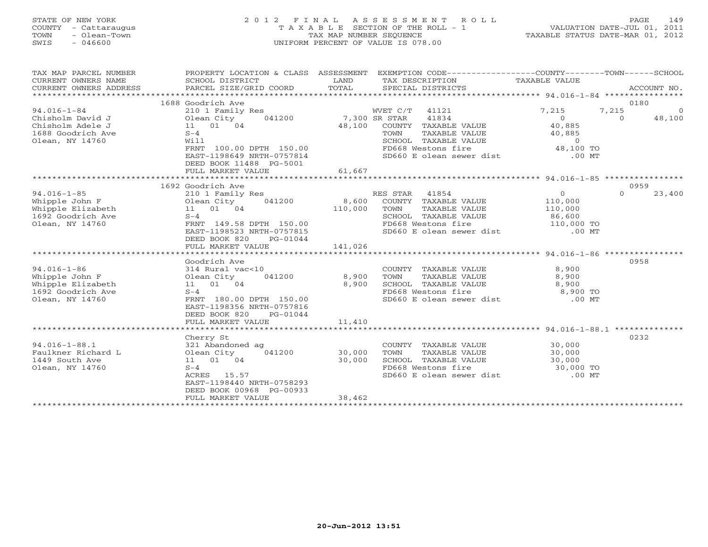### STATE OF NEW YORK 2 0 1 2 F I N A L A S S E S S M E N T R O L L PAGE 149 COUNTY - Cattaraugus T A X A B L E SECTION OF THE ROLL - 1 VALUATION DATE-JUL 01, 2011 TOWN - Olean-Town TAX MAP NUMBER SEQUENCE TAXABLE STATUS DATE-MAR 01, 2012 SWIS - 046600 UNIFORM PERCENT OF VALUE IS 078.00UNIFORM PERCENT OF VALUE IS 078.00

| TAX MAP PARCEL NUMBER<br>CURRENT OWNERS NAME<br>CURRENT OWNERS ADDRESS<br>************************* | PROPERTY LOCATION & CLASS ASSESSMENT<br>SCHOOL DISTRICT<br>PARCEL SIZE/GRID COORD | LAND<br>TOTAL                      | EXEMPTION CODE-----------------COUNTY-------TOWN------SCHOOL<br>TAX DESCRIPTION TAXABLE VALUE<br>SPECIAL DISTRICTS |                                                | ACCOUNT NO.        |
|-----------------------------------------------------------------------------------------------------|-----------------------------------------------------------------------------------|------------------------------------|--------------------------------------------------------------------------------------------------------------------|------------------------------------------------|--------------------|
|                                                                                                     |                                                                                   |                                    |                                                                                                                    |                                                | 0180               |
|                                                                                                     | 1688 Goodrich Ave                                                                 |                                    |                                                                                                                    |                                                |                    |
| $94.016 - 1 - 84$                                                                                   | 210 1 Family Res                                                                  |                                    | WVET C/T 41121                                                                                                     | 7,215                                          | 7,215<br>$\circ$   |
| Chisholm David J                                                                                    | Olean City                                                                        | 041200 7,300 SR STAR               | 41834                                                                                                              | $\overline{O}$                                 | $\Omega$<br>48,100 |
| Chisholm Adele J                                                                                    | 11 01 04                                                                          | 48,100                             | COUNTY TAXABLE VALUE                                                                                               | 40,885                                         |                    |
| 1688 Goodrich Ave                                                                                   | $S-4$                                                                             |                                    | TOWN<br>TAXABLE VALUE                                                                                              | 40,885                                         |                    |
| Olean, NY 14760                                                                                     | Will                                                                              |                                    | SCHOOL TAXABLE VALUE                                                                                               | $\Omega$                                       |                    |
|                                                                                                     | FRNT 100.00 DPTH 150.00<br>EAST-1198649 NRTH-0757814                              |                                    | FD668 Westons fire                                                                                                 | $48,100$ TO                                    |                    |
|                                                                                                     |                                                                                   |                                    | SD660 E olean sewer dist                                                                                           | $.00$ MT                                       |                    |
|                                                                                                     | DEED BOOK 11488 PG-5001                                                           |                                    |                                                                                                                    |                                                |                    |
|                                                                                                     | FULL MARKET VALUE                                                                 | 61,667                             |                                                                                                                    |                                                |                    |
|                                                                                                     |                                                                                   |                                    |                                                                                                                    |                                                |                    |
|                                                                                                     | 1692 Goodrich Ave                                                                 |                                    |                                                                                                                    |                                                | 0959               |
| $94.016 - 1 - 85$                                                                                   | 210 1 Family Res                                                                  |                                    | RES STAR<br>41854                                                                                                  | $\overline{0}$                                 | $\Omega$<br>23,400 |
| Whipple John F                                                                                      | 041200<br>Olean City                                                              | 8,600                              | COUNTY TAXABLE VALUE                                                                                               | 110,000                                        |                    |
| Whipple Elizabeth                                                                                   | 11 01 04                                                                          | 110,000                            | TOWN<br>TAXABLE VALUE                                                                                              | 110,000                                        |                    |
| 1692 Goodrich Ave                                                                                   | $S-4$                                                                             |                                    | SCHOOL TAXABLE VALUE                                                                                               | $\frac{1}{10}$ and $\frac{86,600}{110,000}$ to |                    |
| Olean, NY 14760                                                                                     | FRNT 149.58 DPTH 150.00                                                           |                                    | FD668 Westons fire                                                                                                 |                                                |                    |
|                                                                                                     | EAST-1198523 NRTH-0757815                                                         |                                    | SD660 E olean sewer dist .00 MT                                                                                    |                                                |                    |
|                                                                                                     | DEED BOOK 820<br>PG-01044                                                         |                                    |                                                                                                                    |                                                |                    |
|                                                                                                     | FULL MARKET VALUE                                                                 | 141,026<br>* * * * * * * * * * * * |                                                                                                                    |                                                |                    |
|                                                                                                     |                                                                                   |                                    | **************************************694.016-1-86 ******************                                              |                                                |                    |
|                                                                                                     | Goodrich Ave                                                                      |                                    |                                                                                                                    |                                                | 0958               |
| $94.016 - 1 - 86$                                                                                   | 314 Rural vac<10                                                                  |                                    | COUNTY TAXABLE VALUE                                                                                               | 8,900                                          |                    |
| Whipple John F                                                                                      | 041200<br>Olean City                                                              | 8,900                              | TOWN<br>TAXABLE VALUE                                                                                              | 8,900                                          |                    |
| Whipple Elizabeth                                                                                   | 11  01  04                                                                        | 8,900                              | SCHOOL TAXABLE VALUE                                                                                               | 8,900<br>$8,900$ TO                            |                    |
| 1692 Goodrich Ave                                                                                   | $S-4$                                                                             |                                    | FD668 Westons fire                                                                                                 |                                                |                    |
| Olean, NY 14760                                                                                     | FRNT 180.00 DPTH 150.00                                                           |                                    | SD660 E olean sewer dist .00 MT                                                                                    |                                                |                    |
|                                                                                                     | EAST-1198356 NRTH-0757816                                                         |                                    |                                                                                                                    |                                                |                    |
|                                                                                                     | DEED BOOK 820<br>PG-01044                                                         |                                    |                                                                                                                    |                                                |                    |
|                                                                                                     | FULL MARKET VALUE                                                                 | 11,410                             |                                                                                                                    |                                                |                    |
|                                                                                                     |                                                                                   |                                    |                                                                                                                    |                                                |                    |
|                                                                                                     | Cherry St                                                                         |                                    |                                                                                                                    |                                                | 0232               |
| $94.016 - 1 - 88.1$                                                                                 | 321 Abandoned ag                                                                  |                                    | COUNTY TAXABLE VALUE                                                                                               | 30,000                                         |                    |
| Faulkner Richard L                                                                                  | Olean City<br>041200                                                              | 30,000                             | TAXABLE VALUE<br>TOWN                                                                                              | 30,000<br>30,000                               |                    |
| 1449 South Ave                                                                                      | 11 01 04                                                                          | 30,000                             | SCHOOL TAXABLE VALUE                                                                                               |                                                |                    |
| Olean, NY 14760                                                                                     | $S-4$                                                                             |                                    | FD668 Westons fire                                                                                                 | 30,000 TO                                      |                    |
|                                                                                                     | ACRES 15.57                                                                       |                                    | SD660 E olean sewer dist                                                                                           | $.00$ MT                                       |                    |
|                                                                                                     | EAST-1198440 NRTH-0758293                                                         |                                    |                                                                                                                    |                                                |                    |
|                                                                                                     | DEED BOOK 00968 PG-00933                                                          |                                    |                                                                                                                    |                                                |                    |
|                                                                                                     | FULL MARKET VALUE                                                                 | 38,462                             |                                                                                                                    |                                                |                    |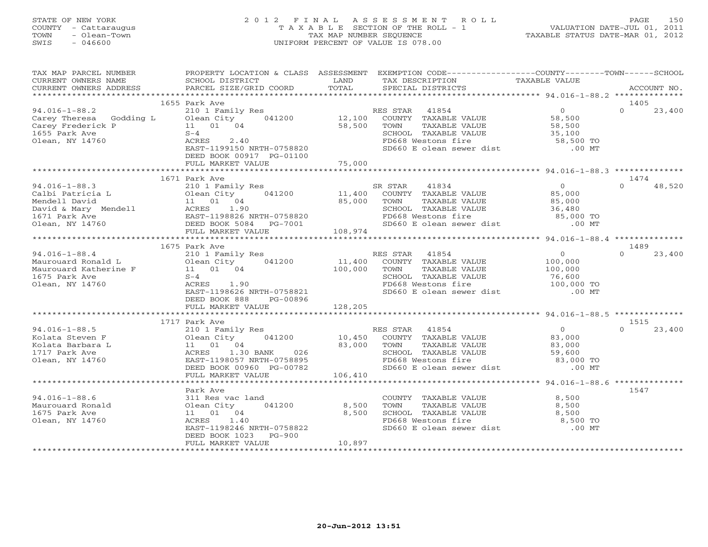### STATE OF NEW YORK 2 0 1 2 F I N A L A S S E S S M E N T R O L L PAGE 150 COUNTY - Cattaraugus T A X A B L E SECTION OF THE ROLL - 1 VALUATION DATE-JUL 01, 2011 TOWN - Olean-Town TAX MAP NUMBER SEQUENCE TAXABLE STATUS DATE-MAR 01, 2012 SWIS - 046600 UNIFORM PERCENT OF VALUE IS 078.00UNIFORM PERCENT OF VALUE IS 078.00

| TAX MAP PARCEL NUMBER<br>CURRENT OWNERS NAME<br>CURRENT OWNERS ADDRESS                                                                                                                                                        | SCHOOL DISTRICT<br>PARCEL SIZE/GRID COORD                                                                                                                          | LAND<br>TOTAL            | PROPERTY LOCATION & CLASS ASSESSMENT EXEMPTION CODE----------------COUNTY-------TOWN------SCHOOL<br>TAX DESCRIPTION<br>SPECIAL DISTRICTS                                                                                                                                                                       | TAXABLE VALUE                               | ACCOUNT NO.        |
|-------------------------------------------------------------------------------------------------------------------------------------------------------------------------------------------------------------------------------|--------------------------------------------------------------------------------------------------------------------------------------------------------------------|--------------------------|----------------------------------------------------------------------------------------------------------------------------------------------------------------------------------------------------------------------------------------------------------------------------------------------------------------|---------------------------------------------|--------------------|
|                                                                                                                                                                                                                               |                                                                                                                                                                    |                          |                                                                                                                                                                                                                                                                                                                |                                             |                    |
|                                                                                                                                                                                                                               | 1655 Park Ave                                                                                                                                                      |                          |                                                                                                                                                                                                                                                                                                                |                                             | 1405               |
| 94.016-1-88.2 210 1 Family .<br>Carey Theresa Godding L 01ean City<br>Carey Frederick P 11 01 04<br>Care Down Ave 11 01 04<br>Olean, NY 14760                                                                                 | ACRES<br>2.40<br>EAST-1199150 NRTH-0758820<br>DEED BOOK 00917 PG-01100                                                                                             | 58,500<br>75,000         | 210 1 Family Res (1200)<br>210 1 Family Res (12,100) RES STAR 41854 (210 1 Family Res (210 12,100) COUNTY TAXABLE VALUE (28,500)<br>TOWN TAXABLE VALUE<br>TOWN TAXABLE VALUE<br>SO SCHOOL TAXABLE VALUE<br>FD668 Westons fire<br>SO 58,500 TO<br>SD660 E olean sewer dist<br>.00 MT                            |                                             | $\Omega$<br>23,400 |
|                                                                                                                                                                                                                               | FULL MARKET VALUE                                                                                                                                                  |                          |                                                                                                                                                                                                                                                                                                                |                                             |                    |
|                                                                                                                                                                                                                               | 1671 Park Ave                                                                                                                                                      |                          |                                                                                                                                                                                                                                                                                                                |                                             | 1474               |
| 94.016-1-88.3<br>Calbi Patricia L 210 1 Family Res<br>Mendell David<br>David & Mary Mendell ACRES 1.90<br>1671 Park Ave EAST-1198826 NRTH-0758820<br>Olean, NY 14760<br>PULL MARKET VALUE<br>FULL MARKET VALUE<br>COMET VALUE |                                                                                                                                                                    |                          | SR STAR<br>TOWN TAXABLE VALUE $85,000$<br>SCHOOL TAXABLE VALUE 36,480<br>FD668 Westons fire $85,000$ TO<br>SD660 E olean sewer dist .00 MT                                                                                                                                                                     |                                             | 48,520<br>$\Omega$ |
|                                                                                                                                                                                                                               |                                                                                                                                                                    |                          |                                                                                                                                                                                                                                                                                                                |                                             |                    |
|                                                                                                                                                                                                                               |                                                                                                                                                                    |                          |                                                                                                                                                                                                                                                                                                                |                                             | 1489               |
| ----------88.4<br>Maurouard Ronald L<br>Maurouard Katherine F<br>101 01 04<br>1675 Park Ave 11 01 04<br>1675 Park Ave 5-4<br>Olean, NY 14760                                                                                  | 210 1 Family Res<br>Olean City 041200 11,400 COUNTY TAXABLE VALUE<br>ACRES 1.90<br>EAST-1198626 NRTH-0758821<br>DEED BOOK 888<br>PG-00896<br>FULL MARKET VALUE     | 100,000<br>128,205       | TOWN TAXABLE VALUE $100,000$<br>SCHOOL TAXABLE VALUE 76,600<br>FD668 Westons fire 100,000 TO<br>SD660 E olean sewer dist 00 MT                                                                                                                                                                                 | $\begin{array}{c} 0 \\ 100,000 \end{array}$ | 23,400<br>$\Omega$ |
|                                                                                                                                                                                                                               |                                                                                                                                                                    |                          |                                                                                                                                                                                                                                                                                                                |                                             |                    |
|                                                                                                                                                                                                                               | 1717 Park Ave                                                                                                                                                      |                          |                                                                                                                                                                                                                                                                                                                |                                             | 1515               |
| $94.016 - 1 - 88.5$<br>Kolata Steven F<br>Kolata Barbara L<br>1717 Park Ave<br>Olean, NY 14760                                                                                                                                | 210 1 Family Res<br>DEED BOOK 00960 PG-00782<br>FULL MARKET VALUE                                                                                                  | 106,410                  | RES STAR 41854<br>10.4 10.450 COUNTY TAXABLE VALUE 21.6 2010<br>11 01 04 23,000 TOWN TAXABLE VALUE 23,000<br>ACRES 1.30 BANK 026 2CHOOL TAXABLE VALUE 23,000<br>EAST-1198057 NRTH-0758895 FD668 Westons fire 23,000<br>TOWN TAXABLE VALUE<br>SCHOOL TAXABLE VALUE 59,600 TO<br>SD660 E olean sewer dist .00 MT | $\overline{0}$                              | $\Omega$<br>23,400 |
|                                                                                                                                                                                                                               |                                                                                                                                                                    |                          |                                                                                                                                                                                                                                                                                                                |                                             |                    |
| $94.016 - 1 - 88.6$<br>Maurouard Ronald<br>1675 Park Ave<br>Olean, NY 14760                                                                                                                                                   | Park Ave<br>311 Res vac land<br>Olean City 041200<br>11  01  04<br>ACRES 1.40<br>EAST-1198246 NRTH-0758822<br>DEED BOOK 1023<br><b>PG-900</b><br>FULL MARKET VALUE | 8,500<br>8,500<br>10,897 | COUNTY TAXABLE VALUE $8,500$<br>TOWN TAXABLE VALUE $8,500$<br>TOWN<br>TAXABLE VALUE<br>TOWN TAXABLE VALUE 8,500<br>SCHOOL TAXABLE VALUE 8,500<br>FD668 Westons fire 8,500 TO<br>SD660 E olean sewer dist                                                                                                       | 8,500<br>.00 MT                             | 1547               |
|                                                                                                                                                                                                                               |                                                                                                                                                                    |                          |                                                                                                                                                                                                                                                                                                                |                                             |                    |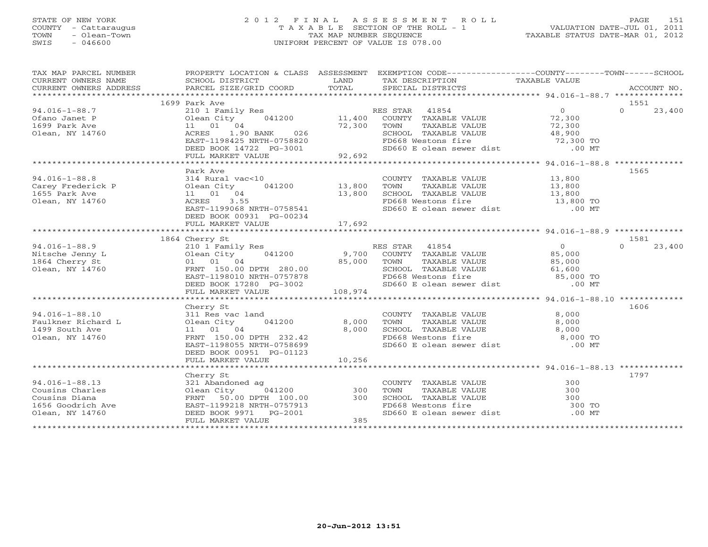### STATE OF NEW YORK 2 0 1 2 F I N A L A S S E S S M E N T R O L L PAGE 151 COUNTY - Cattaraugus T A X A B L E SECTION OF THE ROLL - 1 VALUATION DATE-JUL 01, 2011 TOWN - Olean-Town - Olean-Town Tax MAP NUMBER SEQUENCE TAXABLE STATUS DATE-MAR 01, 2012<br>
TAX MAP NUMBER SEQUENCE TAXABLE STATUS DATE-MAR 01, 2012<br>
SWIS - 046600 SWIS - 046600 UNIFORM PERCENT OF VALUE IS 078.00

| TAX MAP PARCEL NUMBER              | PROPERTY LOCATION & CLASS ASSESSMENT                                                                                            |                | EXEMPTION CODE-----------------COUNTY-------TOWN------SCHOOL                                                                                                                             |                                            |                    |
|------------------------------------|---------------------------------------------------------------------------------------------------------------------------------|----------------|------------------------------------------------------------------------------------------------------------------------------------------------------------------------------------------|--------------------------------------------|--------------------|
| CURRENT OWNERS NAME                | SCHOOL DISTRICT                                                                                                                 | LAND           | TAX DESCRIPTION                                                                                                                                                                          | TAXABLE VALUE                              |                    |
| CURRENT OWNERS ADDRESS             | PARCEL SIZE/GRID COORD                                                                                                          | TOTAL          | SPECIAL DISTRICTS                                                                                                                                                                        |                                            | ACCOUNT NO.        |
|                                    |                                                                                                                                 |                |                                                                                                                                                                                          |                                            |                    |
|                                    | 1699 Park Ave                                                                                                                   |                |                                                                                                                                                                                          |                                            | 1551               |
| $94.016 - 1 - 88.7$                | 210 1 Family Res                                                                                                                |                | RES STAR 41854                                                                                                                                                                           | $\overline{0}$                             | $\Omega$<br>23,400 |
| Ofano Janet P                      | 041200 11,400<br>Olean City                                                                                                     |                | COUNTY TAXABLE VALUE 72,300                                                                                                                                                              |                                            |                    |
| 1699 Park Ave                      | 11 01 04                                                                                                                        | 72,300         | TOWN<br>TAXABLE VALUE                                                                                                                                                                    | 72,300                                     |                    |
| Olean, NY 14760                    | 1.90 BANK<br>026<br>ACRES                                                                                                       |                |                                                                                                                                                                                          |                                            |                    |
|                                    | EAST-1198425 NRTH-0758820                                                                                                       |                |                                                                                                                                                                                          |                                            |                    |
|                                    | DEED BOOK 14722 PG-3001                                                                                                         |                | FD668 Westons fire 72,300 TO<br>SD660 E olean sewer dist .00 MT                                                                                                                          |                                            |                    |
|                                    | FULL MARKET VALUE                                                                                                               | 92,692         |                                                                                                                                                                                          |                                            |                    |
|                                    |                                                                                                                                 |                |                                                                                                                                                                                          |                                            |                    |
|                                    | Park Ave                                                                                                                        |                |                                                                                                                                                                                          |                                            | 1565               |
| $94.016 - 1 - 88.8$                | 314 Rural vac<10                                                                                                                |                | COUNTY TAXABLE VALUE                                                                                                                                                                     | 13,800<br>13,800                           |                    |
| Carey Frederick P<br>1655 Park Ave | 041200 13,800<br>Olean City                                                                                                     |                | TAXABLE VALUE<br>TOWN                                                                                                                                                                    |                                            |                    |
|                                    | 11  01  04<br>13,800                                                                                                            |                | SCHOOL TAXABLE VALUE $13,800$<br>FD668 Westons fire $13,800$ TO                                                                                                                          |                                            |                    |
| Olean, NY 14760                    | ACRES 3.55                                                                                                                      |                |                                                                                                                                                                                          |                                            |                    |
|                                    | ACRES 3.55<br>EAST-1199068 NRTH-0758541                                                                                         |                | SD660 E olean sewer dist .00 MT                                                                                                                                                          |                                            |                    |
|                                    | DEED BOOK 00931 PG-00234                                                                                                        |                |                                                                                                                                                                                          |                                            |                    |
|                                    |                                                                                                                                 |                |                                                                                                                                                                                          |                                            |                    |
|                                    |                                                                                                                                 |                |                                                                                                                                                                                          |                                            |                    |
|                                    | 1864 Cherry St                                                                                                                  |                |                                                                                                                                                                                          |                                            | 1581               |
| $94.016 - 1 - 88.9$                | 210 1 Family Res<br>Olean City 041200                                                                                           |                | ES STAR 41854<br>COUNTY TAXABLE VALUE<br>TOLEN TALLE<br>RES STAR 41854                                                                                                                   | $\begin{array}{c} 0 \\ 85,000 \end{array}$ | $\Omega$<br>23,400 |
| Nitsche Jenny L                    |                                                                                                                                 | $9,700$ $\sim$ |                                                                                                                                                                                          |                                            |                    |
| 1864 Cherry St                     |                                                                                                                                 |                |                                                                                                                                                                                          |                                            |                    |
| Olean, NY 14760                    |                                                                                                                                 |                |                                                                                                                                                                                          |                                            |                    |
|                                    |                                                                                                                                 |                | TOWN TAXABLE VALUE $\begin{array}{ccc} 65,000 \\ 85,000 \\ \text{SCHOOL} & \text{TAXABLE VALUE} \\ \text{FDC68} & \text{Mstons fire} \\ \text{RDC8} & \text{Mstons fire} \\ \end{array}$ |                                            |                    |
|                                    |                                                                                                                                 |                | SD660 E olean sewer dist .00 MT                                                                                                                                                          |                                            |                    |
|                                    | 01 01 04 85,000<br>FRNT 150.00 DPTH 280.00<br>EAST-1198010 NRTH-0757878<br>DEED BOOK 17280 PG-3002<br>FULL MARKET VALUE 108,974 |                |                                                                                                                                                                                          |                                            |                    |
|                                    |                                                                                                                                 |                |                                                                                                                                                                                          |                                            |                    |
|                                    | Cherry St                                                                                                                       |                |                                                                                                                                                                                          |                                            | 1606               |
| $94.016 - 1 - 88.10$               | 311 Res vac land                                                                                                                |                | COUNTY TAXABLE VALUE                                                                                                                                                                     | 8,000                                      |                    |
| Faulkner Richard L                 | 041200<br>Olean City                                                                                                            | 8,000          | TAXABLE VALUE<br>TOWN                                                                                                                                                                    | 8,000                                      |                    |
| 1499 South Ave                     | 11 01 04                                                                                                                        | 8,000          | SCHOOL TAXABLE VALUE                                                                                                                                                                     | 8,000                                      |                    |
| Olean, NY 14760                    | FRNT 150.00 DPTH 232.42                                                                                                         |                | FD668 Westons fire 8,000 TO<br>SD660 E olean sewer dist .00 MT                                                                                                                           |                                            |                    |
|                                    | FRNT 150.00 DPTH 232.42<br>EAST-1198055 NRTH-0758699                                                                            |                |                                                                                                                                                                                          |                                            |                    |
|                                    | DEED BOOK 00951 PG-01123                                                                                                        |                |                                                                                                                                                                                          |                                            |                    |
|                                    | FULL MARKET VALUE                                                                                                               | 10,256         |                                                                                                                                                                                          |                                            |                    |
|                                    |                                                                                                                                 |                |                                                                                                                                                                                          |                                            |                    |
|                                    | Cherry St                                                                                                                       |                |                                                                                                                                                                                          |                                            | 1797               |
| $94.016 - 1 - 88.13$               | 321 Abandoned ag                                                                                                                |                | COUNTY TAXABLE VALUE                                                                                                                                                                     | 300                                        |                    |
| Cousins Charles                    | 041200<br>Olean City                                                                                                            | 300            | TOWN<br>TAXABLE VALUE                                                                                                                                                                    | 300                                        |                    |
| Cousins Diana                      | FRNT 50.00 DPTH 100.00                                                                                                          | 300            | SCHOOL TAXABLE VALUE                                                                                                                                                                     | 300                                        |                    |
| 1656 Goodrich Ave                  | EAST-1199218 NRTH-0757913                                                                                                       |                |                                                                                                                                                                                          | 300 TO<br>.00 MT                           |                    |
| Olean, NY 14760                    | DEED BOOK 9971 PG-2001                                                                                                          |                | FD668 Westons fire<br>SD660 E olean sewer dist                                                                                                                                           |                                            |                    |
|                                    | FULL MARKET VALUE                                                                                                               | 385            |                                                                                                                                                                                          |                                            |                    |
|                                    |                                                                                                                                 |                |                                                                                                                                                                                          |                                            |                    |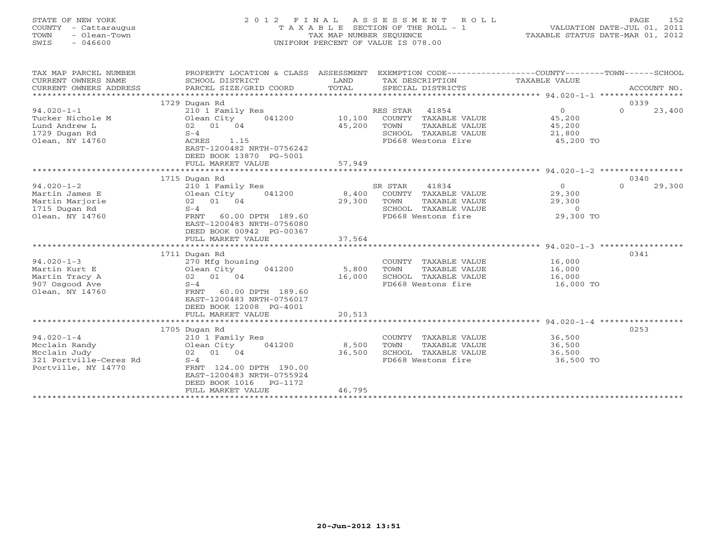### STATE OF NEW YORK 2 0 1 2 F I N A L A S S E S S M E N T R O L L PAGE 152 COUNTY - Cattaraugus T A X A B L E SECTION OF THE ROLL - 1 VALUATION DATE-JUL 01, 2011 TOWN - Olean-Town TAX MAP NUMBER SEQUENCE TAXABLE STATUS DATE-MAR 01, 2012 SWIS - 046600 UNIFORM PERCENT OF VALUE IS 078.00UNIFORM PERCENT OF VALUE IS 078.00

| TAX MAP PARCEL NUMBER<br>CURRENT OWNERS NAME<br>CURRENT OWNERS ADDRESS<br>************************* | PROPERTY LOCATION & CLASS ASSESSMENT<br>SCHOOL DISTRICT<br>PARCEL SIZE/GRID COORD | LAND<br>TOTAL    | EXEMPTION CODE----------------COUNTY-------TOWN------SCHOOL<br>TAX DESCRIPTION<br>SPECIAL DISTRICTS | TAXABLE VALUE    | ACCOUNT NO.        |
|-----------------------------------------------------------------------------------------------------|-----------------------------------------------------------------------------------|------------------|-----------------------------------------------------------------------------------------------------|------------------|--------------------|
|                                                                                                     |                                                                                   |                  |                                                                                                     |                  | 0339               |
| $94.020 - 1 - 1$                                                                                    | 1729 Dugan Rd                                                                     |                  |                                                                                                     | $\Omega$         | $\Omega$           |
|                                                                                                     | 210 1 Family Res                                                                  |                  | RES STAR 41854                                                                                      |                  | 23,400             |
| Tucker Nichole M<br>Lund Andrew L                                                                   | Olean City<br>041200<br>02 01 04                                                  | 10,100<br>45,200 | COUNTY TAXABLE VALUE<br>TOWN<br>TAXABLE VALUE                                                       | 45,200           |                    |
| 1729 Dugan Rd                                                                                       | $S-4$                                                                             |                  | SCHOOL TAXABLE VALUE                                                                                | 45,200<br>21,800 |                    |
| Olean, NY 14760                                                                                     | ACRES<br>1.15                                                                     |                  | FD668 Westons fire                                                                                  | 45,200 TO        |                    |
|                                                                                                     | EAST-1200482 NRTH-0756242<br>DEED BOOK 13870 PG-5001                              |                  |                                                                                                     |                  |                    |
|                                                                                                     | FULL MARKET VALUE                                                                 | 57,949           |                                                                                                     |                  |                    |
|                                                                                                     |                                                                                   |                  |                                                                                                     |                  |                    |
|                                                                                                     | 1715 Dugan Rd                                                                     |                  |                                                                                                     |                  | 0340               |
| $94.020 - 1 - 2$                                                                                    | 210 1 Family Res                                                                  |                  | SR STAR<br>41834                                                                                    | $\Omega$         | $\Omega$<br>29,300 |
| Martin James E                                                                                      | 041200<br>Olean City                                                              | 8,400            | COUNTY TAXABLE VALUE                                                                                | 29,300           |                    |
| Martin Marjorie                                                                                     | 02 01 04                                                                          | 29,300           | TOWN<br>TAXABLE VALUE                                                                               | 29,300           |                    |
| 1715 Dugan Rd                                                                                       | $S-4$                                                                             |                  | SCHOOL TAXABLE VALUE                                                                                | $\circ$          |                    |
| Olean, NY 14760                                                                                     | FRNT<br>60.00 DPTH 189.60                                                         |                  | FD668 Westons fire                                                                                  | 29,300 TO        |                    |
|                                                                                                     | EAST-1200483 NRTH-0756080                                                         |                  |                                                                                                     |                  |                    |
|                                                                                                     | DEED BOOK 00942 PG-00367                                                          |                  |                                                                                                     |                  |                    |
|                                                                                                     | FULL MARKET VALUE                                                                 | 37,564           |                                                                                                     |                  |                    |
|                                                                                                     |                                                                                   |                  |                                                                                                     |                  |                    |
|                                                                                                     | 1711 Dugan Rd                                                                     |                  |                                                                                                     |                  | 0341               |
| $94.020 - 1 - 3$                                                                                    | 270 Mfg housing<br>041200                                                         | 5,800            | COUNTY TAXABLE VALUE                                                                                | 16,000<br>16,000 |                    |
| Martin Kurt E<br>Martin Tracy A                                                                     | Olean City<br>02 01 04                                                            | 16,000           | TOWN<br>TAXABLE VALUE<br>SCHOOL TAXABLE VALUE                                                       | 16,000           |                    |
| 907 Osgood Ave                                                                                      | $S-4$                                                                             |                  | FD668 Westons fire                                                                                  | 16,000 TO        |                    |
| Olean, NY 14760                                                                                     | FRNT<br>60.00 DPTH 189.60                                                         |                  |                                                                                                     |                  |                    |
|                                                                                                     | EAST-1200483 NRTH-0756017                                                         |                  |                                                                                                     |                  |                    |
|                                                                                                     | DEED BOOK 12008 PG-4001                                                           |                  |                                                                                                     |                  |                    |
|                                                                                                     | FULL MARKET VALUE                                                                 | 20,513           |                                                                                                     |                  |                    |
|                                                                                                     |                                                                                   |                  |                                                                                                     |                  |                    |
|                                                                                                     | 1705 Dugan Rd                                                                     |                  |                                                                                                     |                  | 0253               |
| $94.020 - 1 - 4$                                                                                    | 210 1 Family Res                                                                  |                  | COUNTY TAXABLE VALUE                                                                                | 36,500           |                    |
| Mcclain Randy                                                                                       | Olean City<br>041200                                                              | 8,500            | TOWN<br>TAXABLE VALUE                                                                               | 36,500           |                    |
| Mcclain Judy                                                                                        | 02 01 04                                                                          | 36,500           | SCHOOL TAXABLE VALUE                                                                                | 36,500           |                    |
| 321 Portville-Ceres Rd                                                                              | $S-4$                                                                             |                  | FD668 Westons fire                                                                                  | 36,500 TO        |                    |
| Portville, NY 14770                                                                                 | FRNT 124.00 DPTH 190.00                                                           |                  |                                                                                                     |                  |                    |
|                                                                                                     | EAST-1200483 NRTH-0755924                                                         |                  |                                                                                                     |                  |                    |
|                                                                                                     | DEED BOOK 1016<br>PG-1172                                                         |                  |                                                                                                     |                  |                    |
|                                                                                                     | FULL MARKET VALUE                                                                 | 46,795           |                                                                                                     |                  |                    |
|                                                                                                     |                                                                                   |                  |                                                                                                     |                  |                    |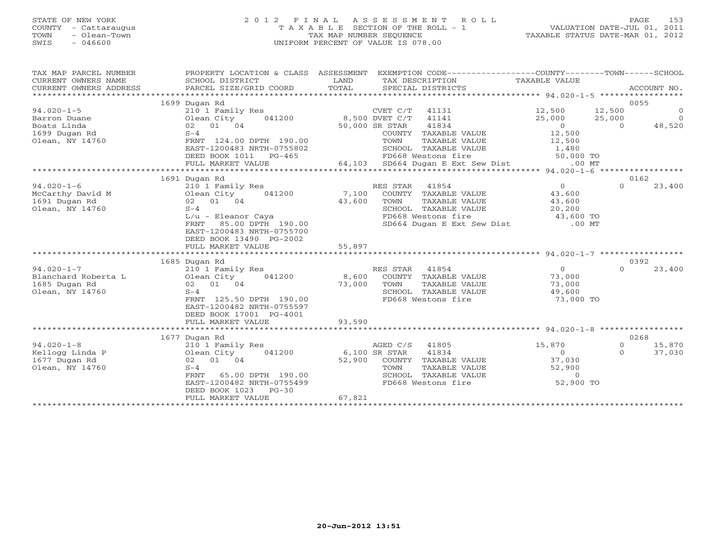#### STATE OF NEW YORK 2 0 1 2 F I N A L A S S E S S M E N T R O L L PAGE 153 COUNTY - Cattaraugus T A X A B L E SECTION OF THE ROLL - 1 VALUATION DATE-JUL 01, 2011 TOWN - Olean-Town TAX MAP NUMBER SEQUENCE TAXABLE STATUS DATE-MAR 01, 2012 SWIS - 046600 UNIFORM PERCENT OF VALUE IS 078.00UNIFORM PERCENT OF VALUE IS 078.00

| 0055<br>1699 Dugan Rd<br>12,500<br>$94.020 - 1 - 5$<br>$\overline{0}$<br>210 1 Family Res<br>CVET C/T<br>41131<br>12,500<br>041200 8,500 DVET C/T 41141<br>$\overline{0}$<br>25,000<br>Olean City<br>25,000<br>Barron Duane<br>48,520<br>$\overline{0}$<br>Boats Linda<br>02 01 04<br>50,000 SR STAR<br>41834<br>$\overline{0}$<br>12,500<br>1699 Dugan Rd<br>$S-4$<br>COUNTY TAXABLE VALUE<br>Olean, NY 14760<br>FRNT 124.00 DPTH 190.00<br>TOWN<br>TAXABLE VALUE<br>12,500<br>SCHOOL TAXABLE VALUE<br>1,480<br>50,000 TO<br>EAST-1200483 NRTH-0755802<br>FD668 Westons fire<br>DEED BOOK 1011<br>PG-465<br>64,103 SD664 Dugan E Ext Sew Dist<br>FULL MARKET VALUE<br>$.00$ MT<br>0162<br>1691 Dugan Rd<br>$94.020 - 1 - 6$<br>$\overline{0}$<br>$\Omega$<br>23,400<br>210 1 Family Res<br>RES STAR<br>41854<br>7,100<br>Olean City 041200<br>COUNTY TAXABLE VALUE<br>43,600<br>43,600<br>02 01 04<br>43,600<br>TOWN<br>TAXABLE VALUE<br>20,200<br>Olean, NY 14760<br>$S-4$<br>SCHOOL TAXABLE VALUE<br>FD668 Westons fire<br>FD668 Westons fire 43,600 TO<br>SD664 Dugan E Ext Sew Dist .00 MT<br>L/u - Eleanor Caya<br>85.00 DPTH 190.00<br>FRNT<br>EAST-1200483 NRTH-0755700 |
|---------------------------------------------------------------------------------------------------------------------------------------------------------------------------------------------------------------------------------------------------------------------------------------------------------------------------------------------------------------------------------------------------------------------------------------------------------------------------------------------------------------------------------------------------------------------------------------------------------------------------------------------------------------------------------------------------------------------------------------------------------------------------------------------------------------------------------------------------------------------------------------------------------------------------------------------------------------------------------------------------------------------------------------------------------------------------------------------------------------------------------------------------------------------------------|
| McCarthy David M<br>1691 Dugan Rd                                                                                                                                                                                                                                                                                                                                                                                                                                                                                                                                                                                                                                                                                                                                                                                                                                                                                                                                                                                                                                                                                                                                               |
|                                                                                                                                                                                                                                                                                                                                                                                                                                                                                                                                                                                                                                                                                                                                                                                                                                                                                                                                                                                                                                                                                                                                                                                 |
|                                                                                                                                                                                                                                                                                                                                                                                                                                                                                                                                                                                                                                                                                                                                                                                                                                                                                                                                                                                                                                                                                                                                                                                 |
|                                                                                                                                                                                                                                                                                                                                                                                                                                                                                                                                                                                                                                                                                                                                                                                                                                                                                                                                                                                                                                                                                                                                                                                 |
|                                                                                                                                                                                                                                                                                                                                                                                                                                                                                                                                                                                                                                                                                                                                                                                                                                                                                                                                                                                                                                                                                                                                                                                 |
|                                                                                                                                                                                                                                                                                                                                                                                                                                                                                                                                                                                                                                                                                                                                                                                                                                                                                                                                                                                                                                                                                                                                                                                 |
|                                                                                                                                                                                                                                                                                                                                                                                                                                                                                                                                                                                                                                                                                                                                                                                                                                                                                                                                                                                                                                                                                                                                                                                 |
|                                                                                                                                                                                                                                                                                                                                                                                                                                                                                                                                                                                                                                                                                                                                                                                                                                                                                                                                                                                                                                                                                                                                                                                 |
|                                                                                                                                                                                                                                                                                                                                                                                                                                                                                                                                                                                                                                                                                                                                                                                                                                                                                                                                                                                                                                                                                                                                                                                 |
|                                                                                                                                                                                                                                                                                                                                                                                                                                                                                                                                                                                                                                                                                                                                                                                                                                                                                                                                                                                                                                                                                                                                                                                 |
|                                                                                                                                                                                                                                                                                                                                                                                                                                                                                                                                                                                                                                                                                                                                                                                                                                                                                                                                                                                                                                                                                                                                                                                 |
|                                                                                                                                                                                                                                                                                                                                                                                                                                                                                                                                                                                                                                                                                                                                                                                                                                                                                                                                                                                                                                                                                                                                                                                 |
|                                                                                                                                                                                                                                                                                                                                                                                                                                                                                                                                                                                                                                                                                                                                                                                                                                                                                                                                                                                                                                                                                                                                                                                 |
|                                                                                                                                                                                                                                                                                                                                                                                                                                                                                                                                                                                                                                                                                                                                                                                                                                                                                                                                                                                                                                                                                                                                                                                 |
|                                                                                                                                                                                                                                                                                                                                                                                                                                                                                                                                                                                                                                                                                                                                                                                                                                                                                                                                                                                                                                                                                                                                                                                 |
|                                                                                                                                                                                                                                                                                                                                                                                                                                                                                                                                                                                                                                                                                                                                                                                                                                                                                                                                                                                                                                                                                                                                                                                 |
|                                                                                                                                                                                                                                                                                                                                                                                                                                                                                                                                                                                                                                                                                                                                                                                                                                                                                                                                                                                                                                                                                                                                                                                 |
|                                                                                                                                                                                                                                                                                                                                                                                                                                                                                                                                                                                                                                                                                                                                                                                                                                                                                                                                                                                                                                                                                                                                                                                 |
|                                                                                                                                                                                                                                                                                                                                                                                                                                                                                                                                                                                                                                                                                                                                                                                                                                                                                                                                                                                                                                                                                                                                                                                 |
| DEED BOOK 13490 PG-2002                                                                                                                                                                                                                                                                                                                                                                                                                                                                                                                                                                                                                                                                                                                                                                                                                                                                                                                                                                                                                                                                                                                                                         |
| 55,897<br>FULL MARKET VALUE                                                                                                                                                                                                                                                                                                                                                                                                                                                                                                                                                                                                                                                                                                                                                                                                                                                                                                                                                                                                                                                                                                                                                     |
| ****************************                                                                                                                                                                                                                                                                                                                                                                                                                                                                                                                                                                                                                                                                                                                                                                                                                                                                                                                                                                                                                                                                                                                                                    |
| 0392<br>1685 Dugan Rd                                                                                                                                                                                                                                                                                                                                                                                                                                                                                                                                                                                                                                                                                                                                                                                                                                                                                                                                                                                                                                                                                                                                                           |
| $94.020 - 1 - 7$<br>RES STAR 41854<br>$\overline{0}$<br>$\Omega$<br>23,400<br>210 1 Family Res                                                                                                                                                                                                                                                                                                                                                                                                                                                                                                                                                                                                                                                                                                                                                                                                                                                                                                                                                                                                                                                                                  |
| Olean City<br>73,000<br>041200 8,600<br>COUNTY TAXABLE VALUE<br>Blanchard Roberta L                                                                                                                                                                                                                                                                                                                                                                                                                                                                                                                                                                                                                                                                                                                                                                                                                                                                                                                                                                                                                                                                                             |
| 1685 Dugan Rd<br>02 01 04<br>73,000<br>TOWN<br>TAXABLE VALUE<br>73,000                                                                                                                                                                                                                                                                                                                                                                                                                                                                                                                                                                                                                                                                                                                                                                                                                                                                                                                                                                                                                                                                                                          |
| 49,600<br>SCHOOL TAXABLE VALUE<br>Olean, NY 14760<br>$S-4$                                                                                                                                                                                                                                                                                                                                                                                                                                                                                                                                                                                                                                                                                                                                                                                                                                                                                                                                                                                                                                                                                                                      |
| FRNT 125.50 DPTH 190.00<br>FD668 Westons fire<br>73,000 TO                                                                                                                                                                                                                                                                                                                                                                                                                                                                                                                                                                                                                                                                                                                                                                                                                                                                                                                                                                                                                                                                                                                      |
| EAST-1200482 NRTH-0755597                                                                                                                                                                                                                                                                                                                                                                                                                                                                                                                                                                                                                                                                                                                                                                                                                                                                                                                                                                                                                                                                                                                                                       |
| DEED BOOK 17001 PG-4001                                                                                                                                                                                                                                                                                                                                                                                                                                                                                                                                                                                                                                                                                                                                                                                                                                                                                                                                                                                                                                                                                                                                                         |
| 93,590<br>FULL MARKET VALUE                                                                                                                                                                                                                                                                                                                                                                                                                                                                                                                                                                                                                                                                                                                                                                                                                                                                                                                                                                                                                                                                                                                                                     |
|                                                                                                                                                                                                                                                                                                                                                                                                                                                                                                                                                                                                                                                                                                                                                                                                                                                                                                                                                                                                                                                                                                                                                                                 |
| 0268<br>1677 Dugan Rd                                                                                                                                                                                                                                                                                                                                                                                                                                                                                                                                                                                                                                                                                                                                                                                                                                                                                                                                                                                                                                                                                                                                                           |
| $94.020 - 1 - 8$<br>15,870<br>15,870<br>210 1 Family Res<br>AGED C/S<br>41805<br>$\circ$                                                                                                                                                                                                                                                                                                                                                                                                                                                                                                                                                                                                                                                                                                                                                                                                                                                                                                                                                                                                                                                                                        |
| Kellogg Linda P<br>6,100 SR STAR<br>41834<br>$\overline{0}$<br>37,030<br>Olean City<br>041200<br>$\Omega$                                                                                                                                                                                                                                                                                                                                                                                                                                                                                                                                                                                                                                                                                                                                                                                                                                                                                                                                                                                                                                                                       |
| 52,900<br>37,030<br>1677 Dugan Rd<br>02 01 04<br>COUNTY TAXABLE VALUE                                                                                                                                                                                                                                                                                                                                                                                                                                                                                                                                                                                                                                                                                                                                                                                                                                                                                                                                                                                                                                                                                                           |
| 52,900<br>Olean, NY 14760<br>$S-4$<br>TOWN<br>TAXABLE VALUE                                                                                                                                                                                                                                                                                                                                                                                                                                                                                                                                                                                                                                                                                                                                                                                                                                                                                                                                                                                                                                                                                                                     |
| SCHOOL TAXABLE VALUE<br>FRNT 65.00 DPTH 190.00                                                                                                                                                                                                                                                                                                                                                                                                                                                                                                                                                                                                                                                                                                                                                                                                                                                                                                                                                                                                                                                                                                                                  |
| EAST-1200482 NRTH-0755499                                                                                                                                                                                                                                                                                                                                                                                                                                                                                                                                                                                                                                                                                                                                                                                                                                                                                                                                                                                                                                                                                                                                                       |
| DEED BOOK 1023<br>$PG-30$                                                                                                                                                                                                                                                                                                                                                                                                                                                                                                                                                                                                                                                                                                                                                                                                                                                                                                                                                                                                                                                                                                                                                       |
| 67,821<br>FULL MARKET VALUE                                                                                                                                                                                                                                                                                                                                                                                                                                                                                                                                                                                                                                                                                                                                                                                                                                                                                                                                                                                                                                                                                                                                                     |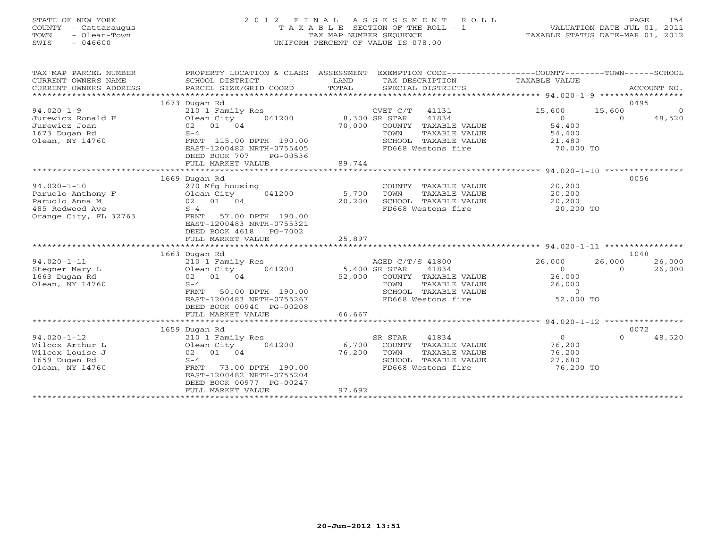### STATE OF NEW YORK 2 0 1 2 F I N A L A S S E S S M E N T R O L L PAGE 154 COUNTY - Cattaraugus T A X A B L E SECTION OF THE ROLL - 1 VALUATION DATE-JUL 01, 2011 TOWN - Olean-Town TAX MAP NUMBER SEQUENCE TAXABLE STATUS DATE-MAR 01, 2012 SWIS - 046600 UNIFORM PERCENT OF VALUE IS 078.00UNIFORM PERCENT OF VALUE IS 078.00

| 1673 Dugan Rd<br>0495<br>$94.020 - 1 - 9$<br>210 1 Family Res<br>CVET C/T<br>41131<br>15,600<br>15,600<br>41834<br>Olean City<br>041200<br>8,300 SR STAR<br>$\Omega$<br>48,520<br>Jurewicz Ronald F<br>$\Omega$<br>02 01 04<br>54,400<br>Jurewicz Joan<br>70,000<br>TAXABLE VALUE<br>COUNTY |
|---------------------------------------------------------------------------------------------------------------------------------------------------------------------------------------------------------------------------------------------------------------------------------------------|
|                                                                                                                                                                                                                                                                                             |
|                                                                                                                                                                                                                                                                                             |
|                                                                                                                                                                                                                                                                                             |
|                                                                                                                                                                                                                                                                                             |
| 1673 Dugan Rd<br>$S-4$<br>TAXABLE VALUE<br>54,400<br>TOWN                                                                                                                                                                                                                                   |
| Olean, NY 14760<br>FRNT 115.00 DPTH 190.00<br>SCHOOL TAXABLE VALUE<br>21,480                                                                                                                                                                                                                |
| EAST-1200482 NRTH-0755405<br>FD668 Westons fire<br>70,000 TO<br>DEED BOOK 707<br>PG-00536                                                                                                                                                                                                   |
| 89,744<br>FULL MARKET VALUE                                                                                                                                                                                                                                                                 |
| ********************** 94.020-1-10 *****************                                                                                                                                                                                                                                        |
| 0056<br>1669 Dugan Rd                                                                                                                                                                                                                                                                       |
| $94.020 - 1 - 10$<br>20,200<br>270 Mfg housing<br>COUNTY TAXABLE VALUE                                                                                                                                                                                                                      |
| 20,200<br>Paruolo Anthony F<br>Olean City<br>041200<br>5,700<br>TOWN<br>TAXABLE VALUE<br>Paruolo Anna M<br>02 01 04<br>20,200<br>SCHOOL TAXABLE VALUE<br>20,200                                                                                                                             |
| 485 Redwood Ave<br>$S-4$<br>FD668 Westons fire<br>20,200 TO                                                                                                                                                                                                                                 |
| Orange City, FL 32763<br>FRNT<br>57.00 DPTH 190.00                                                                                                                                                                                                                                          |
| EAST-1200483 NRTH-0755321                                                                                                                                                                                                                                                                   |
| DEED BOOK 4618<br>PG-7002                                                                                                                                                                                                                                                                   |
| 25,897<br>FULL MARKET VALUE                                                                                                                                                                                                                                                                 |
| ***********************                                                                                                                                                                                                                                                                     |
| 1048<br>1663 Dugan Rd                                                                                                                                                                                                                                                                       |
| $94.020 - 1 - 11$<br>26,000<br>26,000<br>210 1 Family Res<br>AGED C/T/S 41800<br>26,000                                                                                                                                                                                                     |
| Stegner Mary L<br>041200<br>5,400 SR STAR<br>41834<br>26,000<br>Olean City<br>$\Omega$<br>$\Omega$                                                                                                                                                                                          |
| 02 01 04<br>1663 Dugan Rd<br>52,000<br>COUNTY TAXABLE VALUE<br>26,000                                                                                                                                                                                                                       |
| Olean, NY 14760<br>$S-4$<br>TAXABLE VALUE<br>26,000<br>TOWN                                                                                                                                                                                                                                 |
| 50.00 DPTH 190.00<br>SCHOOL TAXABLE VALUE<br>$\circ$<br>FRNT<br>EAST-1200483 NRTH-0755267<br>52,000 TO<br>FD668 Westons fire                                                                                                                                                                |
| DEED BOOK 00940 PG-00208                                                                                                                                                                                                                                                                    |
| 66,667<br>FULL MARKET VALUE                                                                                                                                                                                                                                                                 |
| **********<br>***********************<br>$******$ 94.020-1-12 *****************                                                                                                                                                                                                             |
| 0072<br>1659 Dugan Rd                                                                                                                                                                                                                                                                       |
| $94.020 - 1 - 12$<br>SR STAR<br>41834<br>$\Omega$<br>$\Omega$<br>48,520<br>210 1 Family Res                                                                                                                                                                                                 |
| Wilcox Arthur L<br>041200<br>6,700<br>COUNTY<br>TAXABLE VALUE<br>76,200<br>Olean City                                                                                                                                                                                                       |
| Wilcox Louise J<br>02 01 04<br>76,200<br>TOWN<br>TAXABLE VALUE<br>76,200                                                                                                                                                                                                                    |
| 1659 Dugan Rd<br>SCHOOL<br>27,680<br>$S-4$<br>TAXABLE VALUE                                                                                                                                                                                                                                 |
| 76,200 TO<br>Olean, NY 14760<br>73.00 DPTH 190.00<br>FD668 Westons fire<br>FRNT                                                                                                                                                                                                             |
| EAST-1200482 NRTH-0755204                                                                                                                                                                                                                                                                   |
| DEED BOOK 00977 PG-00247                                                                                                                                                                                                                                                                    |
| 97,692<br>FULL MARKET VALUE                                                                                                                                                                                                                                                                 |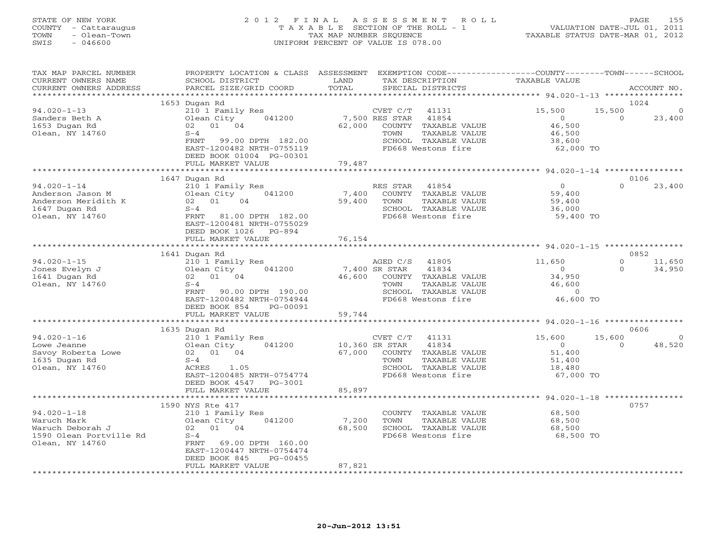#### STATE OF NEW YORK 2 0 1 2 F I N A L A S S E S S M E N T R O L L PAGE 155 COUNTY - Cattaraugus T A X A B L E SECTION OF THE ROLL - 1 VALUATION DATE-JUL 01, 2011 TOWN - Olean-Town TAX MAP NUMBER SEQUENCE TAXABLE STATUS DATE-MAR 01, 2012 SWIS - 046600 UNIFORM PERCENT OF VALUE IS 078.00UNIFORM PERCENT OF VALUE IS 078.00

| TAX MAP PARCEL NUMBER<br>CURRENT OWNERS NAME<br>CURRENT OWNERS ADDRESS                             | PROPERTY LOCATION & CLASS ASSESSMENT<br>SCHOOL DISTRICT<br>PARCEL SIZE/GRID COORD                                                                                        | LAND<br>TOTAL            | EXEMPTION CODE-----------------COUNTY-------TOWN------SCHOOL<br>TAX DESCRIPTION<br>SPECIAL DISTRICTS                                        | TAXABLE VALUE                                                       | ACCOUNT NO.                                    |
|----------------------------------------------------------------------------------------------------|--------------------------------------------------------------------------------------------------------------------------------------------------------------------------|--------------------------|---------------------------------------------------------------------------------------------------------------------------------------------|---------------------------------------------------------------------|------------------------------------------------|
| *********************                                                                              |                                                                                                                                                                          |                          |                                                                                                                                             |                                                                     |                                                |
|                                                                                                    | 1653 Dugan Rd                                                                                                                                                            |                          |                                                                                                                                             |                                                                     | 1024                                           |
| $94.020 - 1 - 13$<br>Sanders Beth A<br>1653 Dugan Rd<br>Olean, NY 14760                            | 210 1 Family Res<br>Olean City<br>041200<br>02 01 04<br>$S-4$<br>FRNT<br>99.00 DPTH 182.00<br>EAST-1200482 NRTH-0755119                                                  | 62,000                   | CVET C/T<br>41131<br>7,500 RES STAR<br>41854<br>COUNTY TAXABLE VALUE<br>TAXABLE VALUE<br>TOWN<br>SCHOOL TAXABLE VALUE<br>FD668 Westons fire | 15,500<br>$\overline{0}$<br>46,500<br>46,500<br>38,600<br>62,000 TO | 15,500<br>0<br>$\Omega$<br>23,400              |
|                                                                                                    | DEED BOOK 01004 PG-00301                                                                                                                                                 |                          |                                                                                                                                             |                                                                     |                                                |
|                                                                                                    | FULL MARKET VALUE                                                                                                                                                        | 79,487<br>********       |                                                                                                                                             |                                                                     |                                                |
|                                                                                                    |                                                                                                                                                                          |                          |                                                                                                                                             | *********** 94.020-1-14 ***********                                 | 0106                                           |
| $94.020 - 1 - 14$<br>Anderson Jason M<br>Anderson Meridith K<br>1647 Dugan Rd<br>Olean, NY 14760   | 1647 Dugan Rd<br>210 1 Family Res<br>Olean City<br>041200<br>02 01<br>04<br>$S-4$<br>FRNT<br>81.00 DPTH 182.00<br>EAST-1200481 NRTH-0755029<br>DEED BOOK 1026<br>PG-894  | 7,400<br>59,400          | RES STAR<br>41854<br>COUNTY TAXABLE VALUE<br>TOWN<br>TAXABLE VALUE<br>SCHOOL TAXABLE VALUE<br>FD668 Westons fire                            | $\Omega$<br>59,400<br>59,400<br>36,000<br>59,400 TO                 | $\Omega$<br>23,400                             |
|                                                                                                    | FULL MARKET VALUE<br>**************************                                                                                                                          | 76,154                   |                                                                                                                                             |                                                                     |                                                |
|                                                                                                    | 1641 Dugan Rd                                                                                                                                                            |                          |                                                                                                                                             |                                                                     | 0852                                           |
| $94.020 - 1 - 15$<br>Jones Evelyn J<br>1641 Dugan Rd<br>Olean, NY 14760                            | 210 1 Family Res<br>041200<br>Olean City<br>02 01 04<br>$S-4$<br>FRNT<br>90.00 DPTH 190.00<br>EAST-1200482 NRTH-0754944<br>PG-00091<br>DEED BOOK 854                     | 7,400 SR STAR<br>46,600  | AGED C/S<br>41805<br>41834<br>COUNTY TAXABLE VALUE<br>TOWN<br>TAXABLE VALUE<br>SCHOOL TAXABLE VALUE<br>FD668 Westons fire                   | 11,650<br>$\circ$<br>34,950<br>46,600<br>$\Omega$<br>46,600 TO      | $\Omega$<br>11,650<br>$\Omega$<br>34,950       |
|                                                                                                    | FULL MARKET VALUE                                                                                                                                                        | 59,744                   |                                                                                                                                             |                                                                     |                                                |
|                                                                                                    | ************************                                                                                                                                                 |                          |                                                                                                                                             |                                                                     |                                                |
|                                                                                                    | 1635 Dugan Rd                                                                                                                                                            |                          |                                                                                                                                             |                                                                     | 0606                                           |
| $94.020 - 1 - 16$<br>Lowe Jeanne<br>Savoy Roberta Lowe<br>1635 Dugan Rd<br>Olean, NY 14760         | 210 1 Family Res<br>041200<br>Olean City<br>02 01 04<br>$S-4$<br>ACRES<br>1.05<br>EAST-1200485 NRTH-0754774<br>DEED BOOK 4547<br>PG-3001                                 | 10,360 SR STAR<br>67,000 | CVET C/T<br>41131<br>41834<br>COUNTY TAXABLE VALUE<br>TOWN<br>TAXABLE VALUE<br>SCHOOL TAXABLE VALUE<br>FD668 Westons fire                   | 15,600<br>$\Omega$<br>51,400<br>51,400<br>18,480<br>67,000 TO       | 15,600<br>$\overline{0}$<br>48,520<br>$\Omega$ |
|                                                                                                    | FULL MARKET VALUE                                                                                                                                                        | 85,897                   |                                                                                                                                             |                                                                     |                                                |
|                                                                                                    | **********************                                                                                                                                                   |                          |                                                                                                                                             |                                                                     |                                                |
| $94.020 - 1 - 18$<br>Waruch Mark<br>Waruch Deborah J<br>1590 Olean Portville Rd<br>Olean, NY 14760 | 1590 NYS Rte 417<br>210 1 Family Res<br>Olean City<br>041200<br>02 01 04<br>$S-4$<br>69.00 DPTH 160.00<br>FRNT<br>EAST-1200447 NRTH-0754474<br>DEED BOOK 845<br>PG-00455 | 7,200<br>68,500          | COUNTY TAXABLE VALUE<br>TOWN<br>TAXABLE VALUE<br>SCHOOL TAXABLE VALUE<br>FD668 Westons fire                                                 | 68,500<br>68,500<br>68,500<br>68,500 TO                             | 0757                                           |
|                                                                                                    | FULL MARKET VALUE                                                                                                                                                        | 87,821                   |                                                                                                                                             |                                                                     |                                                |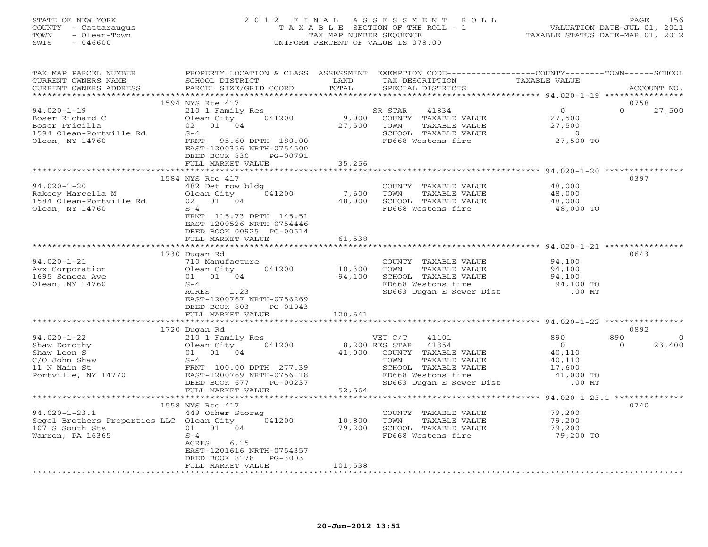#### STATE OF NEW YORK 2 0 1 2 F I N A L A S S E S S M E N T R O L L PAGE 156 COUNTY - Cattaraugus T A X A B L E SECTION OF THE ROLL - 1 VALUATION DATE-JUL 01, 2011 TOWN - Olean-Town TAX MAP NUMBER SEQUENCE TAXABLE STATUS DATE-MAR 01, 2012 SWIS - 046600 UNIFORM PERCENT OF VALUE IS 078.00UNIFORM PERCENT OF VALUE IS 078.00

| TAX MAP PARCEL NUMBER                    | PROPERTY LOCATION & CLASS ASSESSMENT             |                               |                          |                  |                    |
|------------------------------------------|--------------------------------------------------|-------------------------------|--------------------------|------------------|--------------------|
| CURRENT OWNERS NAME                      | SCHOOL DISTRICT                                  | LAND                          | TAX DESCRIPTION          | TAXABLE VALUE    |                    |
| CURRENT OWNERS ADDRESS                   | PARCEL SIZE/GRID COORD                           | TOTAL                         | SPECIAL DISTRICTS        |                  | ACCOUNT NO.        |
|                                          |                                                  |                               |                          |                  |                    |
|                                          | 1594 NYS Rte 417                                 |                               |                          |                  | 0758               |
|                                          |                                                  |                               |                          | $\Omega$         | $\Omega$           |
| $94.020 - 1 - 19$                        | 210 1 Family Res                                 |                               | SR STAR<br>41834         |                  | 27,500             |
| Boser Richard C                          | 041200<br>Olean City                             | 9,000                         | COUNTY TAXABLE VALUE     | 27,500           |                    |
| Boser Pricilla                           | 02 01 04                                         | 27,500                        | TOWN<br>TAXABLE VALUE    | 27,500           |                    |
| 1594 Olean-Portville Rd                  | $S-4$                                            |                               | SCHOOL TAXABLE VALUE     |                  |                    |
| Olean, NY 14760                          | FRNT 95.60 DPTH 180.00                           |                               | FD668 Westons fire       | $0$<br>27,500 TO |                    |
|                                          | EAST-1200356 NRTH-0754500                        |                               |                          |                  |                    |
|                                          | DEED BOOK 830<br>PG-00791                        |                               |                          |                  |                    |
|                                          | FULL MARKET VALUE                                | 35,256                        |                          |                  |                    |
|                                          | ***********************                          |                               |                          |                  |                    |
|                                          |                                                  |                               |                          |                  |                    |
|                                          | 1584 NYS Rte 417                                 |                               |                          |                  | 0397               |
| $94.020 - 1 - 20$                        | 482 Det row bldg                                 |                               | COUNTY TAXABLE VALUE     | 48,000           |                    |
| Rakocy Marcella M                        | 041200<br>Olean City                             | 7,600                         | TAXABLE VALUE<br>TOWN    | 48,000           |                    |
| 1584 Olean-Portville Rd                  | 02 01 04                                         | 48,000                        | SCHOOL TAXABLE VALUE     | 48,000           |                    |
| Olean, NY 14760                          | $S-4$                                            |                               | FD668 Westons fire       | 48,000 TO        |                    |
|                                          | FRNT 115.73 DPTH 145.51                          |                               |                          |                  |                    |
|                                          | EAST-1200526 NRTH-0754446                        |                               |                          |                  |                    |
|                                          |                                                  |                               |                          |                  |                    |
|                                          | DEED BOOK 00925 PG-00514                         |                               |                          |                  |                    |
|                                          | FULL MARKET VALUE<br>*************************** | 61,538<br>******************* |                          |                  |                    |
|                                          |                                                  |                               |                          |                  |                    |
|                                          | 1730 Dugan Rd                                    |                               |                          |                  | 0643               |
| $94.020 - 1 - 21$                        | 710 Manufacture                                  |                               | COUNTY TAXABLE VALUE     | 94,100           |                    |
| Avx Corporation                          | Olean City<br>041200                             | 10,300                        | TOWN<br>TAXABLE VALUE    | 94,100           |                    |
| 1695 Seneca Ave                          | 01 01 04                                         | 94,100                        | SCHOOL TAXABLE VALUE     | 94,100           |                    |
| Olean, NY 14760                          | $S-4$                                            |                               | FD668 Westons fire       | 94,100 TO        |                    |
|                                          | ACRES<br>1.23                                    |                               | SD663 Dugan E Sewer Dist | $.00$ MT         |                    |
|                                          | EAST-1200767 NRTH-0756269                        |                               |                          |                  |                    |
|                                          |                                                  |                               |                          |                  |                    |
|                                          | DEED BOOK 803<br>PG-01043                        |                               |                          |                  |                    |
|                                          | FULL MARKET VALUE                                | 120,641                       |                          |                  |                    |
|                                          |                                                  |                               |                          |                  |                    |
|                                          | 1720 Dugan Rd                                    |                               |                          |                  | 0892               |
| $94.020 - 1 - 22$                        | 210 1 Family Res                                 |                               | 41101<br>VET C/T         | 890              | 890<br>$\circ$     |
| Shaw Dorothy                             | 041200<br>Olean City                             |                               | 8,200 RES STAR<br>41854  | $\overline{0}$   | $\Omega$<br>23,400 |
| Shaw Leon S                              | 01 01 04                                         | 41,000                        | COUNTY TAXABLE VALUE     | 40,110           |                    |
| C/O John Shaw                            | $S-4$                                            |                               | TOWN<br>TAXABLE VALUE    | 40,110           |                    |
| 11 N Main St                             |                                                  |                               | SCHOOL TAXABLE VALUE     | 17,600           |                    |
|                                          | FRNT 100.00 DPTH 277.39                          |                               |                          |                  |                    |
| Portville, NY 14770                      | EAST-1200769 NRTH-0756118                        |                               | FD668 Westons fire       | 41,000 TO        |                    |
|                                          | DEED BOOK 677<br>PG-00237                        |                               | SD663 Dugan E Sewer Dist | $.00$ MT         |                    |
|                                          | FULL MARKET VALUE                                | 52,564                        |                          |                  |                    |
|                                          | **********************                           |                               |                          |                  |                    |
|                                          | 1558 NYS Rte 417                                 |                               |                          |                  | 0740               |
| $94.020 - 1 - 23.1$                      | 449 Other Storag                                 |                               | COUNTY TAXABLE VALUE     | 79,200           |                    |
| Segel Brothers Properties LLC Olean City | 041200                                           | 10,800                        | TOWN<br>TAXABLE VALUE    | 79,200           |                    |
| 107 S South Sts                          | 01 01 04                                         | 79,200                        | SCHOOL TAXABLE VALUE     | 79,200           |                    |
| Warren, PA 16365                         | $S-4$                                            |                               | FD668 Westons fire       | 79,200 TO        |                    |
|                                          |                                                  |                               |                          |                  |                    |
|                                          | ACRES<br>6.15                                    |                               |                          |                  |                    |
|                                          | EAST-1201616 NRTH-0754357                        |                               |                          |                  |                    |
|                                          | DEED BOOK 8178<br>$PG-3003$                      |                               |                          |                  |                    |
|                                          | FULL MARKET VALUE                                | 101,538                       |                          |                  |                    |
|                                          |                                                  |                               |                          |                  |                    |
|                                          |                                                  |                               |                          |                  |                    |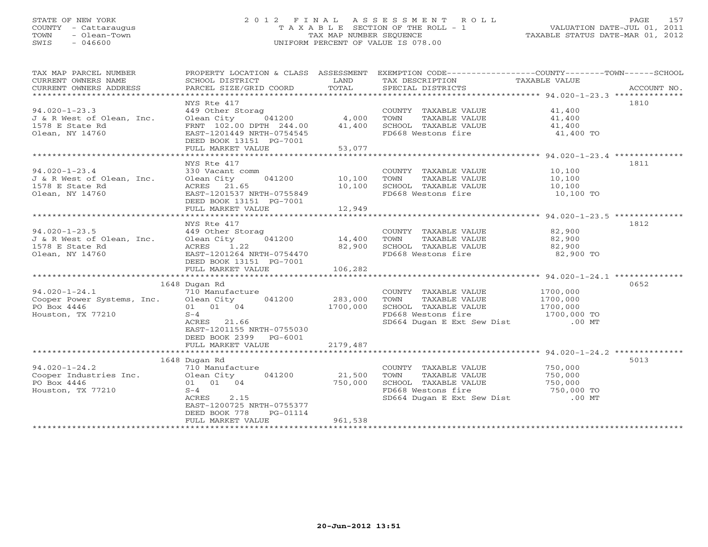#### STATE OF NEW YORK 2 0 1 2 F I N A L A S S E S S M E N T R O L L PAGE 157 COUNTY - Cattaraugus T A X A B L E SECTION OF THE ROLL - 1 VALUATION DATE-JUL 01, 2011 TOWN - Olean-Town TAX MAP NUMBER SEQUENCE TAXABLE STATUS DATE-MAR 01, 2012 SWIS - 046600 UNIFORM PERCENT OF VALUE IS 078.00UNIFORM PERCENT OF VALUE IS 078.00

| TAX MAP PARCEL NUMBER                        | PROPERTY LOCATION & CLASS ASSESSMENT                 |          | EXEMPTION CODE-----------------COUNTY-------TOWN------SCHOOL |                                   |             |
|----------------------------------------------|------------------------------------------------------|----------|--------------------------------------------------------------|-----------------------------------|-------------|
| CURRENT OWNERS NAME                          | SCHOOL DISTRICT                                      | LAND     | TAX DESCRIPTION TAXABLE VALUE SPECIAL DISTRICTS              |                                   |             |
| CURRENT OWNERS ADDRESS                       | PARCEL SIZE/GRID COORD                               | TOTAL    | SPECIAL DISTRICTS                                            |                                   | ACCOUNT NO. |
|                                              |                                                      |          |                                                              |                                   |             |
|                                              | NYS Rte 417                                          |          |                                                              |                                   | 1810        |
| $94.020 - 1 - 23.3$                          | 449 Other Storag                                     | 4,000    | COUNTY TAXABLE VALUE                                         | 41,400                            |             |
| J & R West of Olean, Inc.                    | 041200<br>Olean City                                 |          | TOWN<br>TAXABLE VALUE                                        | 41,400                            |             |
| 1578 E State Rd                              | FRNT 102.00 DPTH 244.00                              | 41,400   | SCHOOL TAXABLE VALUE 41,400                                  |                                   |             |
| Olean, NY 14760                              | EAST-1201449 NRTH-0754545<br>DEED BOOK 13151 PG-7001 |          | FD668 Westons fire                                           | 41,400 TO                         |             |
|                                              | FULL MARKET VALUE                                    | 53,077   |                                                              |                                   |             |
|                                              |                                                      |          |                                                              |                                   |             |
|                                              |                                                      |          |                                                              |                                   |             |
|                                              | NYS Rte 417                                          |          |                                                              |                                   | 1811        |
| $94.020 - 1 - 23.4$                          | 330 Vacant comm                                      |          | COUNTY TAXABLE VALUE                                         | 10,100                            |             |
| J & R West of Olean, Inc.                    | 041200 10,100<br>Olean City                          |          | TAXABLE VALUE<br>TOWN                                        | 10,100                            |             |
| 1578 E State Rd                              | ACRES 21.65                                          | 10,100   | SCHOOL TAXABLE VALUE                                         | 10,100                            |             |
| Olean, NY 14760                              | EAST-1201537 NRTH-0755849                            |          | FD668 Westons fire                                           | 10,100 TO                         |             |
|                                              | DEED BOOK 13151 PG-7001                              |          |                                                              |                                   |             |
|                                              | FULL MARKET VALUE                                    | 12,949   |                                                              |                                   |             |
|                                              |                                                      |          |                                                              |                                   |             |
|                                              | NYS Rte 417                                          |          |                                                              |                                   | 1812        |
| $94.020 - 1 - 23.5$                          | 449 Other Storag                                     |          | COUNTY TAXABLE VALUE<br>TOWN      TAXABLE VALUE              | 82,900                            |             |
|                                              | °ag<br>041200                   14,400               |          |                                                              | 82,900                            |             |
|                                              | 1.22                                                 | 82,900   | SCHOOL TAXABLE VALUE 82,900                                  |                                   |             |
|                                              | EAST-1201264 NRTH-0754470                            |          | FD668 Westons fire                                           | 82,900 TO                         |             |
|                                              | DEED BOOK 13151 PG-7001                              |          |                                                              |                                   |             |
|                                              | FULL MARKET VALUE                                    | 106,282  |                                                              |                                   |             |
|                                              |                                                      |          |                                                              |                                   |             |
|                                              | 1648 Dugan Rd                                        |          |                                                              |                                   | 0652        |
| $94.020 - 1 - 24.1$                          | 710 Manufacture                                      |          | COUNTY TAXABLE VALUE                                         | 1700,000                          |             |
| Cooper Power Systems, Inc. Olean City 041200 |                                                      | 283,000  | TOWN<br>TAXABLE VALUE                                        | 1700,000                          |             |
| PO Box 4446                                  | 01 01 04                                             | 1700,000 | SCHOOL TAXABLE VALUE                                         | 1700,000                          |             |
| Houston, TX 77210                            | $S-4$                                                |          | FD668 Westons fire                                           |                                   |             |
|                                              | ACRES 21.66                                          |          | SD664 Dugan E Ext Sew Dist                                   | $1700,000 \text{ TO}$<br>$.00$ MT |             |
|                                              | EAST-1201155 NRTH-0755030                            |          |                                                              |                                   |             |
|                                              |                                                      |          |                                                              |                                   |             |
|                                              | DEED BOOK 2399 PG-6001                               |          |                                                              |                                   |             |
|                                              | FULL MARKET VALUE                                    | 2179,487 |                                                              |                                   |             |
|                                              |                                                      |          |                                                              |                                   |             |
|                                              | 1648 Dugan Rd                                        |          |                                                              |                                   | 5013        |
| $94.020 - 1 - 24.2$                          | 710 Manufacture                                      |          | COUNTY TAXABLE VALUE                                         | 750,000<br>750,000                |             |
| Cooper Industries Inc.                       | Olean City<br>041200                                 | 21,500   | TOWN<br>TAXABLE VALUE                                        |                                   |             |
| PO Box 4446                                  | 01 01 04                                             | 750,000  | SCHOOL TAXABLE VALUE                                         | UE 750,000<br>750,000 TO          |             |
| Houston, TX 77210                            | $S-4$                                                |          | FD668 Westons fire                                           |                                   |             |
|                                              | ACRES<br>2.15                                        |          | SD664 Dugan E Ext Sew Dist .00 MT                            |                                   |             |
|                                              | EAST-1200725 NRTH-0755377                            |          |                                                              |                                   |             |
|                                              | DEED BOOK 778<br>PG-01114                            |          |                                                              |                                   |             |
|                                              | FULL MARKET VALUE                                    | 961,538  |                                                              |                                   |             |
|                                              | **************************                           |          | ***************************                                  |                                   |             |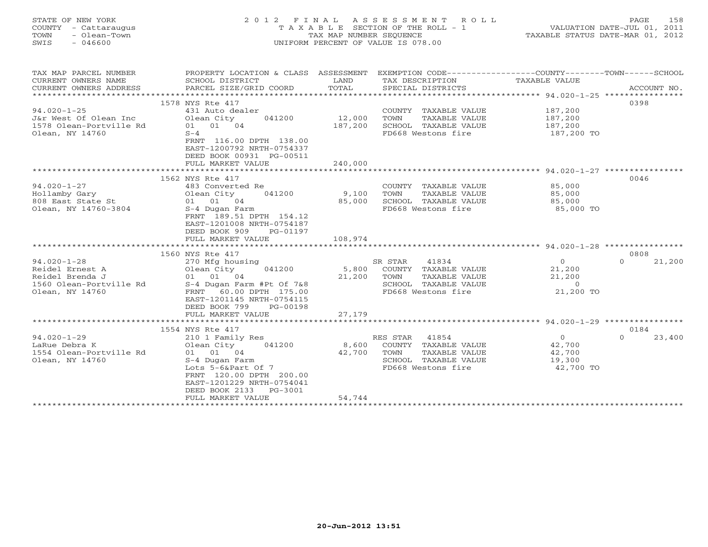| STATE OF NEW YORK<br>COUNTY<br>- Cattaraugus<br>- Olean-Town<br>TOWN<br>SWIS<br>- 046600 |                                                                        | TAX MAP NUMBER SEOUENCE     | 2012 FINAL ASSESSMENT ROLL<br>T A X A B L E SECTION OF THE ROLL - 1<br>UNIFORM PERCENT OF VALUE IS 078.00 | PAGE<br>VALUATION DATE-JUL 01, 2011<br>TAXABLE STATUS DATE-MAR 01, 2012 | 158                    |
|------------------------------------------------------------------------------------------|------------------------------------------------------------------------|-----------------------------|-----------------------------------------------------------------------------------------------------------|-------------------------------------------------------------------------|------------------------|
| TAX MAP PARCEL NUMBER<br>CURRENT OWNERS NAME<br>CURRENT OWNERS ADDRESS                   | PROPERTY LOCATION & CLASS<br>SCHOOL DISTRICT<br>PARCEL SIZE/GRID COORD | ASSESSMENT<br>LAND<br>TOTAL | EXEMPTION CODE----------------<br>TAX DESCRIPTION<br>SPECIAL DISTRICTS                                    | -COUNTY---<br>$-$ TOWN $-$<br>TAXABLE VALUE                             | -SCHOOL<br>ACCOUNT NO. |

|                                                                                                       | 1578 NYS Rte 417                                                                                                                                                                                                           |                                                                                                                                               | 0398                                                                                    |
|-------------------------------------------------------------------------------------------------------|----------------------------------------------------------------------------------------------------------------------------------------------------------------------------------------------------------------------------|-----------------------------------------------------------------------------------------------------------------------------------------------|-----------------------------------------------------------------------------------------|
| $94.020 - 1 - 25$<br>J&r West Of Olean Inc<br>1578 Olean-Portville Rd<br>Olean, NY 14760              | 431 Auto dealer<br>Olean City<br>041200<br>01 01 04<br>$S-4$<br>FRNT 116.00 DPTH 138.00<br>EAST-1200792 NRTH-0754337<br>DEED BOOK 00931 PG-00511<br>FULL MARKET VALUE                                                      | COUNTY TAXABLE VALUE<br>12,000<br>TAXABLE VALUE<br>TOWN<br>187,200<br>SCHOOL TAXABLE VALUE<br>FD668 Westons fire<br>240,000                   | 187,200<br>187,200<br>187,200<br>187,200 TO                                             |
|                                                                                                       | ***********************                                                                                                                                                                                                    |                                                                                                                                               | *********************** 94.020-1-27 ****************                                    |
|                                                                                                       | 1562 NYS Rte 417                                                                                                                                                                                                           |                                                                                                                                               | 0046                                                                                    |
| $94.020 - 1 - 27$<br>Hollamby Gary<br>808 East State St<br>Olean, NY 14760-3804                       | 483 Converted Re<br>041200<br>Olean City<br>01 01 04<br>S-4 Dugan Farm<br>FRNT 189.51 DPTH 154.12<br>EAST-1201008 NRTH-0754187<br>DEED BOOK 909<br>PG-01197                                                                | COUNTY TAXABLE VALUE<br>9,100<br>TOWN<br>TAXABLE VALUE<br>85,000<br>SCHOOL TAXABLE VALUE<br>FD668 Westons fire                                | 85,000<br>85,000<br>85,000<br>85,000 TO                                                 |
|                                                                                                       | FULL MARKET VALUE                                                                                                                                                                                                          | 108,974                                                                                                                                       |                                                                                         |
|                                                                                                       |                                                                                                                                                                                                                            |                                                                                                                                               |                                                                                         |
|                                                                                                       | 1560 NYS Rte 417                                                                                                                                                                                                           |                                                                                                                                               | 0808                                                                                    |
| $94.020 - 1 - 28$<br>Reidel Ernest A<br>Reidel Brenda J<br>1560 Olean-Portville Rd<br>Olean, NY 14760 | 270 Mfg housing<br>041200<br>Olean City<br>01 01 04<br>S-4 Dugan Farm #Pt Of 7&8<br>FRNT 60.00 DPTH 175.00<br>EAST-1201145 NRTH-0754115<br>DEED BOOK 799<br>PG-00198                                                       | SR STAR<br>41834<br>5,800<br>COUNTY TAXABLE VALUE<br>21,200<br>TOWN<br>TAXABLE VALUE<br>SCHOOL TAXABLE VALUE<br>FD668 Westons fire            | $\circ$<br>21,200<br>$\Omega$<br>21,200<br>21,200<br>$\overline{0}$<br>21,200 TO        |
|                                                                                                       | FULL MARKET VALUE                                                                                                                                                                                                          | 27,179                                                                                                                                        |                                                                                         |
|                                                                                                       | **************************                                                                                                                                                                                                 |                                                                                                                                               |                                                                                         |
| $94.020 - 1 - 29$<br>LaRue Debra K<br>1554 Olean-Portville Rd<br>Olean, NY 14760                      | 1554 NYS Rte 417<br>210 1 Family Res<br>Olean City<br>041200<br>01 01 04<br>S-4 Dugan Farm<br>Lots 5-6&Part Of 7<br>FRNT 120.00 DPTH 200.00<br>EAST-1201229 NRTH-0754041<br>DEED BOOK 2133<br>PG-3001<br>FULL MARKET VALUE | RES STAR<br>41854<br>8,600<br>COUNTY TAXABLE VALUE<br>42,700<br>TOWN<br>TAXABLE VALUE<br>SCHOOL TAXABLE VALUE<br>FD668 Westons fire<br>54,744 | 0184<br>$\overline{0}$<br>23,400<br>$\Omega$<br>42,700<br>42,700<br>19,300<br>42,700 TO |
|                                                                                                       |                                                                                                                                                                                                                            |                                                                                                                                               |                                                                                         |
|                                                                                                       |                                                                                                                                                                                                                            |                                                                                                                                               |                                                                                         |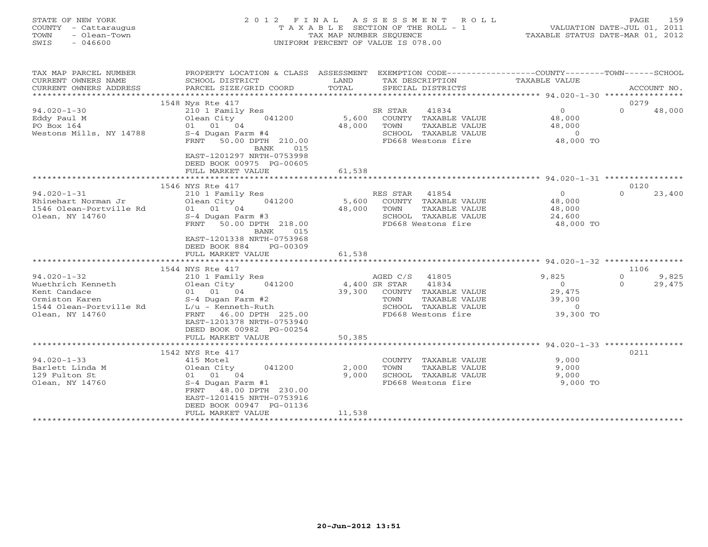| COUNTY<br>- Cattaraugus<br>TOWN<br>- Olean-Town<br>SWIS<br>$-046600$ |                                                                            | T A X A B L E SECTION OF THE ROLL - 1<br>TAX MAP NUMBER SEQUENCE<br>UNIFORM PERCENT OF VALUE IS 078.00 |                                                                                                 |                             | VALUATION DATE-JUL 01, 2011<br>TAXABLE STATUS DATE-MAR 01, 2012 |  |  |
|----------------------------------------------------------------------|----------------------------------------------------------------------------|--------------------------------------------------------------------------------------------------------|-------------------------------------------------------------------------------------------------|-----------------------------|-----------------------------------------------------------------|--|--|
| TAX MAP PARCEL NUMBER                                                |                                                                            |                                                                                                        | PROPERTY LOCATION & CLASS ASSESSMENT EXEMPTION CODE---------------COUNTY-------TOWN------SCHOOL |                             |                                                                 |  |  |
| CURRENT OWNERS NAME<br>CURRENT OWNERS ADDRESS                        | SCHOOL DISTRICT<br>PARCEL SIZE/GRID COORD                                  | LAND<br>TOTAL                                                                                          | TAX DESCRIPTION<br>SPECIAL DISTRICTS                                                            | TAXABLE VALUE               | ACCOUNT NO.                                                     |  |  |
| ********************                                                 |                                                                            |                                                                                                        |                                                                                                 |                             |                                                                 |  |  |
|                                                                      | 1548 Nys Rte 417                                                           |                                                                                                        |                                                                                                 |                             | 0279                                                            |  |  |
| $94.020 - 1 - 30$                                                    | 210 1 Family Res                                                           |                                                                                                        | SR STAR<br>41834                                                                                | $\Omega$                    | $\Omega$<br>48,000                                              |  |  |
| Eddy Paul M                                                          | 041200<br>Olean City                                                       | 5,600                                                                                                  | COUNTY TAXABLE VALUE                                                                            | 48,000                      |                                                                 |  |  |
| PO Box 164                                                           | 01 01 04                                                                   | 48,000                                                                                                 | TOWN<br>TAXABLE VALUE                                                                           | 48,000                      |                                                                 |  |  |
| Westons Mills, NY 14788                                              | S-4 Dugan Farm #4<br>FRNT 50.00 DPTH 210.00<br><b>BANK</b><br>015          |                                                                                                        | SCHOOL TAXABLE VALUE<br>FD668 Westons fire                                                      | $\overline{0}$<br>48,000 TO |                                                                 |  |  |
|                                                                      | EAST-1201297 NRTH-0753998<br>DEED BOOK 00975 PG-00605<br>FULL MARKET VALUE | 61,538                                                                                                 |                                                                                                 |                             |                                                                 |  |  |
|                                                                      | *********************                                                      | * * * * * * * * * * * * *                                                                              | ********************************* 94.020-1-31 ****************                                  |                             |                                                                 |  |  |
|                                                                      | 1546 NYS Rte 417                                                           |                                                                                                        |                                                                                                 |                             | 0120                                                            |  |  |
| $94.020 - 1 - 31$                                                    | 210 1 Family Res                                                           |                                                                                                        | RES STAR<br>41854                                                                               | $\Omega$                    | $\cap$<br>23,400                                                |  |  |
| Rhinehart Norman Jr<br>1546 Olean-Portville Rd                       | Olean City<br>041200<br>01 01 04                                           | 5,600<br>48,000                                                                                        | COUNTY TAXABLE VALUE<br>TOWN<br>TAXABLE VALUE                                                   | 48,000<br>48,000            |                                                                 |  |  |
| Olean, NY 14760                                                      | $S-4$ Dugan Farm #3                                                        |                                                                                                        | SCHOOL TAXABLE VALUE                                                                            | 24,600                      |                                                                 |  |  |
|                                                                      | FRNT 50.00 DPTH 218.00                                                     |                                                                                                        | FD668 Westons fire                                                                              | 48,000 TO                   |                                                                 |  |  |
|                                                                      | BANK<br>015                                                                |                                                                                                        |                                                                                                 |                             |                                                                 |  |  |
|                                                                      | EAST-1201338 NRTH-0753968                                                  |                                                                                                        |                                                                                                 |                             |                                                                 |  |  |
|                                                                      | DEED BOOK 884<br>PG-00309                                                  |                                                                                                        |                                                                                                 |                             |                                                                 |  |  |
|                                                                      | FULL MARKET VALUE                                                          | 61,538                                                                                                 |                                                                                                 |                             |                                                                 |  |  |
|                                                                      | 1544 NYS Rte 417                                                           |                                                                                                        |                                                                                                 |                             | 1106                                                            |  |  |
| $94.020 - 1 - 32$                                                    | 210 1 Family Res                                                           |                                                                                                        | 41805<br>AGED C/S                                                                               | 9,825                       | $\Omega$<br>9,825                                               |  |  |
| Wuethrich Kenneth                                                    | Olean City<br>041200                                                       |                                                                                                        | 4,400 SR STAR<br>41834                                                                          | $\overline{0}$              | $\Omega$<br>29,475                                              |  |  |
| Kent Candace                                                         | 01 01 04                                                                   | 39,300                                                                                                 | COUNTY TAXABLE VALUE                                                                            | 29,475                      |                                                                 |  |  |
| Ormiston Karen                                                       | $S-4$ Dugan Farm #2                                                        |                                                                                                        | TAXABLE VALUE<br>TOWN                                                                           | 39,300                      |                                                                 |  |  |
| 1544 Olean-Portville Rd                                              | $L/u$ - Kenneth-Ruth                                                       |                                                                                                        | SCHOOL TAXABLE VALUE<br>FD668 Westons fire                                                      | $\overline{0}$<br>39,300 TO |                                                                 |  |  |
| Olean, NY 14760                                                      | FRNT 46.00 DPTH 225.00<br>EAST-1201378 NRTH-0753940                        |                                                                                                        |                                                                                                 |                             |                                                                 |  |  |
|                                                                      | DEED BOOK 00982 PG-00254                                                   |                                                                                                        |                                                                                                 |                             |                                                                 |  |  |
|                                                                      | FULL MARKET VALUE                                                          | 50,385                                                                                                 |                                                                                                 |                             |                                                                 |  |  |
|                                                                      |                                                                            |                                                                                                        |                                                                                                 |                             |                                                                 |  |  |
|                                                                      | 1542 NYS Rte 417                                                           |                                                                                                        |                                                                                                 |                             | 0211                                                            |  |  |
| $94.020 - 1 - 33$                                                    | 415 Motel                                                                  |                                                                                                        | COUNTY TAXABLE VALUE                                                                            | 9,000                       |                                                                 |  |  |
| Barlett Linda M<br>129 Fulton St                                     | Olean City<br>041200                                                       | 2,000<br>9,000                                                                                         | TOWN<br>TAXABLE VALUE<br>SCHOOL TAXABLE VALUE                                                   | 9,000<br>9,000              |                                                                 |  |  |
| Olean, NY 14760                                                      | 01 01 04<br>S-4 Dugan Farm #1                                              |                                                                                                        | FD668 Westons fire                                                                              | 9,000 TO                    |                                                                 |  |  |
|                                                                      | FRNT 48.00 DPTH 230.00                                                     |                                                                                                        |                                                                                                 |                             |                                                                 |  |  |
|                                                                      | EAST-1201415 NRTH-0753916                                                  |                                                                                                        |                                                                                                 |                             |                                                                 |  |  |
|                                                                      | DEED BOOK 00947 PG-01136                                                   |                                                                                                        |                                                                                                 |                             |                                                                 |  |  |
| ***********************                                              | FULL MARKET VALUE                                                          | 11,538<br>* * * * * * * * * * * * * * * * *                                                            |                                                                                                 |                             |                                                                 |  |  |
|                                                                      |                                                                            |                                                                                                        |                                                                                                 |                             |                                                                 |  |  |

STATE OF NEW YORK 2012 FINAL ASSESSMENT ROLL PAGE 159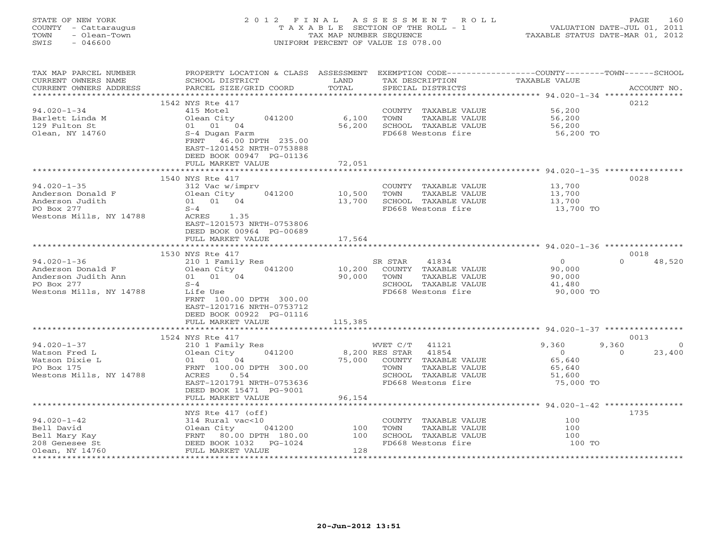#### STATE OF NEW YORK 2 0 1 2 F I N A L A S S E S S M E N T R O L L PAGE 160COUNTY - Cattaraugus T A X A B L E SECTION OF THE ROLL - 1 VALUATION DATE-JUL 01, 2011 TOWN - Olean-Town TAX MAP NUMBER SEQUENCE TAXABLE STATUS DATE-MAR 01, 2012<br>TAXABLE STATUS DATE-MAR 01, 2012 SWIS - 046600 UNIFORM PERCENT OF VALUE IS 078.00

| TAX MAP PARCEL NUMBER<br>CURRENT OWNERS NAME<br>CURRENT OWNERS ADDRESS                                 | PROPERTY LOCATION & CLASS ASSESSMENT<br>SCHOOL DISTRICT<br>PARCEL SIZE/GRID COORD                                                                                                 | LAND<br>TOTAL            | EXEMPTION CODE-----------------COUNTY-------TOWN------SCHOOL<br>TAX DESCRIPTION<br>SPECIAL DISTRICTS                          | TAXABLE VALUE                                                      | ACCOUNT NO.                             |
|--------------------------------------------------------------------------------------------------------|-----------------------------------------------------------------------------------------------------------------------------------------------------------------------------------|--------------------------|-------------------------------------------------------------------------------------------------------------------------------|--------------------------------------------------------------------|-----------------------------------------|
| ***********************<br>$94.020 - 1 - 34$<br>Barlett Linda M<br>129 Fulton St<br>Olean, NY 14760    | 1542 NYS Rte 417<br>415 Motel<br>041200<br>Olean City<br>01 01 04<br>S-4 Dugan Farm<br>FRNT 46.00 DPTH 235.00<br>EAST-1201452 NRTH-0753888                                        | 6,100<br>56,200          | COUNTY TAXABLE VALUE<br>TOWN<br>TAXABLE VALUE<br>SCHOOL TAXABLE VALUE<br>FD668 Westons fire                                   | 56,200<br>56,200<br>56,200<br>56,200 TO                            | 0212                                    |
|                                                                                                        | DEED BOOK 00947 PG-01136<br>FULL MARKET VALUE                                                                                                                                     | 72,051                   |                                                                                                                               |                                                                    |                                         |
| $94.020 - 1 - 35$<br>Anderson Donald F<br>Anderson Judith<br>PO Box 277<br>Westons Mills, NY 14788     | 1540 NYS Rte 417<br>312 Vac w/imprv<br>041200<br>Olean City<br>01 01 04<br>$S-4$<br>ACRES 1.35<br>EAST-1201573 NRTH-0753806<br>DEED BOOK 00964 PG-00689                           | 10,500<br>13,700         | COUNTY TAXABLE VALUE<br>TOWN<br>TAXABLE VALUE<br>SCHOOL TAXABLE VALUE<br>FD668 Westons fire                                   | 13,700<br>13,700<br>13,700<br>13,700 TO                            | 0028                                    |
|                                                                                                        | FULL MARKET VALUE                                                                                                                                                                 | 17,564                   |                                                                                                                               |                                                                    |                                         |
| $94.020 - 1 - 36$<br>Anderson Donald F<br>Anderson Judith Ann<br>PO Box 277<br>Westons Mills, NY 14788 | 1530 NYS Rte 417<br>210 1 Family Res<br>Olean City<br>041200<br>01 01 04<br>$S-4$<br>Life Use<br>FRNT 100.00 DPTH 300.00<br>EAST-1201716 NRTH-0753712<br>DEED BOOK 00922 PG-01116 | 10,200<br>90,000         | SR STAR<br>41834<br>COUNTY TAXABLE VALUE<br>TOWN<br>TAXABLE VALUE<br>SCHOOL TAXABLE VALUE<br>FD668 Westons fire               | $\overline{0}$<br>90,000<br>90,000<br>41,480<br>90,000 TO          | 0018<br>$\Omega$<br>48,520              |
|                                                                                                        | FULL MARKET VALUE                                                                                                                                                                 | 115,385                  |                                                                                                                               |                                                                    |                                         |
|                                                                                                        | 1524 NYS Rte 417                                                                                                                                                                  |                          |                                                                                                                               |                                                                    | 0013                                    |
| $94.020 - 1 - 37$<br>Watson Fred L<br>Watson Dixie L<br>PO Box 175<br>Westons Mills, NY 14788          | 210 1 Family Res<br>041200<br>Olean City<br>01 01 04<br>FRNT 100.00 DPTH 300.00<br>0.54<br>ACRES<br>EAST-1201791 NRTH-0753636<br>DEED BOOK 15471 PG-9001<br>FULL MARKET VALUE     | 8,200 RES STAR<br>96,154 | WVET C/T 41121<br>41854<br>75,000 COUNTY TAXABLE VALUE<br>TAXABLE VALUE<br>TOWN<br>SCHOOL TAXABLE VALUE<br>FD668 Westons fire | 9,360<br>$\overline{0}$<br>65,640<br>65,640<br>51,600<br>75,000 TO | 9,360<br>$\Omega$<br>23,400<br>$\Omega$ |
|                                                                                                        |                                                                                                                                                                                   |                          |                                                                                                                               |                                                                    |                                         |
| $94.020 - 1 - 42$<br>Bell David<br>Bell Mary Kay<br>208 Genesee St<br>Olean, NY 14760                  | NYS Rte 417 (off)<br>314 Rural vac<10<br>01ean City 041200 100<br>FRNT 80.00 DPTH 180.00 100<br>DEED BOOK 1032 PG-1024<br>FULL MARKET VALUE                                       | 128                      | COUNTY TAXABLE VALUE<br>TOWN<br>TAXABLE VALUE<br>SCHOOL TAXABLE VALUE<br>FD668 Westons fire                                   | 100<br>100<br>100<br>100 TO                                        | 1735                                    |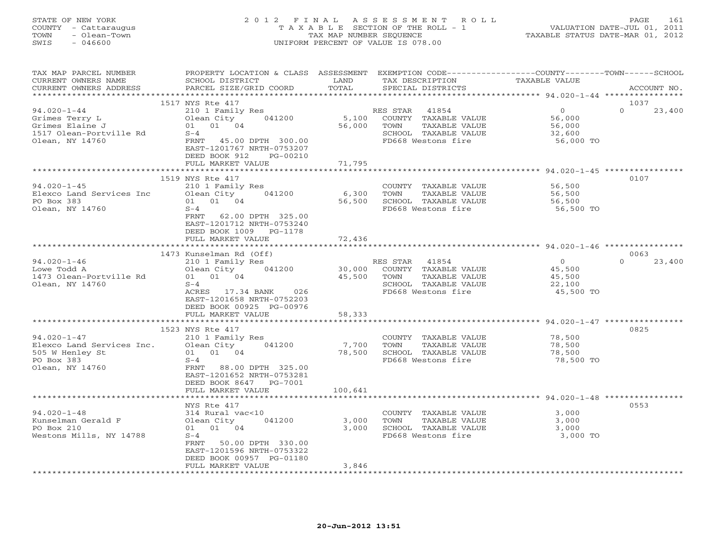#### STATE OF NEW YORK 2 0 1 2 F I N A L A S S E S S M E N T R O L L PAGE 161 COUNTY - Cattaraugus T A X A B L E SECTION OF THE ROLL - 1 VALUATION DATE-JUL 01, 2011 TOWN - Olean-Town TAX MAP NUMBER SEQUENCE TAXABLE STATUS DATE-MAR 01, 2012 SWIS - 046600 UNIFORM PERCENT OF VALUE IS 078.00UNIFORM PERCENT OF VALUE IS 078.00

| TAX MAP PARCEL NUMBER<br>CURRENT OWNERS NAME<br>CURRENT OWNERS ADDRESS                               | PROPERTY LOCATION & CLASS ASSESSMENT<br>SCHOOL DISTRICT<br>PARCEL SIZE/GRID COORD                                                                                        | LAND<br>TOTAL         | EXEMPTION CODE-----------------COUNTY-------TOWN------SCHOOL<br>TAX DESCRIPTION<br>SPECIAL DISTRICTS             | TAXABLE VALUE                                               | ACCOUNT NO.        |
|------------------------------------------------------------------------------------------------------|--------------------------------------------------------------------------------------------------------------------------------------------------------------------------|-----------------------|------------------------------------------------------------------------------------------------------------------|-------------------------------------------------------------|--------------------|
| *************************                                                                            |                                                                                                                                                                          |                       |                                                                                                                  |                                                             |                    |
|                                                                                                      | 1517 NYS Rte 417                                                                                                                                                         |                       |                                                                                                                  |                                                             | 1037               |
| $94.020 - 1 - 44$<br>Grimes Terry L<br>Grimes Elaine J<br>1517 Olean-Portville Rd<br>Olean, NY 14760 | 210 1 Family Res<br>Olean City<br>041200<br>01 01 04<br>$S-4$<br>FRNT 45.00 DPTH 300.00<br>EAST-1201767 NRTH-0753207<br>DEED BOOK 912<br>PG-00210                        | 5,100<br>56,000       | RES STAR<br>41854<br>COUNTY TAXABLE VALUE<br>TAXABLE VALUE<br>TOWN<br>SCHOOL TAXABLE VALUE<br>FD668 Westons fire | $\overline{0}$<br>56,000<br>56,000<br>32,600<br>56,000 TO   | $\Omega$<br>23,400 |
|                                                                                                      | FULL MARKET VALUE                                                                                                                                                        | 71,795                |                                                                                                                  |                                                             |                    |
|                                                                                                      |                                                                                                                                                                          | * * * * * * * * * * * |                                                                                                                  | ******************************* 94.020-1-45 *************** |                    |
| $94.020 - 1 - 45$<br>Elexco Land Services Inc<br>PO Box 383<br>Olean, NY 14760                       | 1519 NYS Rte 417<br>210 1 Family Res<br>041200<br>Olean City<br>01 01 04<br>$S-4$<br>62.00 DPTH 325.00<br>FRNT<br>EAST-1201712 NRTH-0753240<br>DEED BOOK 1009<br>PG-1178 | 6,300<br>56,500       | COUNTY TAXABLE VALUE<br>TOWN<br>TAXABLE VALUE<br>SCHOOL TAXABLE VALUE<br>FD668 Westons fire                      | 56,500<br>56,500<br>56,500<br>56,500 TO                     | 0107               |
|                                                                                                      | FULL MARKET VALUE                                                                                                                                                        | 72,436                |                                                                                                                  |                                                             |                    |
|                                                                                                      |                                                                                                                                                                          |                       |                                                                                                                  |                                                             |                    |
|                                                                                                      | 1473 Kunselman Rd (Off)                                                                                                                                                  |                       |                                                                                                                  |                                                             | 0063               |
| $94.020 - 1 - 46$<br>Lowe Todd A<br>1473 Olean-Portville Rd<br>Olean, NY 14760                       | 210 1 Family Res<br>041200<br>Olean City<br>01 01 04<br>$S-4$<br>ACRES 17.34 BANK<br>026<br>EAST-1201658 NRTH-0752203<br>DEED BOOK 00925 PG-00976                        | 30,000<br>45,500      | 41854<br>RES STAR<br>COUNTY TAXABLE VALUE<br>TOWN<br>TAXABLE VALUE<br>SCHOOL TAXABLE VALUE<br>FD668 Westons fire | $\overline{0}$<br>45,500<br>45,500<br>22,100<br>45,500 TO   | $\Omega$<br>23,400 |
|                                                                                                      | FULL MARKET VALUE                                                                                                                                                        | 58,333                |                                                                                                                  |                                                             |                    |
|                                                                                                      |                                                                                                                                                                          |                       |                                                                                                                  |                                                             |                    |
|                                                                                                      | 1523 NYS Rte 417                                                                                                                                                         |                       |                                                                                                                  |                                                             | 0825               |
| $94.020 - 1 - 47$<br>Elexco Land Services Inc.<br>505 W Henley St<br>PO Box 383<br>Olean, NY 14760   | 210 1 Family Res<br>041200<br>Olean City<br>01 01 04<br>$S-4$<br>FRNT<br>88.00 DPTH 325.00<br>EAST-1201652 NRTH-0753281<br>DEED BOOK 8647<br>PG-7001                     | 7,700<br>78,500       | COUNTY TAXABLE VALUE<br>TOWN<br>TAXABLE VALUE<br>SCHOOL TAXABLE VALUE<br>FD668 Westons fire                      | 78,500<br>78,500<br>78,500<br>78,500 TO                     |                    |
|                                                                                                      | FULL MARKET VALUE                                                                                                                                                        | 100,641               |                                                                                                                  |                                                             |                    |
|                                                                                                      | * * * * * * * * * * * * * * * * * *                                                                                                                                      |                       |                                                                                                                  |                                                             |                    |
| $94.020 - 1 - 48$<br>Kunselman Gerald F<br>PO Box 210<br>Westons Mills, NY 14788                     | NYS Rte 417<br>314 Rural vac<10<br>Olean City<br>041200<br>01 01 04<br>$S-4$<br>FRNT<br>50.00 DPTH 330.00<br>EAST-1201596 NRTH-0753322<br>DEED BOOK 00957 PG-01180       | 3,000<br>3.000        | COUNTY TAXABLE VALUE<br>TOWN<br>TAXABLE VALUE<br>SCHOOL TAXABLE VALUE<br>FD668 Westons fire                      | 3,000<br>3,000<br>3,000<br>3,000 TO                         | 0553               |
|                                                                                                      | FULL MARKET VALUE                                                                                                                                                        | 3,846                 |                                                                                                                  |                                                             |                    |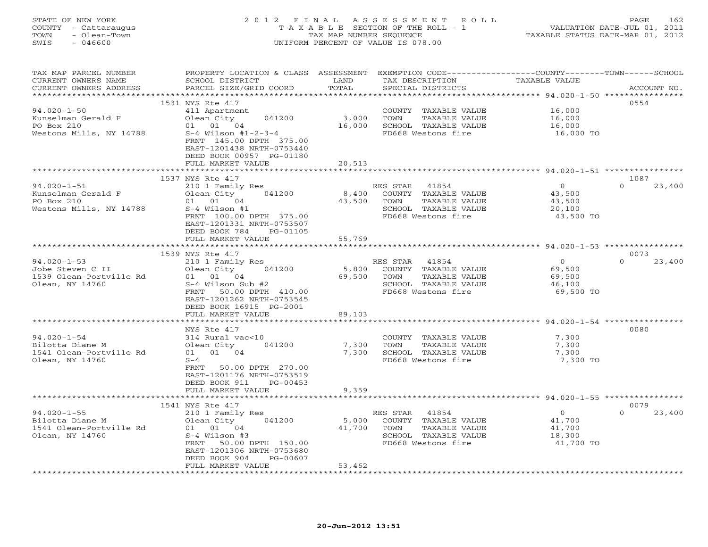### STATE OF NEW YORK 2 0 1 2 F I N A L A S S E S S M E N T R O L L PAGE 162 COUNTY - Cattaraugus T A X A B L E SECTION OF THE ROLL - 1 VALUATION DATE-JUL 01, 2011 TOWN - Olean-Town TAX MAP NUMBER SEQUENCE TAXABLE STATUS DATE-MAR 01, 2012 SWIS - 046600 UNIFORM PERCENT OF VALUE IS 078.00UNIFORM PERCENT OF VALUE IS 078.00

| TOTAL<br>CURRENT OWNERS ADDRESS<br>PARCEL SIZE/GRID COORD<br>SPECIAL DISTRICTS<br>ACCOUNT NO.<br>*************************<br>1531 NYS Rte 417<br>0554<br>$94.020 - 1 - 50$<br>16,000<br>411 Apartment<br>COUNTY TAXABLE VALUE<br>Kunselman Gerald F<br>Olean City<br>041200<br>3,000<br>TOWN<br>16,000<br>TAXABLE VALUE<br>PO Box 210<br>01 01 04<br>SCHOOL TAXABLE VALUE<br>16,000<br>16,000<br>Westons Mills, NY 14788<br>$S-4$ Wilson #1-2-3-4<br>FD668 Westons fire<br>16,000 TO<br>FRNT 145.00 DPTH 375.00<br>EAST-1201438 NRTH-0753440<br>DEED BOOK 00957 PG-01180<br>FULL MARKET VALUE<br>20,513<br>*********************** 94.020-1-51 *****************<br>*******<br>1537 NYS Rte 417<br>1087<br>$94.020 - 1 - 51$<br>$\overline{O}$<br>$\Omega$<br>210 1 Family Res<br>RES STAR<br>41854<br>23,400<br>Kunselman Gerald F<br>Olean City<br>041200<br>8,400<br>COUNTY TAXABLE VALUE<br>43,500<br>PO Box 210<br>01 01 04<br>43,500<br>TOWN<br>TAXABLE VALUE<br>43,500<br>Westons Mills, NY 14788<br>$S-4$ Wilson #1<br>SCHOOL TAXABLE VALUE<br>20,100<br>FRNT 100.00 DPTH 375.00<br>FD668 Westons fire<br>43,500 TO<br>EAST-1201331 NRTH-0753507<br>DEED BOOK 784<br>PG-01105<br>55,769<br>FULL MARKET VALUE<br>1539 NYS Rte 417<br>0073<br>$94.020 - 1 - 53$<br>$\circ$<br>$\Omega$<br>210 1 Family Res<br>23,400<br>RES STAR 41854<br>Jobe Steven C II<br>041200<br>5,800<br>COUNTY TAXABLE VALUE<br>69,500<br>Olean City<br>1539 Olean-Portville Rd<br>01 01 04<br>69,500<br>TOWN<br>TAXABLE VALUE<br>69,500<br>Olean, NY 14760<br>S-4 Wilson Sub #2<br>SCHOOL TAXABLE VALUE<br>46,100<br>FD668 Westons fire<br>FRNT<br>50.00 DPTH 410.00<br>69,500 TO<br>EAST-1201262 NRTH-0753545<br>DEED BOOK 16915 PG-2001<br>FULL MARKET VALUE<br>89,103<br>0080<br>NYS Rte 417<br>$94.020 - 1 - 54$<br>314 Rural vac<10<br>COUNTY TAXABLE VALUE<br>7,300<br>Bilotta Diane M<br>Olean City<br>041200<br>7,300<br>TOWN<br>TAXABLE VALUE<br>7,300<br>01 01 04<br>7,300<br>1541 Olean-Portville Rd<br>SCHOOL TAXABLE VALUE<br>7,300<br>Olean, NY 14760<br>$S-4$<br>FD668 Westons fire<br>7,300 TO<br>50.00 DPTH 270.00<br>FRNT<br>EAST-1201176 NRTH-0753519<br>PG-00453<br>DEED BOOK 911<br>9,359<br>FULL MARKET VALUE<br>1541 NYS Rte 417<br>0079<br>$94.020 - 1 - 55$<br>$\circ$<br>$\Omega$<br>210 1 Family Res<br>RES STAR<br>41854<br>23,400<br>Bilotta Diane M<br>Olean City<br>041200<br>5,000<br>COUNTY TAXABLE VALUE<br>41,700<br>1541 Olean-Portville Rd<br>01 01 04<br>41,700<br>TOWN<br>TAXABLE VALUE<br>41,700<br>Olean, NY 14760<br>$S-4$ Wilson #3<br>SCHOOL TAXABLE VALUE<br>18,300<br>FRNT 50.00 DPTH 150.00<br>FD668 Westons fire<br>41,700 TO<br>EAST-1201306 NRTH-0753680<br>PG-00607<br>DEED BOOK 904<br>53,462<br>FULL MARKET VALUE | TAX MAP PARCEL NUMBER<br>CURRENT OWNERS NAME | PROPERTY LOCATION & CLASS ASSESSMENT EXEMPTION CODE---------------COUNTY-------TOWN------SCHOOL<br>SCHOOL DISTRICT | LAND | TAX DESCRIPTION | TAXABLE VALUE |  |
|---------------------------------------------------------------------------------------------------------------------------------------------------------------------------------------------------------------------------------------------------------------------------------------------------------------------------------------------------------------------------------------------------------------------------------------------------------------------------------------------------------------------------------------------------------------------------------------------------------------------------------------------------------------------------------------------------------------------------------------------------------------------------------------------------------------------------------------------------------------------------------------------------------------------------------------------------------------------------------------------------------------------------------------------------------------------------------------------------------------------------------------------------------------------------------------------------------------------------------------------------------------------------------------------------------------------------------------------------------------------------------------------------------------------------------------------------------------------------------------------------------------------------------------------------------------------------------------------------------------------------------------------------------------------------------------------------------------------------------------------------------------------------------------------------------------------------------------------------------------------------------------------------------------------------------------------------------------------------------------------------------------------------------------------------------------------------------------------------------------------------------------------------------------------------------------------------------------------------------------------------------------------------------------------------------------------------------------------------------------------------------------------------------------------------------------------------------------------------------------------------------------------------------------------------------------------------------------------------------------------------------------------------------------------------------------------------------------------------------------------------------|----------------------------------------------|--------------------------------------------------------------------------------------------------------------------|------|-----------------|---------------|--|
|                                                                                                                                                                                                                                                                                                                                                                                                                                                                                                                                                                                                                                                                                                                                                                                                                                                                                                                                                                                                                                                                                                                                                                                                                                                                                                                                                                                                                                                                                                                                                                                                                                                                                                                                                                                                                                                                                                                                                                                                                                                                                                                                                                                                                                                                                                                                                                                                                                                                                                                                                                                                                                                                                                                                                         |                                              |                                                                                                                    |      |                 |               |  |
|                                                                                                                                                                                                                                                                                                                                                                                                                                                                                                                                                                                                                                                                                                                                                                                                                                                                                                                                                                                                                                                                                                                                                                                                                                                                                                                                                                                                                                                                                                                                                                                                                                                                                                                                                                                                                                                                                                                                                                                                                                                                                                                                                                                                                                                                                                                                                                                                                                                                                                                                                                                                                                                                                                                                                         |                                              |                                                                                                                    |      |                 |               |  |
|                                                                                                                                                                                                                                                                                                                                                                                                                                                                                                                                                                                                                                                                                                                                                                                                                                                                                                                                                                                                                                                                                                                                                                                                                                                                                                                                                                                                                                                                                                                                                                                                                                                                                                                                                                                                                                                                                                                                                                                                                                                                                                                                                                                                                                                                                                                                                                                                                                                                                                                                                                                                                                                                                                                                                         |                                              |                                                                                                                    |      |                 |               |  |
|                                                                                                                                                                                                                                                                                                                                                                                                                                                                                                                                                                                                                                                                                                                                                                                                                                                                                                                                                                                                                                                                                                                                                                                                                                                                                                                                                                                                                                                                                                                                                                                                                                                                                                                                                                                                                                                                                                                                                                                                                                                                                                                                                                                                                                                                                                                                                                                                                                                                                                                                                                                                                                                                                                                                                         |                                              |                                                                                                                    |      |                 |               |  |
|                                                                                                                                                                                                                                                                                                                                                                                                                                                                                                                                                                                                                                                                                                                                                                                                                                                                                                                                                                                                                                                                                                                                                                                                                                                                                                                                                                                                                                                                                                                                                                                                                                                                                                                                                                                                                                                                                                                                                                                                                                                                                                                                                                                                                                                                                                                                                                                                                                                                                                                                                                                                                                                                                                                                                         |                                              |                                                                                                                    |      |                 |               |  |
|                                                                                                                                                                                                                                                                                                                                                                                                                                                                                                                                                                                                                                                                                                                                                                                                                                                                                                                                                                                                                                                                                                                                                                                                                                                                                                                                                                                                                                                                                                                                                                                                                                                                                                                                                                                                                                                                                                                                                                                                                                                                                                                                                                                                                                                                                                                                                                                                                                                                                                                                                                                                                                                                                                                                                         |                                              |                                                                                                                    |      |                 |               |  |
|                                                                                                                                                                                                                                                                                                                                                                                                                                                                                                                                                                                                                                                                                                                                                                                                                                                                                                                                                                                                                                                                                                                                                                                                                                                                                                                                                                                                                                                                                                                                                                                                                                                                                                                                                                                                                                                                                                                                                                                                                                                                                                                                                                                                                                                                                                                                                                                                                                                                                                                                                                                                                                                                                                                                                         |                                              |                                                                                                                    |      |                 |               |  |
|                                                                                                                                                                                                                                                                                                                                                                                                                                                                                                                                                                                                                                                                                                                                                                                                                                                                                                                                                                                                                                                                                                                                                                                                                                                                                                                                                                                                                                                                                                                                                                                                                                                                                                                                                                                                                                                                                                                                                                                                                                                                                                                                                                                                                                                                                                                                                                                                                                                                                                                                                                                                                                                                                                                                                         |                                              |                                                                                                                    |      |                 |               |  |
|                                                                                                                                                                                                                                                                                                                                                                                                                                                                                                                                                                                                                                                                                                                                                                                                                                                                                                                                                                                                                                                                                                                                                                                                                                                                                                                                                                                                                                                                                                                                                                                                                                                                                                                                                                                                                                                                                                                                                                                                                                                                                                                                                                                                                                                                                                                                                                                                                                                                                                                                                                                                                                                                                                                                                         |                                              |                                                                                                                    |      |                 |               |  |
|                                                                                                                                                                                                                                                                                                                                                                                                                                                                                                                                                                                                                                                                                                                                                                                                                                                                                                                                                                                                                                                                                                                                                                                                                                                                                                                                                                                                                                                                                                                                                                                                                                                                                                                                                                                                                                                                                                                                                                                                                                                                                                                                                                                                                                                                                                                                                                                                                                                                                                                                                                                                                                                                                                                                                         |                                              |                                                                                                                    |      |                 |               |  |
|                                                                                                                                                                                                                                                                                                                                                                                                                                                                                                                                                                                                                                                                                                                                                                                                                                                                                                                                                                                                                                                                                                                                                                                                                                                                                                                                                                                                                                                                                                                                                                                                                                                                                                                                                                                                                                                                                                                                                                                                                                                                                                                                                                                                                                                                                                                                                                                                                                                                                                                                                                                                                                                                                                                                                         |                                              |                                                                                                                    |      |                 |               |  |
|                                                                                                                                                                                                                                                                                                                                                                                                                                                                                                                                                                                                                                                                                                                                                                                                                                                                                                                                                                                                                                                                                                                                                                                                                                                                                                                                                                                                                                                                                                                                                                                                                                                                                                                                                                                                                                                                                                                                                                                                                                                                                                                                                                                                                                                                                                                                                                                                                                                                                                                                                                                                                                                                                                                                                         |                                              |                                                                                                                    |      |                 |               |  |
|                                                                                                                                                                                                                                                                                                                                                                                                                                                                                                                                                                                                                                                                                                                                                                                                                                                                                                                                                                                                                                                                                                                                                                                                                                                                                                                                                                                                                                                                                                                                                                                                                                                                                                                                                                                                                                                                                                                                                                                                                                                                                                                                                                                                                                                                                                                                                                                                                                                                                                                                                                                                                                                                                                                                                         |                                              |                                                                                                                    |      |                 |               |  |
|                                                                                                                                                                                                                                                                                                                                                                                                                                                                                                                                                                                                                                                                                                                                                                                                                                                                                                                                                                                                                                                                                                                                                                                                                                                                                                                                                                                                                                                                                                                                                                                                                                                                                                                                                                                                                                                                                                                                                                                                                                                                                                                                                                                                                                                                                                                                                                                                                                                                                                                                                                                                                                                                                                                                                         |                                              |                                                                                                                    |      |                 |               |  |
|                                                                                                                                                                                                                                                                                                                                                                                                                                                                                                                                                                                                                                                                                                                                                                                                                                                                                                                                                                                                                                                                                                                                                                                                                                                                                                                                                                                                                                                                                                                                                                                                                                                                                                                                                                                                                                                                                                                                                                                                                                                                                                                                                                                                                                                                                                                                                                                                                                                                                                                                                                                                                                                                                                                                                         |                                              |                                                                                                                    |      |                 |               |  |
|                                                                                                                                                                                                                                                                                                                                                                                                                                                                                                                                                                                                                                                                                                                                                                                                                                                                                                                                                                                                                                                                                                                                                                                                                                                                                                                                                                                                                                                                                                                                                                                                                                                                                                                                                                                                                                                                                                                                                                                                                                                                                                                                                                                                                                                                                                                                                                                                                                                                                                                                                                                                                                                                                                                                                         |                                              |                                                                                                                    |      |                 |               |  |
|                                                                                                                                                                                                                                                                                                                                                                                                                                                                                                                                                                                                                                                                                                                                                                                                                                                                                                                                                                                                                                                                                                                                                                                                                                                                                                                                                                                                                                                                                                                                                                                                                                                                                                                                                                                                                                                                                                                                                                                                                                                                                                                                                                                                                                                                                                                                                                                                                                                                                                                                                                                                                                                                                                                                                         |                                              |                                                                                                                    |      |                 |               |  |
|                                                                                                                                                                                                                                                                                                                                                                                                                                                                                                                                                                                                                                                                                                                                                                                                                                                                                                                                                                                                                                                                                                                                                                                                                                                                                                                                                                                                                                                                                                                                                                                                                                                                                                                                                                                                                                                                                                                                                                                                                                                                                                                                                                                                                                                                                                                                                                                                                                                                                                                                                                                                                                                                                                                                                         |                                              |                                                                                                                    |      |                 |               |  |
|                                                                                                                                                                                                                                                                                                                                                                                                                                                                                                                                                                                                                                                                                                                                                                                                                                                                                                                                                                                                                                                                                                                                                                                                                                                                                                                                                                                                                                                                                                                                                                                                                                                                                                                                                                                                                                                                                                                                                                                                                                                                                                                                                                                                                                                                                                                                                                                                                                                                                                                                                                                                                                                                                                                                                         |                                              |                                                                                                                    |      |                 |               |  |
|                                                                                                                                                                                                                                                                                                                                                                                                                                                                                                                                                                                                                                                                                                                                                                                                                                                                                                                                                                                                                                                                                                                                                                                                                                                                                                                                                                                                                                                                                                                                                                                                                                                                                                                                                                                                                                                                                                                                                                                                                                                                                                                                                                                                                                                                                                                                                                                                                                                                                                                                                                                                                                                                                                                                                         |                                              |                                                                                                                    |      |                 |               |  |
|                                                                                                                                                                                                                                                                                                                                                                                                                                                                                                                                                                                                                                                                                                                                                                                                                                                                                                                                                                                                                                                                                                                                                                                                                                                                                                                                                                                                                                                                                                                                                                                                                                                                                                                                                                                                                                                                                                                                                                                                                                                                                                                                                                                                                                                                                                                                                                                                                                                                                                                                                                                                                                                                                                                                                         |                                              |                                                                                                                    |      |                 |               |  |
|                                                                                                                                                                                                                                                                                                                                                                                                                                                                                                                                                                                                                                                                                                                                                                                                                                                                                                                                                                                                                                                                                                                                                                                                                                                                                                                                                                                                                                                                                                                                                                                                                                                                                                                                                                                                                                                                                                                                                                                                                                                                                                                                                                                                                                                                                                                                                                                                                                                                                                                                                                                                                                                                                                                                                         |                                              |                                                                                                                    |      |                 |               |  |
|                                                                                                                                                                                                                                                                                                                                                                                                                                                                                                                                                                                                                                                                                                                                                                                                                                                                                                                                                                                                                                                                                                                                                                                                                                                                                                                                                                                                                                                                                                                                                                                                                                                                                                                                                                                                                                                                                                                                                                                                                                                                                                                                                                                                                                                                                                                                                                                                                                                                                                                                                                                                                                                                                                                                                         |                                              |                                                                                                                    |      |                 |               |  |
|                                                                                                                                                                                                                                                                                                                                                                                                                                                                                                                                                                                                                                                                                                                                                                                                                                                                                                                                                                                                                                                                                                                                                                                                                                                                                                                                                                                                                                                                                                                                                                                                                                                                                                                                                                                                                                                                                                                                                                                                                                                                                                                                                                                                                                                                                                                                                                                                                                                                                                                                                                                                                                                                                                                                                         |                                              |                                                                                                                    |      |                 |               |  |
|                                                                                                                                                                                                                                                                                                                                                                                                                                                                                                                                                                                                                                                                                                                                                                                                                                                                                                                                                                                                                                                                                                                                                                                                                                                                                                                                                                                                                                                                                                                                                                                                                                                                                                                                                                                                                                                                                                                                                                                                                                                                                                                                                                                                                                                                                                                                                                                                                                                                                                                                                                                                                                                                                                                                                         |                                              |                                                                                                                    |      |                 |               |  |
|                                                                                                                                                                                                                                                                                                                                                                                                                                                                                                                                                                                                                                                                                                                                                                                                                                                                                                                                                                                                                                                                                                                                                                                                                                                                                                                                                                                                                                                                                                                                                                                                                                                                                                                                                                                                                                                                                                                                                                                                                                                                                                                                                                                                                                                                                                                                                                                                                                                                                                                                                                                                                                                                                                                                                         |                                              |                                                                                                                    |      |                 |               |  |
|                                                                                                                                                                                                                                                                                                                                                                                                                                                                                                                                                                                                                                                                                                                                                                                                                                                                                                                                                                                                                                                                                                                                                                                                                                                                                                                                                                                                                                                                                                                                                                                                                                                                                                                                                                                                                                                                                                                                                                                                                                                                                                                                                                                                                                                                                                                                                                                                                                                                                                                                                                                                                                                                                                                                                         |                                              |                                                                                                                    |      |                 |               |  |
|                                                                                                                                                                                                                                                                                                                                                                                                                                                                                                                                                                                                                                                                                                                                                                                                                                                                                                                                                                                                                                                                                                                                                                                                                                                                                                                                                                                                                                                                                                                                                                                                                                                                                                                                                                                                                                                                                                                                                                                                                                                                                                                                                                                                                                                                                                                                                                                                                                                                                                                                                                                                                                                                                                                                                         |                                              |                                                                                                                    |      |                 |               |  |
|                                                                                                                                                                                                                                                                                                                                                                                                                                                                                                                                                                                                                                                                                                                                                                                                                                                                                                                                                                                                                                                                                                                                                                                                                                                                                                                                                                                                                                                                                                                                                                                                                                                                                                                                                                                                                                                                                                                                                                                                                                                                                                                                                                                                                                                                                                                                                                                                                                                                                                                                                                                                                                                                                                                                                         |                                              |                                                                                                                    |      |                 |               |  |
|                                                                                                                                                                                                                                                                                                                                                                                                                                                                                                                                                                                                                                                                                                                                                                                                                                                                                                                                                                                                                                                                                                                                                                                                                                                                                                                                                                                                                                                                                                                                                                                                                                                                                                                                                                                                                                                                                                                                                                                                                                                                                                                                                                                                                                                                                                                                                                                                                                                                                                                                                                                                                                                                                                                                                         |                                              |                                                                                                                    |      |                 |               |  |
|                                                                                                                                                                                                                                                                                                                                                                                                                                                                                                                                                                                                                                                                                                                                                                                                                                                                                                                                                                                                                                                                                                                                                                                                                                                                                                                                                                                                                                                                                                                                                                                                                                                                                                                                                                                                                                                                                                                                                                                                                                                                                                                                                                                                                                                                                                                                                                                                                                                                                                                                                                                                                                                                                                                                                         |                                              |                                                                                                                    |      |                 |               |  |
|                                                                                                                                                                                                                                                                                                                                                                                                                                                                                                                                                                                                                                                                                                                                                                                                                                                                                                                                                                                                                                                                                                                                                                                                                                                                                                                                                                                                                                                                                                                                                                                                                                                                                                                                                                                                                                                                                                                                                                                                                                                                                                                                                                                                                                                                                                                                                                                                                                                                                                                                                                                                                                                                                                                                                         |                                              |                                                                                                                    |      |                 |               |  |
|                                                                                                                                                                                                                                                                                                                                                                                                                                                                                                                                                                                                                                                                                                                                                                                                                                                                                                                                                                                                                                                                                                                                                                                                                                                                                                                                                                                                                                                                                                                                                                                                                                                                                                                                                                                                                                                                                                                                                                                                                                                                                                                                                                                                                                                                                                                                                                                                                                                                                                                                                                                                                                                                                                                                                         |                                              |                                                                                                                    |      |                 |               |  |
|                                                                                                                                                                                                                                                                                                                                                                                                                                                                                                                                                                                                                                                                                                                                                                                                                                                                                                                                                                                                                                                                                                                                                                                                                                                                                                                                                                                                                                                                                                                                                                                                                                                                                                                                                                                                                                                                                                                                                                                                                                                                                                                                                                                                                                                                                                                                                                                                                                                                                                                                                                                                                                                                                                                                                         |                                              |                                                                                                                    |      |                 |               |  |
|                                                                                                                                                                                                                                                                                                                                                                                                                                                                                                                                                                                                                                                                                                                                                                                                                                                                                                                                                                                                                                                                                                                                                                                                                                                                                                                                                                                                                                                                                                                                                                                                                                                                                                                                                                                                                                                                                                                                                                                                                                                                                                                                                                                                                                                                                                                                                                                                                                                                                                                                                                                                                                                                                                                                                         |                                              |                                                                                                                    |      |                 |               |  |
|                                                                                                                                                                                                                                                                                                                                                                                                                                                                                                                                                                                                                                                                                                                                                                                                                                                                                                                                                                                                                                                                                                                                                                                                                                                                                                                                                                                                                                                                                                                                                                                                                                                                                                                                                                                                                                                                                                                                                                                                                                                                                                                                                                                                                                                                                                                                                                                                                                                                                                                                                                                                                                                                                                                                                         |                                              |                                                                                                                    |      |                 |               |  |
|                                                                                                                                                                                                                                                                                                                                                                                                                                                                                                                                                                                                                                                                                                                                                                                                                                                                                                                                                                                                                                                                                                                                                                                                                                                                                                                                                                                                                                                                                                                                                                                                                                                                                                                                                                                                                                                                                                                                                                                                                                                                                                                                                                                                                                                                                                                                                                                                                                                                                                                                                                                                                                                                                                                                                         |                                              |                                                                                                                    |      |                 |               |  |
|                                                                                                                                                                                                                                                                                                                                                                                                                                                                                                                                                                                                                                                                                                                                                                                                                                                                                                                                                                                                                                                                                                                                                                                                                                                                                                                                                                                                                                                                                                                                                                                                                                                                                                                                                                                                                                                                                                                                                                                                                                                                                                                                                                                                                                                                                                                                                                                                                                                                                                                                                                                                                                                                                                                                                         |                                              |                                                                                                                    |      |                 |               |  |
|                                                                                                                                                                                                                                                                                                                                                                                                                                                                                                                                                                                                                                                                                                                                                                                                                                                                                                                                                                                                                                                                                                                                                                                                                                                                                                                                                                                                                                                                                                                                                                                                                                                                                                                                                                                                                                                                                                                                                                                                                                                                                                                                                                                                                                                                                                                                                                                                                                                                                                                                                                                                                                                                                                                                                         |                                              |                                                                                                                    |      |                 |               |  |
|                                                                                                                                                                                                                                                                                                                                                                                                                                                                                                                                                                                                                                                                                                                                                                                                                                                                                                                                                                                                                                                                                                                                                                                                                                                                                                                                                                                                                                                                                                                                                                                                                                                                                                                                                                                                                                                                                                                                                                                                                                                                                                                                                                                                                                                                                                                                                                                                                                                                                                                                                                                                                                                                                                                                                         |                                              |                                                                                                                    |      |                 |               |  |
|                                                                                                                                                                                                                                                                                                                                                                                                                                                                                                                                                                                                                                                                                                                                                                                                                                                                                                                                                                                                                                                                                                                                                                                                                                                                                                                                                                                                                                                                                                                                                                                                                                                                                                                                                                                                                                                                                                                                                                                                                                                                                                                                                                                                                                                                                                                                                                                                                                                                                                                                                                                                                                                                                                                                                         |                                              |                                                                                                                    |      |                 |               |  |
|                                                                                                                                                                                                                                                                                                                                                                                                                                                                                                                                                                                                                                                                                                                                                                                                                                                                                                                                                                                                                                                                                                                                                                                                                                                                                                                                                                                                                                                                                                                                                                                                                                                                                                                                                                                                                                                                                                                                                                                                                                                                                                                                                                                                                                                                                                                                                                                                                                                                                                                                                                                                                                                                                                                                                         |                                              |                                                                                                                    |      |                 |               |  |
|                                                                                                                                                                                                                                                                                                                                                                                                                                                                                                                                                                                                                                                                                                                                                                                                                                                                                                                                                                                                                                                                                                                                                                                                                                                                                                                                                                                                                                                                                                                                                                                                                                                                                                                                                                                                                                                                                                                                                                                                                                                                                                                                                                                                                                                                                                                                                                                                                                                                                                                                                                                                                                                                                                                                                         |                                              |                                                                                                                    |      |                 |               |  |
|                                                                                                                                                                                                                                                                                                                                                                                                                                                                                                                                                                                                                                                                                                                                                                                                                                                                                                                                                                                                                                                                                                                                                                                                                                                                                                                                                                                                                                                                                                                                                                                                                                                                                                                                                                                                                                                                                                                                                                                                                                                                                                                                                                                                                                                                                                                                                                                                                                                                                                                                                                                                                                                                                                                                                         |                                              |                                                                                                                    |      |                 |               |  |
|                                                                                                                                                                                                                                                                                                                                                                                                                                                                                                                                                                                                                                                                                                                                                                                                                                                                                                                                                                                                                                                                                                                                                                                                                                                                                                                                                                                                                                                                                                                                                                                                                                                                                                                                                                                                                                                                                                                                                                                                                                                                                                                                                                                                                                                                                                                                                                                                                                                                                                                                                                                                                                                                                                                                                         |                                              |                                                                                                                    |      |                 |               |  |
|                                                                                                                                                                                                                                                                                                                                                                                                                                                                                                                                                                                                                                                                                                                                                                                                                                                                                                                                                                                                                                                                                                                                                                                                                                                                                                                                                                                                                                                                                                                                                                                                                                                                                                                                                                                                                                                                                                                                                                                                                                                                                                                                                                                                                                                                                                                                                                                                                                                                                                                                                                                                                                                                                                                                                         |                                              |                                                                                                                    |      |                 |               |  |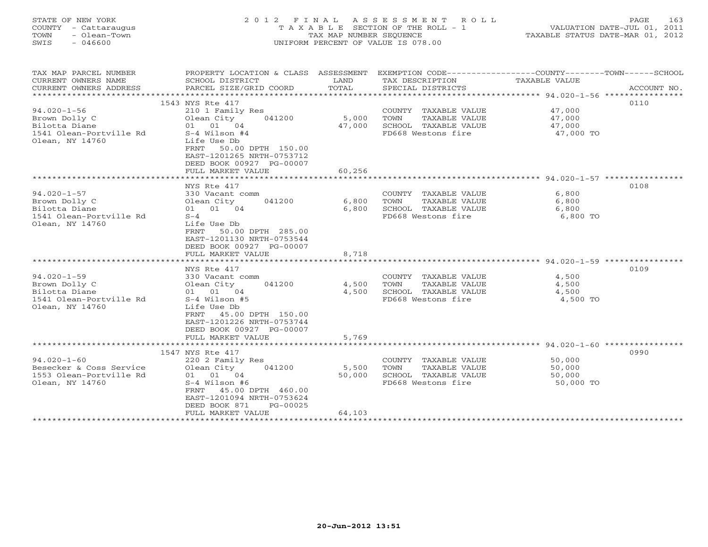| TOWN<br>SWIS | STATE OF NEW YORK<br>COUNTY - Cattaraugus<br>- Olean-Town<br>- 046600 |                                                          |              | 2012 FINAL ASSESSMENT ROLL<br>T A X A B L E SECTION OF THE ROLL - 1<br>TAX MAP NUMBER SEOUENCE<br>UNIFORM PERCENT OF VALUE IS 078.00 | TAXABLE STATUS DATE-MAR 01, 2012                                  | PAGE<br>VALUATION DATE-JUL 01, 2011 | 163     |
|--------------|-----------------------------------------------------------------------|----------------------------------------------------------|--------------|--------------------------------------------------------------------------------------------------------------------------------------|-------------------------------------------------------------------|-------------------------------------|---------|
|              | TAX MAP PARCEL NUMBER<br>$C$ ים אי הדאס החווים מידודי                 | PROPERTY LOCATION & CLASS ASSESSMENT<br>CAUOOI DICTORIAM | <b>TANTO</b> | ENV DECOPTORION                                                                                                                      | EXEMPTION CODE-----------------COUNTY------<br>סוז דגזו סדם השגרת | $-$ TOWN $-$                        | -SCHOOL |

| CURRENT OWNERS NAME     | SCHOOL DISTRICT                  | LAND                    | TAX DESCRIPTION              | TAXABLE VALUE                                             |             |
|-------------------------|----------------------------------|-------------------------|------------------------------|-----------------------------------------------------------|-------------|
| CURRENT OWNERS ADDRESS  | PARCEL SIZE/GRID COORD           | TOTAL                   | SPECIAL DISTRICTS            |                                                           | ACCOUNT NO. |
| *******************     | **************************       |                         |                              |                                                           |             |
|                         | 1543 NYS Rte 417                 |                         |                              |                                                           | 0110        |
| $94.020 - 1 - 56$       | 210 1 Family Res                 |                         | COUNTY TAXABLE VALUE         | 47,000                                                    |             |
| Brown Dolly C           | Olean City<br>041200             | 5,000                   | TOWN<br><b>TAXABLE VALUE</b> | 47,000                                                    |             |
| Bilotta Diane           | 01 04<br>01                      | 47,000                  | SCHOOL TAXABLE VALUE         | 47,000                                                    |             |
| 1541 Olean-Portville Rd | $S-4$ Wilson #4                  |                         | FD668 Westons fire           | 47,000 TO                                                 |             |
| Olean, NY 14760         | Life Use Db                      |                         |                              |                                                           |             |
|                         | 50.00 DPTH 150.00<br><b>FRNT</b> |                         |                              |                                                           |             |
|                         | EAST-1201265 NRTH-0753712        |                         |                              |                                                           |             |
|                         | DEED BOOK 00927 PG-00007         |                         |                              |                                                           |             |
|                         | FULL MARKET VALUE                | 60,256                  |                              |                                                           |             |
|                         |                                  |                         |                              | ****************** 94.020-1-57 *****************          |             |
|                         | NYS Rte 417                      |                         |                              |                                                           | 0108        |
| $94.020 - 1 - 57$       | 330 Vacant comm                  |                         | COUNTY<br>TAXABLE VALUE      | 6,800                                                     |             |
| Brown Dolly C           | Olean City<br>041200             | 6,800                   | <b>TAXABLE VALUE</b><br>TOWN | 6,800                                                     |             |
| Bilotta Diane           | 01<br>04<br>01                   | 6,800                   | SCHOOL TAXABLE VALUE         | 6,800                                                     |             |
| 1541 Olean-Portville Rd | $S-4$                            |                         | FD668 Westons fire           | 6,800 TO                                                  |             |
| Olean, NY 14760         | Life Use Db                      |                         |                              |                                                           |             |
|                         | 50.00 DPTH 285.00<br><b>FRNT</b> |                         |                              |                                                           |             |
|                         | EAST-1201130 NRTH-0753544        |                         |                              |                                                           |             |
|                         | DEED BOOK 00927 PG-00007         |                         |                              |                                                           |             |
|                         | FULL MARKET VALUE                |                         |                              |                                                           |             |
|                         |                                  | 8,718                   |                              | *************************** 94.020-1-59 ***************** |             |
|                         |                                  |                         |                              |                                                           |             |
|                         | NYS Rte 417                      |                         |                              |                                                           | 0109        |
| $94.020 - 1 - 59$       | 330 Vacant comm                  |                         | COUNTY TAXABLE VALUE         | 4,500                                                     |             |
| Brown Dolly C           | Olean City<br>041200             | 4,500                   | <b>TAXABLE VALUE</b><br>TOWN | 4,500                                                     |             |
| Bilotta Diane           | 01 01 04                         | 4,500                   | SCHOOL TAXABLE VALUE         | 4,500                                                     |             |
| 1541 Olean-Portville Rd | $S-4$ Wilson #5                  |                         | FD668 Westons fire           | 4,500 TO                                                  |             |
| Olean, NY 14760         | Life Use Db                      |                         |                              |                                                           |             |
|                         | 45.00 DPTH 150.00<br><b>FRNT</b> |                         |                              |                                                           |             |
|                         | EAST-1201226 NRTH-0753744        |                         |                              |                                                           |             |
|                         | DEED BOOK 00927 PG-00007         |                         |                              |                                                           |             |
|                         | FULL MARKET VALUE                | 5,769                   |                              |                                                           |             |
|                         | **************************       | * * * * * * * * * * * * |                              |                                                           |             |
|                         | 1547 NYS Rte 417                 |                         |                              |                                                           | 0990        |
| $94.020 - 1 - 60$       | 220 2 Family Res                 |                         | COUNTY<br>TAXABLE VALUE      | 50,000                                                    |             |
| Besecker & Coss Service | Olean City<br>041200             | 5,500                   | <b>TAXABLE VALUE</b><br>TOWN | 50,000                                                    |             |
| 1553 Olean-Portville Rd | 01 04<br>01                      | 50,000                  | SCHOOL TAXABLE VALUE         | 50,000                                                    |             |
| Olean, NY 14760         | $S-4$ Wilson #6                  |                         | FD668 Westons fire           | 50,000 TO                                                 |             |
|                         | <b>FRNT</b><br>45.00 DPTH 460.00 |                         |                              |                                                           |             |
|                         | EAST-1201094 NRTH-0753624        |                         |                              |                                                           |             |
|                         | DEED BOOK 871<br>PG-00025        |                         |                              |                                                           |             |
|                         | FULL MARKET VALUE                | 64,103                  |                              |                                                           |             |
|                         |                                  |                         |                              |                                                           |             |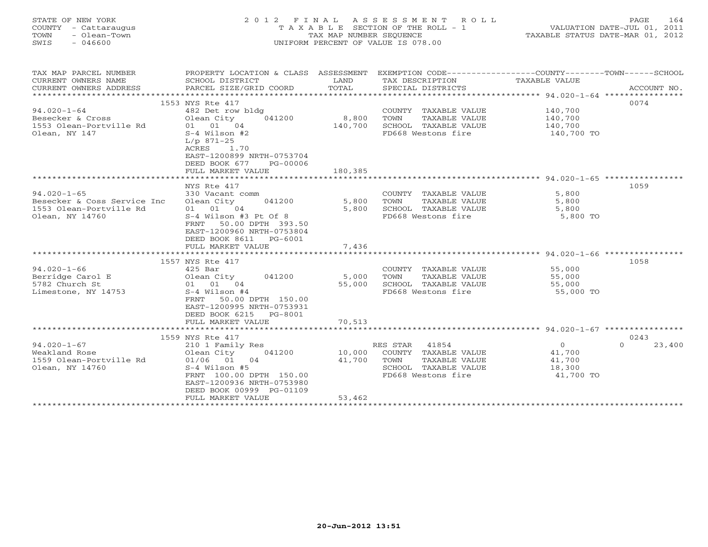| STATE OF NEW YORK<br>COUNTY - Cattaraugus<br>- Olean-Town<br>TOWN<br>SWIS<br>- 046600 | 2012 FINAL ASSESSMENT ROLL<br>T A X A B L E SECTION OF THE ROLL - 1<br>TAX MAP NUMBER SEOUENCE<br>UNIFORM PERCENT OF VALUE IS 078.00 |                                | PAGE<br>VALUATION DATE-JUL 01, 2011<br>TAXABLE STATUS DATE-MAR 01, 2012 | 164     |
|---------------------------------------------------------------------------------------|--------------------------------------------------------------------------------------------------------------------------------------|--------------------------------|-------------------------------------------------------------------------|---------|
| TAX MAP PARCEL NUMBER                                                                 | PROPERTY LOCATION & CLASS ASSESSMENT                                                                                                 | EXEMPTION CODE---------------- | -TOWN-<br>-COUNTY - - - - - -                                           | -SCHOOL |

| CURRENT OWNERS NAME         | SCHOOL DISTRICT                                        | LAND    | TAX DESCRIPTION       | TAXABLE VALUE |                    |
|-----------------------------|--------------------------------------------------------|---------|-----------------------|---------------|--------------------|
| CURRENT OWNERS ADDRESS      | PARCEL SIZE/GRID COORD                                 | TOTAL   | SPECIAL DISTRICTS     |               | ACCOUNT NO.        |
| *************************   |                                                        |         |                       |               |                    |
|                             | 1553 NYS Rte 417                                       |         |                       |               | 0074               |
| $94.020 - 1 - 64$           | 482 Det row bldg                                       |         | COUNTY TAXABLE VALUE  | 140,700       |                    |
| Besecker & Cross            | Olean City<br>041200                                   | 8,800   | TAXABLE VALUE<br>TOWN | 140,700       |                    |
| 1553 Olean-Portville Rd     | 01 01 04                                               | 140,700 | SCHOOL TAXABLE VALUE  | 140,700       |                    |
| Olean, NY 147               | $S-4$ Wilson #2                                        |         | FD668 Westons fire    | 140,700 TO    |                    |
|                             | $L/p$ 871-25                                           |         |                       |               |                    |
|                             | 1.70<br>ACRES                                          |         |                       |               |                    |
|                             | EAST-1200899 NRTH-0753704                              |         |                       |               |                    |
|                             | DEED BOOK 677<br>PG-00006                              |         |                       |               |                    |
|                             | FULL MARKET VALUE                                      | 180,385 |                       |               |                    |
|                             |                                                        |         |                       |               |                    |
| $94.020 - 1 - 65$           | NYS Rte 417<br>330 Vacant comm                         |         | COUNTY TAXABLE VALUE  | 5,800         | 1059               |
| Besecker & Coss Service Inc | Olean City<br>041200                                   | 5,800   | TAXABLE VALUE<br>TOWN | 5,800         |                    |
| 1553 Olean-Portville Rd     | $01$ $01$ $04$                                         | 5,800   | SCHOOL TAXABLE VALUE  | 5,800         |                    |
| Olean, NY 14760             | $S-4$ Wilson #3 Pt Of 8                                |         | FD668 Westons fire    | 5,800 TO      |                    |
|                             | 50.00 DPTH 393.50<br>FRNT                              |         |                       |               |                    |
|                             | EAST-1200960 NRTH-0753804                              |         |                       |               |                    |
|                             | DEED BOOK 8611<br>PG-6001                              |         |                       |               |                    |
|                             | FULL MARKET VALUE                                      | 7,436   |                       |               |                    |
|                             |                                                        |         |                       |               |                    |
|                             | 1557 NYS Rte 417                                       |         |                       |               | 1058               |
| $94.020 - 1 - 66$           | $425$ Bar                                              |         | COUNTY TAXABLE VALUE  | 55,000        |                    |
| Berridge Carol E            | Olean City<br>041200                                   | 5,000   | TAXABLE VALUE<br>TOWN | 55,000        |                    |
| 5782 Church St              | 01 01 04                                               | 55,000  | SCHOOL TAXABLE VALUE  | 55,000        |                    |
| Limestone, NY 14753         | $S-4$ Wilson #4                                        |         | FD668 Westons fire    | 55,000 TO     |                    |
|                             | FRNT<br>50.00 DPTH 150.00                              |         |                       |               |                    |
|                             | EAST-1200995 NRTH-0753931                              |         |                       |               |                    |
|                             | DEED BOOK 6215<br>PG-8001                              |         |                       |               |                    |
|                             | FULL MARKET VALUE                                      | 70,513  |                       |               |                    |
|                             |                                                        |         |                       |               |                    |
|                             | 1559 NYS Rte 417                                       |         |                       |               | 0243               |
| $94.020 - 1 - 67$           | 210 1 Family Res                                       |         | RES STAR<br>41854     | $\Omega$      | 23,400<br>$\Omega$ |
| Weakland Rose               | 041200<br>Olean City                                   | 10,000  | COUNTY TAXABLE VALUE  | 41,700        |                    |
| 1559 Olean-Portville Rd     | 01/06 01 04                                            | 41,700  | TOWN<br>TAXABLE VALUE | 41,700        |                    |
| Olean, NY 14760             | $S-4$ Wilson #5                                        |         | SCHOOL TAXABLE VALUE  | 18,300        |                    |
|                             | FRNT 100.00 DPTH 150.00                                |         | FD668 Westons fire    | 41,700 TO     |                    |
|                             | EAST-1200936 NRTH-0753980                              |         |                       |               |                    |
|                             | DEED BOOK 00999 PG-01109                               |         |                       |               |                    |
|                             | FULL MARKET VALUE<br>********************************* | 53,462  |                       |               |                    |
|                             |                                                        |         |                       |               |                    |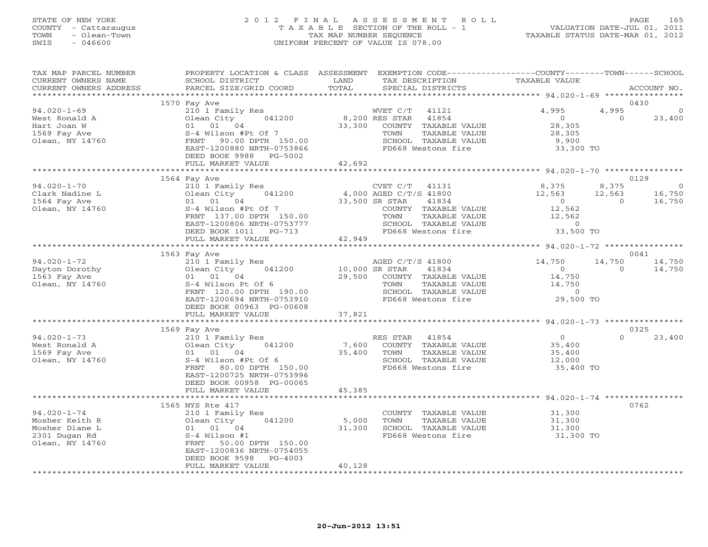#### STATE OF NEW YORK 2 0 1 2 F I N A L A S S E S S M E N T R O L L PAGE 165 COUNTY - Cattaraugus T A X A B L E SECTION OF THE ROLL - 1 VALUATION DATE-JUL 01, 2011 TOWN - Olean-Town TAX MAP NUMBER SEQUENCE TAXABLE STATUS DATE-MAR 01, 2012 SWIS - 046600 UNIFORM PERCENT OF VALUE IS 078.00UNIFORM PERCENT OF VALUE IS 078.00

| TAX MAP PARCEL NUMBER<br>CURRENT OWNERS NAME                                              | PROPERTY LOCATION & CLASS ASSESSMENT EXEMPTION CODE----------------COUNTY-------TOWN------SCHOOL<br>SCHOOL DISTRICT<br>PARCEL SIZE/GRID COORD                                                        | LAND<br>TOTAL             | TAX DESCRIPTION                                                                                                                                                    | TAXABLE VALUE                                                                 |                             | ACCOUNT NO.                                |
|-------------------------------------------------------------------------------------------|------------------------------------------------------------------------------------------------------------------------------------------------------------------------------------------------------|---------------------------|--------------------------------------------------------------------------------------------------------------------------------------------------------------------|-------------------------------------------------------------------------------|-----------------------------|--------------------------------------------|
| CURRENT OWNERS ADDRESS                                                                    |                                                                                                                                                                                                      |                           | SPECIAL DISTRICTS                                                                                                                                                  |                                                                               |                             |                                            |
| $94.020 - 1 - 69$<br>West Ronald A<br>Hart Joan W<br>1569 Fay Ave<br>Olean, NY 14760      | 1570 Fay Ave<br>210 1 Family Res<br>Olean City<br>041200<br>01 01 04<br>S-4 Wilson #Pt Of 7<br>FRNT 90.00 DPTH 150.00<br>EAST-1200880 NRTH-0753866<br>DEED BOOK 9988<br>PG-5002<br>FULL MARKET VALUE | 33,300<br>42,692          | WVET C/T<br>41121<br>8,200 RES STAR 41854<br>COUNTY TAXABLE VALUE<br>TOWN<br>TAXABLE VALUE<br>SCHOOL TAXABLE VALUE<br>FD668 Westons fire                           | 4,995<br>$\overline{0}$<br>28,305<br>28,305<br>9,900<br>33,300 TO             | 4,995<br>$\Omega$           | 0430<br>23,400                             |
|                                                                                           |                                                                                                                                                                                                      |                           |                                                                                                                                                                    |                                                                               |                             |                                            |
| $94.020 - 1 - 70$<br>Clark Nadine L<br>1564 Fay Ave<br>Olean, NY 14760                    | 1564 Fay Ave<br>210 1 Family Res<br>Olean City<br>041200<br>01 01 04<br>S-4 Wilson #Pt Of 7<br>FRNT 137.00 DPTH 150.00<br>EAST-1200806 NRTH-0753777<br>DEED BOOK 1011 PG-713                         |                           | CVET C/T 41131<br>4,000 AGED C/T/S 41800<br>33,500 SR STAR<br>41834<br>COUNTY TAXABLE VALUE<br>TOWN<br>TAXABLE VALUE<br>SCHOOL TAXABLE VALUE<br>FD668 Westons fire | 8,375<br>12,563<br>$\overline{0}$<br>12,562<br>12,562<br>$\circ$<br>33,500 TO | 8,375<br>12,563<br>$\Omega$ | 0129<br>$\overline{0}$<br>16,750<br>16,750 |
|                                                                                           | FULL MARKET VALUE                                                                                                                                                                                    | 42,949                    |                                                                                                                                                                    |                                                                               |                             |                                            |
|                                                                                           | 1563 Fay Ave                                                                                                                                                                                         |                           |                                                                                                                                                                    |                                                                               |                             | 0041                                       |
| $94.020 - 1 - 72$<br>Dayton Dorothy<br>1563 Fay Ave<br>Olean, NY 14760                    | 210 1 Family Res<br>Olean City<br>041200<br>01 01 04<br>S-4 Wilson Pt Of 6<br>FRNT 120.00 DPTH 190.00<br>EAST-1200694 NRTH-0753910<br>DEED BOOK 00963 PG-00608                                       | 10,000 SR STAR<br>29,500  | AGED C/T/S 41800<br>41834<br>COUNTY TAXABLE VALUE<br>TAXABLE VALUE<br>TOWN<br>SCHOOL TAXABLE VALUE<br>FD668 Westons fire                                           | 14,750<br>$\overline{O}$<br>14,750<br>14,750<br>$\circ$<br>29,500 TO          | 14,750<br>$\circ$           | 14,750<br>14,750                           |
|                                                                                           | FULL MARKET VALUE                                                                                                                                                                                    | 37,821                    |                                                                                                                                                                    |                                                                               |                             |                                            |
|                                                                                           | 1569 Fay Ave                                                                                                                                                                                         |                           |                                                                                                                                                                    |                                                                               |                             | 0325                                       |
| $94.020 - 1 - 73$<br>West Ronald A<br>1569 Fay Ave<br>Olean, NY 14760                     | 210 1 Family Res<br>Olean City<br>041200<br>01 01 04<br>S-4 Wilson #Pt Of 6<br>FRNT 80.00 DPTH 150.00<br>EAST-1200725 NRTH-0753996<br>DEED BOOK 00958 PG-00065                                       | 7,600<br>35,400           | RES STAR 41854<br>COUNTY TAXABLE VALUE<br>TOWN<br>TAXABLE VALUE<br>SCHOOL TAXABLE VALUE<br>FD668 Westons fire                                                      | $\overline{0}$<br>35,400<br>35,400<br>12,000<br>35,400 TO                     | $\Omega$                    | 23,400                                     |
|                                                                                           | FULL MARKET VALUE                                                                                                                                                                                    | 45,385                    |                                                                                                                                                                    |                                                                               |                             |                                            |
| $94.020 - 1 - 74$<br>Mosher Keith R<br>Mosher Diane L<br>2301 Dugan Rd<br>Olean, NY 14760 | 1565 NYS Rte 417<br>210 1 Family Res<br>Olean City<br>041200<br>01 01 04<br>S-4 Wilson #1<br>FRNT 50.00 DPTH 150.00<br>EAST-1200836 NRTH-0754055<br>DEED BOOK 9598<br>$PG-4003$<br>FULL MARKET VALUE | 5,000<br>31,300<br>40,128 | COUNTY TAXABLE VALUE<br>TAXABLE VALUE<br>TOWN<br>SCHOOL TAXABLE VALUE<br>FD668 Westons fire                                                                        | 31,300<br>31,300<br>31,300<br>31,300 TO                                       |                             | 0762                                       |
|                                                                                           |                                                                                                                                                                                                      |                           |                                                                                                                                                                    |                                                                               |                             |                                            |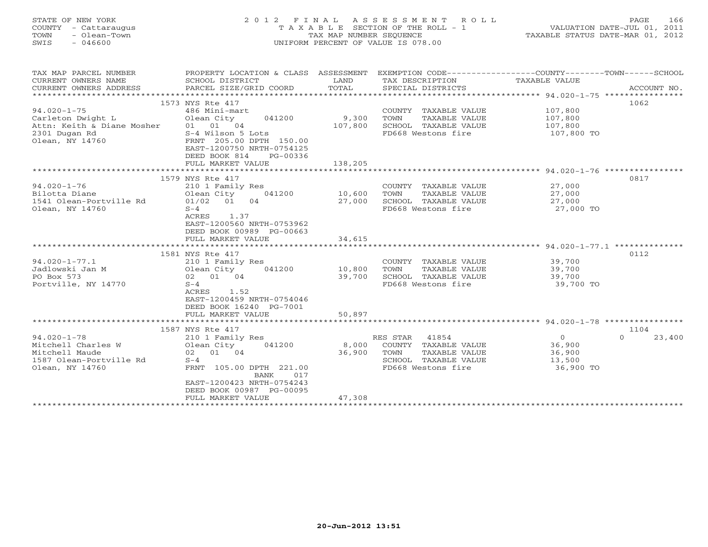| STATE OF NEW YORK    | 2012 FINAL ASSESSMENT ROLL            | 166<br><b>PAGE</b>               |
|----------------------|---------------------------------------|----------------------------------|
| COUNTY - Cattaraugus | T A X A B L E SECTION OF THE ROLL - 1 | VALUATION DATE-JUL 01, 2011      |
| - Olean-Town<br>TOWN | TAX MAP NUMBER SEOUENCE               | TAXABLE STATUS DATE-MAR 01, 2012 |
| SWIS<br>046600       | UNIFORM PERCENT OF VALUE IS 078.00    |                                  |
|                      |                                       |                                  |

| TAX MAP PARCEL NUMBER<br>CURRENT OWNERS NAME<br>CURRENT OWNERS ADDRESS | PROPERTY LOCATION & CLASS ASSESSMENT EXEMPTION CODE---------------COUNTY-------TOWN------SCHOOL<br>SCHOOL DISTRICT<br>PARCEL SIZE/GRID COORD | LAND<br>TOTAL         | TAX DESCRIPTION<br>SPECIAL DISTRICTS          | TAXABLE VALUE                                          | ACCOUNT NO.      |
|------------------------------------------------------------------------|----------------------------------------------------------------------------------------------------------------------------------------------|-----------------------|-----------------------------------------------|--------------------------------------------------------|------------------|
| *******************                                                    |                                                                                                                                              |                       |                                               |                                                        |                  |
|                                                                        | 1573 NYS Rte 417                                                                                                                             |                       |                                               |                                                        | 1062             |
| $94.020 - 1 - 75$                                                      | 486 Mini-mart                                                                                                                                |                       | COUNTY TAXABLE VALUE                          | 107,800                                                |                  |
| Carleton Dwight L                                                      | Olean City<br>041200                                                                                                                         | 9,300                 | TAXABLE VALUE<br>TOWN                         | 107,800                                                |                  |
| Attn: Keith & Diane Mosher                                             | 01 01 04                                                                                                                                     | 107,800               | SCHOOL TAXABLE VALUE                          | 107,800                                                |                  |
| 2301 Dugan Rd<br>Olean, NY 14760                                       | S-4 Wilson 5 Lots<br>FRNT 205.00 DPTH 150.00<br>EAST-1200750 NRTH-0754125<br>DEED BOOK 814<br>PG-00336                                       |                       | FD668 Westons fire                            | 107,800 TO                                             |                  |
|                                                                        | FULL MARKET VALUE                                                                                                                            | 138,205               |                                               |                                                        |                  |
|                                                                        |                                                                                                                                              |                       |                                               |                                                        |                  |
|                                                                        | 1579 NYS Rte 417                                                                                                                             |                       |                                               |                                                        | 0817             |
| $94.020 - 1 - 76$                                                      | 210 1 Family Res                                                                                                                             |                       | COUNTY TAXABLE VALUE                          | 27,000                                                 |                  |
| Bilotta Diane                                                          | Olean City<br>041200                                                                                                                         | 10,600                | TOWN<br>TAXABLE VALUE                         | 27,000                                                 |                  |
| 1541 Olean-Portville Rd                                                | $01/02$ 01<br>04                                                                                                                             | 27,000                | SCHOOL TAXABLE VALUE                          | 27,000                                                 |                  |
| Olean, NY 14760                                                        | $S-4$                                                                                                                                        |                       | FD668 Westons fire                            | 27,000 TO                                              |                  |
|                                                                        | ACRES<br>1.37<br>EAST-1200560 NRTH-0753962                                                                                                   |                       |                                               |                                                        |                  |
|                                                                        | DEED BOOK 00989 PG-00663                                                                                                                     |                       |                                               |                                                        |                  |
|                                                                        | FULL MARKET VALUE                                                                                                                            | 34,615                |                                               |                                                        |                  |
|                                                                        |                                                                                                                                              | ********************* |                                               | ************************* 94.020-1-77.1 ************** |                  |
|                                                                        | 1581 NYS Rte 417                                                                                                                             |                       |                                               |                                                        | 0112             |
| $94.020 - 1 - 77.1$                                                    | 210 1 Family Res                                                                                                                             |                       | COUNTY TAXABLE VALUE                          | 39,700                                                 |                  |
| Jadlowski Jan M                                                        | Olean City<br>041200                                                                                                                         | 10,800                | TAXABLE VALUE<br>TOWN                         | 39,700                                                 |                  |
| PO Box 573                                                             | 02 01 04                                                                                                                                     | 39,700                | SCHOOL TAXABLE VALUE                          | 39,700                                                 |                  |
| Portville, NY 14770                                                    | $S-4$                                                                                                                                        |                       | FD668 Westons fire                            | 39,700 TO                                              |                  |
|                                                                        | ACRES<br>1.52                                                                                                                                |                       |                                               |                                                        |                  |
|                                                                        | EAST-1200459 NRTH-0754046                                                                                                                    |                       |                                               |                                                        |                  |
|                                                                        | DEED BOOK 16240 PG-7001                                                                                                                      |                       |                                               |                                                        |                  |
|                                                                        | FULL MARKET VALUE                                                                                                                            | 50,897                |                                               |                                                        |                  |
|                                                                        |                                                                                                                                              |                       |                                               |                                                        |                  |
|                                                                        | 1587 NYS Rte 417                                                                                                                             |                       |                                               |                                                        | 1104             |
| $94.020 - 1 - 78$                                                      | 210 1 Family Res                                                                                                                             |                       | 41854<br>RES STAR                             | $\overline{O}$                                         | 23,400<br>$\cap$ |
| Mitchell Charles W                                                     | Olean City<br>041200                                                                                                                         | 8,000                 | COUNTY TAXABLE VALUE                          | 36,900                                                 |                  |
| Mitchell Maude<br>1587 Olean-Portville Rd                              | 02 01 04<br>$S-4$                                                                                                                            | 36,900                | TOWN<br>TAXABLE VALUE<br>SCHOOL TAXABLE VALUE | 36,900<br>13,500                                       |                  |
| Olean, NY 14760                                                        | FRNT 105.00 DPTH 221.00                                                                                                                      |                       | FD668 Westons fire                            | 36,900 TO                                              |                  |
|                                                                        | BANK<br>017                                                                                                                                  |                       |                                               |                                                        |                  |
|                                                                        | EAST-1200423 NRTH-0754243                                                                                                                    |                       |                                               |                                                        |                  |
|                                                                        | DEED BOOK 00987 PG-00095                                                                                                                     |                       |                                               |                                                        |                  |
|                                                                        | FULL MARKET VALUE<br>*******************************                                                                                         | 47,308                |                                               |                                                        |                  |
|                                                                        |                                                                                                                                              |                       |                                               |                                                        |                  |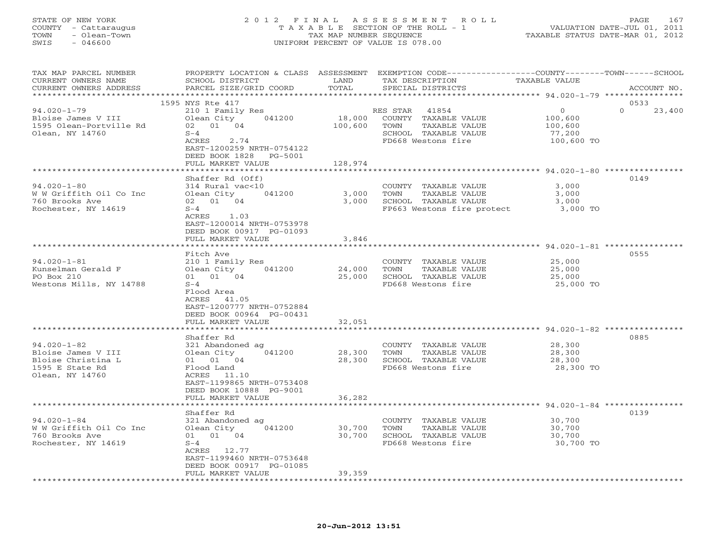#### STATE OF NEW YORK 2 0 1 2 F I N A L A S S E S S M E N T R O L L PAGE 167 COUNTY - Cattaraugus T A X A B L E SECTION OF THE ROLL - 1 VALUATION DATE-JUL 01, 2011 TOWN - Olean-Town TAX MAP NUMBER SEQUENCE TAXABLE STATUS DATE-MAR 01, 2012 SWIS - 046600 UNIFORM PERCENT OF VALUE IS 078.00UNIFORM PERCENT OF VALUE IS 078.00

| TAX MAP PARCEL NUMBER<br>CURRENT OWNERS NAME<br>CURRENT OWNERS ADDRESS                | SCHOOL DISTRICT<br>PARCEL SIZE/GRID COORD                               | LAND<br>TOTAL     | PROPERTY LOCATION & CLASS ASSESSMENT EXEMPTION CODE----------------COUNTY-------TOWN------SCHOOL<br>TAX DESCRIPTION<br>SPECIAL DISTRICTS | TAXABLE VALUE                                   | ACCOUNT NO.        |
|---------------------------------------------------------------------------------------|-------------------------------------------------------------------------|-------------------|------------------------------------------------------------------------------------------------------------------------------------------|-------------------------------------------------|--------------------|
| ***********************                                                               |                                                                         |                   |                                                                                                                                          |                                                 |                    |
|                                                                                       | 1595 NYS Rte 417                                                        |                   |                                                                                                                                          |                                                 | 0533               |
| $94.020 - 1 - 79$<br>Bloise James V III<br>1595 Olean-Portville Rd<br>Olean, NY 14760 | 210 1 Family Res<br>041200<br>Olean City<br>02 01 04<br>$S-4$           | 18,000<br>100,600 | RES STAR<br>41854<br>COUNTY TAXABLE VALUE<br>TOWN<br>TAXABLE VALUE<br>SCHOOL TAXABLE VALUE                                               | $\Omega$<br>100,600<br>100,600<br>77,200        | $\Omega$<br>23,400 |
|                                                                                       | ACRES<br>2.74<br>EAST-1200259 NRTH-0754122<br>DEED BOOK 1828<br>PG-5001 |                   | FD668 Westons fire                                                                                                                       | 100,600 TO                                      |                    |
|                                                                                       | FULL MARKET VALUE                                                       | 128,974           |                                                                                                                                          | ********************** 94.020-1-80 ************ |                    |
|                                                                                       |                                                                         |                   |                                                                                                                                          |                                                 |                    |
| $94.020 - 1 - 80$                                                                     | Shaffer Rd (Off)                                                        |                   |                                                                                                                                          |                                                 | 0149               |
| W W Griffith Oil Co Inc                                                               | 314 Rural vac<10<br>Olean City 041200                                   | 3,000             | COUNTY TAXABLE VALUE<br>TOWN<br>TAXABLE VALUE                                                                                            | 3,000<br>3,000                                  |                    |
| 760 Brooks Ave                                                                        | 02 01 04                                                                | 3,000             | SCHOOL TAXABLE VALUE                                                                                                                     | 3,000                                           |                    |
| Rochester, NY 14619                                                                   | $S-4$                                                                   |                   | FP663 Westons fire protect                                                                                                               | 3,000 TO                                        |                    |
|                                                                                       | ACRES 1.03<br>EAST-1200014 NRTH-0753978                                 |                   |                                                                                                                                          |                                                 |                    |
|                                                                                       | DEED BOOK 00917 PG-01093                                                |                   |                                                                                                                                          |                                                 |                    |
|                                                                                       | FULL MARKET VALUE                                                       | 3,846             |                                                                                                                                          |                                                 |                    |
|                                                                                       | Fitch Ave                                                               |                   |                                                                                                                                          |                                                 | 0555               |
| $94.020 - 1 - 81$                                                                     | 210 1 Family Res                                                        |                   | COUNTY TAXABLE VALUE                                                                                                                     | 25,000                                          |                    |
| Kunselman Gerald F                                                                    | 041200<br>Olean City                                                    | 24,000            | TAXABLE VALUE<br>TOWN                                                                                                                    | 25,000                                          |                    |
| PO Box 210                                                                            | 01 01 04                                                                | 25,000            | SCHOOL TAXABLE VALUE                                                                                                                     | 25,000                                          |                    |
| Westons Mills, NY 14788                                                               | $S-4$                                                                   |                   | FD668 Westons fire                                                                                                                       | 25,000 TO                                       |                    |
|                                                                                       | Flood Area                                                              |                   |                                                                                                                                          |                                                 |                    |
|                                                                                       | ACRES 41.05                                                             |                   |                                                                                                                                          |                                                 |                    |
|                                                                                       | EAST-1200777 NRTH-0752884                                               |                   |                                                                                                                                          |                                                 |                    |
|                                                                                       | DEED BOOK 00964 PG-00431                                                |                   |                                                                                                                                          |                                                 |                    |
|                                                                                       | FULL MARKET VALUE                                                       | 32,051            |                                                                                                                                          |                                                 |                    |
|                                                                                       |                                                                         | ********          | ******************************* 94.020-1-82 ****************                                                                             |                                                 |                    |
|                                                                                       | Shaffer Rd                                                              |                   |                                                                                                                                          |                                                 | 0885               |
| $94.020 - 1 - 82$                                                                     | 321 Abandoned ag                                                        |                   | COUNTY TAXABLE VALUE                                                                                                                     | 28,300                                          |                    |
| Bloise James V III                                                                    | Olean City<br>041200                                                    | 28,300            | TOWN<br>TAXABLE VALUE                                                                                                                    | 28,300                                          |                    |
| Bloise Christina L                                                                    | 01 01 04                                                                | 28,300            | SCHOOL TAXABLE VALUE                                                                                                                     | 28,300                                          |                    |
| 1595 E State Rd                                                                       | Flood Land                                                              |                   | FD668 Westons fire                                                                                                                       | 28,300 TO                                       |                    |
| Olean, NY 14760                                                                       | ACRES 11.10                                                             |                   |                                                                                                                                          |                                                 |                    |
|                                                                                       | EAST-1199865 NRTH-0753408                                               |                   |                                                                                                                                          |                                                 |                    |
|                                                                                       | DEED BOOK 10888 PG-9001<br>FULL MARKET VALUE                            | 36,282            |                                                                                                                                          |                                                 |                    |
| ************************                                                              | ******************                                                      |                   |                                                                                                                                          |                                                 |                    |
|                                                                                       | Shaffer Rd                                                              |                   |                                                                                                                                          |                                                 | 0139               |
| $94.020 - 1 - 84$                                                                     | 321 Abandoned ag                                                        |                   | COUNTY TAXABLE VALUE                                                                                                                     | 30,700                                          |                    |
| W W Griffith Oil Co Inc                                                               | Olean City<br>041200                                                    | 30,700            | TOWN<br>TAXABLE VALUE                                                                                                                    | 30,700                                          |                    |
| 760 Brooks Ave                                                                        | 01 01 04                                                                | 30,700            | SCHOOL TAXABLE VALUE                                                                                                                     | 30,700                                          |                    |
| Rochester, NY 14619                                                                   | $S-4$                                                                   |                   | FD668 Westons fire                                                                                                                       | 30,700 TO                                       |                    |
|                                                                                       | ACRES 12.77                                                             |                   |                                                                                                                                          |                                                 |                    |
|                                                                                       | EAST-1199460 NRTH-0753648                                               |                   |                                                                                                                                          |                                                 |                    |
|                                                                                       | DEED BOOK 00917 PG-01085                                                |                   |                                                                                                                                          |                                                 |                    |
|                                                                                       | FULL MARKET VALUE                                                       | 39,359            |                                                                                                                                          |                                                 |                    |
|                                                                                       | * * * * * * * * * * * * * * * * *                                       |                   | ******************************                                                                                                           |                                                 |                    |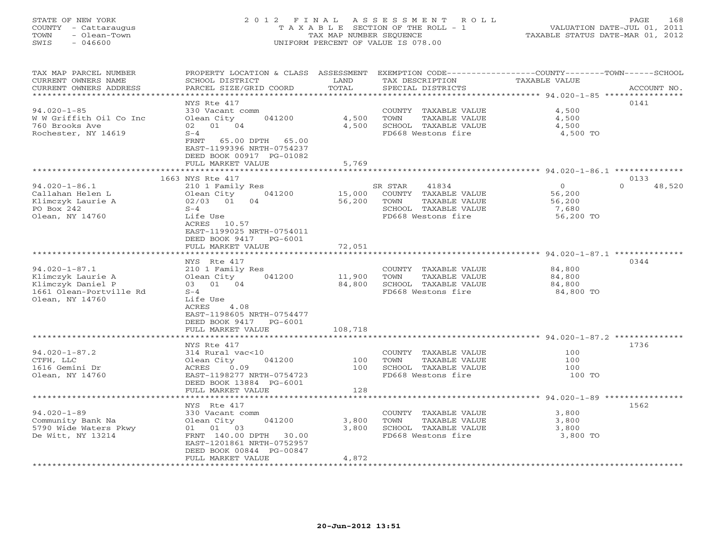### STATE OF NEW YORK 2 0 1 2 F I N A L A S S E S S M E N T R O L L PAGE 168 COUNTY - Cattaraugus T A X A B L E SECTION OF THE ROLL - 1 VALUATION DATE-JUL 01, 2011 TOWN - Olean-Town TAX MAP NUMBER SEQUENCE TAXABLE STATUS DATE-MAR 01, 2012 SWIS - 046600 UNIFORM PERCENT OF VALUE IS 078.00UNIFORM PERCENT OF VALUE IS 078.00

| TAX MAP PARCEL NUMBER<br>CURRENT OWNERS NAME     | PROPERTY LOCATION & CLASS ASSESSMENT EXEMPTION CODE---------------COUNTY-------TOWN------SCHOOL<br>SCHOOL DISTRICT | LAND     | TAX DESCRIPTION       | TAXABLE VALUE                                         |                    |
|--------------------------------------------------|--------------------------------------------------------------------------------------------------------------------|----------|-----------------------|-------------------------------------------------------|--------------------|
| CURRENT OWNERS ADDRESS<br>********************** | PARCEL SIZE/GRID COORD                                                                                             | TOTAL    | SPECIAL DISTRICTS     |                                                       | ACCOUNT NO.        |
|                                                  | NYS Rte 417                                                                                                        |          |                       |                                                       | 0141               |
| $94.020 - 1 - 85$                                | 330 Vacant comm                                                                                                    |          | COUNTY TAXABLE VALUE  | 4,500                                                 |                    |
| W W Griffith Oil Co Inc                          | 041200<br>Olean City                                                                                               | 4,500    | TAXABLE VALUE<br>TOWN | 4,500                                                 |                    |
| 760 Brooks Ave                                   | 02 01 04                                                                                                           | 4,500    | SCHOOL TAXABLE VALUE  | 4,500                                                 |                    |
| Rochester, NY 14619                              | $S-4$                                                                                                              |          | FD668 Westons fire    | 4,500 TO                                              |                    |
|                                                  | 65.00 DPTH 65.00<br>FRNT                                                                                           |          |                       |                                                       |                    |
|                                                  | EAST-1199396 NRTH-0754237                                                                                          |          |                       |                                                       |                    |
|                                                  | DEED BOOK 00917 PG-01082                                                                                           |          |                       |                                                       |                    |
|                                                  | FULL MARKET VALUE                                                                                                  | 5,769    |                       |                                                       |                    |
|                                                  |                                                                                                                    | ******** |                       |                                                       |                    |
|                                                  | 1663 NYS Rte 417                                                                                                   |          |                       |                                                       | 0133               |
| $94.020 - 1 - 86.1$                              | 210 1 Family Res                                                                                                   |          | 41834<br>SR STAR      | $\circ$                                               | $\Omega$<br>48,520 |
| Callahan Helen L                                 | Olean City<br>041200                                                                                               | 15,000   | COUNTY TAXABLE VALUE  | 56,200                                                |                    |
| Klimczyk Laurie A                                | 02/03 01<br>04                                                                                                     | 56,200   | TAXABLE VALUE<br>TOWN | 56,200                                                |                    |
| PO Box 242                                       | $S-4$                                                                                                              |          | SCHOOL TAXABLE VALUE  | 7,680                                                 |                    |
| Olean, NY 14760                                  | Life Use                                                                                                           |          | FD668 Westons fire    | 56,200 TO                                             |                    |
|                                                  | ACRES 10.57                                                                                                        |          |                       |                                                       |                    |
|                                                  | EAST-1199025 NRTH-0754011                                                                                          |          |                       |                                                       |                    |
|                                                  | DEED BOOK 9417 PG-6001                                                                                             |          |                       |                                                       |                    |
|                                                  | FULL MARKET VALUE<br>******************                                                                            | 72,051   |                       | ********************* 94.020-1-87.1 **********        |                    |
|                                                  | NYS Rte 417                                                                                                        |          |                       |                                                       | 0344               |
| $94.020 - 1 - 87.1$                              | 210 1 Family Res                                                                                                   |          | COUNTY TAXABLE VALUE  | 84,800                                                |                    |
| Klimczyk Laurie A                                | Olean City<br>041200                                                                                               | 11,900   | TAXABLE VALUE<br>TOWN | 84,800                                                |                    |
| Klimczyk Daniel P                                | 03 01 04                                                                                                           | 84,800   | SCHOOL TAXABLE VALUE  | 84,800                                                |                    |
| 1661 Olean-Portville Rd                          | $S-4$                                                                                                              |          | FD668 Westons fire    | 84,800 TO                                             |                    |
| Olean, NY 14760                                  | Life Use                                                                                                           |          |                       |                                                       |                    |
|                                                  | ACRES<br>4.08                                                                                                      |          |                       |                                                       |                    |
|                                                  | EAST-1198605 NRTH-0754477                                                                                          |          |                       |                                                       |                    |
|                                                  | DEED BOOK 9417<br>PG-6001                                                                                          |          |                       |                                                       |                    |
|                                                  | FULL MARKET VALUE                                                                                                  | 108,718  |                       |                                                       |                    |
|                                                  |                                                                                                                    |          |                       | **************************** 94.020-1-87.2 *********  |                    |
|                                                  | NYS Rte 417                                                                                                        |          |                       |                                                       | 1736               |
| $94.020 - 1 - 87.2$                              | 314 Rural vac<10                                                                                                   |          | COUNTY TAXABLE VALUE  | 100                                                   |                    |
| CTFH, LLC                                        | Olean City<br>041200                                                                                               | 100      | TOWN<br>TAXABLE VALUE | 100                                                   |                    |
| 1616 Gemini Dr                                   | ACRES<br>0.09                                                                                                      | 100      | SCHOOL TAXABLE VALUE  | 100                                                   |                    |
| Olean, NY 14760                                  | EAST-1198277 NRTH-0754723                                                                                          |          | FD668 Westons fire    | 100 TO                                                |                    |
|                                                  | DEED BOOK 13884 PG-6001                                                                                            | 128      |                       |                                                       |                    |
|                                                  | FULL MARKET VALUE<br>* * * * * * * * * * * * * * *                                                                 |          |                       | ************************ 94.020-1-89 **************** |                    |
|                                                  | NYS Rte 417                                                                                                        |          |                       |                                                       | 1562               |
| $94.020 - 1 - 89$                                | 330 Vacant comm                                                                                                    |          | COUNTY TAXABLE VALUE  | 3,800                                                 |                    |
| Community Bank Na                                | Olean City<br>041200                                                                                               | 3,800    | TOWN<br>TAXABLE VALUE | 3,800                                                 |                    |
| 5790 Wide Waters Pkwy                            | 01 01 03                                                                                                           | 3,800    | SCHOOL TAXABLE VALUE  | 3,800                                                 |                    |
| De Witt, NY 13214                                | FRNT 140.00 DPTH 30.00                                                                                             |          | FD668 Westons fire    | 3,800 TO                                              |                    |
|                                                  | EAST-1201861 NRTH-0752957                                                                                          |          |                       |                                                       |                    |
|                                                  | DEED BOOK 00844 PG-00847                                                                                           |          |                       |                                                       |                    |
|                                                  | FULL MARKET VALUE                                                                                                  | 4,872    |                       |                                                       |                    |
|                                                  |                                                                                                                    |          |                       |                                                       |                    |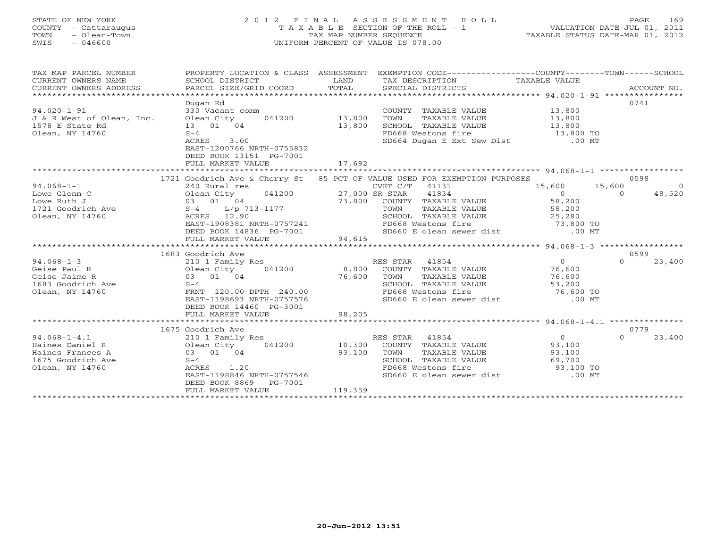### STATE OF NEW YORK 2 0 1 2 F I N A L A S S E S S M E N T R O L L PAGE 169 COUNTY - Cattaraugus T A X A B L E SECTION OF THE ROLL - 1 VALUATION DATE-JUL 01, 2011 TOWN - Olean-Town TAX MAP NUMBER SEQUENCE TAXABLE STATUS DATE-MAR 01, 2012 SWIS - 046600 UNIFORM PERCENT OF VALUE IS 078.00UNIFORM PERCENT OF VALUE IS 078.00

| TAX MAP PARCEL NUMBER<br>CURRENT OWNERS NAME<br>CURRENT OWNERS ADDRESS                              | PROPERTY LOCATION & CLASS ASSESSMENT                                                                                                                                                                                                               |                             | EXEMPTION CODE-----------------COUNTY-------TOWN------SCHOOL                                                                                                            |                                                            |                                                                |
|-----------------------------------------------------------------------------------------------------|----------------------------------------------------------------------------------------------------------------------------------------------------------------------------------------------------------------------------------------------------|-----------------------------|-------------------------------------------------------------------------------------------------------------------------------------------------------------------------|------------------------------------------------------------|----------------------------------------------------------------|
| $94.020 - 1 - 91$<br>J & R West of Olean, Inc. Olean City<br>1578 E State Rd<br>Olean, NY 14760     | Dugan Rd<br>330 Vacant comm<br>041200 13,800<br>13 01 04<br>$S-4$<br>3.00<br>ACRES<br>EAST-1200766 NRTH-0755832<br>DEED BOOK 13151 PG-7001<br>FULL MARKET VALUE                                                                                    | 13,800<br>17,692            | COUNTY TAXABLE VALUE<br>TOWN<br>TAXABLE VALUE<br>SCHOOL TAXABLE VALUE 13,800<br>FD668 Westons fire 13,800 TO<br>SD664 Dugan E Ext Sew Dist .00 MT                       | 13,800<br>13,800                                           | 0741                                                           |
|                                                                                                     |                                                                                                                                                                                                                                                    |                             |                                                                                                                                                                         |                                                            |                                                                |
| $94.068 - 1 - 1$<br>Lowe Glenn C<br>Olean, NY 14760                                                 | 1721 Goodrich Ave & Cherry St 85 PCT OF VALUE USED FOR EXEMPTION PURPOSES<br>240 Rural res<br>041200 27,000 SR STAR<br>Olean City<br>ACRES 12.90<br>EAST-1908381 NRTH-0757241<br>DEED BOOK 14836 PG-7001<br>FULL MARKET VALUE<br>1683 Goodrich Ave | 94,615                      | CVET C/T 41131<br>41834<br>73,800 COUNTY TAXABLE VALUE<br>TOWN TAXABLE VALUE<br>SCHOOL TAXABLE VALUE<br>FD668 Westons fire 73,800 TO<br>SD660 E olean sewer dist .00 MT | 15,600<br>$\overline{0}$<br>$58,200$<br>$58,200$<br>25,280 | 0598<br>15,600<br>$\overline{0}$<br>48,520<br>$\Omega$<br>0599 |
| $94.068 - 1 - 3$<br>Geise Paul R<br>Geise Paul R<br>Geise Jaime R<br>1683 Goodrich Ave<br>Auv 14760 | 210 1 Family Res<br>041200 8,800<br>Olean City<br>03 01 04<br>$S-4$<br>FRNT 120.00 DPTH 240.00<br>EAST-1198693 NRTH-0757576<br>DEED BOOK 14460 PG-3001<br>FULL MARKET VALUE                                                                        | 76,600<br>98,205            | RES STAR 41854<br>COUNTY TAXABLE VALUE<br>TOWN<br>TAXABLE VALUE<br>SCHOOL TAXABLE VALUE<br>FD668 Westons fire 76,600 TO<br>SD660 E olean sewer dist                     | $\overline{0}$<br>76,600<br>76,600<br>53,200<br>$.00$ MT   | 23,400<br>$\Omega$                                             |
| $94.068 - 1 - 4.1$<br>Haines Daniel R<br>Haines Frances A<br>1675 Goodrich Ave<br>Olean, NY 14760   | 1675 Goodrich Ave<br>210 1 Family Res<br>041200<br>Olean City<br>03 01 04<br>$S-4$<br>1.20<br>ACRES<br>EAST-1198846 NRTH-0757546<br>DEED BOOK 8869<br>PG-7001<br>FULL MARKET VALUE                                                                 | 10,300<br>93,100<br>119,359 | RES STAR 41854<br>COUNTY TAXABLE VALUE<br>TOWN<br>TAXABLE VALUE<br>SCHOOL TAXABLE VALUE<br>FD668 Westons fire<br>SD660 E olean sewer dist .00 MT                        | $\overline{0}$<br>93,100<br>93,100<br>69,700<br>93,100 TO  | 0779<br>23,400<br>$\Omega$                                     |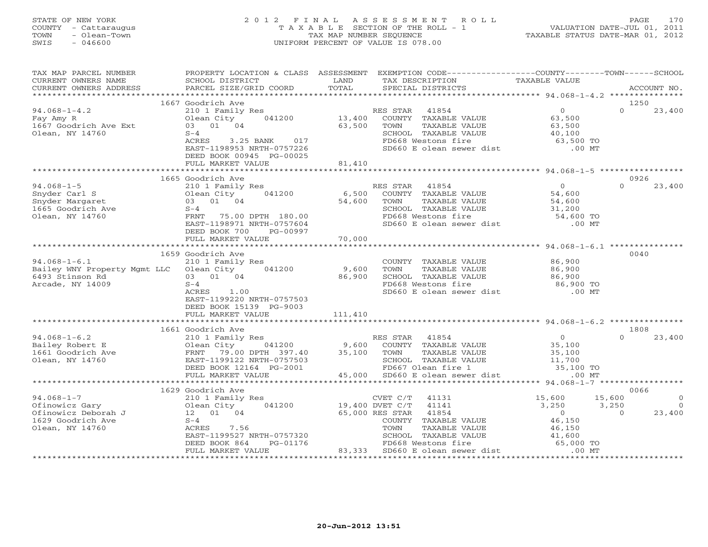#### STATE OF NEW YORK 2 0 1 2 F I N A L A S S E S S M E N T R O L L PAGE 170 COUNTY - Cattaraugus T A X A B L E SECTION OF THE ROLL - 1 VALUATION DATE-JUL 01, 2011 TOWN - Olean-Town TAX MAP NUMBER SEQUENCE TAXABLE STATUS DATE-MAR 01, 2012 SWIS - 046600 UNIFORM PERCENT OF VALUE IS 078.00UNIFORM PERCENT OF VALUE IS 078.00

| TAX MAP PARCEL NUMBER<br>CURRENT OWNERS NAME<br>CURRENT OWNERS ADDRESS                                                                                                                                                         | PROPERTY LOCATION & CLASS ASSESSMENT<br>SCHOOL DISTRICT<br>PARCEL SIZE/GRID COORD                                                                 | LAND<br>TOTAL      | EXEMPTION CODE----------------COUNTY-------TOWN------SCHOOL<br>TAX DESCRIPTION<br>SPECIAL DISTRICTS                                                                                                                                            | TAXABLE VALUE                                                   | ACCOUNT NO.                                   |                                  |
|--------------------------------------------------------------------------------------------------------------------------------------------------------------------------------------------------------------------------------|---------------------------------------------------------------------------------------------------------------------------------------------------|--------------------|------------------------------------------------------------------------------------------------------------------------------------------------------------------------------------------------------------------------------------------------|-----------------------------------------------------------------|-----------------------------------------------|----------------------------------|
|                                                                                                                                                                                                                                |                                                                                                                                                   |                    |                                                                                                                                                                                                                                                |                                                                 |                                               |                                  |
|                                                                                                                                                                                                                                | 1667 Goodrich Ave                                                                                                                                 |                    |                                                                                                                                                                                                                                                |                                                                 | 1250                                          |                                  |
| $94.068 - 1 - 4.2$<br>Fay Amy R<br>1667 Goodrich Ave Ext<br>Olean, NY 14760                                                                                                                                                    | 210 1 Family Res<br>041200<br>Olean City<br>03 01 04<br>$S-4$<br>3.25 BANK 017<br>ACRES<br>EAST-1198953 NRTH-0757226                              | 13,400<br>63,500   | RES STAR<br>41854<br>COUNTY TAXABLE VALUE<br>TAXABLE VALUE<br>TOWN<br>SCHOOL TAXABLE VALUE<br>FD668 Westons fire<br>SD660 E olean sewer dist .00 MT                                                                                            | $\overline{0}$<br>63,500<br>63,500<br>40,100<br>63,500 TO       | $\Omega$<br>23,400                            |                                  |
|                                                                                                                                                                                                                                | DEED BOOK 00945 PG-00025<br>FULL MARKET VALUE                                                                                                     | 81,410             |                                                                                                                                                                                                                                                |                                                                 |                                               |                                  |
|                                                                                                                                                                                                                                |                                                                                                                                                   |                    |                                                                                                                                                                                                                                                |                                                                 |                                               |                                  |
|                                                                                                                                                                                                                                | 1665 Goodrich Ave                                                                                                                                 |                    |                                                                                                                                                                                                                                                |                                                                 | 0926                                          |                                  |
| $94.068 - 1 - 5$<br>Snyder Carl S<br>Snyder Margaret<br>1665 Goodrich Ave<br>Olean, NY 14760                                                                                                                                   | 210 1 Family Res<br>041200<br>Olean City<br>03 01 04<br>$S-4$<br>FRNT 75.00 DPTH 180.00<br>EAST-1198971 NRTH-0757604<br>DEED BOOK 700<br>PG-00997 | 54,600             | RES STAR 41854<br>6,500 COUNTY TAXABLE VALUE<br>TOWN<br>TAXABLE VALUE<br>SCHOOL TAXABLE VALUE 31,200<br>FD668 Westons fire 54,600 TO<br>SD660 E olean sewer dist                                                                               | 0<br>54,600<br>54,600<br>$.00$ MT                               | $\Omega$<br>23,400                            |                                  |
|                                                                                                                                                                                                                                | FULL MARKET VALUE                                                                                                                                 | 70,000             |                                                                                                                                                                                                                                                |                                                                 |                                               |                                  |
|                                                                                                                                                                                                                                |                                                                                                                                                   |                    |                                                                                                                                                                                                                                                |                                                                 |                                               |                                  |
| $94.068 - 1 - 6.1$<br>Bailey WNY Property Mgmt LLC Olean City 041200<br>6493 Stinson Rd<br>Arcade, NY 14009                                                                                                                    | 1659 Goodrich Ave<br>210 1 Family Res<br>03 01 04<br>$S-4$<br>ACRES 1.00<br>EAST-1199220 NRTH-0757503<br>DEED BOOK 15139 PG-9003                  | 9,600<br>86,900    | COUNTY TAXABLE VALUE<br>TOWN<br>TAXABLE VALUE<br>SCHOOL TAXABLE VALUE<br>FD668 Westons fire<br>SD660 E olean sewer dist                                                                                                                        | 86,900<br>86,900<br>86,900<br>86,900 TO<br>$.00$ MT             | 0040                                          |                                  |
|                                                                                                                                                                                                                                | FULL MARKET VALUE                                                                                                                                 | 111,410            |                                                                                                                                                                                                                                                |                                                                 |                                               |                                  |
|                                                                                                                                                                                                                                |                                                                                                                                                   |                    |                                                                                                                                                                                                                                                |                                                                 |                                               |                                  |
|                                                                                                                                                                                                                                |                                                                                                                                                   |                    |                                                                                                                                                                                                                                                |                                                                 | 1808                                          |                                  |
| Mailey Robert E<br>1661 Goodrich Ave and Tennily Res (1890)<br>1661 Goodrich Ave ERNT 79.00 DPTH 397.40<br>2016 EAST-1199122 NRTH-0757566                                                                                      | 041200<br>FULL MARKET VALUE                                                                                                                       | 35,100             | RES STAR 41854<br>9,600 COUNTY TAXABLE VALUE<br>COUNTY TAXABLE VALUE $35,100$<br>TOWN TAXABLE VALUE $35,100$<br>SCHOOL TAXABLE VALUE $11,700$<br>FD667 Olean fire 1<br>The 35,100 TO<br>The 2003 ASSEMENT 1<br>45,000 SD660 E olean sewer dist | $\overline{O}$<br>$.00$ MT                                      | $\Omega$<br>23,400                            |                                  |
|                                                                                                                                                                                                                                | *************************                                                                                                                         | ****************** |                                                                                                                                                                                                                                                | ************************ 94.068-1-7 ******************          |                                               |                                  |
| COMPARE THE CONTROLL OF THE CONTROLL OF SAMPLEY Of the SUBARU CHARGE OF THE CONTROLL OF SAMPLEY OF SAMPLEY OF SAMPLEY OF SAMPLEY OF SAMPLEY OF SAMPLEY OF SAMPLEY OF SAMPLEY OF SAMPLEY OF SAMPLEY OF SAMPLEY OF SAMPLEY OF SA | 1629 Goodrich Ave<br>210 1 Family Res<br>Olean City<br>041200<br>7.56<br>EAST-1199527 NRTH-0757320<br>PG-01176<br>DEED BOOK 864                   | 19,400 DVET C/T    | CVET C/T<br>41131<br>41141<br>65,000 RES STAR<br>41854<br>COUNTY TAXABLE VALUE<br>TOWN<br>TAXABLE VALUE<br>SCHOOL TAXABLE VALUE<br>FD668 Westons fire                                                                                          | 15,600<br>3,250<br>$\overline{0}$<br>46,150<br>46,150<br>41,600 | 0066<br>15,600<br>3,250<br>23,400<br>$\Omega$ | $\overline{0}$<br>$\overline{0}$ |
|                                                                                                                                                                                                                                | FULL MARKET VALUE                                                                                                                                 |                    | 83,333 SD660 E olean sewer dist                                                                                                                                                                                                                | 552<br>2 65,000 TO<br>2 65,000 TO                               |                                               |                                  |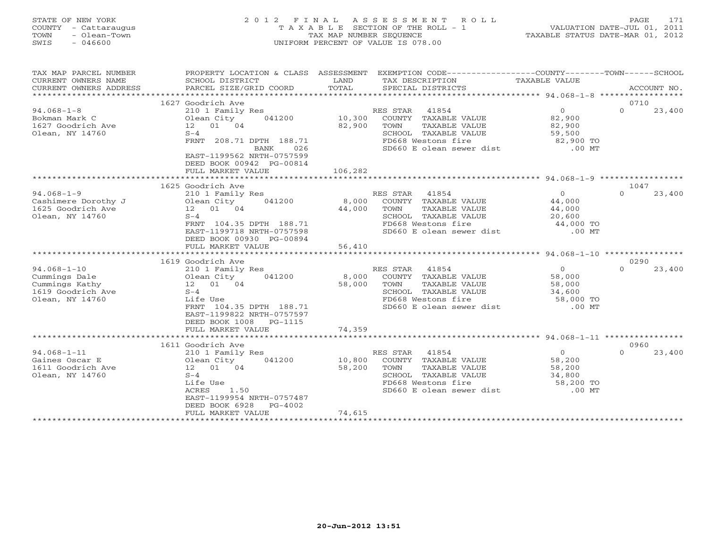STATE OF NEW YORK 2 0 1 2 F I N A L A S S E S S M E N T R O L L PAGE 171 COUNTY - Cattaraugus T A X A B L E SECTION OF THE ROLL - 1 VALUATION DATE-JUL 01, 2011 TOWN - Olean-Town TAX MAP NUMBER SEQUENCE TAXABLE STATUS DATE-MAR 01, 2012 SWIS - 046600 UNIFORM PERCENT OF VALUE IS 078.00

# UNIFORM PERCENT OF VALUE IS 078.00

| TAX MAP PARCEL NUMBER                                                                        | PROPERTY LOCATION & CLASS ASSESSMENT                                                                                                                                                                         |                             | EXEMPTION CODE-----------------COUNTY-------TOWN------SCHOOL                                                                                 |                                                                       |                  |             |
|----------------------------------------------------------------------------------------------|--------------------------------------------------------------------------------------------------------------------------------------------------------------------------------------------------------------|-----------------------------|----------------------------------------------------------------------------------------------------------------------------------------------|-----------------------------------------------------------------------|------------------|-------------|
| CURRENT OWNERS NAME                                                                          | SCHOOL DISTRICT                                                                                                                                                                                              | LAND                        | TAX DESCRIPTION                                                                                                                              | TAXABLE VALUE                                                         |                  |             |
| CURRENT OWNERS ADDRESS                                                                       | PARCEL SIZE/GRID COORD                                                                                                                                                                                       | TOTAL                       | SPECIAL DISTRICTS                                                                                                                            |                                                                       |                  | ACCOUNT NO. |
|                                                                                              |                                                                                                                                                                                                              |                             |                                                                                                                                              |                                                                       |                  |             |
| $94.068 - 1 - 8$<br>Bokman Mark C<br>1627 Goodrich Ave<br>Olean, NY 14760                    | 1627 Goodrich Ave<br>210 1 Family Res<br>041200<br>Olean City<br>12  01  04<br>$S-4$<br>FRNT 208.71 DPTH 188.71<br>026<br>BANK<br>EAST-1199562 NRTH-0757599<br>DEED BOOK 00942 PG-00814<br>FULL MARKET VALUE | 10,300<br>82,900<br>106,282 | RES STAR 41854<br>COUNTY TAXABLE VALUE<br>TOWN<br>TAXABLE VALUE<br>SCHOOL TAXABLE VALUE<br>FD668 Westons fire<br>SD660 E olean sewer dist    | $\overline{0}$<br>82,900<br>82,900<br>59,500<br>82,900 TO<br>$.00$ MT | 0710<br>$\Omega$ | 23,400      |
|                                                                                              | ***************************                                                                                                                                                                                  |                             |                                                                                                                                              |                                                                       |                  |             |
| $94.068 - 1 - 9$<br>Cashimere Dorothy J<br>1625 Goodrich Ave<br>Olean, NY 14760              | 1625 Goodrich Ave<br>210 1 Family Res<br>Olean City<br>041200<br>12  01  04<br>$S-4$<br>FRNT 104.35 DPTH 188.71<br>EAST-1199718 NRTH-0757598<br>DEED BOOK 00930 PG-00894                                     | 8,000<br>44,000             | RES STAR<br>41854<br>COUNTY TAXABLE VALUE<br>TOWN<br>TAXABLE VALUE<br>SCHOOL TAXABLE VALUE<br>FD668 Westons fire<br>SD660 E olean sewer dist | $\circ$<br>44,000<br>44,000<br>20,600<br>44,000 TO<br>$.00$ MT        | 1047<br>$\Omega$ | 23,400      |
|                                                                                              | FULL MARKET VALUE                                                                                                                                                                                            | 56,410                      |                                                                                                                                              |                                                                       |                  |             |
|                                                                                              |                                                                                                                                                                                                              |                             |                                                                                                                                              |                                                                       | 0290             |             |
| $94.068 - 1 - 10$<br>Cummings Dale<br>Cummings Kathy<br>1619 Goodrich Ave<br>Olean, NY 14760 | 1619 Goodrich Ave<br>210 1 Family Res<br>Olean City<br>041200<br>12  01  04<br>$S-4$<br>Life Use<br>FRNT 104.35 DPTH 188.71<br>EAST-1199822 NRTH-0757597<br>DEED BOOK 1008<br>PG-1115                        | 8,000<br>58,000             | RES STAR<br>41854<br>COUNTY TAXABLE VALUE<br>TAXABLE VALUE<br>TOWN<br>SCHOOL TAXABLE VALUE<br>FD668 Westons fire<br>SD660 E olean sewer dist | $\overline{0}$<br>58,000<br>58,000<br>34,600<br>58,000 TO<br>$.00$ MT | $\Omega$         | 23,400      |
|                                                                                              | FULL MARKET VALUE                                                                                                                                                                                            | 74,359                      |                                                                                                                                              |                                                                       |                  |             |
|                                                                                              | 1611 Goodrich Ave                                                                                                                                                                                            |                             |                                                                                                                                              |                                                                       | 0960             |             |
| $94.068 - 1 - 11$<br>Gaines Oscar E<br>1611 Goodrich Ave<br>Olean, NY 14760                  | 210 1 Family Res<br>041200<br>Olean City<br>12 01 04<br>$S-4$<br>Life Use<br>1.50<br>ACRES<br>EAST-1199954 NRTH-0757487<br>DEED BOOK 6928<br>PG-4002<br>FULL MARKET VALUE                                    | 10,800<br>58,200<br>74,615  | RES STAR<br>41854<br>COUNTY TAXABLE VALUE<br>TOWN<br>TAXABLE VALUE<br>SCHOOL TAXABLE VALUE<br>FD668 Westons fire<br>SD660 E olean sewer dist | $\overline{0}$<br>58,200<br>58,200<br>34,800<br>58,200 TO<br>$.00$ MT | $\Omega$         | 23,400      |
|                                                                                              | *********************************                                                                                                                                                                            |                             |                                                                                                                                              |                                                                       |                  |             |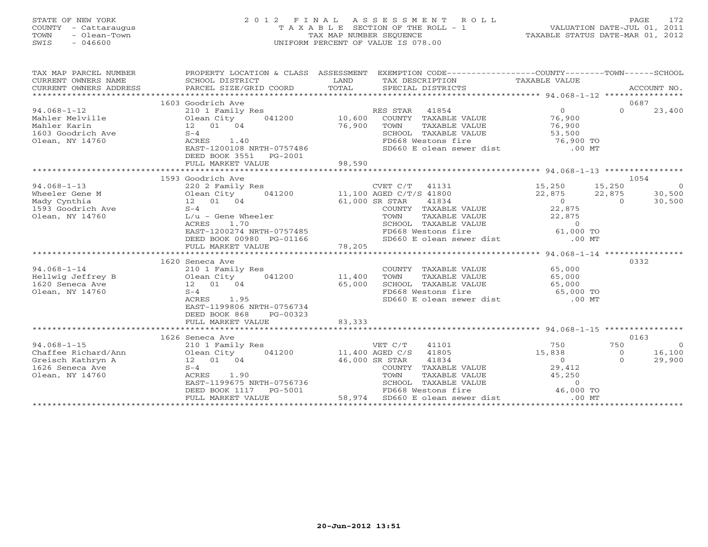### STATE OF NEW YORK 2 0 1 2 F I N A L A S S E S S M E N T R O L L PAGE 172 COUNTY - Cattaraugus T A X A B L E SECTION OF THE ROLL - 1 VALUATION DATE-JUL 01, 2011 TOWN - Olean-Town TAX MAP NUMBER SEQUENCE TAXABLE STATUS DATE-MAR 01, 2012 SWIS - 046600 UNIFORM PERCENT OF VALUE IS 078.00UNIFORM PERCENT OF VALUE IS 078.00

| TAX MAP PARCEL NUMBER<br>CURRENT OWNERS NAME<br>CURRENT OWNERS ADDRESS | PROPERTY LOCATION & CLASS ASSESSMENT<br>SCHOOL DISTRICT<br>PARCEL SIZE/GRID COORD | LAND<br>TOTAL  | EXEMPTION CODE-----------------COUNTY-------TOWN------SCHOOL<br>TAX DESCRIPTION TAXABLE VALUE<br>SPECIAL DISTRICTS |                                                 |                | ACCOUNT NO.    |
|------------------------------------------------------------------------|-----------------------------------------------------------------------------------|----------------|--------------------------------------------------------------------------------------------------------------------|-------------------------------------------------|----------------|----------------|
|                                                                        |                                                                                   |                |                                                                                                                    |                                                 |                |                |
|                                                                        | 1603 Goodrich Ave                                                                 |                |                                                                                                                    |                                                 | 0687           |                |
| $94.068 - 1 - 12$                                                      | 210 1 Family Res                                                                  |                | RES STAR 41854                                                                                                     | $\Omega$                                        | $\Omega$       | 23,400         |
| Mahler Melville                                                        | 041200 10,600<br>Olean City                                                       |                | COUNTY TAXABLE VALUE                                                                                               | 76,900                                          |                |                |
| Mahler Karin                                                           | 12 01 04                                                                          | 76,900         | TOWN<br>TAXABLE VALUE                                                                                              | 76,900                                          |                |                |
| 1603 Goodrich Ave                                                      | $S-4$                                                                             |                | SCHOOL TAXABLE VALUE                                                                                               | 53,500                                          |                |                |
| Olean, NY 14760                                                        | ACRES<br>1.40                                                                     |                | FD668 Westons fire                                                                                                 | 76,900 TO                                       |                |                |
|                                                                        | EAST-1200108 NRTH-0757486                                                         |                | SD660 E olean sewer dist .00 MT                                                                                    |                                                 |                |                |
|                                                                        | DEED BOOK 3551<br>PG-2001                                                         |                |                                                                                                                    |                                                 |                |                |
|                                                                        | FULL MARKET VALUE                                                                 | 98,590         |                                                                                                                    |                                                 |                |                |
|                                                                        |                                                                                   |                |                                                                                                                    |                                                 |                |                |
|                                                                        | 1593 Goodrich Ave                                                                 |                |                                                                                                                    |                                                 | 1054           |                |
| $94.068 - 1 - 13$                                                      | 220 2 Family Res                                                                  |                | CVET C/T<br>41131                                                                                                  | 15,250                                          | 15,250         | $\overline{0}$ |
| Wheeler Gene M                                                         | 041200<br>Olean City                                                              |                | 11,100 AGED C/T/S 41800                                                                                            | 22,875                                          | 22,875         | 30,500         |
| Mady Cynthia                                                           | 12 01 04                                                                          | 61,000 SR STAR | 41834                                                                                                              | $\overline{0}$                                  | $\overline{0}$ | 30,500         |
| 1593 Goodrich Ave                                                      | $S-4$                                                                             |                | COUNTY TAXABLE VALUE                                                                                               | 22,875                                          |                |                |
| Olean, NY 14760                                                        | $L/u$ - Gene Wheeler                                                              |                | TAXABLE VALUE<br>TOWN                                                                                              | 22,875                                          |                |                |
|                                                                        | ACRES<br>1.70                                                                     |                | SCHOOL TAXABLE VALUE                                                                                               | $\overline{0}$                                  |                |                |
|                                                                        | EAST-1200274 NRTH-0757485                                                         |                | FD668 Westons fire                                                                                                 | $61,000$ TO                                     |                |                |
|                                                                        | DEED BOOK 00980 PG-01166                                                          |                | SD660 E olean sewer dist                                                                                           | $.00$ MT                                        |                |                |
|                                                                        | FULL MARKET VALUE                                                                 | 78,205         |                                                                                                                    |                                                 |                |                |
|                                                                        | *******************************                                                   |                |                                                                                                                    |                                                 |                |                |
|                                                                        | 1620 Seneca Ave                                                                   |                |                                                                                                                    |                                                 | 0332           |                |
| $94.068 - 1 - 14$                                                      | 210 1 Family Res                                                                  |                | COUNTY TAXABLE VALUE                                                                                               | 65,000                                          |                |                |
| Hellwig Jeffrey B                                                      | 041200<br>Olean City                                                              | 11,400         | TOWN<br>TAXABLE VALUE                                                                                              | 65,000                                          |                |                |
| 1620 Seneca Ave                                                        | 12 01 04                                                                          | 65,000         | SCHOOL TAXABLE VALUE                                                                                               | 65,000<br>65,000 TO                             |                |                |
| Olean, NY 14760                                                        | $S-4$                                                                             |                | FD668 Westons fire                                                                                                 |                                                 |                |                |
|                                                                        | 1.95<br>ACRES                                                                     |                | SD660 E olean sewer dist .00 MT                                                                                    |                                                 |                |                |
|                                                                        | EAST-1199806 NRTH-0756734                                                         |                |                                                                                                                    |                                                 |                |                |
|                                                                        | DEED BOOK 868<br>PG-00323                                                         |                |                                                                                                                    |                                                 |                |                |
|                                                                        | FULL MARKET VALUE                                                                 | 83,333         |                                                                                                                    |                                                 |                |                |
|                                                                        |                                                                                   |                |                                                                                                                    |                                                 |                |                |
|                                                                        | 1626 Seneca Ave                                                                   |                |                                                                                                                    |                                                 | 0163           |                |
| $94.068 - 1 - 15$                                                      | 210 1 Family Res                                                                  |                | VET C/T<br>41101                                                                                                   | 750                                             | 750            | $\overline{0}$ |
| Chaffee Richard/Ann                                                    | 041200                                                                            |                | 41805<br>11,400 AGED C/S                                                                                           | 15,838                                          | $\overline{0}$ | 16,100         |
| Greisch Kathryn A                                                      | Olean $01$ 04                                                                     |                | 41834<br>46,000 SR STAR                                                                                            | $\Omega$                                        | $\Omega$       | 29,900         |
| 1626 Seneca Ave                                                        | $S-4$                                                                             |                | COUNTY TAXABLE VALUE                                                                                               | 29,412                                          |                |                |
| Olean, NY 14760                                                        | ACRES<br>1.90                                                                     |                | TOWN<br>TAXABLE VALUE                                                                                              | 45,250                                          |                |                |
|                                                                        | EAST-1199675 NRTH-0756736                                                         |                | SCHOOL TAXABLE VALUE                                                                                               | $\Omega$                                        |                |                |
|                                                                        | DEED BOOK 1117<br>PG-5001                                                         |                | FD668 Westons fire                                                                                                 | 46,000 TO                                       |                |                |
|                                                                        | FULL MARKET VALUE                                                                 | 58,974         | SD660 E olean sewer dist                                                                                           | $.00$ MT<br>*********************************** |                |                |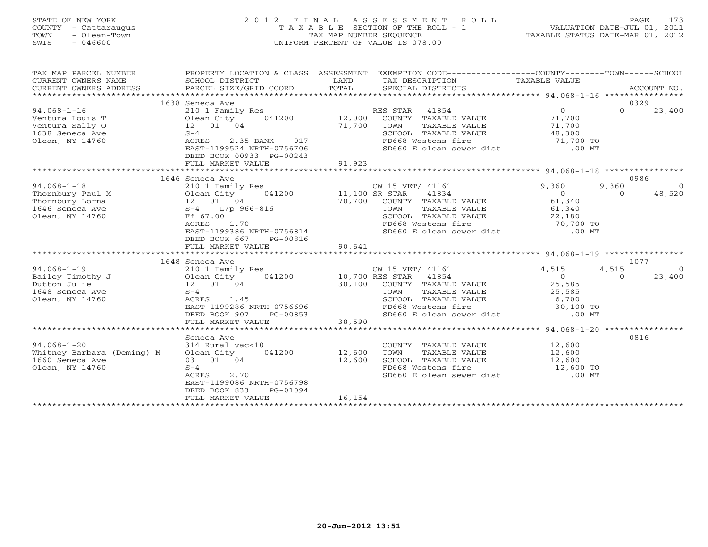#### STATE OF NEW YORK 2 0 1 2 F I N A L A S S E S S M E N T R O L L PAGE 173 COUNTY - Cattaraugus T A X A B L E SECTION OF THE ROLL - 1 VALUATION DATE-JUL 01, 2011 TOWN - Olean-Town TAX MAP NUMBER SEQUENCE TAXABLE STATUS DATE-MAR 01, 2012 SWIS - 046600 UNIFORM PERCENT OF VALUE IS 078.00UNIFORM PERCENT OF VALUE IS 078.00

| TAX MAP PARCEL NUMBER<br>CURRENT OWNERS NAME | PROPERTY LOCATION & CLASS ASSESSMENT<br>SCHOOL DISTRICT  | LAND                 | EXEMPTION CODE-----------------COUNTY-------TOWN-----SCHOOL<br>TAX DESCRIPTION | TAXABLE VALUE                            |          |                |
|----------------------------------------------|----------------------------------------------------------|----------------------|--------------------------------------------------------------------------------|------------------------------------------|----------|----------------|
| CURRENT OWNERS ADDRESS                       | PARCEL SIZE/GRID COORD                                   | TOTAL                | SPECIAL DISTRICTS                                                              |                                          |          | ACCOUNT NO.    |
|                                              | 1638 Seneca Ave                                          |                      |                                                                                |                                          |          | 0329           |
| $94.068 - 1 - 16$                            | 210 1 Family Res                                         |                      | RES STAR 41854                                                                 | $\Omega$                                 | $\Omega$ | 23,400         |
| Ventura Louis T                              | Olean City<br>041200                                     | 12,000               | COUNTY TAXABLE VALUE                                                           | 71,700                                   |          |                |
| Ventura Sally O                              | 12  01  04                                               | 71,700               | TOWN<br>TAXABLE VALUE                                                          | 71,700                                   |          |                |
| 1638 Seneca Ave                              | $S-4$                                                    |                      | SCHOOL TAXABLE VALUE                                                           | 48,300                                   |          |                |
| Olean, NY 14760                              | ACRES<br>2.35 BANK<br>017                                |                      | FD668 Westons fire                                                             | 71,700 TO                                |          |                |
|                                              | EAST-1199524 NRTH-0756706                                |                      | SD660 E olean sewer dist                                                       | $.00$ MT                                 |          |                |
|                                              | DEED BOOK 00933 PG-00243                                 |                      |                                                                                |                                          |          |                |
|                                              | FULL MARKET VALUE                                        | 91,923               |                                                                                |                                          |          |                |
|                                              |                                                          |                      |                                                                                |                                          |          |                |
|                                              | 1646 Seneca Ave                                          |                      |                                                                                |                                          |          | 0986           |
| $94.068 - 1 - 18$                            | 210 1 Family Res                                         |                      | CW_15_VET/ 41161                                                               | 9,360                                    | 9,360    |                |
| Thornbury Paul M                             | 041200<br>Olean City                                     | 11,100 SR STAR       | 41834                                                                          | $\overline{0}$                           | $\Omega$ | 48,520         |
| Thornbury Lorna                              | 12  01  04                                               | 70,700               | COUNTY TAXABLE VALUE                                                           | 61,340                                   |          |                |
| 1646 Seneca Ave                              | $L/p$ 966-816<br>$S-4$                                   |                      | TAXABLE VALUE<br>TOWN                                                          | 61,340                                   |          |                |
| Olean, NY 14760                              | Ff 67.00                                                 |                      | SCHOOL TAXABLE VALUE                                                           | 22,160<br>70,700 TO<br>00 MT             |          |                |
|                                              | 1.70<br>ACRES                                            |                      | FD668 Westons fire                                                             |                                          |          |                |
|                                              | EAST-1199386 NRTH-0756814                                |                      | SD660 E olean sewer dist                                                       | $.00$ MT                                 |          |                |
|                                              | DEED BOOK 667<br>PG-00816                                |                      |                                                                                |                                          |          |                |
|                                              | FULL MARKET VALUE                                        | 90,641               |                                                                                |                                          |          |                |
|                                              | 1648 Seneca Ave                                          |                      |                                                                                |                                          |          | 1077           |
| $94.068 - 1 - 19$                            |                                                          |                      | CW_15_VET/ 41161                                                               | 4,515                                    | 4,515    | $\overline{0}$ |
| Bailey Timothy J                             | 210 1 Family Res<br>041200 10,700 RES STAR<br>Olean City |                      | 41854                                                                          | $\overline{0}$                           | $\Omega$ | 23,400         |
| Dutton Julie                                 | 12 01 04                                                 | 30,100               | COUNTY TAXABLE VALUE                                                           | 25,585                                   |          |                |
| 1648 Seneca Ave                              | $S-4$                                                    |                      | TOWN<br>TAXABLE VALUE                                                          | 25,585                                   |          |                |
| Olean, NY 14760                              | ACRES<br>1.45                                            |                      | SCHOOL TAXABLE VALUE                                                           | 6,700                                    |          |                |
|                                              | EAST-1199286 NRTH-0756696                                |                      | FD668 Westons fire                                                             | 30,100 TO                                |          |                |
|                                              | DEED BOOK 907<br>PG-00853                                |                      | SD660 E olean sewer dist                                                       | $.00$ MT                                 |          |                |
|                                              | FULL MARKET VALUE                                        | 38,590               |                                                                                |                                          |          |                |
|                                              |                                                          | ******************** |                                                                                | ***************** 94.068-1-20 ********** |          |                |
|                                              | Seneca Ave                                               |                      |                                                                                |                                          |          | 0816           |
| $94.068 - 1 - 20$                            | 314 Rural vac<10                                         |                      | COUNTY TAXABLE VALUE                                                           | 12,600                                   |          |                |
| Whitney Barbara (Deming) M                   | Olean City<br>041200                                     | 12,600               | TOWN<br>TAXABLE VALUE                                                          | 12,600                                   |          |                |
| 1660 Seneca Ave                              | 03 01 04                                                 | 12,600               | SCHOOL TAXABLE VALUE                                                           | 12,600                                   |          |                |
| Olean, NY 14760                              | $S-4$                                                    |                      | FD668 Westons fire                                                             | 12,600 TO                                |          |                |
|                                              | ACRES<br>2.70                                            |                      | SD660 E olean sewer dist                                                       | $.00$ MT                                 |          |                |
|                                              | EAST-1199086 NRTH-0756798                                |                      |                                                                                |                                          |          |                |
|                                              | DEED BOOK 833<br>PG-01094                                |                      |                                                                                |                                          |          |                |
|                                              | FULL MARKET VALUE                                        | 16,154               |                                                                                |                                          |          |                |
|                                              | ****************************                             | **************       |                                                                                |                                          |          |                |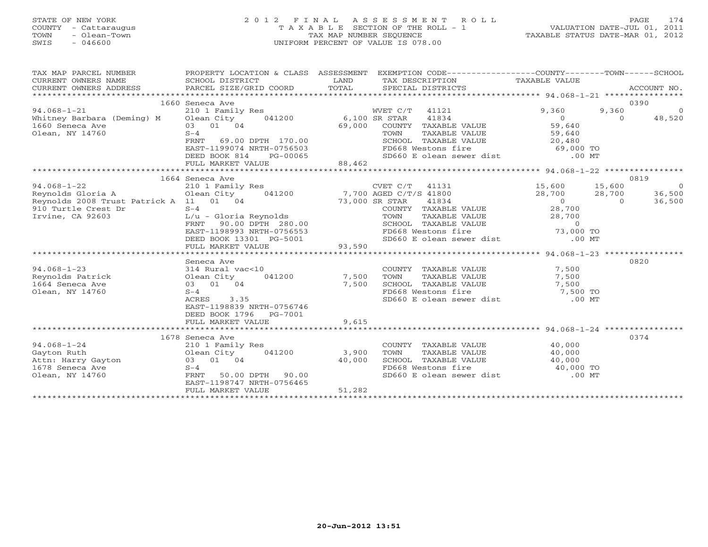### STATE OF NEW YORK 2 0 1 2 F I N A L A S S E S S M E N T R O L L PAGE 174 COUNTY - Cattaraugus T A X A B L E SECTION OF THE ROLL - 1 VALUATION DATE-JUL 01, 2011 TOWN - Olean-Town TAX MAP NUMBER SEQUENCE TAXABLE STATUS DATE-MAR 01, 2012 SWIS - 046600 UNIFORM PERCENT OF VALUE IS 078.00UNIFORM PERCENT OF VALUE IS 078.00

| 0390<br>1660 Seneca Ave<br>$\overline{0}$<br>$94.068 - 1 - 21$<br>210 1 Family Res<br>WVET C/T 41121<br>9,360<br>9,360<br>041200 6,100 SR STAR<br>Whitney Barbara (Deming) M Olean City<br>41834<br>$\overline{0}$<br>$\Omega$<br>48,520<br>03 01 04<br>59,640<br>1660 Seneca Ave<br>69,000<br>COUNTY TAXABLE VALUE<br>$S-4$<br>Olean, NY 14760<br>TAXABLE VALUE<br>59,640<br>TOWN<br>20,480<br>69.00 DPTH 170.00<br>FRNT<br>SCHOOL TAXABLE VALUE<br>$69,000$ TO<br>EAST-1199074 NRTH-0756503<br>FD668 Westons fire<br>DEED BOOK 814<br>SD660 E olean sewer dist .00 MT<br>PG-00065<br>FULL MARKET VALUE<br>88,462<br>1664 Seneca Ave<br>0819<br>$94.068 - 1 - 22$<br>CVET C/T 41131<br>15,600<br>15,600<br>$\overline{0}$<br>210 1 Family Res<br>Reynolds Gloria A<br>7,700 AGED C/T/S 41800<br>28,700 28,700<br>Olean City<br>041200<br>36,500<br>Reynolds 2008 Trust Patrick A 11 01 04<br>73,000 SR STAR<br>41834<br>$\sim$ 0<br>$\Omega$<br>36,500<br>910 Turtle Crest Dr<br>$S-4$<br>28,700<br>COUNTY TAXABLE VALUE<br>Irvine, CA 92603<br>L/u - Gloria Reynolds<br>28,700<br>TOWN<br>TAXABLE VALUE<br>FRNT<br>90.00 DPTH 280.00<br>SCHOOL TAXABLE VALUE<br>$\circ$<br>FD668 Westons fire 73,000 TO<br>SD660 E olean sewer dist .00 MT<br>EAST-1198993 NRTH-0756553<br>FD668 Westons fire<br>DEED BOOK 13301 PG-5001<br>93,590<br>FULL MARKET VALUE<br>0820<br>Seneca Ave<br>$94.068 - 1 - 23$<br>7,500<br>314 Rural vac<10<br>COUNTY TAXABLE VALUE<br>041200<br>7,500<br>Reynolds Patrick<br>TOWN<br>TAXABLE VALUE<br>7,500<br>Olean City<br>1664 Seneca Ave<br>SCHOOL TAXABLE VALUE<br>03 01 04<br>7,500<br>$7,500$ TO<br>$7,500$ TO<br>FD668 Westons fire<br>Olean, NY 14760<br>$S-4$<br>SD660 E olean sewer dist<br>$.00$ MT<br>ACRES<br>3.35<br>EAST-1198839 NRTH-0756746<br>DEED BOOK 1796 PG-7001<br>FULL MARKET VALUE<br>9,615<br>0374<br>1678 Seneca Ave<br>$94.068 - 1 - 24$<br>COUNTY TAXABLE VALUE<br>40,000<br>210 1 Family Res | TAX MAP PARCEL NUMBER<br>CURRENT OWNERS NAME<br>CURRENT OWNERS ADDRESS | PROPERTY LOCATION & CLASS ASSESSMENT<br>SCHOOL DISTRICT<br>PARCEL SIZE/GRID COORD | LAND<br>TOTAL | EXEMPTION CODE-----------------COUNTY-------TOWN------SCHOOL<br>TAX DESCRIPTION TAXABLE VALUE<br>SPECIAL DISTRICTS |  | ACCOUNT NO. |
|----------------------------------------------------------------------------------------------------------------------------------------------------------------------------------------------------------------------------------------------------------------------------------------------------------------------------------------------------------------------------------------------------------------------------------------------------------------------------------------------------------------------------------------------------------------------------------------------------------------------------------------------------------------------------------------------------------------------------------------------------------------------------------------------------------------------------------------------------------------------------------------------------------------------------------------------------------------------------------------------------------------------------------------------------------------------------------------------------------------------------------------------------------------------------------------------------------------------------------------------------------------------------------------------------------------------------------------------------------------------------------------------------------------------------------------------------------------------------------------------------------------------------------------------------------------------------------------------------------------------------------------------------------------------------------------------------------------------------------------------------------------------------------------------------------------------------------------------------------------------------------------------------------------------------------------------------|------------------------------------------------------------------------|-----------------------------------------------------------------------------------|---------------|--------------------------------------------------------------------------------------------------------------------|--|-------------|
|                                                                                                                                                                                                                                                                                                                                                                                                                                                                                                                                                                                                                                                                                                                                                                                                                                                                                                                                                                                                                                                                                                                                                                                                                                                                                                                                                                                                                                                                                                                                                                                                                                                                                                                                                                                                                                                                                                                                                    |                                                                        |                                                                                   |               |                                                                                                                    |  |             |
|                                                                                                                                                                                                                                                                                                                                                                                                                                                                                                                                                                                                                                                                                                                                                                                                                                                                                                                                                                                                                                                                                                                                                                                                                                                                                                                                                                                                                                                                                                                                                                                                                                                                                                                                                                                                                                                                                                                                                    |                                                                        |                                                                                   |               |                                                                                                                    |  |             |
|                                                                                                                                                                                                                                                                                                                                                                                                                                                                                                                                                                                                                                                                                                                                                                                                                                                                                                                                                                                                                                                                                                                                                                                                                                                                                                                                                                                                                                                                                                                                                                                                                                                                                                                                                                                                                                                                                                                                                    |                                                                        |                                                                                   |               |                                                                                                                    |  |             |
|                                                                                                                                                                                                                                                                                                                                                                                                                                                                                                                                                                                                                                                                                                                                                                                                                                                                                                                                                                                                                                                                                                                                                                                                                                                                                                                                                                                                                                                                                                                                                                                                                                                                                                                                                                                                                                                                                                                                                    |                                                                        |                                                                                   |               |                                                                                                                    |  |             |
|                                                                                                                                                                                                                                                                                                                                                                                                                                                                                                                                                                                                                                                                                                                                                                                                                                                                                                                                                                                                                                                                                                                                                                                                                                                                                                                                                                                                                                                                                                                                                                                                                                                                                                                                                                                                                                                                                                                                                    |                                                                        |                                                                                   |               |                                                                                                                    |  |             |
|                                                                                                                                                                                                                                                                                                                                                                                                                                                                                                                                                                                                                                                                                                                                                                                                                                                                                                                                                                                                                                                                                                                                                                                                                                                                                                                                                                                                                                                                                                                                                                                                                                                                                                                                                                                                                                                                                                                                                    |                                                                        |                                                                                   |               |                                                                                                                    |  |             |
|                                                                                                                                                                                                                                                                                                                                                                                                                                                                                                                                                                                                                                                                                                                                                                                                                                                                                                                                                                                                                                                                                                                                                                                                                                                                                                                                                                                                                                                                                                                                                                                                                                                                                                                                                                                                                                                                                                                                                    |                                                                        |                                                                                   |               |                                                                                                                    |  |             |
|                                                                                                                                                                                                                                                                                                                                                                                                                                                                                                                                                                                                                                                                                                                                                                                                                                                                                                                                                                                                                                                                                                                                                                                                                                                                                                                                                                                                                                                                                                                                                                                                                                                                                                                                                                                                                                                                                                                                                    |                                                                        |                                                                                   |               |                                                                                                                    |  |             |
|                                                                                                                                                                                                                                                                                                                                                                                                                                                                                                                                                                                                                                                                                                                                                                                                                                                                                                                                                                                                                                                                                                                                                                                                                                                                                                                                                                                                                                                                                                                                                                                                                                                                                                                                                                                                                                                                                                                                                    |                                                                        |                                                                                   |               |                                                                                                                    |  |             |
|                                                                                                                                                                                                                                                                                                                                                                                                                                                                                                                                                                                                                                                                                                                                                                                                                                                                                                                                                                                                                                                                                                                                                                                                                                                                                                                                                                                                                                                                                                                                                                                                                                                                                                                                                                                                                                                                                                                                                    |                                                                        |                                                                                   |               |                                                                                                                    |  |             |
|                                                                                                                                                                                                                                                                                                                                                                                                                                                                                                                                                                                                                                                                                                                                                                                                                                                                                                                                                                                                                                                                                                                                                                                                                                                                                                                                                                                                                                                                                                                                                                                                                                                                                                                                                                                                                                                                                                                                                    |                                                                        |                                                                                   |               |                                                                                                                    |  |             |
|                                                                                                                                                                                                                                                                                                                                                                                                                                                                                                                                                                                                                                                                                                                                                                                                                                                                                                                                                                                                                                                                                                                                                                                                                                                                                                                                                                                                                                                                                                                                                                                                                                                                                                                                                                                                                                                                                                                                                    |                                                                        |                                                                                   |               |                                                                                                                    |  |             |
|                                                                                                                                                                                                                                                                                                                                                                                                                                                                                                                                                                                                                                                                                                                                                                                                                                                                                                                                                                                                                                                                                                                                                                                                                                                                                                                                                                                                                                                                                                                                                                                                                                                                                                                                                                                                                                                                                                                                                    |                                                                        |                                                                                   |               |                                                                                                                    |  |             |
|                                                                                                                                                                                                                                                                                                                                                                                                                                                                                                                                                                                                                                                                                                                                                                                                                                                                                                                                                                                                                                                                                                                                                                                                                                                                                                                                                                                                                                                                                                                                                                                                                                                                                                                                                                                                                                                                                                                                                    |                                                                        |                                                                                   |               |                                                                                                                    |  |             |
|                                                                                                                                                                                                                                                                                                                                                                                                                                                                                                                                                                                                                                                                                                                                                                                                                                                                                                                                                                                                                                                                                                                                                                                                                                                                                                                                                                                                                                                                                                                                                                                                                                                                                                                                                                                                                                                                                                                                                    |                                                                        |                                                                                   |               |                                                                                                                    |  |             |
|                                                                                                                                                                                                                                                                                                                                                                                                                                                                                                                                                                                                                                                                                                                                                                                                                                                                                                                                                                                                                                                                                                                                                                                                                                                                                                                                                                                                                                                                                                                                                                                                                                                                                                                                                                                                                                                                                                                                                    |                                                                        |                                                                                   |               |                                                                                                                    |  |             |
|                                                                                                                                                                                                                                                                                                                                                                                                                                                                                                                                                                                                                                                                                                                                                                                                                                                                                                                                                                                                                                                                                                                                                                                                                                                                                                                                                                                                                                                                                                                                                                                                                                                                                                                                                                                                                                                                                                                                                    |                                                                        |                                                                                   |               |                                                                                                                    |  |             |
|                                                                                                                                                                                                                                                                                                                                                                                                                                                                                                                                                                                                                                                                                                                                                                                                                                                                                                                                                                                                                                                                                                                                                                                                                                                                                                                                                                                                                                                                                                                                                                                                                                                                                                                                                                                                                                                                                                                                                    |                                                                        |                                                                                   |               |                                                                                                                    |  |             |
|                                                                                                                                                                                                                                                                                                                                                                                                                                                                                                                                                                                                                                                                                                                                                                                                                                                                                                                                                                                                                                                                                                                                                                                                                                                                                                                                                                                                                                                                                                                                                                                                                                                                                                                                                                                                                                                                                                                                                    |                                                                        |                                                                                   |               |                                                                                                                    |  |             |
|                                                                                                                                                                                                                                                                                                                                                                                                                                                                                                                                                                                                                                                                                                                                                                                                                                                                                                                                                                                                                                                                                                                                                                                                                                                                                                                                                                                                                                                                                                                                                                                                                                                                                                                                                                                                                                                                                                                                                    |                                                                        |                                                                                   |               |                                                                                                                    |  |             |
|                                                                                                                                                                                                                                                                                                                                                                                                                                                                                                                                                                                                                                                                                                                                                                                                                                                                                                                                                                                                                                                                                                                                                                                                                                                                                                                                                                                                                                                                                                                                                                                                                                                                                                                                                                                                                                                                                                                                                    |                                                                        |                                                                                   |               |                                                                                                                    |  |             |
|                                                                                                                                                                                                                                                                                                                                                                                                                                                                                                                                                                                                                                                                                                                                                                                                                                                                                                                                                                                                                                                                                                                                                                                                                                                                                                                                                                                                                                                                                                                                                                                                                                                                                                                                                                                                                                                                                                                                                    |                                                                        |                                                                                   |               |                                                                                                                    |  |             |
|                                                                                                                                                                                                                                                                                                                                                                                                                                                                                                                                                                                                                                                                                                                                                                                                                                                                                                                                                                                                                                                                                                                                                                                                                                                                                                                                                                                                                                                                                                                                                                                                                                                                                                                                                                                                                                                                                                                                                    |                                                                        |                                                                                   |               |                                                                                                                    |  |             |
|                                                                                                                                                                                                                                                                                                                                                                                                                                                                                                                                                                                                                                                                                                                                                                                                                                                                                                                                                                                                                                                                                                                                                                                                                                                                                                                                                                                                                                                                                                                                                                                                                                                                                                                                                                                                                                                                                                                                                    |                                                                        |                                                                                   |               |                                                                                                                    |  |             |
|                                                                                                                                                                                                                                                                                                                                                                                                                                                                                                                                                                                                                                                                                                                                                                                                                                                                                                                                                                                                                                                                                                                                                                                                                                                                                                                                                                                                                                                                                                                                                                                                                                                                                                                                                                                                                                                                                                                                                    |                                                                        |                                                                                   |               |                                                                                                                    |  |             |
|                                                                                                                                                                                                                                                                                                                                                                                                                                                                                                                                                                                                                                                                                                                                                                                                                                                                                                                                                                                                                                                                                                                                                                                                                                                                                                                                                                                                                                                                                                                                                                                                                                                                                                                                                                                                                                                                                                                                                    |                                                                        |                                                                                   |               |                                                                                                                    |  |             |
|                                                                                                                                                                                                                                                                                                                                                                                                                                                                                                                                                                                                                                                                                                                                                                                                                                                                                                                                                                                                                                                                                                                                                                                                                                                                                                                                                                                                                                                                                                                                                                                                                                                                                                                                                                                                                                                                                                                                                    |                                                                        |                                                                                   |               |                                                                                                                    |  |             |
|                                                                                                                                                                                                                                                                                                                                                                                                                                                                                                                                                                                                                                                                                                                                                                                                                                                                                                                                                                                                                                                                                                                                                                                                                                                                                                                                                                                                                                                                                                                                                                                                                                                                                                                                                                                                                                                                                                                                                    |                                                                        |                                                                                   |               |                                                                                                                    |  |             |
|                                                                                                                                                                                                                                                                                                                                                                                                                                                                                                                                                                                                                                                                                                                                                                                                                                                                                                                                                                                                                                                                                                                                                                                                                                                                                                                                                                                                                                                                                                                                                                                                                                                                                                                                                                                                                                                                                                                                                    |                                                                        |                                                                                   |               |                                                                                                                    |  |             |
|                                                                                                                                                                                                                                                                                                                                                                                                                                                                                                                                                                                                                                                                                                                                                                                                                                                                                                                                                                                                                                                                                                                                                                                                                                                                                                                                                                                                                                                                                                                                                                                                                                                                                                                                                                                                                                                                                                                                                    |                                                                        |                                                                                   |               |                                                                                                                    |  |             |
|                                                                                                                                                                                                                                                                                                                                                                                                                                                                                                                                                                                                                                                                                                                                                                                                                                                                                                                                                                                                                                                                                                                                                                                                                                                                                                                                                                                                                                                                                                                                                                                                                                                                                                                                                                                                                                                                                                                                                    |                                                                        |                                                                                   |               |                                                                                                                    |  |             |
|                                                                                                                                                                                                                                                                                                                                                                                                                                                                                                                                                                                                                                                                                                                                                                                                                                                                                                                                                                                                                                                                                                                                                                                                                                                                                                                                                                                                                                                                                                                                                                                                                                                                                                                                                                                                                                                                                                                                                    |                                                                        |                                                                                   |               |                                                                                                                    |  |             |
|                                                                                                                                                                                                                                                                                                                                                                                                                                                                                                                                                                                                                                                                                                                                                                                                                                                                                                                                                                                                                                                                                                                                                                                                                                                                                                                                                                                                                                                                                                                                                                                                                                                                                                                                                                                                                                                                                                                                                    |                                                                        |                                                                                   |               |                                                                                                                    |  |             |
| Gayton Ruth<br>Olean City<br>041200<br>3,900<br>TAXABLE VALUE<br>40,000<br>TOWN                                                                                                                                                                                                                                                                                                                                                                                                                                                                                                                                                                                                                                                                                                                                                                                                                                                                                                                                                                                                                                                                                                                                                                                                                                                                                                                                                                                                                                                                                                                                                                                                                                                                                                                                                                                                                                                                    |                                                                        |                                                                                   |               |                                                                                                                    |  |             |
| 03 01 04<br>40,000                                                                                                                                                                                                                                                                                                                                                                                                                                                                                                                                                                                                                                                                                                                                                                                                                                                                                                                                                                                                                                                                                                                                                                                                                                                                                                                                                                                                                                                                                                                                                                                                                                                                                                                                                                                                                                                                                                                                 | Attn: Harry Gayton<br>1678 Seneca Ave                                  |                                                                                   |               |                                                                                                                    |  |             |
| SCHOOL TAXABLE VALUE $40,000$<br>FD668 Westons fire $40,000$ TO<br>SD660 E olean sewer dist .00 MT<br>$S-4$                                                                                                                                                                                                                                                                                                                                                                                                                                                                                                                                                                                                                                                                                                                                                                                                                                                                                                                                                                                                                                                                                                                                                                                                                                                                                                                                                                                                                                                                                                                                                                                                                                                                                                                                                                                                                                        |                                                                        |                                                                                   |               |                                                                                                                    |  |             |
| Olean, NY 14760<br>FRNT<br>50.00 DPTH<br>90.00                                                                                                                                                                                                                                                                                                                                                                                                                                                                                                                                                                                                                                                                                                                                                                                                                                                                                                                                                                                                                                                                                                                                                                                                                                                                                                                                                                                                                                                                                                                                                                                                                                                                                                                                                                                                                                                                                                     |                                                                        |                                                                                   |               |                                                                                                                    |  |             |
| EAST-1198747 NRTH-0756465                                                                                                                                                                                                                                                                                                                                                                                                                                                                                                                                                                                                                                                                                                                                                                                                                                                                                                                                                                                                                                                                                                                                                                                                                                                                                                                                                                                                                                                                                                                                                                                                                                                                                                                                                                                                                                                                                                                          |                                                                        |                                                                                   |               |                                                                                                                    |  |             |
| 51,282<br>FULL MARKET VALUE                                                                                                                                                                                                                                                                                                                                                                                                                                                                                                                                                                                                                                                                                                                                                                                                                                                                                                                                                                                                                                                                                                                                                                                                                                                                                                                                                                                                                                                                                                                                                                                                                                                                                                                                                                                                                                                                                                                        |                                                                        |                                                                                   |               |                                                                                                                    |  |             |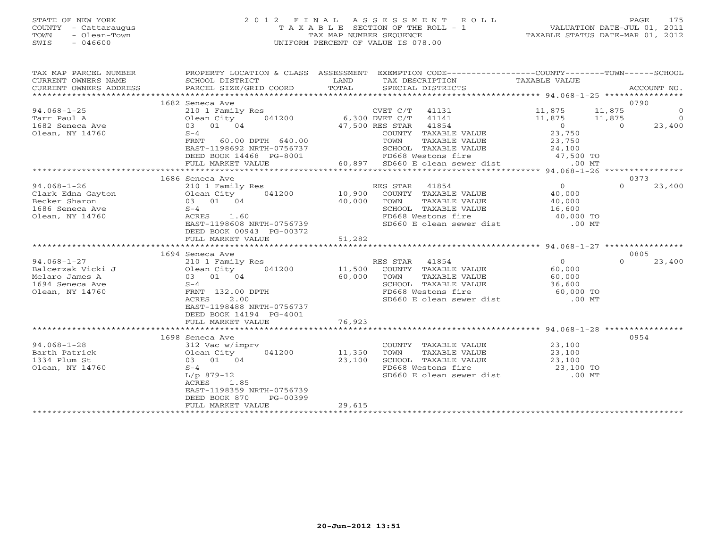#### STATE OF NEW YORK 2 0 1 2 F I N A L A S S E S S M E N T R O L L PAGE 175 COUNTY - Cattaraugus T A X A B L E SECTION OF THE ROLL - 1 VALUATION DATE-JUL 01, 2011 TOWN - Olean-Town TAX MAP NUMBER SEQUENCE TAXABLE STATUS DATE-MAR 01, 2012 SWIS - 046600 UNIFORM PERCENT OF VALUE IS 078.00UNIFORM PERCENT OF VALUE IS 078.00

| TAX MAP PARCEL NUMBER<br>CURRENT OWNERS NAME<br>CURRENT OWNERS ADDRESS<br>******************                                 | PROPERTY LOCATION & CLASS ASSESSMENT<br>SCHOOL DISTRICT<br>PARCEL SIZE/GRID COORD | LAND<br>TOTAL | EXEMPTION CODE-----------------COUNTY-------TOWN------SCHOOL<br>TAX DESCRIPTION TAXABLE VALUE<br>SPECIAL DISTRICTS |                                            | ACCOUNT NO.             |
|------------------------------------------------------------------------------------------------------------------------------|-----------------------------------------------------------------------------------|---------------|--------------------------------------------------------------------------------------------------------------------|--------------------------------------------|-------------------------|
|                                                                                                                              | 1682 Seneca Ave                                                                   |               |                                                                                                                    |                                            | 0790                    |
| $94.068 - 1 - 25$                                                                                                            | 210 1 Family Res                                                                  |               | CVET C/T 41131                                                                                                     | 11,875 11,875                              | $\overline{0}$          |
| Tarr Paul A                                                                                                                  | Olean City                                                                        |               | 041200 6,300 DVET C/T 41141                                                                                        | $11,875$ $11,875$                          |                         |
| 1682 Seneca Ave                                                                                                              | 03 01 04                                                                          |               | 47,500 RES STAR 41854                                                                                              |                                            | 11,875 0<br>0<br>23,400 |
| Olean, NY 14760                                                                                                              | $S-4$                                                                             |               | COUNTY TAXABLE VALUE                                                                                               | $\begin{array}{c} 0 \\ 23,750 \end{array}$ |                         |
|                                                                                                                              | 60.00 DPTH 640.00<br>FRNT                                                         |               | TOWN                                                                                                               |                                            |                         |
|                                                                                                                              | EAST-1198692 NRTH-0756737                                                         |               | TAXABLE VALUE 23,750<br>TAXABLE VALUE 24,100<br>SCHOOL TAXABLE VALUE                                               |                                            |                         |
|                                                                                                                              | DEED BOOK 14468 PG-8001                                                           |               | FD668 Westons fire                                                                                                 | $47,500$ TO                                |                         |
|                                                                                                                              | FULL MARKET VALUE                                                                 |               | 60,897 SD660 E olean sewer dist                                                                                    | $.00$ MT                                   |                         |
|                                                                                                                              |                                                                                   |               |                                                                                                                    |                                            |                         |
|                                                                                                                              | 1686 Seneca Ave                                                                   |               |                                                                                                                    |                                            | 0373                    |
| $94.068 - 1 - 26$                                                                                                            | 210 1 Family Res                                                                  |               | RES STAR 41854                                                                                                     | $\overline{0}$                             | $\cap$<br>23,400        |
| 94.000-1-20<br>Clark Edna Gayton (10 01 01 01 01 01 04 1686 Seneca Ave 0 1686 Seneca Ave 0 1686 Seneca Ave 0 1686 Seneca Ave |                                                                                   |               | COUNTY TAXABLE VALUE 40,000                                                                                        |                                            |                         |
|                                                                                                                              |                                                                                   | 40,000        | TOWN<br>TAXABLE VALUE                                                                                              | LUE 40,000<br>LUE 16,600<br>40,000 TO      |                         |
| 1686 Seneca Ave                                                                                                              | $S-4$                                                                             |               | SCHOOL TAXABLE VALUE                                                                                               |                                            |                         |
| Olean, NY 14760                                                                                                              | ACRES 1.60                                                                        |               | FD668 Westons fire                                                                                                 |                                            |                         |
|                                                                                                                              | EAST-1198608 NRTH-0756739                                                         |               | SD660 E olean sewer dist                                                                                           | $.00$ MT                                   |                         |
|                                                                                                                              | DEED BOOK 00943 PG-00372                                                          |               |                                                                                                                    |                                            |                         |
|                                                                                                                              | FULL MARKET VALUE<br>***********************                                      | 51,282        |                                                                                                                    |                                            |                         |
|                                                                                                                              |                                                                                   |               |                                                                                                                    |                                            | 0805                    |
| $94.068 - 1 - 27$                                                                                                            | 1694 Seneca Ave<br>210 1 Family Res                                               |               | RES STAR 41854                                                                                                     | $\overline{0}$                             | $\Omega$<br>23,400      |
| Balcerzak Vicki J                                                                                                            | Res RE<br>041200 11,500                                                           |               | COUNTY TAXABLE VALUE                                                                                               | 60,000                                     |                         |
| Melaro James A                                                                                                               |                                                                                   | 60,000        |                                                                                                                    |                                            |                         |
| 210 1 Family<br>Jolean City<br>03 01 04<br>5-4<br>FRNT 132.00<br>1694 Seneca Ave                                             |                                                                                   |               | TOWN TAXABLE VALUE 60,000<br>SCHOOL TAXABLE VALUE 36,600<br>FD668 Westons fire 60,000 TO                           |                                            |                         |
| Olean, NY 14760                                                                                                              | FRNT 132.00 DPTH                                                                  |               |                                                                                                                    |                                            |                         |
|                                                                                                                              | ACRES<br>2.00                                                                     |               | SD660 E olean sewer dist [150] .00 MT                                                                              |                                            |                         |
|                                                                                                                              | EAST-1198488 NRTH-0756737                                                         |               |                                                                                                                    |                                            |                         |
|                                                                                                                              | DEED BOOK 14194 PG-4001                                                           |               |                                                                                                                    |                                            |                         |
|                                                                                                                              | FULL MARKET VALUE                                                                 | 76,923        |                                                                                                                    |                                            |                         |
|                                                                                                                              |                                                                                   |               |                                                                                                                    |                                            |                         |
|                                                                                                                              | 1698 Seneca Ave                                                                   |               |                                                                                                                    |                                            | 0954                    |
| $94.068 - 1 - 28$                                                                                                            | 312 Vac w/imprv                                                                   |               | COUNTY TAXABLE VALUE                                                                                               | 23,100                                     |                         |
| Barth Patrick                                                                                                                | 041200 11,350                                                                     |               | TAXABLE VALUE<br>TOWN                                                                                              | 23,100                                     |                         |
| Olean City<br>03 01 0<br>1334 Plum St                                                                                        | 03 01 04                                                                          | 23,100        | SCHOOL TAXABLE VALUE                                                                                               |                                            |                         |
| Olean, NY 14760                                                                                                              | $S-4$                                                                             |               | FD668 Westons fire                                                                                                 | JUE 23,100<br>23,100 TO                    |                         |
|                                                                                                                              | $L/p$ 879-12                                                                      |               | SD660 E olean sewer dist .00 MT                                                                                    |                                            |                         |
|                                                                                                                              | ACRES 1.85                                                                        |               |                                                                                                                    |                                            |                         |
|                                                                                                                              | EAST-1198359 NRTH-0756739                                                         |               |                                                                                                                    |                                            |                         |
|                                                                                                                              | DEED BOOK 870<br>PG-00399                                                         |               |                                                                                                                    |                                            |                         |
|                                                                                                                              | FULL MARKET VALUE                                                                 | 29,615        |                                                                                                                    |                                            |                         |
|                                                                                                                              |                                                                                   |               |                                                                                                                    |                                            |                         |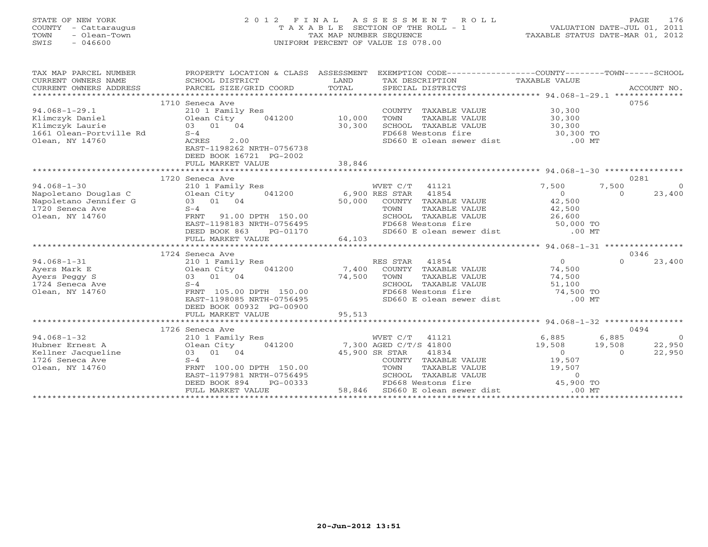### STATE OF NEW YORK 2 0 1 2 F I N A L A S S E S S M E N T R O L L PAGE 176 COUNTY - Cattaraugus T A X A B L E SECTION OF THE ROLL - 1 VALUATION DATE-JUL 01, 2011 TOWN - Olean-Town TAX MAP NUMBER SEQUENCE TAXABLE STATUS DATE-MAR 01, 2012 SWIS - 046600 UNIFORM PERCENT OF VALUE IS 078.00UNIFORM PERCENT OF VALUE IS 078.00

| TAX MAP PARCEL NUMBER                 | PROPERTY LOCATION & CLASS ASSESSMENT                 |                | EXEMPTION CODE-----------------COUNTY-------TOWN------SCHOOL |                                                 |                                   |
|---------------------------------------|------------------------------------------------------|----------------|--------------------------------------------------------------|-------------------------------------------------|-----------------------------------|
| CURRENT OWNERS NAME                   | SCHOOL DISTRICT                                      | LAND           | TAX DESCRIPTION                                              | TAXABLE VALUE                                   |                                   |
| CURRENT OWNERS ADDRESS                | PARCEL SIZE/GRID COORD                               | TOTAL          | SPECIAL DISTRICTS                                            |                                                 | ACCOUNT NO.                       |
|                                       |                                                      |                |                                                              |                                                 |                                   |
|                                       | 1710 Seneca Ave                                      |                |                                                              |                                                 | 0756                              |
| $94.068 - 1 - 29.1$                   | 210 1 Family Res                                     |                | COUNTY TAXABLE VALUE                                         | 30,300                                          |                                   |
| Klimczyk Daniel                       | 041200 10,000<br>Olean City                          |                | TAXABLE VALUE<br>TOWN                                        | 30,300                                          |                                   |
| Klimczyk Laurie                       | 03 01 04                                             | 30,300         | SCHOOL TAXABLE VALUE                                         | 30,300                                          |                                   |
| 1661 Olean-Portville Rd               | $S-4$                                                |                | FD668 Westons fire                                           |                                                 |                                   |
| Olean, NY 14760                       | 2.00<br>ACRES                                        |                | SD660 E olean sewer dist                                     | 30,300 TO<br>.00 MT                             |                                   |
|                                       | EAST-1198262 NRTH-0756738                            |                |                                                              |                                                 |                                   |
|                                       | DEED BOOK 16721 PG-2002                              |                |                                                              |                                                 |                                   |
|                                       | FULL MARKET VALUE                                    | 38,846         |                                                              |                                                 |                                   |
|                                       |                                                      |                |                                                              |                                                 |                                   |
|                                       | 1720 Seneca Ave                                      |                |                                                              |                                                 | 0281                              |
| $94.068 - 1 - 30$                     | 210 1 Family Res                                     |                | WVET C/T 41121                                               | 7,500                                           | 7,500<br>$\overline{0}$           |
| Napoletano Douglas C                  | 041200<br>Olean City                                 | 6,900 RES STAR | 41854                                                        | $\Omega$                                        | 23,400<br>$\Omega$                |
| Napoletano Jennifer G                 | 03 01 04                                             | 50,000         | COUNTY TAXABLE VALUE                                         | 42,500                                          |                                   |
| 1720 Seneca Ave                       | $S-4$                                                |                | TOWN<br>TAXABLE VALUE                                        | 42,500<br>26,600                                |                                   |
| Olean, NY 14760                       | FRNT<br>91.00 DPTH 150.00                            |                | SCHOOL TAXABLE VALUE                                         |                                                 |                                   |
|                                       | EAST-1198183 NRTH-0756495                            |                | FD668 Westons fire                                           | 50,000 TO                                       |                                   |
|                                       | DEED BOOK 863<br>PG-01170                            |                | SD660 E olean sewer dist .00 MT                              |                                                 |                                   |
|                                       | FULL MARKET VALUE                                    | 64,103         |                                                              |                                                 |                                   |
|                                       |                                                      |                |                                                              |                                                 |                                   |
|                                       | 1724 Seneca Ave                                      |                |                                                              |                                                 | 0346                              |
| $94.068 - 1 - 31$                     | 210 1 Family Res                                     |                | RES STAR 41854                                               | $\Omega$                                        | $\Omega$<br>23,400                |
| Ayers Mark E                          | 041200<br>Olean City                                 | 7,400          | COUNTY TAXABLE VALUE                                         | 74,500                                          |                                   |
| Ayers Peggy S                         | 03 01 04                                             | 74,500         | TOWN<br>TAXABLE VALUE                                        | 74,500                                          |                                   |
| 1724 Seneca Ave                       | $S-4$                                                |                | SCHOOL TAXABLE VALUE                                         |                                                 |                                   |
| Olean, NY 14760                       | FRNT 105.00 DPTH 150.00                              |                | FD668 Westons fire                                           | 51,100<br>74,500 TO<br>00 MT                    |                                   |
|                                       | EAST-1198085 NRTH-0756495                            |                | SD660 E olean sewer dist .00 MT                              |                                                 |                                   |
|                                       | DEED BOOK 00932 PG-00900                             |                |                                                              |                                                 |                                   |
|                                       | FULL MARKET VALUE                                    | 95,513         |                                                              |                                                 |                                   |
|                                       |                                                      |                |                                                              | ***************** 94.068-1-32 ***************** | 0494                              |
|                                       | 1726 Seneca Ave                                      |                |                                                              |                                                 |                                   |
| $94.068 - 1 - 32$                     | 210 1 Family Res                                     |                | WVET C/T 41121<br>7,300 AGED C/T/S 41800                     | 6,885                                           | 6,885<br>$\overline{0}$<br>22,950 |
| Hubner Ernest A                       | 041200<br>Olean City                                 |                |                                                              | 19,508<br>19,508<br>$\overline{O}$              | $\Omega$                          |
| Kellner Jacqueline<br>1726 Seneca Ave | 03 01 04<br>$S-4$                                    | 45,900 SR STAR | 41834<br>COUNTY TAXABLE VALUE                                | 19,507                                          | 22,950                            |
|                                       |                                                      |                |                                                              |                                                 |                                   |
| Olean, NY 14760                       | FRNT 100.00 DPTH 150.00<br>EAST-1197981 NRTH-0756495 |                | TOWN<br>TAXABLE VALUE<br>SCHOOL TAXABLE VALUE                | 19,507<br>$\circ$                               |                                   |
|                                       | DEED BOOK 894<br>PG-00333                            |                | FD668 Westons fire                                           | 45,900 TO                                       |                                   |
|                                       | FULL MARKET VALUE                                    |                | 58,846 SD660 E olean sewer dist                              | $.00$ MT                                        |                                   |
|                                       |                                                      |                |                                                              |                                                 |                                   |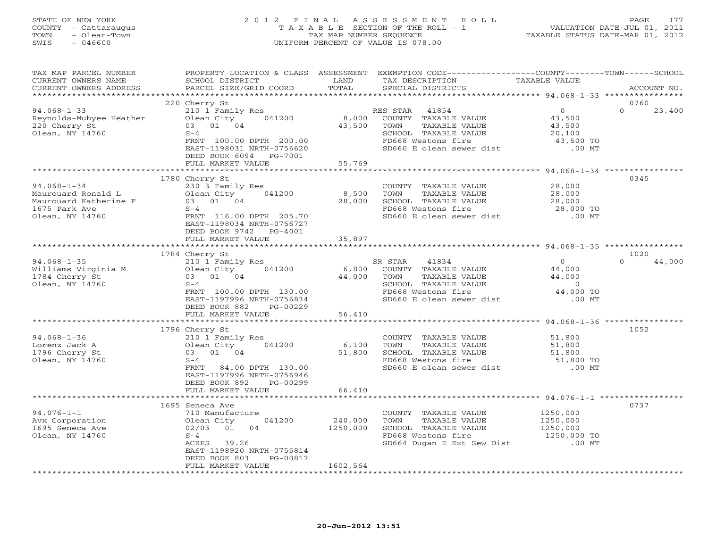## STATE OF NEW YORK 2 0 1 2 F I N A L A S S E S S M E N T R O L L PAGE 177 COUNTY - Cattaraugus T A X A B L E SECTION OF THE ROLL - 1 VALUATION DATE-JUL 01, 2011 TOWN - Olean-Town TAX MAP NUMBER SEQUENCE TAXABLE STATUS DATE-MAR 01, 2012 SWIS - 046600 UNIFORM PERCENT OF VALUE IS 078.00

| TAX MAP PARCEL NUMBER<br>CURRENT OWNERS NAME<br>CURRENT OWNERS ADDRESS                               | PROPERTY LOCATION & CLASS ASSESSMENT<br>SCHOOL DISTRICT<br>PARCEL SIZE/GRID COORD                                                                                                        | LAND<br>TOTAL             | EXEMPTION CODE-----------------COUNTY-------TOWN------SCHOOL<br>TAX DESCRIPTION<br>SPECIAL DISTRICTS                                                | TAXABLE VALUE                                                                 | ACCOUNT NO.                |
|------------------------------------------------------------------------------------------------------|------------------------------------------------------------------------------------------------------------------------------------------------------------------------------------------|---------------------------|-----------------------------------------------------------------------------------------------------------------------------------------------------|-------------------------------------------------------------------------------|----------------------------|
|                                                                                                      |                                                                                                                                                                                          |                           |                                                                                                                                                     |                                                                               |                            |
| $94.068 - 1 - 33$<br>Reynolds-Muhyee Heather<br>220 Cherry St<br>Olean, NY 14760                     | 220 Cherry St<br>210 1 Family Res<br>Olean City<br>041200<br>03 01 04<br>$S-4$<br>FRNT 100.00 DPTH 200.00<br>EAST-1198031 NRTH-0756620<br>DEED BOOK 6094<br>PG-7001<br>FULL MARKET VALUE | 8,000<br>43,500<br>55,769 | RES STAR<br>41854<br>COUNTY TAXABLE VALUE<br>TOWN<br>TAXABLE VALUE<br>SCHOOL TAXABLE VALUE<br>FD668 Westons fire<br>SD660 E olean sewer dist .00 MT | 0<br>43,500<br>43,500<br>20,100<br>43,500 TO                                  | 0760<br>$\Omega$<br>23,400 |
|                                                                                                      |                                                                                                                                                                                          |                           |                                                                                                                                                     |                                                                               |                            |
| $94.068 - 1 - 34$<br>Maurouard Ronald L<br>Maurouard Katherine F<br>1675 Park Ave<br>Olean, NY 14760 | 1780 Cherry St<br>230 3 Family Res<br>041200<br>Olean City<br>$03$ $01$ $04$<br>$S-4$<br>FRNT 116.00 DPTH 205.70<br>EAST-1198034 NRTH-0756727<br>DEED BOOK 9742 PG-4001                  | 8,500<br>28,000<br>35,897 | COUNTY TAXABLE VALUE<br>TAXABLE VALUE<br>TOWN<br>SCHOOL TAXABLE VALUE<br>FD668 Westons fire<br>SD660 E olean sewer dist                             | 28,000<br>28,000<br>28,000<br>28,000 TO<br>00 MT.                             | 0345                       |
|                                                                                                      | FULL MARKET VALUE                                                                                                                                                                        |                           |                                                                                                                                                     |                                                                               |                            |
|                                                                                                      | 1784 Cherry St                                                                                                                                                                           |                           |                                                                                                                                                     |                                                                               | 1020                       |
| $94.068 - 1 - 35$<br>Williams Virginia M<br>1784 Cherry St<br>Olean, NY 14760                        | 210 1 Family Res<br>041200<br>Olean City<br>03 01 04<br>$S-4$<br>FRNT 100.00 DPTH 130.00<br>EAST-1197996 NRTH-0756834<br>DEED BOOK 882<br>PG-00229                                       | 6,800<br>44,000           | SR STAR<br>41834<br>COUNTY TAXABLE VALUE<br>TOWN<br>TAXABLE VALUE<br>SCHOOL TAXABLE VALUE<br>FD668 Westons fire<br>SD660 E olean sewer dist         | $\overline{0}$<br>44,000<br>44,000<br>$\overline{0}$<br>44,000 TO<br>$.00$ MT | $\Omega$<br>44,000         |
|                                                                                                      | FULL MARKET VALUE                                                                                                                                                                        | 56,410                    |                                                                                                                                                     |                                                                               |                            |
|                                                                                                      |                                                                                                                                                                                          |                           |                                                                                                                                                     |                                                                               |                            |
| $94.068 - 1 - 36$<br>Lorenz Jack A<br>1796 Cherry St<br>Olean, NY 14760                              | 1796 Cherry St<br>210 1 Family Res<br>041200<br>Olean City<br>03 01 04<br>$S-4$<br>84.00 DPTH 130.00<br>FRNT<br>EAST-1197996 NRTH-0756946<br>DEED BOOK 892<br>PG-00299                   | 6,100<br>51,800           | COUNTY TAXABLE VALUE<br>TOWN<br>TAXABLE VALUE<br>SCHOOL TAXABLE VALUE<br>FD668 Westons fire<br>SD660 E olean sewer dist                             | 51,800<br>51,800<br>51,800<br>51,800 TO<br>$.00$ MT                           | 1052                       |
|                                                                                                      | FULL MARKET VALUE                                                                                                                                                                        | 66,410                    |                                                                                                                                                     |                                                                               |                            |
| $94.076 - 1 - 1$<br>Avx Corporation<br>1695 Seneca Ave<br>Olean, NY 14760                            | 1695 Seneca Ave<br>710 Manufacture<br>041200<br>Olean City<br>02/03<br>01<br>04<br>$S-4$<br>ACRES 39.26<br>EAST-1198920 NRTH-0755814<br>DEED BOOK 803<br>PG-00817<br>FULL MARKET VALUE   | 240,000<br>1250,000       | COUNTY TAXABLE VALUE<br>TOWN<br>TAXABLE VALUE<br>SCHOOL TAXABLE VALUE<br>FD668 Westons fire<br>SD664 Dugan E Ext Sew Dist                           | 1250,000<br>1250,000<br>1250,000<br>1250,000 TO<br>$.00$ MT                   | 0737                       |
|                                                                                                      |                                                                                                                                                                                          | 1602,564                  |                                                                                                                                                     |                                                                               |                            |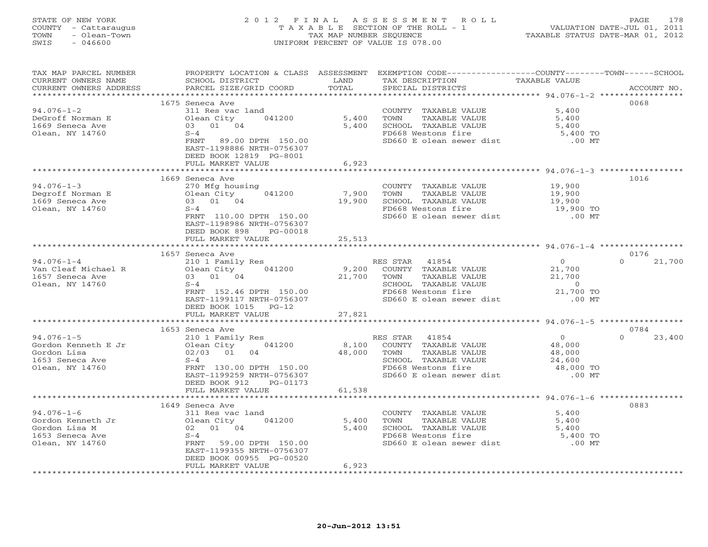#### STATE OF NEW YORK 2 0 1 2 F I N A L A S S E S S M E N T R O L L PAGE 178 COUNTY - Cattaraugus T A X A B L E SECTION OF THE ROLL - 1 VALUATION DATE-JUL 01, 2011 TOWN - Olean-Town TAX MAP NUMBER SEQUENCE TAXABLE STATUS DATE-MAR 01, 2012 SWIS - 046600 UNIFORM PERCENT OF VALUE IS 078.00UNIFORM PERCENT OF VALUE IS 078.00

| TAX MAP PARCEL NUMBER<br>CURRENT OWNERS NAME<br>CURRENT OWNERS ADDRESS | PROPERTY LOCATION & CLASS ASSESSMENT<br>SCHOOL DISTRICT<br>PARCEL SIZE/GRID COORD | LAND<br>TOTAL  | EXEMPTION CODE-----------------COUNTY-------TOWN------SCHOOL<br>TAX DESCRIPTION<br>SPECIAL DISTRICTS | TAXABLE VALUE       | ACCOUNT NO.                |
|------------------------------------------------------------------------|-----------------------------------------------------------------------------------|----------------|------------------------------------------------------------------------------------------------------|---------------------|----------------------------|
| *********************                                                  |                                                                                   |                |                                                                                                      |                     |                            |
|                                                                        | 1675 Seneca Ave                                                                   |                |                                                                                                      |                     | 0068                       |
| $94.076 - 1 - 2$                                                       | 311 Res vac land                                                                  |                | COUNTY TAXABLE VALUE                                                                                 | 5,400               |                            |
| DeGroff Norman E<br>1669 Seneca Ave                                    | 041200<br>Olean City<br>03 01 04                                                  | 5,400<br>5,400 | TOWN<br>TAXABLE VALUE                                                                                | 5,400<br>5,400      |                            |
| Olean, NY 14760                                                        | $S-4$                                                                             |                | SCHOOL TAXABLE VALUE<br>FD668 Westons fire                                                           | 5,400<br>5,400 TO   |                            |
|                                                                        | FRNT 89.00 DPTH 150.00                                                            |                | SD660 E olean sewer dist                                                                             | $.00$ MT            |                            |
|                                                                        | EAST-1198886 NRTH-0756307                                                         |                |                                                                                                      |                     |                            |
|                                                                        | DEED BOOK 12819 PG-8001                                                           |                |                                                                                                      |                     |                            |
|                                                                        | FULL MARKET VALUE                                                                 | 6,923          |                                                                                                      |                     |                            |
|                                                                        |                                                                                   | *********      |                                                                                                      |                     | 1016                       |
| $94.076 - 1 - 3$                                                       | 1669 Seneca Ave<br>270 Mfg housing                                                |                | COUNTY TAXABLE VALUE                                                                                 | 19,900              |                            |
| Degroff Norman E                                                       | 041200<br>Olean City                                                              | 7,900          | TOWN<br>TAXABLE VALUE                                                                                | 19,900              |                            |
| 1669 Seneca Ave                                                        | 03 01 04                                                                          | 19,900         | SCHOOL TAXABLE VALUE                                                                                 | 19,900              |                            |
| Olean, NY 14760                                                        | $S-4$                                                                             |                | FD668 Westons fire                                                                                   |                     |                            |
|                                                                        | FRNT 110.00 DPTH 150.00                                                           |                | SD660 E olean sewer dist                                                                             | 19,900 TO<br>.00 MT |                            |
|                                                                        | EAST-1198986 NRTH-0756307                                                         |                |                                                                                                      |                     |                            |
|                                                                        | DEED BOOK 898<br>PG-00018                                                         |                |                                                                                                      |                     |                            |
|                                                                        | FULL MARKET VALUE                                                                 | 25,513         |                                                                                                      |                     |                            |
|                                                                        | ************************                                                          |                |                                                                                                      |                     |                            |
| $94.076 - 1 - 4$                                                       | 1657 Seneca Ave<br>210 1 Family Res                                               |                | RES STAR 41854                                                                                       | $\overline{0}$      | 0176<br>$\Omega$<br>21,700 |
| Van Cleaf Michael R                                                    | 041200<br>Olean City                                                              | 9,200          | COUNTY TAXABLE VALUE                                                                                 |                     |                            |
| 1657 Seneca Ave                                                        | 03 01 04                                                                          | 21,700         | TOWN<br>TAXABLE VALUE                                                                                | 21,700<br>21,700    |                            |
| Olean, NY 14760                                                        | $S-4$                                                                             |                | SCHOOL TAXABLE VALUE                                                                                 | $\overline{0}$      |                            |
|                                                                        | FRNT 152.46 DPTH 150.00                                                           |                | FD668 Westons fire                                                                                   | 21,700 TO           |                            |
|                                                                        | EAST-1199117 NRTH-0756307                                                         |                | SD660 E olean sewer dist                                                                             | $.00$ MT            |                            |
|                                                                        | DEED BOOK 1015<br>$PG-12$                                                         |                |                                                                                                      |                     |                            |
|                                                                        | FULL MARKET VALUE                                                                 | 27,821         |                                                                                                      |                     |                            |
|                                                                        | 1653 Seneca Ave                                                                   |                |                                                                                                      |                     | 0784                       |
| $94.076 - 1 - 5$                                                       | 210 1 Family Res                                                                  |                | RES STAR 41854                                                                                       | $\overline{0}$      | $\Omega$<br>23,400         |
| Gordon Kenneth E Jr                                                    | 041200<br>Olean City                                                              |                | 8,100 COUNTY TAXABLE VALUE                                                                           | 48,000              |                            |
| Gordon Lisa                                                            | 02/03 01<br>04                                                                    | 48,000         | TOWN<br>TAXABLE VALUE                                                                                |                     |                            |
| 1653 Seneca Ave                                                        | $S-4$                                                                             |                | SCHOOL TAXABLE VALUE                                                                                 | 48,000<br>24,600    |                            |
| Olean, NY 14760                                                        | FRNT 130.00 DPTH 150.00                                                           |                | FD668 Westons fire                                                                                   | 48,000 TO           |                            |
|                                                                        | EAST-1199259 NRTH-0756307                                                         |                | SD660 E olean sewer dist                                                                             | $.00$ MT            |                            |
|                                                                        | DEED BOOK 912<br>PG-01173                                                         |                |                                                                                                      |                     |                            |
|                                                                        | FULL MARKET VALUE<br>* * * * * * * * * * * * * * * * * * *                        | 61,538         |                                                                                                      |                     |                            |
|                                                                        | 1649 Seneca Ave                                                                   |                |                                                                                                      |                     | 0883                       |
| $94.076 - 1 - 6$                                                       | 311 Res vac land                                                                  |                | COUNTY TAXABLE VALUE                                                                                 | 5,400               |                            |
| Gordon Kenneth Jr                                                      | Olean City 041200                                                                 | 5,400          | TAXABLE VALUE<br>TOWN                                                                                | 5,400               |                            |
| Gordon Lisa M                                                          | 02 01 04                                                                          | 5,400          | SCHOOL TAXABLE VALUE                                                                                 | 5,400               |                            |
| 1653 Seneca Ave                                                        | $S-4$                                                                             |                | FD668 Westons fire                                                                                   | 5,400 TO            |                            |
| Olean, NY 14760                                                        | FRNT 59.00 DPTH 150.00                                                            |                | SD660 E olean sewer dist                                                                             | $.00$ MT            |                            |
|                                                                        | EAST-1199355 NRTH-0756307                                                         |                |                                                                                                      |                     |                            |
|                                                                        | DEED BOOK 00955 PG-00520<br>FULL MARKET VALUE                                     | 6,923          |                                                                                                      |                     |                            |
|                                                                        |                                                                                   |                |                                                                                                      |                     |                            |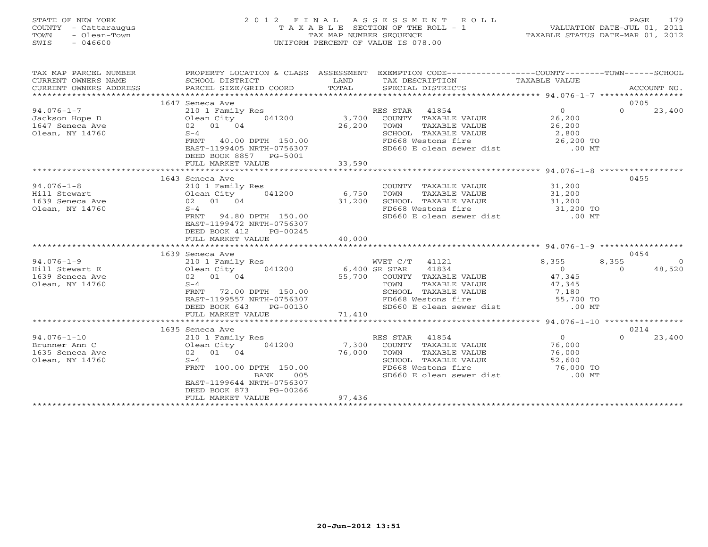#### STATE OF NEW YORK 2 0 1 2 F I N A L A S S E S S M E N T R O L L PAGE 179 COUNTY - Cattaraugus T A X A B L E SECTION OF THE ROLL - 1 VALUATION DATE-JUL 01, 2011 TOWN - Olean-Town TAX MAP NUMBER SEQUENCE TAXABLE STATUS DATE-MAR 01, 2012 SWIS - 046600 UNIFORM PERCENT OF VALUE IS 078.00UNIFORM PERCENT OF VALUE IS 078.00

| TAX MAP PARCEL NUMBER<br>CURRENT OWNERS NAME<br>CURRENT OWNERS ADDRESS | SCHOOL DISTRICT<br>PARCEL SIZE/GRID COORD | LAND<br>TOTAL | PROPERTY LOCATION & CLASS ASSESSMENT EXEMPTION CODE---------------COUNTY-------TOWN------SCHOOL<br>TAX DESCRIPTION TAXABLE VALUE<br>SPECIAL DISTRICTS |                        |                  | ACCOUNT NO. |
|------------------------------------------------------------------------|-------------------------------------------|---------------|-------------------------------------------------------------------------------------------------------------------------------------------------------|------------------------|------------------|-------------|
|                                                                        |                                           |               |                                                                                                                                                       |                        | 0705             |             |
| $94.076 - 1 - 7$                                                       | 1647 Seneca Ave<br>210 1 Family Res       |               | RES STAR 41854                                                                                                                                        | $\Omega$               | $\Omega$         | 23,400      |
| Jackson Hope D                                                         | Olean City                                | 041200 3,700  | COUNTY TAXABLE VALUE                                                                                                                                  | 26,200                 |                  |             |
| 1647 Seneca Ave                                                        | 02 01 04                                  | 26,200        | TOWN<br>TAXABLE VALUE                                                                                                                                 | 26,200                 |                  |             |
| Olean, NY 14760                                                        | $S-4$                                     |               | SCHOOL TAXABLE VALUE                                                                                                                                  |                        |                  |             |
|                                                                        | FRNT<br>40.00 DPTH 150.00                 |               | FD668 Westons fire                                                                                                                                    | LUE 2,800<br>26,200 TO |                  |             |
|                                                                        | EAST-1199405 NRTH-0756307                 |               | SD660 E olean sewer dist .00 MT                                                                                                                       |                        |                  |             |
|                                                                        | DEED BOOK 8857 PG-5001                    |               |                                                                                                                                                       |                        |                  |             |
|                                                                        | FULL MARKET VALUE                         | 33,590        |                                                                                                                                                       |                        |                  |             |
|                                                                        | **********************************        |               |                                                                                                                                                       |                        |                  |             |
|                                                                        | 1643 Seneca Ave                           |               |                                                                                                                                                       |                        | 0455             |             |
| $94.076 - 1 - 8$                                                       | 210 1 Family Res                          |               | COUNTY TAXABLE VALUE 31,200                                                                                                                           |                        |                  |             |
| Hill Stewart                                                           | 041200<br>Olean City                      | 6,750         | TAXABLE VALUE<br>TOWN                                                                                                                                 |                        |                  |             |
| 1639 Seneca Ave                                                        | 02 01 04                                  | 31,200        | SCHOOL TAXABLE VALUE                                                                                                                                  | 31,200<br>31,200       |                  |             |
| Olean, NY 14760                                                        | $S-4$                                     |               | FD668 Westons fire                                                                                                                                    | 31,200 TO              |                  |             |
|                                                                        | 94.80 DPTH 150.00<br>FRNT                 |               | SD660 E olean sewer dist                                                                                                                              | $.00$ MT               |                  |             |
|                                                                        | EAST-1199472 NRTH-0756307                 |               |                                                                                                                                                       |                        |                  |             |
|                                                                        | DEED BOOK 412<br>PG-00245                 |               |                                                                                                                                                       |                        |                  |             |
|                                                                        | FULL MARKET VALUE                         | 40,000        |                                                                                                                                                       |                        |                  |             |
|                                                                        |                                           |               |                                                                                                                                                       |                        |                  |             |
|                                                                        | 1639 Seneca Ave                           |               |                                                                                                                                                       |                        | 0454             |             |
| $94.076 - 1 - 9$                                                       | 210 1 Family Res                          |               | WVET C/T 41121                                                                                                                                        | 8,355                  | 8,355            | $\Omega$    |
| Hill Stewart E                                                         | Olean City 041200 6,400 SR STAR           |               | 41834                                                                                                                                                 | $\overline{0}$         | $\Omega$         | 48,520      |
| 1639 Seneca Ave                                                        | 02 01 04                                  |               | 55,700 COUNTY TAXABLE VALUE                                                                                                                           | 47,345                 |                  |             |
| Olean, NY 14760                                                        | $S-4$                                     |               | TOWN<br>TAXABLE VALUE                                                                                                                                 | 47,345                 |                  |             |
|                                                                        | FRNT<br>72.00 DPTH 150.00                 |               | SCHOOL TAXABLE VALUE                                                                                                                                  | 7,180                  |                  |             |
|                                                                        | EAST-1199557 NRTH-0756307                 |               | FD668 Westons fire<br>FD668 Westons fire 55,700 TO<br>SD660 E olean sewer dist .00 MT                                                                 |                        |                  |             |
|                                                                        | DEED BOOK 643<br>PG-00130                 |               |                                                                                                                                                       |                        |                  |             |
| 71,410<br>FULL MARKET VALUE<br>*********************************       |                                           |               |                                                                                                                                                       |                        |                  |             |
|                                                                        |                                           |               |                                                                                                                                                       |                        |                  |             |
| $94.076 - 1 - 10$                                                      | 1635 Seneca Ave                           |               |                                                                                                                                                       | $\Omega$               | 0214<br>$\Omega$ |             |
|                                                                        | 210 1 Family Res<br>Olean City            | 7,300         | RES STAR<br>41854<br>COUNTY TAXABLE VALUE                                                                                                             | 76,000                 |                  | 23,400      |
| Brunner Ann C                                                          | 041200<br>02 01 04                        | 76,000        | TAXABLE VALUE                                                                                                                                         | 76,000                 |                  |             |
| 1635 Seneca Ave<br>Olean, NY 14760                                     | $S-4$                                     |               | TOWN                                                                                                                                                  |                        |                  |             |
|                                                                        | FRNT 100.00 DPTH 150.00                   |               | SCHOOL TAXABLE VALUE 52,600<br>FD668 Westons fire 76,000 TO<br>SD660 E olean sewer dist .00 MT                                                        |                        |                  |             |
|                                                                        | 005<br>BANK                               |               |                                                                                                                                                       |                        |                  |             |
|                                                                        | EAST-1199644 NRTH-0756307                 |               |                                                                                                                                                       |                        |                  |             |
|                                                                        | DEED BOOK 873<br>PG-00266                 |               |                                                                                                                                                       |                        |                  |             |
|                                                                        | FULL MARKET VALUE                         | 97,436        |                                                                                                                                                       |                        |                  |             |
|                                                                        |                                           |               |                                                                                                                                                       |                        |                  |             |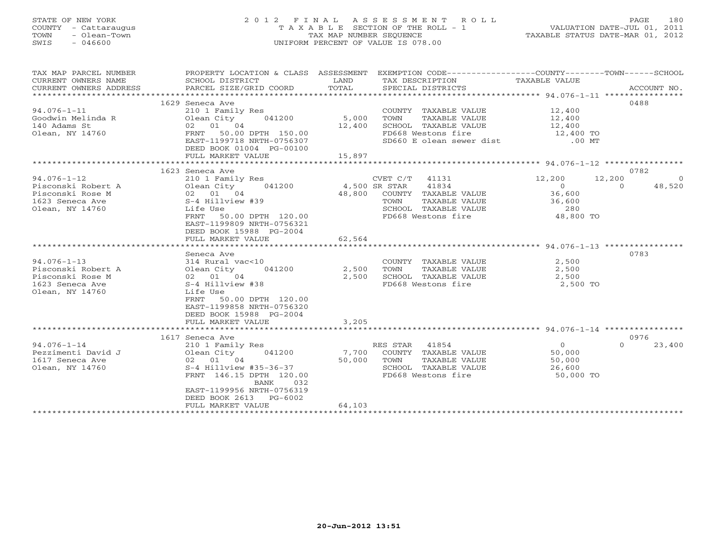#### STATE OF NEW YORK 2 0 1 2 F I N A L A S S E S S M E N T R O L L PAGE 180 COUNTY - Cattaraugus T A X A B L E SECTION OF THE ROLL - 1 VALUATION DATE-JUL 01, 2011 TOWN - Olean-Town TAX MAP NUMBER SEQUENCE TAXABLE STATUS DATE-MAR 01, 2012 SWIS - 046600 UNIFORM PERCENT OF VALUE IS 078.00UNIFORM PERCENT OF VALUE IS 078.00

| TAX MAP PARCEL NUMBER     | PROPERTY LOCATION & CLASS ASSESSMENT |               | EXEMPTION CODE-----------------COUNTY-------TOWN------SCHOOL |                                       |                    |
|---------------------------|--------------------------------------|---------------|--------------------------------------------------------------|---------------------------------------|--------------------|
| CURRENT OWNERS NAME       | SCHOOL DISTRICT                      | LAND          | TAX DESCRIPTION                                              | TAXABLE VALUE                         |                    |
| CURRENT OWNERS ADDRESS    | PARCEL SIZE/GRID COORD               | TOTAL         | SPECIAL DISTRICTS                                            |                                       | ACCOUNT NO.        |
| ************************* |                                      |               |                                                              |                                       |                    |
|                           | 1629 Seneca Ave                      |               |                                                              |                                       | 0488               |
| 94.076-1-11               | 210 1 Family Res                     |               | COUNTY TAXABLE VALUE 12,400                                  |                                       |                    |
| Goodwin Melinda R         | Olean City                           | 041200 5,000  | TOWN<br>TAXABLE VALUE                                        | 12,400                                |                    |
| 140 Adams St              | 02 01 04                             |               | SCHOOL TAXABLE VALUE                                         |                                       |                    |
| Olean, NY 14760           | FRNT 50.00 DPTH 150.00               | 12,400        | FD668 Westons fire                                           | 12,400<br>12,400 TO                   |                    |
|                           | EAST-1199718 NRTH-0756307            |               | SD660 E olean sewer dist .00 MT                              |                                       |                    |
|                           | DEED BOOK 01004 PG-00100             |               |                                                              |                                       |                    |
|                           | FULL MARKET VALUE                    | 15,897        |                                                              |                                       |                    |
|                           |                                      |               |                                                              |                                       |                    |
|                           | 1623 Seneca Ave                      |               |                                                              |                                       | 0782               |
| $94.076 - 1 - 12$         | 210 1 Family Res                     |               | CVET C/T 41131                                               | 12,200                                | 12,200<br>$\Omega$ |
| Pisconski Robert A        | Olean City 041200                    | 4,500 SR STAR | 41834                                                        | $\overline{0}$                        | 48,520<br>$\Omega$ |
| Pisconski Rose M          |                                      |               | 48,800 COUNTY TAXABLE VALUE                                  | 36,600                                |                    |
| 1623 Seneca Ave           | S-4 Hillview #39                     |               | TAXABLE VALUE<br>TOWN                                        | 36,600                                |                    |
| Olean, NY 14760           | Life Use                             |               |                                                              | 280                                   |                    |
|                           | FRNT 50.00 DPTH 120.00               |               |                                                              | 48,800 TO                             |                    |
|                           | EAST-1199809 NRTH-0756321            |               | FD668 Westons fire                                           |                                       |                    |
|                           | DEED BOOK 15988 PG-2004              |               |                                                              |                                       |                    |
|                           | FULL MARKET VALUE                    | 62,564        |                                                              |                                       |                    |
|                           |                                      |               |                                                              |                                       |                    |
|                           | Seneca Ave                           |               |                                                              |                                       | 0783               |
| $94.076 - 1 - 13$         | 314 Rural vac<10                     |               | COUNTY TAXABLE VALUE                                         | 2,500                                 |                    |
| Pisconski Robert A        | Olean City 041200                    | 2,500         | TAXABLE VALUE<br>TOWN                                        | 2,500                                 |                    |
| Pisconski Rose M          | Olean Cıty<br>02 01 04               | 2,500         | SCHOOL TAXABLE VALUE                                         | 2,500                                 |                    |
|                           | S-4 Hillview #38                     |               |                                                              |                                       |                    |
| 1623 Seneca Ave           |                                      |               | FD668 Westons fire 3,500 TO                                  |                                       |                    |
| Olean, NY 14760           | Life Use                             |               |                                                              |                                       |                    |
|                           | 50.00 DPTH 120.00<br>FRNT            |               |                                                              |                                       |                    |
|                           | EAST-1199858 NRTH-0756320            |               |                                                              |                                       |                    |
|                           | DEED BOOK 15988 PG-2004              |               |                                                              |                                       |                    |
|                           | FULL MARKET VALUE                    | 3,205         |                                                              |                                       |                    |
|                           |                                      |               |                                                              |                                       |                    |
|                           | 1617 Seneca Ave                      |               |                                                              | $\begin{array}{c} 0 \\ 5 \end{array}$ | 0976               |
| $94.076 - 1 - 14$         | 210 1 Family Res                     |               | RES STAR 41854                                               |                                       | $\Omega$<br>23,400 |
| Pezzimenti David J        | Olean City 041200                    |               | 7,700 COUNTY TAXABLE VALUE                                   | 50,000                                |                    |
| 1617 Seneca Ave           | 02 01 04                             | 50,000        | TOWN<br>TAXABLE VALUE                                        | 50,000                                |                    |
| Olean, NY 14760           | S-4 Hillview #35-36-37               |               | SCHOOL TAXABLE VALUE                                         | 26,600                                |                    |
|                           | FRNT 146.15 DPTH 120.00              |               | FD668 Westons fire                                           | 50,000 TO                             |                    |
|                           | BANK<br>032                          |               |                                                              |                                       |                    |
|                           | EAST-1199956 NRTH-0756319            |               |                                                              |                                       |                    |
|                           | DEED BOOK 2613 PG-6002               |               |                                                              |                                       |                    |
|                           | FULL MARKET VALUE                    | 64,103        |                                                              |                                       |                    |
|                           |                                      |               |                                                              |                                       |                    |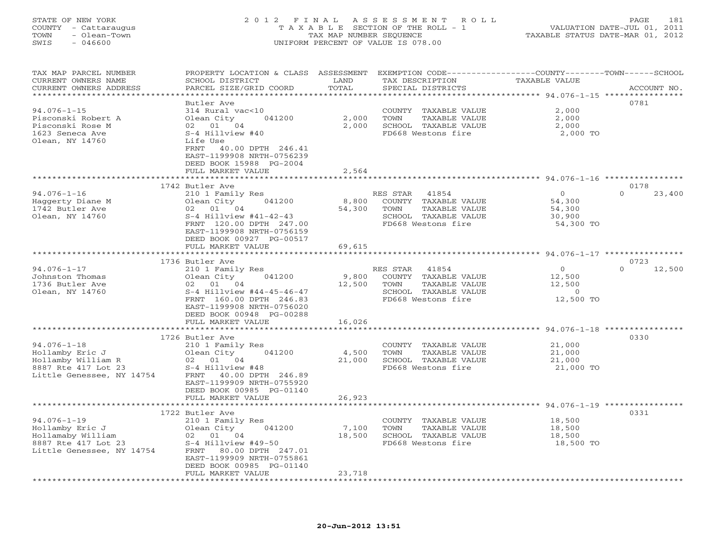# STATE OF NEW YORK 2 0 1 2 F I N A L A S S E S S M E N T R O L L PAGE 181 COUNTY - Cattaraugus T A X A B L E SECTION OF THE ROLL - 1 VALUATION DATE-JUL 01, 2011 TOWN - Olean-Town TAX MAP NUMBER SEQUENCE TAXABLE STATUS DATE-MAR 01, 2012 SWIS - 046600 UNIFORM PERCENT OF VALUE IS 078.00UNIFORM PERCENT OF VALUE IS 078.00

| TAX MAP PARCEL NUMBER<br>CURRENT OWNERS NAME<br>CURRENT OWNERS ADDRESS      | PROPERTY LOCATION & CLASS ASSESSMENT<br>SCHOOL DISTRICT<br>PARCEL SIZE/GRID COORD                                                                                       | LAND<br>TOTAL       | EXEMPTION CODE-----------------COUNTY-------TOWN------SCHOOL<br>TAX DESCRIPTION<br>SPECIAL DISTRICTS             | TAXABLE VALUE                                                | ACCOUNT NO.        |
|-----------------------------------------------------------------------------|-------------------------------------------------------------------------------------------------------------------------------------------------------------------------|---------------------|------------------------------------------------------------------------------------------------------------------|--------------------------------------------------------------|--------------------|
|                                                                             |                                                                                                                                                                         | ******              |                                                                                                                  | ******** 94.076-1-15 ***                                     | ************       |
| $94.076 - 1 - 15$<br>Pisconski Robert A<br>Pisconski Rose M                 | Butler Ave<br>314 Rural vac<10<br>Olean City<br>041200<br>02 01 04                                                                                                      | 2,000<br>2,000      | COUNTY TAXABLE VALUE<br>TAXABLE VALUE<br>TOWN<br>SCHOOL TAXABLE VALUE                                            | 2,000<br>2,000<br>2,000                                      | 0781               |
| 1623 Seneca Ave<br>Olean, NY 14760                                          | $S-4$ Hillview #40<br>Life Use<br>FRNT<br>40.00 DPTH 246.41<br>EAST-1199908 NRTH-0756239<br>DEED BOOK 15988 PG-2004<br>FULL MARKET VALUE                                | 2,564               | FD668 Westons fire                                                                                               | 2,000 TO                                                     |                    |
|                                                                             | * * * * * * * * * * * * * * * * * * *                                                                                                                                   |                     |                                                                                                                  | ******************************* 94.076-1-16 **************** |                    |
|                                                                             | 1742 Butler Ave                                                                                                                                                         |                     |                                                                                                                  |                                                              | 0178               |
| $94.076 - 1 - 16$<br>Haggerty Diane M<br>1742 Butler Ave<br>Olean, NY 14760 | 210 1 Family Res<br>041200<br>Olean City<br>01 04<br>02<br>$S-4$ Hillview #41-42-43<br>FRNT 120.00 DPTH 247.00<br>EAST-1199908 NRTH-0756159<br>DEED BOOK 00927 PG-00517 | 8,800<br>54,300     | 41854<br>RES STAR<br>COUNTY TAXABLE VALUE<br>TAXABLE VALUE<br>TOWN<br>SCHOOL TAXABLE VALUE<br>FD668 Westons fire | $\circ$<br>54,300<br>54,300<br>30,900<br>54,300 TO           | $\Omega$<br>23,400 |
|                                                                             | FULL MARKET VALUE                                                                                                                                                       | 69,615              |                                                                                                                  |                                                              |                    |
|                                                                             |                                                                                                                                                                         |                     |                                                                                                                  | ** 94.076-1-17 ********                                      |                    |
|                                                                             | 1736 Butler Ave                                                                                                                                                         |                     |                                                                                                                  |                                                              | 0723               |
| $94.076 - 1 - 17$                                                           | 210 1 Family Res                                                                                                                                                        |                     | 41854<br>RES STAR                                                                                                | $\overline{0}$                                               | $\Omega$<br>12,500 |
| Johnston Thomas                                                             | 041200<br>Olean City                                                                                                                                                    | 9,800               | COUNTY TAXABLE VALUE                                                                                             | 12,500                                                       |                    |
| 1736 Butler Ave                                                             | 02 01 04                                                                                                                                                                | 12,500              | TOWN<br>TAXABLE VALUE                                                                                            | 12,500                                                       |                    |
| Olean, NY 14760                                                             | S-4 Hillview #44-45-46-47<br>FRNT 160.00 DPTH 246.83<br>EAST-1199908 NRTH-0756020                                                                                       |                     | SCHOOL TAXABLE VALUE<br>FD668 Westons fire                                                                       | $\overline{0}$<br>12,500 TO                                  |                    |
|                                                                             | DEED BOOK 00948 PG-00288<br>FULL MARKET VALUE                                                                                                                           | 16,026              |                                                                                                                  |                                                              |                    |
|                                                                             |                                                                                                                                                                         |                     |                                                                                                                  | ***************** 94.076-1-18 ****************               |                    |
|                                                                             | 1726 Butler Ave                                                                                                                                                         |                     |                                                                                                                  |                                                              | 0330               |
| $94.076 - 1 - 18$                                                           | 210 1 Family Res                                                                                                                                                        |                     | COUNTY TAXABLE VALUE                                                                                             | 21,000                                                       |                    |
| Hollamby Eric J<br>Hollamby William R                                       | 041200<br>Olean City<br>02 01 04                                                                                                                                        | 4,500<br>21,000     | TOWN<br>TAXABLE VALUE<br>SCHOOL TAXABLE VALUE                                                                    | 21,000<br>21,000                                             |                    |
| 8887 Rte 417 Lot 23                                                         | S-4 Hillview #48                                                                                                                                                        |                     | FD668 Westons fire                                                                                               | 21,000 TO                                                    |                    |
| Little Genessee, NY 14754                                                   | FRNT<br>40.00 DPTH 246.89<br>EAST-1199909 NRTH-0755920<br>DEED BOOK 00985 PG-01140                                                                                      |                     |                                                                                                                  |                                                              |                    |
|                                                                             | FULL MARKET VALUE                                                                                                                                                       | 26,923              |                                                                                                                  |                                                              |                    |
|                                                                             |                                                                                                                                                                         | * * * * * * * * * * |                                                                                                                  | ********************* 94.076-1-19 *****************          |                    |
|                                                                             | 1722 Butler Ave                                                                                                                                                         |                     |                                                                                                                  |                                                              | 0331               |
| $94.076 - 1 - 19$<br>Hollamby Eric J                                        | 210 1 Family Res<br>Olean City<br>041200                                                                                                                                | 7,100               | COUNTY TAXABLE VALUE<br>TOWN<br>TAXABLE VALUE                                                                    | 18,500<br>18,500                                             |                    |
|                                                                             | 02                                                                                                                                                                      | 18,500              | SCHOOL TAXABLE VALUE                                                                                             |                                                              |                    |
| Hollamaby William<br>8887 Rte 417 Lot 23                                    | 01 04<br>$S-4$ Hillview #49-50                                                                                                                                          |                     | FD668 Westons fire                                                                                               | 18,500<br>18,500 TO                                          |                    |
| Little Genessee, NY 14754                                                   | FRNT<br>80.00 DPTH 247.01                                                                                                                                               |                     |                                                                                                                  |                                                              |                    |
|                                                                             | EAST-1199909 NRTH-0755861                                                                                                                                               |                     |                                                                                                                  |                                                              |                    |
|                                                                             | DEED BOOK 00985 PG-01140                                                                                                                                                |                     |                                                                                                                  |                                                              |                    |
|                                                                             | FULL MARKET VALUE                                                                                                                                                       | 23,718              |                                                                                                                  |                                                              |                    |
|                                                                             |                                                                                                                                                                         |                     |                                                                                                                  |                                                              |                    |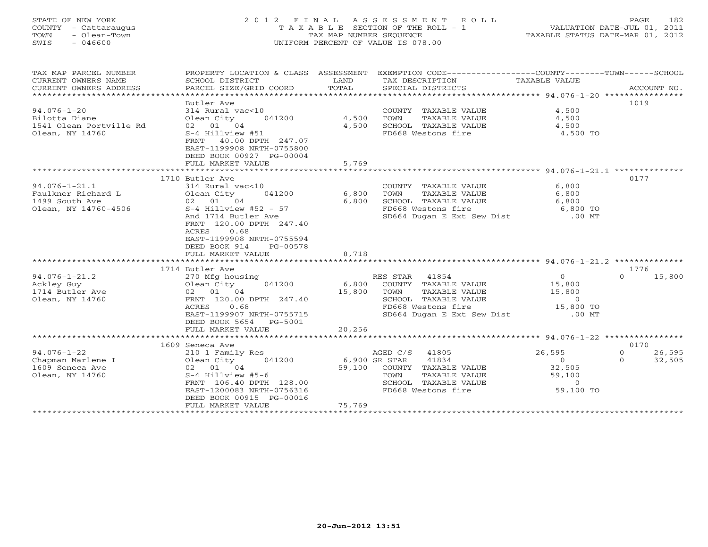| STATE OF NEW YORK<br>COUNTY<br>- Cattaraugus<br>TOWN<br>- Olean-Town<br>$-046600$<br>SWIS |                                                                                                                                                                                                                                                      | TAX MAP NUMBER SEQUENCE   | 2012 FINAL ASSESSMENT ROLL<br>TAXABLE SECTION OF THE ROLL - 1<br>UNIFORM PERCENT OF VALUE IS 078.00                                                | VALUATION DATE-JUL 01, 2011<br>TAXABLE STATUS DATE-MAR 01, 2012 | 182<br>PAGE.               |
|-------------------------------------------------------------------------------------------|------------------------------------------------------------------------------------------------------------------------------------------------------------------------------------------------------------------------------------------------------|---------------------------|----------------------------------------------------------------------------------------------------------------------------------------------------|-----------------------------------------------------------------|----------------------------|
| TAX MAP PARCEL NUMBER<br>CURRENT OWNERS NAME<br>CURRENT OWNERS ADDRESS                    | PROPERTY LOCATION & CLASS ASSESSMENT EXEMPTION CODE---------------COUNTY-------TOWN-----SCHOOL<br>SCHOOL DISTRICT<br>PARCEL SIZE/GRID COORD                                                                                                          | LAND<br>TOTAL             | TAX DESCRIPTION<br>SPECIAL DISTRICTS                                                                                                               | TAXABLE VALUE                                                   | ACCOUNT NO.                |
| $94.076 - 1 - 20$<br>Bilotta Diane<br>1541 Olean Portville Rd<br>Olean, NY 14760          | Butler Ave<br>314 Rural vac<10<br>Olean City<br>041200<br>02 01 04<br>S-4 Hillview #51<br>40.00 DPTH 247.07<br>FRNT<br>EAST-1199908 NRTH-0755800<br>DEED BOOK 00927 PG-00004<br>FULL MARKET VALUE                                                    | 4,500<br>4,500<br>5,769   | COUNTY TAXABLE VALUE<br>TAXABLE VALUE<br>TOWN<br>SCHOOL TAXABLE VALUE<br>FD668 Westons fire                                                        | 4,500<br>4,500<br>4,500<br>$4,500$ TO                           | 1019                       |
|                                                                                           |                                                                                                                                                                                                                                                      |                           |                                                                                                                                                    |                                                                 |                            |
| $94.076 - 1 - 21.1$<br>Faulkner Richard L<br>1499 South Ave<br>Olean, NY 14760-4506       | 1710 Butler Ave<br>314 Rural vac<10<br>Olean City<br>041200<br>02 01 04<br>$S-4$ Hillview #52 - 57<br>And 1714 Butler Ave<br>FRNT 120.00 DPTH 247.40<br>0.68<br>ACRES<br>EAST-1199908 NRTH-0755594<br>DEED BOOK 914<br>PG-00578<br>FULL MARKET VALUE | 6,800<br>6,800<br>8,718   | COUNTY TAXABLE VALUE<br>TAXABLE VALUE<br>TOWN<br>SCHOOL TAXABLE VALUE<br>FD668 Westons fire<br>SD664 Dugan E Ext Sew Dist .00 MT                   | 6,800<br>6,800<br>6,800<br>$6,800$ TO                           | 0177                       |
|                                                                                           |                                                                                                                                                                                                                                                      |                           |                                                                                                                                                    |                                                                 |                            |
| $94.076 - 1 - 21.2$<br>Ackley Guy<br>1714 Butler Ave<br>Olean, NY 14760                   | 1714 Butler Ave<br>270 Mfg housing<br>Olean City<br>041200<br>02 01 04<br>FRNT 120.00 DPTH 247.40<br>0.68<br>ACRES<br>EAST-1199907 NRTH-0755715<br>DEED BOOK 5654<br>PG-5001<br>FULL MARKET VALUE                                                    | 6,800<br>15,800<br>20,256 | RES STAR 41854<br>COUNTY TAXABLE VALUE<br>TAXABLE VALUE<br>TOWN<br>SCHOOL TAXABLE VALUE<br>FD668 Westons fire<br>SD664 Dugan E Ext Sew Dist .00 MT | 0<br>15,800<br>15,800<br>$\Omega$<br>15,800 TO                  | 1776<br>15,800<br>$\Omega$ |
|                                                                                           | *******************                                                                                                                                                                                                                                  |                           |                                                                                                                                                    |                                                                 |                            |

|                   | 1609 Seneca Ave           |                  |                    |           | 0170   |
|-------------------|---------------------------|------------------|--------------------|-----------|--------|
| 94.076-1-22       | 210 1 Family Res          | AGED C/S         | 41805              | 26,595    | 26,595 |
| Chapman Marlene I | Olean City<br>041200      | 6,900 SR STAR    | 41834              |           | 32,505 |
| 1609 Seneca Ave   | 01<br>04<br>02            | 59,100<br>COUNTY | TAXABLE VALUE      | 32,505    |        |
| Olean, NY 14760   | $S-4$ Hillview #5-6       | TOWN             | TAXABLE VALUE      | 59,100    |        |
|                   | FRNT 106.40 DPTH 128.00   | SCHOOL           | TAXABLE VALUE      |           |        |
|                   | EAST-1200083 NRTH-0756316 |                  | FD668 Westons fire | 59,100 TO |        |
|                   | DEED BOOK 00915 PG-00016  |                  |                    |           |        |
|                   | FULL MARKET VALUE         | 75,769           |                    |           |        |
|                   |                           |                  |                    |           |        |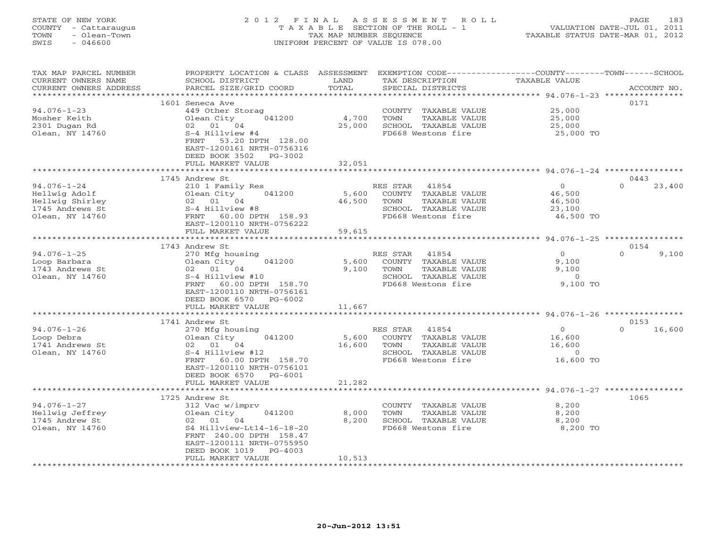| STATE OF NEW YORK<br>COUNTY - Cattaraugus<br>- Olean-Town<br>TOWN<br>SWIS<br>- 046600 | 2012 FINAL ASSESSMENT ROLL<br>T A X A B L E SECTION OF THE ROLL - 1<br>TAX MAP NUMBER SEOUENCE<br>UNIFORM PERCENT OF VALUE IS 078.00 | 183<br>PAGE<br>VALUATION DATE-JUL 01, 2011<br>TAXABLE STATUS DATE-MAR 01, 2012 |
|---------------------------------------------------------------------------------------|--------------------------------------------------------------------------------------------------------------------------------------|--------------------------------------------------------------------------------|
| TAX MAP PARCEL NUMBER                                                                 | PROPERTY LOCATION & CLASS ASSESSMENT EXEMPTION CODE----------------COUNTY-----                                                       | – TOWN –<br>-SCHOOL                                                            |

| CURRENT OWNERS NAME    | SCHOOL DISTRICT             | LAND          | TAX DESCRIPTION              | TAXABLE VALUE                                    |                    |
|------------------------|-----------------------------|---------------|------------------------------|--------------------------------------------------|--------------------|
| CURRENT OWNERS ADDRESS | PARCEL SIZE/GRID COORD      | TOTAL         | SPECIAL DISTRICTS            |                                                  | ACCOUNT NO.        |
|                        |                             | * * * * * * * |                              | ********** 94.076-1-23 *****************         |                    |
|                        | 1601 Seneca Ave             |               |                              |                                                  | 0171               |
| $94.076 - 1 - 23$      | 449 Other Storag            |               | COUNTY TAXABLE VALUE         | 25,000                                           |                    |
| Mosher Keith           | Olean City<br>041200        | 4,700         | <b>TAXABLE VALUE</b><br>TOWN | 25,000                                           |                    |
| 2301 Dugan Rd          | 02 01 04                    | 25,000        | SCHOOL TAXABLE VALUE         | 25,000                                           |                    |
| Olean, NY 14760        | S-4 Hillview #4             |               | FD668 Westons fire           | 25,000 TO                                        |                    |
|                        | 53.20 DPTH 128.00<br>FRNT   |               |                              |                                                  |                    |
|                        |                             |               |                              |                                                  |                    |
|                        | EAST-1200161 NRTH-0756316   |               |                              |                                                  |                    |
|                        | DEED BOOK 3502<br>PG-3002   |               |                              |                                                  |                    |
|                        | FULL MARKET VALUE           | 32,051        |                              |                                                  |                    |
|                        |                             |               |                              |                                                  |                    |
|                        | 1745 Andrew St              |               |                              |                                                  | 0443               |
| $94.076 - 1 - 24$      | 210 1 Family Res            |               | RES STAR<br>41854            | $\overline{O}$                                   | $\Omega$<br>23,400 |
| Hellwig Adolf          | Olean City<br>041200        | 5,600         | COUNTY TAXABLE VALUE         | 46,500                                           |                    |
| Hellwig Shirley        | 02 01 04                    | 46,500        | TAXABLE VALUE<br>TOWN        | 46,500                                           |                    |
| 1745 Andrews St        | S-4 Hillview #8             |               | SCHOOL TAXABLE VALUE         | 23,100                                           |                    |
| Olean, NY 14760        | FRNT 60.00 DPTH 158.93      |               | FD668 Westons fire           | 46,500 TO                                        |                    |
|                        | EAST-1200110 NRTH-0756222   |               |                              |                                                  |                    |
|                        | FULL MARKET VALUE           | 59,615        |                              |                                                  |                    |
|                        | **********************      |               |                              |                                                  |                    |
|                        | 1743 Andrew St              |               |                              |                                                  | 0154               |
|                        |                             |               |                              |                                                  | $\Omega$           |
| $94.076 - 1 - 25$      | 270 Mfg housing             |               | RES STAR<br>41854            | $\Omega$                                         | 9,100              |
| Loop Barbara           | 041200<br>Olean City        | 5,600         | COUNTY TAXABLE VALUE         | 9,100                                            |                    |
| 1743 Andrews St        | 02 01 04                    | 9,100         | TAXABLE VALUE<br>TOWN        | 9,100                                            |                    |
| Olean, NY 14760        | S-4 Hillview #10            |               | SCHOOL TAXABLE VALUE         | $\overline{0}$                                   |                    |
|                        | FRNT<br>60.00 DPTH 158.70   |               | FD668 Westons fire           | 9,100 TO                                         |                    |
|                        | EAST-1200110 NRTH-0756161   |               |                              |                                                  |                    |
|                        | DEED BOOK 6570 PG-6002      |               |                              |                                                  |                    |
|                        | FULL MARKET VALUE           | 11,667        |                              |                                                  |                    |
|                        | **********************      |               |                              |                                                  |                    |
|                        | 1741 Andrew St              |               |                              |                                                  | 0153               |
| $94.076 - 1 - 26$      | 270 Mfg housing             |               | RES STAR<br>41854            | $\circ$                                          | $\Omega$<br>16,600 |
| Loop Debra             | Olean City<br>041200        | 5,600         | COUNTY TAXABLE VALUE         | 16,600                                           |                    |
| 1741 Andrews St        | 02 01 04                    | 16,600        | TOWN<br>TAXABLE VALUE        | 16,600                                           |                    |
| Olean, NY 14760        | S-4 Hillview #12            |               | SCHOOL TAXABLE VALUE         | $\overline{0}$                                   |                    |
|                        | FRNT<br>60.00 DPTH 158.70   |               | FD668 Westons fire           | 16,600 TO                                        |                    |
|                        | EAST-1200110 NRTH-0756101   |               |                              |                                                  |                    |
|                        |                             |               |                              |                                                  |                    |
|                        | DEED BOOK 6570<br>$PG-6001$ |               |                              |                                                  |                    |
|                        | FULL MARKET VALUE           | 21,282        |                              |                                                  |                    |
|                        |                             |               |                              | ****************** 94.076-1-27 ***************** |                    |
|                        | 1725 Andrew St              |               |                              |                                                  | 1065               |
| $94.076 - 1 - 27$      | 312 Vac w/imprv             |               | COUNTY TAXABLE VALUE         | 8,200                                            |                    |
| Hellwig Jeffrey        | Olean City<br>041200        | 8,000         | TOWN<br>TAXABLE VALUE        | 8,200                                            |                    |
| 1745 Andrew St         | 02 01 04                    | 8,200         | SCHOOL TAXABLE VALUE         | 8,200                                            |                    |
| Olean, NY 14760        | S4 Hillview-Lt14-16-18-20   |               | FD668 Westons fire           | 8,200 TO                                         |                    |
|                        | FRNT 240.00 DPTH 158.47     |               |                              |                                                  |                    |
|                        | EAST-1200111 NRTH-0755950   |               |                              |                                                  |                    |
|                        | DEED BOOK 1019<br>$PG-4003$ |               |                              |                                                  |                    |
|                        | FULL MARKET VALUE           | 10,513        |                              |                                                  |                    |
|                        |                             |               |                              |                                                  |                    |
|                        |                             |               |                              |                                                  |                    |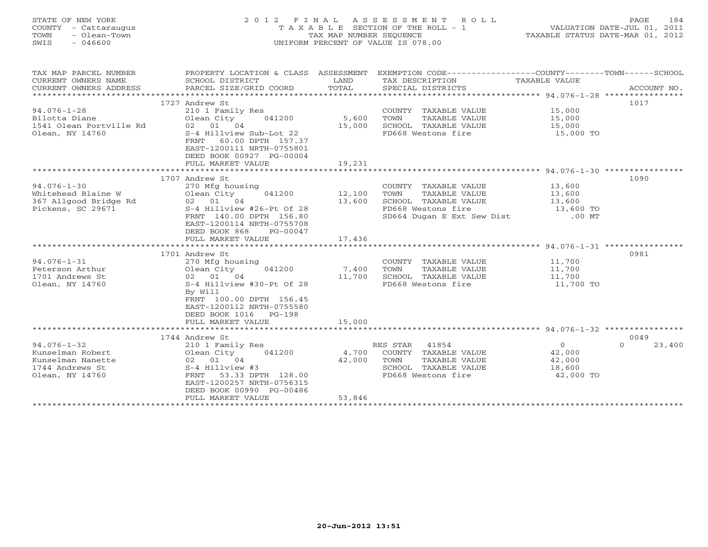| STATE OF NEW YORK<br>COUNTY - Cattaraugus<br>- Olean-Town<br>TOWN<br>SWIS<br>$-046600$           | A S S E S S M E N T<br>2012 FINAL<br>ROLL<br>T A X A B L E SECTION OF THE ROLL - 1<br>TAX MAP NUMBER SEQUENCE<br>UNIFORM PERCENT OF VALUE IS 078.00                                                  |                           |                                                                                                                           |                                                     | 184<br>PAGE<br>VALUATION DATE-JUL 01, 2011<br>TAXABLE STATUS DATE-MAR 01, 2012 |
|--------------------------------------------------------------------------------------------------|------------------------------------------------------------------------------------------------------------------------------------------------------------------------------------------------------|---------------------------|---------------------------------------------------------------------------------------------------------------------------|-----------------------------------------------------|--------------------------------------------------------------------------------|
| TAX MAP PARCEL NUMBER<br>CURRENT OWNERS NAME                                                     | PROPERTY LOCATION & CLASS ASSESSMENT<br>SCHOOL DISTRICT                                                                                                                                              | LAND                      | EXEMPTION CODE-----------------COUNTY-------TOWN-----SCHOOL<br>TAX DESCRIPTION                                            | TAXABLE VALUE                                       |                                                                                |
| CURRENT OWNERS ADDRESS                                                                           | PARCEL SIZE/GRID COORD                                                                                                                                                                               | TOTAL                     | SPECIAL DISTRICTS                                                                                                         |                                                     | ACCOUNT NO.                                                                    |
|                                                                                                  |                                                                                                                                                                                                      |                           |                                                                                                                           |                                                     |                                                                                |
| $94.076 - 1 - 28$<br>Bilotta Diane<br>1541 Olean Portville Rd<br>Olean, NY 14760                 | 1727 Andrew St<br>210 1 Family Res<br>Olean City<br>041200<br>02 01 04<br>S-4 Hillview Sub-Lot 22<br>60.00 DPTH 157.37<br>FRNT<br>EAST-1200111 NRTH-0755801                                          | 5,600<br>15,000           | COUNTY TAXABLE VALUE<br>TOWN<br>TAXABLE VALUE<br>SCHOOL TAXABLE VALUE<br>FD668 Westons fire                               | 15,000<br>15,000<br>15,000<br>15,000 TO             | 1017                                                                           |
|                                                                                                  | DEED BOOK 00927 PG-00004<br>FULL MARKET VALUE                                                                                                                                                        | 19,231                    |                                                                                                                           |                                                     |                                                                                |
|                                                                                                  | *************************                                                                                                                                                                            | *************             |                                                                                                                           |                                                     |                                                                                |
|                                                                                                  | 1707 Andrew St                                                                                                                                                                                       |                           |                                                                                                                           |                                                     | 1090                                                                           |
| $94.076 - 1 - 30$<br>Whitehead Blaine W<br>367 Allgood Bridge Rd<br>Pickens, SC 29671            | 270 Mfg housing<br>Olean City<br>041200<br>02 01 04<br>S-4 Hillview #26-Pt Of 28<br>FRNT 140.00 DPTH 156.80<br>EAST-1200114 NRTH-0755708<br>DEED BOOK 868<br>PG-00047                                | 12,100<br>13,600          | COUNTY TAXABLE VALUE<br>TAXABLE VALUE<br>TOWN<br>SCHOOL TAXABLE VALUE<br>FD668 Westons fire<br>SD664 Dugan E Ext Sew Dist | 13,600<br>13,600<br>13,600<br>13,600 TO<br>$.00$ MT |                                                                                |
|                                                                                                  | FULL MARKET VALUE                                                                                                                                                                                    | 17,436                    |                                                                                                                           |                                                     |                                                                                |
|                                                                                                  |                                                                                                                                                                                                      |                           |                                                                                                                           |                                                     |                                                                                |
| $94.076 - 1 - 31$<br>Peterson Arthur<br>1701 Andrews St<br>Olean, NY 14760                       | 1701 Andrew St<br>270 Mfg housing<br>Olean City<br>041200<br>02 01 04<br>S-4 Hillview #30-Pt Of 28<br>By Will<br>FRNT 100.00 DPTH 156.45<br>EAST-1200112 NRTH-0755580<br>DEED BOOK 1016 PG-198       | 7,400<br>11,700           | COUNTY TAXABLE VALUE<br>TAXABLE VALUE<br>TOWN<br>SCHOOL TAXABLE VALUE<br>FD668 Westons fire                               | 11,700<br>11,700<br>11,700<br>11,700 TO             | 0981                                                                           |
|                                                                                                  | FULL MARKET VALUE<br>**************************                                                                                                                                                      | 15,000                    |                                                                                                                           |                                                     |                                                                                |
|                                                                                                  |                                                                                                                                                                                                      |                           |                                                                                                                           |                                                     |                                                                                |
| $94.076 - 1 - 32$<br>Kunselman Robert<br>Kunselman Nanette<br>1744 Andrews St<br>Olean, NY 14760 | 1744 Andrew St<br>210 1 Family Res<br>Olean City<br>041200<br>02 01 04<br>S-4 Hillview #3<br>53.33 DPTH 128.00<br>FRNT<br>EAST-1200257 NRTH-0756315<br>DEED BOOK 00990 PG-00486<br>FULL MARKET VALUE | 4,700<br>42,000<br>53,846 | RES STAR<br>41854<br>COUNTY TAXABLE VALUE<br>TOWN<br>TAXABLE VALUE<br>SCHOOL TAXABLE VALUE<br>FD668 Westons fire          | $\Omega$<br>42,000<br>42,000<br>18,600<br>42,000 TO | 0049<br>$\Omega$<br>23,400                                                     |

\*\*\*\*\*\*\*\*\*\*\*\*\*\*\*\*\*\*\*\*\*\*\*\*\*\*\*\*\*\*\*\*\*\*\*\*\*\*\*\*\*\*\*\*\*\*\*\*\*\*\*\*\*\*\*\*\*\*\*\*\*\*\*\*\*\*\*\*\*\*\*\*\*\*\*\*\*\*\*\*\*\*\*\*\*\*\*\*\*\*\*\*\*\*\*\*\*\*\*\*\*\*\*\*\*\*\*\*\*\*\*\*\*\*\*\*\*\*\*\*\*\*\*\*\*\*\*\*\*\*\*\*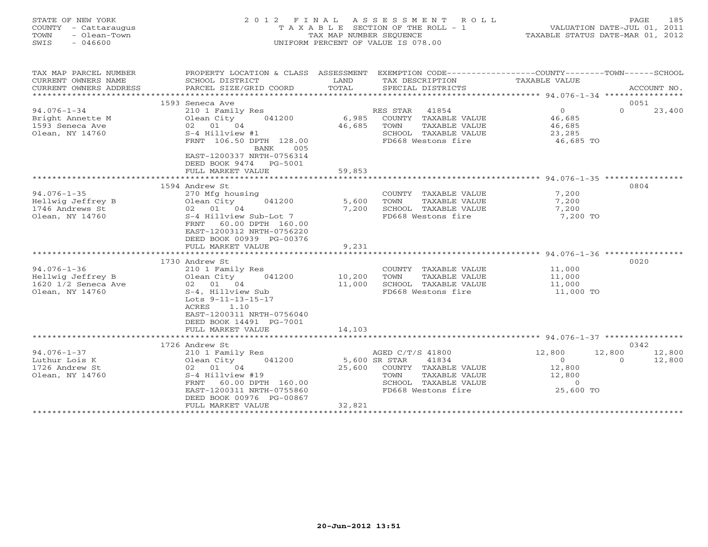| COUNTY<br>- Cattaraugus<br>TOWN<br>- Olean-Town<br>SWIS<br>$-046600$   |                                                                                                                                   |                   | T A X A B L E SECTION OF THE ROLL - 1<br>TAX MAP NUMBER SEQUENCE<br>UNIFORM PERCENT OF VALUE IS 078.00 | VALUATION DATE-JUL 01, 2011<br>TAXABLE STATUS DATE-MAR 01, 2012 |                    |  |
|------------------------------------------------------------------------|-----------------------------------------------------------------------------------------------------------------------------------|-------------------|--------------------------------------------------------------------------------------------------------|-----------------------------------------------------------------|--------------------|--|
| TAX MAP PARCEL NUMBER<br>CURRENT OWNERS NAME<br>CURRENT OWNERS ADDRESS | PROPERTY LOCATION & CLASS ASSESSMENT<br>SCHOOL DISTRICT<br>PARCEL SIZE/GRID COORD                                                 | LAND<br>TOTAL     | EXEMPTION CODE----------------COUNTY-------TOWN------SCHOOL<br>TAX DESCRIPTION<br>SPECIAL DISTRICTS    | TAXABLE VALUE                                                   | ACCOUNT NO.        |  |
|                                                                        | 1593 Seneca Ave                                                                                                                   |                   |                                                                                                        |                                                                 | 0051               |  |
| $94.076 - 1 - 34$                                                      | 210 1 Family Res                                                                                                                  |                   | 41854<br>RES STAR                                                                                      | $\overline{0}$                                                  | $\Omega$<br>23,400 |  |
| Bright Annette M                                                       | Olean City<br>041200                                                                                                              | 6,985             | COUNTY TAXABLE VALUE                                                                                   | 46,685                                                          |                    |  |
| 1593 Seneca Ave                                                        | 02 01 04                                                                                                                          | 46,685            | TOWN<br>TAXABLE VALUE                                                                                  | 46,685                                                          |                    |  |
| Olean, NY 14760                                                        | S-4 Hillview #1                                                                                                                   |                   | SCHOOL TAXABLE VALUE                                                                                   | 23,285                                                          |                    |  |
|                                                                        | FRNT 106.50 DPTH 128.00<br>BANK<br>005<br>EAST-1200337 NRTH-0756314<br>DEED BOOK 9474 PG-5001                                     |                   | FD668 Westons fire                                                                                     | 46,685 TO                                                       |                    |  |
|                                                                        | FULL MARKET VALUE                                                                                                                 | 59,853            |                                                                                                        |                                                                 |                    |  |
|                                                                        | 1594 Andrew St                                                                                                                    |                   |                                                                                                        |                                                                 | 0804               |  |
| $94.076 - 1 - 35$                                                      | 270 Mfg housing                                                                                                                   |                   | COUNTY TAXABLE VALUE                                                                                   | 7,200                                                           |                    |  |
| Hellwig Jeffrey B                                                      | Olean City<br>041200                                                                                                              | 5,600             | <b>TAXABLE VALUE</b><br>TOWN                                                                           | 7,200                                                           |                    |  |
| 1746 Andrews St                                                        | 02 01 04                                                                                                                          | 7,200             | SCHOOL TAXABLE VALUE                                                                                   | 7,200                                                           |                    |  |
| Olean, NY 14760                                                        | S-4 Hillview Sub-Lot 7<br>60.00 DPTH 160.00<br>FRNT<br>EAST-1200312 NRTH-0756220<br>DEED BOOK 00939 PG-00376<br>FULL MARKET VALUE | 9,231             | FD668 Westons fire                                                                                     | 7,200 TO                                                        |                    |  |
|                                                                        |                                                                                                                                   |                   |                                                                                                        | ****************** 94.076-1-36 ***                              |                    |  |
|                                                                        | 1730 Andrew St                                                                                                                    |                   |                                                                                                        |                                                                 | 0020               |  |
| $94.076 - 1 - 36$                                                      | 210 1 Family Res                                                                                                                  |                   | COUNTY TAXABLE VALUE                                                                                   | 11,000                                                          |                    |  |
| Hellwig Jeffrey B                                                      | Olean City<br>041200                                                                                                              | 10,200            | TAXABLE VALUE<br>TOWN                                                                                  | 11,000                                                          |                    |  |
| 1620 1/2 Seneca Ave                                                    | 02 01 04                                                                                                                          | 11,000            | SCHOOL TAXABLE VALUE                                                                                   | 11,000                                                          |                    |  |
| Olean, NY 14760                                                        | S-4, Hillview Sub<br>Lots $9-11-13-15-17$<br>1.10<br>ACRES<br>EAST-1200311 NRTH-0756040<br>DEED BOOK 14491 PG-7001                |                   | FD668 Westons fire                                                                                     | 11,000 TO                                                       |                    |  |
|                                                                        | FULL MARKET VALUE<br>***********************                                                                                      | 14,103            | ************************************ 94.076-1-37 *****************                                     |                                                                 |                    |  |
|                                                                        | 1726 Andrew St                                                                                                                    |                   |                                                                                                        |                                                                 | 0342               |  |
| $94.076 - 1 - 37$                                                      | 210 1 Family Res                                                                                                                  |                   | AGED C/T/S 41800                                                                                       | 12,800                                                          | 12,800<br>12,800   |  |
| Luthur Lois K                                                          | Olean City<br>041200                                                                                                              |                   | 5,600 SR STAR<br>41834                                                                                 | $\overline{0}$                                                  | $\Omega$<br>12,800 |  |
| 1726 Andrew St                                                         | 02 01 04                                                                                                                          | 25,600            | COUNTY TAXABLE VALUE                                                                                   | 12,800                                                          |                    |  |
| Olean, NY 14760                                                        | S-4 Hillview #19                                                                                                                  |                   | TOWN<br>TAXABLE VALUE                                                                                  | 12,800                                                          |                    |  |
|                                                                        | FRNT<br>60.00 DPTH 160.00<br>EAST-1200311 NRTH-0755860<br>DEED BOOK 00976 PG-00867                                                |                   | SCHOOL TAXABLE VALUE<br>FD668 Westons fire                                                             | $\Omega$<br>25,600 TO                                           |                    |  |
|                                                                        | FULL MARKET VALUE                                                                                                                 | 32,821            |                                                                                                        |                                                                 |                    |  |
|                                                                        | ***********************                                                                                                           | ***************** |                                                                                                        |                                                                 |                    |  |

STATE OF NEW YORK 2 0 1 2 F I N A L A S S E S S M E N T R O L L PAGE 185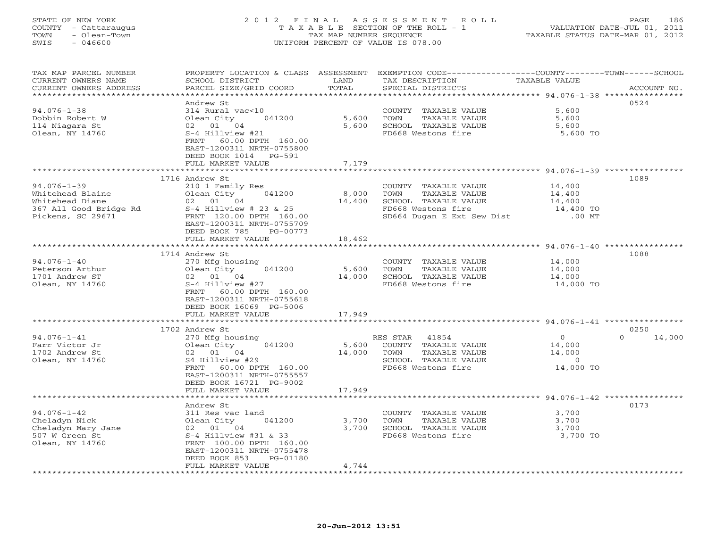#### STATE OF NEW YORK 2 0 1 2 F I N A L A S S E S S M E N T R O L L PAGE 186COUNTY - Cattaraugus T A X A B L E SECTION OF THE ROLL - 1 VALUATION DATE-JUL 01, 2011 TOWN - Olean-Town TAX MAP NUMBER SEQUENCE TAXABLE STATUS DATE-MAR 01, 2012<br>TAXABLE STATUS DATE-MAR 01, 2012 SWIS - 046600 UNIFORM PERCENT OF VALUE IS 078.00

| TAX MAP PARCEL NUMBER<br>CURRENT OWNERS NAME    | PROPERTY LOCATION & CLASS ASSESSMENT<br>SCHOOL DISTRICT<br>PARCEL SIZE/GRID COORD | LAND<br>TOTAL   | EXEMPTION CODE-----------------COUNTY-------TOWN------SCHOOL<br>TAX DESCRIPTION | TAXABLE VALUE                                      | ACCOUNT NO.        |
|-------------------------------------------------|-----------------------------------------------------------------------------------|-----------------|---------------------------------------------------------------------------------|----------------------------------------------------|--------------------|
| CURRENT OWNERS ADDRESS<br>********************* | ***********************                                                           |                 | SPECIAL DISTRICTS                                                               |                                                    |                    |
|                                                 | Andrew St                                                                         |                 |                                                                                 |                                                    | 0524               |
| $94.076 - 1 - 38$                               | 314 Rural vac<10                                                                  |                 | COUNTY TAXABLE VALUE                                                            | 5,600                                              |                    |
| Dobbin Robert W                                 | Olean City<br>041200                                                              | 5,600           | TAXABLE VALUE<br>TOWN                                                           | 5,600                                              |                    |
| 114 Niagara St                                  | 02 01 04                                                                          | 5,600           | SCHOOL TAXABLE VALUE                                                            | 5,600                                              |                    |
| Olean, NY 14760                                 | S-4 Hillview #21                                                                  |                 | FD668 Westons fire                                                              | 5,600 TO                                           |                    |
|                                                 | 60.00 DPTH 160.00<br>FRNT                                                         |                 |                                                                                 |                                                    |                    |
|                                                 | EAST-1200311 NRTH-0755800<br>DEED BOOK 1014 PG-591                                |                 |                                                                                 |                                                    |                    |
|                                                 | FULL MARKET VALUE                                                                 | 7,179           |                                                                                 |                                                    |                    |
|                                                 | ************************                                                          | ***********     |                                                                                 | ********************* 94.076-1-39 **************** |                    |
|                                                 | 1716 Andrew St                                                                    |                 |                                                                                 |                                                    | 1089               |
| $94.076 - 1 - 39$                               | 210 1 Family Res                                                                  |                 | COUNTY TAXABLE VALUE                                                            | 14,400                                             |                    |
| Whitehead Blaine                                | 041200<br>Olean City                                                              | 8,000           | TOWN<br>TAXABLE VALUE                                                           | 14,400                                             |                    |
| Whitehead Diane                                 | 02 01 04                                                                          | 14,400          | SCHOOL TAXABLE VALUE                                                            | 14,400                                             |                    |
| 367 All Good Bridge Rd                          | $S-4$ Hillview # 23 & 25                                                          |                 | FD668 Westons fire                                                              | 14,400 TO                                          |                    |
| Pickens, SC 29671                               | FRNT 120.00 DPTH 160.00<br>EAST-1200311 NRTH-0755709                              |                 | SD664 Dugan E Ext Sew Dist                                                      | .00 MT                                             |                    |
|                                                 | DEED BOOK 785<br>PG-00773                                                         |                 |                                                                                 |                                                    |                    |
|                                                 | FULL MARKET VALUE                                                                 | 18,462          |                                                                                 |                                                    |                    |
|                                                 | *********************                                                             | **************  | ***********************************94.076-1-40 ************                     |                                                    |                    |
|                                                 | 1714 Andrew St                                                                    |                 |                                                                                 |                                                    | 1088               |
| $94.076 - 1 - 40$                               | 270 Mfg housing                                                                   |                 | COUNTY TAXABLE VALUE                                                            | 14,000                                             |                    |
| Peterson Arthur                                 | Olean City 041200                                                                 | 5,600           | TAXABLE VALUE<br>TOWN                                                           | 14,000                                             |                    |
| 1701 Andrew ST                                  | $02$ 01 04<br>S-4 Hillyiew #27                                                    | 14,000          | SCHOOL TAXABLE VALUE                                                            | 14,000                                             |                    |
| Olean, NY 14760                                 | FRNT 60.00 DPTH 160.00                                                            |                 | FD668 Westons fire                                                              | 14,000 TO                                          |                    |
|                                                 | EAST-1200311 NRTH-0755618                                                         |                 |                                                                                 |                                                    |                    |
|                                                 | DEED BOOK 16069 PG-5006                                                           |                 |                                                                                 |                                                    |                    |
|                                                 | FULL MARKET VALUE                                                                 | 17,949          |                                                                                 |                                                    |                    |
|                                                 | **********************                                                            |                 |                                                                                 |                                                    |                    |
|                                                 | 1702 Andrew St                                                                    |                 |                                                                                 |                                                    | 0250               |
| $94.076 - 1 - 41$                               | 270 Mfg housing                                                                   |                 | RES STAR<br>41854                                                               | $\Omega$                                           | $\Omega$<br>14,000 |
| Farr Victor Jr<br>1702 Andrew St                | Olean City 041200<br>02 01 04                                                     | 5,600<br>14,000 | COUNTY TAXABLE VALUE<br>TAXABLE VALUE                                           | 14,000                                             |                    |
| Olean, NY 14760                                 | S4 Hillview #29                                                                   |                 | TOWN<br>SCHOOL TAXABLE VALUE                                                    | 14,000<br>$\sim$ 0                                 |                    |
|                                                 | 60.00 DPTH 160.00<br>FRNT                                                         |                 | FD668 Westons fire                                                              | 14,000 TO                                          |                    |
|                                                 | EAST-1200311 NRTH-0755557                                                         |                 |                                                                                 |                                                    |                    |
|                                                 | DEED BOOK 16721 PG-9002                                                           |                 |                                                                                 |                                                    |                    |
|                                                 | FULL MARKET VALUE                                                                 | 17,949          |                                                                                 |                                                    |                    |
|                                                 |                                                                                   |                 |                                                                                 |                                                    |                    |
| $94.076 - 1 - 42$                               | Andrew St                                                                         |                 | COUNTY TAXABLE VALUE                                                            | 3,700                                              | 0173               |
| Cheladyn Nick                                   | 311 Res vac land<br>Olean City<br>041200                                          | 3,700           | TAXABLE VALUE<br>TOWN                                                           | 3,700                                              |                    |
| Cheladyn Mary Jane                              | 02 01 04                                                                          | 3,700           | SCHOOL TAXABLE VALUE                                                            | 3,700                                              |                    |
| 507 W Green St                                  | $S-4$ Hillview #31 & 33                                                           |                 | FD668 Westons fire                                                              | 3,700 TO                                           |                    |
| Olean, NY 14760                                 | FRNT 100.00 DPTH 160.00                                                           |                 |                                                                                 |                                                    |                    |
|                                                 | EAST-1200311 NRTH-0755478                                                         |                 |                                                                                 |                                                    |                    |
|                                                 | DEED BOOK 853<br>PG-01180                                                         |                 |                                                                                 |                                                    |                    |
|                                                 | FULL MARKET VALUE                                                                 | 4,744           |                                                                                 |                                                    |                    |
|                                                 |                                                                                   |                 |                                                                                 |                                                    |                    |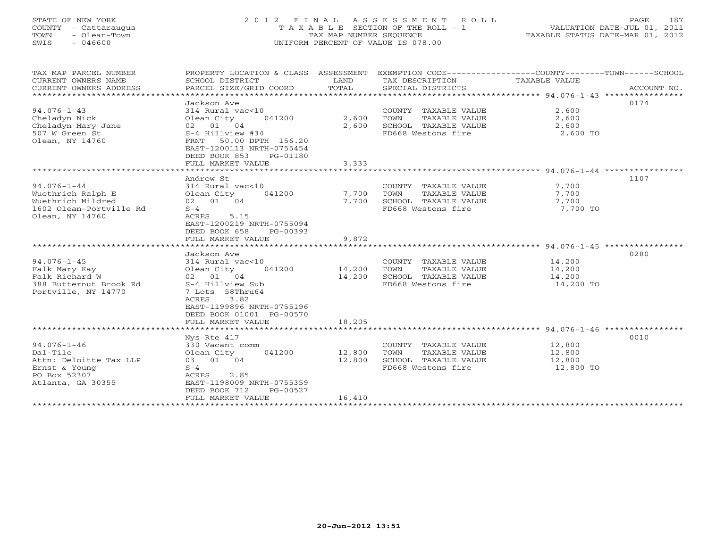# STATE OF NEW YORK 2 0 1 2 F I N A L A S S E S S M E N T R O L L PAGE 187 COUNTY - Cattaraugus T A X A B L E SECTION OF THE ROLL - 1 VALUATION DATE-JUL 01, 2011 TOWN - Olean-Town TAX MAP NUMBER SEQUENCE TAXABLE STATUS DATE-MAR 01, 2012 SWIS - 046600 UNIFORM PERCENT OF VALUE IS 078.00UNIFORM PERCENT OF VALUE IS 078.00

| TAX MAP PARCEL NUMBER<br>CURRENT OWNERS NAME<br>CURRENT OWNERS ADDRESS<br>*****************                   | PROPERTY LOCATION & CLASS ASSESSMENT<br>SCHOOL DISTRICT<br>PARCEL SIZE/GRID COORD                                                                                                                               | LAND<br>TOTAL              | TAX DESCRIPTION<br>SPECIAL DISTRICTS                                                        | EXEMPTION CODE-----------------COUNTY-------TOWN------SCHOOL<br>TAXABLE VALUE<br>ACCOUNT NO. |
|---------------------------------------------------------------------------------------------------------------|-----------------------------------------------------------------------------------------------------------------------------------------------------------------------------------------------------------------|----------------------------|---------------------------------------------------------------------------------------------|----------------------------------------------------------------------------------------------|
| $94.076 - 1 - 43$<br>Cheladyn Nick<br>Cheladyn Mary Jane<br>507 W Green St<br>Olean, NY 14760                 | Jackson Ave<br>314 Rural vac<10<br>Olean City<br>041200<br>02 01 04<br>S-4 Hillview #34<br>FRNT 50.00 DPTH 156.20<br>EAST-1200113 NRTH-0755454<br>DEED BOOK 853<br>PG-01180<br>FULL MARKET VALUE                | 2,600<br>2,600<br>3,333    | COUNTY TAXABLE VALUE<br>TAXABLE VALUE<br>TOWN<br>SCHOOL TAXABLE VALUE<br>FD668 Westons fire | 0174<br>2,600<br>2,600<br>2,600<br>2,600 TO                                                  |
| $94.076 - 1 - 44$<br>Wuethrich Ralph E<br>Wuethrich Mildred<br>1602 Olean-Portville Rd<br>Olean, NY 14760     | ***********************<br>Andrew St<br>314 Rural vac<10<br>Olean City<br>041200<br>02 01 04<br>$S-4$<br>5.15<br>ACRES<br>EAST-1200219 NRTH-0755094<br>DEED BOOK 658<br>PG-00393<br>FULL MARKET VALUE           | 7,700<br>7,700<br>9,872    | COUNTY TAXABLE VALUE<br>TOWN<br>TAXABLE VALUE<br>SCHOOL TAXABLE VALUE<br>FD668 Westons fire | 1107<br>7,700<br>7,700<br>7,700<br>7,700 TO                                                  |
| $94.076 - 1 - 45$<br>Falk Mary Kay<br>Falk Richard W<br>388 Butternut Brook Rd<br>Portville, NY 14770         | Jackson Ave<br>314 Rural vac<10<br>Olean City<br>041200<br>02 01 04<br>S-4 Hillview Sub<br>7 Lots 58Thru64<br>3.82<br>ACRES<br>EAST-1199896 NRTH-0755196<br>DEED BOOK 01001 PG-00570<br>FULL MARKET VALUE       | 14,200<br>14,200<br>18,205 | COUNTY TAXABLE VALUE<br>TAXABLE VALUE<br>TOWN<br>SCHOOL TAXABLE VALUE<br>FD668 Westons fire | 0280<br>14,200<br>14,200<br>14,200<br>14,200 TO                                              |
| $94.076 - 1 - 46$<br>Dal-Tile<br>Attn: Deloitte Tax LLP<br>Ernst & Young<br>PO Box 52307<br>Atlanta, GA 30355 | Nys Rte 417<br>330 Vacant comm<br>Olean City<br>041200<br>03 01 04<br>$S-4$<br>ACRES<br>2.85<br>EAST-1198009 NRTH-0755359<br>DEED BOOK 712<br>PG-00527<br>FULL MARKET VALUE<br>******************************** | 12,800<br>12,800<br>16,410 | COUNTY TAXABLE VALUE<br>TAXABLE VALUE<br>TOWN<br>SCHOOL TAXABLE VALUE<br>FD668 Westons fire | 0010<br>12,800<br>12,800<br>12,800<br>12,800 TO                                              |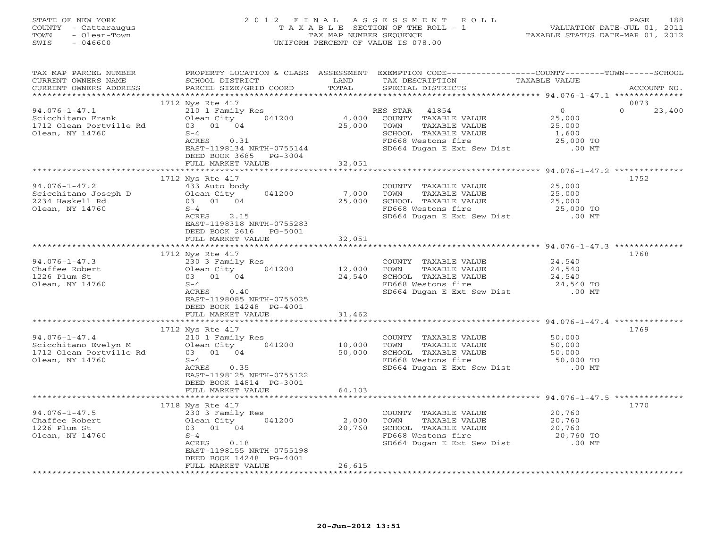## STATE OF NEW YORK 2 0 1 2 F I N A L A S S E S S M E N T R O L L PAGE 188 COUNTY - Cattaraugus T A X A B L E SECTION OF THE ROLL - 1 VALUATION DATE-JUL 01, 2011 TOWN - Olean-Town TAX MAP NUMBER SEQUENCE TAXABLE STATUS DATE-MAR 01, 2012 SWIS - 046600 UNIFORM PERCENT OF VALUE IS 078.00UNIFORM PERCENT OF VALUE IS 078.00

| TAX MAP PARCEL NUMBER<br>CURRENT OWNERS NAME<br>CURRENT OWNERS ADDRESS<br>********************** | PROPERTY LOCATION & CLASS ASSESSMENT<br>SCHOOL DISTRICT<br>PARCEL SIZE/GRID COORD                                                                                                   | LAND<br>TOTAL              | EXEMPTION CODE-----------------COUNTY-------TOWN------SCHOOL<br>TAX DESCRIPTION<br>SPECIAL DISTRICTS                                           | TAXABLE VALUE                                                  | ACCOUNT NO.                |
|--------------------------------------------------------------------------------------------------|-------------------------------------------------------------------------------------------------------------------------------------------------------------------------------------|----------------------------|------------------------------------------------------------------------------------------------------------------------------------------------|----------------------------------------------------------------|----------------------------|
|                                                                                                  |                                                                                                                                                                                     |                            |                                                                                                                                                |                                                                |                            |
| $94.076 - 1 - 47.1$<br>Scicchitano Frank<br>1712 Olean Portville Rd<br>Olean, NY 14760           | 1712 Nys Rte 417<br>210 1 Family Res<br>041200<br>Olean City<br>03 01 04<br>$S-4$<br>0.31<br>ACRES<br>EAST-1198134 NRTH-0755144<br>DEED BOOK 3685<br>$PG-3004$<br>FULL MARKET VALUE | 4,000<br>25,000<br>32,051  | RES STAR<br>41854<br>COUNTY TAXABLE VALUE<br>TOWN<br>TAXABLE VALUE<br>SCHOOL TAXABLE VALUE<br>FD668 Westons fire<br>SD664 Dugan E Ext Sew Dist | $\Omega$<br>25,000<br>25,000<br>1,600<br>25,000 TO<br>$.00$ MT | 0873<br>$\Omega$<br>23,400 |
|                                                                                                  |                                                                                                                                                                                     |                            |                                                                                                                                                |                                                                |                            |
| $94.076 - 1 - 47.2$<br>Scicchitano Joseph D<br>2234 Haskell Rd<br>Olean, NY 14760                | 1712 Nys Rte 417<br>433 Auto body<br>041200<br>Olean City<br>03 01 04<br>$S-4$<br>ACRES<br>2.15<br>EAST-1198318 NRTH-0755283<br>DEED BOOK 2616<br>PG-5001<br>FULL MARKET VALUE      | 7,000<br>25,000            | COUNTY TAXABLE VALUE<br>TAXABLE VALUE<br>TOWN<br>SCHOOL TAXABLE VALUE<br>FD668 Westons fire<br>SD664 Dugan E Ext Sew Dist                      | 25,000<br>25,000<br>25,000<br>25,000 TO<br>$.00$ MT            | 1752                       |
|                                                                                                  |                                                                                                                                                                                     | 32,051                     |                                                                                                                                                |                                                                |                            |
| $94.076 - 1 - 47.3$<br>Chaffee Robert<br>1226 Plum St<br>Olean, NY 14760                         | 1712 Nys Rte 417<br>230 3 Family Res<br>Olean City<br>041200<br>03 01 04<br>$S-4$<br>0.40<br>ACRES<br>EAST-1198085 NRTH-0755025<br>DEED BOOK 14248 PG-4001<br>FULL MARKET VALUE     | 12,000<br>24,540<br>31,462 | COUNTY TAXABLE VALUE<br>TOWN<br>TAXABLE VALUE<br>SCHOOL TAXABLE VALUE<br>FD668 Westons fire<br>SD664 Dugan E Ext Sew Dist                      | 24,540<br>24,540<br>24,540<br>24,540 TO<br>$.00$ MT            | 1768                       |
|                                                                                                  |                                                                                                                                                                                     |                            |                                                                                                                                                |                                                                |                            |
| $94.076 - 1 - 47.4$<br>Scicchitano Evelyn M<br>1712 Olean Portville Rd<br>Olean, NY 14760        | 1712 Nys Rte 417<br>210 1 Family Res<br>Olean City<br>041200<br>03 01 04<br>$S-4$<br>0.35<br>ACRES<br>EAST-1198125 NRTH-0755122<br>DEED BOOK 14814 PG-3001<br>FULL MARKET VALUE     | 10,000<br>50,000<br>64,103 | COUNTY TAXABLE VALUE<br>TAXABLE VALUE<br>TOWN<br>SCHOOL TAXABLE VALUE<br>FD668 Westons fire<br>SD664 Dugan E Ext Sew Dist                      | 50,000<br>50,000<br>50,000<br>50,000 TO<br>$.00$ MT            | 1769                       |
|                                                                                                  |                                                                                                                                                                                     | * * * * * * * * *          |                                                                                                                                                | ********** 94.076-1-47.5 *******                               |                            |
| $94.076 - 1 - 47.5$<br>Chaffee Robert<br>1226 Plum St<br>Olean, NY 14760                         | 1718 Nys Rte 417<br>230 3 Family Res<br>Olean City<br>041200<br>03 01 04<br>$S-4$<br>ACRES<br>0.18<br>EAST-1198155 NRTH-0755198<br>DEED BOOK 14248 PG-4001<br>FULL MARKET VALUE     | 2,000<br>20,760<br>26,615  | COUNTY TAXABLE VALUE<br>TOWN<br>TAXABLE VALUE<br>SCHOOL TAXABLE VALUE<br>FD668 Westons fire<br>SD664 Dugan E Ext Sew Dist                      | 20,760<br>20,760<br>20,760<br>20,760 TO<br>$.00$ MT            | 1770                       |
|                                                                                                  |                                                                                                                                                                                     |                            |                                                                                                                                                |                                                                |                            |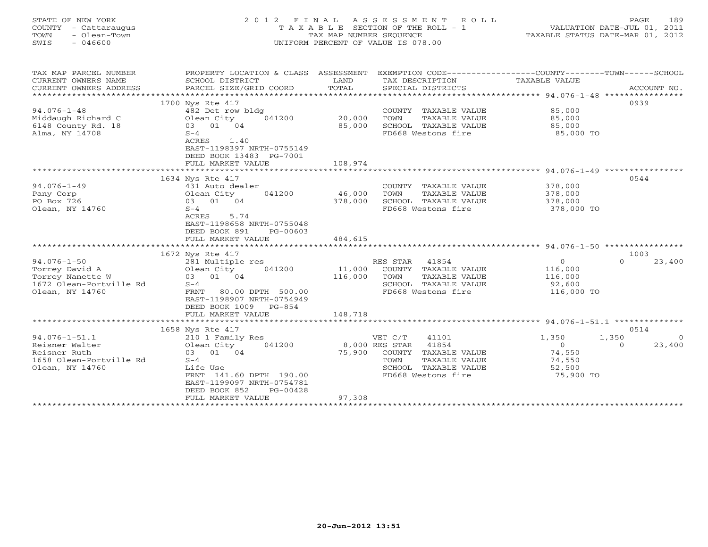| STATE OF NEW YORK<br>COUNTY<br>- Cattaraugus<br>- Olean-Town<br>TOWN<br>$-046600$<br>SWIS | 2012 FINAL<br>TAXABLE     | TAX MAP NUMBER SEQUENCE | ASSESSMENT ROLL<br>SECTION OF THE ROLL - 1<br>UNIFORM PERCENT OF VALUE IS 078.00 |                                               | 189<br>PAGE<br>VALUATION DATE-JUL 01, 2011<br>TAXABLE STATUS DATE-MAR 01, 2012 |
|-------------------------------------------------------------------------------------------|---------------------------|-------------------------|----------------------------------------------------------------------------------|-----------------------------------------------|--------------------------------------------------------------------------------|
| TAX MAP PARCEL NUMBER                                                                     | PROPERTY LOCATION & CLASS | ASSESSMENT              | EXEMPTION CODE---                                                                | ---------------COUNTY--------TOWN------SCHOOL |                                                                                |
| CURRENT OWNERS NAME                                                                       | SCHOOL DISTRICT           | LAND                    | TAX DESCRIPTION                                                                  | TAXABLE VALUE                                 |                                                                                |
| CURRENT OWNERS ADDRESS                                                                    | PARCEL SIZE/GRID COORD    | TOTAL                   | SPECIAL DISTRICTS                                                                |                                               | ACCOUNT NO.                                                                    |
|                                                                                           |                           |                         |                                                                                  |                                               |                                                                                |
|                                                                                           | 1700 Nys Rte 417          |                         |                                                                                  |                                               | 0939                                                                           |
| $94.076 - 1 - 48$                                                                         | 482 Det row bldg          |                         | COUNTY<br>TAXABLE VALUE                                                          | 85,000                                        |                                                                                |
| Middaugh Richard C                                                                        | 041200<br>Olean City      | 20,000                  | TOWN<br>TAXABLE VALUE                                                            | 85,000                                        |                                                                                |
| 6148 County Rd. 18                                                                        | 01<br>04<br>03            | 85,000                  | SCHOOL<br>TAXABLE VALUE                                                          | 85,000                                        |                                                                                |
| Alma, NY 14708                                                                            | $S-4$                     |                         | FD668 Westons fire                                                               | 85,000 TO                                     |                                                                                |

\*\*\*\*\*\*\*\*\*\*\*\*\*\*\*\*\*\*\*\*\*\*\*\*\*\*\*\*\*\*\*\*\*\*\*\*\*\*\*\*\*\*\*\*\*\*\*\*\*\*\*\*\*\*\*\*\*\*\*\*\*\*\*\*\*\*\*\*\*\*\*\*\*\*\*\*\*\*\*\*\*\*\*\*\*\*\*\*\*\*\*\*\*\*\*\*\*\*\*\*\*\*\* 94.076-1-49 \*\*\*\*\*\*\*\*\*\*\*\*\*\*\*\*

ACRES 1.40

EAST-1198397 NRTH-0755149

FULL MARKET VALUE 108,974

DEED BOOK 13483 PG-7001

|                         | 1634 Nys Rte 417                            |                                   |                | 0544               |
|-------------------------|---------------------------------------------|-----------------------------------|----------------|--------------------|
| $94.076 - 1 - 49$       | 431 Auto dealer                             | COUNTY<br>TAXABLE VALUE           | 378,000        |                    |
| Pany Corp               | 041200<br>Olean City                        | 46,000<br>TOWN<br>TAXABLE VALUE   | 378,000        |                    |
| PO Box 726              | 03 01 04                                    | 378,000<br>SCHOOL TAXABLE VALUE   | 378,000        |                    |
| Olean, NY 14760         | $S-4$                                       | FD668 Westons fire                | 378,000 TO     |                    |
|                         | 5.74<br>ACRES                               |                                   |                |                    |
|                         | EAST-1198658 NRTH-0755048                   |                                   |                |                    |
|                         | DEED BOOK 891<br>PG-00603                   |                                   |                |                    |
|                         | FULL MARKET VALUE                           | 484,615                           |                |                    |
|                         |                                             |                                   |                |                    |
|                         | 1672 Nys Rte 417                            |                                   |                | 1003               |
| $94.076 - 1 - 50$       | 281 Multiple res                            | RES STAR<br>41854                 | $\Omega$       | 23,400<br>$\Omega$ |
| Torrey David A          | Olean City<br>041200                        | 11,000<br>COUNTY<br>TAXABLE VALUE | 116,000        |                    |
| Torrey Nanette W        | 03 01 04                                    | 116,000<br>TOWN<br>TAXABLE VALUE  | 116,000        |                    |
| 1672 Olean-Portville Rd | $S-4$                                       | TAXABLE VALUE<br>SCHOOL           | 92,600         |                    |
| Olean, NY 14760         | FRNT<br>80.00 DPTH 500.00                   | FD668 Westons fire                | 116,000 TO     |                    |
|                         | EAST-1198907 NRTH-0754949                   |                                   |                |                    |
|                         | DEED BOOK 1009<br>PG-854                    |                                   |                |                    |
|                         | FULL MARKET VALUE                           | 148,718                           |                |                    |
|                         |                                             |                                   |                |                    |
|                         | 1658 Nys Rte 417                            |                                   |                | 0514               |
| $94.076 - 1 - 51.1$     | 210 1 Family Res                            | 41101<br>VET C/T                  | 1,350          | 1,350<br>$\Omega$  |
| Reisner Walter          | Olean City<br>041200                        | 8,000 RES STAR<br>41854           | $\overline{O}$ | 23,400<br>$\Omega$ |
| Reisner Ruth            | 03 01 04                                    | 75,900<br>COUNTY<br>TAXABLE VALUE | 74,550         |                    |
| 1658 Olean-Portville Rd | $S-4$                                       | TOWN<br>TAXABLE VALUE             | 74,550         |                    |
| Olean, NY 14760         | Life Use                                    | TAXABLE VALUE<br>SCHOOL           | 52,500         |                    |
|                         | FRNT 141.60 DPTH 190.00                     | FD668 Westons fire                | 75,900 TO      |                    |
|                         | EAST-1199097 NRTH-0754781                   |                                   |                |                    |
|                         | DEED BOOK 852<br>$PG-00428$                 | 97,308                            |                |                    |
|                         | FULL MARKET VALUE<br>********************** |                                   |                |                    |
|                         |                                             |                                   |                |                    |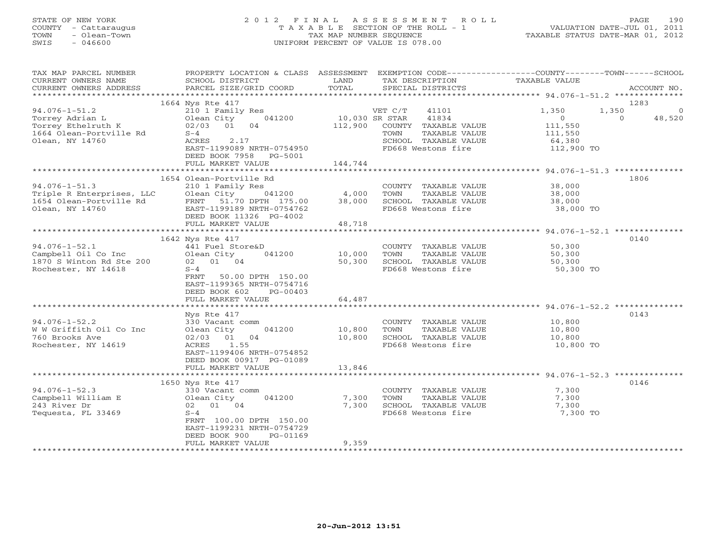# STATE OF NEW YORK 2 0 1 2 F I N A L A S S E S S M E N T R O L L PAGE 190 COUNTY - Cattaraugus T A X A B L E SECTION OF THE ROLL - 1 VALUATION DATE-JUL 01, 2011 TOWN - Olean-Town TAX MAP NUMBER SEQUENCE TAXABLE STATUS DATE-MAR 01, 2012 SWIS - 046600 UNIFORM PERCENT OF VALUE IS 078.00UNIFORM PERCENT OF VALUE IS 078.00

| TAX MAP PARCEL NUMBER<br>CURRENT OWNERS NAME<br>CURRENT OWNERS ADDRESS                         | PROPERTY LOCATION & CLASS ASSESSMENT<br>SCHOOL DISTRICT<br>PARCEL SIZE/GRID COORD                                          | LAND<br>TOTAL                       | EXEMPTION CODE-----------------COUNTY-------TOWN------SCHOOL<br>TAX DESCRIPTION<br>SPECIAL DISTRICTS | <b>TAXABLE VALUE</b>                                     | ACCOUNT NO.                           |
|------------------------------------------------------------------------------------------------|----------------------------------------------------------------------------------------------------------------------------|-------------------------------------|------------------------------------------------------------------------------------------------------|----------------------------------------------------------|---------------------------------------|
|                                                                                                |                                                                                                                            |                                     |                                                                                                      |                                                          |                                       |
| $94.076 - 1 - 51.2$<br>Torrey Adrian L                                                         | 1664 Nys Rte 417<br>210 1 Family Res<br>041200<br>Olean City                                                               | 10,030 SR STAR                      | VET C/T<br>41101<br>41834                                                                            | 1,350<br>1,350<br>$\Omega$                               | 1283<br>$\circ$<br>$\Omega$<br>48,520 |
| Torrey Ethelruth K<br>1664 Olean-Portville Rd                                                  | 02/03 01<br>04<br>$S-4$                                                                                                    | 112,900                             | COUNTY TAXABLE VALUE<br>TAXABLE VALUE<br>TOWN                                                        | 111,550<br>111,550                                       |                                       |
| Olean, NY 14760                                                                                | ACRES<br>2.17<br>EAST-1199089 NRTH-0754950<br>DEED BOOK 7958 PG-5001<br>FULL MARKET VALUE                                  | 144,744                             | SCHOOL TAXABLE VALUE<br>FD668 Westons fire                                                           | 64,380<br>112,900 TO                                     |                                       |
|                                                                                                |                                                                                                                            |                                     |                                                                                                      |                                                          |                                       |
|                                                                                                | 1654 Olean-Portville Rd                                                                                                    |                                     |                                                                                                      |                                                          | 1806                                  |
| $94.076 - 1 - 51.3$<br>Triple R Enterprises, LLC<br>1654 Olean-Portville Rd<br>Olean, NY 14760 | 210 1 Family Res<br>Olean City<br>041200<br>FRNT 51.70 DPTH 175.00<br>EAST-1199189 NRTH-0754762<br>DEED BOOK 11326 PG-4002 | 4,000<br>38,000                     | COUNTY TAXABLE VALUE<br>TOWN<br>TAXABLE VALUE<br>SCHOOL TAXABLE VALUE<br>FD668 Westons fire          | 38,000<br>38,000<br>38,000<br>38,000 TO                  |                                       |
|                                                                                                | FULL MARKET VALUE                                                                                                          | 48,718                              |                                                                                                      |                                                          |                                       |
|                                                                                                |                                                                                                                            |                                     |                                                                                                      |                                                          |                                       |
|                                                                                                | 1642 Nys Rte 417                                                                                                           |                                     |                                                                                                      |                                                          | 0140                                  |
| $94.076 - 1 - 52.1$                                                                            | 441 Fuel Store&D                                                                                                           |                                     | COUNTY TAXABLE VALUE                                                                                 | 50,300                                                   |                                       |
| Campbell Oil Co Inc                                                                            | Olean City<br>041200                                                                                                       | 10,000                              | TOWN<br>TAXABLE VALUE                                                                                | 50,300                                                   |                                       |
| 1870 S Winton Rd Ste 200<br>Rochester, NY 14618                                                | 02 01 04<br>$S-4$                                                                                                          | 50,300                              | SCHOOL TAXABLE VALUE<br>FD668 Westons fire                                                           | 50,300<br>50,300 TO                                      |                                       |
|                                                                                                | FRNT<br>50.00 DPTH 150.00<br>EAST-1199365 NRTH-0754716<br>DEED BOOK 602<br>PG-00403                                        |                                     |                                                                                                      |                                                          |                                       |
|                                                                                                | FULL MARKET VALUE<br>*******************                                                                                   | 64,487<br>* * * * * * * * * * * * * |                                                                                                      | ******************************** 94.076-1-52.2 ********* |                                       |
|                                                                                                | Nys Rte 417                                                                                                                |                                     |                                                                                                      |                                                          | 0143                                  |
| $94.076 - 1 - 52.2$<br>W W Griffith Oil Co Inc<br>760 Brooks Ave<br>Rochester, NY 14619        | 330 Vacant comm<br>041200<br>Olean City<br>01<br>04<br>02/03<br>ACRES<br>1.55                                              | 10,800<br>10,800                    | COUNTY TAXABLE VALUE<br>TAXABLE VALUE<br>TOWN<br>SCHOOL TAXABLE VALUE<br>FD668 Westons fire          | 10,800<br>10,800<br>10,800<br>10,800 TO                  |                                       |
|                                                                                                | EAST-1199406 NRTH-0754852<br>DEED BOOK 00917 PG-01089<br>FULL MARKET VALUE                                                 | 13,846                              |                                                                                                      |                                                          |                                       |
|                                                                                                |                                                                                                                            |                                     |                                                                                                      |                                                          |                                       |
| $94.076 - 1 - 52.3$                                                                            | 1650 Nys Rte 417<br>330 Vacant comm                                                                                        |                                     | COUNTY TAXABLE VALUE                                                                                 | 7,300                                                    | 0146                                  |
| Campbell William E                                                                             | Olean City<br>041200                                                                                                       | 7,300                               | TOWN<br>TAXABLE VALUE                                                                                | 7,300                                                    |                                       |
| 243 River Dr                                                                                   | 02 01 04                                                                                                                   | 7,300                               | SCHOOL TAXABLE VALUE                                                                                 | 7,300                                                    |                                       |
| Tequesta, FL 33469                                                                             | $S-4$<br>FRNT 100.00 DPTH 150.00<br>EAST-1199231 NRTH-0754729<br>DEED BOOK 900<br>PG-01169                                 |                                     | FD668 Westons fire                                                                                   | 7,300 TO                                                 |                                       |
|                                                                                                | FULL MARKET VALUE                                                                                                          | 9,359                               |                                                                                                      |                                                          |                                       |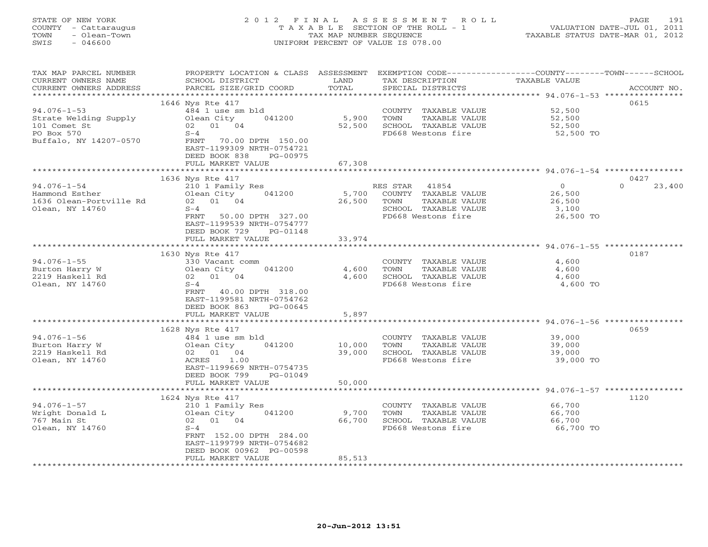# STATE OF NEW YORK 2 0 1 2 F I N A L A S S E S S M E N T R O L L PAGE 191 COUNTY - Cattaraugus T A X A B L E SECTION OF THE ROLL - 1 VALUATION DATE-JUL 01, 2011 TOWN - Olean-Town TAX MAP NUMBER SEQUENCE TAXABLE STATUS DATE-MAR 01, 2012 SWIS - 046600 UNIFORM PERCENT OF VALUE IS 078.00UNIFORM PERCENT OF VALUE IS 078.00

| TAX MAP PARCEL NUMBER   | PROPERTY LOCATION & CLASS ASSESSMENT                   |                     | EXEMPTION CODE-----------------COUNTY-------TOWN------SCHOOL |                                                 |                    |
|-------------------------|--------------------------------------------------------|---------------------|--------------------------------------------------------------|-------------------------------------------------|--------------------|
| CURRENT OWNERS NAME     | SCHOOL DISTRICT                                        | LAND                | TAX DESCRIPTION                                              | TAXABLE VALUE                                   |                    |
| CURRENT OWNERS ADDRESS  | PARCEL SIZE/GRID COORD                                 | TOTAL               | SPECIAL DISTRICTS                                            |                                                 | ACCOUNT NO.        |
| **********************  |                                                        |                     |                                                              |                                                 |                    |
|                         | 1646 Nys Rte 417                                       |                     |                                                              |                                                 | 0615               |
| $94.076 - 1 - 53$       | 484 1 use sm bld                                       |                     | COUNTY TAXABLE VALUE                                         | 52,500                                          |                    |
| Strate Welding Supply   | Olean City<br>041200                                   | 5,900               | TAXABLE VALUE<br>TOWN                                        | 52,500                                          |                    |
| 101 Comet St            | 02 01 04                                               | 52,500              | SCHOOL TAXABLE VALUE                                         | 52,500                                          |                    |
| PO Box 570              | $S-4$                                                  |                     | FD668 Westons fire                                           | 52,500 TO                                       |                    |
| Buffalo, NY 14207-0570  | FRNT 70.00 DPTH 150.00                                 |                     |                                                              |                                                 |                    |
|                         | EAST-1199309 NRTH-0754721<br>DEED BOOK 838<br>PG-00975 |                     |                                                              |                                                 |                    |
|                         | FULL MARKET VALUE                                      | 67,308              |                                                              |                                                 |                    |
|                         |                                                        | * * * * * * * * * * |                                                              | ***************** 94.076-1-54 ***************** |                    |
|                         | 1636 Nys Rte 417                                       |                     |                                                              |                                                 | 0427               |
| $94.076 - 1 - 54$       | 210 1 Family Res                                       |                     | RES STAR<br>41854                                            | $\overline{0}$                                  | $\Omega$<br>23,400 |
| Hammond Esther          | Olean City<br>041200                                   | 5,700               | COUNTY TAXABLE VALUE                                         | 26,500                                          |                    |
| 1636 Olean-Portville Rd | 02 01 04                                               | 26,500              | TAXABLE VALUE<br>TOWN                                        | 26,500                                          |                    |
| Olean, NY 14760         | $S-4$                                                  |                     | SCHOOL TAXABLE VALUE                                         | 3,100                                           |                    |
|                         | FRNT 50.00 DPTH 327.00                                 |                     | FD668 Westons fire                                           | 26,500 TO                                       |                    |
|                         | EAST-1199539 NRTH-0754777                              |                     |                                                              |                                                 |                    |
|                         | DEED BOOK 729<br>PG-01148                              |                     |                                                              |                                                 |                    |
|                         | FULL MARKET VALUE                                      | 33,974              |                                                              |                                                 |                    |
|                         | **********************                                 |                     |                                                              |                                                 |                    |
|                         | 1630 Nys Rte 417                                       |                     |                                                              |                                                 | 0187               |
| $94.076 - 1 - 55$       | 330 Vacant comm                                        |                     | COUNTY TAXABLE VALUE                                         | 4,600                                           |                    |
| Burton Harry W          | 041200<br>Olean City                                   | 4,600               | TAXABLE VALUE<br>TOWN                                        | 4,600                                           |                    |
| 2219 Haskell Rd         | 02 01 04                                               | 4,600               | SCHOOL TAXABLE VALUE                                         | 4,600                                           |                    |
| Olean, NY 14760         | $S-4$                                                  |                     | FD668 Westons fire                                           | 4,600 TO                                        |                    |
|                         | FRNT 40.00 DPTH 318.00                                 |                     |                                                              |                                                 |                    |
|                         | EAST-1199581 NRTH-0754762                              |                     |                                                              |                                                 |                    |
|                         | DEED BOOK 863<br>$PG-00645$                            |                     |                                                              |                                                 |                    |
|                         | FULL MARKET VALUE                                      | 5,897               |                                                              |                                                 |                    |
|                         | ************************                               |                     |                                                              |                                                 |                    |
|                         | 1628 Nys Rte 417                                       |                     |                                                              |                                                 | 0659               |
| $94.076 - 1 - 56$       | 484 1 use sm bld                                       |                     | COUNTY TAXABLE VALUE                                         | 39,000                                          |                    |
| Burton Harry W          | 041200<br>Olean City                                   | 10,000              | TOWN<br>TAXABLE VALUE                                        | 39,000                                          |                    |
| 2219 Haskell Rd         | 02 01 04                                               | 39,000              | SCHOOL TAXABLE VALUE                                         | 39,000                                          |                    |
| Olean, NY 14760         | ACRES<br>1.00                                          |                     | FD668 Westons fire                                           | 39,000 TO                                       |                    |
|                         | EAST-1199669 NRTH-0754735<br>$PG-01049$                |                     |                                                              |                                                 |                    |
|                         | DEED BOOK 799<br>FULL MARKET VALUE                     | 50,000              |                                                              |                                                 |                    |
|                         |                                                        |                     |                                                              |                                                 |                    |
|                         | 1624 Nys Rte 417                                       |                     |                                                              |                                                 | 1120               |
| $94.076 - 1 - 57$       | 210 1 Family Res                                       |                     | COUNTY TAXABLE VALUE                                         | 66,700                                          |                    |
| Wright Donald L         | Olean City<br>041200                                   | 9,700               | TAXABLE VALUE<br>TOWN                                        | 66,700                                          |                    |
| 767 Main St             | 02 01 04                                               | 66,700              | SCHOOL TAXABLE VALUE                                         | 66,700                                          |                    |
| Olean, NY 14760         | $S-4$                                                  |                     | FD668 Westons fire                                           | 66,700 TO                                       |                    |
|                         | FRNT 152.00 DPTH 284.00                                |                     |                                                              |                                                 |                    |
|                         | EAST-1199799 NRTH-0754682                              |                     |                                                              |                                                 |                    |
|                         | DEED BOOK 00962 PG-00598                               |                     |                                                              |                                                 |                    |
|                         | FULL MARKET VALUE                                      | 85,513              |                                                              |                                                 |                    |
|                         |                                                        |                     |                                                              |                                                 |                    |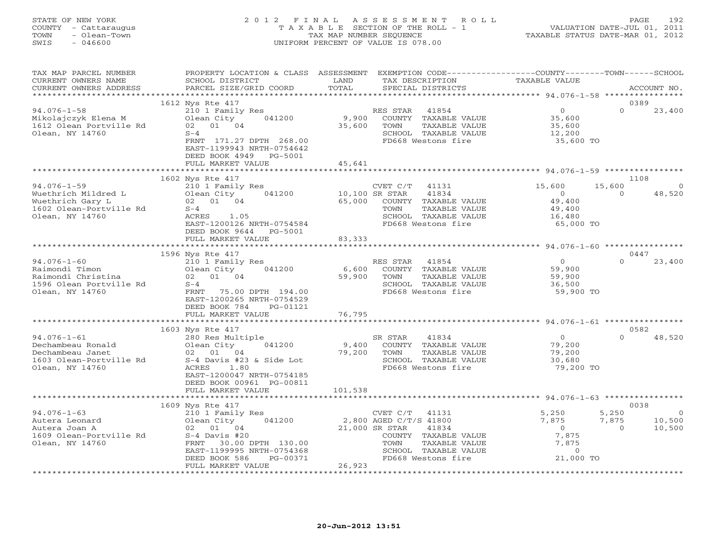# STATE OF NEW YORK 2 0 1 2 F I N A L A S S E S S M E N T R O L L PAGE 192 COUNTY - Cattaraugus T A X A B L E SECTION OF THE ROLL - 1 VALUATION DATE-JUL 01, 2011 TOWN - Olean-Town TAX MAP NUMBER SEQUENCE TAXABLE STATUS DATE-MAR 01, 2012 SWIS - 046600 UNIFORM PERCENT OF VALUE IS 078.00UNIFORM PERCENT OF VALUE IS 078.00

| TAX MAP PARCEL NUMBER<br>CURRENT OWNERS NAME<br>CURRENT OWNERS ADDRESS                                     | PROPERTY LOCATION & CLASS ASSESSMENT EXEMPTION CODE----------------COUNTY-------TOWN------SCHOOL<br>SCHOOL DISTRICT<br>PARCEL SIZE/GRID COORD                                               | LAND<br>TOTAL                      | TAX DESCRIPTION<br>SPECIAL DISTRICTS                                                                                                                                  | TAXABLE VALUE                                                                     |                            | ACCOUNT NO.                      |
|------------------------------------------------------------------------------------------------------------|---------------------------------------------------------------------------------------------------------------------------------------------------------------------------------------------|------------------------------------|-----------------------------------------------------------------------------------------------------------------------------------------------------------------------|-----------------------------------------------------------------------------------|----------------------------|----------------------------------|
|                                                                                                            |                                                                                                                                                                                             |                                    |                                                                                                                                                                       |                                                                                   |                            | 0389                             |
| $94.076 - 1 - 58$<br>Mikolajczyk Elena M<br>1612 Olean Portville Rd<br>Olean, NY 14760                     | 1612 Nys Rte 417<br>210 1 Family Res<br>Olean City<br>041200<br>02 01 04<br>$S-4$<br>FRNT 171.27 DPTH 268.00<br>EAST-1199943 NRTH-0754642<br>DEED BOOK 4949<br>PG-5001<br>FULL MARKET VALUE | 9,900<br>35,600<br>45,641          | RES STAR<br>41854<br>COUNTY TAXABLE VALUE<br>TOWN<br>TAXABLE VALUE<br>SCHOOL TAXABLE VALUE<br>FD668 Westons fire                                                      | $\Omega$<br>35,600<br>35,600<br>12,200<br>35,600 TO                               | $\cap$                     | 23,400                           |
|                                                                                                            |                                                                                                                                                                                             |                                    |                                                                                                                                                                       |                                                                                   |                            |                                  |
| $94.076 - 1 - 59$<br>Wuethrich Mildred L<br>Wuethrich Gary L<br>1602 Olean-Portville Rd<br>Olean, NY 14760 | 1602 Nys Rte 417<br>210 1 Family Res<br>041200<br>Olean City<br>02 01 04<br>$S-4$<br>ACRES<br>1.05<br>EAST-1200126 NRTH-0754584<br>DEED BOOK 9644<br>PG-5001<br>FULL MARKET VALUE           | 10,100 SR STAR<br>65,000<br>83,333 | CVET C/T 41131<br>41834<br>COUNTY TAXABLE VALUE<br>TOWN<br>TAXABLE VALUE<br>SCHOOL TAXABLE VALUE<br>FD668 Westons fire                                                | 15,600<br>$\overline{0}$<br>49,400<br>49,400<br>16,480<br>65,000 TO               | 15,600<br>$\Omega$         | 1108<br>$\overline{0}$<br>48,520 |
|                                                                                                            |                                                                                                                                                                                             |                                    |                                                                                                                                                                       |                                                                                   |                            |                                  |
|                                                                                                            | 1596 Nys Rte 417                                                                                                                                                                            |                                    |                                                                                                                                                                       |                                                                                   |                            | 0447                             |
| $94.076 - 1 - 60$<br>Raimondi Timon<br>Raimondi Christina<br>1596 Olean Portville Rd<br>Olean, NY 14760    | 210 1 Family Res<br>Olean City<br>041200<br>02 01 04<br>$S-4$<br>FRNT<br>75.00 DPTH 194.00<br>EAST-1200265 NRTH-0754529<br>DEED BOOK 784<br>PG-01121                                        | 6,600<br>59,900                    | RES STAR 41854<br>COUNTY TAXABLE VALUE<br>TOWN<br>TAXABLE VALUE<br>SCHOOL TAXABLE VALUE<br>FD668 Westons fire                                                         | $\overline{0}$<br>59,900<br>59,900<br>36,500<br>59,900 TO                         | $\Omega$                   | 23,400                           |
|                                                                                                            | FULL MARKET VALUE                                                                                                                                                                           | 76,795                             |                                                                                                                                                                       |                                                                                   |                            |                                  |
|                                                                                                            |                                                                                                                                                                                             |                                    |                                                                                                                                                                       |                                                                                   |                            |                                  |
| $94.076 - 1 - 61$<br>Dechambeau Ronald<br>Dechambeau Janet<br>1603 Olean-Portville Rd<br>Olean, NY 14760   | 1603 Nys Rte 417<br>280 Res Multiple<br>041200<br>Olean City<br>02 01 04<br>S-4 Davis #23 & Side Lot<br>ACRES<br>1.80<br>EAST-1200047 NRTH-0754185<br>DEED BOOK 00961 PG-00811              | 9,400<br>79,200                    | SR STAR<br>41834<br>COUNTY TAXABLE VALUE<br>TOWN<br>TAXABLE VALUE<br>SCHOOL TAXABLE VALUE<br>FD668 Westons fire                                                       | $\overline{0}$<br>79,200<br>79,200<br>30,680<br>79,200 TO                         | $\Omega$                   | 0582<br>48,520                   |
|                                                                                                            | FULL MARKET VALUE                                                                                                                                                                           | 101,538                            |                                                                                                                                                                       |                                                                                   |                            |                                  |
|                                                                                                            | 1609 Nys Rte 417                                                                                                                                                                            |                                    |                                                                                                                                                                       |                                                                                   |                            | 0038                             |
| $94.076 - 1 - 63$<br>Autera Leonard<br>Autera Joan A<br>1609 Olean-Portville Rd<br>Olean, NY 14760         | 210 1 Family Res<br>Olean City<br>041200<br>02 01 04<br>$S-4$ Davis #20<br>FRNT 30.00 DPTH 130.00<br>EAST-1199995 NRTH-0754368<br>DEED BOOK 586<br>PG-00371<br>FULL MARKET VALUE            | 26,923                             | CVET C/T<br>41131<br>2,800 AGED C/T/S 41800<br>21,000 SR STAR<br>41834<br>COUNTY TAXABLE VALUE<br>TAXABLE VALUE<br>TOWN<br>SCHOOL TAXABLE VALUE<br>FD668 Westons fire | 5,250<br>7,875<br>$\overline{0}$<br>7,875<br>7,875<br>$\overline{0}$<br>21,000 TO | 5,250<br>7,875<br>$\Omega$ | $\circ$<br>10,500<br>10,500      |
|                                                                                                            |                                                                                                                                                                                             |                                    |                                                                                                                                                                       |                                                                                   |                            |                                  |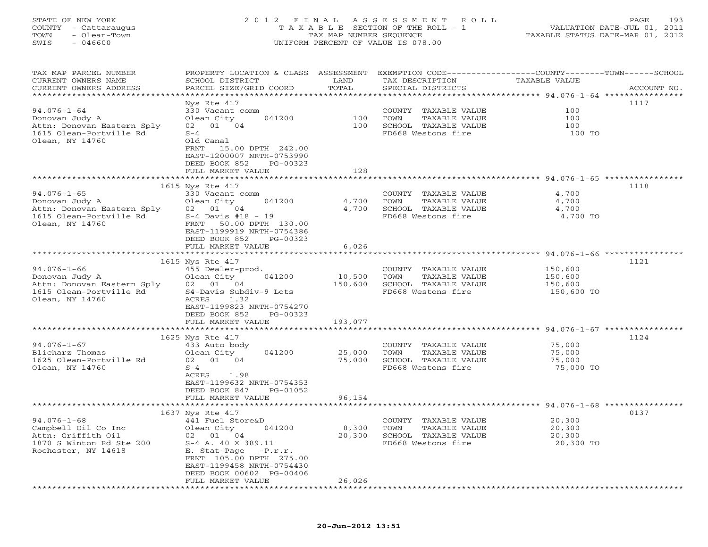# STATE OF NEW YORK 2 0 1 2 F I N A L A S S E S S M E N T R O L L PAGE 193 COUNTY - Cattaraugus T A X A B L E SECTION OF THE ROLL - 1 VALUATION DATE-JUL 01, 2011 TOWN - Olean-Town TAX MAP NUMBER SEQUENCE TAXABLE STATUS DATE-MAR 01, 2012 SWIS - 046600 UNIFORM PERCENT OF VALUE IS 078.00UNIFORM PERCENT OF VALUE IS 078.00

| TAX MAP PARCEL NUMBER<br>CURRENT OWNERS NAME<br>CURRENT OWNERS ADDRESS                                                                   | PROPERTY LOCATION & CLASS ASSESSMENT<br>SCHOOL DISTRICT<br>PARCEL SIZE/GRID COORD                                                                                                                                                                  | LAND<br>TOTAL                  | EXEMPTION CODE-----------------COUNTY-------TOWN-----SCHOOL<br>TAX DESCRIPTION<br>SPECIAL DISTRICTS | TAXABLE VALUE                               | ACCOUNT NO. |
|------------------------------------------------------------------------------------------------------------------------------------------|----------------------------------------------------------------------------------------------------------------------------------------------------------------------------------------------------------------------------------------------------|--------------------------------|-----------------------------------------------------------------------------------------------------|---------------------------------------------|-------------|
| *********************<br>$94.076 - 1 - 64$<br>Donovan Judy A<br>Attn: Donovan Eastern Sply<br>1615 Olean-Portville Rd<br>Olean, NY 14760 | * * * * * * * * * * * * * * * * * * * *<br>Nys Rte 417<br>330 Vacant comm<br>Olean City<br>041200<br>01 04<br>02<br>$S-4$<br>Old Canal<br>FRNT<br>15.00 DPTH 242.00<br>EAST-1200007 NRTH-0753990<br>DEED BOOK 852<br>PG-00323<br>FULL MARKET VALUE | *********<br>100<br>100<br>128 | COUNTY TAXABLE VALUE<br>TAXABLE VALUE<br>TOWN<br>SCHOOL TAXABLE VALUE<br>FD668 Westons fire         | 100<br>100<br>100<br>100 TO                 | 1117        |
|                                                                                                                                          |                                                                                                                                                                                                                                                    |                                |                                                                                                     |                                             |             |
| $94.076 - 1 - 65$<br>Donovan Judy A<br>Attn: Donovan Eastern Sply<br>1615 Olean-Portville Rd<br>Olean, NY 14760                          | 1615 Nys Rte 417<br>330 Vacant comm<br>Olean City<br>041200<br>02 01 04<br>$S-4$ Davis #18 - 19<br>FRNT<br>50.00 DPTH 130.00<br>EAST-1199919 NRTH-0754386<br>DEED BOOK 852<br>PG-00323                                                             | 4,700<br>4,700                 | COUNTY TAXABLE VALUE<br>TOWN<br>TAXABLE VALUE<br>SCHOOL TAXABLE VALUE<br>FD668 Westons fire         | 4,700<br>4,700<br>4,700<br>4,700 TO         | 1118        |
|                                                                                                                                          | FULL MARKET VALUE                                                                                                                                                                                                                                  | 6,026<br>******                |                                                                                                     | ********* 94.076-1-66 ************          |             |
| $94.076 - 1 - 66$<br>Donovan Judy A<br>Attn: Donovan Eastern Sply<br>1615 Olean-Portville Rd<br>Olean, NY 14760                          | 1615 Nys Rte 417<br>455 Dealer-prod.<br>Olean City<br>041200<br>02 01 04<br>S4-Davis Subdiv-9 Lots<br>1.32<br>ACRES<br>EAST-1199823 NRTH-0754270<br>DEED BOOK 852<br>PG-00323                                                                      | 10,500<br>150,600              | COUNTY TAXABLE VALUE<br>TAXABLE VALUE<br>TOWN<br>SCHOOL TAXABLE VALUE<br>FD668 Westons fire         | 150,600<br>150,600<br>150,600<br>150,600 TO | 1121        |
|                                                                                                                                          | FULL MARKET VALUE<br>********************                                                                                                                                                                                                          | 193,077<br>****************    | ********************************* 94.076-1-67 ****************                                      |                                             |             |
| $94.076 - 1 - 67$<br>Blicharz Thomas<br>1625 Olean-Portville Rd<br>Olean, NY 14760                                                       | 1625 Nys Rte 417<br>433 Auto body<br>Olean City<br>041200<br>02 01 04<br>$S-4$<br>1.98<br>ACRES<br>EAST-1199632 NRTH-0754353<br>DEED BOOK 847<br>PG-01052<br>FULL MARKET VALUE                                                                     | 25,000<br>75,000<br>96,154     | COUNTY<br>TAXABLE VALUE<br>TOWN<br>TAXABLE VALUE<br>SCHOOL TAXABLE VALUE<br>FD668 Westons fire      | 75,000<br>75,000<br>75,000<br>75,000 TO     | 1124        |
|                                                                                                                                          | ******************                                                                                                                                                                                                                                 | **********                     |                                                                                                     | ********** 94.076-1-68 *****************    |             |
| $94.076 - 1 - 68$<br>Campbell Oil Co Inc<br>Attn: Griffith Oil<br>1870 S Winton Rd Ste 200<br>Rochester, NY 14618                        | 1637 Nys Rte 417<br>441 Fuel Store&D<br>041200<br>Olean City<br>02 01 04<br>S-4 A. 40 X 389.11<br>E. Stat-Page<br>$-P.r.r.$<br>FRNT 105.00 DPTH 275.00<br>EAST-1199458 NRTH-0754430<br>DEED BOOK 00602 PG-00406<br>FULL MARKET VALUE               | 8,300<br>20,300<br>26,026      | COUNTY TAXABLE VALUE<br>TOWN<br>TAXABLE VALUE<br>SCHOOL TAXABLE VALUE<br>FD668 Westons fire         | 20,300<br>20,300<br>20,300<br>20,300 TO     | 0137        |
| **********************                                                                                                                   | ********************                                                                                                                                                                                                                               | ***********                    |                                                                                                     |                                             |             |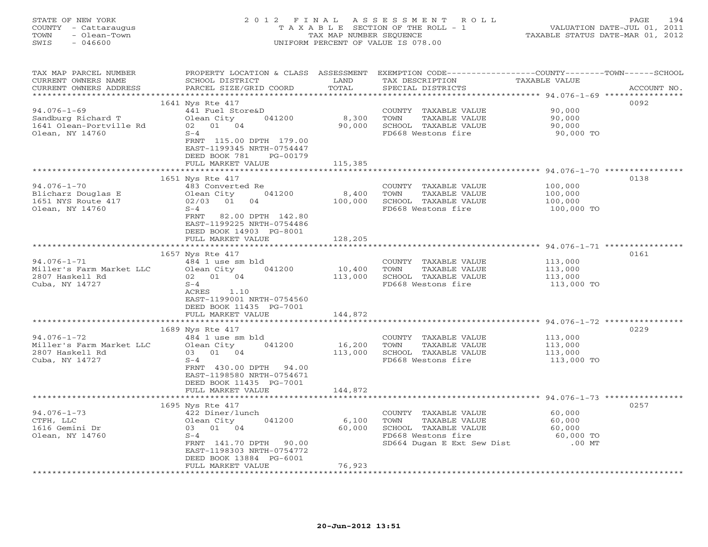| STATE OF NEW YORK    | 2012 FINAL ASSESSMENT ROLL            | 194<br>PAGE.                     |
|----------------------|---------------------------------------|----------------------------------|
| COUNTY - Cattaraugus | T A X A B L E SECTION OF THE ROLL - 1 | VALUATION DATE-JUL 01, 2011      |
| - Olean-Town<br>TOWN | TAX MAP NUMBER SEOUENCE               | TAXABLE STATUS DATE-MAR 01, 2012 |
| - 046600<br>SWIS     | UNIFORM PERCENT OF VALUE IS 078.00    |                                  |
|                      |                                       |                                  |

| 0092<br>1641 Nys Rte 417<br>$94.076 - 1 - 69$<br>441 Fuel Store&D<br>90,000<br>COUNTY TAXABLE VALUE<br>Sandburg Richard T<br>Olean City<br>041200<br>8,300<br>TOWN<br>TAXABLE VALUE<br>90,000<br>1641 Olean-Portville Rd<br>02 01 04<br>90,000<br>SCHOOL TAXABLE VALUE<br>90,000<br>FD668 Westons fire<br>Olean, NY 14760<br>$S-4$<br>90,000 TO<br>FRNT 115.00 DPTH 179.00<br>EAST-1199345 NRTH-0754447<br>DEED BOOK 781<br>PG-00179<br>FULL MARKET VALUE<br>115,385<br>1651 Nys Rte 417<br>0138<br>$94.076 - 1 - 70$<br>483 Converted Re<br>COUNTY TAXABLE VALUE<br>100,000<br>8,400<br>Blicharz Douglas E<br>Olean City<br>041200<br>TOWN<br>TAXABLE VALUE<br>100,000<br>100,000<br>1651 NYS Route 417<br>02/03<br>01<br>04<br>SCHOOL TAXABLE VALUE<br>100,000<br>Olean, NY 14760<br>$S-4$<br>FD668 Westons fire<br>100,000 TO<br>82.00 DPTH 142.80<br>FRNT<br>EAST-1199225 NRTH-0754486<br>DEED BOOK 14903 PG-8001<br>128,205<br>FULL MARKET VALUE<br>1657 Nys Rte 417<br>0161<br>$94.076 - 1 - 71$<br>484 1 use sm bld<br>COUNTY TAXABLE VALUE<br>113,000<br>Olean City 041200<br>10,400<br>TOWN<br>TAXABLE VALUE<br>Miller's Farm Market LLC<br>113,000<br>113,000<br>SCHOOL TAXABLE VALUE<br>2807 Haskell Rd<br>02 01 04<br>113,000<br>Cuba, NY 14727<br>$S-4$<br>FD668 Westons fire<br>113,000 TO<br>ACRES 1.10<br>EAST-1199001 NRTH-0754560<br>DEED BOOK 11435 PG-7001<br>144,872<br>FULL MARKET VALUE<br>0229<br>1689 Nys Rte 417<br>$94.076 - 1 - 72$<br>484 1 use sm bld<br>COUNTY TAXABLE VALUE<br>113,000<br>Miller's Farm Market LLC<br>Olean City<br>041200<br>16,200<br>TOWN<br>TAXABLE VALUE<br>113,000<br>03 01 04<br>113,000<br>SCHOOL TAXABLE VALUE<br>113,000<br>2807 Haskell Rd<br>Cuba, NY 14727<br>$S-4$<br>FD668 Westons fire<br>113,000 TO<br>FRNT 430.00 DPTH 94.00<br>EAST-1198580 NRTH-0754671<br>DEED BOOK 11435 PG-7001<br>FULL MARKET VALUE<br>144,872<br>******************************** 94.076-1-73 ****************<br>************************<br>******************<br>0257<br>1695 Nys Rte 417<br>$94.076 - 1 - 73$<br>60,000<br>422 Diner/lunch<br>COUNTY TAXABLE VALUE<br>041200<br>6,100<br>CTFH, LLC<br>Olean City<br>TOWN<br>TAXABLE VALUE<br>60,000<br>1616 Gemini Dr<br>03 01 04<br>60,000<br>SCHOOL TAXABLE VALUE<br>60,000<br>Olean, NY 14760<br>$S-4$<br>FD668 Westons fire<br>60,000 TO<br>SD664 Dugan E Ext Sew Dist<br>$.00$ MT<br>FRNT 141.70 DPTH 90.00<br>EAST-1198303 NRTH-0754772<br>DEED BOOK 13884 PG-6001<br>76,923<br>FULL MARKET VALUE | TAX MAP PARCEL NUMBER<br>CURRENT OWNERS NAME<br>CURRENT OWNERS ADDRESS | PROPERTY LOCATION & CLASS ASSESSMENT EXEMPTION CODE----------------COUNTY-------TOWN------SCHOOL<br>SCHOOL DISTRICT<br>PARCEL SIZE/GRID COORD | LAND<br>TOTAL | TAX DESCRIPTION<br>SPECIAL DISTRICTS | TAXABLE VALUE | ACCOUNT NO. |
|------------------------------------------------------------------------------------------------------------------------------------------------------------------------------------------------------------------------------------------------------------------------------------------------------------------------------------------------------------------------------------------------------------------------------------------------------------------------------------------------------------------------------------------------------------------------------------------------------------------------------------------------------------------------------------------------------------------------------------------------------------------------------------------------------------------------------------------------------------------------------------------------------------------------------------------------------------------------------------------------------------------------------------------------------------------------------------------------------------------------------------------------------------------------------------------------------------------------------------------------------------------------------------------------------------------------------------------------------------------------------------------------------------------------------------------------------------------------------------------------------------------------------------------------------------------------------------------------------------------------------------------------------------------------------------------------------------------------------------------------------------------------------------------------------------------------------------------------------------------------------------------------------------------------------------------------------------------------------------------------------------------------------------------------------------------------------------------------------------------------------------------------------------------------------------------------------------------------------------------------------------------------------------------------------------------------------------------------------------------------------------------------------------------------------------------------------------------------------------------------------|------------------------------------------------------------------------|-----------------------------------------------------------------------------------------------------------------------------------------------|---------------|--------------------------------------|---------------|-------------|
|                                                                                                                                                                                                                                                                                                                                                                                                                                                                                                                                                                                                                                                                                                                                                                                                                                                                                                                                                                                                                                                                                                                                                                                                                                                                                                                                                                                                                                                                                                                                                                                                                                                                                                                                                                                                                                                                                                                                                                                                                                                                                                                                                                                                                                                                                                                                                                                                                                                                                                      |                                                                        |                                                                                                                                               |               |                                      |               |             |
|                                                                                                                                                                                                                                                                                                                                                                                                                                                                                                                                                                                                                                                                                                                                                                                                                                                                                                                                                                                                                                                                                                                                                                                                                                                                                                                                                                                                                                                                                                                                                                                                                                                                                                                                                                                                                                                                                                                                                                                                                                                                                                                                                                                                                                                                                                                                                                                                                                                                                                      |                                                                        |                                                                                                                                               |               |                                      |               |             |
|                                                                                                                                                                                                                                                                                                                                                                                                                                                                                                                                                                                                                                                                                                                                                                                                                                                                                                                                                                                                                                                                                                                                                                                                                                                                                                                                                                                                                                                                                                                                                                                                                                                                                                                                                                                                                                                                                                                                                                                                                                                                                                                                                                                                                                                                                                                                                                                                                                                                                                      |                                                                        |                                                                                                                                               |               |                                      |               |             |
|                                                                                                                                                                                                                                                                                                                                                                                                                                                                                                                                                                                                                                                                                                                                                                                                                                                                                                                                                                                                                                                                                                                                                                                                                                                                                                                                                                                                                                                                                                                                                                                                                                                                                                                                                                                                                                                                                                                                                                                                                                                                                                                                                                                                                                                                                                                                                                                                                                                                                                      |                                                                        |                                                                                                                                               |               |                                      |               |             |
|                                                                                                                                                                                                                                                                                                                                                                                                                                                                                                                                                                                                                                                                                                                                                                                                                                                                                                                                                                                                                                                                                                                                                                                                                                                                                                                                                                                                                                                                                                                                                                                                                                                                                                                                                                                                                                                                                                                                                                                                                                                                                                                                                                                                                                                                                                                                                                                                                                                                                                      |                                                                        |                                                                                                                                               |               |                                      |               |             |
|                                                                                                                                                                                                                                                                                                                                                                                                                                                                                                                                                                                                                                                                                                                                                                                                                                                                                                                                                                                                                                                                                                                                                                                                                                                                                                                                                                                                                                                                                                                                                                                                                                                                                                                                                                                                                                                                                                                                                                                                                                                                                                                                                                                                                                                                                                                                                                                                                                                                                                      |                                                                        |                                                                                                                                               |               |                                      |               |             |
|                                                                                                                                                                                                                                                                                                                                                                                                                                                                                                                                                                                                                                                                                                                                                                                                                                                                                                                                                                                                                                                                                                                                                                                                                                                                                                                                                                                                                                                                                                                                                                                                                                                                                                                                                                                                                                                                                                                                                                                                                                                                                                                                                                                                                                                                                                                                                                                                                                                                                                      |                                                                        |                                                                                                                                               |               |                                      |               |             |
|                                                                                                                                                                                                                                                                                                                                                                                                                                                                                                                                                                                                                                                                                                                                                                                                                                                                                                                                                                                                                                                                                                                                                                                                                                                                                                                                                                                                                                                                                                                                                                                                                                                                                                                                                                                                                                                                                                                                                                                                                                                                                                                                                                                                                                                                                                                                                                                                                                                                                                      |                                                                        |                                                                                                                                               |               |                                      |               |             |
|                                                                                                                                                                                                                                                                                                                                                                                                                                                                                                                                                                                                                                                                                                                                                                                                                                                                                                                                                                                                                                                                                                                                                                                                                                                                                                                                                                                                                                                                                                                                                                                                                                                                                                                                                                                                                                                                                                                                                                                                                                                                                                                                                                                                                                                                                                                                                                                                                                                                                                      |                                                                        |                                                                                                                                               |               |                                      |               |             |
|                                                                                                                                                                                                                                                                                                                                                                                                                                                                                                                                                                                                                                                                                                                                                                                                                                                                                                                                                                                                                                                                                                                                                                                                                                                                                                                                                                                                                                                                                                                                                                                                                                                                                                                                                                                                                                                                                                                                                                                                                                                                                                                                                                                                                                                                                                                                                                                                                                                                                                      |                                                                        |                                                                                                                                               |               |                                      |               |             |
|                                                                                                                                                                                                                                                                                                                                                                                                                                                                                                                                                                                                                                                                                                                                                                                                                                                                                                                                                                                                                                                                                                                                                                                                                                                                                                                                                                                                                                                                                                                                                                                                                                                                                                                                                                                                                                                                                                                                                                                                                                                                                                                                                                                                                                                                                                                                                                                                                                                                                                      |                                                                        |                                                                                                                                               |               |                                      |               |             |
|                                                                                                                                                                                                                                                                                                                                                                                                                                                                                                                                                                                                                                                                                                                                                                                                                                                                                                                                                                                                                                                                                                                                                                                                                                                                                                                                                                                                                                                                                                                                                                                                                                                                                                                                                                                                                                                                                                                                                                                                                                                                                                                                                                                                                                                                                                                                                                                                                                                                                                      |                                                                        |                                                                                                                                               |               |                                      |               |             |
|                                                                                                                                                                                                                                                                                                                                                                                                                                                                                                                                                                                                                                                                                                                                                                                                                                                                                                                                                                                                                                                                                                                                                                                                                                                                                                                                                                                                                                                                                                                                                                                                                                                                                                                                                                                                                                                                                                                                                                                                                                                                                                                                                                                                                                                                                                                                                                                                                                                                                                      |                                                                        |                                                                                                                                               |               |                                      |               |             |
|                                                                                                                                                                                                                                                                                                                                                                                                                                                                                                                                                                                                                                                                                                                                                                                                                                                                                                                                                                                                                                                                                                                                                                                                                                                                                                                                                                                                                                                                                                                                                                                                                                                                                                                                                                                                                                                                                                                                                                                                                                                                                                                                                                                                                                                                                                                                                                                                                                                                                                      |                                                                        |                                                                                                                                               |               |                                      |               |             |
|                                                                                                                                                                                                                                                                                                                                                                                                                                                                                                                                                                                                                                                                                                                                                                                                                                                                                                                                                                                                                                                                                                                                                                                                                                                                                                                                                                                                                                                                                                                                                                                                                                                                                                                                                                                                                                                                                                                                                                                                                                                                                                                                                                                                                                                                                                                                                                                                                                                                                                      |                                                                        |                                                                                                                                               |               |                                      |               |             |
|                                                                                                                                                                                                                                                                                                                                                                                                                                                                                                                                                                                                                                                                                                                                                                                                                                                                                                                                                                                                                                                                                                                                                                                                                                                                                                                                                                                                                                                                                                                                                                                                                                                                                                                                                                                                                                                                                                                                                                                                                                                                                                                                                                                                                                                                                                                                                                                                                                                                                                      |                                                                        |                                                                                                                                               |               |                                      |               |             |
|                                                                                                                                                                                                                                                                                                                                                                                                                                                                                                                                                                                                                                                                                                                                                                                                                                                                                                                                                                                                                                                                                                                                                                                                                                                                                                                                                                                                                                                                                                                                                                                                                                                                                                                                                                                                                                                                                                                                                                                                                                                                                                                                                                                                                                                                                                                                                                                                                                                                                                      |                                                                        |                                                                                                                                               |               |                                      |               |             |
|                                                                                                                                                                                                                                                                                                                                                                                                                                                                                                                                                                                                                                                                                                                                                                                                                                                                                                                                                                                                                                                                                                                                                                                                                                                                                                                                                                                                                                                                                                                                                                                                                                                                                                                                                                                                                                                                                                                                                                                                                                                                                                                                                                                                                                                                                                                                                                                                                                                                                                      |                                                                        |                                                                                                                                               |               |                                      |               |             |
|                                                                                                                                                                                                                                                                                                                                                                                                                                                                                                                                                                                                                                                                                                                                                                                                                                                                                                                                                                                                                                                                                                                                                                                                                                                                                                                                                                                                                                                                                                                                                                                                                                                                                                                                                                                                                                                                                                                                                                                                                                                                                                                                                                                                                                                                                                                                                                                                                                                                                                      |                                                                        |                                                                                                                                               |               |                                      |               |             |
|                                                                                                                                                                                                                                                                                                                                                                                                                                                                                                                                                                                                                                                                                                                                                                                                                                                                                                                                                                                                                                                                                                                                                                                                                                                                                                                                                                                                                                                                                                                                                                                                                                                                                                                                                                                                                                                                                                                                                                                                                                                                                                                                                                                                                                                                                                                                                                                                                                                                                                      |                                                                        |                                                                                                                                               |               |                                      |               |             |
|                                                                                                                                                                                                                                                                                                                                                                                                                                                                                                                                                                                                                                                                                                                                                                                                                                                                                                                                                                                                                                                                                                                                                                                                                                                                                                                                                                                                                                                                                                                                                                                                                                                                                                                                                                                                                                                                                                                                                                                                                                                                                                                                                                                                                                                                                                                                                                                                                                                                                                      |                                                                        |                                                                                                                                               |               |                                      |               |             |
|                                                                                                                                                                                                                                                                                                                                                                                                                                                                                                                                                                                                                                                                                                                                                                                                                                                                                                                                                                                                                                                                                                                                                                                                                                                                                                                                                                                                                                                                                                                                                                                                                                                                                                                                                                                                                                                                                                                                                                                                                                                                                                                                                                                                                                                                                                                                                                                                                                                                                                      |                                                                        |                                                                                                                                               |               |                                      |               |             |
|                                                                                                                                                                                                                                                                                                                                                                                                                                                                                                                                                                                                                                                                                                                                                                                                                                                                                                                                                                                                                                                                                                                                                                                                                                                                                                                                                                                                                                                                                                                                                                                                                                                                                                                                                                                                                                                                                                                                                                                                                                                                                                                                                                                                                                                                                                                                                                                                                                                                                                      |                                                                        |                                                                                                                                               |               |                                      |               |             |
|                                                                                                                                                                                                                                                                                                                                                                                                                                                                                                                                                                                                                                                                                                                                                                                                                                                                                                                                                                                                                                                                                                                                                                                                                                                                                                                                                                                                                                                                                                                                                                                                                                                                                                                                                                                                                                                                                                                                                                                                                                                                                                                                                                                                                                                                                                                                                                                                                                                                                                      |                                                                        |                                                                                                                                               |               |                                      |               |             |
|                                                                                                                                                                                                                                                                                                                                                                                                                                                                                                                                                                                                                                                                                                                                                                                                                                                                                                                                                                                                                                                                                                                                                                                                                                                                                                                                                                                                                                                                                                                                                                                                                                                                                                                                                                                                                                                                                                                                                                                                                                                                                                                                                                                                                                                                                                                                                                                                                                                                                                      |                                                                        |                                                                                                                                               |               |                                      |               |             |
|                                                                                                                                                                                                                                                                                                                                                                                                                                                                                                                                                                                                                                                                                                                                                                                                                                                                                                                                                                                                                                                                                                                                                                                                                                                                                                                                                                                                                                                                                                                                                                                                                                                                                                                                                                                                                                                                                                                                                                                                                                                                                                                                                                                                                                                                                                                                                                                                                                                                                                      |                                                                        |                                                                                                                                               |               |                                      |               |             |
|                                                                                                                                                                                                                                                                                                                                                                                                                                                                                                                                                                                                                                                                                                                                                                                                                                                                                                                                                                                                                                                                                                                                                                                                                                                                                                                                                                                                                                                                                                                                                                                                                                                                                                                                                                                                                                                                                                                                                                                                                                                                                                                                                                                                                                                                                                                                                                                                                                                                                                      |                                                                        |                                                                                                                                               |               |                                      |               |             |
|                                                                                                                                                                                                                                                                                                                                                                                                                                                                                                                                                                                                                                                                                                                                                                                                                                                                                                                                                                                                                                                                                                                                                                                                                                                                                                                                                                                                                                                                                                                                                                                                                                                                                                                                                                                                                                                                                                                                                                                                                                                                                                                                                                                                                                                                                                                                                                                                                                                                                                      |                                                                        |                                                                                                                                               |               |                                      |               |             |
|                                                                                                                                                                                                                                                                                                                                                                                                                                                                                                                                                                                                                                                                                                                                                                                                                                                                                                                                                                                                                                                                                                                                                                                                                                                                                                                                                                                                                                                                                                                                                                                                                                                                                                                                                                                                                                                                                                                                                                                                                                                                                                                                                                                                                                                                                                                                                                                                                                                                                                      |                                                                        |                                                                                                                                               |               |                                      |               |             |
|                                                                                                                                                                                                                                                                                                                                                                                                                                                                                                                                                                                                                                                                                                                                                                                                                                                                                                                                                                                                                                                                                                                                                                                                                                                                                                                                                                                                                                                                                                                                                                                                                                                                                                                                                                                                                                                                                                                                                                                                                                                                                                                                                                                                                                                                                                                                                                                                                                                                                                      |                                                                        |                                                                                                                                               |               |                                      |               |             |
|                                                                                                                                                                                                                                                                                                                                                                                                                                                                                                                                                                                                                                                                                                                                                                                                                                                                                                                                                                                                                                                                                                                                                                                                                                                                                                                                                                                                                                                                                                                                                                                                                                                                                                                                                                                                                                                                                                                                                                                                                                                                                                                                                                                                                                                                                                                                                                                                                                                                                                      |                                                                        |                                                                                                                                               |               |                                      |               |             |
|                                                                                                                                                                                                                                                                                                                                                                                                                                                                                                                                                                                                                                                                                                                                                                                                                                                                                                                                                                                                                                                                                                                                                                                                                                                                                                                                                                                                                                                                                                                                                                                                                                                                                                                                                                                                                                                                                                                                                                                                                                                                                                                                                                                                                                                                                                                                                                                                                                                                                                      |                                                                        |                                                                                                                                               |               |                                      |               |             |
|                                                                                                                                                                                                                                                                                                                                                                                                                                                                                                                                                                                                                                                                                                                                                                                                                                                                                                                                                                                                                                                                                                                                                                                                                                                                                                                                                                                                                                                                                                                                                                                                                                                                                                                                                                                                                                                                                                                                                                                                                                                                                                                                                                                                                                                                                                                                                                                                                                                                                                      |                                                                        |                                                                                                                                               |               |                                      |               |             |
|                                                                                                                                                                                                                                                                                                                                                                                                                                                                                                                                                                                                                                                                                                                                                                                                                                                                                                                                                                                                                                                                                                                                                                                                                                                                                                                                                                                                                                                                                                                                                                                                                                                                                                                                                                                                                                                                                                                                                                                                                                                                                                                                                                                                                                                                                                                                                                                                                                                                                                      |                                                                        |                                                                                                                                               |               |                                      |               |             |
|                                                                                                                                                                                                                                                                                                                                                                                                                                                                                                                                                                                                                                                                                                                                                                                                                                                                                                                                                                                                                                                                                                                                                                                                                                                                                                                                                                                                                                                                                                                                                                                                                                                                                                                                                                                                                                                                                                                                                                                                                                                                                                                                                                                                                                                                                                                                                                                                                                                                                                      |                                                                        |                                                                                                                                               |               |                                      |               |             |
|                                                                                                                                                                                                                                                                                                                                                                                                                                                                                                                                                                                                                                                                                                                                                                                                                                                                                                                                                                                                                                                                                                                                                                                                                                                                                                                                                                                                                                                                                                                                                                                                                                                                                                                                                                                                                                                                                                                                                                                                                                                                                                                                                                                                                                                                                                                                                                                                                                                                                                      |                                                                        |                                                                                                                                               |               |                                      |               |             |
|                                                                                                                                                                                                                                                                                                                                                                                                                                                                                                                                                                                                                                                                                                                                                                                                                                                                                                                                                                                                                                                                                                                                                                                                                                                                                                                                                                                                                                                                                                                                                                                                                                                                                                                                                                                                                                                                                                                                                                                                                                                                                                                                                                                                                                                                                                                                                                                                                                                                                                      |                                                                        |                                                                                                                                               |               |                                      |               |             |
|                                                                                                                                                                                                                                                                                                                                                                                                                                                                                                                                                                                                                                                                                                                                                                                                                                                                                                                                                                                                                                                                                                                                                                                                                                                                                                                                                                                                                                                                                                                                                                                                                                                                                                                                                                                                                                                                                                                                                                                                                                                                                                                                                                                                                                                                                                                                                                                                                                                                                                      |                                                                        |                                                                                                                                               |               |                                      |               |             |
|                                                                                                                                                                                                                                                                                                                                                                                                                                                                                                                                                                                                                                                                                                                                                                                                                                                                                                                                                                                                                                                                                                                                                                                                                                                                                                                                                                                                                                                                                                                                                                                                                                                                                                                                                                                                                                                                                                                                                                                                                                                                                                                                                                                                                                                                                                                                                                                                                                                                                                      |                                                                        |                                                                                                                                               |               |                                      |               |             |
|                                                                                                                                                                                                                                                                                                                                                                                                                                                                                                                                                                                                                                                                                                                                                                                                                                                                                                                                                                                                                                                                                                                                                                                                                                                                                                                                                                                                                                                                                                                                                                                                                                                                                                                                                                                                                                                                                                                                                                                                                                                                                                                                                                                                                                                                                                                                                                                                                                                                                                      |                                                                        |                                                                                                                                               |               |                                      |               |             |
|                                                                                                                                                                                                                                                                                                                                                                                                                                                                                                                                                                                                                                                                                                                                                                                                                                                                                                                                                                                                                                                                                                                                                                                                                                                                                                                                                                                                                                                                                                                                                                                                                                                                                                                                                                                                                                                                                                                                                                                                                                                                                                                                                                                                                                                                                                                                                                                                                                                                                                      |                                                                        |                                                                                                                                               |               |                                      |               |             |
|                                                                                                                                                                                                                                                                                                                                                                                                                                                                                                                                                                                                                                                                                                                                                                                                                                                                                                                                                                                                                                                                                                                                                                                                                                                                                                                                                                                                                                                                                                                                                                                                                                                                                                                                                                                                                                                                                                                                                                                                                                                                                                                                                                                                                                                                                                                                                                                                                                                                                                      |                                                                        |                                                                                                                                               |               |                                      |               |             |
|                                                                                                                                                                                                                                                                                                                                                                                                                                                                                                                                                                                                                                                                                                                                                                                                                                                                                                                                                                                                                                                                                                                                                                                                                                                                                                                                                                                                                                                                                                                                                                                                                                                                                                                                                                                                                                                                                                                                                                                                                                                                                                                                                                                                                                                                                                                                                                                                                                                                                                      |                                                                        |                                                                                                                                               |               |                                      |               |             |
|                                                                                                                                                                                                                                                                                                                                                                                                                                                                                                                                                                                                                                                                                                                                                                                                                                                                                                                                                                                                                                                                                                                                                                                                                                                                                                                                                                                                                                                                                                                                                                                                                                                                                                                                                                                                                                                                                                                                                                                                                                                                                                                                                                                                                                                                                                                                                                                                                                                                                                      |                                                                        |                                                                                                                                               |               |                                      |               |             |
|                                                                                                                                                                                                                                                                                                                                                                                                                                                                                                                                                                                                                                                                                                                                                                                                                                                                                                                                                                                                                                                                                                                                                                                                                                                                                                                                                                                                                                                                                                                                                                                                                                                                                                                                                                                                                                                                                                                                                                                                                                                                                                                                                                                                                                                                                                                                                                                                                                                                                                      |                                                                        |                                                                                                                                               |               |                                      |               |             |
|                                                                                                                                                                                                                                                                                                                                                                                                                                                                                                                                                                                                                                                                                                                                                                                                                                                                                                                                                                                                                                                                                                                                                                                                                                                                                                                                                                                                                                                                                                                                                                                                                                                                                                                                                                                                                                                                                                                                                                                                                                                                                                                                                                                                                                                                                                                                                                                                                                                                                                      |                                                                        |                                                                                                                                               |               |                                      |               |             |
|                                                                                                                                                                                                                                                                                                                                                                                                                                                                                                                                                                                                                                                                                                                                                                                                                                                                                                                                                                                                                                                                                                                                                                                                                                                                                                                                                                                                                                                                                                                                                                                                                                                                                                                                                                                                                                                                                                                                                                                                                                                                                                                                                                                                                                                                                                                                                                                                                                                                                                      |                                                                        |                                                                                                                                               |               |                                      |               |             |
|                                                                                                                                                                                                                                                                                                                                                                                                                                                                                                                                                                                                                                                                                                                                                                                                                                                                                                                                                                                                                                                                                                                                                                                                                                                                                                                                                                                                                                                                                                                                                                                                                                                                                                                                                                                                                                                                                                                                                                                                                                                                                                                                                                                                                                                                                                                                                                                                                                                                                                      |                                                                        |                                                                                                                                               |               |                                      |               |             |
|                                                                                                                                                                                                                                                                                                                                                                                                                                                                                                                                                                                                                                                                                                                                                                                                                                                                                                                                                                                                                                                                                                                                                                                                                                                                                                                                                                                                                                                                                                                                                                                                                                                                                                                                                                                                                                                                                                                                                                                                                                                                                                                                                                                                                                                                                                                                                                                                                                                                                                      |                                                                        |                                                                                                                                               |               |                                      |               |             |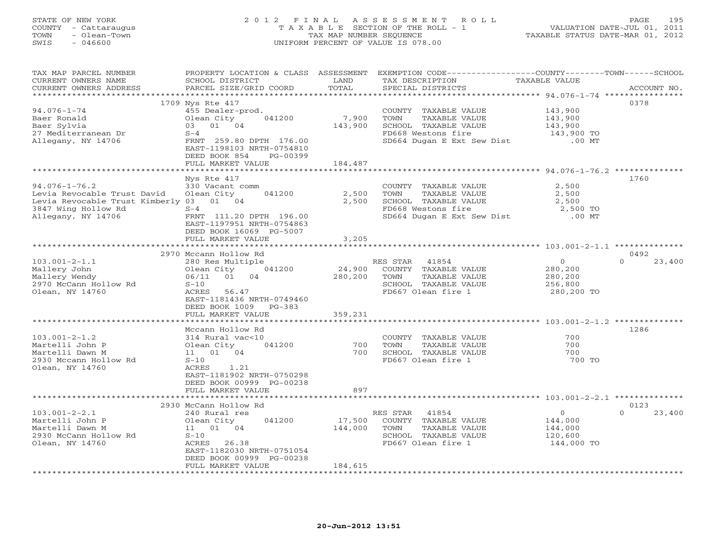# STATE OF NEW YORK 2 0 1 2 F I N A L A S S E S S M E N T R O L L PAGE 195 COUNTY - Cattaraugus T A X A B L E SECTION OF THE ROLL - 1 VALUATION DATE-JUL 01, 2011 TOWN - Olean-Town TAX MAP NUMBER SEQUENCE TAXABLE STATUS DATE-MAR 01, 2012 SWIS - 046600 UNIFORM PERCENT OF VALUE IS 078.00UNIFORM PERCENT OF VALUE IS 078.00

| TAX MAP PARCEL NUMBER<br>CURRENT OWNERS NAME | PROPERTY LOCATION & CLASS ASSESSMENT<br>SCHOOL DISTRICT | LAND        | EXEMPTION CODE-----------------COUNTY-------TOWN------SCHOOL<br>TAX DESCRIPTION | TAXABLE VALUE                                                     |                    |
|----------------------------------------------|---------------------------------------------------------|-------------|---------------------------------------------------------------------------------|-------------------------------------------------------------------|--------------------|
| CURRENT OWNERS ADDRESS                       | PARCEL SIZE/GRID COORD                                  | TOTAL       | SPECIAL DISTRICTS                                                               |                                                                   | ACCOUNT NO.        |
|                                              |                                                         |             |                                                                                 |                                                                   |                    |
|                                              | 1709 Nys Rte 417                                        |             |                                                                                 |                                                                   | 0378               |
| $94.076 - 1 - 74$                            | 455 Dealer-prod.                                        |             | COUNTY TAXABLE VALUE                                                            | 143,900                                                           |                    |
| Baer Ronald                                  | Olean City<br>041200                                    | 7,900       | TOWN<br>TAXABLE VALUE                                                           | 143,900                                                           |                    |
| Baer Sylvia                                  | 03 01 04                                                | 143,900     | SCHOOL TAXABLE VALUE                                                            | 143,900                                                           |                    |
| 27 Mediterranean Dr                          | $S-4$                                                   |             | FD668 Westons fire                                                              | 143,900 TO                                                        |                    |
| Allegany, NY 14706                           | FRNT 259.80 DPTH 176.00                                 |             | SD664 Dugan E Ext Sew Dist                                                      | $.00$ MT                                                          |                    |
|                                              | EAST-1198103 NRTH-0754810                               |             |                                                                                 |                                                                   |                    |
|                                              | DEED BOOK 854<br>PG-00399                               |             |                                                                                 |                                                                   |                    |
|                                              | FULL MARKET VALUE                                       | 184,487     |                                                                                 |                                                                   |                    |
|                                              |                                                         | *********** |                                                                                 | *********************************** 94.076-1-76.2 *************** |                    |
|                                              | Nys Rte 417                                             |             |                                                                                 |                                                                   | 1760               |
| $94.076 - 1 - 76.2$                          | 330 Vacant comm                                         |             | COUNTY TAXABLE VALUE                                                            | 2,500                                                             |                    |
| Levia Revocable Trust David                  | Olean City<br>041200                                    | 2,500       | TAXABLE VALUE<br>TOWN                                                           | 2,500                                                             |                    |
| Levia Revocable Trust Kimberly 03 01 04      |                                                         | 2,500       | SCHOOL TAXABLE VALUE                                                            | 2,500                                                             |                    |
| 3847 Wing Hollow Rd                          | $S-4$                                                   |             | FD668 Westons fire                                                              | 2,500 TO                                                          |                    |
| Allegany, NY 14706                           | FRNT 111.20 DPTH 196.00                                 |             |                                                                                 | $.00$ MT                                                          |                    |
|                                              |                                                         |             | SD664 Dugan E Ext Sew Dist                                                      |                                                                   |                    |
|                                              | EAST-1197951 NRTH-0754863                               |             |                                                                                 |                                                                   |                    |
|                                              | DEED BOOK 16069 PG-5007                                 |             |                                                                                 |                                                                   |                    |
|                                              | FULL MARKET VALUE                                       | 3,205       |                                                                                 |                                                                   |                    |
|                                              |                                                         |             |                                                                                 |                                                                   |                    |
|                                              | 2970 Mccann Hollow Rd                                   |             |                                                                                 |                                                                   | 0492               |
| $103.001 - 2 - 1.1$                          | 280 Res Multiple                                        |             | RES STAR<br>41854                                                               | $\mathsf{O}$                                                      | $\Omega$<br>23,400 |
| Mallery John                                 | Olean City<br>041200                                    | 24,900      | COUNTY TAXABLE VALUE                                                            | 280,200                                                           |                    |
| Mallery Wendy                                | 06/11 01 04                                             | 280,200     | TOWN<br>TAXABLE VALUE                                                           | 280,200                                                           |                    |
| 2970 McCann Hollow Rd                        | $S-10$                                                  |             | SCHOOL TAXABLE VALUE                                                            | 256,800                                                           |                    |
| Olean, NY 14760                              | ACRES<br>56.47                                          |             | FD667 Olean fire 1                                                              | 280,200 TO                                                        |                    |
|                                              | EAST-1181436 NRTH-0749460                               |             |                                                                                 |                                                                   |                    |
|                                              | DEED BOOK 1009<br>$PG-383$                              |             |                                                                                 |                                                                   |                    |
|                                              | FULL MARKET VALUE                                       | 359,231     |                                                                                 |                                                                   |                    |
|                                              |                                                         |             |                                                                                 |                                                                   |                    |
|                                              | Mccann Hollow Rd                                        |             |                                                                                 |                                                                   | 1286               |
| $103.001 - 2 - 1.2$                          | 314 Rural vac<10                                        |             | COUNTY TAXABLE VALUE                                                            | 700                                                               |                    |
| Martelli John P                              | 041200<br>Olean City                                    | 700         | TAXABLE VALUE<br>TOWN                                                           | 700                                                               |                    |
| Martelli Dawn M                              | 11  01  04                                              | 700         | SCHOOL TAXABLE VALUE                                                            | 700                                                               |                    |
| 2930 Mccann Hollow Rd                        | $S-10$                                                  |             | FD667 Olean fire 1                                                              | 700 TO                                                            |                    |
|                                              | ACRES<br>1.21                                           |             |                                                                                 |                                                                   |                    |
| Olean, NY 14760                              |                                                         |             |                                                                                 |                                                                   |                    |
|                                              | EAST-1181902 NRTH-0750298                               |             |                                                                                 |                                                                   |                    |
|                                              | DEED BOOK 00999 PG-00238                                |             |                                                                                 |                                                                   |                    |
|                                              | FULL MARKET VALUE                                       | 897         |                                                                                 |                                                                   |                    |
|                                              |                                                         |             |                                                                                 |                                                                   |                    |
|                                              | 2930 McCann Hollow Rd                                   |             |                                                                                 |                                                                   | 0123               |
| $103.001 - 2 - 2.1$                          | 240 Rural res                                           |             | RES STAR 41854                                                                  | $\overline{0}$                                                    | $\Omega$<br>23,400 |
| Martelli John P                              | 041200<br>Olean City                                    | 17,500      | COUNTY TAXABLE VALUE                                                            | 144,000                                                           |                    |
| Martelli Dawn M                              | 11  01  04                                              | 144,000     | TOWN<br>TAXABLE VALUE                                                           | 144,000                                                           |                    |
| 2930 McCann Hollow Rd                        | $S-10$                                                  |             | SCHOOL TAXABLE VALUE                                                            | 120,600                                                           |                    |
| Olean, NY 14760                              | ACRES 26.38                                             |             | FD667 Olean fire 1                                                              | 144,000 TO                                                        |                    |
|                                              | EAST-1182030 NRTH-0751054                               |             |                                                                                 |                                                                   |                    |
|                                              | DEED BOOK 00999 PG-00238                                |             |                                                                                 |                                                                   |                    |
|                                              | FULL MARKET VALUE                                       | 184,615     |                                                                                 |                                                                   |                    |
|                                              |                                                         |             |                                                                                 |                                                                   |                    |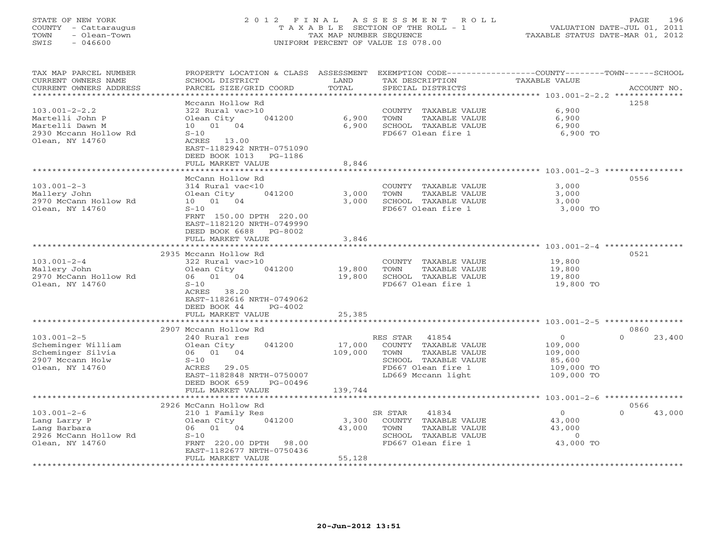# STATE OF NEW YORK 2 0 1 2 F I N A L A S S E S S M E N T R O L L PAGE 196 COUNTY - Cattaraugus T A X A B L E SECTION OF THE ROLL - 1 VALUATION DATE-JUL 01, 2011 TOWN - Olean-Town TAX MAP NUMBER SEQUENCE TAXABLE STATUS DATE-MAR 01, 2012 SWIS - 046600 UNIFORM PERCENT OF VALUE IS 078.00UNIFORM PERCENT OF VALUE IS 078.00

| TAX MAP PARCEL NUMBER<br>CURRENT OWNERS NAME | PROPERTY LOCATION & CLASS ASSESSMENT<br>SCHOOL DISTRICT | LAND                  | EXEMPTION CODE-----------------COUNTY-------TOWN------SCHOOL<br>TAX DESCRIPTION | <b>TAXABLE VALUE</b>        |                             |
|----------------------------------------------|---------------------------------------------------------|-----------------------|---------------------------------------------------------------------------------|-----------------------------|-----------------------------|
| CURRENT OWNERS ADDRESS                       | PARCEL SIZE/GRID COORD<br>+ + + + + + + + + + + + + + + | TOTAL<br>******       | SPECIAL DISTRICTS                                                               | ********** 103.001-2-2.2 ** | ACCOUNT NO.<br>************ |
|                                              | Mccann Hollow Rd                                        |                       |                                                                                 |                             | 1258                        |
| $103.001 - 2 - 2.2$                          | 322 Rural vac>10                                        |                       | COUNTY TAXABLE VALUE                                                            | 6,900                       |                             |
| Martelli John P                              | Olean City<br>041200                                    | 6,900                 | TOWN<br>TAXABLE VALUE                                                           | 6,900                       |                             |
| Martelli Dawn M                              | 10 01 04                                                | 6,900                 | SCHOOL TAXABLE VALUE                                                            | 6,900                       |                             |
| 2930 Mccann Hollow Rd                        | $S-10$                                                  |                       | FD667 Olean fire 1                                                              | 6,900 TO                    |                             |
| Olean, NY 14760                              | ACRES 13.00                                             |                       |                                                                                 |                             |                             |
|                                              | EAST-1182942 NRTH-0751090                               |                       |                                                                                 |                             |                             |
|                                              | DEED BOOK 1013<br>PG-1186                               |                       |                                                                                 |                             |                             |
|                                              | FULL MARKET VALUE<br>***********************            | 8,846<br>************ |                                                                                 |                             |                             |
|                                              | McCann Hollow Rd                                        |                       |                                                                                 |                             | 0556                        |
| $103.001 - 2 - 3$                            | 314 Rural vac<10                                        |                       | COUNTY TAXABLE VALUE                                                            | 3,000                       |                             |
| Mallery John                                 | 041200<br>Olean City                                    | 3,000                 | TOWN<br>TAXABLE VALUE                                                           | 3,000                       |                             |
| 2970 McCann Hollow Rd                        | 10 01 04                                                | 3,000                 | SCHOOL TAXABLE VALUE                                                            | 3,000                       |                             |
| Olean, NY 14760                              | $S-10$                                                  |                       | FD667 Olean fire 1                                                              | 3,000 TO                    |                             |
|                                              | FRNT 150.00 DPTH 220.00                                 |                       |                                                                                 |                             |                             |
|                                              | EAST-1182120 NRTH-0749990                               |                       |                                                                                 |                             |                             |
|                                              | DEED BOOK 6688<br>PG-8002                               |                       |                                                                                 |                             |                             |
|                                              | FULL MARKET VALUE                                       | 3,846                 |                                                                                 |                             |                             |
|                                              |                                                         |                       |                                                                                 |                             |                             |
|                                              | 2935 Mccann Hollow Rd                                   |                       |                                                                                 |                             | 0521                        |
| $103.001 - 2 - 4$                            | 322 Rural vac>10                                        |                       | COUNTY TAXABLE VALUE<br>TOWN                                                    | 19,800                      |                             |
| Mallery John<br>2970 McCann Hollow Rd        | Olean City<br>041200<br>06 01 04                        | 19,800<br>19,800      | TAXABLE VALUE<br>SCHOOL TAXABLE VALUE                                           | 19,800<br>19,800            |                             |
| Olean, NY 14760                              | $S-10$                                                  |                       | FD667 Olean fire 1                                                              | 19,800 TO                   |                             |
|                                              | ACRES 38.20                                             |                       |                                                                                 |                             |                             |
|                                              | EAST-1182616 NRTH-0749062                               |                       |                                                                                 |                             |                             |
|                                              | DEED BOOK 44<br>$PG-4002$                               |                       |                                                                                 |                             |                             |
|                                              | FULL MARKET VALUE                                       | 25,385                |                                                                                 |                             |                             |
|                                              |                                                         |                       |                                                                                 |                             |                             |
|                                              | 2907 Mccann Hollow Rd                                   |                       |                                                                                 |                             | 0860                        |
| $103.001 - 2 - 5$                            | 240 Rural res                                           |                       | 41854<br>RES STAR                                                               | $\circ$                     | $\Omega$<br>23,400          |
| Scheminger William                           | 041200<br>Olean City                                    | 17,000                | COUNTY TAXABLE VALUE                                                            | 109,000                     |                             |
| Scheminger Silvia                            | 06 01 04                                                | 109,000               | TOWN<br>TAXABLE VALUE                                                           | 109,000                     |                             |
| 2907 Mccann Holw<br>Olean, NY 14760          | $S-10$<br>ACRES 29.05                                   |                       | SCHOOL TAXABLE VALUE<br>FD667 Olean fire 1                                      | 85,600<br>109,000 TO        |                             |
|                                              | EAST-1182848 NRTH-0750007                               |                       | LD669 Mccann light                                                              | 109,000 TO                  |                             |
|                                              | DEED BOOK 659<br>PG-00496                               |                       |                                                                                 |                             |                             |
|                                              | FULL MARKET VALUE                                       | 139,744               |                                                                                 |                             |                             |
|                                              | ******************                                      |                       |                                                                                 |                             |                             |
|                                              | 2926 McCann Hollow Rd                                   |                       |                                                                                 |                             | 0566                        |
| $103.001 - 2 - 6$                            | 210 1 Family Res                                        |                       | SR STAR<br>41834                                                                | $\circ$                     | $\Omega$<br>43,000          |
| Lang Larry P                                 | 041200<br>Olean City                                    | 3,300                 | COUNTY TAXABLE VALUE                                                            | 43,000                      |                             |
| Lang Barbara                                 | 01 04<br>06                                             | 43,000                | TOWN<br>TAXABLE VALUE                                                           | 43,000                      |                             |
| 2926 McCann Hollow Rd                        | $S-10$                                                  |                       | SCHOOL TAXABLE VALUE                                                            | $\circ$                     |                             |
| Olean, NY 14760                              | FRNT 220.00 DPTH<br>98.00                               |                       | FD667 Olean fire 1                                                              | 43,000 TO                   |                             |
|                                              | EAST-1182677 NRTH-0750436<br>FULL MARKET VALUE          | 55,128                |                                                                                 |                             |                             |
|                                              |                                                         | ************          |                                                                                 |                             |                             |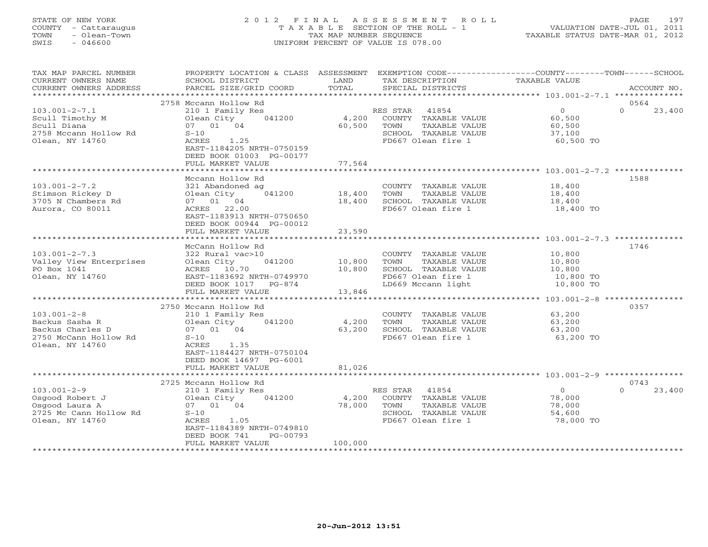# STATE OF NEW YORK 2 0 1 2 F I N A L A S S E S S M E N T R O L L PAGE 197 COUNTY - Cattaraugus T A X A B L E SECTION OF THE ROLL - 1 VALUATION DATE-JUL 01, 2011 TOWN - Olean-Town TAX MAP NUMBER SEQUENCE TAXABLE STATUS DATE-MAR 01, 2012 SWIS - 046600 UNIFORM PERCENT OF VALUE IS 078.00UNIFORM PERCENT OF VALUE IS 078.00

| TAX MAP PARCEL NUMBER<br>CURRENT OWNERS NAME<br>CURRENT OWNERS ADDRESS                              | PROPERTY LOCATION & CLASS ASSESSMENT<br>SCHOOL DISTRICT<br>PARCEL SIZE/GRID COORD                                                                                 | LAND<br>TOTAL              | EXEMPTION CODE-----------------COUNTY-------TOWN------SCHOOL<br>TAX DESCRIPTION<br>SPECIAL DISTRICTS              | TAXABLE VALUE                                        | ACCOUNT NO.                |
|-----------------------------------------------------------------------------------------------------|-------------------------------------------------------------------------------------------------------------------------------------------------------------------|----------------------------|-------------------------------------------------------------------------------------------------------------------|------------------------------------------------------|----------------------------|
| *********************                                                                               |                                                                                                                                                                   |                            |                                                                                                                   |                                                      |                            |
| $103.001 - 2 - 7.1$<br>Scull Timothy M<br>Scull Diana<br>2758 Mccann Hollow Rd<br>Olean, NY 14760   | 2758 Mccann Hollow Rd<br>210 1 Family Res<br>Olean City<br>041200<br>07 01 04<br>$S-10$<br>1.25<br>ACRES<br>EAST-1184205 NRTH-0750159<br>DEED BOOK 01003 PG-00177 | 4,200<br>60,500            | RES STAR<br>41854<br>COUNTY TAXABLE VALUE<br>TOWN<br>TAXABLE VALUE<br>SCHOOL TAXABLE VALUE<br>FD667 Olean fire 1  | $\circ$<br>60,500<br>60,500<br>37,100<br>60,500 TO   | 0564<br>23,400<br>$\Omega$ |
|                                                                                                     | FULL MARKET VALUE                                                                                                                                                 | 77,564                     |                                                                                                                   |                                                      |                            |
| $103.001 - 2 - 7.2$<br>Stimson Rickey D<br>3705 N Chambers Rd                                       | Mccann Hollow Rd<br>321 Abandoned ag<br>Olean City<br>041200<br>07 01 04                                                                                          | 18,400<br>18,400           | COUNTY TAXABLE VALUE<br>TAXABLE VALUE<br>TOWN<br>SCHOOL TAXABLE VALUE                                             | 18,400<br>18,400<br>18,400                           | 1588                       |
| Aurora, CO 80011                                                                                    | ACRES 22.00<br>EAST-1183913 NRTH-0750650<br>DEED BOOK 00944 PG-00012<br>FULL MARKET VALUE                                                                         | 23,590                     | FD667 Olean fire 1                                                                                                | 18,400 TO                                            |                            |
|                                                                                                     |                                                                                                                                                                   |                            |                                                                                                                   |                                                      |                            |
| $103.001 - 2 - 7.3$<br>Valley View Enterprises<br>PO Box 1041<br>Olean, NY 14760                    | McCann Hollow Rd<br>322 Rural vac>10<br>Olean City<br>041200<br>ACRES 10.70<br>EAST-1183692 NRTH-0749970<br>DEED BOOK 1017<br>PG-874<br>FULL MARKET VALUE         | 10,800<br>10,800<br>13,846 | COUNTY TAXABLE VALUE<br>TOWN<br>TAXABLE VALUE<br>SCHOOL TAXABLE VALUE<br>FD667 Olean fire 1<br>LD669 Mccann light | 10,800<br>10,800<br>10,800<br>10,800 TO<br>10,800 TO | 1746                       |
|                                                                                                     | ***********************<br>2750 Mccann Hollow Rd                                                                                                                  |                            |                                                                                                                   | *********************** 103.001-2-8 **************** | 0357                       |
| $103.001 - 2 - 8$<br>Backus Sasha R<br>Backus Charles D<br>2750 McCann Hollow Rd<br>Olean, NY 14760 | 210 1 Family Res<br>Olean City<br>041200<br>07 01 04<br>$S-10$<br>ACRES<br>1.35<br>EAST-1184427 NRTH-0750104<br>DEED BOOK 14697 PG-6001                           | 4,200<br>63,200            | COUNTY TAXABLE VALUE<br>TOWN<br>TAXABLE VALUE<br>SCHOOL TAXABLE VALUE<br>FD667 Olean fire 1                       | 63,200<br>63,200<br>63,200<br>63,200 TO              |                            |
|                                                                                                     | FULL MARKET VALUE                                                                                                                                                 | 81,026                     |                                                                                                                   |                                                      |                            |
|                                                                                                     | 2725 Mccann Hollow Rd                                                                                                                                             |                            |                                                                                                                   |                                                      | 0743                       |
| $103.001 - 2 - 9$<br>Osgood Robert J<br>Osgood Laura A<br>2725 Mc Cann Hollow Rd<br>Olean, NY 14760 | 210 1 Family Res<br>Olean City<br>041200<br>07 01 04<br>$S-10$<br>1.05<br>ACRES<br>EAST-1184389 NRTH-0749810<br>DEED BOOK 741<br>PG-00793<br>FULL MARKET VALUE    | 4,200<br>78,000<br>100,000 | 41854<br>RES STAR<br>COUNTY TAXABLE VALUE<br>TOWN<br>TAXABLE VALUE<br>SCHOOL TAXABLE VALUE<br>FD667 Olean fire 1  | $\circ$<br>78,000<br>78,000<br>54,600<br>78,000 TO   | $\Omega$<br>23,400         |
|                                                                                                     |                                                                                                                                                                   |                            |                                                                                                                   |                                                      |                            |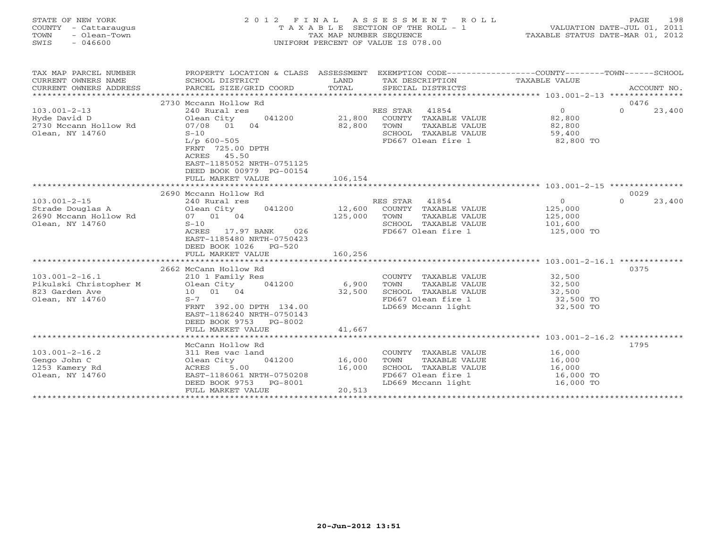| TOWN<br>SWIS | STATE OF NEW YORK<br>COUNTY - Cattaraugus<br>- Olean-Town<br>- 046600 |  | 2012 FINAL ASSESSMENT ROLL<br>T A X A B L E SECTION OF THE ROLL - 1<br>TAX MAP NUMBER SEOUENCE<br>UNIFORM PERCENT OF VALUE IS 078.00 | TAXABLE STATUS DATE-MAR 01, 2012 | PAGE.<br>VALUATION DATE-JUL 01, 2011 | 198     |
|--------------|-----------------------------------------------------------------------|--|--------------------------------------------------------------------------------------------------------------------------------------|----------------------------------|--------------------------------------|---------|
|              | TAX MAP PARCEL NUMBER                                                 |  | PROPERTY LOCATION & CLASS ASSESSMENT EXEMPTION CODE-                                                                                 | -COUNTY----                      | -TOWN-                               | -SCHOOL |

| CURRENT OWNERS NAME      | SCHOOL DISTRICT            | LAND                | TAX DESCRIPTION       | TAXABLE VALUE                                   |                    |
|--------------------------|----------------------------|---------------------|-----------------------|-------------------------------------------------|--------------------|
| CURRENT OWNERS ADDRESS   | PARCEL SIZE/GRID COORD     | TOTAL               | SPECIAL DISTRICTS     |                                                 | ACCOUNT NO.        |
| ************************ |                            |                     |                       |                                                 |                    |
|                          | 2730 Mccann Hollow Rd      |                     |                       |                                                 | 0476               |
| $103.001 - 2 - 13$       | 240 Rural res              |                     | RES STAR<br>41854     | $\circ$                                         | $\Omega$<br>23,400 |
| Hyde David D             | Olean City<br>041200       | 21,800              | COUNTY TAXABLE VALUE  | 82,800                                          |                    |
| 2730 Mccann Hollow Rd    | 04<br>07/08<br>01          | 82,800              | TOWN<br>TAXABLE VALUE | 82,800                                          |                    |
| Olean, NY 14760          | $S-10$                     |                     | SCHOOL TAXABLE VALUE  | 59,400                                          |                    |
|                          | $L/p$ 600-505              |                     | FD667 Olean fire 1    | 82,800 TO                                       |                    |
|                          | FRNT 725.00 DPTH           |                     |                       |                                                 |                    |
|                          | 45.50<br>ACRES             |                     |                       |                                                 |                    |
|                          | EAST-1185052 NRTH-0751125  |                     |                       |                                                 |                    |
|                          | DEED BOOK 00979 PG-00154   |                     |                       |                                                 |                    |
|                          | FULL MARKET VALUE          | 106,154             |                       |                                                 |                    |
|                          |                            |                     |                       |                                                 |                    |
|                          | 2690 Mccann Hollow Rd      |                     |                       |                                                 | 0029               |
| $103.001 - 2 - 15$       | 240 Rural res              |                     | RES STAR<br>41854     | $\circ$                                         | $\Omega$<br>23,400 |
| Strade Douglas A         | 041200<br>Olean City       | 12,600              | COUNTY TAXABLE VALUE  | 125,000                                         |                    |
| 2690 Mccann Hollow Rd    | 07 01 04                   | 125,000             | TOWN<br>TAXABLE VALUE | 125,000                                         |                    |
| Olean, NY 14760          | $S-10$                     |                     | SCHOOL TAXABLE VALUE  | 101,600                                         |                    |
|                          | 026<br>ACRES<br>17.97 BANK |                     | FD667 Olean fire 1    | 125,000 TO                                      |                    |
|                          | EAST-1185480 NRTH-0750423  |                     |                       |                                                 |                    |
|                          | DEED BOOK 1026<br>$PG-520$ |                     |                       |                                                 |                    |
|                          | FULL MARKET VALUE          | 160,256             |                       |                                                 |                    |
|                          |                            |                     |                       |                                                 |                    |
|                          | 2662 McCann Hollow Rd      |                     |                       |                                                 | 0375               |
| $103.001 - 2 - 16.1$     | 210 1 Family Res           |                     | COUNTY TAXABLE VALUE  | 32,500                                          |                    |
| Pikulski Christopher M   | 041200<br>Olean City       | 6,900               | TOWN<br>TAXABLE VALUE | 32,500                                          |                    |
| 823 Garden Ave           | 10 01 04                   | 32,500              | SCHOOL TAXABLE VALUE  | 32,500                                          |                    |
| Olean, NY 14760          | $S-7$                      |                     | FD667 Olean fire 1    | 32,500 TO                                       |                    |
|                          | FRNT 392.00 DPTH 134.00    |                     | LD669 Mccann light    | 32,500 TO                                       |                    |
|                          | EAST-1186240 NRTH-0750143  |                     |                       |                                                 |                    |
|                          | DEED BOOK 9753<br>PG-8002  |                     |                       |                                                 |                    |
|                          | FULL MARKET VALUE          | 41,667              |                       |                                                 |                    |
|                          |                            | ******************* |                       | ****************** 103.001-2-16.2 ************* |                    |
|                          | McCann Hollow Rd           |                     |                       |                                                 | 1795               |
| $103.001 - 2 - 16.2$     | 311 Res vac land           |                     | COUNTY TAXABLE VALUE  | 16,000                                          |                    |
| Gengo John C             | Olean City<br>041200       | 16,000              | TOWN<br>TAXABLE VALUE | 16,000                                          |                    |
| 1253 Kamery Rd           | 5.00<br>ACRES              | 16,000              | SCHOOL TAXABLE VALUE  | 16,000                                          |                    |
| Olean, NY 14760          | EAST-1186061 NRTH-0750208  |                     | FD667 Olean fire 1    | 16,000 TO                                       |                    |
|                          | DEED BOOK 9753<br>PG-8001  |                     | LD669 Mccann light    | 16,000 TO                                       |                    |
|                          | FULL MARKET VALUE          | 20,513              |                       |                                                 |                    |
|                          | *******************        |                     |                       |                                                 |                    |
|                          |                            |                     |                       |                                                 |                    |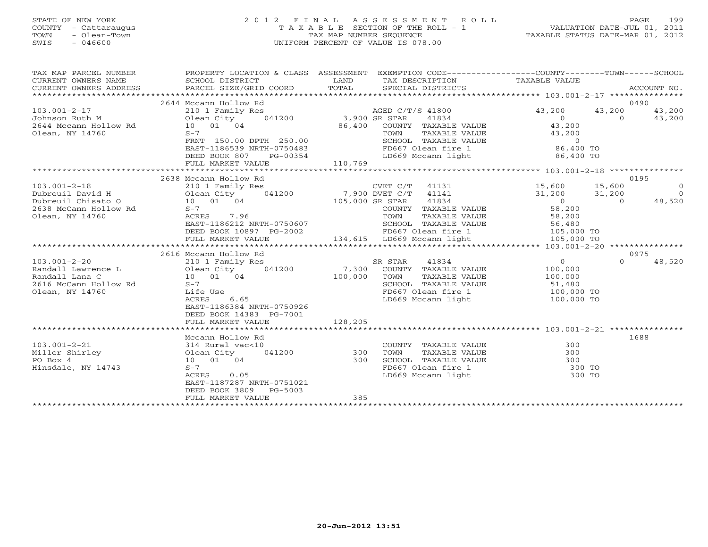# STATE OF NEW YORK 2 0 1 2 F I N A L A S S E S S M E N T R O L L PAGE 199 COUNTY - Cattaraugus T A X A B L E SECTION OF THE ROLL - 1 VALUATION DATE-JUL 01, 2011 TOWN - Olean-Town TAX MAP NUMBER SEQUENCE TAXABLE STATUS DATE-MAR 01, 2012 SWIS - 046600 UNIFORM PERCENT OF VALUE IS 078.00UNIFORM PERCENT OF VALUE IS 078.00

| TAX MAP PARCEL NUMBER               | PROPERTY LOCATION & CLASS ASSESSMENT EXEMPTION CODE-----------------COUNTY-------TOWN------SCHOOL                                                                                                                                     |         |                                                                                                             |        |          |                |
|-------------------------------------|---------------------------------------------------------------------------------------------------------------------------------------------------------------------------------------------------------------------------------------|---------|-------------------------------------------------------------------------------------------------------------|--------|----------|----------------|
| CURRENT OWNERS NAME SCHOOL DISTRICT | <b>Example 19</b> LAND                                                                                                                                                                                                                |         | TAX DESCRIPTION TAXABLE VALUE                                                                               |        |          |                |
| CURRENT OWNERS ADDRESS              |                                                                                                                                                                                                                                       |         |                                                                                                             |        |          |                |
|                                     |                                                                                                                                                                                                                                       |         |                                                                                                             |        |          |                |
|                                     | 2644 Mccann Hollow Rd                                                                                                                                                                                                                 |         |                                                                                                             |        |          | 0490           |
|                                     |                                                                                                                                                                                                                                       |         | AGED C/T/S 41800<br>3,900 SR STAR 41834 0 0 43,200<br>86,400 COUNTY TAXABLE VALUE 43,200<br>43,200 43,200   |        |          |                |
|                                     |                                                                                                                                                                                                                                       |         |                                                                                                             |        |          |                |
|                                     |                                                                                                                                                                                                                                       |         |                                                                                                             |        |          |                |
| Olean, NY 14760                     |                                                                                                                                                                                                                                       |         |                                                                                                             |        |          |                |
|                                     | S-7<br>FRNT 150.00 DPTH 250.00                                                                                                                                                                                                        |         |                                                                                                             |        |          |                |
|                                     | EAST-1186539 NRTH-0750483                                                                                                                                                                                                             |         |                                                                                                             |        |          |                |
|                                     |                                                                                                                                                                                                                                       |         |                                                                                                             |        |          |                |
|                                     |                                                                                                                                                                                                                                       |         |                                                                                                             |        |          |                |
|                                     |                                                                                                                                                                                                                                       |         |                                                                                                             |        |          |                |
|                                     | 2638 Mccann Hollow Rd                                                                                                                                                                                                                 |         |                                                                                                             |        |          | 0195           |
|                                     | CVET C/T 41131 15,600 15,600 15,600<br>Dubreuil David H Olean City 041200 7,900 DVET C/T 41141 15,600 15,600 15,600<br>2638 McCann Hollow Rd 5-7 105,000 SR STAR 41834 0<br>2638 McCann Hollow Rd 5-7 201<br>2638 McCann Hollow Rd 5- |         |                                                                                                             |        |          | $\overline{0}$ |
|                                     |                                                                                                                                                                                                                                       |         |                                                                                                             |        |          | $\overline{0}$ |
|                                     |                                                                                                                                                                                                                                       |         |                                                                                                             |        |          | $0 \t 48,520$  |
|                                     |                                                                                                                                                                                                                                       |         |                                                                                                             |        |          |                |
| Olean, NY 14760                     |                                                                                                                                                                                                                                       |         |                                                                                                             |        |          |                |
|                                     | ACRES 7.96<br>EAST-1186212 NRTH-0750607<br>DEED BOOK 10897 PG-2002 134,615 LD669 Mccann light 105,000 TO<br>FULL MARKET VALUE 134,615 LD669 Mccann light 105,000 TO                                                                   |         |                                                                                                             |        |          |                |
|                                     |                                                                                                                                                                                                                                       |         |                                                                                                             |        |          |                |
|                                     |                                                                                                                                                                                                                                       |         |                                                                                                             |        |          |                |
|                                     |                                                                                                                                                                                                                                       |         |                                                                                                             |        |          |                |
|                                     | 2616 Mccann Hollow Rd                                                                                                                                                                                                                 |         |                                                                                                             |        |          | 0975           |
|                                     |                                                                                                                                                                                                                                       |         | SR STAR 41834<br>7,300 COUNTY TAXABLE VALUE                                                                 |        | $\Omega$ | 48,520         |
|                                     |                                                                                                                                                                                                                                       |         |                                                                                                             |        |          |                |
|                                     | 103.001-2-20<br>Randall Lawrence L 210 1 Family Res<br>Randall Lana C 10 01 04                                                                                                                                                        | 100,000 | SR STAR 41834<br>COUNTY TAXABLE VALUE 100,000<br>TOWN TAXABLE VALUE 100,000<br>SCHOOL TAXABLE VALUE 100,000 |        |          |                |
| 2616 McCann Hollow Rd S-7           |                                                                                                                                                                                                                                       |         |                                                                                                             |        |          |                |
| Olean, NY 14760                     | Life Use                                                                                                                                                                                                                              |         |                                                                                                             |        |          |                |
|                                     | ACRES 6.65                                                                                                                                                                                                                            |         | LD669 Mccann light 100,000 TO                                                                               |        |          |                |
|                                     | EAST-1186384 NRTH-0750926                                                                                                                                                                                                             |         |                                                                                                             |        |          |                |
|                                     | DEED BOOK 14383 PG-7001                                                                                                                                                                                                               |         |                                                                                                             |        |          |                |
|                                     | FULL MARKET VALUE                                                                                                                                                                                                                     | 128,205 |                                                                                                             |        |          |                |
|                                     |                                                                                                                                                                                                                                       |         |                                                                                                             |        |          |                |
|                                     | Mccann Hollow Rd                                                                                                                                                                                                                      |         |                                                                                                             |        |          | 1688           |
| $103.001 - 2 - 21$                  | 314 Rural vac<10                                                                                                                                                                                                                      |         | COUNTY TAXABLE VALUE 300                                                                                    |        |          |                |
|                                     |                                                                                                                                                                                                                                       |         |                                                                                                             |        |          |                |
|                                     |                                                                                                                                                                                                                                       |         | TOWN TAXABLE VALUE 300<br>SCHOOL TAXABLE VALUE 300<br>FD667 Olean fire 1 300 TO                             |        |          |                |
| Hinsdale, NY 14743                  | $S-7$                                                                                                                                                                                                                                 |         |                                                                                                             |        |          |                |
|                                     | ACRES 0.05                                                                                                                                                                                                                            |         | LD669 Mccann light                                                                                          | 300 TO |          |                |
|                                     | EAST-1187287 NRTH-0751021                                                                                                                                                                                                             |         |                                                                                                             |        |          |                |
|                                     | DEED BOOK 3809 PG-5003                                                                                                                                                                                                                |         |                                                                                                             |        |          |                |
|                                     | FULL MARKET VALUE                                                                                                                                                                                                                     | 385     |                                                                                                             |        |          |                |
|                                     |                                                                                                                                                                                                                                       |         |                                                                                                             |        |          |                |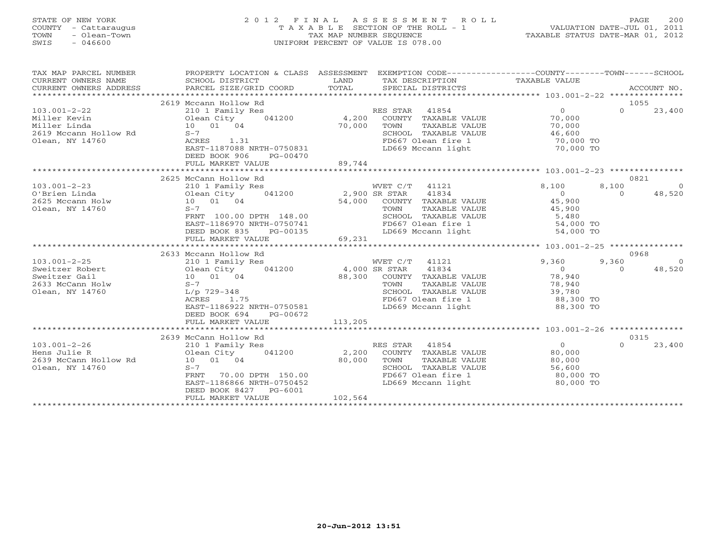# STATE OF NEW YORK 2 0 1 2 F I N A L A S S E S S M E N T R O L L PAGE 200 COUNTY - Cattaraugus T A X A B L E SECTION OF THE ROLL - 1 VALUATION DATE-JUL 01, 2011 TOWN - Olean-Town TAX MAP NUMBER SEQUENCE TAXABLE STATUS DATE-MAR 01, 2012 SWIS - 046600 UNIFORM PERCENT OF VALUE IS 078.00UNIFORM PERCENT OF VALUE IS 078.00

| TAX MAP PARCEL NUMBER<br>CURRENT OWNERS NAME<br>CURRENT OWNERS ADDRESS<br>******************** | PROPERTY LOCATION & CLASS ASSESSMENT EXEMPTION CODE---------------COUNTY-------TOWN------SCHOOL<br>SCHOOL DISTRICT<br>PARCEL SIZE/GRID COORD | LAND<br>TOTAL             | TAX DESCRIPTION<br>SPECIAL DISTRICTS | TAXABLE VALUE                                               |          | ACCOUNT NO.    |
|------------------------------------------------------------------------------------------------|----------------------------------------------------------------------------------------------------------------------------------------------|---------------------------|--------------------------------------|-------------------------------------------------------------|----------|----------------|
|                                                                                                | 2619 Mccann Hollow Rd                                                                                                                        |                           |                                      |                                                             |          | 1055           |
| $103.001 - 2 - 22$                                                                             |                                                                                                                                              |                           | RES STAR 41854                       | $\Omega$                                                    | $\Omega$ | 23,400         |
|                                                                                                | 210 1 Family Res<br>$041200$ 4,200                                                                                                           |                           | COUNTY TAXABLE VALUE                 |                                                             |          |                |
| Miller Kevin                                                                                   | Olean City<br>10 01 04                                                                                                                       | 70,000                    |                                      | 70,000                                                      |          |                |
| Miller Linda                                                                                   |                                                                                                                                              |                           | TOWN<br>TAXABLE VALUE                | 70,000                                                      |          |                |
| 2619 Mccann Hollow Rd                                                                          | $S-7$                                                                                                                                        |                           | SCHOOL TAXABLE VALUE                 | 46,600<br>JE                            46,600<br>70,000 TO |          |                |
| Olean, NY 14760                                                                                | ACRES<br>1.31                                                                                                                                |                           | FD667 Olean fire 1                   |                                                             |          |                |
|                                                                                                | EAST-1187088 NRTH-0750831                                                                                                                    |                           | LD669 Mccann light                   | 70,000 TO                                                   |          |                |
|                                                                                                | DEED BOOK 906<br>PG-00470                                                                                                                    |                           |                                      |                                                             |          |                |
|                                                                                                | FULL MARKET VALUE                                                                                                                            | 89,744                    |                                      |                                                             |          |                |
|                                                                                                |                                                                                                                                              |                           |                                      |                                                             |          |                |
|                                                                                                | 2625 McCann Hollow Rd                                                                                                                        |                           |                                      |                                                             |          | 0821           |
| $103.001 - 2 - 23$                                                                             | 210 1 Family Res                                                                                                                             | WVET C/T<br>2,900 SR STAR | WVET C/T 41121                       | 8,100                                                       | 8,100    | $\Omega$       |
| O'Brien Linda                                                                                  | 041200<br>Olean City<br>$10$ 01 04                                                                                                           |                           | 41834                                | $\overline{0}$                                              | $\Omega$ | 48,520         |
| 2625 Mccann Holw                                                                               |                                                                                                                                              |                           | 54,000 COUNTY TAXABLE VALUE          | 45,900                                                      |          |                |
| Olean, NY 14760                                                                                | $S-7$                                                                                                                                        |                           | TAXABLE VALUE<br>TOWN                | 45,900                                                      |          |                |
|                                                                                                | FRNT 100.00 DPTH 148.00                                                                                                                      |                           | SCHOOL TAXABLE VALUE                 | 5,480<br>UE 5,480<br>54,000 TO                              |          |                |
|                                                                                                | EAST-1186970 NRTH-0750741                                                                                                                    |                           | FD667 Olean fire 1                   |                                                             |          |                |
|                                                                                                | DEED BOOK 835<br>PG-00135                                                                                                                    |                           | LD669 Mccann light                   | 54,000 TO                                                   |          |                |
|                                                                                                | FULL MARKET VALUE                                                                                                                            | 69,231                    |                                      |                                                             |          |                |
|                                                                                                |                                                                                                                                              |                           |                                      |                                                             |          |                |
|                                                                                                | 2633 Mccann Hollow Rd                                                                                                                        |                           |                                      |                                                             |          | 0968           |
| $103.001 - 2 - 25$                                                                             | 210 1 Family Res                                                                                                                             |                           | WVET C/T 41121                       | 9,360                                                       | 9,360    | $\overline{0}$ |
| Sweitzer Robert                                                                                | Olean City 041200 4,000 SR STAR                                                                                                              |                           | 41834                                | $\overline{0}$                                              | $\Omega$ | 48,520         |
| Sweitzer Gail<br>$\begin{array}{c}\n \text{10} \\  \text{S}-7\n \end{array}$                   | 10 01 04                                                                                                                                     |                           | 88,300 COUNTY TAXABLE VALUE          | 78,940                                                      |          |                |
| 2633 McCann Holw                                                                               |                                                                                                                                              |                           | TOWN<br>TAXABLE VALUE                | 78,940                                                      |          |                |
| Olean, NY 14760                                                                                | L/p 729-348                                                                                                                                  |                           | SCHOOL TAXABLE VALUE                 | 39,780                                                      |          |                |
|                                                                                                | ACRES<br>1.75                                                                                                                                |                           | FD667 Olean fire 1                   | 88,300 TO                                                   |          |                |
|                                                                                                | EAST-1186922 NRTH-0750581                                                                                                                    |                           | LD669 Mccann light                   | 88,300 TO                                                   |          |                |
|                                                                                                | DEED BOOK 694<br>PG-00672                                                                                                                    |                           |                                      |                                                             |          |                |
|                                                                                                | FULL MARKET VALUE                                                                                                                            | 113,205                   |                                      |                                                             |          |                |
|                                                                                                |                                                                                                                                              |                           |                                      |                                                             |          |                |
|                                                                                                | 2639 McCann Hollow Rd                                                                                                                        |                           |                                      | $\Omega$                                                    | $\Omega$ | 0315           |
| $103.001 - 2 - 26$                                                                             | 210 1 Family Res                                                                                                                             |                           | RES STAR 41854                       |                                                             |          | 23,400         |
| Hens Julie R                                                                                   | Olean City<br>041200                                                                                                                         | 2,200                     | COUNTY TAXABLE VALUE                 | 80,000                                                      |          |                |
| 2639 McCann Hollow Rd                                                                          | 10 01 04                                                                                                                                     | 80,000                    | TOWN<br>TAXABLE VALUE                | 80,000                                                      |          |                |
| Olean, NY 14760                                                                                | $S-7$<br>70.00 DPTH 150.00                                                                                                                   |                           | SCHOOL TAXABLE VALUE                 | 56,600<br>UE 56,600<br>80,000 TO                            |          |                |
|                                                                                                | <b>FRNT</b>                                                                                                                                  |                           | FD667 Olean fire 1                   |                                                             |          |                |
|                                                                                                | EAST-1186866 NRTH-0750452                                                                                                                    |                           | LD669 Mccann light                   | ли в 1990,000 то                                            |          |                |
|                                                                                                | DEED BOOK 8427<br>PG-6001                                                                                                                    | 102,564                   |                                      |                                                             |          |                |
|                                                                                                | FULL MARKET VALUE                                                                                                                            |                           |                                      |                                                             |          |                |
|                                                                                                |                                                                                                                                              |                           |                                      |                                                             |          |                |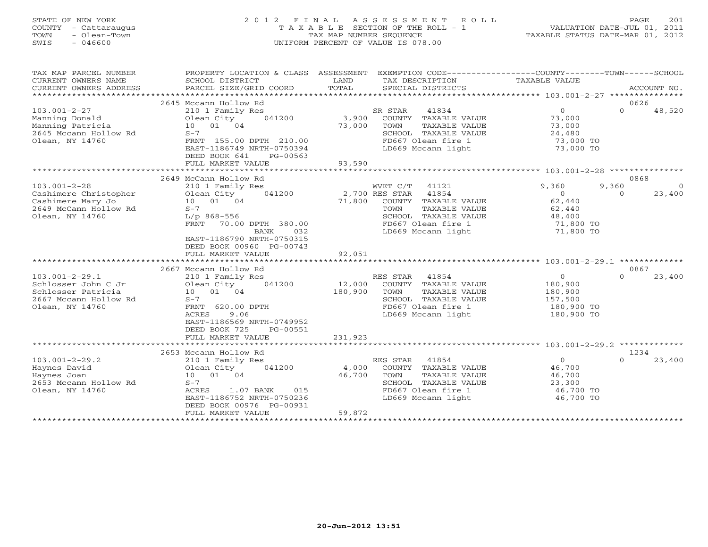# STATE OF NEW YORK 2 0 1 2 F I N A L A S S E S S M E N T R O L L PAGE 201 COUNTY - Cattaraugus T A X A B L E SECTION OF THE ROLL - 1 VALUATION DATE-JUL 01, 2011 TOWN - Olean-Town TAX MAP NUMBER SEQUENCE TAXABLE STATUS DATE-MAR 01, 2012 SWIS - 046600 UNIFORM PERCENT OF VALUE IS 078.00

| TAX MAP PARCEL NUMBER<br>CURRENT OWNERS NAME<br>CURRENT OWNERS ADDRESS | PROPERTY LOCATION & CLASS ASSESSMENT<br>SCHOOL DISTRICT<br>PARCEL SIZE/GRID COORD | LAND<br>TOTAL | EXEMPTION CODE-----------------COUNTY-------TOWN------SCHOOL<br>TAX DESCRIPTION<br>SPECIAL DISTRICTS | TAXABLE VALUE                                    | ACCOUNT NO.        |          |
|------------------------------------------------------------------------|-----------------------------------------------------------------------------------|---------------|------------------------------------------------------------------------------------------------------|--------------------------------------------------|--------------------|----------|
| *************************                                              |                                                                                   |               |                                                                                                      |                                                  |                    |          |
|                                                                        | 2645 Mccann Hollow Rd                                                             |               |                                                                                                      |                                                  | 0626               |          |
| $103.001 - 2 - 27$                                                     | 210 1 Family Res                                                                  |               | SR STAR<br>41834                                                                                     | $\circ$                                          | $\Omega$<br>48,520 |          |
| Manning Donald                                                         | Olean City<br>041200                                                              | 3,900         | COUNTY TAXABLE VALUE                                                                                 | 73,000                                           |                    |          |
| Manning Patricia                                                       | 10 01 04                                                                          | 73,000        | TOWN<br>TAXABLE VALUE                                                                                | 73,000                                           |                    |          |
| 2645 Mccann Hollow Rd                                                  | $S-7$                                                                             |               | SCHOOL TAXABLE VALUE                                                                                 | 24,480                                           |                    |          |
| Olean, NY 14760                                                        | FRNT 155.00 DPTH 210.00                                                           |               | FD667 Olean fire 1                                                                                   | 73,000 TO                                        |                    |          |
|                                                                        | EAST-1186749 NRTH-0750394                                                         |               | LD669 Mccann light                                                                                   | 73,000 TO                                        |                    |          |
|                                                                        | DEED BOOK 641<br>PG-00563                                                         |               |                                                                                                      |                                                  |                    |          |
|                                                                        | FULL MARKET VALUE                                                                 | 93,590        |                                                                                                      |                                                  |                    |          |
|                                                                        |                                                                                   |               |                                                                                                      |                                                  |                    |          |
|                                                                        | 2649 McCann Hollow Rd                                                             |               |                                                                                                      |                                                  | 0868               |          |
| $103.001 - 2 - 28$                                                     | 210 1 Family Res                                                                  |               | WVET C/T<br>41121                                                                                    | 9,360                                            | 9,360              | $\Omega$ |
| Cashimere Christopher                                                  | 041200<br>Olean City                                                              |               | 2,700 RES STAR<br>41854                                                                              | $\circ$                                          | 23,400<br>$\Omega$ |          |
| Cashimere Mary Jo                                                      | 10 01 04                                                                          | 71,800        | COUNTY TAXABLE VALUE                                                                                 | 62,440                                           |                    |          |
| 2649 McCann Hollow Rd                                                  | $S-7$                                                                             |               | TAXABLE VALUE<br>TOWN                                                                                | 62,440                                           |                    |          |
| Olean, NY 14760                                                        | $L/p$ 868-556                                                                     |               | SCHOOL TAXABLE VALUE                                                                                 | 48,400                                           |                    |          |
|                                                                        | FRNT<br>70.00 DPTH 380.00                                                         |               | FD667 Olean fire 1                                                                                   | 71,800 TO                                        |                    |          |
|                                                                        | <b>BANK</b><br>032                                                                |               | LD669 Mccann light                                                                                   | 71,800 TO                                        |                    |          |
|                                                                        | EAST-1186790 NRTH-0750315                                                         |               |                                                                                                      |                                                  |                    |          |
|                                                                        | DEED BOOK 00960 PG-00743                                                          |               |                                                                                                      |                                                  |                    |          |
|                                                                        | FULL MARKET VALUE                                                                 | 92,051        |                                                                                                      |                                                  |                    |          |
|                                                                        |                                                                                   | ************  |                                                                                                      | ******************* 103.001-2-29.1 ************* |                    |          |
|                                                                        | 2667 Mccann Hollow Rd                                                             |               |                                                                                                      |                                                  | 0867               |          |
| $103.001 - 2 - 29.1$                                                   | 210 1 Family Res                                                                  |               | 41854<br>RES STAR                                                                                    | $\overline{0}$                                   | $\Omega$<br>23,400 |          |
| Schlosser John C Jr                                                    | 041200<br>Olean City                                                              | 12,000        | COUNTY TAXABLE VALUE                                                                                 | 180,900                                          |                    |          |
| Schlosser Patricia                                                     | 10 01 04                                                                          | 180,900       | TAXABLE VALUE<br>TOWN                                                                                | 180,900                                          |                    |          |
| 2667 Mccann Hollow Rd                                                  | $S-7$                                                                             |               | SCHOOL TAXABLE VALUE                                                                                 | 157,500                                          |                    |          |
| Olean, NY 14760                                                        | FRNT 620.00 DPTH                                                                  |               | FD667 Olean fire 1                                                                                   | 180,900 TO                                       |                    |          |
|                                                                        | 9.06<br>ACRES                                                                     |               | LD669 Mccann light                                                                                   | 180,900 TO                                       |                    |          |
|                                                                        | EAST-1186569 NRTH-0749952<br>DEED BOOK 725<br>PG-00551                            |               |                                                                                                      |                                                  |                    |          |
|                                                                        |                                                                                   | 231,923       |                                                                                                      |                                                  |                    |          |
|                                                                        | FULL MARKET VALUE                                                                 |               |                                                                                                      |                                                  |                    |          |
|                                                                        | 2653 Mccann Hollow Rd                                                             |               |                                                                                                      |                                                  | 1234               |          |
| $103.001 - 2 - 29.2$                                                   | 210 1 Family Res                                                                  |               | RES STAR<br>41854                                                                                    | $\circ$                                          | 23,400<br>$\cap$   |          |
| Haynes David                                                           | 041200<br>Olean City                                                              | 4,000         | COUNTY TAXABLE VALUE                                                                                 | 46,700                                           |                    |          |
| Haynes Joan                                                            | 10 01 04                                                                          | 46,700        | TAXABLE VALUE<br>TOWN                                                                                | 46,700                                           |                    |          |
| 2653 Mccann Hollow Rd                                                  | $S-7$                                                                             |               | SCHOOL TAXABLE VALUE                                                                                 | 23,300                                           |                    |          |
| Olean, NY 14760                                                        | 1.07 BANK<br>ACRES<br>015                                                         |               | FD667 Olean fire 1                                                                                   | 46,700 TO                                        |                    |          |
|                                                                        | EAST-1186752 NRTH-0750236                                                         |               | LD669 Mccann light                                                                                   | 46,700 TO                                        |                    |          |
|                                                                        | DEED BOOK 00976 PG-00931                                                          |               |                                                                                                      |                                                  |                    |          |
|                                                                        | FULL MARKET VALUE                                                                 | 59,872        |                                                                                                      |                                                  |                    |          |
|                                                                        |                                                                                   |               |                                                                                                      |                                                  |                    |          |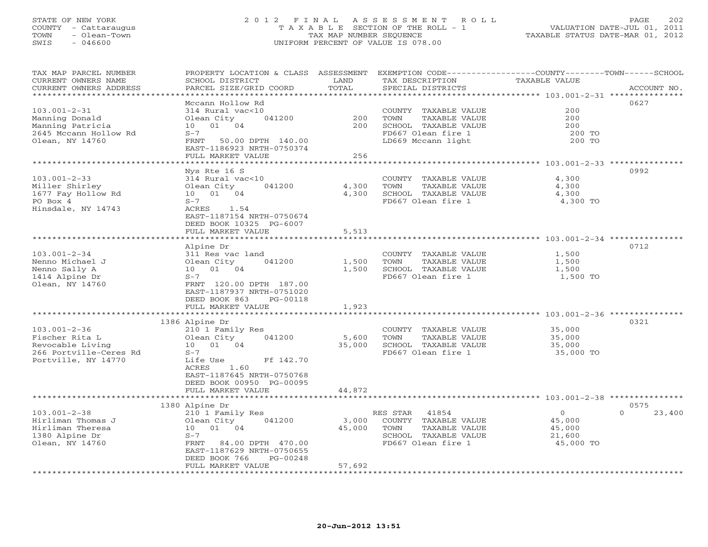## STATE OF NEW YORK 2 0 1 2 F I N A L A S S E S S M E N T R O L L PAGE 202 COUNTY - Cattaraugus T A X A B L E SECTION OF THE ROLL - 1 VALUATION DATE-JUL 01, 2011 TOWN - Olean-Town TAX MAP NUMBER SEQUENCE TAXABLE STATUS DATE-MAR 01, 2012 SWIS - 046600 UNIFORM PERCENT OF VALUE IS 078.00UNIFORM PERCENT OF VALUE IS 078.00

| TAX MAP PARCEL NUMBER<br>CURRENT OWNERS NAME<br>CURRENT OWNERS ADDRESS | PROPERTY LOCATION & CLASS ASSESSMENT<br>SCHOOL DISTRICT<br>PARCEL SIZE/GRID COORD | LAND<br>TOTAL                 | TAX DESCRIPTION<br>SPECIAL DISTRICTS          | EXEMPTION CODE-----------------COUNTY-------TOWN------SCHOOL<br><b>TAXABLE VALUE</b><br>ACCOUNT NO. |
|------------------------------------------------------------------------|-----------------------------------------------------------------------------------|-------------------------------|-----------------------------------------------|-----------------------------------------------------------------------------------------------------|
| ********************                                                   |                                                                                   |                               |                                               |                                                                                                     |
|                                                                        | Mccann Hollow Rd                                                                  |                               |                                               | 0627                                                                                                |
| $103.001 - 2 - 31$                                                     | 314 Rural vac<10                                                                  |                               | COUNTY TAXABLE VALUE                          | 200                                                                                                 |
| Manning Donald                                                         | Olean City<br>041200                                                              | 200                           | TOWN<br>TAXABLE VALUE                         | 200                                                                                                 |
| Manning Patricia                                                       | 10  01  04                                                                        | 200                           | SCHOOL TAXABLE VALUE                          | 200                                                                                                 |
| 2645 Mccann Hollow Rd                                                  | $S-7$                                                                             |                               | FD667 Olean fire 1                            | 200 TO                                                                                              |
| Olean, NY 14760                                                        | 50.00 DPTH 140.00<br>FRNT                                                         |                               | LD669 Mccann light                            | 200 TO                                                                                              |
|                                                                        | EAST-1186923 NRTH-0750374                                                         |                               |                                               |                                                                                                     |
|                                                                        | FULL MARKET VALUE                                                                 | 256                           |                                               |                                                                                                     |
|                                                                        |                                                                                   |                               |                                               | ******************* 103.001-2-33 *********                                                          |
|                                                                        | Nys Rte 16 S                                                                      |                               |                                               | 0992                                                                                                |
| $103.001 - 2 - 33$                                                     | 314 Rural vac<10                                                                  |                               | COUNTY TAXABLE VALUE                          | 4,300                                                                                               |
| Miller Shirley                                                         | Olean City<br>041200                                                              | 4,300                         | TOWN<br>TAXABLE VALUE                         | 4,300                                                                                               |
| 1677 Fay Hollow Rd                                                     | 10 01 04                                                                          | 4,300                         | SCHOOL TAXABLE VALUE                          | 4,300                                                                                               |
| PO Box 4                                                               | $S-7$<br>ACRES                                                                    |                               | FD667 Olean fire 1                            | 4,300 TO                                                                                            |
| Hinsdale, NY 14743                                                     | 1.54<br>EAST-1187154 NRTH-0750674                                                 |                               |                                               |                                                                                                     |
|                                                                        | DEED BOOK 10325 PG-6007                                                           |                               |                                               |                                                                                                     |
|                                                                        | FULL MARKET VALUE                                                                 | 5,513                         |                                               |                                                                                                     |
|                                                                        | ************************                                                          |                               |                                               |                                                                                                     |
|                                                                        | Alpine Dr                                                                         |                               |                                               | 0712                                                                                                |
| $103.001 - 2 - 34$                                                     | 311 Res vac land                                                                  |                               | COUNTY TAXABLE VALUE                          | 1,500                                                                                               |
| Nenno Michael J                                                        | 041200<br>Olean City                                                              | 1,500                         | TOWN<br>TAXABLE VALUE                         | 1,500                                                                                               |
| Nenno Sally A                                                          | 10 01 04                                                                          | 1,500                         | SCHOOL TAXABLE VALUE                          | 1,500                                                                                               |
| 1414 Alpine Dr                                                         | $S-7$                                                                             |                               | FD667 Olean fire 1                            | 1,500 TO                                                                                            |
| Olean, NY 14760                                                        | FRNT 120.00 DPTH 187.00                                                           |                               |                                               |                                                                                                     |
|                                                                        | EAST-1187937 NRTH-0751020                                                         |                               |                                               |                                                                                                     |
|                                                                        | DEED BOOK 863<br>PG-00118                                                         |                               |                                               |                                                                                                     |
|                                                                        | FULL MARKET VALUE                                                                 | 1,923                         |                                               |                                                                                                     |
|                                                                        |                                                                                   |                               |                                               |                                                                                                     |
|                                                                        | 1386 Alpine Dr                                                                    |                               |                                               | 0321                                                                                                |
| $103.001 - 2 - 36$                                                     | 210 1 Family Res                                                                  |                               | COUNTY TAXABLE VALUE                          | 35,000                                                                                              |
| Fischer Rita L                                                         | Olean City<br>041200<br>10 01 04                                                  | 5,600<br>35,000               | TOWN<br>TAXABLE VALUE<br>SCHOOL TAXABLE VALUE | 35,000                                                                                              |
| Revocable Living<br>266 Portville-Ceres Rd                             | $S-7$                                                                             |                               | FD667 Olean fire 1                            | 35,000<br>35,000 TO                                                                                 |
| Portville, NY 14770                                                    | Ff 142.70<br>Life Use                                                             |                               |                                               |                                                                                                     |
|                                                                        | ACRES<br>1.60                                                                     |                               |                                               |                                                                                                     |
|                                                                        | EAST-1187645 NRTH-0750768                                                         |                               |                                               |                                                                                                     |
|                                                                        | DEED BOOK 00950 PG-00095                                                          |                               |                                               |                                                                                                     |
|                                                                        | FULL MARKET VALUE                                                                 | 44,872                        |                                               |                                                                                                     |
|                                                                        | *******************                                                               |                               |                                               | ******************** 103.001-2-38 **********                                                        |
|                                                                        | 1380 Alpine Dr                                                                    |                               |                                               | 0575                                                                                                |
| $103.001 - 2 - 38$                                                     | 210 1 Family Res                                                                  |                               | 41854<br>RES STAR                             | $\circ$<br>$\Omega$<br>23,400                                                                       |
| Hirliman Thomas J                                                      | Olean City<br>041200                                                              | 3,000                         | COUNTY TAXABLE VALUE                          | 45,000                                                                                              |
| Hirliman Theresa                                                       | 10 01 04                                                                          | 45,000                        | TOWN<br>TAXABLE VALUE                         | 45,000                                                                                              |
| 1380 Alpine Dr                                                         | $S-7$                                                                             |                               | SCHOOL TAXABLE VALUE                          | 21,600                                                                                              |
| Olean, NY 14760                                                        | FRNT<br>84.00 DPTH 470.00                                                         |                               | FD667 Olean fire 1                            | 45,000 TO                                                                                           |
|                                                                        | EAST-1187629 NRTH-0750655                                                         |                               |                                               |                                                                                                     |
|                                                                        | DEED BOOK 766<br>PG-00248                                                         |                               |                                               |                                                                                                     |
| **********************                                                 | FULL MARKET VALUE<br>*************************                                    | 57,692<br>* * * * * * * * * * |                                               |                                                                                                     |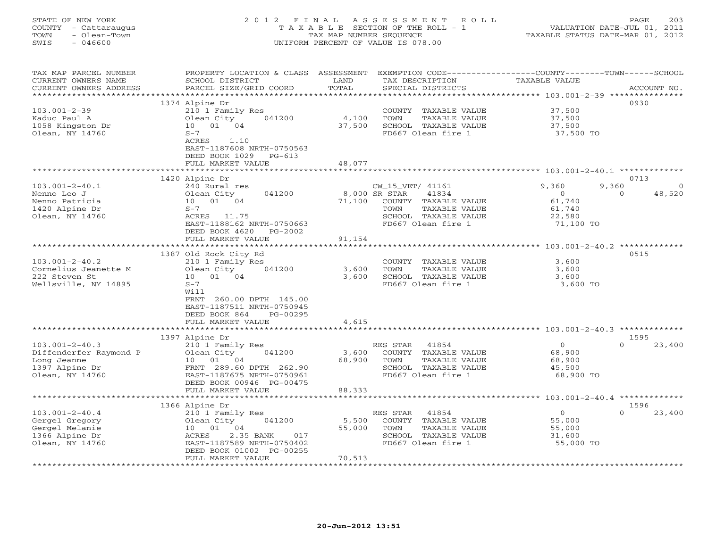# STATE OF NEW YORK 2 0 1 2 F I N A L A S S E S S M E N T R O L L PAGE 203 COUNTY - Cattaraugus T A X A B L E SECTION OF THE ROLL - 1 VALUATION DATE-JUL 01, 2011 TOWN - Olean-Town TAX MAP NUMBER SEQUENCE TAXABLE STATUS DATE-MAR 01, 2012 SWIS - 046600 UNIFORM PERCENT OF VALUE IS 078.00UNIFORM PERCENT OF VALUE IS 078.00

| TAX MAP PARCEL NUMBER<br>CURRENT OWNERS NAME<br>CURRENT OWNERS ADDRESS                             | PROPERTY LOCATION & CLASS<br>SCHOOL DISTRICT<br>PARCEL SIZE/GRID COORD                                                                     | ASSESSMENT<br>LAND<br>TOTAL               | EXEMPTION CODE----------------COUNTY-------TOWN-----SCHOOL<br>TAX DESCRIPTION<br>SPECIAL DISTRICTS                                        | TAXABLE VALUE                                               | ACCOUNT NO.                             |
|----------------------------------------------------------------------------------------------------|--------------------------------------------------------------------------------------------------------------------------------------------|-------------------------------------------|-------------------------------------------------------------------------------------------------------------------------------------------|-------------------------------------------------------------|-----------------------------------------|
|                                                                                                    |                                                                                                                                            | ***********                               |                                                                                                                                           |                                                             |                                         |
| $103.001 - 2 - 39$<br>Kaduc Paul A<br>1058 Kingston Dr                                             | 1374 Alpine Dr<br>210 1 Family Res<br>Olean City<br>041200<br>10 01 04                                                                     | 4,100<br>37,500                           | COUNTY TAXABLE VALUE<br>TOWN<br>TAXABLE VALUE<br>SCHOOL TAXABLE VALUE                                                                     | 37,500<br>37,500<br>37,500                                  | 0930                                    |
| Olean, NY 14760                                                                                    | $S-7$<br>ACRES<br>1.10<br>EAST-1187608 NRTH-0750563<br>DEED BOOK 1029<br>$PG-613$<br>FULL MARKET VALUE                                     | 48,077                                    | FD667 Olean fire 1                                                                                                                        | 37,500 TO                                                   |                                         |
|                                                                                                    |                                                                                                                                            |                                           |                                                                                                                                           |                                                             |                                         |
|                                                                                                    | 1420 Alpine Dr                                                                                                                             |                                           |                                                                                                                                           |                                                             | 0713                                    |
| $103.001 - 2 - 40.1$<br>Nenno Leo J<br>Nenno Patricia<br>1420 Alpine Dr<br>Olean, NY 14760         | 240 Rural res<br>041200<br>Olean City<br>10 01 04<br>$S-7$<br>ACRES 11.75<br>EAST-1188162 NRTH-0750663<br>DEED BOOK 4620<br>$PG-2002$      | 71,100                                    | CW_15_VET/ 41161<br>8,000 SR STAR<br>41834<br>COUNTY TAXABLE VALUE<br>TAXABLE VALUE<br>TOWN<br>SCHOOL TAXABLE VALUE<br>FD667 Olean fire 1 | 9,360<br>$\circ$<br>61,740<br>61,740<br>22,580<br>71,100 TO | 9,360<br>$\Omega$<br>$\Omega$<br>48,520 |
|                                                                                                    | FULL MARKET VALUE                                                                                                                          | 91,154                                    |                                                                                                                                           |                                                             |                                         |
|                                                                                                    | 1387 Old Rock City Rd                                                                                                                      |                                           |                                                                                                                                           |                                                             | 0515                                    |
| $103.001 - 2 - 40.2$                                                                               | 210 1 Family Res                                                                                                                           |                                           | COUNTY TAXABLE VALUE                                                                                                                      | 3,600                                                       |                                         |
| Cornelius Jeanette M                                                                               | 041200<br>Olean City                                                                                                                       | 3,600                                     | TOWN<br>TAXABLE VALUE                                                                                                                     | 3,600                                                       |                                         |
| 222 Steven St                                                                                      | 10 01 04                                                                                                                                   | 3,600                                     | SCHOOL TAXABLE VALUE                                                                                                                      | 3,600                                                       |                                         |
| Wellsville, NY 14895                                                                               | $S-7$<br>Will<br>FRNT 260.00 DPTH 145.00<br>EAST-1187511 NRTH-0750945<br>DEED BOOK 864<br>PG-00295<br>FULL MARKET VALUE                    | 4,615                                     | FD667 Olean fire 1                                                                                                                        | 3,600 TO                                                    |                                         |
|                                                                                                    |                                                                                                                                            |                                           |                                                                                                                                           |                                                             |                                         |
|                                                                                                    | 1397 Alpine Dr                                                                                                                             |                                           |                                                                                                                                           |                                                             | 1595                                    |
| $103.001 - 2 - 40.3$<br>Diffenderfer Raymond P<br>Long Jeanne<br>1397 Alpine Dr<br>Olean, NY 14760 | 210 1 Family Res<br>041200<br>Olean City<br>10 01 04<br>FRNT 289.60 DPTH 262.90<br>EAST-1187675 NRTH-0750961<br>DEED BOOK 00946 PG-00475   | 3,600<br>68,900                           | RES STAR<br>41854<br>COUNTY TAXABLE VALUE<br>TOWN<br>TAXABLE VALUE<br>SCHOOL TAXABLE VALUE<br>FD667 Olean fire 1                          | $\overline{0}$<br>68,900<br>68,900<br>45,500<br>68,900 TO   | 23,400<br>$\Omega$                      |
|                                                                                                    | FULL MARKET VALUE<br>******************                                                                                                    | 88,333                                    |                                                                                                                                           |                                                             |                                         |
|                                                                                                    | 1366 Alpine Dr                                                                                                                             |                                           |                                                                                                                                           |                                                             | 1596                                    |
| $103.001 - 2 - 40.4$<br>Gergel Gregory<br>Gergel Melanie<br>1366 Alpine Dr<br>Olean, NY 14760      | 210 1 Family Res<br>041200<br>Olean City<br>10 01 04<br>ACRES<br>2.35 BANK<br>017<br>EAST-1187589 NRTH-0750402<br>DEED BOOK 01002 PG-00255 | 5,500<br>55,000                           | RES STAR<br>41854<br>COUNTY TAXABLE VALUE<br>TOWN<br>TAXABLE VALUE<br>SCHOOL TAXABLE VALUE<br>FD667 Olean fire 1                          | $\circ$<br>55,000<br>55,000<br>31,600<br>55,000 TO          | 23,400<br>$\cap$                        |
| *************************                                                                          | FULL MARKET VALUE<br>***********************                                                                                               | 70,513<br>* * * * * * * * * * * * * * * * |                                                                                                                                           |                                                             |                                         |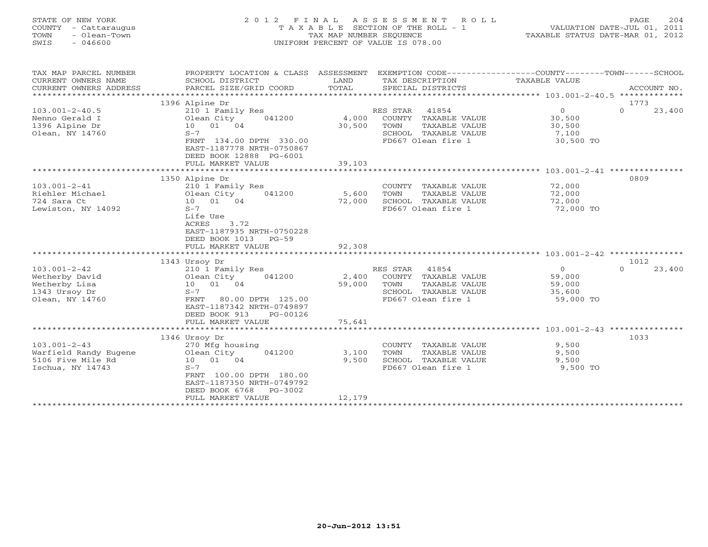| STATE OF NEW YORK<br>COUNTY - Cattaraugus<br>TOWN<br>- Olean-Town<br>SWIS<br>$-046600$          | 2 0 1 2<br>FINAL<br>TAXABLE                                                                                                                                                                                                | ASSESSMENT<br>ROLL<br>SECTION OF THE ROLL - 1<br>TAX MAP NUMBER SEQUENCE<br>UNIFORM PERCENT OF VALUE IS 078.00                                | 204<br>PAGE<br>VALUATION DATE-JUL 01, 2011<br>TAXABLE STATUS DATE-MAR 01, 2012                      |
|-------------------------------------------------------------------------------------------------|----------------------------------------------------------------------------------------------------------------------------------------------------------------------------------------------------------------------------|-----------------------------------------------------------------------------------------------------------------------------------------------|-----------------------------------------------------------------------------------------------------|
| TAX MAP PARCEL NUMBER<br>CURRENT OWNERS NAME<br>CURRENT OWNERS ADDRESS<br>********************* | PROPERTY LOCATION & CLASS ASSESSMENT<br>SCHOOL DISTRICT<br>PARCEL SIZE/GRID COORD                                                                                                                                          | LAND<br>TAX DESCRIPTION<br>TOTAL<br>SPECIAL DISTRICTS                                                                                         | EXEMPTION CODE-----------------COUNTY-------TOWN------SCHOOL<br>TAXABLE VALUE<br>ACCOUNT NO.        |
|                                                                                                 | 1396 Alpine Dr                                                                                                                                                                                                             |                                                                                                                                               | 1773                                                                                                |
| $103.001 - 2 - 40.5$<br>Nenno Gerald I<br>1396 Alpine Dr<br>Olean, NY 14760                     | 210 1 Family Res<br>041200<br>Olean City<br>10  01  04<br>$S-7$<br>FRNT 134.00 DPTH 330.00<br>EAST-1187778 NRTH-0750867<br>DEED BOOK 12888 PG-6001<br>FULL MARKET VALUE                                                    | RES STAR<br>41854<br>4,000<br>COUNTY TAXABLE VALUE<br>30,500<br>TOWN<br>TAXABLE VALUE<br>SCHOOL TAXABLE VALUE<br>FD667 Olean fire 1<br>39,103 | $\circ$<br>$\Omega$<br>23,400<br>30,500<br>30,500<br>7,100<br>30,500 TO                             |
|                                                                                                 |                                                                                                                                                                                                                            |                                                                                                                                               |                                                                                                     |
| $103.001 - 2 - 41$<br>Riehler Michael<br>724 Sara Ct<br>Lewiston, NY 14092                      | 1350 Alpine Dr<br>210 1 Family Res<br>Olean City<br>041200<br>10 01 04<br>$S-7$<br>Life Use<br>ACRES<br>3.72<br>EAST-1187935 NRTH-0750228<br>DEED BOOK 1013<br>$PG-59$<br>FULL MARKET VALUE<br>*************************** | COUNTY TAXABLE VALUE<br>5,600<br>TOWN<br>TAXABLE VALUE<br>SCHOOL TAXABLE VALUE<br>72,000<br>FD667 Olean fire 1<br>92,308                      | 0809<br>72,000<br>72,000<br>72,000<br>72,000 TO                                                     |
|                                                                                                 | 1343 Ursoy Dr                                                                                                                                                                                                              |                                                                                                                                               | 1012                                                                                                |
| $103.001 - 2 - 42$<br>Wetherby David<br>Wetherby Lisa<br>1343 Ursoy Dr<br>Olean, NY 14760       | 210 1 Family Res<br>041200<br>Olean City<br>01 04<br>10<br>$S-7$<br>FRNT<br>80.00 DPTH 125.00<br>EAST-1187342 NRTH-0749897<br>DEED BOOK 913<br>PG-00126                                                                    | RES STAR<br>41854<br>2,400<br>COUNTY TAXABLE VALUE<br>59,000<br>TOWN<br>TAXABLE VALUE<br>SCHOOL TAXABLE VALUE<br>FD667 Olean fire 1           | $\overline{O}$<br>$\Omega$<br>23,400<br>59,000<br>59,000<br>35,600<br>59,000 TO                     |
|                                                                                                 | FULL MARKET VALUE                                                                                                                                                                                                          | 75,641                                                                                                                                        |                                                                                                     |
| $103.001 - 2 - 43$<br>Warfield Randy Eugene<br>5106 Five Mile Rd<br>Ischua, NY 14743            | 1346 Ursoy Dr<br>270 Mfg housing<br>Olean City<br>041200<br>10 01 04<br>$S-7$<br>FRNT 100.00 DPTH 180.00<br>EAST-1187350 NRTH-0749792<br>DEED BOOK 6768<br>PG-3002                                                         | COUNTY TAXABLE VALUE<br>TAXABLE VALUE<br>3,100<br>TOWN<br>9,500<br>SCHOOL TAXABLE VALUE<br>FD667 Olean fire 1                                 | ************************ 103.001-2-43 **************<br>1033<br>9,500<br>9,500<br>9,500<br>9,500 TO |
| *********************                                                                           | FULL MARKET VALUE<br>***********************                                                                                                                                                                               | 12,179<br>****************                                                                                                                    |                                                                                                     |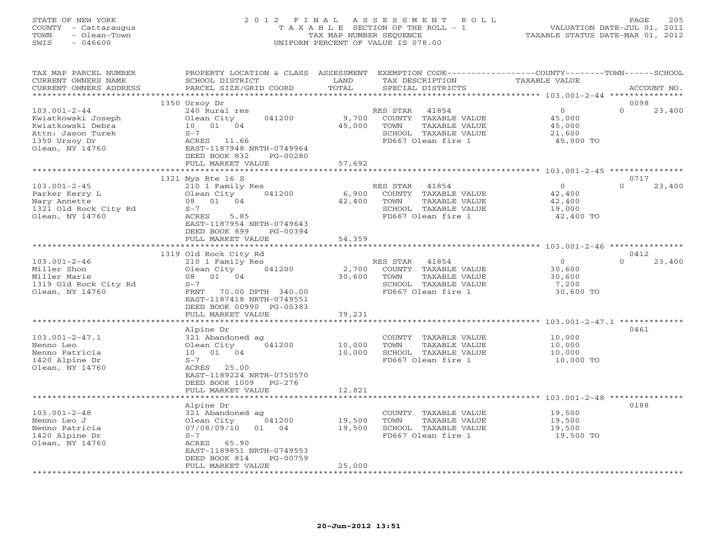# STATE OF NEW YORK 2 0 1 2 F I N A L A S S E S S M E N T R O L L PAGE 205 COUNTY - Cattaraugus T A X A B L E SECTION OF THE ROLL - 1 VALUATION DATE-JUL 01, 2011 TOWN - Olean-Town TAX MAP NUMBER SEQUENCE TAXABLE STATUS DATE-MAR 01, 2012 SWIS - 046600 UNIFORM PERCENT OF VALUE IS 078.00UNIFORM PERCENT OF VALUE IS 078.00

| TAX MAP PARCEL NUMBER<br>CURRENT OWNERS NAME                                                                           | PROPERTY LOCATION & CLASS ASSESSMENT<br>SCHOOL DISTRICT                                                                                                                              | LAND                       | EXEMPTION CODE-----------------COUNTY-------TOWN------SCHOOL<br>TAX DESCRIPTION                                  | TAXABLE VALUE                                                                                             |                            |
|------------------------------------------------------------------------------------------------------------------------|--------------------------------------------------------------------------------------------------------------------------------------------------------------------------------------|----------------------------|------------------------------------------------------------------------------------------------------------------|-----------------------------------------------------------------------------------------------------------|----------------------------|
| CURRENT OWNERS ADDRESS<br>**********************                                                                       | PARCEL SIZE/GRID COORD<br>****************************                                                                                                                               | TOTAL                      | SPECIAL DISTRICTS                                                                                                |                                                                                                           | ACCOUNT NO.                |
|                                                                                                                        |                                                                                                                                                                                      |                            |                                                                                                                  |                                                                                                           |                            |
| $103.001 - 2 - 44$<br>Kwiatkowski Joseph<br>Kwiatkowski Debra<br>Attn: Jason Turek<br>1350 Ursoy Dr<br>Olean, NY 14760 | 1350 Ursoy Dr<br>240 Rural res<br>041200<br>Olean City<br>10 01 04<br>$S-7$<br>ACRES 11.66<br>EAST-1187948 NRTH-0749964<br>DEED BOOK 832<br>PG-00280<br>FULL MARKET VALUE            | 9,700<br>45,000<br>57,692  | RES STAR<br>41854<br>COUNTY TAXABLE VALUE<br>TOWN<br>TAXABLE VALUE<br>SCHOOL TAXABLE VALUE<br>FD667 Olean fire 1 | $\Omega$<br>45,000<br>45,000<br>21,600<br>45,000 TO                                                       | 0098<br>$\Omega$<br>23,400 |
|                                                                                                                        |                                                                                                                                                                                      |                            |                                                                                                                  |                                                                                                           |                            |
| $103.001 - 2 - 45$<br>Parker Kerry L<br>Nary Annette<br>1321 Old Rock City Rd<br>Olean, NY 14760                       | 1321 Nys Rte 16 S<br>210 1 Family Res<br>041200<br>Olean City<br>08 01 04<br>$S-7$<br>ACRES<br>5.85<br>EAST-1187954 NRTH-0749643<br>DEED BOOK 899<br>PG-00394                        | 6,900<br>42,400            | RES STAR<br>41854<br>COUNTY TAXABLE VALUE<br>TAXABLE VALUE<br>TOWN<br>SCHOOL TAXABLE VALUE<br>FD667 Olean fire 1 | $\Omega$<br>42,400<br>42,400<br>19,000<br>42,400 TO                                                       | 0717<br>$\Omega$<br>23,400 |
|                                                                                                                        | FULL MARKET VALUE                                                                                                                                                                    | 54,359                     |                                                                                                                  |                                                                                                           |                            |
|                                                                                                                        | 1319 Old Rock City Rd                                                                                                                                                                |                            |                                                                                                                  |                                                                                                           | 0412                       |
| $103.001 - 2 - 46$<br>Miller Shon<br>Miller Marie<br>1319 Old Rock City Rd<br>Olean, NY 14760                          | 210 1 Family Res<br>041200<br>Olean City<br>08 01 04<br>$S-7$<br>FRNT<br>70.00 DPTH 340.00<br>EAST-1187418 NRTH-0749551<br>DEED BOOK 00990 PG-00383                                  | 2,700<br>30,600            | RES STAR 41854<br>COUNTY TAXABLE VALUE<br>TOWN<br>TAXABLE VALUE<br>SCHOOL TAXABLE VALUE<br>FD667 Olean fire 1    | $\circ$<br>30,600<br>30,600<br>7,200<br>30,600 TO                                                         | $\Omega$<br>23,400         |
|                                                                                                                        | FULL MARKET VALUE                                                                                                                                                                    | 39,231                     |                                                                                                                  |                                                                                                           |                            |
|                                                                                                                        | *****************                                                                                                                                                                    | ************               |                                                                                                                  | ******************** 103.001-2-47.1 **********                                                            |                            |
| $103.001 - 2 - 47.1$<br>Nenno Leo<br>Nenno Patricia<br>1420 Alpine Dr<br>Olean, NY 14760                               | Alpine Dr<br>321 Abandoned ag<br>041200<br>Olean City<br>10 01 04<br>$S-7$<br>ACRES 25.00<br>EAST-1189224 NRTH-0750570<br>DEED BOOK 1009 PG-276                                      | 10,000<br>10,000           | COUNTY TAXABLE VALUE<br>TOWN<br>TAXABLE VALUE<br>SCHOOL TAXABLE VALUE<br>FD667 Olean fire 1                      | 10,000<br>10,000<br>10,000<br>10,000 TO                                                                   | 0461                       |
|                                                                                                                        | FULL MARKET VALUE<br>* * * * * * * * * * * * * * * * * * *                                                                                                                           | 12,821<br>**************** |                                                                                                                  |                                                                                                           |                            |
| $103.001 - 2 - 48$<br>Nenno Leo J<br>Nenno Patricia<br>1420 Alpine Dr<br>Olean, NY 14760                               | Alpine Dr<br>321 Abandoned ag<br>Olean City<br>041200<br>07/08/09/10<br>01 04<br>$S-7$<br>ACRES 65.90<br>EAST-1189851 NRTH-0749553<br>PG-00759<br>DEED BOOK 814<br>FULL MARKET VALUE | 19,500<br>19,500<br>25,000 | COUNTY TAXABLE VALUE<br>TAXABLE VALUE<br>TOWN<br>SCHOOL TAXABLE VALUE<br>FD667 Olean fire 1                      | ********************************* 103.001-2-48 ***************<br>19,500<br>19,500<br>19,500<br>19,500 TO | 0188                       |
|                                                                                                                        |                                                                                                                                                                                      |                            |                                                                                                                  |                                                                                                           |                            |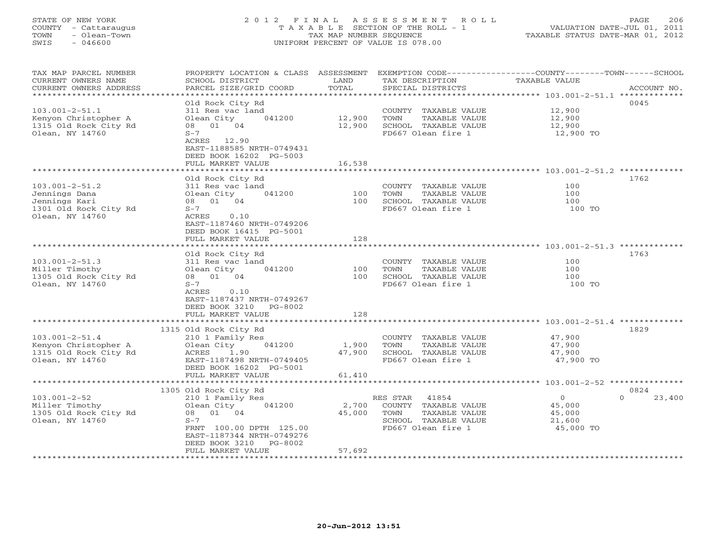# STATE OF NEW YORK 2 0 1 2 F I N A L A S S E S S M E N T R O L L PAGE 206 COUNTY - Cattaraugus T A X A B L E SECTION OF THE ROLL - 1 VALUATION DATE-JUL 01, 2011 TOWN - Olean-Town TAX MAP NUMBER SEQUENCE TAXABLE STATUS DATE-MAR 01, 2012 SWIS - 046600 UNIFORM PERCENT OF VALUE IS 078.00UNIFORM PERCENT OF VALUE IS 078.00

| TAX MAP PARCEL NUMBER   | PROPERTY LOCATION & CLASS ASSESSMENT |        |                       | EXEMPTION CODE-----------------COUNTY-------TOWN------SCHOOL |
|-------------------------|--------------------------------------|--------|-----------------------|--------------------------------------------------------------|
| CURRENT OWNERS NAME     | SCHOOL DISTRICT                      | LAND   | TAX DESCRIPTION       | TAXABLE VALUE                                                |
| CURRENT OWNERS ADDRESS  | PARCEL SIZE/GRID COORD               | TOTAL  | SPECIAL DISTRICTS     | ACCOUNT NO.                                                  |
| *********************** |                                      |        |                       |                                                              |
|                         | Old Rock City Rd                     |        |                       | 0045                                                         |
| $103.001 - 2 - 51.1$    | 311 Res vac land                     |        | COUNTY TAXABLE VALUE  | 12,900                                                       |
| Kenyon Christopher A    | Olean City<br>041200                 | 12,900 | TAXABLE VALUE<br>TOWN | 12,900                                                       |
| 1315 Old Rock City Rd   | 08 01 04                             | 12,900 | SCHOOL TAXABLE VALUE  | 12,900                                                       |
| Olean, NY 14760         | $S-7$                                |        | FD667 Olean fire 1    | 12,900 TO                                                    |
|                         | ACRES 12.90                          |        |                       |                                                              |
|                         | EAST-1188585 NRTH-0749431            |        |                       |                                                              |
|                         | DEED BOOK 16202 PG-5003              |        |                       |                                                              |
|                         | FULL MARKET VALUE                    | 16,538 |                       |                                                              |
|                         |                                      |        |                       |                                                              |
|                         | Old Rock City Rd                     |        |                       | 1762                                                         |
|                         |                                      |        |                       | 100                                                          |
| $103.001 - 2 - 51.2$    | 311 Res vac land                     | 100    | COUNTY TAXABLE VALUE  | 100                                                          |
| Jennings Dana           | Olean City<br>041200                 |        | TOWN<br>TAXABLE VALUE |                                                              |
| Jennings Kari           | 08 01 04                             | 100    | SCHOOL TAXABLE VALUE  | 100                                                          |
| 1301 Old Rock City Rd   | $S-7$                                |        | FD667 Olean fire 1    | 100 TO                                                       |
| Olean, NY 14760         | ACRES<br>0.10                        |        |                       |                                                              |
|                         | EAST-1187460 NRTH-0749206            |        |                       |                                                              |
|                         | DEED BOOK 16415 PG-5001              |        |                       |                                                              |
|                         | FULL MARKET VALUE                    | 128    |                       |                                                              |
|                         |                                      |        |                       |                                                              |
|                         | Old Rock City Rd                     |        |                       | 1763                                                         |
| $103.001 - 2 - 51.3$    | 311 Res vac land                     |        | COUNTY TAXABLE VALUE  | 100                                                          |
| Miller Timothy          | Olean City<br>041200                 | 100    | TOWN<br>TAXABLE VALUE | 100                                                          |
| 1305 Old Rock City Rd   | 08 01 04                             | 100    | SCHOOL TAXABLE VALUE  | 100                                                          |
| Olean, NY 14760         | $S-7$                                |        | FD667 Olean fire 1    | 100 TO                                                       |
|                         | ACRES<br>0.10                        |        |                       |                                                              |
|                         | EAST-1187437 NRTH-0749267            |        |                       |                                                              |
|                         | DEED BOOK 3210 PG-8002               |        |                       |                                                              |
|                         | FULL MARKET VALUE                    | 128    |                       |                                                              |
|                         |                                      |        |                       |                                                              |
|                         | 1315 Old Rock City Rd                |        |                       | 1829                                                         |
| $103.001 - 2 - 51.4$    | 210 1 Family Res                     |        | COUNTY TAXABLE VALUE  | 47,900                                                       |
| Kenyon Christopher A    | Olean City<br>041200                 | 1,900  | TAXABLE VALUE<br>TOWN | 47,900                                                       |
| 1315 Old Rock City Rd   | ACRES<br>1.90                        | 47,900 | SCHOOL TAXABLE VALUE  | 47,900                                                       |
| Olean, NY 14760         | EAST-1187498 NRTH-0749405            |        | FD667 Olean fire 1    | 47,900 TO                                                    |
|                         | DEED BOOK 16202 PG-5001              |        |                       |                                                              |
|                         | FULL MARKET VALUE                    |        |                       |                                                              |
|                         |                                      | 61,410 |                       |                                                              |
|                         |                                      |        |                       | 0824                                                         |
|                         | 1305 Old Rock City Rd                |        |                       | $\Omega$                                                     |
| $103.001 - 2 - 52$      | 210 1 Family Res                     |        | RES STAR 41854        | 23,400<br>$\overline{0}$                                     |
| Miller Timothy          | Olean City<br>041200                 | 2,700  | COUNTY TAXABLE VALUE  | 45,000                                                       |
| 1305 Old Rock City Rd   | 08 01 04                             | 45,000 | TOWN<br>TAXABLE VALUE | 45,000                                                       |
| Olean, NY 14760         | $S-7$                                |        | SCHOOL TAXABLE VALUE  | 21,600                                                       |
|                         | FRNT 100.00 DPTH 125.00              |        | FD667 Olean fire 1    | 45,000 TO                                                    |
|                         | EAST-1187344 NRTH-0749276            |        |                       |                                                              |
|                         | DEED BOOK 3210<br>PG-8002            |        |                       |                                                              |
|                         | FULL MARKET VALUE                    | 57,692 |                       |                                                              |
|                         | ***********************              |        |                       |                                                              |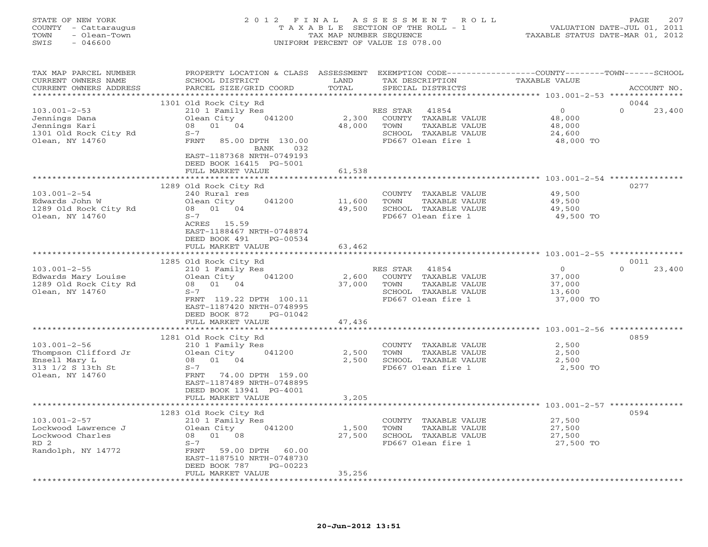| STATE OF NEW YORK<br>COUNTY - Cattaraugus<br>- Olean-Town<br>TOWN<br>- 046600<br>SWIS | 2012 FINAL ASSESSMENT ROLL<br>TAXABLE SECTION OF THE ROLL - 1<br>TAX MAP NUMBER SEQUENCE<br>UNIFORM PERCENT OF VALUE IS 078.00 | 2.07<br>PAGE<br>VALUATION DATE-JUL 01, 2011<br>TAXABLE STATUS DATE-MAR 01, 2012 |
|---------------------------------------------------------------------------------------|--------------------------------------------------------------------------------------------------------------------------------|---------------------------------------------------------------------------------|
|                                                                                       |                                                                                                                                |                                                                                 |

|  |  |  | --- |
|--|--|--|-----|
|  |  |  |     |
|  |  |  |     |
|  |  |  |     |
|  |  |  |     |

| TAX MAP PARCEL NUMBER<br>CURRENT OWNERS NAME<br>CURRENT OWNERS ADDRESS                                                        | SCHOOL DISTRICT<br>PARCEL SIZE/GRID COORD                                                                                                                                                           | LAND<br>TAX DESCRIPTION<br>TOTAL<br>SPECIAL DISTRICTS                                                                                      | PROPERTY LOCATION & CLASS ASSESSMENT EXEMPTION CODE----------------COUNTY-------TOWN------SCHOOL<br><b>TAXABLE VALUE</b><br>ACCOUNT NO. |
|-------------------------------------------------------------------------------------------------------------------------------|-----------------------------------------------------------------------------------------------------------------------------------------------------------------------------------------------------|--------------------------------------------------------------------------------------------------------------------------------------------|-----------------------------------------------------------------------------------------------------------------------------------------|
|                                                                                                                               |                                                                                                                                                                                                     |                                                                                                                                            |                                                                                                                                         |
| $103.001 - 2 - 53$<br>Jennings Dana<br>Jennings Kari<br>1301 Old Rock City Rd<br>Olean, NY 14760                              | 1301 Old Rock City Rd<br>210 1 Family Res<br>041200<br>Olean City<br>08 01 04<br>$S-7$<br>FRNT<br>85.00 DPTH 130.00<br>032<br>BANK<br>EAST-1187368 NRTH-0749193<br>DEED BOOK 16415 PG-5001          | RES STAR 41854<br>2,300<br>COUNTY TAXABLE VALUE<br>48,000<br>TOWN<br>TAXABLE VALUE<br>SCHOOL TAXABLE VALUE<br>FD667 Olean fire 1           | 0044<br>$\circ$<br>$\Omega$<br>23,400<br>48,000<br>48,000<br>24,600<br>48,000 TO                                                        |
|                                                                                                                               | FULL MARKET VALUE                                                                                                                                                                                   | 61,538                                                                                                                                     |                                                                                                                                         |
|                                                                                                                               | ************************<br>1289 Old Rock City Rd                                                                                                                                                   |                                                                                                                                            | 0277                                                                                                                                    |
| $103.001 - 2 - 54$<br>Edwards John W<br>1289 Old Rock City Rd<br>Olean, NY 14760                                              | 240 Rural res<br>041200<br>Olean City<br>08 01 04<br>$S-7$<br>ACRES 15.59<br>EAST-1188467 NRTH-0748874<br>DEED BOOK 491<br>PG-00534                                                                 | COUNTY TAXABLE VALUE<br>11,600<br>TOWN<br>TAXABLE VALUE<br>49,500<br>SCHOOL TAXABLE VALUE<br>FD667 Olean fire 1                            | 49,500<br>49,500<br>49,500<br>49,500 TO                                                                                                 |
|                                                                                                                               | FULL MARKET VALUE                                                                                                                                                                                   | 63,462                                                                                                                                     |                                                                                                                                         |
|                                                                                                                               |                                                                                                                                                                                                     |                                                                                                                                            |                                                                                                                                         |
| $103.001 - 2 - 55$<br>Edwards Mary Louise<br>1289 Old Rock City Rd<br>Olean, NY 14760                                         | 1285 Old Rock City Rd<br>210 1 Family Res<br>041200<br>Olean City<br>08 01 04<br>$S-7$<br>FRNT 119.22 DPTH 100.11<br>EAST-1187420 NRTH-0748995<br>DEED BOOK 872<br>PG-01042<br>FULL MARKET VALUE    | RES STAR 41854<br>2,600<br>COUNTY TAXABLE VALUE<br>TAXABLE VALUE<br>37,000<br>TOWN<br>SCHOOL TAXABLE VALUE<br>FD667 Olean fire 1<br>47,436 | 0011<br>$\overline{0}$<br>$\Omega$<br>23,400<br>37,000<br>37,000<br>13,600<br>37,000 TO                                                 |
|                                                                                                                               |                                                                                                                                                                                                     | ************                                                                                                                               |                                                                                                                                         |
| $103.001 - 2 - 56$<br>Thompson Clifford Jr<br>Ensell Mary L<br>313 1/2 S 13th St<br>Olean, NY 14760                           | 1281 Old Rock City Rd<br>210 1 Family Res<br>Olean City<br>041200<br>08 01 04<br>$S-7$<br>FRNT 74.00 DPTH 159.00<br>EAST-1187489 NRTH-0748895<br>DEED BOOK 13941 PG-4001<br>FULL MARKET VALUE       | COUNTY TAXABLE VALUE<br>2,500<br>TOWN<br>TAXABLE VALUE<br>2,500<br>SCHOOL TAXABLE VALUE<br>FD667 Olean fire 1<br>3,205                     | 0859<br>2,500<br>2,500<br>2,500<br>2,500 TO                                                                                             |
|                                                                                                                               |                                                                                                                                                                                                     |                                                                                                                                            |                                                                                                                                         |
| $103.001 - 2 - 57$<br>Lockwood Lawrence J<br>Lockwood Charles<br>RD <sub>2</sub><br>Randolph, NY 14772<br>******************* | 1283 Old Rock City Rd<br>210 1 Family Res<br>041200<br>Olean City<br>08  01  08<br>$S-7$<br>FRNT<br>59.00 DPTH 60.00<br>EAST-1187510 NRTH-0748730<br>DEED BOOK 787<br>PG-00223<br>FULL MARKET VALUE | COUNTY TAXABLE VALUE<br>1,500<br>TOWN<br>TAXABLE VALUE<br>27,500<br>SCHOOL TAXABLE VALUE<br>FD667 Olean fire 1<br>35,256                   | 0594<br>27,500<br>27,500<br>27,500<br>27,500 TO                                                                                         |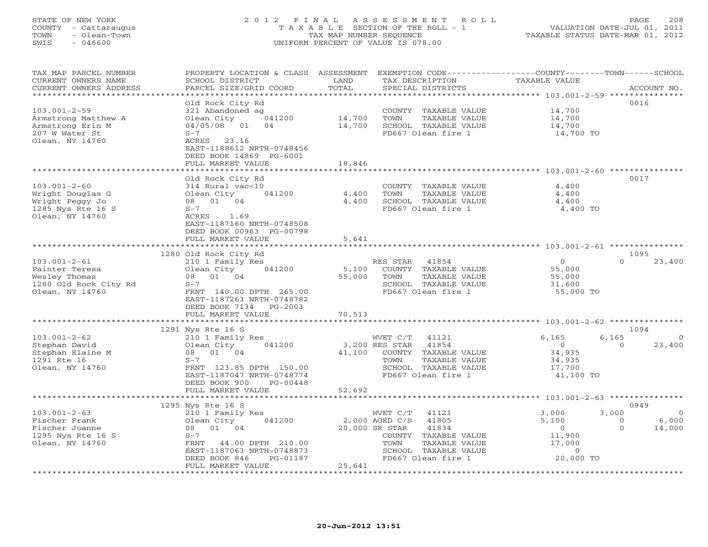# STATE OF NEW YORK 2 0 1 2 F I N A L A S S E S S M E N T R O L L PAGE 208 COUNTY - Cattaraugus T A X A B L E SECTION OF THE ROLL - 1 VALUATION DATE-JUL 01, 2011 TOWN - Olean-Town TAX MAP NUMBER SEQUENCE TAXABLE STATUS DATE-MAR 01, 2012 SWIS - 046600 UNIFORM PERCENT OF VALUE IS 078.00UNIFORM PERCENT OF VALUE IS 078.00

| TAX MAP PARCEL NUMBER<br>CURRENT OWNERS NAME<br>CURRENT OWNERS ADDRESS                            | PROPERTY LOCATION & CLASS ASSESSMENT EXEMPTION CODE----------------COUNTY-------TOWN------SCHOOL<br>SCHOOL DISTRICT<br>PARCEL SIZE/GRID COORD | LAND<br>TOTAL    | TAX DESCRIPTION<br>SPECIAL DISTRICTS                                                                                   | TAXABLE VALUE                                             | ACCOUNT NO.         |
|---------------------------------------------------------------------------------------------------|-----------------------------------------------------------------------------------------------------------------------------------------------|------------------|------------------------------------------------------------------------------------------------------------------------|-----------------------------------------------------------|---------------------|
| ********************                                                                              |                                                                                                                                               |                  |                                                                                                                        |                                                           |                     |
|                                                                                                   | Old Rock City Rd                                                                                                                              |                  |                                                                                                                        |                                                           | 0016                |
| $103.001 - 2 - 59$<br>Armstrong Matthew A<br>Armstrong Erin M                                     | 321 Abandoned ag<br>Olean City<br>041200<br>04/05/08 01<br>04                                                                                 | 14,700<br>14,700 | COUNTY TAXABLE VALUE<br>TOWN<br>TAXABLE VALUE<br>SCHOOL TAXABLE VALUE                                                  | 14,700<br>14,700<br>14,700                                |                     |
| 207 W Water St<br>Olean, NY 14760                                                                 | $S-7$<br>ACRES 23.16<br>EAST-1188612 NRTH-0748456<br>DEED BOOK 14869 PG-6001                                                                  |                  | FD667 Olean fire 1                                                                                                     | 14,700 TO                                                 |                     |
|                                                                                                   | FULL MARKET VALUE                                                                                                                             | 18,846           |                                                                                                                        |                                                           |                     |
| $103.001 - 2 - 60$                                                                                | Old Rock City Rd<br>314 Rural vac<10                                                                                                          |                  | COUNTY TAXABLE VALUE                                                                                                   | 4,400                                                     | 0017                |
| Wright Douglas G                                                                                  | Olean City<br>041200                                                                                                                          | 4,400            | TAXABLE VALUE<br>TOWN                                                                                                  | 4,400                                                     |                     |
| Wright Peggy Jo                                                                                   | 08 01 04                                                                                                                                      | 4,400            | SCHOOL TAXABLE VALUE                                                                                                   | 4,400                                                     |                     |
| 1285 Nys Rte 16 S<br>Olean, NY 14760                                                              | $S-7$<br>ACRES<br>1.69<br>EAST-1187160 NRTH-0748508<br>DEED BOOK 00963 PG-00798                                                               |                  | FD667 Olean fire 1                                                                                                     | 4,400 TO                                                  |                     |
|                                                                                                   | FULL MARKET VALUE                                                                                                                             | 5,641            |                                                                                                                        |                                                           |                     |
|                                                                                                   | 1280 Old Rock City Rd                                                                                                                         |                  |                                                                                                                        | $\overline{0}$                                            | 1095<br>$\Omega$    |
| $103.001 - 2 - 61$<br>Painter Teresa<br>Wesley Thomas<br>1280 Old Rock City Rd<br>Olean, NY 14760 | 210 1 Family Res<br>Olean City<br>041200<br>08 01 04<br>$S-7$<br>FRNT 140.00 DPTH 265.00<br>EAST-1187263 NRTH-0748782                         | 5,100<br>55,000  | RES STAR<br>41854<br>COUNTY TAXABLE VALUE<br>TOWN<br>TAXABLE VALUE<br>SCHOOL TAXABLE VALUE<br>FD667 Olean fire 1       | 55,000<br>55,000<br>31,600<br>55,000 TO                   | 23,400              |
|                                                                                                   | DEED BOOK 7134 PG-2003                                                                                                                        |                  |                                                                                                                        |                                                           |                     |
|                                                                                                   | FULL MARKET VALUE                                                                                                                             | 70,513           |                                                                                                                        |                                                           |                     |
|                                                                                                   | 1291 Nys Rte 16 S                                                                                                                             |                  |                                                                                                                        |                                                           | 1094                |
| $103.001 - 2 - 62$                                                                                | 210 1 Family Res                                                                                                                              |                  | WVET C/T<br>41121                                                                                                      | 6,165                                                     | 6,165<br>$\Omega$   |
| Stephan David<br>Stephan Elaine M<br>1291 Rte 16<br>Olean, NY 14760                               | Olean City<br>041200<br>08 01 04<br>$S-7$<br>FRNT 123.85 DPTH 150.00<br>EAST-1187047 NRTH-0748774<br>DEED BOOK 900<br>PG-00448                | 41,100           | 3,200 RES STAR<br>41854<br>COUNTY TAXABLE VALUE<br>TOWN<br>TAXABLE VALUE<br>SCHOOL TAXABLE VALUE<br>FD667 Olean fire 1 | $\overline{0}$<br>34,935<br>34,935<br>17,700<br>41,100 TO | $\Omega$<br>23,400  |
|                                                                                                   | FULL MARKET VALUE                                                                                                                             | 52,692           |                                                                                                                        |                                                           |                     |
|                                                                                                   | ***************************<br>1295 Nys Rte 16 S                                                                                              |                  |                                                                                                                        |                                                           | 0949                |
| $103.001 - 2 - 63$                                                                                | 210 1 Family Res                                                                                                                              |                  | WVET C/T<br>41121                                                                                                      | 3,000                                                     | 3,000<br>$\bigcirc$ |
| Fischer Frank                                                                                     | Olean City<br>041200                                                                                                                          |                  | 2,000 AGED C/S<br>41805                                                                                                | 5,100                                                     | 6,000<br>$\Omega$   |
| Fischer Joanne                                                                                    | 08  01  04                                                                                                                                    |                  | 20,000 SR STAR<br>41834                                                                                                | $\overline{0}$                                            | 14,000<br>$\Omega$  |
| 1295 Nys Rte 16 S<br>Olean, NY 14760                                                              | $S-7$<br>FRNT 44.00 DPTH 210.00<br>EAST-1187063 NRTH-0748873                                                                                  |                  | COUNTY TAXABLE VALUE<br>TOWN<br>TAXABLE VALUE<br>SCHOOL TAXABLE VALUE                                                  | 11,900<br>17,000<br>$\Omega$                              |                     |
|                                                                                                   | DEED BOOK 846<br>PG-01187                                                                                                                     |                  | FD667 Olean fire 1                                                                                                     | 20,000 TO                                                 |                     |
|                                                                                                   | FULL MARKET VALUE                                                                                                                             | 25,641           |                                                                                                                        |                                                           |                     |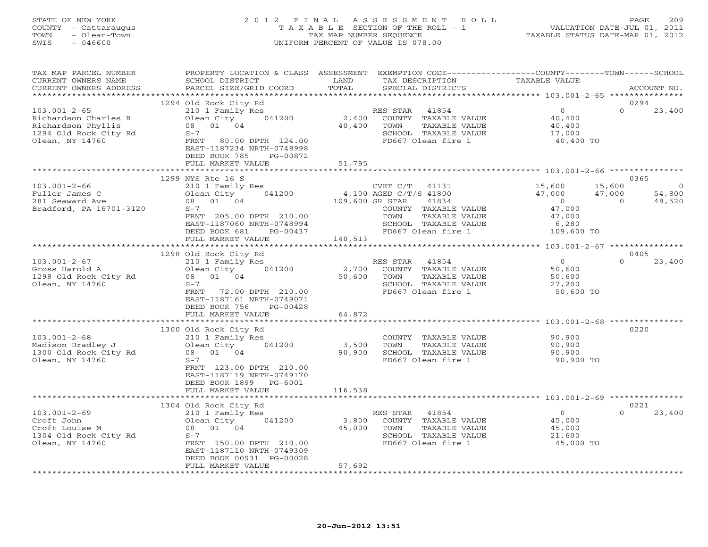# STATE OF NEW YORK 2 0 1 2 F I N A L A S S E S S M E N T R O L L PAGE 209 COUNTY - Cattaraugus T A X A B L E SECTION OF THE ROLL - 1 VALUATION DATE-JUL 01, 2011 TOWN - Olean-Town TAX MAP NUMBER SEQUENCE TAXABLE STATUS DATE-MAR 01, 2012 SWIS - 046600 UNIFORM PERCENT OF VALUE IS 078.00UNIFORM PERCENT OF VALUE IS 078.00

| TAX MAP PARCEL NUMBER<br>CURRENT OWNERS NAME<br>CURRENT OWNERS ADDRESS                                       | PROPERTY LOCATION & CLASS ASSESSMENT<br>SCHOOL DISTRICT<br>PARCEL SIZE/GRID COORD                                                                                                                  | LAND<br>TOTAL              | EXEMPTION CODE----------------COUNTY-------TOWN------SCHOOL<br>TAX DESCRIPTION<br>SPECIAL DISTRICTS                                                 | TAXABLE VALUE                                                                 | ACCOUNT NO.                                                                      |
|--------------------------------------------------------------------------------------------------------------|----------------------------------------------------------------------------------------------------------------------------------------------------------------------------------------------------|----------------------------|-----------------------------------------------------------------------------------------------------------------------------------------------------|-------------------------------------------------------------------------------|----------------------------------------------------------------------------------|
| ************************                                                                                     |                                                                                                                                                                                                    |                            |                                                                                                                                                     |                                                                               |                                                                                  |
| $103.001 - 2 - 65$<br>Richardson Charles R<br>Richardson Phyllis<br>1294 Old Rock City Rd<br>Olean, NY 14760 | 1294 Old Rock City Rd<br>210 1 Family Res<br>Olean City<br>041200<br>08 01 04<br>$S-7$<br>FRNT 80.00 DPTH 124.00<br>EAST-1187234 NRTH-0748998<br>DEED BOOK 785<br>PG-00872                         | 2,400<br>40,400            | RES STAR<br>41854<br>COUNTY TAXABLE VALUE<br>TOWN<br>TAXABLE VALUE<br>SCHOOL TAXABLE VALUE<br>FD667 Olean fire 1                                    | $\overline{O}$<br>40,400<br>40,400<br>17,000<br>40,400 TO                     | 0294<br>$\Omega$<br>23,400                                                       |
|                                                                                                              | FULL MARKET VALUE                                                                                                                                                                                  | 51,795                     |                                                                                                                                                     |                                                                               |                                                                                  |
| $103.001 - 2 - 66$<br>Fuller James C<br>281 Seaward Ave<br>Bradford, PA 16701-3120                           | 1299 NYS Rte 16 S<br>210 1 Family Res<br>041200<br>Olean City<br>08 01 04<br>$S-7$<br>FRNT 205.00 DPTH 210.00<br>EAST-1187060 NRTH-0748994<br>DEED BOOK 681<br>PG-00437                            | 109,600 SR STAR            | CVET C/T<br>41131<br>4,100 AGED C/T/S 41800<br>41834<br>COUNTY TAXABLE VALUE<br>TOWN<br>TAXABLE VALUE<br>SCHOOL TAXABLE VALUE<br>FD667 Olean fire 1 | 15,600<br>47,000<br>$\overline{0}$<br>47,000<br>47,000<br>6,280<br>109,600 TO | 0365<br>15,600<br>$\overline{0}$<br>47,000<br>54,800<br>$\overline{0}$<br>48,520 |
|                                                                                                              | FULL MARKET VALUE<br>*************************                                                                                                                                                     | 140,513                    |                                                                                                                                                     |                                                                               |                                                                                  |
| $103.001 - 2 - 67$<br>Gross Harold A<br>1298 Old Rock City Rd<br>Olean, NY 14760                             | 1298 Old Rock City Rd<br>210 1 Family Res<br>041200<br>Olean City<br>08 01 04<br>$S-7$<br>FRNT<br>72.00 DPTH 210.00<br>EAST-1187161 NRTH-0749071<br>DEED BOOK 756<br>PG-00428<br>FULL MARKET VALUE | 2,700<br>50,600<br>64,872  | RES STAR 41854<br>COUNTY TAXABLE VALUE<br>TOWN<br>TAXABLE VALUE<br>SCHOOL TAXABLE VALUE<br>FD667 Olean fire 1                                       | $\overline{0}$<br>50,600<br>50,600<br>27,200<br>50,600 TO                     | 0405<br>$\Omega$<br>23,400                                                       |
|                                                                                                              |                                                                                                                                                                                                    |                            |                                                                                                                                                     |                                                                               |                                                                                  |
| $103.001 - 2 - 68$<br>Madison Bradley J<br>1300 Old Rock City Rd<br>Olean, NY 14760                          | 1300 Old Rock City Rd<br>210 1 Family Res<br>041200<br>Olean City<br>08 01 04<br>$S-7$<br>FRNT 123.00 DPTH 210.00<br>EAST-1187119 NRTH-0749170<br>DEED BOOK 1899<br>PG-6001<br>FULL MARKET VALUE   | 3,500<br>90,900<br>116,538 | COUNTY TAXABLE VALUE<br>TAXABLE VALUE<br>TOWN<br>SCHOOL TAXABLE VALUE<br>FD667 Olean fire 1                                                         | 90,900<br>90,900<br>90,900<br>90,900 TO                                       | 0220                                                                             |
|                                                                                                              |                                                                                                                                                                                                    |                            |                                                                                                                                                     |                                                                               |                                                                                  |
| $103.001 - 2 - 69$<br>Croft John<br>Croft Louise M<br>1304 Old Rock City Rd<br>Olean, NY 14760               | 1304 Old Rock City Rd<br>210 1 Family Res<br>Olean City<br>041200<br>08 01 04<br>$S-7$<br>FRNT 150.00 DPTH 210.00<br>EAST-1187110 NRTH-0749309<br>DEED BOOK 00931 PG-00028<br>FULL MARKET VALUE    | 3,800<br>45,000<br>57,692  | RES STAR<br>41854<br>COUNTY TAXABLE VALUE<br>TOWN<br>TAXABLE VALUE<br>SCHOOL TAXABLE VALUE<br>FD667 Olean fire 1                                    | $\overline{0}$<br>45,000<br>45,000<br>21,600<br>45,000 TO                     | 0221<br>$\Omega$<br>23,400                                                       |
|                                                                                                              |                                                                                                                                                                                                    |                            |                                                                                                                                                     |                                                                               |                                                                                  |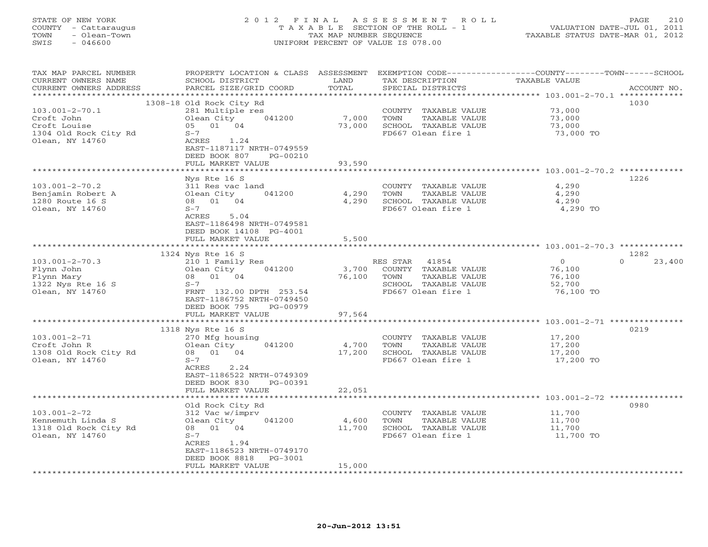# STATE OF NEW YORK 2 0 1 2 F I N A L A S S E S S M E N T R O L L PAGE 210 COUNTY - Cattaraugus T A X A B L E SECTION OF THE ROLL - 1 VALUATION DATE-JUL 01, 2011 TOWN - Olean-Town TAX MAP NUMBER SEQUENCE TAXABLE STATUS DATE-MAR 01, 2012 SWIS - 046600 UNIFORM PERCENT OF VALUE IS 078.00UNIFORM PERCENT OF VALUE IS 078.00

| TAX MAP PARCEL NUMBER<br>CURRENT OWNERS NAME | PROPERTY LOCATION & CLASS ASSESSMENT<br>SCHOOL DISTRICT | LAND          | TAX DESCRIPTION                            | EXEMPTION CODE----------------COUNTY-------TOWN-----SCHOOL<br>TAXABLE VALUE |                  |
|----------------------------------------------|---------------------------------------------------------|---------------|--------------------------------------------|-----------------------------------------------------------------------------|------------------|
| CURRENT OWNERS ADDRESS                       | PARCEL SIZE/GRID COORD                                  | TOTAL         | SPECIAL DISTRICTS                          |                                                                             | ACCOUNT NO.      |
|                                              | 1308-18 Old Rock City Rd                                |               |                                            |                                                                             | 1030             |
| $103.001 - 2 - 70.1$                         | 281 Multiple res                                        |               | COUNTY<br>TAXABLE VALUE                    | 73,000                                                                      |                  |
| Croft John                                   | Olean City<br>041200                                    | 7,000         | TOWN<br>TAXABLE VALUE                      | 73,000                                                                      |                  |
| Croft Louise                                 | 05 01 04                                                | 73,000        | SCHOOL TAXABLE VALUE                       | 73,000                                                                      |                  |
| 1304 Old Rock City Rd                        | $S-7$                                                   |               | FD667 Olean fire 1                         | 73,000 TO                                                                   |                  |
| Olean, NY 14760                              | ACRES<br>1.24                                           |               |                                            |                                                                             |                  |
|                                              | EAST-1187117 NRTH-0749559                               |               |                                            |                                                                             |                  |
|                                              | DEED BOOK 807<br>PG-00210                               |               |                                            |                                                                             |                  |
|                                              | FULL MARKET VALUE                                       | 93,590        |                                            |                                                                             |                  |
|                                              |                                                         | *******       |                                            | *************** 103.001-2-70.2 ************                                 |                  |
|                                              | Nys Rte 16 S                                            |               |                                            |                                                                             | 1226             |
| $103.001 - 2 - 70.2$                         | 311 Res vac land                                        |               | COUNTY TAXABLE VALUE                       | 4,290                                                                       |                  |
| Benjamin Robert A                            | Olean City<br>041200                                    | 4,290         | TOWN<br>TAXABLE VALUE                      | 4,290                                                                       |                  |
| 1280 Route 16 S<br>Olean, NY 14760           | 08 01 04<br>$S-7$                                       | 4,290         | SCHOOL TAXABLE VALUE<br>FD667 Olean fire 1 | 4,290<br>4,290 TO                                                           |                  |
|                                              | ACRES<br>5.04                                           |               |                                            |                                                                             |                  |
|                                              | EAST-1186498 NRTH-0749581                               |               |                                            |                                                                             |                  |
|                                              | DEED BOOK 14108 PG-4001                                 |               |                                            |                                                                             |                  |
|                                              | FULL MARKET VALUE                                       | 5,500         |                                            |                                                                             |                  |
|                                              | ************************                                |               |                                            |                                                                             |                  |
|                                              | 1324 Nys Rte 16 S                                       |               |                                            |                                                                             | 1282             |
| $103.001 - 2 - 70.3$                         | 210 1 Family Res                                        |               | RES STAR 41854                             | $\circ$                                                                     | $\cap$<br>23,400 |
| Flynn John                                   | Olean City<br>041200                                    | 3,700         | COUNTY TAXABLE VALUE                       | 76,100                                                                      |                  |
| Flynn Mary                                   | 01<br>04<br>08                                          | 76,100        | TOWN<br>TAXABLE VALUE                      | 76,100                                                                      |                  |
| 1322 Nys Rte 16 S                            | $S-7$                                                   |               | SCHOOL TAXABLE VALUE                       | 52,700                                                                      |                  |
| Olean, NY 14760                              | FRNT 132.00 DPTH 253.54                                 |               | FD667 Olean fire 1                         | 76,100 TO                                                                   |                  |
|                                              | EAST-1186752 NRTH-0749450                               |               |                                            |                                                                             |                  |
|                                              | DEED BOOK 795<br>PG-00979<br>FULL MARKET VALUE          | 97,564        |                                            |                                                                             |                  |
|                                              | ************************                                |               |                                            |                                                                             |                  |
|                                              | 1318 Nys Rte 16 S                                       |               |                                            |                                                                             | 0219             |
| $103.001 - 2 - 71$                           | 270 Mfg housing                                         |               | COUNTY TAXABLE VALUE                       | 17,200                                                                      |                  |
| Croft John R                                 | 041200<br>Olean City                                    | 4,700         | TAXABLE VALUE<br>TOWN                      | 17,200                                                                      |                  |
| 1308 Old Rock City Rd                        | 08 01 04                                                | 17,200        | SCHOOL TAXABLE VALUE                       | 17,200                                                                      |                  |
| Olean, NY 14760                              | $S-7$                                                   |               | FD667 Olean fire 1                         | 17,200 TO                                                                   |                  |
|                                              | ACRES<br>2.24                                           |               |                                            |                                                                             |                  |
|                                              | EAST-1186522 NRTH-0749309                               |               |                                            |                                                                             |                  |
|                                              | DEED BOOK 830<br>PG-00391                               |               |                                            |                                                                             |                  |
|                                              | FULL MARKET VALUE                                       | 22,051        |                                            |                                                                             |                  |
|                                              |                                                         | ************* |                                            |                                                                             | 0980             |
| $103.001 - 2 - 72$                           | Old Rock City Rd<br>312 Vac w/imprv                     |               | COUNTY TAXABLE VALUE                       | 11,700                                                                      |                  |
| Kennemuth Linda S                            | Olean City<br>041200                                    | 4,600         | TOWN<br>TAXABLE VALUE                      | 11,700                                                                      |                  |
| 1318 Old Rock City Rd                        | 08 01 04                                                | 11,700        | SCHOOL TAXABLE VALUE                       | 11,700                                                                      |                  |
| Olean, NY 14760                              | $S-7$                                                   |               | FD667 Olean fire 1                         | 11,700 TO                                                                   |                  |
|                                              | ACRES 1.94                                              |               |                                            |                                                                             |                  |
|                                              | EAST-1186523 NRTH-0749170                               |               |                                            |                                                                             |                  |
|                                              | DEED BOOK 8818<br>$PG-3001$                             |               |                                            |                                                                             |                  |
|                                              | FULL MARKET VALUE                                       | 15,000        |                                            |                                                                             |                  |
|                                              |                                                         |               |                                            |                                                                             |                  |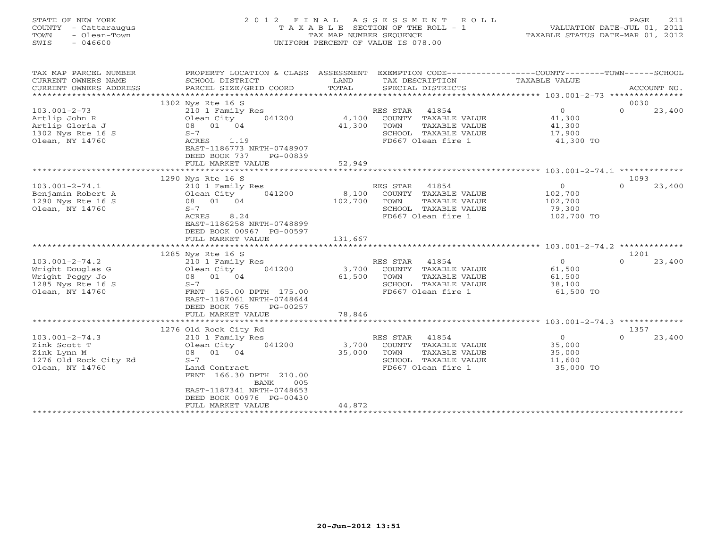| STATE OF NEW YORK<br>COUNTY - Cattaraugus | 2012 FINAL ASSESSMENT ROLL<br>T A X A B L E SECTION OF THE ROLL - 1 | 211<br>PAGE<br>VALUATION DATE-JUL 01, 2011 |  |
|-------------------------------------------|---------------------------------------------------------------------|--------------------------------------------|--|
| TOWN<br>- Olean-Town<br>SWIS<br>- 046600  | TAX MAP NUMBER SEOUENCE<br>UNIFORM PERCENT OF VALUE IS 078.00       |                                            |  |
|                                           |                                                                     |                                            |  |

TAX MAP PARCEL NUMBER PROPERTY LOCATION & CLASS ASSESSMENT EXEMPTION CODE------------------COUNTY--------TOWN------SCHOOL

| <b>TAXABLE VALUE</b><br>CURRENT OWNERS NAME<br>TAX DESCRIPTION<br>SCHOOL DISTRICT<br>LAND                     |          |             |
|---------------------------------------------------------------------------------------------------------------|----------|-------------|
| TOTAL<br>CURRENT OWNERS ADDRESS<br>PARCEL SIZE/GRID COORD<br>SPECIAL DISTRICTS                                |          | ACCOUNT NO. |
| *************************** 103.001-2-73                                                                      |          |             |
| 1302 Nys Rte 16 S                                                                                             | 0030     |             |
| 41854<br>$\circ$<br>$103.001 - 2 - 73$<br>210 1 Family Res<br>RES STAR                                        | $\Omega$ | 23,400      |
| 4,100<br>41,300<br>Artlip John R<br>Olean City<br>041200<br>COUNTY<br>TAXABLE VALUE                           |          |             |
| Artlip Gloria J<br>08 01 04<br>41,300<br>TOWN<br>TAXABLE VALUE<br>41,300                                      |          |             |
| 1302 Nys Rte 16 S<br>$S-7$<br>SCHOOL TAXABLE VALUE<br>17,900                                                  |          |             |
| FD667 Olean fire 1<br>Olean, NY 14760<br>ACRES<br>1.19<br>41,300 TO                                           |          |             |
| EAST-1186773 NRTH-0748907                                                                                     |          |             |
| DEED BOOK 737<br>PG-00839                                                                                     |          |             |
| 52,949<br>FULL MARKET VALUE                                                                                   |          |             |
|                                                                                                               |          |             |
| 1290 Nys Rte 16 S                                                                                             | 1093     |             |
| $\Omega$                                                                                                      | $\Omega$ |             |
| $103.001 - 2 - 74.1$<br>210 1 Family Res<br>RES STAR<br>41854                                                 |          | 23,400      |
| Benjamin Robert A<br>041200<br>8,100<br>COUNTY<br>TAXABLE VALUE<br>102,700<br>Olean City                      |          |             |
| 1290 Nys Rte 16 S<br>08 01<br>102,700<br>TOWN<br>TAXABLE VALUE<br>04<br>102,700                               |          |             |
| Olean, NY 14760<br>$S-7$<br>SCHOOL<br>TAXABLE VALUE<br>79,300                                                 |          |             |
| 102,700 TO<br>ACRES<br>8.24<br>FD667 Olean fire 1                                                             |          |             |
| EAST-1186258 NRTH-0748899                                                                                     |          |             |
| DEED BOOK 00967 PG-00597                                                                                      |          |             |
| FULL MARKET VALUE<br>131,667                                                                                  |          |             |
| ******************<br>* * * * * * * * * * * *<br>******************************* 103.001-2-74.2 ************* |          |             |
| 1285 Nys Rte 16 S                                                                                             | 1201     |             |
| $\Omega$<br>$103.001 - 2 - 74.2$<br>RES STAR<br>41854<br>210 1 Family Res                                     | $\Omega$ | 23,400      |
| Wright Douglas G<br>Olean City<br>3,700<br>COUNTY TAXABLE VALUE<br>61,500<br>041200                           |          |             |
| 08 01 04<br>61,500<br>Wright Peggy Jo<br>TOWN<br>TAXABLE VALUE<br>61,500                                      |          |             |
| 1285 Nys Rte 16 S<br>$S-7$<br>SCHOOL TAXABLE VALUE<br>38,100                                                  |          |             |
| Olean, NY 14760<br>FD667 Olean fire 1<br>61,500 TO<br>FRNT 165.00 DPTH 175.00                                 |          |             |
| EAST-1187061 NRTH-0748644                                                                                     |          |             |
| DEED BOOK 765<br>PG-00257                                                                                     |          |             |
| 78,846<br>FULL MARKET VALUE                                                                                   |          |             |
|                                                                                                               |          |             |
| 1276 Old Rock City Rd                                                                                         | 1357     |             |
| 41854<br>$\overline{0}$<br>$103.001 - 2 - 74.3$<br>210 1 Family Res<br>RES STAR                               | $\Omega$ | 23,400      |
| Olean City<br>35,000<br>Zink Scott T<br>041200<br>3,700<br>COUNTY TAXABLE VALUE                               |          |             |
| Zink Lynn M<br>01 04<br>35,000<br>TAXABLE VALUE<br>08<br>TOWN<br>35,000                                       |          |             |
| 1276 Old Rock City Rd<br>$S-7$<br>SCHOOL TAXABLE VALUE<br>11,600                                              |          |             |
|                                                                                                               |          |             |
|                                                                                                               |          |             |
| Olean, NY 14760<br>FD667 Olean fire 1<br>35,000 TO<br>Land Contract                                           |          |             |
| FRNT<br>166.30 DPTH 210.00                                                                                    |          |             |
| <b>BANK</b><br>005                                                                                            |          |             |
| EAST-1187341 NRTH-0748653                                                                                     |          |             |
| DEED BOOK 00976 PG-00430                                                                                      |          |             |
| 44,872<br>FULL MARKET VALUE                                                                                   |          |             |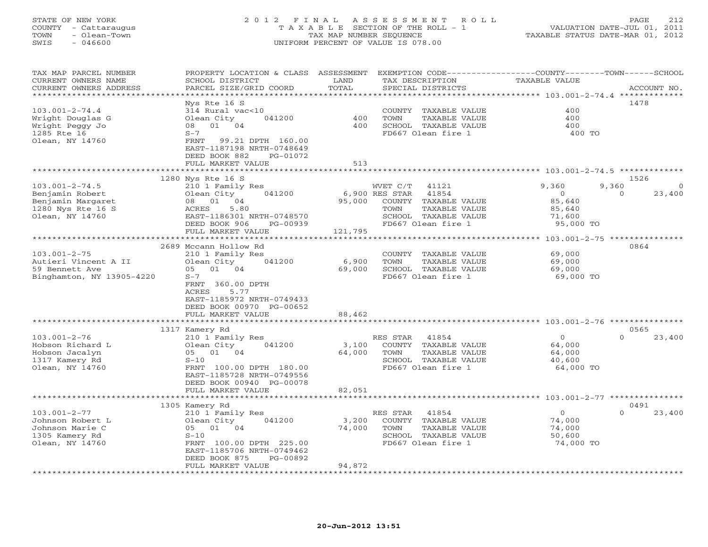# STATE OF NEW YORK 2 0 1 2 F I N A L A S S E S S M E N T R O L L PAGE 212 COUNTY - Cattaraugus T A X A B L E SECTION OF THE ROLL - 1 VALUATION DATE-JUL 01, 2011 TOWN - Olean-Town TAX MAP NUMBER SEQUENCE TAXABLE STATUS DATE-MAR 01, 2012 SWIS - 046600 UNIFORM PERCENT OF VALUE IS 078.00UNIFORM PERCENT OF VALUE IS 078.00

| TAX MAP PARCEL NUMBER<br>CURRENT OWNERS NAME | PROPERTY LOCATION & CLASS ASSESSMENT<br>SCHOOL DISTRICT | LAND      | TAX DESCRIPTION         | EXEMPTION CODE-----------------COUNTY-------TOWN------SCHOOL<br><b>TAXABLE VALUE</b> |             |
|----------------------------------------------|---------------------------------------------------------|-----------|-------------------------|--------------------------------------------------------------------------------------|-------------|
| CURRENT OWNERS ADDRESS                       | PARCEL SIZE/GRID COORD                                  | TOTAL     | SPECIAL DISTRICTS       |                                                                                      | ACCOUNT NO. |
|                                              |                                                         | ********* |                         | ************************************** 103.001-2-74.4 **************                 |             |
|                                              | Nys Rte 16 S                                            |           |                         |                                                                                      | 1478        |
| $103.001 - 2 - 74.4$                         | 314 Rural vac<10                                        |           | COUNTY TAXABLE VALUE    | 400                                                                                  |             |
| Wright Douglas G                             | Olean City<br>041200                                    | 400       | TAXABLE VALUE<br>TOWN   | 400                                                                                  |             |
| Wright Peggy Jo                              | 08 01<br>04                                             | 400       | SCHOOL TAXABLE VALUE    | 400                                                                                  |             |
| 1285 Rte 16<br>Olean, NY 14760               | $S-7$<br>FRNT<br>99.21 DPTH 160.00                      |           | FD667 Olean fire 1      | 400 TO                                                                               |             |
|                                              | EAST-1187198 NRTH-0748649                               |           |                         |                                                                                      |             |
|                                              | DEED BOOK 882<br>PG-01072                               |           |                         |                                                                                      |             |
|                                              | FULL MARKET VALUE                                       | 513       |                         |                                                                                      |             |
|                                              | *************************                               |           |                         |                                                                                      |             |
|                                              | 1280 Nys Rte 16 S                                       |           |                         |                                                                                      | 1526        |
| $103.001 - 2 - 74.5$                         | 210 1 Family Res                                        |           | WVET C/T<br>41121       | 9,360<br>9,360                                                                       | $\Omega$    |
| Benjamin Robert                              | 041200<br>Olean City                                    |           | 6,900 RES STAR<br>41854 | $\overline{0}$<br>$\circ$                                                            | 23,400      |
| Benjamin Margaret                            | 08 01 04                                                | 95,000    | COUNTY TAXABLE VALUE    | 85,640                                                                               |             |
| 1280 Nys Rte 16 S                            | 5.80<br>ACRES                                           |           | TAXABLE VALUE<br>TOWN   | 85,640                                                                               |             |
| Olean, NY 14760                              | EAST-1186301 NRTH-0748570                               |           | SCHOOL TAXABLE VALUE    | 71,600                                                                               |             |
|                                              | DEED BOOK 906<br>PG-00939                               |           | FD667 Olean fire 1      | 95,000 TO                                                                            |             |
|                                              | FULL MARKET VALUE                                       | 121,795   |                         |                                                                                      |             |
|                                              |                                                         |           |                         |                                                                                      |             |
|                                              | 2689 Mccann Hollow Rd                                   |           |                         |                                                                                      | 0864        |
| $103.001 - 2 - 75$                           | 210 1 Family Res                                        |           | COUNTY TAXABLE VALUE    | 69,000                                                                               |             |
| Autieri Vincent A II                         | 041200<br>Olean City                                    | 6,900     | TOWN<br>TAXABLE VALUE   | 69,000                                                                               |             |
| 59 Bennett Ave                               | 05 01 04                                                | 69,000    | SCHOOL TAXABLE VALUE    | 69,000                                                                               |             |
| Binghamton, NY 13905-4220                    | $S-7$                                                   |           | FD667 Olean fire 1      | 69,000 TO                                                                            |             |
|                                              | FRNT 360.00 DPTH                                        |           |                         |                                                                                      |             |
|                                              | ACRES<br>5.77                                           |           |                         |                                                                                      |             |
|                                              | EAST-1185972 NRTH-0749433                               |           |                         |                                                                                      |             |
|                                              | DEED BOOK 00970 PG-00652                                |           |                         |                                                                                      |             |
|                                              | FULL MARKET VALUE                                       | 88,462    |                         |                                                                                      |             |
|                                              | 1317 Kamery Rd                                          |           |                         |                                                                                      | 0565        |
| $103.001 - 2 - 76$                           | 210 1 Family Res                                        |           | RES STAR<br>41854       | $\Omega$<br>$\circ$                                                                  | 23,400      |
| Hobson Richard L                             | 041200<br>Olean City                                    | 3,100     | COUNTY TAXABLE VALUE    | 64,000                                                                               |             |
| Hobson Jacalyn                               | 05 01 04                                                | 64,000    | TOWN<br>TAXABLE VALUE   | 64,000                                                                               |             |
| 1317 Kamery Rd                               | $S-10$                                                  |           | SCHOOL TAXABLE VALUE    | 40,600                                                                               |             |
| Olean, NY 14760                              | FRNT 100.00 DPTH 180.00                                 |           | FD667 Olean fire 1      | 64,000 TO                                                                            |             |
|                                              | EAST-1185728 NRTH-0749556                               |           |                         |                                                                                      |             |
|                                              | DEED BOOK 00940 PG-00078                                |           |                         |                                                                                      |             |
|                                              | FULL MARKET VALUE                                       | 82,051    |                         |                                                                                      |             |
|                                              | ***********************                                 |           |                         |                                                                                      |             |
|                                              | 1305 Kamery Rd                                          |           |                         |                                                                                      | 0491        |
| $103.001 - 2 - 77$                           | 210 1 Family Res                                        |           | 41854<br>RES STAR       | $\Omega$<br>$\circ$                                                                  | 23,400      |
| Johnson Robert L                             | 041200<br>Olean City                                    | 3,200     | COUNTY TAXABLE VALUE    | 74,000                                                                               |             |
| Johnson Marie C                              | 05 01 04                                                | 74,000    | TOWN<br>TAXABLE VALUE   | 74,000                                                                               |             |
| 1305 Kamery Rd                               | $S-10$                                                  |           | SCHOOL TAXABLE VALUE    | 50,600                                                                               |             |
| Olean, NY 14760                              | FRNT 100.00 DPTH 225.00                                 |           | FD667 Olean fire 1      | 74,000 TO                                                                            |             |
|                                              | EAST-1185706 NRTH-0749462                               |           |                         |                                                                                      |             |
|                                              | PG-00892<br>DEED BOOK 875                               |           |                         |                                                                                      |             |
|                                              | FULL MARKET VALUE                                       | 94,872    |                         |                                                                                      |             |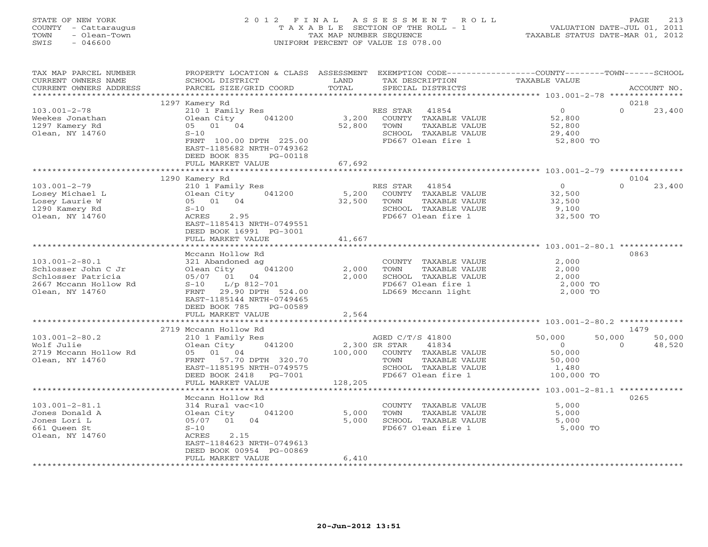# STATE OF NEW YORK 2 0 1 2 F I N A L A S S E S S M E N T R O L L PAGE 213 COUNTY - Cattaraugus T A X A B L E SECTION OF THE ROLL - 1 VALUATION DATE-JUL 01, 2011 TOWN - Olean-Town TAX MAP NUMBER SEQUENCE TAXABLE STATUS DATE-MAR 01, 2012 SWIS - 046600 UNIFORM PERCENT OF VALUE IS 078.00UNIFORM PERCENT OF VALUE IS 078.00

| TAX MAP PARCEL NUMBER<br>CURRENT OWNERS NAME<br>CURRENT OWNERS ADDRESS                                        | PROPERTY LOCATION & CLASS ASSESSMENT<br>SCHOOL DISTRICT<br>PARCEL SIZE/GRID COORD                                                                                                          | LAND<br>TOTAL                               | TAX DESCRIPTION<br>SPECIAL DISTRICTS                                                                                     | EXEMPTION CODE-----------------COUNTY-------TOWN------SCHOOL<br><b>TAXABLE VALUE</b>                                      | ACCOUNT NO.                 |
|---------------------------------------------------------------------------------------------------------------|--------------------------------------------------------------------------------------------------------------------------------------------------------------------------------------------|---------------------------------------------|--------------------------------------------------------------------------------------------------------------------------|---------------------------------------------------------------------------------------------------------------------------|-----------------------------|
|                                                                                                               | ************************                                                                                                                                                                   |                                             |                                                                                                                          |                                                                                                                           |                             |
| $103.001 - 2 - 78$<br>Weekes Jonathan<br>1297 Kamery Rd<br>Olean, NY 14760                                    | 1297 Kamery Rd<br>210 1 Family Res<br>Olean City<br>041200<br>05 01 04<br>$S-10$<br>FRNT 100.00 DPTH 225.00<br>EAST-1185682 NRTH-0749362<br>DEED BOOK 835<br>PG-00118<br>FULL MARKET VALUE | 3,200<br>52,800<br>67,692                   | 41854<br>RES STAR<br>COUNTY TAXABLE VALUE<br>TOWN<br>TAXABLE VALUE<br>SCHOOL TAXABLE VALUE<br>FD667 Olean fire 1         | $\overline{0}$<br>52,800<br>52,800<br>29,400<br>52,800 TO                                                                 | 0218<br>$\Omega$<br>23,400  |
|                                                                                                               |                                                                                                                                                                                            | **********                                  |                                                                                                                          | ************************* 103.001-2-79 ***************                                                                    |                             |
| $103.001 - 2 - 79$<br>Losey Michael L<br>Losey Laurie W<br>1290 Kamery Rd<br>Olean, NY 14760                  | 1290 Kamery Rd<br>210 1 Family Res<br>041200<br>Olean City<br>05 01 04<br>$S-10$<br>2.95<br>ACRES<br>EAST-1185413 NRTH-0749551<br>DEED BOOK 16991 PG-3001<br>FULL MARKET VALUE             | 5,200<br>32,500<br>41,667<br>************** | RES STAR<br>41854<br>COUNTY TAXABLE VALUE<br>TAXABLE VALUE<br>TOWN<br>SCHOOL TAXABLE VALUE<br>FD667 Olean fire 1         | $\overline{0}$<br>32,500<br>32,500<br>9,100<br>32,500 TO<br>******************************** 103.001-2-80.1 ************* | 0104<br>$\Omega$<br>23,400  |
|                                                                                                               | Mccann Hollow Rd                                                                                                                                                                           |                                             |                                                                                                                          |                                                                                                                           | 0863                        |
| $103.001 - 2 - 80.1$<br>Schlosser John C Jr<br>Schlosser Patricia<br>2667 Mccann Hollow Rd<br>Olean, NY 14760 | 321 Abandoned ag<br>Olean City 041200<br>05/07 01 04<br>S-10 L/p 812-701<br>FRNT 29.90 DPTH 524.00<br>EAST-1185144 NRTH-0749465<br>DEED BOOK 785<br>PG-00589                               | 2,000<br>2,000                              | COUNTY TAXABLE VALUE<br>TOWN<br>TAXABLE VALUE<br>SCHOOL TAXABLE VALUE<br>FD667 Olean fire 1<br>LD669 Mccann light        | 2,000<br>2,000<br>2,000<br>2,000 TO<br>2,000 TO                                                                           |                             |
|                                                                                                               | FULL MARKET VALUE                                                                                                                                                                          | 2,564                                       |                                                                                                                          |                                                                                                                           |                             |
|                                                                                                               | 2719 Mccann Hollow Rd                                                                                                                                                                      |                                             |                                                                                                                          |                                                                                                                           | 1479                        |
| $103.001 - 2 - 80.2$<br>Wolf Julie<br>2719 Mccann Hollow Rd<br>Olean, NY 14760                                | 210 1 Family Res<br>Olean City 041200<br>05 01 04<br>FRNT 57.70 DPTH 320.70<br>EAST-1185195 NRTH-0749575<br>DEED BOOK 2418<br>PG-7001<br>FULL MARKET VALUE                                 | 2,300 SR STAR<br>100,000<br>128,205         | AGED C/T/S 41800<br>41834<br>COUNTY TAXABLE VALUE<br>TOWN<br>TAXABLE VALUE<br>SCHOOL TAXABLE VALUE<br>FD667 Olean fire 1 | 50,000<br>50,000<br>$\overline{0}$<br>50,000<br>50,000<br>1,480<br>100,000 TO                                             | 50,000<br>48,520<br>$\circ$ |
|                                                                                                               |                                                                                                                                                                                            |                                             |                                                                                                                          | ***************** 103.001-2-81.1 *************                                                                            |                             |
| $103.001 - 2 - 81.1$<br>Jones Donald A<br>Jones Lori L<br>661 Queen St<br>Olean, NY 14760                     | Mccann Hollow Rd<br>314 Rural vac<10<br>Olean City<br>041200<br>05/07 01 04<br>$S-10$<br>ACRES<br>2.15<br>EAST-1184623 NRTH-0749613<br>DEED BOOK 00954 PG-00869                            | 5,000<br>5,000                              | COUNTY TAXABLE VALUE<br>TOWN<br>TAXABLE VALUE<br>SCHOOL TAXABLE VALUE<br>FD667 Olean fire 1                              | 5,000<br>5,000<br>5,000<br>5,000 TO                                                                                       | 0265                        |
|                                                                                                               | FULL MARKET VALUE                                                                                                                                                                          | 6,410                                       |                                                                                                                          |                                                                                                                           |                             |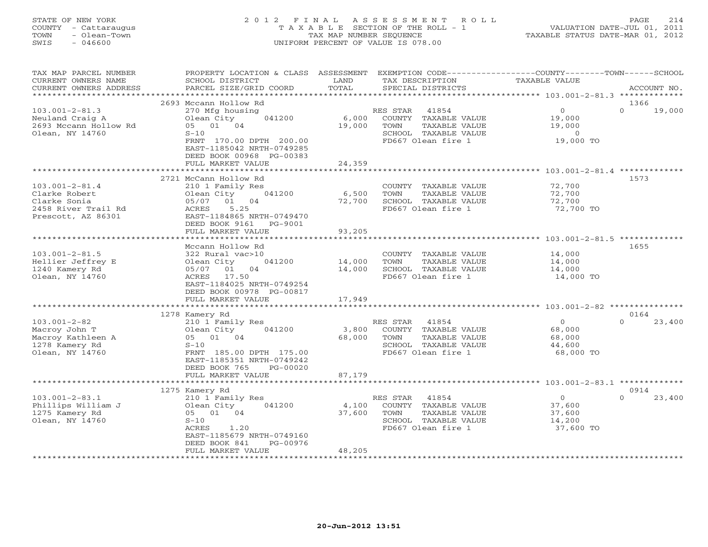# STATE OF NEW YORK 2 0 1 2 F I N A L A S S E S S M E N T R O L L PAGE 214 COUNTY - Cattaraugus T A X A B L E SECTION OF THE ROLL - 1 VALUATION DATE-JUL 01, 2011 TOWN - Olean-Town TAX MAP NUMBER SEQUENCE TAXABLE STATUS DATE-MAR 01, 2012 SWIS - 046600 UNIFORM PERCENT OF VALUE IS 078.00UNIFORM PERCENT OF VALUE IS 078.00

| TAX MAP PARCEL NUMBER<br>CURRENT OWNERS NAME<br>CURRENT OWNERS ADDRESS | PROPERTY LOCATION & CLASS ASSESSMENT<br>SCHOOL DISTRICT<br>PARCEL SIZE/GRID COORD | LAND<br>TOTAL | TAX DESCRIPTION<br>SPECIAL DISTRICTS       | EXEMPTION CODE-----------------COUNTY-------TOWN------SCHOOL<br><b>TAXABLE VALUE</b> | ACCOUNT NO.                |
|------------------------------------------------------------------------|-----------------------------------------------------------------------------------|---------------|--------------------------------------------|--------------------------------------------------------------------------------------|----------------------------|
| ***********************                                                |                                                                                   |               |                                            |                                                                                      |                            |
|                                                                        | 2693 Mccann Hollow Rd                                                             |               |                                            |                                                                                      | 1366<br>$\Omega$           |
| $103.001 - 2 - 81.3$                                                   | 270 Mfg housing<br>Olean City<br>041200                                           | 6,000         | RES STAR<br>41854<br>COUNTY TAXABLE VALUE  | $\overline{O}$<br>19,000                                                             | 19,000                     |
| Neuland Craig A<br>2693 Mccann Hollow Rd                               | 05 01 04                                                                          | 19,000        | TOWN<br>TAXABLE VALUE                      | 19,000                                                                               |                            |
| Olean, NY 14760                                                        | $S-10$                                                                            |               | SCHOOL TAXABLE VALUE                       | $\overline{0}$                                                                       |                            |
|                                                                        | FRNT 170.00 DPTH 200.00                                                           |               | FD667 Olean fire 1                         | 19,000 TO                                                                            |                            |
|                                                                        | EAST-1185042 NRTH-0749285                                                         |               |                                            |                                                                                      |                            |
|                                                                        | DEED BOOK 00968 PG-00383                                                          |               |                                            |                                                                                      |                            |
|                                                                        | FULL MARKET VALUE                                                                 | 24,359        |                                            |                                                                                      |                            |
|                                                                        | ****************************                                                      |               |                                            |                                                                                      |                            |
|                                                                        | 2721 McCann Hollow Rd                                                             |               |                                            |                                                                                      | 1573                       |
| $103.001 - 2 - 81.4$                                                   | 210 1 Family Res                                                                  |               | COUNTY TAXABLE VALUE                       | 72,700                                                                               |                            |
| Clarke Robert                                                          | 041200<br>Olean City                                                              | 6,500         | TOWN<br>TAXABLE VALUE                      | 72,700                                                                               |                            |
| Clarke Sonia                                                           | 01 04<br>05/07                                                                    | 72,700        | SCHOOL TAXABLE VALUE                       | 72,700                                                                               |                            |
| 2458 River Trail Rd                                                    | 5.25<br>ACRES                                                                     |               | FD667 Olean fire 1                         | 72,700 TO                                                                            |                            |
| Prescott, AZ 86301                                                     | EAST-1184865 NRTH-0749470<br>DEED BOOK 9161<br>PG-9001                            |               |                                            |                                                                                      |                            |
|                                                                        | FULL MARKET VALUE                                                                 | 93,205        |                                            |                                                                                      |                            |
|                                                                        | ***********************************                                               |               |                                            |                                                                                      |                            |
|                                                                        | Mccann Hollow Rd                                                                  |               |                                            |                                                                                      | 1655                       |
| $103.001 - 2 - 81.5$                                                   | 322 Rural vac>10                                                                  |               | COUNTY TAXABLE VALUE                       | 14,000                                                                               |                            |
| Hellier Jeffrey E                                                      | 041200<br>Olean City                                                              | 14,000        | TAXABLE VALUE<br>TOWN                      | 14,000                                                                               |                            |
| 1240 Kamery Rd                                                         | 04<br>01<br>05/07                                                                 | 14,000        | SCHOOL TAXABLE VALUE                       | 14,000                                                                               |                            |
| Olean, NY 14760                                                        | ACRES 17.50                                                                       |               | FD667 Olean fire 1                         | 14,000 TO                                                                            |                            |
|                                                                        | EAST-1184025 NRTH-0749254                                                         |               |                                            |                                                                                      |                            |
|                                                                        | DEED BOOK 00978 PG-00817                                                          |               |                                            |                                                                                      |                            |
|                                                                        | FULL MARKET VALUE                                                                 | 17,949        |                                            |                                                                                      |                            |
|                                                                        |                                                                                   |               |                                            |                                                                                      |                            |
| $103.001 - 2 - 82$                                                     | 1278 Kamery Rd<br>210 1 Family Res                                                |               | RES STAR 41854                             | $\overline{0}$                                                                       | 0164<br>$\Omega$<br>23,400 |
| Macroy John T                                                          | 041200<br>Olean City                                                              | 3,800         | COUNTY TAXABLE VALUE                       | 68,000                                                                               |                            |
| Macroy Kathleen A                                                      | 05 01 04                                                                          | 68,000        | TOWN<br>TAXABLE VALUE                      | 68,000                                                                               |                            |
| 1278 Kamery Rd                                                         | $S-10$                                                                            |               | SCHOOL TAXABLE VALUE                       | 44,600                                                                               |                            |
| Olean, NY 14760                                                        | FRNT 185.00 DPTH 175.00                                                           |               | FD667 Olean fire 1                         | 68,000 TO                                                                            |                            |
|                                                                        | EAST-1185351 NRTH-0749242                                                         |               |                                            |                                                                                      |                            |
|                                                                        | DEED BOOK 765<br>PG-00020                                                         |               |                                            |                                                                                      |                            |
|                                                                        | FULL MARKET VALUE                                                                 | 87,179        |                                            |                                                                                      |                            |
|                                                                        | ********************                                                              |               |                                            | ********************************** 103.001-2-83.1 ********                           |                            |
|                                                                        | 1275 Kamery Rd                                                                    |               |                                            |                                                                                      | 0914                       |
| $103.001 - 2 - 83.1$                                                   | 210 1 Family Res                                                                  |               | RES STAR<br>41854                          | $\overline{0}$                                                                       | $\Omega$<br>23,400         |
| Phillips William J                                                     | Olean City<br>041200                                                              | 4,100         | COUNTY TAXABLE VALUE                       | 37,600                                                                               |                            |
| 1275 Kamery Rd                                                         | 05 01 04                                                                          | 37,600        | TOWN<br>TAXABLE VALUE                      | 37,600                                                                               |                            |
| Olean, NY 14760                                                        | $S-10$<br>ACRES<br>1.20                                                           |               | SCHOOL TAXABLE VALUE<br>FD667 Olean fire 1 | 14,200<br>37,600 TO                                                                  |                            |
|                                                                        | EAST-1185679 NRTH-0749160                                                         |               |                                            |                                                                                      |                            |
|                                                                        | DEED BOOK 841<br>PG-00976                                                         |               |                                            |                                                                                      |                            |
|                                                                        | FULL MARKET VALUE                                                                 | 48,205        |                                            |                                                                                      |                            |
|                                                                        |                                                                                   |               |                                            |                                                                                      |                            |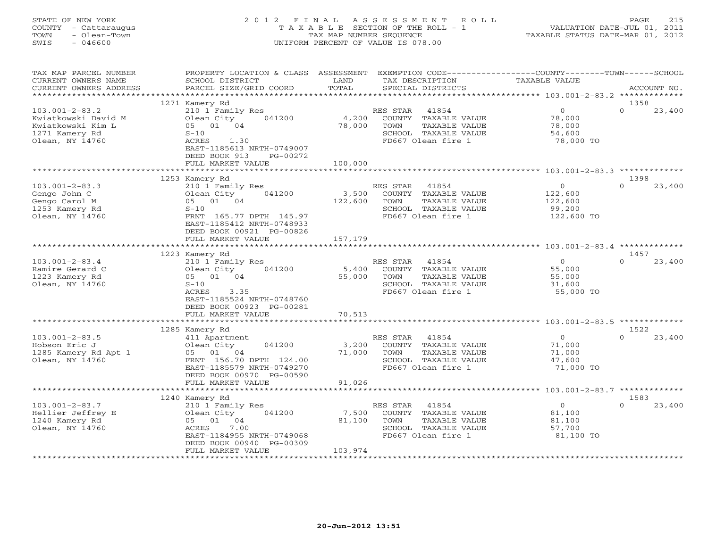# STATE OF NEW YORK 2 0 1 2 F I N A L A S S E S S M E N T R O L L PAGE 215 COUNTY - Cattaraugus T A X A B L E SECTION OF THE ROLL - 1 VALUATION DATE-JUL 01, 2011 TOWN - Olean-Town TAX MAP NUMBER SEQUENCE TAXABLE STATUS DATE-MAR 01, 2012 SWIS - 046600 UNIFORM PERCENT OF VALUE IS 078.00UNIFORM PERCENT OF VALUE IS 078.00

| TAX MAP PARCEL NUMBER<br>CURRENT OWNERS NAME<br>CURRENT OWNERS ADDRESS                                | PROPERTY LOCATION & CLASS ASSESSMENT<br>SCHOOL DISTRICT<br>PARCEL SIZE/GRID COORD                                                                                                | LAND<br>TOTAL              | EXEMPTION CODE-----------------COUNTY-------TOWN------SCHOOL<br>TAX DESCRIPTION<br>SPECIAL DISTRICTS             | TAXABLE VALUE                                             | ACCOUNT NO.                |
|-------------------------------------------------------------------------------------------------------|----------------------------------------------------------------------------------------------------------------------------------------------------------------------------------|----------------------------|------------------------------------------------------------------------------------------------------------------|-----------------------------------------------------------|----------------------------|
| **********************                                                                                |                                                                                                                                                                                  |                            |                                                                                                                  |                                                           |                            |
| $103.001 - 2 - 83.2$<br>Kwiatkowski David M<br>Kwiatkowski Kim L<br>1271 Kamery Rd<br>Olean, NY 14760 | 1271 Kamery Rd<br>210 1 Family Res<br>041200<br>Olean City<br>05 01 04<br>$S-10$<br>ACRES<br>1.30<br>EAST-1185613 NRTH-0749007<br>DEED BOOK 913<br>PG-00272<br>FULL MARKET VALUE | 4,200<br>78,000<br>100,000 | 41854<br>RES STAR<br>COUNTY TAXABLE VALUE<br>TOWN<br>TAXABLE VALUE<br>SCHOOL TAXABLE VALUE<br>FD667 Olean fire 1 | $\overline{O}$<br>78,000<br>78,000<br>54,600<br>78,000 TO | 1358<br>$\Omega$<br>23,400 |
|                                                                                                       |                                                                                                                                                                                  |                            |                                                                                                                  |                                                           |                            |
| $103.001 - 2 - 83.3$<br>Gengo John C<br>Gengo Carol M<br>1253 Kamery Rd<br>Olean, NY 14760            | 1253 Kamery Rd<br>210 1 Family Res<br>041200<br>Olean City<br>05 01 04<br>$S-10$<br>FRNT 165.77 DPTH 145.97<br>EAST-1185412 NRTH-0748933<br>DEED BOOK 00921 PG-00826             | 3,500<br>122,600           | RES STAR<br>41854<br>COUNTY TAXABLE VALUE<br>TOWN<br>TAXABLE VALUE<br>SCHOOL TAXABLE VALUE<br>FD667 Olean fire 1 | $\circ$<br>122,600<br>122,600<br>99,200<br>122,600 TO     | 1398<br>$\Omega$<br>23,400 |
|                                                                                                       | FULL MARKET VALUE                                                                                                                                                                | 157,179                    |                                                                                                                  |                                                           |                            |
|                                                                                                       |                                                                                                                                                                                  |                            |                                                                                                                  |                                                           |                            |
| $103.001 - 2 - 83.4$<br>Ramire Gerard C<br>1223 Kamery Rd<br>Olean, NY 14760                          | 1223 Kamery Rd<br>210 1 Family Res<br>Olean City<br>041200<br>05 01 04<br>$S-10$<br>ACRES<br>3.35<br>EAST-1185524 NRTH-0748760<br>DEED BOOK 00923 PG-00281                       | 5,400<br>55,000            | RES STAR<br>41854<br>COUNTY TAXABLE VALUE<br>TOWN<br>TAXABLE VALUE<br>SCHOOL TAXABLE VALUE<br>FD667 Olean fire 1 | $\circ$<br>55,000<br>55,000<br>31,600<br>55,000 TO        | 1457<br>23,400<br>$\Omega$ |
|                                                                                                       | FULL MARKET VALUE                                                                                                                                                                | 70,513                     |                                                                                                                  |                                                           |                            |
|                                                                                                       | 1285 Kamery Rd                                                                                                                                                                   |                            |                                                                                                                  |                                                           | 1522                       |
| $103.001 - 2 - 83.5$<br>Hobson Eric J<br>1285 Kamery Rd Apt 1<br>Olean, NY 14760                      | 411 Apartment<br>Olean City<br>041200<br>05 01 04<br>FRNT 156.70 DPTH 124.00<br>EAST-1185579 NRTH-0749270<br>DEED BOOK 00970 PG-00590<br>FULL MARKET VALUE                       | 3,200<br>71,000<br>91,026  | 41854<br>RES STAR<br>COUNTY TAXABLE VALUE<br>TOWN<br>TAXABLE VALUE<br>SCHOOL TAXABLE VALUE<br>FD667 Olean fire 1 | $\overline{O}$<br>71,000<br>71,000<br>47,600<br>71,000 TO | $\cap$<br>23,400           |
|                                                                                                       |                                                                                                                                                                                  |                            |                                                                                                                  |                                                           |                            |
|                                                                                                       | 1240 Kamery Rd                                                                                                                                                                   |                            |                                                                                                                  |                                                           | 1583                       |
| $103.001 - 2 - 83.7$<br>Hellier Jeffrey E<br>1240 Kamery Rd<br>Olean, NY 14760                        | 210 1 Family Res<br>041200<br>Olean City<br>04<br>05<br>01<br>ACRES<br>7.00<br>EAST-1184955 NRTH-0749068<br>DEED BOOK 00940 PG-00309<br>FULL MARKET VALUE                        | 7,500<br>81,100<br>103,974 | RES STAR<br>41854<br>COUNTY TAXABLE VALUE<br>TOWN<br>TAXABLE VALUE<br>SCHOOL TAXABLE VALUE<br>FD667 Olean fire 1 | $\overline{O}$<br>81,100<br>81,100<br>57,700<br>81,100 TO | $\Omega$<br>23,400         |
|                                                                                                       | ************************                                                                                                                                                         |                            | *********************************                                                                                |                                                           |                            |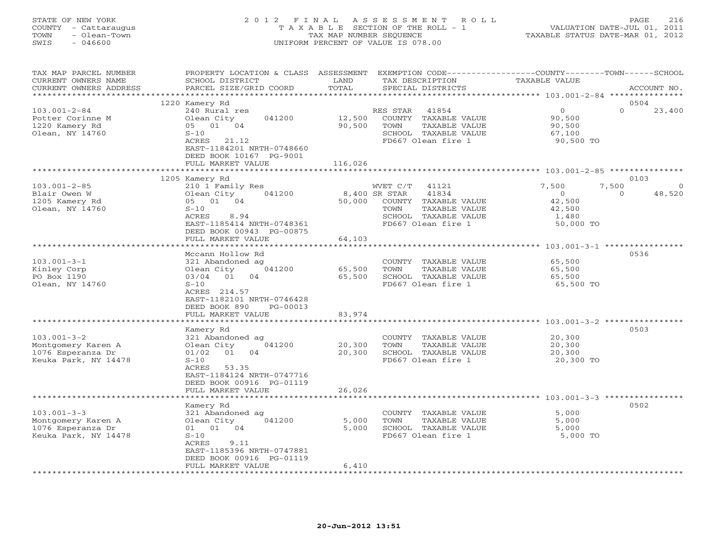# STATE OF NEW YORK 2 0 1 2 F I N A L A S S E S S M E N T R O L L PAGE 216 COUNTY - Cattaraugus T A X A B L E SECTION OF THE ROLL - 1 VALUATION DATE-JUL 01, 2011 TOWN - Olean-Town TAX MAP NUMBER SEQUENCE TAXABLE STATUS DATE-MAR 01, 2012 SWIS - 046600 UNIFORM PERCENT OF VALUE IS 078.00UNIFORM PERCENT OF VALUE IS 078.00

| TAX MAP PARCEL NUMBER<br>CURRENT OWNERS NAME             | PROPERTY LOCATION & CLASS ASSESSMENT<br>SCHOOL DISTRICT                                            | LAND             | TAX DESCRIPTION                                                    | EXEMPTION CODE-----------------COUNTY-------TOWN-----SCHOOL<br>TAXABLE VALUE |                    |
|----------------------------------------------------------|----------------------------------------------------------------------------------------------------|------------------|--------------------------------------------------------------------|------------------------------------------------------------------------------|--------------------|
| CURRENT OWNERS ADDRESS                                   | PARCEL SIZE/GRID COORD                                                                             | TOTAL            | SPECIAL DISTRICTS                                                  |                                                                              | ACCOUNT NO.        |
| ******************                                       | ***************************                                                                        |                  |                                                                    |                                                                              |                    |
| $103.001 - 2 - 84$<br>Potter Corinne M<br>1220 Kamery Rd | 1220 Kamery Rd<br>240 Rural res<br>Olean City<br>041200<br>05 01 04                                | 12,500<br>90,500 | RES STAR<br>41854<br>COUNTY TAXABLE VALUE<br>TOWN<br>TAXABLE VALUE | $\Omega$<br>$\overline{0}$<br>90,500<br>90,500                               | 0504<br>23,400     |
| Olean, NY 14760                                          | $S-10$<br>ACRES 21.12<br>EAST-1184201 NRTH-0748660<br>DEED BOOK 10167 PG-9001<br>FULL MARKET VALUE | 116,026          | SCHOOL TAXABLE VALUE<br>FD667 Olean fire 1                         | 67,100<br>90,500 TO                                                          |                    |
|                                                          |                                                                                                    |                  |                                                                    |                                                                              |                    |
|                                                          | 1205 Kamery Rd                                                                                     |                  |                                                                    |                                                                              | 0103               |
| $103.001 - 2 - 85$<br>Blair Owen W                       | 210 1 Family Res<br>Olean City<br>041200                                                           |                  | WVET C/T 41121<br>8,400 SR STAR<br>41834                           | 7,500<br>7,500<br>$\Omega$<br>$\circ$                                        | $\Omega$<br>48,520 |
| 1205 Kamery Rd                                           | 05 01 04                                                                                           | 50,000           | COUNTY TAXABLE VALUE                                               | 42,500                                                                       |                    |
| Olean, NY 14760                                          | $S-10$                                                                                             |                  | TOWN<br>TAXABLE VALUE                                              | 42,500                                                                       |                    |
|                                                          | ACRES<br>8.94<br>EAST-1185414 NRTH-0748361<br>DEED BOOK 00943 PG-00875                             |                  | SCHOOL TAXABLE VALUE<br>FD667 Olean fire 1                         | 1,480<br>50,000 TO                                                           |                    |
|                                                          | FULL MARKET VALUE<br>***********************                                                       | 64,103           |                                                                    |                                                                              |                    |
|                                                          | Mccann Hollow Rd                                                                                   |                  |                                                                    |                                                                              | 0536               |
| $103.001 - 3 - 1$                                        | 321 Abandoned ag                                                                                   |                  | COUNTY TAXABLE VALUE                                               | 65,500                                                                       |                    |
| Kinley Corp                                              | Olean City<br>041200                                                                               | 65,500           | TAXABLE VALUE<br>TOWN                                              | 65,500                                                                       |                    |
| PO Box 1190                                              | 03/04<br>01<br>04                                                                                  | 65,500           | SCHOOL TAXABLE VALUE                                               | 65,500                                                                       |                    |
| Olean, NY 14760                                          | $S-10$<br>ACRES 214.57<br>EAST-1182101 NRTH-0746428<br>DEED BOOK 890<br>PG-00013                   |                  | FD667 Olean fire 1                                                 | 65,500 TO                                                                    |                    |
|                                                          | FULL MARKET VALUE                                                                                  | 83,974           |                                                                    |                                                                              |                    |
|                                                          |                                                                                                    |                  |                                                                    | ******************** 103.001-3-2 ***********                                 |                    |
|                                                          | Kamery Rd                                                                                          |                  |                                                                    |                                                                              | 0503               |
| $103.001 - 3 - 2$                                        | 321 Abandoned ag<br>041200                                                                         | 20,300           | COUNTY TAXABLE VALUE<br>TOWN<br>TAXABLE VALUE                      | 20,300                                                                       |                    |
| Montgomery Karen A<br>1076 Esperanza Dr                  | Olean City<br>01/02<br>01<br>04                                                                    | 20,300           | SCHOOL TAXABLE VALUE                                               | 20,300<br>20,300                                                             |                    |
| Keuka Park, NY 14478                                     | $S-10$<br>ACRES<br>53.35<br>EAST-1184124 NRTH-0747716<br>DEED BOOK 00916 PG-01119                  |                  | FD667 Olean fire 1                                                 | 20,300 TO                                                                    |                    |
|                                                          | FULL MARKET VALUE                                                                                  | 26,026           |                                                                    |                                                                              |                    |
|                                                          |                                                                                                    | **************   |                                                                    |                                                                              |                    |
| $103.001 - 3 - 3$                                        | Kamery Rd<br>321 Abandoned ag                                                                      |                  | COUNTY TAXABLE VALUE                                               | 5,000                                                                        | 0502               |
| Montgomery Karen A                                       | Olean City<br>041200                                                                               | 5,000            | TAXABLE VALUE<br>TOWN                                              | 5,000                                                                        |                    |
| 1076 Esperanza Dr                                        | 01 01 04                                                                                           | 5,000            | SCHOOL TAXABLE VALUE                                               | 5,000                                                                        |                    |
| Keuka Park, NY 14478                                     | $S-10$<br>ACRES<br>9.11<br>EAST-1185396 NRTH-0747881<br>DEED BOOK 00916 PG-01119                   |                  | FD667 Olean fire 1                                                 | 5,000 TO                                                                     |                    |
|                                                          | FULL MARKET VALUE                                                                                  | 6,410            |                                                                    |                                                                              |                    |
|                                                          |                                                                                                    |                  |                                                                    |                                                                              |                    |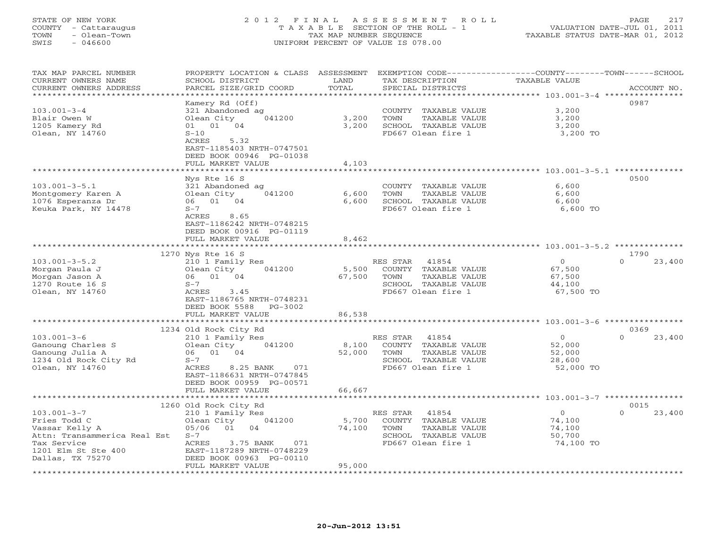# STATE OF NEW YORK 2 0 1 2 F I N A L A S S E S S M E N T R O L L PAGE 217 COUNTY - Cattaraugus T A X A B L E SECTION OF THE ROLL - 1 VALUATION DATE-JUL 01, 2011 TOWN - Olean-Town TAX MAP NUMBER SEQUENCE TAXABLE STATUS DATE-MAR 01, 2012 SWIS - 046600 UNIFORM PERCENT OF VALUE IS 078.00UNIFORM PERCENT OF VALUE IS 078.00

| TAX MAP PARCEL NUMBER        | PROPERTY LOCATION & CLASS ASSESSMENT |        |                       | EXEMPTION CODE-----------------COUNTY-------TOWN------SCHOOL       |             |
|------------------------------|--------------------------------------|--------|-----------------------|--------------------------------------------------------------------|-------------|
| CURRENT OWNERS NAME          | SCHOOL DISTRICT                      | LAND   | TAX DESCRIPTION       | TAXABLE VALUE                                                      |             |
| CURRENT OWNERS ADDRESS       | PARCEL SIZE/GRID COORD               | TOTAL  | SPECIAL DISTRICTS     |                                                                    | ACCOUNT NO. |
|                              |                                      |        |                       | **************** 103.001-3-4 ****                                  |             |
|                              | Kamery Rd (Off)                      |        |                       | 0987                                                               |             |
| $103.001 - 3 - 4$            | 321 Abandoned ag                     |        | COUNTY TAXABLE VALUE  | 3,200                                                              |             |
| Blair Owen W                 | Olean City<br>041200                 | 3,200  | TOWN<br>TAXABLE VALUE | 3,200                                                              |             |
| 1205 Kamery Rd               | 01 01 04                             | 3,200  | SCHOOL TAXABLE VALUE  | 3,200                                                              |             |
| Olean, NY 14760              | $S-10$                               |        | FD667 Olean fire 1    | 3,200 TO                                                           |             |
|                              | ACRES<br>5.32                        |        |                       |                                                                    |             |
|                              | EAST-1185403 NRTH-0747501            |        |                       |                                                                    |             |
|                              | DEED BOOK 00946 PG-01038             |        |                       |                                                                    |             |
|                              | FULL MARKET VALUE                    | 4,103  |                       |                                                                    |             |
|                              | ********************                 |        |                       |                                                                    |             |
|                              | Nys Rte 16 S                         |        |                       | 0500                                                               |             |
|                              |                                      |        |                       | 6,600                                                              |             |
| $103.001 - 3 - 5.1$          | 321 Abandoned ag                     |        | COUNTY TAXABLE VALUE  |                                                                    |             |
| Montgomery Karen A           | Olean City<br>041200                 | 6,600  | TOWN<br>TAXABLE VALUE | 6,600                                                              |             |
| 1076 Esperanza Dr            | 06 01 04                             | 6,600  | SCHOOL TAXABLE VALUE  | 6,600                                                              |             |
| Keuka Park, NY 14478         | $S-7$                                |        | FD667 Olean fire 1    | 6,600 TO                                                           |             |
|                              | ACRES 8.65                           |        |                       |                                                                    |             |
|                              | EAST-1186242 NRTH-0748215            |        |                       |                                                                    |             |
|                              | DEED BOOK 00916 PG-01119             |        |                       |                                                                    |             |
|                              | FULL MARKET VALUE                    | 8,462  |                       |                                                                    |             |
|                              | ********************                 |        |                       | ************************************ 103.001-3-5.2 *************** |             |
|                              | 1270 Nys Rte 16 S                    |        |                       | 1790                                                               |             |
| $103.001 - 3 - 5.2$          | 210 1 Family Res                     |        | RES STAR<br>41854     | $\Omega$<br>$\Omega$                                               | 23,400      |
| Morgan Paula J               | 041200<br>Olean City                 | 5,500  | COUNTY TAXABLE VALUE  | 67,500                                                             |             |
| Morgan Jason A               | 06 01 04                             | 67,500 | TAXABLE VALUE<br>TOWN | 67,500                                                             |             |
| 1270 Route 16 S              | $S-7$                                |        | SCHOOL TAXABLE VALUE  | 44,100                                                             |             |
| Olean, NY 14760              | ACRES 3.45                           |        | FD667 Olean fire 1    | 67,500 TO                                                          |             |
|                              | EAST-1186765 NRTH-0748231            |        |                       |                                                                    |             |
|                              | DEED BOOK 5588<br>PG-3002            |        |                       |                                                                    |             |
|                              | FULL MARKET VALUE                    | 86,538 |                       |                                                                    |             |
|                              |                                      |        |                       | ********************************** 103.001-3-6 *********           |             |
|                              | 1234 Old Rock City Rd                |        |                       | 0369                                                               |             |
| $103.001 - 3 - 6$            | 210 1 Family Res                     |        | RES STAR<br>41854     | $\Omega$<br>$\overline{0}$                                         | 23,400      |
| Ganoung Charles S            | 041200<br>Olean City                 | 8,100  | COUNTY TAXABLE VALUE  | 52,000                                                             |             |
| Ganoung Julia A              | 06 01 04                             | 52,000 | TOWN<br>TAXABLE VALUE | 52,000                                                             |             |
| 1234 Old Rock City Rd        | $S-7$                                |        | SCHOOL TAXABLE VALUE  | 28,600                                                             |             |
| Olean, NY 14760              | ACRES<br>8.25 BANK<br>071            |        | FD667 Olean fire 1    | 52,000 TO                                                          |             |
|                              | EAST-1186631 NRTH-0747845            |        |                       |                                                                    |             |
|                              | DEED BOOK 00959 PG-00571             |        |                       |                                                                    |             |
|                              | FULL MARKET VALUE                    | 66,667 |                       |                                                                    |             |
|                              | ********************                 |        |                       |                                                                    |             |
|                              |                                      |        |                       | 0015                                                               |             |
|                              | 1260 Old Rock City Rd                |        |                       | $\overline{0}$<br>$\Omega$                                         |             |
| $103.001 - 3 - 7$            | 210 1 Family Res                     |        | RES STAR<br>41854     |                                                                    | 23,400      |
| Fries Todd C                 | Olean City<br>041200                 | 5,700  | COUNTY TAXABLE VALUE  | 74,100                                                             |             |
| Vassar Kelly A               | 05/06 01 04                          | 74,100 | TOWN<br>TAXABLE VALUE | 74,100                                                             |             |
| Attn: Transammerica Real Est | $S-7$                                |        | SCHOOL TAXABLE VALUE  | 50,700                                                             |             |
| Tax Service                  | 3.75 BANK<br>ACRES<br>071            |        | FD667 Olean fire 1    | 74,100 TO                                                          |             |
| 1201 Elm St Ste 400          | EAST-1187289 NRTH-0748229            |        |                       |                                                                    |             |
| Dallas, TX 75270             | DEED BOOK 00963 PG-00110             |        |                       |                                                                    |             |
|                              | FULL MARKET VALUE                    | 95,000 |                       |                                                                    |             |
|                              |                                      |        |                       |                                                                    |             |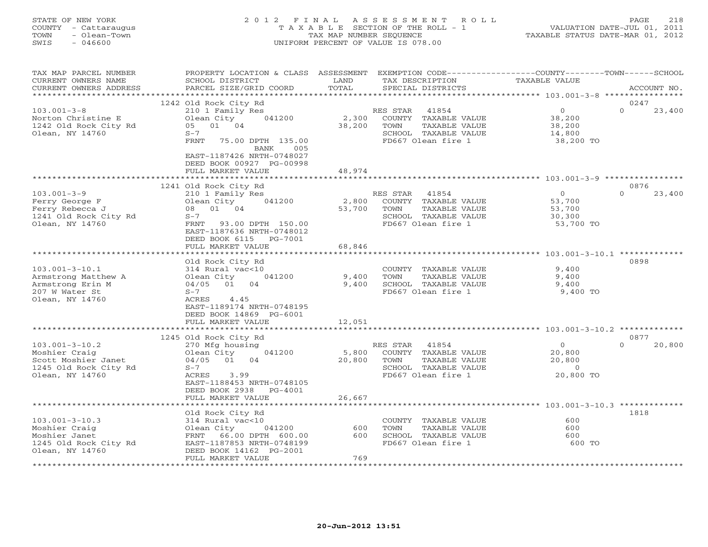# STATE OF NEW YORK 2 0 1 2 F I N A L A S S E S S M E N T R O L L PAGE 218 COUNTY - Cattaraugus T A X A B L E SECTION OF THE ROLL - 1 VALUATION DATE-JUL 01, 2011 TOWN - Olean-Town TAX MAP NUMBER SEQUENCE TAXABLE STATUS DATE-MAR 01, 2012 SWIS - 046600 UNIFORM PERCENT OF VALUE IS 078.00UNIFORM PERCENT OF VALUE IS 078.00

| TAX MAP PARCEL NUMBER<br>CURRENT OWNERS NAME<br>CURRENT OWNERS ADDRESS                                   | PROPERTY LOCATION & CLASS ASSESSMENT<br>SCHOOL DISTRICT<br>PARCEL SIZE/GRID COORD                                                                                                                                       | LAND<br>TOTAL             | TAX DESCRIPTION<br>SPECIAL DISTRICTS                                                                             | EXEMPTION CODE-----------------COUNTY-------TOWN------SCHOOL<br><b>TAXABLE VALUE</b> | ACCOUNT NO.                |
|----------------------------------------------------------------------------------------------------------|-------------------------------------------------------------------------------------------------------------------------------------------------------------------------------------------------------------------------|---------------------------|------------------------------------------------------------------------------------------------------------------|--------------------------------------------------------------------------------------|----------------------------|
| **********************                                                                                   |                                                                                                                                                                                                                         |                           |                                                                                                                  |                                                                                      |                            |
| $103.001 - 3 - 8$<br>Norton Christine E<br>1242 Old Rock City Rd<br>Olean, NY 14760                      | 1242 Old Rock City Rd<br>210 1 Family Res<br>Olean City<br>041200<br>05 01 04<br>$S-7$<br><b>FRNT</b><br>75.00 DPTH 135.00<br>BANK<br>005<br>EAST-1187426 NRTH-0748027<br>DEED BOOK 00927 PG-00998<br>FULL MARKET VALUE | 2,300<br>38,200<br>48,974 | RES STAR<br>41854<br>COUNTY TAXABLE VALUE<br>TOWN<br>TAXABLE VALUE<br>SCHOOL TAXABLE VALUE<br>FD667 Olean fire 1 | $\circ$<br>38,200<br>38,200<br>14,800<br>38,200 TO                                   | 0247<br>$\Omega$<br>23,400 |
|                                                                                                          |                                                                                                                                                                                                                         |                           |                                                                                                                  |                                                                                      |                            |
| $103.001 - 3 - 9$<br>Ferry George F<br>Ferry Rebecca J<br>1241 Old Rock City Rd<br>Olean, NY 14760       | 1241 Old Rock City Rd<br>210 1 Family Res<br>Olean City<br>041200<br>08 01 04<br>$S-7$<br>FRNT<br>93.00 DPTH 150.00<br>EAST-1187636 NRTH-0748012<br>DEED BOOK 6115<br>PG-7001                                           | 2,800<br>53,700           | RES STAR 41854<br>COUNTY TAXABLE VALUE<br>TOWN<br>TAXABLE VALUE<br>SCHOOL TAXABLE VALUE<br>FD667 Olean fire 1    | $\circ$<br>53,700<br>53,700<br>30,300<br>53,700 TO                                   | 0876<br>$\Omega$<br>23,400 |
|                                                                                                          | FULL MARKET VALUE                                                                                                                                                                                                       | 68,846                    |                                                                                                                  |                                                                                      |                            |
|                                                                                                          |                                                                                                                                                                                                                         |                           |                                                                                                                  |                                                                                      |                            |
| $103.001 - 3 - 10.1$<br>Armstrong Matthew A<br>Armstrong Erin M<br>207 W Water St<br>Olean, NY 14760     | Old Rock City Rd<br>314 Rural vac<10<br>041200<br>Olean City<br>04/05 01 04<br>$S-7$<br>ACRES<br>4.45<br>EAST-1189174 NRTH-0748195<br>DEED BOOK 14869 PG-6001<br>FULL MARKET VALUE                                      | 9,400<br>9,400<br>12,051  | COUNTY TAXABLE VALUE<br>TAXABLE VALUE<br>TOWN<br>SCHOOL TAXABLE VALUE<br>FD667 Olean fire 1                      | 9,400<br>9,400<br>9,400<br>9,400 TO                                                  | 0898                       |
|                                                                                                          | ************************                                                                                                                                                                                                |                           |                                                                                                                  |                                                                                      |                            |
|                                                                                                          | 1245 Old Rock City Rd                                                                                                                                                                                                   |                           |                                                                                                                  |                                                                                      | 0877                       |
| $103.001 - 3 - 10.2$<br>Moshier Craig<br>Scott Moshier Janet<br>1245 Old Rock City Rd<br>Olean, NY 14760 | 270 Mfg housing<br>041200<br>Olean City<br>04<br>04/05 01<br>$S-7$<br>3.99<br>ACRES<br>EAST-1188453 NRTH-0748105<br>DEED BOOK 2938<br>PG-4001                                                                           | 5,800<br>20,800           | RES STAR<br>41854<br>COUNTY TAXABLE VALUE<br>TOWN<br>TAXABLE VALUE<br>SCHOOL TAXABLE VALUE<br>FD667 Olean fire 1 | $\overline{0}$<br>20,800<br>20,800<br>$\circ$<br>20,800 TO                           | $\Omega$<br>20,800         |
|                                                                                                          | FULL MARKET VALUE                                                                                                                                                                                                       | 26,667                    |                                                                                                                  |                                                                                      |                            |
|                                                                                                          |                                                                                                                                                                                                                         |                           |                                                                                                                  | **************** 103.001-3-10.3 ***********                                          |                            |
| $103.001 - 3 - 10.3$<br>Moshier Craig<br>Moshier Janet<br>1245 Old Rock City Rd<br>Olean, NY 14760       | Old Rock City Rd<br>314 Rural vac<10<br>Olean City<br>041200<br>FRNT 66.00 DPTH 600.00<br>EAST-1187853 NRTH-0748199<br>DEED BOOK 14162 PG-2001                                                                          | 600<br>600                | COUNTY TAXABLE VALUE<br>TOWN<br>TAXABLE VALUE<br>SCHOOL TAXABLE VALUE<br>FD667 Olean fire 1                      | 600<br>600<br>600<br>600 TO                                                          | 1818                       |
|                                                                                                          | FULL MARKET VALUE                                                                                                                                                                                                       | 769                       |                                                                                                                  |                                                                                      |                            |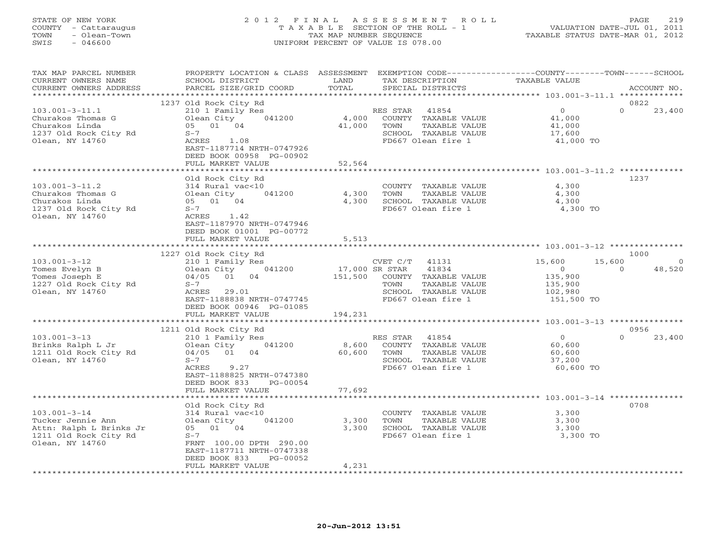# STATE OF NEW YORK 2 0 1 2 F I N A L A S S E S S M E N T R O L L PAGE 219 COUNTY - Cattaraugus T A X A B L E SECTION OF THE ROLL - 1 VALUATION DATE-JUL 01, 2011 TOWN - Olean-Town TAX MAP NUMBER SEQUENCE TAXABLE STATUS DATE-MAR 01, 2012 SWIS - 046600 UNIFORM PERCENT OF VALUE IS 078.00UNIFORM PERCENT OF VALUE IS 078.00

| TAX MAP PARCEL NUMBER<br>CURRENT OWNERS NAME<br>CURRENT OWNERS ADDRESS | PROPERTY LOCATION & CLASS ASSESSMENT<br>SCHOOL DISTRICT<br>PARCEL SIZE/GRID COORD | LAND<br>TOTAL  | TAX DESCRIPTION<br>SPECIAL DISTRICTS                                | EXEMPTION CODE-----------------COUNTY-------TOWN------SCHOOL<br>TAXABLE VALUE | ACCOUNT NO.                |
|------------------------------------------------------------------------|-----------------------------------------------------------------------------------|----------------|---------------------------------------------------------------------|-------------------------------------------------------------------------------|----------------------------|
| *********************                                                  | ***************************                                                       |                |                                                                     |                                                                               |                            |
| $103.001 - 3 - 11.1$<br>Churakos Thomas G                              | 1237 Old Rock City Rd<br>210 1 Family Res<br>Olean City<br>041200                 | 4,000          | RES STAR<br>41854<br>COUNTY TAXABLE VALUE                           | $0 \qquad \qquad$<br>41,000                                                   | 0822<br>$\Omega$<br>23,400 |
| Churakos Linda<br>1237 Old Rock City Rd<br>Olean, NY 14760             | 05 01 04<br>$S-7$<br>ACRES 1.08                                                   | 41,000         | TOWN<br>TAXABLE VALUE<br>SCHOOL TAXABLE VALUE<br>FD667 Olean fire 1 | 41,000<br>17,600<br>41,000 TO                                                 |                            |
|                                                                        | EAST-1187714 NRTH-0747926<br>DEED BOOK 00958 PG-00902<br>FULL MARKET VALUE        | 52,564         |                                                                     |                                                                               |                            |
|                                                                        |                                                                                   |                |                                                                     |                                                                               |                            |
|                                                                        | Old Rock City Rd                                                                  |                |                                                                     |                                                                               | 1237                       |
| $103.001 - 3 - 11.2$                                                   | 314 Rural vac<10                                                                  |                | COUNTY TAXABLE VALUE                                                | 4,300                                                                         |                            |
| Churakos Thomas G                                                      | Olean City<br>041200                                                              | 4,300          | TOWN<br>TAXABLE VALUE                                               | 4,300                                                                         |                            |
| Churakos Linda                                                         | 05 01 04                                                                          | 4,300          | SCHOOL TAXABLE VALUE<br>FD667 Olean fire 1                          | 4,300<br>4,300 TO                                                             |                            |
| 1237 Old Rock City Rd<br>Olean, NY 14760                               | $S-7$<br>1.42<br>ACRES                                                            |                |                                                                     |                                                                               |                            |
|                                                                        | EAST-1187970 NRTH-0747946<br>DEED BOOK 01001 PG-00772                             |                |                                                                     |                                                                               |                            |
|                                                                        | FULL MARKET VALUE                                                                 | 5,513          |                                                                     |                                                                               |                            |
|                                                                        |                                                                                   |                |                                                                     |                                                                               | 1000                       |
| $103.001 - 3 - 12$                                                     | 1227 Old Rock City Rd<br>210 1 Family Res                                         |                | CVET $C/T$ 41131                                                    | 15,600<br>15,600                                                              | $\overline{0}$             |
| Tomes Evelyn B                                                         | Olean City<br>041200                                                              | 17,000 SR STAR | 41834                                                               | $\overline{0}$                                                                | 48,520<br>$\Omega$         |
| Tomes Joseph E                                                         | 04/05 01 04                                                                       | 151,500        | COUNTY TAXABLE VALUE                                                | 135,900                                                                       |                            |
| 1227 Old Rock City Rd                                                  | $S-7$                                                                             |                | TOWN<br>TAXABLE VALUE                                               | 135,900                                                                       |                            |
| Olean, NY 14760                                                        | ACRES 29.01                                                                       |                | SCHOOL TAXABLE VALUE                                                | 102,980                                                                       |                            |
|                                                                        | EAST-1188838 NRTH-0747745                                                         |                | FD667 Olean fire 1                                                  | 151,500 TO                                                                    |                            |
|                                                                        | DEED BOOK 00946 PG-01085                                                          |                |                                                                     |                                                                               |                            |
|                                                                        | FULL MARKET VALUE                                                                 | 194,231        |                                                                     |                                                                               |                            |
|                                                                        |                                                                                   |                |                                                                     |                                                                               |                            |
| $103.001 - 3 - 13$                                                     | 1211 Old Rock City Rd<br>210 1 Family Res                                         |                |                                                                     | $\overline{0}$                                                                | 0956<br>$\Omega$<br>23,400 |
| Brinks Ralph L Jr                                                      | Olean City 041200                                                                 | 8,600          | RES STAR 41854<br>COUNTY TAXABLE VALUE                              | 60,600                                                                        |                            |
| 1211 Old Rock City Rd                                                  | 04/05 01<br>04                                                                    | 60,600         | TAXABLE VALUE<br>TOWN                                               | 60,600                                                                        |                            |
| Olean, NY 14760                                                        | $S-7$                                                                             |                | SCHOOL TAXABLE VALUE                                                | 37,200                                                                        |                            |
|                                                                        | ACRES<br>9.27                                                                     |                | FD667 Olean fire 1                                                  | 60,600 TO                                                                     |                            |
|                                                                        | EAST-1188825 NRTH-0747380                                                         |                |                                                                     |                                                                               |                            |
|                                                                        | DEED BOOK 833<br>PG-00054                                                         |                |                                                                     |                                                                               |                            |
|                                                                        | FULL MARKET VALUE                                                                 | 77,692         |                                                                     |                                                                               |                            |
|                                                                        | * * * * * * * * * * * * * * * * * * *                                             |                |                                                                     |                                                                               |                            |
| $103.001 - 3 - 14$                                                     | Old Rock City Rd<br>314 Rural vac<10                                              |                |                                                                     | 3,300                                                                         | 0708                       |
| Tucker Jennie Ann                                                      | Olean City<br>041200                                                              | 3,300          | COUNTY TAXABLE VALUE<br>TOWN<br>TAXABLE VALUE                       | 3,300                                                                         |                            |
| Attn: Ralph L Brinks Jr                                                | 05 01 04                                                                          | 3,300          | SCHOOL TAXABLE VALUE                                                | 3,300                                                                         |                            |
| 1211 Old Rock City Rd                                                  | $S-7$                                                                             |                | FD667 Olean fire 1                                                  | 3,300 TO                                                                      |                            |
| Olean, NY 14760                                                        | FRNT 100.00 DPTH 290.00                                                           |                |                                                                     |                                                                               |                            |
|                                                                        | EAST-1187711 NRTH-0747338                                                         |                |                                                                     |                                                                               |                            |
|                                                                        | PG-00052<br>DEED BOOK 833                                                         |                |                                                                     |                                                                               |                            |
|                                                                        | FULL MARKET VALUE                                                                 | 4,231          |                                                                     |                                                                               |                            |
|                                                                        |                                                                                   |                |                                                                     |                                                                               |                            |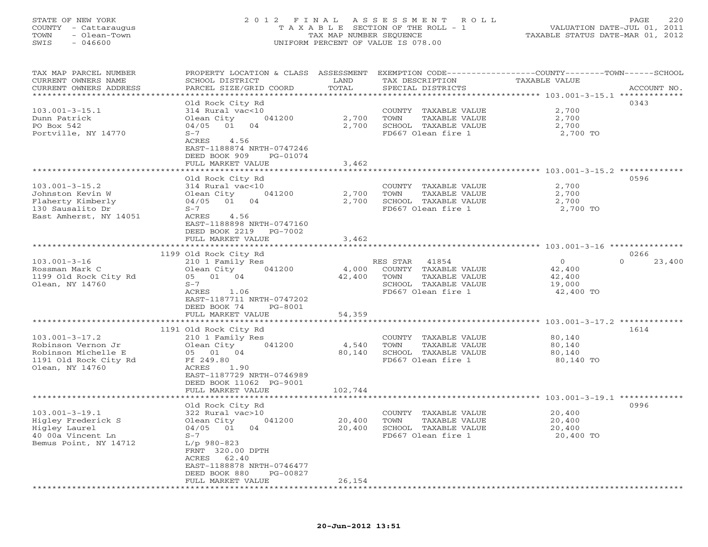# STATE OF NEW YORK 2 0 1 2 F I N A L A S S E S S M E N T R O L L PAGE 220 COUNTY - Cattaraugus T A X A B L E SECTION OF THE ROLL - 1 VALUATION DATE-JUL 01, 2011 TOWN - Olean-Town TAX MAP NUMBER SEQUENCE TAXABLE STATUS DATE-MAR 01, 2012 SWIS - 046600 UNIFORM PERCENT OF VALUE IS 078.00UNIFORM PERCENT OF VALUE IS 078.00

| TAX MAP PARCEL NUMBER<br>CURRENT OWNERS NAME | PROPERTY LOCATION & CLASS ASSESSMENT<br>SCHOOL DISTRICT | LAND              | TAX DESCRIPTION       | EXEMPTION CODE-----------------COUNTY-------TOWN------SCHOOL<br>TAXABLE VALUE |
|----------------------------------------------|---------------------------------------------------------|-------------------|-----------------------|-------------------------------------------------------------------------------|
| CURRENT OWNERS ADDRESS                       | PARCEL SIZE/GRID COORD                                  | TOTAL             | SPECIAL DISTRICTS     | ACCOUNT NO.                                                                   |
| *******************                          | *****************                                       | * * * * * * * * * |                       | ********************************* 103.001-3-15.1 *************                |
|                                              | Old Rock City Rd                                        |                   |                       | 0343                                                                          |
| $103.001 - 3 - 15.1$                         | 314 Rural vac<10                                        |                   |                       | 2,700                                                                         |
|                                              |                                                         |                   | COUNTY TAXABLE VALUE  |                                                                               |
| Dunn Patrick                                 | Olean City<br>041200                                    | 2,700             | TOWN<br>TAXABLE VALUE | 2,700                                                                         |
| PO Box 542                                   | 04/05<br>01<br>04                                       | 2,700             | SCHOOL TAXABLE VALUE  | 2,700                                                                         |
| Portville, NY 14770                          | $S-7$                                                   |                   | FD667 Olean fire 1    | 2,700 TO                                                                      |
|                                              | ACRES<br>4.56                                           |                   |                       |                                                                               |
|                                              | EAST-1188874 NRTH-0747246                               |                   |                       |                                                                               |
|                                              | DEED BOOK 909<br>PG-01074                               |                   |                       |                                                                               |
|                                              | FULL MARKET VALUE                                       | 3,462             |                       |                                                                               |
|                                              | *************************                               |                   |                       |                                                                               |
|                                              | Old Rock City Rd                                        |                   |                       | 0596                                                                          |
| $103.001 - 3 - 15.2$                         | 314 Rural vac<10                                        |                   | COUNTY TAXABLE VALUE  | 2,700                                                                         |
| Johnston Kevin W                             | Olean City<br>041200                                    | 2,700             | TOWN<br>TAXABLE VALUE | 2,700                                                                         |
| Flaherty Kimberly                            | $04/05$ 01<br>04                                        | 2,700             | SCHOOL TAXABLE VALUE  | 2,700                                                                         |
| 130 Sausalito Dr                             | $S-7$                                                   |                   | FD667 Olean fire 1    | 2,700 TO                                                                      |
| East Amherst, NY 14051                       | ACRES<br>4.56                                           |                   |                       |                                                                               |
|                                              | EAST-1188898 NRTH-0747160                               |                   |                       |                                                                               |
|                                              | DEED BOOK 2219<br>PG-7002                               |                   |                       |                                                                               |
|                                              | FULL MARKET VALUE                                       | 3,462             |                       |                                                                               |
|                                              | ******************                                      |                   |                       |                                                                               |
|                                              | 1199 Old Rock City Rd                                   |                   |                       | 0266                                                                          |
| $103.001 - 3 - 16$                           | 210 1 Family Res                                        |                   | 41854<br>RES STAR     | $\Omega$<br>$\circ$<br>23,400                                                 |
| Rossman Mark C                               | 041200<br>Olean City                                    | 4,000             | COUNTY TAXABLE VALUE  | 42,400                                                                        |
| 1199 Old Rock City Rd                        | 05 01 04                                                | 42,400            | TOWN<br>TAXABLE VALUE | 42,400                                                                        |
| Olean, NY 14760                              | $S-7$                                                   |                   | SCHOOL TAXABLE VALUE  | 19,000                                                                        |
|                                              | ACRES<br>1.06                                           |                   | FD667 Olean fire 1    | 42,400 TO                                                                     |
|                                              | EAST-1187711 NRTH-0747202                               |                   |                       |                                                                               |
|                                              |                                                         |                   |                       |                                                                               |
|                                              | DEED BOOK 74<br>PG-8001                                 |                   |                       |                                                                               |
|                                              | FULL MARKET VALUE                                       | 54,359            |                       |                                                                               |
|                                              |                                                         |                   |                       | ******** 103.001-3-17.2 *********                                             |
|                                              | 1191 Old Rock City Rd                                   |                   |                       | 1614                                                                          |
| $103.001 - 3 - 17.2$                         | 210 1 Family Res                                        |                   | COUNTY TAXABLE VALUE  | 80,140                                                                        |
| Robinson Vernon Jr                           | Olean City<br>041200                                    | 4,540             | TOWN<br>TAXABLE VALUE | 80,140                                                                        |
| Robinson Michelle E                          | 05 01<br>04                                             | 80,140            | SCHOOL TAXABLE VALUE  | 80,140                                                                        |
| 1191 Old Rock City Rd                        | Ff 249.80                                               |                   | FD667 Olean fire 1    | 80,140 TO                                                                     |
| Olean, NY 14760                              | ACRES<br>1.90                                           |                   |                       |                                                                               |
|                                              | EAST-1187729 NRTH-0746989                               |                   |                       |                                                                               |
|                                              | DEED BOOK 11062 PG-9001                                 |                   |                       |                                                                               |
|                                              | FULL MARKET VALUE                                       | 102,744           |                       |                                                                               |
|                                              |                                                         |                   |                       |                                                                               |
|                                              | Old Rock City Rd                                        |                   |                       | 0996                                                                          |
| $103.001 - 3 - 19.1$                         | 322 Rural vac>10                                        |                   | COUNTY TAXABLE VALUE  | 20,400                                                                        |
| Higley Frederick S                           | 041200<br>Olean City                                    | 20,400            | TAXABLE VALUE<br>TOWN | 20,400                                                                        |
| Higley Laurel                                | 04<br>04/05<br>01                                       | 20,400            | SCHOOL TAXABLE VALUE  | 20,400                                                                        |
| 40 00a Vincent Ln                            | $S-7$                                                   |                   | FD667 Olean fire 1    | 20,400 TO                                                                     |
| Bemus Point, NY 14712                        | $L/p$ 980-823                                           |                   |                       |                                                                               |
|                                              | FRNT 320.00 DPTH                                        |                   |                       |                                                                               |
|                                              | 62.40<br>ACRES                                          |                   |                       |                                                                               |
|                                              | EAST-1188878 NRTH-0746477                               |                   |                       |                                                                               |
|                                              | DEED BOOK 880<br>PG-00827                               |                   |                       |                                                                               |
|                                              | FULL MARKET VALUE                                       | 26,154            |                       |                                                                               |
|                                              |                                                         |                   |                       |                                                                               |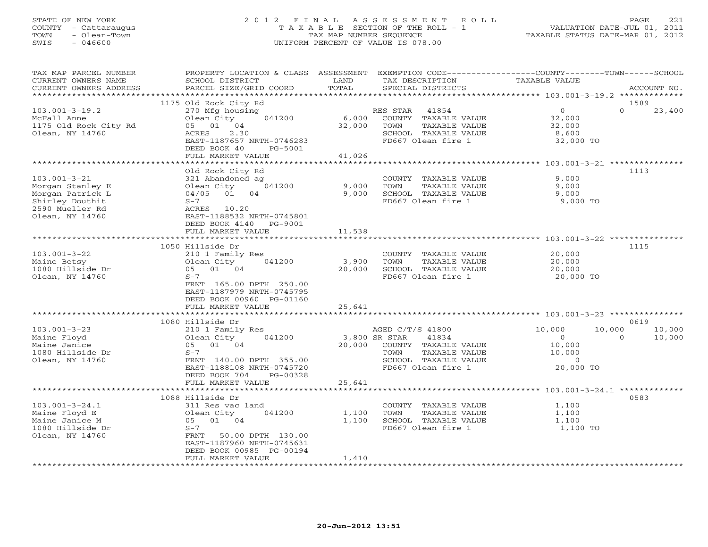# STATE OF NEW YORK 2 0 1 2 F I N A L A S S E S S M E N T R O L L PAGE 221 COUNTY - Cattaraugus T A X A B L E SECTION OF THE ROLL - 1 VALUATION DATE-JUL 01, 2011 TOWN - Olean-Town TAX MAP NUMBER SEQUENCE TAXABLE STATUS DATE-MAR 01, 2012 SWIS - 046600 UNIFORM PERCENT OF VALUE IS 078.00UNIFORM PERCENT OF VALUE IS 078.00

| TAX MAP PARCEL NUMBER  | PROPERTY LOCATION & CLASS ASSESSMENT |               | EXEMPTION CODE-----------------COUNTY-------TOWN------SCHOOL |                  |                    |
|------------------------|--------------------------------------|---------------|--------------------------------------------------------------|------------------|--------------------|
| CURRENT OWNERS NAME    | SCHOOL DISTRICT                      | LAND          | TAX DESCRIPTION                                              | TAXABLE VALUE    |                    |
| CURRENT OWNERS ADDRESS | PARCEL SIZE/GRID COORD               | TOTAL         | SPECIAL DISTRICTS                                            |                  | ACCOUNT NO.        |
|                        |                                      |               |                                                              |                  |                    |
|                        | 1175 Old Rock City Rd                |               |                                                              |                  | 1589               |
| $103.001 - 3 - 19.2$   | 270 Mfg housing                      |               | RES STAR 41854                                               | $\overline{0}$   | $\Omega$<br>23,400 |
| McFall Anne            | Olean City<br>041200                 | 6,000         | COUNTY TAXABLE VALUE                                         | 32,000           |                    |
| 1175 Old Rock City Rd  | 05 01 04                             | 32,000        | TOWN<br>TAXABLE VALUE                                        | 32,000           |                    |
|                        |                                      |               |                                                              |                  |                    |
| Olean, NY 14760        | 2.30<br>ACRES                        |               | SCHOOL TAXABLE VALUE                                         | 8,600            |                    |
|                        | EAST-1187657 NRTH-0746283            |               | FD667 Olean fire 1                                           | 32,000 TO        |                    |
|                        | DEED BOOK 40<br>PG-5001              |               |                                                              |                  |                    |
|                        | FULL MARKET VALUE                    | 41,026        |                                                              |                  |                    |
|                        |                                      |               |                                                              |                  |                    |
|                        | Old Rock City Rd                     |               |                                                              |                  | 1113               |
| $103.001 - 3 - 21$     | 321 Abandoned ag                     |               | COUNTY TAXABLE VALUE                                         | 9,000            |                    |
| Morgan Stanley E       | 041200<br>Olean City                 | 9,000         | TOWN<br>TAXABLE VALUE                                        | 9,000            |                    |
| Morgan Patrick L       | 04/05 01 04                          | 9,000         | SCHOOL TAXABLE VALUE                                         | 9,000            |                    |
| Shirley Douthit        | $S-7$                                |               | FD667 Olean fire 1                                           | 9,000 TO         |                    |
| 2590 Mueller Rd        | ACRES<br>10.20                       |               |                                                              |                  |                    |
|                        |                                      |               |                                                              |                  |                    |
| Olean, NY 14760        | EAST-1188532 NRTH-0745801            |               |                                                              |                  |                    |
|                        | DEED BOOK 4140 PG-9001               |               |                                                              |                  |                    |
|                        | FULL MARKET VALUE                    | 11,538        |                                                              |                  |                    |
|                        |                                      |               |                                                              |                  |                    |
|                        | 1050 Hillside Dr                     |               |                                                              |                  | 1115               |
| $103.001 - 3 - 22$     | 210 1 Family Res                     |               | COUNTY TAXABLE VALUE                                         | 20,000           |                    |
| Maine Betsy            | 041200<br>Olean City                 | 3,900         | TOWN<br>TAXABLE VALUE                                        | 20,000           |                    |
| 1080 Hillside Dr       | 05 01 04                             | 20,000        | SCHOOL TAXABLE VALUE                                         | 20,000           |                    |
| Olean, NY 14760        | $S-7$                                |               | FD667 Olean fire 1                                           | 20,000 TO        |                    |
|                        | FRNT 165.00 DPTH 250.00              |               |                                                              |                  |                    |
|                        | EAST-1187979 NRTH-0745795            |               |                                                              |                  |                    |
|                        | DEED BOOK 00960 PG-01160             |               |                                                              |                  |                    |
|                        | FULL MARKET VALUE                    | 25,641        |                                                              |                  |                    |
|                        |                                      |               |                                                              |                  |                    |
|                        |                                      |               |                                                              |                  |                    |
|                        | 1080 Hillside Dr                     |               |                                                              |                  | 0619               |
| $103.001 - 3 - 23$     | 210 1 Family Res                     |               | AGED C/T/S 41800                                             | 10,000<br>10,000 | 10,000             |
| Maine Floyd            | 041200<br>Olean City                 | 3,800 SR STAR | 41834                                                        | $\overline{0}$   | $\Omega$<br>10,000 |
| Maine Janice           | 05 01 04                             |               | 20,000 COUNTY TAXABLE VALUE                                  | 10,000           |                    |
| 1080 Hillside Dr       | $S-7$                                |               | TAXABLE VALUE<br>TOWN                                        | 10,000           |                    |
| Olean, NY 14760        | FRNT 140.00 DPTH 355.00              |               | SCHOOL TAXABLE VALUE                                         | $\sim$ 0         |                    |
|                        | EAST-1188108 NRTH-0745720            |               | FD667 Olean fire 1                                           | 20,000 TO        |                    |
|                        | DEED BOOK 704<br>PG-00328            |               |                                                              |                  |                    |
|                        | FULL MARKET VALUE                    | 25,641        |                                                              |                  |                    |
|                        | *************************            |               |                                                              |                  |                    |
|                        | 1088 Hillside Dr                     |               |                                                              |                  | 0583               |
| $103.001 - 3 - 24.1$   | 311 Res vac land                     |               | COUNTY TAXABLE VALUE                                         | 1,100            |                    |
|                        |                                      |               |                                                              |                  |                    |
| Maine Floyd E          | Olean City<br>041200                 | 1,100         | TAXABLE VALUE<br>TOWN                                        | 1,100            |                    |
| Maine Janice M         | 05 01 04                             | 1,100         | SCHOOL TAXABLE VALUE                                         | 1,100            |                    |
| 1080 Hillside Dr       | $S-7$                                |               | FD667 Olean fire 1                                           | 1,100 TO         |                    |
| Olean, NY 14760        | FRNT<br>50.00 DPTH 130.00            |               |                                                              |                  |                    |
|                        | EAST-1187960 NRTH-0745631            |               |                                                              |                  |                    |
|                        | DEED BOOK 00985 PG-00194             |               |                                                              |                  |                    |
|                        | FULL MARKET VALUE                    | 1,410         |                                                              |                  |                    |
|                        | ******************                   |               |                                                              |                  |                    |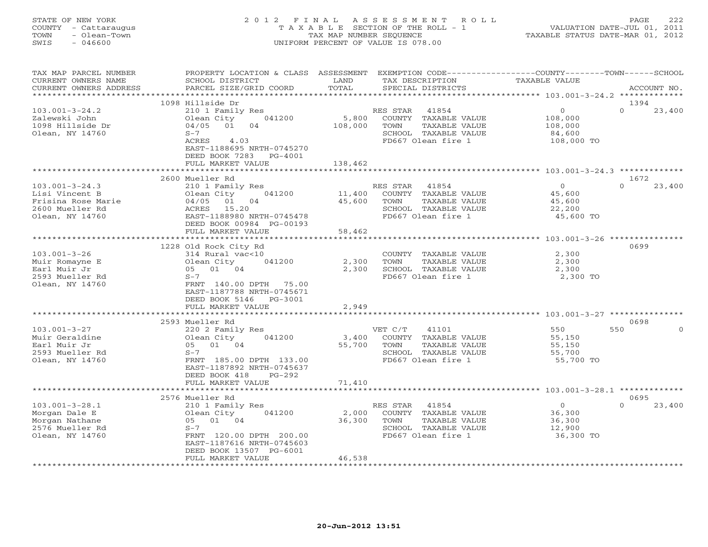# STATE OF NEW YORK 2 0 1 2 F I N A L A S S E S S M E N T R O L L PAGE 222 COUNTY - Cattaraugus T A X A B L E SECTION OF THE ROLL - 1 VALUATION DATE-JUL 01, 2011 TOWN - Olean-Town TAX MAP NUMBER SEQUENCE TAXABLE STATUS DATE-MAR 01, 2012 SWIS - 046600 UNIFORM PERCENT OF VALUE IS 078.00UNIFORM PERCENT OF VALUE IS 078.00

| TAX MAP PARCEL NUMBER  | PROPERTY LOCATION & CLASS ASSESSMENT |         | EXEMPTION CODE-----------------COUNTY-------TOWN------SCHOOL |                |                    |
|------------------------|--------------------------------------|---------|--------------------------------------------------------------|----------------|--------------------|
| CURRENT OWNERS NAME    | SCHOOL DISTRICT                      | LAND    | TAX DESCRIPTION                                              | TAXABLE VALUE  |                    |
| CURRENT OWNERS ADDRESS | PARCEL SIZE/GRID COORD               | TOTAL   | SPECIAL DISTRICTS                                            |                | ACCOUNT NO.        |
|                        |                                      |         |                                                              |                |                    |
|                        | 1098 Hillside Dr                     |         |                                                              |                | 1394               |
| $103.001 - 3 - 24.2$   | 210 1 Family Res                     |         | RES STAR 41854                                               | $\overline{O}$ | $\Omega$<br>23,400 |
| Zalewski John          | 041200<br>Olean City                 | 5,800   | COUNTY TAXABLE VALUE                                         | 108,000        |                    |
| 1098 Hillside Dr       | 04/05 01<br>04                       | 108,000 | TOWN<br>TAXABLE VALUE                                        | 108,000        |                    |
| Olean, NY 14760        | $S-7$                                |         | SCHOOL TAXABLE VALUE                                         | 84,600         |                    |
|                        | ACRES<br>4.03                        |         | FD667 Olean fire 1                                           | 108,000 TO     |                    |
|                        | EAST-1188695 NRTH-0745270            |         |                                                              |                |                    |
|                        | DEED BOOK 7283 PG-4001               |         |                                                              |                |                    |
|                        | FULL MARKET VALUE                    | 138,462 |                                                              |                |                    |
|                        | ************************             |         |                                                              |                |                    |
|                        | 2600 Mueller Rd                      |         |                                                              |                | 1672               |
| $103.001 - 3 - 24.3$   | 210 1 Family Res                     |         | RES STAR 41854                                               | $\overline{O}$ | $\Omega$<br>23,400 |
| Lisi Vincent B         | 041200<br>Olean City                 | 11,400  | COUNTY TAXABLE VALUE                                         | 45,600         |                    |
| Frisina Rose Marie     | 04/05 01 04                          | 45,600  | TOWN<br>TAXABLE VALUE                                        | 45,600         |                    |
| 2600 Mueller Rd        | ACRES 15.20                          |         | SCHOOL TAXABLE VALUE                                         | 22,200         |                    |
|                        |                                      |         |                                                              |                |                    |
| Olean, NY 14760        | EAST-1188980 NRTH-0745478            |         | FD667 Olean fire 1                                           | 45,600 TO      |                    |
|                        | DEED BOOK 00984 PG-00193             |         |                                                              |                |                    |
|                        | FULL MARKET VALUE                    | 58,462  |                                                              |                |                    |
|                        |                                      |         |                                                              |                |                    |
|                        | 1228 Old Rock City Rd                |         |                                                              |                | 0699               |
| $103.001 - 3 - 26$     | 314 Rural vac<10                     |         | COUNTY TAXABLE VALUE                                         | 2,300          |                    |
| Muir Romayne E         | 041200<br>Olean City                 | 2,300   | TOWN<br>TAXABLE VALUE                                        | 2,300          |                    |
| Earl Muir Jr           | 05 01 04                             | 2,300   | SCHOOL TAXABLE VALUE                                         | 2,300          |                    |
| 2593 Mueller Rd        | $S-7$                                |         | FD667 Olean fire 1                                           | 2,300 TO       |                    |
| Olean, NY 14760        | FRNT 140.00 DPTH 75.00               |         |                                                              |                |                    |
|                        | EAST-1187788 NRTH-0745671            |         |                                                              |                |                    |
|                        | DEED BOOK 5146 PG-3001               |         |                                                              |                |                    |
|                        | FULL MARKET VALUE                    | 2,949   |                                                              |                |                    |
|                        |                                      |         |                                                              |                |                    |
|                        | 2593 Mueller Rd                      |         |                                                              |                | 0698               |
| $103.001 - 3 - 27$     | 220 2 Family Res                     |         | VET C/T<br>41101                                             | 550            | 550<br>$\Omega$    |
| Muir Geraldine         | 041200<br>Olean City                 | 3,400   | COUNTY TAXABLE VALUE                                         | 55,150         |                    |
| Earl Muir Jr           | 05 01 04                             | 55,700  | TAXABLE VALUE<br>TOWN                                        | 55,150         |                    |
| 2593 Mueller Rd        | $S-7$                                |         | SCHOOL TAXABLE VALUE                                         | 55,700         |                    |
| Olean, NY 14760        | FRNT 185.00 DPTH 133.00              |         | FD667 Olean fire 1                                           | 55,700 TO      |                    |
|                        | EAST-1187892 NRTH-0745637            |         |                                                              |                |                    |
|                        | DEED BOOK 418<br>$PG-292$            |         |                                                              |                |                    |
|                        | FULL MARKET VALUE                    | 71,410  |                                                              |                |                    |
|                        |                                      |         |                                                              |                |                    |
|                        | 2576 Mueller Rd                      |         |                                                              |                | 0695               |
| $103.001 - 3 - 28.1$   | 210 1 Family Res                     |         | RES STAR<br>41854                                            | $\overline{O}$ | $\Omega$<br>23,400 |
| Morgan Dale E          | Olean City<br>041200                 | 2,000   | COUNTY TAXABLE VALUE                                         | 36,300         |                    |
| Morgan Nathane         | 05 01 04                             | 36,300  | TOWN<br>TAXABLE VALUE                                        | 36,300         |                    |
| 2576 Mueller Rd        | $S-7$                                |         | SCHOOL TAXABLE VALUE                                         | 12,900         |                    |
| Olean, NY 14760        | FRNT 120.00 DPTH 200.00              |         | FD667 Olean fire 1                                           | 36,300 TO      |                    |
|                        | EAST-1187616 NRTH-0745603            |         |                                                              |                |                    |
|                        | DEED BOOK 13507 PG-6001              |         |                                                              |                |                    |
|                        | FULL MARKET VALUE                    | 46,538  |                                                              |                |                    |
|                        |                                      |         |                                                              |                |                    |
|                        |                                      |         |                                                              |                |                    |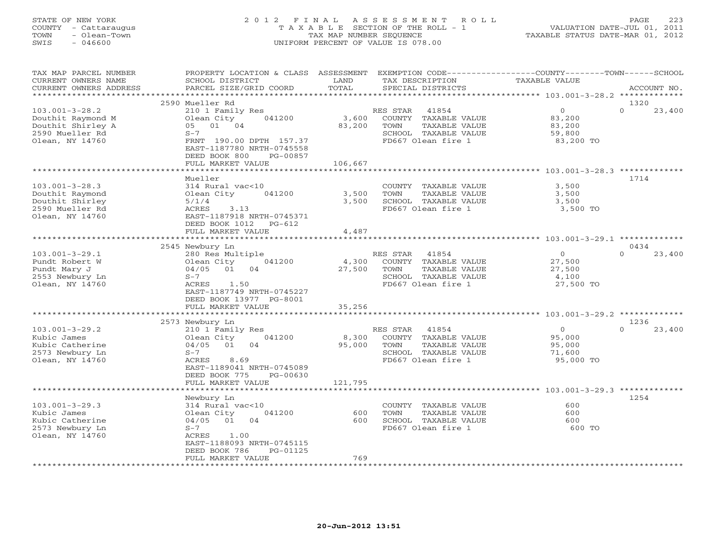# STATE OF NEW YORK 2 0 1 2 F I N A L A S S E S S M E N T R O L L PAGE 223 COUNTY - Cattaraugus T A X A B L E SECTION OF THE ROLL - 1 VALUATION DATE-JUL 01, 2011 TOWN - Olean-Town TAX MAP NUMBER SEQUENCE TAXABLE STATUS DATE-MAR 01, 2012 SWIS - 046600 UNIFORM PERCENT OF VALUE IS 078.00UNIFORM PERCENT OF VALUE IS 078.00

| TAX MAP PARCEL NUMBER  | PROPERTY LOCATION & CLASS ASSESSMENT |         |                                    | EXEMPTION CODE-----------------COUNTY-------TOWN------SCHOOL |  |
|------------------------|--------------------------------------|---------|------------------------------------|--------------------------------------------------------------|--|
| CURRENT OWNERS NAME    | SCHOOL DISTRICT                      | LAND    | TAX DESCRIPTION                    | TAXABLE VALUE                                                |  |
| CURRENT OWNERS ADDRESS | PARCEL SIZE/GRID COORD               | TOTAL   | SPECIAL DISTRICTS                  | ACCOUNT NO.                                                  |  |
| ******************     |                                      |         |                                    |                                                              |  |
|                        | 2590 Mueller Rd                      |         |                                    | 1320                                                         |  |
| $103.001 - 3 - 28.2$   | 210 1 Family Res                     |         | RES STAR<br>41854                  | $\Omega$<br>$\Omega$<br>23,400                               |  |
| Douthit Raymond M      | 041200<br>Olean City                 | 3,600   | COUNTY TAXABLE VALUE               | 83,200                                                       |  |
| Douthit Shirley A      | 05 01 04                             | 83,200  | TAXABLE VALUE<br>TOWN              | 83,200                                                       |  |
| 2590 Mueller Rd        | $S-7$                                |         | SCHOOL TAXABLE VALUE               | 59,800                                                       |  |
| Olean, NY 14760        | FRNT 190.00 DPTH 157.37              |         | FD667 Olean fire 1                 | 83,200 TO                                                    |  |
|                        | EAST-1187780 NRTH-0745558            |         |                                    |                                                              |  |
|                        | DEED BOOK 800<br>PG-00857            |         |                                    |                                                              |  |
|                        | FULL MARKET VALUE                    | 106,667 |                                    |                                                              |  |
|                        | ************************             |         |                                    |                                                              |  |
|                        | Mueller                              |         |                                    | 1714                                                         |  |
| $103.001 - 3 - 28.3$   | 314 Rural vac<10                     |         | COUNTY TAXABLE VALUE               | 3,500                                                        |  |
| Douthit Raymond        | 041200<br>Olean City                 | 3,500   | TAXABLE VALUE<br>TOWN              | 3,500                                                        |  |
| Douthit Shirley        | 5/1/4                                | 3,500   | SCHOOL TAXABLE VALUE               | 3,500                                                        |  |
| 2590 Mueller Rd        | ACRES<br>3.13                        |         | FD667 Olean fire 1                 | 3,500 TO                                                     |  |
| Olean, NY 14760        | EAST-1187918 NRTH-0745371            |         |                                    |                                                              |  |
|                        | DEED BOOK 1012<br>PG-612             |         |                                    |                                                              |  |
|                        | FULL MARKET VALUE                    | 4,487   |                                    |                                                              |  |
|                        |                                      |         |                                    |                                                              |  |
|                        | 2545 Newbury Ln                      |         |                                    | 0434                                                         |  |
| $103.001 - 3 - 29.1$   | 280 Res Multiple                     |         | RES STAR 41854                     | $\overline{0}$<br>$\Omega$<br>23,400                         |  |
| Pundt Robert W         | 041200<br>Olean City                 | 4,300   | COUNTY TAXABLE VALUE               | 27,500                                                       |  |
| Pundt Mary J           | 04/05 01<br>04                       | 27,500  | TAXABLE VALUE<br>TOWN              | 27,500                                                       |  |
| 2553 Newbury Ln        | $S-7$                                |         | SCHOOL TAXABLE VALUE               | 4,100                                                        |  |
| Olean, NY 14760        | ACRES<br>1.50                        |         | FD667 Olean fire 1                 | 27,500 TO                                                    |  |
|                        | EAST-1187749 NRTH-0745227            |         |                                    |                                                              |  |
|                        | DEED BOOK 13977 PG-8001              |         |                                    |                                                              |  |
|                        | FULL MARKET VALUE                    | 35,256  |                                    |                                                              |  |
|                        |                                      |         |                                    |                                                              |  |
|                        | 2573 Newbury Ln                      |         |                                    | 1236                                                         |  |
| $103.001 - 3 - 29.2$   | 210 1 Family Res                     |         | RES STAR<br>41854                  | 23,400<br>$\overline{0}$<br>$\Omega$                         |  |
| Kubic James            | 041200<br>Olean City                 | 8,300   | COUNTY TAXABLE VALUE               | 95,000                                                       |  |
| Kubic Catherine        | 04/05 01<br>04                       | 95,000  | TOWN<br>TAXABLE VALUE              | 95,000                                                       |  |
| 2573 Newbury Ln        | $S-7$                                |         | SCHOOL TAXABLE VALUE               | 71,600                                                       |  |
| Olean, NY 14760        | 8.69<br>ACRES                        |         | FD667 Olean fire 1                 | 95,000 TO                                                    |  |
|                        | EAST-1189041 NRTH-0745089            |         |                                    |                                                              |  |
|                        | DEED BOOK 775<br>PG-00630            |         |                                    |                                                              |  |
|                        | FULL MARKET VALUE                    | 121,795 |                                    |                                                              |  |
|                        |                                      |         |                                    |                                                              |  |
|                        | Newbury Ln                           |         |                                    | 1254                                                         |  |
| $103.001 - 3 - 29.3$   | 314 Rural vac<10                     |         | COUNTY TAXABLE VALUE               | 600                                                          |  |
| Kubic James            | 041200<br>Olean City                 | 600     | TAXABLE VALUE<br>TOWN              | 600                                                          |  |
| Kubic Catherine        | 04/05 01<br>04                       | 600     | SCHOOL TAXABLE VALUE               | 600                                                          |  |
| 2573 Newbury Ln        | $S-7$                                |         | FD667 Olean fire 1                 | 600 TO                                                       |  |
| Olean, NY 14760        | 1.00<br>ACRES                        |         |                                    |                                                              |  |
|                        | EAST-1188093 NRTH-0745115            |         |                                    |                                                              |  |
|                        | DEED BOOK 786<br>PG-01125            |         |                                    |                                                              |  |
|                        | FULL MARKET VALUE                    | 769     |                                    |                                                              |  |
|                        |                                      |         | ********************************** |                                                              |  |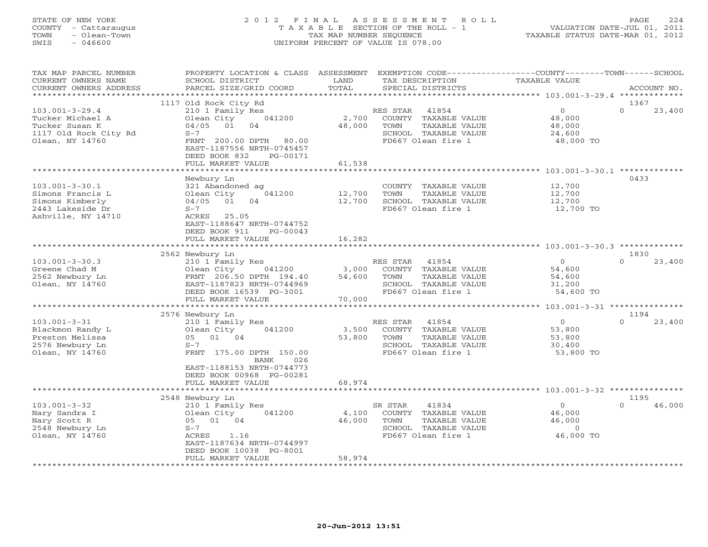# STATE OF NEW YORK 2 0 1 2 F I N A L A S S E S S M E N T R O L L PAGE 224 COUNTY - Cattaraugus T A X A B L E SECTION OF THE ROLL - 1 VALUATION DATE-JUL 01, 2011 TOWN - Olean-Town TAX MAP NUMBER SEQUENCE TAXABLE STATUS DATE-MAR 01, 2012 SWIS - 046600 UNIFORM PERCENT OF VALUE IS 078.00UNIFORM PERCENT OF VALUE IS 078.00

| TAX MAP PARCEL NUMBER<br>CURRENT OWNERS NAME                                                           | PROPERTY LOCATION & CLASS ASSESSMENT<br>SCHOOL DISTRICT                                                                                                                            | LAND<br>TOTAL             | TAX DESCRIPTION                                                                                                  | EXEMPTION CODE-----------------COUNTY-------TOWN------SCHOOL<br><b>TAXABLE VALUE</b> |                    |
|--------------------------------------------------------------------------------------------------------|------------------------------------------------------------------------------------------------------------------------------------------------------------------------------------|---------------------------|------------------------------------------------------------------------------------------------------------------|--------------------------------------------------------------------------------------|--------------------|
| CURRENT OWNERS ADDRESS<br>*********************                                                        | PARCEL SIZE/GRID COORD                                                                                                                                                             |                           | SPECIAL DISTRICTS                                                                                                |                                                                                      | ACCOUNT NO.        |
|                                                                                                        | 1117 Old Rock City Rd                                                                                                                                                              |                           |                                                                                                                  |                                                                                      | 1367               |
| $103.001 - 3 - 29.4$<br>Tucker Michael A<br>Tucker Susan K<br>1117 Old Rock City Rd<br>Olean, NY 14760 | 210 1 Family Res<br>Olean City<br>041200<br>04/05<br>01<br>04<br>$S-7$<br>FRNT 200.00 DPTH<br>80.00<br>EAST-1187556 NRTH-0745457<br>DEED BOOK 832<br>PG-00171<br>FULL MARKET VALUE | 2,700<br>48,000<br>61,538 | RES STAR<br>41854<br>COUNTY TAXABLE VALUE<br>TOWN<br>TAXABLE VALUE<br>SCHOOL TAXABLE VALUE<br>FD667 Olean fire 1 | $\circ$<br>48,000<br>48,000<br>24,600<br>48,000 TO                                   | $\Omega$<br>23,400 |
|                                                                                                        |                                                                                                                                                                                    | ***********               |                                                                                                                  | ********************** 103.001-3-30.1 *************                                  |                    |
| $103.001 - 3 - 30.1$<br>Simons Francis L<br>Simons Kimberly<br>2443 Lakeside Dr<br>Ashville, NY 14710  | Newbury Ln<br>321 Abandoned ag<br>041200<br>Olean City<br>04/05<br>01<br>04<br>$S-7$<br>ACRES<br>25.05<br>EAST-1188647 NRTH-0744752<br>DEED BOOK 911<br>$PG-00043$                 | 12,700<br>12,700          | COUNTY TAXABLE VALUE<br>TOWN<br>TAXABLE VALUE<br>SCHOOL TAXABLE VALUE<br>FD667 Olean fire 1                      | 12,700<br>12,700<br>12,700<br>12,700 TO                                              | 0433               |
|                                                                                                        | FULL MARKET VALUE<br>***************************                                                                                                                                   | 16,282                    |                                                                                                                  |                                                                                      |                    |
|                                                                                                        | 2562 Newbury Ln                                                                                                                                                                    |                           |                                                                                                                  |                                                                                      | 1830               |
| $103.001 - 3 - 30.3$                                                                                   | 210 1 Family Res                                                                                                                                                                   |                           | RES STAR<br>41854                                                                                                | $\overline{0}$                                                                       | $\Omega$<br>23,400 |
| Greene Chad M<br>2562 Newbury Ln<br>Olean, NY 14760                                                    | 041200<br>Olean City<br>FRNT 206.50 DPTH 194.40<br>EAST-1187823 NRTH-0744969<br>DEED BOOK 16539 PG-3001<br>FULL MARKET VALUE                                                       | 3,000<br>54,600<br>70,000 | COUNTY TAXABLE VALUE<br>TAXABLE VALUE<br>TOWN<br>SCHOOL TAXABLE VALUE<br>FD667 Olean fire 1                      | 54,600<br>54,600<br>31,200<br>54,600 TO                                              |                    |
|                                                                                                        | **************************                                                                                                                                                         |                           |                                                                                                                  |                                                                                      |                    |
|                                                                                                        | 2576 Newbury Ln                                                                                                                                                                    |                           |                                                                                                                  |                                                                                      | 1194               |
| $103.001 - 3 - 31$<br>Blackmon Randy L<br>Preston Melissa<br>2576 Newbury Ln<br>Olean, NY 14760        | 210 1 Family Res<br>041200<br>Olean City<br>05 01 04<br>$S-7$<br>FRNT 175.00 DPTH 150.00<br>BANK<br>026<br>EAST-1188153 NRTH-0744773<br>DEED BOOK 00968 PG-00281                   | 3,500<br>53,800           | RES STAR<br>41854<br>COUNTY TAXABLE VALUE<br>TOWN<br>TAXABLE VALUE<br>SCHOOL TAXABLE VALUE<br>FD667 Olean fire 1 | $\circ$<br>53,800<br>53,800<br>30,400<br>53,800 TO                                   | $\cap$<br>23,400   |
|                                                                                                        | FULL MARKET VALUE                                                                                                                                                                  | 68,974                    |                                                                                                                  |                                                                                      |                    |
|                                                                                                        | **********************<br>2548 Newbury Ln                                                                                                                                          |                           |                                                                                                                  |                                                                                      | 1195               |
| $103.001 - 3 - 32$<br>Nary Sandra I<br>Nary Scott R<br>2548 Newbury Ln<br>Olean, NY 14760              | 210 1 Family Res<br>Olean City<br>041200<br>05 01 04<br>$S-7$<br>1.16<br>ACRES<br>EAST-1187634 NRTH-0744997                                                                        | 4,100<br>46,000           | 41834<br>SR STAR<br>COUNTY TAXABLE VALUE<br>TOWN<br>TAXABLE VALUE<br>SCHOOL TAXABLE VALUE<br>FD667 Olean fire 1  | $\circ$<br>46,000<br>46,000<br>$\circ$<br>46,000 TO                                  | $\Omega$<br>46,000 |
|                                                                                                        | DEED BOOK 10038 PG-8001<br>FULL MARKET VALUE                                                                                                                                       | 58,974                    |                                                                                                                  |                                                                                      |                    |
|                                                                                                        |                                                                                                                                                                                    |                           |                                                                                                                  |                                                                                      |                    |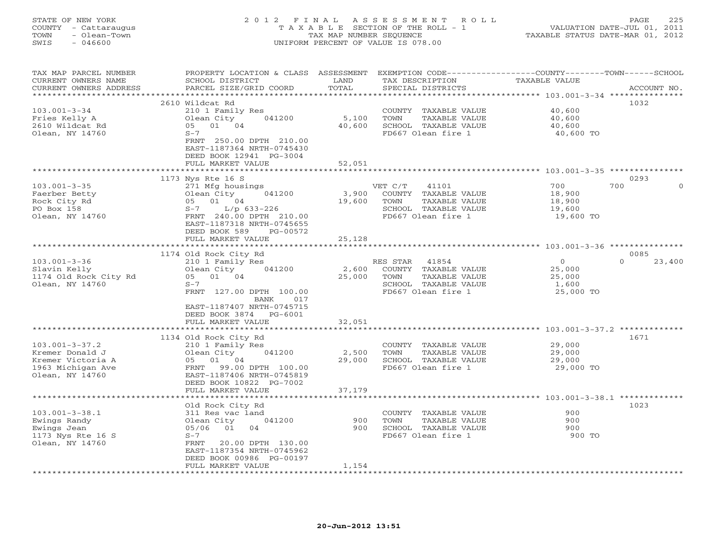# STATE OF NEW YORK 2 0 1 2 F I N A L A S S E S S M E N T R O L L PAGE 225 COUNTY - Cattaraugus T A X A B L E SECTION OF THE ROLL - 1 VALUATION DATE-JUL 01, 2011 TOWN - Olean-Town TAX MAP NUMBER SEQUENCE TAXABLE STATUS DATE-MAR 01, 2012 SWIS - 046600 UNIFORM PERCENT OF VALUE IS 078.00UNIFORM PERCENT OF VALUE IS 078.00

| TAX MAP PARCEL NUMBER<br>CURRENT OWNERS NAME    | PROPERTY LOCATION & CLASS ASSESSMENT<br>SCHOOL DISTRICT  | LAND<br>TOTAL   | EXEMPTION CODE----------------COUNTY-------TOWN-----SCHOOL<br>TAX DESCRIPTION | TAXABLE VALUE    |                  |
|-------------------------------------------------|----------------------------------------------------------|-----------------|-------------------------------------------------------------------------------|------------------|------------------|
| CURRENT OWNERS ADDRESS<br>********************* | PARCEL SIZE/GRID COORD<br>****************************** |                 | SPECIAL DISTRICTS                                                             |                  | ACCOUNT NO.      |
|                                                 | 2610 Wildcat Rd                                          |                 |                                                                               |                  | 1032             |
| $103.001 - 3 - 34$                              | 210 1 Family Res                                         |                 | COUNTY TAXABLE VALUE                                                          | 40,600           |                  |
| Fries Kelly A                                   | Olean City<br>041200                                     | 5,100           | TOWN<br>TAXABLE VALUE                                                         | 40,600           |                  |
| 2610 Wildcat Rd                                 | 05 01 04                                                 | 40,600          | SCHOOL TAXABLE VALUE                                                          | 40,600           |                  |
| Olean, NY 14760                                 | $S-7$                                                    |                 | FD667 Olean fire 1                                                            | 40,600 TO        |                  |
|                                                 | FRNT 250.00 DPTH 210.00                                  |                 |                                                                               |                  |                  |
|                                                 | EAST-1187364 NRTH-0745430                                |                 |                                                                               |                  |                  |
|                                                 | DEED BOOK 12941 PG-3004                                  |                 |                                                                               |                  |                  |
|                                                 | FULL MARKET VALUE                                        | 52,051          |                                                                               |                  |                  |
|                                                 |                                                          |                 |                                                                               |                  |                  |
|                                                 | 1173 Nys Rte 16 S                                        |                 |                                                                               |                  | 0293             |
| $103.001 - 3 - 35$                              | 271 Mfg housings                                         |                 | VET C/T<br>41101                                                              | 700              | 700<br>$\Omega$  |
| Faerber Betty                                   | 041200<br>Olean City                                     | 3,900           | COUNTY TAXABLE VALUE                                                          | 18,900           |                  |
| Rock City Rd                                    | 05 01 04                                                 | 19,600          | TOWN<br>TAXABLE VALUE                                                         | 18,900           |                  |
| PO Box 158                                      | $S-7$<br>$L/p$ 633-226                                   |                 | SCHOOL TAXABLE VALUE                                                          | 19,600           |                  |
| Olean, NY 14760                                 | FRNT 240.00 DPTH 210.00                                  |                 | FD667 Olean fire 1                                                            | 19,600 TO        |                  |
|                                                 | EAST-1187318 NRTH-0745655                                |                 |                                                                               |                  |                  |
|                                                 | DEED BOOK 589<br>PG-00572                                |                 |                                                                               |                  |                  |
|                                                 | FULL MARKET VALUE                                        | 25,128          |                                                                               |                  |                  |
|                                                 | 1174 Old Rock City Rd                                    |                 |                                                                               |                  | 0085             |
| $103.001 - 3 - 36$                              | 210 1 Family Res                                         |                 | RES STAR 41854                                                                | $\Omega$         | 23,400<br>$\cap$ |
| Slavin Kelly                                    | Olean City<br>041200                                     | 2,600           | COUNTY TAXABLE VALUE                                                          | 25,000           |                  |
| 1174 Old Rock City Rd                           | 05 01 04                                                 | 25,000          | TOWN<br>TAXABLE VALUE                                                         | 25,000           |                  |
| Olean, NY 14760                                 | $S-7$                                                    |                 | SCHOOL TAXABLE VALUE                                                          | 1,600            |                  |
|                                                 | FRNT 127.00 DPTH 100.00                                  |                 | FD667 Olean fire 1                                                            | 25,000 TO        |                  |
|                                                 | BANK<br>017                                              |                 |                                                                               |                  |                  |
|                                                 | EAST-1187407 NRTH-0745715                                |                 |                                                                               |                  |                  |
|                                                 | DEED BOOK 3874 PG-6001                                   |                 |                                                                               |                  |                  |
|                                                 | FULL MARKET VALUE                                        | 32,051          |                                                                               |                  |                  |
|                                                 | *******************                                      |                 |                                                                               |                  |                  |
|                                                 | 1134 Old Rock City Rd                                    |                 |                                                                               |                  | 1671             |
| $103.001 - 3 - 37.2$                            | 210 1 Family Res<br>041200                               |                 | COUNTY TAXABLE VALUE<br>TOWN                                                  | 29,000<br>29,000 |                  |
| Kremer Donald J<br>Kremer Victoria A            | Olean City<br>05 01 04                                   | 2,500<br>29,000 | TAXABLE VALUE<br>SCHOOL TAXABLE VALUE                                         | 29,000           |                  |
| 1963 Michigan Ave                               | FRNT 99.00 DPTH 100.00                                   |                 | FD667 Olean fire 1                                                            | 29,000 TO        |                  |
| Olean, NY 14760                                 | EAST-1187406 NRTH-0745819                                |                 |                                                                               |                  |                  |
|                                                 | DEED BOOK 10822 PG-7002                                  |                 |                                                                               |                  |                  |
|                                                 | FULL MARKET VALUE                                        | 37,179          |                                                                               |                  |                  |
|                                                 |                                                          |                 |                                                                               |                  |                  |
|                                                 | Old Rock City Rd                                         |                 |                                                                               |                  | 1023             |
| $103.001 - 3 - 38.1$                            | 311 Res vac land                                         |                 | COUNTY TAXABLE VALUE                                                          | 900              |                  |
| Ewings Randy                                    | Olean City<br>041200                                     | 900             | TOWN<br>TAXABLE VALUE                                                         | 900              |                  |
| Ewings Jean                                     | 01<br>05/06<br>04                                        | 900             | SCHOOL TAXABLE VALUE                                                          | 900              |                  |
| 1173 Nys Rte 16 S                               | $S-7$                                                    |                 | FD667 Olean fire 1                                                            | 900 TO           |                  |
| Olean, NY 14760                                 | 20.00 DPTH 130.00<br>FRNT                                |                 |                                                                               |                  |                  |
|                                                 | EAST-1187354 NRTH-0745962                                |                 |                                                                               |                  |                  |
|                                                 | DEED BOOK 00986 PG-00197                                 | 1,154           |                                                                               |                  |                  |
|                                                 | FULL MARKET VALUE                                        |                 |                                                                               |                  |                  |
|                                                 |                                                          |                 |                                                                               |                  |                  |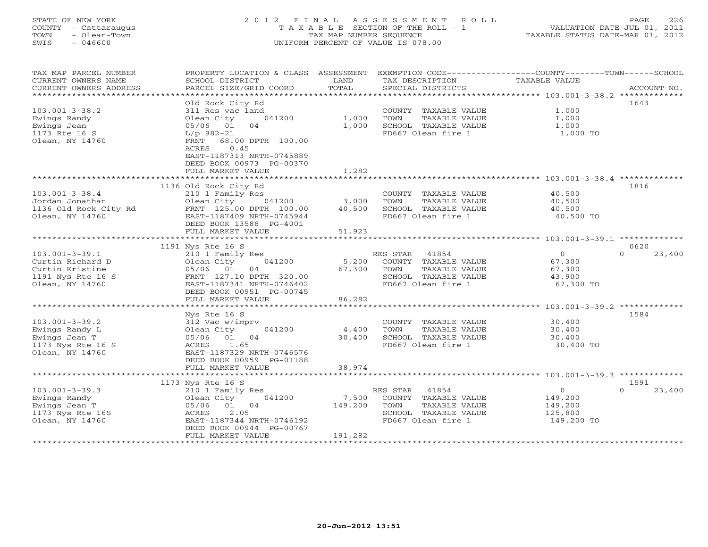# STATE OF NEW YORK 2 0 1 2 F I N A L A S S E S S M E N T R O L L PAGE 226 COUNTY - Cattaraugus T A X A B L E SECTION OF THE ROLL - 1 VALUATION DATE-JUL 01, 2011 TOWN - Olean-Town TAX MAP NUMBER SEQUENCE TAXABLE STATUS DATE-MAR 01, 2012 SWIS - 046600 UNIFORM PERCENT OF VALUE IS 078.00UNIFORM PERCENT OF VALUE IS 078.00

| TAX MAP PARCEL NUMBER<br>CURRENT OWNERS NAME<br>CURRENT OWNERS ADDRESS | PROPERTY LOCATION & CLASS ASSESSMENT<br>SCHOOL DISTRICT<br>PARCEL SIZE/GRID COORD | LAND<br>TOTAL          | TAX DESCRIPTION<br>SPECIAL DISTRICTS          | EXEMPTION CODE-----------------COUNTY-------TOWN------SCHOOL<br>TAXABLE VALUE | ACCOUNT NO.                |
|------------------------------------------------------------------------|-----------------------------------------------------------------------------------|------------------------|-----------------------------------------------|-------------------------------------------------------------------------------|----------------------------|
|                                                                        |                                                                                   |                        |                                               |                                                                               |                            |
|                                                                        | Old Rock City Rd                                                                  |                        |                                               |                                                                               | 1643                       |
| $103.001 - 3 - 38.2$                                                   | 311 Res vac land<br>041200<br>Olean City                                          | 1,000                  | COUNTY TAXABLE VALUE<br>TOWN<br>TAXABLE VALUE | 1,000<br>1,000                                                                |                            |
| Ewings Randy<br>Ewings Jean                                            | 04<br>05/06 01                                                                    | 1,000                  | SCHOOL TAXABLE VALUE                          | 1,000                                                                         |                            |
| 1173 Rte 16 S                                                          | $L/p$ 982-21                                                                      |                        | FD667 Olean fire 1                            | 1,000 TO                                                                      |                            |
| Olean, NY 14760                                                        | 68.00 DPTH 100.00<br>FRNT                                                         |                        |                                               |                                                                               |                            |
|                                                                        | 0.45<br>ACRES                                                                     |                        |                                               |                                                                               |                            |
|                                                                        | EAST-1187313 NRTH-0745889                                                         |                        |                                               |                                                                               |                            |
|                                                                        | DEED BOOK 00973 PG-00370                                                          |                        |                                               |                                                                               |                            |
|                                                                        | FULL MARKET VALUE<br>**************************                                   | 1,282                  |                                               |                                                                               |                            |
|                                                                        | 1136 Old Rock City Rd                                                             |                        |                                               |                                                                               | 1816                       |
| $103.001 - 3 - 38.4$                                                   | 210 1 Family Res                                                                  |                        | COUNTY TAXABLE VALUE                          | 40,500                                                                        |                            |
| Jordan Jonathan                                                        | Olean City<br>041200                                                              | 3,000                  | TOWN<br>TAXABLE VALUE                         | 40,500                                                                        |                            |
| 1136 Old Rock City Rd                                                  | FRNT 125.00 DPTH 100.00                                                           | 40,500                 | SCHOOL TAXABLE VALUE                          | 40,500                                                                        |                            |
| Olean, NY 14760                                                        | EAST-1187409 NRTH-0745944                                                         |                        | FD667 Olean fire 1                            | 40,500 TO                                                                     |                            |
|                                                                        | DEED BOOK 13588 PG-4001                                                           |                        |                                               |                                                                               |                            |
|                                                                        | FULL MARKET VALUE<br>***********************                                      | 51,923                 |                                               |                                                                               |                            |
|                                                                        |                                                                                   |                        |                                               | ************************************103.001-3-39.1 **************             |                            |
| $103.001 - 3 - 39.1$                                                   | 1191 Nys Rte 16 S<br>210 1 Family Res                                             |                        | RES STAR<br>41854                             | $\overline{0}$                                                                | 0620<br>23,400<br>$\Omega$ |
| Curtin Richard D                                                       | 041200<br>Olean City                                                              | 5,200                  | COUNTY TAXABLE VALUE                          | 67,300                                                                        |                            |
| Curtin Kristine                                                        | 05/06 01<br>04                                                                    | 67,300                 | TOWN<br>TAXABLE VALUE                         | 67,300                                                                        |                            |
| 1191 Nys Rte 16 S                                                      | FRNT 127.10 DPTH 320.00                                                           |                        | SCHOOL TAXABLE VALUE                          | 43,900                                                                        |                            |
| Olean, NY 14760                                                        | EAST-1187341 NRTH-0746402                                                         |                        | FD667 Olean fire 1                            | 67,300 TO                                                                     |                            |
|                                                                        | DEED BOOK 00951 PG-00745                                                          |                        |                                               |                                                                               |                            |
|                                                                        | FULL MARKET VALUE                                                                 | 86,282                 |                                               |                                                                               |                            |
|                                                                        | ************************                                                          |                        |                                               | ***************** 103.001-3-39.2 *************                                |                            |
| $103.001 - 3 - 39.2$                                                   | Nys Rte 16 S<br>312 Vac w/imprv                                                   |                        | COUNTY TAXABLE VALUE                          | 30,400                                                                        | 1584                       |
| Ewings Randy L                                                         | 041200<br>Olean City                                                              | 4,400                  | TAXABLE VALUE<br>TOWN                         | 30,400                                                                        |                            |
| Ewings Jean T                                                          | 05/06 01 04                                                                       | 30,400                 | SCHOOL TAXABLE VALUE                          | 30,400                                                                        |                            |
| 1173 Nys Rte 16 S                                                      | ACRES<br>1.65                                                                     |                        | FD667 Olean fire 1                            | 30,400 TO                                                                     |                            |
| Olean, NY 14760                                                        | EAST-1187329 NRTH-0746576                                                         |                        |                                               |                                                                               |                            |
|                                                                        | DEED BOOK 00959 PG-01188                                                          |                        |                                               |                                                                               |                            |
|                                                                        | FULL MARKET VALUE<br>**************************                                   | 38,974<br>************ |                                               |                                                                               |                            |
|                                                                        |                                                                                   |                        |                                               | ********************* 103.001-3-39.3 *************                            | 1591                       |
| $103.001 - 3 - 39.3$                                                   | 1173 Nys Rte 16 S<br>210 1 Family Res                                             |                        | RES STAR<br>41854                             | $\circ$                                                                       | $\Omega$<br>23,400         |
| Ewings Randy                                                           | 041200<br>Olean City                                                              | 7,500                  | COUNTY TAXABLE VALUE                          | 149,200                                                                       |                            |
| Ewings Jean T                                                          | 01 04<br>05/06                                                                    | 149,200                | TOWN<br>TAXABLE VALUE                         | 149,200                                                                       |                            |
| 1173 Nys Rte 16S                                                       | 2.05<br>ACRES                                                                     |                        | SCHOOL TAXABLE VALUE                          | 125,800                                                                       |                            |
| Olean, NY 14760                                                        | EAST-1187344 NRTH-0746192                                                         |                        | FD667 Olean fire 1                            | 149,200 TO                                                                    |                            |
|                                                                        | DEED BOOK 00944 PG-00767                                                          |                        |                                               |                                                                               |                            |
|                                                                        | FULL MARKET VALUE                                                                 | 191,282                |                                               |                                                                               |                            |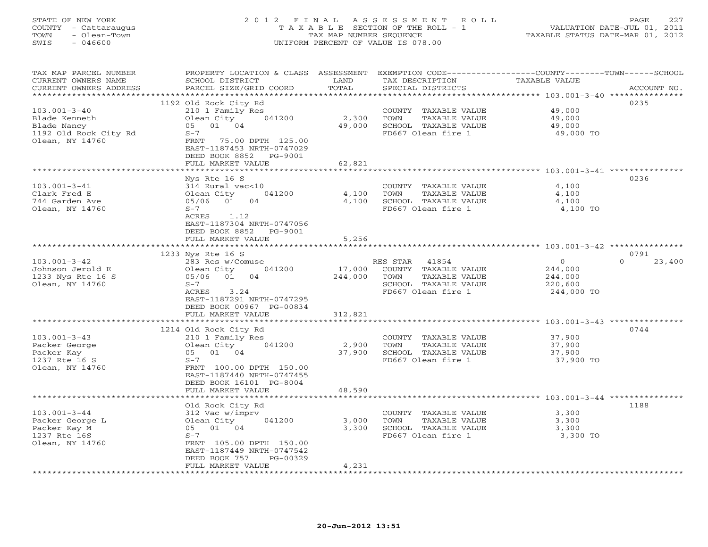# STATE OF NEW YORK 2 0 1 2 F I N A L A S S E S S M E N T R O L L PAGE 227 COUNTY - Cattaraugus T A X A B L E SECTION OF THE ROLL - 1 VALUATION DATE-JUL 01, 2011 TOWN - Olean-Town TAX MAP NUMBER SEQUENCE TAXABLE STATUS DATE-MAR 01, 2012 SWIS - 046600 UNIFORM PERCENT OF VALUE IS 078.00UNIFORM PERCENT OF VALUE IS 078.00

| TAX MAP PARCEL NUMBER<br>CURRENT OWNERS NAME        | PROPERTY LOCATION & CLASS ASSESSMENT<br>SCHOOL DISTRICT | LAND       | EXEMPTION CODE-----------------COUNTY-------TOWN------SCHOOL<br>TAX DESCRIPTION | <b>TAXABLE VALUE</b>                                        |                    |
|-----------------------------------------------------|---------------------------------------------------------|------------|---------------------------------------------------------------------------------|-------------------------------------------------------------|--------------------|
| CURRENT OWNERS ADDRESS<br>************************* | PARCEL SIZE/GRID COORD                                  | TOTAL      | SPECIAL DISTRICTS                                                               |                                                             | ACCOUNT NO.        |
|                                                     | 1192 Old Rock City Rd                                   |            |                                                                                 |                                                             | 0235               |
| $103.001 - 3 - 40$                                  | 210 1 Family Res                                        |            | COUNTY TAXABLE VALUE                                                            | 49,000                                                      |                    |
| Blade Kenneth                                       | Olean City<br>041200                                    | 2,300      | TOWN<br>TAXABLE VALUE                                                           | 49,000                                                      |                    |
| Blade Nancy                                         | 05 01 04                                                | 49,000     | SCHOOL TAXABLE VALUE                                                            | 49,000                                                      |                    |
| 1192 Old Rock City Rd                               | $S-7$                                                   |            | FD667 Olean fire 1                                                              | 49,000 TO                                                   |                    |
| Olean, NY 14760                                     | FRNT<br>75.00 DPTH 125.00<br>EAST-1187453 NRTH-0747029  |            |                                                                                 |                                                             |                    |
|                                                     | DEED BOOK 8852<br>PG-9001                               |            |                                                                                 |                                                             |                    |
|                                                     | FULL MARKET VALUE                                       | 62,821     |                                                                                 |                                                             |                    |
|                                                     |                                                         | ********** |                                                                                 | ****************************** 103.001-3-41 *************** |                    |
|                                                     | Nys Rte 16 S                                            |            |                                                                                 |                                                             | 0236               |
| $103.001 - 3 - 41$                                  | 314 Rural vac<10                                        |            | COUNTY TAXABLE VALUE                                                            | 4,100                                                       |                    |
| Clark Fred E                                        | Olean City<br>041200                                    | 4,100      | TAXABLE VALUE<br>TOWN                                                           | 4,100                                                       |                    |
| 744 Garden Ave                                      | 01<br>04<br>05/06                                       | 4,100      | SCHOOL TAXABLE VALUE                                                            | 4,100                                                       |                    |
| Olean, NY 14760                                     | $S-7$                                                   |            | FD667 Olean fire 1                                                              | 4,100 TO                                                    |                    |
|                                                     | ACRES<br>1.12<br>EAST-1187304 NRTH-0747056              |            |                                                                                 |                                                             |                    |
|                                                     | DEED BOOK 8852<br>PG-9001                               |            |                                                                                 |                                                             |                    |
|                                                     | FULL MARKET VALUE                                       | 5,256      |                                                                                 |                                                             |                    |
|                                                     |                                                         |            |                                                                                 |                                                             |                    |
|                                                     | 1233 Nys Rte 16 S                                       |            |                                                                                 |                                                             | 0791               |
| $103.001 - 3 - 42$                                  | 283 Res w/Comuse                                        |            | RES STAR<br>41854                                                               | $\mathbf{0}$                                                | $\Omega$<br>23,400 |
| Johnson Jerold E                                    | Olean City<br>041200                                    | 17,000     | COUNTY TAXABLE VALUE                                                            | 244,000                                                     |                    |
| 1233 Nys Rte 16 S                                   | 01<br>04<br>05/06                                       | 244,000    | TOWN<br>TAXABLE VALUE                                                           | 244,000                                                     |                    |
| Olean, NY 14760                                     | $S-7$                                                   |            | SCHOOL TAXABLE VALUE                                                            | 220,600                                                     |                    |
|                                                     | 3.24<br>ACRES                                           |            | FD667 Olean fire 1                                                              | 244,000 TO                                                  |                    |
|                                                     | EAST-1187291 NRTH-0747295<br>DEED BOOK 00967 PG-00834   |            |                                                                                 |                                                             |                    |
|                                                     | FULL MARKET VALUE                                       | 312,821    |                                                                                 |                                                             |                    |
|                                                     |                                                         |            |                                                                                 |                                                             |                    |
|                                                     | 1214 Old Rock City Rd                                   |            |                                                                                 |                                                             | 0744               |
| $103.001 - 3 - 43$                                  | 210 1 Family Res                                        |            | COUNTY TAXABLE VALUE                                                            | 37,900                                                      |                    |
| Packer George                                       | Olean City<br>041200                                    | 2,900      | TAXABLE VALUE<br>TOWN                                                           | 37,900                                                      |                    |
| Packer Kay                                          | 05 01 04                                                | 37,900     | SCHOOL TAXABLE VALUE                                                            | 37,900                                                      |                    |
| 1237 Rte 16 S                                       | $S-7$                                                   |            | FD667 Olean fire 1                                                              | 37,900 TO                                                   |                    |
| Olean, NY 14760                                     | FRNT 100.00 DPTH 150.00                                 |            |                                                                                 |                                                             |                    |
|                                                     | EAST-1187440 NRTH-0747455<br>DEED BOOK 16101 PG-8004    |            |                                                                                 |                                                             |                    |
|                                                     | FULL MARKET VALUE                                       | 48,590     |                                                                                 |                                                             |                    |
|                                                     |                                                         |            |                                                                                 |                                                             |                    |
|                                                     | Old Rock City Rd                                        |            |                                                                                 |                                                             | 1188               |
| $103.001 - 3 - 44$                                  | 312 Vac w/imprv                                         |            | COUNTY TAXABLE VALUE                                                            | 3,300                                                       |                    |
| Packer George L                                     | Olean City<br>041200                                    | 3,000      | TOWN<br>TAXABLE VALUE                                                           | 3,300                                                       |                    |
| Packer Kay M                                        | 05 01 04                                                | 3,300      | SCHOOL TAXABLE VALUE                                                            | 3,300                                                       |                    |
| 1237 Rte 16S                                        | $S-7$                                                   |            | FD667 Olean fire 1                                                              | 3,300 TO                                                    |                    |
| Olean, NY 14760                                     | FRNT 105.00 DPTH 150.00<br>EAST-1187449 NRTH-0747542    |            |                                                                                 |                                                             |                    |
|                                                     | DEED BOOK 757<br>PG-00329                               |            |                                                                                 |                                                             |                    |
|                                                     | FULL MARKET VALUE                                       | 4,231      |                                                                                 |                                                             |                    |
|                                                     |                                                         |            |                                                                                 |                                                             |                    |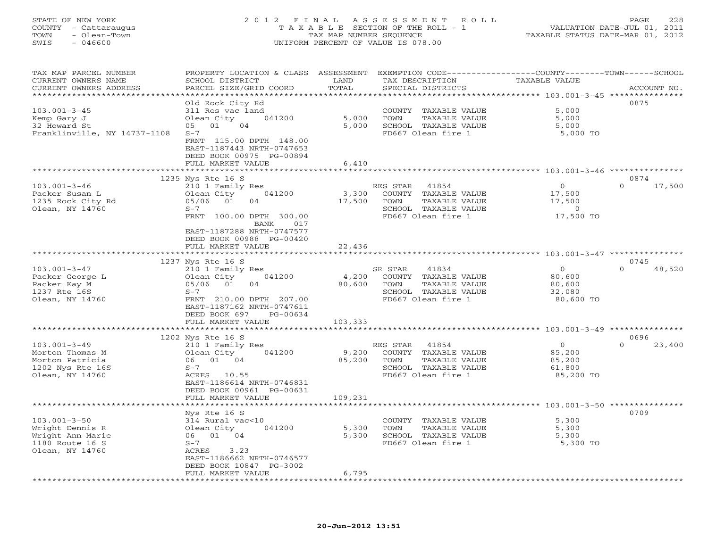| STATE OF NEW YORK |            |                      |  |
|-------------------|------------|----------------------|--|
|                   |            | COUNTY - Cattaraugus |  |
| TOWN              |            | - Olean-Town         |  |
| CTMT C            | $-$ 046600 |                      |  |

### STATE OF NEW YORK 2 0 1 2 F I N A L A S S E S S M E N T R O L L PAGE 228 COUNTY - Cattaraugus T A X A B L E SECTION OF THE ROLL - 1 VALUATION DATE-JUL 01, 2011 TAX MAP NUMBER SEQUENCE TAXABLE STATUS DATE-MAR 01, 2012 SWIS - 046600 UNIFORM PERCENT OF VALUE IS 078.00

| EXEMPTION CODE-----------------COUNTY-------TOWN------SCHOOL<br>TAX MAP PARCEL NUMBER<br>PROPERTY LOCATION & CLASS<br>ASSESSMENT |                    |
|----------------------------------------------------------------------------------------------------------------------------------|--------------------|
| CURRENT OWNERS NAME<br>SCHOOL DISTRICT<br>LAND<br>TAX DESCRIPTION<br>TAXABLE VALUE                                               |                    |
| TOTAL<br>CURRENT OWNERS ADDRESS<br>PARCEL SIZE/GRID COORD<br>SPECIAL DISTRICTS                                                   | ACCOUNT NO.        |
| *********<br>************ 103.001-3-45 ****************                                                                          |                    |
| Old Rock City Rd                                                                                                                 | 0875               |
| $103.001 - 3 - 45$<br>311 Res vac land<br>5,000<br>COUNTY<br>TAXABLE VALUE                                                       |                    |
| 5,000<br>Kemp Gary J<br>Olean City<br>041200<br>TAXABLE VALUE<br>5,000<br>TOWN                                                   |                    |
| 04<br>32 Howard St<br>01<br>5,000<br>SCHOOL TAXABLE VALUE<br>05<br>5,000                                                         |                    |
| Franklinville, NY 14737-1108<br>$S-7$<br>FD667 Olean fire 1<br>5,000 TO                                                          |                    |
| FRNT 115.00 DPTH 148.00                                                                                                          |                    |
| EAST-1187443 NRTH-0747653                                                                                                        |                    |
| DEED BOOK 00975 PG-00894                                                                                                         |                    |
| FULL MARKET VALUE<br>6,410                                                                                                       |                    |
| ***************** 103.001-3-46 ***************<br>**********                                                                     |                    |
| 1235 Nys Rte 16 S                                                                                                                | 0874               |
| $\circ$<br>$103.001 - 3 - 46$<br>210 1 Family Res<br>RES STAR<br>41854                                                           | $\Omega$<br>17,500 |
| 041200<br>3,300<br>17,500<br>Packer Susan L<br>Olean City<br>COUNTY TAXABLE VALUE                                                |                    |
| 1235 Rock City Rd<br>05/06<br>01<br>17,500<br>TOWN<br>TAXABLE VALUE<br>17,500<br>04                                              |                    |
| Olean, NY 14760<br>$S-7$<br>SCHOOL TAXABLE VALUE<br>$\circ$                                                                      |                    |
| FD667 Olean fire 1<br>17,500 TO<br>FRNT 100.00 DPTH 300.00                                                                       |                    |
| <b>BANK</b><br>017                                                                                                               |                    |
| EAST-1187288 NRTH-0747577                                                                                                        |                    |
| DEED BOOK 00988 PG-00420                                                                                                         |                    |
| 22,436<br>FULL MARKET VALUE                                                                                                      |                    |
| * * * * * * * * * * * * * * * * * *                                                                                              |                    |
| 1237 Nys Rte 16 S                                                                                                                | 0745               |
| $\circ$<br>$103.001 - 3 - 47$<br>210 1 Family Res<br>SR STAR<br>41834                                                            | $\Omega$<br>48,520 |
| Packer George L<br>041200<br>4,200<br>COUNTY TAXABLE VALUE<br>80,600<br>Olean City                                               |                    |
| 01<br>Packer Kay M<br>05/06<br>80,600<br>TOWN<br>TAXABLE VALUE<br>80,600<br>04                                                   |                    |
| 1237 Rte 16S<br>$S-7$<br>SCHOOL TAXABLE VALUE<br>32,080                                                                          |                    |
| FD667 Olean fire 1<br>Olean, NY 14760<br>FRNT 210.00 DPTH 207.00<br>80,600 TO                                                    |                    |
| EAST-1187162 NRTH-0747611                                                                                                        |                    |
| DEED BOOK 697<br>PG-00634                                                                                                        |                    |
| 103,333<br>FULL MARKET VALUE                                                                                                     |                    |
| ***************** 103.001-3-49 ****************<br>* * * * * * * * * *                                                           |                    |
| 1202 Nys Rte 16 S                                                                                                                | 0696               |
| $103.001 - 3 - 49$<br>41854<br>$\Omega$<br>210 1 Family Res<br>RES STAR                                                          | $\Omega$<br>23,400 |
| 9,200<br>Morton Thomas M<br>Olean City<br>041200<br>COUNTY TAXABLE VALUE<br>85,200                                               |                    |
| 06 01 04<br>85,200<br>TOWN<br>TAXABLE VALUE<br>Morton Patricia<br>85,200                                                         |                    |
| 1202 Nys Rte 16S<br>$S-7$<br>SCHOOL TAXABLE VALUE<br>61,800                                                                      |                    |
| FD667 Olean fire 1<br>Olean, NY 14760<br>ACRES<br>10.55<br>85,200 TO                                                             |                    |
| EAST-1186614 NRTH-0746831                                                                                                        |                    |
| DEED BOOK 00961 PG-00631                                                                                                         |                    |
| 109,231<br>FULL MARKET VALUE<br>**************<br>* * * * * * * * * *                                                            |                    |
| ******************** 103.001-3-50 **************                                                                                 | 0709               |
| Nys Rte 16 S                                                                                                                     |                    |
| $103.001 - 3 - 50$<br>314 Rural vac<10<br>5,300<br>COUNTY<br>TAXABLE VALUE                                                       |                    |
| 041200<br>5,300<br>TOWN<br>TAXABLE VALUE<br>5,300<br>Wright Dennis R<br>Olean City                                               |                    |
| 06 01 04<br>5,300<br>SCHOOL TAXABLE VALUE<br>Wright Ann Marie<br>5,300                                                           |                    |
| 1180 Route 16 S<br>$S-7$<br>FD667 Olean fire 1<br>5,300 TO                                                                       |                    |
| Olean, NY 14760<br>ACRES<br>3.23                                                                                                 |                    |
| EAST-1186662 NRTH-0746577                                                                                                        |                    |
| DEED BOOK 10847 PG-3002                                                                                                          |                    |
| 6,795<br>FULL MARKET VALUE                                                                                                       |                    |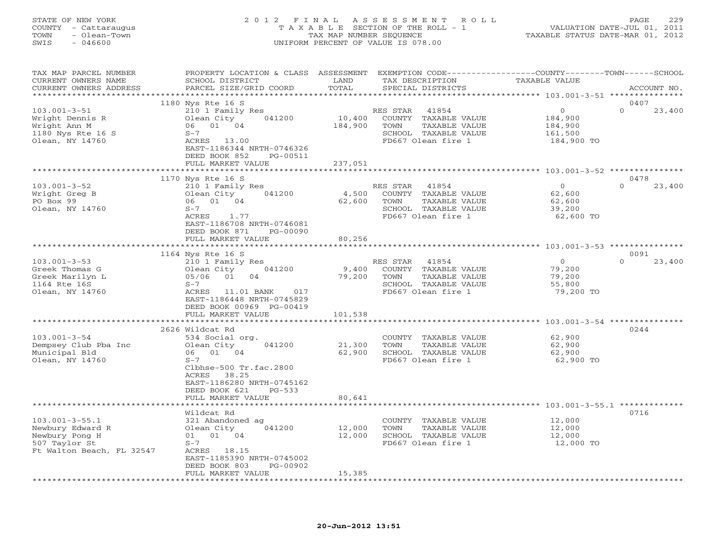# STATE OF NEW YORK 2 0 1 2 F I N A L A S S E S S M E N T R O L L PAGE 229 COUNTY - Cattaraugus T A X A B L E SECTION OF THE ROLL - 1 VALUATION DATE-JUL 01, 2011 TOWN - Olean-Town TAX MAP NUMBER SEQUENCE TAXABLE STATUS DATE-MAR 01, 2012 SWIS - 046600 UNIFORM PERCENT OF VALUE IS 078.00UNIFORM PERCENT OF VALUE IS 078.00

| TAX MAP PARCEL NUMBER<br>CURRENT OWNERS NAME | PROPERTY LOCATION & CLASS ASSESSMENT EXEMPTION CODE---------------COUNTY-------TOWN------SCHOOL<br>SCHOOL DISTRICT | LAND                  | TAX DESCRIPTION       | TAXABLE VALUE |                    |
|----------------------------------------------|--------------------------------------------------------------------------------------------------------------------|-----------------------|-----------------------|---------------|--------------------|
| CURRENT OWNERS ADDRESS                       | PARCEL SIZE/GRID COORD                                                                                             | TOTAL                 | SPECIAL DISTRICTS     |               | ACCOUNT NO.        |
| *******************                          |                                                                                                                    |                       |                       |               |                    |
|                                              | 1180 Nys Rte 16 S                                                                                                  |                       |                       |               | 0407               |
| $103.001 - 3 - 51$                           | 210 1 Family Res                                                                                                   |                       | RES STAR<br>41854     | $\circ$       | $\Omega$<br>23,400 |
| Wright Dennis R                              | 041200<br>Olean City                                                                                               | 10,400                | COUNTY TAXABLE VALUE  | 184,900       |                    |
| Wright Ann M                                 | 06 01 04                                                                                                           | 184,900               | TOWN<br>TAXABLE VALUE | 184,900       |                    |
| 1180 Nys Rte 16 S                            | $S-7$                                                                                                              |                       | SCHOOL TAXABLE VALUE  | 161,500       |                    |
| Olean, NY 14760                              | ACRES 13.00                                                                                                        |                       | FD667 Olean fire 1    | 184,900 TO    |                    |
|                                              | EAST-1186344 NRTH-0746326                                                                                          |                       |                       |               |                    |
|                                              | DEED BOOK 852<br>PG-00511                                                                                          |                       |                       |               |                    |
|                                              | FULL MARKET VALUE                                                                                                  | 237,051               |                       |               |                    |
|                                              |                                                                                                                    | * * * * * * * * * * * |                       |               |                    |
|                                              | 1170 Nys Rte 16 S                                                                                                  |                       |                       |               | 0478               |
| $103.001 - 3 - 52$                           | 210 1 Family Res                                                                                                   |                       | RES STAR<br>41854     | $\circ$       | $\Omega$<br>23,400 |
| Wright Greg B                                | 041200<br>Olean City                                                                                               | 4,500                 | COUNTY TAXABLE VALUE  | 62,600        |                    |
| PO Box 99                                    | 06 01 04                                                                                                           | 62,600                | TOWN<br>TAXABLE VALUE | 62,600        |                    |
| Olean, NY 14760                              | $S-7$                                                                                                              |                       | SCHOOL TAXABLE VALUE  | 39,200        |                    |
|                                              | 1.77<br>ACRES                                                                                                      |                       | FD667 Olean fire 1    | 62,600 TO     |                    |
|                                              | EAST-1186708 NRTH-0746081                                                                                          |                       |                       |               |                    |
|                                              | DEED BOOK 871<br>PG-00090                                                                                          |                       |                       |               |                    |
|                                              | FULL MARKET VALUE                                                                                                  | 80,256                |                       |               |                    |
|                                              | *********************                                                                                              |                       |                       |               |                    |
|                                              | 1164 Nys Rte 16 S                                                                                                  |                       |                       |               | 0091               |
| $103.001 - 3 - 53$                           | 210 1 Family Res                                                                                                   |                       | RES STAR<br>41854     | $\Omega$      | $\Omega$<br>23,400 |
| Greek Thomas G                               | 041200<br>Olean City                                                                                               | 9,400                 | COUNTY TAXABLE VALUE  | 79,200        |                    |
| Greek Marilyn L                              | 01<br>05/06<br>04                                                                                                  | 79,200                | TOWN<br>TAXABLE VALUE | 79,200        |                    |
| 1164 Rte 16S                                 | $S-7$                                                                                                              |                       | SCHOOL TAXABLE VALUE  | 55,800        |                    |
| Olean, NY 14760                              | ACRES 11.01 BANK 017                                                                                               |                       | FD667 Olean fire 1    | 79,200 TO     |                    |
|                                              | EAST-1186448 NRTH-0745829                                                                                          |                       |                       |               |                    |
|                                              | DEED BOOK 00969 PG-00419                                                                                           |                       |                       |               |                    |
|                                              | FULL MARKET VALUE                                                                                                  | 101,538               |                       |               |                    |
|                                              | *****************                                                                                                  |                       |                       |               |                    |
|                                              | 2626 Wildcat Rd                                                                                                    |                       |                       |               | 0244               |
| $103.001 - 3 - 54$                           | 534 Social org.                                                                                                    |                       | COUNTY TAXABLE VALUE  | 62,900        |                    |
| Dempsey Club Pba Inc                         | Olean City<br>041200                                                                                               | 21,300                | TOWN<br>TAXABLE VALUE | 62,900        |                    |
| Municipal Bld                                | 06 01 04                                                                                                           | 62,900                | SCHOOL TAXABLE VALUE  | 62,900        |                    |
| Olean, NY 14760                              | $S-7$                                                                                                              |                       | FD667 Olean fire 1    | 62,900 TO     |                    |
|                                              | Clbhse-500 Tr.fac.2800                                                                                             |                       |                       |               |                    |
|                                              | ACRES<br>38.25                                                                                                     |                       |                       |               |                    |
|                                              | EAST-1186280 NRTH-0745162                                                                                          |                       |                       |               |                    |
|                                              | DEED BOOK 621<br>$PG-533$                                                                                          |                       |                       |               |                    |
|                                              | FULL MARKET VALUE                                                                                                  | 80,641                |                       |               |                    |
|                                              | *******************                                                                                                |                       |                       |               |                    |
|                                              | Wildcat Rd                                                                                                         |                       |                       |               | 0716               |
| $103.001 - 3 - 55.1$                         | 321 Abandoned ag                                                                                                   |                       | COUNTY TAXABLE VALUE  | 12,000        |                    |
| Newbury Edward R                             | 041200<br>Olean City                                                                                               | 12,000                | TAXABLE VALUE<br>TOWN | 12,000        |                    |
| Newbury Pong H                               | 01 01 04                                                                                                           | 12,000                | SCHOOL TAXABLE VALUE  | 12,000        |                    |
| 507 Taylor St                                | $S-7$                                                                                                              |                       | FD667 Olean fire 1    | 12,000 TO     |                    |
| Ft Walton Beach, FL 32547                    | ACRES 18.15                                                                                                        |                       |                       |               |                    |
|                                              | EAST-1185390 NRTH-0745002                                                                                          |                       |                       |               |                    |
|                                              | DEED BOOK 803<br>PG-00902                                                                                          |                       |                       |               |                    |
|                                              | FULL MARKET VALUE                                                                                                  | 15,385                |                       |               |                    |
|                                              |                                                                                                                    |                       |                       |               |                    |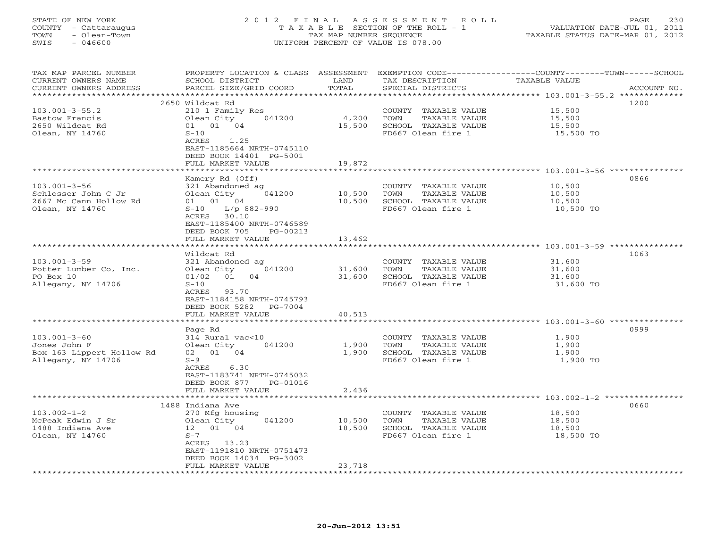# STATE OF NEW YORK 2 0 1 2 F I N A L A S S E S S M E N T R O L L PAGE 230 COUNTY - Cattaraugus T A X A B L E SECTION OF THE ROLL - 1 VALUATION DATE-JUL 01, 2011 TOWN - Olean-Town TAX MAP NUMBER SEQUENCE TAXABLE STATUS DATE-MAR 01, 2012 SWIS - 046600 UNIFORM PERCENT OF VALUE IS 078.00UNIFORM PERCENT OF VALUE IS 078.00

| TAX MAP PARCEL NUMBER<br>CURRENT OWNERS NAME<br>CURRENT OWNERS ADDRESS | PROPERTY LOCATION & CLASS<br>SCHOOL DISTRICT<br>PARCEL SIZE/GRID COORD | ASSESSMENT<br>LAND<br>TOTAL | EXEMPTION CODE----------------COUNTY-------TOWN-----SCHOOL<br>TAX DESCRIPTION<br>SPECIAL DISTRICTS | <b>TAXABLE VALUE</b>                                   | ACCOUNT NO. |
|------------------------------------------------------------------------|------------------------------------------------------------------------|-----------------------------|----------------------------------------------------------------------------------------------------|--------------------------------------------------------|-------------|
| *******************                                                    | 2650 Wildcat Rd                                                        |                             | ************************************** 103.001-3-55.2 **************                               |                                                        | 1200        |
| $103.001 - 3 - 55.2$                                                   | 210 1 Family Res                                                       |                             | COUNTY TAXABLE VALUE                                                                               | 15,500                                                 |             |
| Bastow Francis                                                         | 041200<br>Olean City                                                   | 4,200                       | TOWN<br>TAXABLE VALUE                                                                              | 15,500                                                 |             |
| 2650 Wildcat Rd                                                        | 01 01 04                                                               | 15,500                      | SCHOOL TAXABLE VALUE                                                                               | 15,500                                                 |             |
| Olean, NY 14760                                                        | $S-10$                                                                 |                             | FD667 Olean fire 1                                                                                 | 15,500 TO                                              |             |
|                                                                        | ACRES<br>1.25                                                          |                             |                                                                                                    |                                                        |             |
|                                                                        | EAST-1185664 NRTH-0745110                                              |                             |                                                                                                    |                                                        |             |
|                                                                        | DEED BOOK 14401 PG-5001                                                |                             |                                                                                                    |                                                        |             |
|                                                                        | FULL MARKET VALUE                                                      | 19,872<br>********          |                                                                                                    | ************************ 103.001-3-56 **************** |             |
|                                                                        | Kamery Rd (Off)                                                        |                             |                                                                                                    |                                                        | 0866        |
| $103.001 - 3 - 56$                                                     | 321 Abandoned ag                                                       |                             | COUNTY TAXABLE VALUE                                                                               | 10,500                                                 |             |
| Schlosser John C Jr                                                    | Olean City<br>041200                                                   | 10,500                      | TOWN<br><b>TAXABLE VALUE</b>                                                                       | 10,500                                                 |             |
| 2667 Mc Cann Hollow Rd                                                 | 01 01 04                                                               | 10,500                      | SCHOOL TAXABLE VALUE                                                                               | 10,500                                                 |             |
| Olean, NY 14760                                                        | $L/p$ 882-990<br>$S-10$                                                |                             | FD667 Olean fire 1                                                                                 | 10,500 TO                                              |             |
|                                                                        | ACRES<br>30.10                                                         |                             |                                                                                                    |                                                        |             |
|                                                                        | EAST-1185400 NRTH-0746589                                              |                             |                                                                                                    |                                                        |             |
|                                                                        | DEED BOOK 705<br>PG-00213                                              |                             |                                                                                                    |                                                        |             |
|                                                                        | FULL MARKET VALUE<br>******************                                | 13,462<br>********          |                                                                                                    |                                                        |             |
|                                                                        |                                                                        |                             |                                                                                                    |                                                        |             |
| $103.001 - 3 - 59$                                                     | Wildcat Rd<br>321 Abandoned ag                                         |                             | COUNTY TAXABLE VALUE                                                                               | 31,600                                                 | 1063        |
| Potter Lumber Co, Inc.                                                 | 041200<br>Olean City                                                   | 31,600                      | TAXABLE VALUE<br>TOWN                                                                              | 31,600                                                 |             |
| PO Box 10                                                              | 04<br>01/02<br>01                                                      | 31,600                      | SCHOOL TAXABLE VALUE                                                                               | 31,600                                                 |             |
| Allegany, NY 14706                                                     | $S-10$                                                                 |                             | FD667 Olean fire 1                                                                                 | 31,600 TO                                              |             |
|                                                                        | 93.70<br>ACRES                                                         |                             |                                                                                                    |                                                        |             |
|                                                                        | EAST-1184158 NRTH-0745793                                              |                             |                                                                                                    |                                                        |             |
|                                                                        | DEED BOOK 5282<br>PG-7004                                              |                             |                                                                                                    |                                                        |             |
|                                                                        | FULL MARKET VALUE                                                      | 40,513                      |                                                                                                    |                                                        |             |
|                                                                        | ****************                                                       | * * * * * * * * * *         |                                                                                                    | ********************* 103.001-3-60 ***************     | 0999        |
| $103.001 - 3 - 60$                                                     | Page Rd<br>314 Rural vac<10                                            |                             | COUNTY TAXABLE VALUE                                                                               | 1,900                                                  |             |
| Jones John F                                                           | 041200<br>Olean City                                                   | 1,900                       | TAXABLE VALUE<br>TOWN                                                                              | 1,900                                                  |             |
| Box 163 Lippert Hollow Rd                                              | 02 01 04                                                               | 1,900                       | SCHOOL TAXABLE VALUE                                                                               | 1,900                                                  |             |
| Allegany, NY 14706                                                     | $S-9$                                                                  |                             | FD667 Olean fire 1                                                                                 | 1,900 TO                                               |             |
|                                                                        | ACRES<br>6.30                                                          |                             |                                                                                                    |                                                        |             |
|                                                                        | EAST-1183741 NRTH-0745032                                              |                             |                                                                                                    |                                                        |             |
|                                                                        | DEED BOOK 877<br>PG-01016                                              |                             |                                                                                                    |                                                        |             |
|                                                                        | FULL MARKET VALUE                                                      | 2,436                       |                                                                                                    |                                                        |             |
|                                                                        |                                                                        |                             |                                                                                                    | **************** 103.002-1-2 ***********               | 0660        |
| $103.002 - 1 - 2$                                                      | 1488 Indiana Ave<br>270 Mfg housing                                    |                             | COUNTY TAXABLE VALUE                                                                               | 18,500                                                 |             |
| McPeak Edwin J Sr                                                      | 041200<br>Olean City                                                   | 10,500                      | TOWN<br>TAXABLE VALUE                                                                              | 18,500                                                 |             |
| 1488 Indiana Ave                                                       | 12  01  04                                                             | 18,500                      | SCHOOL TAXABLE VALUE                                                                               | 18,500                                                 |             |
| Olean, NY 14760                                                        | $S-7$                                                                  |                             | FD667 Olean fire 1                                                                                 | 18,500 TO                                              |             |
|                                                                        | ACRES 13.23                                                            |                             |                                                                                                    |                                                        |             |
|                                                                        | EAST-1191810 NRTH-0751473                                              |                             |                                                                                                    |                                                        |             |
|                                                                        | DEED BOOK 14034 PG-3002                                                |                             |                                                                                                    |                                                        |             |
|                                                                        | FULL MARKET VALUE                                                      | 23,718                      |                                                                                                    |                                                        |             |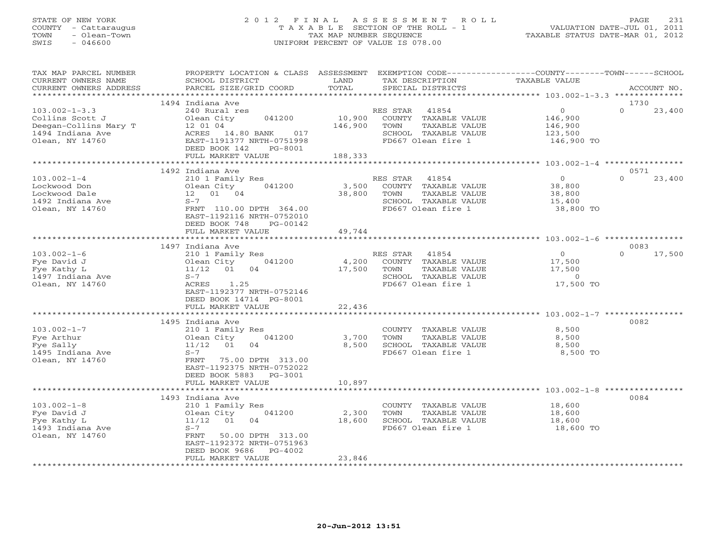# STATE OF NEW YORK 2 0 1 2 F I N A L A S S E S S M E N T R O L L PAGE 231 COUNTY - Cattaraugus T A X A B L E SECTION OF THE ROLL - 1 VALUATION DATE-JUL 01, 2011 TOWN - Olean-Town TAX MAP NUMBER SEQUENCE TAXABLE STATUS DATE-MAR 01, 2012 SWIS - 046600 UNIFORM PERCENT OF VALUE IS 078.00UNIFORM PERCENT OF VALUE IS 078.00

| TAX MAP PARCEL NUMBER<br>CURRENT OWNERS NAME<br>CURRENT OWNERS ADDRESS                                 | PROPERTY LOCATION & CLASS ASSESSMENT<br>SCHOOL DISTRICT<br>PARCEL SIZE/GRID COORD                                                                                                                      | LAND<br>TOTAL                | EXEMPTION CODE-----------------COUNTY-------TOWN------SCHOOL<br>TAX DESCRIPTION<br>SPECIAL DISTRICTS             | TAXABLE VALUE                                               | ACCOUNT NO.                |
|--------------------------------------------------------------------------------------------------------|--------------------------------------------------------------------------------------------------------------------------------------------------------------------------------------------------------|------------------------------|------------------------------------------------------------------------------------------------------------------|-------------------------------------------------------------|----------------------------|
| ***********************                                                                                |                                                                                                                                                                                                        |                              |                                                                                                                  |                                                             |                            |
| $103.002 - 1 - 3.3$<br>Collins Scott J<br>Deegan-Collins Mary T<br>1494 Indiana Ave<br>Olean, NY 14760 | 1494 Indiana Ave<br>240 Rural res<br>Olean City<br>041200<br>12 01 04<br>ACRES 14.80 BANK<br>017<br>EAST-1191377 NRTH-0751998<br>DEED BOOK 142<br>PG-8001<br>FULL MARKET VALUE                         | 10,900<br>146,900<br>188,333 | RES STAR<br>41854<br>COUNTY TAXABLE VALUE<br>TOWN<br>TAXABLE VALUE<br>SCHOOL TAXABLE VALUE<br>FD667 Olean fire 1 | $\circ$<br>146,900<br>146,900<br>123,500<br>146,900 TO      | 1730<br>$\Omega$<br>23,400 |
|                                                                                                        |                                                                                                                                                                                                        |                              |                                                                                                                  |                                                             |                            |
| $103.002 - 1 - 4$<br>Lockwood Don<br>Lockwood Dale<br>1492 Indiana Ave<br>Olean, NY 14760              | 1492 Indiana Ave<br>210 1 Family Res<br>Olean City<br>041200<br>12  01  04<br>$S-7$<br>FRNT 110.00 DPTH 364.00<br>EAST-1192116 NRTH-0752010<br>DEED BOOK 748<br>PG-00142                               | 3,500<br>38,800              | RES STAR<br>41854<br>COUNTY TAXABLE VALUE<br>TOWN<br>TAXABLE VALUE<br>SCHOOL TAXABLE VALUE<br>FD667 Olean fire 1 | $\Omega$<br>38,800<br>38,800<br>15,400<br>38,800 TO         | 0571<br>$\Omega$<br>23,400 |
|                                                                                                        | FULL MARKET VALUE                                                                                                                                                                                      | 49,744                       |                                                                                                                  |                                                             |                            |
|                                                                                                        | 1497 Indiana Ave                                                                                                                                                                                       |                              |                                                                                                                  |                                                             | 0083                       |
| $103.002 - 1 - 6$<br>Fye David J<br>Fye Kathy L<br>1497 Indiana Ave<br>Olean, NY 14760                 | 210 1 Family Res<br>041200<br>Olean City<br>$11/12$ 01<br>04<br>$S-7$<br>ACRES 1.25<br>EAST-1192377 NRTH-0752146<br>DEED BOOK 14714 PG-8001<br>FULL MARKET VALUE                                       | 4,200<br>17,500<br>22,436    | RES STAR<br>41854<br>COUNTY TAXABLE VALUE<br>TAXABLE VALUE<br>TOWN<br>SCHOOL TAXABLE VALUE<br>FD667 Olean fire 1 | $\Omega$<br>17,500<br>17,500<br>$\overline{0}$<br>17,500 TO | $\Omega$<br>17,500         |
|                                                                                                        |                                                                                                                                                                                                        |                              |                                                                                                                  |                                                             |                            |
| $103.002 - 1 - 7$<br>Fye Arthur<br>Fye Sally<br>1495 Indiana Ave<br>Olean, NY 14760                    | 1495 Indiana Ave<br>210 1 Family Res<br>Olean City<br>041200<br>$11/12$ 01<br>04<br>$S-7$<br>75.00 DPTH 313.00<br>FRNT<br>EAST-1192375 NRTH-0752022<br>DEED BOOK 5883 PG-3001<br>FULL MARKET VALUE     | 3,700<br>8,500<br>10,897     | COUNTY TAXABLE VALUE<br>TOWN<br>TAXABLE VALUE<br>SCHOOL TAXABLE VALUE<br>FD667 Olean fire 1                      | 8,500<br>8,500<br>8,500<br>8,500 TO                         | 0082                       |
|                                                                                                        | ************************                                                                                                                                                                               |                              |                                                                                                                  |                                                             |                            |
| $103.002 - 1 - 8$<br>Fye David J<br>Fye Kathy L<br>1493 Indiana Ave<br>Olean, NY 14760                 | 1493 Indiana Ave<br>210 1 Family Res<br>Olean City<br>041200<br>01<br>11/12<br>04<br>$S-7$<br>50.00 DPTH 313.00<br>FRNT<br>EAST-1192372 NRTH-0751963<br>DEED BOOK 9686<br>PG-4002<br>FULL MARKET VALUE | 2,300<br>18,600<br>23,846    | COUNTY TAXABLE VALUE<br>TOWN<br>TAXABLE VALUE<br>SCHOOL TAXABLE VALUE<br>FD667 Olean fire 1                      | 18,600<br>18,600<br>18,600<br>18,600 TO                     | 0084                       |
|                                                                                                        |                                                                                                                                                                                                        |                              |                                                                                                                  |                                                             |                            |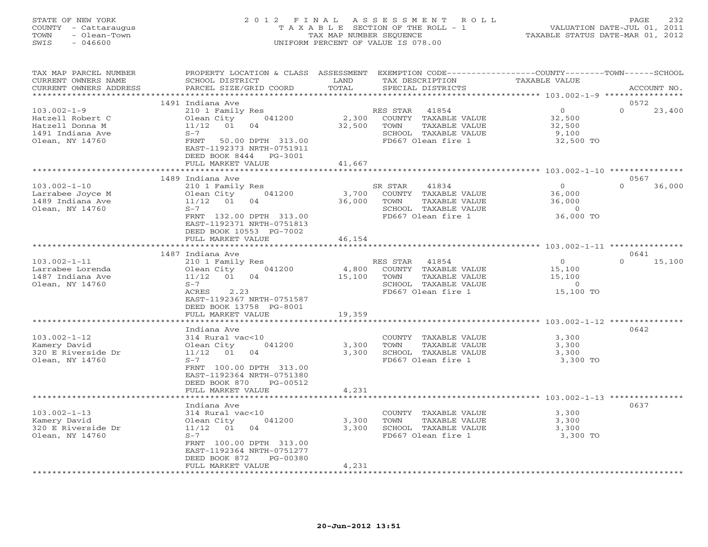# STATE OF NEW YORK 2 0 1 2 F I N A L A S S E S S M E N T R O L L PAGE 232 COUNTY - Cattaraugus T A X A B L E SECTION OF THE ROLL - 1 VALUATION DATE-JUL 01, 2011 TOWN - Olean-Town TAX MAP NUMBER SEQUENCE TAXABLE STATUS DATE-MAR 01, 2012 SWIS - 046600 UNIFORM PERCENT OF VALUE IS 078.00UNIFORM PERCENT OF VALUE IS 078.00

| TAX MAP PARCEL NUMBER<br>CURRENT OWNERS NAME<br>CURRENT OWNERS ADDRESS                          | PROPERTY LOCATION & CLASS ASSESSMENT<br>SCHOOL DISTRICT<br>PARCEL SIZE/GRID COORD                                                                                                                     | LAND<br>TOTAL             | TAX DESCRIPTION<br>SPECIAL DISTRICTS                                                                             | EXEMPTION CODE-----------------COUNTY-------TOWN------SCHOOL<br><b>TAXABLE VALUE</b> | ACCOUNT NO.                |
|-------------------------------------------------------------------------------------------------|-------------------------------------------------------------------------------------------------------------------------------------------------------------------------------------------------------|---------------------------|------------------------------------------------------------------------------------------------------------------|--------------------------------------------------------------------------------------|----------------------------|
|                                                                                                 |                                                                                                                                                                                                       | ****************          |                                                                                                                  |                                                                                      |                            |
| $103.002 - 1 - 9$<br>Hatzell Robert C<br>Hatzell Donna M<br>1491 Indiana Ave<br>Olean, NY 14760 | 1491 Indiana Ave<br>210 1 Family Res<br>041200<br>Olean City<br>$11/12$ 01<br>04<br>$S-7$<br>FRNT<br>50.00 DPTH 313.00<br>EAST-1192373 NRTH-0751911<br>DEED BOOK 8444<br>PG-3001<br>FULL MARKET VALUE | 2,300<br>32,500<br>41,667 | RES STAR<br>41854<br>COUNTY TAXABLE VALUE<br>TOWN<br>TAXABLE VALUE<br>SCHOOL TAXABLE VALUE<br>FD667 Olean fire 1 | $\overline{0}$<br>32,500<br>32,500<br>9,100<br>32,500 TO                             | 0572<br>$\Omega$<br>23,400 |
|                                                                                                 |                                                                                                                                                                                                       | ************              |                                                                                                                  | ******************************** 103.002-1-10 ***************                        |                            |
| $103.002 - 1 - 10$<br>Larrabee Joyce M<br>1489 Indiana Ave<br>Olean, NY 14760                   | 1489 Indiana Ave<br>210 1 Family Res<br>041200<br>Olean City<br>11/12 01<br>04<br>$S-7$<br>FRNT 132.00 DPTH 313.00<br>EAST-1192371 NRTH-0751813<br>DEED BOOK 10553 PG-7002                            | 3,700<br>36,000           | SR STAR<br>41834<br>COUNTY TAXABLE VALUE<br>TOWN<br>TAXABLE VALUE<br>SCHOOL TAXABLE VALUE<br>FD667 Olean fire 1  | $\overline{0}$<br>36,000<br>36,000<br>$\overline{0}$<br>36,000 TO                    | 0567<br>$\Omega$<br>36,000 |
|                                                                                                 | FULL MARKET VALUE                                                                                                                                                                                     | 46,154                    |                                                                                                                  |                                                                                      |                            |
| $103.002 - 1 - 11$<br>Larrabee Lorenda<br>1487 Indiana Ave<br>Olean, NY 14760                   | 1487 Indiana Ave<br>210 1 Family Res<br>Olean City<br>041200<br>11/12<br>01<br>04<br>$S-7$<br>2.23<br>ACRES<br>EAST-1192367 NRTH-0751587<br>DEED BOOK 13758 PG-8001<br>FULL MARKET VALUE              | 4,800<br>15,100<br>19,359 | RES STAR 41854<br>COUNTY TAXABLE VALUE<br>TAXABLE VALUE<br>TOWN<br>SCHOOL TAXABLE VALUE<br>FD667 Olean fire 1    | $\overline{0}$<br>15,100<br>15,100<br>$\overline{0}$<br>15,100 TO                    | 0641<br>15,100<br>$\Omega$ |
|                                                                                                 |                                                                                                                                                                                                       | **************            |                                                                                                                  |                                                                                      |                            |
| $103.002 - 1 - 12$<br>Kamery David<br>320 E Riverside Dr<br>Olean, NY 14760                     | Indiana Ave<br>314 Rural vac<10<br>041200<br>Olean City<br>11/12<br>01<br>04<br>$S-7$<br>FRNT 100.00 DPTH 313.00<br>EAST-1192364 NRTH-0751380<br>DEED BOOK 870<br>PG-00512<br>FULL MARKET VALUE       | 3,300<br>3,300<br>4,231   | COUNTY TAXABLE VALUE<br>TAXABLE VALUE<br>TOWN<br>SCHOOL TAXABLE VALUE<br>FD667 Olean fire 1                      | 3,300<br>3,300<br>3,300<br>3,300 TO                                                  | 0642                       |
|                                                                                                 | ******************<br>Indiana Ave                                                                                                                                                                     |                           |                                                                                                                  |                                                                                      | 0637                       |
| $103.002 - 1 - 13$<br>Kamery David<br>320 E Riverside Dr<br>Olean, NY 14760                     | 314 Rural vac<10<br>Olean City<br>041200<br>11/12<br>01<br>04<br>$S-7$<br>FRNT 100.00 DPTH 313.00<br>EAST-1192364 NRTH-0751277<br>DEED BOOK 872<br>$PG-00380$<br>FULL MARKET VALUE                    | 3,300<br>3,300<br>4,231   | COUNTY TAXABLE VALUE<br>TAXABLE VALUE<br>TOWN<br>SCHOOL TAXABLE VALUE<br>FD667 Olean fire 1                      | 3,300<br>3,300<br>3,300<br>3,300 TO                                                  |                            |
|                                                                                                 |                                                                                                                                                                                                       |                           |                                                                                                                  |                                                                                      |                            |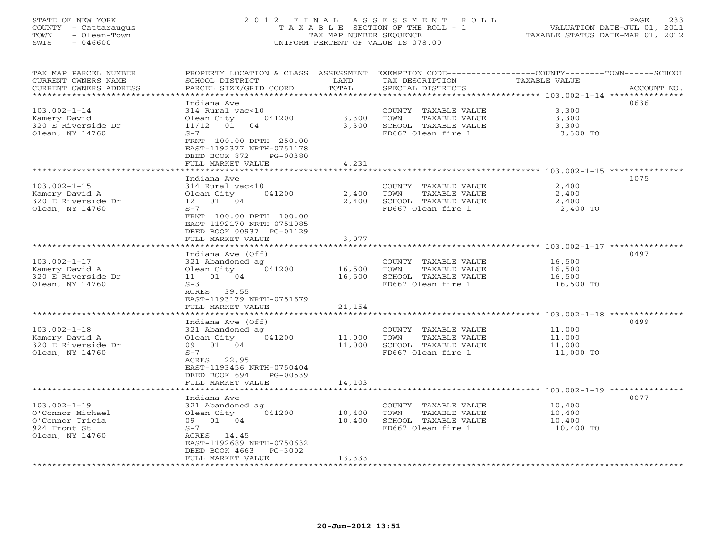# STATE OF NEW YORK 2 0 1 2 F I N A L A S S E S S M E N T R O L L PAGE 233 COUNTY - Cattaraugus T A X A B L E SECTION OF THE ROLL - 1 VALUATION DATE-JUL 01, 2011 TOWN - Olean-Town TAX MAP NUMBER SEQUENCE TAXABLE STATUS DATE-MAR 01, 2012 SWIS - 046600 UNIFORM PERCENT OF VALUE IS 078.00

| TAX MAP PARCEL NUMBER<br>CURRENT OWNERS NAME<br>CURRENT OWNERS ADDRESS<br>********************                        | PROPERTY LOCATION & CLASS ASSESSMENT<br>SCHOOL DISTRICT<br>PARCEL SIZE/GRID COORD                                                                                                                       | LAND<br>TOTAL                                      | TAX DESCRIPTION<br>SPECIAL DISTRICTS                                                               | EXEMPTION CODE-----------------COUNTY-------TOWN------SCHOOL<br><b>TAXABLE VALUE</b><br>ACCOUNT NO. |
|-----------------------------------------------------------------------------------------------------------------------|---------------------------------------------------------------------------------------------------------------------------------------------------------------------------------------------------------|----------------------------------------------------|----------------------------------------------------------------------------------------------------|-----------------------------------------------------------------------------------------------------|
| $103.002 - 1 - 14$<br>Kamery David<br>320 E Riverside Dr<br>Olean, NY 14760                                           | Indiana Ave<br>314 Rural vac<10<br>Olean City<br>041200<br>$11/12$ 01<br>04<br>$S-7$<br>FRNT 100.00 DPTH 250.00<br>EAST-1192377 NRTH-0751178<br>DEED BOOK 872<br>PG-00380<br>FULL MARKET VALUE          | 3,300<br>3,300<br>4,231<br>* * * * * * * * * * * * | COUNTY TAXABLE VALUE<br>TOWN<br>TAXABLE VALUE<br>SCHOOL TAXABLE VALUE<br>FD667 Olean fire 1        | 0636<br>3,300<br>3,300<br>3,300<br>3,300 TO                                                         |
| $103.002 - 1 - 15$<br>Kamery David A<br>320 E Riverside Dr<br>Olean, NY 14760                                         | Indiana Ave<br>314 Rural vac<10<br>Olean City<br>041200<br>12  01  04<br>$S-7$<br>FRNT 100.00 DPTH 100.00<br>EAST-1192170 NRTH-0751085<br>DEED BOOK 00937 PG-01129<br>FULL MARKET VALUE                 | 2,400<br>2,400<br>3,077                            | COUNTY TAXABLE VALUE<br>TOWN<br>TAXABLE VALUE<br>SCHOOL TAXABLE VALUE<br>FD667 Olean fire 1        | ********************* 103.002-1-15 ****************<br>1075<br>2,400<br>2,400<br>2,400<br>2,400 TO  |
| $103.002 - 1 - 17$<br>Kamery David A<br>320 E Riverside Dr<br>Olean, NY 14760                                         | Indiana Ave (Off)<br>321 Abandoned ag<br>041200<br>Olean City<br>11 01 04<br>$S-3$<br>ACRES 39.55<br>EAST-1193179 NRTH-0751679<br>FULL MARKET VALUE                                                     | 16,500<br>16,500<br>21,154                         | COUNTY TAXABLE VALUE<br>TOWN<br><b>TAXABLE VALUE</b><br>SCHOOL TAXABLE VALUE<br>FD667 Olean fire 1 | 0497<br>16,500<br>16,500<br>16,500<br>16,500 TO                                                     |
| $103.002 - 1 - 18$<br>Kamery David A<br>320 E Riverside Dr<br>Olean, NY 14760                                         | Indiana Ave (Off)<br>321 Abandoned ag<br>Olean City<br>041200<br>09<br>01 04<br>$S-7$<br>ACRES 22.95<br>EAST-1193456 NRTH-0750404<br>DEED BOOK 694<br>PG-00539<br>FULL MARKET VALUE                     | 11,000<br>11,000<br>14,103<br>*************        | COUNTY<br>TAXABLE VALUE<br>TOWN<br>TAXABLE VALUE<br>SCHOOL TAXABLE VALUE<br>FD667 Olean fire 1     | ****************** 103.002-1-18 ***********<br>0499<br>11,000<br>11,000<br>11,000<br>11,000 TO      |
| $103.002 - 1 - 19$<br>O'Connor Michael<br>O'Connor Tricia<br>924 Front St<br>Olean, NY 14760<br>********************* | Indiana Ave<br>321 Abandoned ag<br>041200<br>Olean City<br>01 04<br>09<br>$S-7$<br>ACRES 14.45<br>EAST-1192689 NRTH-0750632<br>DEED BOOK 4663<br>$PG-3002$<br>FULL MARKET VALUE<br>******************** | 10,400<br>10,400<br>13,333                         | COUNTY TAXABLE VALUE<br>TOWN<br>TAXABLE VALUE<br>SCHOOL TAXABLE VALUE<br>FD667 Olean fire 1        | 0077<br>10,400<br>10,400<br>10,400<br>10,400 TO                                                     |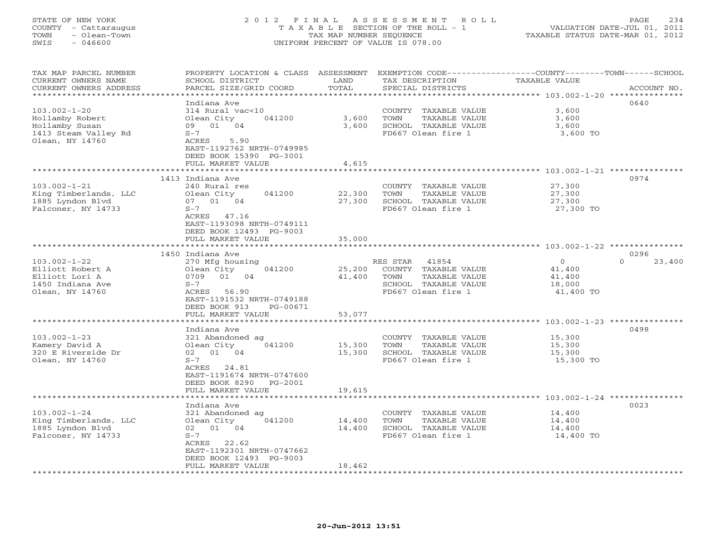# STATE OF NEW YORK 2 0 1 2 F I N A L A S S E S S M E N T R O L L PAGE 234 COUNTY - Cattaraugus T A X A B L E SECTION OF THE ROLL - 1 VALUATION DATE-JUL 01, 2011 TOWN - Olean-Town TAX MAP NUMBER SEQUENCE TAXABLE STATUS DATE-MAR 01, 2012 SWIS - 046600 UNIFORM PERCENT OF VALUE IS 078.00UNIFORM PERCENT OF VALUE IS 078.00

| TAX MAP PARCEL NUMBER<br>CURRENT OWNERS NAME | PROPERTY LOCATION & CLASS ASSESSMENT<br>SCHOOL DISTRICT | LAND             | EXEMPTION CODE-----------------COUNTY-------TOWN-----SCHOOL<br>TAX DESCRIPTION | <b>TAXABLE VALUE</b>                                         |                    |
|----------------------------------------------|---------------------------------------------------------|------------------|--------------------------------------------------------------------------------|--------------------------------------------------------------|--------------------|
| CURRENT OWNERS ADDRESS                       | PARCEL SIZE/GRID COORD                                  | TOTAL            | SPECIAL DISTRICTS                                                              |                                                              | ACCOUNT NO.        |
| *********************                        |                                                         |                  |                                                                                |                                                              |                    |
|                                              | Indiana Ave                                             |                  |                                                                                |                                                              | 0640               |
| $103.002 - 1 - 20$                           | 314 Rural vac<10                                        |                  | COUNTY TAXABLE VALUE                                                           | 3,600                                                        |                    |
| Hollamby Robert                              | Olean City<br>041200                                    | 3,600            | TOWN<br>TAXABLE VALUE                                                          | 3,600                                                        |                    |
| Hollamby Susan                               | 09 01 04                                                | 3,600            | SCHOOL TAXABLE VALUE                                                           | 3,600                                                        |                    |
| 1413 Steam Valley Rd                         | $S-7$                                                   |                  | FD667 Olean fire 1                                                             | 3,600 TO                                                     |                    |
| Olean, NY 14760                              | ACRES<br>5.90                                           |                  |                                                                                |                                                              |                    |
|                                              | EAST-1192762 NRTH-0749985<br>DEED BOOK 15390 PG-3001    |                  |                                                                                |                                                              |                    |
|                                              | FULL MARKET VALUE                                       | 4,615            |                                                                                |                                                              |                    |
|                                              |                                                         |                  |                                                                                | ***************** 103.002-1-21 ***************               |                    |
|                                              | 1413 Indiana Ave                                        |                  |                                                                                |                                                              | 0974               |
| $103.002 - 1 - 21$                           | 240 Rural res                                           |                  | COUNTY TAXABLE VALUE                                                           | 27,300                                                       |                    |
| King Timberlands, LLC                        | Olean City<br>041200                                    | 22,300           | TAXABLE VALUE<br>TOWN                                                          | 27,300                                                       |                    |
| 1885 Lyndon Blvd                             | 07 01 04                                                | 27,300           | SCHOOL TAXABLE VALUE                                                           | 27,300                                                       |                    |
| Falconer, NY 14733                           | $S-7$                                                   |                  | FD667 Olean fire 1                                                             | 27,300 TO                                                    |                    |
|                                              | ACRES 47.16                                             |                  |                                                                                |                                                              |                    |
|                                              | EAST-1193098 NRTH-0749111                               |                  |                                                                                |                                                              |                    |
|                                              | DEED BOOK 12493 PG-9003                                 |                  |                                                                                |                                                              |                    |
|                                              | FULL MARKET VALUE                                       | 35,000           |                                                                                |                                                              |                    |
|                                              | ***********************                                 | **************   |                                                                                | ******************************* 103.002-1-22 *************** |                    |
|                                              | 1450 Indiana Ave                                        |                  |                                                                                |                                                              | 0296               |
| $103.002 - 1 - 22$                           | 270 Mfg housing                                         |                  | RES STAR<br>41854                                                              | $\overline{0}$                                               | $\Omega$<br>23,400 |
| Elliott Robert A                             | Olean City<br>041200                                    | 25,200           | COUNTY TAXABLE VALUE                                                           | 41,400                                                       |                    |
| Elliott Lori A                               | 0709<br>01<br>04                                        | 41,400           | TOWN<br>TAXABLE VALUE                                                          | 41,400                                                       |                    |
| 1450 Indiana Ave                             | $S-7$                                                   |                  | SCHOOL TAXABLE VALUE                                                           | 18,000                                                       |                    |
| Olean, NY 14760                              | ACRES<br>56.90                                          |                  | FD667 Olean fire 1                                                             | 41,400 TO                                                    |                    |
|                                              | EAST-1191532 NRTH-0749188                               |                  |                                                                                |                                                              |                    |
|                                              | DEED BOOK 913<br>PG-00671<br>FULL MARKET VALUE          | 53,077           |                                                                                |                                                              |                    |
|                                              | *******************                                     | ************     |                                                                                |                                                              |                    |
|                                              | Indiana Ave                                             |                  |                                                                                |                                                              | 0498               |
| $103.002 - 1 - 23$                           | 321 Abandoned ag                                        |                  | COUNTY TAXABLE VALUE                                                           | 15,300                                                       |                    |
| Kamery David A                               | Olean City<br>041200                                    | 15,300           | TAXABLE VALUE<br>TOWN                                                          | 15,300                                                       |                    |
| 320 E Riverside Dr                           | 02 01 04                                                | 15,300           | SCHOOL TAXABLE VALUE                                                           | 15,300                                                       |                    |
| Olean, NY 14760                              | $S-7$                                                   |                  | FD667 Olean fire 1                                                             | 15,300 TO                                                    |                    |
|                                              | ACRES<br>24.81                                          |                  |                                                                                |                                                              |                    |
|                                              | EAST-1191674 NRTH-0747600                               |                  |                                                                                |                                                              |                    |
|                                              | DEED BOOK 8290<br>PG-2001                               |                  |                                                                                |                                                              |                    |
|                                              | FULL MARKET VALUE                                       | 19,615           |                                                                                |                                                              |                    |
|                                              | ****************                                        | *************    |                                                                                | *********************************** 103.002-1-24 *********** |                    |
|                                              | Indiana Ave                                             |                  |                                                                                |                                                              | 0023               |
| $103.002 - 1 - 24$                           | 321 Abandoned ag<br>041200                              |                  | COUNTY TAXABLE VALUE<br>TOWN                                                   | 14,400                                                       |                    |
| King Timberlands, LLC<br>1885 Lyndon Blvd    | Olean City<br>02 01 04                                  | 14,400<br>14,400 | TAXABLE VALUE<br>SCHOOL TAXABLE VALUE                                          | 14,400<br>14,400                                             |                    |
| Falconer, NY 14733                           | $S-7$                                                   |                  | FD667 Olean fire 1                                                             | 14,400 TO                                                    |                    |
|                                              | ACRES 22.62                                             |                  |                                                                                |                                                              |                    |
|                                              | EAST-1192301 NRTH-0747662                               |                  |                                                                                |                                                              |                    |
|                                              | DEED BOOK 12493 PG-9003                                 |                  |                                                                                |                                                              |                    |
|                                              | FULL MARKET VALUE                                       | 18,462           |                                                                                |                                                              |                    |
|                                              |                                                         |                  |                                                                                |                                                              |                    |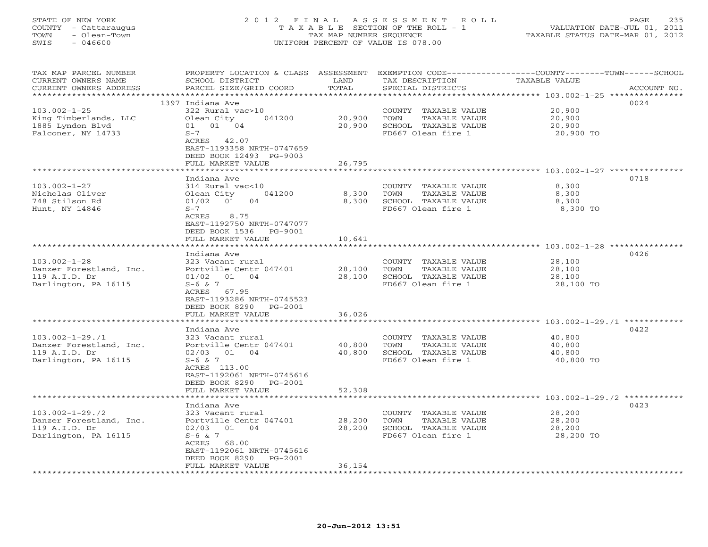# STATE OF NEW YORK 2 0 1 2 F I N A L A S S E S S M E N T R O L L PAGE 235 COUNTY - Cattaraugus T A X A B L E SECTION OF THE ROLL - 1 VALUATION DATE-JUL 01, 2011 TOWN - Olean-Town TAX MAP NUMBER SEQUENCE TAXABLE STATUS DATE-MAR 01, 2012 SWIS - 046600 UNIFORM PERCENT OF VALUE IS 078.00UNIFORM PERCENT OF VALUE IS 078.00

| TAX MAP PARCEL NUMBER<br>CURRENT OWNERS NAME<br>CURRENT OWNERS ADDRESS | PROPERTY LOCATION & CLASS ASSESSMENT<br>SCHOOL DISTRICT<br>PARCEL SIZE/GRID COORD | LAND<br>TOTAL | TAX DESCRIPTION<br>SPECIAL DISTRICTS       | EXEMPTION CODE----------------COUNTY-------TOWN-----SCHOOL<br>TAXABLE VALUE<br>ACCOUNT NO. |
|------------------------------------------------------------------------|-----------------------------------------------------------------------------------|---------------|--------------------------------------------|--------------------------------------------------------------------------------------------|
| *******************                                                    |                                                                                   | ***********   |                                            | ************************************** 103.002-1-25 ****************                       |
|                                                                        | 1397 Indiana Ave                                                                  |               |                                            | 0024                                                                                       |
| $103.002 - 1 - 25$                                                     | 322 Rural vac>10                                                                  |               | COUNTY TAXABLE VALUE                       | 20,900                                                                                     |
| King Timberlands, LLC                                                  | Olean City<br>041200                                                              | 20,900        | TAXABLE VALUE<br>TOWN                      | 20,900                                                                                     |
| 1885 Lyndon Blvd                                                       | 01 01 04                                                                          | 20,900        | SCHOOL TAXABLE VALUE                       | 20,900                                                                                     |
| Falconer, NY 14733                                                     | $S-7$                                                                             |               | FD667 Olean fire 1                         | 20,900 TO                                                                                  |
|                                                                        | ACRES 42.07                                                                       |               |                                            |                                                                                            |
|                                                                        | EAST-1193358 NRTH-0747659                                                         |               |                                            |                                                                                            |
|                                                                        | DEED BOOK 12493 PG-9003                                                           |               |                                            |                                                                                            |
|                                                                        | FULL MARKET VALUE                                                                 | 26,795        |                                            | ****************** 103.002-1-27 *********                                                  |
|                                                                        | Indiana Ave                                                                       |               |                                            | 0718                                                                                       |
| $103.002 - 1 - 27$                                                     | 314 Rural vac<10                                                                  |               | COUNTY TAXABLE VALUE                       | 8,300                                                                                      |
| Nicholas Oliver                                                        | Olean City<br>041200                                                              | 8,300         | TOWN<br>TAXABLE VALUE                      | 8,300                                                                                      |
| 748 Stilson Rd                                                         | 04<br>$01/02$ 01                                                                  | 8,300         | SCHOOL TAXABLE VALUE                       | 8,300                                                                                      |
| Hunt, NY 14846                                                         | $S-7$                                                                             |               | FD667 Olean fire 1                         | 8,300 TO                                                                                   |
|                                                                        | 8.75<br>ACRES                                                                     |               |                                            |                                                                                            |
|                                                                        | EAST-1192750 NRTH-0747077                                                         |               |                                            |                                                                                            |
|                                                                        | DEED BOOK 1536 PG-9001                                                            |               |                                            |                                                                                            |
|                                                                        | FULL MARKET VALUE                                                                 | 10,641        |                                            |                                                                                            |
|                                                                        |                                                                                   |               |                                            |                                                                                            |
|                                                                        | Indiana Ave                                                                       |               |                                            | 0426                                                                                       |
| $103.002 - 1 - 28$                                                     | 323 Vacant rural                                                                  |               | COUNTY TAXABLE VALUE                       | 28,100                                                                                     |
| Danzer Forestland, Inc.                                                | Portville Centr 047401                                                            | 28,100        | TOWN<br>TAXABLE VALUE                      | 28,100                                                                                     |
| 119 A.I.D. Dr                                                          | 01/02 01 04                                                                       | 28,100        | SCHOOL TAXABLE VALUE<br>FD667 Olean fire 1 | 28,100                                                                                     |
| Darlington, PA 16115                                                   | $S-6$ & 7<br>ACRES 67.95                                                          |               |                                            | 28,100 TO                                                                                  |
|                                                                        | EAST-1193286 NRTH-0745523                                                         |               |                                            |                                                                                            |
|                                                                        | DEED BOOK 8290 PG-2001                                                            |               |                                            |                                                                                            |
|                                                                        | FULL MARKET VALUE                                                                 | 36,026        |                                            |                                                                                            |
|                                                                        | **********************                                                            |               |                                            |                                                                                            |
|                                                                        | Indiana Ave                                                                       |               |                                            | 0422                                                                                       |
| $103.002 - 1 - 29.71$                                                  | 323 Vacant rural                                                                  |               | COUNTY TAXABLE VALUE                       | 40,800                                                                                     |
| Danzer Forestland, Inc.                                                | Portville Centr 047401                                                            | 40,800        | TOWN<br>TAXABLE VALUE                      | 40,800                                                                                     |
| 119 A.I.D. Dr                                                          | $02/03$ $01$ $04$                                                                 | 40,800        | SCHOOL TAXABLE VALUE                       | 40,800                                                                                     |
| Darlington, PA 16115                                                   | $S-6$ & 7                                                                         |               | FD667 Olean fire 1                         | 40,800 TO                                                                                  |
|                                                                        | ACRES 113.00                                                                      |               |                                            |                                                                                            |
|                                                                        | EAST-1192061 NRTH-0745616                                                         |               |                                            |                                                                                            |
|                                                                        | DEED BOOK 8290 PG-2001                                                            |               |                                            |                                                                                            |
|                                                                        | FULL MARKET VALUE<br>*****************                                            | 52,308        |                                            | ************************* 103.002-1-29./2 ********                                         |
|                                                                        | Indiana Ave                                                                       |               |                                            | 0423                                                                                       |
| $103.002 - 1 - 29.72$                                                  | 323 Vacant rural                                                                  |               | COUNTY TAXABLE VALUE                       | 28,200                                                                                     |
| Danzer Forestland, Inc.                                                | Portville Centr 047401                                                            | 28,200        | TAXABLE VALUE<br>TOWN                      | 28,200                                                                                     |
| 119 A.I.D. Dr                                                          | 01 04<br>02/03                                                                    | 28,200        | SCHOOL TAXABLE VALUE                       | 28,200                                                                                     |
| Darlington, PA 16115                                                   | $S-6$ & 7                                                                         |               | FD667 Olean fire 1                         | 28,200 TO                                                                                  |
|                                                                        | ACRES 68.00                                                                       |               |                                            |                                                                                            |
|                                                                        | EAST-1192061 NRTH-0745616                                                         |               |                                            |                                                                                            |
|                                                                        | DEED BOOK 8290<br>PG-2001                                                         |               |                                            |                                                                                            |
| **********************                                                 | FULL MARKET VALUE                                                                 | 36,154        |                                            |                                                                                            |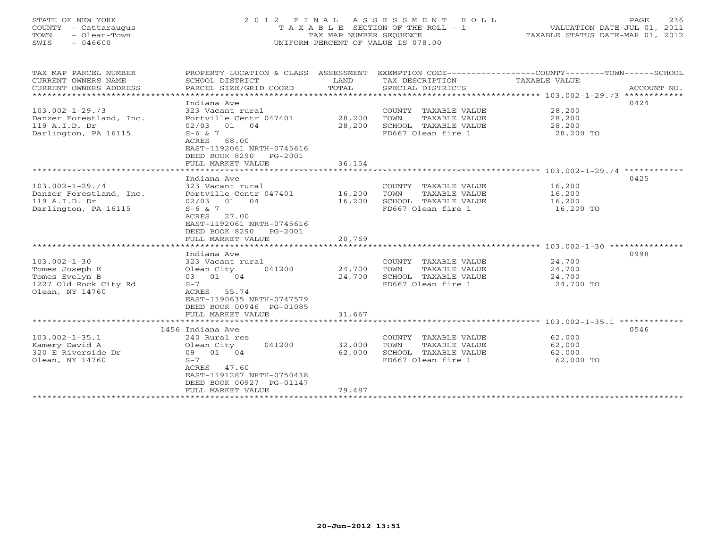# STATE OF NEW YORK 2 0 1 2 F I N A L A S S E S S M E N T R O L L PAGE 236 COUNTY - Cattaraugus T A X A B L E SECTION OF THE ROLL - 1 VALUATION DATE-JUL 01, 2011 TOWN - Olean-Town TAX MAP NUMBER SEQUENCE TAXABLE STATUS DATE-MAR 01, 2012 SWIS - 046600 UNIFORM PERCENT OF VALUE IS 078.00UNIFORM PERCENT OF VALUE IS 078.00

| TAX MAP PARCEL NUMBER<br>CURRENT OWNERS NAME<br>CURRENT OWNERS ADDRESS | PROPERTY LOCATION & CLASS ASSESSMENT<br>SCHOOL DISTRICT<br>PARCEL SIZE/GRID COORD | LAND<br>TOTAL | TAX DESCRIPTION<br>SPECIAL DISTRICTS          | EXEMPTION CODE----------------COUNTY-------TOWN------SCHOOL<br>TAXABLE VALUE<br>ACCOUNT NO. |
|------------------------------------------------------------------------|-----------------------------------------------------------------------------------|---------------|-----------------------------------------------|---------------------------------------------------------------------------------------------|
|                                                                        |                                                                                   |               |                                               |                                                                                             |
|                                                                        | Indiana Ave                                                                       |               |                                               | 0424                                                                                        |
| $103.002 - 1 - 29.73$                                                  | 323 Vacant rural<br>Portville Centr 047401 28,200                                 |               | COUNTY TAXABLE VALUE                          | 28,200                                                                                      |
| Danzer Forestland, Inc.<br>119 A.I.D. Dr                               | 02/03 01 04                                                                       | 28,200        | TOWN<br>TAXABLE VALUE<br>SCHOOL TAXABLE VALUE | 28,200<br>28,200                                                                            |
| Darlington, PA 16115                                                   | $S-6$ & 7                                                                         |               | FD667 Olean fire 1                            | 28,200 TO                                                                                   |
|                                                                        | ACRES 68.00<br>EAST-1192061 NRTH-0745616<br>DEED BOOK 8290 PG-2001                |               |                                               |                                                                                             |
|                                                                        | FULL MARKET VALUE                                                                 | 36,154        |                                               |                                                                                             |
|                                                                        |                                                                                   |               |                                               |                                                                                             |
|                                                                        | Indiana Ave                                                                       |               |                                               | 0425                                                                                        |
| $103.002 - 1 - 29.74$                                                  | 323 Vacant rural                                                                  |               | COUNTY TAXABLE VALUE                          | 16,200                                                                                      |
| Danzer Forestland, Inc.                                                | Portville Centr 047401 16,200                                                     |               | TAXABLE VALUE<br>TOWN                         | 16,200                                                                                      |
| 119 A.I.D. Dr                                                          | 02/03 01 04                                                                       | 16,200        | SCHOOL TAXABLE VALUE                          | 16,200                                                                                      |
| Darlington, PA 16115                                                   | $S-6$ & 7<br>ACRES<br>27.00<br>EAST-1192061 NRTH-0745616                          |               | FD667 Olean fire 1                            | 16,200 TO                                                                                   |
|                                                                        | DEED BOOK 8290 PG-2001                                                            |               |                                               |                                                                                             |
|                                                                        | FULL MARKET VALUE                                                                 | 20,769        |                                               |                                                                                             |
|                                                                        |                                                                                   |               |                                               |                                                                                             |
|                                                                        | Indiana Ave                                                                       |               |                                               | 0998                                                                                        |
| $103.002 - 1 - 30$                                                     | 323 Vacant rural                                                                  |               | COUNTY TAXABLE VALUE                          | 24,700                                                                                      |
| Tomes Joseph E                                                         | Olean City<br>041200                                                              | 24,700        | TOWN<br>TAXABLE VALUE                         | 24,700                                                                                      |
| Tomes Evelyn B                                                         | 03 01 04                                                                          | 24,700        | SCHOOL TAXABLE VALUE                          | 24,700                                                                                      |
| 1227 Old Rock City Rd                                                  | $S-7$                                                                             |               | FD667 Olean fire 1                            | 24,700 TO                                                                                   |
| Olean, NY 14760                                                        | ACRES 55.74                                                                       |               |                                               |                                                                                             |
|                                                                        | EAST-1190635 NRTH-0747579                                                         |               |                                               |                                                                                             |
|                                                                        | DEED BOOK 00946 PG-01085                                                          |               |                                               |                                                                                             |
|                                                                        | FULL MARKET VALUE                                                                 | 31,667        |                                               |                                                                                             |
|                                                                        | 1456 Indiana Ave                                                                  |               |                                               | 0546                                                                                        |
| $103.002 - 1 - 35.1$                                                   | 240 Rural res                                                                     |               | COUNTY TAXABLE VALUE                          | 62,000                                                                                      |
| Kamery David A                                                         | 041200<br>Olean City                                                              | 32,000        | TOWN<br>TAXABLE VALUE                         | 62,000                                                                                      |
| 320 E Riverside Dr                                                     | 09 01 04                                                                          | 62,000        | SCHOOL TAXABLE VALUE                          | 62,000                                                                                      |
| Olean, NY 14760                                                        | $S-7$                                                                             |               | FD667 Olean fire 1                            | 62,000 TO                                                                                   |
|                                                                        | ACRES 47.60                                                                       |               |                                               |                                                                                             |
|                                                                        | EAST-1191287 NRTH-0750438                                                         |               |                                               |                                                                                             |
|                                                                        | DEED BOOK 00927 PG-01147                                                          |               |                                               |                                                                                             |
|                                                                        | FULL MARKET VALUE                                                                 | 79,487        |                                               |                                                                                             |
|                                                                        |                                                                                   |               |                                               |                                                                                             |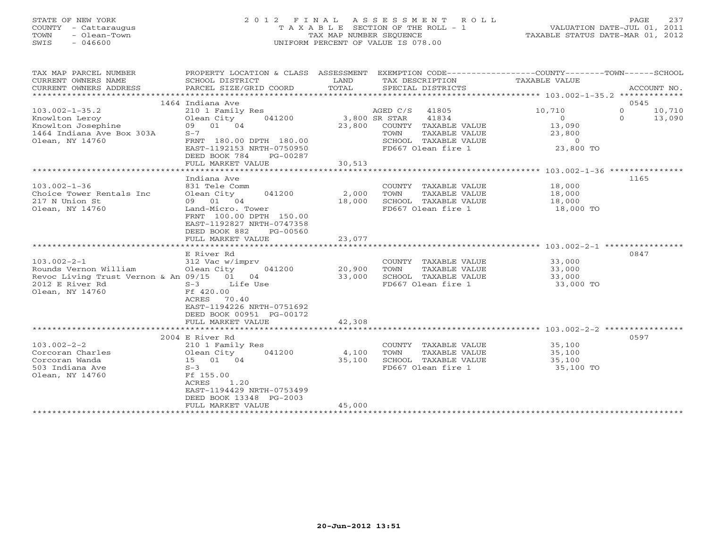# STATE OF NEW YORK 2 0 1 2 F I N A L A S S E S S M E N T R O L L PAGE 237 COUNTY - Cattaraugus T A X A B L E SECTION OF THE ROLL - 1 VALUATION DATE-JUL 01, 2011 TOWN - Olean-Town TAX MAP NUMBER SEQUENCE TAXABLE STATUS DATE-MAR 01, 2012 SWIS - 046600 UNIFORM PERCENT OF VALUE IS 078.00UNIFORM PERCENT OF VALUE IS 078.00

| TAX MAP PARCEL NUMBER<br>CURRENT OWNERS NAME<br>CURRENT OWNERS ADDRESS | PROPERTY LOCATION & CLASS ASSESSMENT<br>SCHOOL DISTRICT<br>PARCEL SIZE/GRID COORD | LAND<br>TOTAL   | TAX DESCRIPTION TAXABLE VALUE<br>SPECIAL DISTRICTS | EXEMPTION CODE-----------------COUNTY-------TOWN------SCHOOL | ACCOUNT NO.        |
|------------------------------------------------------------------------|-----------------------------------------------------------------------------------|-----------------|----------------------------------------------------|--------------------------------------------------------------|--------------------|
|                                                                        | 1464 Indiana Ave                                                                  |                 |                                                    |                                                              | 0545               |
| $103.002 - 1 - 35.2$                                                   | 210 1 Family Res                                                                  |                 | AGED C/S 41805                                     | 10,710                                                       | $\Omega$<br>10,710 |
|                                                                        |                                                                                   |                 | 41834                                              |                                                              | $\Omega$           |
|                                                                        | Olean City<br>041200                                                              | $3,800$ SR STAR |                                                    | $\begin{array}{c} 0 \\ 13,090 \end{array}$                   | 13,090             |
| Europhical<br>Knowlton Josephine<br>1464 Indian: 2                     | 09 01 04                                                                          | 23,800          | COUNTY TAXABLE VALUE                               |                                                              |                    |
| 1464 Indiana Ave Box 303A                                              | $S-7$                                                                             |                 | TAXABLE VALUE<br>TOWN                              | 23,800                                                       |                    |
| Olean, NY 14760                                                        | FRNT 180.00 DPTH 180.00                                                           |                 |                                                    |                                                              |                    |
|                                                                        | EAST-1192153 NRTH-0750950                                                         |                 |                                                    |                                                              |                    |
|                                                                        | DEED BOOK 784<br>PG-00287<br>FULL MARKET VALUE                                    | 30,513          |                                                    |                                                              |                    |
|                                                                        |                                                                                   |                 |                                                    |                                                              |                    |
|                                                                        | Indiana Ave                                                                       |                 |                                                    |                                                              | 1165               |
| $103.002 - 1 - 36$                                                     | 831 Tele Comm                                                                     |                 | COUNTY TAXABLE VALUE 18,000                        |                                                              |                    |
| Choice Tower Rentals Inc                                               | 041200 2,000<br>Olean City                                                        |                 | TOWN<br>TAXABLE VALUE                              | 18,000                                                       |                    |
| 217 N Union St                                                         | 09 01 04                                                                          | 18,000          | SCHOOL TAXABLE VALUE                               | 18,000                                                       |                    |
| Olean, NY 14760                                                        | Land-Micro. Tower                                                                 |                 | FD667 Olean fire 1                                 | $18,000$ TO                                                  |                    |
|                                                                        | FRNT 100.00 DPTH 150.00                                                           |                 |                                                    |                                                              |                    |
|                                                                        | EAST-1192827 NRTH-0747358                                                         |                 |                                                    |                                                              |                    |
|                                                                        | DEED BOOK 882<br>PG-00560                                                         |                 |                                                    |                                                              |                    |
|                                                                        | FULL MARKET VALUE                                                                 | 23,077          |                                                    |                                                              |                    |
|                                                                        |                                                                                   |                 |                                                    |                                                              |                    |
|                                                                        | E River Rd                                                                        |                 |                                                    |                                                              | 0847               |
| $103.002 - 2 - 1$                                                      | 312 Vac w/imprv                                                                   |                 | COUNTY TAXABLE VALUE 33,000                        |                                                              |                    |
| Rounds Vernon William                                                  | $041200$ 20,900<br>Olean City                                                     |                 | TOWN                                               | TAXABLE VALUE 33,000                                         |                    |
| Revoc Living Trust Vernon & An 09/15 01 04                             |                                                                                   |                 | SCHOOL TAXABLE VALUE                               |                                                              |                    |
| 2012 E River Rd                                                        | S-3 Life Use                                                                      | 33,000          | FD667 Olean fire 1                                 | 33,000<br>33,000 TO                                          |                    |
| Olean, NY 14760                                                        | Ff 420.00                                                                         |                 |                                                    |                                                              |                    |
|                                                                        | ACRES<br>70.40                                                                    |                 |                                                    |                                                              |                    |
|                                                                        | EAST-1194226 NRTH-0751692                                                         |                 |                                                    |                                                              |                    |
|                                                                        | DEED BOOK 00951 PG-00172                                                          |                 |                                                    |                                                              |                    |
|                                                                        | FULL MARKET VALUE                                                                 | 42,308          |                                                    |                                                              |                    |
|                                                                        |                                                                                   |                 |                                                    |                                                              |                    |
|                                                                        | 2004 E River Rd                                                                   |                 |                                                    |                                                              | 0597               |
| $103.002 - 2 - 2$                                                      | 210 1 Family Res                                                                  |                 | COUNTY TAXABLE VALUE 35,100                        |                                                              |                    |
| Corcoran Charles                                                       | 041200 4,100                                                                      |                 | TOWN<br>TAXABLE VALUE                              | 35,100                                                       |                    |
| Corcoran Wanda                                                         |                                                                                   | 35,100          |                                                    |                                                              |                    |
| 503 Indiana Ave                                                        |                                                                                   |                 | FD667 Olean fire 1                                 | 35,100<br>35,100 TO                                          |                    |
| Olean, NY 14760                                                        | Ff 155.00                                                                         |                 |                                                    |                                                              |                    |
|                                                                        | 1.20<br>ACRES                                                                     |                 |                                                    |                                                              |                    |
|                                                                        | EAST-1194429 NRTH-0753499                                                         |                 |                                                    |                                                              |                    |
|                                                                        | DEED BOOK 13348 PG-2003                                                           |                 |                                                    |                                                              |                    |
|                                                                        | FULL MARKET VALUE                                                                 | 45,000          |                                                    |                                                              |                    |
|                                                                        |                                                                                   |                 |                                                    |                                                              |                    |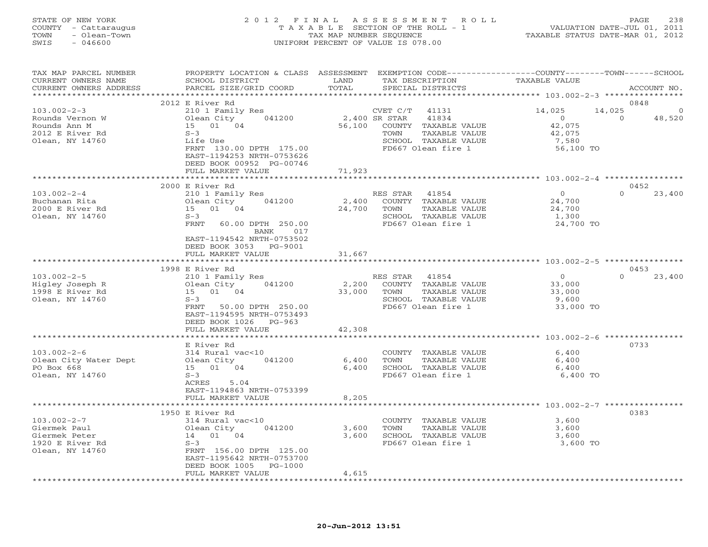| STATE OF NEW YORK<br>- Cattaraugus<br>COUNTY<br>- Olean-Town<br>TOWN<br>SWIS<br>$-046600$ | 2012<br>TAXABLE                              | FTNAL<br>TAX MAP NUMBER SEQUENCE<br>UNIFORM PERCENT OF VALUE IS 078.00 | ASSESSMENT ROLL<br>SECTION OF THE ROLL - 1 | TAXABLE STATUS DATE-MAR 01, 2012                   | PAGE<br>VALUATION DATE-JUL 01, 2011 | 238         |
|-------------------------------------------------------------------------------------------|----------------------------------------------|------------------------------------------------------------------------|--------------------------------------------|----------------------------------------------------|-------------------------------------|-------------|
| TAX MAP PARCEL NUMBER<br>CURRENT OWNERS NAME                                              | PROPERTY LOCATION & CLASS<br>SCHOOL DISTRICT | ASSESSMENT<br>LAND                                                     | EXEMPTION CODE--<br>TAX DESCRIPTION        | -----------COUNTY-------TOWN-----<br>TAXABLE VALUE |                                     | $-SCHOOT$   |
| CURRENT OWNERS ADDRESS                                                                    | PARCEL SIZE/GRID COORD                       | TOTAL                                                                  | SPECIAL DISTRICTS                          |                                                    |                                     | ACCOUNT NO. |
|                                                                                           |                                              |                                                                        |                                            |                                                    |                                     |             |
|                                                                                           | 2012 E River Rd                              |                                                                        |                                            |                                                    | 0848                                |             |
| $103.002 - 2 - 3$                                                                         | 210 1 Family Res                             | CVET C/T                                                               | 41131                                      | 14,025                                             | 14,025                              | $\circ$     |
| Rounds Vernon W                                                                           | Olean City<br>041200                         | 2,400 SR STAR                                                          | 41834                                      |                                                    | $\Omega$                            | 48,520      |
| Rounds Ann M                                                                              | 15 01<br>04                                  | 56,100<br>COUNTY                                                       | TAXABLE VALUE                              | 42,075                                             |                                     |             |
| 2012 E River Rd                                                                           | $S-3$                                        | TOWN                                                                   | TAXABLE VALUE                              | 42,075                                             |                                     |             |

Olean, NY 14760 Life Use SCHOOL TAXABLE VALUE 7,580

|                       | FRNT 130.00 DPTH 175.00<br>EAST-1194253 NRTH-0753626<br>DEED BOOK 00952 PG-00746<br>FULL MARKET VALUE | FD667 Olean fire 1<br>71,923    | 56,100 TO                                              |
|-----------------------|-------------------------------------------------------------------------------------------------------|---------------------------------|--------------------------------------------------------|
|                       |                                                                                                       |                                 | ********************* 103.002-2-4 *****************    |
|                       | 2000 E River Rd                                                                                       |                                 | 0452                                                   |
| $103.002 - 2 - 4$     | 210 1 Family Res                                                                                      | RES STAR<br>41854               | $\Omega$<br>$\Omega$<br>23,400                         |
| Buchanan Rita         | 041200<br>Olean City                                                                                  | 2,400<br>COUNTY TAXABLE VALUE   | 24,700                                                 |
| 2000 E River Rd       | 15 01 04                                                                                              | 24,700<br>TOWN<br>TAXABLE VALUE | 24,700                                                 |
| Olean, NY 14760       | $S-3$                                                                                                 | SCHOOL TAXABLE VALUE            | 1,300                                                  |
|                       | FRNT<br>60.00 DPTH 250.00                                                                             | FD667 Olean fire 1              | 24,700 TO                                              |
|                       | BANK<br>017                                                                                           |                                 |                                                        |
|                       | EAST-1194542 NRTH-0753502                                                                             |                                 |                                                        |
|                       | DEED BOOK 3053 PG-9001                                                                                | 31,667                          |                                                        |
|                       | FULL MARKET VALUE                                                                                     |                                 |                                                        |
|                       | 1998 E River Rd                                                                                       |                                 | 0453                                                   |
| $103.002 - 2 - 5$     | 210 1 Family Res                                                                                      | RES STAR<br>41854               | $\overline{O}$<br>$\Omega$<br>23,400                   |
| Higley Joseph R       | Olean City<br>041200                                                                                  | COUNTY TAXABLE VALUE<br>2,200   | 33,000                                                 |
| 1998 E River Rd       | 15 01 04                                                                                              | 33,000<br>TOWN<br>TAXABLE VALUE | 33,000                                                 |
| Olean, NY 14760       | $S-3$                                                                                                 | SCHOOL TAXABLE VALUE            | 9,600                                                  |
|                       | FRNT<br>50.00 DPTH 250.00                                                                             | FD667 Olean fire 1              | 33,000 TO                                              |
|                       | EAST-1194595 NRTH-0753493                                                                             |                                 |                                                        |
|                       | DEED BOOK 1026<br>PG-963                                                                              |                                 |                                                        |
|                       | FULL MARKET VALUE                                                                                     | 42,308                          |                                                        |
|                       |                                                                                                       |                                 | ************************ 103.002-2-6 ****************  |
|                       | E River Rd                                                                                            |                                 | 0733                                                   |
| $103.002 - 2 - 6$     | 314 Rural vac<10                                                                                      | COUNTY TAXABLE VALUE            | 6,400                                                  |
| Olean City Water Dept | 041200<br>Olean City                                                                                  | 6,400<br>TOWN<br>TAXABLE VALUE  | 6,400                                                  |
| PO Box 668            | 15 01 04                                                                                              | 6,400<br>SCHOOL TAXABLE VALUE   | 6,400                                                  |
| Olean, NY 14760       | $S-3$                                                                                                 | FD667 Olean fire 1              | 6,400 TO                                               |
|                       | 5.04<br>ACRES                                                                                         |                                 |                                                        |
|                       | EAST-1194863 NRTH-0753399                                                                             |                                 |                                                        |
|                       | FULL MARKET VALUE<br>************************                                                         | 8,205                           |                                                        |
|                       | 1950 E River Rd                                                                                       |                                 | **************** 103.002-2-7 *****************<br>0383 |
| $103.002 - 2 - 7$     | 314 Rural vac<10                                                                                      | COUNTY TAXABLE VALUE            | 3,600                                                  |
| Giermek Paul          | 041200<br>Olean City                                                                                  | 3,600<br>TOWN<br>TAXABLE VALUE  | 3,600                                                  |
| Giermek Peter         | 14 01 04                                                                                              | SCHOOL TAXABLE VALUE<br>3,600   | 3,600                                                  |
| 1920 E River Rd       | $S-3$                                                                                                 | FD667 Olean fire 1              | 3,600 TO                                               |
| Olean, NY 14760       | FRNT 156.00 DPTH 125.00                                                                               |                                 |                                                        |
|                       | EAST-1195642 NRTH-0753700                                                                             |                                 |                                                        |
|                       | DEED BOOK 1005<br>PG-1000                                                                             |                                 |                                                        |
|                       | FULL MARKET VALUE                                                                                     | 4,615                           |                                                        |
|                       |                                                                                                       |                                 |                                                        |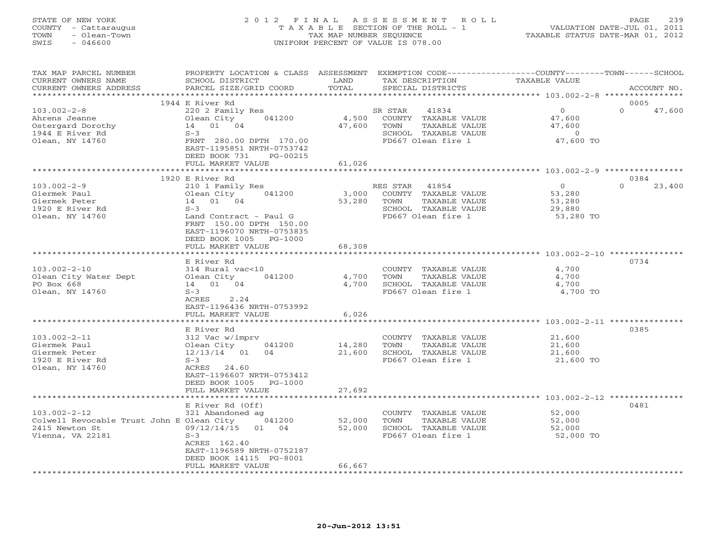# STATE OF NEW YORK 2 0 1 2 F I N A L A S S E S S M E N T R O L L PAGE 239 COUNTY - Cattaraugus T A X A B L E SECTION OF THE ROLL - 1 VALUATION DATE-JUL 01, 2011 TOWN - Olean-Town TAX MAP NUMBER SEQUENCE TAXABLE STATUS DATE-MAR 01, 2012 SWIS - 046600 UNIFORM PERCENT OF VALUE IS 078.00UNIFORM PERCENT OF VALUE IS 078.00

| TAX MAP PARCEL NUMBER<br>CURRENT OWNERS NAME<br>CURRENT OWNERS ADDRESS                                | PROPERTY LOCATION & CLASS ASSESSMENT EXEMPTION CODE---------------COUNTY-------TOWN------SCHOOL<br>SCHOOL DISTRICT<br>PARCEL SIZE/GRID COORD                                                | LAND<br>TOTAL              | TAX DESCRIPTION<br>SPECIAL DISTRICTS                                                                            | <b>TAXABLE VALUE</b>                                        | ACCOUNT NO.                |
|-------------------------------------------------------------------------------------------------------|---------------------------------------------------------------------------------------------------------------------------------------------------------------------------------------------|----------------------------|-----------------------------------------------------------------------------------------------------------------|-------------------------------------------------------------|----------------------------|
|                                                                                                       |                                                                                                                                                                                             |                            |                                                                                                                 |                                                             |                            |
| $103.002 - 2 - 8$<br>Ahrens Jeanne<br>Ostergard Dorothy<br>1944 E River Rd<br>Olean, NY 14760         | 1944 E River Rd<br>220 2 Family Res<br>Olean City<br>041200<br>14 01 04<br>$S-3$<br>FRNT 280.00 DPTH 170.00                                                                                 | 4,500<br>47,600            | 41834<br>SR STAR<br>COUNTY TAXABLE VALUE<br>TOWN<br>TAXABLE VALUE<br>SCHOOL TAXABLE VALUE<br>FD667 Olean fire 1 | $\Omega$<br>47,600<br>47,600<br>$\overline{0}$<br>47,600 TO | 0005<br>$\Omega$<br>47,600 |
|                                                                                                       | EAST-1195851 NRTH-0753742<br>DEED BOOK 731<br>PG-00215<br>FULL MARKET VALUE<br>************************                                                                                     | 61,026<br>**************   |                                                                                                                 | ************************ 103.002-2-9 ****************       |                            |
|                                                                                                       | 1920 E River Rd                                                                                                                                                                             |                            |                                                                                                                 |                                                             | 0384                       |
| $103.002 - 2 - 9$<br>Giermek Paul<br>Giermek Peter<br>1920 E River Rd<br>Olean, NY 14760              | 210 1 Family Res<br>Olean City<br>041200<br>14 01 04<br>$S-3$<br>Land Contract - Paul G<br>FRNT 150.00 DPTH 150.00<br>EAST-1196070 NRTH-0753835<br>DEED BOOK 1005 PG-1000                   | 3,000<br>53,280            | RES STAR 41854<br>COUNTY TAXABLE VALUE<br>TOWN<br>TAXABLE VALUE<br>SCHOOL TAXABLE VALUE<br>FD667 Olean fire 1   | $\overline{O}$<br>53,280<br>53,280<br>29,880<br>53,280 TO   | $\Omega$<br>23,400         |
|                                                                                                       | FULL MARKET VALUE                                                                                                                                                                           | 68,308                     |                                                                                                                 |                                                             |                            |
|                                                                                                       |                                                                                                                                                                                             |                            |                                                                                                                 |                                                             |                            |
| $103.002 - 2 - 10$<br>Olean City Water Dept<br>PO Box 668<br>Olean, NY 14760                          | E River Rd<br>314 Rural vac<10<br>Olean City<br>041200<br>14 01 04<br>$S-3$<br>ACRES<br>2.24<br>EAST-1196436 NRTH-0753992                                                                   | 4,700<br>4,700             | COUNTY TAXABLE VALUE<br>TOWN<br>TAXABLE VALUE<br>SCHOOL TAXABLE VALUE<br>FD667 Olean fire 1                     | 4,700<br>4,700<br>4,700<br>4,700 TO                         | 0734                       |
|                                                                                                       | FULL MARKET VALUE                                                                                                                                                                           | 6,026                      |                                                                                                                 |                                                             |                            |
| $103.002 - 2 - 11$<br>Giermek Paul<br>Giermek Peter<br>1920 E River Rd<br>Olean, NY 14760             | *************************<br>E River Rd<br>312 Vac w/imprv<br>Olean City<br>041200<br>12/13/14 01<br>04<br>$S-3$<br>ACRES 24.60<br>EAST-1196607 NRTH-0753412<br>DEED BOOK 1005<br>$PG-1000$ | 14,280<br>21,600           | COUNTY TAXABLE VALUE<br>TAXABLE VALUE<br>TOWN<br>SCHOOL TAXABLE VALUE<br>FD667 Olean fire 1                     | 21,600<br>21,600<br>21,600<br>21,600 TO                     | 0385                       |
|                                                                                                       | FULL MARKET VALUE                                                                                                                                                                           | 27,692                     |                                                                                                                 |                                                             |                            |
|                                                                                                       |                                                                                                                                                                                             |                            |                                                                                                                 |                                                             |                            |
| $103.002 - 2 - 12$<br>Colwell Revocable Trust John E Olean City<br>2415 Newton St<br>Vienna, VA 22181 | E River Rd (Off)<br>321 Abandoned ag<br>041200<br>09/12/14/15 01 04<br>$S-3$<br>ACRES 162.40<br>EAST-1196589 NRTH-0752187<br>DEED BOOK 14115 PG-8001<br>FULL MARKET VALUE                   | 52,000<br>52,000<br>66,667 | COUNTY TAXABLE VALUE<br>TAXABLE VALUE<br>TOWN<br>SCHOOL TAXABLE VALUE<br>FD667 Olean fire 1                     | 52,000<br>52,000<br>52,000<br>52,000 TO                     | 0481                       |
|                                                                                                       |                                                                                                                                                                                             |                            |                                                                                                                 |                                                             |                            |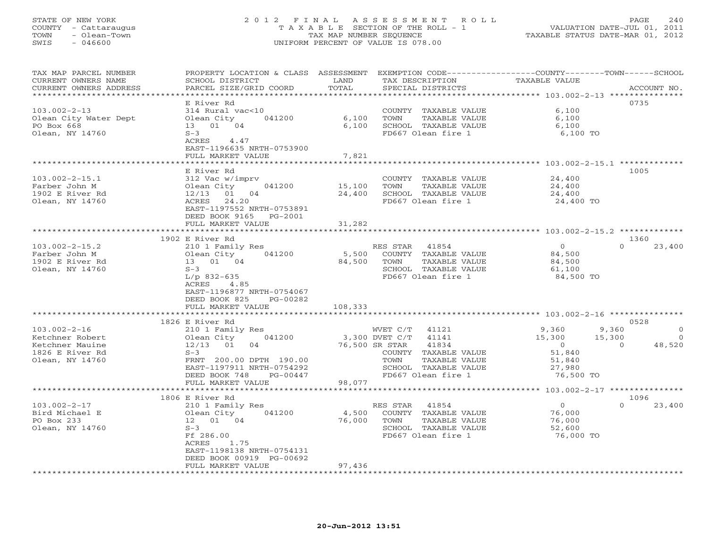# STATE OF NEW YORK 2 0 1 2 F I N A L A S S E S S M E N T R O L L PAGE 240 COUNTY - Cattaraugus T A X A B L E SECTION OF THE ROLL - 1 VALUATION DATE-JUL 01, 2011 TOWN - Olean-Town TAX MAP NUMBER SEQUENCE TAXABLE STATUS DATE-MAR 01, 2012 SWIS - 046600 UNIFORM PERCENT OF VALUE IS 078.00UNIFORM PERCENT OF VALUE IS 078.00

| TAX MAP PARCEL NUMBER<br>CURRENT OWNERS NAME<br>CURRENT OWNERS ADDRESS<br>********************* | PROPERTY LOCATION & CLASS ASSESSMENT<br>SCHOOL DISTRICT<br>PARCEL SIZE/GRID COORD<br>************************                                                                                  | LAND<br>TOTAL<br>************ | EXEMPTION CODE----------------COUNTY-------TOWN-----SCHOOL<br>TAX DESCRIPTION<br>SPECIAL DISTRICTS                                                                     | TAXABLE VALUE                                                                | ACCOUNT NO.                                                      |
|-------------------------------------------------------------------------------------------------|------------------------------------------------------------------------------------------------------------------------------------------------------------------------------------------------|-------------------------------|------------------------------------------------------------------------------------------------------------------------------------------------------------------------|------------------------------------------------------------------------------|------------------------------------------------------------------|
| $103.002 - 2 - 13$<br>Olean City Water Dept<br>PO Box 668<br>Olean, NY 14760                    | E River Rd<br>314 Rural vac<10<br>Olean City<br>041200<br>13  01  04<br>$S-3$<br>ACRES<br>4.47                                                                                                 | 6,100<br>6,100                | COUNTY TAXABLE VALUE<br>TOWN<br>TAXABLE VALUE<br>SCHOOL TAXABLE VALUE<br>FD667 Olean fire 1                                                                            | 6,100<br>6,100<br>6,100<br>6,100 TO                                          | 0735                                                             |
|                                                                                                 | EAST-1196635 NRTH-0753900<br>FULL MARKET VALUE<br>******************                                                                                                                           | 7,821<br>********             |                                                                                                                                                                        | **************** 103.002-2-15.1 **************                               |                                                                  |
| $103.002 - 2 - 15.1$<br>Farber John M<br>1902 E River Rd<br>Olean, NY 14760                     | E River Rd<br>312 Vac w/imprv<br>Olean City<br>041200<br>$12/13$ 01 04<br>24.20<br>ACRES<br>EAST-1197552 NRTH-0753891<br>DEED BOOK 9165<br>PG-2001                                             | 15,100<br>24,400              | COUNTY TAXABLE VALUE<br>TOWN<br>TAXABLE VALUE<br>SCHOOL TAXABLE VALUE<br>FD667 Olean fire 1                                                                            | 24,400<br>24,400<br>24,400<br>24,400 TO                                      | 1005                                                             |
|                                                                                                 | FULL MARKET VALUE                                                                                                                                                                              | 31,282                        |                                                                                                                                                                        |                                                                              |                                                                  |
|                                                                                                 | 1902 E River Rd                                                                                                                                                                                |                               |                                                                                                                                                                        |                                                                              | 1360                                                             |
| $103.002 - 2 - 15.2$<br>Farber John M<br>1902 E River Rd<br>Olean, NY 14760                     | 210 1 Family Res<br>Olean City<br>041200<br>13 01 04<br>$S-3$<br>$L/p$ 832-635<br>ACRES<br>4.85<br>EAST-1196877 NRTH-0754067<br>DEED BOOK 825<br>PG-00282                                      | 5,500<br>84,500               | 41854<br>RES STAR<br>COUNTY TAXABLE VALUE<br>TAXABLE VALUE<br>TOWN<br>SCHOOL TAXABLE VALUE<br>FD667 Olean fire 1                                                       | $\Omega$<br>84,500<br>84,500<br>61,100<br>84,500 TO                          | $\Omega$<br>23,400                                               |
|                                                                                                 | FULL MARKET VALUE                                                                                                                                                                              | 108,333                       |                                                                                                                                                                        |                                                                              |                                                                  |
|                                                                                                 |                                                                                                                                                                                                |                               |                                                                                                                                                                        | ****************** 103.002-2-16 ***************                              | 0528                                                             |
| $103.002 - 2 - 16$<br>Ketchner Robert<br>Ketchner Mauine<br>1826 E River Rd<br>Olean, NY 14760  | 1826 E River Rd<br>210 1 Family Res<br>041200<br>Olean City<br>$12/13$ 01<br>04<br>$S-3$<br>FRNT 200.00 DPTH 190.00<br>EAST-1197911 NRTH-0754292<br>DEED BOOK 748<br>$PG-00447$                |                               | 41121<br>WVET C/T<br>3,300 DVET C/T<br>41141<br>76,500 SR STAR<br>41834<br>COUNTY TAXABLE VALUE<br>TOWN<br>TAXABLE VALUE<br>SCHOOL TAXABLE VALUE<br>FD667 Olean fire 1 | 9,360<br>15,300<br>$\overline{0}$<br>51,840<br>51,840<br>27,980<br>76,500 TO | 9,360<br>$\mathbf 0$<br>15,300<br>$\Omega$<br>48,520<br>$\Omega$ |
|                                                                                                 | FULL MARKET VALUE                                                                                                                                                                              | 98,077                        |                                                                                                                                                                        |                                                                              |                                                                  |
|                                                                                                 |                                                                                                                                                                                                |                               |                                                                                                                                                                        | ***** 103.002-2-17 ***********                                               | 1096                                                             |
| $103.002 - 2 - 17$<br>Bird Michael E<br>PO Box 233<br>Olean, NY 14760                           | 1806 E River Rd<br>210 1 Family Res<br>041200<br>Olean City<br>12  01  04<br>$S-3$<br>Ff 286.00<br>1.75<br>ACRES<br>EAST-1198138 NRTH-0754131<br>DEED BOOK 00919 PG-00692<br>FULL MARKET VALUE | 4,500<br>76,000<br>97,436     | RES STAR<br>41854<br>COUNTY TAXABLE VALUE<br>TOWN<br>TAXABLE VALUE<br>SCHOOL TAXABLE VALUE<br>FD667 Olean fire 1                                                       | $\circ$<br>76,000<br>76,000<br>52,600<br>76,000 TO                           | $\Omega$<br>23,400                                               |
|                                                                                                 |                                                                                                                                                                                                |                               |                                                                                                                                                                        |                                                                              |                                                                  |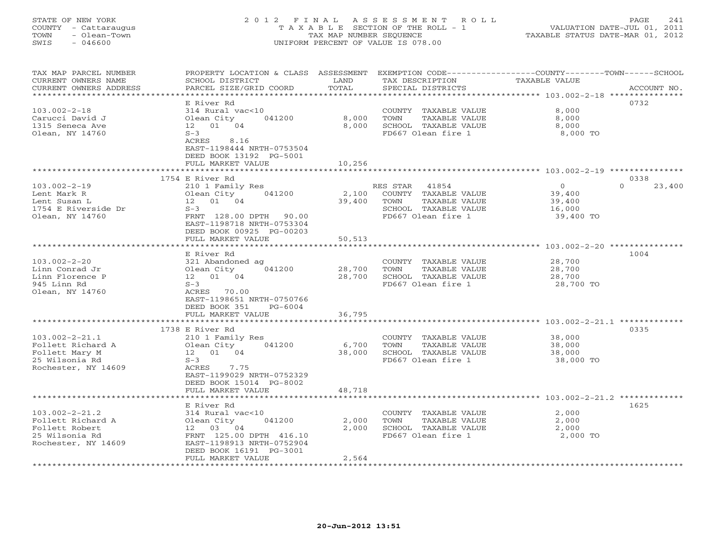# STATE OF NEW YORK 2 0 1 2 F I N A L A S S E S S M E N T R O L L PAGE 241 COUNTY - Cattaraugus T A X A B L E SECTION OF THE ROLL - 1 VALUATION DATE-JUL 01, 2011 TOWN - Olean-Town TAX MAP NUMBER SEQUENCE TAXABLE STATUS DATE-MAR 01, 2012 SWIS - 046600 UNIFORM PERCENT OF VALUE IS 078.00UNIFORM PERCENT OF VALUE IS 078.00

| TAX MAP PARCEL NUMBER<br>CURRENT OWNERS NAME                                                         | PROPERTY LOCATION & CLASS ASSESSMENT<br>SCHOOL DISTRICT                                                                                                                       | LAND                            | EXEMPTION CODE-----------------COUNTY-------TOWN------SCHOOL<br>TAX DESCRIPTION                                  | <b>TAXABLE VALUE</b>                               |                    |
|------------------------------------------------------------------------------------------------------|-------------------------------------------------------------------------------------------------------------------------------------------------------------------------------|---------------------------------|------------------------------------------------------------------------------------------------------------------|----------------------------------------------------|--------------------|
| CURRENT OWNERS ADDRESS<br>***********************                                                    | PARCEL SIZE/GRID COORD                                                                                                                                                        | TOTAL                           | SPECIAL DISTRICTS                                                                                                |                                                    | ACCOUNT NO.        |
|                                                                                                      | E River Rd                                                                                                                                                                    |                                 |                                                                                                                  |                                                    | 0732               |
| $103.002 - 2 - 18$<br>Carucci David J<br>1315 Seneca Ave<br>Olean, NY 14760                          | 314 Rural vac<10<br>Olean City<br>041200<br>12  01  04<br>$S-3$<br>ACRES<br>8.16                                                                                              | 8,000<br>8,000                  | COUNTY TAXABLE VALUE<br>TOWN<br>TAXABLE VALUE<br>SCHOOL TAXABLE VALUE<br>FD667 Olean fire 1                      | 8,000<br>8,000<br>8,000<br>8,000 TO                |                    |
|                                                                                                      | EAST-1198444 NRTH-0753504<br>DEED BOOK 13192 PG-5001<br>FULL MARKET VALUE                                                                                                     | 10,256<br>* * * * * * * * * * * | ******************************** 103.002-2-19 ****************                                                   |                                                    |                    |
|                                                                                                      | 1754 E River Rd                                                                                                                                                               |                                 |                                                                                                                  |                                                    | 0338               |
| $103.002 - 2 - 19$<br>Lent Mark R<br>Lent Susan L<br>1754 E Riverside Dr<br>Olean, NY 14760          | 210 1 Family Res<br>041200<br>Olean City<br>12  01  04<br>$S-3$<br>FRNT 128.00 DPTH<br>90.00<br>EAST-1198718 NRTH-0753304<br>DEED BOOK 00925 PG-00203<br>FULL MARKET VALUE    | 2,100<br>39,400<br>50,513       | RES STAR<br>41854<br>COUNTY TAXABLE VALUE<br>TOWN<br>TAXABLE VALUE<br>SCHOOL TAXABLE VALUE<br>FD667 Olean fire 1 | $\circ$<br>39,400<br>39,400<br>16,000<br>39,400 TO | 23,400<br>$\Omega$ |
|                                                                                                      |                                                                                                                                                                               |                                 |                                                                                                                  | $103.002 - 2 - 20$ ***                             |                    |
| $103.002 - 2 - 20$<br>Linn Conrad Jr<br>Linn Florence P<br>945 Linn Rd<br>Olean, NY 14760            | E River Rd<br>321 Abandoned ag<br>041200<br>Olean City<br>12  01  04<br>$S-3$<br>ACRES 70.00<br>EAST-1198651 NRTH-0750766<br>DEED BOOK 351<br>$PG-6004$                       | 28,700<br>28,700                | COUNTY TAXABLE VALUE<br>TOWN<br>TAXABLE VALUE<br>SCHOOL TAXABLE VALUE<br>FD667 Olean fire 1                      | 28,700<br>28,700<br>28,700<br>28,700 TO            | 1004               |
|                                                                                                      | FULL MARKET VALUE                                                                                                                                                             | 36,795                          |                                                                                                                  |                                                    |                    |
| $103.002 - 2 - 21.1$<br>Follett Richard A<br>Follett Mary M<br>25 Wilsonia Rd<br>Rochester, NY 14609 | 1738 E River Rd<br>210 1 Family Res<br>Olean City<br>041200<br>12  01  04<br>$S-3$<br>ACRES<br>7.75<br>EAST-1199029 NRTH-0752329<br>DEED BOOK 15014 PG-8002                   | 6,700<br>38,000                 | COUNTY TAXABLE VALUE<br>TOWN<br>TAXABLE VALUE<br>SCHOOL TAXABLE VALUE<br>FD667 Olean fire 1                      | 38,000<br>38,000<br>38,000<br>38,000 TO            | 0335               |
|                                                                                                      | FULL MARKET VALUE<br>******************                                                                                                                                       | 48,718                          |                                                                                                                  |                                                    |                    |
| $103.002 - 2 - 21.2$<br>Follett Richard A<br>Follett Robert<br>25 Wilsonia Rd<br>Rochester, NY 14609 | E River Rd<br>314 Rural vac<10<br>041200<br>Olean City<br>04<br>12 03<br>FRNT 125.00 DPTH 416.10<br>EAST-1198913 NRTH-0752904<br>DEED BOOK 16191 PG-3001<br>FULL MARKET VALUE | 2,000<br>2,000<br>2,564         | COUNTY TAXABLE VALUE<br>TOWN<br>TAXABLE VALUE<br>SCHOOL TAXABLE VALUE<br>FD667 Olean fire 1                      | 2,000<br>2,000<br>2,000<br>2,000 TO                | 1625               |
|                                                                                                      |                                                                                                                                                                               |                                 |                                                                                                                  |                                                    |                    |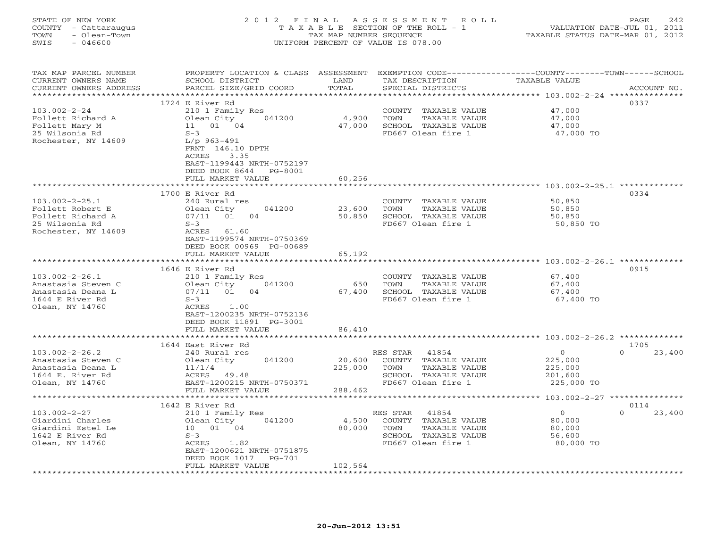# STATE OF NEW YORK 2 0 1 2 F I N A L A S S E S S M E N T R O L L PAGE 242 COUNTY - Cattaraugus T A X A B L E SECTION OF THE ROLL - 1 VALUATION DATE-JUL 01, 2011 TOWN - Olean-Town TAX MAP NUMBER SEQUENCE TAXABLE STATUS DATE-MAR 01, 2012 SWIS - 046600 UNIFORM PERCENT OF VALUE IS 078.00UNIFORM PERCENT OF VALUE IS 078.00

| TAX MAP PARCEL NUMBER<br>CURRENT OWNERS NAME<br>CURRENT OWNERS ADDRESS | PROPERTY LOCATION & CLASS ASSESSMENT<br>SCHOOL DISTRICT<br>PARCEL SIZE/GRID COORD | LAND<br>TOTAL | TAX DESCRIPTION<br>SPECIAL DISTRICTS | EXEMPTION CODE-----------------COUNTY-------TOWN------SCHOOL<br><b>TAXABLE VALUE</b> | ACCOUNT NO.        |
|------------------------------------------------------------------------|-----------------------------------------------------------------------------------|---------------|--------------------------------------|--------------------------------------------------------------------------------------|--------------------|
|                                                                        |                                                                                   |               |                                      |                                                                                      |                    |
|                                                                        | 1724 E River Rd                                                                   |               |                                      |                                                                                      | 0337               |
| $103.002 - 2 - 24$                                                     | 210 1 Family Res                                                                  |               | COUNTY TAXABLE VALUE                 | 47,000                                                                               |                    |
| Follett Richard A                                                      | Olean City<br>041200                                                              | 4,900         | TOWN<br>TAXABLE VALUE                | 47,000                                                                               |                    |
| Follett Mary M                                                         | 01 04<br>11                                                                       | 47,000        | SCHOOL TAXABLE VALUE                 | 47,000                                                                               |                    |
| 25 Wilsonia Rd                                                         | $S-3$                                                                             |               | FD667 Olean fire 1                   | 47,000 TO                                                                            |                    |
|                                                                        |                                                                                   |               |                                      |                                                                                      |                    |
| Rochester, NY 14609                                                    | $L/p$ 963-491<br>FRNT 146.10 DPTH<br>ACRES<br>3.35<br>EAST-1199443 NRTH-0752197   |               |                                      |                                                                                      |                    |
|                                                                        | DEED BOOK 8644<br>PG-8001                                                         |               |                                      |                                                                                      |                    |
|                                                                        | FULL MARKET VALUE                                                                 | 60,256        |                                      |                                                                                      |                    |
|                                                                        |                                                                                   |               |                                      | ******** 103.002-2-25.1 *************                                                |                    |
|                                                                        | 1700 E River Rd                                                                   |               |                                      |                                                                                      | 0334               |
| $103.002 - 2 - 25.1$                                                   | 240 Rural res                                                                     |               | COUNTY TAXABLE VALUE                 | 50,850                                                                               |                    |
| Follett Robert E                                                       | 041200<br>Olean City                                                              | 23,600        | TOWN<br>TAXABLE VALUE                | 50,850                                                                               |                    |
| Follett Richard A                                                      | 04<br>07/11<br>01                                                                 | 50,850        | SCHOOL TAXABLE VALUE                 | 50,850                                                                               |                    |
| 25 Wilsonia Rd                                                         | $S-3$                                                                             |               | FD667 Olean fire 1                   | 50,850 TO                                                                            |                    |
| Rochester, NY 14609                                                    | ACRES 61.60                                                                       |               |                                      |                                                                                      |                    |
|                                                                        | EAST-1199574 NRTH-0750369                                                         |               |                                      |                                                                                      |                    |
|                                                                        | DEED BOOK 00969 PG-00689                                                          |               |                                      |                                                                                      |                    |
|                                                                        | FULL MARKET VALUE                                                                 | 65,192        |                                      |                                                                                      |                    |
|                                                                        | *****************************                                                     |               |                                      |                                                                                      |                    |
|                                                                        | 1646 E River Rd                                                                   |               |                                      |                                                                                      | 0915               |
| $103.002 - 2 - 26.1$                                                   | 210 1 Family Res                                                                  |               | COUNTY TAXABLE VALUE                 | 67,400                                                                               |                    |
| Anastasia Steven C                                                     | 041200<br>Olean City                                                              | 650           | TOWN<br>TAXABLE VALUE                | 67,400                                                                               |                    |
| Anastasia Deana L                                                      | 07/11 01<br>04                                                                    | 67,400        | SCHOOL TAXABLE VALUE                 | 67,400                                                                               |                    |
| 1644 E River Rd                                                        | $S-3$                                                                             |               | FD667 Olean fire 1                   | 67,400 TO                                                                            |                    |
| Olean, NY 14760                                                        | 1.00<br>ACRES                                                                     |               |                                      |                                                                                      |                    |
|                                                                        | EAST-1200235 NRTH-0752136                                                         |               |                                      |                                                                                      |                    |
|                                                                        | DEED BOOK 11891 PG-3001                                                           |               |                                      |                                                                                      |                    |
|                                                                        | FULL MARKET VALUE                                                                 | 86,410        |                                      |                                                                                      |                    |
|                                                                        |                                                                                   |               |                                      |                                                                                      |                    |
|                                                                        | 1644 East River Rd                                                                |               |                                      |                                                                                      | 1705               |
| $103.002 - 2 - 26.2$                                                   | 240 Rural res                                                                     |               | RES STAR<br>41854                    | $\circ$                                                                              | $\Omega$<br>23,400 |
| Anastasia Steven C                                                     | 041200<br>Olean City                                                              | 20,600        | COUNTY TAXABLE VALUE                 | 225,000                                                                              |                    |
| Anastasia Deana L                                                      | 11/1/4                                                                            | 225,000       | TOWN<br>TAXABLE VALUE                | 225,000                                                                              |                    |
| 1644 E. River Rd                                                       | 49.48<br>ACRES                                                                    |               | SCHOOL TAXABLE VALUE                 | 201,600                                                                              |                    |
| Olean, NY 14760                                                        | EAST-1200215 NRTH-0750371                                                         |               | FD667 Olean fire 1                   | 225,000 TO                                                                           |                    |
|                                                                        | FULL MARKET VALUE                                                                 | 288,462       |                                      |                                                                                      |                    |
|                                                                        | *******************                                                               |               |                                      | *********** 103.002-2-27 ***************                                             |                    |
|                                                                        | 1642 E River Rd                                                                   |               |                                      |                                                                                      | 0114               |
| $103.002 - 2 - 27$                                                     | 210 1 Family Res                                                                  |               | RES STAR<br>41854                    | $\overline{0}$                                                                       | $\Omega$<br>23,400 |
| Giardini Charles                                                       | 041200<br>Olean City                                                              | 4,500         | COUNTY TAXABLE VALUE                 | 80,000                                                                               |                    |
| Giardini Estel Le                                                      | 10 01 04                                                                          | 80,000        | TOWN<br>TAXABLE VALUE                | 80,000                                                                               |                    |
| 1642 E River Rd                                                        | $S-3$                                                                             |               | SCHOOL TAXABLE VALUE                 | 56,600                                                                               |                    |
| Olean, NY 14760                                                        | ACRES<br>1.82                                                                     |               | FD667 Olean fire 1                   | 80,000 TO                                                                            |                    |
|                                                                        | EAST-1200621 NRTH-0751875                                                         |               |                                      |                                                                                      |                    |
|                                                                        | DEED BOOK 1017<br>PG-701                                                          |               |                                      |                                                                                      |                    |
|                                                                        | FULL MARKET VALUE                                                                 | 102,564       |                                      |                                                                                      |                    |
|                                                                        |                                                                                   |               |                                      |                                                                                      |                    |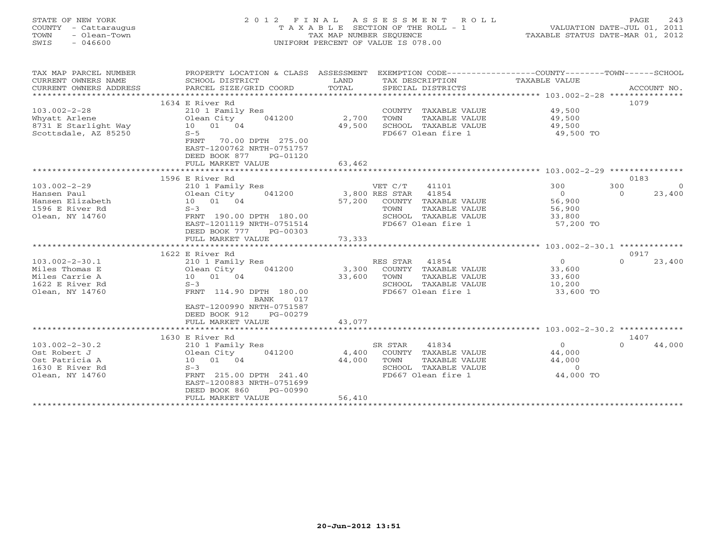| STATE OF NEW YORK<br>- Cattaraugus<br>COUNTY<br>- Olean-Town<br>TOWN<br>SWIS<br>$-046600$ |                                               | TAX MAP NUMBER SEOUENCE<br>UNIFORM PERCENT OF VALUE IS 078.00 | 2012 FINAL ASSESSMENT ROLL<br>T A X A B L E SECTION OF THE ROLL - 1 | TAXABLE STATUS DATE-MAR 01, 2012                                   | PAGE<br>VALUATION DATE-JUL 01, 2011 | 243     |
|-------------------------------------------------------------------------------------------|-----------------------------------------------|---------------------------------------------------------------|---------------------------------------------------------------------|--------------------------------------------------------------------|-------------------------------------|---------|
| TAX MAP PARCEL NUMBER<br>$C$ ים מתוחמות המותח החווה החווים ה                              | PROPERTY LOCATION & CLASS<br>COUODI DICTOROTO | ASSESSMENT<br>רות ה                                           | MAY DECOPTOMION                                                     | EXEMPTION CODE-----------------COUNTY-------<br>סוז דגזו סדם השגרת | -TOWN-                              | -SCHOOL |

| CURRENT OWNERS NAME    | SCHOOT DISTRICT<br><b>LAND</b> |             | TAX DESCRIPTION                                                    | TAXABLE VALUE  |                       |
|------------------------|--------------------------------|-------------|--------------------------------------------------------------------|----------------|-----------------------|
| CURRENT OWNERS ADDRESS | PARCEL SIZE/GRID COORD         | TOTAL       | SPECIAL DISTRICTS                                                  |                | ACCOUNT NO.           |
|                        |                                |             |                                                                    |                |                       |
|                        | 1634 E River Rd                |             |                                                                    |                | 1079                  |
| $103.002 - 2 - 28$     | 210 1 Family Res               |             | COUNTY TAXABLE VALUE                                               | 49,500         |                       |
| Whyatt Arlene          | Olean City<br>041200           | 2,700       | TOWN<br>TAXABLE VALUE                                              | 49,500         |                       |
| 8731 E Starlight Way   | 10 01 04                       | 49,500      | SCHOOL TAXABLE VALUE                                               | 49,500         |                       |
| Scottsdale, AZ 85250   | $S-5$                          |             | FD667 Olean fire 1                                                 | 49,500 TO      |                       |
|                        | FRNT<br>70.00 DPTH 275.00      |             |                                                                    |                |                       |
|                        | EAST-1200762 NRTH-0751757      |             |                                                                    |                |                       |
|                        | DEED BOOK 877<br>PG-01120      |             |                                                                    |                |                       |
|                        | FULL MARKET VALUE              | 63,462      |                                                                    |                |                       |
|                        |                                |             |                                                                    |                |                       |
|                        | 1596 E River Rd                |             |                                                                    |                | 0183                  |
| $103.002 - 2 - 29$     | 210 1 Family Res               |             | VET C/T<br>41101                                                   | 300            | 300<br>$\overline{0}$ |
| Hansen Paul            | 041200<br>Olean City           |             | 3,800 RES STAR 41854                                               | $\overline{0}$ | 23,400<br>$\Omega$    |
| Hansen Elizabeth       | 10 01 04                       |             | 57,200 COUNTY TAXABLE VALUE                                        | 56,900         |                       |
| 1596 E River Rd        | $S-3$                          |             | TOWN<br>TAXABLE VALUE                                              | 56,900         |                       |
| Olean, NY 14760        | FRNT 190.00 DPTH 180.00        |             | SCHOOL TAXABLE VALUE                                               | 33,800         |                       |
|                        | EAST-1201119 NRTH-0751514      |             | FD667 Olean fire 1                                                 | 57,200 TO      |                       |
|                        | DEED BOOK 777<br>$PG-00303$    |             |                                                                    |                |                       |
|                        | FULL MARKET VALUE              | 73,333      |                                                                    |                |                       |
|                        | ***************************    |             |                                                                    |                |                       |
|                        | 1622 E River Rd                |             |                                                                    |                | 0917                  |
| $103.002 - 2 - 30.1$   | 210 1 Family Res               |             | RES STAR 41854                                                     | $\circ$        | $\Omega$<br>23,400    |
| Miles Thomas E         | 041200<br>Olean City           | 3,300       | COUNTY TAXABLE VALUE                                               | 33,600         |                       |
| Miles Carrie A         | 10 01 04                       | 33,600      | TOWN<br>TAXABLE VALUE                                              | 33,600         |                       |
| 1622 E River Rd        | $S-3$                          |             | SCHOOL TAXABLE VALUE                                               | 10,200         |                       |
| Olean, NY 14760        | FRNT 114.90 DPTH 180.00        |             | FD667 Olean fire 1                                                 | 33,600 TO      |                       |
|                        | BANK<br>017                    |             |                                                                    |                |                       |
|                        | EAST-1200990 NRTH-0751587      |             |                                                                    |                |                       |
|                        | DEED BOOK 912<br>PG-00279      |             |                                                                    |                |                       |
|                        | FULL MARKET VALUE              | 43,077      |                                                                    |                |                       |
|                        | ************************       | *********** | ************************************* 103.002-2-30.2 ************* |                |                       |
|                        | 1630 E River Rd                |             |                                                                    |                | 1407                  |
| $103.002 - 2 - 30.2$   | 210 1 Family Res               |             | 41834<br>SR STAR                                                   | $\Omega$       | $\Omega$<br>44,000    |
| Ost Robert J           | 041200<br>Olean City           | 4,400       | COUNTY TAXABLE VALUE                                               | 44,000         |                       |
| Ost Patricia A         | 10 01 04                       | 44,000      | TOWN<br>TAXABLE VALUE                                              | 44,000         |                       |
| 1630 E River Rd        | $S-3$                          |             | SCHOOL TAXABLE VALUE                                               | $\overline{0}$ |                       |
| Olean, NY 14760        | FRNT 215.00 DPTH 241.40        |             | FD667 Olean fire 1                                                 | 44,000 TO      |                       |
|                        | EAST-1200883 NRTH-0751699      |             |                                                                    |                |                       |
|                        | DEED BOOK 860<br>PG-00990      |             |                                                                    |                |                       |
|                        | FULL MARKET VALUE              | 56,410      |                                                                    |                |                       |
|                        |                                |             |                                                                    |                |                       |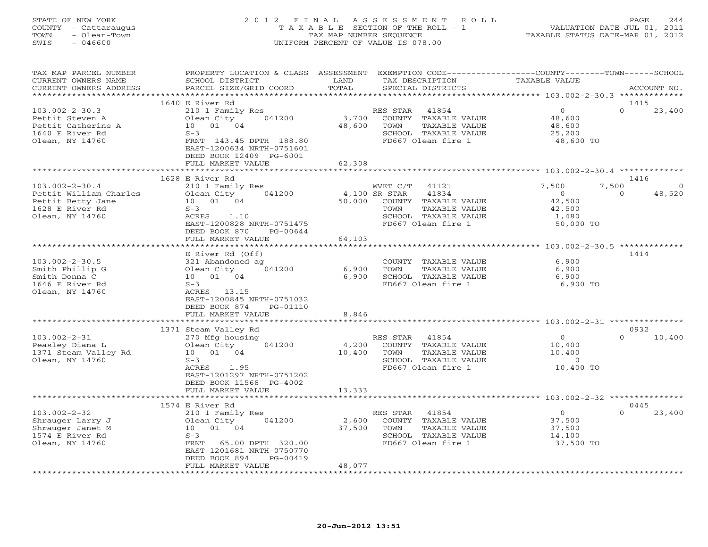# STATE OF NEW YORK 2 0 1 2 F I N A L A S S E S S M E N T R O L L PAGE 244 COUNTY - Cattaraugus T A X A B L E SECTION OF THE ROLL - 1 VALUATION DATE-JUL 01, 2011 TOWN - Olean-Town TAX MAP NUMBER SEQUENCE TAXABLE STATUS DATE-MAR 01, 2012 SWIS - 046600 UNIFORM PERCENT OF VALUE IS 078.00UNIFORM PERCENT OF VALUE IS 078.00

| TAX MAP PARCEL NUMBER<br>CURRENT OWNERS NAME<br>CURRENT OWNERS ADDRESS<br>*************************       | PROPERTY LOCATION & CLASS ASSESSMENT<br>SCHOOL DISTRICT<br>PARCEL SIZE/GRID COORD                                                                                                                     | LAND<br>TOTAL                | EXEMPTION CODE-----------------COUNTY-------TOWN-----SCHOOL<br>TAX DESCRIPTION<br>SPECIAL DISTRICTS                                        | <b>TAXABLE VALUE</b>                                                       | ACCOUNT NO.                            |
|-----------------------------------------------------------------------------------------------------------|-------------------------------------------------------------------------------------------------------------------------------------------------------------------------------------------------------|------------------------------|--------------------------------------------------------------------------------------------------------------------------------------------|----------------------------------------------------------------------------|----------------------------------------|
|                                                                                                           |                                                                                                                                                                                                       |                              |                                                                                                                                            |                                                                            |                                        |
| $103.002 - 2 - 30.3$<br>Pettit Steven A<br>Pettit Catherine A<br>1640 E River Rd<br>Olean, NY 14760       | 1640 E River Rd<br>210 1 Family Res<br>041200<br>Olean City<br>01 04<br>10<br>$S-3$<br>FRNT 143.45 DPTH 188.80<br>EAST-1200634 NRTH-0751601<br>DEED BOOK 12409 PG-6001<br>FULL MARKET VALUE           | 3,700<br>48,600<br>62,308    | 41854<br>RES STAR<br>COUNTY TAXABLE VALUE<br>TAXABLE VALUE<br>TOWN<br>SCHOOL TAXABLE VALUE<br>FD667 Olean fire 1                           | $\circ$<br>48,600<br>48,600<br>25,200<br>48,600 TO                         | 1415<br>$\Omega$<br>23,400             |
|                                                                                                           |                                                                                                                                                                                                       |                              |                                                                                                                                            |                                                                            |                                        |
| $103.002 - 2 - 30.4$<br>Pettit William Charles<br>Pettit Betty Jane<br>1628 E River Rd<br>Olean, NY 14760 | 1628 E River Rd<br>210 1 Family Res<br>041200<br>Olean City<br>10 01 04<br>$S-3$<br>1.10<br>ACRES<br>EAST-1200828 NRTH-0751475<br>DEED BOOK 870<br>PG-00644<br>FULL MARKET VALUE<br>***************** | 50,000<br>64,103<br>******** | WVET C/T<br>41121<br>4,100 SR STAR<br>41834<br>COUNTY TAXABLE VALUE<br>TAXABLE VALUE<br>TOWN<br>SCHOOL TAXABLE VALUE<br>FD667 Olean fire 1 | 7,500<br>7,500<br>$\overline{0}$<br>42,500<br>42,500<br>1,480<br>50,000 TO | 1416<br>$\Omega$<br>$\Omega$<br>48,520 |
|                                                                                                           |                                                                                                                                                                                                       |                              |                                                                                                                                            | ************* 103.002-2-30.5 **************                                |                                        |
| $103.002 - 2 - 30.5$<br>Smith Phillip G<br>Smith Donna C<br>1646 E River Rd<br>Olean, NY 14760            | E River Rd (Off)<br>321 Abandoned ag<br>041200<br>Olean City<br>10  01  04<br>$S-3$<br>ACRES<br>13.15<br>EAST-1200845 NRTH-0751032<br>DEED BOOK 874<br>PG-01110                                       | 6,900<br>6,900               | COUNTY TAXABLE VALUE<br>TOWN<br>TAXABLE VALUE<br>SCHOOL TAXABLE VALUE<br>FD667 Olean fire 1                                                | 6,900<br>6,900<br>6,900<br>6,900 TO                                        | 1414                                   |
|                                                                                                           | FULL MARKET VALUE                                                                                                                                                                                     | 8,846                        |                                                                                                                                            |                                                                            |                                        |
|                                                                                                           | ************************                                                                                                                                                                              |                              |                                                                                                                                            |                                                                            |                                        |
| $103.002 - 2 - 31$<br>Peasley Diana L<br>1371 Steam Valley Rd<br>Olean, NY 14760                          | 1371 Steam Valley Rd<br>270 Mfg housing<br>041200<br>Olean City<br>10 01 04<br>$S-3$<br>ACRES<br>1.95<br>EAST-1201297 NRTH-0751202<br>DEED BOOK 11568 PG-4002                                         | 4,200<br>10,400              | RES STAR 41854<br>COUNTY TAXABLE VALUE<br>TOWN<br><b>TAXABLE VALUE</b><br>SCHOOL TAXABLE VALUE<br>FD667 Olean fire 1                       | $\circ$<br>10,400<br>10,400<br>$\overline{0}$<br>10,400 TO                 | 0932<br>$\Omega$<br>10,400             |
|                                                                                                           | FULL MARKET VALUE                                                                                                                                                                                     | 13,333                       |                                                                                                                                            |                                                                            |                                        |
|                                                                                                           |                                                                                                                                                                                                       | ************                 |                                                                                                                                            | ****************************** 103.002-2-32 ***************                |                                        |
| $103.002 - 2 - 32$<br>Shrauger Larry J<br>Shrauger Janet M<br>1574 E River Rd<br>Olean, NY 14760          | 1574 E River Rd<br>210 1 Family Res<br>041200<br>Olean City<br>10  01  04<br>$S-3$<br>FRNT<br>65.00 DPTH 320.00<br>EAST-1201681 NRTH-0750770<br>DEED BOOK 894<br>PG-00419<br>FULL MARKET VALUE        | 2,600<br>37,500<br>48,077    | 41854<br>RES STAR<br>COUNTY TAXABLE VALUE<br>TOWN<br>TAXABLE VALUE<br>SCHOOL TAXABLE VALUE<br>FD667 Olean fire 1                           | $\circ$<br>37,500<br>37,500<br>14,100<br>37,500 TO                         | 0445<br>$\Omega$<br>23,400             |
| ************************                                                                                  |                                                                                                                                                                                                       |                              |                                                                                                                                            |                                                                            |                                        |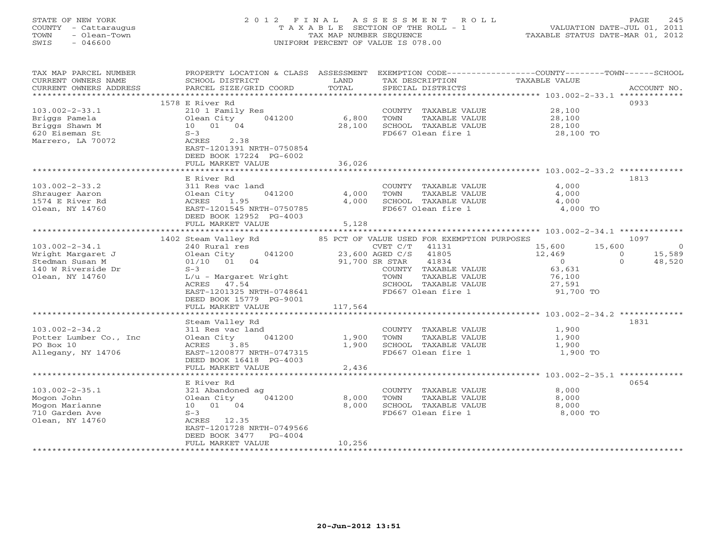# STATE OF NEW YORK 2 0 1 2 F I N A L A S S E S S M E N T R O L L PAGE 245 COUNTY - Cattaraugus T A X A B L E SECTION OF THE ROLL - 1 VALUATION DATE-JUL 01, 2011 TOWN - Olean-Town TAX MAP NUMBER SEQUENCE TAXABLE STATUS DATE-MAR 01, 2012 SWIS - 046600 UNIFORM PERCENT OF VALUE IS 078.00UNIFORM PERCENT OF VALUE IS 078.00

| TAX MAP PARCEL NUMBER<br>CURRENT OWNERS NAME            | PROPERTY LOCATION & CLASS<br>SCHOOL DISTRICT                                               | ASSESSMENT<br>LAND        | TAX DESCRIPTION                                                                             | EXEMPTION CODE----------------COUNTY-------TOWN-----SCHOOL<br>TAXABLE VALUE |                |
|---------------------------------------------------------|--------------------------------------------------------------------------------------------|---------------------------|---------------------------------------------------------------------------------------------|-----------------------------------------------------------------------------|----------------|
| CURRENT OWNERS ADDRESS<br>******************            | PARCEL SIZE/GRID COORD                                                                     | TOTAL<br>**************** | SPECIAL DISTRICTS                                                                           |                                                                             | ACCOUNT NO.    |
|                                                         | 1578 E River Rd                                                                            |                           |                                                                                             |                                                                             | 0933           |
| $103.002 - 2 - 33.1$<br>Briggs Pamela<br>Briggs Shawn M | 210 1 Family Res<br>041200<br>Olean City<br>10 01 04<br>$S-3$                              | 6,800<br>28,100           | COUNTY TAXABLE VALUE<br>TOWN<br>TAXABLE VALUE<br>SCHOOL TAXABLE VALUE<br>FD667 Olean fire 1 | 28,100<br>28,100<br>28,100                                                  |                |
| 620 Eiseman St<br>Marrero, LA 70072                     | ACRES<br>2.38<br>EAST-1201391 NRTH-0750854<br>DEED BOOK 17224 PG-6002<br>FULL MARKET VALUE | 36,026                    |                                                                                             | 28,100 TO                                                                   |                |
|                                                         |                                                                                            |                           |                                                                                             |                                                                             |                |
|                                                         | E River Rd                                                                                 |                           |                                                                                             |                                                                             | 1813           |
| $103.002 - 2 - 33.2$                                    | 311 Res vac land                                                                           |                           | COUNTY TAXABLE VALUE                                                                        | 4,000                                                                       |                |
| Shrauger Aaron<br>1574 E River Rd                       | 041200<br>Olean City<br>1.95                                                               | 4,000<br>4,000            | TAXABLE VALUE<br>TOWN<br>SCHOOL TAXABLE VALUE                                               | 4,000<br>4,000                                                              |                |
| Olean, NY 14760                                         | ACRES<br>EAST-1201545 NRTH-0750785                                                         |                           | FD667 Olean fire 1                                                                          | 4,000 TO                                                                    |                |
|                                                         | DEED BOOK 12952 PG-4003<br>FULL MARKET VALUE                                               | 5,128                     |                                                                                             |                                                                             |                |
|                                                         |                                                                                            |                           |                                                                                             |                                                                             |                |
|                                                         | 1402 Steam Valley Rd                                                                       |                           | 85 PCT OF VALUE USED FOR EXEMPTION PURPOSES                                                 |                                                                             | 1097           |
| $103.002 - 2 - 34.1$                                    | 240 Rural res                                                                              |                           | CVET C/T<br>41131                                                                           | 15,600<br>15,600                                                            | $\overline{0}$ |
| Wright Margaret J                                       | Olean City<br>041200<br>04                                                                 |                           | 23,600 AGED C/S<br>41805                                                                    | 12,469<br>$\circ$<br>$\Omega$                                               | 15,589         |
| Stedman Susan M<br>140 W Riverside Dr                   | 01/10 01<br>$S-3$                                                                          |                           | 91,700 SR STAR<br>41834<br>COUNTY TAXABLE VALUE                                             | $\overline{0}$<br>63,631                                                    | 48,520         |
| Olean, NY 14760                                         | L/u - Margaret Wright                                                                      |                           | TOWN<br>TAXABLE VALUE                                                                       | 76,100                                                                      |                |
|                                                         | ACRES 47.54                                                                                |                           | SCHOOL TAXABLE VALUE                                                                        | 27,591                                                                      |                |
|                                                         | EAST-1201325 NRTH-0748641                                                                  |                           | FD667 Olean fire 1                                                                          | 91,700 TO                                                                   |                |
|                                                         | DEED BOOK 15779 PG-9001                                                                    |                           |                                                                                             |                                                                             |                |
|                                                         | FULL MARKET VALUE                                                                          | 117,564                   |                                                                                             |                                                                             |                |
|                                                         |                                                                                            |                           |                                                                                             |                                                                             |                |
| $103.002 - 2 - 34.2$                                    | Steam Valley Rd<br>311 Res vac land                                                        |                           | COUNTY TAXABLE VALUE                                                                        | 1,900                                                                       | 1831           |
| Potter Lumber Co., Inc.                                 | Olean City<br>041200                                                                       | 1,900                     | TOWN<br>TAXABLE VALUE                                                                       | 1,900                                                                       |                |
| PO Box 10                                               | ACRES<br>3.85                                                                              | 1,900                     | SCHOOL TAXABLE VALUE                                                                        | 1,900                                                                       |                |
| Allegany, NY 14706                                      | EAST-1200877 NRTH-0747315                                                                  |                           | FD667 Olean fire 1                                                                          | 1,900 TO                                                                    |                |
|                                                         | DEED BOOK 16418 PG-4003                                                                    |                           |                                                                                             |                                                                             |                |
|                                                         | FULL MARKET VALUE                                                                          | 2,436                     |                                                                                             |                                                                             |                |
|                                                         | E River Rd                                                                                 |                           |                                                                                             | ***************** 103.002-2-35.1 **************                             | 0654           |
| $103.002 - 2 - 35.1$                                    | 321 Abandoned ag                                                                           |                           | COUNTY TAXABLE VALUE                                                                        | 8,000                                                                       |                |
| Mogon John                                              | 041200<br>Olean City                                                                       | 8,000                     | TOWN<br>TAXABLE VALUE                                                                       | 8,000                                                                       |                |
| Mogon Marianne                                          | 10 01 04                                                                                   | 8,000                     | SCHOOL TAXABLE VALUE                                                                        | 8,000                                                                       |                |
| 710 Garden Ave                                          | $S-3$                                                                                      |                           | FD667 Olean fire 1                                                                          | 8,000 TO                                                                    |                |
| Olean, NY 14760                                         | ACRES 12.35                                                                                |                           |                                                                                             |                                                                             |                |
|                                                         | EAST-1201728 NRTH-0749566                                                                  |                           |                                                                                             |                                                                             |                |
|                                                         | DEED BOOK 3477<br>$PG-4004$<br>FULL MARKET VALUE                                           | 10,256                    |                                                                                             |                                                                             |                |
|                                                         |                                                                                            |                           |                                                                                             |                                                                             |                |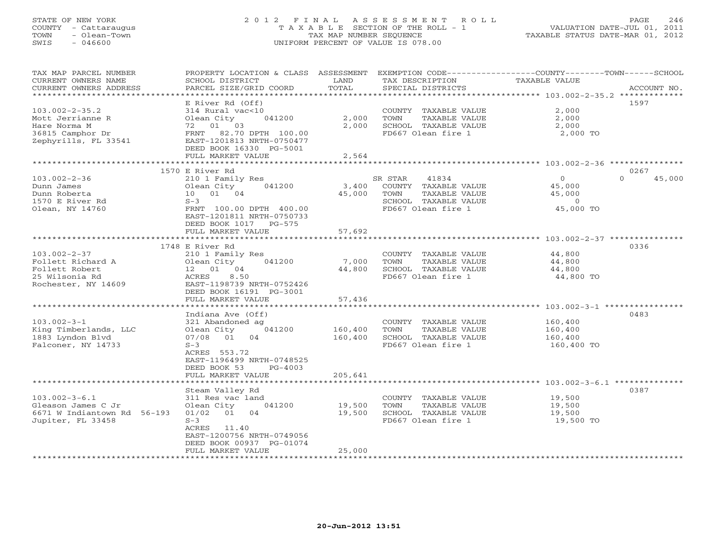# STATE OF NEW YORK 2 0 1 2 F I N A L A S S E S S M E N T R O L L PAGE 246 COUNTY - Cattaraugus T A X A B L E SECTION OF THE ROLL - 1 VALUATION DATE-JUL 01, 2011 TOWN - Olean-Town TAX MAP NUMBER SEQUENCE TAXABLE STATUS DATE-MAR 01, 2012 SWIS - 046600 UNIFORM PERCENT OF VALUE IS 078.00UNIFORM PERCENT OF VALUE IS 078.00

| TAX MAP PARCEL NUMBER<br>CURRENT OWNERS NAME<br>CURRENT OWNERS ADDRESS | PROPERTY LOCATION & CLASS ASSESSMENT<br>SCHOOL DISTRICT<br>PARCEL SIZE/GRID COORD | LAND<br>TOTAL | TAX DESCRIPTION<br>SPECIAL DISTRICTS | EXEMPTION CODE-----------------COUNTY-------TOWN------SCHOOL<br><b>TAXABLE VALUE</b><br>ACCOUNT NO. |
|------------------------------------------------------------------------|-----------------------------------------------------------------------------------|---------------|--------------------------------------|-----------------------------------------------------------------------------------------------------|
| *********************                                                  |                                                                                   |               |                                      |                                                                                                     |
|                                                                        | E River Rd (Off)                                                                  |               |                                      | 1597                                                                                                |
| $103.002 - 2 - 35.2$                                                   | 314 Rural vac<10                                                                  |               | COUNTY TAXABLE VALUE                 | 2,000                                                                                               |
| Mott Jerrianne R                                                       | Olean City<br>041200                                                              | 2,000         | TOWN<br>TAXABLE VALUE                | 2,000                                                                                               |
| Hare Norma M                                                           | 72 01 03                                                                          | 2,000         | SCHOOL TAXABLE VALUE                 | 2,000                                                                                               |
| 36815 Camphor Dr                                                       | 82.70 DPTH 100.00<br>FRNT                                                         |               | FD667 Olean fire 1                   | 2,000 TO                                                                                            |
| Zephyrills, FL 33541                                                   | EAST-1201813 NRTH-0750477                                                         |               |                                      |                                                                                                     |
|                                                                        | DEED BOOK 16330 PG-5001                                                           |               |                                      |                                                                                                     |
|                                                                        | FULL MARKET VALUE                                                                 | 2,564         |                                      |                                                                                                     |
|                                                                        | 1570 E River Rd                                                                   |               |                                      | 0267                                                                                                |
| $103.002 - 2 - 36$                                                     | 210 1 Family Res                                                                  |               | SR STAR<br>41834                     | 45,000<br>$\circ$<br>$\Omega$                                                                       |
| Dunn James                                                             | 041200<br>Olean City                                                              | 3,400         | COUNTY TAXABLE VALUE                 | 45,000                                                                                              |
| Dunn Roberta                                                           | 10 01 04                                                                          | 45,000        | TOWN<br>TAXABLE VALUE                | 45,000                                                                                              |
| 1570 E River Rd                                                        | $S-3$                                                                             |               | SCHOOL TAXABLE VALUE                 | $\Omega$                                                                                            |
| Olean, NY 14760                                                        | FRNT 100.00 DPTH 400.00                                                           |               | FD667 Olean fire 1                   | 45,000 TO                                                                                           |
|                                                                        | EAST-1201811 NRTH-0750733                                                         |               |                                      |                                                                                                     |
|                                                                        | DEED BOOK 1017<br>PG-575                                                          |               |                                      |                                                                                                     |
|                                                                        | FULL MARKET VALUE                                                                 | 57,692        |                                      |                                                                                                     |
|                                                                        |                                                                                   |               |                                      |                                                                                                     |
|                                                                        | 1748 E River Rd                                                                   |               |                                      | 0336                                                                                                |
| $103.002 - 2 - 37$                                                     | 210 1 Family Res                                                                  |               | COUNTY TAXABLE VALUE                 | 44,800                                                                                              |
| Follett Richard A                                                      | 041200<br>Olean City                                                              | 7,000         | TOWN<br>TAXABLE VALUE                | 44,800                                                                                              |
| Follett Robert                                                         | 12  01  04                                                                        | 44,800        | SCHOOL TAXABLE VALUE                 | 44,800                                                                                              |
| 25 Wilsonia Rd                                                         | 8.50<br>ACRES                                                                     |               | FD667 Olean fire 1                   | 44,800 TO                                                                                           |
| Rochester, NY 14609                                                    | EAST-1198739 NRTH-0752426                                                         |               |                                      |                                                                                                     |
|                                                                        | DEED BOOK 16191 PG-3001                                                           |               |                                      |                                                                                                     |
|                                                                        | FULL MARKET VALUE                                                                 | 57,436        |                                      |                                                                                                     |
|                                                                        | Indiana Ave (Off)                                                                 |               |                                      | 0483                                                                                                |
| $103.002 - 3 - 1$                                                      | 321 Abandoned ag                                                                  |               | COUNTY TAXABLE VALUE                 | 160,400                                                                                             |
| King Timberlands, LLC                                                  | 041200<br>Olean City                                                              | 160,400       | TOWN<br>TAXABLE VALUE                | 160,400                                                                                             |
| 1883 Lyndon Blyd                                                       | 07/08 01<br>04                                                                    | 160,400       | SCHOOL TAXABLE VALUE                 | 160,400                                                                                             |
| Falconer, NY 14733                                                     | $S-3$                                                                             |               | FD667 Olean fire 1                   | 160,400 TO                                                                                          |
|                                                                        | ACRES 553.72                                                                      |               |                                      |                                                                                                     |
|                                                                        | EAST-1196499 NRTH-0748525                                                         |               |                                      |                                                                                                     |
|                                                                        | DEED BOOK 53<br>$PG-4003$                                                         |               |                                      |                                                                                                     |
|                                                                        | FULL MARKET VALUE                                                                 | 205,641       |                                      |                                                                                                     |
|                                                                        |                                                                                   |               |                                      | ***************************** 103.002-3-6.1 ***************                                         |
|                                                                        | Steam Valley Rd                                                                   |               |                                      | 0387                                                                                                |
| $103.002 - 3 - 6.1$                                                    | 311 Res vac land                                                                  |               | COUNTY TAXABLE VALUE                 | 19,500                                                                                              |
| Gleason James C Jr                                                     | Olean City<br>041200                                                              | 19,500        | TOWN<br>TAXABLE VALUE                | 19,500                                                                                              |
| 6671 W Indiantown Rd 56-193                                            | $01/02$ 01<br>04                                                                  | 19,500        | SCHOOL TAXABLE VALUE                 | 19,500                                                                                              |
| Jupiter, FL 33458                                                      | $S-3$<br>ACRES<br>11.40                                                           |               | FD667 Olean fire 1                   | 19,500 TO                                                                                           |
|                                                                        | EAST-1200756 NRTH-0749056                                                         |               |                                      |                                                                                                     |
|                                                                        | DEED BOOK 00937 PG-01074                                                          |               |                                      |                                                                                                     |
|                                                                        | FULL MARKET VALUE                                                                 | 25,000        |                                      |                                                                                                     |
|                                                                        |                                                                                   |               |                                      |                                                                                                     |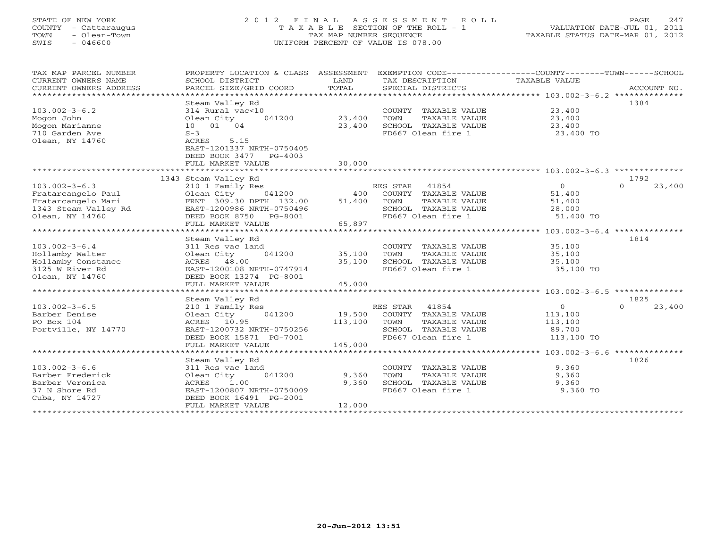#### STATE OF NEW YORK 2 0 1 2 F I N A L A S S E S S M E N T R O L L PAGE 247COUNTY - Cattaraugus T A X A B L E SECTION OF THE ROLL - 1 VALUATION DATE-JUL 01, 2011 TOWN - Olean-Town TAX MAP NUMBER SEQUENCE TAXABLE STATUS DATE-MAR 01, 2012<br>TAXABLE STATUS DATE-MAR 01, 2012 SWIS - 046600 UNIFORM PERCENT OF VALUE IS 078.00

| TAX MAP PARCEL NUMBER<br>CURRENT OWNERS NAME<br>CURRENT OWNERS ADDRESS | PROPERTY LOCATION & CLASS ASSESSMENT<br>SCHOOL DISTRICT<br>PARCEL SIZE/GRID COORD | T.AND<br>TOTAL | TAX DESCRIPTION<br>SPECIAL DISTRICTS | EXEMPTION CODE-----------------COUNTY-------TOWN-----SCHOOL<br><b>TAXABLE VALUE</b><br>ACCOUNT NO. |
|------------------------------------------------------------------------|-----------------------------------------------------------------------------------|----------------|--------------------------------------|----------------------------------------------------------------------------------------------------|
|                                                                        |                                                                                   |                |                                      |                                                                                                    |
|                                                                        | Steam Valley Rd                                                                   |                |                                      | 1384                                                                                               |
| $103.002 - 3 - 6.2$                                                    | 314 Rural vac<10                                                                  |                | COUNTY<br>TAXABLE VALUE              | 23,400                                                                                             |
| Mogon John                                                             | Olean City<br>041200                                                              | 23,400         | TOWN<br>TAXABLE VALUE                | 23,400                                                                                             |
| Mogon Marianne                                                         | 10 01 04                                                                          | 23,400         | SCHOOL TAXABLE VALUE                 | 23,400                                                                                             |
| 710 Garden Ave                                                         | $S-3$                                                                             |                | FD667 Olean fire 1                   | 23,400 TO                                                                                          |
| Olean, NY 14760                                                        | 5.15<br>ACRES                                                                     |                |                                      |                                                                                                    |
|                                                                        | EAST-1201337 NRTH-0750405                                                         |                |                                      |                                                                                                    |
|                                                                        | DEED BOOK 3477<br>$PG-4003$                                                       |                |                                      |                                                                                                    |
|                                                                        | FULL MARKET VALUE                                                                 | 30,000         |                                      |                                                                                                    |
|                                                                        |                                                                                   |                |                                      |                                                                                                    |
|                                                                        | 1343 Steam Valley Rd                                                              |                |                                      | 1792                                                                                               |
| $103.002 - 3 - 6.3$                                                    | 210 1 Family Res                                                                  |                | 41854<br>RES STAR                    | $\circ$<br>$\Omega$<br>23,400                                                                      |
| Fratarcangelo Paul                                                     | Olean City<br>041200                                                              | 400            | COUNTY TAXABLE VALUE                 | 51,400                                                                                             |
| Fratarcangelo Mari                                                     | FRNT 309.30 DPTH 132.00                                                           | 51,400         | TOWN<br>TAXABLE VALUE                | 51,400                                                                                             |
| 1343 Steam Valley Rd                                                   | EAST-1200986 NRTH-0750496                                                         |                | SCHOOL TAXABLE VALUE                 | 28,000                                                                                             |
| Olean, NY 14760                                                        | DEED BOOK 8750<br>PG-8001                                                         |                | FD667 Olean fire 1                   | 51,400 TO                                                                                          |
|                                                                        | FULL MARKET VALUE                                                                 | 65,897         |                                      |                                                                                                    |
|                                                                        | ************************                                                          | **********     |                                      | *************** 103.002-3-6.4 **************                                                       |
|                                                                        | Steam Valley Rd                                                                   |                |                                      | 1814                                                                                               |
| $103.002 - 3 - 6.4$                                                    | 311 Res vac land                                                                  |                | COUNTY TAXABLE VALUE                 | 35,100                                                                                             |
| Hollamby Walter                                                        | 041200<br>Olean City                                                              | 35,100         | TOWN<br>TAXABLE VALUE                | 35,100                                                                                             |
| Hollamby Constance                                                     | ACRES 48.00                                                                       | 35,100         | SCHOOL TAXABLE VALUE                 | 35,100                                                                                             |
| 3125 W River Rd                                                        | EAST-1200108 NRTH-0747914                                                         |                | FD667 Olean fire 1                   | 35,100 TO                                                                                          |
| Olean, NY 14760                                                        | DEED BOOK 13274 PG-8001                                                           |                |                                      |                                                                                                    |
|                                                                        | FULL MARKET VALUE                                                                 | 45,000         |                                      |                                                                                                    |
|                                                                        |                                                                                   |                |                                      |                                                                                                    |
|                                                                        | Steam Valley Rd                                                                   |                |                                      | 1825                                                                                               |
| $103.002 - 3 - 6.5$                                                    | 210 1 Family Res                                                                  |                | RES STAR<br>41854                    | $\circ$<br>23,400<br>$\Omega$                                                                      |
| Barber Denise                                                          | Olean City<br>041200                                                              | 19,500         | COUNTY TAXABLE VALUE                 | 113,100                                                                                            |
| PO Box 104                                                             | ACRES 10.95                                                                       | 113,100        | TOWN<br>TAXABLE VALUE                | 113,100                                                                                            |
| Portville, NY 14770                                                    | EAST-1200732 NRTH-0750256                                                         |                | SCHOOL TAXABLE VALUE                 | 89,700                                                                                             |
|                                                                        | DEED BOOK 15871 PG-7001                                                           |                | FD667 Olean fire 1                   | 113,100 TO                                                                                         |
|                                                                        | FULL MARKET VALUE                                                                 | 145,000        |                                      |                                                                                                    |
|                                                                        |                                                                                   |                |                                      |                                                                                                    |
|                                                                        | Steam Valley Rd                                                                   |                |                                      | 1826                                                                                               |
| $103.002 - 3 - 6.6$                                                    | 311 Res vac land                                                                  |                | COUNTY TAXABLE VALUE                 | 9,360                                                                                              |
| Barber Frederick                                                       | Olean City<br>041200                                                              | 9,360          | TOWN<br>TAXABLE VALUE                | 9,360                                                                                              |
| Barber Veronica                                                        | ACRES<br>1.00                                                                     | 9,360          | SCHOOL TAXABLE VALUE                 | 9,360                                                                                              |
| 37 N Shore Rd                                                          | EAST-1200807 NRTH-0750009                                                         |                | FD667 Olean fire 1                   | 9,360 TO                                                                                           |
| Cuba, NY 14727                                                         | DEED BOOK 16491 PG-2001<br>FULL MARKET VALUE                                      | 12,000         |                                      |                                                                                                    |
|                                                                        |                                                                                   |                |                                      |                                                                                                    |
|                                                                        |                                                                                   |                |                                      |                                                                                                    |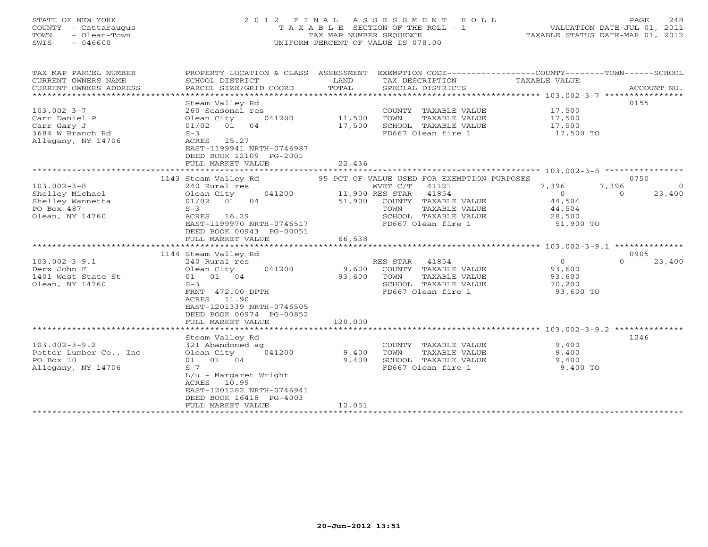# STATE OF NEW YORK 2 0 1 2 F I N A L A S S E S S M E N T R O L L PAGE 248 COUNTY - Cattaraugus T A X A B L E SECTION OF THE ROLL - 1 VALUATION DATE-JUL 01, 2011 TOWN - Olean-Town TAX MAP NUMBER SEQUENCE TAXABLE STATUS DATE-MAR 01, 2012 SWIS - 046600 UNIFORM PERCENT OF VALUE IS 078.00UNIFORM PERCENT OF VALUE IS 078.00

| TAX MAP PARCEL NUMBER<br>CURRENT OWNERS NAME<br>CURRENT OWNERS ADDRESS                      | PROPERTY LOCATION & CLASS ASSESSMENT<br>SCHOOL DISTRICT<br>PARCEL SIZE/GRID COORD                                                                                                                            | LAND<br>TOTAL              | TAX DESCRIPTION<br>SPECIAL DISTRICTS                                                                                                                                                        | EXEMPTION CODE-----------------COUNTY-------TOWN------SCHOOL<br>TAXABLE VALUE<br>ACCOUNT NO.                   |
|---------------------------------------------------------------------------------------------|--------------------------------------------------------------------------------------------------------------------------------------------------------------------------------------------------------------|----------------------------|---------------------------------------------------------------------------------------------------------------------------------------------------------------------------------------------|----------------------------------------------------------------------------------------------------------------|
| $103.002 - 3 - 7$<br>Carr Daniel P<br>Carr Gary J<br>3684 W Branch Rd<br>Allegany, NY 14706 | Steam Valley Rd<br>260 Seasonal res<br>041200<br>Olean City<br>04<br>01/02<br>01<br>$S-3$<br>ACRES<br>15.27<br>EAST-1199941 NRTH-0746987<br>DEED BOOK 12109 PG-2001<br>FULL MARKET VALUE                     | 11,500<br>17,500<br>22,436 | COUNTY TAXABLE VALUE<br>TAXABLE VALUE<br>TOWN<br>SCHOOL TAXABLE VALUE<br>FD667 Olean fire 1                                                                                                 | 0155<br>17,500<br>17,500<br>17,500<br>17,500 TO                                                                |
|                                                                                             |                                                                                                                                                                                                              |                            |                                                                                                                                                                                             |                                                                                                                |
| $103.002 - 3 - 8$<br>Shelley Michael<br>Shelley Wannetta<br>PO Box 487<br>Olean, NY 14760   | 1143 Steam Valley Rd<br>240 Rural res<br>041200<br>Olean City<br>04<br>01/02<br>01<br>$S-3$<br>ACRES<br>16.29<br>EAST-1199970 NRTH-0746517<br>DEED BOOK 00943 PG-00051<br>FULL MARKET VALUE                  | 51,900<br>66,538           | 95 PCT OF VALUE USED FOR EXEMPTION PURPOSES<br>WVET C/T<br>41121<br>41854<br>11,900 RES STAR<br>COUNTY TAXABLE VALUE<br>TAXABLE VALUE<br>TOWN<br>SCHOOL TAXABLE VALUE<br>FD667 Olean fire 1 | 0750<br>7,396<br>7,396<br>$\circ$<br>23,400<br>$\Omega$<br>$\Omega$<br>44,504<br>44,504<br>28,500<br>51,900 TO |
|                                                                                             | **********************                                                                                                                                                                                       | ****************           |                                                                                                                                                                                             | **************** 103.002-3-9.1 **************                                                                  |
| $103.002 - 3 - 9.1$<br>Derx John F<br>1401 West State St<br>Olean, NY 14760                 | 1144 Steam Valley Rd<br>240 Rural res<br>041200<br>Olean City<br>01 04<br>01<br>$S-3$<br>FRNT 472.00 DPTH<br>11.90<br>ACRES<br>EAST-1201339 NRTH-0746505<br>DEED BOOK 00974 PG-00852<br>FULL MARKET VALUE    | 9,600<br>93,600<br>120,000 | RES STAR<br>41854<br>COUNTY TAXABLE VALUE<br>TOWN<br>TAXABLE VALUE<br>SCHOOL TAXABLE VALUE<br>FD667 Olean fire 1                                                                            | 0905<br>$\mathbf{O}$<br>$\Omega$<br>23,400<br>93,600<br>93,600<br>70,200<br>93,600 TO                          |
|                                                                                             |                                                                                                                                                                                                              |                            |                                                                                                                                                                                             |                                                                                                                |
| $103.002 - 3 - 9.2$<br>Potter Lumber Co., Inc<br>PO Box 10<br>Allegany, NY 14706            | Steam Valley Rd<br>321 Abandoned ag<br>041200<br>Olean City<br>01 01 04<br>$S - 7$<br>$L/u$ - Margaret Wright<br>ACRES<br>10.99<br>EAST-1201282 NRTH-0746941<br>DEED BOOK 16418 PG-4003<br>FULL MARKET VALUE | 9,400<br>9,400<br>12,051   | COUNTY TAXABLE VALUE<br>TOWN<br>TAXABLE VALUE<br>SCHOOL TAXABLE VALUE<br>FD667 Olean fire 1                                                                                                 | 1246<br>9,400<br>9,400<br>9,400<br>9,400 TO                                                                    |
|                                                                                             | *******************                                                                                                                                                                                          |                            |                                                                                                                                                                                             |                                                                                                                |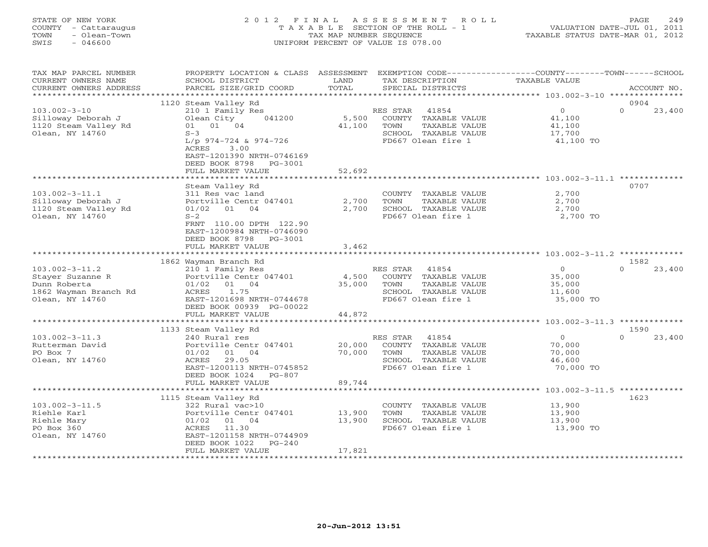# STATE OF NEW YORK 2 0 1 2 F I N A L A S S E S S M E N T R O L L PAGE 249 COUNTY - Cattaraugus T A X A B L E SECTION OF THE ROLL - 1 VALUATION DATE-JUL 01, 2011 TOWN - Olean-Town TAX MAP NUMBER SEQUENCE TAXABLE STATUS DATE-MAR 01, 2012 SWIS - 046600 UNIFORM PERCENT OF VALUE IS 078.00UNIFORM PERCENT OF VALUE IS 078.00

| TAX MAP PARCEL NUMBER<br>CURRENT OWNERS NAME<br>CURRENT OWNERS ADDRESS                               | PROPERTY LOCATION & CLASS ASSESSMENT<br>SCHOOL DISTRICT<br>PARCEL SIZE/GRID COORD                                                                                                                                   | LAND<br>TOTAL              | TAX DESCRIPTION<br>SPECIAL DISTRICTS                                                                             | EXEMPTION CODE-----------------COUNTY-------TOWN------SCHOOL<br><b>TAXABLE VALUE</b> | ACCOUNT NO.                |
|------------------------------------------------------------------------------------------------------|---------------------------------------------------------------------------------------------------------------------------------------------------------------------------------------------------------------------|----------------------------|------------------------------------------------------------------------------------------------------------------|--------------------------------------------------------------------------------------|----------------------------|
| *****************                                                                                    |                                                                                                                                                                                                                     |                            |                                                                                                                  |                                                                                      |                            |
| $103.002 - 3 - 10$<br>Silloway Deborah J<br>1120 Steam Valley Rd<br>Olean, NY 14760                  | 1120 Steam Valley Rd<br>210 1 Family Res<br>Olean City<br>041200<br>01 04<br>01<br>$S-3$<br>$L/p$ 974-724 & 974-726<br>ACRES<br>3.00<br>EAST-1201390 NRTH-0746169<br>DEED BOOK 8798<br>PG-3001<br>FULL MARKET VALUE | 5,500<br>41,100<br>52,692  | RES STAR<br>41854<br>COUNTY TAXABLE VALUE<br>TOWN<br>TAXABLE VALUE<br>SCHOOL TAXABLE VALUE<br>FD667 Olean fire 1 | $\overline{O}$<br>41,100<br>41,100<br>17,700<br>41,100 TO                            | 0904<br>$\Omega$<br>23,400 |
|                                                                                                      |                                                                                                                                                                                                                     | ********                   |                                                                                                                  | ****************** 103.002-3-11.1 ********                                           |                            |
| $103.002 - 3 - 11.1$<br>Silloway Deborah J<br>1120 Steam Valley Rd<br>Olean, NY 14760                | Steam Valley Rd<br>311 Res vac land<br>Portville Centr 047401<br>$01/02$ 01<br>04<br>$S-2$<br>FRNT 110.00 DPTH 122.90<br>EAST-1200984 NRTH-0746090<br>DEED BOOK 8798<br>PG-3001<br>FULL MARKET VALUE                | 2,700<br>2,700<br>3,462    | COUNTY TAXABLE VALUE<br>TOWN<br>TAXABLE VALUE<br>SCHOOL TAXABLE VALUE<br>FD667 Olean fire 1                      | 2,700<br>2,700<br>2,700<br>2,700 TO                                                  | 0707                       |
|                                                                                                      |                                                                                                                                                                                                                     |                            |                                                                                                                  |                                                                                      |                            |
| $103.002 - 3 - 11.2$<br>Stayer Suzanne R<br>Dunn Roberta<br>1862 Wayman Branch Rd<br>Olean, NY 14760 | 1862 Wayman Branch Rd<br>210 1 Family Res<br>Portville Centr 047401<br>01 04<br>01/02<br>ACRES<br>1.75<br>EAST-1201698 NRTH-0744678<br>DEED BOOK 00939 PG-00022<br>FULL MARKET VALUE                                | 4,500<br>35,000<br>44,872  | 41854<br>RES STAR<br>COUNTY TAXABLE VALUE<br>TOWN<br>TAXABLE VALUE<br>SCHOOL TAXABLE VALUE<br>FD667 Olean fire 1 | $\overline{0}$<br>35,000<br>35,000<br>11,600<br>35,000 TO                            | 1582<br>$\Omega$<br>23,400 |
|                                                                                                      |                                                                                                                                                                                                                     |                            |                                                                                                                  |                                                                                      |                            |
| $103.002 - 3 - 11.3$<br>Rutterman David<br>PO Box 7<br>Olean, NY 14760                               | 1133 Steam Valley Rd<br>240 Rural res<br>Portville Centr 047401<br>01/02<br>01 04<br>29.05<br>ACRES<br>EAST-1200113 NRTH-0745852<br>DEED BOOK 1024<br>$PG-807$<br>FULL MARKET VALUE                                 | 20,000<br>70,000<br>89,744 | RES STAR<br>41854<br>COUNTY TAXABLE VALUE<br>TOWN<br>TAXABLE VALUE<br>SCHOOL TAXABLE VALUE<br>FD667 Olean fire 1 | $\circ$<br>70,000<br>70,000<br>46,600<br>70,000 TO                                   | 1590<br>$\Omega$<br>23,400 |
|                                                                                                      | ****************************                                                                                                                                                                                        |                            |                                                                                                                  |                                                                                      |                            |
| $103.002 - 3 - 11.5$<br>Riehle Karl<br>Riehle Mary<br>PO Box 360<br>Olean, NY 14760                  | 1115 Steam Valley Rd<br>322 Rural vac>10<br>Portville Centr 047401<br>01/02<br>01 04<br>ACRES<br>11.30<br>EAST-1201158 NRTH-0744909<br>DEED BOOK 1022<br>$PG-240$<br>FULL MARKET VALUE                              | 13,900<br>13,900<br>17,821 | COUNTY TAXABLE VALUE<br>TOWN<br>TAXABLE VALUE<br>SCHOOL TAXABLE VALUE<br>FD667 Olean fire 1                      | 13,900<br>13,900<br>13,900<br>13,900 TO                                              | 1623                       |
|                                                                                                      |                                                                                                                                                                                                                     |                            |                                                                                                                  |                                                                                      |                            |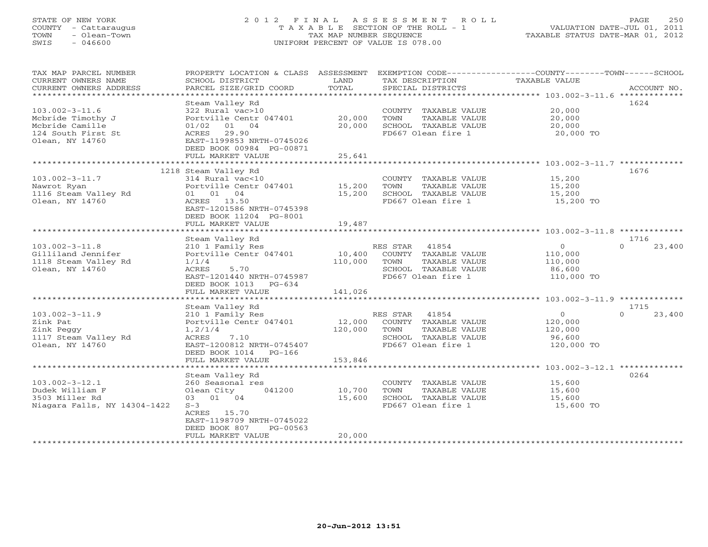Olean,

#### STATE OF NEW YORK 250 2012 FINAL ASSESSMENT ROLL PAGE 250 COUNTY - Cattaraugus T A X A B L E SECTION OF THE ROLL - 1 VALUATION DATE-JUL 01, 2011 TOWN - Olean-Town TAX MAP NUMBER SEQUENCE TAXABLE STATUS DATE-MAR 01, 2012<br>TAXABLE STATUS DATE-MAR 01, 2012 SWIS - 046600 UNIFORM PERCENT OF VALUE IS 078.00

| TAX MAP PARCEL NUMBER                              | PROPERTY LOCATION & CLASS ASSESSMENT       |         | EXEMPTION CODE-----------------COUNTY-------TOWN------SCHOOL |                      |                    |
|----------------------------------------------------|--------------------------------------------|---------|--------------------------------------------------------------|----------------------|--------------------|
| CURRENT OWNERS NAME                                | SCHOOL DISTRICT                            | LAND    | TAX DESCRIPTION                                              | TAXABLE VALUE        |                    |
| CURRENT OWNERS ADDRESS<br>************************ | PARCEL SIZE/GRID COORD                     | TOTAL   | SPECIAL DISTRICTS                                            |                      | ACCOUNT NO.        |
|                                                    | Steam Valley Rd                            |         |                                                              |                      | 1624               |
| $103.002 - 3 - 11.6$                               | 322 Rural vac>10                           |         | COUNTY TAXABLE VALUE                                         | 20,000               |                    |
| Mcbride Timothy J                                  | Portville Centr 047401                     | 20,000  | TOWN<br>TAXABLE VALUE                                        | 20,000               |                    |
| Mcbride Camille                                    | 01 04<br>01/02                             | 20,000  | SCHOOL TAXABLE VALUE                                         | 20,000               |                    |
| 124 South First St                                 | ACRES 29.90                                |         | FD667 Olean fire 1                                           | 20,000 TO            |                    |
| Olean, NY 14760                                    | EAST-1199853 NRTH-0745026                  |         |                                                              |                      |                    |
|                                                    | DEED BOOK 00984 PG-00871                   |         |                                                              |                      |                    |
|                                                    | FULL MARKET VALUE                          | 25,641  |                                                              |                      |                    |
|                                                    |                                            |         |                                                              |                      |                    |
|                                                    | 1218 Steam Valley Rd                       |         |                                                              |                      | 1676               |
| 103.002-3-11.7<br>Nawrot Ryan                      | 314 Rural vac<10<br>Portville Centr 047401 | 15,200  | COUNTY TAXABLE VALUE<br>TOWN<br>TAXABLE VALUE                | 15,200<br>15,200     |                    |
| 1116 Steam Valley Rd                               | 01 01 04                                   | 15,200  | SCHOOL TAXABLE VALUE                                         | 15,200               |                    |
| Olean, NY 14760                                    | ACRES 13.50                                |         | FD667 Olean fire 1                                           | 15,200 TO            |                    |
|                                                    | EAST-1201586 NRTH-0745398                  |         |                                                              |                      |                    |
|                                                    | DEED BOOK 11204 PG-8001                    |         |                                                              |                      |                    |
|                                                    | FULL MARKET VALUE                          | 19,487  |                                                              |                      |                    |
|                                                    |                                            |         |                                                              |                      |                    |
|                                                    | Steam Valley Rd                            |         |                                                              |                      | 1716               |
| $103.002 - 3 - 11.8$                               | 210 1 Family Res                           |         | RES STAR<br>41854                                            | $\overline{0}$       | 23,400<br>$\Omega$ |
| Gilliland Jennifer                                 | Portville Centr 047401                     | 10,400  | COUNTY TAXABLE VALUE                                         | 110,000              |                    |
| 1118 Steam Valley Rd<br>Olean, NY 14760            | 1/1/4<br>5.70                              | 110,000 | TAXABLE VALUE<br>TOWN                                        | 110,000              |                    |
|                                                    | ACRES<br>EAST-1201440 NRTH-0745987         |         | SCHOOL TAXABLE VALUE<br>FD667 Olean fire 1                   | 86,600<br>110,000 TO |                    |
|                                                    | DEED BOOK 1013 PG-634                      |         |                                                              |                      |                    |
|                                                    | FULL MARKET VALUE                          | 141,026 |                                                              |                      |                    |
|                                                    |                                            |         |                                                              |                      |                    |
|                                                    | Steam Valley Rd                            |         |                                                              |                      | 1715               |
| 103.002-3-11.9                                     | 210 1 Family Res                           |         | RES STAR<br>41854                                            | $\overline{O}$       | 23,400<br>$\cap$   |
| Zink Pat                                           | Portville Centr 047401                     | 12,000  | COUNTY TAXABLE VALUE                                         | 120,000              |                    |
| Zink Peggy                                         | 1, 2/1/4                                   | 120,000 | TAXABLE VALUE<br>TOWN                                        | 120,000              |                    |
| 1117 Steam Valley Rd                               | ACRES<br>7.10                              |         | SCHOOL TAXABLE VALUE                                         | 96,600               |                    |
| Olean, NY 14760                                    | EAST-1200812 NRTH-0745407                  |         | FD667 Olean fire 1                                           | 120,000 TO           |                    |
|                                                    | DEED BOOK 1014 PG-166<br>FULL MARKET VALUE | 153,846 |                                                              |                      |                    |
|                                                    |                                            |         |                                                              |                      |                    |
|                                                    | Steam Valley Rd                            |         |                                                              |                      | 0264               |
| 103.002-3-12.1                                     | 260 Seasonal res                           |         | COUNTY TAXABLE VALUE                                         | 15,600               |                    |
| Dudek William F                                    | 041200<br>Olean City                       | 10,700  | TAXABLE VALUE<br>TOWN                                        | 15,600               |                    |
| 3503 Miller Rd                                     | 03 01 04                                   | 15,600  | SCHOOL TAXABLE VALUE                                         | 15,600               |                    |
| Niagara Falls, NY 14304-1422                       | $S-3$                                      |         | FD667 Olean fire 1                                           | 15,600 TO            |                    |
|                                                    | ACRES 15.70                                |         |                                                              |                      |                    |
|                                                    | EAST-1198709 NRTH-0745022                  |         |                                                              |                      |                    |

\*\*\*\*\*\*\*\*\*\*\*\*\*\*\*\*\*\*\*\*\*\*\*\*\*\*\*\*\*\*\*\*\*\*\*\*\*\*\*\*\*\*\*\*\*\*\*\*\*\*\*\*\*\*\*\*\*\*\*\*\*\*\*\*\*\*\*\*\*\*\*\*\*\*\*\*\*\*\*\*\*\*\*\*\*\*\*\*\*\*\*\*\*\*\*\*\*\*\*\*\*\*\*\*\*\*\*\*\*\*\*\*\*\*\*\*\*\*\*\*\*\*\*\*\*\*\*\*\*\*\*\*

DEED BOOK 807 PG-00563

FULL MARKET VALUE 20,000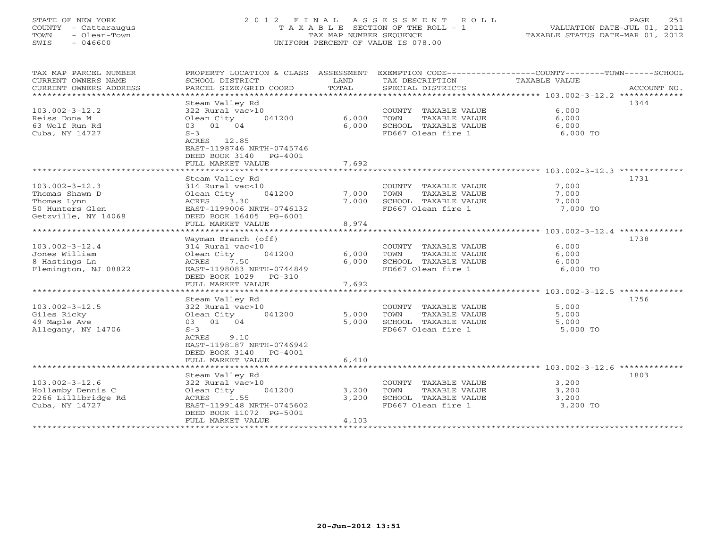# STATE OF NEW YORK 2 0 1 2 F I N A L A S S E S S M E N T R O L L PAGE 251 COUNTY - Cattaraugus T A X A B L E SECTION OF THE ROLL - 1 VALUATION DATE-JUL 01, 2011 TOWN - Olean-Town TAX MAP NUMBER SEQUENCE TAXABLE STATUS DATE-MAR 01, 2012 SWIS - 046600 UNIFORM PERCENT OF VALUE IS 078.00UNIFORM PERCENT OF VALUE IS 078.00

| TAX MAP PARCEL NUMBER<br>CURRENT OWNERS NAME<br>CURRENT OWNERS ADDRESS | PROPERTY LOCATION & CLASS ASSESSMENT<br>SCHOOL DISTRICT<br>PARCEL SIZE/GRID COORD | LAND<br>TOTAL | TAX DESCRIPTION<br>SPECIAL DISTRICTS | EXEMPTION CODE-----------------COUNTY-------TOWN------SCHOOL<br>TAXABLE VALUE<br>ACCOUNT NO. |
|------------------------------------------------------------------------|-----------------------------------------------------------------------------------|---------------|--------------------------------------|----------------------------------------------------------------------------------------------|
|                                                                        |                                                                                   |               |                                      |                                                                                              |
|                                                                        | Steam Valley Rd                                                                   |               |                                      | 1344                                                                                         |
| $103.002 - 3 - 12.2$                                                   | 322 Rural vac>10                                                                  |               | COUNTY TAXABLE VALUE                 | 6,000                                                                                        |
| Reiss Dona M                                                           | Olean City<br>041200                                                              | 6,000         | TOWN<br>TAXABLE VALUE                | 6,000                                                                                        |
| 63 Wolf Run Rd                                                         | 01 04<br>03                                                                       | 6,000         | SCHOOL TAXABLE VALUE                 | 6,000                                                                                        |
| Cuba, NY 14727                                                         | $S-3$                                                                             |               | FD667 Olean fire 1                   | 6,000 TO                                                                                     |
|                                                                        | ACRES 12.85                                                                       |               |                                      |                                                                                              |
|                                                                        | EAST-1198746 NRTH-0745746                                                         |               |                                      |                                                                                              |
|                                                                        | DEED BOOK 3140<br>$PG-4001$                                                       |               |                                      |                                                                                              |
|                                                                        | FULL MARKET VALUE                                                                 | 7,692         |                                      |                                                                                              |
|                                                                        |                                                                                   |               |                                      |                                                                                              |
|                                                                        | Steam Valley Rd                                                                   |               |                                      | 1731                                                                                         |
| $103.002 - 3 - 12.3$                                                   | 314 Rural vac<10                                                                  |               | COUNTY TAXABLE VALUE                 | 7,000                                                                                        |
| Thomas Shawn D                                                         | 041200                                                                            | 7,000         |                                      | 7,000                                                                                        |
|                                                                        | Olean City                                                                        |               | TOWN<br>TAXABLE VALUE                |                                                                                              |
| Thomas Lynn                                                            | ACRES<br>3.30                                                                     | 7,000         | SCHOOL TAXABLE VALUE                 | 7,000                                                                                        |
| 50 Hunters Glen                                                        | EAST-1199006 NRTH-0746132                                                         |               | FD667 Olean fire 1                   | 7,000 TO                                                                                     |
| Getzville, NY 14068                                                    | DEED BOOK 16405 PG-6001                                                           |               |                                      |                                                                                              |
|                                                                        | FULL MARKET VALUE                                                                 | 8,974         |                                      |                                                                                              |
|                                                                        |                                                                                   |               |                                      |                                                                                              |
|                                                                        | Wayman Branch (off)                                                               |               |                                      | 1738                                                                                         |
| $103.002 - 3 - 12.4$                                                   | 314 Rural vac<10                                                                  |               | COUNTY TAXABLE VALUE                 | 6,000                                                                                        |
| Jones William                                                          | Olean City<br>041200                                                              | 6,000         | TOWN<br>TAXABLE VALUE                | 6,000                                                                                        |
| 8 Hastings Ln                                                          | 7.50<br>ACRES                                                                     | 6,000         | SCHOOL TAXABLE VALUE                 | 6,000                                                                                        |
| Flemington, NJ 08822                                                   | EAST-1198083 NRTH-0744849                                                         |               | FD667 Olean fire 1                   | 6,000 TO                                                                                     |
|                                                                        | DEED BOOK 1029<br>$PG-310$                                                        |               |                                      |                                                                                              |
|                                                                        | FULL MARKET VALUE                                                                 | 7,692         |                                      |                                                                                              |
|                                                                        |                                                                                   |               |                                      |                                                                                              |
|                                                                        | Steam Valley Rd                                                                   |               |                                      | 1756                                                                                         |
| $103.002 - 3 - 12.5$                                                   | 322 Rural vac>10                                                                  |               | COUNTY TAXABLE VALUE                 | 5,000                                                                                        |
| Giles Ricky                                                            | Olean City<br>041200                                                              | 5,000         | TOWN<br>TAXABLE VALUE                | 5,000                                                                                        |
| 49 Maple Ave                                                           | 01 04                                                                             | 5,000         | SCHOOL TAXABLE VALUE                 |                                                                                              |
|                                                                        | 03                                                                                |               |                                      | 5,000                                                                                        |
| Allegany, NY 14706                                                     | $S-3$                                                                             |               | FD667 Olean fire 1                   | 5,000 TO                                                                                     |
|                                                                        | <b>ACRES</b><br>9.10                                                              |               |                                      |                                                                                              |
|                                                                        | EAST-1198187 NRTH-0746942                                                         |               |                                      |                                                                                              |
|                                                                        | DEED BOOK 3140<br>PG-4001                                                         |               |                                      |                                                                                              |
|                                                                        | FULL MARKET VALUE                                                                 | 6,410         |                                      |                                                                                              |
|                                                                        |                                                                                   |               |                                      |                                                                                              |
|                                                                        | Steam Valley Rd                                                                   |               |                                      | 1803                                                                                         |
| $103.002 - 3 - 12.6$                                                   | 322 Rural vac>10                                                                  |               | COUNTY TAXABLE VALUE                 | 3,200                                                                                        |
| Hollamby Dennis C                                                      | Olean City<br>041200                                                              | 3,200         | TOWN<br>TAXABLE VALUE                | 3,200                                                                                        |
| 2266 Lillibridge Rd                                                    | ACRES<br>1.55                                                                     | 3,200         | SCHOOL TAXABLE VALUE                 | 3,200                                                                                        |
| Cuba, NY 14727                                                         | EAST-1199148 NRTH-0745602                                                         |               | FD667 Olean fire 1                   | 3,200 TO                                                                                     |
|                                                                        | DEED BOOK 11072 PG-5001                                                           |               |                                      |                                                                                              |
|                                                                        | FULL MARKET VALUE                                                                 | 4,103         |                                      |                                                                                              |
|                                                                        |                                                                                   |               |                                      |                                                                                              |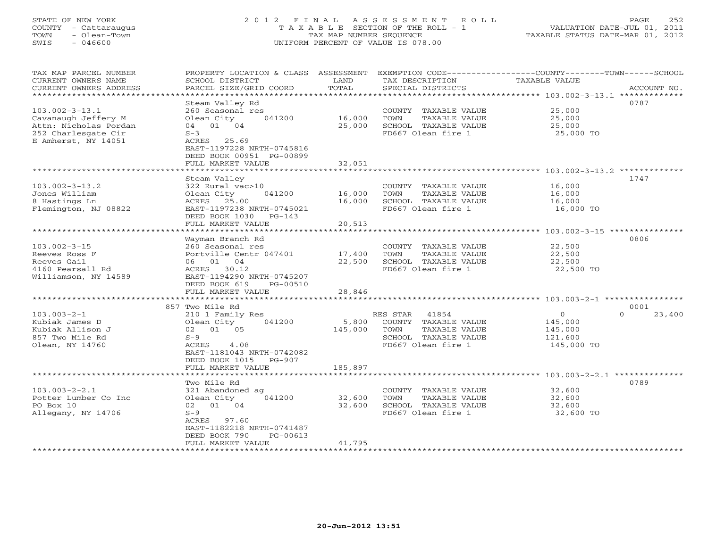# STATE OF NEW YORK 2 0 1 2 F I N A L A S S E S S M E N T R O L L PAGE 252 COUNTY - Cattaraugus T A X A B L E SECTION OF THE ROLL - 1 VALUATION DATE-JUL 01, 2011 TOWN - Olean-Town TAX MAP NUMBER SEQUENCE TAXABLE STATUS DATE-MAR 01, 2012 SWIS - 046600 UNIFORM PERCENT OF VALUE IS 078.00UNIFORM PERCENT OF VALUE IS 078.00

| TAX MAP PARCEL NUMBER<br>CURRENT OWNERS NAME<br>CURRENT OWNERS ADDRESS                        | PROPERTY LOCATION & CLASS<br>SCHOOL DISTRICT<br>PARCEL SIZE/GRID COORD                                              | ASSESSMENT<br>LAND<br>TOTAL | TAX DESCRIPTION<br>SPECIAL DISTRICTS                                                                             | EXEMPTION CODE-----------------COUNTY-------TOWN------SCHOOL<br>TAXABLE VALUE<br>ACCOUNT NO. |
|-----------------------------------------------------------------------------------------------|---------------------------------------------------------------------------------------------------------------------|-----------------------------|------------------------------------------------------------------------------------------------------------------|----------------------------------------------------------------------------------------------|
| ********************                                                                          | * * * * * * * * * * * * * * * *                                                                                     | ************                |                                                                                                                  |                                                                                              |
| $103.002 - 3 - 13.1$                                                                          | Steam Valley Rd<br>260 Seasonal res                                                                                 |                             | COUNTY TAXABLE VALUE                                                                                             | 0787<br>25,000                                                                               |
| Cavanaugh Jeffery M<br>Attn: Nicholas Pordan                                                  | Olean City<br>041200<br>01 04<br>04                                                                                 | 16,000<br>25,000            | TOWN<br>TAXABLE VALUE<br>SCHOOL TAXABLE VALUE                                                                    | 25,000<br>25,000                                                                             |
| 252 Charlesgate Cir<br>E Amherst, NY 14051                                                    | $S-3$<br>ACRES 25.69<br>EAST-1197228 NRTH-0745816<br>DEED BOOK 00951 PG-00899                                       |                             | FD667 Olean fire 1                                                                                               | 25,000 TO                                                                                    |
|                                                                                               | FULL MARKET VALUE                                                                                                   | 32,051                      |                                                                                                                  | ************************** 103.002-3-13.2 *************                                      |
|                                                                                               | Steam Valley                                                                                                        |                             |                                                                                                                  | 1747                                                                                         |
| $103.002 - 3 - 13.2$<br>Jones William<br>8 Hastings Ln<br>Flemington, NJ 08822                | 322 Rural vac>10<br>Olean City<br>041200<br>ACRES<br>25.00<br>EAST-1197238 NRTH-0745021<br>DEED BOOK 1030<br>PG-143 | 16,000<br>16,000            | COUNTY TAXABLE VALUE<br>TOWN<br>TAXABLE VALUE<br>SCHOOL TAXABLE VALUE<br>FD667 Olean fire 1                      | 16,000<br>16,000<br>16,000<br>16,000 TO                                                      |
|                                                                                               | FULL MARKET VALUE                                                                                                   | 20,513                      |                                                                                                                  |                                                                                              |
|                                                                                               | ***********************                                                                                             | ***********                 |                                                                                                                  | ************************* 103.002-3-15 ****************<br>0806                              |
| $103.002 - 3 - 15$<br>Reeves Ross F                                                           | Wayman Branch Rd<br>260 Seasonal res<br>Portville Centr 047401                                                      | 17,400                      | COUNTY TAXABLE VALUE<br>TOWN<br><b>TAXABLE VALUE</b>                                                             | 22,500<br>22,500                                                                             |
| Reeves Gail                                                                                   | 06 01 04                                                                                                            | 22,500                      | SCHOOL TAXABLE VALUE                                                                                             | 22,500                                                                                       |
| 4160 Pearsall Rd<br>Williamson, NY 14589                                                      | ACRES 30.12<br>EAST-1194290 NRTH-0745207<br>DEED BOOK 619<br>PG-00510<br>FULL MARKET VALUE                          | 28,846                      | FD667 Olean fire 1                                                                                               | 22,500 TO                                                                                    |
|                                                                                               | *****************                                                                                                   |                             |                                                                                                                  | ********** 103.003-2-1 ***********                                                           |
|                                                                                               | 857 Two Mile Rd                                                                                                     |                             |                                                                                                                  | 0001                                                                                         |
| $103.003 - 2 - 1$<br>Kubiak James D<br>Kubiak Allison J<br>857 Two Mile Rd<br>Olean, NY 14760 | 210 1 Family Res<br>Olean City<br>041200<br>02 01 05<br>$S-9$<br>ACRES<br>4.08<br>EAST-1181043 NRTH-0742082         | 5,800<br>145,000            | RES STAR<br>41854<br>COUNTY TAXABLE VALUE<br>TOWN<br>TAXABLE VALUE<br>SCHOOL TAXABLE VALUE<br>FD667 Olean fire 1 | $\mathbf{0}$<br>$\Omega$<br>23,400<br>145,000<br>145,000<br>121,600<br>145,000 TO            |
|                                                                                               | DEED BOOK 1015<br>$PG-907$<br>FULL MARKET VALUE                                                                     | 185,897                     |                                                                                                                  |                                                                                              |
|                                                                                               | ******************                                                                                                  |                             |                                                                                                                  |                                                                                              |
| $103.003 - 2 - 2.1$                                                                           | Two Mile Rd<br>321 Abandoned ag                                                                                     |                             | COUNTY TAXABLE VALUE                                                                                             | 0789<br>32,600                                                                               |
| Potter Lumber Co Inc                                                                          | Olean City<br>041200                                                                                                | 32,600                      | TOWN<br>TAXABLE VALUE                                                                                            | 32,600                                                                                       |
| PO Box 10                                                                                     | 02<br>01 04                                                                                                         | 32,600                      | SCHOOL TAXABLE VALUE                                                                                             | 32,600                                                                                       |
| Allegany, NY 14706                                                                            | $S-9$<br>ACRES 97.60<br>EAST-1182218 NRTH-0741487<br>DEED BOOK 790<br>$PG-00613$<br>FULL MARKET VALUE               | 41,795                      | FD667 Olean fire 1                                                                                               | 32,600 TO                                                                                    |
|                                                                                               |                                                                                                                     |                             |                                                                                                                  |                                                                                              |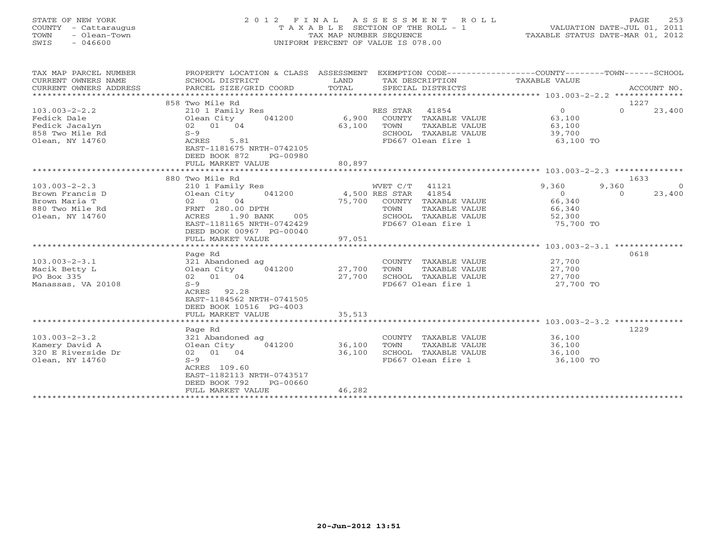| STATE OF NEW YORK    | 2012 FINAL ASSESSMENT ROLL            | 253<br>PAGE.                     |
|----------------------|---------------------------------------|----------------------------------|
| COUNTY - Cattaraugus | T A X A B L E SECTION OF THE ROLL - 1 | VALUATION DATE-JUL 01, 2011      |
| - Olean-Town<br>TOWN | TAX MAP NUMBER SEOUENCE               | TAXABLE STATUS DATE-MAR 01, 2012 |
| - 046600<br>SWIS     | UNIFORM PERCENT OF VALUE IS 078.00    |                                  |
|                      |                                       |                                  |
|                      |                                       |                                  |

| TAX MAP PARCEL NUMBER<br>CURRENT OWNERS NAME | PROPERTY LOCATION & CLASS ASSESSMENT<br>SCHOOL DISTRICT                                     | LAND                  | EXEMPTION CODE-----------------COUNTY-------TOWN------SCHOOL<br>TAX DESCRIPTION | TAXABLE VALUE                                      |                         |
|----------------------------------------------|---------------------------------------------------------------------------------------------|-----------------------|---------------------------------------------------------------------------------|----------------------------------------------------|-------------------------|
| CURRENT OWNERS ADDRESS                       | PARCEL SIZE/GRID COORD                                                                      | TOTAL                 | SPECIAL DISTRICTS                                                               |                                                    | ACCOUNT NO.             |
|                                              |                                                                                             |                       |                                                                                 |                                                    |                         |
|                                              | 858 Two Mile Rd                                                                             |                       |                                                                                 |                                                    | 1227                    |
| $103.003 - 2 - 2.2$                          | 210 1 Family Res                                                                            |                       | RES STAR<br>41854                                                               | $\Omega$                                           | $\Omega$<br>23,400      |
| Fedick Dale                                  | Olean City<br>041200                                                                        | 6,900                 | COUNTY TAXABLE VALUE                                                            | 63,100                                             |                         |
| Fedick Jacalyn                               | 02 01 04                                                                                    | 63,100                | TOWN<br>TAXABLE VALUE                                                           | 63,100                                             |                         |
| 858 Two Mile Rd                              | $S-9$                                                                                       |                       | SCHOOL TAXABLE VALUE                                                            | 39,700                                             |                         |
| Olean, NY 14760                              | ACRES<br>5.81<br>EAST-1181675 NRTH-0742105<br>DEED BOOK 872<br>PG-00980                     |                       | FD667 Olean fire 1                                                              | 63,100 TO                                          |                         |
|                                              | FULL MARKET VALUE                                                                           | 80,897                |                                                                                 |                                                    |                         |
|                                              |                                                                                             |                       |                                                                                 |                                                    |                         |
|                                              | 880 Two Mile Rd                                                                             |                       |                                                                                 |                                                    | 1633                    |
| $103.003 - 2 - 2.3$                          | 210 1 Family Res                                                                            |                       | WVET C/T<br>41121                                                               | 9,360                                              | 9,360<br>$\overline{0}$ |
| Brown Francis D                              | Olean City                                                                                  | 041200 4,500 RES STAR | 41854                                                                           | $\overline{0}$                                     | 23,400<br>$\Omega$      |
| Brown Maria T                                | 02 01 04                                                                                    |                       | 75,700 COUNTY TAXABLE VALUE                                                     | 66,340                                             |                         |
| 880 Two Mile Rd                              | FRNT 280.00 DPTH                                                                            |                       | TOWN<br>TAXABLE VALUE                                                           | 66,340                                             |                         |
| Olean, NY 14760                              | 1.90 BANK<br>ACRES<br>005                                                                   |                       | SCHOOL TAXABLE VALUE                                                            | 52,300                                             |                         |
|                                              | EAST-1181165 NRTH-0742429                                                                   |                       | FD667 Olean fire 1                                                              | 75,700 TO                                          |                         |
|                                              | DEED BOOK 00967 PG-00040                                                                    |                       |                                                                                 |                                                    |                         |
|                                              | FULL MARKET VALUE                                                                           | 97,051                |                                                                                 |                                                    |                         |
|                                              |                                                                                             |                       |                                                                                 |                                                    |                         |
|                                              | Page Rd                                                                                     |                       |                                                                                 |                                                    | 0618                    |
| $103.003 - 2 - 3.1$                          | 321 Abandoned ag                                                                            |                       | COUNTY TAXABLE VALUE                                                            | 27,700                                             |                         |
| Macik Betty L                                | Olean City<br>041200                                                                        | 27,700                | TOWN<br>TAXABLE VALUE                                                           | 27,700                                             |                         |
| PO Box 335                                   | 02 01 04                                                                                    | 27,700                | SCHOOL TAXABLE VALUE                                                            | 27,700                                             |                         |
| Manassas, VA 20108                           | $S-9$<br>ACRES 92.28<br>EAST-1184562 NRTH-0741505<br>DEED BOOK 10516 PG-4003                |                       | FD667 Olean fire 1                                                              | $27,700$ TO                                        |                         |
|                                              | FULL MARKET VALUE                                                                           | 35,513                |                                                                                 |                                                    |                         |
|                                              | **********************                                                                      | **************        |                                                                                 | ********************* 103.003-2-3.2 ************** |                         |
|                                              | Page Rd                                                                                     |                       |                                                                                 |                                                    | 1229                    |
| $103.003 - 2 - 3.2$                          | 321 Abandoned ag                                                                            |                       | COUNTY TAXABLE VALUE                                                            | 36,100                                             |                         |
| Kamery David A                               | 041200<br>Olean City                                                                        | 36,100                | TOWN<br>TAXABLE VALUE                                                           | 36,100                                             |                         |
| 320 E Riverside Dr                           | 02 01 04                                                                                    | 36,100                | SCHOOL TAXABLE VALUE                                                            | 36,100                                             |                         |
| Olean, NY 14760                              | $S-9$                                                                                       |                       | FD667 Olean fire 1                                                              | 36,100 TO                                          |                         |
|                                              | ACRES 109.60<br>EAST-1182113 NRTH-0743517<br>DEED BOOK 792<br>PG-00660<br>FULL MARKET VALUE | 46,282                |                                                                                 |                                                    |                         |
|                                              | **********************                                                                      |                       |                                                                                 |                                                    |                         |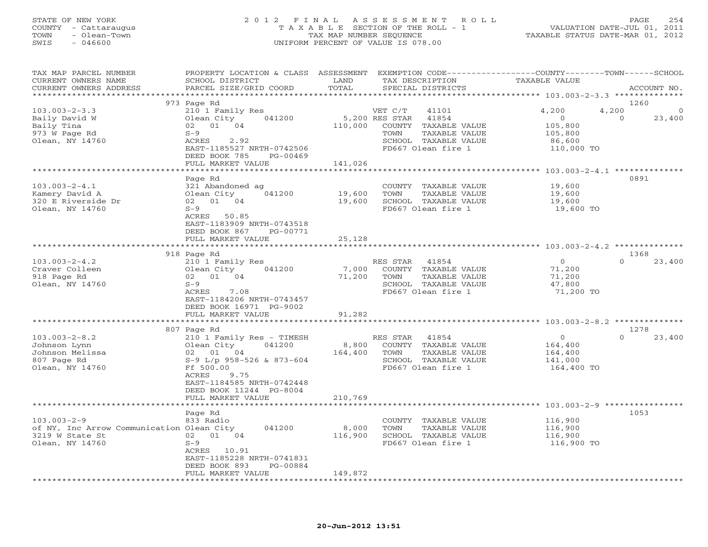## STATE OF NEW YORK 2 0 1 2 F I N A L A S S E S S M E N T R O L L PAGE 254 COUNTY - Cattaraugus T A X A B L E SECTION OF THE ROLL - 1 VALUATION DATE-JUL 01, 2011 TOWN - Olean-Town TAX MAP NUMBER SEQUENCE TAXABLE STATUS DATE-MAR 01, 2012 SWIS - 046600 UNIFORM PERCENT OF VALUE IS 078.00UNIFORM PERCENT OF VALUE IS 078.00

| TAX MAP PARCEL NUMBER<br>CURRENT OWNERS NAME<br>CURRENT OWNERS ADDRESS<br>********************** | PROPERTY LOCATION & CLASS ASSESSMENT<br>SCHOOL DISTRICT<br>PARCEL SIZE/GRID COORD | LAND<br>TOTAL | TAX DESCRIPTION<br>SPECIAL DISTRICTS          | EXEMPTION CODE-----------------COUNTY-------TOWN-----SCHOOL<br><b>TAXABLE VALUE</b> | ACCOUNT NO.        |
|--------------------------------------------------------------------------------------------------|-----------------------------------------------------------------------------------|---------------|-----------------------------------------------|-------------------------------------------------------------------------------------|--------------------|
|                                                                                                  |                                                                                   |               |                                               |                                                                                     |                    |
| $103.003 - 2 - 3.3$                                                                              | 973 Page Rd<br>210 1 Family Res                                                   |               | VET C/T<br>41101                              | 4,200<br>4,200                                                                      | 1260<br>$\circ$    |
| Baily David W                                                                                    | Olean City<br>041200                                                              |               | 5,200 RES STAR<br>41854                       | $\circ$                                                                             | $\Omega$<br>23,400 |
| Baily Tina<br>973 W Page Rd                                                                      | 02 01 04<br>$S-9$                                                                 | 110,000       | COUNTY TAXABLE VALUE<br>TOWN<br>TAXABLE VALUE | 105,800<br>105,800                                                                  |                    |
| Olean, NY 14760                                                                                  | ACRES<br>2.92                                                                     |               | SCHOOL TAXABLE VALUE                          | 86,600                                                                              |                    |
|                                                                                                  | EAST-1185527 NRTH-0742506                                                         |               | FD667 Olean fire 1                            | 110,000 TO                                                                          |                    |
|                                                                                                  | DEED BOOK 785<br>PG-00469                                                         |               |                                               |                                                                                     |                    |
|                                                                                                  | FULL MARKET VALUE                                                                 | 141,026       |                                               |                                                                                     |                    |
|                                                                                                  |                                                                                   |               |                                               | ********* 103.003-2-4.1 **********                                                  |                    |
|                                                                                                  | Page Rd                                                                           |               |                                               |                                                                                     | 0891               |
| $103.003 - 2 - 4.1$                                                                              | 321 Abandoned ag                                                                  |               | COUNTY TAXABLE VALUE                          | 19,600                                                                              |                    |
| Kamery David A                                                                                   | 041200<br>Olean City                                                              | 19,600        | TAXABLE VALUE<br>TOWN                         | 19,600                                                                              |                    |
| 320 E Riverside Dr                                                                               | 02 01 04                                                                          | 19,600        | SCHOOL TAXABLE VALUE                          | 19,600                                                                              |                    |
| Olean, NY 14760                                                                                  | $S-9$                                                                             |               | FD667 Olean fire 1                            | 19,600 TO                                                                           |                    |
|                                                                                                  | ACRES 50.85                                                                       |               |                                               |                                                                                     |                    |
|                                                                                                  | EAST-1183909 NRTH-0743518                                                         |               |                                               |                                                                                     |                    |
|                                                                                                  | DEED BOOK 867<br>PG-00771                                                         |               |                                               |                                                                                     |                    |
|                                                                                                  | FULL MARKET VALUE                                                                 | 25,128        |                                               |                                                                                     |                    |
|                                                                                                  | 918 Page Rd                                                                       |               |                                               |                                                                                     | 1368               |
| $103.003 - 2 - 4.2$                                                                              | 210 1 Family Res                                                                  |               | RES STAR<br>41854                             | $\overline{O}$                                                                      | 23,400<br>$\Omega$ |
| Craver Colleen                                                                                   | Olean City<br>041200                                                              | 7,000         | COUNTY TAXABLE VALUE                          | 71,200                                                                              |                    |
| 918 Page Rd                                                                                      | 02 01 04                                                                          | 71,200        | TAXABLE VALUE<br>TOWN                         | 71,200                                                                              |                    |
| Olean, NY 14760                                                                                  | $S-9$                                                                             |               | SCHOOL TAXABLE VALUE                          | 47,800                                                                              |                    |
|                                                                                                  | ACRES<br>7.08                                                                     |               | FD667 Olean fire 1                            | 71,200 TO                                                                           |                    |
|                                                                                                  | EAST-1184206 NRTH-0743457                                                         |               |                                               |                                                                                     |                    |
|                                                                                                  | DEED BOOK 16971 PG-9002                                                           |               |                                               |                                                                                     |                    |
|                                                                                                  | FULL MARKET VALUE                                                                 | 91,282        |                                               |                                                                                     |                    |
|                                                                                                  | 807 Page Rd                                                                       |               |                                               |                                                                                     | 1278               |
| $103.003 - 2 - 8.2$                                                                              | 210 1 Family Res - TIMESH                                                         |               | RES STAR<br>41854                             | $\circ$                                                                             | $\Omega$<br>23,400 |
| Johnson Lynn                                                                                     | Olean City<br>041200                                                              | 8,800         | COUNTY TAXABLE VALUE                          | 164,400                                                                             |                    |
| Johnson Melissa                                                                                  | 02 01 04                                                                          | 164,400       | TAXABLE VALUE<br>TOWN                         | 164,400                                                                             |                    |
| 807 Page Rd                                                                                      | $S-9$ L/p 958-526 & 873-604                                                       |               | SCHOOL TAXABLE VALUE                          | 141,000                                                                             |                    |
| Olean, NY 14760                                                                                  | Ff 500.00                                                                         |               | FD667 Olean fire 1                            | 164,400 TO                                                                          |                    |
|                                                                                                  | ACRES<br>9.75                                                                     |               |                                               |                                                                                     |                    |
|                                                                                                  | EAST-1184585 NRTH-0742448                                                         |               |                                               |                                                                                     |                    |
|                                                                                                  | DEED BOOK 11244 PG-8004                                                           |               |                                               |                                                                                     |                    |
|                                                                                                  | FULL MARKET VALUE                                                                 | 210,769       |                                               |                                                                                     |                    |
|                                                                                                  | ***********************                                                           |               |                                               |                                                                                     |                    |
|                                                                                                  | Page Rd                                                                           |               |                                               |                                                                                     | 1053               |
| $103.003 - 2 - 9$                                                                                | 833 Radio                                                                         |               | COUNTY TAXABLE VALUE                          | 116,900                                                                             |                    |
| of NY, Inc Arrow Communication Olean City                                                        | 041200                                                                            | 8,000         | TOWN<br>TAXABLE VALUE                         | 116,900                                                                             |                    |
| 3219 W State St                                                                                  | 02 01 04                                                                          | 116,900       | SCHOOL TAXABLE VALUE                          | 116,900                                                                             |                    |
| Olean, NY 14760                                                                                  | $S-9$                                                                             |               | FD667 Olean fire 1                            | 116,900 TO                                                                          |                    |
|                                                                                                  | ACRES 10.91<br>EAST-1185228 NRTH-0741831                                          |               |                                               |                                                                                     |                    |
|                                                                                                  | DEED BOOK 893<br>PG-00884                                                         |               |                                               |                                                                                     |                    |
|                                                                                                  | FULL MARKET VALUE                                                                 | 149,872       |                                               |                                                                                     |                    |
| ************************                                                                         |                                                                                   |               |                                               |                                                                                     |                    |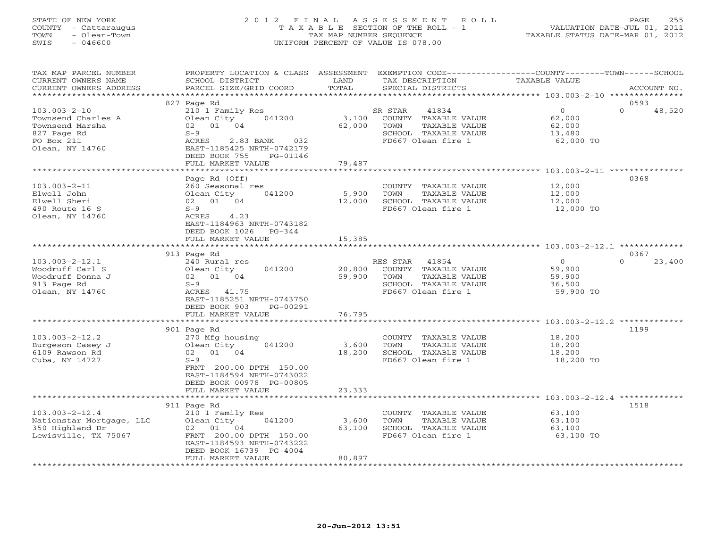## STATE OF NEW YORK 2 0 1 2 F I N A L A S S E S S M E N T R O L L PAGE 255 COUNTY - Cattaraugus T A X A B L E SECTION OF THE ROLL - 1 VALUATION DATE-JUL 01, 2011 TOWN - Olean-Town TAX MAP NUMBER SEQUENCE TAXABLE STATUS DATE-MAR 01, 2012 SWIS - 046600 UNIFORM PERCENT OF VALUE IS 078.00UNIFORM PERCENT OF VALUE IS 078.00

| TAX MAP PARCEL NUMBER    | PROPERTY LOCATION & CLASS ASSESSMENT                   |                    |                       | EXEMPTION CODE-----------------COUNTY-------TOWN------SCHOOL |
|--------------------------|--------------------------------------------------------|--------------------|-----------------------|--------------------------------------------------------------|
| CURRENT OWNERS NAME      | SCHOOL DISTRICT                                        | LAND               | TAX DESCRIPTION       | <b>TAXABLE VALUE</b>                                         |
| CURRENT OWNERS ADDRESS   | PARCEL SIZE/GRID COORD                                 | TOTAL              | SPECIAL DISTRICTS     | ACCOUNT NO.                                                  |
|                          |                                                        |                    |                       |                                                              |
|                          | 827 Page Rd                                            |                    |                       | 0593                                                         |
| $103.003 - 2 - 10$       | 210 1 Family Res                                       |                    | SR STAR<br>41834      | $\Omega$<br>$\Omega$<br>48,520                               |
| Townsend Charles A       | 041200<br>Olean City                                   | 3,100              | COUNTY TAXABLE VALUE  | 62,000                                                       |
| Townsend Marsha          | 02 01 04                                               | 62,000             | TOWN<br>TAXABLE VALUE | 62,000                                                       |
| 827 Page Rd              | $S-9$                                                  |                    | SCHOOL TAXABLE VALUE  | 13,480                                                       |
| PO Box 211               | 032<br>ACRES<br>2.83 BANK                              |                    | FD667 Olean fire 1    | 62,000 TO                                                    |
| Olean, NY 14760          | EAST-1185425 NRTH-0742179<br>DEED BOOK 755<br>PG-01146 |                    |                       |                                                              |
|                          | FULL MARKET VALUE                                      | 79,487             |                       |                                                              |
|                          | **********************                                 |                    |                       |                                                              |
|                          | Page Rd (Off)                                          |                    |                       | 0368                                                         |
| $103.003 - 2 - 11$       | 260 Seasonal res                                       |                    | COUNTY TAXABLE VALUE  | 12,000                                                       |
| Elwell John              | Olean City<br>041200                                   | 5,900              | TOWN<br>TAXABLE VALUE | 12,000                                                       |
| Elwell Sheri             | 02 01 04                                               | 12,000             | SCHOOL TAXABLE VALUE  | 12,000                                                       |
| 490 Route 16 S           | $S-9$                                                  |                    | FD667 Olean fire 1    | 12,000 TO                                                    |
| Olean, NY 14760          | ACRES<br>4.23                                          |                    |                       |                                                              |
|                          | EAST-1184963 NRTH-0743182                              |                    |                       |                                                              |
|                          | DEED BOOK 1026<br>$PG-344$                             |                    |                       |                                                              |
|                          | FULL MARKET VALUE                                      | 15,385             |                       |                                                              |
|                          |                                                        |                    |                       |                                                              |
|                          | 913 Page Rd                                            |                    |                       | 0367                                                         |
| $103.003 - 2 - 12.1$     | 240 Rural res                                          |                    | RES STAR<br>41854     | $\circ$<br>$\Omega$<br>23,400                                |
| Woodruff Carl S          | 041200<br>Olean City                                   | 20,800             | COUNTY TAXABLE VALUE  | 59,900                                                       |
| Woodruff Donna J         | 02 01 04                                               | 59,900             | TOWN<br>TAXABLE VALUE | 59,900                                                       |
| 913 Page Rd              | $S-9$                                                  |                    | SCHOOL TAXABLE VALUE  | 36,500                                                       |
| Olean, NY 14760          | ACRES 41.75                                            |                    | FD667 Olean fire 1    | 59,900 TO                                                    |
|                          | EAST-1185251 NRTH-0743750                              |                    |                       |                                                              |
|                          | DEED BOOK 903<br>PG-00291                              |                    |                       |                                                              |
|                          | FULL MARKET VALUE                                      | 76,795<br>******** |                       |                                                              |
|                          |                                                        |                    |                       | 1199                                                         |
| $103.003 - 2 - 12.2$     | 901 Page Rd<br>270 Mfg housing                         |                    | COUNTY TAXABLE VALUE  | 18,200                                                       |
| Burgeson Casey J         | Olean City<br>041200                                   | 3,600              | TOWN<br>TAXABLE VALUE | 18,200                                                       |
| 6109 Rawson Rd           | 02 01 04                                               | 18,200             | SCHOOL TAXABLE VALUE  | 18,200                                                       |
| Cuba, NY 14727           | $S-9$                                                  |                    | FD667 Olean fire 1    | 18,200 TO                                                    |
|                          | FRNT 200.00 DPTH 150.00                                |                    |                       |                                                              |
|                          | EAST-1184594 NRTH-0743022                              |                    |                       |                                                              |
|                          | DEED BOOK 00978 PG-00805                               |                    |                       |                                                              |
|                          | FULL MARKET VALUE                                      | 23,333             |                       |                                                              |
|                          |                                                        |                    |                       | ********************** 103.003-2-12.4 *************          |
|                          | 911 Page Rd                                            |                    |                       | 1518                                                         |
| $103.003 - 2 - 12.4$     | 210 1 Family Res                                       |                    | COUNTY TAXABLE VALUE  | 63,100                                                       |
| Nationstar Mortgage, LLC | Olean City<br>041200                                   | 3,600              | TAXABLE VALUE<br>TOWN | 63,100                                                       |
| 350 Highland Dr          | 02 01 04                                               | 63,100             | SCHOOL TAXABLE VALUE  | 63,100                                                       |
| Lewisville, TX 75067     | FRNT 200.00 DPTH 150.00                                |                    | FD667 Olean fire 1    | 63,100 TO                                                    |
|                          | EAST-1184593 NRTH-0743222                              |                    |                       |                                                              |
|                          | DEED BOOK 16739 PG-4004                                |                    |                       |                                                              |
|                          | FULL MARKET VALUE                                      | 80,897             |                       |                                                              |
|                          |                                                        |                    |                       |                                                              |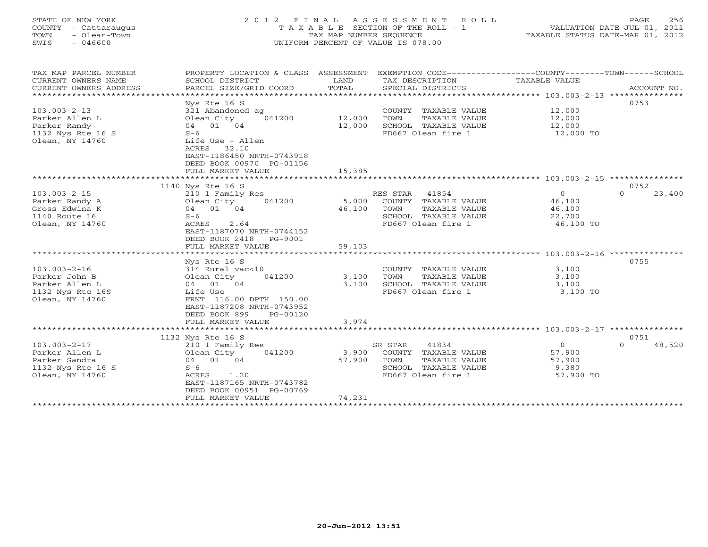# STATE OF NEW YORK 2 0 1 2 F I N A L A S S E S S M E N T R O L L PAGE 256 COUNTY - Cattaraugus T A X A B L E SECTION OF THE ROLL - 1 VALUATION DATE-JUL 01, 2011 TOWN - Olean-Town TAX MAP NUMBER SEQUENCE TAXABLE STATUS DATE-MAR 01, 2012 SWIS - 046600 UNIFORM PERCENT OF VALUE IS 078.00UNIFORM PERCENT OF VALUE IS 078.00

| TAX MAP PARCEL NUMBER<br>CURRENT OWNERS NAME<br>CURRENT OWNERS ADDRESS | PROPERTY LOCATION & CLASS ASSESSMENT<br>SCHOOL DISTRICT<br>PARCEL SIZE/GRID COORD | LAND<br>TOTAL   | EXEMPTION CODE-----------------COUNTY-------TOWN------SCHOOL<br>TAX DESCRIPTION<br>SPECIAL DISTRICTS | TAXABLE VALUE    | ACCOUNT NO.                |
|------------------------------------------------------------------------|-----------------------------------------------------------------------------------|-----------------|------------------------------------------------------------------------------------------------------|------------------|----------------------------|
|                                                                        |                                                                                   |                 |                                                                                                      |                  |                            |
|                                                                        | Nys Rte 16 S                                                                      |                 |                                                                                                      |                  | 0753                       |
| $103.003 - 2 - 13$                                                     | 321 Abandoned ag                                                                  |                 | COUNTY TAXABLE VALUE                                                                                 | 12,000           |                            |
| Parker Allen L                                                         | 041200<br>Olean City                                                              | 12,000          | TOWN<br>TAXABLE VALUE                                                                                | 12,000           |                            |
| Parker Randy                                                           | 04 01 04                                                                          | 12,000          | SCHOOL TAXABLE VALUE                                                                                 | 12,000           |                            |
| 1132 Nys Rte 16 S                                                      | $S-6$                                                                             |                 | FD667 Olean fire 1                                                                                   | 12,000 TO        |                            |
| Olean, NY 14760                                                        | Life Use - Allen                                                                  |                 |                                                                                                      |                  |                            |
|                                                                        | ACRES<br>32.10<br>EAST-1186450 NRTH-0743918                                       |                 |                                                                                                      |                  |                            |
|                                                                        | DEED BOOK 00970 PG-01156                                                          |                 |                                                                                                      |                  |                            |
|                                                                        |                                                                                   | 15,385          |                                                                                                      |                  |                            |
|                                                                        | FULL MARKET VALUE                                                                 |                 |                                                                                                      |                  |                            |
|                                                                        |                                                                                   |                 |                                                                                                      |                  |                            |
| $103.003 - 2 - 15$                                                     | 1140 Nys Rte 16 S                                                                 |                 | RES STAR<br>41854                                                                                    | $\circ$          | 0752<br>23,400<br>$\Omega$ |
|                                                                        | 210 1 Family Res                                                                  |                 |                                                                                                      |                  |                            |
| Parker Randy A<br>Gross Edwina K                                       | Olean City<br>041200<br>04 01 04                                                  | 5,000<br>46,100 | COUNTY TAXABLE VALUE<br>TOWN<br>TAXABLE VALUE                                                        | 46,100<br>46,100 |                            |
| 1140 Route 16                                                          | $S-6$                                                                             |                 |                                                                                                      |                  |                            |
|                                                                        |                                                                                   |                 | SCHOOL TAXABLE VALUE                                                                                 | 22,700           |                            |
| Olean, NY 14760                                                        | ACRES<br>2.64<br>EAST-1187070 NRTH-0744152                                        |                 | FD667 Olean fire 1                                                                                   | 46,100 TO        |                            |
|                                                                        |                                                                                   |                 |                                                                                                      |                  |                            |
|                                                                        | DEED BOOK 2418<br>PG-9001                                                         |                 |                                                                                                      |                  |                            |
|                                                                        | FULL MARKET VALUE                                                                 | 59,103          |                                                                                                      |                  |                            |
|                                                                        | Nys Rte 16 S                                                                      |                 |                                                                                                      |                  | 0755                       |
| $103.003 - 2 - 16$                                                     | 314 Rural vac<10                                                                  |                 | COUNTY TAXABLE VALUE                                                                                 | 3,100            |                            |
| Parker John B                                                          | Olean City<br>041200                                                              | 3,100           | TOWN<br>TAXABLE VALUE                                                                                | 3,100            |                            |
| Parker Allen L                                                         | 04 01 04                                                                          | 3,100           | SCHOOL TAXABLE VALUE                                                                                 | 3,100            |                            |
| 1132 Nys Rte 16S                                                       | Life Use                                                                          |                 | FD667 Olean fire 1                                                                                   | 3,100 TO         |                            |
| Olean, NY 14760                                                        | FRNT 116.00 DPTH 150.00                                                           |                 |                                                                                                      |                  |                            |
|                                                                        | EAST-1187208 NRTH-0743952                                                         |                 |                                                                                                      |                  |                            |
|                                                                        | DEED BOOK 899<br>PG-00120                                                         |                 |                                                                                                      |                  |                            |
|                                                                        | FULL MARKET VALUE                                                                 | 3,974           |                                                                                                      |                  |                            |
|                                                                        |                                                                                   |                 |                                                                                                      |                  |                            |
|                                                                        | 1132 Nys Rte 16 S                                                                 |                 |                                                                                                      |                  | 0751                       |
| $103.003 - 2 - 17$                                                     | 210 1 Family Res                                                                  |                 | 41834<br>SR STAR                                                                                     | $\overline{0}$   | 48,520<br>$\Omega$         |
| Parker Allen L                                                         | 041200<br>Olean City                                                              | 3,900           | COUNTY TAXABLE VALUE                                                                                 | 57,900           |                            |
| Parker Sandra                                                          | 04 01 04                                                                          | 57,900          | TOWN<br>TAXABLE VALUE                                                                                | 57,900           |                            |
| 1132 Nys Rte 16 S                                                      | $S-6$                                                                             |                 | SCHOOL TAXABLE VALUE                                                                                 | 9,380            |                            |
| Olean, NY 14760                                                        | 1.20<br>ACRES                                                                     |                 | FD667 Olean fire 1                                                                                   | 57,900 TO        |                            |
|                                                                        | EAST-1187165 NRTH-0743782                                                         |                 |                                                                                                      |                  |                            |
|                                                                        | DEED BOOK 00951 PG-00769                                                          |                 |                                                                                                      |                  |                            |
|                                                                        | FULL MARKET VALUE                                                                 | 74,231          |                                                                                                      |                  |                            |
|                                                                        |                                                                                   |                 |                                                                                                      |                  |                            |
|                                                                        |                                                                                   |                 |                                                                                                      |                  |                            |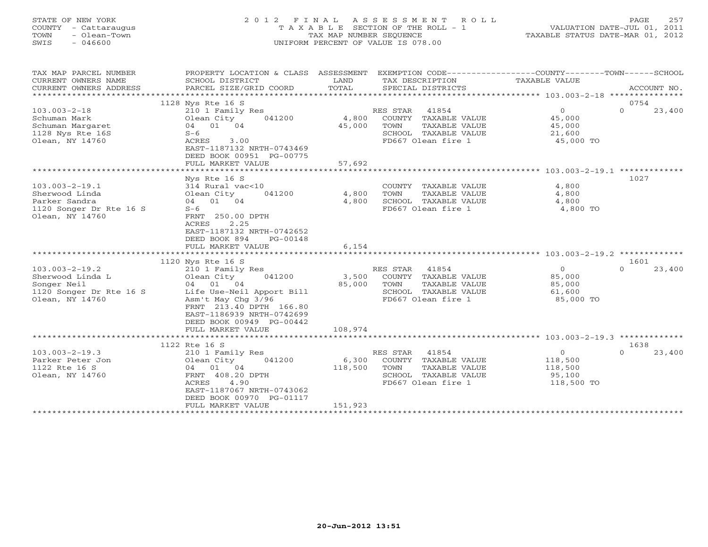# STATE OF NEW YORK 2 0 1 2 F I N A L A S S E S S M E N T R O L L PAGE 257 COUNTY - Cattaraugus T A X A B L E SECTION OF THE ROLL - 1 VALUATION DATE-JUL 01, 2011 TOWN - Olean-Town TAX MAP NUMBER SEQUENCE TAXABLE STATUS DATE-MAR 01, 2012 SWIS - 046600 UNIFORM PERCENT OF VALUE IS 078.00

| CURRENT OWNERS NAME<br>SCHOOL DISTRICT<br>LAND<br>TAX DESCRIPTION<br>TAXABLE VALUE<br>TOTAL<br>CURRENT OWNERS ADDRESS<br>PARCEL SIZE/GRID COORD<br>SPECIAL DISTRICTS<br>ACCOUNT NO.<br>0754<br>1128 Nys Rte 16 S<br>41854<br>$\overline{0}$<br>$\Omega$<br>$103.003 - 2 - 18$<br>RES STAR<br>23,400<br>210 1 Family Res<br>Olean City<br>041200<br>4,800<br>COUNTY TAXABLE VALUE<br>45,000<br>Schuman Mark<br>04 01 04<br>45,000<br>TOWN<br>TAXABLE VALUE<br>45,000<br>Schuman Margaret<br>1128 Nys Rte 16S<br>$S-6$<br>SCHOOL TAXABLE VALUE<br>21,600<br>3.00<br>Olean, NY 14760<br>ACRES<br>FD667 Olean fire 1<br>45,000 TO |
|-------------------------------------------------------------------------------------------------------------------------------------------------------------------------------------------------------------------------------------------------------------------------------------------------------------------------------------------------------------------------------------------------------------------------------------------------------------------------------------------------------------------------------------------------------------------------------------------------------------------------------|
|                                                                                                                                                                                                                                                                                                                                                                                                                                                                                                                                                                                                                               |
|                                                                                                                                                                                                                                                                                                                                                                                                                                                                                                                                                                                                                               |
|                                                                                                                                                                                                                                                                                                                                                                                                                                                                                                                                                                                                                               |
|                                                                                                                                                                                                                                                                                                                                                                                                                                                                                                                                                                                                                               |
|                                                                                                                                                                                                                                                                                                                                                                                                                                                                                                                                                                                                                               |
|                                                                                                                                                                                                                                                                                                                                                                                                                                                                                                                                                                                                                               |
|                                                                                                                                                                                                                                                                                                                                                                                                                                                                                                                                                                                                                               |
|                                                                                                                                                                                                                                                                                                                                                                                                                                                                                                                                                                                                                               |
|                                                                                                                                                                                                                                                                                                                                                                                                                                                                                                                                                                                                                               |
| EAST-1187132 NRTH-0743469                                                                                                                                                                                                                                                                                                                                                                                                                                                                                                                                                                                                     |
| DEED BOOK 00951 PG-00775                                                                                                                                                                                                                                                                                                                                                                                                                                                                                                                                                                                                      |
| 57,692<br>FULL MARKET VALUE                                                                                                                                                                                                                                                                                                                                                                                                                                                                                                                                                                                                   |
|                                                                                                                                                                                                                                                                                                                                                                                                                                                                                                                                                                                                                               |
| Nys Rte 16 S<br>1027                                                                                                                                                                                                                                                                                                                                                                                                                                                                                                                                                                                                          |
| $103.003 - 2 - 19.1$<br>314 Rural vac<10<br>4,800<br>COUNTY TAXABLE VALUE                                                                                                                                                                                                                                                                                                                                                                                                                                                                                                                                                     |
| Sherwood Linda<br>Olean City<br>041200<br>4,800<br>TOWN<br>TAXABLE VALUE<br>4,800                                                                                                                                                                                                                                                                                                                                                                                                                                                                                                                                             |
| Parker Sandra<br>4,800<br>SCHOOL TAXABLE VALUE<br>04 01 04<br>4,800                                                                                                                                                                                                                                                                                                                                                                                                                                                                                                                                                           |
| 1120 Songer Dr Rte 16 S<br>FD667 Olean fire 1<br>4,800 TO<br>$S-6$                                                                                                                                                                                                                                                                                                                                                                                                                                                                                                                                                            |
| Olean, NY 14760<br>FRNT 250.00 DPTH                                                                                                                                                                                                                                                                                                                                                                                                                                                                                                                                                                                           |
| ACRES<br>2.25                                                                                                                                                                                                                                                                                                                                                                                                                                                                                                                                                                                                                 |
| EAST-1187132 NRTH-0742652                                                                                                                                                                                                                                                                                                                                                                                                                                                                                                                                                                                                     |
| DEED BOOK 894<br>PG-00148                                                                                                                                                                                                                                                                                                                                                                                                                                                                                                                                                                                                     |
| 6,154<br>FULL MARKET VALUE                                                                                                                                                                                                                                                                                                                                                                                                                                                                                                                                                                                                    |
|                                                                                                                                                                                                                                                                                                                                                                                                                                                                                                                                                                                                                               |
| 1120 Nys Rte 16 S<br>1601                                                                                                                                                                                                                                                                                                                                                                                                                                                                                                                                                                                                     |
| $103.003 - 2 - 19.2$<br>41854<br>$\overline{0}$<br>$\Omega$<br>23,400<br>210 1 Family Res<br>RES STAR                                                                                                                                                                                                                                                                                                                                                                                                                                                                                                                         |
| Sherwood Linda L<br>041200<br>3,500<br>COUNTY TAXABLE VALUE<br>85,000<br>Olean City                                                                                                                                                                                                                                                                                                                                                                                                                                                                                                                                           |
| Songer Neil<br>04 01 04<br>85,000<br>TOWN<br>TAXABLE VALUE<br>85,000                                                                                                                                                                                                                                                                                                                                                                                                                                                                                                                                                          |
| 1120 Songer Dr Rte 16 S<br>SCHOOL TAXABLE VALUE<br>Life Use-Neil Apport Bill<br>61,600                                                                                                                                                                                                                                                                                                                                                                                                                                                                                                                                        |
| Asm't May Chg 3/96<br>FD667 Olean fire 1<br>85,000 TO<br>Olean, NY 14760                                                                                                                                                                                                                                                                                                                                                                                                                                                                                                                                                      |
| FRNT 213.40 DPTH 166.80                                                                                                                                                                                                                                                                                                                                                                                                                                                                                                                                                                                                       |
| EAST-1186939 NRTH-0742699                                                                                                                                                                                                                                                                                                                                                                                                                                                                                                                                                                                                     |
| DEED BOOK 00949 PG-00442<br>FULL MARKET VALUE<br>108,974                                                                                                                                                                                                                                                                                                                                                                                                                                                                                                                                                                      |
|                                                                                                                                                                                                                                                                                                                                                                                                                                                                                                                                                                                                                               |
| 1122 Rte 16 S<br>1638                                                                                                                                                                                                                                                                                                                                                                                                                                                                                                                                                                                                         |
| $\overline{O}$<br>RES STAR<br>$\circ$                                                                                                                                                                                                                                                                                                                                                                                                                                                                                                                                                                                         |
| $103.003 - 2 - 19.3$<br>41854<br>23,400<br>210 1 Family Res<br>041200<br>6,300<br>COUNTY TAXABLE VALUE                                                                                                                                                                                                                                                                                                                                                                                                                                                                                                                        |
| 118,500<br>Parker Peter Jon<br>Olean City<br>1122 Rte 16 S<br>04 01 04<br>118,500<br>TOWN<br>TAXABLE VALUE<br>118,500                                                                                                                                                                                                                                                                                                                                                                                                                                                                                                         |
| FRNT 408.20 DPTH<br>SCHOOL TAXABLE VALUE                                                                                                                                                                                                                                                                                                                                                                                                                                                                                                                                                                                      |
| Olean, NY 14760<br>95,100<br>ACRES<br>4.90<br>FD667 Olean fire 1<br>118,500 TO                                                                                                                                                                                                                                                                                                                                                                                                                                                                                                                                                |
| EAST-1187067 NRTH-0743062                                                                                                                                                                                                                                                                                                                                                                                                                                                                                                                                                                                                     |
| DEED BOOK 00970 PG-01117                                                                                                                                                                                                                                                                                                                                                                                                                                                                                                                                                                                                      |
| 151,923<br>FULL MARKET VALUE                                                                                                                                                                                                                                                                                                                                                                                                                                                                                                                                                                                                  |
| ************************                                                                                                                                                                                                                                                                                                                                                                                                                                                                                                                                                                                                      |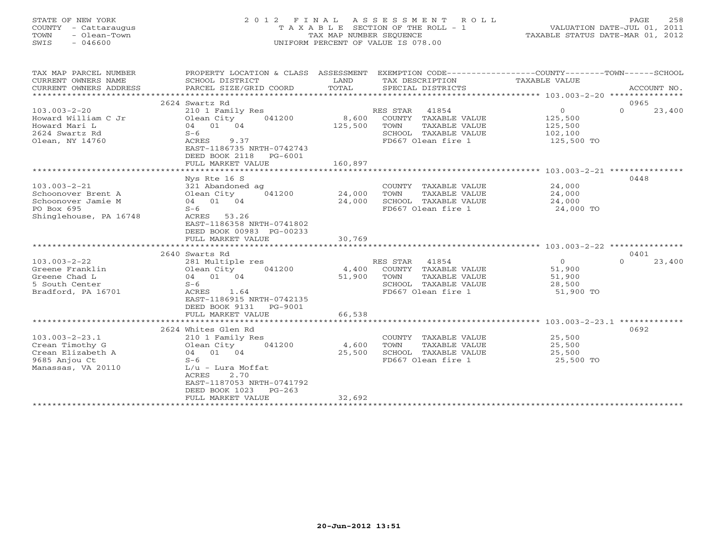# STATE OF NEW YORK 2 0 1 2 F I N A L A S S E S S M E N T R O L L PAGE 258 COUNTY - Cattaraugus T A X A B L E SECTION OF THE ROLL - 1 VALUATION DATE-JUL 01, 2011 TOWN - Olean-Town TAX MAP NUMBER SEQUENCE TAXABLE STATUS DATE-MAR 01, 2012 SWIS - 046600 UNIFORM PERCENT OF VALUE IS 078.00UNIFORM PERCENT OF VALUE IS 078.00

| TAX MAP PARCEL NUMBER<br>CURRENT OWNERS NAME<br>CURRENT OWNERS ADDRESS | PROPERTY LOCATION & CLASS ASSESSMENT<br>SCHOOL DISTRICT<br>PARCEL SIZE/GRID COORD | LAND<br>TOTAL   | EXEMPTION CODE-----------------COUNTY-------TOWN------SCHOOL<br>TAX DESCRIPTION<br>SPECIAL DISTRICTS | TAXABLE VALUE       | ACCOUNT NO.        |
|------------------------------------------------------------------------|-----------------------------------------------------------------------------------|-----------------|------------------------------------------------------------------------------------------------------|---------------------|--------------------|
|                                                                        |                                                                                   |                 |                                                                                                      |                     |                    |
|                                                                        | 2624 Swartz Rd                                                                    |                 |                                                                                                      |                     | 0965               |
| $103.003 - 2 - 20$                                                     | 210 1 Family Res                                                                  |                 | RES STAR<br>41854                                                                                    | $\circ$             | $\Omega$<br>23,400 |
| Howard William C Jr                                                    | Olean City<br>041200                                                              | 8,600           | COUNTY TAXABLE VALUE                                                                                 | 125,500             |                    |
| Howard Mari L                                                          | 04 01 04                                                                          | 125,500         | TOWN<br>TAXABLE VALUE                                                                                | 125,500             |                    |
| 2624 Swartz Rd                                                         | $S-6$                                                                             |                 | SCHOOL TAXABLE VALUE                                                                                 | 102,100             |                    |
| Olean, NY 14760                                                        | ACRES<br>9.37<br>EAST-1186735 NRTH-0742743<br>DEED BOOK 2118<br>PG-6001           |                 | FD667 Olean fire 1                                                                                   | 125,500 TO          |                    |
|                                                                        | FULL MARKET VALUE                                                                 | 160,897         |                                                                                                      |                     |                    |
|                                                                        |                                                                                   |                 |                                                                                                      |                     |                    |
|                                                                        | Nys Rte 16 S                                                                      |                 |                                                                                                      |                     | 0448               |
| $103.003 - 2 - 21$                                                     | 321 Abandoned ag                                                                  |                 | COUNTY TAXABLE VALUE                                                                                 | 24,000              |                    |
| Schoonover Brent A                                                     | Olean City<br>041200                                                              | 24,000          | TOWN<br>TAXABLE VALUE                                                                                | 24,000              |                    |
| Schoonover Jamie M                                                     | 04 01 04                                                                          | 24,000          | SCHOOL TAXABLE VALUE                                                                                 | 24,000              |                    |
| PO Box 695                                                             | $S-6$                                                                             |                 | FD667 Olean fire 1                                                                                   | 24,000 TO           |                    |
| Shinglehouse, PA 16748                                                 | ACRES 53.26                                                                       |                 |                                                                                                      |                     |                    |
|                                                                        | EAST-1186358 NRTH-0741802                                                         |                 |                                                                                                      |                     |                    |
|                                                                        | DEED BOOK 00983 PG-00233                                                          |                 |                                                                                                      |                     |                    |
|                                                                        | FULL MARKET VALUE                                                                 | 30,769          |                                                                                                      |                     |                    |
|                                                                        |                                                                                   |                 |                                                                                                      |                     |                    |
|                                                                        | 2640 Swarts Rd                                                                    |                 | 41854                                                                                                |                     | 0401<br>$\Omega$   |
| $103.003 - 2 - 22$                                                     | 281 Multiple res<br>041200                                                        |                 | RES STAR                                                                                             | $\circ$             | 23,400             |
| Greene Franklin                                                        | Olean City<br>04 01 04                                                            | 4,400<br>51,900 | COUNTY TAXABLE VALUE<br>TOWN<br>TAXABLE VALUE                                                        | 51,900              |                    |
| Greene Chad L<br>5 South Center                                        |                                                                                   |                 |                                                                                                      | 51,900              |                    |
| Bradford, PA 16701                                                     | $S-6$<br>1.64<br>ACRES                                                            |                 | SCHOOL TAXABLE VALUE<br>FD667 Olean fire 1                                                           | 28,500<br>51,900 TO |                    |
|                                                                        | EAST-1186915 NRTH-0742135                                                         |                 |                                                                                                      |                     |                    |
|                                                                        | DEED BOOK 9131<br>PG-9001                                                         |                 |                                                                                                      |                     |                    |
|                                                                        | FULL MARKET VALUE                                                                 | 66,538          |                                                                                                      |                     |                    |
|                                                                        |                                                                                   |                 |                                                                                                      |                     |                    |
|                                                                        | 2624 Whites Glen Rd                                                               |                 |                                                                                                      |                     | 0692               |
| $103.003 - 2 - 23.1$                                                   | 210 1 Family Res                                                                  |                 | COUNTY TAXABLE VALUE                                                                                 | 25,500              |                    |
| Crean Timothy G                                                        | Olean City<br>041200                                                              | 4,600           | TOWN<br>TAXABLE VALUE                                                                                | 25,500              |                    |
| Crean Elizabeth A                                                      | 04 01 04                                                                          | 25,500          | SCHOOL TAXABLE VALUE                                                                                 | 25,500              |                    |
| 9685 Anjou Ct                                                          | $S-6$                                                                             |                 | FD667 Olean fire 1                                                                                   | 25,500 TO           |                    |
| Manassas, VA 20110                                                     | $L/u$ - Lura Moffat                                                               |                 |                                                                                                      |                     |                    |
|                                                                        | ACRES<br>2.70                                                                     |                 |                                                                                                      |                     |                    |
|                                                                        | EAST-1187053 NRTH-0741792                                                         |                 |                                                                                                      |                     |                    |
|                                                                        | DEED BOOK 1023<br>$PG-263$                                                        |                 |                                                                                                      |                     |                    |
|                                                                        | FULL MARKET VALUE                                                                 | 32,692          |                                                                                                      |                     |                    |
|                                                                        |                                                                                   |                 |                                                                                                      |                     |                    |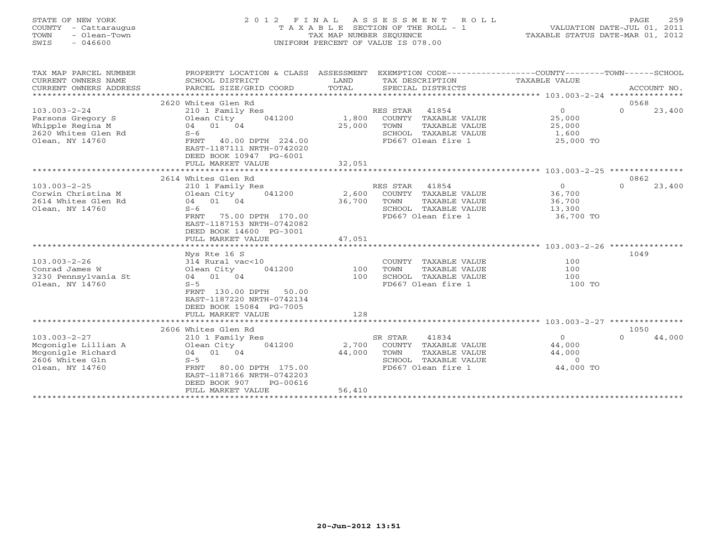# STATE OF NEW YORK 2 0 1 2 F I N A L A S S E S S M E N T R O L L PAGE 259 COUNTY - Cattaraugus T A X A B L E SECTION OF THE ROLL - 1 VALUATION DATE-JUL 01, 2011 TOWN - Olean-Town TAX MAP NUMBER SEQUENCE TAXABLE STATUS DATE-MAR 01, 2012 SWIS - 046600 UNIFORM PERCENT OF VALUE IS 078.00UNIFORM PERCENT OF VALUE IS 078.00

| TAX MAP PARCEL NUMBER  | PROPERTY LOCATION & CLASS ASSESSMENT |        | EXEMPTION CODE-----------------COUNTY-------TOWN------SCHOOL |                  |                    |
|------------------------|--------------------------------------|--------|--------------------------------------------------------------|------------------|--------------------|
| CURRENT OWNERS NAME    | SCHOOL DISTRICT                      | LAND   | TAX DESCRIPTION                                              | TAXABLE VALUE    |                    |
| CURRENT OWNERS ADDRESS | PARCEL SIZE/GRID COORD               | TOTAL  | SPECIAL DISTRICTS                                            |                  | ACCOUNT NO.        |
|                        |                                      |        |                                                              |                  |                    |
|                        | 2620 Whites Glen Rd                  |        |                                                              |                  | 0568               |
| $103.003 - 2 - 24$     | 210 1 Family Res                     |        | RES STAR<br>41854                                            | $\overline{0}$   | $\Omega$<br>23,400 |
| Parsons Gregory S      | 041200<br>Olean City                 |        | 1,800 COUNTY TAXABLE VALUE                                   | 25,000           |                    |
| Whipple Regina M       | 04 01 04                             | 25,000 | TOWN<br>TAXABLE VALUE                                        | 25,000           |                    |
| 2620 Whites Glen Rd    | $S-6$                                |        | SCHOOL TAXABLE VALUE                                         | 1,600            |                    |
| Olean, NY 14760        | FRNT 40.00 DPTH 224.00               |        | FD667 Olean fire 1                                           | 25,000 TO        |                    |
|                        | EAST-1187111 NRTH-0742020            |        |                                                              |                  |                    |
|                        | DEED BOOK 10947 PG-6001              |        |                                                              |                  |                    |
|                        | FULL MARKET VALUE                    | 32,051 |                                                              |                  |                    |
|                        |                                      |        |                                                              |                  |                    |
|                        | 2614 Whites Glen Rd                  |        |                                                              |                  | 0862               |
| $103.003 - 2 - 25$     | 210 1 Family Res                     |        | RES STAR 41854                                               | $\overline{0}$   | 23,400<br>$\Omega$ |
| Corwin Christina M     | Olean City 041200                    |        | 2,600 COUNTY TAXABLE VALUE                                   | 36,700<br>36,700 |                    |
| 2614 Whites Glen Rd    | 04 01 04                             | 36,700 | TAXABLE VALUE<br>TOWN                                        | 36,700           |                    |
| Olean, NY 14760        | $S-6$                                |        | SCHOOL TAXABLE VALUE                                         | 13,300           |                    |
|                        | 75.00 DPTH 170.00<br>FRNT            |        | FD667 Olean fire 1                                           | 36,700 TO        |                    |
|                        | EAST-1187153 NRTH-0742082            |        |                                                              |                  |                    |
|                        | DEED BOOK 14600 PG-3001              |        |                                                              |                  |                    |
|                        | FULL MARKET VALUE                    | 47,051 |                                                              |                  |                    |
|                        |                                      |        |                                                              |                  |                    |
|                        | Nys Rte 16 S                         |        |                                                              |                  | 1049               |
| $103.003 - 2 - 26$     | 314 Rural vac<10                     |        | COUNTY TAXABLE VALUE                                         | 100              |                    |
| Conrad James W         | 041200<br>Olean City                 | 100    | TOWN<br>TAXABLE VALUE                                        | 100              |                    |
| 3230 Pennsylvania St   | 04 01 04                             | 100    | SCHOOL TAXABLE VALUE                                         | 100              |                    |
| Olean, NY 14760        | $S-5$                                |        | FD667 Olean fire 1                                           | 100 TO           |                    |
|                        | FRNT 130.00 DPTH 50.00               |        |                                                              |                  |                    |
|                        | EAST-1187220 NRTH-0742134            |        |                                                              |                  |                    |
|                        | DEED BOOK 15084 PG-7005              |        |                                                              |                  |                    |
|                        | FULL MARKET VALUE                    | 128    |                                                              |                  |                    |
|                        |                                      |        |                                                              |                  |                    |
|                        | 2606 Whites Glen Rd                  |        |                                                              |                  | 1050               |
| $103.003 - 2 - 27$     | 210 1 Family Res                     |        | SR STAR<br>41834                                             | $\overline{0}$   | $\Omega$<br>44,000 |
| Mcgonigle Lillian A    | Olean City<br>041200                 |        | 2,700 COUNTY TAXABLE VALUE                                   | 44,000           |                    |
| Mcgonigle Richard      | 04 01 04                             | 44,000 | TOWN<br>TAXABLE VALUE                                        | 44,000           |                    |
| 2606 Whites Gln        | $S-5$                                |        | SCHOOL TAXABLE VALUE                                         | $\sim$ 0         |                    |
| Olean, NY 14760        | 80.00 DPTH 175.00<br>FRNT            |        | FD667 Olean fire 1 44,000 TO                                 |                  |                    |
|                        | EAST-1187166 NRTH-0742203            |        |                                                              |                  |                    |
|                        | DEED BOOK 907<br>PG-00616            |        |                                                              |                  |                    |
|                        | FULL MARKET VALUE                    | 56,410 |                                                              |                  |                    |
|                        |                                      |        |                                                              |                  |                    |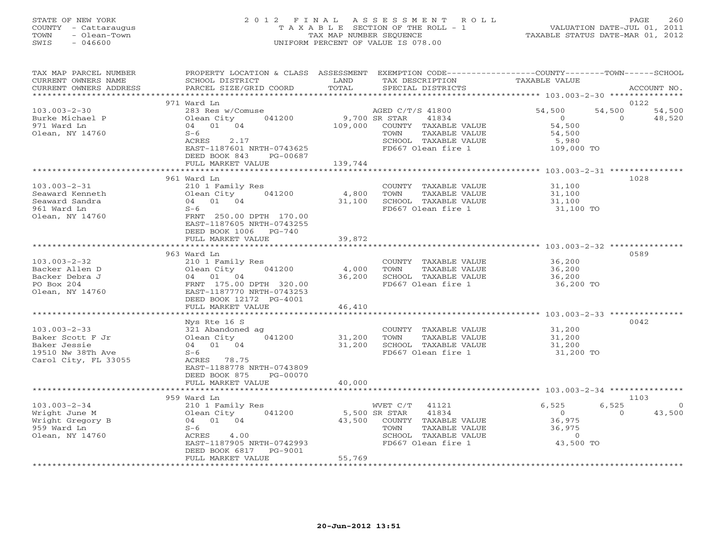# STATE OF NEW YORK 2 0 1 2 F I N A L A S S E S S M E N T R O L L PAGE 260 COUNTY - Cattaraugus T A X A B L E SECTION OF THE ROLL - 1 VALUATION DATE-JUL 01, 2011 TOWN - Olean-Town TAX MAP NUMBER SEQUENCE TAXABLE STATUS DATE-MAR 01, 2012 SWIS - 046600 UNIFORM PERCENT OF VALUE IS 078.00UNIFORM PERCENT OF VALUE IS 078.00

| TAX MAP PARCEL NUMBER<br>CURRENT OWNERS NAME<br>CURRENT OWNERS ADDRESS                              | PROPERTY LOCATION & CLASS ASSESSMENT<br>SCHOOL DISTRICT<br>PARCEL SIZE/GRID COORD                                                                                            | LAND<br>TOTAL                               | TAX DESCRIPTION<br>SPECIAL DISTRICTS                                                                             | EXEMPTION CODE-----------------COUNTY-------TOWN------SCHOOL<br>TAXABLE VALUE           | ACCOUNT NO.                                    |
|-----------------------------------------------------------------------------------------------------|------------------------------------------------------------------------------------------------------------------------------------------------------------------------------|---------------------------------------------|------------------------------------------------------------------------------------------------------------------|-----------------------------------------------------------------------------------------|------------------------------------------------|
|                                                                                                     |                                                                                                                                                                              | **********                                  |                                                                                                                  | ********************* 103.003-2-30 ***************                                      |                                                |
| $103.003 - 2 - 30$<br>Burke Michael P<br>971 Ward Ln<br>Olean, NY 14760                             | 971 Ward Ln<br>283 Res w/Comuse<br>Olean City<br>041200<br>04 01 04<br>$S-6$<br>ACRES<br>2.17<br>EAST-1187601 NRTH-0743625<br>DEED BOOK 843<br>PG-00687<br>FULL MARKET VALUE | 9,700 SR STAR<br>109,000<br>TOWN<br>139,744 | AGED C/T/S 41800<br>41834<br>COUNTY TAXABLE VALUE<br>TAXABLE VALUE<br>SCHOOL TAXABLE VALUE<br>FD667 Olean fire 1 | 54,500<br>$\overline{0}$<br>54,500<br>54,500<br>5,980<br>109,000 TO                     | 0122<br>54,500<br>54,500<br>$\Omega$<br>48,520 |
|                                                                                                     | ************************                                                                                                                                                     | *************                               |                                                                                                                  |                                                                                         |                                                |
| $103.003 - 2 - 31$<br>Seaward Kenneth<br>Seaward Sandra<br>961 Ward Ln<br>Olean, NY 14760           | 961 Ward Ln<br>210 1 Family Res<br>041200<br>Olean City<br>04 01 04<br>$S-6$<br>FRNT 250.00 DPTH 170.00<br>EAST-1187605 NRTH-0743255<br>DEED BOOK 1006 PG-740                | 4,800<br>TOWN<br>31,100                     | COUNTY TAXABLE VALUE<br>TAXABLE VALUE<br>SCHOOL TAXABLE VALUE<br>FD667 Olean fire 1                              | 31,100<br>31,100<br>31,100<br>31,100 TO                                                 | 1028                                           |
|                                                                                                     | FULL MARKET VALUE                                                                                                                                                            | 39,872                                      |                                                                                                                  |                                                                                         |                                                |
|                                                                                                     | ****************************                                                                                                                                                 |                                             |                                                                                                                  |                                                                                         |                                                |
| $103.003 - 2 - 32$<br>Backer Allen D<br>Backer Debra J<br>PO Box 204<br>Olean, NY 14760             | 963 Ward Ln<br>210 1 Family Res<br>Olean City 041200<br>04 01 04<br>FRNT 175.00 DPTH 320.00<br>EAST-1187770 NRTH-0743253<br>DEED BOOK 12172 PG-4001<br>FULL MARKET VALUE     | 4,000<br>TOWN<br>36,200<br>46,410           | COUNTY TAXABLE VALUE<br>TAXABLE VALUE<br>SCHOOL TAXABLE VALUE<br>FD667 Olean fire 1                              | 36,200<br>36,200<br>36,200<br>36,200 TO<br>********************** 103.003-2-33 ******** | 0589                                           |
|                                                                                                     | Nys Rte 16 S                                                                                                                                                                 |                                             |                                                                                                                  |                                                                                         | 0042                                           |
| $103.003 - 2 - 33$<br>Baker Scott F Jr<br>Baker Jessie<br>19510 Nw 38Th Ave<br>Carol City, FL 33055 | 321 Abandoned ag<br>Olean City<br>041200<br>04 01 04<br>$S-6$<br>ACRES 78.75<br>EAST-1188778 NRTH-0743809<br>DEED BOOK 875<br>PG-00070                                       | 31,200<br>TOWN<br>31,200                    | COUNTY TAXABLE VALUE<br>TAXABLE VALUE<br>SCHOOL TAXABLE VALUE<br>FD667 Olean fire 1                              | 31,200<br>31,200<br>31,200<br>31,200 TO                                                 |                                                |
|                                                                                                     | FULL MARKET VALUE                                                                                                                                                            | 40,000                                      |                                                                                                                  |                                                                                         |                                                |
|                                                                                                     | 959 Ward Ln                                                                                                                                                                  |                                             |                                                                                                                  |                                                                                         | 1103                                           |
| $103.003 - 2 - 34$<br>Wright June M<br>Wright Gregory B<br>959 Ward Ln<br>Olean, NY 14760           | 210 1 Family Res<br>041200<br>Olean City<br>04 01 04<br>$S-6$<br>ACRES<br>4.00<br>EAST-1187905 NRTH-0742993<br>DEED BOOK 6817<br>PG-9001<br>FULL MARKET VALUE                | WVET C/T<br>5,500 SR STAR<br>TOWN<br>55,769 | 41121<br>41834<br>43,500 COUNTY TAXABLE VALUE<br>TAXABLE VALUE<br>SCHOOL TAXABLE VALUE<br>FD667 Olean fire 1     | 6,525<br>$\overline{0}$<br>36,975<br>36,975<br>$\overline{0}$<br>43,500 TO              | 6,525<br>$\circ$<br>$\Omega$<br>43,500         |
|                                                                                                     |                                                                                                                                                                              |                                             |                                                                                                                  |                                                                                         |                                                |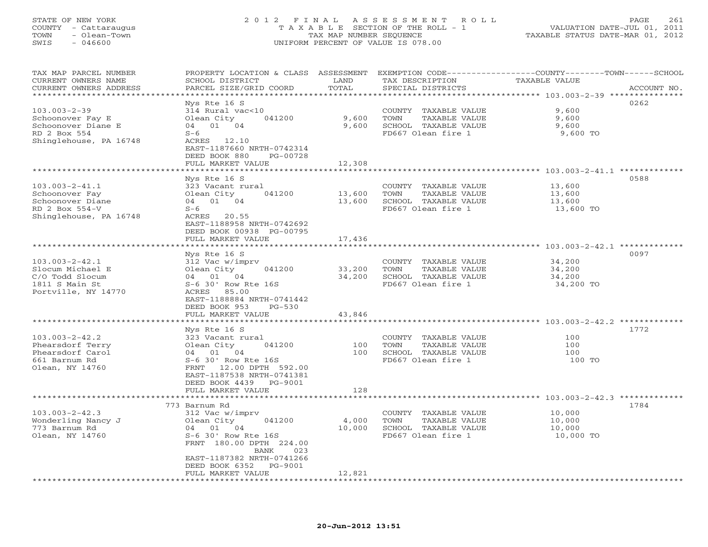# STATE OF NEW YORK 2 0 1 2 F I N A L A S S E S S M E N T R O L L PAGE 261 COUNTY - Cattaraugus T A X A B L E SECTION OF THE ROLL - 1 VALUATION DATE-JUL 01, 2011 TOWN - Olean-Town TAX MAP NUMBER SEQUENCE TAXABLE STATUS DATE-MAR 01, 2012 SWIS - 046600 UNIFORM PERCENT OF VALUE IS 078.00UNIFORM PERCENT OF VALUE IS 078.00

| TAX MAP PARCEL NUMBER<br>CURRENT OWNERS NAME<br>CURRENT OWNERS ADDRESS | PROPERTY LOCATION & CLASS<br>SCHOOL DISTRICT<br>PARCEL SIZE/GRID COORD | ASSESSMENT<br>LAND<br>TOTAL | TAX DESCRIPTION<br>SPECIAL DISTRICTS          | EXEMPTION CODE-----------------COUNTY-------TOWN------SCHOOL<br><b>TAXABLE VALUE</b><br>ACCOUNT NO. |
|------------------------------------------------------------------------|------------------------------------------------------------------------|-----------------------------|-----------------------------------------------|-----------------------------------------------------------------------------------------------------|
| *********************                                                  |                                                                        |                             |                                               |                                                                                                     |
|                                                                        | Nys Rte 16 S                                                           |                             |                                               | 0262                                                                                                |
| $103.003 - 2 - 39$                                                     | 314 Rural vac<10                                                       |                             | COUNTY<br>TAXABLE VALUE                       | 9,600                                                                                               |
| Schoonover Fay E                                                       | Olean City<br>041200                                                   | 9,600                       | TOWN<br>TAXABLE VALUE                         | 9,600                                                                                               |
| Schoonover Diane E                                                     | 04 01 04                                                               | 9,600                       | SCHOOL TAXABLE VALUE                          | 9,600                                                                                               |
| RD 2 Box 554                                                           | $S-6$                                                                  |                             | FD667 Olean fire 1                            | 9,600 TO                                                                                            |
| Shinglehouse, PA 16748                                                 | ACRES 12.10<br>EAST-1187660 NRTH-0742314                               |                             |                                               |                                                                                                     |
|                                                                        | DEED BOOK 880<br>PG-00728                                              |                             |                                               |                                                                                                     |
|                                                                        | FULL MARKET VALUE                                                      | 12,308                      |                                               |                                                                                                     |
|                                                                        | *******************                                                    |                             |                                               |                                                                                                     |
|                                                                        | Nys Rte 16 S                                                           |                             |                                               | 0588                                                                                                |
| $103.003 - 2 - 41.1$                                                   | 323 Vacant rural                                                       |                             | COUNTY TAXABLE VALUE                          | 13,600                                                                                              |
| Schoonover Fay                                                         | Olean City<br>041200                                                   | 13,600                      | TOWN<br>TAXABLE VALUE                         | 13,600                                                                                              |
| Schoonover Diane                                                       | 04 01 04                                                               | 13,600                      | SCHOOL TAXABLE VALUE                          | 13,600                                                                                              |
| RD 2 Box 554-V                                                         | $S-6$                                                                  |                             | FD667 Olean fire 1                            | 13,600 TO                                                                                           |
| Shinglehouse, PA 16748                                                 | ACRES<br>20.55                                                         |                             |                                               |                                                                                                     |
|                                                                        | EAST-1188958 NRTH-0742692                                              |                             |                                               |                                                                                                     |
|                                                                        | DEED BOOK 00938 PG-00795                                               |                             |                                               |                                                                                                     |
|                                                                        | FULL MARKET VALUE<br>*****************                                 | 17,436                      |                                               |                                                                                                     |
|                                                                        | Nys Rte 16 S                                                           |                             |                                               | 0097                                                                                                |
| $103.003 - 2 - 42.1$                                                   | 312 Vac w/imprv                                                        |                             | COUNTY<br>TAXABLE VALUE                       | 34,200                                                                                              |
| Slocum Michael E                                                       | Olean City<br>041200                                                   | 33,200                      | TOWN<br>TAXABLE VALUE                         | 34,200                                                                                              |
| C/O Todd Slocum                                                        | 04 01 04                                                               | 34,200                      | SCHOOL TAXABLE VALUE                          | 34,200                                                                                              |
| 1811 S Main St                                                         | $S-6$ 30' Row Rte 16S                                                  |                             | FD667 Olean fire 1                            | 34,200 TO                                                                                           |
| Portville, NY 14770                                                    | ACRES 85.00                                                            |                             |                                               |                                                                                                     |
|                                                                        | EAST-1188884 NRTH-0741442                                              |                             |                                               |                                                                                                     |
|                                                                        | DEED BOOK 953<br>$PG-530$                                              |                             |                                               |                                                                                                     |
|                                                                        | FULL MARKET VALUE<br>**************                                    | 43,846<br>********          |                                               |                                                                                                     |
|                                                                        | Nys Rte 16 S                                                           |                             |                                               | ******************** 103.003-2-42.2 **<br>1772                                                      |
| $103.003 - 2 - 42.2$                                                   | 323 Vacant rural                                                       |                             | COUNTY TAXABLE VALUE                          | 100                                                                                                 |
| Phearsdorf Terry                                                       | Olean City<br>041200                                                   | 100                         | TOWN<br>TAXABLE VALUE                         | 100                                                                                                 |
| Phearsdorf Carol                                                       | 04 01 04                                                               | 100                         | SCHOOL TAXABLE VALUE                          | 100                                                                                                 |
| 661 Barnum Rd                                                          | $S-6$ 30' Row Rte 16S                                                  |                             | FD667 Olean fire 1                            | 100 TO                                                                                              |
| Olean, NY 14760                                                        | FRNT<br>12.00 DPTH 592.00                                              |                             |                                               |                                                                                                     |
|                                                                        | EAST-1187538 NRTH-0741381                                              |                             |                                               |                                                                                                     |
|                                                                        | DEED BOOK 4439<br>PG-9001                                              |                             |                                               |                                                                                                     |
|                                                                        | FULL MARKET VALUE                                                      | 128                         |                                               |                                                                                                     |
|                                                                        |                                                                        |                             |                                               |                                                                                                     |
|                                                                        | 773 Barnum Rd                                                          |                             |                                               | 1784                                                                                                |
| $103.003 - 2 - 42.3$<br>Wonderling Nancy J                             | 312 Vac w/imprv<br>Olean City<br>041200                                | 4,000                       | COUNTY TAXABLE VALUE<br>TOWN<br>TAXABLE VALUE | 10,000<br>10,000                                                                                    |
| 773 Barnum Rd                                                          | 01<br>04<br>04                                                         | 10,000                      | SCHOOL TAXABLE VALUE                          | 10,000                                                                                              |
| Olean, NY 14760                                                        | S-6 30' Row Rte 16S                                                    |                             | FD667 Olean fire 1                            | 10,000 TO                                                                                           |
|                                                                        | FRNT 180.00 DPTH 224.00                                                |                             |                                               |                                                                                                     |
|                                                                        | 023<br>BANK                                                            |                             |                                               |                                                                                                     |
|                                                                        | EAST-1187382 NRTH-0741266                                              |                             |                                               |                                                                                                     |
|                                                                        | DEED BOOK 6352<br>PG-9001                                              |                             |                                               |                                                                                                     |
|                                                                        | FULL MARKET VALUE                                                      | 12,821                      |                                               |                                                                                                     |
|                                                                        |                                                                        |                             |                                               |                                                                                                     |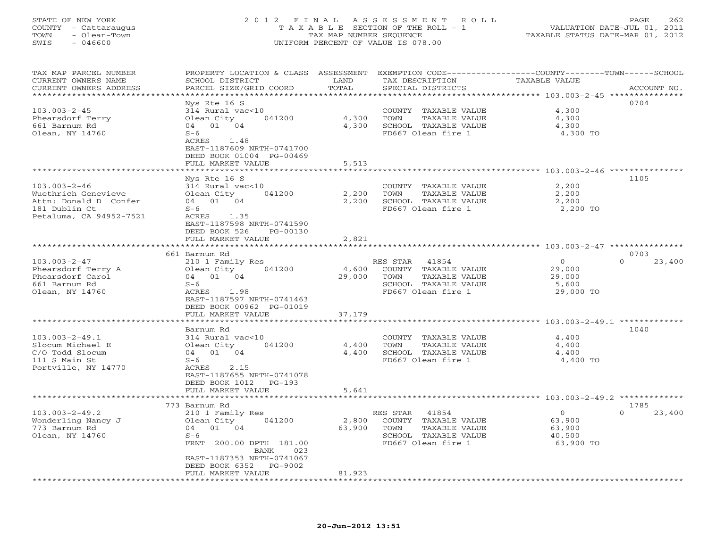# STATE OF NEW YORK 2 0 1 2 F I N A L A S S E S S M E N T R O L L PAGE 262 COUNTY - Cattaraugus T A X A B L E SECTION OF THE ROLL - 1 VALUATION DATE-JUL 01, 2011 TOWN - Olean-Town TAX MAP NUMBER SEQUENCE TAXABLE STATUS DATE-MAR 01, 2012 SWIS - 046600 UNIFORM PERCENT OF VALUE IS 078.00UNIFORM PERCENT OF VALUE IS 078.00

| TAX MAP PARCEL NUMBER                           | PROPERTY LOCATION & CLASS ASSESSMENT     |                       | EXEMPTION CODE-----------------COUNTY-------TOWN------SCHOOL                              |                                                    |                            |
|-------------------------------------------------|------------------------------------------|-----------------------|-------------------------------------------------------------------------------------------|----------------------------------------------------|----------------------------|
| CURRENT OWNERS NAME                             | SCHOOL DISTRICT                          | LAND                  | TAX DESCRIPTION                                                                           | TAXABLE VALUE                                      |                            |
| CURRENT OWNERS ADDRESS<br>********************* | PARCEL SIZE/GRID COORD                   | TOTAL                 | SPECIAL DISTRICTS<br>************************************** 103.003-2-45 **************** |                                                    | ACCOUNT NO.                |
|                                                 | Nys Rte 16 S                             |                       |                                                                                           |                                                    | 0704                       |
| $103.003 - 2 - 45$                              | 314 Rural vac<10                         |                       | COUNTY TAXABLE VALUE                                                                      | 4,300                                              |                            |
| Phearsdorf Terry                                | 041200<br>Olean City                     | 4,300                 | TOWN<br>TAXABLE VALUE                                                                     | 4,300                                              |                            |
| 661 Barnum Rd                                   | 04 01 04                                 | 4,300                 | SCHOOL TAXABLE VALUE                                                                      | 4,300                                              |                            |
| Olean, NY 14760                                 | $S-6$                                    |                       | FD667 Olean fire 1                                                                        | 4,300 TO                                           |                            |
|                                                 | ACRES<br>1.48                            |                       |                                                                                           |                                                    |                            |
|                                                 | EAST-1187609 NRTH-0741700                |                       |                                                                                           |                                                    |                            |
|                                                 | DEED BOOK 01004 PG-00469                 |                       |                                                                                           |                                                    |                            |
|                                                 | FULL MARKET VALUE                        | 5,513                 |                                                                                           |                                                    |                            |
|                                                 | ******************                       | * * * * * * * * * * * |                                                                                           |                                                    |                            |
|                                                 | Nys Rte 16 S                             |                       |                                                                                           |                                                    | 1105                       |
| $103.003 - 2 - 46$                              | 314 Rural vac<10                         |                       | COUNTY TAXABLE VALUE                                                                      | 2,200                                              |                            |
| Wuethrich Genevieve                             | Olean City<br>041200                     | 2,200                 | TOWN<br>TAXABLE VALUE                                                                     | 2,200                                              |                            |
| Attn: Donald D Confer                           | 04 01 04                                 | 2,200                 | SCHOOL TAXABLE VALUE                                                                      | 2,200                                              |                            |
| 181 Dublin Ct                                   | $S-6$                                    |                       | FD667 Olean fire 1                                                                        | 2,200 TO                                           |                            |
| Petaluma, CA 94952-7521                         | ACRES<br>1.35                            |                       |                                                                                           |                                                    |                            |
|                                                 | EAST-1187598 NRTH-0741590                |                       |                                                                                           |                                                    |                            |
|                                                 | DEED BOOK 526<br>PG-00130                |                       |                                                                                           |                                                    |                            |
|                                                 | FULL MARKET VALUE                        | 2,821<br>**********   |                                                                                           |                                                    |                            |
|                                                 |                                          |                       |                                                                                           | ***************** 103.003-2-47 **********          |                            |
| $103.003 - 2 - 47$                              | 661 Barnum Rd<br>210 1 Family Res        |                       | RES STAR<br>41854                                                                         | $\mathbf{0}$                                       | 0703<br>23,400<br>$\Omega$ |
| Phearsdorf Terry A                              | Olean City<br>041200                     | 4,600                 | COUNTY TAXABLE VALUE                                                                      | 29,000                                             |                            |
| Phearsdorf Carol                                | 04 01<br>04                              | 29,000                | TOWN<br>TAXABLE VALUE                                                                     | 29,000                                             |                            |
| 661 Barnum Rd                                   | $S-6$                                    |                       | SCHOOL TAXABLE VALUE                                                                      | 5,600                                              |                            |
| Olean, NY 14760                                 | ACRES 1.98                               |                       | FD667 Olean fire 1                                                                        | 29,000 TO                                          |                            |
|                                                 | EAST-1187597 NRTH-0741463                |                       |                                                                                           |                                                    |                            |
|                                                 | DEED BOOK 00962 PG-01019                 |                       |                                                                                           |                                                    |                            |
|                                                 | FULL MARKET VALUE                        | 37,179                |                                                                                           |                                                    |                            |
|                                                 |                                          |                       |                                                                                           | ******** 103.003-2-49.1 ***                        |                            |
|                                                 | Barnum Rd                                |                       |                                                                                           |                                                    | 1040                       |
| $103.003 - 2 - 49.1$                            | 314 Rural vac<10                         |                       | COUNTY TAXABLE VALUE                                                                      | 4,400                                              |                            |
| Slocum Michael E                                | 041200<br>Olean City                     | 4,400                 | TOWN<br>TAXABLE VALUE                                                                     | 4,400                                              |                            |
| C/O Todd Slocum                                 | 01 04<br>04                              | 4,400                 | SCHOOL TAXABLE VALUE                                                                      | 4,400                                              |                            |
| 111 S Main St                                   | $S-6$                                    |                       | FD667 Olean fire 1                                                                        | 4,400 TO                                           |                            |
| Portville, NY 14770                             | ACRES<br>2.15                            |                       |                                                                                           |                                                    |                            |
|                                                 | EAST-1187655 NRTH-0741078                |                       |                                                                                           |                                                    |                            |
|                                                 | DEED BOOK 1012<br>$PG-193$               |                       |                                                                                           |                                                    |                            |
|                                                 | FULL MARKET VALUE                        | 5,641                 |                                                                                           |                                                    |                            |
|                                                 |                                          |                       |                                                                                           | ********************* 103.003-2-49.2 ************* |                            |
| $103.003 - 2 - 49.2$                            | 773 Barnum Rd                            |                       | 41854                                                                                     | $\mathbf{O}$                                       | 1785<br>23,400<br>$\Omega$ |
| Wonderling Nancy J                              | 210 1 Family Res<br>041200<br>Olean City | 2,800                 | RES STAR<br>COUNTY TAXABLE VALUE                                                          | 63,900                                             |                            |
| 773 Barnum Rd                                   | 04<br>01 04                              | 63,900                | TOWN<br>TAXABLE VALUE                                                                     | 63,900                                             |                            |
| Olean, NY 14760                                 | $S-6$                                    |                       | SCHOOL TAXABLE VALUE                                                                      | 40,500                                             |                            |
|                                                 | FRNT<br>200.00 DPTH 181.00               |                       | FD667 Olean fire 1                                                                        | 63,900 TO                                          |                            |
|                                                 | BANK<br>023                              |                       |                                                                                           |                                                    |                            |
|                                                 | EAST-1187353 NRTH-0741067                |                       |                                                                                           |                                                    |                            |
|                                                 | DEED BOOK 6352<br>PG-9002                |                       |                                                                                           |                                                    |                            |
|                                                 | FULL MARKET VALUE                        | 81,923                |                                                                                           |                                                    |                            |
|                                                 | ********************                     | **********            |                                                                                           |                                                    |                            |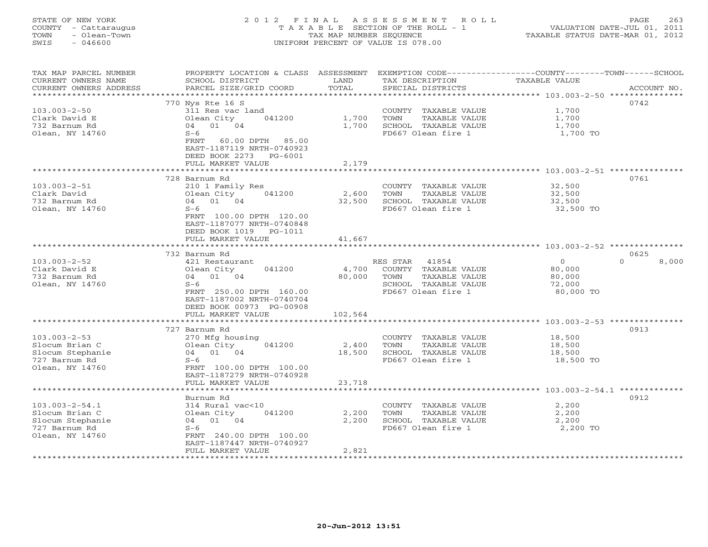# STATE OF NEW YORK 2 0 1 2 F I N A L A S S E S S M E N T R O L L PAGE 263 COUNTY - Cattaraugus T A X A B L E SECTION OF THE ROLL - 1 VALUATION DATE-JUL 01, 2011 TOWN - Olean-Town TAX MAP NUMBER SEQUENCE TAXABLE STATUS DATE-MAR 01, 2012 SWIS - 046600 UNIFORM PERCENT OF VALUE IS 078.00UNIFORM PERCENT OF VALUE IS 078.00

| TAX MAP PARCEL NUMBER                 | PROPERTY LOCATION & CLASS ASSESSMENT          |                    | EXEMPTION CODE-----------------COUNTY-------TOWN------SCHOOL |                                                   |                   |
|---------------------------------------|-----------------------------------------------|--------------------|--------------------------------------------------------------|---------------------------------------------------|-------------------|
| CURRENT OWNERS NAME                   | SCHOOL DISTRICT                               | LAND               | TAX DESCRIPTION                                              | TAXABLE VALUE                                     |                   |
| CURRENT OWNERS ADDRESS                | PARCEL SIZE/GRID COORD                        | TOTAL              | SPECIAL DISTRICTS                                            |                                                   | ACCOUNT NO.       |
| * * * * * * * * * * * * * * * * * * * |                                               |                    |                                                              |                                                   |                   |
|                                       | 770 Nys Rte 16 S                              |                    |                                                              |                                                   | 0742              |
| $103.003 - 2 - 50$                    | 311 Res vac land                              |                    | COUNTY TAXABLE VALUE                                         | 1,700                                             |                   |
| Clark David E                         | Olean City<br>041200                          | 1,700              | TOWN<br>TAXABLE VALUE                                        | 1,700                                             |                   |
| 732 Barnum Rd                         | 04 01 04                                      | 1,700              | SCHOOL TAXABLE VALUE                                         | 1,700                                             |                   |
| Olean, NY 14760                       | $S-6$                                         |                    | FD667 Olean fire 1                                           | 1,700 TO                                          |                   |
|                                       | FRNT 60.00 DPTH<br>85.00                      |                    |                                                              |                                                   |                   |
|                                       | EAST-1187119 NRTH-0740923                     |                    |                                                              |                                                   |                   |
|                                       | DEED BOOK 2273<br>PG-6001                     |                    |                                                              |                                                   |                   |
|                                       | FULL MARKET VALUE                             | 2,179              |                                                              |                                                   |                   |
|                                       |                                               |                    |                                                              |                                                   |                   |
|                                       | 728 Barnum Rd                                 |                    |                                                              |                                                   | 0761              |
| $103.003 - 2 - 51$                    | 210 1 Family Res                              |                    | COUNTY TAXABLE VALUE                                         | 32,500                                            |                   |
| Clark David                           | 041200<br>Olean City                          | 2,600              | TOWN<br>TAXABLE VALUE                                        | 32,500                                            |                   |
| 732 Barnum Rd                         | 04 01 04                                      | 32,500             | SCHOOL TAXABLE VALUE                                         | 32,500                                            |                   |
| Olean, NY 14760                       | $S-6$                                         |                    | FD667 Olean fire 1                                           | 32,500 TO                                         |                   |
|                                       | FRNT 100.00 DPTH 120.00                       |                    |                                                              |                                                   |                   |
|                                       | EAST-1187077 NRTH-0740848                     |                    |                                                              |                                                   |                   |
|                                       | DEED BOOK 1019 PG-1011                        |                    |                                                              |                                                   |                   |
|                                       | FULL MARKET VALUE                             | 41,667             |                                                              |                                                   |                   |
|                                       |                                               |                    |                                                              |                                                   |                   |
|                                       | 732 Barnum Rd                                 |                    |                                                              |                                                   | 0625              |
| $103.003 - 2 - 52$                    | 421 Restaurant                                |                    | RES STAR 41854                                               | $\overline{O}$                                    | $\Omega$<br>8,000 |
| Clark David E                         | 041200<br>Olean City                          | 4,700              | COUNTY TAXABLE VALUE                                         | 80,000                                            |                   |
| 732 Barnum Rd                         | 04 01 04                                      | 80,000             | TOWN<br>TAXABLE VALUE                                        | 80,000                                            |                   |
| Olean, NY 14760                       | $S-6$                                         |                    | SCHOOL TAXABLE VALUE                                         | 72,000                                            |                   |
|                                       | FRNT 250.00 DPTH 160.00                       |                    | FD667 Olean fire 1                                           | 80,000 TO                                         |                   |
|                                       | EAST-1187002 NRTH-0740704                     |                    |                                                              |                                                   |                   |
|                                       | DEED BOOK 00973 PG-00908                      |                    |                                                              |                                                   |                   |
|                                       | FULL MARKET VALUE                             | 102,564            |                                                              |                                                   |                   |
|                                       | *********************                         |                    |                                                              |                                                   |                   |
|                                       | 727 Barnum Rd                                 |                    |                                                              |                                                   | 0913              |
| $103.003 - 2 - 53$                    | 270 Mfg housing                               |                    | COUNTY TAXABLE VALUE                                         | 18,500                                            |                   |
| Slocum Brian C                        | Olean City<br>041200                          | 2,400              | TAXABLE VALUE<br>TOWN                                        | 18,500                                            |                   |
| Slocum Stephanie                      | 04 01 04                                      | 18,500             | SCHOOL TAXABLE VALUE                                         | 18,500                                            |                   |
| 727 Barnum Rd                         | $S-6$                                         |                    | FD667 Olean fire 1                                           | 18,500 TO                                         |                   |
| Olean, NY 14760                       | FRNT 100.00 DPTH 100.00                       |                    |                                                              |                                                   |                   |
|                                       | EAST-1187279 NRTH-0740928                     |                    |                                                              |                                                   |                   |
|                                       | FULL MARKET VALUE<br><b>+++++++++++++++++</b> | 23,718<br>******** |                                                              |                                                   |                   |
|                                       |                                               |                    |                                                              | ********************* 103.003-2-54.1 ************ |                   |
|                                       | Burnum Rd                                     |                    |                                                              |                                                   | 0912              |
| $103.003 - 2 - 54.1$                  | 314 Rural vac<10                              |                    | COUNTY TAXABLE VALUE                                         | 2,200                                             |                   |
| Slocum Brian C                        | Olean City<br>041200<br>04 01 04              | 2,200              | TAXABLE VALUE<br>TOWN<br>SCHOOL TAXABLE VALUE                | 2,200                                             |                   |
| Slocum Stephanie<br>727 Barnum Rd     | $S-6$                                         | 2,200              | FD667 Olean fire 1                                           | 2,200<br>2,200 TO                                 |                   |
| Olean, NY 14760                       | FRNT 240.00 DPTH 100.00                       |                    |                                                              |                                                   |                   |
|                                       | EAST-1187447 NRTH-0740927                     |                    |                                                              |                                                   |                   |
|                                       | FULL MARKET VALUE                             | 2,821              |                                                              |                                                   |                   |
|                                       |                                               |                    |                                                              |                                                   |                   |
|                                       |                                               |                    |                                                              |                                                   |                   |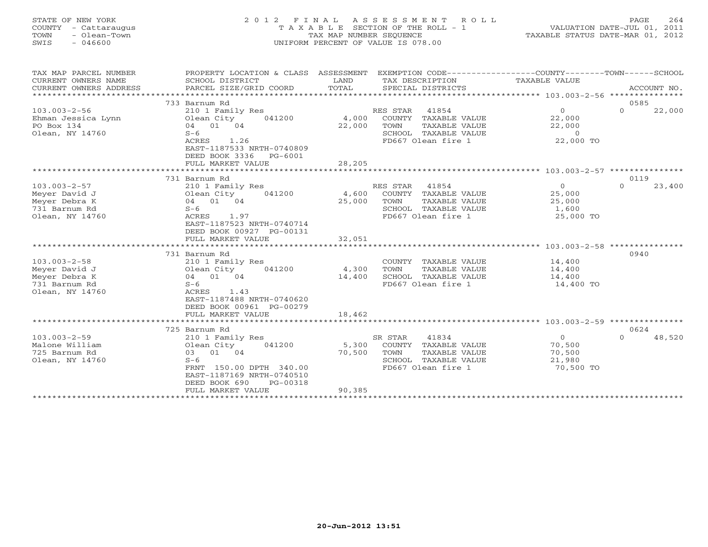# STATE OF NEW YORK 2 0 1 2 F I N A L A S S E S S M E N T R O L L PAGE 264 COUNTY - Cattaraugus T A X A B L E SECTION OF THE ROLL - 1 VALUATION DATE-JUL 01, 2011 TOWN - Olean-Town TAX MAP NUMBER SEQUENCE TAXABLE STATUS DATE-MAR 01, 2012 SWIS - 046600 UNIFORM PERCENT OF VALUE IS 078.00UNIFORM PERCENT OF VALUE IS 078.00

| TAX MAP PARCEL NUMBER<br>CURRENT OWNERS NAME<br>CURRENT OWNERS ADDRESS    | PROPERTY LOCATION & CLASS ASSESSMENT<br>SCHOOL DISTRICT<br>PARCEL SIZE/GRID COORD                                                                                       | LAND<br>TOTAL             | EXEMPTION CODE-----------------COUNTY-------TOWN------SCHOOL<br>TAX DESCRIPTION<br>SPECIAL DISTRICTS             | TAXABLE VALUE                                               | ACCOUNT NO.                |
|---------------------------------------------------------------------------|-------------------------------------------------------------------------------------------------------------------------------------------------------------------------|---------------------------|------------------------------------------------------------------------------------------------------------------|-------------------------------------------------------------|----------------------------|
| $103.003 - 2 - 56$<br>Ehman Jessica Lynn<br>PO Box 134<br>Olean, NY 14760 | 733 Barnum Rd<br>210 1 Family Res<br>041200<br>Olean City<br>04 01 04<br>$S-6$<br>ACRES<br>1.26<br>EAST-1187533 NRTH-0740809                                            | 4,000<br>22,000           | RES STAR<br>41854<br>COUNTY TAXABLE VALUE<br>TOWN<br>TAXABLE VALUE<br>SCHOOL TAXABLE VALUE<br>FD667 Olean fire 1 | $\Omega$<br>22,000<br>22,000<br>$\overline{0}$<br>22,000 TO | 0585<br>$\Omega$<br>22,000 |
|                                                                           | DEED BOOK 3336<br>PG-6001<br>FULL MARKET VALUE                                                                                                                          | 28,205                    |                                                                                                                  |                                                             |                            |
|                                                                           | ********************                                                                                                                                                    |                           |                                                                                                                  |                                                             |                            |
| $103.003 - 2 - 57$<br>Meyer David J<br>Meyer Debra K                      | 731 Barnum Rd<br>210 1 Family Res<br>Olean City<br>041200<br>04 01 04                                                                                                   | 4,600<br>25,000           | RES STAR 41854<br>COUNTY TAXABLE VALUE<br>TOWN<br>TAXABLE VALUE                                                  | $\overline{0}$<br>25,000<br>25,000                          | 0119<br>$\Omega$<br>23,400 |
| 731 Barnum Rd<br>Olean, NY 14760                                          | $S-6$<br>1.97<br>ACRES<br>EAST-1187523 NRTH-0740714<br>DEED BOOK 00927 PG-00131<br>FULL MARKET VALUE                                                                    | 32,051                    | SCHOOL TAXABLE VALUE<br>FD667 Olean fire 1                                                                       | 1,600<br>25,000 TO                                          |                            |
|                                                                           | ***************************                                                                                                                                             |                           |                                                                                                                  | ********************** 103.003-2-58 ****************        |                            |
| $103.003 - 2 - 58$<br>Meyer David J                                       | 731 Barnum Rd<br>210 1 Family Res<br>Olean City<br>041200                                                                                                               | 4,300                     | COUNTY TAXABLE VALUE<br>TOWN<br>TAXABLE VALUE                                                                    | 14,400<br>14,400                                            | 0940                       |
| Meyer Debra K<br>731 Barnum Rd<br>Olean, NY 14760                         | 04 01 04<br>$S-6$<br>1.43<br>ACRES<br>EAST-1187488 NRTH-0740620<br>DEED BOOK 00961 PG-00279                                                                             | 14,400                    | SCHOOL TAXABLE VALUE<br>FD667 Olean fire 1                                                                       | 14,400<br>14,400 TO                                         |                            |
|                                                                           | FULL MARKET VALUE                                                                                                                                                       | 18,462                    |                                                                                                                  |                                                             |                            |
|                                                                           | *********************<br>725 Barnum Rd                                                                                                                                  | ************              |                                                                                                                  | ******************** 103.003-2-59 ***************           | 0624                       |
| $103.003 - 2 - 59$<br>Malone William<br>725 Barnum Rd<br>Olean, NY 14760  | 210 1 Family Res<br>Olean City<br>041200<br>03 01 04<br>$S-6$<br>FRNT 150.00 DPTH 340.00<br>EAST-1187169 NRTH-0740510<br>DEED BOOK 690<br>PG-00318<br>FULL MARKET VALUE | 5,300<br>70,500<br>90,385 | 41834<br>SR STAR<br>COUNTY TAXABLE VALUE<br>TOWN<br>TAXABLE VALUE<br>SCHOOL TAXABLE VALUE<br>FD667 Olean fire 1  | $\overline{0}$<br>70,500<br>70,500<br>21,980<br>70,500 TO   | $\Omega$<br>48,520         |
|                                                                           |                                                                                                                                                                         |                           |                                                                                                                  |                                                             |                            |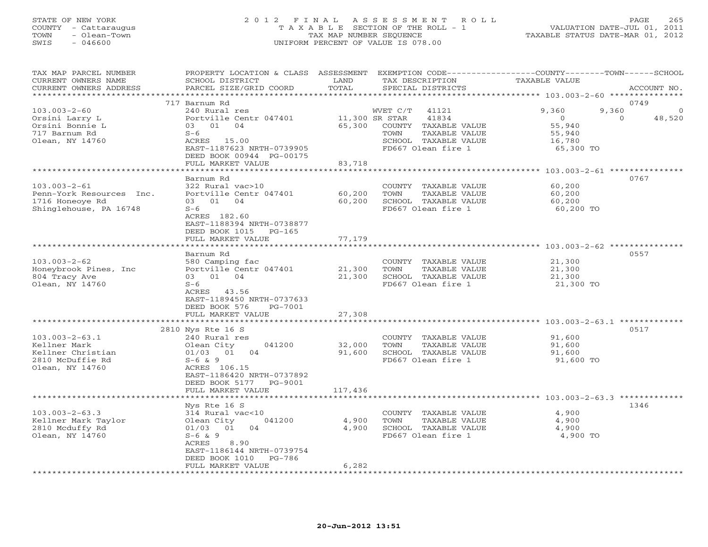## STATE OF NEW YORK 2 0 1 2 F I N A L A S S E S S M E N T R O L L PAGE 265 COUNTY - Cattaraugus T A X A B L E SECTION OF THE ROLL - 1 VALUATION DATE-JUL 01, 2011 TOWN - Olean-Town TAX MAP NUMBER SEQUENCE TAXABLE STATUS DATE-MAR 01, 2012 SWIS - 046600 UNIFORM PERCENT OF VALUE IS 078.00UNIFORM PERCENT OF VALUE IS 078.00

| TAX MAP PARCEL NUMBER<br>CURRENT OWNERS NAME<br>CURRENT OWNERS ADDRESS<br>****************** | PROPERTY LOCATION & CLASS ASSESSMENT<br>SCHOOL DISTRICT<br>PARCEL SIZE/GRID COORD                     | LAND<br>TOTAL<br>********* | TAX DESCRIPTION<br>SPECIAL DISTRICTS                                                        | EXEMPTION CODE-----------------COUNTY-------TOWN------SCHOOL<br>TAXABLE VALUE<br>ACCOUNT NO. |
|----------------------------------------------------------------------------------------------|-------------------------------------------------------------------------------------------------------|----------------------------|---------------------------------------------------------------------------------------------|----------------------------------------------------------------------------------------------|
|                                                                                              |                                                                                                       |                            |                                                                                             |                                                                                              |
| $103.003 - 2 - 60$<br>Orsini Larry L                                                         | 717 Barnum Rd<br>240 Rural res<br>Portville Centr 047401                                              |                            | WVET C/T<br>41121<br>11,300 SR STAR<br>41834                                                | 0749<br>9,360<br>9,360<br>$\circ$<br>$\Omega$<br>48,520                                      |
| Orsini Bonnie L<br>717 Barnum Rd<br>Olean, NY 14760                                          | 03 01 04<br>$S-6$<br>ACRES 15.00<br>EAST-1187623 NRTH-0739905<br>DEED BOOK 00944 PG-00175             | 65,300                     | COUNTY TAXABLE VALUE<br>TAXABLE VALUE<br>TOWN<br>SCHOOL TAXABLE VALUE<br>FD667 Olean fire 1 | 55,940<br>55,940<br>16,780<br>65,300 TO                                                      |
|                                                                                              | FULL MARKET VALUE                                                                                     | 83,718                     |                                                                                             |                                                                                              |
|                                                                                              |                                                                                                       |                            |                                                                                             |                                                                                              |
| $103.003 - 2 - 61$<br>Penn-York Resources Inc.<br>1716 Honeoye Rd                            | Barnum Rd<br>322 Rural vac>10<br>Portville Centr 047401<br>03 01<br>04                                | 60,200<br>60,200           | COUNTY TAXABLE VALUE<br>TOWN<br>TAXABLE VALUE<br>SCHOOL TAXABLE VALUE                       | 0767<br>60,200<br>60,200<br>60,200                                                           |
| Shinglehouse, PA 16748                                                                       | $S-6$<br>ACRES 182.60<br>EAST-1188394 NRTH-0738877<br>DEED BOOK 1015<br>$PG-165$<br>FULL MARKET VALUE | 77,179                     | FD667 Olean fire 1                                                                          | 60,200 TO                                                                                    |
|                                                                                              | ********************                                                                                  |                            |                                                                                             |                                                                                              |
|                                                                                              | Barnum Rd                                                                                             |                            |                                                                                             | 0557                                                                                         |
| $103.003 - 2 - 62$<br>Honeybrook Pines, Inc<br>804 Tracy Ave<br>Olean, NY 14760              | 580 Camping fac<br>Portville Centr 047401<br>03 01 04<br>$S-6$                                        | 21,300<br>21,300           | COUNTY TAXABLE VALUE<br>TOWN<br>TAXABLE VALUE<br>SCHOOL TAXABLE VALUE<br>FD667 Olean fire 1 | 21,300<br>21,300<br>21,300<br>21,300 TO                                                      |
|                                                                                              | ACRES 43.56<br>EAST-1189450 NRTH-0737633<br>DEED BOOK 576<br>PG-7001<br>FULL MARKET VALUE             | 27,308                     |                                                                                             |                                                                                              |
|                                                                                              | * * * * * * * * * * * * * * * * * * *                                                                 |                            |                                                                                             | *************** 103.003-2-63.1 *******                                                       |
|                                                                                              | 2810 Nys Rte 16 S                                                                                     |                            |                                                                                             | 0517                                                                                         |
| $103.003 - 2 - 63.1$                                                                         | 240 Rural res                                                                                         |                            | COUNTY TAXABLE VALUE                                                                        | 91,600                                                                                       |
| Kellner Mark                                                                                 | 041200<br>Olean City                                                                                  | 32,000                     | TOWN<br>TAXABLE VALUE                                                                       | 91,600                                                                                       |
| Kellner Christian<br>2810 McDuffie Rd<br>Olean, NY 14760                                     | 01/03<br>01<br>04<br>$S-6$ & 9<br>ACRES 106.15                                                        | 91,600                     | SCHOOL TAXABLE VALUE<br>FD667 Olean fire 1                                                  | 91,600<br>91,600 TO                                                                          |
|                                                                                              | EAST-1186420 NRTH-0737892<br>DEED BOOK 5177<br>PG-9001<br>FULL MARKET VALUE                           | 117,436                    |                                                                                             |                                                                                              |
|                                                                                              |                                                                                                       |                            |                                                                                             |                                                                                              |
|                                                                                              | Nys Rte 16 S                                                                                          |                            |                                                                                             | 1346                                                                                         |
| $103.003 - 2 - 63.3$                                                                         | 314 Rural vac<10                                                                                      |                            | COUNTY TAXABLE VALUE                                                                        | 4,900                                                                                        |
| Kellner Mark Taylor<br>2810 Mcduffy Rd                                                       | Olean City<br>041200<br>04<br>01/03<br>01                                                             | 4,900<br>4,900             | TOWN<br>TAXABLE VALUE<br>SCHOOL TAXABLE VALUE                                               | 4,900<br>4,900                                                                               |
| Olean, NY 14760                                                                              | $S-6$ & 9<br>ACRES<br>8.90<br>EAST-1186144 NRTH-0739754<br>DEED BOOK 1010<br>PG-786                   |                            | FD667 Olean fire 1                                                                          | 4,900 TO                                                                                     |
|                                                                                              | FULL MARKET VALUE                                                                                     | 6,282                      |                                                                                             |                                                                                              |
|                                                                                              |                                                                                                       |                            |                                                                                             |                                                                                              |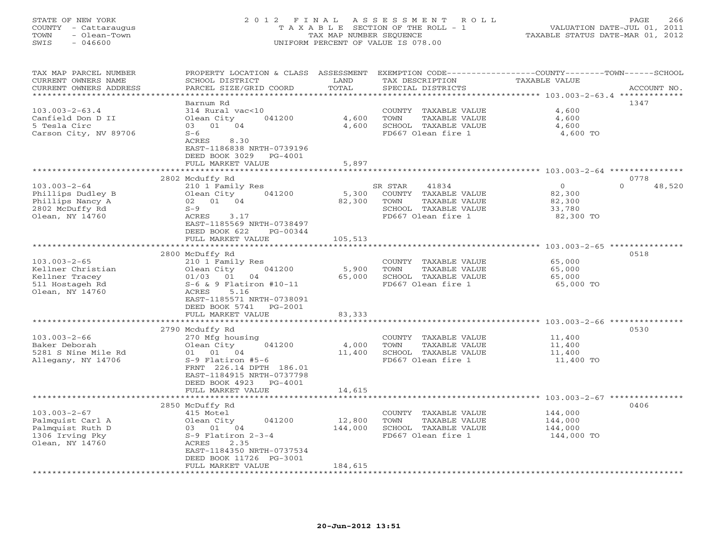# STATE OF NEW YORK 2 0 1 2 F I N A L A S S E S S M E N T R O L L PAGE 266 COUNTY - Cattaraugus T A X A B L E SECTION OF THE ROLL - 1 VALUATION DATE-JUL 01, 2011 TOWN - Olean-Town TAX MAP NUMBER SEQUENCE TAXABLE STATUS DATE-MAR 01, 2012 SWIS - 046600 UNIFORM PERCENT OF VALUE IS 078.00UNIFORM PERCENT OF VALUE IS 078.00

| TAX MAP PARCEL NUMBER<br>CURRENT OWNERS NAME | PROPERTY LOCATION & CLASS ASSESSMENT<br>SCHOOL DISTRICT | LAND    | TAX DESCRIPTION       | EXEMPTION CODE-----------------COUNTY-------TOWN------SCHOOL<br>TAXABLE VALUE |
|----------------------------------------------|---------------------------------------------------------|---------|-----------------------|-------------------------------------------------------------------------------|
| CURRENT OWNERS ADDRESS                       | PARCEL SIZE/GRID COORD                                  | TOTAL   | SPECIAL DISTRICTS     | ACCOUNT NO.                                                                   |
| **********************                       | Barnum Rd                                               |         |                       | 1347                                                                          |
| $103.003 - 2 - 63.4$                         | 314 Rural vac<10                                        |         | COUNTY TAXABLE VALUE  | 4,600                                                                         |
|                                              |                                                         |         |                       |                                                                               |
| Canfield Don D II                            | Olean City<br>041200                                    | 4,600   | TOWN<br>TAXABLE VALUE | 4,600                                                                         |
| 5 Tesla Circ                                 | 03 01 04                                                | 4,600   | SCHOOL TAXABLE VALUE  | 4,600                                                                         |
| Carson City, NV 89706                        | $S-6$                                                   |         | FD667 Olean fire 1    | 4,600 TO                                                                      |
|                                              | ACRES<br>8.30                                           |         |                       |                                                                               |
|                                              | EAST-1186838 NRTH-0739196                               |         |                       |                                                                               |
|                                              | DEED BOOK 3029<br>PG-4001                               |         |                       |                                                                               |
|                                              | FULL MARKET VALUE                                       | 5,897   |                       |                                                                               |
|                                              |                                                         |         |                       | ************** 103.003-2-64 ****************                                  |
|                                              | 2802 Mcduffy Rd                                         |         |                       | 0778                                                                          |
| $103.003 - 2 - 64$                           | 210 1 Family Res                                        |         | SR STAR<br>41834      | $\circ$<br>$\Omega$<br>48,520                                                 |
| Phillips Dudley B                            | Olean City<br>041200                                    | 5,300   | COUNTY TAXABLE VALUE  | 82,300                                                                        |
| Phillips Nancy A                             | 02 01 04                                                | 82,300  | TOWN<br>TAXABLE VALUE | 82,300                                                                        |
| 2802 McDuffy Rd                              | $S-9$                                                   |         | SCHOOL TAXABLE VALUE  | 33,780                                                                        |
| Olean, NY 14760                              | ACRES<br>3.17                                           |         | FD667 Olean fire 1    | 82,300 TO                                                                     |
|                                              | EAST-1185569 NRTH-0738497                               |         |                       |                                                                               |
|                                              | DEED BOOK 622<br>PG-00344                               |         |                       |                                                                               |
|                                              | FULL MARKET VALUE                                       | 105,513 |                       |                                                                               |
|                                              |                                                         |         |                       |                                                                               |
|                                              | 2800 McDuffy Rd                                         |         |                       | 0518                                                                          |
| $103.003 - 2 - 65$                           | 210 1 Family Res                                        |         | COUNTY TAXABLE VALUE  | 65,000                                                                        |
| Kellner Christian                            | Olean City<br>041200                                    | 5,900   | TAXABLE VALUE<br>TOWN | 65,000                                                                        |
| Kellner Tracey                               | 01/03<br>01<br>04                                       | 65,000  | SCHOOL TAXABLE VALUE  | 65,000                                                                        |
| 511 Hostageh Rd                              | $S-6$ & 9 Flatiron #10-11                               |         | FD667 Olean fire 1    | 65,000 TO                                                                     |
| Olean, NY 14760                              | 5.16<br>ACRES                                           |         |                       |                                                                               |
|                                              | EAST-1185571 NRTH-0738091                               |         |                       |                                                                               |
|                                              | DEED BOOK 5741<br>PG-2001                               |         |                       |                                                                               |
|                                              | FULL MARKET VALUE                                       | 83,333  |                       |                                                                               |
|                                              | ***************************                             |         |                       |                                                                               |
|                                              | 2790 Mcduffy Rd                                         |         |                       | 0530                                                                          |
| $103.003 - 2 - 66$                           | 270 Mfg housing                                         |         | COUNTY TAXABLE VALUE  | 11,400                                                                        |
| Baker Deborah                                | Olean City<br>041200                                    | 4,000   | TOWN<br>TAXABLE VALUE | 11,400                                                                        |
| 5281 S Nine Mile Rd                          | 01 01 04                                                | 11,400  | SCHOOL TAXABLE VALUE  | 11,400                                                                        |
| Allegany, NY 14706                           | $S-9$ Flatiron #5-6                                     |         | FD667 Olean fire 1    | 11,400 TO                                                                     |
|                                              | FRNT 226.14 DPTH 186.01                                 |         |                       |                                                                               |
|                                              | EAST-1184915 NRTH-0737798                               |         |                       |                                                                               |
|                                              | DEED BOOK 4923<br>PG-4001                               |         |                       |                                                                               |
|                                              | FULL MARKET VALUE                                       | 14,615  |                       |                                                                               |
|                                              | *********************************                       |         |                       |                                                                               |
|                                              | 2850 McDuffy Rd                                         |         |                       | 0406                                                                          |
| $103.003 - 2 - 67$                           | 415 Motel                                               |         | COUNTY TAXABLE VALUE  | 144,000                                                                       |
| Palmquist Carl A                             | Olean City<br>041200                                    | 12,800  | TOWN<br>TAXABLE VALUE | 144,000                                                                       |
| Palmquist Ruth D                             | 03 01 04                                                | 144,000 | SCHOOL TAXABLE VALUE  | 144,000                                                                       |
| 1306 Irving Pky                              | $S-9$ Flatiron $2-3-4$                                  |         | FD667 Olean fire 1    | 144,000 TO                                                                    |
| Olean, NY 14760                              | ACRES<br>2.35                                           |         |                       |                                                                               |
|                                              | EAST-1184350 NRTH-0737534                               |         |                       |                                                                               |
|                                              | DEED BOOK 11726 PG-3001                                 |         |                       |                                                                               |
|                                              | FULL MARKET VALUE                                       | 184,615 |                       |                                                                               |
|                                              |                                                         |         |                       |                                                                               |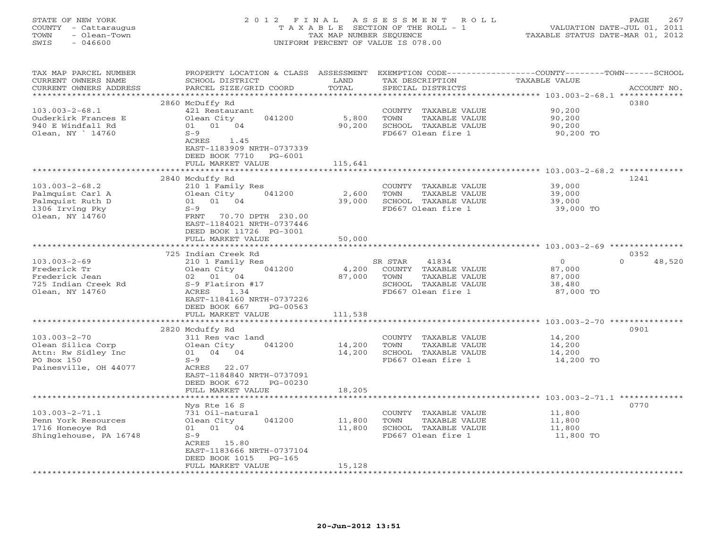| COUNTY<br>- Cattaraugus<br>TOWN<br>- Olean-Town<br>SWIS<br>$-046600$                                  |                                                                                                                                                                                                    | TAX MAP NUMBER SEQUENCE    | T A X A B L E SECTION OF THE ROLL - 1<br>UNIFORM PERCENT OF VALUE IS 078.00                                     | VALUATION DATE-JUL 01, 2011<br>TAXABLE STATUS DATE-MAR 01, 2012 |                            |
|-------------------------------------------------------------------------------------------------------|----------------------------------------------------------------------------------------------------------------------------------------------------------------------------------------------------|----------------------------|-----------------------------------------------------------------------------------------------------------------|-----------------------------------------------------------------|----------------------------|
| TAX MAP PARCEL NUMBER<br>CURRENT OWNERS NAME<br>CURRENT OWNERS ADDRESS                                | PROPERTY LOCATION & CLASS ASSESSMENT<br>SCHOOL DISTRICT<br>PARCEL SIZE/GRID COORD                                                                                                                  | LAND<br>TOTAL              | EXEMPTION CODE-----------------COUNTY-------TOWN------SCHOOL<br>TAX DESCRIPTION<br>SPECIAL DISTRICTS            | TAXABLE VALUE<br>******** 103.003-2-68.1 **************         | ACCOUNT NO.                |
| $103.003 - 2 - 68.1$<br>Ouderkirk Frances E<br>940 E Windfall Rd<br>Olean, NY 14760                   | 2860 McDuffy Rd<br>421 Restaurant<br>Olean City<br>041200<br>01 01 04<br>$S-9$<br>ACRES<br>1.45<br>EAST-1183909 NRTH-0737339<br>DEED BOOK 7710 PG-6001<br>FULL MARKET VALUE                        | 5,800<br>90,200<br>115,641 | COUNTY TAXABLE VALUE<br>TOWN<br>TAXABLE VALUE<br>SCHOOL TAXABLE VALUE<br>FD667 Olean fire 1                     | 90,200<br>90,200<br>90,200<br>90,200 TO                         | 0380                       |
|                                                                                                       |                                                                                                                                                                                                    |                            |                                                                                                                 | ************************** 103.003-2-68.2 *************         |                            |
| $103.003 - 2 - 68.2$<br>Palmquist Carl A<br>Palmquist Ruth D<br>1306 Irving Pky<br>Olean, NY 14760    | 2840 Mcduffy Rd<br>210 1 Family Res<br>041200<br>Olean City<br>01 01 04<br>$S-9$<br>FRNT<br>70.70 DPTH 230.00<br>EAST-1184021 NRTH-0737446<br>DEED BOOK 11726 PG-3001<br>FULL MARKET VALUE         | 2,600<br>39,000<br>50,000  | COUNTY TAXABLE VALUE<br>TOWN<br>TAXABLE VALUE<br>SCHOOL TAXABLE VALUE<br>FD667 Olean fire 1                     | 39,000<br>39,000<br>39,000<br>39,000 TO                         | 1241                       |
|                                                                                                       | *****************                                                                                                                                                                                  | **********                 |                                                                                                                 | ********************** 103.003-2-69 ****************            |                            |
| $103.003 - 2 - 69$<br>Frederick Tr<br>Frederick Jean<br>725 Indian Creek Rd<br>Olean, NY 14760        | 725 Indian Creek Rd<br>210 1 Family Res<br>Olean City<br>041200<br>01 04<br>02<br>S-9 Flatiron #17<br>ACRES<br>1.34<br>EAST-1184160 NRTH-0737226<br>DEED BOOK 667<br>PG-00563<br>FULL MARKET VALUE | 4,200<br>87,000<br>111,538 | 41834<br>SR STAR<br>COUNTY TAXABLE VALUE<br>TOWN<br>TAXABLE VALUE<br>SCHOOL TAXABLE VALUE<br>FD667 Olean fire 1 | $\circ$<br>87,000<br>87,000<br>38,480<br>87,000 TO              | 0352<br>48,520<br>$\Omega$ |
|                                                                                                       | **************************                                                                                                                                                                         |                            |                                                                                                                 |                                                                 |                            |
| $103.003 - 2 - 70$<br>Olean Silica Corp<br>Attn: Rw Sidley Inc<br>PO Box 150<br>Painesville, OH 44077 | 2820 Mcduffy Rd<br>311 Res vac land<br>041200<br>Olean City<br>01 04 04<br>$S-9$<br>ACRES 22.07<br>EAST-1184840 NRTH-0737091<br>DEED BOOK 672<br>PG-00230<br>FULL MARKET VALUE                     | 14,200<br>14,200<br>18,205 | COUNTY TAXABLE VALUE<br>TOWN<br>TAXABLE VALUE<br>SCHOOL TAXABLE VALUE<br>FD667 Olean fire 1                     | 14,200<br>14,200<br>14,200<br>14,200 TO                         | 0901                       |
|                                                                                                       |                                                                                                                                                                                                    |                            |                                                                                                                 | ************** 103.003-2-71.1 ************                      |                            |
| $103.003 - 2 - 71.1$<br>Penn York Resources<br>1716 Honeoye Rd<br>Shinglehouse, PA 16748              | Nys Rte 16 S<br>731 Oil-natural<br>041200<br>Olean City<br>01 01 04<br>$S-9$<br>ACRES 15.80<br>EAST-1183666 NRTH-0737104<br>DEED BOOK 1015<br>$PG-165$<br>FULL MARKET VALUE                        | 11,800<br>11,800<br>15,128 | COUNTY TAXABLE VALUE<br>TOWN<br>TAXABLE VALUE<br>SCHOOL TAXABLE VALUE<br>FD667 Olean fire 1                     | 11,800<br>11,800<br>11,800<br>11,800 TO                         | 0770                       |

STATE OF NEW YORK 2012 FINAL ASSESSMENT ROLL PAGE 267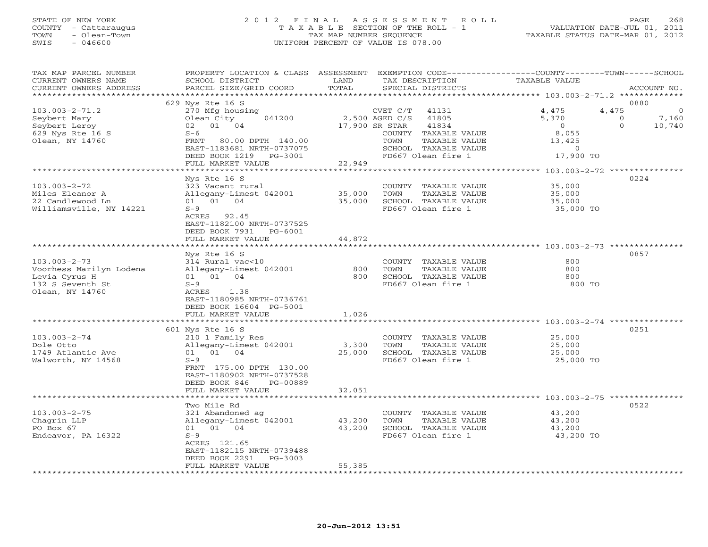## STATE OF NEW YORK 2 0 1 2 F I N A L A S S E S S M E N T R O L L PAGE 268 COUNTY - Cattaraugus T A X A B L E SECTION OF THE ROLL - 1 VALUATION DATE-JUL 01, 2011 TOWN - Olean-Town TAX MAP NUMBER SEQUENCE TAXABLE STATUS DATE-MAR 01, 2012 SWIS - 046600 UNIFORM PERCENT OF VALUE IS 078.00UNIFORM PERCENT OF VALUE IS 078.00

| *******************<br>0880<br>629 Nys Rte 16 S<br>$103.003 - 2 - 71.2$<br>4,475<br>270 Mfg housing<br>4,475<br>CVET C/T<br>41131<br>2,500 AGED C/S<br>Olean City<br>041200<br>41805<br>5,370<br>7,160<br>Seybert Mary<br>$\circ$<br>01 04<br>17,900 SR STAR<br>41834<br>Seybert Leroy<br>02<br>$\overline{O}$<br>$\Omega$<br>10,740<br>629 Nys Rte 16 S<br>8,055<br>$S-6$<br>COUNTY TAXABLE VALUE<br>Olean, NY 14760<br>80.00 DPTH 140.00<br>TOWN<br>TAXABLE VALUE<br>13,425<br>FRNT<br>SCHOOL TAXABLE VALUE<br>EAST-1183681 NRTH-0737075<br>$\circ$<br>17,900 TO<br>DEED BOOK 1219<br>FD667 Olean fire 1<br>PG-3001<br>22,949<br>FULL MARKET VALUE<br>* * * * * * * * * * * * * * * * * * * *<br>0224<br>Nys Rte 16 S<br>$103.003 - 2 - 72$<br>323 Vacant rural<br>35,000<br>COUNTY TAXABLE VALUE<br>35,000<br>TAXABLE VALUE<br>Miles Eleanor A<br>Allegany-Limest 042001<br>TOWN<br>35,000<br>22 Candlewood Ln<br>01 01 04<br>35,000<br>SCHOOL TAXABLE VALUE<br>35,000<br>Williamsville, NY 14221<br>FD667 Olean fire 1<br>35,000 TO<br>$S-9$<br>ACRES 92.45<br>EAST-1182100 NRTH-0737525<br>DEED BOOK 7931<br>PG-6001<br>FULL MARKET VALUE<br>44,872<br>0857<br>Nys Rte 16 S<br>$103.003 - 2 - 73$<br>314 Rural vac<10<br>COUNTY TAXABLE VALUE<br>800<br>TAXABLE VALUE<br>800<br>Voorhess Marilyn Lodena<br>Allegany-Limest 042001<br>800<br>TOWN<br>Levia Cyrus H<br>01 01<br>04<br>800<br>SCHOOL TAXABLE VALUE<br>800<br>FD667 Olean fire 1<br>800 TO<br>132 S Seventh St<br>$S-9$<br>Olean, NY 14760<br>ACRES<br>1.38<br>EAST-1180985 NRTH-0736761<br>DEED BOOK 16604 PG-5001<br>FULL MARKET VALUE<br>1,026<br>601 Nys Rte 16 S<br>0251<br>25,000<br>$103.003 - 2 - 74$<br>210 1 Family Res<br>COUNTY TAXABLE VALUE<br>Dole Otto<br>Allegany-Limest 042001<br>3,300<br>TOWN<br>TAXABLE VALUE<br>25,000<br>01<br>04<br>25,000<br>SCHOOL TAXABLE VALUE<br>1749 Atlantic Ave<br>01<br>25,000<br>$S-9$<br>FD667 Olean fire 1<br>25,000 TO<br>Walworth, NY 14568<br>FRNT 175.00 DPTH 130.00<br>EAST-1180902 NRTH-0737528<br>DEED BOOK 846<br>PG-00889<br>FULL MARKET VALUE<br>32,051<br>0522<br>Two Mile Rd<br>$103.003 - 2 - 75$<br>43,200<br>321 Abandoned ag<br>COUNTY TAXABLE VALUE<br>Chagrin LLP<br>Allegany-Limest 042001<br>TAXABLE VALUE<br>43,200<br>TOWN<br>43,200<br>01 04<br>43,200<br>PO Box 67<br>SCHOOL TAXABLE VALUE<br>43,200<br>01<br>$S-9$<br>FD667 Olean fire 1<br>43,200 TO<br>Endeavor, PA 16322<br>ACRES 121.65<br>EAST-1182115 NRTH-0739488<br>DEED BOOK 2291<br>$PG-3003$<br>55,385<br>FULL MARKET VALUE<br>********************** | TAX MAP PARCEL NUMBER<br>CURRENT OWNERS NAME<br>CURRENT OWNERS ADDRESS | PROPERTY LOCATION & CLASS ASSESSMENT<br>SCHOOL DISTRICT<br>PARCEL SIZE/GRID COORD | LAND<br>TOTAL | TAX DESCRIPTION<br>SPECIAL DISTRICTS | EXEMPTION CODE----------------COUNTY-------TOWN-----SCHOOL<br>TAXABLE VALUE | ACCOUNT NO. |
|----------------------------------------------------------------------------------------------------------------------------------------------------------------------------------------------------------------------------------------------------------------------------------------------------------------------------------------------------------------------------------------------------------------------------------------------------------------------------------------------------------------------------------------------------------------------------------------------------------------------------------------------------------------------------------------------------------------------------------------------------------------------------------------------------------------------------------------------------------------------------------------------------------------------------------------------------------------------------------------------------------------------------------------------------------------------------------------------------------------------------------------------------------------------------------------------------------------------------------------------------------------------------------------------------------------------------------------------------------------------------------------------------------------------------------------------------------------------------------------------------------------------------------------------------------------------------------------------------------------------------------------------------------------------------------------------------------------------------------------------------------------------------------------------------------------------------------------------------------------------------------------------------------------------------------------------------------------------------------------------------------------------------------------------------------------------------------------------------------------------------------------------------------------------------------------------------------------------------------------------------------------------------------------------------------------------------------------------------------------------------------------------------------------------------------------------------------------------------------------------------------------------------------------------------------------|------------------------------------------------------------------------|-----------------------------------------------------------------------------------|---------------|--------------------------------------|-----------------------------------------------------------------------------|-------------|
|                                                                                                                                                                                                                                                                                                                                                                                                                                                                                                                                                                                                                                                                                                                                                                                                                                                                                                                                                                                                                                                                                                                                                                                                                                                                                                                                                                                                                                                                                                                                                                                                                                                                                                                                                                                                                                                                                                                                                                                                                                                                                                                                                                                                                                                                                                                                                                                                                                                                                                                                                                |                                                                        |                                                                                   |               |                                      |                                                                             |             |
|                                                                                                                                                                                                                                                                                                                                                                                                                                                                                                                                                                                                                                                                                                                                                                                                                                                                                                                                                                                                                                                                                                                                                                                                                                                                                                                                                                                                                                                                                                                                                                                                                                                                                                                                                                                                                                                                                                                                                                                                                                                                                                                                                                                                                                                                                                                                                                                                                                                                                                                                                                |                                                                        |                                                                                   |               |                                      |                                                                             |             |
|                                                                                                                                                                                                                                                                                                                                                                                                                                                                                                                                                                                                                                                                                                                                                                                                                                                                                                                                                                                                                                                                                                                                                                                                                                                                                                                                                                                                                                                                                                                                                                                                                                                                                                                                                                                                                                                                                                                                                                                                                                                                                                                                                                                                                                                                                                                                                                                                                                                                                                                                                                |                                                                        |                                                                                   |               |                                      |                                                                             |             |
|                                                                                                                                                                                                                                                                                                                                                                                                                                                                                                                                                                                                                                                                                                                                                                                                                                                                                                                                                                                                                                                                                                                                                                                                                                                                                                                                                                                                                                                                                                                                                                                                                                                                                                                                                                                                                                                                                                                                                                                                                                                                                                                                                                                                                                                                                                                                                                                                                                                                                                                                                                |                                                                        |                                                                                   |               |                                      |                                                                             |             |
|                                                                                                                                                                                                                                                                                                                                                                                                                                                                                                                                                                                                                                                                                                                                                                                                                                                                                                                                                                                                                                                                                                                                                                                                                                                                                                                                                                                                                                                                                                                                                                                                                                                                                                                                                                                                                                                                                                                                                                                                                                                                                                                                                                                                                                                                                                                                                                                                                                                                                                                                                                |                                                                        |                                                                                   |               |                                      |                                                                             |             |
|                                                                                                                                                                                                                                                                                                                                                                                                                                                                                                                                                                                                                                                                                                                                                                                                                                                                                                                                                                                                                                                                                                                                                                                                                                                                                                                                                                                                                                                                                                                                                                                                                                                                                                                                                                                                                                                                                                                                                                                                                                                                                                                                                                                                                                                                                                                                                                                                                                                                                                                                                                |                                                                        |                                                                                   |               |                                      |                                                                             |             |
|                                                                                                                                                                                                                                                                                                                                                                                                                                                                                                                                                                                                                                                                                                                                                                                                                                                                                                                                                                                                                                                                                                                                                                                                                                                                                                                                                                                                                                                                                                                                                                                                                                                                                                                                                                                                                                                                                                                                                                                                                                                                                                                                                                                                                                                                                                                                                                                                                                                                                                                                                                |                                                                        |                                                                                   |               |                                      |                                                                             |             |
|                                                                                                                                                                                                                                                                                                                                                                                                                                                                                                                                                                                                                                                                                                                                                                                                                                                                                                                                                                                                                                                                                                                                                                                                                                                                                                                                                                                                                                                                                                                                                                                                                                                                                                                                                                                                                                                                                                                                                                                                                                                                                                                                                                                                                                                                                                                                                                                                                                                                                                                                                                |                                                                        |                                                                                   |               |                                      |                                                                             |             |
|                                                                                                                                                                                                                                                                                                                                                                                                                                                                                                                                                                                                                                                                                                                                                                                                                                                                                                                                                                                                                                                                                                                                                                                                                                                                                                                                                                                                                                                                                                                                                                                                                                                                                                                                                                                                                                                                                                                                                                                                                                                                                                                                                                                                                                                                                                                                                                                                                                                                                                                                                                |                                                                        |                                                                                   |               |                                      |                                                                             |             |
|                                                                                                                                                                                                                                                                                                                                                                                                                                                                                                                                                                                                                                                                                                                                                                                                                                                                                                                                                                                                                                                                                                                                                                                                                                                                                                                                                                                                                                                                                                                                                                                                                                                                                                                                                                                                                                                                                                                                                                                                                                                                                                                                                                                                                                                                                                                                                                                                                                                                                                                                                                |                                                                        |                                                                                   |               |                                      |                                                                             |             |
|                                                                                                                                                                                                                                                                                                                                                                                                                                                                                                                                                                                                                                                                                                                                                                                                                                                                                                                                                                                                                                                                                                                                                                                                                                                                                                                                                                                                                                                                                                                                                                                                                                                                                                                                                                                                                                                                                                                                                                                                                                                                                                                                                                                                                                                                                                                                                                                                                                                                                                                                                                |                                                                        |                                                                                   |               |                                      |                                                                             |             |
|                                                                                                                                                                                                                                                                                                                                                                                                                                                                                                                                                                                                                                                                                                                                                                                                                                                                                                                                                                                                                                                                                                                                                                                                                                                                                                                                                                                                                                                                                                                                                                                                                                                                                                                                                                                                                                                                                                                                                                                                                                                                                                                                                                                                                                                                                                                                                                                                                                                                                                                                                                |                                                                        |                                                                                   |               |                                      |                                                                             |             |
|                                                                                                                                                                                                                                                                                                                                                                                                                                                                                                                                                                                                                                                                                                                                                                                                                                                                                                                                                                                                                                                                                                                                                                                                                                                                                                                                                                                                                                                                                                                                                                                                                                                                                                                                                                                                                                                                                                                                                                                                                                                                                                                                                                                                                                                                                                                                                                                                                                                                                                                                                                |                                                                        |                                                                                   |               |                                      |                                                                             |             |
|                                                                                                                                                                                                                                                                                                                                                                                                                                                                                                                                                                                                                                                                                                                                                                                                                                                                                                                                                                                                                                                                                                                                                                                                                                                                                                                                                                                                                                                                                                                                                                                                                                                                                                                                                                                                                                                                                                                                                                                                                                                                                                                                                                                                                                                                                                                                                                                                                                                                                                                                                                |                                                                        |                                                                                   |               |                                      |                                                                             |             |
|                                                                                                                                                                                                                                                                                                                                                                                                                                                                                                                                                                                                                                                                                                                                                                                                                                                                                                                                                                                                                                                                                                                                                                                                                                                                                                                                                                                                                                                                                                                                                                                                                                                                                                                                                                                                                                                                                                                                                                                                                                                                                                                                                                                                                                                                                                                                                                                                                                                                                                                                                                |                                                                        |                                                                                   |               |                                      |                                                                             |             |
|                                                                                                                                                                                                                                                                                                                                                                                                                                                                                                                                                                                                                                                                                                                                                                                                                                                                                                                                                                                                                                                                                                                                                                                                                                                                                                                                                                                                                                                                                                                                                                                                                                                                                                                                                                                                                                                                                                                                                                                                                                                                                                                                                                                                                                                                                                                                                                                                                                                                                                                                                                |                                                                        |                                                                                   |               |                                      |                                                                             |             |
|                                                                                                                                                                                                                                                                                                                                                                                                                                                                                                                                                                                                                                                                                                                                                                                                                                                                                                                                                                                                                                                                                                                                                                                                                                                                                                                                                                                                                                                                                                                                                                                                                                                                                                                                                                                                                                                                                                                                                                                                                                                                                                                                                                                                                                                                                                                                                                                                                                                                                                                                                                |                                                                        |                                                                                   |               |                                      |                                                                             |             |
|                                                                                                                                                                                                                                                                                                                                                                                                                                                                                                                                                                                                                                                                                                                                                                                                                                                                                                                                                                                                                                                                                                                                                                                                                                                                                                                                                                                                                                                                                                                                                                                                                                                                                                                                                                                                                                                                                                                                                                                                                                                                                                                                                                                                                                                                                                                                                                                                                                                                                                                                                                |                                                                        |                                                                                   |               |                                      |                                                                             |             |
|                                                                                                                                                                                                                                                                                                                                                                                                                                                                                                                                                                                                                                                                                                                                                                                                                                                                                                                                                                                                                                                                                                                                                                                                                                                                                                                                                                                                                                                                                                                                                                                                                                                                                                                                                                                                                                                                                                                                                                                                                                                                                                                                                                                                                                                                                                                                                                                                                                                                                                                                                                |                                                                        |                                                                                   |               |                                      |                                                                             |             |
|                                                                                                                                                                                                                                                                                                                                                                                                                                                                                                                                                                                                                                                                                                                                                                                                                                                                                                                                                                                                                                                                                                                                                                                                                                                                                                                                                                                                                                                                                                                                                                                                                                                                                                                                                                                                                                                                                                                                                                                                                                                                                                                                                                                                                                                                                                                                                                                                                                                                                                                                                                |                                                                        |                                                                                   |               |                                      |                                                                             |             |
|                                                                                                                                                                                                                                                                                                                                                                                                                                                                                                                                                                                                                                                                                                                                                                                                                                                                                                                                                                                                                                                                                                                                                                                                                                                                                                                                                                                                                                                                                                                                                                                                                                                                                                                                                                                                                                                                                                                                                                                                                                                                                                                                                                                                                                                                                                                                                                                                                                                                                                                                                                |                                                                        |                                                                                   |               |                                      |                                                                             |             |
|                                                                                                                                                                                                                                                                                                                                                                                                                                                                                                                                                                                                                                                                                                                                                                                                                                                                                                                                                                                                                                                                                                                                                                                                                                                                                                                                                                                                                                                                                                                                                                                                                                                                                                                                                                                                                                                                                                                                                                                                                                                                                                                                                                                                                                                                                                                                                                                                                                                                                                                                                                |                                                                        |                                                                                   |               |                                      |                                                                             |             |
|                                                                                                                                                                                                                                                                                                                                                                                                                                                                                                                                                                                                                                                                                                                                                                                                                                                                                                                                                                                                                                                                                                                                                                                                                                                                                                                                                                                                                                                                                                                                                                                                                                                                                                                                                                                                                                                                                                                                                                                                                                                                                                                                                                                                                                                                                                                                                                                                                                                                                                                                                                |                                                                        |                                                                                   |               |                                      |                                                                             |             |
|                                                                                                                                                                                                                                                                                                                                                                                                                                                                                                                                                                                                                                                                                                                                                                                                                                                                                                                                                                                                                                                                                                                                                                                                                                                                                                                                                                                                                                                                                                                                                                                                                                                                                                                                                                                                                                                                                                                                                                                                                                                                                                                                                                                                                                                                                                                                                                                                                                                                                                                                                                |                                                                        |                                                                                   |               |                                      |                                                                             |             |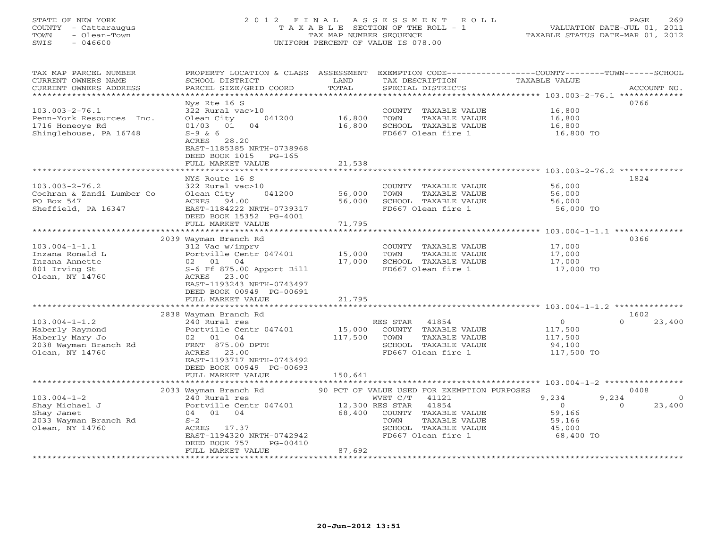# STATE OF NEW YORK 2 0 1 2 F I N A L A S S E S S M E N T R O L L PAGE 269 COUNTY - Cattaraugus T A X A B L E SECTION OF THE ROLL - 1 VALUATION DATE-JUL 01, 2011 TOWN - Olean-Town TAX MAP NUMBER SEQUENCE TAXABLE STATUS DATE-MAR 01, 2012 SWIS - 046600 UNIFORM PERCENT OF VALUE IS 078.00UNIFORM PERCENT OF VALUE IS 078.00

| TAX MAP PARCEL NUMBER<br>CURRENT OWNERS NAME                                                  | PROPERTY LOCATION & CLASS ASSESSMENT<br>SCHOOL DISTRICT<br>PARCEL SIZE/GRID COORD                                  | LAND<br>TOTAL             | TAX DESCRIPTION                                                                                      | EXEMPTION CODE-----------------COUNTY-------TOWN------SCHOOL<br>TAXABLE VALUE<br>ACCOUNT NO. |          |
|-----------------------------------------------------------------------------------------------|--------------------------------------------------------------------------------------------------------------------|---------------------------|------------------------------------------------------------------------------------------------------|----------------------------------------------------------------------------------------------|----------|
| CURRENT OWNERS ADDRESS<br>***********************                                             |                                                                                                                    |                           | SPECIAL DISTRICTS                                                                                    |                                                                                              |          |
|                                                                                               | Nys Rte 16 S                                                                                                       |                           |                                                                                                      | 0766                                                                                         |          |
| $103.003 - 2 - 76.1$<br>Penn-York Resources Inc.<br>1716 Honeoye Rd<br>Shinglehouse, PA 16748 | 322 Rural vac>10<br>Olean City<br>041200<br>01/03 01<br>04<br>$S-9$ & 6                                            | 16,800<br>16,800          | COUNTY TAXABLE VALUE<br>TOWN<br>TAXABLE VALUE<br>SCHOOL TAXABLE VALUE<br>FD667 Olean fire 1          | 16,800<br>16,800<br>16,800<br>16,800 TO                                                      |          |
|                                                                                               | ACRES 28.20<br>EAST-1185385 NRTH-0738968<br>DEED BOOK 1015 PG-165<br>FULL MARKET VALUE                             | 21,538                    |                                                                                                      |                                                                                              |          |
|                                                                                               | NYS Route 16 S                                                                                                     |                           |                                                                                                      | 1824                                                                                         |          |
| $103.003 - 2 - 76.2$<br>Cochran & Zandi Lumber Co<br>PO Box 547<br>Sheffield, PA 16347        | 322 Rural vac>10<br>041200<br>Olean City<br>ACRES<br>94.00<br>EAST-1184222 NRTH-0739317<br>DEED BOOK 15352 PG-4001 | 56,000<br>56,000          | COUNTY TAXABLE VALUE<br>TOWN<br>TAXABLE VALUE<br>SCHOOL TAXABLE VALUE<br>FD667 Olean fire 1          | 56,000<br>56,000<br>56,000<br>56,000 TO                                                      |          |
|                                                                                               | FULL MARKET VALUE                                                                                                  | 71,795                    |                                                                                                      |                                                                                              |          |
|                                                                                               | ********************                                                                                               | ********                  |                                                                                                      | ***************** 103.004-1-1.1 ***************                                              |          |
|                                                                                               | 2039 Wayman Branch Rd                                                                                              |                           |                                                                                                      | 0366                                                                                         |          |
| $103.004 - 1 - 1.1$<br>Inzana Ronald L                                                        | 312 Vac w/imprv<br>Portville Centr 047401                                                                          | 15,000                    | COUNTY TAXABLE VALUE<br>TAXABLE VALUE<br>TOWN                                                        | 17,000<br>17,000                                                                             |          |
| Inzana Annette                                                                                | 02 01 04                                                                                                           | 17,000                    | SCHOOL TAXABLE VALUE                                                                                 | 17,000                                                                                       |          |
| 801 Irving St<br>Olean, NY 14760                                                              | S-6 Ff 875.00 Apport Bill<br>ACRES 23.00<br>EAST-1193243 NRTH-0743497                                              |                           | FD667 Olean fire 1                                                                                   | 17,000 TO                                                                                    |          |
|                                                                                               | DEED BOOK 00949 PG-00691<br>FULL MARKET VALUE                                                                      | 21,795                    |                                                                                                      |                                                                                              |          |
|                                                                                               |                                                                                                                    |                           |                                                                                                      |                                                                                              |          |
|                                                                                               | 2838 Wayman Branch Rd                                                                                              |                           |                                                                                                      | 1602                                                                                         |          |
| $103.004 - 1 - 1.2$<br>Haberly Raymond<br>Haberly Mary Jo                                     | 240 Rural res<br>Portville Centr 047401<br>02 01<br>04                                                             | 15,000<br>117,500         | RES STAR<br>41854<br>COUNTY TAXABLE VALUE<br>TAXABLE VALUE<br>TOWN                                   | $\overline{0}$<br>$\Omega$<br>117,500<br>117,500                                             | 23,400   |
| 2038 Wayman Branch Rd                                                                         | FRNT 875.00 DPTH                                                                                                   |                           | SCHOOL TAXABLE VALUE                                                                                 | 94,100                                                                                       |          |
| Olean, NY 14760                                                                               | ACRES 23.00<br>EAST-1193717 NRTH-0743492<br>DEED BOOK 00949 PG-00693                                               |                           | FD667 Olean fire 1                                                                                   | 117,500 TO                                                                                   |          |
|                                                                                               | FULL MARKET VALUE<br>* * * * * * * * * * * * * * * * * * * *                                                       | 150,641                   |                                                                                                      |                                                                                              |          |
|                                                                                               | 2033 Wayman Branch Rd                                                                                              |                           | 90 PCT OF VALUE USED FOR EXEMPTION PURPOSES                                                          | 0408                                                                                         |          |
| $103.004 - 1 - 2$                                                                             | 240 Rural res                                                                                                      |                           | WVET C/T<br>41121                                                                                    | 9,234<br>9,234                                                                               | $\Omega$ |
| Shay Michael J<br>Shay Janet<br>2033 Wayman Branch Rd<br>Olean, NY 14760                      | Portville Centr 047401<br>04 01 04<br>$S-2$<br>ACRES 17.37<br>EAST-1194320 NRTH-0742942<br>PG-00410                | 12,300 RES STAR<br>68,400 | 41854<br>COUNTY TAXABLE VALUE<br>TAXABLE VALUE<br>TOWN<br>SCHOOL TAXABLE VALUE<br>FD667 Olean fire 1 | $\overline{0}$<br>$\Omega$<br>59,166<br>59,166<br>45,000<br>68,400 TO                        | 23,400   |
|                                                                                               | DEED BOOK 757<br>FULL MARKET VALUE                                                                                 | 87,692                    |                                                                                                      |                                                                                              |          |
| ******************                                                                            | *******************                                                                                                |                           |                                                                                                      |                                                                                              |          |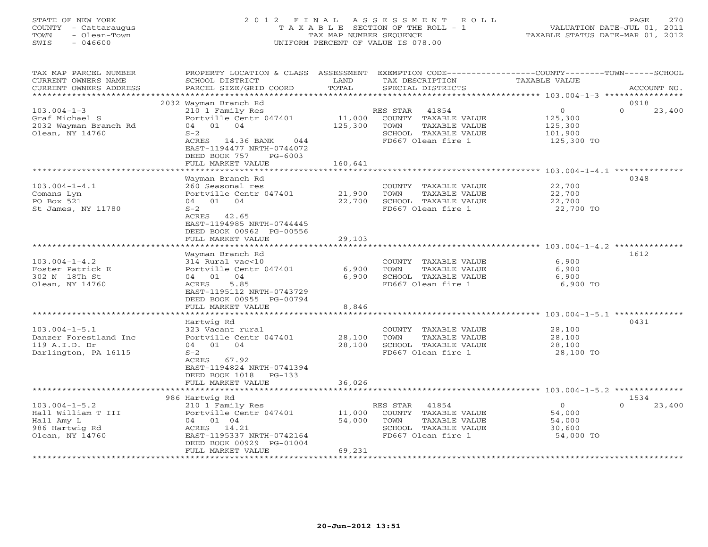# STATE OF NEW YORK 2 0 1 2 F I N A L A S S E S S M E N T R O L L PAGE 270 COUNTY - Cattaraugus T A X A B L E SECTION OF THE ROLL - 1 VALUATION DATE-JUL 01, 2011 TOWN - Olean-Town TAX MAP NUMBER SEQUENCE TAXABLE STATUS DATE-MAR 01, 2012 SWIS - 046600 UNIFORM PERCENT OF VALUE IS 078.00UNIFORM PERCENT OF VALUE IS 078.00

| TAX MAP PARCEL NUMBER  |                            |              |                       | PROPERTY LOCATION & CLASS ASSESSMENT EXEMPTION CODE----------------COUNTY-------TOWN------SCHOOL |
|------------------------|----------------------------|--------------|-----------------------|--------------------------------------------------------------------------------------------------|
| CURRENT OWNERS NAME    | SCHOOL DISTRICT            | LAND         | TAX DESCRIPTION       | TAXABLE VALUE                                                                                    |
| CURRENT OWNERS ADDRESS | PARCEL SIZE/GRID COORD     | TOTAL        | SPECIAL DISTRICTS     | ACCOUNT NO.                                                                                      |
|                        |                            |              |                       |                                                                                                  |
|                        | 2032 Wayman Branch Rd      |              |                       | 0918                                                                                             |
| $103.004 - 1 - 3$      | 210 1 Family Res           |              | RES STAR 41854        | $\circ$<br>$\Omega$<br>23,400                                                                    |
| Graf Michael S         | Portville Centr 047401     | 11,000       | COUNTY TAXABLE VALUE  | 125,300                                                                                          |
| 2032 Wayman Branch Rd  | 04 01 04                   | 125,300      | TOWN<br>TAXABLE VALUE | 125,300                                                                                          |
| Olean, NY 14760        | $S-2$                      |              | SCHOOL TAXABLE VALUE  | 101,900                                                                                          |
|                        | ACRES 14.36 BANK<br>044    |              | FD667 Olean fire 1    | 125,300 TO                                                                                       |
|                        | EAST-1194477 NRTH-0744072  |              |                       |                                                                                                  |
|                        | DEED BOOK 757<br>$PG-6003$ |              |                       |                                                                                                  |
|                        | FULL MARKET VALUE          | 160,641      |                       |                                                                                                  |
|                        |                            | <b>.</b> .   |                       | ************************ 103.004-1-4.1 ***************                                           |
|                        | Wayman Branch Rd           |              |                       | 0348                                                                                             |
| $103.004 - 1 - 4.1$    | 260 Seasonal res           |              | COUNTY TAXABLE VALUE  | 22,700                                                                                           |
| Comans Lyn             | Portville Centr 047401     | 21,900       | TOWN<br>TAXABLE VALUE | 22,700                                                                                           |
| PO Box 521             | 04 01 04                   | 22,700       | SCHOOL TAXABLE VALUE  | 22,700                                                                                           |
| St James, NY 11780     | $S-2$                      |              | FD667 Olean fire 1    | 22,700 TO                                                                                        |
|                        | ACRES 42.65                |              |                       |                                                                                                  |
|                        | EAST-1194985 NRTH-0744445  |              |                       |                                                                                                  |
|                        | DEED BOOK 00962 PG-00556   |              |                       |                                                                                                  |
|                        | FULL MARKET VALUE          | 29,103       |                       |                                                                                                  |
|                        |                            |              |                       |                                                                                                  |
|                        | Wayman Branch Rd           |              |                       | 1612                                                                                             |
| $103.004 - 1 - 4.2$    | 314 Rural vac<10           |              | COUNTY TAXABLE VALUE  | 6,900                                                                                            |
| Foster Patrick E       | Portville Centr 047401     | 6,900        | TOWN<br>TAXABLE VALUE | 6,900                                                                                            |
| 302 N 18Th St          | 04 01 04                   | 6,900        | SCHOOL TAXABLE VALUE  | 6,900                                                                                            |
| Olean, NY 14760        | ACRES<br>5.85              |              | FD667 Olean fire 1    | 6,900 TO                                                                                         |
|                        | EAST-1195112 NRTH-0743729  |              |                       |                                                                                                  |
|                        | DEED BOOK 00955 PG-00794   |              |                       |                                                                                                  |
|                        | FULL MARKET VALUE          | 8,846        |                       |                                                                                                  |
|                        |                            | ************ |                       |                                                                                                  |
|                        | Hartwig Rd                 |              |                       | 0431                                                                                             |
| $103.004 - 1 - 5.1$    | 323 Vacant rural           |              | COUNTY TAXABLE VALUE  | 28,100                                                                                           |
| Danzer Forestland Inc  | Portville Centr 047401     | 28,100       | TAXABLE VALUE<br>TOWN | 28,100                                                                                           |
| 119 A.I.D. Dr          | 04 01 04                   | 28,100       | SCHOOL TAXABLE VALUE  | 28,100                                                                                           |
| Darlington, PA 16115   | $S-2$                      |              | FD667 Olean fire 1    | 28,100 TO                                                                                        |
|                        | ACRES 67.92                |              |                       |                                                                                                  |
|                        | EAST-1194824 NRTH-0741394  |              |                       |                                                                                                  |
|                        | DEED BOOK 1018<br>$PG-133$ |              |                       |                                                                                                  |
|                        | FULL MARKET VALUE          | 36,026       |                       |                                                                                                  |
|                        | *************************  |              |                       |                                                                                                  |
|                        | 986 Hartwig Rd             |              |                       | 1534                                                                                             |
| $103.004 - 1 - 5.2$    | 210 1 Family Res           |              | 41854<br>RES STAR     | 23,400<br>$\overline{0}$<br>$\Omega$                                                             |
| Hall William T III     | Portville Centr 047401     | 11,000       | COUNTY TAXABLE VALUE  | 54,000                                                                                           |
| Hall Amy L             | 04 01 04                   | 54,000       | TAXABLE VALUE<br>TOWN | 54,000                                                                                           |
| 986 Hartwig Rd         | ACRES 14.21                |              | SCHOOL TAXABLE VALUE  | 30,600                                                                                           |
| Olean, NY 14760        | EAST-1195337 NRTH-0742164  |              | FD667 Olean fire 1    | 54,000 TO                                                                                        |
|                        | DEED BOOK 00929 PG-01004   |              |                       |                                                                                                  |
|                        | FULL MARKET VALUE          | 69,231       |                       |                                                                                                  |
|                        |                            |              |                       |                                                                                                  |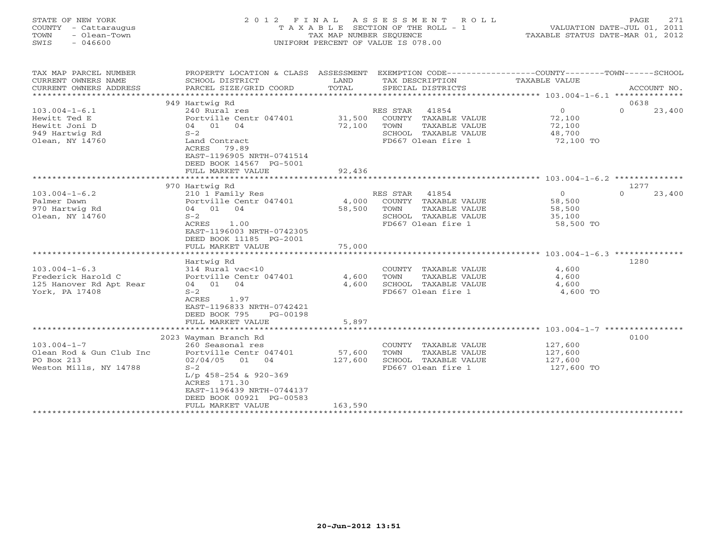| STATE OF NEW YORK<br>COUNTY - Cattaraugus<br>- Olean-Town<br>TOWN<br>$-046600$<br>SWIS | 2012 FINAL ASSESSMENT ROLL<br>T A X A B L E SECTION OF THE ROLL - 1<br>TAX MAP NUMBER SEOUENCE<br>UNIFORM PERCENT OF VALUE IS 078.00 | 271<br>PAGE<br>VALUATION DATE-JUL 01, 2011<br>TAXABLE STATUS DATE-MAR 01, 2012 |
|----------------------------------------------------------------------------------------|--------------------------------------------------------------------------------------------------------------------------------------|--------------------------------------------------------------------------------|
|                                                                                        |                                                                                                                                      |                                                                                |

TAX MAP PARCEL NUMBER PROPERTY LOCATION & CLASS ASSESSMENT EXEMPTION CODE------------------COUNTY--------TOWN------SCHOOL

| CURRENT OWNERS NAME<br>CURRENT OWNERS ADDRESS | SCHOOL DISTRICT<br>PARCEL SIZE/GRID COORD | LAND<br>TOTAL | TAX DESCRIPTION<br>SPECIAL DISTRICTS | TAXABLE VALUE                                      | ACCOUNT NO.        |
|-----------------------------------------------|-------------------------------------------|---------------|--------------------------------------|----------------------------------------------------|--------------------|
| ***********                                   |                                           |               |                                      |                                                    |                    |
|                                               | 949 Hartwig Rd                            |               |                                      |                                                    | 0638               |
| $103.004 - 1 - 6.1$                           | 240 Rural res                             |               | RES STAR<br>41854                    | $\circ$                                            | $\Omega$<br>23,400 |
| Hewitt Ted E                                  | Portville Centr 047401                    | 31,500        | TAXABLE VALUE<br>COUNTY              | 72,100                                             |                    |
| Hewitt Joni D                                 | 01<br>04<br>04                            | 72,100        | TOWN<br>TAXABLE VALUE                | 72,100                                             |                    |
| 949 Hartwig Rd                                | $S-2$                                     |               | SCHOOL TAXABLE VALUE                 | 48,700                                             |                    |
| Olean, NY 14760                               | Land Contract                             |               | FD667 Olean fire 1                   | 72,100 TO                                          |                    |
|                                               | 79.89<br>ACRES                            |               |                                      |                                                    |                    |
|                                               | EAST-1196905 NRTH-0741514                 |               |                                      |                                                    |                    |
|                                               | DEED BOOK 14567 PG-5001                   |               |                                      |                                                    |                    |
|                                               | FULL MARKET VALUE                         | 92,436        |                                      |                                                    |                    |
|                                               | *************************                 |               |                                      |                                                    |                    |
|                                               | 970 Hartwig Rd                            |               |                                      |                                                    | 1277               |
| $103.004 - 1 - 6.2$                           | 210 1 Family Res                          |               | RES STAR<br>41854                    | $\mathbf{O}$                                       | $\Omega$<br>23,400 |
| Palmer Dawn                                   | Portville Centr 047401                    | 4,000         | COUNTY<br>TAXABLE VALUE              | 58,500                                             |                    |
| 970 Hartwig Rd                                | 04 01<br>04                               | 58,500        | TOWN<br>TAXABLE VALUE                | 58,500                                             |                    |
| Olean, NY 14760                               | $S-2$                                     |               | SCHOOL<br>TAXABLE VALUE              | 35,100                                             |                    |
|                                               | ACRES<br>1.00                             |               | FD667 Olean fire 1                   | 58,500 TO                                          |                    |
|                                               | EAST-1196003 NRTH-0742305                 |               |                                      |                                                    |                    |
|                                               | DEED BOOK 11185 PG-2001                   |               |                                      |                                                    |                    |
|                                               | FULL MARKET VALUE                         | 75,000        |                                      |                                                    |                    |
|                                               | ******************                        |               |                                      | ************************** 103.004-1-6.3 ********* |                    |
|                                               | Hartwig Rd                                |               |                                      |                                                    | 1280               |
| $103.004 - 1 - 6.3$                           | 314 Rural vac<10                          |               | COUNTY<br>TAXABLE VALUE              | 4,600                                              |                    |
| Frederick Harold C                            | Portville Centr 047401                    | 4,600         | TOWN<br>TAXABLE VALUE                | 4,600                                              |                    |
| 125 Hanover Rd Apt Rear                       | 04 01<br>04                               | 4,600         | SCHOOL TAXABLE VALUE                 | 4,600                                              |                    |
| York, PA 17408                                | $S-2$                                     |               | FD667 Olean fire 1                   | 4,600 TO                                           |                    |
|                                               | 1.97<br>ACRES                             |               |                                      |                                                    |                    |
|                                               | EAST-1196833 NRTH-0742421                 |               |                                      |                                                    |                    |
|                                               | DEED BOOK 795<br>PG-00198                 |               |                                      |                                                    |                    |
|                                               | FULL MARKET VALUE<br>*****************    | 5,897         |                                      | ******************* 103.004-1-7 ***************    |                    |
|                                               |                                           |               |                                      |                                                    | 0100               |
| $103.004 - 1 - 7$                             | 2023 Wayman Branch Rd<br>260 Seasonal res |               | COUNTY<br>TAXABLE VALUE              | 127,600                                            |                    |
| Olean Rod & Gun Club Inc                      | Portville Centr 047401                    | 57,600        | TOWN<br><b>TAXABLE VALUE</b>         | 127,600                                            |                    |
| PO Box 213                                    | 02/04/05<br>01<br>04                      | 127,600       | SCHOOL<br>TAXABLE VALUE              | 127,600                                            |                    |
| Weston Mills, NY 14788                        | $S-2$                                     |               | FD667 Olean fire 1                   | 127,600 TO                                         |                    |
|                                               | $L/p$ 458-254 & 920-369                   |               |                                      |                                                    |                    |
|                                               | ACRES 171.30                              |               |                                      |                                                    |                    |
|                                               | EAST-1196439 NRTH-0744137                 |               |                                      |                                                    |                    |
|                                               | DEED BOOK 00921 PG-00583                  |               |                                      |                                                    |                    |
|                                               | FULL MARKET VALUE                         | 163,590       |                                      |                                                    |                    |
|                                               |                                           |               |                                      |                                                    |                    |
|                                               |                                           |               |                                      |                                                    |                    |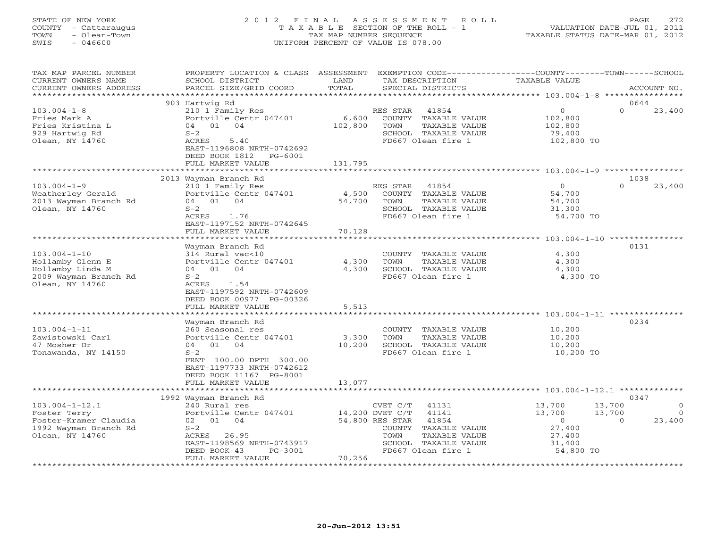# STATE OF NEW YORK 2 0 1 2 F I N A L A S S E S S M E N T R O L L PAGE 272 COUNTY - Cattaraugus T A X A B L E SECTION OF THE ROLL - 1 VALUATION DATE-JUL 01, 2011 TOWN - Olean-Town TAX MAP NUMBER SEQUENCE TAXABLE STATUS DATE-MAR 01, 2012 SWIS - 046600 UNIFORM PERCENT OF VALUE IS 078.00UNIFORM PERCENT OF VALUE IS 078.00

| TAX MAP PARCEL NUMBER                         | PROPERTY LOCATION & CLASS ASSESSMENT      |                      | EXEMPTION CODE-----------------COUNTY-------TOWN------SCHOOL |                                                  |                    |
|-----------------------------------------------|-------------------------------------------|----------------------|--------------------------------------------------------------|--------------------------------------------------|--------------------|
| CURRENT OWNERS NAME                           | SCHOOL DISTRICT<br>PARCEL SIZE/GRID COORD | LAND<br>TOTAL        | TAX DESCRIPTION                                              | <b>TAXABLE VALUE</b>                             | ACCOUNT NO.        |
| CURRENT OWNERS ADDRESS<br>******************* |                                           |                      | SPECIAL DISTRICTS                                            |                                                  |                    |
|                                               |                                           |                      |                                                              |                                                  |                    |
|                                               | 903 Hartwig Rd                            |                      |                                                              | $\mathbf{0}$                                     | 0644<br>$\Omega$   |
| $103.004 - 1 - 8$                             | 210 1 Family Res                          |                      | 41854<br>RES STAR                                            |                                                  | 23,400             |
| Fries Mark A                                  | Portville Centr 047401                    | 6,600                | COUNTY<br>TAXABLE VALUE                                      | 102,800                                          |                    |
| Fries Kristina L                              | 04 01<br>04                               | 102,800              | TOWN<br>TAXABLE VALUE                                        | 102,800                                          |                    |
| 929 Hartwig Rd                                | $S-2$                                     |                      | SCHOOL TAXABLE VALUE                                         | 79,400                                           |                    |
| Olean, NY 14760                               | 5.40<br>ACRES                             |                      | FD667 Olean fire 1                                           | 102,800 TO                                       |                    |
|                                               | EAST-1196808 NRTH-0742692                 |                      |                                                              |                                                  |                    |
|                                               | DEED BOOK 1812<br>$PG-6001$               |                      |                                                              |                                                  |                    |
|                                               | FULL MARKET VALUE                         | 131,795<br>********* |                                                              |                                                  |                    |
|                                               |                                           |                      |                                                              | ************************ 103.004-1-9 *********** |                    |
|                                               | 2013 Wayman Branch Rd                     |                      |                                                              |                                                  | 1038               |
| $103.004 - 1 - 9$                             | 210 1 Family Res                          |                      | RES STAR<br>41854                                            | $\Omega$                                         | 23,400             |
| Weatherley Gerald                             | Portville Centr 047401                    | 4,500                | COUNTY TAXABLE VALUE                                         | 54,700                                           |                    |
| 2013 Wayman Branch Rd                         | 04 01 04                                  | 54,700               | TOWN<br>TAXABLE VALUE                                        | 54,700                                           |                    |
| Olean, NY 14760                               | $S-2$                                     |                      | SCHOOL TAXABLE VALUE                                         | 31,300                                           |                    |
|                                               | ACRES<br>1.76                             |                      | FD667 Olean fire 1                                           | 54,700 TO                                        |                    |
|                                               | EAST-1197152 NRTH-0742645                 |                      |                                                              |                                                  |                    |
|                                               | FULL MARKET VALUE                         | 70,128               |                                                              |                                                  |                    |
|                                               | ************************                  |                      |                                                              |                                                  |                    |
|                                               | Wayman Branch Rd                          |                      |                                                              |                                                  | 0131               |
| $103.004 - 1 - 10$                            | 314 Rural vac<10                          |                      | COUNTY TAXABLE VALUE                                         | 4,300                                            |                    |
| Hollamby Glenn E                              | Portville Centr 047401                    | 4,300                | TAXABLE VALUE<br>TOWN                                        | 4,300                                            |                    |
| Hollamby Linda M                              | 04 01<br>04                               | 4,300                | SCHOOL TAXABLE VALUE                                         | 4,300                                            |                    |
| 2009 Wayman Branch Rd                         | $S-2$                                     |                      | FD667 Olean fire 1                                           | 4,300 TO                                         |                    |
| Olean, NY 14760                               | ACRES<br>1.54                             |                      |                                                              |                                                  |                    |
|                                               | EAST-1197592 NRTH-0742609                 |                      |                                                              |                                                  |                    |
|                                               | DEED BOOK 00977 PG-00326                  |                      |                                                              |                                                  |                    |
|                                               | FULL MARKET VALUE                         | 5,513                |                                                              |                                                  |                    |
|                                               |                                           |                      |                                                              | *********************** 103.004-1-11 ****        |                    |
|                                               | Wayman Branch Rd                          |                      |                                                              |                                                  | 0234               |
| $103.004 - 1 - 11$                            | 260 Seasonal res                          |                      | COUNTY TAXABLE VALUE                                         | 10,200                                           |                    |
| Zawistowski Carl                              | Portville Centr 047401                    | 3,300                | TOWN<br>TAXABLE VALUE                                        | 10,200                                           |                    |
| 47 Mosher Dr                                  | 04 01 04                                  | 10,200               | SCHOOL TAXABLE VALUE                                         | 10,200                                           |                    |
| Tonawanda, NY 14150                           | $S-2$                                     |                      | FD667 Olean fire 1                                           | 10,200 TO                                        |                    |
|                                               | FRNT 100.00 DPTH 300.00                   |                      |                                                              |                                                  |                    |
|                                               | EAST-1197733 NRTH-0742612                 |                      |                                                              |                                                  |                    |
|                                               | DEED BOOK 11167 PG-8001                   |                      |                                                              |                                                  |                    |
|                                               | FULL MARKET VALUE                         | 13,077               |                                                              |                                                  |                    |
|                                               |                                           |                      |                                                              |                                                  |                    |
|                                               | 1992 Wayman Branch Rd                     |                      |                                                              |                                                  | 0347               |
| $103.004 - 1 - 12.1$                          | 240 Rural res                             |                      | CVET C/T<br>41131                                            | 13,700                                           | 13,700<br>$\circ$  |
| Foster Terry                                  | Portville Centr 047401                    |                      | 14,200 DVET C/T<br>41141                                     | 13,700                                           | 13,700<br>$\Omega$ |
| Foster-Kramer Claudia                         | 02 01<br>04                               |                      | 54,800 RES STAR<br>41854                                     | $\Omega$                                         | 23,400<br>$\Omega$ |
| 1992 Wayman Branch Rd                         | $S-2$                                     |                      | TAXABLE VALUE<br>COUNTY                                      | 27,400                                           |                    |
| Olean, NY 14760                               | ACRES 26.95                               |                      | TAXABLE VALUE<br>TOWN                                        | 27,400                                           |                    |
|                                               | EAST-1198569 NRTH-0743917                 |                      | SCHOOL TAXABLE VALUE                                         | 31,400                                           |                    |
|                                               | DEED BOOK 43<br>PG-3001                   |                      | FD667 Olean fire 1                                           | 54,800 TO                                        |                    |
|                                               | FULL MARKET VALUE                         | 70,256               |                                                              |                                                  |                    |
|                                               |                                           |                      |                                                              |                                                  |                    |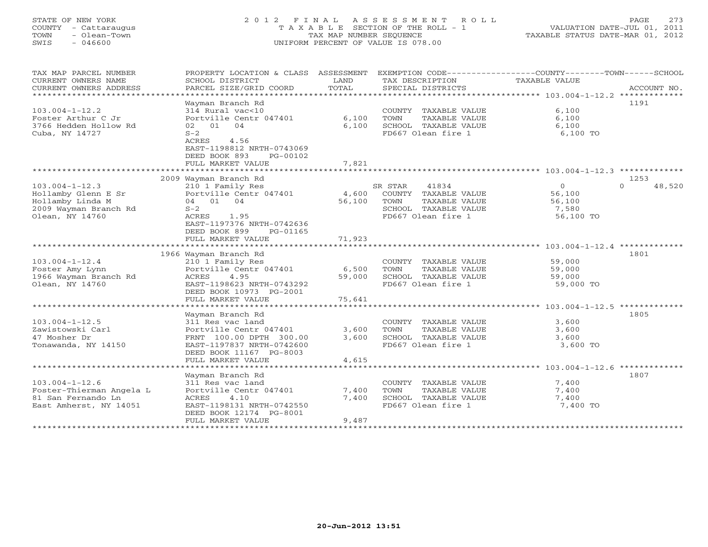# STATE OF NEW YORK 2 0 1 2 F I N A L A S S E S S M E N T R O L L PAGE 273 COUNTY - Cattaraugus T A X A B L E SECTION OF THE ROLL - 1 VALUATION DATE-JUL 01, 2011 TOWN - Olean-Town - Olean-Town Tax MAP NUMBER SEQUENCE TAXABLE STATUS DATE-MAR 01, 2012<br>
TAX MAP NUMBER SEQUENCE TAXABLE STATUS DATE-MAR 01, 2012<br>
SWIS - 046600 SWIS - 046600 UNIFORM PERCENT OF VALUE IS 078.00

| TAX MAP PARCEL NUMBER<br>CURRENT OWNERS NAME<br>CURRENT OWNERS ADDRESS<br>************************          | PROPERTY LOCATION & CLASS ASSESSMENT<br>SCHOOL DISTRICT<br>PARCEL SIZE/GRID COORD                                                                                                      | LAND<br>TOTAL           | EXEMPTION CODE-----------------COUNTY-------TOWN------SCHOOL<br>TAX DESCRIPTION<br>SPECIAL DISTRICTS            | TAXABLE VALUE                                          | ACCOUNT NO.                |
|-------------------------------------------------------------------------------------------------------------|----------------------------------------------------------------------------------------------------------------------------------------------------------------------------------------|-------------------------|-----------------------------------------------------------------------------------------------------------------|--------------------------------------------------------|----------------------------|
| $103.004 - 1 - 12.2$<br>Foster Arthur C Jr<br>3766 Hedden Hollow Rd<br>Cuba, NY 14727                       | Wayman Branch Rd<br>314 Rural vac<10<br>Portville Centr 047401<br>04<br>02 01<br>$S-2$<br>ACRES<br>4.56<br>EAST-1198812 NRTH-0743069<br>DEED BOOK 893<br>PG-00102<br>FULL MARKET VALUE | 6,100<br>6,100<br>7,821 | COUNTY TAXABLE VALUE<br>TOWN<br>TAXABLE VALUE<br>SCHOOL TAXABLE VALUE<br>FD667 Olean fire 1                     | 6,100<br>6,100<br>6,100<br>6,100 TO                    | 1191                       |
|                                                                                                             |                                                                                                                                                                                        |                         |                                                                                                                 |                                                        |                            |
| $103.004 - 1 - 12.3$<br>Hollamby Glenn E Sr<br>Hollamby Linda M<br>2009 Wayman Branch Rd<br>Olean, NY 14760 | 2009 Wayman Branch Rd<br>210 1 Family Res<br>Portville Centr 047401<br>04 01 04<br>$S-2$<br>ACRES<br>1.95<br>EAST-1197376 NRTH-0742636<br>DEED BOOK 899<br>PG-01165                    | 4,600<br>56,100         | 41834<br>SR STAR<br>COUNTY TAXABLE VALUE<br>TOWN<br>TAXABLE VALUE<br>SCHOOL TAXABLE VALUE<br>FD667 Olean fire 1 | $\circ$<br>56,100<br>56,100<br>7,580<br>56,100 TO      | 1253<br>$\Omega$<br>48,520 |
|                                                                                                             | FULL MARKET VALUE                                                                                                                                                                      | 71,923                  |                                                                                                                 |                                                        |                            |
|                                                                                                             |                                                                                                                                                                                        |                         |                                                                                                                 | ***************** 103.004-1-12.4 *************         |                            |
| $103.004 - 1 - 12.4$<br>Foster Amy Lynn<br>1966 Wayman Branch Rd<br>Olean, NY 14760                         | 1966 Wayman Branch Rd<br>210 1 Family Res<br>Portville Centr 047401<br>4.95<br>ACRES<br>EAST-1198623 NRTH-0743292<br>DEED BOOK 10973 PG-2001                                           | 6,500<br>59,000         | COUNTY TAXABLE VALUE<br>TOWN<br>TAXABLE VALUE<br>SCHOOL TAXABLE VALUE<br>FD667 Olean fire 1                     | 59,000<br>59,000<br>59,000<br>59,000 TO                | 1801                       |
|                                                                                                             | FULL MARKET VALUE                                                                                                                                                                      | 75,641                  |                                                                                                                 |                                                        |                            |
|                                                                                                             | Wayman Branch Rd                                                                                                                                                                       |                         |                                                                                                                 |                                                        | 1805                       |
| $103.004 - 1 - 12.5$<br>Zawistowski Carl<br>47 Mosher Dr<br>Tonawanda, NY 14150                             | 311 Res vac land<br>Portville Centr 047401<br>FRNT 100.00 DPTH 300.00<br>EAST-1197837 NRTH-0742600<br>DEED BOOK 11167 PG-8003<br>FULL MARKET VALUE                                     | 3,600<br>3,600<br>4,615 | COUNTY TAXABLE VALUE<br>TAXABLE VALUE<br>TOWN<br>SCHOOL TAXABLE VALUE<br>FD667 Olean fire 1                     | 3,600<br>3,600<br>3,600<br>3,600 TO                    |                            |
|                                                                                                             | **************************                                                                                                                                                             |                         |                                                                                                                 | ************************* 103.004-1-12.6 ************* |                            |
| $103.004 - 1 - 12.6$<br>Foster-Thierman Angela L<br>81 San Fernando Ln                                      | Wayman Branch Rd<br>311 Res vac land<br>Portville Centr 047401<br>ACRES<br>4.10                                                                                                        | 7,400<br>7,400          | COUNTY TAXABLE VALUE<br>TOWN<br>TAXABLE VALUE<br>SCHOOL TAXABLE VALUE                                           | 7,400<br>7,400<br>7,400                                | 1807                       |
| East Amherst, NY 14051<br>******************                                                                | EAST-1198131 NRTH-0742550<br>DEED BOOK 12174 PG-8001<br>FULL MARKET VALUE                                                                                                              | 9,487                   | FD667 Olean fire 1                                                                                              | 7,400 TO<br>**************************************     |                            |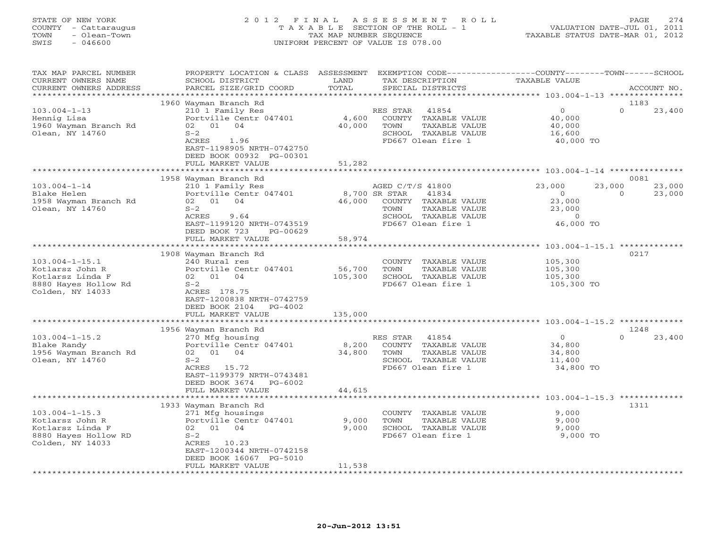## STATE OF NEW YORK 2 0 1 2 F I N A L A S S E S S M E N T R O L L PAGE 274 COUNTY - Cattaraugus T A X A B L E SECTION OF THE ROLL - 1 VALUATION DATE-JUL 01, 2011 TOWN - Olean-Town TAX MAP NUMBER SEQUENCE TAXABLE STATUS DATE-MAR 01, 2012 SWIS - 046600 UNIFORM PERCENT OF VALUE IS 078.00UNIFORM PERCENT OF VALUE IS 078.00

| TAX MAP PARCEL NUMBER<br>CURRENT OWNERS NAME<br>CURRENT OWNERS ADDRESS                                  | PROPERTY LOCATION & CLASS ASSESSMENT<br>SCHOOL DISTRICT<br>PARCEL SIZE/GRID COORD                                                                                                      | LAND<br>TOTAL                | TAX DESCRIPTION<br>SPECIAL DISTRICTS                                                                                     | EXEMPTION CODE----------------COUNTY-------TOWN-----SCHOOL<br>TAXABLE VALUE | ACCOUNT NO.                          |
|---------------------------------------------------------------------------------------------------------|----------------------------------------------------------------------------------------------------------------------------------------------------------------------------------------|------------------------------|--------------------------------------------------------------------------------------------------------------------------|-----------------------------------------------------------------------------|--------------------------------------|
| ********************                                                                                    | *****************                                                                                                                                                                      |                              |                                                                                                                          |                                                                             |                                      |
|                                                                                                         | 1960 Wayman Branch Rd                                                                                                                                                                  |                              |                                                                                                                          |                                                                             | 1183                                 |
| $103.004 - 1 - 13$<br>Hennig Lisa<br>1960 Wayman Branch Rd<br>Olean, NY 14760                           | 210 1 Family Res<br>Portville Centr 047401<br>02 01 04<br>$S-2$<br>1.96<br>ACRES<br>EAST-1198905 NRTH-0742750<br>DEED BOOK 00932 PG-00301                                              | 4,600<br>40,000              | RES STAR<br>41854<br>COUNTY TAXABLE VALUE<br>TOWN<br>TAXABLE VALUE<br>SCHOOL TAXABLE VALUE<br>FD667 Olean fire 1         | $\Omega$<br>40,000<br>40,000<br>16,600<br>40,000 TO                         | $\Omega$<br>23,400                   |
|                                                                                                         | FULL MARKET VALUE                                                                                                                                                                      | 51,282                       |                                                                                                                          |                                                                             |                                      |
|                                                                                                         |                                                                                                                                                                                        |                              |                                                                                                                          |                                                                             |                                      |
| $103.004 - 1 - 14$<br>Blake Helen<br>1958 Wayman Branch Rd<br>Olean, NY 14760                           | 1958 Wayman Branch Rd<br>210 1 Family Res<br>Portville Centr 047401<br>02 01 04<br>$S-2$<br>ACRES<br>9.64<br>EAST-1199120 NRTH-0743519<br>DEED BOOK 723<br>PG-00629                    | 8,700 SR STAR<br>46,000      | AGED C/T/S 41800<br>41834<br>COUNTY TAXABLE VALUE<br>TOWN<br>TAXABLE VALUE<br>SCHOOL TAXABLE VALUE<br>FD667 Olean fire 1 | 23,000<br>23,000<br>$\circ$<br>23,000<br>23,000<br>$\Omega$<br>46,000 TO    | 0081<br>23,000<br>$\Omega$<br>23,000 |
|                                                                                                         | FULL MARKET VALUE                                                                                                                                                                      | 58,974                       |                                                                                                                          |                                                                             |                                      |
|                                                                                                         |                                                                                                                                                                                        |                              |                                                                                                                          |                                                                             |                                      |
| $103.004 - 1 - 15.1$<br>Kotlarsz John R<br>Kotlarsz Linda F<br>8880 Hayes Hollow Rd<br>Colden, NY 14033 | 1908 Wayman Branch Rd<br>240 Rural res<br>Portville Centr 047401<br>02 01 04<br>$S-2$<br>ACRES 178.75<br>EAST-1200838 NRTH-0742759<br>DEED BOOK 2104<br>$PG-4002$<br>FULL MARKET VALUE | 56,700<br>105,300<br>135,000 | COUNTY TAXABLE VALUE<br>TOWN<br>TAXABLE VALUE<br>SCHOOL TAXABLE VALUE<br>FD667 Olean fire 1                              | 105,300<br>105,300<br>105,300<br>105,300 TO                                 | 0217                                 |
|                                                                                                         |                                                                                                                                                                                        |                              |                                                                                                                          |                                                                             |                                      |
|                                                                                                         | 1956 Wayman Branch Rd                                                                                                                                                                  |                              |                                                                                                                          |                                                                             | 1248                                 |
| $103.004 - 1 - 15.2$<br>Blake Randy<br>1956 Wayman Branch Rd<br>Olean, NY 14760                         | 270 Mfg housing<br>Portville Centr 047401<br>02 01 04<br>$S-2$<br>ACRES 15.72<br>EAST-1199379 NRTH-0743481<br>DEED BOOK 3674<br>PG-6002                                                | 8,200<br>34,800              | RES STAR<br>41854<br>COUNTY TAXABLE VALUE<br>TOWN<br>TAXABLE VALUE<br>SCHOOL TAXABLE VALUE<br>FD667 Olean fire 1         | $\circ$<br>34,800<br>34,800<br>11,400<br>34,800 TO                          | $\Omega$<br>23,400                   |
|                                                                                                         | FULL MARKET VALUE<br>**********************                                                                                                                                            | 44,615                       |                                                                                                                          | ************************************ 103.004-1-15.3 *************           |                                      |
| $103.004 - 1 - 15.3$<br>Kotlarsz John R<br>Kotlarsz Linda F<br>8880 Hayes Hollow RD<br>Colden, NY 14033 | 1933 Wayman Branch Rd<br>271 Mfg housings<br>Portville Centr 047401<br>02 01 04<br>$S-2$<br>ACRES 10.23<br>EAST-1200344 NRTH-0742158<br>DEED BOOK 16067 PG-5010<br>FULL MARKET VALUE   | 9,000<br>9,000<br>11,538     | COUNTY TAXABLE VALUE<br>TOWN<br>TAXABLE VALUE<br>SCHOOL TAXABLE VALUE<br>FD667 Olean fire 1                              | 9,000<br>9,000<br>9,000<br>9,000 TO                                         | 1311                                 |
|                                                                                                         |                                                                                                                                                                                        |                              |                                                                                                                          |                                                                             |                                      |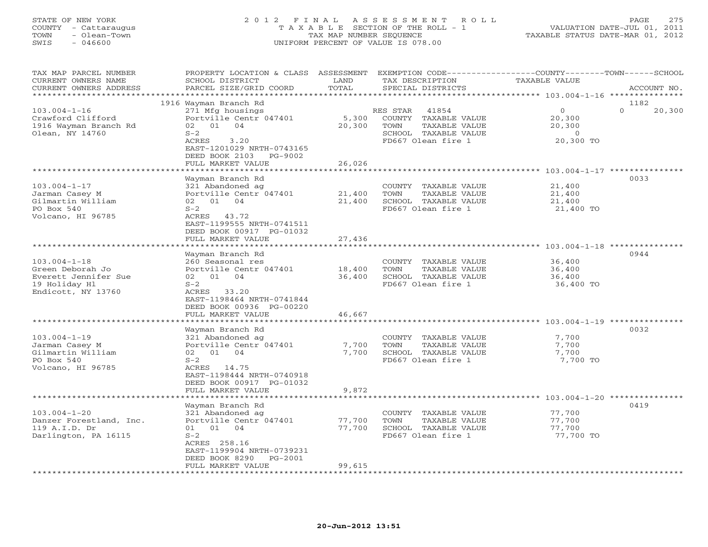# STATE OF NEW YORK 2 0 1 2 F I N A L A S S E S S M E N T R O L L PAGE 275 COUNTY - Cattaraugus T A X A B L E SECTION OF THE ROLL - 1 VALUATION DATE-JUL 01, 2011 TOWN - Olean-Town TAX MAP NUMBER SEQUENCE TAXABLE STATUS DATE-MAR 01, 2012 SWIS - 046600 UNIFORM PERCENT OF VALUE IS 078.00UNIFORM PERCENT OF VALUE IS 078.00

| TAX MAP PARCEL NUMBER   | PROPERTY LOCATION & CLASS                     | ASSESSMENT          | EXEMPTION CODE--      | -------------COUNTY--------TOWN------SCHOOL |                    |
|-------------------------|-----------------------------------------------|---------------------|-----------------------|---------------------------------------------|--------------------|
| CURRENT OWNERS NAME     | SCHOOL DISTRICT                               | LAND                | TAX DESCRIPTION       | TAXABLE VALUE                               |                    |
| CURRENT OWNERS ADDRESS  | PARCEL SIZE/GRID COORD                        | TOTAL               | SPECIAL DISTRICTS     |                                             | ACCOUNT NO.        |
|                         |                                               | ******************* |                       | ************** 103.004-1-16 *******         |                    |
|                         | 1916 Wayman Branch Rd                         |                     |                       |                                             | 1182               |
| $103.004 - 1 - 16$      | 271 Mfg housings                              |                     | 41854<br>RES STAR     | $\circ$                                     | $\Omega$<br>20,300 |
| Crawford Clifford       | Portville Centr 047401                        | 5,300               | COUNTY TAXABLE VALUE  | 20,300                                      |                    |
| 1916 Wayman Branch Rd   | 02 01<br>04                                   | 20,300              | TAXABLE VALUE<br>TOWN | 20,300                                      |                    |
| Olean, NY 14760         | $S-2$                                         |                     | SCHOOL TAXABLE VALUE  | $\Omega$                                    |                    |
|                         | ACRES<br>3.20                                 |                     | FD667 Olean fire 1    | 20,300 TO                                   |                    |
|                         | EAST-1201029 NRTH-0743165                     |                     |                       |                                             |                    |
|                         | DEED BOOK 2103<br>PG-9002                     |                     |                       |                                             |                    |
|                         | FULL MARKET VALUE                             | 26,026              |                       |                                             |                    |
|                         |                                               |                     |                       |                                             |                    |
|                         | Wayman Branch Rd                              |                     |                       |                                             | 0033               |
| $103.004 - 1 - 17$      | 321 Abandoned ag                              |                     | COUNTY TAXABLE VALUE  | 21,400                                      |                    |
| Jarman Casey M          | Portville Centr 047401                        | 21,400              | TOWN<br>TAXABLE VALUE | 21,400                                      |                    |
| Gilmartin William       | 02 01 04                                      | 21,400              | SCHOOL TAXABLE VALUE  | 21,400                                      |                    |
| PO Box 540              | $S-2$                                         |                     | FD667 Olean fire 1    | 21,400 TO                                   |                    |
| Volcano, HI 96785       | ACRES 43.72                                   |                     |                       |                                             |                    |
|                         | EAST-1199555 NRTH-0741511                     |                     |                       |                                             |                    |
|                         |                                               |                     |                       |                                             |                    |
|                         | DEED BOOK 00917 PG-01032<br>FULL MARKET VALUE | 27,436              |                       |                                             |                    |
|                         | *****************                             |                     |                       |                                             |                    |
|                         |                                               |                     |                       |                                             | 0944               |
|                         | Wayman Branch Rd                              |                     |                       |                                             |                    |
| $103.004 - 1 - 18$      | 260 Seasonal res                              |                     | COUNTY TAXABLE VALUE  | 36,400                                      |                    |
| Green Deborah Jo        | Portville Centr 047401                        | 18,400              | TAXABLE VALUE<br>TOWN | 36,400                                      |                    |
| Everett Jennifer Sue    | 02 01 04                                      | 36,400              | SCHOOL TAXABLE VALUE  | 36,400                                      |                    |
| 19 Holiday Hl           | $S-2$                                         |                     | FD667 Olean fire 1    | 36,400 TO                                   |                    |
| Endicott, NY 13760      | ACRES 33.20                                   |                     |                       |                                             |                    |
|                         | EAST-1198464 NRTH-0741844                     |                     |                       |                                             |                    |
|                         | DEED BOOK 00936 PG-00220                      |                     |                       |                                             |                    |
|                         | FULL MARKET VALUE                             | 46,667              |                       |                                             |                    |
|                         |                                               |                     |                       | *********************** 103.004-1-19 ****   |                    |
|                         | Wayman Branch Rd                              |                     |                       |                                             | 0032               |
| $103.004 - 1 - 19$      | 321 Abandoned ag                              |                     | COUNTY TAXABLE VALUE  | 7,700                                       |                    |
| Jarman Casey M          | Portville Centr 047401                        | 7,700               | TOWN<br>TAXABLE VALUE | 7,700                                       |                    |
| Gilmartin William       | 02 01 04                                      | 7,700               | SCHOOL TAXABLE VALUE  | 7,700                                       |                    |
| PO Box 540              | $S-2$                                         |                     | FD667 Olean fire 1    | 7,700 TO                                    |                    |
| Volcano, HI 96785       | ACRES 14.75                                   |                     |                       |                                             |                    |
|                         | EAST-1198444 NRTH-0740918                     |                     |                       |                                             |                    |
|                         | DEED BOOK 00917 PG-01032                      |                     |                       |                                             |                    |
|                         | FULL MARKET VALUE                             | 9,872               |                       |                                             |                    |
|                         | ******************                            | **************      |                       |                                             |                    |
|                         | Wayman Branch Rd                              |                     |                       |                                             | 0419               |
| $103.004 - 1 - 20$      | 321 Abandoned ag                              |                     | COUNTY TAXABLE VALUE  | 77,700                                      |                    |
| Danzer Forestland, Inc. | Portville Centr 047401                        | 77,700              | TOWN<br>TAXABLE VALUE | 77,700                                      |                    |
| 119 A.I.D. Dr           | 01<br>01<br>04                                | 77,700              | SCHOOL TAXABLE VALUE  | 77,700                                      |                    |
| Darlington, PA 16115    | $S-2$                                         |                     | FD667 Olean fire 1    | 77,700 TO                                   |                    |
|                         | ACRES 258.16                                  |                     |                       |                                             |                    |
|                         | EAST-1199904 NRTH-0739231                     |                     |                       |                                             |                    |
|                         | DEED BOOK 8290<br>PG-2001                     |                     |                       |                                             |                    |
|                         | FULL MARKET VALUE                             | 99,615              |                       |                                             |                    |
|                         |                                               |                     |                       |                                             |                    |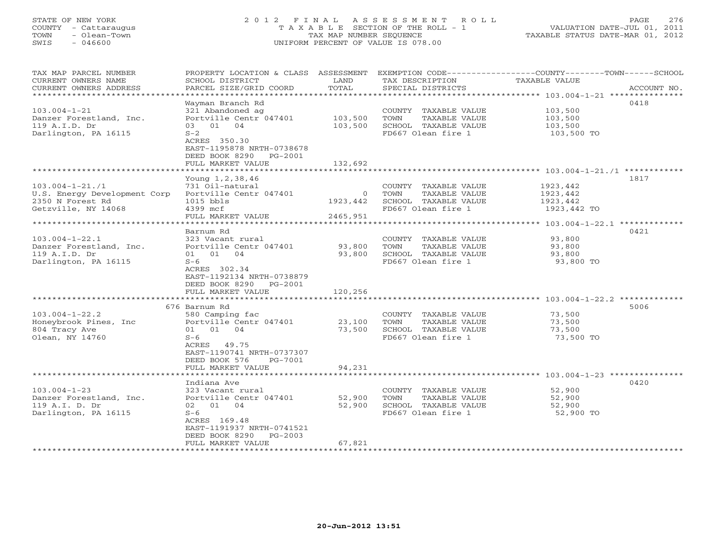# STATE OF NEW YORK 2 0 1 2 F I N A L A S S E S S M E N T R O L L PAGE 276 COUNTY - Cattaraugus T A X A B L E SECTION OF THE ROLL - 1 VALUATION DATE-JUL 01, 2011 TOWN - Olean-Town TAX MAP NUMBER SEQUENCE TAXABLE STATUS DATE-MAR 01, 2012 SWIS - 046600 UNIFORM PERCENT OF VALUE IS 078.00UNIFORM PERCENT OF VALUE IS 078.00

| TAX MAP PARCEL NUMBER<br>CURRENT OWNERS NAME<br>CURRENT OWNERS ADDRESS<br>************************* | PROPERTY LOCATION & CLASS ASSESSMENT EXEMPTION CODE----------------COUNTY-------TOWN------SCHOOL<br>SCHOOL DISTRICT<br>PARCEL SIZE/GRID COORD                               | LAND<br>TOTAL                          | TAX DESCRIPTION<br>SPECIAL DISTRICTS                                                        | TAXABLE VALUE                                                                                    | ACCOUNT NO. |
|-----------------------------------------------------------------------------------------------------|-----------------------------------------------------------------------------------------------------------------------------------------------------------------------------|----------------------------------------|---------------------------------------------------------------------------------------------|--------------------------------------------------------------------------------------------------|-------------|
| $103.004 - 1 - 21$<br>Danzer Forestland, Inc.<br>119 A.I.D. Dr<br>Darlington, PA 16115              | Wayman Branch Rd<br>321 Abandoned ag<br>Portville Centr 047401<br>03 01 04<br>$S-2$<br>ACRES 350.30                                                                         | 103,500<br>103,500                     | COUNTY TAXABLE VALUE<br>TOWN<br>TAXABLE VALUE<br>SCHOOL TAXABLE VALUE<br>FD667 Olean fire 1 | 103,500<br>103,500<br>103,500<br>103,500 TO                                                      | 0418        |
|                                                                                                     | EAST-1195878 NRTH-0738678<br>DEED BOOK 8290<br>PG-2001<br>FULL MARKET VALUE                                                                                                 | 132,692                                |                                                                                             |                                                                                                  |             |
| $103.004 - 1 - 21.71$<br>U.S. Energy Development Corp<br>2350 N Forest Rd<br>Getzville, NY 14068    | Young 1, 2, 38, 46<br>731 Oil-natural<br>Portville Centr 047401<br>$1015$ $bb1s$<br>4399 mcf<br>FULL MARKET VALUE<br>***********************                                | $\overline{0}$<br>1923,442<br>2465,951 | COUNTY TAXABLE VALUE<br>TOWN<br>TAXABLE VALUE<br>SCHOOL TAXABLE VALUE<br>FD667 Olean fire 1 | 1923,442<br>1923,442<br>1923,442<br>1923,442 TO<br>*************** 103.004-1-22.1 ************** | 1817        |
| $103.004 - 1 - 22.1$<br>Danzer Forestland, Inc.<br>119 A.I.D. Dr<br>Darlington, PA 16115            | Barnum Rd<br>323 Vacant rural<br>Portville Centr 047401<br>01 01 04<br>$S-6$<br>ACRES 302.34<br>EAST-1192134 NRTH-0738879<br>DEED BOOK 8290<br>PG-2001<br>FULL MARKET VALUE | 93,800<br>93,800<br>120,256            | COUNTY TAXABLE VALUE<br>TOWN<br>TAXABLE VALUE<br>SCHOOL TAXABLE VALUE<br>FD667 Olean fire 1 | 93,800<br>93,800<br>93,800<br>93,800 TO                                                          | 0421        |
|                                                                                                     | *************************                                                                                                                                                   | *********                              |                                                                                             |                                                                                                  |             |
| $103.004 - 1 - 22.2$<br>Honeybrook Pines, Inc<br>804 Tracy Ave<br>Olean, NY 14760                   | 676 Barnum Rd<br>580 Camping fac<br>Portville Centr 047401<br>01 01 04<br>$S-6$<br>ACRES 49.75<br>EAST-1190741 NRTH-0737307<br>DEED BOOK 576<br>PG-7001                     | 23,100<br>73,500                       | COUNTY TAXABLE VALUE<br>TOWN<br>TAXABLE VALUE<br>SCHOOL TAXABLE VALUE<br>FD667 Olean fire 1 | 73,500<br>73,500<br>73,500<br>73,500 TO                                                          | 5006        |
|                                                                                                     | FULL MARKET VALUE                                                                                                                                                           | 94,231                                 |                                                                                             |                                                                                                  |             |
|                                                                                                     | Indiana Ave                                                                                                                                                                 |                                        |                                                                                             |                                                                                                  | 0420        |
| $103.004 - 1 - 23$<br>Danzer Forestland, Inc.<br>119 A.I. D. Dr<br>Darlington, PA 16115             | 323 Vacant rural<br>Portville Centr 047401<br>02 01<br>04<br>$S-6$<br>ACRES 169.48<br>EAST-1191937 NRTH-0741521<br>DEED BOOK 8290<br>$PG-2003$<br>FULL MARKET VALUE         | 52,900<br>52,900<br>67,821             | COUNTY TAXABLE VALUE<br>TOWN<br>TAXABLE VALUE<br>SCHOOL TAXABLE VALUE<br>FD667 Olean fire 1 | 52,900<br>52,900<br>52,900<br>52,900 TO                                                          |             |
| ********************                                                                                |                                                                                                                                                                             |                                        | *******************************                                                             |                                                                                                  |             |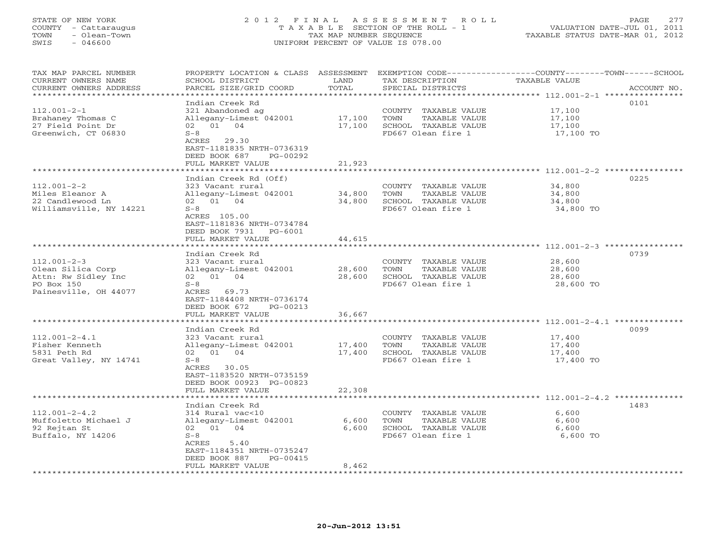## STATE OF NEW YORK 2 0 1 2 F I N A L A S S E S S M E N T R O L L PAGE 277 COUNTY - Cattaraugus T A X A B L E SECTION OF THE ROLL - 1 VALUATION DATE-JUL 01, 2011 TOWN - Olean-Town TAX MAP NUMBER SEQUENCE TAXABLE STATUS DATE-MAR 01, 2012 SWIS - 046600 UNIFORM PERCENT OF VALUE IS 078.00UNIFORM PERCENT OF VALUE IS 078.00

| TAX MAP PARCEL NUMBER<br>CURRENT OWNERS NAME<br>CURRENT OWNERS ADDRESS                               | PROPERTY LOCATION & CLASS<br>SCHOOL DISTRICT<br>PARCEL SIZE/GRID COORD                                                                                         | ASSESSMENT<br>LAND<br>TOTAL | TAX DESCRIPTION<br>SPECIAL DISTRICTS                                                        | EXEMPTION CODE-----------------COUNTY-------TOWN------SCHOOL<br><b>TAXABLE VALUE</b> | ACCOUNT NO. |
|------------------------------------------------------------------------------------------------------|----------------------------------------------------------------------------------------------------------------------------------------------------------------|-----------------------------|---------------------------------------------------------------------------------------------|--------------------------------------------------------------------------------------|-------------|
|                                                                                                      | Indian Creek Rd                                                                                                                                                | *******                     |                                                                                             | ********* 112.001-2-1 *****************                                              | 0101        |
| $112.001 - 2 - 1$<br>Brahaney Thomas C<br>27 Field Point Dr<br>Greenwich, CT 06830                   | 321 Abandoned ag<br>Allegany-Limest 042001<br>02 01 04<br>$S-8$<br>ACRES 29.30                                                                                 | 17,100<br>17,100            | COUNTY TAXABLE VALUE<br>TOWN<br>TAXABLE VALUE<br>SCHOOL TAXABLE VALUE<br>FD667 Olean fire 1 | 17,100<br>17,100<br>17,100<br>17,100 TO                                              |             |
|                                                                                                      | EAST-1181835 NRTH-0736319<br>DEED BOOK 687<br>PG-00292<br>FULL MARKET VALUE<br>* * * * * * * * * * * * * * * * *                                               | 21,923<br>********          |                                                                                             | ****************** 112.001-2-2 ***********                                           |             |
|                                                                                                      | Indian Creek Rd (Off)                                                                                                                                          |                             |                                                                                             |                                                                                      | 0225        |
| $112.001 - 2 - 2$<br>Miles Eleanor A<br>22 Candlewood Ln<br>Williamsville, NY 14221                  | 323 Vacant rural<br>Allegany-Limest 042001<br>02 01 04<br>$S-8$<br>ACRES 105.00<br>EAST-1181836 NRTH-0734784<br>DEED BOOK 7931<br>$PG-6001$                    | 34,800<br>34,800            | COUNTY TAXABLE VALUE<br>TAXABLE VALUE<br>TOWN<br>SCHOOL TAXABLE VALUE<br>FD667 Olean fire 1 | 34,800<br>34,800<br>34,800<br>34,800 TO                                              |             |
|                                                                                                      | FULL MARKET VALUE                                                                                                                                              | 44,615                      |                                                                                             |                                                                                      |             |
|                                                                                                      | *****************                                                                                                                                              | *********                   |                                                                                             | ****************** 112.001-2-3 ***********                                           | 0739        |
| $112.001 - 2 - 3$<br>Olean Silica Corp<br>Attn: Rw Sidley Inc<br>PO Box 150<br>Painesville, OH 44077 | Indian Creek Rd<br>323 Vacant rural<br>Allegany-Limest 042001<br>02 01 04<br>$S-8$<br>ACRES<br>69.73<br>EAST-1184408 NRTH-0736174<br>DEED BOOK 672<br>PG-00213 | 28,600<br>28,600            | COUNTY TAXABLE VALUE<br>TOWN<br>TAXABLE VALUE<br>SCHOOL TAXABLE VALUE<br>FD667 Olean fire 1 | 28,600<br>28,600<br>28,600<br>28,600 TO                                              |             |
|                                                                                                      | FULL MARKET VALUE                                                                                                                                              | 36,667                      |                                                                                             |                                                                                      |             |
|                                                                                                      | Indian Creek Rd                                                                                                                                                |                             |                                                                                             | ********** $112.001 - 2 - 4.1$                                                       | 0099        |
| $112.001 - 2 - 4.1$<br>Fisher Kenneth<br>5831 Peth Rd<br>Great Valley, NY 14741                      | 323 Vacant rural<br>Allegany-Limest 042001<br>02 01 04<br>$S-8$<br>ACRES 30.05<br>EAST-1183520 NRTH-0735159                                                    | 17,400<br>17,400            | COUNTY TAXABLE VALUE<br>TOWN<br>TAXABLE VALUE<br>SCHOOL TAXABLE VALUE<br>FD667 Olean fire 1 | 17,400<br>17,400<br>17,400<br>17,400 TO                                              |             |
|                                                                                                      | DEED BOOK 00923 PG-00823<br>FULL MARKET VALUE                                                                                                                  | 22,308                      |                                                                                             |                                                                                      |             |
|                                                                                                      |                                                                                                                                                                |                             |                                                                                             | ************** 112.001-2-4.2 *********                                               |             |
| $112.001 - 2 - 4.2$<br>Muffoletto Michael J<br>92 Rejtan St<br>Buffalo, NY 14206                     | Indian Creek Rd<br>314 Rural vac<10<br>Allegany-Limest 042001<br>02 01 04<br>$S-8$<br>ACRES<br>5.40<br>EAST-1184351 NRTH-0735247<br>DEED BOOK 887<br>PG-00415  | 6,600<br>6,600              | COUNTY TAXABLE VALUE<br>TOWN<br>TAXABLE VALUE<br>SCHOOL TAXABLE VALUE<br>FD667 Olean fire 1 | 6,600<br>6,600<br>6,600<br>6,600 TO                                                  | 1483        |
|                                                                                                      | FULL MARKET VALUE                                                                                                                                              | 8,462                       |                                                                                             |                                                                                      |             |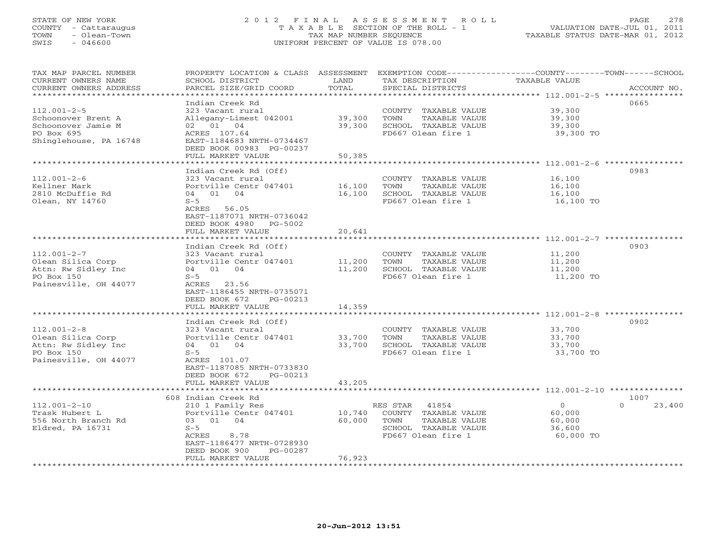# STATE OF NEW YORK 2 0 1 2 F I N A L A S S E S S M E N T R O L L PAGE 278 COUNTY - Cattaraugus T A X A B L E SECTION OF THE ROLL - 1 VALUATION DATE-JUL 01, 2011 TOWN - Olean-Town TAX MAP NUMBER SEQUENCE TAXABLE STATUS DATE-MAR 01, 2012 SWIS - 046600 UNIFORM PERCENT OF VALUE IS 078.00UNIFORM PERCENT OF VALUE IS 078.00

| TAX MAP PARCEL NUMBER          | PROPERTY LOCATION & CLASS ASSESSMENT |        | EXEMPTION CODE-----------------COUNTY-------TOWN------SCHOOL |                     |                    |
|--------------------------------|--------------------------------------|--------|--------------------------------------------------------------|---------------------|--------------------|
| CURRENT OWNERS NAME            | SCHOOL DISTRICT                      | LAND   | TAX DESCRIPTION                                              | TAXABLE VALUE       |                    |
| CURRENT OWNERS ADDRESS         | PARCEL SIZE/GRID COORD               | TOTAL  | SPECIAL DISTRICTS                                            |                     | ACCOUNT NO.        |
| ***********************        |                                      |        |                                                              |                     |                    |
|                                | Indian Creek Rd                      |        |                                                              |                     | 0665               |
| $112.001 - 2 - 5$              | 323 Vacant rural                     |        | COUNTY TAXABLE VALUE                                         | 39,300              |                    |
| Schoonover Brent A             | Allegany-Limest 042001               | 39,300 | TOWN<br>TAXABLE VALUE                                        | 39,300              |                    |
| Schoonover Jamie M             | 02 01 04                             | 39,300 | SCHOOL TAXABLE VALUE                                         | 39,300              |                    |
| PO Box 695                     | ACRES 107.64                         |        | FD667 Olean fire 1                                           | 39,300 TO           |                    |
| Shinglehouse, PA 16748         | EAST-1184683 NRTH-0734467            |        |                                                              |                     |                    |
|                                | DEED BOOK 00983 PG-00237             |        |                                                              |                     |                    |
|                                | FULL MARKET VALUE                    | 50,385 |                                                              |                     |                    |
|                                | Indian Creek Rd (Off)                |        |                                                              |                     | 0983               |
| $112.001 - 2 - 6$              | 323 Vacant rural                     |        | COUNTY TAXABLE VALUE 16,100                                  |                     |                    |
| Kellner Mark                   | Portville Centr 047401 16,100        |        | TOWN<br>TAXABLE VALUE                                        | 16,100              |                    |
| 2810 McDuffie Rd               | 04 01 04                             | 16,100 | SCHOOL TAXABLE VALUE                                         | 16,100              |                    |
| Olean, NY 14760                | $S-5$                                |        | FD667 Olean fire 1                                           | 16,100 TO           |                    |
|                                | ACRES 56.05                          |        |                                                              |                     |                    |
|                                | EAST-1187071 NRTH-0736042            |        |                                                              |                     |                    |
|                                | DEED BOOK 4980<br>PG-5002            |        |                                                              |                     |                    |
|                                | FULL MARKET VALUE                    | 20,641 |                                                              |                     |                    |
|                                |                                      |        |                                                              |                     |                    |
|                                | Indian Creek Rd (Off)                |        |                                                              |                     | 0903               |
| $112.001 - 2 - 7$              | 323 Vacant rural                     |        | COUNTY TAXABLE VALUE                                         | 11,200              |                    |
| Olean Silica Corp              | Portville Centr 047401 11,200        |        | TOWN<br>TAXABLE VALUE                                        | 11,200              |                    |
| Attn: Rw Sidley Inc            | 04 01 04                             | 11,200 | SCHOOL TAXABLE VALUE                                         | 11,200              |                    |
| PO Box 150                     | $S-5$                                |        | FD667 Olean fire 1                                           | 11,200 TO           |                    |
| Painesville, OH 44077          | ACRES 23.56                          |        |                                                              |                     |                    |
|                                | EAST-1186455 NRTH-0735071            |        |                                                              |                     |                    |
|                                | DEED BOOK 672<br>PG-00213            |        |                                                              |                     |                    |
|                                | FULL MARKET VALUE                    | 14,359 |                                                              |                     |                    |
| ****************************** |                                      |        |                                                              |                     |                    |
|                                | Indian Creek Rd (Off)                |        |                                                              |                     | 0902               |
| $112.001 - 2 - 8$              | 323 Vacant rural                     |        | COUNTY TAXABLE VALUE                                         | 33,700              |                    |
| Olean Silica Corp              | Portville Centr 047401 33,700        |        | TOWN<br>TAXABLE VALUE                                        | 33,700              |                    |
| Attn: Rw Sidley Inc            | 04 01 04                             | 33,700 | SCHOOL TAXABLE VALUE                                         | 33,700              |                    |
| PO Box 150                     | $S-5$                                |        | FD667 Olean fire 1                                           | 33,700 TO           |                    |
| Painesville, OH 44077          | ACRES 101.07                         |        |                                                              |                     |                    |
|                                | EAST-1187085 NRTH-0733830            |        |                                                              |                     |                    |
|                                | DEED BOOK 672<br>PG-00213            |        |                                                              |                     |                    |
|                                | FULL MARKET VALUE                    | 43,205 |                                                              |                     |                    |
|                                |                                      |        |                                                              |                     |                    |
|                                | 608 Indian Creek Rd                  |        |                                                              |                     | 1007               |
| $112.001 - 2 - 10$             | 210 1 Family Res                     |        | RES STAR 41854                                               | $\Omega$            | $\Omega$<br>23,400 |
| Trask Hubert L                 | Portville Centr 047401               | 10,740 | COUNTY TAXABLE VALUE                                         | 60,000              |                    |
| 556 North Branch Rd            | 03 01 04<br>$S-5$                    | 60,000 | TOWN<br>TAXABLE VALUE<br>SCHOOL TAXABLE VALUE                | 60,000              |                    |
| Eldred, PA 16731               | 8.78<br>ACRES                        |        | FD667 Olean fire 1                                           | 36,600<br>60,000 TO |                    |
|                                | EAST-1186477 NRTH-0728930            |        |                                                              |                     |                    |
|                                | DEED BOOK 900<br>PG-00287            |        |                                                              |                     |                    |
|                                | FULL MARKET VALUE                    | 76,923 |                                                              |                     |                    |
|                                | ***********************              |        | ******************************                               |                     |                    |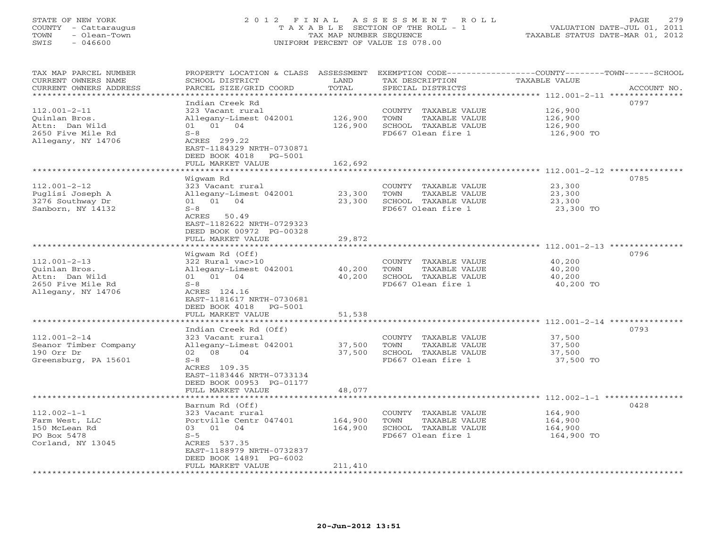## STATE OF NEW YORK 2 0 1 2 F I N A L A S S E S S M E N T R O L L PAGE 279 COUNTY - Cattaraugus T A X A B L E SECTION OF THE ROLL - 1 VALUATION DATE-JUL 01, 2011 TOWN - Olean-Town TAX MAP NUMBER SEQUENCE TAXABLE STATUS DATE-MAR 01, 2012 SWIS - 046600 UNIFORM PERCENT OF VALUE IS 078.00UNIFORM PERCENT OF VALUE IS 078.00

| TAX MAP PARCEL NUMBER<br>CURRENT OWNERS NAME<br>CURRENT OWNERS ADDRESS | PROPERTY LOCATION & CLASS ASSESSMENT<br>SCHOOL DISTRICT<br>PARCEL SIZE/GRID COORD | LAND<br>TOTAL       | TAX DESCRIPTION<br>SPECIAL DISTRICTS          | EXEMPTION CODE-----------------COUNTY-------TOWN------SCHOOL<br>TAXABLE VALUE<br>ACCOUNT NO. |
|------------------------------------------------------------------------|-----------------------------------------------------------------------------------|---------------------|-----------------------------------------------|----------------------------------------------------------------------------------------------|
| *******************                                                    | * * * * * * * * * * * * * * * *                                                   | * * * * * * * * * * |                                               | ************************************** 112.001-2-11 ****************                         |
|                                                                        | Indian Creek Rd                                                                   |                     |                                               | 0797                                                                                         |
| $112.001 - 2 - 11$                                                     | 323 Vacant rural                                                                  |                     | COUNTY TAXABLE VALUE                          | 126,900                                                                                      |
| Ouinlan Bros.                                                          | Allegany-Limest 042001                                                            | 126,900             | TOWN<br>TAXABLE VALUE                         | 126,900                                                                                      |
| Attn: Dan Wild                                                         | 01 01 04                                                                          | 126,900             | SCHOOL TAXABLE VALUE                          | 126,900                                                                                      |
| 2650 Five Mile Rd                                                      | $S-8$                                                                             |                     | FD667 Olean fire 1                            | 126,900 TO                                                                                   |
| Allegany, NY 14706                                                     | ACRES 299.22                                                                      |                     |                                               |                                                                                              |
|                                                                        | EAST-1184329 NRTH-0730871                                                         |                     |                                               |                                                                                              |
|                                                                        | DEED BOOK 4018<br>PG-5001                                                         |                     |                                               |                                                                                              |
|                                                                        | FULL MARKET VALUE                                                                 | 162,692             |                                               |                                                                                              |
|                                                                        |                                                                                   |                     |                                               | **************** 112.001-2-12 *********                                                      |
| $112.001 - 2 - 12$                                                     | Wigwam Rd<br>323 Vacant rural                                                     |                     |                                               | 0785<br>23,300                                                                               |
| Puglisi Joseph A                                                       | Allegany-Limest 042001                                                            | 23,300              | COUNTY TAXABLE VALUE<br>TAXABLE VALUE<br>TOWN | 23,300                                                                                       |
| 3276 Southway Dr                                                       | 01 01 04                                                                          | 23,300              | SCHOOL TAXABLE VALUE                          | 23,300                                                                                       |
| Sanborn, NY 14132                                                      | $S-8$                                                                             |                     | FD667 Olean fire 1                            | 23,300 TO                                                                                    |
|                                                                        | ACRES<br>50.49                                                                    |                     |                                               |                                                                                              |
|                                                                        | EAST-1182622 NRTH-0729323                                                         |                     |                                               |                                                                                              |
|                                                                        | DEED BOOK 00972 PG-00328                                                          |                     |                                               |                                                                                              |
|                                                                        | FULL MARKET VALUE                                                                 | 29,872              |                                               |                                                                                              |
|                                                                        |                                                                                   |                     |                                               |                                                                                              |
|                                                                        | Wigwam Rd (Off)                                                                   |                     |                                               | 0796                                                                                         |
| $112.001 - 2 - 13$                                                     | 322 Rural vac>10                                                                  |                     | COUNTY TAXABLE VALUE                          | 40,200                                                                                       |
| Quinlan Bros.                                                          | Allegany-Limest 042001                                                            | 40,200              | TAXABLE VALUE<br>TOWN                         | 40,200                                                                                       |
| Attn: Dan Wild                                                         | 01 04<br>01                                                                       | 40,200              | SCHOOL TAXABLE VALUE                          | 40,200                                                                                       |
| 2650 Five Mile Rd                                                      | $S-8$                                                                             |                     | FD667 Olean fire 1                            | 40,200 TO                                                                                    |
| Allegany, NY 14706                                                     | ACRES 124.16                                                                      |                     |                                               |                                                                                              |
|                                                                        | EAST-1181617 NRTH-0730681                                                         |                     |                                               |                                                                                              |
|                                                                        | DEED BOOK 4018<br>PG-5001                                                         |                     |                                               |                                                                                              |
|                                                                        | FULL MARKET VALUE                                                                 | 51,538              |                                               |                                                                                              |
|                                                                        | Indian Creek Rd (Off)                                                             |                     |                                               | 0793                                                                                         |
| $112.001 - 2 - 14$                                                     | 323 Vacant rural                                                                  |                     | COUNTY TAXABLE VALUE                          | 37,500                                                                                       |
| Seanor Timber Company                                                  | Allegany-Limest 042001                                                            | 37,500              | TOWN<br>TAXABLE VALUE                         | 37,500                                                                                       |
| 190 Orr Dr                                                             | 08<br>04<br>02                                                                    | 37,500              | SCHOOL TAXABLE VALUE                          | 37,500                                                                                       |
| Greensburg, PA 15601                                                   | $S - 8$                                                                           |                     | FD667 Olean fire 1                            | 37,500 TO                                                                                    |
|                                                                        | ACRES 109.35                                                                      |                     |                                               |                                                                                              |
|                                                                        | EAST-1183446 NRTH-0733134                                                         |                     |                                               |                                                                                              |
|                                                                        | DEED BOOK 00953 PG-01177                                                          |                     |                                               |                                                                                              |
|                                                                        | FULL MARKET VALUE                                                                 | 48,077              |                                               |                                                                                              |
|                                                                        | ***********************                                                           |                     |                                               |                                                                                              |
|                                                                        | Barnum Rd (Off)                                                                   |                     |                                               | 0428                                                                                         |
| $112.002 - 1 - 1$                                                      | 323 Vacant rural                                                                  |                     | COUNTY TAXABLE VALUE                          | 164,900                                                                                      |
| Farm West, LLC                                                         | Portville Centr 047401                                                            | 164,900             | TOWN<br>TAXABLE VALUE                         | 164,900                                                                                      |
| 150 McLean Rd                                                          | 03 01<br>04                                                                       | 164,900             | SCHOOL TAXABLE VALUE                          | 164,900                                                                                      |
| PO Box 5478                                                            | $S-5$                                                                             |                     | FD667 Olean fire 1                            | 164,900 TO                                                                                   |
| Corland, NY 13045                                                      | ACRES 537.35<br>EAST-1188979 NRTH-0732837                                         |                     |                                               |                                                                                              |
|                                                                        | DEED BOOK 14891 PG-6002                                                           |                     |                                               |                                                                                              |
|                                                                        | FULL MARKET VALUE                                                                 | 211,410             |                                               |                                                                                              |
|                                                                        |                                                                                   |                     |                                               |                                                                                              |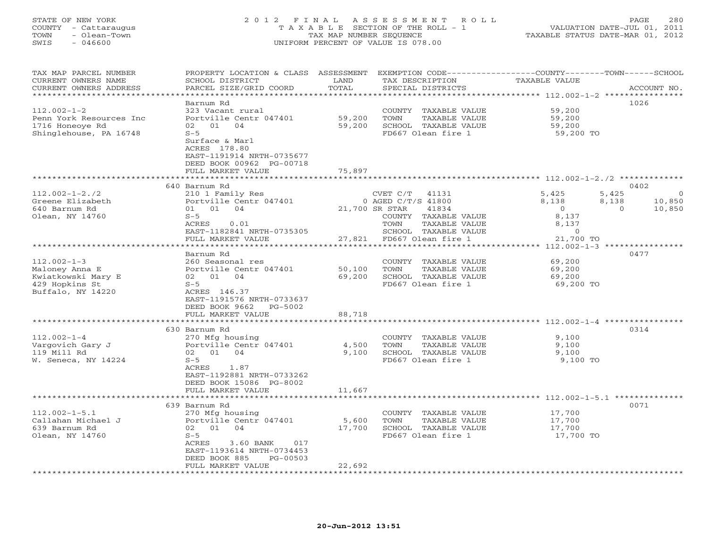## STATE OF NEW YORK 2 0 1 2 F I N A L A S S E S S M E N T R O L L PAGE 280 COUNTY - Cattaraugus T A X A B L E SECTION OF THE ROLL - 1 VALUATION DATE-JUL 01, 2011 TOWN - Olean-Town TAX MAP NUMBER SEQUENCE TAXABLE STATUS DATE-MAR 01, 2012 SWIS - 046600 UNIFORM PERCENT OF VALUE IS 078.00UNIFORM PERCENT OF VALUE IS 078.00

| TAX MAP PARCEL NUMBER   | PROPERTY LOCATION & CLASS ASSESSMENT |                | EXEMPTION CODE-----------------COUNTY-------TOWN------SCHOOL |                                                       |                    |
|-------------------------|--------------------------------------|----------------|--------------------------------------------------------------|-------------------------------------------------------|--------------------|
| CURRENT OWNERS NAME     | SCHOOL DISTRICT                      | LAND           | TAX DESCRIPTION                                              | TAXABLE VALUE                                         |                    |
| CURRENT OWNERS ADDRESS  | PARCEL SIZE/GRID COORD               | TOTAL          | SPECIAL DISTRICTS                                            |                                                       | ACCOUNT NO.        |
|                         |                                      |                |                                                              | ****************** 112.002-1-2 *****************      |                    |
|                         | Barnum Rd                            |                |                                                              |                                                       | 1026               |
| $112.002 - 1 - 2$       | 323 Vacant rural                     |                | COUNTY TAXABLE VALUE                                         | 59,200                                                |                    |
| Penn York Resources Inc | Portville Centr 047401               | 59,200         | TOWN<br>TAXABLE VALUE                                        | 59,200                                                |                    |
| 1716 Honeoye Rd         | 02 01 04                             | 59,200         | SCHOOL TAXABLE VALUE                                         | 59,200                                                |                    |
| Shinglehouse, PA 16748  | $S - 5$                              |                | FD667 Olean fire 1                                           | 59,200 TO                                             |                    |
|                         | Surface & Marl                       |                |                                                              |                                                       |                    |
|                         | ACRES 178.80                         |                |                                                              |                                                       |                    |
|                         | EAST-1191914 NRTH-0735677            |                |                                                              |                                                       |                    |
|                         | DEED BOOK 00962 PG-00718             |                |                                                              |                                                       |                    |
|                         | FULL MARKET VALUE                    | 75,897         |                                                              |                                                       |                    |
|                         |                                      |                |                                                              |                                                       |                    |
|                         | 640 Barnum Rd                        |                |                                                              |                                                       | 0402               |
| $112.002 - 1 - 2.72$    | 210 1 Family Res                     |                | CVET C/T 41131                                               | 5,425                                                 | 5,425<br>$\Omega$  |
| Greene Elizabeth        | Portville Centr 047401               |                | $0$ AGED C/T/S 41800                                         | 8,138                                                 | 8,138<br>10,850    |
| 640 Barnum Rd           | 01 01 04                             | 21,700 SR STAR | 41834                                                        | $\overline{0}$                                        | $\Omega$<br>10,850 |
| Olean, NY 14760         | $S-5$                                |                | COUNTY TAXABLE VALUE                                         | 8,137                                                 |                    |
|                         | ACRES<br>0.01                        |                | TAXABLE VALUE<br>TOWN                                        | 8,137                                                 |                    |
|                         | EAST-1182841 NRTH-0735305            |                | SCHOOL TAXABLE VALUE                                         | $\overline{0}$                                        |                    |
|                         | FULL MARKET VALUE                    |                | 27,821 FD667 Olean fire 1                                    | 21,700 TO                                             |                    |
|                         | ***********************              |                |                                                              |                                                       |                    |
|                         | Barnum Rd                            |                |                                                              |                                                       | 0477               |
| $112.002 - 1 - 3$       | 260 Seasonal res                     |                | COUNTY TAXABLE VALUE                                         | 69,200                                                |                    |
| Maloney Anna E          | Portville Centr 047401               | 50,100         | TOWN<br>TAXABLE VALUE                                        | 69,200                                                |                    |
| Kwiatkowski Mary E      | 02 01 04                             | 69,200         | SCHOOL TAXABLE VALUE                                         | 69,200                                                |                    |
| 429 Hopkins St          | $S-5$                                |                | FD667 Olean fire 1                                           | 69,200 TO                                             |                    |
| Buffalo, NY 14220       | ACRES 146.37                         |                |                                                              |                                                       |                    |
|                         | EAST-1191576 NRTH-0733637            |                |                                                              |                                                       |                    |
|                         | DEED BOOK 9662 PG-5002               |                |                                                              |                                                       |                    |
|                         | FULL MARKET VALUE                    | 88,718         |                                                              |                                                       |                    |
|                         |                                      |                |                                                              |                                                       | 0314               |
| $112.002 - 1 - 4$       | 630 Barnum Rd<br>270 Mfg housing     |                | COUNTY TAXABLE VALUE                                         | 9.100                                                 |                    |
| Vargovich Gary J        | Portville Centr 047401               | 4,500          | TAXABLE VALUE<br>TOWN                                        | 9,100                                                 |                    |
| 119 Mill Rd             | 02 01 04                             | 9,100          | SCHOOL TAXABLE VALUE                                         | 9,100                                                 |                    |
| W. Seneca, NY 14224     | $S-5$                                |                | FD667 Olean fire 1                                           | 9,100 TO                                              |                    |
|                         | ACRES 1.87                           |                |                                                              |                                                       |                    |
|                         | EAST-1192881 NRTH-0733262            |                |                                                              |                                                       |                    |
|                         | DEED BOOK 15086 PG-8002              |                |                                                              |                                                       |                    |
|                         | FULL MARKET VALUE                    | 11,667         |                                                              |                                                       |                    |
|                         |                                      |                |                                                              | ************************ 112.002-1-5.1 ************** |                    |
|                         | 639 Barnum Rd                        |                |                                                              |                                                       | 0071               |
| $112.002 - 1 - 5.1$     | 270 Mfg housing                      |                | COUNTY TAXABLE VALUE                                         | 17,700                                                |                    |
| Callahan Michael J      | Portville Centr 047401               | 5,600          | TOWN<br>TAXABLE VALUE                                        | 17,700                                                |                    |
| 639 Barnum Rd           | 02 01 04                             | 17,700         | SCHOOL TAXABLE VALUE                                         | 17,700                                                |                    |
| Olean, NY 14760         | $S-5$                                |                | FD667 Olean fire 1                                           | 17,700 TO                                             |                    |
|                         | 3.60 BANK<br>017<br>ACRES            |                |                                                              |                                                       |                    |
|                         | EAST-1193614 NRTH-0734453            |                |                                                              |                                                       |                    |
|                         | DEED BOOK 885<br>PG-00503            |                |                                                              |                                                       |                    |
|                         | FULL MARKET VALUE                    | 22,692         |                                                              |                                                       |                    |
|                         |                                      |                |                                                              |                                                       |                    |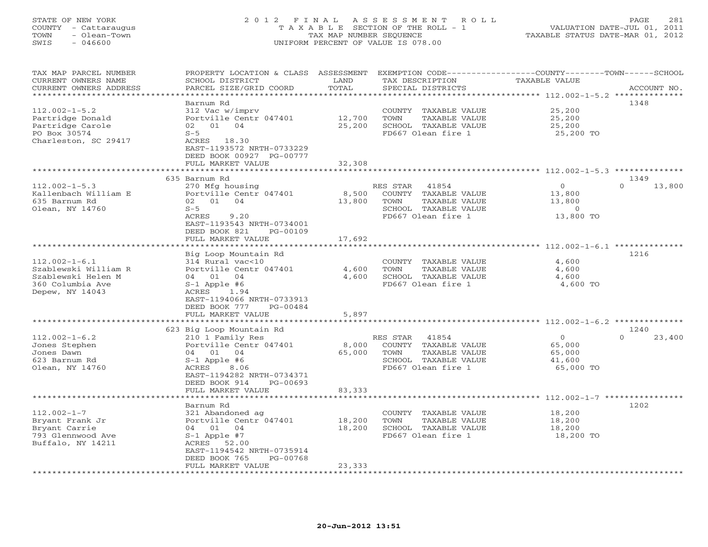# STATE OF NEW YORK 2 0 1 2 F I N A L A S S E S S M E N T R O L L PAGE 281 COUNTY - Cattaraugus T A X A B L E SECTION OF THE ROLL - 1 VALUATION DATE-JUL 01, 2011 TOWN - Olean-Town TAX MAP NUMBER SEQUENCE TAXABLE STATUS DATE-MAR 01, 2012 SWIS - 046600 UNIFORM PERCENT OF VALUE IS 078.00UNIFORM PERCENT OF VALUE IS 078.00

| TAX MAP PARCEL NUMBER<br>CURRENT OWNERS NAME | PROPERTY LOCATION & CLASS ASSESSMENT<br>SCHOOL DISTRICT | LAND                            | TAX DESCRIPTION         | EXEMPTION CODE----------------COUNTY-------TOWN------SCHOOL<br><b>TAXABLE VALUE</b> |  |
|----------------------------------------------|---------------------------------------------------------|---------------------------------|-------------------------|-------------------------------------------------------------------------------------|--|
| CURRENT OWNERS ADDRESS                       | PARCEL SIZE/GRID COORD                                  | TOTAL                           | SPECIAL DISTRICTS       | ACCOUNT NO.                                                                         |  |
| *********************                        |                                                         | * * * * * * * * * * * * * * * * |                         |                                                                                     |  |
|                                              | Barnum Rd                                               |                                 |                         | 1348                                                                                |  |
| $112.002 - 1 - 5.2$                          | 312 Vac w/imprv                                         |                                 | COUNTY TAXABLE VALUE    | 25,200                                                                              |  |
| Partridge Donald                             | Portville Centr 047401                                  | 12,700                          | TOWN<br>TAXABLE VALUE   | 25,200                                                                              |  |
| Partridge Carole                             | 02 01 04                                                | 25,200                          | SCHOOL TAXABLE VALUE    | 25,200                                                                              |  |
| PO Box 30574                                 | $S-5$                                                   |                                 | FD667 Olean fire 1      | 25,200 TO                                                                           |  |
| Charleston, SC 29417                         | ACRES 18.30                                             |                                 |                         |                                                                                     |  |
|                                              | EAST-1193572 NRTH-0733229                               |                                 |                         |                                                                                     |  |
|                                              | DEED BOOK 00927 PG-00777                                |                                 |                         |                                                                                     |  |
|                                              | FULL MARKET VALUE                                       | 32,308                          |                         |                                                                                     |  |
|                                              |                                                         |                                 |                         |                                                                                     |  |
|                                              | 635 Barnum Rd                                           |                                 |                         | 1349                                                                                |  |
| $112.002 - 1 - 5.3$                          | 270 Mfg housing                                         |                                 | RES STAR<br>41854       | $\mathbf{0}$<br>$\Omega$<br>13,800                                                  |  |
| Kallenbach William E                         | Portville Centr 047401                                  | 8,500                           | COUNTY<br>TAXABLE VALUE | 13,800                                                                              |  |
| 635 Barnum Rd                                | 02 01<br>04                                             | 13,800                          | TOWN<br>TAXABLE VALUE   | 13,800                                                                              |  |
| Olean, NY 14760                              | $S-5$                                                   |                                 | SCHOOL TAXABLE VALUE    | $\circ$                                                                             |  |
|                                              | 9.20<br>ACRES                                           |                                 | FD667 Olean fire 1      | 13,800 TO                                                                           |  |
|                                              | EAST-1193543 NRTH-0734001                               |                                 |                         |                                                                                     |  |
|                                              | DEED BOOK 821<br>PG-00109                               |                                 |                         |                                                                                     |  |
|                                              | FULL MARKET VALUE                                       | 17,692                          |                         |                                                                                     |  |
|                                              |                                                         |                                 |                         |                                                                                     |  |
|                                              | Big Loop Mountain Rd                                    |                                 |                         | 1216                                                                                |  |
| $112.002 - 1 - 6.1$                          | 314 Rural vac<10                                        |                                 | COUNTY TAXABLE VALUE    | 4,600                                                                               |  |
| Szablewski William R                         | Portville Centr 047401                                  | 4,600                           | TAXABLE VALUE<br>TOWN   | 4,600                                                                               |  |
| Szablewski Helen M                           | 04 01<br>04                                             | 4,600                           | SCHOOL TAXABLE VALUE    | 4,600                                                                               |  |
| 360 Columbia Ave                             | $S-1$ Apple #6                                          |                                 | FD667 Olean fire 1      | 4,600 TO                                                                            |  |
| Depew, NY 14043                              | ACRES<br>1.94                                           |                                 |                         |                                                                                     |  |
|                                              | EAST-1194066 NRTH-0733913                               |                                 |                         |                                                                                     |  |
|                                              | DEED BOOK 777<br>PG-00484                               |                                 |                         |                                                                                     |  |
|                                              | FULL MARKET VALUE                                       | 5,897                           |                         |                                                                                     |  |
|                                              |                                                         | ***********                     |                         | ************ 112.002-1-6.2 *********                                                |  |
|                                              | 623 Big Loop Mountain Rd                                |                                 |                         | 1240                                                                                |  |
| $112.002 - 1 - 6.2$                          | 210 1 Family Res                                        |                                 | 41854<br>RES STAR       | $\circ$<br>$\cap$<br>23,400                                                         |  |
| Jones Stephen                                | Portville Centr 047401                                  | 8,000                           | COUNTY TAXABLE VALUE    | 65,000                                                                              |  |
| Jones Dawn                                   | 04 01<br>04                                             | 65,000                          | TOWN<br>TAXABLE VALUE   | 65,000                                                                              |  |
| 623 Barnum Rd                                | $S-1$ Apple #6                                          |                                 | SCHOOL TAXABLE VALUE    | 41,600                                                                              |  |
| Olean, NY 14760                              | ACRES<br>8.06                                           |                                 | FD667 Olean fire 1      | 65,000 TO                                                                           |  |
|                                              | EAST-1194282 NRTH-0734371                               |                                 |                         |                                                                                     |  |
|                                              | DEED BOOK 914<br>PG-00693                               |                                 |                         |                                                                                     |  |
|                                              | FULL MARKET VALUE                                       | 83,333                          |                         |                                                                                     |  |
|                                              |                                                         |                                 |                         | ************************ 112.002-1-7 ****************                               |  |
|                                              | Barnum Rd                                               |                                 |                         | 1202                                                                                |  |
| $112.002 - 1 - 7$                            | 321 Abandoned ag                                        |                                 | COUNTY TAXABLE VALUE    | 18,200                                                                              |  |
| Bryant Frank Jr                              | Portville Centr 047401                                  | 18,200                          | TOWN<br>TAXABLE VALUE   | 18,200                                                                              |  |
| Bryant Carrie                                | 04 01<br>04                                             | 18,200                          | SCHOOL TAXABLE VALUE    | 18,200                                                                              |  |
| 793 Glennwood Ave                            | $S-1$ Apple #7                                          |                                 | FD667 Olean fire 1      | 18,200 TO                                                                           |  |
| Buffalo, NY 14211                            | ACRES 52.00                                             |                                 |                         |                                                                                     |  |
|                                              | EAST-1194542 NRTH-0735914                               |                                 |                         |                                                                                     |  |
|                                              | DEED BOOK 765<br>PG-00768                               |                                 |                         |                                                                                     |  |
|                                              | FULL MARKET VALUE                                       | 23,333                          |                         |                                                                                     |  |
|                                              |                                                         |                                 |                         |                                                                                     |  |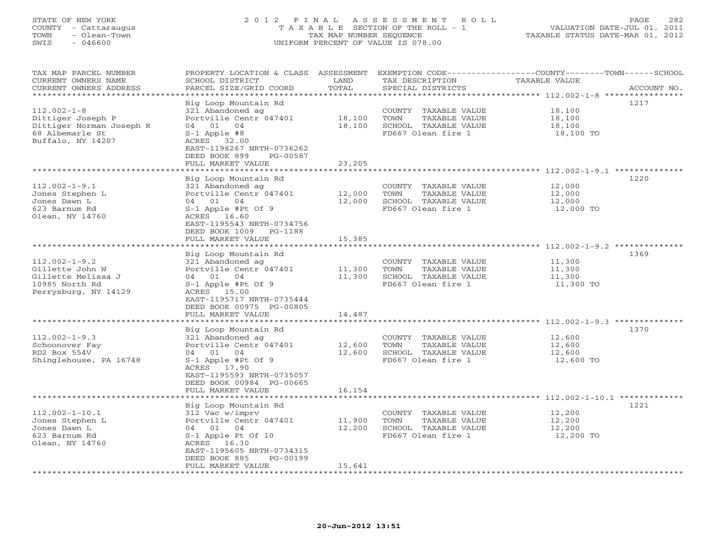## STATE OF NEW YORK 2 0 1 2 F I N A L A S S E S S M E N T R O L L PAGE 282 COUNTY - Cattaraugus T A X A B L E SECTION OF THE ROLL - 1 VALUATION DATE-JUL 01, 2011 TOWN - Olean-Town TAX MAP NUMBER SEQUENCE TAXABLE STATUS DATE-MAR 01, 2012 SWIS - 046600 UNIFORM PERCENT OF VALUE IS 078.00UNIFORM PERCENT OF VALUE IS 078.00

| TAX MAP PARCEL NUMBER<br>CURRENT OWNERS NAME<br>CURRENT OWNERS ADDRESS                                                              | PROPERTY LOCATION & CLASS<br>SCHOOL DISTRICT<br>PARCEL SIZE/GRID COORD                                                                                                          | ASSESSMENT<br>LAND<br>TOTAL | TAX DESCRIPTION<br>SPECIAL DISTRICTS                                                        | EXEMPTION CODE----------------COUNTY-------TOWN-----SCHOOL<br>TAXABLE VALUE<br>ACCOUNT NO. |
|-------------------------------------------------------------------------------------------------------------------------------------|---------------------------------------------------------------------------------------------------------------------------------------------------------------------------------|-----------------------------|---------------------------------------------------------------------------------------------|--------------------------------------------------------------------------------------------|
| *********************<br>$112.002 - 1 - 8$<br>Dittiger Joseph P<br>Dittiger Norman Joseph R<br>68 Albemarle St<br>Buffalo, NY 14207 | Big Loop Mountain Rd<br>321 Abandoned ag<br>Portville Centr 047401<br>04 01<br>04<br>$S-1$ Apple #8<br>ACRES 32.00                                                              | 18,100<br>18,100            | COUNTY TAXABLE VALUE<br>TOWN<br>TAXABLE VALUE<br>SCHOOL TAXABLE VALUE<br>FD667 Olean fire 1 | 1217<br>18,100<br>18,100<br>18,100<br>18,100 TO                                            |
|                                                                                                                                     | EAST-1196267 NRTH-0736262<br>DEED BOOK 899<br>PG-00587<br>FULL MARKET VALUE<br>*******************                                                                              | 23,205                      |                                                                                             |                                                                                            |
| $112.002 - 1 - 9.1$<br>Jones Stephen L<br>Jones Dawn L<br>623 Barnum Rd<br>Olean, NY 14760                                          | Big Loop Mountain Rd<br>321 Abandoned ag<br>Portville Centr 047401<br>04 01<br>04<br>S-1 Apple #Pt Of 9<br>ACRES 16.60<br>EAST-1195543 NRTH-0734756<br>DEED BOOK 1009 PG-1188   | 12,000<br>12,000            | COUNTY TAXABLE VALUE<br>TAXABLE VALUE<br>TOWN<br>SCHOOL TAXABLE VALUE<br>FD667 Olean fire 1 | 1220<br>12,000<br>12,000<br>12,000<br>12,000 TO                                            |
|                                                                                                                                     | FULL MARKET VALUE                                                                                                                                                               | 15,385                      |                                                                                             |                                                                                            |
| $112.002 - 1 - 9.2$<br>Gillette John W<br>Gillette Melissa J<br>10985 North Rd<br>Perrysburg, NY 14129                              | Big Loop Mountain Rd<br>321 Abandoned ag<br>Portville Centr 047401<br>04<br>04 01<br>S-1 Apple #Pt Of 9<br>ACRES 15.00<br>EAST-1195717 NRTH-0735444<br>DEED BOOK 00975 PG-00805 | 11,300<br>11,300            | COUNTY TAXABLE VALUE<br>TAXABLE VALUE<br>TOWN<br>SCHOOL TAXABLE VALUE<br>FD667 Olean fire 1 | 1369<br>11,300<br>11,300<br>11,300<br>11,300 TO                                            |
|                                                                                                                                     | FULL MARKET VALUE                                                                                                                                                               | 14,487                      |                                                                                             |                                                                                            |
| $112.002 - 1 - 9.3$<br>Schoonover Fay<br>RD2 Box 554V<br>Shinglehouse, PA 16748                                                     | Big Loop Mountain Rd<br>321 Abandoned ag<br>Portville Centr 047401<br>04 01<br>04<br>S-1 Apple #Pt Of 9<br>ACRES 17.90<br>EAST-1195593 NRTH-0735057<br>DEED BOOK 00984 PG-00665 | 12,600<br>12,600            | COUNTY TAXABLE VALUE<br>TOWN<br>TAXABLE VALUE<br>SCHOOL TAXABLE VALUE<br>FD667 Olean fire 1 | 1370<br>12,600<br>12,600<br>12,600<br>12,600 TO                                            |
|                                                                                                                                     | FULL MARKET VALUE                                                                                                                                                               | 16,154                      |                                                                                             |                                                                                            |
| $112.002 - 1 - 10.1$<br>Jones Stephen L<br>Jones Dawn L<br>623 Barnum Rd<br>Olean, NY 14760                                         | Big Loop Mountain Rd<br>312 Vac w/imprv<br>Portville Centr 047401<br>04 01<br>04<br>S-1 Apple Pt Of 10<br>ACRES 16.30<br>EAST-1195605 NRTH-0734315<br>DEED BOOK 885<br>PG-00199 | 11,900<br>12,200            | COUNTY TAXABLE VALUE<br>TOWN<br>TAXABLE VALUE<br>SCHOOL TAXABLE VALUE<br>FD667 Olean fire 1 | 1221<br>12,200<br>12,200<br>12,200<br>12,200 TO                                            |
| **********************                                                                                                              | FULL MARKET VALUE                                                                                                                                                               | 15,641                      |                                                                                             |                                                                                            |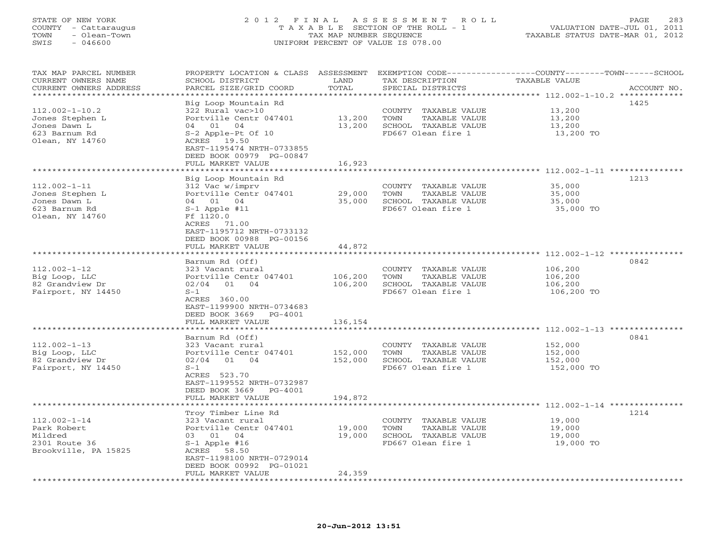## STATE OF NEW YORK 2 0 1 2 F I N A L A S S E S S M E N T R O L L PAGE 283 COUNTY - Cattaraugus T A X A B L E SECTION OF THE ROLL - 1 VALUATION DATE-JUL 01, 2011 TOWN - Olean-Town TAX MAP NUMBER SEQUENCE TAXABLE STATUS DATE-MAR 01, 2012 SWIS - 046600 UNIFORM PERCENT OF VALUE IS 078.00UNIFORM PERCENT OF VALUE IS 078.00

| TAX MAP PARCEL NUMBER  | PROPERTY LOCATION & CLASS ASSESSMENT |                     |                       | EXEMPTION CODE-----------------COUNTY-------TOWN------SCHOOL            |
|------------------------|--------------------------------------|---------------------|-----------------------|-------------------------------------------------------------------------|
| CURRENT OWNERS NAME    | SCHOOL DISTRICT                      | LAND<br>TOTAL       | TAX DESCRIPTION       | TAXABLE VALUE                                                           |
| CURRENT OWNERS ADDRESS | PARCEL SIZE/GRID COORD               | * * * * * * * *     | SPECIAL DISTRICTS     | ACCOUNT NO.<br>*************************** 112.002-1-10.2 ************* |
|                        |                                      |                     |                       | 1425                                                                    |
|                        | Big Loop Mountain Rd                 |                     |                       |                                                                         |
| $112.002 - 1 - 10.2$   | 322 Rural vac>10                     |                     | COUNTY TAXABLE VALUE  | 13,200                                                                  |
| Jones Stephen L        | Portville Centr 047401               | 13,200              | TOWN<br>TAXABLE VALUE | 13,200                                                                  |
| Jones Dawn L           | 04<br>04 01                          | 13,200              | SCHOOL TAXABLE VALUE  | 13,200                                                                  |
| 623 Barnum Rd          | S-2 Apple-Pt Of 10                   |                     | FD667 Olean fire 1    | 13,200 TO                                                               |
| Olean, NY 14760        | ACRES 19.50                          |                     |                       |                                                                         |
|                        | EAST-1195474 NRTH-0733855            |                     |                       |                                                                         |
|                        | DEED BOOK 00979 PG-00847             |                     |                       |                                                                         |
|                        | FULL MARKET VALUE                    | 16,923              |                       |                                                                         |
|                        | *********************                |                     |                       |                                                                         |
|                        | Big Loop Mountain Rd                 |                     |                       | 1213                                                                    |
| $112.002 - 1 - 11$     | 312 Vac w/imprv                      |                     | COUNTY TAXABLE VALUE  | 35,000                                                                  |
| Jones Stephen L        | Portville Centr 047401               | 29,000              | TOWN<br>TAXABLE VALUE | 35,000                                                                  |
| Jones Dawn L           | 04 01 04                             | 35,000              | SCHOOL TAXABLE VALUE  | 35,000                                                                  |
| 623 Barnum Rd          | $S-1$ Apple #11                      |                     | FD667 Olean fire 1    | 35,000 TO                                                               |
| Olean, NY 14760        | Ff 1120.0                            |                     |                       |                                                                         |
|                        | ACRES 71.00                          |                     |                       |                                                                         |
|                        | EAST-1195712 NRTH-0733132            |                     |                       |                                                                         |
|                        | DEED BOOK 00988 PG-00156             |                     |                       |                                                                         |
|                        | FULL MARKET VALUE                    | 44,872              |                       |                                                                         |
|                        |                                      |                     |                       |                                                                         |
|                        | Barnum Rd (Off)                      |                     |                       | 0842                                                                    |
| $112.002 - 1 - 12$     | 323 Vacant rural                     |                     | COUNTY TAXABLE VALUE  | 106,200                                                                 |
| Big Loop, LLC          | Portville Centr 047401               | 106,200             | TOWN<br>TAXABLE VALUE | 106,200                                                                 |
| 82 Grandview Dr        | 02/04<br>01 04                       | 106,200             | SCHOOL TAXABLE VALUE  | 106,200                                                                 |
| Fairport, NY 14450     | $S-1$                                |                     | FD667 Olean fire 1    | 106,200 TO                                                              |
|                        | ACRES 360.00                         |                     |                       |                                                                         |
|                        | EAST-1199900 NRTH-0734683            |                     |                       |                                                                         |
|                        | DEED BOOK 3669<br>PG-4001            |                     |                       |                                                                         |
|                        | FULL MARKET VALUE                    | 136,154             |                       |                                                                         |
|                        |                                      | * * * * * * * * * * |                       | *********************** 112.002-1-13 ****************                   |
|                        | Barnum Rd (Off)                      |                     |                       | 0841                                                                    |
| $112.002 - 1 - 13$     | 323 Vacant rural                     |                     | COUNTY TAXABLE VALUE  | 152,000                                                                 |
| Big Loop, LLC          | Portville Centr 047401               | 152,000             | TOWN<br>TAXABLE VALUE | 152,000                                                                 |
| 82 Grandview Dr        | 02/04 01 04                          | 152,000             | SCHOOL TAXABLE VALUE  | 152,000                                                                 |
| Fairport, NY 14450     | $S-1$                                |                     | FD667 Olean fire 1    | 152,000 TO                                                              |
|                        | ACRES 523.70                         |                     |                       |                                                                         |
|                        | EAST-1199552 NRTH-0732987            |                     |                       |                                                                         |
|                        | DEED BOOK 3669<br>PG-4001            |                     |                       |                                                                         |
|                        | FULL MARKET VALUE                    | 194,872             |                       |                                                                         |
|                        |                                      |                     |                       |                                                                         |
|                        | Troy Timber Line Rd                  |                     |                       | 1214                                                                    |
| $112.002 - 1 - 14$     | 323 Vacant rural                     |                     | COUNTY TAXABLE VALUE  | 19,000                                                                  |
| Park Robert            | Portville Centr 047401               | 19,000              | TOWN<br>TAXABLE VALUE | 19,000                                                                  |
| Mildred                | 03 01<br>04                          | 19,000              | SCHOOL TAXABLE VALUE  | 19,000                                                                  |
| 2301 Route 36          | $S-1$ Apple #16                      |                     | FD667 Olean fire 1    | 19,000 TO                                                               |
| Brookville, PA 15825   | ACRES<br>58.50                       |                     |                       |                                                                         |
|                        | EAST-1198100 NRTH-0729014            |                     |                       |                                                                         |
|                        | DEED BOOK 00992 PG-01021             |                     |                       |                                                                         |
|                        | FULL MARKET VALUE                    | 24,359              |                       |                                                                         |
| ********************** | *****************************        | *****************   |                       |                                                                         |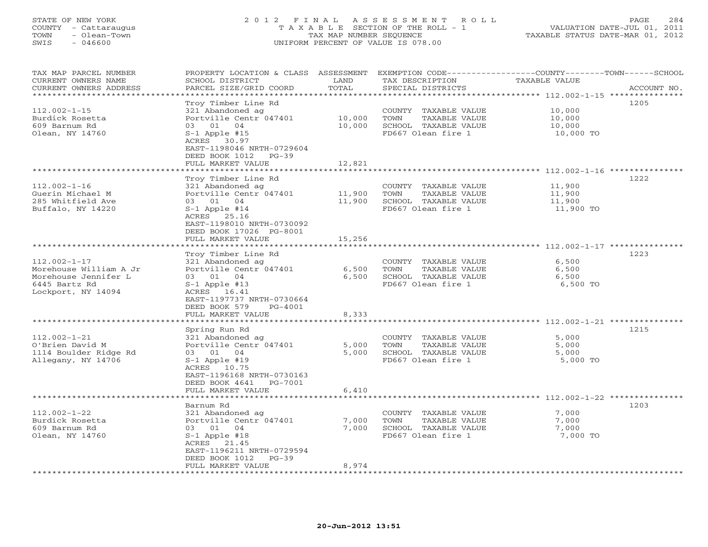## STATE OF NEW YORK 2 0 1 2 F I N A L A S S E S S M E N T R O L L PAGE 284 COUNTY - Cattaraugus T A X A B L E SECTION OF THE ROLL - 1 VALUATION DATE-JUL 01, 2011 TOWN - Olean-Town TAX MAP NUMBER SEQUENCE TAXABLE STATUS DATE-MAR 01, 2012 SWIS - 046600 UNIFORM PERCENT OF VALUE IS 078.00UNIFORM PERCENT OF VALUE IS 078.00

| TAX MAP PARCEL NUMBER<br>CURRENT OWNERS NAME<br>CURRENT OWNERS ADDRESS | PROPERTY LOCATION & CLASS<br>SCHOOL DISTRICT<br>PARCEL SIZE/GRID COORD | ASSESSMENT<br>LAND<br>TOTAL | EXEMPTION CODE----------------COUNTY-------TOWN-----SCHOOL<br>TAX DESCRIPTION<br>SPECIAL DISTRICTS | <b>TAXABLE VALUE</b>                                   | ACCOUNT NO. |
|------------------------------------------------------------------------|------------------------------------------------------------------------|-----------------------------|----------------------------------------------------------------------------------------------------|--------------------------------------------------------|-------------|
|                                                                        |                                                                        | * * * * * * * * *           |                                                                                                    | ************** 112.002-1-15 ****************           |             |
| $112.002 - 1 - 15$                                                     | Troy Timber Line Rd<br>321 Abandoned ag                                |                             | COUNTY TAXABLE VALUE                                                                               | 10,000                                                 | 1205        |
| Burdick Rosetta                                                        | Portville Centr 047401                                                 | 10,000                      | TOWN<br>TAXABLE VALUE                                                                              | 10,000                                                 |             |
| 609 Barnum Rd                                                          | 03 01<br>04                                                            | 10,000                      | SCHOOL TAXABLE VALUE                                                                               | 10,000                                                 |             |
| Olean, NY 14760                                                        | $S-1$ Apple #15                                                        |                             | FD667 Olean fire 1                                                                                 | 10,000 TO                                              |             |
|                                                                        | ACRES 30.97                                                            |                             |                                                                                                    |                                                        |             |
|                                                                        | EAST-1198046 NRTH-0729604                                              |                             |                                                                                                    |                                                        |             |
|                                                                        | DEED BOOK 1012<br>$PG-39$                                              |                             |                                                                                                    |                                                        |             |
|                                                                        | FULL MARKET VALUE<br>******************                                | 12,821<br>********          |                                                                                                    | ***************** 112.002-1-16 ****************        |             |
|                                                                        |                                                                        |                             |                                                                                                    |                                                        | 1222        |
| $112.002 - 1 - 16$                                                     | Troy Timber Line Rd<br>321 Abandoned ag                                |                             | COUNTY TAXABLE VALUE                                                                               | 11,900                                                 |             |
| Guerin Michael M                                                       | Portville Centr 047401                                                 | 11,900                      | TOWN<br>TAXABLE VALUE                                                                              | 11,900                                                 |             |
| 285 Whitfield Ave                                                      | 03 01 04                                                               | 11,900                      | SCHOOL TAXABLE VALUE                                                                               | 11,900                                                 |             |
| Buffalo, NY 14220                                                      | $S-1$ Apple #14                                                        |                             | FD667 Olean fire 1                                                                                 | 11,900 TO                                              |             |
|                                                                        | ACRES 25.16                                                            |                             |                                                                                                    |                                                        |             |
|                                                                        | EAST-1198010 NRTH-0730092                                              |                             |                                                                                                    |                                                        |             |
|                                                                        | DEED BOOK 17026 PG-8001                                                |                             |                                                                                                    |                                                        |             |
|                                                                        | FULL MARKET VALUE                                                      | 15,256                      |                                                                                                    |                                                        |             |
|                                                                        | * * * * * * * * * * * * * * * * * * *                                  |                             |                                                                                                    |                                                        |             |
|                                                                        | Troy Timber Line Rd                                                    |                             |                                                                                                    |                                                        | 1223        |
| $112.002 - 1 - 17$                                                     | 321 Abandoned ag                                                       |                             | COUNTY TAXABLE VALUE                                                                               | 6,500                                                  |             |
| Morehouse William A Jr                                                 | Portville Centr 047401                                                 | 6,500                       | TOWN<br>TAXABLE VALUE                                                                              | 6,500                                                  |             |
| Morehouse Jennifer L                                                   | 03 01 04                                                               | 6,500                       | SCHOOL TAXABLE VALUE                                                                               | 6,500                                                  |             |
| 6445 Bartz Rd                                                          | $S-1$ Apple #13                                                        |                             | FD667 Olean fire 1                                                                                 | 6,500 TO                                               |             |
| Lockport, NY 14094                                                     | ACRES 16.41                                                            |                             |                                                                                                    |                                                        |             |
|                                                                        | EAST-1197737 NRTH-0730664                                              |                             |                                                                                                    |                                                        |             |
|                                                                        | DEED BOOK 579<br>PG-4001                                               |                             |                                                                                                    |                                                        |             |
|                                                                        | FULL MARKET VALUE                                                      | 8,333                       |                                                                                                    |                                                        |             |
|                                                                        | *************                                                          | ***********                 |                                                                                                    | *******************************112.002-1-21 ********** |             |
|                                                                        | Spring Run Rd                                                          |                             |                                                                                                    |                                                        | 1215        |
| $112.002 - 1 - 21$                                                     | 321 Abandoned ag                                                       |                             | COUNTY TAXABLE VALUE                                                                               | 5,000                                                  |             |
| O'Brien David M                                                        | Portville Centr 047401                                                 | 5,000                       | TOWN<br>TAXABLE VALUE                                                                              | 5,000                                                  |             |
| 1114 Boulder Ridge Rd                                                  | 03 01 04                                                               | 5,000                       | SCHOOL TAXABLE VALUE                                                                               | 5,000                                                  |             |
| Allegany, NY 14706                                                     | $S-1$ Apple #19                                                        |                             | FD667 Olean fire 1                                                                                 | 5,000 TO                                               |             |
|                                                                        | ACRES 10.75                                                            |                             |                                                                                                    |                                                        |             |
|                                                                        | EAST-1196168 NRTH-0730163                                              |                             |                                                                                                    |                                                        |             |
|                                                                        | DEED BOOK 4641<br>PG-7001                                              |                             |                                                                                                    |                                                        |             |
|                                                                        | FULL MARKET VALUE                                                      | 6,410                       |                                                                                                    |                                                        |             |
|                                                                        |                                                                        |                             |                                                                                                    |                                                        |             |
|                                                                        | Barnum Rd                                                              |                             |                                                                                                    |                                                        | 1203        |
| $112.002 - 1 - 22$                                                     | 321 Abandoned ag                                                       |                             | COUNTY TAXABLE VALUE                                                                               | 7,000                                                  |             |
| Burdick Rosetta                                                        | Portville Centr 047401                                                 | 7,000                       | TOWN<br>TAXABLE VALUE                                                                              | 7,000                                                  |             |
| 609 Barnum Rd                                                          | 03 01 04                                                               | 7,000                       | SCHOOL TAXABLE VALUE                                                                               | 7,000                                                  |             |
| Olean, NY 14760                                                        | $S-1$ Apple #18                                                        |                             | FD667 Olean fire 1                                                                                 | 7,000 TO                                               |             |
|                                                                        | ACRES 21.45<br>EAST-1196211 NRTH-0729594                               |                             |                                                                                                    |                                                        |             |
|                                                                        | DEED BOOK 1012<br>$PG-39$                                              |                             |                                                                                                    |                                                        |             |
|                                                                        | FULL MARKET VALUE                                                      | 8,974                       |                                                                                                    |                                                        |             |
|                                                                        |                                                                        |                             |                                                                                                    |                                                        |             |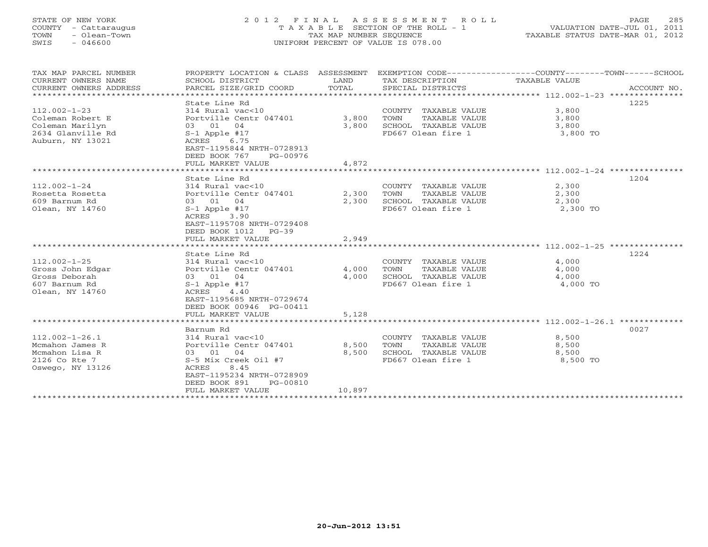# STATE OF NEW YORK 2 0 1 2 F I N A L A S S E S S M E N T R O L L PAGE 285 COUNTY - Cattaraugus T A X A B L E SECTION OF THE ROLL - 1 VALUATION DATE-JUL 01, 2011 TOWN - Olean-Town TAX MAP NUMBER SEQUENCE TAXABLE STATUS DATE-MAR 01, 2012 SWIS - 046600 UNIFORM PERCENT OF VALUE IS 078.00UNIFORM PERCENT OF VALUE IS 078.00

| TAX MAP PARCEL NUMBER<br>CURRENT OWNERS NAME<br>CURRENT OWNERS ADDRESS                             | SCHOOL DISTRICT<br>PARCEL SIZE/GRID COORD                                                                                                                                                              | LAND<br>TOTAL            | TAX DESCRIPTION TAXABLE VALUE<br>SPECIAL DISTRICTS                                          | PROPERTY LOCATION & CLASS ASSESSMENT EXEMPTION CODE---------------COUNTY-------TOWN------SCHOOL<br>ACCOUNT NO. |
|----------------------------------------------------------------------------------------------------|--------------------------------------------------------------------------------------------------------------------------------------------------------------------------------------------------------|--------------------------|---------------------------------------------------------------------------------------------|----------------------------------------------------------------------------------------------------------------|
| $112.002 - 1 - 23$<br>Coleman Robert E<br>Coleman Marilyn<br>2634 Glanville Rd<br>Auburn, NY 13021 | State Line Rd<br>314 Rural vac<10<br>Portville Centr 047401<br>03 01 04<br>$S-1$ Apple #17<br>ACRES 6.75<br>EAST-1195844 NRTH-0728913<br>DEED BOOK 767<br>PG-00976                                     | 3,800<br>3,800           | COUNTY TAXABLE VALUE<br>TOWN<br>TAXABLE VALUE<br>SCHOOL TAXABLE VALUE<br>FD667 Olean fire 1 | 1225<br>3,800<br>3,800<br>3,800<br>3,800 TO                                                                    |
|                                                                                                    | FULL MARKET VALUE                                                                                                                                                                                      | 4,872                    |                                                                                             |                                                                                                                |
|                                                                                                    |                                                                                                                                                                                                        |                          |                                                                                             |                                                                                                                |
| $112.002 - 1 - 24$<br>Rosetta Rosetta<br>609 Barnum Rd<br>Olean, NY 14760                          | State Line Rd<br>314 Rural vac<10<br>Portville Centr 047401<br>03 01 04<br>$S-1$ Apple #17<br>3.90<br>ACRES<br>EAST-1195708 NRTH-0729408<br>DEED BOOK 1012 PG-39<br>FULL MARKET VALUE<br>State Line Rd | 2,300<br>2,300<br>2,949  | COUNTY TAXABLE VALUE<br>TOWN<br>TAXABLE VALUE<br>SCHOOL TAXABLE VALUE<br>FD667 Olean fire 1 | 1204<br>$\frac{2}{2}$ , 300<br>2,300<br>2,300<br>2,300 TO<br>1224                                              |
| $112.002 - 1 - 25$<br>Gross John Edgar<br>Gross Deborah<br>607 Barnum Rd<br>Olean, NY 14760        | 314 Rural vac<10<br>Portville Centr 047401<br>03 01 04<br>$S-1$ Apple #17<br>ACRES 4.40<br>EAST-1195685 NRTH-0729674<br>DEED BOOK 00946 PG-00411<br>FULL MARKET VALUE                                  | 4,000<br>4,000<br>5,128  | COUNTY TAXABLE VALUE<br>TOWN<br>TAXABLE VALUE<br>SCHOOL TAXABLE VALUE<br>FD667 Olean fire 1 | 4,000<br>4,000<br>4,000<br>4,000 TO                                                                            |
|                                                                                                    |                                                                                                                                                                                                        |                          |                                                                                             |                                                                                                                |
| $112.002 - 1 - 26.1$<br>Mcmahon James R<br>Mcmahon Lisa R<br>2126 Co Rte 7<br>Oswego, NY 13126     | Barnum Rd<br>314 Rural vac<10<br>Portville Centr 047401<br>03 01<br>04<br>S-5 Mix Creek Oil #7<br>ACRES<br>8.45<br>EAST-1195234 NRTH-0728909<br>DEED BOOK 891<br>PG-00810<br>FULL MARKET VALUE         | 8,500<br>8,500<br>10,897 | COUNTY TAXABLE VALUE<br>TAXABLE VALUE<br>TOWN<br>SCHOOL TAXABLE VALUE<br>FD667 Olean fire 1 | 0027<br>8,500<br>8,500<br>8,500<br>8,500 TO                                                                    |
|                                                                                                    |                                                                                                                                                                                                        |                          |                                                                                             |                                                                                                                |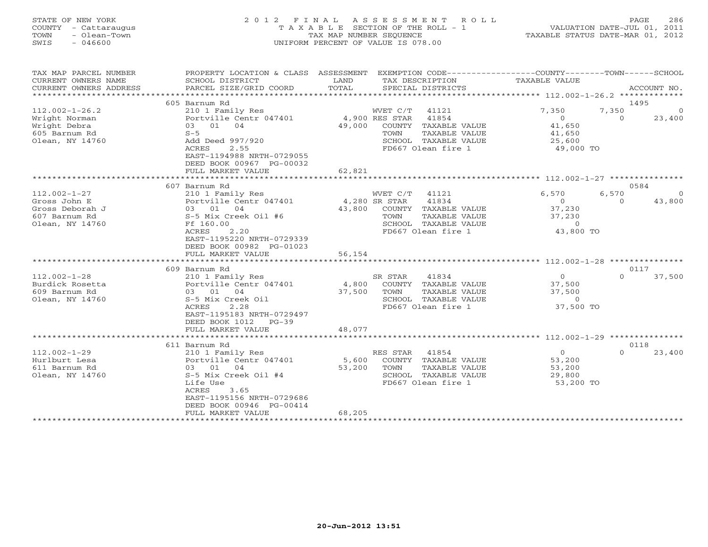# STATE OF NEW YORK 2 0 1 2 F I N A L A S S E S S M E N T R O L L PAGE 286 COUNTY - Cattaraugus T A X A B L E SECTION OF THE ROLL - 1 VALUATION DATE-JUL 01, 2011 TOWN - Olean-Town TAX MAP NUMBER SEQUENCE TAXABLE STATUS DATE-MAR 01, 2012 SWIS - 046600 UNIFORM PERCENT OF VALUE IS 078.00UNIFORM PERCENT OF VALUE IS 078.00

| TAX MAP PARCEL NUMBER<br>CURRENT OWNERS NAME<br>CURRENT OWNERS ADDRESS | PROPERTY LOCATION & CLASS ASSESSMENT<br>SCHOOL DISTRICT<br>PARCEL SIZE/GRID COORD | LAND<br>TOTAL | TAX DESCRIPTION<br>SPECIAL DISTRICTS | EXEMPTION CODE-----------------COUNTY-------TOWN------SCHOOL<br>TAXABLE VALUE | ACCOUNT NO.        |
|------------------------------------------------------------------------|-----------------------------------------------------------------------------------|---------------|--------------------------------------|-------------------------------------------------------------------------------|--------------------|
| *********************                                                  |                                                                                   |               |                                      |                                                                               |                    |
|                                                                        | 605 Barnum Rd                                                                     |               |                                      |                                                                               | 1495               |
| $112.002 - 1 - 26.2$                                                   | 210 1 Family Res                                                                  |               | WVET C/T<br>41121                    | 7,350                                                                         | 7,350<br>$\Omega$  |
| Wright Norman                                                          | Portville Centr 047401                                                            |               | 41854<br>4,900 RES STAR              | $\circ$                                                                       | $\Omega$<br>23,400 |
| Wright Debra                                                           | 03 01<br>04                                                                       | 49,000        | COUNTY TAXABLE VALUE                 | 41,650                                                                        |                    |
| 605 Barnum Rd                                                          | $S-5$                                                                             |               | TOWN<br>TAXABLE VALUE                | 41,650                                                                        |                    |
| Olean, NY 14760                                                        | Add Deed 997/920                                                                  |               | SCHOOL TAXABLE VALUE                 | 25,600                                                                        |                    |
|                                                                        | 2.55<br>ACRES<br>EAST-1194988 NRTH-0729055                                        |               | FD667 Olean fire 1                   | 49,000 TO                                                                     |                    |
|                                                                        | DEED BOOK 00967 PG-00032                                                          |               |                                      |                                                                               |                    |
|                                                                        | FULL MARKET VALUE                                                                 | 62,821        |                                      |                                                                               |                    |
|                                                                        |                                                                                   |               |                                      |                                                                               |                    |
|                                                                        | 607 Barnum Rd                                                                     |               |                                      |                                                                               | 0584               |
| $112.002 - 1 - 27$                                                     | 210 1 Family Res                                                                  |               | WVET C/T<br>41121                    | 6,570                                                                         | 6,570<br>$\Omega$  |
| Gross John E                                                           | Portville Centr 047401                                                            |               | 4,280 SR STAR<br>41834               | $\Omega$                                                                      | 43,800<br>$\Omega$ |
| Gross Deborah J                                                        | 03 01 04                                                                          | 43,800        | COUNTY TAXABLE VALUE                 | 37,230                                                                        |                    |
| 607 Barnum Rd                                                          | S-5 Mix Creek Oil #6                                                              |               | TOWN<br>TAXABLE VALUE                | 37,230                                                                        |                    |
| Olean, NY 14760                                                        | Ff 160.00                                                                         |               | SCHOOL TAXABLE VALUE                 | $\overline{0}$                                                                |                    |
|                                                                        | ACRES<br>2.20                                                                     |               | FD667 Olean fire 1                   | 43,800 TO                                                                     |                    |
|                                                                        | EAST-1195220 NRTH-0729339                                                         |               |                                      |                                                                               |                    |
|                                                                        | DEED BOOK 00982 PG-01023                                                          |               |                                      |                                                                               |                    |
|                                                                        | FULL MARKET VALUE                                                                 | 56,154        |                                      |                                                                               |                    |
|                                                                        | ***********************                                                           |               |                                      |                                                                               |                    |
|                                                                        | 609 Barnum Rd                                                                     |               |                                      |                                                                               | 0117               |
| $112.002 - 1 - 28$                                                     | 210 1 Family Res                                                                  |               | SR STAR<br>41834                     | $\Omega$                                                                      | 37,500<br>$\Omega$ |
| Burdick Rosetta                                                        | Portville Centr 047401                                                            | 4,800         | COUNTY TAXABLE VALUE                 | 37,500                                                                        |                    |
| 609 Barnum Rd                                                          | 03 01<br>04                                                                       | 37,500        | TAXABLE VALUE<br>TOWN                | 37,500                                                                        |                    |
| Olean, NY 14760                                                        | S-5 Mix Creek Oil                                                                 |               | SCHOOL TAXABLE VALUE                 | $\circ$                                                                       |                    |
|                                                                        | 2.28<br>ACRES<br>EAST-1195183 NRTH-0729497                                        |               | FD667 Olean fire 1                   | 37,500 TO                                                                     |                    |
|                                                                        | DEED BOOK 1012<br>$PG-39$                                                         |               |                                      |                                                                               |                    |
|                                                                        | FULL MARKET VALUE                                                                 | 48,077        |                                      |                                                                               |                    |
|                                                                        |                                                                                   |               |                                      |                                                                               |                    |
|                                                                        | 611 Barnum Rd                                                                     |               |                                      |                                                                               | 0118               |
| $112.002 - 1 - 29$                                                     | 210 1 Family Res                                                                  |               | 41854<br>RES STAR                    | $\circ$                                                                       | $\Omega$<br>23,400 |
| Hurlburt Lesa                                                          | Portville Centr 047401                                                            | 5,600         | COUNTY TAXABLE VALUE                 | 53,200                                                                        |                    |
| 611 Barnum Rd                                                          | 03 01<br>04                                                                       | 53,200        | TAXABLE VALUE<br>TOWN                | 53,200                                                                        |                    |
| Olean, NY 14760                                                        | S-5 Mix Creek Oil #4                                                              |               | SCHOOL TAXABLE VALUE                 | 29,800                                                                        |                    |
|                                                                        | Life Use                                                                          |               | FD667 Olean fire 1                   | 53,200 TO                                                                     |                    |
|                                                                        | ACRES<br>3.65                                                                     |               |                                      |                                                                               |                    |
|                                                                        | EAST-1195156 NRTH-0729686                                                         |               |                                      |                                                                               |                    |
|                                                                        | DEED BOOK 00946 PG-00414                                                          |               |                                      |                                                                               |                    |
|                                                                        | FULL MARKET VALUE                                                                 | 68,205        |                                      |                                                                               |                    |
|                                                                        | ******************                                                                |               |                                      |                                                                               |                    |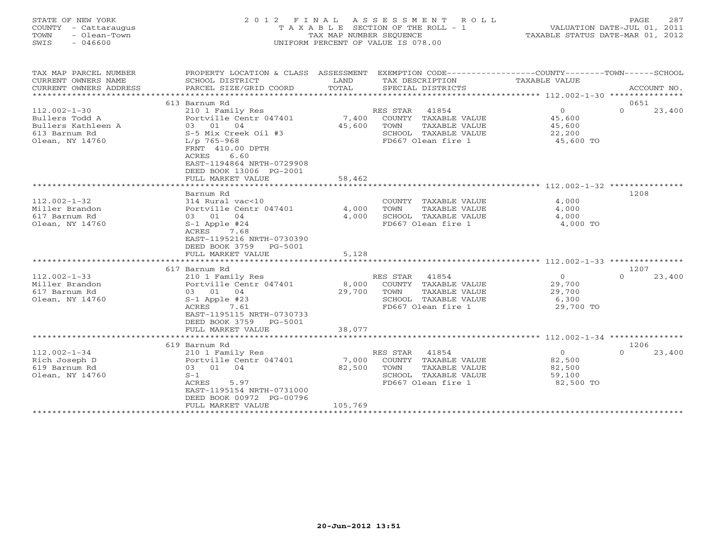# STATE OF NEW YORK 2 0 1 2 F I N A L A S S E S S M E N T R O L L PAGE 287 COUNTY - Cattaraugus T A X A B L E SECTION OF THE ROLL - 1 VALUATION DATE-JUL 01, 2011 TOWN - Olean-Town TAX MAP NUMBER SEQUENCE TAXABLE STATUS DATE-MAR 01, 2012 SWIS - 046600 UNIFORM PERCENT OF VALUE IS 078.00UNIFORM PERCENT OF VALUE IS 078.00

| TAX MAP PARCEL NUMBER                | PROPERTY LOCATION & CLASS ASSESSMENT       |                         | EXEMPTION CODE-----------------COUNTY-------TOWN------SCHOOL |                      |                    |  |  |  |  |
|--------------------------------------|--------------------------------------------|-------------------------|--------------------------------------------------------------|----------------------|--------------------|--|--|--|--|
| CURRENT OWNERS NAME                  | SCHOOL DISTRICT                            | LAND                    | TAX DESCRIPTION                                              | <b>TAXABLE VALUE</b> |                    |  |  |  |  |
| CURRENT OWNERS ADDRESS               | PARCEL SIZE/GRID COORD                     | TOTAL                   | SPECIAL DISTRICTS                                            |                      | ACCOUNT NO.        |  |  |  |  |
|                                      |                                            |                         |                                                              |                      |                    |  |  |  |  |
|                                      | 613 Barnum Rd                              |                         |                                                              |                      | 0651               |  |  |  |  |
| $112.002 - 1 - 30$                   | 210 1 Family Res                           |                         | RES STAR<br>41854                                            | $\circ$              | $\Omega$<br>23,400 |  |  |  |  |
| Bullers Todd A                       | Portville Centr 047401                     | 7,400                   | COUNTY TAXABLE VALUE                                         | 45,600               |                    |  |  |  |  |
| Bullers Kathleen A                   | 03 01 04                                   | 45,600                  | TOWN<br>TAXABLE VALUE                                        | 45,600               |                    |  |  |  |  |
| 613 Barnum Rd                        | S-5 Mix Creek Oil #3                       |                         | SCHOOL TAXABLE VALUE                                         | 22,200               |                    |  |  |  |  |
| Olean, NY 14760                      | $L/p$ 765-968                              |                         | FD667 Olean fire 1                                           | 45,600 TO            |                    |  |  |  |  |
|                                      | FRNT 410.00 DPTH<br>6.60<br>ACRES          |                         |                                                              |                      |                    |  |  |  |  |
|                                      | EAST-1194864 NRTH-0729908                  |                         |                                                              |                      |                    |  |  |  |  |
|                                      | DEED BOOK 13006 PG-2001                    |                         |                                                              |                      |                    |  |  |  |  |
|                                      | FULL MARKET VALUE                          | 58,462                  |                                                              |                      |                    |  |  |  |  |
|                                      | ******************                         | * * * * * * * * * * * * | ***************************** 112.002-1-32 ***************   |                      |                    |  |  |  |  |
|                                      | Barnum Rd                                  |                         |                                                              |                      | 1208               |  |  |  |  |
| $112.002 - 1 - 32$                   | 314 Rural vac<10                           |                         | COUNTY TAXABLE VALUE                                         | 4,000                |                    |  |  |  |  |
| Miller Brandon                       | Portville Centr 047401                     | 4,000                   | TOWN<br>TAXABLE VALUE                                        | 4,000                |                    |  |  |  |  |
| 617 Barnum Rd                        | 03 01 04                                   | 4,000                   | SCHOOL TAXABLE VALUE                                         | 4,000                |                    |  |  |  |  |
| Olean, NY 14760                      | $S-1$ Apple #24                            |                         | FD667 Olean fire 1                                           | 4,000 TO             |                    |  |  |  |  |
|                                      | 7.68<br>ACRES                              |                         |                                                              |                      |                    |  |  |  |  |
|                                      | EAST-1195216 NRTH-0730390                  |                         |                                                              |                      |                    |  |  |  |  |
|                                      | DEED BOOK 3759<br>PG-5001                  |                         |                                                              |                      |                    |  |  |  |  |
|                                      | FULL MARKET VALUE                          | 5,128                   |                                                              |                      |                    |  |  |  |  |
|                                      |                                            |                         |                                                              |                      |                    |  |  |  |  |
|                                      | 617 Barnum Rd                              |                         | RES STAR 41854                                               | $\overline{0}$       | 1207<br>$\Omega$   |  |  |  |  |
| $112.002 - 1 - 33$<br>Miller Brandon | 210 1 Family Res<br>Portville Centr 047401 |                         | COUNTY TAXABLE VALUE                                         |                      | 23,400             |  |  |  |  |
| 617 Barnum Rd                        | 03 01 04                                   | 8,000<br>29,700         | TOWN<br>TAXABLE VALUE                                        | 29,700<br>29,700     |                    |  |  |  |  |
| Olean, NY 14760                      | $S-1$ Apple #23                            |                         | SCHOOL TAXABLE VALUE                                         | 6,300                |                    |  |  |  |  |
|                                      | ACRES<br>7.61                              |                         | FD667 Olean fire 1                                           | 29,700 TO            |                    |  |  |  |  |
|                                      | EAST-1195115 NRTH-0730733                  |                         |                                                              |                      |                    |  |  |  |  |
|                                      | DEED BOOK 3759<br>$PG - 5001$              |                         |                                                              |                      |                    |  |  |  |  |
|                                      | FULL MARKET VALUE                          | 38,077                  |                                                              |                      |                    |  |  |  |  |
|                                      |                                            |                         |                                                              |                      |                    |  |  |  |  |
|                                      | 619 Barnum Rd                              |                         |                                                              |                      | 1206               |  |  |  |  |
| $112.002 - 1 - 34$                   | 210 1 Family Res                           |                         | RES STAR<br>41854                                            | $\Omega$             | $\Omega$<br>23,400 |  |  |  |  |
| Rich Joseph D                        | Portville Centr 047401                     | 7,000                   | COUNTY TAXABLE VALUE                                         | 82,500               |                    |  |  |  |  |
| 619 Barnum Rd                        | 03 01<br>04                                | 82,500                  | TOWN<br>TAXABLE VALUE                                        | 82,500               |                    |  |  |  |  |
| Olean, NY 14760                      | $S-1$                                      |                         | SCHOOL TAXABLE VALUE                                         | 59,100               |                    |  |  |  |  |
|                                      | ACRES<br>5.97                              |                         | FD667 Olean fire 1                                           | 82,500 TO            |                    |  |  |  |  |
|                                      | EAST-1195154 NRTH-0731000                  |                         |                                                              |                      |                    |  |  |  |  |
|                                      | DEED BOOK 00972 PG-00796                   |                         |                                                              |                      |                    |  |  |  |  |
|                                      | FULL MARKET VALUE                          | 105,769                 |                                                              |                      |                    |  |  |  |  |
|                                      |                                            |                         |                                                              |                      |                    |  |  |  |  |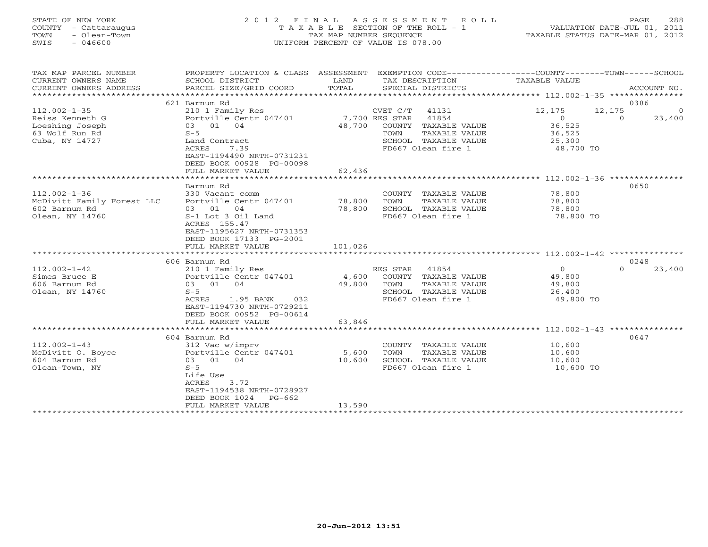# STATE OF NEW YORK 2 0 1 2 F I N A L A S S E S S M E N T R O L L PAGE 288 COUNTY - Cattaraugus T A X A B L E SECTION OF THE ROLL - 1 VALUATION DATE-JUL 01, 2011 TOWN - Olean-Town TAX MAP NUMBER SEQUENCE TAXABLE STATUS DATE-MAR 01, 2012 SWIS - 046600 UNIFORM PERCENT OF VALUE IS 078.00UNIFORM PERCENT OF VALUE IS 078.00

| TAX MAP PARCEL NUMBER<br>CURRENT OWNERS NAME      | PROPERTY LOCATION & CLASS ASSESSMENT<br>SCHOOL DISTRICT | LAND           |          | TAX DESCRIPTION      | EXEMPTION CODE-----------------COUNTY-------TOWN------SCHOOL<br>TAXABLE VALUE |          |             |  |  |  |
|---------------------------------------------------|---------------------------------------------------------|----------------|----------|----------------------|-------------------------------------------------------------------------------|----------|-------------|--|--|--|
| CURRENT OWNERS ADDRESS<br>*********************** | PARCEL SIZE/GRID COORD                                  | TOTAL          |          | SPECIAL DISTRICTS    |                                                                               |          | ACCOUNT NO. |  |  |  |
| 0386<br>621 Barnum Rd                             |                                                         |                |          |                      |                                                                               |          |             |  |  |  |
| $112.002 - 1 - 35$                                | 210 1 Family Res                                        |                | CVET C/T | 41131                | 12,175                                                                        | 12,175   | $\Omega$    |  |  |  |
| Reiss Kenneth G                                   | Portville Centr 047401                                  | 7,700 RES STAR |          | 41854                | $\overline{0}$                                                                | $\Omega$ | 23,400      |  |  |  |
| Loeshing Joseph                                   | 03 01<br>04                                             | 48,700         |          | COUNTY TAXABLE VALUE | 36,525                                                                        |          |             |  |  |  |
| 63 Wolf Run Rd                                    | $S-5$                                                   |                | TOWN     | TAXABLE VALUE        | 36,525                                                                        |          |             |  |  |  |
| Cuba, NY 14727                                    | Land Contract                                           |                |          | SCHOOL TAXABLE VALUE | 25,300                                                                        |          |             |  |  |  |
|                                                   | 7.39<br>ACRES                                           |                |          | FD667 Olean fire 1   | 48,700 TO                                                                     |          |             |  |  |  |
|                                                   | EAST-1194490 NRTH-0731231                               |                |          |                      |                                                                               |          |             |  |  |  |
|                                                   | DEED BOOK 00928 PG-00098                                |                |          |                      |                                                                               |          |             |  |  |  |
|                                                   | FULL MARKET VALUE                                       | 62,436         |          |                      |                                                                               |          |             |  |  |  |
|                                                   |                                                         |                |          |                      |                                                                               |          |             |  |  |  |
|                                                   | Barnum Rd                                               |                |          |                      |                                                                               | 0650     |             |  |  |  |
| $112.002 - 1 - 36$                                | 330 Vacant comm                                         |                |          | COUNTY TAXABLE VALUE | 78,800                                                                        |          |             |  |  |  |
| McDivitt Family Forest LLC                        | Portville Centr 047401                                  | 78,800         | TOWN     | TAXABLE VALUE        | 78,800                                                                        |          |             |  |  |  |
| 602 Barnum Rd                                     | 03 01<br>04                                             | 78,800         |          | SCHOOL TAXABLE VALUE | 78,800                                                                        |          |             |  |  |  |
| Olean, NY 14760                                   | S-1 Lot 3 Oil Land                                      |                |          | FD667 Olean fire 1   | 78,800 TO                                                                     |          |             |  |  |  |
|                                                   | ACRES 155.47                                            |                |          |                      |                                                                               |          |             |  |  |  |
|                                                   | EAST-1195627 NRTH-0731353                               |                |          |                      |                                                                               |          |             |  |  |  |
|                                                   | DEED BOOK 17133 PG-2001                                 |                |          |                      |                                                                               |          |             |  |  |  |
|                                                   | FULL MARKET VALUE                                       | 101,026        |          |                      |                                                                               |          |             |  |  |  |
|                                                   |                                                         |                |          |                      |                                                                               |          |             |  |  |  |
|                                                   | 606 Barnum Rd                                           |                |          |                      |                                                                               | 0248     |             |  |  |  |
| $112.002 - 1 - 42$                                | 210 1 Family Res                                        |                | RES STAR | 41854                | $\Omega$                                                                      | $\Omega$ | 23,400      |  |  |  |
| Simes Bruce E                                     | Portville Centr 047401                                  | 4,600          |          | COUNTY TAXABLE VALUE | 49,800                                                                        |          |             |  |  |  |
| 606 Barnum Rd                                     | 03 01 04                                                | 49,800         | TOWN     | TAXABLE VALUE        | 49,800                                                                        |          |             |  |  |  |
| Olean, NY 14760                                   | $S-5$                                                   |                |          | SCHOOL TAXABLE VALUE | 26,400                                                                        |          |             |  |  |  |
|                                                   | ACRES<br>1.95 BANK<br>032                               |                |          | FD667 Olean fire 1   | 49,800 TO                                                                     |          |             |  |  |  |
|                                                   | EAST-1194730 NRTH-0729211                               |                |          |                      |                                                                               |          |             |  |  |  |
|                                                   | DEED BOOK 00952 PG-00614                                |                |          |                      |                                                                               |          |             |  |  |  |
|                                                   | FULL MARKET VALUE                                       | 63,846         |          |                      |                                                                               |          |             |  |  |  |
|                                                   |                                                         |                |          |                      |                                                                               |          |             |  |  |  |
|                                                   | 604 Barnum Rd                                           |                |          |                      |                                                                               | 0647     |             |  |  |  |
| $112.002 - 1 - 43$                                | 312 Vac w/imprv                                         |                |          | COUNTY TAXABLE VALUE | 10,600                                                                        |          |             |  |  |  |
| McDivitt O. Boyce                                 | Portville Centr 047401                                  | 5,600          | TOWN     | TAXABLE VALUE        | 10,600                                                                        |          |             |  |  |  |
| 604 Barnum Rd                                     | 03 01<br>04                                             | 10,600         |          | SCHOOL TAXABLE VALUE | 10,600                                                                        |          |             |  |  |  |
| Olean-Town, NY                                    | $S - 5$                                                 |                |          | FD667 Olean fire 1   | 10,600 TO                                                                     |          |             |  |  |  |
|                                                   | Life Use                                                |                |          |                      |                                                                               |          |             |  |  |  |
|                                                   | ACRES<br>3.72                                           |                |          |                      |                                                                               |          |             |  |  |  |
|                                                   | EAST-1194538 NRTH-0728927<br>$PG-662$                   |                |          |                      |                                                                               |          |             |  |  |  |
|                                                   | DEED BOOK 1024<br>FULL MARKET VALUE                     | 13,590         |          |                      |                                                                               |          |             |  |  |  |
|                                                   |                                                         |                |          |                      |                                                                               |          |             |  |  |  |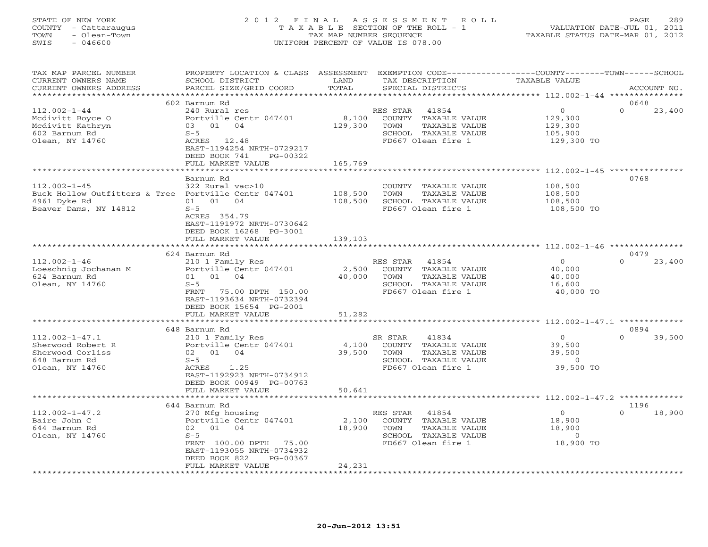# STATE OF NEW YORK 2 0 1 2 F I N A L A S S E S S M E N T R O L L PAGE 289 COUNTY - Cattaraugus T A X A B L E SECTION OF THE ROLL - 1 VALUATION DATE-JUL 01, 2011 TOWN - Olean-Town TAX MAP NUMBER SEQUENCE TAXABLE STATUS DATE-MAR 01, 2012 SWIS - 046600 UNIFORM PERCENT OF VALUE IS 078.00UNIFORM PERCENT OF VALUE IS 078.00

| TAX MAP PARCEL NUMBER<br>CURRENT OWNERS NAME         | PROPERTY LOCATION & CLASS ASSESSMENT<br>SCHOOL DISTRICT | LAND                      | TAX DESCRIPTION       | EXEMPTION CODE-----------------COUNTY-------TOWN-----SCHOOL<br><b>TAXABLE VALUE</b> |                    |
|------------------------------------------------------|---------------------------------------------------------|---------------------------|-----------------------|-------------------------------------------------------------------------------------|--------------------|
| CURRENT OWNERS ADDRESS                               | PARCEL SIZE/GRID COORD                                  | TOTAL                     | SPECIAL DISTRICTS     |                                                                                     | ACCOUNT NO.        |
| *******************                                  |                                                         |                           |                       |                                                                                     |                    |
|                                                      | 602 Barnum Rd                                           |                           |                       |                                                                                     | 0648               |
| $112.002 - 1 - 44$                                   | 240 Rural res                                           |                           | RES STAR<br>41854     | $\Omega$                                                                            | $\Omega$<br>23,400 |
| Mcdivitt Boyce O                                     | Portville Centr 047401                                  | 8,100                     | COUNTY TAXABLE VALUE  | 129,300                                                                             |                    |
| Mcdivitt Kathryn                                     | 01 04<br>03                                             | 129,300                   | TOWN<br>TAXABLE VALUE | 129,300                                                                             |                    |
| 602 Barnum Rd                                        | $S-5$                                                   |                           | SCHOOL TAXABLE VALUE  | 105,900                                                                             |                    |
| Olean, NY 14760                                      | ACRES 12.48                                             |                           | FD667 Olean fire 1    | 129,300 TO                                                                          |                    |
|                                                      | EAST-1194254 NRTH-0729217                               |                           |                       |                                                                                     |                    |
|                                                      | DEED BOOK 741<br>PG-00322                               |                           |                       |                                                                                     |                    |
|                                                      | FULL MARKET VALUE                                       | 165,769<br>*********      |                       | ****************************** 112.002-1-45 ****************                        |                    |
|                                                      |                                                         |                           |                       |                                                                                     | 0768               |
|                                                      | Barnum Rd                                               |                           |                       |                                                                                     |                    |
| $112.002 - 1 - 45$                                   | 322 Rural vac>10                                        |                           | COUNTY TAXABLE VALUE  | 108,500                                                                             |                    |
| Buck Hollow Outfitters & Tree Portville Centr 047401 |                                                         | 108,500                   | TAXABLE VALUE<br>TOWN | 108,500                                                                             |                    |
| 4961 Dyke Rd                                         | 01 01 04                                                | 108,500                   | SCHOOL TAXABLE VALUE  | 108,500                                                                             |                    |
| Beaver Dams, NY 14812                                | $S-5$                                                   |                           | FD667 Olean fire 1    | 108,500 TO                                                                          |                    |
|                                                      | ACRES 354.79<br>EAST-1191972 NRTH-0730642               |                           |                       |                                                                                     |                    |
|                                                      |                                                         |                           |                       |                                                                                     |                    |
|                                                      | DEED BOOK 16268 PG-3001                                 |                           |                       |                                                                                     |                    |
|                                                      | FULL MARKET VALUE<br>*********************              | 139,103<br>************** |                       |                                                                                     |                    |
|                                                      | 624 Barnum Rd                                           |                           |                       |                                                                                     | 0479               |
| $112.002 - 1 - 46$                                   | 210 1 Family Res                                        |                           | RES STAR<br>41854     | $\circ$                                                                             | $\Omega$<br>23,400 |
| Loeschnig Jochanan M                                 | Portville Centr 047401                                  | 2,500                     | COUNTY TAXABLE VALUE  | 40,000                                                                              |                    |
| 624 Barnum Rd                                        | 01 01 04                                                | 40,000                    | TOWN<br>TAXABLE VALUE | 40,000                                                                              |                    |
| Olean, NY 14760                                      | $S-5$                                                   |                           | SCHOOL TAXABLE VALUE  | 16,600                                                                              |                    |
|                                                      | <b>FRNT</b><br>75.00 DPTH 150.00                        |                           | FD667 Olean fire 1    | 40,000 TO                                                                           |                    |
|                                                      | EAST-1193634 NRTH-0732394                               |                           |                       |                                                                                     |                    |
|                                                      | DEED BOOK 15654 PG-2001                                 |                           |                       |                                                                                     |                    |
|                                                      | FULL MARKET VALUE                                       | 51,282                    |                       |                                                                                     |                    |
|                                                      | **********************                                  |                           |                       |                                                                                     |                    |
|                                                      | 648 Barnum Rd                                           |                           |                       |                                                                                     | 0894               |
| $112.002 - 1 - 47.1$                                 | 210 1 Family Res                                        |                           | SR STAR<br>41834      | $\Omega$                                                                            | $\Omega$<br>39,500 |
| Sherwood Robert R                                    | Portville Centr 047401                                  | 4,100                     | COUNTY TAXABLE VALUE  | 39,500                                                                              |                    |
| Sherwood Corliss                                     | 04<br>02 01                                             | 39,500                    | TAXABLE VALUE<br>TOWN | 39,500                                                                              |                    |
| 648 Barnum Rd                                        | $S-5$                                                   |                           | SCHOOL TAXABLE VALUE  | $\overline{0}$                                                                      |                    |
| Olean, NY 14760                                      | 1.25<br>ACRES                                           |                           | FD667 Olean fire 1    | 39,500 TO                                                                           |                    |
|                                                      | EAST-1192923 NRTH-0734912                               |                           |                       |                                                                                     |                    |
|                                                      | DEED BOOK 00949 PG-00763                                |                           |                       |                                                                                     |                    |
|                                                      | FULL MARKET VALUE                                       | 50,641                    |                       |                                                                                     |                    |
|                                                      | **********************                                  |                           |                       |                                                                                     |                    |
|                                                      | 644 Barnum Rd                                           |                           |                       |                                                                                     | 1196               |
| $112.002 - 1 - 47.2$                                 | 270 Mfg housing                                         |                           | RES STAR<br>41854     | $\circ$                                                                             | 18,900<br>$\Omega$ |
| Baire John C                                         | Portville Centr 047401                                  | 2,100                     | COUNTY TAXABLE VALUE  | 18,900                                                                              |                    |
| 644 Barnum Rd                                        | 01<br>04<br>02                                          | 18,900                    | TOWN<br>TAXABLE VALUE | 18,900                                                                              |                    |
| Olean, NY 14760                                      | $S - 5$                                                 |                           | SCHOOL TAXABLE VALUE  | $\overline{0}$                                                                      |                    |
|                                                      | FRNT 100.00 DPTH<br>75.00                               |                           | FD667 Olean fire 1    | 18,900 TO                                                                           |                    |
|                                                      | EAST-1193055 NRTH-0734932                               |                           |                       |                                                                                     |                    |
|                                                      | DEED BOOK 822<br>PG-00367                               |                           |                       |                                                                                     |                    |
|                                                      | FULL MARKET VALUE                                       | 24,231                    |                       |                                                                                     |                    |
|                                                      |                                                         |                           |                       |                                                                                     |                    |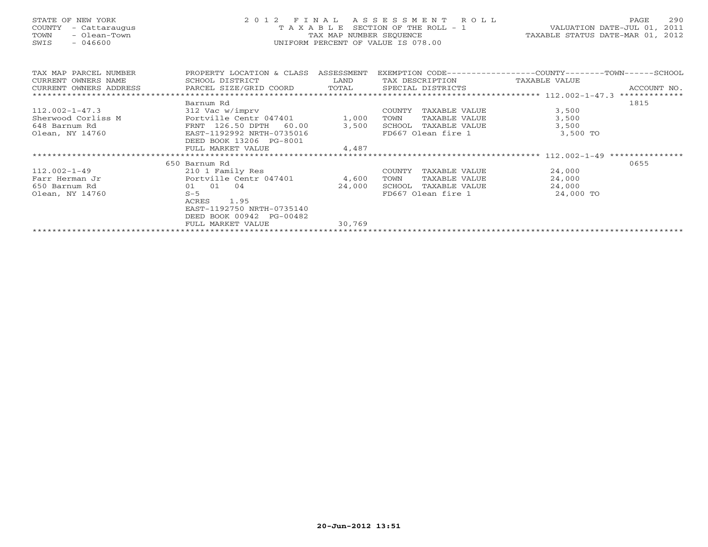# STATE OF NEW YORK 2 0 1 2 F I N A L A S S E S S M E N T R O L L PAGE 290 COUNTY - Cattaraugus T A X A B L E SECTION OF THE ROLL - 1 VALUATION DATE-JUL 01, 2011 TOWN - Olean-Town TAX MAP NUMBER SEQUENCE TAXABLE STATUS DATE-MAR 01, 2012 SWIS - 046600 UNIFORM PERCENT OF VALUE IS 078.00UNIFORM PERCENT OF VALUE IS 078.00

| TAX MAP PARCEL NUMBER                               | PROPERTY LOCATION & CLASS | ASSESSMENT |                         | EXEMPTION CODE-----------------COUNTY-------TOWN------SCHOOL |
|-----------------------------------------------------|---------------------------|------------|-------------------------|--------------------------------------------------------------|
| CURRENT OWNERS NAME                                 | SCHOOL DISTRICT           | LAND       | TAX DESCRIPTION         | TAXABLE VALUE                                                |
| CURRENT OWNERS ADDRESS BARCEL SIZE/GRID COORD TOTAL |                           |            | SPECIAL DISTRICTS       | ACCOUNT NO.                                                  |
|                                                     | Barnum Rd                 |            |                         | 1815                                                         |
| $112.002 - 1 - 47.3$                                | 312 Vac w/imprv           |            | COUNTY<br>TAXABLE VALUE | 3,500                                                        |
| Sherwood Corliss M                                  | Portville Centr 047401    |            |                         |                                                              |
|                                                     |                           | 1,000      | TOWN<br>TAXABLE VALUE   | 3,500                                                        |
| 648 Barnum Rd                                       | FRNT 126.50 DPTH 60.00    | 3,500      | TAXABLE VALUE<br>SCHOOL | 3,500                                                        |
| Olean, NY 14760                                     | EAST-1192992 NRTH-0735016 |            | FD667 Olean fire 1      | 3,500 TO                                                     |
|                                                     | DEED BOOK 13206 PG-8001   |            |                         |                                                              |
|                                                     | FULL MARKET VALUE         | 4,487      |                         |                                                              |
|                                                     |                           |            |                         |                                                              |
|                                                     | 650 Barnum Rd             |            |                         | 0655                                                         |
| $112.002 - 1 - 49$                                  | 210 1 Family Res          |            | COUNTY<br>TAXABLE VALUE | 24,000                                                       |
| Farr Herman Jr                                      | Portville Centr 047401    | 4,600      | TOWN<br>TAXABLE VALUE   | 24,000                                                       |
| 650 Barnum Rd                                       | 01 01 04                  | 24,000     | SCHOOL<br>TAXABLE VALUE | 24,000                                                       |
| Olean, NY 14760                                     | $S-5$                     |            | FD667 Olean fire 1      | 24,000 TO                                                    |
|                                                     | 1.95<br>ACRES             |            |                         |                                                              |
|                                                     | EAST-1192750 NRTH-0735140 |            |                         |                                                              |
|                                                     | DEED BOOK 00942 PG-00482  |            |                         |                                                              |
|                                                     |                           |            |                         |                                                              |
|                                                     | FULL MARKET VALUE         | 30,769     |                         |                                                              |
|                                                     |                           |            |                         |                                                              |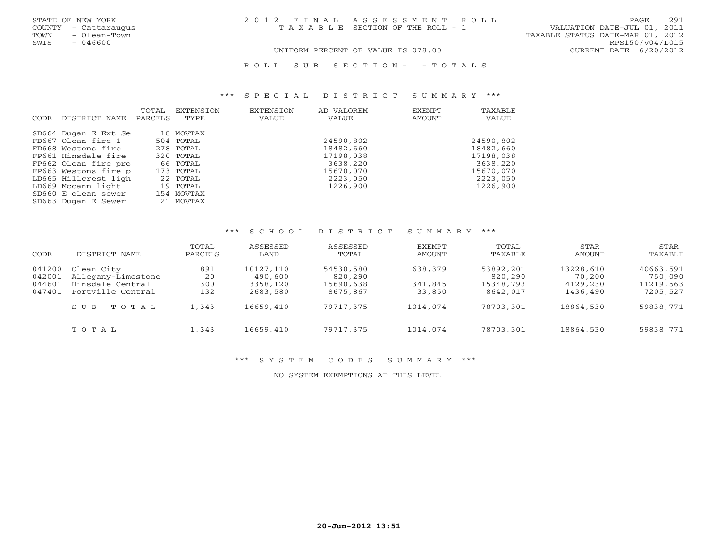| STATE OF NEW YORK |  |               |
|-------------------|--|---------------|
| <b>COUNTY</b>     |  | - Cattaraugus |
| <b>TOWN</b>       |  | - Olean-Town  |
| SMTS              |  | $-046600$     |

STATE OF NEW YORK 2 0 1 2 F I N A L A S S E S S M E N T R O L L PAGE 291COUNTY - Cattaraugus T A X A B L E SECTION OF THE ROLL - 1 VALUATION DATE-JUL 01, 2011

TAXABLE STATUS DATE-MAR 01, 2012 SWIS - 046600 RPS150/V04/L015 UNIFORM PERCENT OF VALUE IS 078.00 CURRENT DATE 6/20/2012

R O L L S U B S E C T I O N - - T O T A L S

#### \*\*\* S P E C I A L D I S T R I C T S U M M A R Y \*\*\*

| CODE. | DISTRICT NAME        | TOTAL<br>PARCELS | EXTENSION<br>TYPE | <b>EXTENSION</b><br>VALUE | AD VALOREM<br>VALUE | EXEMPT<br>AMOUNT | TAXABLE<br>VALUE |
|-------|----------------------|------------------|-------------------|---------------------------|---------------------|------------------|------------------|
|       | SD664 Dugan E Ext Se |                  | 18 MOVTAX         |                           |                     |                  |                  |
|       | FD667 Olean fire 1   |                  | 504 TOTAL         |                           | 24590,802           |                  | 24590,802        |
|       | FD668 Westons fire   |                  | 278 TOTAL         |                           | 18482,660           |                  | 18482,660        |
|       | FP661 Hinsdale fire  |                  | 320 TOTAL         |                           | 17198,038           |                  | 17198,038        |
|       | FP662 Olean fire pro |                  | 66 TOTAL          |                           | 3638,220            |                  | 3638,220         |
|       | FP663 Westons fire p |                  | 173 TOTAL         |                           | 15670,070           |                  | 15670,070        |
|       | LD665 Hillcrest ligh |                  | 22 TOTAL          |                           | 2223,050            |                  | 2223,050         |
|       | LD669 Mccann light   |                  | 19 TOTAL          |                           | 1226,900            |                  | 1226,900         |
|       | SD660 E olean sewer  |                  | 154 MOVTAX        |                           |                     |                  |                  |
|       | SD663 Dugan E Sewer  |                  | 21 MOVTAX         |                           |                     |                  |                  |

#### \*\*\* S C H O O L D I S T R I C T S U M M A R Y \*\*\*

| CODE                       | DISTRICT NAME                                        | TOTAL<br>PARCELS | ASSESSED<br>LAND                 | ASSESSED<br>TOTAL                 | EXEMPT<br>AMOUNT   | TOTAL<br>TAXABLE                  | STAR<br>AMOUNT                  | STAR<br>TAXABLE                   |
|----------------------------|------------------------------------------------------|------------------|----------------------------------|-----------------------------------|--------------------|-----------------------------------|---------------------------------|-----------------------------------|
| 041200<br>042001<br>044601 | Olean City<br>Allegany-Limestone<br>Hinsdale Central | 891<br>20<br>300 | 10127,110<br>490,600<br>3358,120 | 54530,580<br>820,290<br>15690,638 | 638,379<br>341,845 | 53892,201<br>820,290<br>15348,793 | 13228,610<br>70,200<br>4129,230 | 40663,591<br>750,090<br>11219,563 |
| 047401                     | Portville Central<br>$S \cup B - T \cup T A L$       | 132<br>1,343     | 2683,580<br>16659,410            | 8675,867<br>79717,375             | 33,850<br>1014,074 | 8642,017<br>78703,301             | 1436,490<br>18864,530           | 7205,527<br>59838,771             |
|                            | TOTAL                                                | 1,343            | 16659,410                        | 79717,375                         | 1014,074           | 78703,301                         | 18864,530                       | 59838,771                         |

#### \*\*\* S Y S T E M C O D E S S U M M A R Y \*\*\*

NO SYSTEM EXEMPTIONS AT THIS LEVEL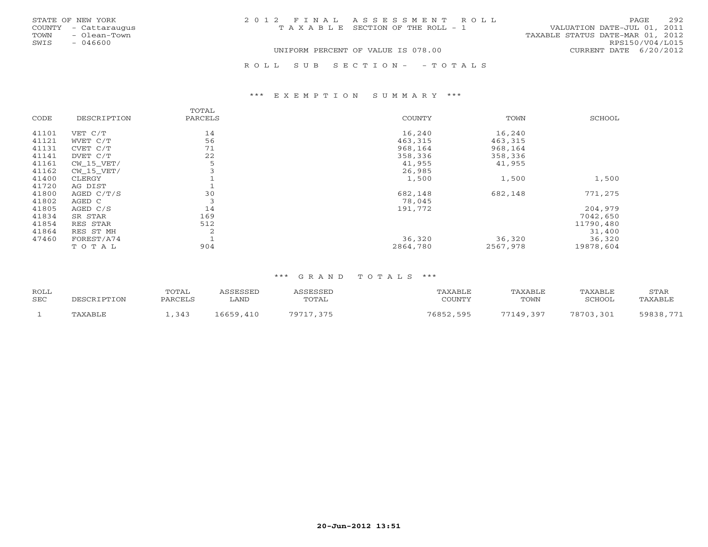|      | STATE OF NEW YORK    |                                    | 2012 FINAL ASSESSMENT ROLL            |                                  | PAGE            | 292 |
|------|----------------------|------------------------------------|---------------------------------------|----------------------------------|-----------------|-----|
|      | COUNTY - Cattaraugus |                                    | T A X A B L E SECTION OF THE ROLL - 1 | VALUATION DATE-JUL 01, 2011      |                 |     |
| TOWN | - Olean-Town         |                                    |                                       | TAXABLE STATUS DATE-MAR 01, 2012 |                 |     |
| SWIS | - 046600             |                                    |                                       |                                  | RPS150/V04/L015 |     |
|      |                      | UNIFORM PERCENT OF VALUE IS 078.00 | CURRENT DATE 6/20/2012                |                                  |                 |     |
|      |                      |                                    | ROLL SUB SECTION- - TOTALS            |                                  |                 |     |

#### \*\*\* E X E M P T I O N S U M M A R Y \*\*\*

|       |                | TOTAL   |          |          |               |
|-------|----------------|---------|----------|----------|---------------|
| CODE  | DESCRIPTION    | PARCELS | COUNTY   | TOWN     | <b>SCHOOL</b> |
| 41101 | VET C/T        | 14      | 16,240   | 16,240   |               |
| 41121 | WVET C/T       | 56      | 463,315  | 463,315  |               |
| 41131 | CVET C/T       | 71      | 968,164  | 968,164  |               |
| 41141 | DVET C/T       | 22      | 358,336  | 358,336  |               |
| 41161 | $CW$ 15 $VET/$ | 5       | 41,955   | 41,955   |               |
| 41162 | $CW_15_VET/$   |         | 26,985   |          |               |
| 41400 | CLERGY         |         | 1,500    | 1,500    | 1,500         |
| 41720 | AG DIST        |         |          |          |               |
| 41800 | AGED C/T/S     | 30      | 682,148  | 682,148  | 771,275       |
| 41802 | AGED C         | 3       | 78,045   |          |               |
| 41805 | AGED C/S       | 14      | 191,772  |          | 204,979       |
| 41834 | SR STAR        | 169     |          |          | 7042,650      |
| 41854 | RES STAR       | 512     |          |          | 11790,480     |
| 41864 | RES ST MH      | 2       |          |          | 31,400        |
| 47460 | FOREST/A74     |         | 36,320   | 36,320   | 36,320        |
|       | TOTAL          | 904     | 2864,780 | 2567,978 | 19878,604     |

| ROLL       |             | TOTAL   | ASSESSED  | ASSESSED  | TAXABLE   | TAXABLE   | TAXABLE   | STAR      |
|------------|-------------|---------|-----------|-----------|-----------|-----------|-----------|-----------|
| <b>SEC</b> | DESCRIPTION | PARCELS | LAND      | TOTAL     | COUNTY    | TOWN      | SCHOOL    | TAXABLE   |
|            | TAXABLE     | ,343    | 16659,410 | 79717,375 | 76852,595 | 77149,397 | 78703,301 | 59838,771 |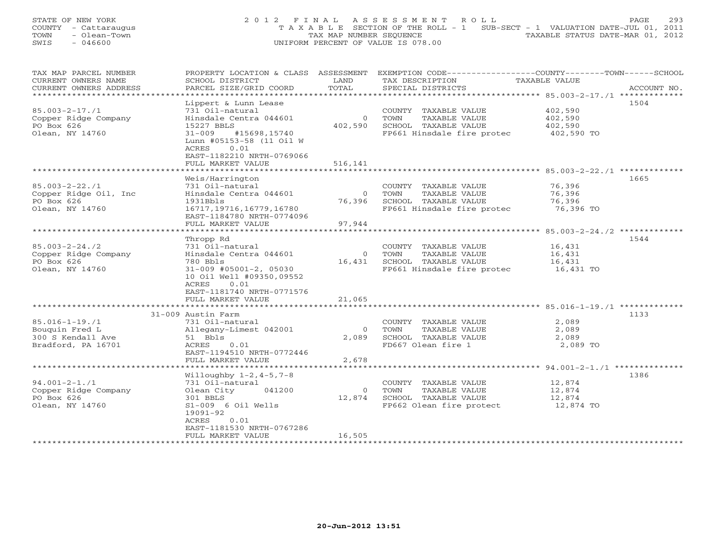STATE OF NEW YORK 293 COUNTY - Cattaraugus T A X A B L E SECTION OF THE ROLL - 1 SUB-SECT - 1 VALUATION DATE-JUL 01, 2011 TOWN - Olean-Town - Olean-Town TOWN - Olean-Town TAX MAP NUMBER SEQUENCE TAXABLE STATUS DATE-MAR 01, 2012<br>
TAX MAP NUMBER SEQUENCE TAXABLE STATUS DATE-MAR 01, 2012 SWIS - 046600 UNIFORM PERCENT OF VALUE IS 078.00

| TAX MAP PARCEL NUMBER                         | PROPERTY LOCATION & CLASS ASSESSMENT          |                        | EXEMPTION CODE-----------------COUNTY-------TOWN------SCHOOL |               |             |
|-----------------------------------------------|-----------------------------------------------|------------------------|--------------------------------------------------------------|---------------|-------------|
| CURRENT OWNERS NAME<br>CURRENT OWNERS ADDRESS | SCHOOL DISTRICT<br>PARCEL SIZE/GRID COORD     | LAND<br>TOTAL          | TAX DESCRIPTION                                              | TAXABLE VALUE | ACCOUNT NO. |
| ********************                          |                                               |                        | SPECIAL DISTRICTS                                            |               |             |
|                                               |                                               |                        |                                                              |               | 1504        |
|                                               | Lippert & Lunn Lease                          |                        |                                                              |               |             |
| $85.003 - 2 - 17.71$                          | 731 Oil-natural                               |                        | COUNTY TAXABLE VALUE                                         | 402,590       |             |
| Copper Ridge Company                          | Hinsdale Centra 044601                        | $\Omega$               | TOWN<br>TAXABLE VALUE                                        | 402,590       |             |
| PO Box 626                                    | 15227 BBLS                                    | 402,590                | SCHOOL TAXABLE VALUE                                         | 402,590       |             |
| Olean, NY 14760                               | $31 - 009$<br>#15698,15740                    |                        | FP661 Hinsdale fire protec                                   | 402,590 TO    |             |
|                                               | Lunn #05153-58 (11 Oil W                      |                        |                                                              |               |             |
|                                               | ACRES<br>0.01                                 |                        |                                                              |               |             |
|                                               | EAST-1182210 NRTH-0769066                     |                        |                                                              |               |             |
|                                               | FULL MARKET VALUE<br>**********************   | 516,141                |                                                              |               |             |
|                                               |                                               |                        |                                                              |               |             |
|                                               | Weis/Harrington                               |                        |                                                              |               | 1665        |
| $85.003 - 2 - 22.71$                          | 731 Oil-natural                               |                        | COUNTY TAXABLE VALUE                                         | 76,396        |             |
| Copper Ridge Oil, Inc                         | Hinsdale Centra 044601                        | $\circ$                | TAXABLE VALUE<br>TOWN                                        | 76,396        |             |
| PO Box 626                                    | 1931Bbls                                      | 76,396                 | SCHOOL TAXABLE VALUE                                         | 76,396        |             |
| Olean, NY 14760                               | 16717, 19716, 16779, 16780                    |                        | FP661 Hinsdale fire protec                                   | 76,396 TO     |             |
|                                               | EAST-1184780 NRTH-0774096                     |                        |                                                              |               |             |
|                                               | FULL MARKET VALUE<br>**********************   | 97,944                 |                                                              |               |             |
|                                               |                                               |                        |                                                              |               |             |
|                                               | Thropp Rd                                     |                        |                                                              |               | 1544        |
| $85.003 - 2 - 24.72$                          | 731 Oil-natural                               |                        | COUNTY TAXABLE VALUE                                         | 16,431        |             |
| Copper Ridge Company                          | Hinsdale Centra 044601                        | $\overline{0}$         | TOWN<br>TAXABLE VALUE                                        | 16,431        |             |
| PO Box 626                                    | 780 Bbls                                      |                        | 16,431 SCHOOL TAXABLE VALUE                                  | 16,431        |             |
| Olean, NY 14760                               | 31-009 #05001-2, 05030                        |                        | FP661 Hinsdale fire protec                                   | 16,431 TO     |             |
|                                               | 10 Oil Well #09350,09552                      |                        |                                                              |               |             |
|                                               | ACRES<br>0.01                                 |                        |                                                              |               |             |
|                                               | EAST-1181740 NRTH-0771576                     |                        |                                                              |               |             |
|                                               | FULL MARKET VALUE<br>************************ | 21,065<br>************ |                                                              |               |             |
|                                               |                                               |                        |                                                              |               |             |
|                                               | 31-009 Austin Farm                            |                        |                                                              |               | 1133        |
| $85.016 - 1 - 19.71$                          | 731 Oil-natural                               |                        | COUNTY TAXABLE VALUE                                         | 2,089         |             |
| Bouguin Fred L                                | Allegany-Limest 042001                        | $\Omega$               | TOWN<br>TAXABLE VALUE                                        | 2,089         |             |
| 300 S Kendall Ave                             | 51 Bbls                                       | 2,089                  | SCHOOL TAXABLE VALUE                                         | 2,089         |             |
| Bradford, PA 16701                            | ACRES<br>0.01                                 |                        | FD667 Olean fire 1                                           | 2,089 TO      |             |
|                                               | EAST-1194510 NRTH-0772446                     |                        |                                                              |               |             |
|                                               | FULL MARKET VALUE                             | 2,678                  |                                                              |               |             |
|                                               |                                               |                        |                                                              |               |             |
|                                               | Willoughby $1-2, 4-5, 7-8$                    |                        |                                                              |               | 1386        |
| $94.001 - 2 - 1.71$                           | 731 Oil-natural                               |                        | COUNTY TAXABLE VALUE                                         | 12,874        |             |
| Copper Ridge Company                          | Olean City<br>041200                          | $\Omega$               | TOWN<br>TAXABLE VALUE                                        | 12,874        |             |
| PO Box 626                                    | 301 BBLS                                      | 12,874                 | SCHOOL TAXABLE VALUE                                         | 12,874        |             |
| Olean, NY 14760                               | $S1-009$ 6 Oil Wells                          |                        | FP662 Olean fire protect                                     | 12,874 TO     |             |
|                                               | 19091-92                                      |                        |                                                              |               |             |
|                                               | ACRES<br>0.01                                 |                        |                                                              |               |             |
|                                               | EAST-1181530 NRTH-0767286                     |                        |                                                              |               |             |
|                                               | FULL MARKET VALUE                             | 16,505                 |                                                              |               |             |
|                                               |                                               |                        |                                                              |               |             |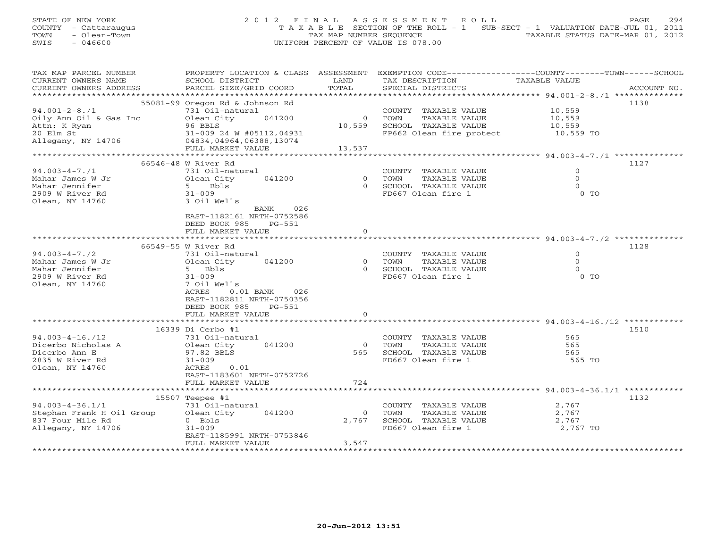| STATE OF NEW YORK    |              |  | 2012 FINAL ASSESSMENT ROLL                                                     |  |  | PAGE                             | 294 |
|----------------------|--------------|--|--------------------------------------------------------------------------------|--|--|----------------------------------|-----|
| COUNTY - Cattaraugus |              |  | T A X A B L E SECTION OF THE ROLL - 1 SUB-SECT - 1 VALUATION DATE-JUL 01, 2011 |  |  |                                  |     |
| TOWN                 | - Olean-Town |  | TAX MAP NUMBER SEOUENCE                                                        |  |  | TAXABLE STATUS DATE-MAR 01, 2012 |     |
| SWIS                 | - 046600     |  | UNIFORM PERCENT OF VALUE IS 078.00                                             |  |  |                                  |     |

| TAX MAP PARCEL NUMBER     | PROPERTY LOCATION & CLASS ASSESSMENT                                          |                |                                    | EXEMPTION CODE-----------------COUNTY-------TOWN------SCHOOL |
|---------------------------|-------------------------------------------------------------------------------|----------------|------------------------------------|--------------------------------------------------------------|
| CURRENT OWNERS NAME       | SCHOOL DISTRICT                                                               | LAND           | TAX DESCRIPTION                    | TAXABLE VALUE                                                |
| CURRENT OWNERS ADDRESS    | PARCEL SIZE/GRID COORD                                                        | TOTAL          | SPECIAL DISTRICTS                  | ACCOUNT NO.                                                  |
|                           |                                                                               |                |                                    |                                                              |
|                           | 55081-99 Oregon Rd & Johnson Rd                                               |                |                                    | 1138                                                         |
| $94.001 - 2 - 8.71$       | 731 Oil-natural                                                               |                | COUNTY TAXABLE VALUE               | 10,559                                                       |
| Oily Ann Oil & Gas Inc    | Olean City<br>041200                                                          | $\mathbf{0}$   | TOWN<br>TAXABLE VALUE              | 10,559                                                       |
|                           |                                                                               |                |                                    |                                                              |
| Attn: K Ryan              | 96 BBLS                                                                       | 10,559         | SCHOOL TAXABLE VALUE               | 10,559                                                       |
| 20 Elm St                 | 31-009 24 W #05112,04931<br>$31 - 009$ $24$ W $32$<br>04834,04964,06388,13074 |                | FP662 Olean fire protect 10,559 TO |                                                              |
| Allegany, NY 14706        |                                                                               |                |                                    |                                                              |
|                           | FULL MARKET VALUE                                                             | 13,537         |                                    |                                                              |
|                           |                                                                               |                |                                    |                                                              |
|                           | 66546-48 W River Rd                                                           |                |                                    | 1127                                                         |
| $94.003 - 4 - 7.71$       | 731 Oil-natural                                                               |                | COUNTY TAXABLE VALUE               | $\Omega$                                                     |
| Mahar James W Jr          | 041200<br>Olean City                                                          | $\circ$        | TOWN<br>TAXABLE VALUE              | $\circ$                                                      |
| Mahar Jennifer            | 5 Bbls                                                                        | $\Omega$       | SCHOOL TAXABLE VALUE               | $\Omega$                                                     |
| 2909 W River Rd           | $31 - 009$                                                                    |                | FD667 Olean fire 1                 | $0$ TO                                                       |
|                           |                                                                               |                |                                    |                                                              |
| Olean, NY 14760           | 3 Oil Wells                                                                   |                |                                    |                                                              |
|                           | 026<br>BANK                                                                   |                |                                    |                                                              |
|                           | EAST-1182161 NRTH-0752586                                                     |                |                                    |                                                              |
|                           | DEED BOOK 985<br>PG-551                                                       |                |                                    |                                                              |
|                           | FULL MARKET VALUE                                                             | $\mathbf{0}$   |                                    |                                                              |
|                           | ************************                                                      |                |                                    |                                                              |
|                           | 66549-55 W River Rd                                                           |                |                                    | 1128                                                         |
| $94.003 - 4 - 7.72$       | 731 Oil-natural                                                               |                | COUNTY TAXABLE VALUE               | $\Omega$                                                     |
| Mahar James W Jr          | 041200<br>Olean City                                                          | $\overline{0}$ | TOWN<br>TAXABLE VALUE              | $\circ$                                                      |
| Mahar Jennifer            | 5 Bbls                                                                        | $\Omega$       | SCHOOL TAXABLE VALUE               | $\circ$                                                      |
|                           |                                                                               |                |                                    | $0$ TO                                                       |
| 2909 W River Rd           | $31 - 009$                                                                    |                | FD667 Olean fire 1                 |                                                              |
| Olean, NY 14760           | 7 Oil Wells                                                                   |                |                                    |                                                              |
|                           | ACRES<br>$0.01$ BANK<br>026                                                   |                |                                    |                                                              |
|                           | EAST-1182811 NRTH-0750356                                                     |                |                                    |                                                              |
|                           | DEED BOOK 985<br>PG-551                                                       |                |                                    |                                                              |
|                           | FULL MARKET VALUE                                                             | $\Omega$       |                                    |                                                              |
|                           | ***************************                                                   |                |                                    |                                                              |
|                           | 16339 Di Cerbo #1                                                             |                |                                    | 1510                                                         |
| $94.003 - 4 - 16.712$     | 731 Oil-natural                                                               |                | COUNTY TAXABLE VALUE               | 565                                                          |
| Dicerbo Nicholas A        | 041200<br>Olean City                                                          | $\overline{0}$ | TAXABLE VALUE<br>TOWN              | 565                                                          |
|                           |                                                                               | 565            |                                    |                                                              |
| Dicerbo Ann E             | 97.82 BBLS                                                                    |                | SCHOOL TAXABLE VALUE               | 565                                                          |
| 2835 W River Rd           | $31 - 009$                                                                    |                | FD667 Olean fire 1                 | 565 TO                                                       |
| Olean, NY 14760           | ACRES<br>0.01                                                                 |                |                                    |                                                              |
|                           | EAST-1183601 NRTH-0752726                                                     |                |                                    |                                                              |
|                           | FULL MARKET VALUE                                                             | 724            |                                    |                                                              |
|                           | ************************                                                      |                |                                    |                                                              |
|                           | 15507 Teepee #1                                                               |                |                                    | 1132                                                         |
| $94.003 - 4 - 36.1/1$     | 731 Oil-natural                                                               |                | COUNTY TAXABLE VALUE               | 2,767                                                        |
| Stephan Frank H Oil Group | Olean City<br>041200                                                          | $\overline{0}$ | TOWN<br>TAXABLE VALUE              | 2,767                                                        |
|                           |                                                                               | 2,767          | SCHOOL TAXABLE VALUE               |                                                              |
| 837 Four Mile Rd          | 0 Bbls                                                                        |                |                                    | 2,767                                                        |
| Allegany, NY 14706        | $31 - 009$                                                                    |                | FD667 Olean fire 1                 | 2,767 TO                                                     |
|                           | EAST-1185991 NRTH-0753846                                                     |                |                                    |                                                              |
|                           | FULL MARKET VALUE                                                             | 3,547          |                                    |                                                              |
|                           |                                                                               |                |                                    |                                                              |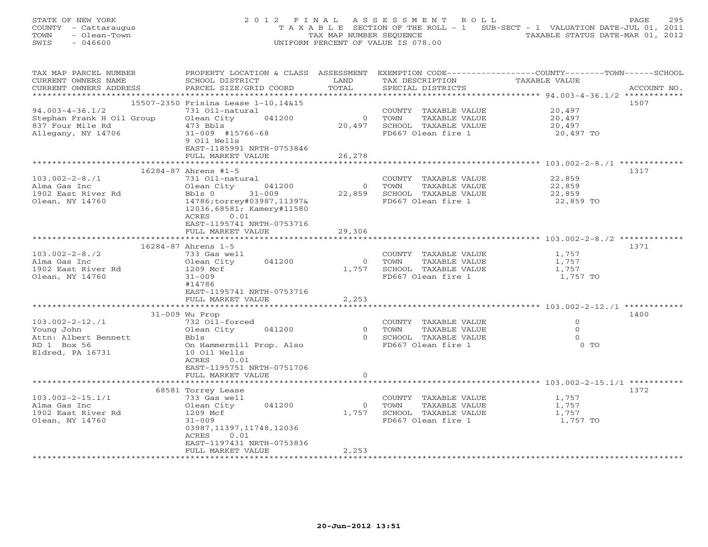|      | STATE OF NEW YORK    | 2012 FINAL ASSESSMENT ROLL         |                         |  | PAGE                                                                           | 295 |
|------|----------------------|------------------------------------|-------------------------|--|--------------------------------------------------------------------------------|-----|
|      | COUNTY - Cattaraugus |                                    |                         |  | T A X A B L E SECTION OF THE ROLL - 1 SUB-SECT - 1 VALUATION DATE-JUL 01, 2011 |     |
|      | TOWN - Olean-Town    |                                    | TAX MAP NUMBER SEOUENCE |  | TAXABLE STATUS DATE-MAR 01, 2012                                               |     |
| SWIS | - 046600             | UNIFORM PERCENT OF VALUE IS 078.00 |                         |  |                                                                                |     |

| TAX MAP PARCEL NUMBER     | PROPERTY LOCATION & CLASS ASSESSMENT EXEMPTION CODE---------------COUNTY-------TOWN------SCHOOL |                |                             |                  |             |
|---------------------------|-------------------------------------------------------------------------------------------------|----------------|-----------------------------|------------------|-------------|
| CURRENT OWNERS NAME       | SCHOOL DISTRICT                                                                                 | LAND           | TAX DESCRIPTION             | TAXABLE VALUE    |             |
| CURRENT OWNERS ADDRESS    | PARCEL SIZE/GRID COORD                                                                          | TOTAL          | SPECIAL DISTRICTS           |                  | ACCOUNT NO. |
|                           |                                                                                                 |                |                             |                  |             |
|                           | 15507-2350 Frisina Lease 1-10,14&15                                                             |                |                             |                  | 1507        |
| $94.003 - 4 - 36.1/2$     |                                                                                                 |                |                             | 20,497           |             |
|                           | 731 Oil-natural                                                                                 |                | COUNTY TAXABLE VALUE        |                  |             |
| Stephan Frank H Oil Group | 041200<br>Olean City                                                                            | $\overline{0}$ | TOWN<br>TAXABLE VALUE       | 20,497<br>20,497 |             |
| 837 Four Mile Rd          | 473 Bbls                                                                                        | 20,497         | SCHOOL TAXABLE VALUE        |                  |             |
| Allegany, NY 14706        | $31 - 009$ #15766-68                                                                            |                | FD667 Olean fire 1          | 20,497 TO        |             |
|                           | 9 Oil Wells                                                                                     |                |                             |                  |             |
|                           | EAST-1185991 NRTH-0753846                                                                       |                |                             |                  |             |
|                           | FULL MARKET VALUE                                                                               | 26,278         |                             |                  |             |
|                           |                                                                                                 |                |                             |                  |             |
|                           | 16284-87 Ahrens #1-5                                                                            |                |                             |                  | 1317        |
| $103.002 - 2 - 8.71$      |                                                                                                 |                |                             | 22,859           |             |
|                           | 731 Oil-natural                                                                                 |                | COUNTY TAXABLE VALUE        |                  |             |
| Alma Gas Inc              | Olean City 041200                                                                               |                | 0 TOWN<br>TAXABLE VALUE     | 22,859<br>22,859 |             |
| 1902 East River Rd        | $31 - 009$<br>Bbls 0                                                                            |                | 22,859 SCHOOL TAXABLE VALUE |                  |             |
| Olean, NY 14760           | 14786;torrey#03987,11397&                                                                       |                | FD667 Olean fire 1          | 22,859 TO        |             |
|                           | 12036,68581; Kamery#11580                                                                       |                |                             |                  |             |
|                           | ACRES 0.01                                                                                      |                |                             |                  |             |
|                           | EAST-1195741 NRTH-0753716                                                                       |                |                             |                  |             |
|                           | FULL MARKET VALUE                                                                               | 29,306         |                             |                  |             |
|                           |                                                                                                 |                |                             |                  |             |
|                           |                                                                                                 |                |                             |                  | 1371        |
|                           | 16284-87 Ahrens 1-5                                                                             |                |                             |                  |             |
| $103.002 - 2 - 8.72$      | 733 Gas well                                                                                    |                | COUNTY TAXABLE VALUE        | 1,757<br>1,757   |             |
| Alma Gas Inc              | Olean City 041200                                                                               |                | 0 TOWN<br>TAXABLE VALUE     |                  |             |
| 1902 East River Rd        | 1209 Mcf                                                                                        |                | 1,757 SCHOOL TAXABLE VALUE  | 1,757            |             |
| Olean, NY 14760           | $31 - 009$                                                                                      |                | FD667 Olean fire 1          | 1,757 TO         |             |
|                           | #14786                                                                                          |                |                             |                  |             |
|                           | EAST-1195741 NRTH-0753716                                                                       |                |                             |                  |             |
|                           | FULL MARKET VALUE                                                                               | 2,253          |                             |                  |             |
|                           |                                                                                                 |                |                             |                  |             |
|                           | 31-009 Wu Prop                                                                                  |                |                             |                  | 1400        |
|                           |                                                                                                 |                |                             |                  |             |
| $103.002 - 2 - 12.71$     | 732 Oil-forced                                                                                  |                | COUNTY TAXABLE VALUE        | $\overline{0}$   |             |
| Young John                | Olean City 041200                                                                               |                | 0 TOWN<br>TAXABLE VALUE     | $\Omega$         |             |
| Attn: Albert Bennett      | Bbls                                                                                            |                | 0 SCHOOL TAXABLE VALUE      | $\Omega$         |             |
| RD 1 Box 56               | On Hammermill Prop. Also                                                                        |                | FD667 Olean fire 1          | $0$ TO           |             |
| Eldred, PA 16731          | 10 Oil Wells                                                                                    |                |                             |                  |             |
|                           | 0.01<br>ACRES                                                                                   |                |                             |                  |             |
|                           | EAST-1195751 NRTH-0751706                                                                       |                |                             |                  |             |
|                           | FULL MARKET VALUE                                                                               | $\Omega$       |                             |                  |             |
|                           | ********************                                                                            |                |                             |                  |             |
|                           |                                                                                                 |                |                             |                  | 1372        |
|                           | 68581 Torrey Lease                                                                              |                |                             |                  |             |
| $103.002 - 2 - 15.1/1$    | 733 Gas well                                                                                    |                | COUNTY TAXABLE VALUE        | 1,757            |             |
| Alma Gas Inc              | Olean City 041200                                                                               | $\overline{0}$ | TOWN<br>TAXABLE VALUE       | 1,757            |             |
| 1902 East River Rd        | 1209 Mcf                                                                                        |                | 1,757 SCHOOL TAXABLE VALUE  | 1,757            |             |
| Olean, NY 14760           | $31 - 009$                                                                                      |                | FD667 Olean fire 1          | 1,757 TO         |             |
|                           | 03987,11397,11748,12036                                                                         |                |                             |                  |             |
|                           | ACRES<br>0.01                                                                                   |                |                             |                  |             |
|                           | EAST-1197431 NRTH-0753836                                                                       |                |                             |                  |             |
|                           | FULL MARKET VALUE                                                                               | 2,253          |                             |                  |             |
|                           |                                                                                                 |                |                             |                  |             |
|                           |                                                                                                 |                |                             |                  |             |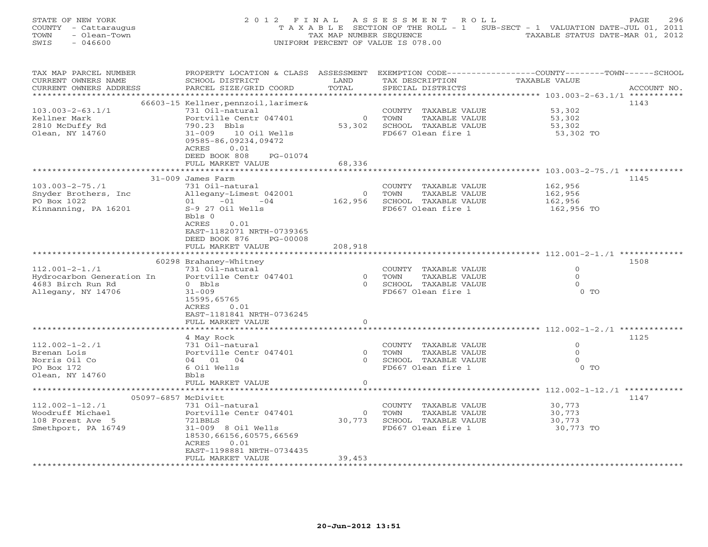| STATE OF NEW YORK    | 2012 FINAL ASSESSMENT ROLL                                                     | 296<br>PAGE. |
|----------------------|--------------------------------------------------------------------------------|--------------|
| COUNTY - Cattaraugus | T A X A B L E SECTION OF THE ROLL - 1 SUB-SECT - 1 VALUATION DATE-JUL 01, 2011 |              |
| TOWN<br>- Olean-Town | TAXABLE STATUS DATE-MAR 01, 2012<br>TAX MAP NUMBER SEOUENCE                    |              |
| SWIS<br>- 046600     | UNIFORM PERCENT OF VALUE IS 078.00                                             |              |

| TAX MAP PARCEL NUMBER                             | PROPERTY LOCATION & CLASS ASSESSMENT      |                |                                               | EXEMPTION CODE-----------------COUNTY-------TOWN------SCHOOL |             |
|---------------------------------------------------|-------------------------------------------|----------------|-----------------------------------------------|--------------------------------------------------------------|-------------|
| CURRENT OWNERS NAME                               | SCHOOL DISTRICT                           | LAND           | TAX DESCRIPTION                               | TAXABLE VALUE                                                |             |
| CURRENT OWNERS ADDRESS                            | PARCEL SIZE/GRID COORD                    | TOTAL          | SPECIAL DISTRICTS                             |                                                              | ACCOUNT NO. |
|                                                   |                                           |                |                                               |                                                              |             |
|                                                   | 66603-15 Kellner, pennzoil, larimer&      |                |                                               |                                                              | 1143        |
| $103.003 - 2 - 63.1/1$                            | 731 Oil-natural                           |                | COUNTY TAXABLE VALUE                          | 53,302                                                       |             |
| Kellner Mark                                      | Portville Centr 047401                    | $\circ$        | TOWN<br>TAXABLE VALUE                         | 53,302                                                       |             |
| 2810 McDuffy Rd                                   | 790.23 Bbls                               | 53,302         | SCHOOL TAXABLE VALUE                          | 53,302                                                       |             |
| Olean, NY 14760                                   | 10 Oil Wells<br>$31 - 009$                |                | FD667 Olean fire 1                            | 53,302 TO                                                    |             |
|                                                   | 09585-86,09234,09472                      |                |                                               |                                                              |             |
|                                                   | 0.01<br>ACRES                             |                |                                               |                                                              |             |
|                                                   | DEED BOOK 808<br>PG-01074                 |                |                                               |                                                              |             |
|                                                   | FULL MARKET VALUE                         | 68,336         |                                               |                                                              |             |
|                                                   | *********************                     | ***********    |                                               |                                                              |             |
|                                                   | 31-009 James Farm                         |                |                                               |                                                              | 1145        |
| $103.003 - 2 - 75.71$                             | 731 Oil-natural                           |                | COUNTY TAXABLE VALUE                          | 162,956                                                      |             |
| Snyder Brothers, Inc                              | Allegany-Limest 042001                    | $\circ$        | TOWN<br>TAXABLE VALUE                         | 162,956                                                      |             |
| PO Box 1022                                       | $01 -01 -04$                              | 162,956        | SCHOOL TAXABLE VALUE                          | 162,956                                                      |             |
| Kinnanning, PA 16201                              | S-9 27 Oil Wells                          |                | FD667 Olean fire 1                            | 162,956 TO                                                   |             |
|                                                   | Bbls 0                                    |                |                                               |                                                              |             |
|                                                   | ACRES<br>0.01                             |                |                                               |                                                              |             |
|                                                   | EAST-1182071 NRTH-0739365                 |                |                                               |                                                              |             |
|                                                   | DEED BOOK 876<br>PG-00008                 |                |                                               |                                                              |             |
|                                                   | FULL MARKET VALUE                         | 208,918        |                                               |                                                              |             |
|                                                   |                                           |                |                                               |                                                              |             |
|                                                   | 60298 Brahaney-Whitney<br>731 Oil-natural |                |                                               | $\Omega$                                                     | 1508        |
| $112.001 - 2 - 1.71$<br>Hydrocarbon Generation In | Portville Centr 047401                    | $\overline{0}$ | COUNTY TAXABLE VALUE<br>TOWN<br>TAXABLE VALUE | $\circ$                                                      |             |
| 4683 Birch Run Rd                                 | $0$ Bbls                                  | $\Omega$       | SCHOOL TAXABLE VALUE                          | $\Omega$                                                     |             |
| Allegany, NY 14706                                | $31 - 009$                                |                | FD667 Olean fire 1                            | $0$ TO                                                       |             |
|                                                   | 15595,65765                               |                |                                               |                                                              |             |
|                                                   | 0.01<br>ACRES                             |                |                                               |                                                              |             |
|                                                   | EAST-1181841 NRTH-0736245                 |                |                                               |                                                              |             |
|                                                   | FULL MARKET VALUE                         | $\circ$        |                                               |                                                              |             |
|                                                   |                                           |                |                                               |                                                              |             |
|                                                   | 4 May Rock                                |                |                                               |                                                              | 1125        |
| $112.002 - 1 - 2.71$                              | 731 Oil-natural                           |                | COUNTY TAXABLE VALUE                          | $\Omega$                                                     |             |
| Brenan Lois                                       | Portville Centr 047401                    | $\Omega$       | TAXABLE VALUE<br>TOWN                         | $\mathbf{O}$                                                 |             |
| Norris Oil Co                                     | 04 01 04                                  | $\Omega$       | SCHOOL TAXABLE VALUE                          | $\Omega$                                                     |             |
| PO Box 172                                        | 6 Oil Wells                               |                | FD667 Olean fire 1                            | $0$ TO                                                       |             |
| Olean, NY 14760                                   | <b>Bbls</b>                               |                |                                               |                                                              |             |
|                                                   | FULL MARKET VALUE                         | $\circ$        |                                               |                                                              |             |
|                                                   | *****************************             |                |                                               |                                                              |             |
| 05097-6857 McDivitt                               |                                           |                |                                               |                                                              | 1147        |
| $112.002 - 1 - 12.71$                             | 731 Oil-natural                           |                | COUNTY TAXABLE VALUE                          | 30,773                                                       |             |
| Woodruff Michael                                  | Portville Centr 047401                    | $\circ$        | TOWN<br>TAXABLE VALUE                         | 30,773                                                       |             |
| 108 Forest Ave 5                                  | 721BBLS                                   | 30,773         | SCHOOL TAXABLE VALUE                          | 30,773                                                       |             |
| Smethport, PA 16749                               | 31-009 8 Oil Wells                        |                | FD667 Olean fire 1                            | 30,773 TO                                                    |             |
|                                                   | 18530,66156,60575,66569                   |                |                                               |                                                              |             |
|                                                   | ACRES<br>0.01                             |                |                                               |                                                              |             |
|                                                   | EAST-1198881 NRTH-0734435                 |                |                                               |                                                              |             |
|                                                   | FULL MARKET VALUE                         | 39,453         |                                               |                                                              |             |
|                                                   |                                           |                |                                               |                                                              |             |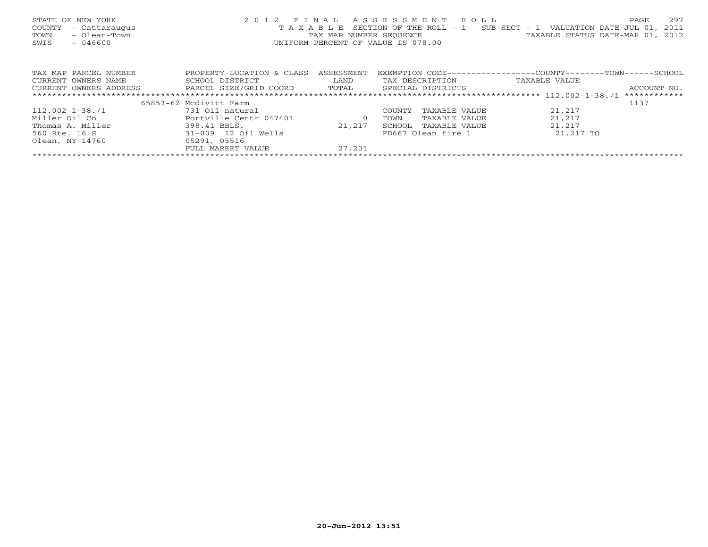|      | STATE OF NEW YORK    | 2012 FINAL ASSESSMENT ROLL                                                     |                                  | PAGE | 297 |
|------|----------------------|--------------------------------------------------------------------------------|----------------------------------|------|-----|
|      | COUNTY - Cattaraugus | T A X A B L E SECTION OF THE ROLL - 1 SUB-SECT - 1 VALUATION DATE-JUL 01, 2011 |                                  |      |     |
| TOWN | - Olean-Town         | TAX MAP NUMBER SEOUENCE                                                        | TAXABLE STATUS DATE-MAR 01, 2012 |      |     |
| SWIS | - 046600             | UNIFORM PERCENT OF VALUE IS 078.00                                             |                                  |      |     |
|      |                      |                                                                                |                                  |      |     |
|      |                      |                                                                                |                                  |      |     |

| TAX MAP PARCEL NUMBER  | PROPERTY LOCATION & CLASS | ASSESSMENT | EXEMPTION CODE---       | -COUNTY------<br>-TOWN- | - SCHOOL     |
|------------------------|---------------------------|------------|-------------------------|-------------------------|--------------|
| CURRENT OWNERS NAME    | SCHOOL DISTRICT           | LAND       | TAX DESCRIPTION         | TAXABLE VALUE           |              |
| CURRENT OWNERS ADDRESS | PARCEL SIZE/GRID COORD    | TOTAL      | SPECIAL DISTRICTS       |                         | ACCOUNT NO.  |
|                        |                           |            |                         |                         | ************ |
|                        | 65853-62 Mcdivitt Farm    |            |                         |                         | 1137         |
| $112.002 - 1 - 38.71$  | 731 Oil-natural           |            | TAXABLE VALUE<br>COUNTY | 21,217                  |              |
| Miller Oil Co          | Portville Centr 047401    |            | TAXABLE VALUE<br>TOWN   | 21,217                  |              |
| Thomas A. Miller       | 398.41 BBLS.              | 21,217     | SCHOOL<br>TAXABLE VALUE | 21,217                  |              |
| 560 Rte. 16 S          | 31-009 12 Oil Wells       |            | FD667 Olean fire 1      | 21,217 TO               |              |
| Olean, NY 14760        | 05291, 05516              |            |                         |                         |              |
|                        | FULL MARKET VALUE         | 27,201     |                         |                         |              |
|                        |                           |            |                         |                         |              |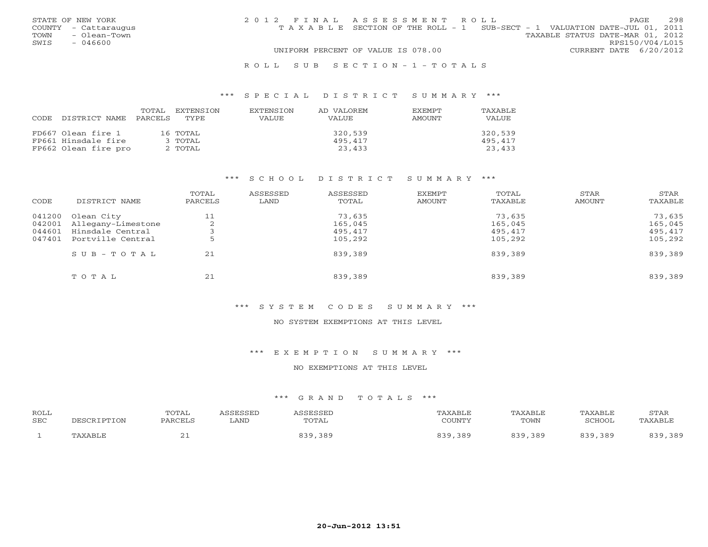|      | STATE OF NEW YORK    | 2012 FINAL ASSESSMENT ROLL |                                                                                |  |                                  |                        | PAGE | 298 |
|------|----------------------|----------------------------|--------------------------------------------------------------------------------|--|----------------------------------|------------------------|------|-----|
|      | COUNTY - Cattaraugus |                            | T A X A B L E SECTION OF THE ROLL - 1 SUB-SECT - 1 VALUATION DATE-JUL 01, 2011 |  |                                  |                        |      |     |
| TOWN | - Olean-Town         |                            |                                                                                |  | TAXABLE STATUS DATE-MAR 01, 2012 |                        |      |     |
| SWIS | - 046600             |                            |                                                                                |  |                                  | RPS150/V04/L015        |      |     |
|      |                      |                            | UNIFORM PERCENT OF VALUE IS 078.00                                             |  |                                  | CURRENT DATE 6/20/2012 |      |     |
|      |                      |                            |                                                                                |  |                                  |                        |      |     |

#### R O L L S U B S E C T I O N - 1 - T O T A L S

#### \*\*\* S P E C I A L D I S T R I C T S U M M A R Y \*\*\*

| CODE | DISTRICT NAME        | TOTAL<br>PARCELS | EXTENSTON<br>TYPE | <b>EXTENSION</b><br><b>VALUE</b> | AD VALOREM<br><b>VALUE</b> | <b>EXEMPT</b><br>AMOUNT | TAXABLE<br>VALUE |
|------|----------------------|------------------|-------------------|----------------------------------|----------------------------|-------------------------|------------------|
|      | FD667 Olean fire 1   |                  | 16 TOTAL          |                                  | 320,539                    |                         | 320,539          |
|      | FP661 Hinsdale fire  |                  | $3$ TOTAL         |                                  | 495,417                    |                         | 495,417          |
|      | FP662 Olean fire pro |                  | 2 TOTAL           |                                  | 23,433                     |                         | 23,433           |

#### \*\*\* S C H O O L D I S T R I C T S U M M A R Y \*\*\*

| CODE                       | DISTRICT NAME                         | TOTAL<br>PARCELS | ASSESSED<br>LAND | ASSESSED<br>TOTAL  | <b>EXEMPT</b><br>AMOUNT | TOTAL<br>TAXABLE   | <b>STAR</b><br>AMOUNT | STAR<br>TAXABLE    |
|----------------------------|---------------------------------------|------------------|------------------|--------------------|-------------------------|--------------------|-----------------------|--------------------|
| 041200                     | Olean City<br>Allegany-Limestone      | 11<br>$\sim$     |                  | 73,635<br>165,045  |                         | 73,635<br>165,045  |                       | 73,635<br>165,045  |
| 042001<br>044601<br>047401 | Hinsdale Central<br>Portville Central |                  |                  | 495,417<br>105,292 |                         | 495,417<br>105,292 |                       | 495,417<br>105,292 |
|                            | SUB-TOTAL                             | 21               |                  | 839,389            |                         | 839,389            |                       | 839,389            |
|                            | TOTAL                                 | 21               |                  | 839,389            |                         | 839,389            |                       | 839,389            |

#### \*\*\* S Y S T E M C O D E S S U M M A R Y \*\*\*

### NO SYSTEM EXEMPTIONS AT THIS LEVEL

#### \*\*\* E X E M P T I O N S U M M A R Y \*\*\*

#### NO EXEMPTIONS AT THIS LEVEL

| ROLL |                | TOTAL          |      | <b>CCFCCFI</b> | AXABLE             | TAXABLE     | TAXABLE        | <b>STAR</b>      |
|------|----------------|----------------|------|----------------|--------------------|-------------|----------------|------------------|
| SEC  | DESCRIPTION    | <b>PARCELS</b> | LAND | TOTAL          | $C$ $\cap$ TINIMIZ | TOWN        | ⊂∩¤∩∩t<br>HUUL | <b>PAYARI</b> .F |
|      | <b>TAXABLE</b> | <u>_</u>       |      | າ ດ ເ          | 389<br>າ ລິດ       | 839<br>,389 | 389            | ,389             |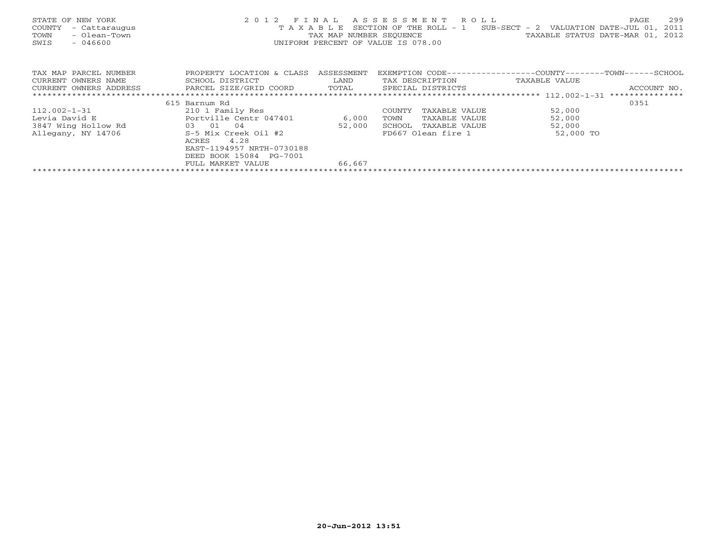| STATE OF NEW YORK<br>COUNTY<br>- Cattaraugus<br>- Olean-Town<br>TOWN<br>SWIS<br>$-046600$ | 2 0 1 2<br>TAXABLE        | FINAL      | A S S E S S M E N T R O L L<br>SECTION OF THE ROLL - 1<br>UNIFORM PERCENT OF VALUE IS 078.00 | 299<br>PAGE<br>SUB-SECT - 2 VALUATION DATE-JUL 01,<br>2011<br>TAX MAP NUMBER SEQUENCE TAXABLE STATUS DATE-MAR 01, 2012 |
|-------------------------------------------------------------------------------------------|---------------------------|------------|----------------------------------------------------------------------------------------------|------------------------------------------------------------------------------------------------------------------------|
| TAX MAP PARCEL NUMBER                                                                     | PROPERTY LOCATION & CLASS | ASSESSMENT |                                                                                              | EXEMPTION CODE-----------------COUNTY-------TOWN------SCHOOL                                                           |
| CURRENT OWNERS NAME                                                                       | SCHOOL DISTRICT           | LAND       | TAX DESCRIPTION                                                                              | TAXABLE VALUE                                                                                                          |
| CURRENT OWNERS ADDRESS                                                                    | PARCEL SIZE/GRID COORD    | TOTAL      | SPECIAL DISTRICTS                                                                            | ACCOUNT NO.                                                                                                            |
|                                                                                           |                           |            |                                                                                              | ***************                                                                                                        |
|                                                                                           | 615 Barnum Rd             |            |                                                                                              | 0351                                                                                                                   |
| $112.002 - 1 - 31$                                                                        | 210 1 Family Res          |            | COUNTY<br>TAXABLE VALUE                                                                      | 52,000                                                                                                                 |
| Levia David E                                                                             | Portville Centr 047401    | 6,000      | TAXABLE VALUE<br>TOWN                                                                        | 52,000                                                                                                                 |
| 3847 Wing Hollow Rd                                                                       | 03 01<br>04               | 52,000     | SCHOOL<br>TAXABLE VALUE                                                                      | 52,000                                                                                                                 |
| Allegany, NY 14706                                                                        | S-5 Mix Creek Oil #2      |            | FD667 Olean fire 1                                                                           | 52,000 TO                                                                                                              |
|                                                                                           | 4.28<br>ACRES             |            |                                                                                              |                                                                                                                        |
|                                                                                           | EAST-1194957 NRTH-0730188 |            |                                                                                              |                                                                                                                        |
|                                                                                           | DEED BOOK 15084 PG-7001   |            |                                                                                              |                                                                                                                        |
|                                                                                           | FULL MARKET VALUE         | 66,667     |                                                                                              |                                                                                                                        |
|                                                                                           |                           |            |                                                                                              |                                                                                                                        |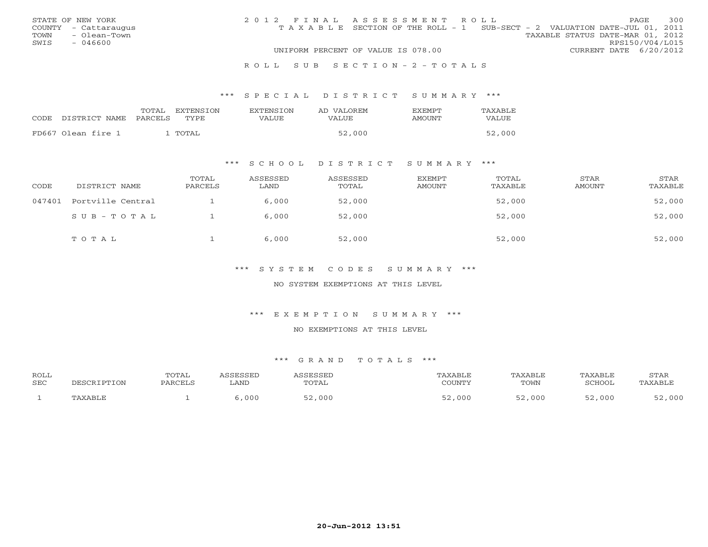|      | STATE OF NEW YORK    | 2012 FINAL ASSESSMENT ROLL |                                                                                |                                  |                        | <b>PAGE</b> | 300 |
|------|----------------------|----------------------------|--------------------------------------------------------------------------------|----------------------------------|------------------------|-------------|-----|
|      | COUNTY - Cattaraugus |                            | T A X A B L E SECTION OF THE ROLL - 1 SUB-SECT - 2 VALUATION DATE-JUL 01, 2011 |                                  |                        |             |     |
| TOWN | - Olean-Town         |                            |                                                                                | TAXABLE STATUS DATE-MAR 01, 2012 |                        |             |     |
| SWIS | $-046600$            |                            |                                                                                |                                  | RPS150/V04/L015        |             |     |
|      |                      |                            | UNIFORM PERCENT OF VALUE IS 078.00                                             |                                  | CURRENT DATE 6/20/2012 |             |     |
|      |                      |                            |                                                                                |                                  |                        |             |     |

#### R O L L S U B S E C T I O N - 2 - T O T A L S

#### \*\*\* S P E C I A L D I S T R I C T S U M M A R Y \*\*\*

|                    | TOTAL<br>EXTENSION      | <b>EXTENSION</b> | AD VALOREM | EXEMPT | TAXABLE |
|--------------------|-------------------------|------------------|------------|--------|---------|
| CODE DISTRICT NAME | <b>PARCELS</b><br>TYPE. | VALUE            | VALUE      | AMOUNT | VALUE   |
| FD667 Olean fire 1 | TOTAL                   |                  | 52,000     |        | 52,000  |
|                    |                         |                  |            |        |         |

# \*\*\* S C H O O L D I S T R I C T S U M M A R Y \*\*\*

| CODE   | DISTRICT NAME     | TOTAL<br>PARCELS | ASSESSED<br>LAND | ASSESSED<br>TOTAL | EXEMPT<br>AMOUNT | TOTAL<br>TAXABLE | STAR<br>AMOUNT | STAR<br>TAXABLE |
|--------|-------------------|------------------|------------------|-------------------|------------------|------------------|----------------|-----------------|
| 047401 | Portville Central |                  | 6,000            | 52,000            |                  | 52,000           |                | 52,000          |
|        | SUB-TOTAL         |                  | 6,000            | 52,000            |                  | 52,000           |                | 52,000          |
|        | TOTAL             |                  | 6,000            | 52,000            |                  | 52,000           |                | 52,000          |

# \*\*\* S Y S T E M C O D E S S U M M A R Y \*\*\*

#### NO SYSTEM EXEMPTIONS AT THIS LEVEL

#### \*\*\* E X E M P T I O N S U M M A R Y \*\*\*

#### NO EXEMPTIONS AT THIS LEVEL

| <b>ROLL</b> |                | TOTAL          | SSESSED | <b>CCFCCFT</b> | 'AXABLE | TAXABLE         | TAXABLE | STAR    |
|-------------|----------------|----------------|---------|----------------|---------|-----------------|---------|---------|
| SEC         | TON            | <b>PARCELS</b> | LAND    | TOTAL          | COUNTY  | TOWN            | SCHOOL  | TAXABLE |
|             | <b>TAXARIF</b> |                | 000     | ,000<br>- -    | 000     | $ \sim$<br>,000 | 000     | 000     |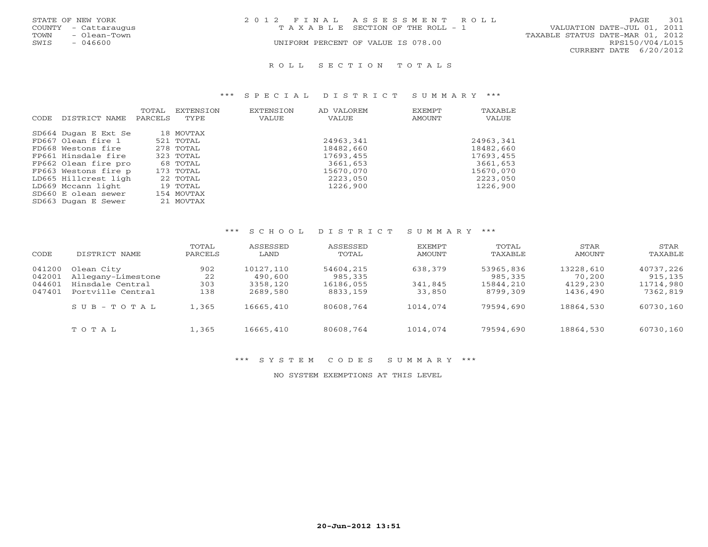| STATE OF NEW YORK    | 2012 FINAL ASSESSMENT ROLL            | 301<br>PAGE                      |
|----------------------|---------------------------------------|----------------------------------|
| COUNTY - Cattaraugus | T A X A B L E SECTION OF THE ROLL - 1 | VALUATION DATE-JUL 01, 2011      |
| - Olean-Town<br>TOWN |                                       | TAXABLE STATUS DATE-MAR 01, 2012 |
| SWIS<br>- 046600     | UNIFORM PERCENT OF VALUE IS 078.00    | RPS150/V04/L015                  |
|                      |                                       | CURRENT DATE 6/20/2012           |

#### R O L L S E C T I O N T O T A L S

#### \*\*\* S P E C I A L D I S T R I C T S U M M A R Y \*\*\*

| CODE. | DISTRICT NAME        | TOTAL<br>PARCELS | EXTENSION<br>TYPE | <b>EXTENSION</b><br>VALUE | AD VALOREM<br>VALUE | EXEMPT<br>AMOUNT | TAXABLE<br>VALUE |
|-------|----------------------|------------------|-------------------|---------------------------|---------------------|------------------|------------------|
|       | SD664 Dugan E Ext Se |                  | 18 MOVTAX         |                           |                     |                  |                  |
|       | FD667 Olean fire 1   |                  | 521 TOTAL         |                           | 24963,341           |                  | 24963,341        |
|       | FD668 Westons fire   |                  | 278 TOTAL         |                           | 18482,660           |                  | 18482,660        |
|       | FP661 Hinsdale fire  |                  | 323 TOTAL         |                           | 17693,455           |                  | 17693,455        |
|       | FP662 Olean fire pro |                  | 68 TOTAL          |                           | 3661,653            |                  | 3661,653         |
|       | FP663 Westons fire p |                  | 173 TOTAL         |                           | 15670,070           |                  | 15670,070        |
|       | LD665 Hillcrest ligh |                  | 22 TOTAL          |                           | 2223,050            |                  | 2223,050         |
|       | LD669 Mccann light   |                  | 19 TOTAL          |                           | 1226,900            |                  | 1226,900         |
|       | SD660 E olean sewer  |                  | 154 MOVTAX        |                           |                     |                  |                  |
|       | SD663 Dugan E Sewer  |                  | 21 MOVTAX         |                           |                     |                  |                  |

#### \*\*\* S C H O O L D I S T R I C T S U M M A R Y \*\*\*

| CODE   | DISTRICT NAME      | TOTAL<br>PARCELS | ASSESSED<br>LAND | ASSESSED<br>TOTAL | EXEMPT<br>AMOUNT | TOTAL<br>TAXABLE | STAR<br>AMOUNT | STAR<br>TAXABLE |
|--------|--------------------|------------------|------------------|-------------------|------------------|------------------|----------------|-----------------|
| 041200 | Olean City         | 902              | 10127,110        | 54604,215         | 638,379          | 53965,836        | 13228,610      | 40737,226       |
| 042001 | Allegany-Limestone | 22               | 490,600          | 985,335           |                  | 985,335          | 70,200         | 915,135         |
| 044601 | Hinsdale Central   | 303              | 3358,120         | 16186,055         | 341,845          | 15844,210        | 4129,230       | 11714,980       |
| 047401 | Portville Central  | 138              | 2689,580         | 8833,159          | 33,850           | 8799,309         | 1436,490       | 7362,819        |
|        | $SUB - TO T AL$    | 1,365            | 16665,410        | 80608,764         | 1014,074         | 79594,690        | 18864,530      | 60730,160       |
|        | TOTAL              | 1,365            | 16665,410        | 80608,764         | 1014,074         | 79594,690        | 18864,530      | 60730,160       |

#### \*\*\* S Y S T E M C O D E S S U M M A R Y \*\*\*

NO SYSTEM EXEMPTIONS AT THIS LEVEL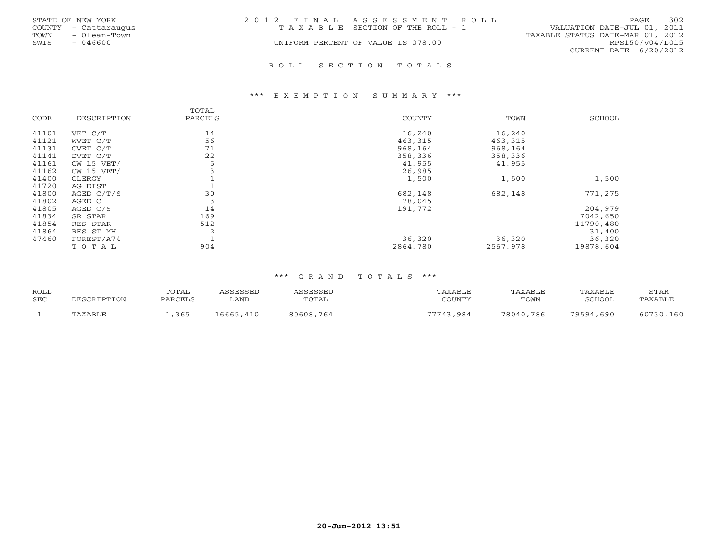|      | STATE OF NEW YORK    | 2012 FINAL ASSESSMENT ROLL            |                                  | PAGE            | 302 |
|------|----------------------|---------------------------------------|----------------------------------|-----------------|-----|
|      | COUNTY - Cattaraugus | T A X A B L E SECTION OF THE ROLL - 1 | VALUATION DATE-JUL 01, 2011      |                 |     |
| TOWN | - Olean-Town         |                                       | TAXABLE STATUS DATE-MAR 01, 2012 |                 |     |
| SWIS | - 046600             | UNIFORM PERCENT OF VALUE IS 078.00    |                                  | RPS150/V04/L015 |     |
|      |                      |                                       | CURRENT DATE 6/20/2012           |                 |     |
|      |                      |                                       |                                  |                 |     |

#### \*\*\* E X E M P T I O N S U M M A R Y \*\*\*

|       |              | TOTAL   |               |          |           |
|-------|--------------|---------|---------------|----------|-----------|
| CODE  | DESCRIPTION  | PARCELS | <b>COUNTY</b> | TOWN     | SCHOOL    |
| 41101 | VET C/T      | 14      | 16,240        | 16,240   |           |
| 41121 | WVET C/T     | 56      | 463,315       | 463,315  |           |
| 41131 | CVET C/T     | 71      | 968,164       | 968,164  |           |
| 41141 | DVET C/T     | 22      | 358,336       | 358,336  |           |
| 41161 | CW 15 VET/   | 5       | 41,955        | 41,955   |           |
| 41162 | $CW_15_VET/$ |         | 26,985        |          |           |
| 41400 | CLERGY       |         | 1,500         | 1,500    | 1,500     |
| 41720 | AG DIST      |         |               |          |           |
| 41800 | AGED C/T/S   | 30      | 682,148       | 682,148  | 771,275   |
| 41802 | AGED C       | 3       | 78,045        |          |           |
| 41805 | AGED C/S     | 14      | 191,772       |          | 204,979   |
| 41834 | SR STAR      | 169     |               |          | 7042,650  |
| 41854 | RES STAR     | 512     |               |          | 11790,480 |
| 41864 | RES ST MH    | 2       |               |          | 31,400    |
| 47460 | FOREST/A74   |         | 36,320        | 36,320   | 36,320    |
|       | TOTAL        | 904     | 2864,780      | 2567,978 | 19878,604 |

R O L L S E C T I O N T O T A L S

| ROLL<br><b>SEC</b> | DESCRIPTION | TOTAL<br>PARCELS | \SSESSED<br><b>LAND</b> | `SSESSED<br>TOTAL | TAXABLE<br>COUNTY | TAXABLE<br>TOWN | TAXABLE<br>SCHOOL | STAR<br>TAXABLE |
|--------------------|-------------|------------------|-------------------------|-------------------|-------------------|-----------------|-------------------|-----------------|
|                    | TAXABLE     | ,365             | 16665,410               | 80608,764         | 77743.984         | 78040,786       | 79594,690         | 60730,160       |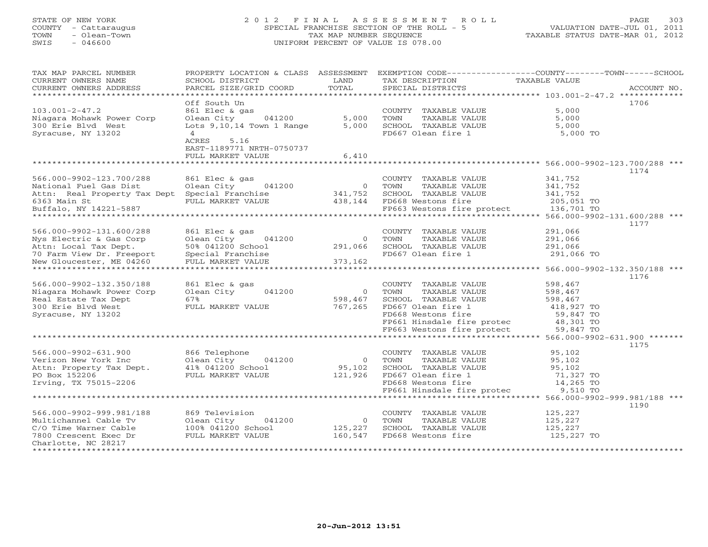# STATE OF NEW YORK 2 0 1 2 F I N A L A S S E S S M E N T R O L L PAGE 303

COUNTY - Cattaraugus SPECIAL FRANCHISE SECTION OF THE ROLL - 5 VALUATION DATE-JUL 01, 2011 TOWN - Olean-Town TAX MAP NUMBER SEQUENCE TAXABLE STATUS DATE-MAR 01, 2012 SWIS - 046600 UNIFORM PERCENT OF VALUE IS 078.00 TAX MAP PARCEL NUMBER PROPERTY LOCATION & CLASS ASSESSMENT EXEMPTION CODE----------------COUNTY-------TOWN------SCHOOL CURRENT OWNERS NAME SCHOOL DISTRICT AND TAX DESCRIPTION TAXABLE VALUE CURRENT OWNERS ADDRESS PARCEL SIZE/GRID COORD TOTAL SPECIAL DISTRICTS ACCOUNT NO. \*\*\*\*\*\*\*\*\*\*\*\*\*\*\*\*\*\*\*\*\*\*\*\*\*\*\*\*\*\*\*\*\*\*\*\*\*\*\*\*\*\*\*\*\*\*\*\*\*\*\*\*\*\*\*\*\*\*\*\*\*\*\*\*\*\*\*\*\*\*\*\*\*\*\*\*\*\*\*\*\*\*\*\*\*\*\*\*\*\*\*\*\*\*\*\*\*\*\*\*\*\*\* 103.001-2-47.2 \*\*\*\*\*\*\*\*\*\*\*\*\* Off South Un 1706103.001-2-47.2 861 Elec & gas COUNTY TAXABLE VALUE 5,000 Niagara Mohawk Power Corp Olean City 041200 5,000 TOWN TAXABLE VALUE 5,000 300 Erie Blvd West Lots 9,10,14 Town 1 Range 5,000 SCHOOL TAXABLE VALUE 5,000 Syracuse, NY 13202 4 4 5,000 TO 667 Olean fire 1 5,000 TO ACRES 5.16 EAST-1189771 NRTH-0750737 FULL MARKET VALUE 6,410 \*\*\*\*\*\*\*\*\*\*\*\*\*\*\*\*\*\*\*\*\*\*\*\*\*\*\*\*\*\*\*\*\*\*\*\*\*\*\*\*\*\*\*\*\*\*\*\*\*\*\*\*\*\*\*\*\*\*\*\*\*\*\*\*\*\*\*\*\*\*\*\*\*\*\*\*\*\*\*\*\*\*\*\*\*\*\*\*\*\*\*\*\*\*\*\*\*\*\*\*\*\*\* 566.000-9902-123.700/288 \*\*\* 1174566.000-9902-123.700/288 861 Elec & gas COUNTY TAXABLE VALUE 341,752 National Fuel Gas Dist Olean City 041200 0 TOWN TAXABLE VALUE 341,752 Attional Fuel Gas Dist and Diean City and the second of the second of the second of the second of the second o<br>
Attn: Real Property Tax Dept Special Franchise 341,752 SCHOOL TAXABLE VALUE 341,752<br>
FULL MARKET VALUE 438,144 e and the special results of the set of the SCHOOL TAXABLE VALUE of the SCHOOL SCHOOL SCHOOL SCHOOL CONSULTER<br>Buffalo, NY 14221-5887 FULL MARKET VALUE 438,144 FD668 Westons fire protect Buffalo, NY 14221-5887 FP663 Westons fire protect 136,701 TO \*\*\*\*\*\*\*\*\*\*\*\*\*\*\*\*\*\*\*\*\*\*\*\*\*\*\*\*\*\*\*\*\*\*\*\*\*\*\*\*\*\*\*\*\*\*\*\*\*\*\*\*\*\*\*\*\*\*\*\*\*\*\*\*\*\*\*\*\*\*\*\*\*\*\*\*\*\*\*\*\*\*\*\*\*\*\*\*\*\*\*\*\*\*\*\*\*\*\*\*\*\*\* 566.000-9902-131.600/288 \*\*\* 1177566.000-9902-131.600/288 861 Elec & gas COUNTY TAXABLE VALUE 291,066 Nys Electric & Gas Corp Olean City 041200 0 TOWN TAXABLE VALUE 291,066 Attn: Local Tax Dept. 50% 041200 School 291,066 SCHOOL TAXABLE VALUE 291,066 70 Farm View Dr. Freeport Special Franchise FD667 Olean fire 1 291,066 TO New Gloucester, ME 04260 FULL MARKET VALUE 373,162 \*\*\*\*\*\*\*\*\*\*\*\*\*\*\*\*\*\*\*\*\*\*\*\*\*\*\*\*\*\*\*\*\*\*\*\*\*\*\*\*\*\*\*\*\*\*\*\*\*\*\*\*\*\*\*\*\*\*\*\*\*\*\*\*\*\*\*\*\*\*\*\*\*\*\*\*\*\*\*\*\*\*\*\*\*\*\*\*\*\*\*\*\*\*\*\*\*\*\*\*\*\*\* 566.000-9902-132.350/188 \*\*\*

|                           |                      |          |                                         | 1176                               |
|---------------------------|----------------------|----------|-----------------------------------------|------------------------------------|
| 566.000-9902-132.350/188  | 861 Elec & gas       |          | TAXABLE VALUE<br>COUNTY                 | 598,467                            |
| Niagara Mohawk Power Corp | Olean City 041200    | $\circ$  | TAXABLE VALUE<br>TOWN                   | 598,467                            |
| Real Estate Tax Dept      | 67%                  | 598,467  | SCHOOL TAXABLE VALUE                    | 598,467                            |
| 300 Erie Blyd West        | FULL MARKET VALUE    | 767,265  | FD667 Olean fire 1                      | 418,927 TO                         |
| Syracuse, NY 13202        |                      |          | FD668 Westons fire                      | 59,847 TO                          |
|                           |                      |          | FP661 Hinsdale fire protec              | 48,301 TO                          |
|                           |                      |          | FP663 Westons fire protect              | 59,847 TO                          |
|                           |                      |          | * * * * * * * * * * * * * * * * * * * * | $566.000 - 9902 - 631.900$ ******* |
|                           |                      |          |                                         | 1175                               |
| 566.000-9902-631.900      | 866 Telephone        |          | TAXABLE VALUE<br>COUNTY                 | 95,102                             |
| Verizon New York Inc      | Olean City 041200    |          | TAXABLE VALUE<br>TOWN                   | 95,102                             |
| Attn: Property Tax Dept.  | 41% 041200 School    | 95,102   | SCHOOL TAXABLE VALUE                    | 95,102                             |
| PO Box 152206             | FULL MARKET VALUE    | 121,926  | FD667 Olean fire 1                      | 71,327 TO                          |
| Irving, TX 75015-2206     |                      |          | FD668 Westons fire                      | 14,265 TO                          |
|                           |                      |          | FP661 Hinsdale fire protec              | 9,510 TO                           |
|                           |                      |          |                                         | 566.000-9902-999.981/188 ***       |
|                           |                      |          |                                         | 1190                               |
| 566.000-9902-999.981/188  | 869 Television       |          | TAXABLE VALUE<br>COUNTY                 | 125,227                            |
| Multichannel Cable Tv     | Olean City<br>041200 | $\Omega$ | TAXABLE VALUE<br>TOWN                   | 125,227                            |
| C/O Time Warner Cable     | 100% 041200 School   | 125,227  | SCHOOL TAXABLE VALUE                    | 125,227                            |
| 7800 Crescent Exec Dr     | FULL MARKET VALUE    | 160,547  | FD668 Westons fire                      | 125,227 TO                         |
| Charlotte, NC 28217       |                      |          |                                         |                                    |
|                           |                      |          |                                         |                                    |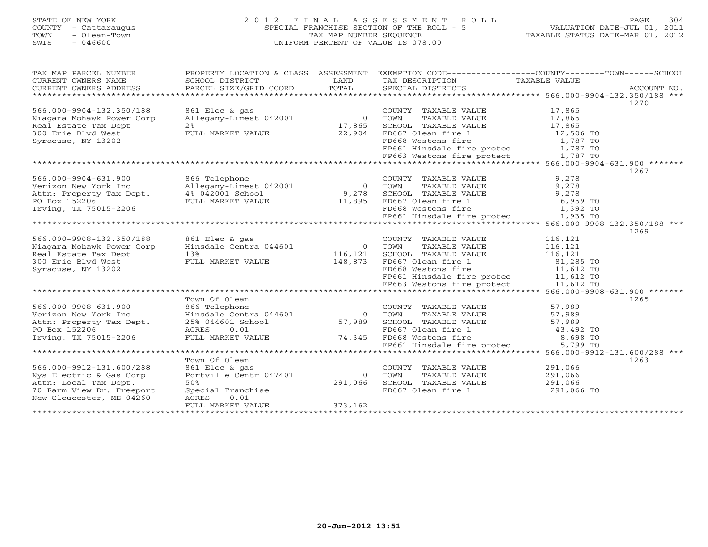# STATE OF NEW YORK 2 0 1 2 F I N A L A S S E S S M E N T R O L L PAGE 304 COUNTY - Cattaraugus SPECIAL FRANCHISE SECTION OF THE ROLL - 5 VALUATION DATE-JUL 01, 2011 TOWN - Olean-Town TAX MAP NUMBER SEQUENCE TAXABLE STATUS DATE-MAR 01, 2012 SWIS - 046600 UNIFORM PERCENT OF VALUE IS 078.00UNIFORM PERCENT OF VALUE IS 078.00

| TAX MAP PARCEL NUMBER     | PROPERTY LOCATION & CLASS ASSESSMENT                                                       |                | EXEMPTION CODE----------------COUNTY-------TOWN------SCHOOL                  |               |      |
|---------------------------|--------------------------------------------------------------------------------------------|----------------|------------------------------------------------------------------------------|---------------|------|
| CURRENT OWNERS NAME       | SCHOOL DISTRICT                                                                            | LAND           | TAX DESCRIPTION                                                              | TAXABLE VALUE |      |
| CURRENT OWNERS ADDRESS    |                                                                                            |                |                                                                              |               |      |
|                           |                                                                                            |                |                                                                              |               | 1270 |
| 566.000-9904-132.350/188  | 861 Elec & gas                                                                             |                | COUNTY TAXABLE VALUE                                                         | 17,865        |      |
| Niagara Mohawk Power Corp | Allegany-Limest 042001                                                                     | $\overline{0}$ | TAXABLE VALUE<br>TOWN                                                        | 17,865        |      |
| Real Estate Tax Dept      | 2 <sup>8</sup>                                                                             | 17,865         | SCHOOL TAXABLE VALUE 17,865                                                  |               |      |
| 300 Erie Blvd West        | FULL MARKET VALUE                                                                          | 22,904         |                                                                              |               |      |
| Syracuse, NY 13202        |                                                                                            |                | FD667 Olean fire 1 12,506 TO<br>FD668 Westons fire 1,787 TO                  |               |      |
|                           |                                                                                            |                |                                                                              |               |      |
|                           |                                                                                            |                | FP661 Hinsdale fire protec $1,787$ TO<br>FP663 Westons fire protect 1,787 TO |               |      |
|                           |                                                                                            |                |                                                                              |               |      |
|                           |                                                                                            |                |                                                                              |               | 1267 |
| 566.000-9904-631.900      | 866 Telephone                                                                              |                | COUNTY TAXABLE VALUE                                                         | 9,278         |      |
| Verizon New York Inc      | Allegany-Limest 042001 0                                                                   |                | TAXABLE VALUE<br>TOWN                                                        | 9,278         |      |
| Attn: Property Tax Dept.  | 4% 042001 School                                                                           | 9,278          | SCHOOL TAXABLE VALUE                                                         | 9,278         |      |
| PO Box 152206             | FULL MARKET VALUE 11,895                                                                   |                | FD667 Olean fire 1                                                           | 6,959 TO      |      |
| Irving, TX 75015-2206     |                                                                                            |                | FD668 Westons fire                                                           | 1,392 TO      |      |
|                           |                                                                                            |                | FP661 Hinsdale fire protec 1,935 TO                                          |               |      |
|                           |                                                                                            |                |                                                                              |               |      |
|                           |                                                                                            |                |                                                                              |               | 1269 |
| 566.000-9908-132.350/188  | 861 Elec & gas                                                                             |                | COUNTY TAXABLE VALUE                                                         | 116,121       |      |
| Niagara Mohawk Power Corp | Hinsdale Centra 044601                                                                     | $\overline{0}$ | TOWN<br>TAXABLE VALUE                                                        | 116,121       |      |
| Real Estate Tax Dept      | 13%                                                                                        | 116,121        | SCHOOL TAXABLE VALUE                                                         | 116,121       |      |
| 300 Erie Blvd West        | FULL MARKET VALUE                                                                          | 148,873        | FD667 Olean fire 1                                                           | 81,285 TO     |      |
| Syracuse, NY 13202        |                                                                                            |                | FD668 Westons fire                                                           | 11,612 TO     |      |
|                           |                                                                                            |                |                                                                              |               |      |
|                           |                                                                                            |                | FP661 Hinsdale fire protec 11,612 TO<br>FP663 Westons fire protect 11,612 TO |               |      |
|                           |                                                                                            |                |                                                                              |               |      |
|                           | Town Of Olean                                                                              |                |                                                                              |               | 1265 |
| 566.000-9908-631.900      | 866 Telephone                                                                              |                | COUNTY TAXABLE VALUE                                                         | 57,989        |      |
| Verizon New York Inc      | Hinsdale Centra 044601                                                                     | $\overline{0}$ | TOWN<br>TAXABLE VALUE                                                        | 57,989        |      |
| inc<br>ax Dept.           |                                                                                            |                | SCHOOL TAXABLE VALUE                                                         |               |      |
| Attn: Property Tax Dept.  | 25% 044601 School                                                                          | 57,989         |                                                                              | 57,989        |      |
| PO Box 152206             | ACRES<br>0.01<br>FD007 OTEAN INTEREST U.O.I<br>FULL MARKET VALUE 74,345 FD668 Westons fire |                | FD667 Olean fire 1                                                           | 43,492 TO     |      |
| Irving, TX 75015-2206     |                                                                                            |                | FD668 Westons fire 3,698 TO<br>FP661 Hinsdale fire protec 5,799 TO           |               |      |
|                           |                                                                                            |                |                                                                              |               |      |
|                           |                                                                                            |                |                                                                              |               |      |
|                           | Town Of Olean                                                                              |                |                                                                              |               | 1263 |
| 566.000-9912-131.600/288  | 861 Elec & gas                                                                             |                | COUNTY TAXABLE VALUE                                                         | 291,066       |      |
| Nys Electric & Gas Corp   | Portville Centr 047401                                                                     | $\Omega$       | TOWN<br>TAXABLE VALUE                                                        | 291,066       |      |
| Attn: Local Tax Dept.     | 50%                                                                                        | 291,066        | SCHOOL TAXABLE VALUE                                                         | 291,066       |      |
| 70 Farm View Dr. Freeport | Special Franchise                                                                          |                | FD667 Olean fire 1                                                           | 291,066 TO    |      |
| New Gloucester, ME 04260  | ACRES<br>0.01                                                                              |                |                                                                              |               |      |
|                           | FULL MARKET VALUE                                                                          | 373,162        |                                                                              |               |      |
|                           |                                                                                            |                |                                                                              |               |      |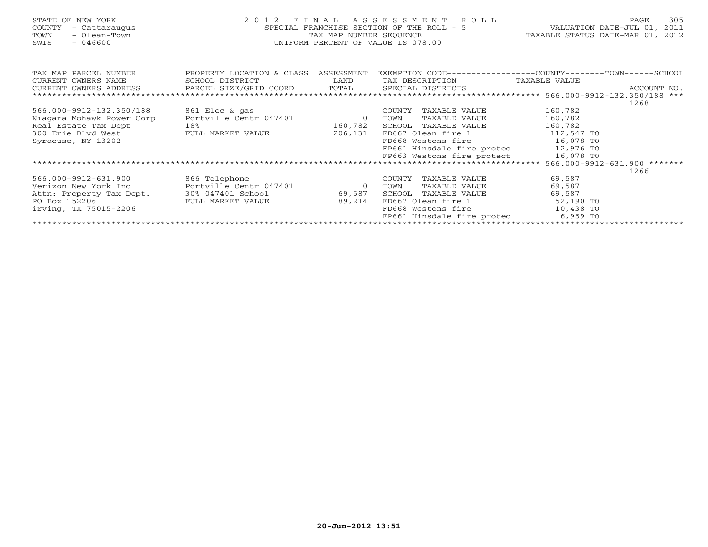| STATE OF NEW YORK<br><b>COUNTY</b><br>- Cattaraugus<br>TOWN<br>- Olean-Town<br>$-046600$<br>SWIS | 2 0 1 2                              | F I N A L<br>TAX MAP NUMBER SEQUENCE | ASSESSMENT<br>R O L L<br>SPECIAL FRANCHISE SECTION OF THE ROLL - 5<br>UNIFORM PERCENT OF VALUE IS 078.00 | VALUATION DATE-JUL 01, 2011<br>TAXABLE STATUS DATE-MAR 01, 2012 | 305<br>PAGE |
|--------------------------------------------------------------------------------------------------|--------------------------------------|--------------------------------------|----------------------------------------------------------------------------------------------------------|-----------------------------------------------------------------|-------------|
| TAX MAP PARCEL NUMBER                                                                            | PROPERTY LOCATION & CLASS ASSESSMENT |                                      | EXEMPTION CODE----------------COUNTY-------TOWN-----SCHOOL                                               |                                                                 |             |
| CURRENT OWNERS NAME                                                                              | SCHOOL DISTRICT                      | LAND                                 | TAX DESCRIPTION                                                                                          | TAXABLE VALUE                                                   |             |
| CURRENT OWNERS ADDRESS                                                                           | PARCEL SIZE/GRID COORD               | TOTAL                                | SPECIAL DISTRICTS                                                                                        |                                                                 | ACCOUNT NO. |
|                                                                                                  |                                      |                                      |                                                                                                          |                                                                 | 1268        |
| 566.000-9912-132.350/188                                                                         | 861 Elec & gas                       |                                      | TAXABLE VALUE<br>COUNTY                                                                                  | 160,782                                                         |             |
| Niagara Mohawk Power Corp                                                                        | Portville Centr 047401               | $\overline{0}$                       | TAXABLE VALUE<br>TOWN                                                                                    | 160,782                                                         |             |
| Real Estate Tax Dept                                                                             | 18%                                  | 160,782                              | TAXABLE VALUE<br>SCHOOL                                                                                  | 160,782                                                         |             |
| 300 Erie Blyd West                                                                               | FULL MARKET VALUE                    | 206,131                              | FD667 Olean fire 1                                                                                       | 112,547 TO                                                      |             |
| Syracuse, NY 13202                                                                               |                                      |                                      | FD668 Westons fire                                                                                       | 16,078 TO                                                       |             |
|                                                                                                  |                                      |                                      | FP661 Hinsdale fire protec                                                                               | 12,976 TO                                                       |             |
|                                                                                                  |                                      |                                      | FP663 Westons fire protect                                                                               | 16,078 TO                                                       |             |
|                                                                                                  |                                      |                                      |                                                                                                          |                                                                 |             |
|                                                                                                  |                                      |                                      |                                                                                                          |                                                                 | 1266        |
| 566.000-9912-631.900                                                                             | 866 Telephone                        |                                      | COUNTY<br>TAXABLE VALUE                                                                                  | 69,587                                                          |             |
| Verizon New York Inc                                                                             | Portville Centr 047401               | $\circ$                              | TAXABLE VALUE<br>TOWN                                                                                    | 69,587                                                          |             |
| Attn: Property Tax Dept.                                                                         | 30% 047401 School                    | 69,587                               | SCHOOL<br>TAXABLE VALUE                                                                                  | 69,587                                                          |             |
| PO Box 152206                                                                                    | FULL MARKET VALUE                    | 89,214                               | FD667 Olean fire 1                                                                                       | 52,190 TO                                                       |             |
| irving, TX 75015-2206                                                                            |                                      |                                      | FD668 Westons fire                                                                                       | 10,438 TO                                                       |             |
|                                                                                                  |                                      |                                      | FP661 Hinsdale fire protec                                                                               | 6,959 TO                                                        |             |
|                                                                                                  |                                      |                                      |                                                                                                          |                                                                 |             |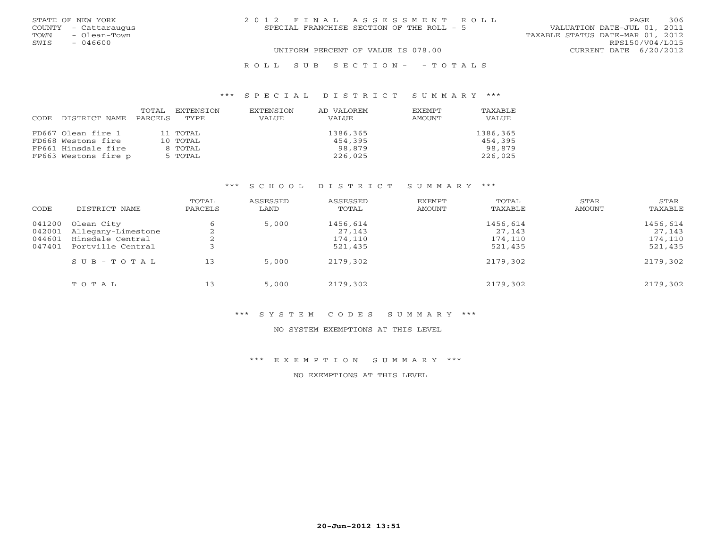| STATE OF NEW YORK    | 2012 FINAL ASSESSMENT ROLL                | 306<br><b>PAGE</b>               |
|----------------------|-------------------------------------------|----------------------------------|
| COUNTY - Cattaraugus | SPECIAL FRANCHISE SECTION OF THE ROLL - 5 | VALUATION DATE-JUL 01, 2011      |
| - Olean-Town<br>TOWN |                                           | TAXABLE STATUS DATE-MAR 01, 2012 |
| SWIS<br>$-046600$    |                                           | RPS150/V04/L015                  |
|                      | UNIFORM PERCENT OF VALUE IS 078.00        | CURRENT DATE 6/20/2012           |
|                      |                                           |                                  |

# R O L L S U B S E C T I O N - - T O T A L S

#### \*\*\* S P E C I A L D I S T R I C T S U M M A R Y \*\*\*

|      |                      |         | TOTAL EXTENSION | EXTENSION | AD VALOREM | EXEMPT | TAXABLE  |
|------|----------------------|---------|-----------------|-----------|------------|--------|----------|
| CODE | DISTRICT NAME        | PARCELS | TYPE            | VALUE     | VALUE      | AMOUNT | VALUE    |
|      |                      |         |                 |           |            |        |          |
|      | FD667 Olean fire 1   |         | 11 TOTAL        |           | 1386,365   |        | 1386,365 |
|      | FD668 Westons fire   |         | 10 TOTAL        |           | 454,395    |        | 454,395  |
|      | FP661 Hinsdale fire  |         | 8 TOTAL         |           | 98,879     |        | 98,879   |
|      | FP663 Westons fire p |         | 5 TOTAL         |           | 226,025    |        | 226,025  |

# \*\*\* S C H O O L D I S T R I C T S U M M A R Y \*\*\*

| CODE   | DISTRICT NAME           | TOTAL<br>PARCELS | ASSESSED<br>LAND | ASSESSED<br>TOTAL | EXEMPT<br>AMOUNT | TOTAL<br>TAXABLE | STAR<br>AMOUNT | STAR<br>TAXABLE |
|--------|-------------------------|------------------|------------------|-------------------|------------------|------------------|----------------|-----------------|
| 041200 | Olean City              |                  | 5,000            | 1456,614          |                  | 1456,614         |                | 1456,614        |
| 042001 | Allegany-Limestone      |                  |                  | 27,143            |                  | 27,143           |                | 27,143          |
| 044601 | Hinsdale Central        |                  |                  | 174,110           |                  | 174,110          |                | 174,110         |
| 047401 | Portville Central       |                  |                  | 521,435           |                  | 521,435          |                | 521,435         |
|        | $S \cup B - T \cup T A$ | 13               | 5,000            | 2179,302          |                  | 2179,302         |                | 2179,302        |
|        | TOTAL                   | 13               | 5,000            | 2179,302          |                  | 2179,302         |                | 2179,302        |

#### \*\*\* S Y S T E M C O D E S S U M M A R Y \*\*\*

#### NO SYSTEM EXEMPTIONS AT THIS LEVEL

#### \*\*\* E X E M P T I O N S U M M A R Y \*\*\*

NO EXEMPTIONS AT THIS LEVEL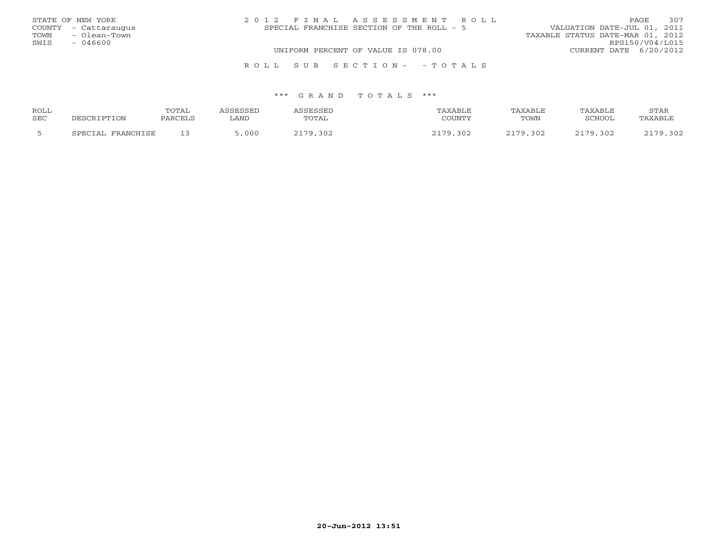| STATE OF NEW YORK    |              | 2012 FINAL ASSESSMENT ROLL                | 307<br>PAGE                      |
|----------------------|--------------|-------------------------------------------|----------------------------------|
| COUNTY - Cattaraugus |              | SPECIAL FRANCHISE SECTION OF THE ROLL - 5 | VALUATION DATE-JUL 01, 2011      |
| TOWN                 | - Olean-Town |                                           | TAXABLE STATUS DATE-MAR 01, 2012 |
| SWIS                 | $-046600$    |                                           | RPS150/V04/L015                  |
|                      |              | UNIFORM PERCENT OF VALUE IS 078.00        | CURRENT DATE 6/20/2012           |
|                      |              |                                           |                                  |
|                      |              | ROLL SUB SECTION- - TOTALS                |                                  |

| ROLL |                   | TOTAL   | <b><i>ASSESSED</i></b> | ASSESSED | TAXABLE  | TAXABLE  | TAXABLE  | <b>STAR</b> |
|------|-------------------|---------|------------------------|----------|----------|----------|----------|-------------|
| SEC  | DESCRIPTION       | PARCELS | ∟AND                   | TOTAL    | COUNTY   | TOWN     | SCHOOL   | TAXABLE     |
|      | SPECIAL FRANCHISE |         | ,000                   | 2179,302 | 2179,302 | 2179,302 | 2179,302 | 2179,302    |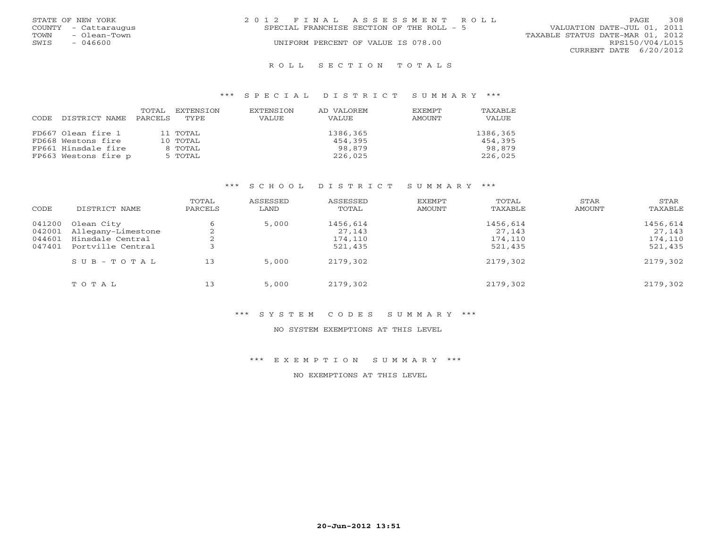|      | STATE OF NEW YORK    | 2012 FINAL ASSESSMENT ROLL |                                           |                                  | PAGE.                  | 308 |
|------|----------------------|----------------------------|-------------------------------------------|----------------------------------|------------------------|-----|
|      | COUNTY - Cattaraugus |                            | SPECIAL FRANCHISE SECTION OF THE ROLL - 5 | VALUATION DATE-JUL 01, 2011      |                        |     |
| TOWN | - Olean-Town         |                            |                                           | TAXABLE STATUS DATE-MAR 01, 2012 |                        |     |
| SWIS | - 046600             |                            | UNIFORM PERCENT OF VALUE IS 078.00        |                                  | RPS150/V04/L015        |     |
|      |                      |                            |                                           |                                  | CURRENT DATE 6/20/2012 |     |
|      |                      |                            |                                           |                                  |                        |     |

#### R O L L S E C T I O N T O T A L S

#### \*\*\* S P E C I A L D I S T R I C T S U M M A R Y \*\*\*

| CODE. | DISTRICT NAME PARCELS | TOTAL | EXTENSION<br>TYPE | EXTENSION<br>VALUE | AD VALOREM<br>VALUE | <b>EXEMPT</b><br>AMOUNT | <b>TAXABLE</b><br>VALUE |
|-------|-----------------------|-------|-------------------|--------------------|---------------------|-------------------------|-------------------------|
|       | FD667 Olean fire 1    |       | 11 TOTAL          |                    | 1386,365            |                         | 1386,365                |
|       | FD668 Westons fire    |       | 10 TOTAL          |                    | 454,395             |                         | 454,395                 |
|       | FP661 Hinsdale fire   |       | 8 TOTAL           |                    | 98,879              |                         | 98,879                  |
|       | FP663 Westons fire p  |       | 5 TOTAL           |                    | 226,025             |                         | 226,025                 |

# \*\*\* S C H O O L D I S T R I C T S U M M A R Y \*\*\*

| CODE   | DISTRICT NAME             | TOTAL<br>PARCELS | ASSESSED<br>LAND | ASSESSED<br>TOTAL | EXEMPT<br>AMOUNT | TOTAL<br>TAXABLE | STAR<br>AMOUNT | STAR<br>TAXABLE |
|--------|---------------------------|------------------|------------------|-------------------|------------------|------------------|----------------|-----------------|
| 041200 | Olean City                | O                | 5,000            | 1456,614          |                  | 1456,614         |                | 1456,614        |
|        | 042001 Allegany-Limestone |                  |                  | 27,143            |                  | 27,143           |                | 27,143          |
| 044601 | Hinsdale Central          |                  |                  | 174,110           |                  | 174,110          |                | 174,110         |
| 047401 | Portville Central         |                  |                  | 521,435           |                  | 521,435          |                | 521,435         |
|        | $S \cup B - T \cup T A$   | 13               | 5,000            | 2179,302          |                  | 2179,302         |                | 2179,302        |
|        | TOTAL                     | 13               | 5,000            | 2179,302          |                  | 2179,302         |                | 2179,302        |

#### \*\*\* S Y S T E M C O D E S S U M M A R Y \*\*\*

#### NO SYSTEM EXEMPTIONS AT THIS LEVEL

#### \*\*\* E X E M P T I O N S U M M A R Y \*\*\*

NO EXEMPTIONS AT THIS LEVEL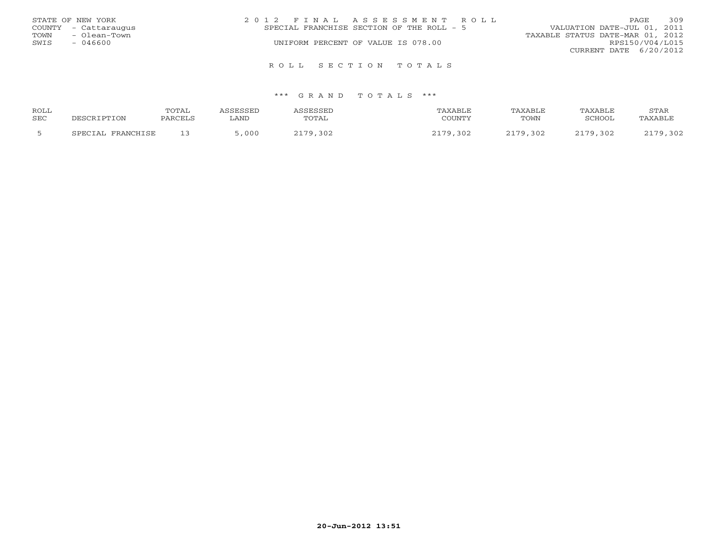|      | STATE OF NEW YORK    | 2012 FINAL ASSESSMENT ROLL                                               | <b>PAGE</b>            | 309 |
|------|----------------------|--------------------------------------------------------------------------|------------------------|-----|
|      | COUNTY - Cattaraugus | VALUATION DATE-JUL 01, 2011<br>SPECIAL FRANCHISE SECTION OF THE ROLL - 5 |                        |     |
| TOWN | - Olean-Town         | TAXABLE STATUS DATE-MAR 01, 2012                                         |                        |     |
| SWIS | - 046600             | UNIFORM PERCENT OF VALUE IS 078.00                                       | RPS150/V04/L015        |     |
|      |                      |                                                                          | CURRENT DATE 6/20/2012 |     |
|      |                      |                                                                          |                        |     |

#### \*\*\* G R A N D T O T A L S \*\*\*

R O L L S E C T I O N T O T A L S

| ROLL |                   | <b>TOTAL</b> | <b>ACCECCET</b> | ASSESSED | TAXABLE       | TAXABLE  | <b>TAXABLE</b> | STAR     |
|------|-------------------|--------------|-----------------|----------|---------------|----------|----------------|----------|
| SEC  | DESCRIPTION       | PARCELS      | ∟AND            | TOTAL    | COUNTY        | TOWN     | SCHOOL         | TAXABLE  |
|      | SPECIAL FRANCHISE |              | 000             | 2179,302 | 2170.<br>,302 | 2179,302 | 2179,302       | 2179,302 |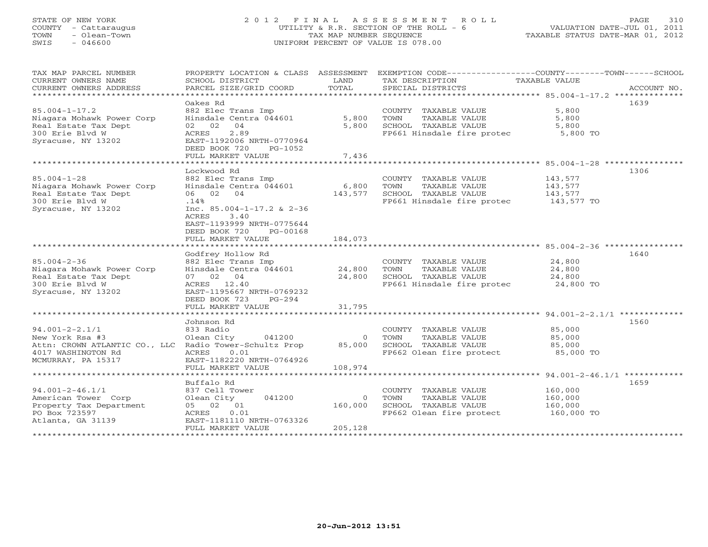# STATE OF NEW YORK 2 0 1 2 F I N A L A S S E S S M E N T R O L L PAGE 310 COUNTY - Cattaraugus UTILITY & R.R. SECTION OF THE ROLL - 6 VALUATION DATE-JUL 01, 2011 TOWN - Olean-Town TAX MAP NUMBER SEQUENCE TAXABLE STATUS DATE-MAR 01, 2012 SWIS - 046600 UNIFORM PERCENT OF VALUE IS 078.00UNIFORM PERCENT OF VALUE IS 078.00

| TAX MAP PARCEL NUMBER                                  | PROPERTY LOCATION & CLASS ASSESSMENT             |                        | EXEMPTION CODE----------------COUNTY-------TOWN------SCHOOL       |                  |             |
|--------------------------------------------------------|--------------------------------------------------|------------------------|-------------------------------------------------------------------|------------------|-------------|
| CURRENT OWNERS NAME<br>CURRENT OWNERS ADDRESS          | SCHOOL DISTRICT<br>PARCEL SIZE/GRID COORD        | LAND<br>TOTAL          | TAX DESCRIPTION                                                   | TAXABLE VALUE    | ACCOUNT NO. |
| *****************************                          |                                                  |                        | SPECIAL DISTRICTS                                                 |                  |             |
|                                                        | Oakes Rd                                         |                        |                                                                   |                  | 1639        |
| $85.004 - 1 - 17.2$                                    | 882 Elec Trans Imp                               |                        | COUNTY TAXABLE VALUE                                              | 5,800            |             |
| Niagara Mohawk Power Corp                              | Hinsdale Centra 044601                           | 5,800                  | TOWN<br>TAXABLE VALUE                                             | 5,800            |             |
| Real Estate Tax Dept                                   | 02 02<br>04                                      | 5,800                  | SCHOOL TAXABLE VALUE                                              | 5,800            |             |
| 300 Erie Blvd W                                        | 2.89<br>ACRES                                    |                        | FP661 Hinsdale fire protec 5,800 TO                               |                  |             |
| Syracuse, NY 13202                                     | EAST-1192006 NRTH-0770964                        |                        |                                                                   |                  |             |
|                                                        | DEED BOOK 720<br>PG-1052                         |                        |                                                                   |                  |             |
|                                                        | FULL MARKET VALUE<br>*************************** | 7,436<br>************* | ************************************85.004-1-28 ***************** |                  |             |
|                                                        |                                                  |                        |                                                                   |                  | 1306        |
| $85.004 - 1 - 28$                                      | Lockwood Rd<br>882 Elec Trans Imp                |                        | COUNTY TAXABLE VALUE                                              | 143,577          |             |
| Niagara Mohawk Power Corp                              | Hinsdale Centra 044601 6,800                     |                        | TOWN<br>TAXABLE VALUE                                             | 143,577          |             |
| Real Estate Tax Dept                                   | 06 02 04                                         | 143,577                | SCHOOL TAXABLE VALUE                                              | 143, 577         |             |
| 300 Erie Blvd W                                        | .14%                                             |                        | FP661 Hinsdale fire protec 143,577 TO                             |                  |             |
| Syracuse, NY 13202                                     | Inc. $85.004-1-17.2$ & $2-36$                    |                        |                                                                   |                  |             |
|                                                        | ACRES<br>3.40                                    |                        |                                                                   |                  |             |
|                                                        | EAST-1193999 NRTH-0775644                        |                        |                                                                   |                  |             |
|                                                        | DEED BOOK 720<br>PG-00168                        |                        |                                                                   |                  |             |
|                                                        | FULL MARKET VALUE                                | 184,073                |                                                                   |                  |             |
|                                                        |                                                  |                        |                                                                   |                  |             |
|                                                        | Godfrey Hollow Rd                                |                        |                                                                   |                  | 1640        |
| $85.004 - 2 - 36$                                      | 882 Elec Trans Imp                               |                        | COUNTY TAXABLE VALUE                                              | 24,800<br>24 800 |             |
| Niagara Mohawk Power Corp<br>Real Estate Tax Dept      | Hinsdale Centra 044601<br>07 02 04               | 24,800<br>24,800       | TOWN<br>TAXABLE VALUE<br>SCHOOL TAXABLE VALUE                     | 24,800<br>24,800 |             |
| 300 Erie Blyd W                                        | ACRES 12.40                                      |                        | FP661 Hinsdale fire protec                                        | 24,800 TO        |             |
| Syracuse, NY 13202                                     | EAST-1195667 NRTH-0769232                        |                        |                                                                   |                  |             |
|                                                        | DEED BOOK 723 PG-294                             |                        |                                                                   |                  |             |
|                                                        | FULL MARKET VALUE                                | 31,795                 |                                                                   |                  |             |
|                                                        |                                                  |                        |                                                                   |                  |             |
|                                                        | Johnson Rd                                       |                        |                                                                   |                  | 1560        |
| $94.001 - 2 - 2.1/1$                                   | 833 Radio                                        |                        | COUNTY TAXABLE VALUE                                              | 85,000           |             |
| New York Rsa #3                                        | Olean City<br>041200                             | $\overline{0}$         | TAXABLE VALUE<br>TOWN                                             | 85,000           |             |
| Attn: CROWN ATLANTIC CO., LLC Radio Tower-Schultz Prop |                                                  |                        | 85,000 SCHOOL TAXABLE VALUE                                       | 85,000           |             |
| 4017 WASHINGTON Rd                                     | 0.01<br>ACRES                                    |                        | FP662 Olean fire protect                                          | 85,000 TO        |             |
| MCMURRAY, PA 15317                                     | EAST-1182220 NRTH-0764926<br>FULL MARKET VALUE   | 108,974                |                                                                   |                  |             |
|                                                        |                                                  |                        |                                                                   |                  |             |
|                                                        | Buffalo Rd                                       |                        |                                                                   |                  | 1659        |
| $94.001 - 2 - 46.1/1$                                  | 837 Cell Tower                                   |                        | COUNTY TAXABLE VALUE                                              | 160,000          |             |
| American Tower Corp                                    | 041200<br>Olean City                             | $\overline{0}$         | TAXABLE VALUE<br>TOWN                                             | 160,000          |             |
| Property Tax Department                                | 05 02 01                                         | 160,000                | SCHOOL TAXABLE VALUE                                              | 160,000          |             |
| PO Box 723597                                          | ACRES<br>0.01                                    |                        | FP662 Olean fire protect                                          | 160,000 TO       |             |
| Atlanta, GA 31139                                      | EAST-1181110 NRTH-0763326                        |                        |                                                                   |                  |             |
|                                                        | FULL MARKET VALUE                                | 205,128                |                                                                   |                  |             |
|                                                        |                                                  |                        |                                                                   |                  |             |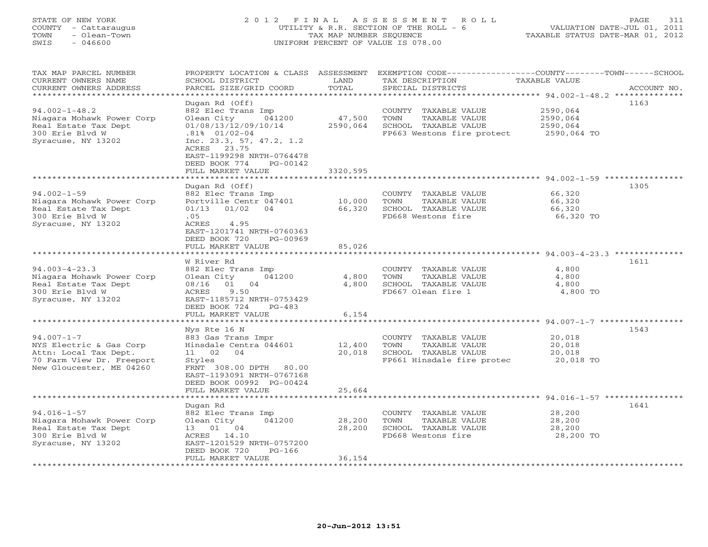# STATE OF NEW YORK 2 0 1 2 F I N A L A S S E S S M E N T R O L L PAGE 311 COUNTY - Cattaraugus UTILITY & R.R. SECTION OF THE ROLL - 6 VALUATION DATE-JUL 01, 2011 TOWN - Olean-Town TAX MAP NUMBER SEQUENCE TAXABLE STATUS DATE-MAR 01, 2012 SWIS - 046600 UNIFORM PERCENT OF VALUE IS 078.00

TAX MAP PARCEL NUMBER PROPERTY LOCATION & CLASS ASSESSMENT EXEMPTION CODE-----------------COUNTY-------TOWN------SCHOOL CURRENT OWNERS NAME SCHOOL DISTRICT LAND TAX DESCRIPTION TAXABLE VALUE CURRENT OWNERS ADDRESS BARCEL SIZE/GRID COORD TOTAL SPECIAL DISTRICTS SACCOUNT NO. \*\*\*\*\*\*\*\*\*\*\*\*\*\*\*\*\*\*\*\*\*\*\*\*\*\*\*\*\*\*\*\*\*\*\*\*\*\*\*\*\*\*\*\*\*\*\*\*\*\*\*\*\*\*\*\*\*\*\*\*\*\*\*\*\*\*\*\*\*\*\*\*\*\*\*\*\*\*\*\*\*\*\*\*\*\*\*\*\*\*\*\*\*\*\*\*\*\*\*\*\*\*\* 94.002-1-48.2 \*\*\*\*\*\*\*\*\*\*\*\*\*\* Dugan Rd (Off) 1163 94.002-1-48.2 882 Elec Trans Imp COUNTY TAXABLE VALUE 2590,064 Niagara Mohawk Power Corp Olean City 041200 47,500 TOWN TAXABLE VALUE 2590,064 Real Estate Tax Dept 01/08/13/12/09/10/14 2590,064 SCHOOL TAXABLE VALUE 2590,064 300 Erie Blvd W .81% 01/02-04 FP663 Westons fire protect 2590,064 TO Syracuse, NY 13202 Inc. 23.3, 57, 47.2, 1.2 ACRES 23.75 EAST-1199298 NRTH-0764478 DEED BOOK 774 PG-00142FULL MARKET VALUE 3320,595 \*\*\*\*\*\*\*\*\*\*\*\*\*\*\*\*\*\*\*\*\*\*\*\*\*\*\*\*\*\*\*\*\*\*\*\*\*\*\*\*\*\*\*\*\*\*\*\*\*\*\*\*\*\*\*\*\*\*\*\*\*\*\*\*\*\*\*\*\*\*\*\*\*\*\*\*\*\*\*\*\*\*\*\*\*\*\*\*\*\*\*\*\*\*\*\*\*\*\*\*\*\*\* 94.002-1-59 \*\*\*\*\*\*\*\*\*\*\*\*\*\*\*\* Dugan Rd (Off) 1305 94.002-1-59 882 Elec Trans Imp COUNTY TAXABLE VALUE 66,320 Niagara Mohawk Power Corp Portville Centr 047401 10,000 TOWN TAXABLE VALUE 66,320 Real Estate Tax Dept 01/13 01/02 04 66,320 SCHOOL TAXABLE VALUE 66,320 300 Erie Blvd W .05 FD668 Westons fire 66,320 TO Syracuse, NY 13202 (and ACRES 4.95 EAST-1201741 NRTH-0760363 DEED BOOK 720 PG-00969FULL MARKET VALUE 85,026 \*\*\*\*\*\*\*\*\*\*\*\*\*\*\*\*\*\*\*\*\*\*\*\*\*\*\*\*\*\*\*\*\*\*\*\*\*\*\*\*\*\*\*\*\*\*\*\*\*\*\*\*\*\*\*\*\*\*\*\*\*\*\*\*\*\*\*\*\*\*\*\*\*\*\*\*\*\*\*\*\*\*\*\*\*\*\*\*\*\*\*\*\*\*\*\*\*\*\*\*\*\*\* 94.003-4-23.3 \*\*\*\*\*\*\*\*\*\*\*\*\*\* W River Rd 161194.003-4-23.3 882 Elec Trans Imp COUNTY TAXABLE VALUE 4,800 Niagara Mohawk Power Corp Olean City 041200 4,800 TOWN TAXABLE VALUE 4,800 Real Estate Tax Dept 08/16 01 04 4,800 SCHOOL TAXABLE VALUE 4,800 300 Erie Blvd W ACRES 9.50 FD667 Olean fire 1 4,800 TO Syracuse, NY 13202 EAST-1185712 NRTH-0753429 DEED BOOK 724 PG-483 ACKES 9.50<br>EAST-1185712 NRTH-0753429<br>DEED BOOK 724 PG-483<br>FULL MARKET VALUE 6,154 \*\*\*\*\*\*\*\*\*\*\*\*\*\*\*\*\*\*\*\*\*\*\*\*\*\*\*\*\*\*\*\*\*\*\*\*\*\*\*\*\*\*\*\*\*\*\*\*\*\*\*\*\*\*\*\*\*\*\*\*\*\*\*\*\*\*\*\*\*\*\*\*\*\*\*\*\*\*\*\*\*\*\*\*\*\*\*\*\*\*\*\*\*\*\*\*\*\*\*\*\*\*\* 94.007-1-7 \*\*\*\*\*\*\*\*\*\*\*\*\*\*\*\*\* Nys Rte 16 N 1543 94.007-1-7 883 Gas Trans Impr COUNTY TAXABLE VALUE 20,018 NYS Electric & Gas Corp Hinsdale Centra 044601 12,400 TOWN TAXABLE VALUE 20,018 Attn: Local Tax Dept. 11 02 04 20,018 SCHOOL TAXABLE VALUE 20,018 70 Farm View Dr. Freeport Styles FP661 Hinsdale fire protec 20,018 TO New Gloucester, ME 04260 FRNT 308.00 DPTH 80.00 EAST-1193091 NRTH-0767168 DEED BOOK 00992 PG-00424 FULL MARKET VALUE 25,664 \*\*\*\*\*\*\*\*\*\*\*\*\*\*\*\*\*\*\*\*\*\*\*\*\*\*\*\*\*\*\*\*\*\*\*\*\*\*\*\*\*\*\*\*\*\*\*\*\*\*\*\*\*\*\*\*\*\*\*\*\*\*\*\*\*\*\*\*\*\*\*\*\*\*\*\*\*\*\*\*\*\*\*\*\*\*\*\*\*\*\*\*\*\*\*\*\*\*\*\*\*\*\* 94.016-1-57 \*\*\*\*\*\*\*\*\*\*\*\*\*\*\*\* Dugan Rd 1641 94.016-1-57 882 Elec Trans Imp COUNTY TAXABLE VALUE 28,200 Niagara Mohawk Power Corp Olean City 041200 28,200 TOWN TAXABLE VALUE 28,200 Real Estate Tax Dept 13 01 04 28,200 SCHOOL TAXABLE VALUE 28,200 300 Erie Blvd W ACRES 14.10 FD668 Westons fire 28,200 TO Syracuse, NY 13202 EAST-1201529 NRTH-0757200 DEED BOOK 720 PG-166 FULL MARKET VALUE 36,154 \*\*\*\*\*\*\*\*\*\*\*\*\*\*\*\*\*\*\*\*\*\*\*\*\*\*\*\*\*\*\*\*\*\*\*\*\*\*\*\*\*\*\*\*\*\*\*\*\*\*\*\*\*\*\*\*\*\*\*\*\*\*\*\*\*\*\*\*\*\*\*\*\*\*\*\*\*\*\*\*\*\*\*\*\*\*\*\*\*\*\*\*\*\*\*\*\*\*\*\*\*\*\*\*\*\*\*\*\*\*\*\*\*\*\*\*\*\*\*\*\*\*\*\*\*\*\*\*\*\*\*\*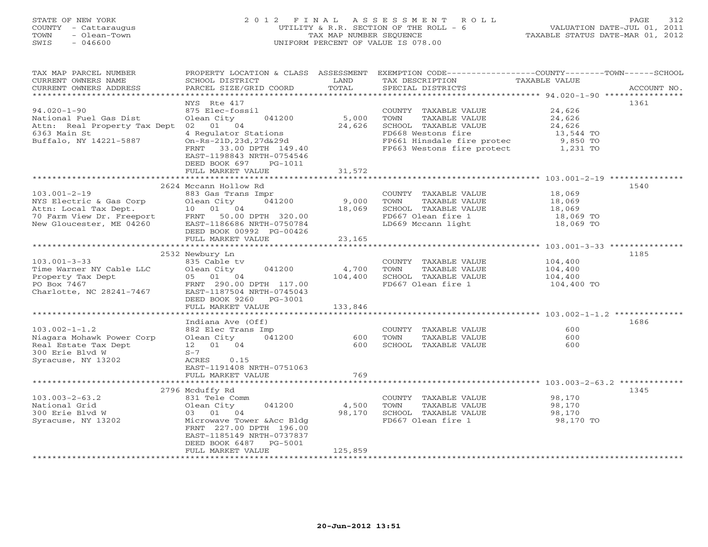# STATE OF NEW YORK 2 0 1 2 F I N A L A S S E S S M E N T R O L L PAGE 312 COUNTY - Cattaraugus UTILITY & R.R. SECTION OF THE ROLL - 6 VALUATION DATE-JUL 01, 2011 TOWN - Olean-Town TAX MAP NUMBER SEQUENCE TAXABLE STATUS DATE-MAR 01, 2012 SWIS - 046600 UNIFORM PERCENT OF VALUE IS 078.00UNIFORM PERCENT OF VALUE IS 078.00

| TAX MAP PARCEL NUMBER<br>CURRENT OWNERS NAME<br>CURRENT OWNERS ADDRESS | PROPERTY LOCATION & CLASS ASSESSMENT<br>SCHOOL DISTRICT<br>PARCEL SIZE/GRID COORD                                                  | LAND<br>TOTAL | EXEMPTION CODE-----------------COUNTY-------TOWN------SCHOOL<br>TAX DESCRIPTION<br>SPECIAL DISTRICTS | <b>TAXABLE VALUE</b> | ACCOUNT NO. |
|------------------------------------------------------------------------|------------------------------------------------------------------------------------------------------------------------------------|---------------|------------------------------------------------------------------------------------------------------|----------------------|-------------|
| ***********************                                                |                                                                                                                                    |               |                                                                                                      |                      |             |
| $94.020 - 1 - 90$<br>National Fuel Gas Dist                            | NYS Rte 417<br>875 Elec-fossil<br>Olean City<br>041200                                                                             | 5,000         | COUNTY TAXABLE VALUE<br>TOWN<br>TAXABLE VALUE                                                        | 24,626<br>24,626     | 1361        |
| Attn: Real Property Tax Dept                                           | 02 01 04                                                                                                                           | 24,626        | SCHOOL TAXABLE VALUE                                                                                 | 24,626               |             |
| 6363 Main St                                                           | 4 Regulator Stations                                                                                                               |               | FD668 Westons fire                                                                                   | 13,544 TO            |             |
| Buffalo, NY 14221-5887                                                 | On-Rs-21D, 23d, 27d&29d<br>33.00 DPTH 149.40<br>FRNT<br>EAST-1198843 NRTH-0754546<br>DEED BOOK 697<br>PG-1011<br>FULL MARKET VALUE | 31,572        | FP661 Hinsdale fire protec<br>FP663 Westons fire protect                                             | 9,850 TO<br>1,231 TO |             |
|                                                                        | **********************                                                                                                             | ************  |                                                                                                      |                      |             |
|                                                                        | 2624 Mccann Hollow Rd                                                                                                              |               |                                                                                                      |                      | 1540        |
| $103.001 - 2 - 19$                                                     | 883 Gas Trans Impr                                                                                                                 |               | COUNTY TAXABLE VALUE                                                                                 | 18,069               |             |
| NYS Electric & Gas Corp                                                | Olean City<br>041200                                                                                                               | 9,000         | TOWN<br>TAXABLE VALUE                                                                                | 18,069               |             |
| Attn: Local Tax Dept.                                                  | 10 01 04                                                                                                                           | 18,069        | SCHOOL TAXABLE VALUE                                                                                 | 18,069               |             |
| 70 Farm View Dr. Freeport                                              | 50.00 DPTH 320.00<br>FRNT                                                                                                          |               | FD667 Olean fire 1                                                                                   | 18,069 TO            |             |
| New Gloucester, ME 04260                                               | EAST-1186686 NRTH-0750784                                                                                                          |               | LD669 Mccann light                                                                                   | 18,069 TO            |             |
|                                                                        | DEED BOOK 00992 PG-00426<br>FULL MARKET VALUE                                                                                      | 23,165        |                                                                                                      |                      |             |
|                                                                        |                                                                                                                                    |               |                                                                                                      |                      |             |
|                                                                        | 2532 Newbury Ln                                                                                                                    |               |                                                                                                      |                      | 1185        |
| $103.001 - 3 - 33$                                                     | 835 Cable tv                                                                                                                       |               | COUNTY TAXABLE VALUE                                                                                 | 104,400              |             |
| Time Warner NY Cable LLC                                               | Olean City<br>041200                                                                                                               | 4,700         | TOWN<br>TAXABLE VALUE                                                                                | 104,400              |             |
| Property Tax Dept                                                      | 05 01 04                                                                                                                           | 104,400       | SCHOOL TAXABLE VALUE                                                                                 | 104,400              |             |
| PO Box 7467                                                            | FRNT 290.00 DPTH 117.00                                                                                                            |               | FD667 Olean fire 1                                                                                   | 104,400 TO           |             |
| Charlotte, NC 28241-7467                                               | EAST-1187504 NRTH-0745043<br>DEED BOOK 9260<br>PG-3001                                                                             |               |                                                                                                      |                      |             |
|                                                                        | FULL MARKET VALUE                                                                                                                  | 133,846       |                                                                                                      |                      |             |
|                                                                        |                                                                                                                                    |               |                                                                                                      |                      |             |
| $103.002 - 1 - 1.2$                                                    | Indiana Ave (Off)                                                                                                                  |               |                                                                                                      | 600                  | 1686        |
| Niagara Mohawk Power Corp                                              | 882 Elec Trans Imp<br>Olean City<br>041200                                                                                         | 600           | COUNTY TAXABLE VALUE<br>TOWN<br>TAXABLE VALUE                                                        | 600                  |             |
| Real Estate Tax Dept                                                   | 12  01  04                                                                                                                         | 600           | SCHOOL TAXABLE VALUE                                                                                 | 600                  |             |
| 300 Erie Blyd W                                                        | $S-7$                                                                                                                              |               |                                                                                                      |                      |             |
| Syracuse, NY 13202                                                     | ACRES<br>0.15                                                                                                                      |               |                                                                                                      |                      |             |
|                                                                        | EAST-1191408 NRTH-0751063                                                                                                          |               |                                                                                                      |                      |             |
|                                                                        | FULL MARKET VALUE                                                                                                                  | 769           |                                                                                                      |                      |             |
|                                                                        |                                                                                                                                    |               |                                                                                                      |                      |             |
|                                                                        | 2796 Mcduffy Rd                                                                                                                    |               |                                                                                                      |                      | 1345        |
| $103.003 - 2 - 63.2$                                                   | 831 Tele Comm                                                                                                                      |               | COUNTY TAXABLE VALUE                                                                                 | 98,170               |             |
| National Grid                                                          | Olean City<br>041200                                                                                                               | 4,500         | TOWN<br>TAXABLE VALUE                                                                                | 98,170               |             |
| 300 Erie Blvd W                                                        | 03 01 04                                                                                                                           | 98,170        | SCHOOL TAXABLE VALUE                                                                                 | 98,170               |             |
| Syracuse, NY 13202                                                     | Microwave Tower & Acc Bldg<br>FRNT 227.00 DPTH 196.00<br>EAST-1185149 NRTH-0737837<br>DEED BOOK 6487<br>$PG-5001$                  |               | FD667 Olean fire 1                                                                                   | 98,170 TO            |             |
|                                                                        | FULL MARKET VALUE                                                                                                                  | 125,859       |                                                                                                      |                      |             |
|                                                                        |                                                                                                                                    |               | *******************************                                                                      |                      |             |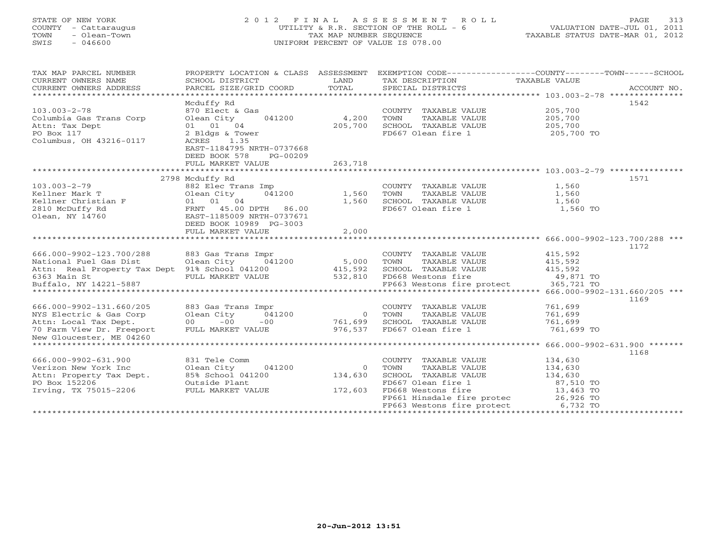# STATE OF NEW YORK 2 0 1 2 F I N A L A S S E S S M E N T R O L L PAGE 313 COUNTY - Cattaraugus UTILITY & R.R. SECTION OF THE ROLL - 6 VALUATION DATE-JUL 01, 2011 TOWN - Olean-Town TAX MAP NUMBER SEQUENCE TAXABLE STATUS DATE-MAR 01, 2012 SWIS - 046600 UNIFORM PERCENT OF VALUE IS 078.00UNIFORM PERCENT OF VALUE IS 078.00

| TAX MAP PARCEL NUMBER                          | PROPERTY LOCATION & CLASS ASSESSMENT |                | EXEMPTION CODE-----------------COUNTY-------TOWN------SCHOOL           |               |             |
|------------------------------------------------|--------------------------------------|----------------|------------------------------------------------------------------------|---------------|-------------|
| CURRENT OWNERS NAME                            | SCHOOL DISTRICT                      | LAND           | TAX DESCRIPTION                                                        | TAXABLE VALUE |             |
| CURRENT OWNERS ADDRESS                         | PARCEL SIZE/GRID COORD               | TOTAL          | SPECIAL DISTRICTS                                                      |               | ACCOUNT NO. |
|                                                |                                      |                |                                                                        |               |             |
|                                                | Mcduffy Rd                           |                |                                                                        |               | 1542        |
| $103.003 - 2 - 78$                             | 870 Elect & Gas                      |                | COUNTY TAXABLE VALUE                                                   | 205,700       |             |
| Columbia Gas Trans Corp                        | Olean City<br>041200                 | 4,200          | TOWN<br>TAXABLE VALUE                                                  | 205,700       |             |
| Attn: Tax Dept                                 | 01 01 04                             | 205,700        | SCHOOL TAXABLE VALUE                                                   | 205,700       |             |
| PO Box 117                                     | 2 Bldgs & Tower                      |                | FD667 Olean fire 1                                                     | 205,700 TO    |             |
| Columbus, OH 43216-0117                        | ACRES<br>1.35                        |                |                                                                        |               |             |
|                                                | EAST-1184795 NRTH-0737668            |                |                                                                        |               |             |
|                                                | DEED BOOK 578<br>$PG-00209$          |                |                                                                        |               |             |
|                                                | FULL MARKET VALUE                    | 263,718        |                                                                        |               |             |
|                                                |                                      |                |                                                                        |               |             |
|                                                | 2798 Mcduffy Rd                      |                |                                                                        |               | 1571        |
| $103.003 - 2 - 79$                             | 882 Elec Trans Imp                   |                | COUNTY TAXABLE VALUE                                                   | 1,560         |             |
| Kellner Mark T                                 | 041200<br>Olean City                 | 1,560          | TOWN<br>TAXABLE VALUE                                                  | 1,560         |             |
| Kellner Christian F                            | 01 01 04                             | 1,560          | SCHOOL TAXABLE VALUE                                                   | 1,560         |             |
| 2810 McDuffy Rd                                | FRNT 45.00 DPTH 86.00                |                | FD667 Olean fire 1                                                     | 1,560 TO      |             |
| Olean, NY 14760                                | EAST-1185009 NRTH-0737671            |                |                                                                        |               |             |
|                                                | DEED BOOK 10989 PG-3003              |                |                                                                        |               |             |
|                                                | FULL MARKET VALUE                    | 2,000          |                                                                        |               |             |
|                                                |                                      |                |                                                                        |               |             |
|                                                |                                      |                |                                                                        |               | 1172        |
| 666.000-9902-123.700/288                       | 883 Gas Trans Impr                   |                | COUNTY TAXABLE VALUE                                                   | 415,592       |             |
| National Fuel Gas Dist                         | Olean City 041200 5,000              |                | TOWN<br>TAXABLE VALUE                                                  | 415,592       |             |
| Attn: Real Property Tax Dept 91% School 041200 |                                      | 415,592        | SCHOOL TAXABLE VALUE                                                   | 415,592       |             |
| 6363 Main St                                   | FULL MARKET VALUE                    | 532,810        | FD668 Westons fire                                                     | 49,871 TO     |             |
| Buffalo, NY 14221-5887                         |                                      |                | FP663 Westons fire protect 365,721 TO                                  |               |             |
|                                                |                                      |                |                                                                        |               |             |
|                                                |                                      |                |                                                                        |               | 1169        |
| 666.000-9902-131.660/205                       | 883 Gas Trans Impr                   |                | COUNTY TAXABLE VALUE                                                   | 761,699       |             |
| NYS Electric & Gas Corp                        | Olean City<br>041200                 | $\overline{0}$ | TOWN<br>TAXABLE VALUE                                                  | 761,699       |             |
| Attn: Local Tax Dept.                          | $00 - 00$<br>$-00$                   | 761,699        | SCHOOL TAXABLE VALUE                                                   | 761,699       |             |
| 70 Farm View Dr. Freeport                      | FULL MARKET VALUE                    | 976.537        | FD667 Olean fire 1                                                     | 761,699 TO    |             |
| New Gloucester, ME 04260                       |                                      |                |                                                                        |               |             |
| *****************************                  |                                      |                |                                                                        |               |             |
|                                                |                                      |                |                                                                        |               | 1168        |
| 666.000-9902-631.900                           | 831 Tele Comm                        |                | COUNTY TAXABLE VALUE                                                   | 134,630       |             |
| Verizon New York Inc                           | Olean City<br>041200                 | $\Omega$       | TOWN<br>TAXABLE VALUE                                                  | 134,630       |             |
| Attn: Property Tax Dept.                       | 85% School 041200                    | 134,630        | SCHOOL TAXABLE VALUE                                                   | 134,630       |             |
| PO Box 152206                                  | Outside Plant                        |                | FD667 Olean fire 1                                                     | 87,510 TO     |             |
| Irving, TX 75015-2206                          | FULL MARKET VALUE 172,603            |                | FD668 Westons fire                                                     | 13,463 TO     |             |
|                                                |                                      |                |                                                                        |               |             |
|                                                |                                      |                | FD668 Westons lile<br>FP661 Hinsdale fire protec 26,926 TO<br>6,732 TO |               |             |
|                                                |                                      |                |                                                                        |               |             |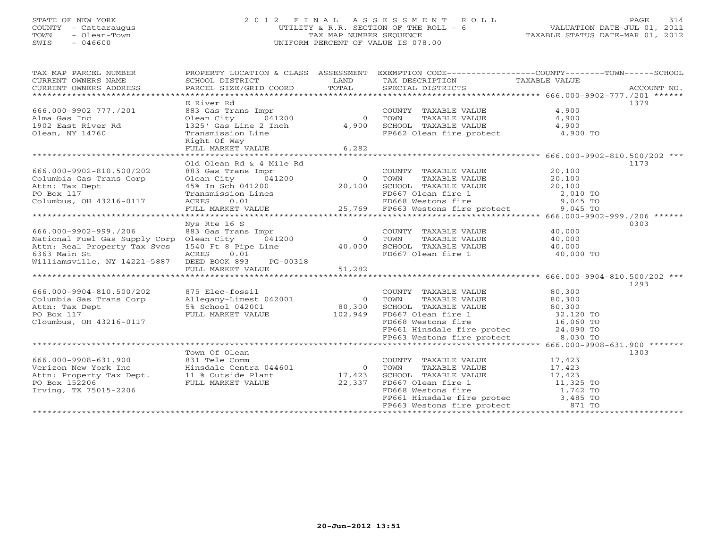# STATE OF NEW YORK 2 0 1 2 F I N A L A S S E S S M E N T R O L L PAGE 314 COUNTY - Cattaraugus UTILITY & R.R. SECTION OF THE ROLL - 6 VALUATION DATE-JUL 01, 2011 TOWN - Olean-Town TAX MAP NUMBER SEQUENCE TAXABLE STATUS DATE-MAR 01, 2012 SWIS - 046600 UNIFORM PERCENT OF VALUE IS 078.00UNIFORM PERCENT OF VALUE IS 078.00

| TAX MAP PARCEL NUMBER<br>CURRENT OWNERS NAME | PROPERTY LOCATION & CLASS ASSESSMENT<br>SCHOOL DISTRICT | LAND           | EXEMPTION CODE-----------------COUNTY-------TOWN------SCHOOL<br>TAX DESCRIPTION                                                                                                                                                    | TAXABLE VALUE                                          |             |
|----------------------------------------------|---------------------------------------------------------|----------------|------------------------------------------------------------------------------------------------------------------------------------------------------------------------------------------------------------------------------------|--------------------------------------------------------|-------------|
| CURRENT OWNERS ADDRESS                       | PARCEL SIZE/GRID COORD                                  | TOTAL          | SPECIAL DISTRICTS                                                                                                                                                                                                                  |                                                        | ACCOUNT NO. |
|                                              |                                                         |                |                                                                                                                                                                                                                                    |                                                        |             |
|                                              | E River Rd                                              |                |                                                                                                                                                                                                                                    | 1379                                                   |             |
| 666.000-9902-777./201                        | 883 Gas Trans Impr                                      |                | COUNTY TAXABLE VALUE                                                                                                                                                                                                               | 4,900                                                  |             |
| Alma Gas Inc                                 | Olean City<br>041200                                    | $\circ$        | TAXABLE VALUE<br>TOWN                                                                                                                                                                                                              | 4,900                                                  |             |
| 1902 East River Rd                           | 1325' Gas Line 2 Inch                                   | 4,900          | SCHOOL TAXABLE VALUE                                                                                                                                                                                                               | 4,900                                                  |             |
| Olean, NY 14760                              | Transmission Line                                       |                | FP662 Olean fire protect 4,900 TO                                                                                                                                                                                                  |                                                        |             |
|                                              | Right Of Way                                            |                |                                                                                                                                                                                                                                    |                                                        |             |
|                                              | FULL MARKET VALUE                                       | 6,282          |                                                                                                                                                                                                                                    |                                                        |             |
|                                              |                                                         |                |                                                                                                                                                                                                                                    |                                                        |             |
|                                              | Old Olean Rd & 4 Mile Rd                                |                |                                                                                                                                                                                                                                    | 1173                                                   |             |
| 666.000-9902-810.500/202                     | 883 Gas Trans Impr                                      |                | COUNTY TAXABLE VALUE                                                                                                                                                                                                               | 20,100                                                 |             |
| Columbia Gas Trans Corp                      |                                                         |                |                                                                                                                                                                                                                                    |                                                        |             |
| Attn: Tax Dept                               |                                                         |                |                                                                                                                                                                                                                                    |                                                        |             |
| PO Box 117                                   |                                                         |                |                                                                                                                                                                                                                                    |                                                        |             |
| Columbus, OH 43216-0117                      |                                                         |                |                                                                                                                                                                                                                                    |                                                        |             |
|                                              |                                                         |                | 01200 0 1000 1200 0 10000 12000 12000 12000 12000 12000 12000 12000 12000 12000 12000 12000 12000 12000 12000<br>Transmission Lines 20,100 5CHOOL TAXABLE VALUE 20,100<br>Transmission Lines 1 2,010 12000 12000 12000 12000 12000 |                                                        |             |
|                                              |                                                         |                |                                                                                                                                                                                                                                    |                                                        |             |
|                                              | Nys Rte 16 S                                            |                |                                                                                                                                                                                                                                    | 0303                                                   |             |
| 666.000-9902-999./206                        | 883 Gas Trans Impr                                      |                | COUNTY TAXABLE VALUE                                                                                                                                                                                                               | 40,000                                                 |             |
| National Fuel Gas Supply Corp                | Olean City<br>041200                                    | $\circ$        |                                                                                                                                                                                                                                    |                                                        |             |
| Attn: Real Property Tax Svcs                 | 1540 Ft 8 Pipe Line                                     | 40,000         | TOWN TAXABLE VALUE 40,000<br>SCHOOL TAXABLE VALUE 40,000<br>FD667 Olean fire 1 40,000 TO                                                                                                                                           |                                                        |             |
| 6363 Main St                                 | ACRES<br>0.01                                           |                |                                                                                                                                                                                                                                    |                                                        |             |
| Williamsville, NY 14221-5887                 | DEED BOOK 893 PG-00318                                  |                |                                                                                                                                                                                                                                    |                                                        |             |
|                                              | FULL MARKET VALUE                                       | 51,282         |                                                                                                                                                                                                                                    |                                                        |             |
|                                              | ************************                                | *************  |                                                                                                                                                                                                                                    | ************************* 666.000-9904-810.500/202 *** |             |
|                                              |                                                         |                |                                                                                                                                                                                                                                    | 1293                                                   |             |
| 666.000-9904-810.500/202                     | 875 Elec-fossil                                         |                | COUNTY TAXABLE VALUE                                                                                                                                                                                                               | 80,300                                                 |             |
| Columbia Gas Trans Corp                      | Allegany-Limest 042001                                  | $\overline{0}$ | TOWN<br>TAXABLE VALUE                                                                                                                                                                                                              | 80,300                                                 |             |
| Attn: Tax Dept                               | 5% School 042001                                        | 80,300         | SCHOOL TAXABLE VALUE                                                                                                                                                                                                               | 80,300                                                 |             |
| PO Box 117                                   | FULL MARKET VALUE                                       | 102,949        | FD667 Olean fire 1                                                                                                                                                                                                                 | 32,120 TO                                              |             |
| Cloumbus, OH 43216-0117                      |                                                         |                | FD668 Westons fire                                                                                                                                                                                                                 | 16,060 TO                                              |             |
|                                              |                                                         |                | FP661 Hinsdale fire protec 24,090 TO                                                                                                                                                                                               |                                                        |             |
|                                              |                                                         |                |                                                                                                                                                                                                                                    |                                                        |             |
|                                              |                                                         |                | FP663 Westons fire protect                                                                                                                                                                                                         | 8,030 TO                                               |             |
|                                              |                                                         |                |                                                                                                                                                                                                                                    |                                                        |             |
|                                              | Town Of Olean                                           |                |                                                                                                                                                                                                                                    | 1303                                                   |             |
| 666.000-9908-631.900                         | 831 Tele Comm                                           |                | COUNTY TAXABLE VALUE                                                                                                                                                                                                               | 17,423                                                 |             |
| Verizon New York Inc                         | Hinsdale Centra 044601                                  | $\bigcirc$     | TAXABLE VALUE<br>TOWN                                                                                                                                                                                                              | 17,423                                                 |             |
| Attn: Property Tax Dept. 11 % Outside Plant  |                                                         | 17,423         | SCHOOL TAXABLE VALUE                                                                                                                                                                                                               | 17,423                                                 |             |
| PO Box 152206                                | FULL MARKET VALUE                                       | 22,337         | FD667 Olean fire 1 11,325 TO<br>FD668 Westons fire 1,742 TO                                                                                                                                                                        |                                                        |             |
| Irving, TX 75015-2206                        |                                                         |                |                                                                                                                                                                                                                                    |                                                        |             |
|                                              |                                                         |                | FP661 Hinsdale fire protec 3,485 TO                                                                                                                                                                                                |                                                        |             |
|                                              |                                                         |                | FP663 Westons fire protect 871 TO                                                                                                                                                                                                  |                                                        |             |
|                                              |                                                         |                |                                                                                                                                                                                                                                    |                                                        |             |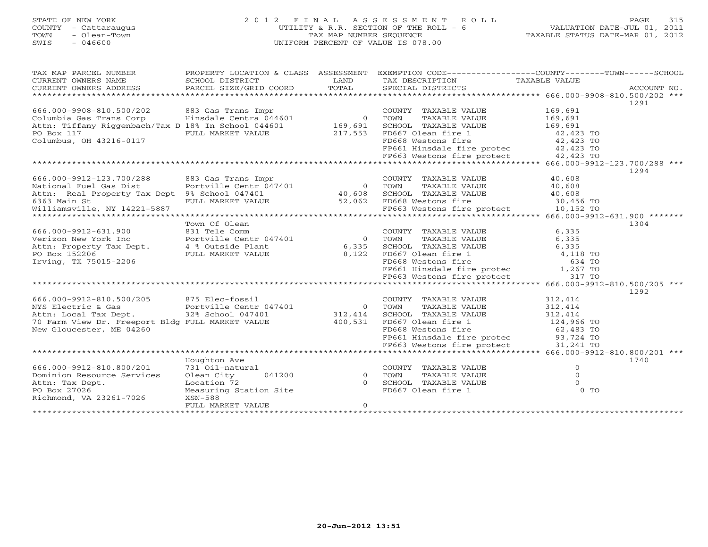# STATE OF NEW YORK 2 0 1 2 F I N A L A S S E S S M E N T R O L L PAGE 315 COUNTY - Cattaraugus UTILITY & R.R. SECTION OF THE ROLL - 6 VALUATION DATE-JUL 01, 2011 TOWN - Olean-Town TAX MAP NUMBER SEQUENCE TAXABLE STATUS DATE-MAR 01, 2012 SWIS - 046600 UNIFORM PERCENT OF VALUE IS 078.00UNIFORM PERCENT OF VALUE IS 078.00

| CURRENT OWNERS NAME<br>SCHOOL DISTRICT<br>LAND<br>TAX DESCRIPTION<br>TAXABLE VALUE<br>TOTAL<br>SPECIAL DISTRICTS<br>CURRENT OWNERS ADDRESS<br>PARCEL SIZE/GRID COORD<br>ACCOUNT NO.<br>1291<br>666.000-9908-810.500/202<br>883 Gas Trans Impr<br>169,691<br>COUNTY TAXABLE VALUE<br>Columbia Gas Trans Corp Hinsdale Centra 044601<br>$\overline{0}$<br>TAXABLE VALUE<br>169,691<br>TOWN<br>169,691<br>Attn: Tiffany Riggenbach/Tax D 18% In School 044601<br>169,691<br>SCHOOL TAXABLE VALUE<br>PO Box 117<br>217,553<br>FD667 Olean fire 1<br>42,423 TO<br>42,423 TO<br>FULL MARKET VALUE<br>Columbus, OH 43216-0117<br>FD668 Westons fire<br>FP661 Hinsdale fire protec 42,423 TO<br>FP663 Westons fire protect 42,423 TO<br>1294<br>666.000-9912-123.700/288<br>883 Gas Trans Impr<br>COUNTY TAXABLE VALUE<br>40,608<br>$\overline{0}$<br>Portville Centr 047401<br>National Fuel Gas Dist<br>TAXABLE VALUE<br>TOWN<br>40,608<br>Attn: Real Property Tax Dept 9% School 047401<br>SCHOOL TAXABLE VALUE<br>40,608<br>$40,600$<br>30,456 TO<br>6363 Main St<br>FULL MARKET VALUE 52,062<br>FD668 Westons fire 30,456 TO<br>FP663 Westons fire protect 10,152 TO<br>Williamsville, NY 14221-5887<br>Town Of Olean<br>1304<br>666.000-9912-631.900<br>831 Tele Comm<br>6,335<br>COUNTY TAXABLE VALUE<br>6,335<br>Verizon New York Inc<br>Portville Centr 047401<br>$\overline{0}$<br>TOWN<br>TAXABLE VALUE<br>6,335<br>Attn: Property Tax Dept.<br>4 % Outside Plant<br>6,335<br>SCHOOL TAXABLE VALUE<br>4,118 TO<br>PO Box 152206<br>FULL MARKET VALUE<br>8,122<br>FD667 Olean fire 1<br>FD668 Westons fire<br>Irving, TX 75015-2206<br>634 TO<br>FD668 Westons fire<br>FP661 Hinsdale fire protec<br>1,267 TO<br>FP663 Westons fire protect<br>317 TO<br>1292<br>666.000-9912-810.500/205 875 Elec-fossil<br>COUNTY TAXABLE VALUE<br>312,414<br>NYS Electric & Gas<br>Portville Centr 047401<br>$\overline{0}$<br>TOWN<br>TAXABLE VALUE<br>312,414<br>32% School 047401 312,414<br>Attn: Local Tax Dept.<br>SCHOOL TAXABLE VALUE<br>312,414<br>70 Farm View Dr. Freeport Bldg FULL MARKET VALUE<br>400,531<br>FD667 Olean fire 1<br>124,966 TO<br>New Gloucester, ME 04260<br>FD668 Westons fire<br>62,483 TO<br>FP661 Hinsdale fire protec 93,724 TO<br>FP663 Westons fire protect<br>31,241 TO<br>Houghton Ave<br>1740<br>666.000-9912-810.800/201<br>731 Oil-natural<br>$\overline{0}$<br>COUNTY TAXABLE VALUE<br>$\circ$<br>Dominion Resource Services<br>Olean City<br>041200<br>$\overline{0}$<br>TOWN<br>TAXABLE VALUE<br>Location 72<br>$\Omega$<br>Attn: Tax Dept.<br>$\Omega$<br>SCHOOL TAXABLE VALUE<br>0 <sub>T</sub><br>PO Box 27026<br>Measuring Station Site<br>FD667 Olean fire 1<br>Richmond, VA 23261-7026<br>XSN-588<br>$\circ$<br>FULL MARKET VALUE | TAX MAP PARCEL NUMBER |  | PROPERTY LOCATION & CLASS ASSESSMENT EXEMPTION CODE---------------COUNTY-------TOWN------SCHOOL |  |
|---------------------------------------------------------------------------------------------------------------------------------------------------------------------------------------------------------------------------------------------------------------------------------------------------------------------------------------------------------------------------------------------------------------------------------------------------------------------------------------------------------------------------------------------------------------------------------------------------------------------------------------------------------------------------------------------------------------------------------------------------------------------------------------------------------------------------------------------------------------------------------------------------------------------------------------------------------------------------------------------------------------------------------------------------------------------------------------------------------------------------------------------------------------------------------------------------------------------------------------------------------------------------------------------------------------------------------------------------------------------------------------------------------------------------------------------------------------------------------------------------------------------------------------------------------------------------------------------------------------------------------------------------------------------------------------------------------------------------------------------------------------------------------------------------------------------------------------------------------------------------------------------------------------------------------------------------------------------------------------------------------------------------------------------------------------------------------------------------------------------------------------------------------------------------------------------------------------------------------------------------------------------------------------------------------------------------------------------------------------------------------------------------------------------------------------------------------------------------------------------------------------------------------------------------------------------------------------------------------------------------------------------------------------------------------------------------------------------------------------------------------------------------|-----------------------|--|-------------------------------------------------------------------------------------------------|--|
|                                                                                                                                                                                                                                                                                                                                                                                                                                                                                                                                                                                                                                                                                                                                                                                                                                                                                                                                                                                                                                                                                                                                                                                                                                                                                                                                                                                                                                                                                                                                                                                                                                                                                                                                                                                                                                                                                                                                                                                                                                                                                                                                                                                                                                                                                                                                                                                                                                                                                                                                                                                                                                                                                                                                                                           |                       |  |                                                                                                 |  |
|                                                                                                                                                                                                                                                                                                                                                                                                                                                                                                                                                                                                                                                                                                                                                                                                                                                                                                                                                                                                                                                                                                                                                                                                                                                                                                                                                                                                                                                                                                                                                                                                                                                                                                                                                                                                                                                                                                                                                                                                                                                                                                                                                                                                                                                                                                                                                                                                                                                                                                                                                                                                                                                                                                                                                                           |                       |  |                                                                                                 |  |
|                                                                                                                                                                                                                                                                                                                                                                                                                                                                                                                                                                                                                                                                                                                                                                                                                                                                                                                                                                                                                                                                                                                                                                                                                                                                                                                                                                                                                                                                                                                                                                                                                                                                                                                                                                                                                                                                                                                                                                                                                                                                                                                                                                                                                                                                                                                                                                                                                                                                                                                                                                                                                                                                                                                                                                           |                       |  |                                                                                                 |  |
|                                                                                                                                                                                                                                                                                                                                                                                                                                                                                                                                                                                                                                                                                                                                                                                                                                                                                                                                                                                                                                                                                                                                                                                                                                                                                                                                                                                                                                                                                                                                                                                                                                                                                                                                                                                                                                                                                                                                                                                                                                                                                                                                                                                                                                                                                                                                                                                                                                                                                                                                                                                                                                                                                                                                                                           |                       |  |                                                                                                 |  |
|                                                                                                                                                                                                                                                                                                                                                                                                                                                                                                                                                                                                                                                                                                                                                                                                                                                                                                                                                                                                                                                                                                                                                                                                                                                                                                                                                                                                                                                                                                                                                                                                                                                                                                                                                                                                                                                                                                                                                                                                                                                                                                                                                                                                                                                                                                                                                                                                                                                                                                                                                                                                                                                                                                                                                                           |                       |  |                                                                                                 |  |
|                                                                                                                                                                                                                                                                                                                                                                                                                                                                                                                                                                                                                                                                                                                                                                                                                                                                                                                                                                                                                                                                                                                                                                                                                                                                                                                                                                                                                                                                                                                                                                                                                                                                                                                                                                                                                                                                                                                                                                                                                                                                                                                                                                                                                                                                                                                                                                                                                                                                                                                                                                                                                                                                                                                                                                           |                       |  |                                                                                                 |  |
|                                                                                                                                                                                                                                                                                                                                                                                                                                                                                                                                                                                                                                                                                                                                                                                                                                                                                                                                                                                                                                                                                                                                                                                                                                                                                                                                                                                                                                                                                                                                                                                                                                                                                                                                                                                                                                                                                                                                                                                                                                                                                                                                                                                                                                                                                                                                                                                                                                                                                                                                                                                                                                                                                                                                                                           |                       |  |                                                                                                 |  |
|                                                                                                                                                                                                                                                                                                                                                                                                                                                                                                                                                                                                                                                                                                                                                                                                                                                                                                                                                                                                                                                                                                                                                                                                                                                                                                                                                                                                                                                                                                                                                                                                                                                                                                                                                                                                                                                                                                                                                                                                                                                                                                                                                                                                                                                                                                                                                                                                                                                                                                                                                                                                                                                                                                                                                                           |                       |  |                                                                                                 |  |
|                                                                                                                                                                                                                                                                                                                                                                                                                                                                                                                                                                                                                                                                                                                                                                                                                                                                                                                                                                                                                                                                                                                                                                                                                                                                                                                                                                                                                                                                                                                                                                                                                                                                                                                                                                                                                                                                                                                                                                                                                                                                                                                                                                                                                                                                                                                                                                                                                                                                                                                                                                                                                                                                                                                                                                           |                       |  |                                                                                                 |  |
|                                                                                                                                                                                                                                                                                                                                                                                                                                                                                                                                                                                                                                                                                                                                                                                                                                                                                                                                                                                                                                                                                                                                                                                                                                                                                                                                                                                                                                                                                                                                                                                                                                                                                                                                                                                                                                                                                                                                                                                                                                                                                                                                                                                                                                                                                                                                                                                                                                                                                                                                                                                                                                                                                                                                                                           |                       |  |                                                                                                 |  |
|                                                                                                                                                                                                                                                                                                                                                                                                                                                                                                                                                                                                                                                                                                                                                                                                                                                                                                                                                                                                                                                                                                                                                                                                                                                                                                                                                                                                                                                                                                                                                                                                                                                                                                                                                                                                                                                                                                                                                                                                                                                                                                                                                                                                                                                                                                                                                                                                                                                                                                                                                                                                                                                                                                                                                                           |                       |  |                                                                                                 |  |
|                                                                                                                                                                                                                                                                                                                                                                                                                                                                                                                                                                                                                                                                                                                                                                                                                                                                                                                                                                                                                                                                                                                                                                                                                                                                                                                                                                                                                                                                                                                                                                                                                                                                                                                                                                                                                                                                                                                                                                                                                                                                                                                                                                                                                                                                                                                                                                                                                                                                                                                                                                                                                                                                                                                                                                           |                       |  |                                                                                                 |  |
|                                                                                                                                                                                                                                                                                                                                                                                                                                                                                                                                                                                                                                                                                                                                                                                                                                                                                                                                                                                                                                                                                                                                                                                                                                                                                                                                                                                                                                                                                                                                                                                                                                                                                                                                                                                                                                                                                                                                                                                                                                                                                                                                                                                                                                                                                                                                                                                                                                                                                                                                                                                                                                                                                                                                                                           |                       |  |                                                                                                 |  |
|                                                                                                                                                                                                                                                                                                                                                                                                                                                                                                                                                                                                                                                                                                                                                                                                                                                                                                                                                                                                                                                                                                                                                                                                                                                                                                                                                                                                                                                                                                                                                                                                                                                                                                                                                                                                                                                                                                                                                                                                                                                                                                                                                                                                                                                                                                                                                                                                                                                                                                                                                                                                                                                                                                                                                                           |                       |  |                                                                                                 |  |
|                                                                                                                                                                                                                                                                                                                                                                                                                                                                                                                                                                                                                                                                                                                                                                                                                                                                                                                                                                                                                                                                                                                                                                                                                                                                                                                                                                                                                                                                                                                                                                                                                                                                                                                                                                                                                                                                                                                                                                                                                                                                                                                                                                                                                                                                                                                                                                                                                                                                                                                                                                                                                                                                                                                                                                           |                       |  |                                                                                                 |  |
|                                                                                                                                                                                                                                                                                                                                                                                                                                                                                                                                                                                                                                                                                                                                                                                                                                                                                                                                                                                                                                                                                                                                                                                                                                                                                                                                                                                                                                                                                                                                                                                                                                                                                                                                                                                                                                                                                                                                                                                                                                                                                                                                                                                                                                                                                                                                                                                                                                                                                                                                                                                                                                                                                                                                                                           |                       |  |                                                                                                 |  |
|                                                                                                                                                                                                                                                                                                                                                                                                                                                                                                                                                                                                                                                                                                                                                                                                                                                                                                                                                                                                                                                                                                                                                                                                                                                                                                                                                                                                                                                                                                                                                                                                                                                                                                                                                                                                                                                                                                                                                                                                                                                                                                                                                                                                                                                                                                                                                                                                                                                                                                                                                                                                                                                                                                                                                                           |                       |  |                                                                                                 |  |
|                                                                                                                                                                                                                                                                                                                                                                                                                                                                                                                                                                                                                                                                                                                                                                                                                                                                                                                                                                                                                                                                                                                                                                                                                                                                                                                                                                                                                                                                                                                                                                                                                                                                                                                                                                                                                                                                                                                                                                                                                                                                                                                                                                                                                                                                                                                                                                                                                                                                                                                                                                                                                                                                                                                                                                           |                       |  |                                                                                                 |  |
|                                                                                                                                                                                                                                                                                                                                                                                                                                                                                                                                                                                                                                                                                                                                                                                                                                                                                                                                                                                                                                                                                                                                                                                                                                                                                                                                                                                                                                                                                                                                                                                                                                                                                                                                                                                                                                                                                                                                                                                                                                                                                                                                                                                                                                                                                                                                                                                                                                                                                                                                                                                                                                                                                                                                                                           |                       |  |                                                                                                 |  |
|                                                                                                                                                                                                                                                                                                                                                                                                                                                                                                                                                                                                                                                                                                                                                                                                                                                                                                                                                                                                                                                                                                                                                                                                                                                                                                                                                                                                                                                                                                                                                                                                                                                                                                                                                                                                                                                                                                                                                                                                                                                                                                                                                                                                                                                                                                                                                                                                                                                                                                                                                                                                                                                                                                                                                                           |                       |  |                                                                                                 |  |
|                                                                                                                                                                                                                                                                                                                                                                                                                                                                                                                                                                                                                                                                                                                                                                                                                                                                                                                                                                                                                                                                                                                                                                                                                                                                                                                                                                                                                                                                                                                                                                                                                                                                                                                                                                                                                                                                                                                                                                                                                                                                                                                                                                                                                                                                                                                                                                                                                                                                                                                                                                                                                                                                                                                                                                           |                       |  |                                                                                                 |  |
|                                                                                                                                                                                                                                                                                                                                                                                                                                                                                                                                                                                                                                                                                                                                                                                                                                                                                                                                                                                                                                                                                                                                                                                                                                                                                                                                                                                                                                                                                                                                                                                                                                                                                                                                                                                                                                                                                                                                                                                                                                                                                                                                                                                                                                                                                                                                                                                                                                                                                                                                                                                                                                                                                                                                                                           |                       |  |                                                                                                 |  |
|                                                                                                                                                                                                                                                                                                                                                                                                                                                                                                                                                                                                                                                                                                                                                                                                                                                                                                                                                                                                                                                                                                                                                                                                                                                                                                                                                                                                                                                                                                                                                                                                                                                                                                                                                                                                                                                                                                                                                                                                                                                                                                                                                                                                                                                                                                                                                                                                                                                                                                                                                                                                                                                                                                                                                                           |                       |  |                                                                                                 |  |
|                                                                                                                                                                                                                                                                                                                                                                                                                                                                                                                                                                                                                                                                                                                                                                                                                                                                                                                                                                                                                                                                                                                                                                                                                                                                                                                                                                                                                                                                                                                                                                                                                                                                                                                                                                                                                                                                                                                                                                                                                                                                                                                                                                                                                                                                                                                                                                                                                                                                                                                                                                                                                                                                                                                                                                           |                       |  |                                                                                                 |  |
|                                                                                                                                                                                                                                                                                                                                                                                                                                                                                                                                                                                                                                                                                                                                                                                                                                                                                                                                                                                                                                                                                                                                                                                                                                                                                                                                                                                                                                                                                                                                                                                                                                                                                                                                                                                                                                                                                                                                                                                                                                                                                                                                                                                                                                                                                                                                                                                                                                                                                                                                                                                                                                                                                                                                                                           |                       |  |                                                                                                 |  |
|                                                                                                                                                                                                                                                                                                                                                                                                                                                                                                                                                                                                                                                                                                                                                                                                                                                                                                                                                                                                                                                                                                                                                                                                                                                                                                                                                                                                                                                                                                                                                                                                                                                                                                                                                                                                                                                                                                                                                                                                                                                                                                                                                                                                                                                                                                                                                                                                                                                                                                                                                                                                                                                                                                                                                                           |                       |  |                                                                                                 |  |
|                                                                                                                                                                                                                                                                                                                                                                                                                                                                                                                                                                                                                                                                                                                                                                                                                                                                                                                                                                                                                                                                                                                                                                                                                                                                                                                                                                                                                                                                                                                                                                                                                                                                                                                                                                                                                                                                                                                                                                                                                                                                                                                                                                                                                                                                                                                                                                                                                                                                                                                                                                                                                                                                                                                                                                           |                       |  |                                                                                                 |  |
|                                                                                                                                                                                                                                                                                                                                                                                                                                                                                                                                                                                                                                                                                                                                                                                                                                                                                                                                                                                                                                                                                                                                                                                                                                                                                                                                                                                                                                                                                                                                                                                                                                                                                                                                                                                                                                                                                                                                                                                                                                                                                                                                                                                                                                                                                                                                                                                                                                                                                                                                                                                                                                                                                                                                                                           |                       |  |                                                                                                 |  |
|                                                                                                                                                                                                                                                                                                                                                                                                                                                                                                                                                                                                                                                                                                                                                                                                                                                                                                                                                                                                                                                                                                                                                                                                                                                                                                                                                                                                                                                                                                                                                                                                                                                                                                                                                                                                                                                                                                                                                                                                                                                                                                                                                                                                                                                                                                                                                                                                                                                                                                                                                                                                                                                                                                                                                                           |                       |  |                                                                                                 |  |
|                                                                                                                                                                                                                                                                                                                                                                                                                                                                                                                                                                                                                                                                                                                                                                                                                                                                                                                                                                                                                                                                                                                                                                                                                                                                                                                                                                                                                                                                                                                                                                                                                                                                                                                                                                                                                                                                                                                                                                                                                                                                                                                                                                                                                                                                                                                                                                                                                                                                                                                                                                                                                                                                                                                                                                           |                       |  |                                                                                                 |  |
|                                                                                                                                                                                                                                                                                                                                                                                                                                                                                                                                                                                                                                                                                                                                                                                                                                                                                                                                                                                                                                                                                                                                                                                                                                                                                                                                                                                                                                                                                                                                                                                                                                                                                                                                                                                                                                                                                                                                                                                                                                                                                                                                                                                                                                                                                                                                                                                                                                                                                                                                                                                                                                                                                                                                                                           |                       |  |                                                                                                 |  |
|                                                                                                                                                                                                                                                                                                                                                                                                                                                                                                                                                                                                                                                                                                                                                                                                                                                                                                                                                                                                                                                                                                                                                                                                                                                                                                                                                                                                                                                                                                                                                                                                                                                                                                                                                                                                                                                                                                                                                                                                                                                                                                                                                                                                                                                                                                                                                                                                                                                                                                                                                                                                                                                                                                                                                                           |                       |  |                                                                                                 |  |
|                                                                                                                                                                                                                                                                                                                                                                                                                                                                                                                                                                                                                                                                                                                                                                                                                                                                                                                                                                                                                                                                                                                                                                                                                                                                                                                                                                                                                                                                                                                                                                                                                                                                                                                                                                                                                                                                                                                                                                                                                                                                                                                                                                                                                                                                                                                                                                                                                                                                                                                                                                                                                                                                                                                                                                           |                       |  |                                                                                                 |  |
|                                                                                                                                                                                                                                                                                                                                                                                                                                                                                                                                                                                                                                                                                                                                                                                                                                                                                                                                                                                                                                                                                                                                                                                                                                                                                                                                                                                                                                                                                                                                                                                                                                                                                                                                                                                                                                                                                                                                                                                                                                                                                                                                                                                                                                                                                                                                                                                                                                                                                                                                                                                                                                                                                                                                                                           |                       |  |                                                                                                 |  |
|                                                                                                                                                                                                                                                                                                                                                                                                                                                                                                                                                                                                                                                                                                                                                                                                                                                                                                                                                                                                                                                                                                                                                                                                                                                                                                                                                                                                                                                                                                                                                                                                                                                                                                                                                                                                                                                                                                                                                                                                                                                                                                                                                                                                                                                                                                                                                                                                                                                                                                                                                                                                                                                                                                                                                                           |                       |  |                                                                                                 |  |
|                                                                                                                                                                                                                                                                                                                                                                                                                                                                                                                                                                                                                                                                                                                                                                                                                                                                                                                                                                                                                                                                                                                                                                                                                                                                                                                                                                                                                                                                                                                                                                                                                                                                                                                                                                                                                                                                                                                                                                                                                                                                                                                                                                                                                                                                                                                                                                                                                                                                                                                                                                                                                                                                                                                                                                           |                       |  |                                                                                                 |  |
|                                                                                                                                                                                                                                                                                                                                                                                                                                                                                                                                                                                                                                                                                                                                                                                                                                                                                                                                                                                                                                                                                                                                                                                                                                                                                                                                                                                                                                                                                                                                                                                                                                                                                                                                                                                                                                                                                                                                                                                                                                                                                                                                                                                                                                                                                                                                                                                                                                                                                                                                                                                                                                                                                                                                                                           |                       |  |                                                                                                 |  |
|                                                                                                                                                                                                                                                                                                                                                                                                                                                                                                                                                                                                                                                                                                                                                                                                                                                                                                                                                                                                                                                                                                                                                                                                                                                                                                                                                                                                                                                                                                                                                                                                                                                                                                                                                                                                                                                                                                                                                                                                                                                                                                                                                                                                                                                                                                                                                                                                                                                                                                                                                                                                                                                                                                                                                                           |                       |  |                                                                                                 |  |
|                                                                                                                                                                                                                                                                                                                                                                                                                                                                                                                                                                                                                                                                                                                                                                                                                                                                                                                                                                                                                                                                                                                                                                                                                                                                                                                                                                                                                                                                                                                                                                                                                                                                                                                                                                                                                                                                                                                                                                                                                                                                                                                                                                                                                                                                                                                                                                                                                                                                                                                                                                                                                                                                                                                                                                           |                       |  |                                                                                                 |  |
|                                                                                                                                                                                                                                                                                                                                                                                                                                                                                                                                                                                                                                                                                                                                                                                                                                                                                                                                                                                                                                                                                                                                                                                                                                                                                                                                                                                                                                                                                                                                                                                                                                                                                                                                                                                                                                                                                                                                                                                                                                                                                                                                                                                                                                                                                                                                                                                                                                                                                                                                                                                                                                                                                                                                                                           |                       |  |                                                                                                 |  |
|                                                                                                                                                                                                                                                                                                                                                                                                                                                                                                                                                                                                                                                                                                                                                                                                                                                                                                                                                                                                                                                                                                                                                                                                                                                                                                                                                                                                                                                                                                                                                                                                                                                                                                                                                                                                                                                                                                                                                                                                                                                                                                                                                                                                                                                                                                                                                                                                                                                                                                                                                                                                                                                                                                                                                                           |                       |  |                                                                                                 |  |
|                                                                                                                                                                                                                                                                                                                                                                                                                                                                                                                                                                                                                                                                                                                                                                                                                                                                                                                                                                                                                                                                                                                                                                                                                                                                                                                                                                                                                                                                                                                                                                                                                                                                                                                                                                                                                                                                                                                                                                                                                                                                                                                                                                                                                                                                                                                                                                                                                                                                                                                                                                                                                                                                                                                                                                           |                       |  |                                                                                                 |  |
|                                                                                                                                                                                                                                                                                                                                                                                                                                                                                                                                                                                                                                                                                                                                                                                                                                                                                                                                                                                                                                                                                                                                                                                                                                                                                                                                                                                                                                                                                                                                                                                                                                                                                                                                                                                                                                                                                                                                                                                                                                                                                                                                                                                                                                                                                                                                                                                                                                                                                                                                                                                                                                                                                                                                                                           |                       |  |                                                                                                 |  |
|                                                                                                                                                                                                                                                                                                                                                                                                                                                                                                                                                                                                                                                                                                                                                                                                                                                                                                                                                                                                                                                                                                                                                                                                                                                                                                                                                                                                                                                                                                                                                                                                                                                                                                                                                                                                                                                                                                                                                                                                                                                                                                                                                                                                                                                                                                                                                                                                                                                                                                                                                                                                                                                                                                                                                                           |                       |  |                                                                                                 |  |
|                                                                                                                                                                                                                                                                                                                                                                                                                                                                                                                                                                                                                                                                                                                                                                                                                                                                                                                                                                                                                                                                                                                                                                                                                                                                                                                                                                                                                                                                                                                                                                                                                                                                                                                                                                                                                                                                                                                                                                                                                                                                                                                                                                                                                                                                                                                                                                                                                                                                                                                                                                                                                                                                                                                                                                           |                       |  |                                                                                                 |  |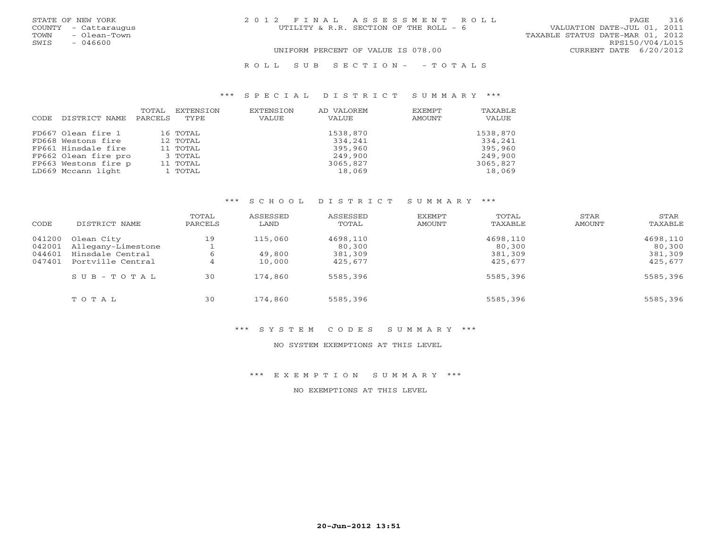| STATE OF NEW YORK<br>COUNTY - Cattaraugus<br>- Olean-Town | 2012 FINAL ASSESSMENT ROLL<br>UTILITY & R.R. SECTION OF THE ROLL - 6 | 316<br>PAGE<br>VALUATION DATE-JUL 01, 2011          |
|-----------------------------------------------------------|----------------------------------------------------------------------|-----------------------------------------------------|
| TOWN<br>SWIS<br>$-046600$                                 |                                                                      | TAXABLE STATUS DATE-MAR 01, 2012<br>RPS150/V04/L015 |
|                                                           | UNIFORM PERCENT OF VALUE IS 078.00                                   | CURRENT DATE 6/20/2012                              |

#### R O L L S U B S E C T I O N - - T O T A L S

#### \*\*\* S P E C I A L D I S T R I C T S U M M A R Y \*\*\*

| CODE | DISTRICT NAME        | TOTAL<br>PARCELS | EXTENSION<br>TYPE | EXTENSION<br>VALUE | AD VALOREM<br>VALUE | EXEMPT<br>AMOUNT | TAXABLE<br>VALUE |
|------|----------------------|------------------|-------------------|--------------------|---------------------|------------------|------------------|
|      | FD667 Olean fire 1   |                  | 16 TOTAL          |                    | 1538,870            |                  | 1538,870         |
|      | FD668 Westons fire   |                  | 12 TOTAL          |                    | 334,241             |                  | 334,241          |
|      | FP661 Hinsdale fire  |                  | 11 TOTAL          |                    | 395,960             |                  | 395,960          |
|      | FP662 Olean fire pro |                  | 3 TOTAL           |                    | 249,900             |                  | 249,900          |
|      | FP663 Westons fire p |                  | 11 TOTAL          |                    | 3065,827            |                  | 3065,827         |
|      | LD669 Mccann light   |                  | 1 TOTAL           |                    | 18,069              |                  | 18,069           |

#### \*\*\* S C H O O L D I S T R I C T S U M M A R Y \*\*\*

| CODE                       | DISTRICT NAME                                        | TOTAL<br>PARCELS | ASSESSED<br>LAND  | ASSESSED<br>TOTAL             | EXEMPT<br>AMOUNT | TOTAL<br>TAXABLE              | STAR<br>AMOUNT | STAR<br>TAXABLE               |
|----------------------------|------------------------------------------------------|------------------|-------------------|-------------------------------|------------------|-------------------------------|----------------|-------------------------------|
| 041200<br>042001<br>044601 | Olean City<br>Allegany-Limestone<br>Hinsdale Central | 19<br>6          | 115,060<br>49,800 | 4698,110<br>80,300<br>381,309 |                  | 4698,110<br>80,300<br>381,309 |                | 4698,110<br>80,300<br>381,309 |
| 047401                     | Portville Central<br>$SUB - TO T AL$                 | 4<br>30          | 10,000<br>174,860 | 425,677<br>5585,396           |                  | 425,677<br>5585,396           |                | 425,677<br>5585,396           |
|                            | TOTAL                                                | 30               | 174,860           | 5585,396                      |                  | 5585,396                      |                | 5585,396                      |

#### \*\*\* S Y S T E M C O D E S S U M M A R Y \*\*\*

# NO SYSTEM EXEMPTIONS AT THIS LEVEL

# \*\*\* E X E M P T I O N S U M M A R Y \*\*\*

### NO EXEMPTIONS AT THIS LEVEL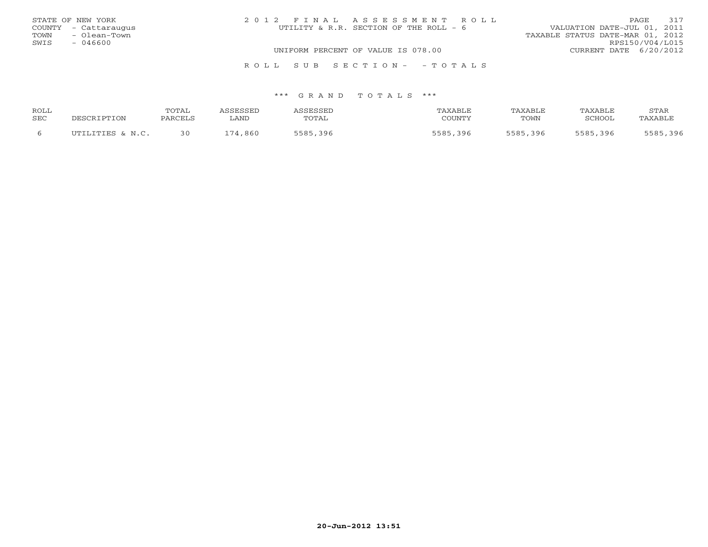|      | STATE OF NEW YORK    | 2012 FINAL ASSESSMENT ROLL             | 317<br>PAGE.                     |
|------|----------------------|----------------------------------------|----------------------------------|
|      | COUNTY - Cattaraugus | UTILITY & R.R. SECTION OF THE ROLL - 6 | VALUATION DATE-JUL 01, 2011      |
| TOWN | - Olean-Town         |                                        | TAXABLE STATUS DATE-MAR 01, 2012 |
| SWIS | $-046600$            |                                        | RPS150/V04/L015                  |
|      |                      | UNIFORM PERCENT OF VALUE IS 078.00     | CURRENT DATE 6/20/2012           |
|      |                      | ROLL SUB SECTION- - TOTALS             |                                  |

| ROLL |                  | TOTAL   | <b><i>\SSESSED</i></b> | ASSESSED | TAXABLE  | TAXABLE  | TAXABLE  | <b>STAR</b> |
|------|------------------|---------|------------------------|----------|----------|----------|----------|-------------|
| SEC  | DESCRIPTION      | PARCELS | ∟AND                   | TOTAL    | COUNTY   | TOWN     | SCHOOL   | TAXABLE     |
|      | UTILITIES & N.C. | 30      | 174,860                | 5585,396 | 5585,396 | 5585,396 | 5585,396 | 5585,396    |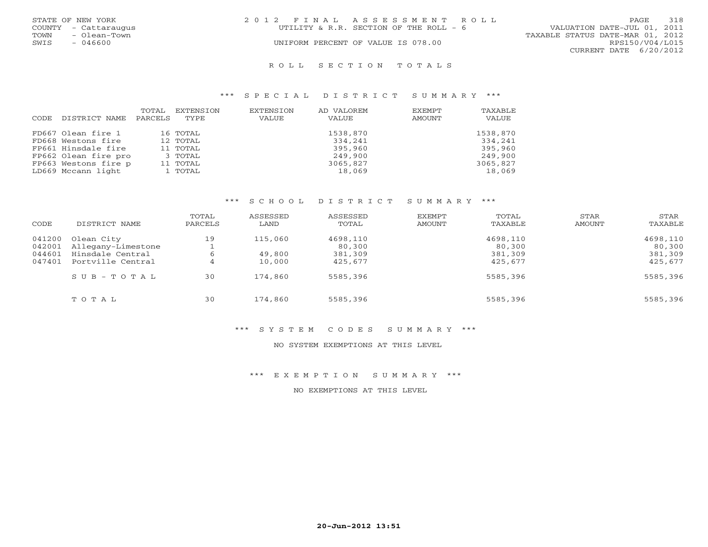|      | STATE OF NEW YORK    | 2012 FINAL ASSESSMENT ROLL                                            | PAGE            | 318 |
|------|----------------------|-----------------------------------------------------------------------|-----------------|-----|
|      | COUNTY - Cattaraugus | VALUATION DATE-JUL 01, 2011<br>UTILITY & R.R. SECTION OF THE ROLL - 6 |                 |     |
| TOWN | - Olean-Town         | TAXABLE STATUS DATE-MAR 01, 2012                                      |                 |     |
| SWIS | $-046600$            | UNIFORM PERCENT OF VALUE IS 078.00                                    | RPS150/V04/L015 |     |
|      |                      | CURRENT DATE 6/20/2012                                                |                 |     |
|      |                      |                                                                       |                 |     |

#### R O L L S E C T I O N T O T A L S

#### \*\*\* S P E C I A L D I S T R I C T S U M M A R Y \*\*\*

| CODE | DISTRICT NAME        | TOTAL<br>PARCELS | EXTENSION<br>TYPE. | EXTENSION<br>VALUE | AD VALOREM<br>VALUE | EXEMPT<br>AMOUNT | TAXABLE<br>VALUE |
|------|----------------------|------------------|--------------------|--------------------|---------------------|------------------|------------------|
|      | FD667 Olean fire 1   |                  | 16 TOTAL           |                    | 1538,870            |                  | 1538,870         |
|      | FD668 Westons fire   |                  | 12 TOTAL           |                    | 334,241             |                  | 334,241          |
|      | FP661 Hinsdale fire  |                  | 11 TOTAL           |                    | 395,960             |                  | 395,960          |
|      | FP662 Olean fire pro |                  | 3 TOTAL            |                    | 249,900             |                  | 249,900          |
|      | FP663 Westons fire p |                  | 11 TOTAL           |                    | 3065,827            |                  | 3065,827         |
|      | LD669 Mccann light   |                  | 1 TOTAL            |                    | 18,069              |                  | 18,069           |

#### \*\*\* S C H O O L D I S T R I C T S U M M A R Y \*\*\*

| CODE   | DISTRICT NAME             | TOTAL<br>PARCELS | ASSESSED<br>LAND | ASSESSED<br>TOTAL | EXEMPT<br>AMOUNT | TOTAL<br>TAXABLE | STAR<br>AMOUNT | STAR<br>TAXABLE |
|--------|---------------------------|------------------|------------------|-------------------|------------------|------------------|----------------|-----------------|
| 041200 | Olean City                | 19               | 115,060          | 4698,110          |                  | 4698,110         |                | 4698,110        |
| 042001 | Allegany-Limestone        |                  |                  | 80,300            |                  | 80,300           |                | 80,300          |
| 044601 | Hinsdale Central          | 6                | 49,800           | 381,309           |                  | 381,309          |                | 381,309         |
| 047401 | Portville Central         |                  | 10,000           | 425,677           |                  | 425,677          |                | 425,677         |
|        | $S \cup B - T \cup T A L$ | 30               | 174,860          | 5585,396          |                  | 5585,396         |                | 5585,396        |
|        | TOTAL                     | 30               | 174,860          | 5585,396          |                  | 5585,396         |                | 5585,396        |

#### \*\*\* S Y S T E M C O D E S S U M M A R Y \*\*\*

### NO SYSTEM EXEMPTIONS AT THIS LEVEL

# \*\*\* E X E M P T I O N S U M M A R Y \*\*\*

### NO EXEMPTIONS AT THIS LEVEL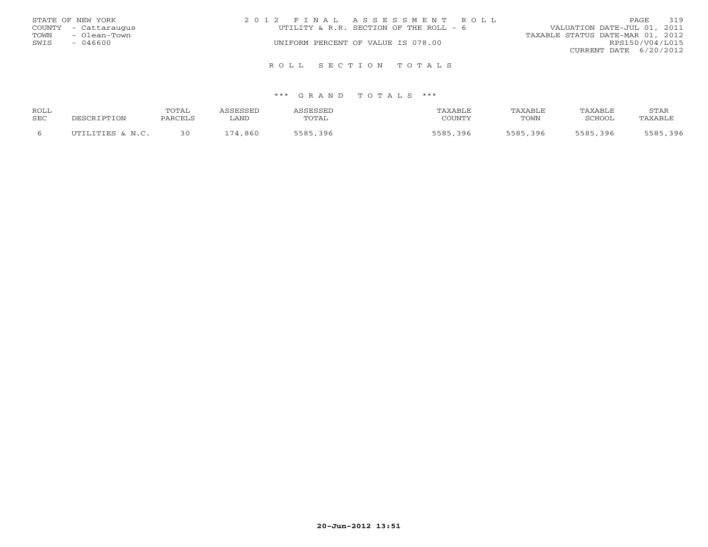|      | STATE OF NEW YORK    | 2012 FINAL ASSESSMENT ROLL             | 319<br>PAGE                      |
|------|----------------------|----------------------------------------|----------------------------------|
|      | COUNTY - Cattaraugus | UTILITY & R.R. SECTION OF THE ROLL - 6 | VALUATION DATE-JUL 01, 2011      |
| TOWN | - Olean-Town         |                                        | TAXABLE STATUS DATE-MAR 01, 2012 |
| SWIS | $-046600$            | UNIFORM PERCENT OF VALUE IS 078.00     | RPS150/V04/L015                  |
|      |                      |                                        | CURRENT DATE 6/20/2012           |
|      |                      | ROLL SECTION TOTALS                    |                                  |

| ROLL |                  | TOTAL   |         | <b>SCRCCET</b> | TAXABLE     | TAXABLE  | TAXABLE       | STAR    |
|------|------------------|---------|---------|----------------|-------------|----------|---------------|---------|
| SEC  | DESCRIPTION      | PARCEL! | ∟AND    | TOTAL          | COUNTY      | TOWN     | <b>SCHOOL</b> | TAXABLF |
|      | ITTITITTES & N C | 30      | 174,860 | 396<br>5585    | 5585<br>396 | 5585,396 | 5585<br>396   | 396     |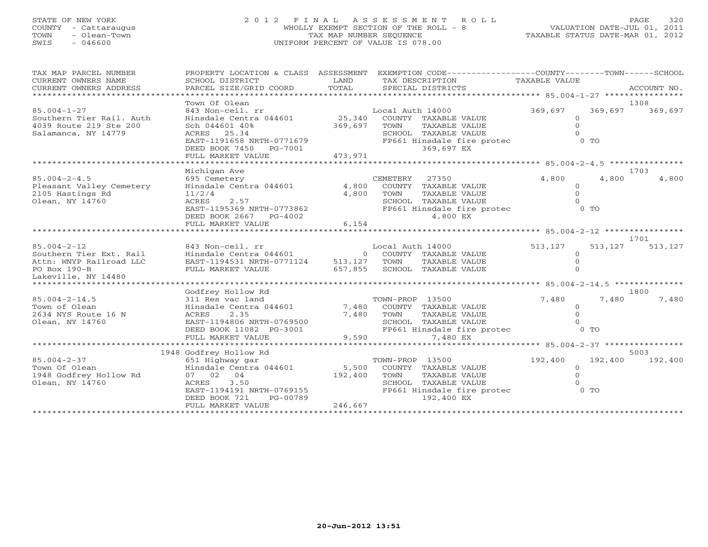# STATE OF NEW YORK 2 0 1 2 F I N A L A S S E S S M E N T R O L L PAGE 320 COUNTY - Cattaraugus WHOLLY EXEMPT SECTION OF THE ROLL - 8 VALUATION DATE-JUL 01, 2011 TOWN - Olean-Town TAX MAP NUMBER SEQUENCE TAXABLE STATUS DATE-MAR 01, 2012 SWIS - 046600 UNIFORM PERCENT OF VALUE IS 078.00

| TAX MAP PARCEL NUMBER<br>CURRENT OWNERS NAME<br>CURRENT OWNERS ADDRESS | SCHOOL DISTRICT<br>PARCEL SIZE/GRID COORD                      | LAND<br>TOTAL | PROPERTY LOCATION & CLASS ASSESSMENT EXEMPTION CODE---------------COUNTY-------TOWN------SCHOOL<br>TAX DESCRIPTION<br>SPECIAL DISTRICTS | TAXABLE VALUE      | ACCOUNT NO. |
|------------------------------------------------------------------------|----------------------------------------------------------------|---------------|-----------------------------------------------------------------------------------------------------------------------------------------|--------------------|-------------|
|                                                                        | Town Of Olean                                                  |               |                                                                                                                                         |                    | 1308        |
| $85.004 - 1 - 27$                                                      | 843 Non-ceil. rr                                               |               | Local Auth 14000                                                                                                                        | 369,697<br>369,697 | 369,697     |
| Southern Tier Rail. Auth                                               | Hinsdale Centra 044601                                         |               | 25,340 COUNTY TAXABLE VALUE                                                                                                             | $\circ$            |             |
| 4039 Route 219 Ste 200                                                 | Sch 044601 40%                                                 | 369,697       | TOWN<br>TAXABLE VALUE                                                                                                                   | $\Omega$           |             |
| Salamanca, NY 14779                                                    | ACRES 25.34                                                    |               | SCHOOL TAXABLE VALUE                                                                                                                    | $\Omega$           |             |
|                                                                        | EAST-1191658 NRTH-0771679                                      |               | FP661 Hinsdale fire protec                                                                                                              | $0$ TO             |             |
|                                                                        | DEED BOOK 7450 PG-7001                                         |               | 369,697 EX                                                                                                                              |                    |             |
|                                                                        | FULL MARKET VALUE                                              | 473,971       |                                                                                                                                         |                    |             |
|                                                                        |                                                                |               |                                                                                                                                         |                    |             |
|                                                                        | Michigan Ave                                                   |               |                                                                                                                                         |                    | 1703        |
| $85.004 - 2 - 4.5$                                                     | 695 Cemetery                                                   |               | CEMETERY 27350                                                                                                                          | 4,800<br>4,800     | 4,800       |
| Pleasant Valley Cemetery                                               | $0.55$ Cemetery<br>Hinsdale Centra 044601 4,800                |               | COUNTY TAXABLE VALUE                                                                                                                    | $\circ$            |             |
| 2105 Hastings Rd                                                       | 11/2/4                                                         | 4,800         | TOWN<br>TAXABLE VALUE                                                                                                                   | $\Omega$           |             |
| Olean, NY 14760                                                        | 2.57<br>ACRES                                                  |               | SCHOOL TAXABLE VALUE                                                                                                                    |                    |             |
|                                                                        | EAST-1195369 NRTH-0773862                                      |               | FP661 Hinsdale fire protec 0 TO                                                                                                         |                    |             |
|                                                                        | DEED BOOK 2667 PG-4002                                         |               | 4,800 EX                                                                                                                                |                    |             |
|                                                                        | FULL MARKET VALUE                                              | 6,154         |                                                                                                                                         |                    |             |
|                                                                        |                                                                |               |                                                                                                                                         |                    | 1701        |
| $85.004 - 2 - 12$                                                      | 843 Non-ceil. rr                                               |               | Local Auth 14000 513, 127                                                                                                               | 513,127            | 513,127     |
| Southern Tier Ext. Rail                                                | Hinsdale Centra 044601 0 COUNTY TAXABLE VALUE                  |               |                                                                                                                                         | $\circ$            |             |
| Attn: WNYP Railroad LLC                                                | EAST-1194531 NRTH-0771124 513,127 TOWN TAXABLE VALUE           |               |                                                                                                                                         | $\Omega$           |             |
| PO Box 190-B                                                           | FULL MARKET VALUE                                              |               | 657,855 SCHOOL TAXABLE VALUE                                                                                                            |                    |             |
| Lakeville, NY 14480                                                    |                                                                |               |                                                                                                                                         |                    |             |
| ******************************                                         |                                                                |               |                                                                                                                                         |                    |             |
|                                                                        | Godfrey Hollow Rd                                              |               |                                                                                                                                         |                    | 1800        |
| $85.004 - 2 - 14.5$                                                    | 311 Res vac land<br>311 Res vac land<br>Hinsdale Centra 044601 |               | TOWN-PROP 13500                                                                                                                         | 7,480<br>7,480     | 7,480       |
| Town of Olean                                                          |                                                                |               | 7,480 COUNTY TAXABLE VALUE                                                                                                              | $\circ$            |             |
| 2634 NYS Route 16 N                                                    | 2.35<br>ACRES                                                  | 7,480 TOWN    | TAXABLE VALUE                                                                                                                           | $\Omega$           |             |
| Olean, NY 14760                                                        | EAST-1194806 NRTH-0769500                                      |               | SCHOOL TAXABLE VALUE                                                                                                                    | $\Omega$           |             |
|                                                                        | EAST-1194806 NRTH-0769500<br>DEED BOOK 11082 PG-3001           |               | FP661 Hinsdale fire protec 0 TO                                                                                                         |                    |             |
|                                                                        | FULL MARKET VALUE                                              | 9,590         | 7,480 EX                                                                                                                                |                    |             |
|                                                                        |                                                                |               |                                                                                                                                         |                    |             |
|                                                                        | 1948 Godfrey Hollow Rd                                         |               |                                                                                                                                         |                    | 5003        |
| $85.004 - 2 - 37$                                                      | 651 Highway gar                                                |               | TOWN-PROP 13500                                                                                                                         | 192,400<br>192,400 | 192,400     |
| Town Of Olean                                                          | Hinsdale Centra 044601                                         |               | 5,500 COUNTY TAXABLE VALUE                                                                                                              | $\Omega$           |             |
| 1948 Godfrey Hollow Rd                                                 | 07 02 04                                                       | 192,400       | TOWN<br>TAXABLE VALUE                                                                                                                   | $\Omega$           |             |
| Olean, NY 14760                                                        | ACRES<br>3.50<br>ACRES 3.50<br>EAST-1194191 NRTH-0769155       |               | SCHOOL TAXABLE VALUE                                                                                                                    | $\Omega$           |             |
|                                                                        |                                                                |               | FP661 Hinsdale fire protec                                                                                                              | O TO               |             |
|                                                                        | DEED BOOK 721<br>PG-00789                                      |               | 192,400 EX                                                                                                                              |                    |             |
|                                                                        | FULL MARKET VALUE                                              | 246,667       |                                                                                                                                         |                    |             |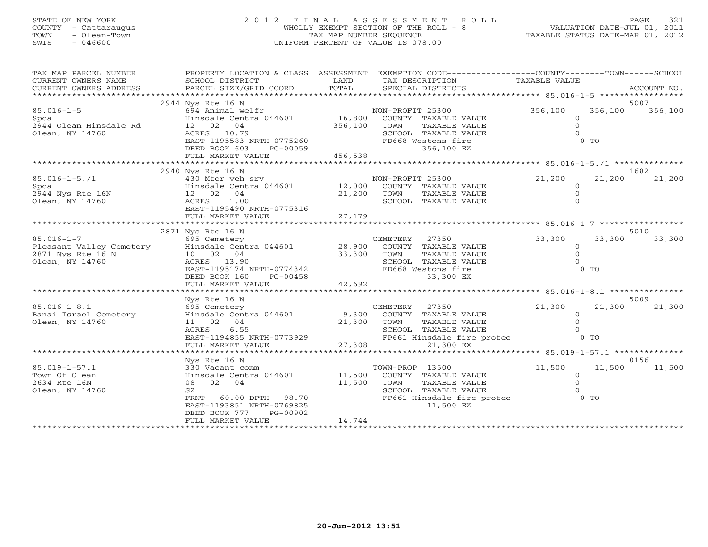# STATE OF NEW YORK 2 0 1 2 F I N A L A S S E S S M E N T R O L L PAGE 321 COUNTY - Cattaraugus WHOLLY EXEMPT SECTION OF THE ROLL - 8 VALUATION DATE-JUL 01, 2011 TOWN - Olean-Town TAX MAP NUMBER SEQUENCE TAXABLE STATUS DATE-MAR 01, 2012 SWIS - 046600 UNIFORM PERCENT OF VALUE IS 078.00

| TAX MAP PARCEL NUMBER<br>CURRENT OWNERS NAME<br>CURRENT OWNERS ADDRESS               | PROPERTY LOCATION & CLASS ASSESSMENT<br>SCHOOL DISTRICT<br>PARCEL SIZE/GRID COORD                                                                                                     | LAND<br>TOTAL              | EXEMPTION CODE-----------------COUNTY-------TOWN------SCHOOL<br>TAX DESCRIPTION<br>SPECIAL DISTRICTS                                        | TAXABLE VALUE                                             | ACCOUNT NO.             |  |  |
|--------------------------------------------------------------------------------------|---------------------------------------------------------------------------------------------------------------------------------------------------------------------------------------|----------------------------|---------------------------------------------------------------------------------------------------------------------------------------------|-----------------------------------------------------------|-------------------------|--|--|
|                                                                                      |                                                                                                                                                                                       |                            |                                                                                                                                             |                                                           |                         |  |  |
| $85.016 - 1 - 5$<br>Spca<br>2944 Olean Hinsdale Rd<br>Olean, NY 14760                | 2944 Nys Rte 16 N<br>694 Animal welfr<br>Hinsdale Centra 044601 16,800<br>12 02 04<br>ACRES 10.79<br>EAST-1195583 NRTH-0775260<br>DEED BOOK 603<br>PG-00059<br>FULL MARKET VALUE      | 356,100<br>456,538         | NON-PROFIT 25300<br>COUNTY TAXABLE VALUE<br>TOWN<br>TAXABLE VALUE<br>SCHOOL TAXABLE VALUE<br>FD668 Westons fire<br>356,100 EX               | 356,100<br>$\Omega$<br>$\overline{0}$<br>$\cap$<br>$0$ TO | 5007<br>356,100 356,100 |  |  |
|                                                                                      | 2940 Nys Rte 16 N                                                                                                                                                                     |                            |                                                                                                                                             |                                                           | 1682                    |  |  |
| $85.016 - 1 - 5.71$<br>Spca<br>2944 Nys Rte 16N<br>Olean, NY 14760                   | 430 Mtor veh srv<br>Hinsdale Centra 044601 12,000<br>12 02 04<br>ACRES<br>1.00<br>EAST-1195490 NRTH-0775316<br>FULL MARKET VALUE                                                      | 21,200<br>27,179           | NON-PROFIT 25300<br>COUNTY TAXABLE VALUE<br>TOWN<br>TAXABLE VALUE<br>SCHOOL TAXABLE VALUE                                                   | 21,200<br>$\circ$<br>$\overline{0}$                       | 21,200<br>21,200        |  |  |
|                                                                                      | 2871 Nys Rte 16 N                                                                                                                                                                     |                            |                                                                                                                                             |                                                           | 5010                    |  |  |
| $85.016 - 1 - 7$<br>Pleasant Valley Cemetery<br>2871 Nys Rte 16 N<br>Olean, NY 14760 | 695 Cemetery<br>Hinsdale Centra 044601<br>10 02 04<br>ACRES 13.90<br>EAST-1195174 NRTH-0774342<br>DEED BOOK 160<br>PG-00458<br>FULL MARKET VALUE<br>****************************      | 28,900<br>33,300<br>42,692 | CEMETERY<br>27350<br>COUNTY TAXABLE VALUE<br>TOWN<br>TAXABLE VALUE<br>SCHOOL TAXABLE VALUE<br>FD668 Westons fire<br>33,300 EX               | 33,300<br>$\circ$<br>$\Omega$<br>$\Omega$<br>$0$ TO       | 33,300<br>33,300        |  |  |
|                                                                                      | Nys Rte 16 N                                                                                                                                                                          |                            |                                                                                                                                             |                                                           | 5009                    |  |  |
| $85.016 - 1 - 8.1$<br>Banai Israel Cemetery<br>Olean, NY 14760                       | 695 Cemetery<br>Hinsdale Centra 044601<br>11 02 04<br>ACRES<br>6.55<br>EAST-1194855 NRTH-0773929<br>FULL MARKET VALUE<br>**********************                                       | 21,300<br>27,308           | CEMETERY<br>27350<br>9,300 COUNTY TAXABLE VALUE<br>TAXABLE VALUE<br>TOWN<br>SCHOOL TAXABLE VALUE<br>FP661 Hinsdale fire protec<br>21,300 EX | 21,300<br>$\circ$<br>$\Omega$<br>$\Omega$<br>O TO         | 21,300<br>21,300        |  |  |
|                                                                                      | Nys Rte 16 N                                                                                                                                                                          |                            |                                                                                                                                             |                                                           | 0156                    |  |  |
| $85.019 - 1 - 57.1$<br>Town Of Olean<br>2634 Rte 16N<br>Olean, NY 14760              | 330 Vacant comm<br>Hinsdale Centra 044601<br>02 04<br>08<br>S <sub>2</sub><br>60.00 DPTH 98.70<br>FRNT<br>EAST-1193851 NRTH-0769825<br>DEED BOOK 777<br>PG-00902<br>FULL MARKET VALUE | 11,500<br>11,500<br>14,744 | TOWN-PROP 13500<br>COUNTY TAXABLE VALUE<br>TOWN<br>TAXABLE VALUE<br>SCHOOL TAXABLE VALUE<br>FP661 Hinsdale fire protec<br>11,500 EX         | 11,500<br>$\overline{0}$<br>$\Omega$<br>$0$ TO            | 11,500 11,500           |  |  |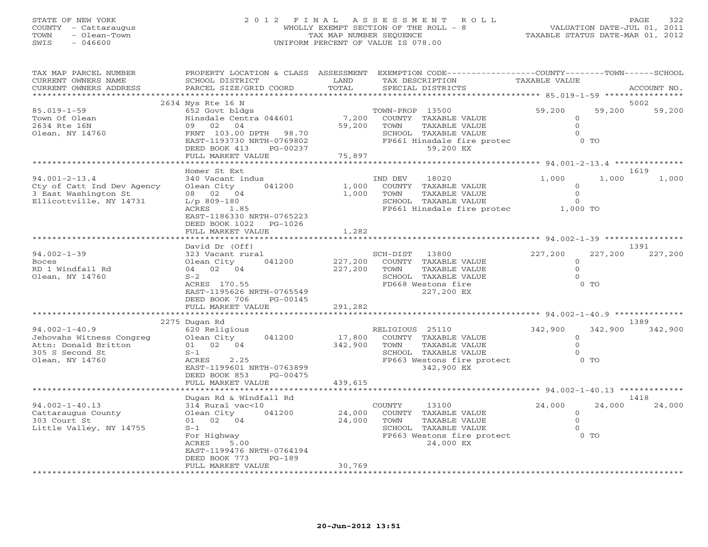# STATE OF NEW YORK 2 0 1 2 F I N A L A S S E S S M E N T R O L L PAGE 322 COUNTY - Cattaraugus WHOLLY EXEMPT SECTION OF THE ROLL - 8 VALUATION DATE-JUL 01, 2011 TOWN - Olean-Town TAX MAP NUMBER SEQUENCE TAXABLE STATUS DATE-MAR 01, 2012 SWIS - 046600 UNIFORM PERCENT OF VALUE IS 078.00

| TAX MAP PARCEL NUMBER                         |                                                     |                 | PROPERTY LOCATION & CLASS ASSESSMENT EXEMPTION CODE----------------COUNTY-------TOWN------SCHOOL |                                                     |             |  |  |
|-----------------------------------------------|-----------------------------------------------------|-----------------|--------------------------------------------------------------------------------------------------|-----------------------------------------------------|-------------|--|--|
| CURRENT OWNERS NAME<br>CURRENT OWNERS ADDRESS | SCHOOL DISTRICT<br>PARCEL SIZE/GRID COORD           | LAND<br>TOTAL   | TAX DESCRIPTION<br>SPECIAL DISTRICTS                                                             | TAXABLE VALUE                                       |             |  |  |
|                                               |                                                     |                 |                                                                                                  |                                                     | ACCOUNT NO. |  |  |
|                                               | 2634 Nys Rte 16 N<br>5002                           |                 |                                                                                                  |                                                     |             |  |  |
| $85.019 - 1 - 59$                             | 652 Govt bldgs                                      |                 | TOWN-PROP 13500                                                                                  | 59,200<br>59,200                                    | 59,200      |  |  |
| Town Of Olean                                 | Hinsdale Centra 044601                              | 7,200           | COUNTY TAXABLE VALUE                                                                             | $\circ$                                             |             |  |  |
| 2634 Rte 16N                                  | 09 02 04                                            | 59,200          | TAXABLE VALUE<br>TOWN                                                                            | $\Omega$                                            |             |  |  |
|                                               |                                                     |                 |                                                                                                  | $\Omega$                                            |             |  |  |
| Olean, NY 14760                               | FRNT 103.00 DPTH 98.70<br>EAST-1193730 NRTH-0769802 |                 | SCHOOL TAXABLE VALUE<br>FP661 Hinsdale fire protec                                               | $0$ TO                                              |             |  |  |
|                                               |                                                     |                 | 59,200 EX                                                                                        |                                                     |             |  |  |
|                                               | DEED BOOK 413<br>PG-00237                           | 75,897          |                                                                                                  |                                                     |             |  |  |
|                                               | FULL MARKET VALUE                                   |                 |                                                                                                  |                                                     |             |  |  |
|                                               | Homer St Ext                                        |                 |                                                                                                  |                                                     | 1619        |  |  |
| $94.001 - 2 - 13.4$                           | 340 Vacant indus                                    |                 | IND DEV<br>18020                                                                                 | 1,000<br>1,000                                      | 1,000       |  |  |
|                                               | 041200                                              |                 |                                                                                                  | $\Omega$                                            |             |  |  |
| Cty of Catt Ind Dev Agency                    | Olean City                                          | 1,000           | COUNTY TAXABLE VALUE                                                                             |                                                     |             |  |  |
| 3 East Washington St                          | 08 02 04                                            | 1,000           | TOWN<br>TAXABLE VALUE                                                                            | $\circ$                                             |             |  |  |
| Ellicottville, NY 14731                       | $L/p$ 809-180                                       |                 | SCHOOL TAXABLE VALUE                                                                             | $\Omega$                                            |             |  |  |
|                                               | ACRES 1.85                                          |                 | FP661 Hinsdale fire protec 1,000 TO                                                              |                                                     |             |  |  |
|                                               | EAST-1186330 NRTH-0765223                           |                 |                                                                                                  |                                                     |             |  |  |
|                                               | DEED BOOK 1022<br>PG-1026                           |                 |                                                                                                  |                                                     |             |  |  |
|                                               | FULL MARKET VALUE                                   | 1,282           |                                                                                                  |                                                     |             |  |  |
|                                               |                                                     |                 |                                                                                                  | ********************** 94.002-1-39 **************** |             |  |  |
|                                               | David Dr (Off)                                      |                 |                                                                                                  |                                                     | 1391        |  |  |
| $94.002 - 1 - 39$                             | 323 Vacant rural                                    |                 | SCH-DIST<br>13800                                                                                | 227,200<br>227,200                                  | 227,200     |  |  |
| <b>Boces</b>                                  | Olean City<br>041200                                | 227,200         | COUNTY TAXABLE VALUE                                                                             | $\Omega$                                            |             |  |  |
| RD 1 Windfall Rd                              | 04 02 04                                            | 227,200         | TOWN<br>TAXABLE VALUE                                                                            | $\Omega$                                            |             |  |  |
| Olean, NY 14760                               | $S-2$                                               |                 | SCHOOL TAXABLE VALUE                                                                             | $\Omega$                                            |             |  |  |
|                                               | ACRES 170.55                                        |                 | FD668 Westons fire                                                                               | $0$ TO                                              |             |  |  |
|                                               | EAST-1195626 NRTH-0765549                           |                 | 227,200 EX                                                                                       |                                                     |             |  |  |
|                                               | DEED BOOK 706<br>PG-00145                           |                 |                                                                                                  |                                                     |             |  |  |
|                                               | FULL MARKET VALUE                                   | 291,282         |                                                                                                  |                                                     |             |  |  |
|                                               | *************************                           | *************** |                                                                                                  |                                                     |             |  |  |
|                                               | 2275 Dugan Rd                                       |                 |                                                                                                  |                                                     | 1389        |  |  |
| $94.002 - 1 - 40.9$                           | 620 Religious                                       |                 | RELIGIOUS 25110                                                                                  | 342,900<br>342,900                                  | 342,900     |  |  |
| Jehovahs Witness Congreg                      | Olean City<br>041200                                | 17,800          | COUNTY TAXABLE VALUE                                                                             | $\circ$                                             |             |  |  |
| Attn: Donald Britton                          | 01 02 04                                            | 342,900         | TOWN<br>TAXABLE VALUE                                                                            | $\Omega$                                            |             |  |  |
| 305 S Second St                               | $S-1$                                               |                 | SCHOOL TAXABLE VALUE                                                                             | $\Omega$                                            |             |  |  |
| Olean, NY 14760                               | ACRES<br>2.25                                       |                 | FP663 Westons fire protect                                                                       | $0$ TO                                              |             |  |  |
|                                               | EAST-1199601 NRTH-0763899                           |                 | 342,900 EX                                                                                       |                                                     |             |  |  |
|                                               | DEED BOOK 853<br>PG-00475                           |                 |                                                                                                  |                                                     |             |  |  |
|                                               | FULL MARKET VALUE                                   | 439,615         |                                                                                                  |                                                     |             |  |  |
|                                               |                                                     |                 |                                                                                                  |                                                     |             |  |  |
|                                               | Dugan Rd & Windfall Rd                              |                 |                                                                                                  |                                                     | 1418        |  |  |
| $94.002 - 1 - 40.13$                          | 314 Rural vac<10                                    |                 | COUNTY<br>13100                                                                                  | 24,000<br>24,000                                    | 24,000      |  |  |
| Cattaraugus County                            | 041200<br>Olean City                                | 24,000          | COUNTY TAXABLE VALUE                                                                             | $\Omega$                                            |             |  |  |
| 303 Court St                                  | 01 02 04                                            | 24,000          | TOWN<br>TAXABLE VALUE                                                                            | $\Omega$                                            |             |  |  |
| Little Valley, NY 14755                       | $S-1$                                               |                 | SCHOOL TAXABLE VALUE                                                                             | $\Omega$                                            |             |  |  |
|                                               | For Highway                                         |                 | FP663 Westons fire protect                                                                       | $0$ TO                                              |             |  |  |
|                                               | ACRES<br>5.00                                       |                 | 24,000 EX                                                                                        |                                                     |             |  |  |
|                                               | EAST-1199476 NRTH-0764194                           |                 |                                                                                                  |                                                     |             |  |  |
|                                               | DEED BOOK 773<br>$PG-189$                           |                 |                                                                                                  |                                                     |             |  |  |
|                                               | FULL MARKET VALUE                                   | 30,769          |                                                                                                  |                                                     |             |  |  |
|                                               |                                                     |                 |                                                                                                  |                                                     |             |  |  |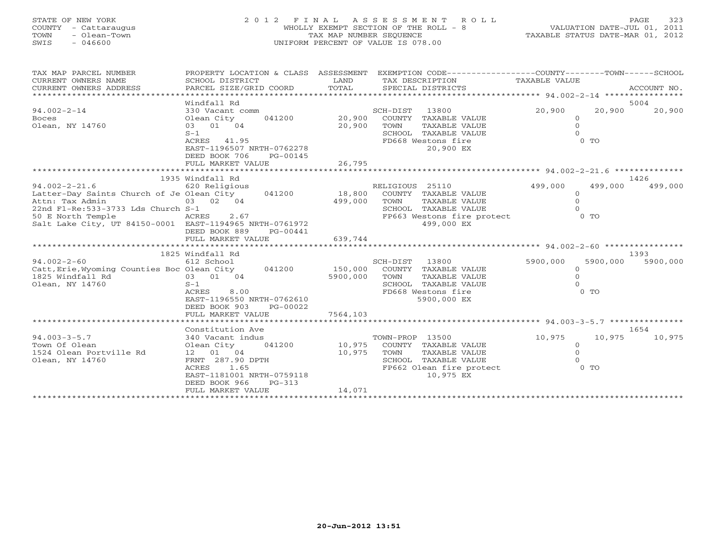| STATE OF NEW YORK<br>COUNTY - Cattaraugus<br>TOWN<br>- Olean-Town<br>$-046600$<br>SWIS |                                                        | TAX MAP NUMBER SEQUENCE | 2012 FINAL ASSESSMENT ROLL<br>WHOLLY EXEMPT SECTION OF THE ROLL - 8<br>UNIFORM PERCENT OF VALUE IS 078.00 |                      | 323<br>PAGE<br>VALUATION DATE-JUL 01, 2011<br>TAXABLE STATUS DATE-MAR 01, 2012 |
|----------------------------------------------------------------------------------------|--------------------------------------------------------|-------------------------|-----------------------------------------------------------------------------------------------------------|----------------------|--------------------------------------------------------------------------------|
| TAX MAP PARCEL NUMBER                                                                  | PROPERTY LOCATION & CLASS ASSESSMENT                   |                         | EXEMPTION CODE-----------------COUNTY-------TOWN------SCHOOL                                              |                      |                                                                                |
| CURRENT OWNERS NAME                                                                    | SCHOOL DISTRICT                                        | LAND                    | TAX DESCRIPTION                                                                                           | TAXABLE VALUE        |                                                                                |
| CURRENT OWNERS ADDRESS                                                                 | PARCEL SIZE/GRID COORD                                 | TOTAL                   | SPECIAL DISTRICTS                                                                                         |                      | ACCOUNT NO.                                                                    |
|                                                                                        |                                                        |                         |                                                                                                           |                      |                                                                                |
|                                                                                        | Windfall Rd                                            |                         |                                                                                                           |                      | 5004                                                                           |
| $94.002 - 2 - 14$                                                                      | 330 Vacant comm                                        |                         | SCH-DIST<br>13800                                                                                         | 20,900               | 20,900<br>20,900                                                               |
| <b>Boces</b>                                                                           | Olean City<br>041200                                   | 20,900                  | COUNTY TAXABLE VALUE                                                                                      | $\Omega$             |                                                                                |
| Olean, NY 14760                                                                        | 03 01 04<br>$S-1$                                      | 20,900                  | TOWN<br>TAXABLE VALUE<br>SCHOOL TAXABLE VALUE                                                             | $\Omega$<br>$\Omega$ |                                                                                |
|                                                                                        | ACRES 41.95                                            |                         | FD668 Westons fire                                                                                        | $0$ TO               |                                                                                |
|                                                                                        | EAST-1196507 NRTH-0762278<br>DEED BOOK 706<br>PG-00145 |                         | 20,900 EX                                                                                                 |                      |                                                                                |
|                                                                                        | FULL MARKET VALUE                                      | 26,795                  |                                                                                                           |                      |                                                                                |
|                                                                                        |                                                        |                         |                                                                                                           |                      |                                                                                |
|                                                                                        | 1935 Windfall Rd                                       |                         |                                                                                                           |                      | 1426                                                                           |
| $94.002 - 2 - 21.6$                                                                    | 620 Religious                                          |                         | RELIGIOUS 25110                                                                                           | 499,000              | 499,000<br>499,000                                                             |
| Latter-Day Saints Church of Je Olean City                                              | 041200                                                 | 18,800                  | COUNTY TAXABLE VALUE                                                                                      | $\circ$              |                                                                                |
| Attn: Tax Admin                                                                        | 03 02 04                                               | 499,000                 | TOWN<br>TAXABLE VALUE                                                                                     | $\mathbf{O}$         |                                                                                |
| 22nd Fl-Re: 533-3733 Lds Church S-1                                                    |                                                        |                         | SCHOOL TAXABLE VALUE                                                                                      | $\Omega$             |                                                                                |
| 50 E North Temple                                                                      | ACRES<br>2.67                                          |                         | FP663 Westons fire protect                                                                                | $0$ TO               |                                                                                |
| Salt Lake City, UT 84150-0001 EAST-1194965 NRTH-0761972                                |                                                        |                         | 499,000 EX                                                                                                |                      |                                                                                |
|                                                                                        | DEED BOOK 889<br>PG-00441                              |                         |                                                                                                           |                      |                                                                                |
|                                                                                        | FULL MARKET VALUE                                      | 639,744                 |                                                                                                           |                      |                                                                                |
|                                                                                        | 1825 Windfall Rd                                       |                         |                                                                                                           |                      | 1393                                                                           |
| $94.002 - 2 - 60$                                                                      | 612 School                                             |                         | SCH-DIST<br>13800                                                                                         | 5900,000             | 5900,000<br>5900,000                                                           |
| Catt, Erie, Wyoming Counties Boc Olean City 041200                                     |                                                        | 150,000                 | COUNTY TAXABLE VALUE                                                                                      | $\mathbf{0}$         |                                                                                |
| 1825 Windfall Rd                                                                       | 03 01 04                                               | 5900,000                | TOWN<br>TAXABLE VALUE                                                                                     | $\Omega$             |                                                                                |
| Olean, NY 14760                                                                        | $S-1$                                                  |                         | SCHOOL<br>TAXABLE VALUE                                                                                   | $\Omega$             |                                                                                |
|                                                                                        | 8.00<br>ACRES                                          |                         | FD668 Westons fire                                                                                        | 0 <sub>0</sub>       |                                                                                |
|                                                                                        | EAST-1196550 NRTH-0762610                              |                         | 5900,000 EX                                                                                               |                      |                                                                                |
|                                                                                        | DEED BOOK 903<br>PG-00022                              |                         |                                                                                                           |                      |                                                                                |
|                                                                                        | FULL MARKET VALUE                                      | 7564,103                |                                                                                                           |                      |                                                                                |
|                                                                                        |                                                        |                         |                                                                                                           |                      |                                                                                |
|                                                                                        | Constitution Ave                                       |                         |                                                                                                           |                      | 1654                                                                           |
| $94.003 - 3 - 5.7$                                                                     | 340 Vacant indus                                       |                         | TOWN-PROP 13500                                                                                           | 10,975               | 10,975<br>10,975                                                               |
| Town Of Olean                                                                          | Olean City<br>041200                                   |                         | 10,975 COUNTY TAXABLE VALUE                                                                               | $\circ$              |                                                                                |
| 1524 Olean Portville Rd                                                                | 12  01  04                                             | 10,975                  | TOWN<br>TAXABLE VALUE                                                                                     | $\Omega$             |                                                                                |

1524 Olean Portville Rd 12 01 04 10,975 TOWN TAXABLE VALUE 0

EAST-1181001 NRTH-0759118 DEED BOOK 966 PG-313

ACRES 1.65 FP662 Olean fire protect<br>EAST-1181001 NRTH-0759118 10,975 EX

FULL MARKET VALUE 14,071 \*\*\*\*\*\*\*\*\*\*\*\*\*\*\*\*\*\*\*\*\*\*\*\*\*\*\*\*\*\*\*\*\*\*\*\*\*\*\*\*\*\*\*\*\*\*\*\*\*\*\*\*\*\*\*\*\*\*\*\*\*\*\*\*\*\*\*\*\*\*\*\*\*\*\*\*\*\*\*\*\*\*\*\*\*\*\*\*\*\*\*\*\*\*\*\*\*\*\*\*\*\*\*\*\*\*\*\*\*\*\*\*\*\*\*\*\*\*\*\*\*\*\*\*\*\*\*\*\*\*\*\*

SCHOOL TAXABLE VALUE 0<br>
FP662 Olean fire protect 0 0 TO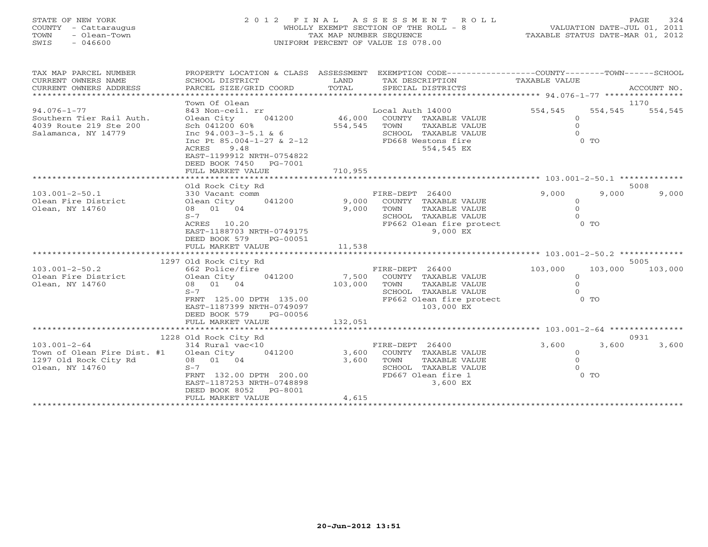| STATE OF NEW YORK<br>- Cattaraugus<br>COUNTY<br>- Olean-Town<br>TOWN<br>$-046600$<br>SWIS |                                                                                   | TAX MAP NUMBER SEOUENCE | 2012 FINAL ASSESSMENT ROLL<br>WHOLLY EXEMPT SECTION OF THE ROLL - 8<br>UNIFORM PERCENT OF VALUE IS 078.00 |                                                                   | PAGE<br>VALUATION DATE-JUL 01, 2011<br>TAXABLE STATUS DATE-MAR 01, 2012 | 324 |
|-------------------------------------------------------------------------------------------|-----------------------------------------------------------------------------------|-------------------------|-----------------------------------------------------------------------------------------------------------|-------------------------------------------------------------------|-------------------------------------------------------------------------|-----|
| TAX MAP PARCEL NUMBER<br>CURRENT OWNERS NAME<br>CURRENT OWNERS ADDRESS                    | PROPERTY LOCATION & CLASS ASSESSMENT<br>SCHOOL DISTRICT<br>PARCEL SIZE/GRID COORD | LAND<br>TOTAL           | EXEMPTION CODE-----------------COUNTY-------TOWN------SCHOOL<br>TAX DESCRIPTION<br>SPECIAL DISTRICTS      | TAXABLE VALUE<br>****************** 94.076-1-77 ***************** | ACCOUNT NO.                                                             |     |
|                                                                                           | Town Of Olean                                                                     |                         |                                                                                                           |                                                                   | 1170                                                                    |     |
| $94.076 - 1 - 77$                                                                         | 843 Non-ceil. rr                                                                  |                         | Local Auth 14000                                                                                          | 554,545                                                           | 554,545<br>554,545                                                      |     |
| Southern Tier Rail Auth.                                                                  | Olean City<br>041200                                                              | 46,000                  | COUNTY TAXABLE VALUE                                                                                      | $\left( \right)$                                                  |                                                                         |     |
| 4039 Route 219 Ste 200                                                                    | Sch 041200 60%                                                                    | 554,545                 | TOWN<br>TAXABLE VALUE                                                                                     | $\Omega$                                                          |                                                                         |     |
| Salamanca, NY 14779                                                                       | Inc $94.003 - 3 - 5.1$ & 6                                                        |                         | SCHOOL TAXABLE VALUE                                                                                      |                                                                   |                                                                         |     |
|                                                                                           | Inc Pt $85.004-1-27$ & $2-12$                                                     |                         | FD668 Westons fire                                                                                        | 0 <sub>0</sub>                                                    |                                                                         |     |
|                                                                                           | 9.48<br>ACRES                                                                     |                         | 554,545 EX                                                                                                |                                                                   |                                                                         |     |
|                                                                                           | EAST-1199912 NRTH-0754822                                                         |                         |                                                                                                           |                                                                   |                                                                         |     |
|                                                                                           | DEED BOOK 7450 PG-7001                                                            |                         |                                                                                                           |                                                                   |                                                                         |     |
|                                                                                           | FULL MARKET VALUE                                                                 | 710,955                 |                                                                                                           |                                                                   |                                                                         |     |
|                                                                                           |                                                                                   |                         |                                                                                                           |                                                                   |                                                                         |     |
|                                                                                           | Old Rock City Rd                                                                  |                         |                                                                                                           |                                                                   | 5008                                                                    |     |
| $103.001 - 2 - 50.1$                                                                      | 330 Vacant comm                                                                   |                         | FIRE-DEPT 26400                                                                                           | 9,000                                                             | 9,000<br>9.000                                                          |     |
| Olean Fire District                                                                       | Olean City<br>041200                                                              | 9,000                   | COUNTY<br>TAXABLE VALUE                                                                                   | $\Omega$                                                          |                                                                         |     |
| Olean, NY 14760                                                                           | 08 01 04                                                                          | 9,000                   | TOWN<br>TAXABLE VALUE                                                                                     | $\Omega$                                                          |                                                                         |     |
|                                                                                           | $S-7$<br>10.20<br>ACRES                                                           |                         | TAXABLE VALUE<br>SCHOOL                                                                                   | $0$ TO                                                            |                                                                         |     |
|                                                                                           |                                                                                   |                         | FP662 Olean fire protect                                                                                  |                                                                   |                                                                         |     |
|                                                                                           | EAST-1188703 NRTH-0749175<br>DEED BOOK 579<br>PG-00051                            |                         | 9,000 EX                                                                                                  |                                                                   |                                                                         |     |
|                                                                                           | FULL MARKET VALUE                                                                 | 11,538                  |                                                                                                           |                                                                   |                                                                         |     |
|                                                                                           |                                                                                   |                         |                                                                                                           | ************************** 103.001-2-50.2 ************            |                                                                         |     |

|                                               | 1297 Old Rock City Rd     |                                  | 5005               |         |
|-----------------------------------------------|---------------------------|----------------------------------|--------------------|---------|
| $103.001 - 2 - 50.2$                          | 662 Police/fire           | FIRE-DEPT 26400                  | 103,000<br>103,000 | 103,000 |
| Olean Fire District                           | Olean City 041200         | 7,500<br>COUNTY<br>TAXABLE VALUE |                    |         |
| Olean, NY 14760                               | 08 01 04                  | 103,000<br>TOWN<br>TAXABLE VALUE |                    |         |
|                                               | $S-7$                     | SCHOOL<br>TAXABLE VALUE          |                    |         |
|                                               | FRNT 125.00 DPTH 135.00   | FP662 Olean fire protect         | $0$ TO             |         |
|                                               | EAST-1187399 NRTH-0749097 | 103,000 EX                       |                    |         |
|                                               | DEED BOOK 579 PG-00056    |                                  |                    |         |
|                                               | FULL MARKET VALUE         | 132,051                          |                    |         |
|                                               |                           |                                  |                    |         |
|                                               | 1228 Old Rock City Rd     |                                  | 0931               |         |
| 103.001-2-64                                  | 314 Rural vac<10          | FIRE-DEPT 26400                  | 3,600<br>3,600     | 3,600   |
| Town of Olean Fire Dist. #1 Olean City 041200 |                           | 3,600<br>COUNTY<br>TAXABLE VALUE |                    |         |
| 1297 Old Rock City Rd                         | 08 01 04                  | 3,600<br>TOWN<br>TAXABLE VALUE   |                    |         |
| Olean, NY 14760                               | $S-7$                     | SCHOOL<br>TAXABLE VALUE          |                    |         |
|                                               | FRNT 132.00 DPTH 200.00   | FD667 Olean fire 1               | $0$ TO             |         |
|                                               | EAST-1187253 NRTH-0748898 | 3,600 EX                         |                    |         |
|                                               | DEED BOOK 8052 PG-8001    |                                  |                    |         |
|                                               | FULL MARKET VALUE         | 4,615                            |                    |         |
|                                               |                           |                                  |                    |         |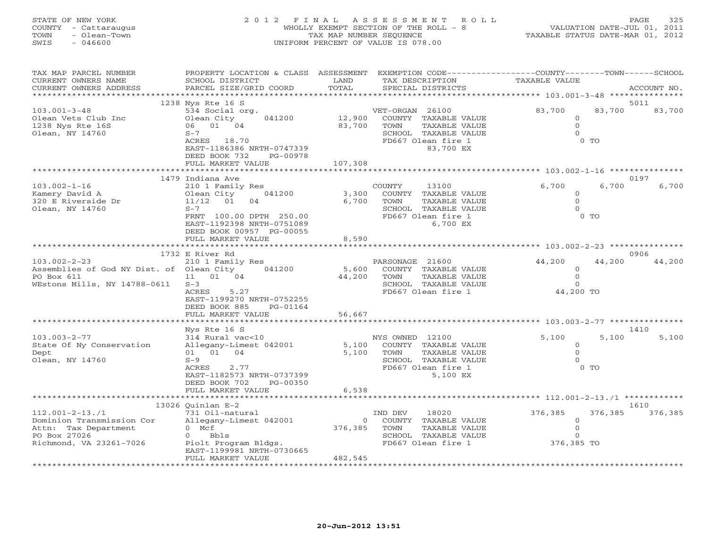| COUNTY<br>- Cattaraugus<br>- Olean-Town<br>TOWN<br>SWIS<br>$-046600$                                                  | WHOLLY EXEMPT SECTION OF THE ROLL - 8<br>TAX MAP NUMBER SEQUENCE<br>UNIFORM PERCENT OF VALUE IS 078.00                                                                                              |                             | VALUATION DATE-JUL 01, 2011<br>TAXABLE STATUS DATE-MAR 01, 2012                                            |                           |                                                              |                  |                 |
|-----------------------------------------------------------------------------------------------------------------------|-----------------------------------------------------------------------------------------------------------------------------------------------------------------------------------------------------|-----------------------------|------------------------------------------------------------------------------------------------------------|---------------------------|--------------------------------------------------------------|------------------|-----------------|
| TAX MAP PARCEL NUMBER<br>CURRENT OWNERS NAME<br>CURRENT OWNERS ADDRESS<br>******************                          | PROPERTY LOCATION & CLASS ASSESSMENT EXEMPTION CODE----------------COUNTY-------TOWN------SCHOOL<br>SCHOOL DISTRICT<br>PARCEL SIZE/GRID COORD                                                       | LAND<br>TOTAL               | TAX DESCRIPTION<br>SPECIAL DISTRICTS                                                                       |                           | TAXABLE VALUE                                                |                  | ACCOUNT NO.     |
| $103.001 - 3 - 48$<br>Olean Vets Club Inc<br>1238 Nys Rte 16S<br>Olean, NY 14760                                      | 1238 Nys Rte 16 S<br>534 Social org.<br>Olean City<br>041200<br>06 01 04<br>$S-7$<br>ACRES 18.70<br>EAST-1186386 NRTH-0747339<br>DEED BOOK 732<br>PG-00978<br>FULL MARKET VALUE                     | 12,900<br>83,700<br>107,308 | VET-ORGAN 26100<br>COUNTY TAXABLE VALUE<br>TOWN<br>SCHOOL TAXABLE VALUE<br>FD667 Olean fire 1<br>83,700 EX | TAXABLE VALUE             | 83,700<br>$\circ$<br>$\Omega$<br>$\Omega$                    | 83,700<br>$0$ TO | 5011<br>83,700  |
| $103.002 - 1 - 16$<br>Kamery David A<br>320 E Riverside Dr<br>Olean, NY 14760                                         | 1479 Indiana Ave<br>210 1 Family Res<br>Olean City<br>041200<br>11/12<br>01<br>04<br>$S-7$<br>FRNT 100.00 DPTH 250.00<br>EAST-1192398 NRTH-0751089<br>DEED BOOK 00957 PG-00055<br>FULL MARKET VALUE | 3,300<br>6,700<br>8,590     | COUNTY<br>13100<br>COUNTY TAXABLE VALUE<br>TOWN<br>SCHOOL TAXABLE VALUE<br>FD667 Olean fire 1              | TAXABLE VALUE<br>6,700 EX | 6,700<br>$\circ$<br>$\circ$<br>$\Omega$                      | 6,700<br>$0$ TO  | 0197<br>6,700   |
| $103.002 - 2 - 23$<br>Assemblies of God NY Dist. of Olean City<br>PO Box 611<br>WEstons Mills, NY 14788-0611          | 1732 E River Rd<br>210 1 Family Res<br>041200<br>11 01 04<br>$S-3$<br>5.27<br>ACRES<br>EAST-1199270 NRTH-0752255<br>DEED BOOK 885<br>PG-01164<br>FULL MARKET VALUE                                  | 5,600<br>44,200<br>56,667   | PARSONAGE 21600<br>COUNTY TAXABLE VALUE<br>TOWN<br>SCHOOL TAXABLE VALUE<br>FD667 Olean fire 1              | TAXABLE VALUE             | 44,200<br>$\circ$<br>$\mathsf O$<br>$\Omega$<br>44,200 TO    | 44,200           | 0906<br>44,200  |
|                                                                                                                       | *****************                                                                                                                                                                                   |                             |                                                                                                            |                           | ******************************* 103.003-2-77 *************** |                  |                 |
| $103.003 - 2 - 77$<br>State Of Ny Conservation<br>Dept<br>Olean, NY 14760                                             | Nys Rte 16 S<br>314 Rural vac<10<br>Allegany-Limest 042001<br>04<br>01 01<br>$S-9$<br>ACRES<br>2.77<br>EAST-1182573 NRTH-0737399<br>DEED BOOK 702<br>PG-00350<br>FULL MARKET VALUE                  | 5,100<br>5,100              | NYS OWNED 12100<br>COUNTY TAXABLE VALUE<br>TOWN<br>SCHOOL TAXABLE VALUE<br>FD667 Olean fire 1              | TAXABLE VALUE<br>5,100 EX | 5,100<br>0<br>$\Omega$<br>$\Omega$                           | 5,100<br>$0$ TO  | 1410<br>5,100   |
|                                                                                                                       |                                                                                                                                                                                                     | 6,538                       |                                                                                                            |                           | ************** 112.001-2-13./1                               |                  |                 |
| $112.001 - 2 - 13.71$<br>Dominion Transmission Cor<br>Attn: Tax Department<br>PO Box 27026<br>Richmond, VA 23261-7026 | 13026 Quinlan $E-2$<br>731 Oil-natural<br>Allegany-Limest 042001<br>$0$ Mcf<br>Bbls<br>$\Omega$<br>Piolt Program Bldgs.                                                                             | $\Omega$<br>376,385         | 18020<br>IND DEV<br>COUNTY TAXABLE VALUE<br>TOWN<br>SCHOOL TAXABLE VALUE<br>FD667 Olean fire 1             | TAXABLE VALUE             | 376,385<br>$\circ$<br>$\mathbf 0$<br>$\Omega$<br>376,385 TO  | 376,385          | 1610<br>376,385 |

STATE OF NEW YORK 2012 FINAL ASSESSMENT ROLL PAGE 325

\*\*\*\*\*\*\*\*\*\*\*\*\*\*\*\*\*\*\*\*\*\*\*\*\*\*\*\*\*\*\*\*\*\*\*\*\*\*\*\*\*\*\*\*\*\*\*\*\*\*\*\*\*\*\*\*\*\*\*\*\*\*\*\*\*\*\*\*\*\*\*\*\*\*\*\*\*\*\*\*\*\*\*\*\*\*\*\*\*\*\*\*\*\*\*\*\*\*\*\*\*\*\*\*\*\*\*\*\*\*\*\*\*\*\*\*\*\*\*\*\*\*\*\*\*\*\*\*\*\*\*\*

EAST-1199981 NRTH-0730665 FULL MARKET VALUE 482,545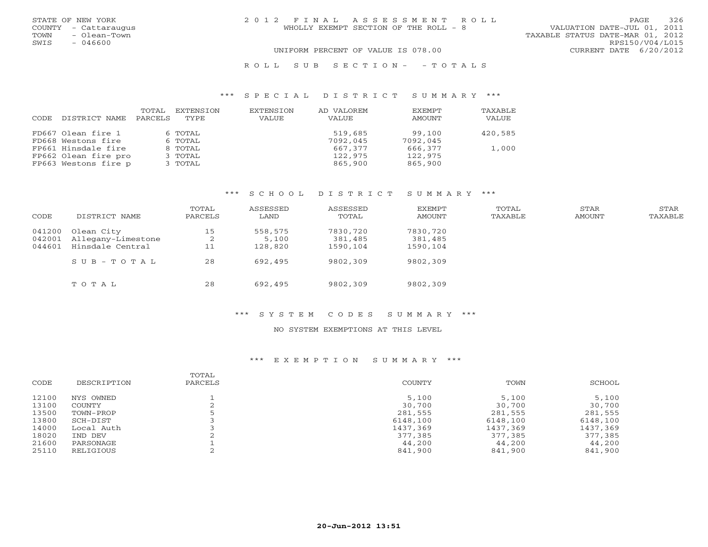| STATE OF NEW YORK<br>COUNTY - Cattaraugus<br>- Olean-Town<br>TOWN | 2012 FINAL ASSESSMENT ROLL<br>WHOLLY EXEMPT SECTION OF THE ROLL - 8 | 326<br>PAGE<br>VALUATION DATE-JUL 01, 2011<br>TAXABLE STATUS DATE-MAR 01, 2012 |
|-------------------------------------------------------------------|---------------------------------------------------------------------|--------------------------------------------------------------------------------|
| $-046600$<br>SWIS                                                 |                                                                     | RPS150/V04/L015                                                                |
|                                                                   | UNIFORM PERCENT OF VALUE IS 078.00                                  | CURRENT DATE 6/20/2012                                                         |
|                                                                   | ROLL SUB SECTION- - TOTALS                                          |                                                                                |

# \*\*\* S P E C I A L D I S T R I C T S U M M A R Y \*\*\*

| CODE | DISTRICT NAME        | TOTAL<br>PARCELS | EXTENSION<br>TYPE | EXTENSION<br>VALUE | AD VALOREM<br>VALUE | <b>EXEMPT</b><br>AMOUNT | <b>TAXABLE</b><br>VALUE |
|------|----------------------|------------------|-------------------|--------------------|---------------------|-------------------------|-------------------------|
|      | FD667 Olean fire 1   |                  | 6 TOTAL           |                    | 519,685             | 99.100                  | 420,585                 |
|      | FD668 Westons fire   |                  | 6 TOTAL           |                    | 7092,045            | 7092,045                |                         |
|      | FP661 Hinsdale fire  |                  | 8 TOTAL           |                    | 667,377             | 666,377                 | 1,000                   |
|      | FP662 Olean fire pro |                  | 3 TOTAL           |                    | 122,975             | 122,975                 |                         |
|      | FP663 Westons fire p |                  | 3 TOTAL           |                    | 865,900             | 865,900                 |                         |

# \*\*\* S C H O O L D I S T R I C T S U M M A R Y \*\*\*

| CODE   | DISTRICT NAME                                 | TOTAL<br>PARCELS | ASSESSED<br>LAND | ASSESSED<br>TOTAL   | EXEMPT<br>AMOUNT    | TOTAL<br>TAXABLE | STAR<br>AMOUNT | STAR<br>TAXABLE |
|--------|-----------------------------------------------|------------------|------------------|---------------------|---------------------|------------------|----------------|-----------------|
| 041200 | Olean City                                    | 15               | 558,575<br>5,100 | 7830,720<br>381,485 | 7830,720<br>381,485 |                  |                |                 |
| 044601 | 042001 Allegany-Limestone<br>Hinsdale Central | ∠<br>11          | 128,820          | 1590,104            | 1590,104            |                  |                |                 |
|        | $S \cup B - T \cup T A$                       | 28               | 692,495          | 9802,309            | 9802,309            |                  |                |                 |
|        | TOTAL                                         | 28               | 692,495          | 9802,309            | 9802,309            |                  |                |                 |

# \*\*\* S Y S T E M C O D E S S U M M A R Y \*\*\*

#### NO SYSTEM EXEMPTIONS AT THIS LEVEL

| CODE  | DESCRIPTION | TOTAL<br>PARCELS | COUNTY   | TOWN     | SCHOOL   |
|-------|-------------|------------------|----------|----------|----------|
| 12100 | NYS OWNED   |                  | 5,100    | 5,100    | 5,100    |
| 13100 | COUNTY      |                  | 30,700   | 30,700   | 30,700   |
| 13500 | TOWN-PROP   |                  | 281,555  | 281,555  | 281,555  |
| 13800 | SCH-DIST    |                  | 6148,100 | 6148,100 | 6148,100 |
| 14000 | Local Auth  |                  | 1437,369 | 1437,369 | 1437,369 |
| 18020 | IND DEV     |                  | 377,385  | 377,385  | 377,385  |
| 21600 | PARSONAGE   |                  | 44,200   | 44,200   | 44,200   |
| 25110 | RELIGIOUS   |                  | 841,900  | 841,900  | 841,900  |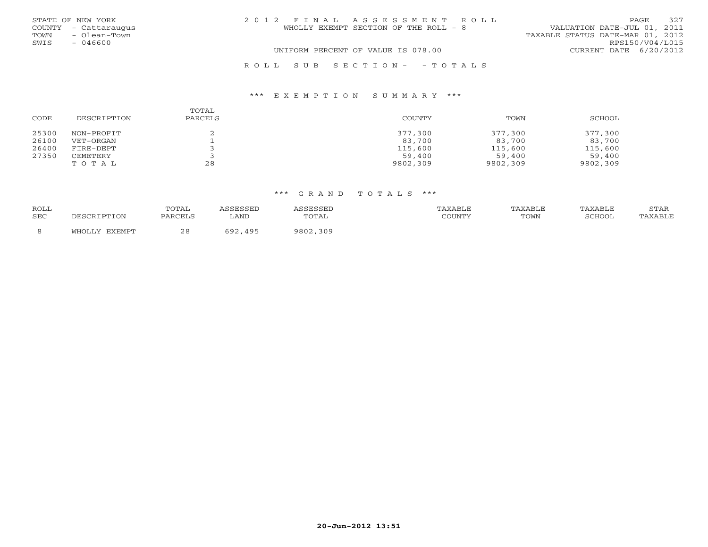|      | STATE OF NEW YORK    | 2012 FINAL ASSESSMENT ROLL            | <b>PAGE</b>                 | 327 |
|------|----------------------|---------------------------------------|-----------------------------|-----|
|      | COUNTY - Cattaraugus | WHOLLY EXEMPT SECTION OF THE ROLL - 8 | VALUATION DATE-JUL 01, 2011 |     |
| TOWN | - Olean-Town         | TAXABLE STATUS DATE-MAR 01, 2012      |                             |     |
| SWIS | $-046600$            |                                       | RPS150/V04/L015             |     |
|      |                      | UNIFORM PERCENT OF VALUE IS 078.00    | CURRENT DATE 6/20/2012      |     |
|      |                      |                                       |                             |     |

# R O L L S U B S E C T I O N - - T O T A L S

### \*\*\* E X E M P T I O N S U M M A R Y \*\*\*

| CODE  | DESCRIPTION | TOTAL<br>PARCELS | <b>COUNTY</b> | TOWN     | SCHOOL   |
|-------|-------------|------------------|---------------|----------|----------|
| 25300 | NON-PROFIT  |                  | 377,300       | 377,300  | 377,300  |
| 26100 | VET-ORGAN   |                  | 83,700        | 83,700   | 83,700   |
| 26400 | FIRE-DEPT   |                  | 115,600       | 115,600  | 115,600  |
| 27350 | CEMETERY    |                  | 59,400        | 59,400   | 59,400   |
|       | TOTAL       | 28               | 9802,309      | 9802,309 | 9802,309 |

| <b>ROLL</b> |                    | TOTAL      |                        |             |        | <b>\XABLE</b> | XABLE  | STAR    |
|-------------|--------------------|------------|------------------------|-------------|--------|---------------|--------|---------|
| SEC         |                    | PARCELS    | ∟AND                   | TOTAL       | COUNTY | TOWN          | SCHOOL | "AXABLE |
|             | FYFMDT<br>.47T T C | റ റ<br>ں ے | $\Lambda$ Q F<br>5 Q Q | 309<br>9802 |        |               |        |         |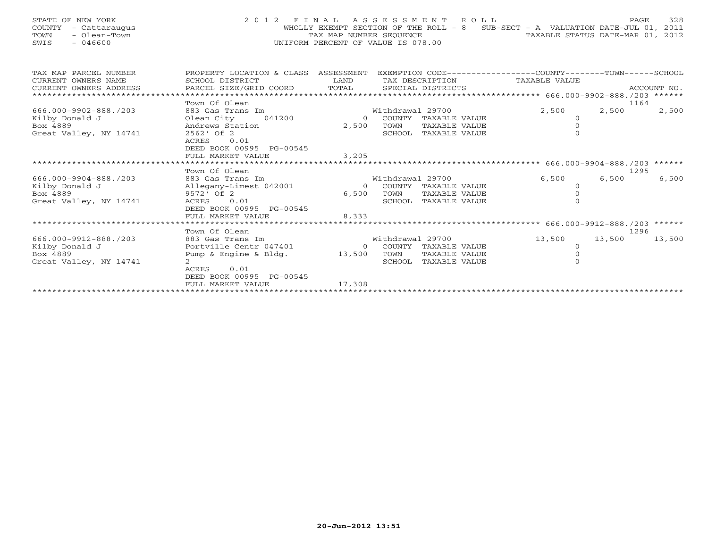| STATE OF NEW YORK<br>COUNTY<br>- Cattaraugus<br>- Olean-Town<br>TOWN<br>$-046600$<br>SWIS | 2012 FINAL                                              | TAX MAP NUMBER SEOUENCE<br>UNIFORM PERCENT OF VALUE IS 078.00 |                  | ASSESSMENT ROLL      | WHOLLY EXEMPT SECTION OF THE ROLL - 8 SUB-SECT - A VALUATION DATE-JUL 01, 2011<br>TAXABLE STATUS DATE-MAR 01, 2012 | PAGE   | 328         |
|-------------------------------------------------------------------------------------------|---------------------------------------------------------|---------------------------------------------------------------|------------------|----------------------|--------------------------------------------------------------------------------------------------------------------|--------|-------------|
| TAX MAP PARCEL NUMBER<br>CURRENT OWNERS NAME                                              | PROPERTY LOCATION & CLASS ASSESSMENT<br>SCHOOL DISTRICT | <b>T,AND</b>                                                  |                  | TAX DESCRIPTION      | EXEMPTION CODE-----------------COUNTY-------TOWN------SCHOOL<br>TAXABLE VALUE                                      |        |             |
| CURRENT OWNERS ADDRESS<br>***************************                                     | PARCEL SIZE/GRID COORD                                  | TOTAL                                                         |                  | SPECIAL DISTRICTS    |                                                                                                                    |        | ACCOUNT NO. |
|                                                                                           | Town Of Olean                                           |                                                               |                  |                      |                                                                                                                    | 1164   |             |
| 666.000-9902-888./203                                                                     | 883 Gas Trans Im                                        |                                                               | Withdrawal 29700 |                      | 2,500                                                                                                              | 2,500  | 2,500       |
| Kilby Donald J                                                                            | 041200<br>Olean City                                    | $\bigcirc$                                                    |                  | COUNTY TAXABLE VALUE | $\circ$                                                                                                            |        |             |
| Box 4889                                                                                  | Andrews Station                                         | 2,500                                                         | TOWN             | TAXABLE VALUE        | $\mathbf 0$                                                                                                        |        |             |
| Great Valley, NY 14741                                                                    | 2562' Of 2                                              |                                                               |                  | SCHOOL TAXABLE VALUE | $\Omega$                                                                                                           |        |             |
|                                                                                           | 0.01<br>ACRES<br>DEED BOOK 00995 PG-00545               |                                                               |                  |                      |                                                                                                                    |        |             |
|                                                                                           | FULL MARKET VALUE                                       | 3,205                                                         |                  |                      |                                                                                                                    |        |             |
|                                                                                           |                                                         |                                                               |                  |                      |                                                                                                                    |        |             |
|                                                                                           | Town Of Olean                                           |                                                               |                  |                      |                                                                                                                    | 1295   |             |
| 666.000-9904-888./203                                                                     | 883 Gas Trans Im                                        |                                                               | Withdrawal 29700 |                      | 6,500                                                                                                              | 6,500  | 6,500       |
| Kilby Donald J                                                                            | Allegany-Limest 042001                                  | $\Omega$                                                      |                  | COUNTY TAXABLE VALUE | $\Omega$                                                                                                           |        |             |
| Box 4889                                                                                  | 9572' Of 2                                              | 6,500                                                         | TOWN             | TAXABLE VALUE        | $\Omega$<br>$\cap$                                                                                                 |        |             |
| Great Valley, NY 14741                                                                    | 0.01<br>ACRES<br>DEED BOOK 00995 PG-00545               |                                                               |                  | SCHOOL TAXABLE VALUE |                                                                                                                    |        |             |
|                                                                                           | FULL MARKET VALUE                                       | 8,333                                                         |                  |                      |                                                                                                                    |        |             |
|                                                                                           | **************************                              |                                                               |                  |                      |                                                                                                                    |        |             |
|                                                                                           | Town Of Olean                                           |                                                               |                  |                      |                                                                                                                    | 1296   |             |
| 666.000-9912-888./203                                                                     | 883 Gas Trans Im                                        |                                                               | Withdrawal 29700 |                      | 13,500                                                                                                             | 13,500 | 13,500      |
| Kilby Donald J                                                                            | Portville Centr 047401                                  | $\Omega$                                                      |                  | COUNTY TAXABLE VALUE | $\circ$                                                                                                            |        |             |
| Box 4889                                                                                  | Pump & Engine & Bldg.                                   | 13,500                                                        | TOWN             | TAXABLE VALUE        | $\mathbf 0$                                                                                                        |        |             |
| Great Valley, NY 14741                                                                    | $2^{\circ}$<br>ACRES<br>0.01                            |                                                               |                  | SCHOOL TAXABLE VALUE | $\Omega$                                                                                                           |        |             |
|                                                                                           | DEED BOOK 00995 PG-00545                                |                                                               |                  |                      |                                                                                                                    |        |             |
|                                                                                           | FULL MARKET VALUE                                       | 17,308                                                        |                  |                      |                                                                                                                    |        |             |
|                                                                                           |                                                         |                                                               |                  |                      |                                                                                                                    |        |             |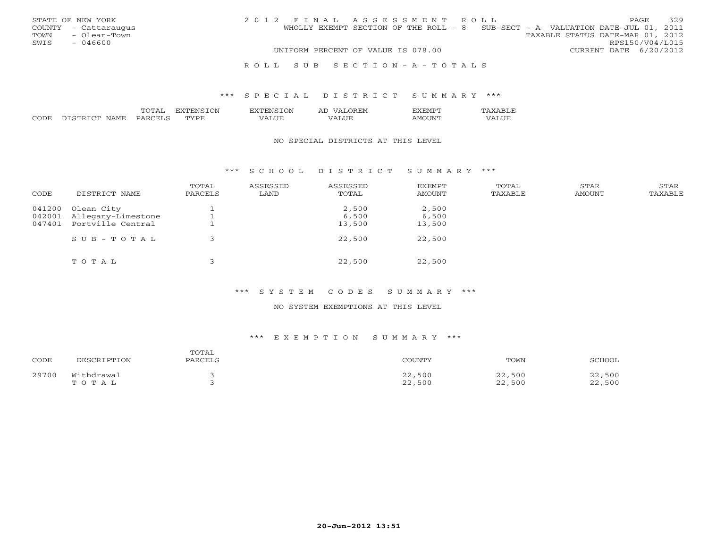|      | STATE OF NEW YORK    |  |                                    |  | 2012 FINAL ASSESSMENT ROLL                                                     |                                  |                        | <b>PAGE</b> | 329 |
|------|----------------------|--|------------------------------------|--|--------------------------------------------------------------------------------|----------------------------------|------------------------|-------------|-----|
|      | COUNTY - Cattaraugus |  |                                    |  | WHOLLY EXEMPT SECTION OF THE ROLL - 8 SUB-SECT - A VALUATION DATE-JUL 01, 2011 |                                  |                        |             |     |
|      | TOWN - Olean-Town    |  |                                    |  |                                                                                | TAXABLE STATUS DATE-MAR 01, 2012 |                        |             |     |
| SWIS | - 046600             |  |                                    |  |                                                                                |                                  | RPS150/V04/L015        |             |     |
|      |                      |  | UNIFORM PERCENT OF VALUE IS 078.00 |  |                                                                                |                                  | CURRENT DATE 6/20/2012 |             |     |
|      |                      |  |                                    |  |                                                                                |                                  |                        |             |     |

#### R O L L S U B S E C T I O N - A - T O T A L S

# \*\*\* S P E C I A L D I S T R I C T S U M M A R Y \*\*\*

|             |   |             | ∶)N<br>'NE   | Al<br>I.IVI |   |  |
|-------------|---|-------------|--------------|-------------|---|--|
| .<br>NIA MI | ◡ | mynn<br>. . | $- - -$<br>. | $- - -$     | w |  |

#### NO SPECIAL DISTRICTS AT THIS LEVEL

# \*\*\* S C H O O L D I S T R I C T S U M M A R Y \*\*\*

| CODE   | DISTRICT NAME      | TOTAL<br>PARCELS | ASSESSED<br>LAND | ASSESSED<br>TOTAL | EXEMPT<br>AMOUNT | TOTAL<br>TAXABLE | STAR<br>AMOUNT | <b>STAR</b><br>TAXABLE |
|--------|--------------------|------------------|------------------|-------------------|------------------|------------------|----------------|------------------------|
| 041200 | Olean City         |                  |                  | 2,500             | 2,500            |                  |                |                        |
| 042001 | Allegany-Limestone |                  |                  | 6,500             | 6,500            |                  |                |                        |
| 047401 | Portville Central  |                  |                  | 13,500            | 13,500           |                  |                |                        |
|        | SUB-TOTAL          |                  |                  | 22,500            | 22,500           |                  |                |                        |
|        | TOTAL              |                  |                  | 22,500            | 22,500           |                  |                |                        |

# \*\*\* S Y S T E M C O D E S S U M M A R Y \*\*\*

# NO SYSTEM EXEMPTIONS AT THIS LEVEL

| CODE  | DESCRIPTION         | TOTAL<br>PARCELS | COUNTY           | TOWN             | SCHOOL           |
|-------|---------------------|------------------|------------------|------------------|------------------|
| 29700 | Withdrawal<br>TOTAL |                  | 22,500<br>22,500 | 22,500<br>22,500 | 22,500<br>22,500 |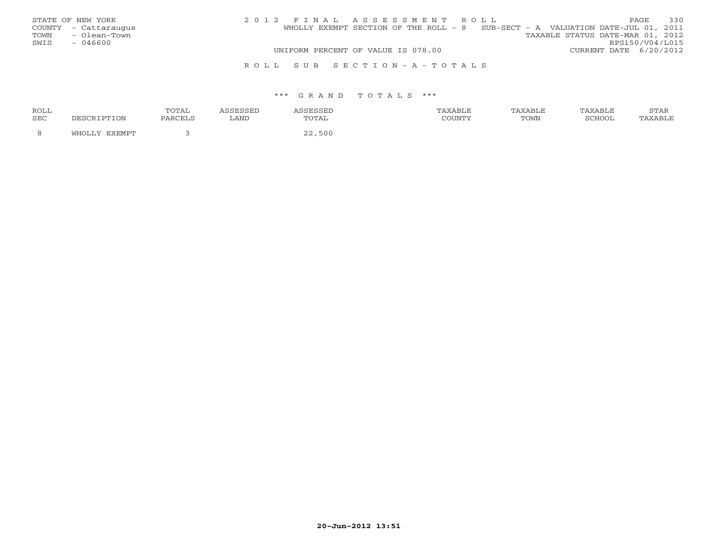| STATE OF NEW YORK    | 2012 FINAL ASSESSMENT ROLL                                                     | 330<br>PAGE.                     |
|----------------------|--------------------------------------------------------------------------------|----------------------------------|
| COUNTY - Cattaraugus | WHOLLY EXEMPT SECTION OF THE ROLL - 8 SUB-SECT - A VALUATION DATE-JUL 01, 2011 |                                  |
| - Olean-Town<br>TOWN |                                                                                | TAXABLE STATUS DATE-MAR 01, 2012 |
| SWIS<br>- 046600     |                                                                                | RPS150/V04/L015                  |
|                      | UNIFORM PERCENT OF VALUE IS 078.00                                             | CURRENT DATE 6/20/2012           |
|                      | ROLL SUB SECTION-A-TOTALS                                                      |                                  |

| ROLL |                         | TOTAL   |      | ISSEL  | <b>XARLF</b> | TAXABLE | TAXABLE | STAR         |
|------|-------------------------|---------|------|--------|--------------|---------|---------|--------------|
| SEC  |                         | PARCELS | LAND | TOTAL  | COUNTY       | TOWN    | SCHOO.  | <b>XABLE</b> |
|      | <b>CYCMDT</b><br>$\sim$ |         |      | 22,500 |              |         |         |              |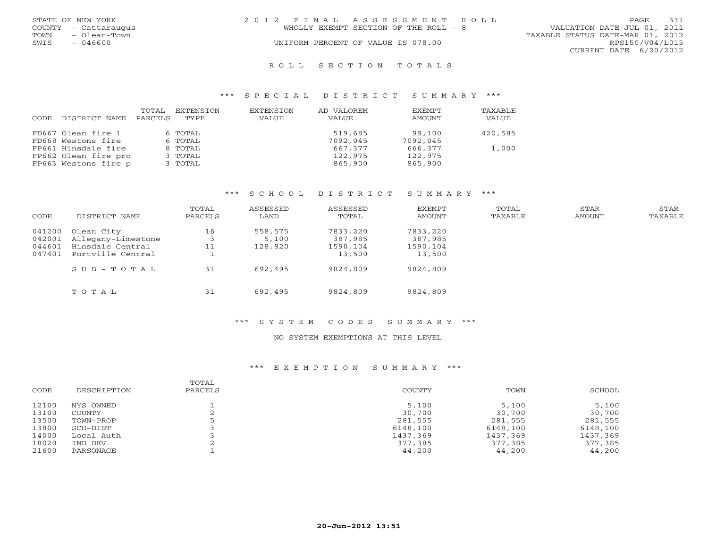|      | STATE OF NEW YORK    | 2012 FINAL ASSESSMENT ROLL            |  |                                  |                        | <b>PAGE</b> | 331 |
|------|----------------------|---------------------------------------|--|----------------------------------|------------------------|-------------|-----|
|      | COUNTY - Cattaraugus | WHOLLY EXEMPT SECTION OF THE ROLL - 8 |  | VALUATION DATE-JUL 01, 2011      |                        |             |     |
| TOWN | - Olean-Town         |                                       |  | TAXABLE STATUS DATE-MAR 01, 2012 |                        |             |     |
| SWIS | $-046600$            | UNIFORM PERCENT OF VALUE IS 078.00    |  |                                  | RPS150/V04/L015        |             |     |
|      |                      |                                       |  |                                  | CURRENT DATE 6/20/2012 |             |     |
|      |                      |                                       |  |                                  |                        |             |     |

#### R O L L S E C T I O N T O T A L S

## \*\*\* S P E C I A L D I S T R I C T S U M M A R Y \*\*\*

| CODE. | DISTRICT NAME        | TOTAL<br>PARCELS | EXTENSION<br>TYPE. | <b>EXTENSION</b><br>VALUE | AD VALOREM<br><b>VALUE</b> | <b>EXEMPT</b><br>AMOUNT | TAXABLE<br>VALUE |
|-------|----------------------|------------------|--------------------|---------------------------|----------------------------|-------------------------|------------------|
|       | FD667 Olean fire 1   |                  | 6 TOTAL            |                           | 519,685                    | 99,100                  | 420,585          |
|       | FD668 Westons fire   |                  | 6 TOTAL            |                           | 7092,045                   | 7092,045                |                  |
|       | FP661 Hinsdale fire  |                  | 8 TOTAL            |                           | 667,377                    | 666,377                 | 1,000            |
|       | FP662 Olean fire pro |                  | 3 TOTAL            |                           | 122,975                    | 122,975                 |                  |
|       | FP663 Westons fire p |                  | 3 TOTAL            |                           | 865,900                    | 865,900                 |                  |

### \*\*\* S C H O O L D I S T R I C T S U M M A R Y \*\*\*

| CODE   | DISTRICT NAME      | TOTAL<br>PARCELS | ASSESSED<br>LAND | ASSESSED<br>TOTAL | EXEMPT<br>AMOUNT | TOTAL<br>TAXABLE | STAR<br>AMOUNT | STAR<br>TAXABLE |
|--------|--------------------|------------------|------------------|-------------------|------------------|------------------|----------------|-----------------|
| 041200 | Olean City         | 16               | 558,575          | 7833,220          | 7833,220         |                  |                |                 |
| 042001 | Allegany-Limestone |                  | 5,100            | 387,985           | 387,985          |                  |                |                 |
| 044601 | Hinsdale Central   | 11               | 128,820          | 1590,104          | 1590,104         |                  |                |                 |
| 047401 | Portville Central  |                  |                  | 13,500            | 13,500           |                  |                |                 |
|        | $SUB - TO T AL$    | 31               | 692,495          | 9824,809          | 9824,809         |                  |                |                 |
|        | TOTAL              | 31               | 692,495          | 9824,809          | 9824,809         |                  |                |                 |

# \*\*\* S Y S T E M C O D E S S U M M A R Y \*\*\*

# NO SYSTEM EXEMPTIONS AT THIS LEVEL

| CODE  | DESCRIPTION | TOTAL<br>PARCELS | <b>COUNTY</b> | TOWN     | SCHOOL   |
|-------|-------------|------------------|---------------|----------|----------|
| 12100 | NYS OWNED   |                  | 5,100         | 5,100    | 5,100    |
| 13100 | COUNTY      |                  | 30,700        | 30,700   | 30,700   |
| 13500 | TOWN-PROP   |                  | 281,555       | 281,555  | 281,555  |
| 13800 | SCH-DIST    |                  | 6148,100      | 6148,100 | 6148,100 |
| 14000 | Local Auth  |                  | 1437,369      | 1437,369 | 1437,369 |
| 18020 | IND DEV     |                  | 377,385       | 377,385  | 377,385  |
| 21600 | PARSONAGE   |                  | 44,200        | 44,200   | 44,200   |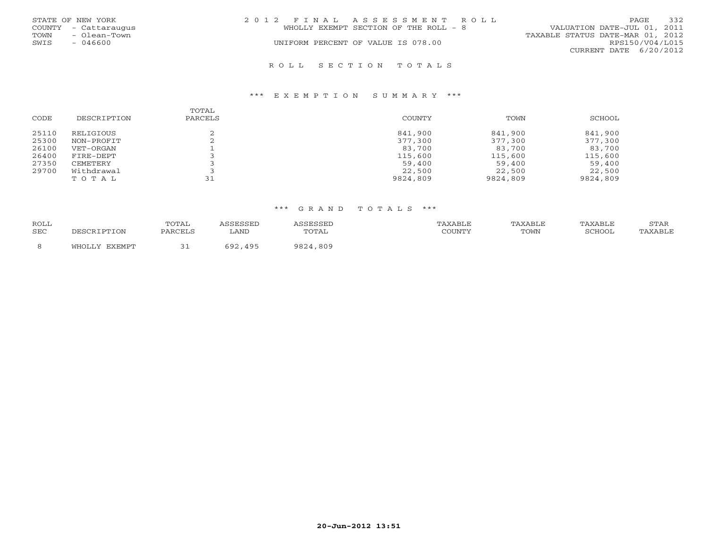| STATE OF NEW YORK    | 2012 FINAL ASSESSMENT ROLL            | 332<br><b>PAGE</b>               |
|----------------------|---------------------------------------|----------------------------------|
| COUNTY - Cattaraugus | WHOLLY EXEMPT SECTION OF THE ROLL - 8 | VALUATION DATE-JUL 01, 2011      |
| - Olean-Town<br>TOWN |                                       | TAXABLE STATUS DATE-MAR 01, 2012 |
| SWIS<br>- 046600     | UNIFORM PERCENT OF VALUE IS 078.00    | RPS150/V04/L015                  |
|                      |                                       | CURRENT DATE 6/20/2012           |
|                      |                                       |                                  |

#### \*\*\* E X E M P T I O N S U M M A R Y \*\*\*

| CODE  | DESCRIPTION | TOTAL<br>PARCELS | <b>COUNTY</b> | TOWN     | SCHOOL   |
|-------|-------------|------------------|---------------|----------|----------|
| 25110 | RELIGIOUS   |                  | 841,900       | 841,900  | 841,900  |
| 25300 | NON-PROFIT  |                  | 377,300       | 377,300  | 377,300  |
| 26100 | VET-ORGAN   |                  | 83,700        | 83,700   | 83,700   |
| 26400 | FIRE-DEPT   |                  | 115,600       | 115,600  | 115,600  |
| 27350 | CEMETERY    |                  | 59,400        | 59,400   | 59,400   |
| 29700 | Withdrawal  |                  | 22,500        | 22,500   | 22,500   |
|       | TOTAL       | 31               | 9824,809      | 9824,809 | 9824,809 |

R O L L S E C T I O N T O T A L S

| <b>ROLL</b> |                | TOTAL   | ---<br>للشابات | <i><b>\SSESSED</b></i> | TAXABLE | TAXABLE | TAXABLE | STAR    |
|-------------|----------------|---------|----------------|------------------------|---------|---------|---------|---------|
| SEC         | DESCRIPTION    | PARCELS | LAND           | Ͳ∩ͲϪႨ<br>◡⊥◚╜          | COUNTY  | TOWN    | SCHOOL  | 'AXABLE |
|             | FYFMDT<br>MH∩1 |         | 195<br>ະດາ     | ,809<br>∩∩∩⊿           |         |         |         |         |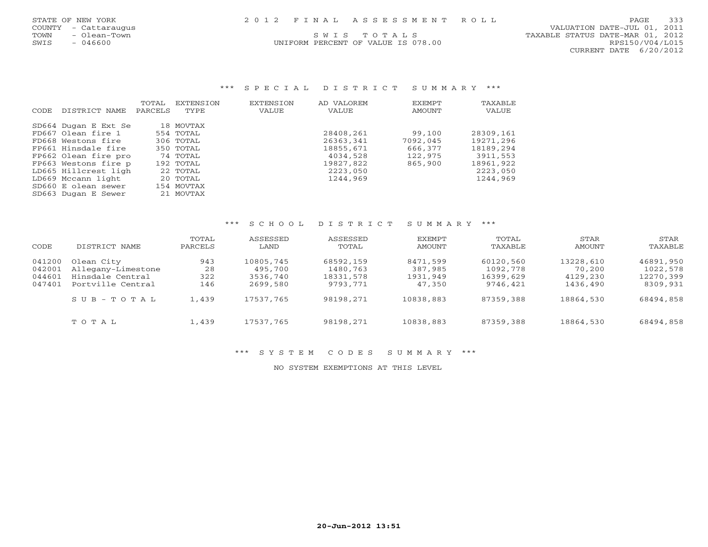| STATE OF NEW YORK |  |  |  | 2012 FINAL ASSESSMENT ROLL | 333<br>PAGE |
|-------------------|--|--|--|----------------------------|-------------|
|-------------------|--|--|--|----------------------------|-------------|

| STATE OF NEW YORK |     |               |  |
|-------------------|-----|---------------|--|
| <b>COUNTY</b>     |     | - Cattaraugus |  |
| <b>TOWN</b>       |     | Olean-Town    |  |
| SWTS              | $-$ | 046600        |  |

UNIFORM PERCENT OF VALUE IS 078.00 RPS150/V04/L015

 COUNTY - Cattaraugus VALUATION DATE-JUL 01, 2011 S W I S T O T A L S TAXABLE STATUS DATE-MAR 01, 2012 CURRENT DATE 6/20/2012

# \*\*\* S P E C I A L D I S T R I C T S U M M A R Y \*\*\*

|       |                      | TOTAL   | <b>EXTENSTON</b> | EXTENSION | AD VALOREM | EXEMPT   | TAXABLE   |
|-------|----------------------|---------|------------------|-----------|------------|----------|-----------|
| CODE. | DISTRICT NAME        | PARCELS | TYPE             | VALUE     | VALUE      | AMOUNT   | VALUE     |
|       |                      |         |                  |           |            |          |           |
|       | SD664 Dugan E Ext Se |         | 18 MOVTAX        |           |            |          |           |
|       | FD667 Olean fire 1   |         | 554 TOTAL        |           | 28408,261  | 99,100   | 28309,161 |
|       | FD668 Westons fire   |         | 306 TOTAL        |           | 26363,341  | 7092,045 | 19271,296 |
|       | FP661 Hinsdale fire  |         | $350$ TOTAL      |           | 18855,671  | 666,377  | 18189,294 |
|       | FP662 Olean fire pro |         | 74 TOTAL         |           | 4034,528   | 122,975  | 3911,553  |
|       | FP663 Westons fire p |         | $192$ TOTAL      |           | 19827,822  | 865,900  | 18961,922 |
|       | LD665 Hillcrest ligh |         | 22 TOTAL         |           | 2223,050   |          | 2223,050  |
|       | LD669 Mccann light   |         | 20 TOTAL         |           | 1244,969   |          | 1244,969  |
|       | SD660 E olean sewer  |         | 154 MOVTAX       |           |            |          |           |
|       | SD663 Dugan E Sewer  |         | 21 MOVTAX        |           |            |          |           |

#### \*\*\* S C H O O L D I S T R I C T S U M M A R Y \*\*\*

| CODE                                 | DISTRICT NAME                                                             | TOTAL<br>PARCELS        | ASSESSED<br>LAND                             | ASSESSED<br>TOTAL                              | EXEMPT<br>AMOUNT                          | TOTAL<br>TAXABLE                               | STAR<br><b>AMOUNT</b>                       | STAR<br>TAXABLE                                |
|--------------------------------------|---------------------------------------------------------------------------|-------------------------|----------------------------------------------|------------------------------------------------|-------------------------------------------|------------------------------------------------|---------------------------------------------|------------------------------------------------|
| 041200<br>042001<br>044601<br>047401 | Olean City<br>Allegany-Limestone<br>Hinsdale Central<br>Portville Central | 943<br>28<br>322<br>146 | 10805,745<br>495,700<br>3536,740<br>2699,580 | 68592,159<br>1480,763<br>18331,578<br>9793,771 | 8471,599<br>387,985<br>1931,949<br>47,350 | 60120,560<br>1092,778<br>16399,629<br>9746,421 | 13228,610<br>70,200<br>4129,230<br>1436,490 | 46891,950<br>1022,578<br>12270,399<br>8309,931 |
|                                      | SUB-TOTAL                                                                 | 1,439                   | 17537,765                                    | 98198,271                                      | 10838,883                                 | 87359,388                                      | 18864,530                                   | 68494,858                                      |
|                                      | TOTAL                                                                     | 1,439                   | 17537,765                                    | 98198,271                                      | 10838,883                                 | 87359,388                                      | 18864,530                                   | 68494,858                                      |

\*\*\* S Y S T E M C O D E S S U M M A R Y \*\*\*

NO SYSTEM EXEMPTIONS AT THIS LEVEL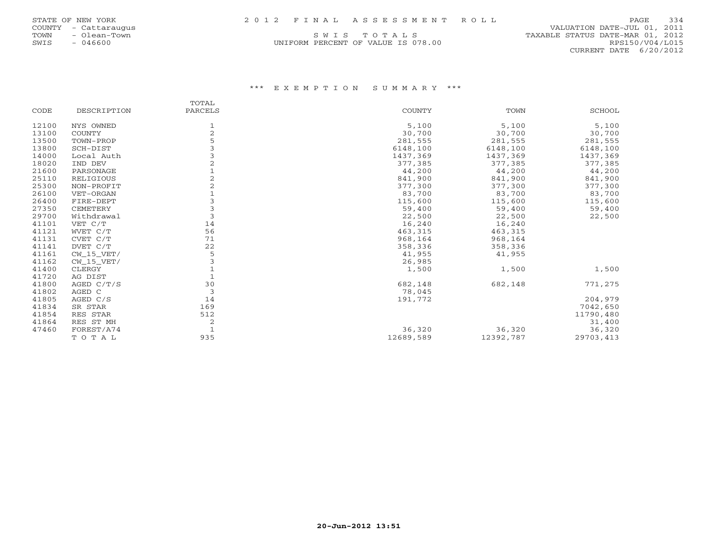| STATE OF NEW YORK |  |               |  |
|-------------------|--|---------------|--|
| <b>COUNTY</b>     |  | - Cattaraugus |  |
| TOWN              |  | - Olean-Town  |  |
| SWTS              |  | 046600        |  |

# COUNTY - Cattaraugus VALUATION DATE-JUL 01, 2011 S W I S T O T A L S TAXABLE STATUS DATE-MAR 01, 2012 UNIFORM PERCENT OF VALUE IS 078.00 RPS150/V04/L015 CURRENT DATE 6/20/2012

|       |               | TOTAL          |           |           |               |
|-------|---------------|----------------|-----------|-----------|---------------|
| CODE  | DESCRIPTION   | PARCELS        | COUNTY    | TOWN      | <b>SCHOOL</b> |
| 12100 | NYS OWNED     |                | 5,100     | 5,100     | 5,100         |
| 13100 | <b>COUNTY</b> | $\overline{c}$ | 30,700    | 30,700    | 30,700        |
| 13500 | TOWN-PROP     |                | 281,555   | 281,555   | 281,555       |
| 13800 | SCH-DIST      |                | 6148,100  | 6148,100  | 6148,100      |
| 14000 | Local Auth    |                | 1437,369  | 1437,369  | 1437,369      |
| 18020 | IND DEV       |                | 377,385   | 377,385   | 377,385       |
| 21600 | PARSONAGE     |                | 44,200    | 44,200    | 44,200        |
| 25110 | RELIGIOUS     |                | 841,900   | 841,900   | 841,900       |
| 25300 | NON-PROFIT    |                | 377,300   | 377,300   | 377,300       |
| 26100 | VET-ORGAN     |                | 83,700    | 83,700    | 83,700        |
| 26400 | FIRE-DEPT     |                | 115,600   | 115,600   | 115,600       |
| 27350 | CEMETERY      |                | 59,400    | 59,400    | 59,400        |
| 29700 | Withdrawal    | 3              | 22,500    | 22,500    | 22,500        |
| 41101 | VET C/T       | 14             | 16,240    | 16,240    |               |
| 41121 | WVET C/T      | 56             | 463,315   | 463,315   |               |
| 41131 | CVET C/T      | 71             | 968,164   | 968,164   |               |
| 41141 | DVET C/T      | 22             | 358,336   | 358,336   |               |
| 41161 | $CW_15_VET/$  | 5              | 41,955    | 41,955    |               |
| 41162 | $CW_15_VET/$  |                | 26,985    |           |               |
| 41400 | CLERGY        |                | 1,500     | 1,500     | 1,500         |
| 41720 | AG DIST       |                |           |           |               |
| 41800 | AGED C/T/S    | 30             | 682,148   | 682,148   | 771,275       |
| 41802 | AGED C        | 3              | 78,045    |           |               |
| 41805 | AGED C/S      | 14             | 191,772   |           | 204,979       |
| 41834 | SR STAR       | 169            |           |           | 7042,650      |
| 41854 | RES STAR      | 512            |           |           | 11790,480     |
| 41864 | RES ST MH     | 2              |           |           | 31,400        |
| 47460 | FOREST/A74    |                | 36,320    | 36,320    | 36,320        |
|       | TOTAL         | 935            | 12689,589 | 12392,787 | 29703,413     |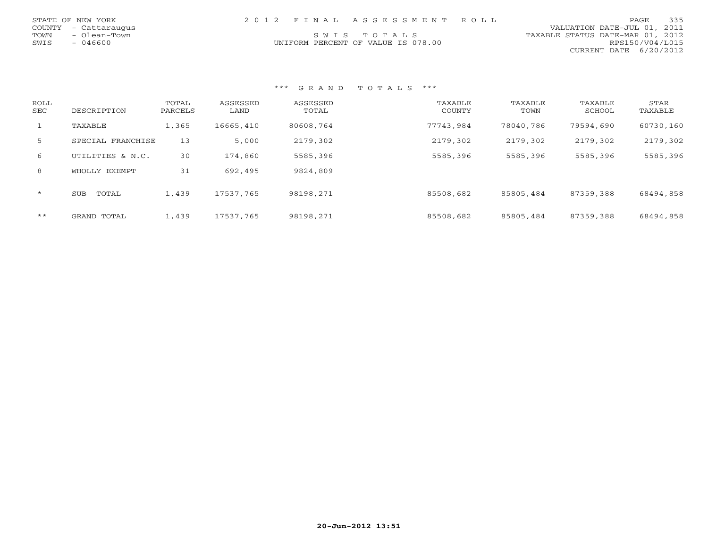|      | STATE OF NEW YORK    |  | 2012 FINAL ASSESSMENT ROLL         |                                  | PAGE.           | 335 |
|------|----------------------|--|------------------------------------|----------------------------------|-----------------|-----|
|      | COUNTY - Cattaraugus |  |                                    | VALUATION DATE-JUL 01, 2011      |                 |     |
|      | TOWN - Olean-Town    |  | SWIS TOTALS                        | TAXABLE STATUS DATE-MAR 01, 2012 |                 |     |
| SWIS | - 046600             |  | UNIFORM PERCENT OF VALUE IS 078.00 |                                  | RPS150/V04/L015 |     |
|      |                      |  |                                    | CURRENT DATE 6/20/2012           |                 |     |

| ROLL<br>SEC  | DESCRIPTION         | TOTAL<br>PARCELS | ASSESSED<br>LAND | ASSESSED<br>TOTAL | TAXABLE<br>COUNTY | TAXABLE<br>TOWN | TAXABLE<br>SCHOOL | STAR<br>TAXABLE |
|--------------|---------------------|------------------|------------------|-------------------|-------------------|-----------------|-------------------|-----------------|
| $\mathbf{1}$ | TAXABLE             | 1,365            | 16665,410        | 80608,764         | 77743,984         | 78040,786       | 79594,690         | 60730,160       |
| 5            | SPECIAL FRANCHISE   | 13               | 5,000            | 2179,302          | 2179,302          | 2179,302        | 2179,302          | 2179,302        |
| 6            | UTILITIES & N.C.    | 30               | 174,860          | 5585,396          | 5585,396          | 5585,396        | 5585,396          | 5585,396        |
| 8            | WHOLLY EXEMPT       | 31               | 692,495          | 9824,809          |                   |                 |                   |                 |
| $\star$      | <b>SUB</b><br>TOTAL | 1,439            | 17537,765        | 98198,271         | 85508,682         | 85805,484       | 87359,388         | 68494,858       |
| $***$        | GRAND TOTAL         | 1,439            | 17537,765        | 98198,271         | 85508,682         | 85805,484       | 87359,388         | 68494,858       |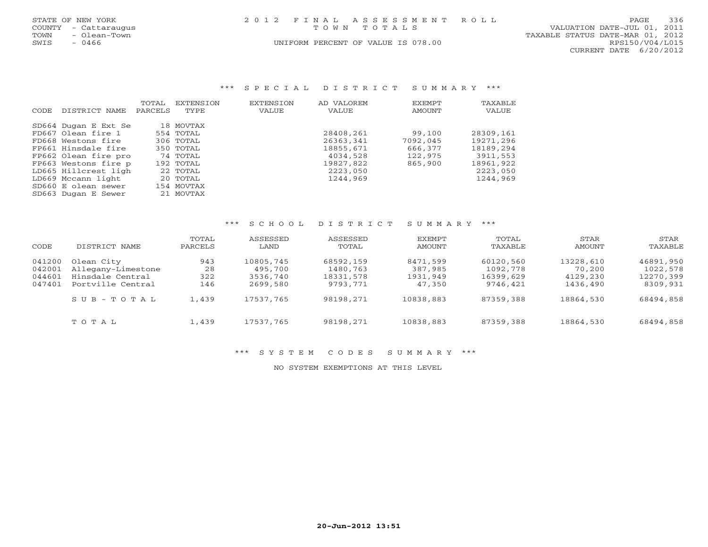|      | STATE OF NEW YORK    | 2012 FINAL ASSESSMENT ROLL         | 336<br>PAGE                      |
|------|----------------------|------------------------------------|----------------------------------|
|      | COUNTY - Cattaraugus | TOWN TOTALS                        | VALUATION DATE-JUL 01, 2011      |
| TOWN | - Olean-Town         |                                    | TAXABLE STATUS DATE-MAR 01, 2012 |
| SWIS | $-0466$              | UNIFORM PERCENT OF VALUE IS 078.00 | RPS150/V04/L015                  |
|      |                      |                                    | CURRENT DATE 6/20/2012           |

### \*\*\* S P E C I A L D I S T R I C T S U M M A R Y \*\*\*

|                      | TOTAL   | EXTENSION            | <b>EXTENSION</b>                                                                                                             | AD VALOREM | EXEMPT   | TAXABLE   |
|----------------------|---------|----------------------|------------------------------------------------------------------------------------------------------------------------------|------------|----------|-----------|
| DISTRICT NAME        | PARCELS | TYPE                 | VALUE                                                                                                                        | VALUE      | AMOUNT   | VALUE     |
|                      |         |                      |                                                                                                                              |            |          |           |
| SD664 Dugan E Ext Se |         |                      |                                                                                                                              |            |          |           |
| FD667 Olean fire 1   |         |                      |                                                                                                                              | 28408,261  | 99,100   | 28309,161 |
| FD668 Westons fire   |         |                      |                                                                                                                              | 26363,341  | 7092,045 | 19271,296 |
| FP661 Hinsdale fire  |         |                      |                                                                                                                              | 18855,671  | 666,377  | 18189,294 |
| FP662 Olean fire pro |         |                      |                                                                                                                              | 4034,528   | 122,975  | 3911,553  |
| FP663 Westons fire p |         |                      |                                                                                                                              | 19827,822  | 865,900  | 18961,922 |
|                      |         |                      |                                                                                                                              | 2223,050   |          | 2223,050  |
| LD669 Mccann light   |         |                      |                                                                                                                              | 1244,969   |          | 1244,969  |
| SD660 E olean sewer  |         |                      |                                                                                                                              |            |          |           |
| SD663 Dugan E Sewer  |         |                      |                                                                                                                              |            |          |           |
|                      |         | LD665 Hillcrest ligh | 18 MOVTAX<br>554 TOTAL<br>306 TOTAL<br>350 TOTAL<br>74 TOTAL<br>192 TOTAL<br>22 TOTAL<br>20 TOTAL<br>154 MOVTAX<br>21 MOVTAX |            |          |           |

#### \*\*\* S C H O O L D I S T R I C T S U M M A R Y \*\*\*

| CODE                                 | DISTRICT NAME                                                             | TOTAL<br>PARCELS        | ASSESSED<br>LAND                             | ASSESSED<br>TOTAL                              | <b>EXEMPT</b><br>AMOUNT                   | TOTAL<br>TAXABLE                               | STAR<br>AMOUNT                              | STAR<br>TAXABLE                                |
|--------------------------------------|---------------------------------------------------------------------------|-------------------------|----------------------------------------------|------------------------------------------------|-------------------------------------------|------------------------------------------------|---------------------------------------------|------------------------------------------------|
| 041200<br>042001<br>044601<br>047401 | Olean City<br>Allegany-Limestone<br>Hinsdale Central<br>Portville Central | 943<br>28<br>322<br>146 | 10805,745<br>495,700<br>3536,740<br>2699,580 | 68592,159<br>1480,763<br>18331,578<br>9793,771 | 8471,599<br>387,985<br>1931,949<br>47,350 | 60120,560<br>1092,778<br>16399,629<br>9746,421 | 13228,610<br>70,200<br>4129,230<br>1436,490 | 46891,950<br>1022,578<br>12270,399<br>8309,931 |
|                                      | SUB-TOTAL                                                                 | 1,439                   | 17537,765                                    | 98198,271                                      | 10838,883                                 | 87359,388                                      | 18864,530                                   | 68494,858                                      |
|                                      | TOTAL                                                                     | 1,439                   | 17537,765                                    | 98198,271                                      | 10838,883                                 | 87359,388                                      | 18864,530                                   | 68494,858                                      |

\*\*\* S Y S T E M C O D E S S U M M A R Y \*\*\*

NO SYSTEM EXEMPTIONS AT THIS LEVEL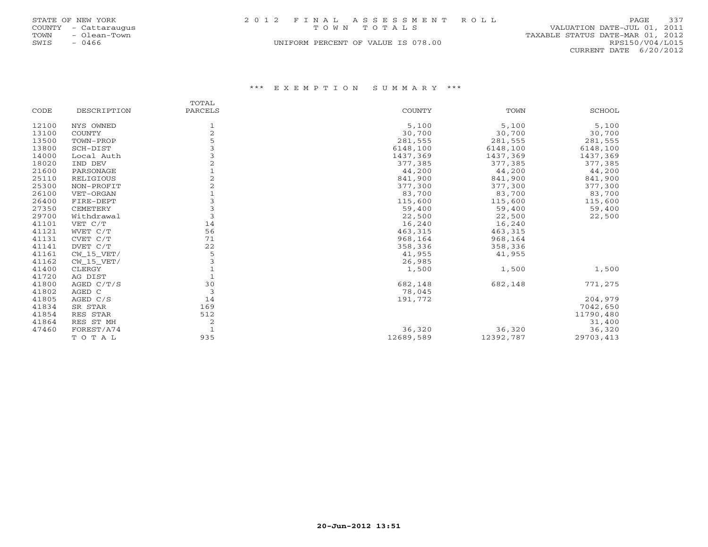|      | STATE OF NEW YORK    | 2012 FINAL ASSESSMENT ROLL         |                                  | PAGE                   | 337 |
|------|----------------------|------------------------------------|----------------------------------|------------------------|-----|
|      | COUNTY - Cattaraugus | TOWN TOTALS                        | VALUATION DATE-JUL 01, 2011      |                        |     |
| TOWN | - Olean-Town         |                                    | TAXABLE STATUS DATE-MAR 01, 2012 |                        |     |
| SWIS | $-0466$              | UNIFORM PERCENT OF VALUE IS 078.00 |                                  | RPS150/V04/L015        |     |
|      |                      |                                    |                                  | CURRENT DATE 6/20/2012 |     |

|       |              | TOTAL          |               |           |               |
|-------|--------------|----------------|---------------|-----------|---------------|
| CODE  | DESCRIPTION  | PARCELS        | <b>COUNTY</b> | TOWN      | <b>SCHOOL</b> |
| 12100 | NYS OWNED    |                | 5,100         | 5,100     | 5,100         |
| 13100 | COUNTY       | $\overline{2}$ | 30,700        | 30,700    | 30,700        |
| 13500 | TOWN-PROP    | 5              | 281,555       | 281,555   | 281,555       |
| 13800 | SCH-DIST     |                | 6148,100      | 6148,100  | 6148,100      |
| 14000 | Local Auth   |                | 1437,369      | 1437,369  | 1437,369      |
| 18020 | IND DEV      | $\overline{2}$ | 377,385       | 377,385   | 377,385       |
| 21600 | PARSONAGE    |                | 44,200        | 44,200    | 44,200        |
| 25110 | RELIGIOUS    |                | 841,900       | 841,900   | 841,900       |
| 25300 | NON-PROFIT   |                | 377,300       | 377,300   | 377,300       |
| 26100 | VET-ORGAN    |                | 83,700        | 83,700    | 83,700        |
| 26400 | FIRE-DEPT    |                | 115,600       | 115,600   | 115,600       |
| 27350 | CEMETERY     | 3              | 59,400        | 59,400    | 59,400        |
| 29700 | Withdrawal   | 3              | 22,500        | 22,500    | 22,500        |
| 41101 | VET C/T      | 14             | 16,240        | 16,240    |               |
| 41121 | WVET C/T     | 56             | 463,315       | 463,315   |               |
| 41131 | CVET C/T     | 71             | 968,164       | 968,164   |               |
| 41141 | DVET C/T     | 22             | 358,336       | 358,336   |               |
| 41161 | CW 15 VET/   | 5              | 41,955        | 41,955    |               |
| 41162 | $CW_15_VET/$ |                | 26,985        |           |               |
| 41400 | CLERGY       |                | 1,500         | 1,500     | 1,500         |
| 41720 | AG DIST      |                |               |           |               |
| 41800 | AGED C/T/S   | 30             | 682,148       | 682,148   | 771,275       |
| 41802 | AGED C       | 3              | 78,045        |           |               |
| 41805 | AGED C/S     | 14             | 191,772       |           | 204,979       |
| 41834 | SR STAR      | 169            |               |           | 7042,650      |
| 41854 | RES STAR     | 512            |               |           | 11790,480     |
| 41864 | RES ST MH    | $\overline{c}$ |               |           | 31,400        |
| 47460 | FOREST/A74   |                | 36,320        | 36,320    | 36,320        |
|       | TOTAL        | 935            | 12689,589     | 12392,787 | 29703,413     |